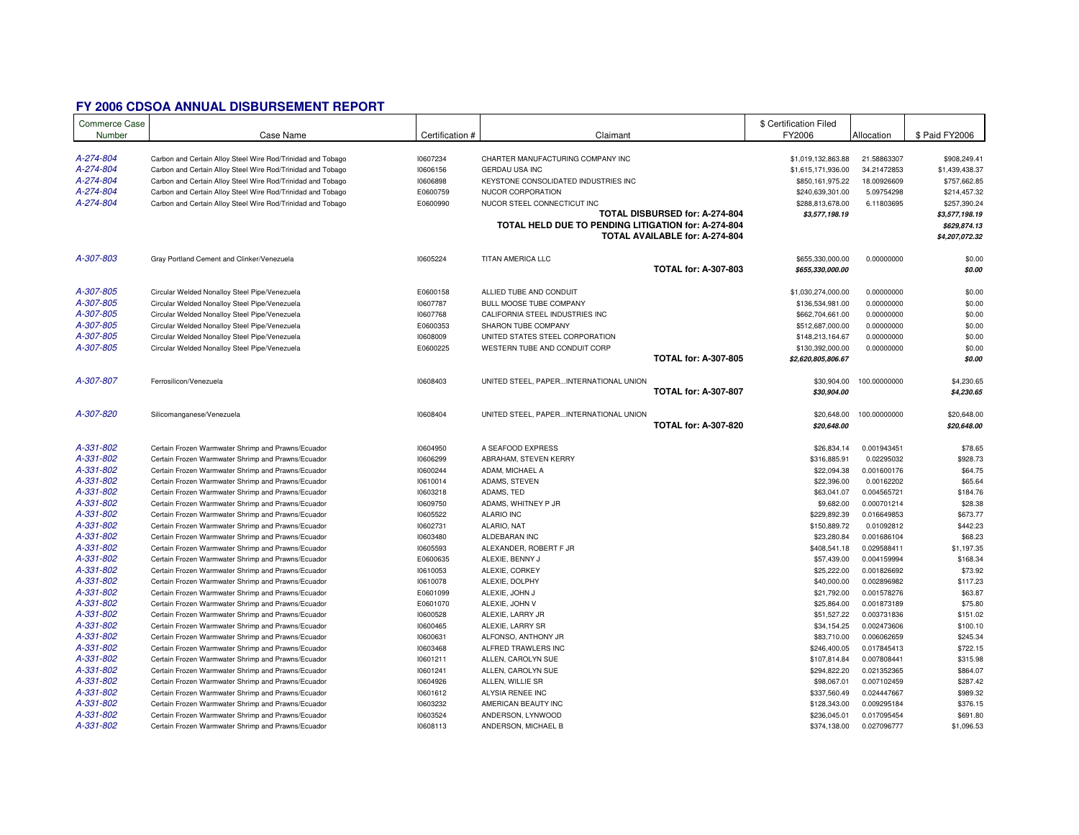## **FY 2006 CDSOA ANNUAL DISBURSEMENT REPORT**

| <b>Commerce Case</b><br>Number | Case Name                                                   | Certification # | Claimant                                            |                                | \$ Certification Filed<br>FY2006     | Allocation   | \$ Paid FY2006                 |
|--------------------------------|-------------------------------------------------------------|-----------------|-----------------------------------------------------|--------------------------------|--------------------------------------|--------------|--------------------------------|
| A-274-804                      | Carbon and Certain Alloy Steel Wire Rod/Trinidad and Tobago | 10607234        | CHARTER MANUFACTURING COMPANY INC                   |                                | \$1,019,132,863.88                   | 21.58863307  | \$908,249.41                   |
| A-274-804                      | Carbon and Certain Alloy Steel Wire Rod/Trinidad and Tobago | 10606156        | <b>GERDAU USA INC</b>                               |                                | \$1,615,171,936.00                   | 34.21472853  | \$1,439,438.37                 |
| A-274-804                      | Carbon and Certain Alloy Steel Wire Rod/Trinidad and Tobago | 10606898        | KEYSTONE CONSOLIDATED INDUSTRIES INC                |                                | \$850,161,975.22                     | 18.00926609  | \$757,662.85                   |
| A-274-804                      | Carbon and Certain Alloy Steel Wire Rod/Trinidad and Tobago | E0600759        | NUCOR CORPORATION                                   |                                | \$240,639,301.00                     | 5.09754298   | \$214,457.32                   |
| A-274-804                      | Carbon and Certain Alloy Steel Wire Rod/Trinidad and Tobago | E0600990        | NUCOR STEEL CONNECTICUT INC                         |                                | \$288,813,678.00                     | 6.11803695   | \$257,390.24                   |
|                                |                                                             |                 |                                                     | TOTAL DISBURSED for: A-274-804 | \$3,577,198.19                       |              | \$3,577,198.19                 |
|                                |                                                             |                 | TOTAL HELD DUE TO PENDING LITIGATION for: A-274-804 | TOTAL AVAILABLE for: A-274-804 |                                      |              | \$629,874.13<br>\$4,207,072.32 |
| A-307-803                      | Gray Portland Cement and Clinker/Venezuela                  | 10605224        | TITAN AMERICA LLC                                   | <b>TOTAL for: A-307-803</b>    | \$655,330,000.00<br>\$655,330,000.00 | 0.00000000   | \$0.00<br>\$0.00               |
|                                |                                                             |                 |                                                     |                                |                                      |              |                                |
| A-307-805                      | Circular Welded Nonalloy Steel Pipe/Venezuela               | E0600158        | ALLIED TUBE AND CONDUIT                             |                                | \$1,030,274,000.00                   | 0.00000000   | \$0.00                         |
| A-307-805                      | Circular Welded Nonalloy Steel Pipe/Venezuela               | 10607787        | BULL MOOSE TUBE COMPANY                             |                                | \$136,534,981.00                     | 0.00000000   | \$0.00                         |
| A-307-805                      | Circular Welded Nonalloy Steel Pipe/Venezuela               | 10607768        | CALIFORNIA STEEL INDUSTRIES INC                     |                                | \$662,704,661.00                     | 0.00000000   | \$0.00                         |
| A-307-805                      | Circular Welded Nonalloy Steel Pipe/Venezuela               | E0600353        | SHARON TUBE COMPANY                                 |                                | \$512,687,000.00                     | 0.00000000   | \$0.00                         |
| A-307-805                      | Circular Welded Nonalloy Steel Pipe/Venezuela               | 10608009        | UNITED STATES STEEL CORPORATION                     |                                | \$148,213,164.67                     | 0.00000000   | \$0.00                         |
| A-307-805                      | Circular Welded Nonalloy Steel Pipe/Venezuela               | E0600225        | WESTERN TUBE AND CONDUIT CORP                       |                                | \$130,392,000.00                     | 0.00000000   | \$0.00                         |
|                                |                                                             |                 |                                                     | <b>TOTAL for: A-307-805</b>    | \$2,620,805,806.67                   |              | \$0.00                         |
| A-307-807                      | Ferrosilicon/Venezuela                                      | 10608403        | UNITED STEEL, PAPERINTERNATIONAL UNION              |                                | \$30,904.00                          | 100.00000000 | \$4,230.65                     |
|                                |                                                             |                 |                                                     | <b>TOTAL for: A-307-807</b>    | \$30,904.00                          |              | \$4,230.65                     |
| A-307-820                      | Silicomanganese/Venezuela                                   | 10608404        | UNITED STEEL, PAPERINTERNATIONAL UNION              | <b>TOTAL for: A-307-820</b>    | \$20,648.00<br>\$20,648.00           | 100.00000000 | \$20,648.00<br>\$20,648.00     |
| A-331-802                      | Certain Frozen Warmwater Shrimp and Prawns/Ecuador          | 10604950        | A SEAFOOD EXPRESS                                   |                                | \$26,834.14                          | 0.001943451  | \$78.65                        |
| A-331-802                      | Certain Frozen Warmwater Shrimp and Prawns/Ecuador          | 10606299        | ABRAHAM, STEVEN KERRY                               |                                | \$316,885.91                         | 0.02295032   | \$928.73                       |
| A-331-802                      | Certain Frozen Warmwater Shrimp and Prawns/Ecuador          | 10600244        | ADAM. MICHAEL A                                     |                                | \$22,094.38                          | 0.001600176  | \$64.75                        |
| A-331-802                      | Certain Frozen Warmwater Shrimp and Prawns/Ecuador          | 10610014        | ADAMS, STEVEN                                       |                                | \$22,396.00                          | 0.00162202   | \$65.64                        |
| A-331-802                      | Certain Frozen Warmwater Shrimp and Prawns/Ecuador          | 10603218        | ADAMS, TED                                          |                                | \$63,041.07                          | 0.004565721  | \$184.76                       |
| A-331-802                      | Certain Frozen Warmwater Shrimp and Prawns/Ecuador          | 10609750        | ADAMS, WHITNEY P JR                                 |                                | \$9,682.00                           | 0.000701214  | \$28.38                        |
| A-331-802                      | Certain Frozen Warmwater Shrimp and Prawns/Ecuador          | 10605522        | ALARIO INC                                          |                                | \$229,892.39                         | 0.016649853  | \$673.77                       |
| A-331-802                      | Certain Frozen Warmwater Shrimp and Prawns/Ecuador          | 10602731        | ALARIO, NAT                                         |                                | \$150,889.72                         | 0.01092812   | \$442.23                       |
| A-331-802                      | Certain Frozen Warmwater Shrimp and Prawns/Ecuador          | 10603480        | ALDEBARAN INC                                       |                                | \$23,280.84                          | 0.001686104  | \$68.23                        |
| A-331-802                      | Certain Frozen Warmwater Shrimp and Prawns/Ecuador          | 10605593        | ALEXANDER, ROBERT F JR                              |                                | \$408,541.18                         | 0.029588411  | \$1,197.35                     |
| A-331-802                      | Certain Frozen Warmwater Shrimp and Prawns/Ecuador          | E0600635        | ALEXIE, BENNY J                                     |                                | \$57,439.00                          | 0.004159994  | \$168.34                       |
| A-331-802                      | Certain Frozen Warmwater Shrimp and Prawns/Ecuador          | 10610053        | ALEXIE, CORKEY                                      |                                | \$25,222.00                          | 0.001826692  | \$73.92                        |
| A-331-802                      | Certain Frozen Warmwater Shrimp and Prawns/Ecuador          | 10610078        | ALEXIE, DOLPHY                                      |                                | \$40,000.00                          | 0.002896982  | \$117.23                       |
| A-331-802                      | Certain Frozen Warmwater Shrimp and Prawns/Ecuador          | E0601099        | ALEXIE, JOHN J                                      |                                | \$21,792.00                          | 0.001578276  | \$63.87                        |
| A-331-802                      | Certain Frozen Warmwater Shrimp and Prawns/Ecuador          | E0601070        | ALEXIE, JOHN V                                      |                                | \$25,864.00                          | 0.001873189  | \$75.80                        |
| A-331-802                      | Certain Frozen Warmwater Shrimp and Prawns/Ecuador          | 10600528        | ALEXIE, LARRY JR                                    |                                | \$51,527.22                          | 0.003731836  | \$151.02                       |
| A-331-802                      | Certain Frozen Warmwater Shrimp and Prawns/Ecuador          | 10600465        | ALEXIE, LARRY SR                                    |                                | \$34,154.25                          | 0.002473606  | \$100.10                       |
| A-331-802                      | Certain Frozen Warmwater Shrimp and Prawns/Ecuador          | 10600631        | ALFONSO, ANTHONY JR                                 |                                | \$83,710.00                          | 0.006062659  | \$245.34                       |
| A-331-802                      | Certain Frozen Warmwater Shrimp and Prawns/Ecuador          | 10603468        | ALFRED TRAWLERS INC                                 |                                | \$246,400.05                         | 0.017845413  | \$722.15                       |
| A-331-802                      | Certain Frozen Warmwater Shrimp and Prawns/Ecuador          | 10601211        | ALLEN, CAROLYN SUE                                  |                                | \$107,814.84                         | 0.007808441  | \$315.98                       |
| A-331-802                      | Certain Frozen Warmwater Shrimp and Prawns/Ecuador          | 10601241        | ALLEN, CAROLYN SUE                                  |                                | \$294,822.20                         | 0.021352365  | \$864.07                       |
| A-331-802                      | Certain Frozen Warmwater Shrimp and Prawns/Ecuador          | 10604926        | ALLEN, WILLIE SR                                    |                                | \$98,067.01                          | 0.007102459  | \$287.42                       |
| A-331-802                      | Certain Frozen Warmwater Shrimp and Prawns/Ecuador          | 10601612        | ALYSIA RENEE INC                                    |                                | \$337,560.49                         | 0.024447667  | \$989.32                       |
| A-331-802                      | Certain Frozen Warmwater Shrimp and Prawns/Ecuador          | 10603232        | AMERICAN BEAUTY INC                                 |                                | \$128,343.00                         | 0.009295184  | \$376.15                       |
| A-331-802                      | Certain Frozen Warmwater Shrimp and Prawns/Ecuador          | 10603524        | ANDERSON, LYNWOOD                                   |                                | \$236,045.01                         | 0.017095454  | \$691.80                       |
| A-331-802                      | Certain Frozen Warmwater Shrimp and Prawns/Ecuador          | 10608113        | ANDERSON, MICHAEL B                                 |                                | \$374,138.00                         | 0.027096777  | \$1,096.53                     |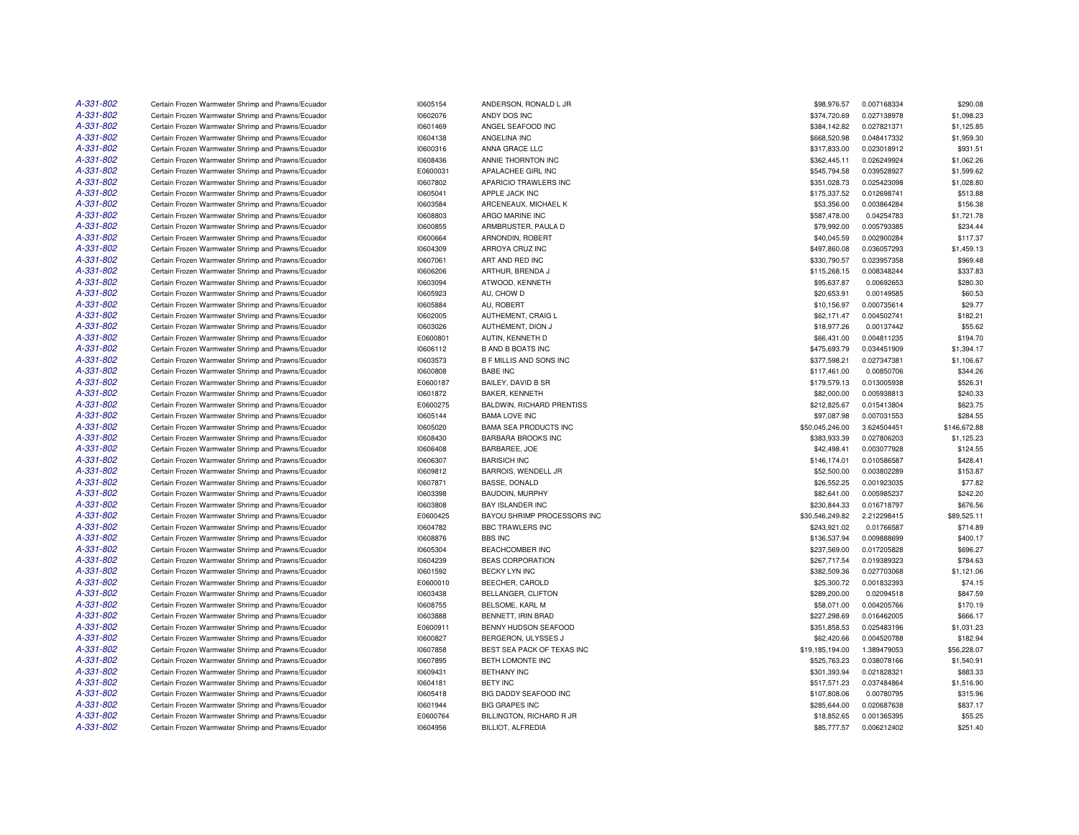| A-331-802 | Certain Frozen Warmwater Shrimp and Prawns/Ecuador | 10605154 | ANDERSON, RONALD L JR          | \$98,976.57     | 0.007168334 | \$290.08     |
|-----------|----------------------------------------------------|----------|--------------------------------|-----------------|-------------|--------------|
| A-331-802 | Certain Frozen Warmwater Shrimp and Prawns/Ecuador | 10602076 | ANDY DOS INC                   | \$374,720.69    | 0.027138978 | \$1,098.23   |
| A-331-802 | Certain Frozen Warmwater Shrimp and Prawns/Ecuador | 10601469 | ANGEL SEAFOOD INC              | \$384,142.82    | 0.027821371 | \$1,125.85   |
| A-331-802 | Certain Frozen Warmwater Shrimp and Prawns/Ecuador | 10604138 | ANGELINA INC                   | \$668,520.98    | 0.048417332 | \$1,959.30   |
| A-331-802 | Certain Frozen Warmwater Shrimp and Prawns/Ecuador | 10600316 | ANNA GRACE LLC                 | \$317,833.00    | 0.023018912 | \$931.51     |
| A-331-802 | Certain Frozen Warmwater Shrimp and Prawns/Ecuador | 10608436 | ANNIE THORNTON INC             | \$362,445.11    | 0.026249924 | \$1,062.26   |
| A-331-802 | Certain Frozen Warmwater Shrimp and Prawns/Ecuador | E0600031 | APALACHEE GIRL INC             | \$545,794.58    | 0.039528927 | \$1,599.62   |
| A-331-802 | Certain Frozen Warmwater Shrimp and Prawns/Ecuador | 10607802 | APARICIO TRAWLERS INC          | \$351,028.73    | 0.025423098 | \$1,028.80   |
| A-331-802 | Certain Frozen Warmwater Shrimp and Prawns/Ecuador | 10605041 | APPLE JACK INC                 | \$175,337.52    | 0.012698741 | \$513.88     |
| A-331-802 |                                                    |          | ARCENEAUX, MICHAEL K           |                 | 0.003864284 | \$156.38     |
| A-331-802 | Certain Frozen Warmwater Shrimp and Prawns/Ecuador | 10603584 |                                | \$53,356.00     |             |              |
|           | Certain Frozen Warmwater Shrimp and Prawns/Ecuador | 10608803 | ARGO MARINE INC                | \$587,478.00    | 0.04254783  | \$1,721.78   |
| A-331-802 | Certain Frozen Warmwater Shrimp and Prawns/Ecuador | 10600855 | ARMBRUSTER, PAULA D            | \$79,992.00     | 0.005793385 | \$234.44     |
| A-331-802 | Certain Frozen Warmwater Shrimp and Prawns/Ecuador | 10600664 | ARNONDIN, ROBERT               | \$40,045.59     | 0.002900284 | \$117.37     |
| A-331-802 | Certain Frozen Warmwater Shrimp and Prawns/Ecuador | 10604309 | ARROYA CRUZ INC                | \$497,860.08    | 0.036057293 | \$1,459.13   |
| A-331-802 | Certain Frozen Warmwater Shrimp and Prawns/Ecuador | 10607061 | ART AND RED INC                | \$330,790.57    | 0.023957358 | \$969.48     |
| A-331-802 | Certain Frozen Warmwater Shrimp and Prawns/Ecuador | 10606206 | ARTHUR, BRENDA J               | \$115,268.15    | 0.008348244 | \$337.83     |
| A-331-802 | Certain Frozen Warmwater Shrimp and Prawns/Ecuador | 10603094 | ATWOOD, KENNETH                | \$95,637.87     | 0.00692653  | \$280.30     |
| A-331-802 | Certain Frozen Warmwater Shrimp and Prawns/Ecuador | 10605923 | AU, CHOW D                     | \$20,653.91     | 0.00149585  | \$60.53      |
| A-331-802 | Certain Frozen Warmwater Shrimp and Prawns/Ecuador | 10605884 | AU, ROBERT                     | \$10,156.97     | 0.000735614 | \$29.77      |
| A-331-802 | Certain Frozen Warmwater Shrimp and Prawns/Ecuador | 10602005 | AUTHEMENT, CRAIG L             | \$62,171.47     | 0.004502741 | \$182.21     |
| A-331-802 | Certain Frozen Warmwater Shrimp and Prawns/Ecuador | 10603026 | AUTHEMENT, DION J              | \$18,977.26     | 0.00137442  | \$55.62      |
| A-331-802 | Certain Frozen Warmwater Shrimp and Prawns/Ecuador | E0600801 | AUTIN, KENNETH D               | \$66,431.00     | 0.004811235 | \$194.70     |
| A-331-802 | Certain Frozen Warmwater Shrimp and Prawns/Ecuador | 10606112 | <b>B AND B BOATS INC</b>       | \$475,693.79    | 0.034451909 | \$1,394.17   |
| A-331-802 | Certain Frozen Warmwater Shrimp and Prawns/Ecuador | 10603573 | <b>B F MILLIS AND SONS INC</b> | \$377,598.21    | 0.027347381 | \$1,106.67   |
| A-331-802 | Certain Frozen Warmwater Shrimp and Prawns/Ecuador | 10600808 | <b>BABE INC</b>                | \$117,461.00    | 0.00850706  | \$344.26     |
| A-331-802 | Certain Frozen Warmwater Shrimp and Prawns/Ecuador | E0600187 | BAILEY, DAVID B SR             | \$179,579.13    | 0.013005938 | \$526.31     |
| A-331-802 | Certain Frozen Warmwater Shrimp and Prawns/Ecuador | 10601872 | BAKER, KENNETH                 | \$82,000.00     | 0.005938813 | \$240.33     |
| A-331-802 | Certain Frozen Warmwater Shrimp and Prawns/Ecuador | E0600275 | BALDWIN, RICHARD PRENTISS      | \$212,825.67    | 0.015413804 | \$623.75     |
| A-331-802 | Certain Frozen Warmwater Shrimp and Prawns/Ecuador | 10605144 | <b>BAMA LOVE INC</b>           | \$97,087.98     | 0.007031553 | \$284.55     |
| A-331-802 | Certain Frozen Warmwater Shrimp and Prawns/Ecuador | 10605020 | <b>BAMA SEA PRODUCTS INC</b>   | \$50,045,246.00 | 3.624504451 | \$146,672.88 |
| A-331-802 | Certain Frozen Warmwater Shrimp and Prawns/Ecuador | 10608430 | <b>BARBARA BROOKS INC</b>      | \$383,933.39    | 0.027806203 | \$1,125.23   |
| A-331-802 | Certain Frozen Warmwater Shrimp and Prawns/Ecuador | 10606408 | BARBAREE, JOE                  | \$42,498.41     | 0.003077928 | \$124.55     |
| A-331-802 | Certain Frozen Warmwater Shrimp and Prawns/Ecuador | 10606307 | <b>BARISICH INC</b>            | \$146,174.01    | 0.010586587 | \$428.41     |
| A-331-802 | Certain Frozen Warmwater Shrimp and Prawns/Ecuador | 10609812 | BARROIS, WENDELL JR            | \$52,500.00     | 0.003802289 | \$153.87     |
| A-331-802 | Certain Frozen Warmwater Shrimp and Prawns/Ecuador | 10607871 | <b>BASSE, DONALD</b>           | \$26,552.25     | 0.001923035 | \$77.82      |
| A-331-802 | Certain Frozen Warmwater Shrimp and Prawns/Ecuador | 10603398 | BAUDOIN, MURPHY                | \$82,641.00     | 0.005985237 | \$242.20     |
| A-331-802 | Certain Frozen Warmwater Shrimp and Prawns/Ecuador | 10603808 | <b>BAY ISLANDER INC</b>        | \$230,844.33    | 0.016718797 | \$676.56     |
| A-331-802 |                                                    | E0600425 | BAYOU SHRIMP PROCESSORS INC    |                 |             | \$89,525.11  |
| A-331-802 | Certain Frozen Warmwater Shrimp and Prawns/Ecuador |          |                                | \$30,546,249.82 | 2.212298415 | \$714.89     |
| A-331-802 | Certain Frozen Warmwater Shrimp and Prawns/Ecuador | 10604782 | BBC TRAWLERS INC               | \$243,921.02    | 0.01766587  |              |
|           | Certain Frozen Warmwater Shrimp and Prawns/Ecuador | 10608876 | <b>BBS INC</b>                 | \$136,537.94    | 0.009888699 | \$400.17     |
| A-331-802 | Certain Frozen Warmwater Shrimp and Prawns/Ecuador | 10605304 | BEACHCOMBER INC                | \$237,569.00    | 0.017205828 | \$696.27     |
| A-331-802 | Certain Frozen Warmwater Shrimp and Prawns/Ecuador | 10604239 | <b>BEAS CORPORATION</b>        | \$267,717.54    | 0.019389323 | \$784.63     |
| A-331-802 | Certain Frozen Warmwater Shrimp and Prawns/Ecuador | 10601592 | <b>BECKY LYN INC</b>           | \$382,509.36    | 0.027703068 | \$1,121.06   |
| A-331-802 | Certain Frozen Warmwater Shrimp and Prawns/Ecuador | E0600010 | BEECHER, CAROLD                | \$25,300.72     | 0.001832393 | \$74.15      |
| A-331-802 | Certain Frozen Warmwater Shrimp and Prawns/Ecuador | 10603438 | BELLANGER, CLIFTON             | \$289,200.00    | 0.02094518  | \$847.59     |
| A-331-802 | Certain Frozen Warmwater Shrimp and Prawns/Ecuador | 10608755 | BELSOME, KARL M                | \$58,071.00     | 0.004205766 | \$170.19     |
| A-331-802 | Certain Frozen Warmwater Shrimp and Prawns/Ecuador | 10603888 | BENNETT, IRIN BRAD             | \$227,298.69    | 0.016462005 | \$666.17     |
| A-331-802 | Certain Frozen Warmwater Shrimp and Prawns/Ecuador | E0600911 | BENNY HUDSON SEAFOOD           | \$351,858.53    | 0.025483196 | \$1,031.23   |
| A-331-802 | Certain Frozen Warmwater Shrimp and Prawns/Ecuador | 10600827 | BERGERON, ULYSSES J            | \$62,420.66     | 0.004520788 | \$182.94     |
| A-331-802 | Certain Frozen Warmwater Shrimp and Prawns/Ecuador | 10607858 | BEST SEA PACK OF TEXAS INC     | \$19,185,194.00 | 1.389479053 | \$56,228.07  |
| A-331-802 | Certain Frozen Warmwater Shrimp and Prawns/Ecuador | 10607895 | BETH LOMONTE INC               | \$525,763.23    | 0.038078166 | \$1,540.91   |
| A-331-802 | Certain Frozen Warmwater Shrimp and Prawns/Ecuador | 10609431 | <b>BETHANY INC</b>             | \$301,393.94    | 0.021828321 | \$883.33     |
| A-331-802 | Certain Frozen Warmwater Shrimp and Prawns/Ecuador | 10604181 | <b>BETY INC</b>                | \$517,571.23    | 0.037484864 | \$1,516.90   |
| A-331-802 | Certain Frozen Warmwater Shrimp and Prawns/Ecuador | 10605418 | BIG DADDY SEAFOOD INC          | \$107,808.06    | 0.00780795  | \$315.96     |
| A-331-802 | Certain Frozen Warmwater Shrimp and Prawns/Ecuador | 10601944 | <b>BIG GRAPES INC</b>          | \$285,644.00    | 0.020687638 | \$837.17     |
| A-331-802 | Certain Frozen Warmwater Shrimp and Prawns/Ecuador | E0600764 | BILLINGTON, RICHARD R JR       | \$18,852.65     | 0.001365395 | \$55.25      |
| A-331-802 | Certain Frozen Warmwater Shrimp and Prawns/Ecuador | 10604956 | BILLIOT, ALFREDIA              | \$85,777.57     | 0.006212402 | \$251.40     |
|           |                                                    |          |                                |                 |             |              |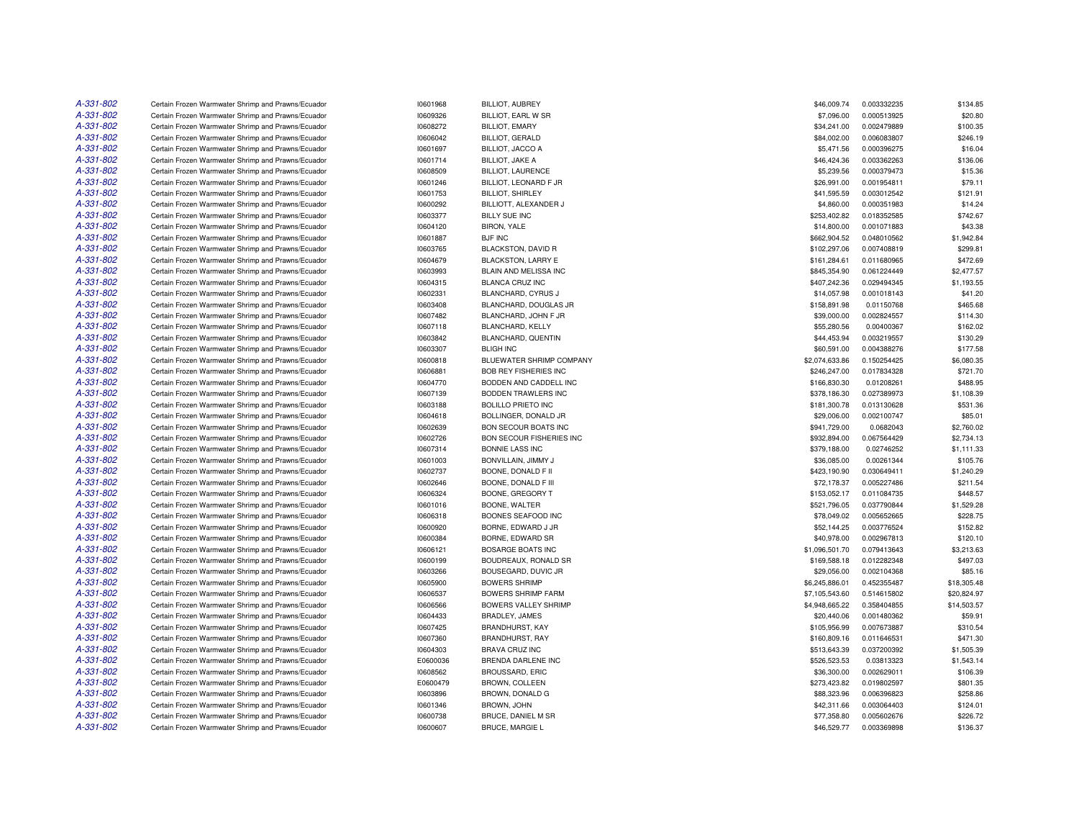| A-331-802 | Certain Frozen Warmwater Shrimp and Prawns/Ecuador | 10601968 | <b>BILLIOT, AUBREY</b>       | \$46,009.74    | 0.003332235 | \$134.85    |
|-----------|----------------------------------------------------|----------|------------------------------|----------------|-------------|-------------|
| A-331-802 | Certain Frozen Warmwater Shrimp and Prawns/Ecuador | 10609326 | BILLIOT, EARL W SR           | \$7,096.00     | 0.000513925 | \$20.80     |
| A-331-802 | Certain Frozen Warmwater Shrimp and Prawns/Ecuador | 10608272 | <b>BILLIOT, EMARY</b>        | \$34,241.00    | 0.002479889 | \$100.35    |
| A-331-802 | Certain Frozen Warmwater Shrimp and Prawns/Ecuador | 10606042 | BILLIOT, GERALD              | \$84,002.00    | 0.006083807 | \$246.19    |
| A-331-802 | Certain Frozen Warmwater Shrimp and Prawns/Ecuador | 10601697 | <b>BILLIOT, JACCO A</b>      | \$5,471.56     | 0.000396275 | \$16.04     |
| A-331-802 | Certain Frozen Warmwater Shrimp and Prawns/Ecuador | 10601714 | <b>BILLIOT, JAKE A</b>       | \$46,424.36    | 0.003362263 | \$136.06    |
| A-331-802 | Certain Frozen Warmwater Shrimp and Prawns/Ecuador | 10608509 | <b>BILLIOT, LAURENCE</b>     | \$5,239.56     | 0.000379473 | \$15.36     |
| A-331-802 | Certain Frozen Warmwater Shrimp and Prawns/Ecuador | 10601246 | BILLIOT, LEONARD F JR        | \$26,991.00    | 0.001954811 | \$79.11     |
| A-331-802 | Certain Frozen Warmwater Shrimp and Prawns/Ecuador | 10601753 | <b>BILLIOT, SHIRLEY</b>      | \$41,595.59    | 0.003012542 | \$121.91    |
| A-331-802 | Certain Frozen Warmwater Shrimp and Prawns/Ecuador | 10600292 | BILLIOTT, ALEXANDER J        | \$4,860.00     | 0.000351983 | \$14.24     |
| A-331-802 | Certain Frozen Warmwater Shrimp and Prawns/Ecuador | 10603377 | <b>BILLY SUE INC</b>         | \$253,402.82   | 0.018352585 | \$742.67    |
| A-331-802 | Certain Frozen Warmwater Shrimp and Prawns/Ecuador | 10604120 | BIRON, YALE                  | \$14,800.00    | 0.001071883 | \$43.38     |
| A-331-802 | Certain Frozen Warmwater Shrimp and Prawns/Ecuador | 10601887 | <b>BJF INC</b>               | \$662,904.52   | 0.048010562 | \$1,942.84  |
| A-331-802 | Certain Frozen Warmwater Shrimp and Prawns/Ecuador | 10603765 | BLACKSTON, DAVID R           | \$102,297.06   | 0.007408819 | \$299.81    |
| A-331-802 | Certain Frozen Warmwater Shrimp and Prawns/Ecuador | 10604679 | <b>BLACKSTON, LARRY E</b>    | \$161,284.61   | 0.011680965 | \$472.69    |
| A-331-802 | Certain Frozen Warmwater Shrimp and Prawns/Ecuador | 10603993 | BLAIN AND MELISSA INC        | \$845,354.90   | 0.061224449 | \$2,477.57  |
| A-331-802 | Certain Frozen Warmwater Shrimp and Prawns/Ecuador | 10604315 | <b>BLANCA CRUZ INC</b>       | \$407,242.36   | 0.029494345 | \$1,193.55  |
| A-331-802 |                                                    |          |                              |                |             |             |
| A-331-802 | Certain Frozen Warmwater Shrimp and Prawns/Ecuador | 10602331 | BLANCHARD, CYRUS J           | \$14,057.98    | 0.001018143 | \$41.20     |
|           | Certain Frozen Warmwater Shrimp and Prawns/Ecuador | 10603408 | BLANCHARD, DOUGLAS JR        | \$158,891.98   | 0.01150768  | \$465.68    |
| A-331-802 | Certain Frozen Warmwater Shrimp and Prawns/Ecuador | 10607482 | BLANCHARD, JOHN F JR         | \$39,000.00    | 0.002824557 | \$114.30    |
| A-331-802 | Certain Frozen Warmwater Shrimp and Prawns/Ecuador | 10607118 | BLANCHARD, KELLY             | \$55,280.56    | 0.00400367  | \$162.02    |
| A-331-802 | Certain Frozen Warmwater Shrimp and Prawns/Ecuador | 10603842 | BLANCHARD, QUENTIN           | \$44,453.94    | 0.003219557 | \$130.29    |
| A-331-802 | Certain Frozen Warmwater Shrimp and Prawns/Ecuador | 10603307 | <b>BLIGH INC</b>             | \$60,591.00    | 0.004388276 | \$177.58    |
| A-331-802 | Certain Frozen Warmwater Shrimp and Prawns/Ecuador | 10600818 | BLUEWATER SHRIMP COMPANY     | \$2,074,633.86 | 0.150254425 | \$6,080.35  |
| A-331-802 | Certain Frozen Warmwater Shrimp and Prawns/Ecuador | 10606881 | <b>BOB REY FISHERIES INC</b> | \$246,247.00   | 0.017834328 | \$721.70    |
| A-331-802 | Certain Frozen Warmwater Shrimp and Prawns/Ecuador | 10604770 | BODDEN AND CADDELL INC       | \$166,830.30   | 0.01208261  | \$488.95    |
| A-331-802 | Certain Frozen Warmwater Shrimp and Prawns/Ecuador | 10607139 | BODDEN TRAWLERS INC          | \$378,186.30   | 0.027389973 | \$1,108.39  |
| A-331-802 | Certain Frozen Warmwater Shrimp and Prawns/Ecuador | 10603188 | BOLILLO PRIETO INC           | \$181,300.78   | 0.013130628 | \$531.36    |
| A-331-802 | Certain Frozen Warmwater Shrimp and Prawns/Ecuador | 10604618 | BOLLINGER, DONALD JR         | \$29,006.00    | 0.002100747 | \$85.01     |
| A-331-802 | Certain Frozen Warmwater Shrimp and Prawns/Ecuador | 10602639 | <b>BON SECOUR BOATS INC</b>  | \$941,729.00   | 0.0682043   | \$2,760.02  |
| A-331-802 | Certain Frozen Warmwater Shrimp and Prawns/Ecuador | 10602726 | BON SECOUR FISHERIES INC     | \$932,894.00   | 0.067564429 | \$2,734.13  |
| A-331-802 | Certain Frozen Warmwater Shrimp and Prawns/Ecuador | 10607314 | BONNIE LASS INC              | \$379,188.00   | 0.02746252  | \$1,111.33  |
| A-331-802 | Certain Frozen Warmwater Shrimp and Prawns/Ecuador | 10601003 | BONVILLAIN, JIMMY J          | \$36,085.00    | 0.00261344  | \$105.76    |
| A-331-802 | Certain Frozen Warmwater Shrimp and Prawns/Ecuador | 10602737 | BOONE, DONALD F II           | \$423,190.90   | 0.030649411 | \$1,240.29  |
| A-331-802 | Certain Frozen Warmwater Shrimp and Prawns/Ecuador | 10602646 | BOONE, DONALD F III          | \$72,178.37    | 0.005227486 | \$211.54    |
| A-331-802 | Certain Frozen Warmwater Shrimp and Prawns/Ecuador | 10606324 | BOONE, GREGORY T             | \$153,052.17   | 0.011084735 | \$448.57    |
| A-331-802 | Certain Frozen Warmwater Shrimp and Prawns/Ecuador | 10601016 | BOONE, WALTER                | \$521,796.05   | 0.037790844 | \$1,529.28  |
| A-331-802 | Certain Frozen Warmwater Shrimp and Prawns/Ecuador | 10606318 | BOONES SEAFOOD INC           | \$78,049.02    | 0.005652665 | \$228.75    |
| A-331-802 | Certain Frozen Warmwater Shrimp and Prawns/Ecuador | 10600920 | BORNE, EDWARD J JR           | \$52,144.25    | 0.003776524 | \$152.82    |
| A-331-802 | Certain Frozen Warmwater Shrimp and Prawns/Ecuador | 10600384 | BORNE, EDWARD SR             | \$40,978.00    | 0.002967813 | \$120.10    |
| A-331-802 | Certain Frozen Warmwater Shrimp and Prawns/Ecuador | 10606121 | <b>BOSARGE BOATS INC</b>     | \$1,096,501.70 | 0.079413643 | \$3,213.63  |
| A-331-802 | Certain Frozen Warmwater Shrimp and Prawns/Ecuador | 10600199 | BOUDREAUX, RONALD SR         | \$169,588.18   | 0.012282348 | \$497.03    |
| A-331-802 | Certain Frozen Warmwater Shrimp and Prawns/Ecuador | 10603266 | BOUSEGARD, DUVIC JR          | \$29,056.00    | 0.002104368 | \$85.16     |
| A-331-802 | Certain Frozen Warmwater Shrimp and Prawns/Ecuador | 10605900 | <b>BOWERS SHRIMP</b>         | \$6,245,886.01 | 0.452355487 | \$18,305.48 |
| A-331-802 | Certain Frozen Warmwater Shrimp and Prawns/Ecuador | 10606537 | <b>BOWERS SHRIMP FARM</b>    | \$7,105,543.60 | 0.514615802 | \$20,824.97 |
| A-331-802 | Certain Frozen Warmwater Shrimp and Prawns/Ecuador | 10606566 | BOWERS VALLEY SHRIMP         | \$4,948,665.22 | 0.358404855 | \$14,503.57 |
| A-331-802 | Certain Frozen Warmwater Shrimp and Prawns/Ecuador | 10604433 | BRADLEY, JAMES               | \$20,440.06    | 0.001480362 | \$59.91     |
| A-331-802 | Certain Frozen Warmwater Shrimp and Prawns/Ecuador | 10607425 | <b>BRANDHURST, KAY</b>       | \$105,956.99   | 0.007673887 | \$310.54    |
| A-331-802 | Certain Frozen Warmwater Shrimp and Prawns/Ecuador | 10607360 | BRANDHURST, RAY              | \$160,809.16   | 0.011646531 | \$471.30    |
| A-331-802 | Certain Frozen Warmwater Shrimp and Prawns/Ecuador | 10604303 | <b>BRAVA CRUZ INC</b>        | \$513,643.39   | 0.037200392 | \$1,505.39  |
| A-331-802 | Certain Frozen Warmwater Shrimp and Prawns/Ecuador | E0600036 | BRENDA DARLENE INC           | \$526,523.53   | 0.03813323  | \$1,543.14  |
| A-331-802 | Certain Frozen Warmwater Shrimp and Prawns/Ecuador | 10608562 | <b>BROUSSARD, ERIC</b>       | \$36,300.00    | 0.002629011 | \$106.39    |
| A-331-802 | Certain Frozen Warmwater Shrimp and Prawns/Ecuador | E0600479 | BROWN, COLLEEN               | \$273,423.82   | 0.019802597 | \$801.35    |
| A-331-802 |                                                    |          |                              | \$88,323.96    |             | \$258.86    |
| A-331-802 | Certain Frozen Warmwater Shrimp and Prawns/Ecuador | 10603896 | BROWN, DONALD G              |                | 0.006396823 |             |
| A-331-802 | Certain Frozen Warmwater Shrimp and Prawns/Ecuador | 10601346 | BROWN, JOHN                  | \$42,311.66    | 0.003064403 | \$124.01    |
|           | Certain Frozen Warmwater Shrimp and Prawns/Ecuador | 10600738 | BRUCE, DANIEL M SR           | \$77,358.80    | 0.005602676 | \$226.72    |
| A-331-802 | Certain Frozen Warmwater Shrimp and Prawns/Ecuador | 10600607 | <b>BRUCE, MARGIE L</b>       | \$46,529.77    | 0.003369898 | \$136.37    |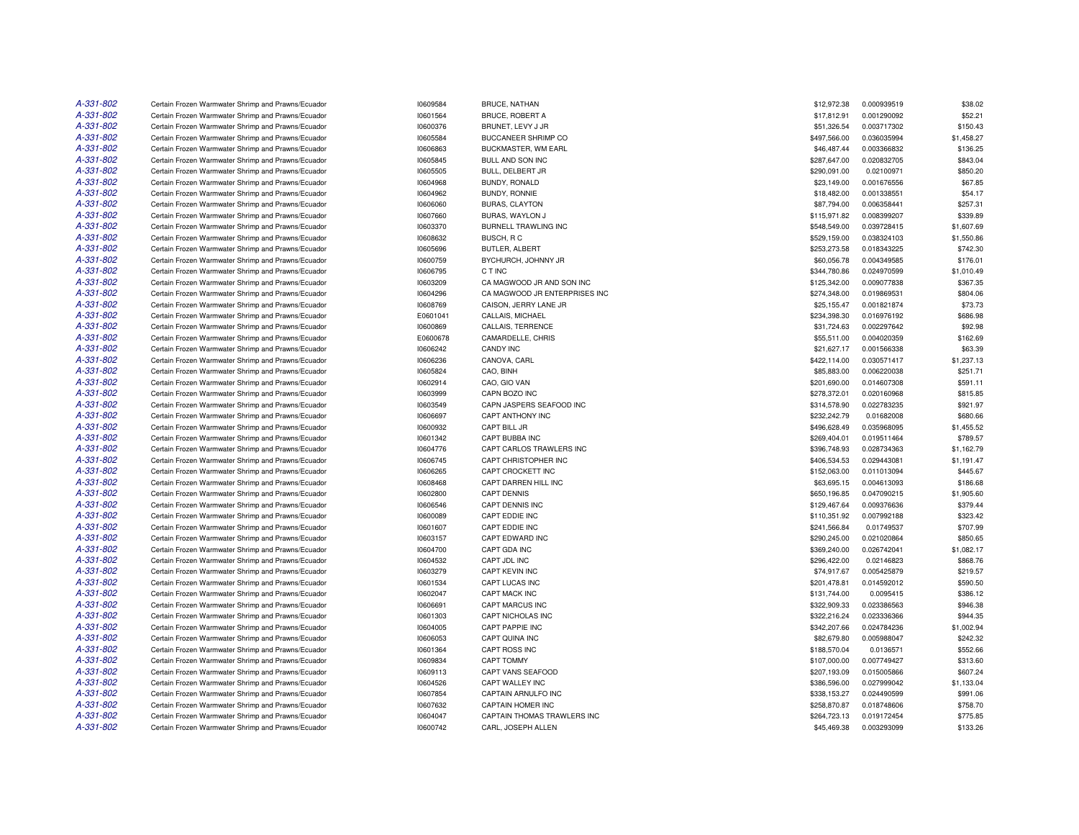| A-331-802 | Certain Frozen Warmwater Shrimp and Prawns/Ecuador | 10609584 | BRUCE, NATHAN                 | \$12,972.38  | 0.000939519 | \$38.02    |
|-----------|----------------------------------------------------|----------|-------------------------------|--------------|-------------|------------|
| A-331-802 | Certain Frozen Warmwater Shrimp and Prawns/Ecuador | 10601564 | <b>BRUCE, ROBERT A</b>        | \$17,812.91  | 0.001290092 | \$52.21    |
| A-331-802 | Certain Frozen Warmwater Shrimp and Prawns/Ecuador | 10600376 | BRUNET, LEVY J JR             | \$51,326.54  | 0.003717302 | \$150.43   |
| A-331-802 | Certain Frozen Warmwater Shrimp and Prawns/Ecuador | 10605584 | <b>BUCCANEER SHRIMP CO</b>    | \$497,566.00 | 0.036035994 | \$1,458.27 |
| A-331-802 | Certain Frozen Warmwater Shrimp and Prawns/Ecuador | 10606863 | BUCKMASTER, WM EARL           | \$46,487.44  | 0.003366832 | \$136.25   |
| A-331-802 | Certain Frozen Warmwater Shrimp and Prawns/Ecuador | 10605845 | BULL AND SON INC              | \$287,647.00 | 0.020832705 | \$843.04   |
| A-331-802 | Certain Frozen Warmwater Shrimp and Prawns/Ecuador | 10605505 | BULL, DELBERT JR              | \$290,091.00 | 0.02100971  | \$850.20   |
| A-331-802 | Certain Frozen Warmwater Shrimp and Prawns/Ecuador | 10604968 | BUNDY, RONALD                 | \$23,149.00  | 0.001676556 | \$67.85    |
| A-331-802 | Certain Frozen Warmwater Shrimp and Prawns/Ecuador | 10604962 | BUNDY, RONNIE                 | \$18,482.00  | 0.001338551 | \$54.17    |
| A-331-802 | Certain Frozen Warmwater Shrimp and Prawns/Ecuador | 10606060 | <b>BURAS, CLAYTON</b>         | \$87,794.00  | 0.006358441 | \$257.31   |
| A-331-802 |                                                    |          |                               |              |             |            |
|           | Certain Frozen Warmwater Shrimp and Prawns/Ecuador | 10607660 | BURAS, WAYLON J               | \$115,971.82 | 0.008399207 | \$339.89   |
| A-331-802 | Certain Frozen Warmwater Shrimp and Prawns/Ecuador | 10603370 | BURNELL TRAWLING INC          | \$548,549.00 | 0.039728415 | \$1,607.69 |
| A-331-802 | Certain Frozen Warmwater Shrimp and Prawns/Ecuador | 10608632 | BUSCH, RC                     | \$529,159.00 | 0.038324103 | \$1,550.86 |
| A-331-802 | Certain Frozen Warmwater Shrimp and Prawns/Ecuador | 10605696 | BUTLER, ALBERT                | \$253,273.58 | 0.018343225 | \$742.30   |
| A-331-802 | Certain Frozen Warmwater Shrimp and Prawns/Ecuador | 10600759 | BYCHURCH, JOHNNY JR           | \$60,056.78  | 0.004349585 | \$176.01   |
| A-331-802 | Certain Frozen Warmwater Shrimp and Prawns/Ecuador | 10606795 | C T INC                       | \$344,780.86 | 0.024970599 | \$1,010.49 |
| A-331-802 | Certain Frozen Warmwater Shrimp and Prawns/Ecuador | 10603209 | CA MAGWOOD JR AND SON INC     | \$125,342.00 | 0.009077838 | \$367.35   |
| A-331-802 | Certain Frozen Warmwater Shrimp and Prawns/Ecuador | 10604296 | CA MAGWOOD JR ENTERPRISES INC | \$274,348.00 | 0.019869531 | \$804.06   |
| A-331-802 | Certain Frozen Warmwater Shrimp and Prawns/Ecuador | 10608769 | CAISON, JERRY LANE JR         | \$25,155.47  | 0.001821874 | \$73.73    |
| A-331-802 | Certain Frozen Warmwater Shrimp and Prawns/Ecuador | E0601041 | CALLAIS, MICHAEL              | \$234,398.30 | 0.016976192 | \$686.98   |
| A-331-802 | Certain Frozen Warmwater Shrimp and Prawns/Ecuador | 10600869 | CALLAIS, TERRENCE             | \$31,724.63  | 0.002297642 | \$92.98    |
| A-331-802 | Certain Frozen Warmwater Shrimp and Prawns/Ecuador | E0600678 | CAMARDELLE, CHRIS             | \$55,511.00  | 0.004020359 | \$162.69   |
| A-331-802 | Certain Frozen Warmwater Shrimp and Prawns/Ecuador | 10606242 | <b>CANDY INC</b>              | \$21,627.17  | 0.001566338 | \$63.39    |
| A-331-802 | Certain Frozen Warmwater Shrimp and Prawns/Ecuador | 10606236 | CANOVA, CARL                  | \$422,114.00 | 0.030571417 | \$1,237.13 |
| A-331-802 | Certain Frozen Warmwater Shrimp and Prawns/Ecuador | 10605824 | CAO, BINH                     | \$85,883.00  | 0.006220038 | \$251.71   |
| A-331-802 | Certain Frozen Warmwater Shrimp and Prawns/Ecuador | 10602914 | CAO, GIO VAN                  | \$201,690.00 | 0.014607308 | \$591.11   |
| A-331-802 | Certain Frozen Warmwater Shrimp and Prawns/Ecuador | 10603999 | CAPN BOZO INC                 | \$278,372.01 | 0.020160968 | \$815.85   |
| A-331-802 | Certain Frozen Warmwater Shrimp and Prawns/Ecuador | 10603549 | CAPN JASPERS SEAFOOD INC      | \$314,578.90 | 0.022783235 | \$921.97   |
| A-331-802 | Certain Frozen Warmwater Shrimp and Prawns/Ecuador | 10606697 | CAPT ANTHONY INC              | \$232,242.79 | 0.01682008  | \$680.66   |
| A-331-802 | Certain Frozen Warmwater Shrimp and Prawns/Ecuador | 10600932 | CAPT BILL JR                  | \$496,628.49 | 0.035968095 | \$1,455.52 |
| A-331-802 | Certain Frozen Warmwater Shrimp and Prawns/Ecuador | 10601342 | CAPT BUBBA INC                | \$269,404.01 | 0.019511464 | \$789.57   |
| A-331-802 | Certain Frozen Warmwater Shrimp and Prawns/Ecuador | 10604776 | CAPT CARLOS TRAWLERS INC      | \$396,748.93 | 0.028734363 | \$1,162.79 |
| A-331-802 | Certain Frozen Warmwater Shrimp and Prawns/Ecuador | 10606745 | CAPT CHRISTOPHER INC          | \$406,534.53 | 0.029443081 | \$1,191.47 |
| A-331-802 |                                                    |          | CAPT CROCKETT INC             |              |             |            |
| A-331-802 | Certain Frozen Warmwater Shrimp and Prawns/Ecuador | 10606265 |                               | \$152,063.00 | 0.011013094 | \$445.67   |
|           | Certain Frozen Warmwater Shrimp and Prawns/Ecuador | 10608468 | CAPT DARREN HILL INC          | \$63,695.15  | 0.004613093 | \$186.68   |
| A-331-802 | Certain Frozen Warmwater Shrimp and Prawns/Ecuador | 10602800 | <b>CAPT DENNIS</b>            | \$650,196.85 | 0.047090215 | \$1,905.60 |
| A-331-802 | Certain Frozen Warmwater Shrimp and Prawns/Ecuador | 10606546 | CAPT DENNIS INC               | \$129,467.64 | 0.009376636 | \$379.44   |
| A-331-802 | Certain Frozen Warmwater Shrimp and Prawns/Ecuador | 10600089 | CAPT EDDIE INC                | \$110,351.92 | 0.007992188 | \$323.42   |
| A-331-802 | Certain Frozen Warmwater Shrimp and Prawns/Ecuador | 10601607 | CAPT EDDIE INC                | \$241,566.84 | 0.01749537  | \$707.99   |
| A-331-802 | Certain Frozen Warmwater Shrimp and Prawns/Ecuador | 10603157 | CAPT EDWARD INC               | \$290,245.00 | 0.021020864 | \$850.65   |
| A-331-802 | Certain Frozen Warmwater Shrimp and Prawns/Ecuador | 10604700 | CAPT GDA INC                  | \$369,240.00 | 0.026742041 | \$1,082.17 |
| A-331-802 | Certain Frozen Warmwater Shrimp and Prawns/Ecuador | 10604532 | CAPT JDL INC                  | \$296,422.00 | 0.02146823  | \$868.76   |
| A-331-802 | Certain Frozen Warmwater Shrimp and Prawns/Ecuador | 10603279 | <b>CAPT KEVIN INC</b>         | \$74,917.67  | 0.005425879 | \$219.57   |
| A-331-802 | Certain Frozen Warmwater Shrimp and Prawns/Ecuador | 10601534 | CAPT LUCAS INC                | \$201,478.81 | 0.014592012 | \$590.50   |
| A-331-802 | Certain Frozen Warmwater Shrimp and Prawns/Ecuador | 10602047 | CAPT MACK INC                 | \$131,744.00 | 0.0095415   | \$386.12   |
| A-331-802 | Certain Frozen Warmwater Shrimp and Prawns/Ecuador | 10606691 | CAPT MARCUS INC               | \$322,909.33 | 0.023386563 | \$946.38   |
| A-331-802 | Certain Frozen Warmwater Shrimp and Prawns/Ecuador | 10601303 | CAPT NICHOLAS INC             | \$322,216.24 | 0.023336366 | \$944.35   |
| A-331-802 | Certain Frozen Warmwater Shrimp and Prawns/Ecuador | 10604005 | <b>CAPT PAPPIE INC</b>        | \$342,207.66 | 0.024784236 | \$1,002.94 |
| A-331-802 | Certain Frozen Warmwater Shrimp and Prawns/Ecuador | 10606053 | CAPT QUINA INC                | \$82,679.80  | 0.005988047 | \$242.32   |
| A-331-802 | Certain Frozen Warmwater Shrimp and Prawns/Ecuador | 10601364 | CAPT ROSS INC                 | \$188,570.04 | 0.0136571   | \$552.66   |
| A-331-802 | Certain Frozen Warmwater Shrimp and Prawns/Ecuador | 10609834 | CAPT TOMMY                    | \$107,000.00 | 0.007749427 | \$313.60   |
| A-331-802 | Certain Frozen Warmwater Shrimp and Prawns/Ecuador | 10609113 | CAPT VANS SEAFOOD             | \$207,193.09 | 0.015005866 | \$607.24   |
| A-331-802 | Certain Frozen Warmwater Shrimp and Prawns/Ecuador | 10604526 | CAPT WALLEY INC               | \$386,596.00 | 0.027999042 | \$1,133.04 |
| A-331-802 | Certain Frozen Warmwater Shrimp and Prawns/Ecuador | 10607854 | CAPTAIN ARNULFO INC           | \$338,153.27 | 0.024490599 | \$991.06   |
| A-331-802 | Certain Frozen Warmwater Shrimp and Prawns/Ecuador | 10607632 | CAPTAIN HOMER INC             | \$258,870.87 | 0.018748606 | \$758.70   |
| A-331-802 | Certain Frozen Warmwater Shrimp and Prawns/Ecuador | 10604047 | CAPTAIN THOMAS TRAWLERS INC   | \$264,723.13 | 0.019172454 | \$775.85   |
| A-331-802 | Certain Frozen Warmwater Shrimp and Prawns/Ecuador | 10600742 | CARL. JOSEPH ALLEN            | \$45,469.38  | 0.003293099 | \$133.26   |
|           |                                                    |          |                               |              |             |            |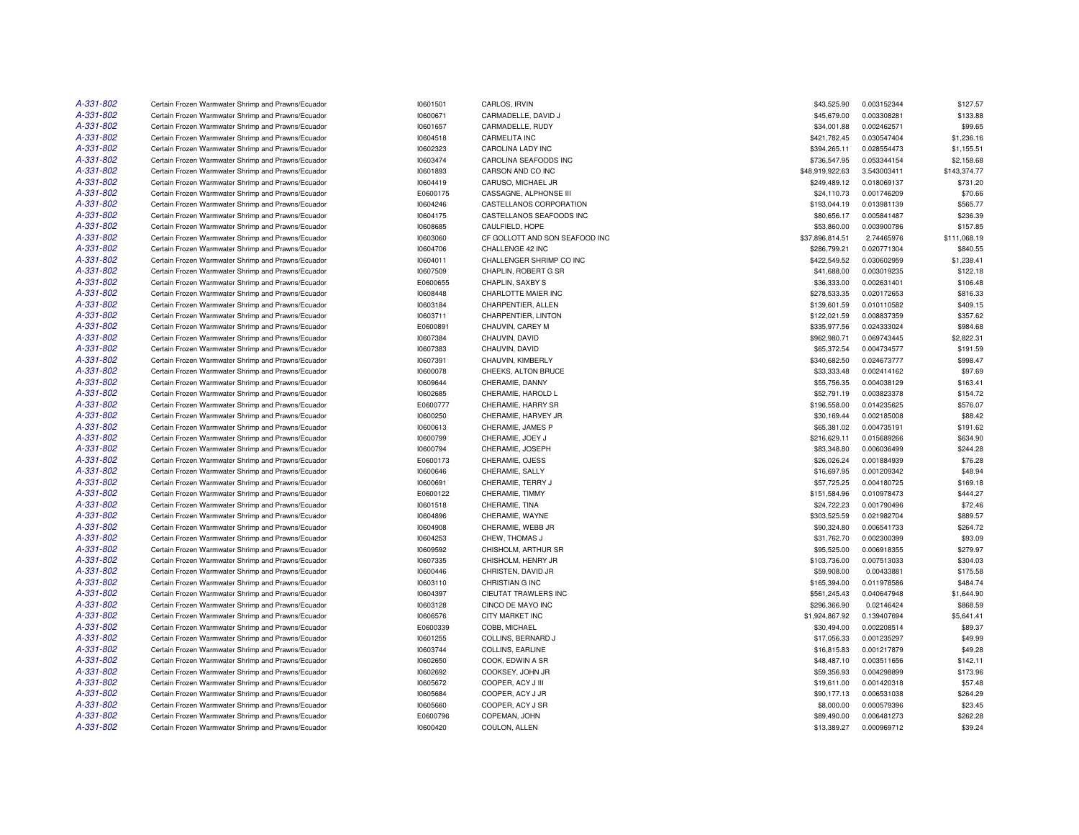| A-331-802 | Certain Frozen Warmwater Shrimp and Prawns/Ecuador | 10601501 | CARLOS, IRVIN                  | \$43,525.90     | 0.003152344 | \$127.57     |
|-----------|----------------------------------------------------|----------|--------------------------------|-----------------|-------------|--------------|
| A-331-802 | Certain Frozen Warmwater Shrimp and Prawns/Ecuador | 10600671 | CARMADELLE, DAVID J            | \$45,679.00     | 0.003308281 | \$133.88     |
| A-331-802 | Certain Frozen Warmwater Shrimp and Prawns/Ecuador | 10601657 | CARMADELLE, RUDY               | \$34,001.88     | 0.002462571 | \$99.65      |
| A-331-802 | Certain Frozen Warmwater Shrimp and Prawns/Ecuador | 10604518 | <b>CARMELITA INC</b>           | \$421,782.45    | 0.030547404 | \$1,236.16   |
| A-331-802 | Certain Frozen Warmwater Shrimp and Prawns/Ecuador | 10602323 | CAROLINA LADY INC              | \$394,265.11    | 0.028554473 | \$1,155.51   |
| A-331-802 | Certain Frozen Warmwater Shrimp and Prawns/Ecuador | 10603474 | CAROLINA SEAFOODS INC          | \$736,547.95    | 0.053344154 | \$2,158.68   |
| A-331-802 | Certain Frozen Warmwater Shrimp and Prawns/Ecuador | 10601893 | CARSON AND CO INC              | \$48,919,922.63 | 3.543003411 | \$143,374.77 |
| A-331-802 | Certain Frozen Warmwater Shrimp and Prawns/Ecuador | 10604419 | CARUSO, MICHAEL JR             | \$249,489.12    | 0.018069137 | \$731.20     |
| A-331-802 | Certain Frozen Warmwater Shrimp and Prawns/Ecuador | E0600175 | CASSAGNE, ALPHONSE III         | \$24,110.73     | 0.001746209 | \$70.66      |
| A-331-802 | Certain Frozen Warmwater Shrimp and Prawns/Ecuador | 10604246 | CASTELLANOS CORPORATION        | \$193,044.19    | 0.013981139 | \$565.77     |
| A-331-802 | Certain Frozen Warmwater Shrimp and Prawns/Ecuador | 10604175 | CASTELLANOS SEAFOODS INC       | \$80,656.17     | 0.005841487 | \$236.39     |
| A-331-802 | Certain Frozen Warmwater Shrimp and Prawns/Ecuador | 10608685 | CAULFIELD, HOPE                | \$53,860.00     | 0.003900786 | \$157.85     |
| A-331-802 | Certain Frozen Warmwater Shrimp and Prawns/Ecuador | 10603060 | CF GOLLOTT AND SON SEAFOOD INC | \$37,896,814.51 | 2.74465976  | \$111,068.19 |
| A-331-802 | Certain Frozen Warmwater Shrimp and Prawns/Ecuador | 10604706 | CHALLENGE 42 INC               | \$286,799.21    | 0.020771304 | \$840.55     |
| A-331-802 | Certain Frozen Warmwater Shrimp and Prawns/Ecuador | 10604011 | CHALLENGER SHRIMP CO INC       | \$422,549.52    | 0.030602959 | \$1,238.41   |
| A-331-802 | Certain Frozen Warmwater Shrimp and Prawns/Ecuador | 10607509 | CHAPLIN, ROBERT G SR           | \$41,688.00     | 0.003019235 | \$122.18     |
| A-331-802 | Certain Frozen Warmwater Shrimp and Prawns/Ecuador | E0600655 | CHAPLIN, SAXBY S               | \$36,333.00     | 0.002631401 | \$106.48     |
| A-331-802 | Certain Frozen Warmwater Shrimp and Prawns/Ecuador | 10608448 | CHARLOTTE MAIER INC            | \$278,533.35    | 0.020172653 | \$816.33     |
| A-331-802 | Certain Frozen Warmwater Shrimp and Prawns/Ecuador | 10603184 | CHARPENTIER, ALLEN             | \$139,601.59    | 0.010110582 | \$409.15     |
| A-331-802 | Certain Frozen Warmwater Shrimp and Prawns/Ecuador | 10603711 | CHARPENTIER, LINTON            | \$122,021.59    | 0.008837359 | \$357.62     |
| A-331-802 | Certain Frozen Warmwater Shrimp and Prawns/Ecuador | E0600891 | CHAUVIN, CAREY M               | \$335,977.56    | 0.024333024 | \$984.68     |
| A-331-802 | Certain Frozen Warmwater Shrimp and Prawns/Ecuador | 10607384 | CHAUVIN, DAVID                 | \$962,980.71    | 0.069743445 | \$2,822.31   |
| A-331-802 | Certain Frozen Warmwater Shrimp and Prawns/Ecuador | 10607383 | CHAUVIN, DAVID                 | \$65,372.54     | 0.004734577 | \$191.59     |
| A-331-802 | Certain Frozen Warmwater Shrimp and Prawns/Ecuador | 10607391 | CHAUVIN, KIMBERLY              | \$340,682.50    | 0.024673777 | \$998.47     |
| A-331-802 | Certain Frozen Warmwater Shrimp and Prawns/Ecuador | 10600078 | CHEEKS, ALTON BRUCE            | \$33,333.48     | 0.002414162 | \$97.69      |
| A-331-802 | Certain Frozen Warmwater Shrimp and Prawns/Ecuador | 10609644 | CHERAMIE, DANNY                | \$55,756.35     | 0.004038129 | \$163.41     |
| A-331-802 | Certain Frozen Warmwater Shrimp and Prawns/Ecuador | 10602685 | CHERAMIE, HAROLD L             | \$52,791.19     | 0.003823378 | \$154.72     |
| A-331-802 | Certain Frozen Warmwater Shrimp and Prawns/Ecuador | E0600777 | CHERAMIE, HARRY SR             | \$196,558.00    | 0.014235625 | \$576.07     |
| A-331-802 | Certain Frozen Warmwater Shrimp and Prawns/Ecuador | 10600250 | CHERAMIE, HARVEY JR            | \$30,169.44     | 0.002185008 | \$88.42      |
| A-331-802 | Certain Frozen Warmwater Shrimp and Prawns/Ecuador | 10600613 | CHERAMIE, JAMES P              | \$65,381.02     | 0.004735191 | \$191.62     |
| A-331-802 | Certain Frozen Warmwater Shrimp and Prawns/Ecuador | 10600799 | CHERAMIE, JOEY J               | \$216,629.11    | 0.015689266 | \$634.90     |
| A-331-802 | Certain Frozen Warmwater Shrimp and Prawns/Ecuador | 10600794 | CHERAMIE, JOSEPH               | \$83,348.80     | 0.006036499 | \$244.28     |
| A-331-802 | Certain Frozen Warmwater Shrimp and Prawns/Ecuador | E0600173 | CHERAMIE, OJESS                | \$26,026.24     | 0.001884939 | \$76.28      |
| A-331-802 | Certain Frozen Warmwater Shrimp and Prawns/Ecuador | 10600646 | CHERAMIE, SALLY                | \$16,697.95     | 0.001209342 | \$48.94      |
| A-331-802 | Certain Frozen Warmwater Shrimp and Prawns/Ecuador | 10600691 | CHERAMIE, TERRY J              | \$57,725.25     | 0.004180725 | \$169.18     |
| A-331-802 | Certain Frozen Warmwater Shrimp and Prawns/Ecuador | E0600122 | CHERAMIE, TIMMY                | \$151,584.96    | 0.010978473 | \$444.27     |
| A-331-802 | Certain Frozen Warmwater Shrimp and Prawns/Ecuador | 10601518 | CHERAMIE, TINA                 | \$24,722.23     | 0.001790496 | \$72.46      |
| A-331-802 | Certain Frozen Warmwater Shrimp and Prawns/Ecuador | 10604896 | CHERAMIE, WAYNE                | \$303,525.59    | 0.021982704 | \$889.57     |
| A-331-802 | Certain Frozen Warmwater Shrimp and Prawns/Ecuador | 10604908 | CHERAMIE, WEBB JR              | \$90,324.80     | 0.006541733 | \$264.72     |
| A-331-802 | Certain Frozen Warmwater Shrimp and Prawns/Ecuador | 10604253 | CHEW, THOMAS J                 | \$31,762.70     | 0.002300399 | \$93.09      |
| A-331-802 | Certain Frozen Warmwater Shrimp and Prawns/Ecuador | 10609592 | CHISHOLM, ARTHUR SR            | \$95,525.00     | 0.006918355 | \$279.97     |
| A-331-802 | Certain Frozen Warmwater Shrimp and Prawns/Ecuador | 10607335 | CHISHOLM, HENRY JR             | \$103,736.00    | 0.007513033 | \$304.03     |
| A-331-802 | Certain Frozen Warmwater Shrimp and Prawns/Ecuador | 10600446 | CHRISTEN, DAVID JR             | \$59,908.00     | 0.00433881  | \$175.58     |
| A-331-802 | Certain Frozen Warmwater Shrimp and Prawns/Ecuador | 10603110 | CHRISTIAN G INC                | \$165,394.00    | 0.011978586 | \$484.74     |
| A-331-802 | Certain Frozen Warmwater Shrimp and Prawns/Ecuador | 10604397 | CIEUTAT TRAWLERS INC           | \$561,245.43    | 0.040647948 | \$1,644.90   |
| A-331-802 | Certain Frozen Warmwater Shrimp and Prawns/Ecuador | 10603128 | CINCO DE MAYO INC              | \$296,366.90    | 0.02146424  | \$868.59     |
| A-331-802 | Certain Frozen Warmwater Shrimp and Prawns/Ecuador | 10606576 | CITY MARKET INC                | \$1,924,867.92  | 0.139407694 | \$5,641.41   |
| A-331-802 | Certain Frozen Warmwater Shrimp and Prawns/Ecuador | E0600339 | COBB, MICHAEL                  | \$30,494.00     | 0.002208514 | \$89.37      |
| A-331-802 | Certain Frozen Warmwater Shrimp and Prawns/Ecuador | 10601255 | COLLINS, BERNARD J             | \$17,056.33     | 0.001235297 | \$49.99      |
| A-331-802 | Certain Frozen Warmwater Shrimp and Prawns/Ecuador | 10603744 | COLLINS, EARLINE               | \$16,815.83     | 0.001217879 | \$49.28      |
| A-331-802 | Certain Frozen Warmwater Shrimp and Prawns/Ecuador | 10602650 | COOK, EDWIN A SR               | \$48,487.10     | 0.003511656 | \$142.11     |
| A-331-802 | Certain Frozen Warmwater Shrimp and Prawns/Ecuador | 10602692 | COOKSEY, JOHN JR               | \$59,356.93     | 0.004298899 | \$173.96     |
| A-331-802 | Certain Frozen Warmwater Shrimp and Prawns/Ecuador | 10605672 | COOPER, ACY J III              | \$19,611.00     | 0.001420318 | \$57.48      |
| A-331-802 | Certain Frozen Warmwater Shrimp and Prawns/Ecuador | 10605684 | COOPER, ACY J JR               | \$90,177.13     | 0.006531038 | \$264.29     |
| A-331-802 | Certain Frozen Warmwater Shrimp and Prawns/Ecuador | 10605660 | COOPER, ACY J SR               | \$8,000.00      | 0.000579396 | \$23.45      |
| A-331-802 | Certain Frozen Warmwater Shrimp and Prawns/Ecuador | E0600796 | COPEMAN, JOHN                  | \$89,490.00     | 0.006481273 | \$262.28     |
| A-331-802 | Certain Frozen Warmwater Shrimp and Prawns/Ecuador | 10600420 | COULON, ALLEN                  | \$13,389.27     | 0.000969712 | \$39.24      |
|           |                                                    |          |                                |                 |             |              |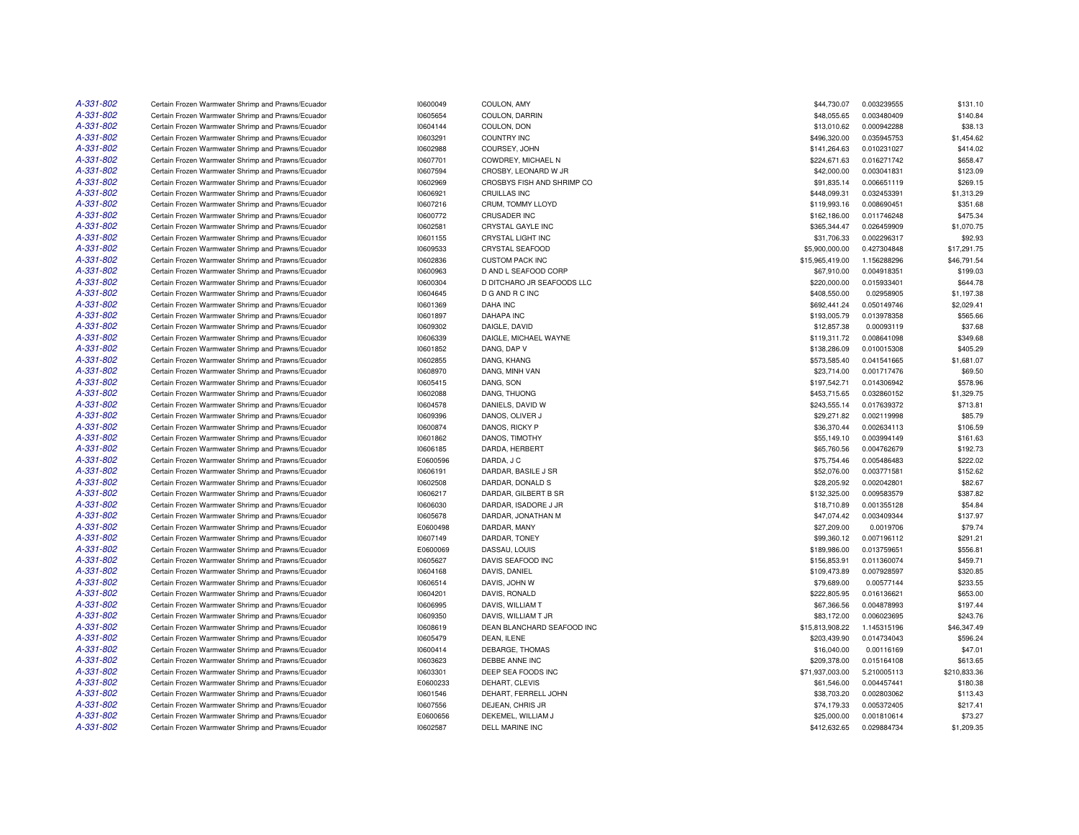| A-331-802 | Certain Frozen Warmwater Shrimp and Prawns/Ecuador | 10600049 | COULON, AMY                | \$44,730.07     | 0.003239555 | \$131.10     |
|-----------|----------------------------------------------------|----------|----------------------------|-----------------|-------------|--------------|
| A-331-802 | Certain Frozen Warmwater Shrimp and Prawns/Ecuador | 10605654 | COULON, DARRIN             | \$48,055.65     | 0.003480409 | \$140.84     |
| A-331-802 | Certain Frozen Warmwater Shrimp and Prawns/Ecuador | 10604144 | COULON, DON                | \$13,010.62     | 0.000942288 | \$38.13      |
| A-331-802 | Certain Frozen Warmwater Shrimp and Prawns/Ecuador | 10603291 | <b>COUNTRY INC</b>         | \$496,320.00    | 0.035945753 | \$1,454.62   |
| A-331-802 | Certain Frozen Warmwater Shrimp and Prawns/Ecuador | 10602988 | COURSEY, JOHN              | \$141.264.63    | 0.010231027 | \$414.02     |
| A-331-802 | Certain Frozen Warmwater Shrimp and Prawns/Ecuador | 10607701 | COWDREY, MICHAEL N         | \$224,671.63    | 0.016271742 | \$658.47     |
| A-331-802 | Certain Frozen Warmwater Shrimp and Prawns/Ecuador | 10607594 | CROSBY, LEONARD W JR       | \$42,000.00     | 0.003041831 | \$123.09     |
| A-331-802 | Certain Frozen Warmwater Shrimp and Prawns/Ecuador | 10602969 | CROSBYS FISH AND SHRIMP CO | \$91,835.14     | 0.006651119 | \$269.15     |
| A-331-802 | Certain Frozen Warmwater Shrimp and Prawns/Ecuador | 10606921 | CRUILLAS INC               | \$448,099.31    | 0.032453391 | \$1,313.29   |
| A-331-802 | Certain Frozen Warmwater Shrimp and Prawns/Ecuador | 10607216 | CRUM, TOMMY LLOYD          | \$119,993.16    | 0.008690451 | \$351.68     |
| A-331-802 | Certain Frozen Warmwater Shrimp and Prawns/Ecuador | 10600772 | CRUSADER INC               | \$162,186.00    | 0.011746248 | \$475.34     |
| A-331-802 | Certain Frozen Warmwater Shrimp and Prawns/Ecuador | 10602581 | CRYSTAL GAYLE INC          | \$365,344.47    | 0.026459909 | \$1,070.75   |
| A-331-802 | Certain Frozen Warmwater Shrimp and Prawns/Ecuador | 10601155 | CRYSTAL LIGHT INC          | \$31,706.33     | 0.002296317 | \$92.93      |
| A-331-802 | Certain Frozen Warmwater Shrimp and Prawns/Ecuador | 10609533 | CRYSTAL SEAFOOD            | \$5,900,000.00  | 0.427304848 | \$17,291.75  |
| A-331-802 | Certain Frozen Warmwater Shrimp and Prawns/Ecuador | 10602836 | <b>CUSTOM PACK INC</b>     | \$15,965,419.00 | 1.156288296 | \$46,791.54  |
| A-331-802 | Certain Frozen Warmwater Shrimp and Prawns/Ecuador | 10600963 | D AND L SEAFOOD CORP       | \$67,910.00     | 0.004918351 | \$199.03     |
| A-331-802 | Certain Frozen Warmwater Shrimp and Prawns/Ecuador | 10600304 | D DITCHARO JR SEAFOODS LLC | \$220,000.00    | 0.015933401 | \$644.78     |
| A-331-802 | Certain Frozen Warmwater Shrimp and Prawns/Ecuador | 10604645 | D G AND R C INC            | \$408,550.00    | 0.02958905  | \$1,197.38   |
| A-331-802 | Certain Frozen Warmwater Shrimp and Prawns/Ecuador | 10601369 | <b>DAHA INC</b>            | \$692,441.24    | 0.050149746 | \$2,029.41   |
| A-331-802 | Certain Frozen Warmwater Shrimp and Prawns/Ecuador | 10601897 | <b>DAHAPA INC</b>          | \$193,005.79    | 0.013978358 | \$565.66     |
| A-331-802 | Certain Frozen Warmwater Shrimp and Prawns/Ecuador | 10609302 | DAIGLE, DAVID              | \$12,857.38     | 0.00093119  | \$37.68      |
| A-331-802 | Certain Frozen Warmwater Shrimp and Prawns/Ecuador | 10606339 | DAIGLE, MICHAEL WAYNE      | \$119,311.72    | 0.008641098 | \$349.68     |
| A-331-802 | Certain Frozen Warmwater Shrimp and Prawns/Ecuador | 10601852 | DANG, DAP V                | \$138,286.09    | 0.010015308 | \$405.29     |
| A-331-802 | Certain Frozen Warmwater Shrimp and Prawns/Ecuador | 10602855 | DANG, KHANG                | \$573,585.40    | 0.041541665 | \$1,681.07   |
| A-331-802 | Certain Frozen Warmwater Shrimp and Prawns/Ecuador | 10608970 | DANG, MINH VAN             | \$23,714.00     | 0.001717476 | \$69.50      |
| A-331-802 | Certain Frozen Warmwater Shrimp and Prawns/Ecuador | 10605415 | DANG, SON                  | \$197,542.71    | 0.014306942 | \$578.96     |
| A-331-802 | Certain Frozen Warmwater Shrimp and Prawns/Ecuador | 10602088 | DANG, THUONG               | \$453,715.65    | 0.032860152 | \$1,329.75   |
| A-331-802 | Certain Frozen Warmwater Shrimp and Prawns/Ecuador | 10604578 | DANIELS, DAVID W           | \$243,555.14    | 0.017639372 | \$713.81     |
| A-331-802 | Certain Frozen Warmwater Shrimp and Prawns/Ecuador | 10609396 | DANOS, OLIVER J            | \$29,271.82     | 0.002119998 | \$85.79      |
| A-331-802 | Certain Frozen Warmwater Shrimp and Prawns/Ecuador | 10600874 | DANOS, RICKY P             | \$36,370.44     | 0.002634113 | \$106.59     |
| A-331-802 | Certain Frozen Warmwater Shrimp and Prawns/Ecuador | 10601862 | DANOS, TIMOTHY             | \$55,149.10     | 0.003994149 | \$161.63     |
| A-331-802 | Certain Frozen Warmwater Shrimp and Prawns/Ecuador | 10606185 | DARDA, HERBERT             | \$65,760.56     | 0.004762679 | \$192.73     |
| A-331-802 | Certain Frozen Warmwater Shrimp and Prawns/Ecuador | E0600596 | DARDA, J C                 | \$75,754.46     | 0.005486483 | \$222.02     |
| A-331-802 | Certain Frozen Warmwater Shrimp and Prawns/Ecuador | 10606191 | DARDAR, BASILE J SR        | \$52,076.00     | 0.003771581 | \$152.62     |
| A-331-802 | Certain Frozen Warmwater Shrimp and Prawns/Ecuador | 10602508 | DARDAR, DONALD S           | \$28,205.92     | 0.002042801 | \$82.67      |
| A-331-802 | Certain Frozen Warmwater Shrimp and Prawns/Ecuador | 10606217 | DARDAR, GILBERT B SR       | \$132,325.00    | 0.009583579 | \$387.82     |
| A-331-802 | Certain Frozen Warmwater Shrimp and Prawns/Ecuador | 10606030 | DARDAR, ISADORE J JR       | \$18,710.89     | 0.001355128 | \$54.84      |
| A-331-802 | Certain Frozen Warmwater Shrimp and Prawns/Ecuador | 10605678 | DARDAR, JONATHAN M         | \$47,074.42     | 0.003409344 | \$137.97     |
| A-331-802 | Certain Frozen Warmwater Shrimp and Prawns/Ecuador | E0600498 | DARDAR, MANY               | \$27,209.00     | 0.0019706   | \$79.74      |
| A-331-802 | Certain Frozen Warmwater Shrimp and Prawns/Ecuador | 10607149 | DARDAR, TONEY              | \$99,360.12     | 0.007196112 | \$291.21     |
| A-331-802 | Certain Frozen Warmwater Shrimp and Prawns/Ecuador |          |                            | \$189,986.00    |             | \$556.81     |
| A-331-802 |                                                    | E0600069 | DASSAU, LOUIS              |                 | 0.013759651 |              |
| A-331-802 | Certain Frozen Warmwater Shrimp and Prawns/Ecuador | 10605627 | DAVIS SEAFOOD INC          | \$156,853.91    | 0.011360074 | \$459.71     |
| A-331-802 | Certain Frozen Warmwater Shrimp and Prawns/Ecuador | 10604168 | DAVIS, DANIEL              | \$109,473.89    | 0.007928597 | \$320.85     |
|           | Certain Frozen Warmwater Shrimp and Prawns/Ecuador | 10606514 | DAVIS, JOHN W              | \$79,689.00     | 0.00577144  | \$233.55     |
| A-331-802 | Certain Frozen Warmwater Shrimp and Prawns/Ecuador | 10604201 | DAVIS, RONALD              | \$222,805.95    | 0.016136621 | \$653.00     |
| A-331-802 | Certain Frozen Warmwater Shrimp and Prawns/Ecuador | 10606995 | DAVIS, WILLIAM T           | \$67,366.56     | 0.004878993 | \$197.44     |
| A-331-802 | Certain Frozen Warmwater Shrimp and Prawns/Ecuador | 10609350 | DAVIS, WILLIAM T JR        | \$83,172.00     | 0.006023695 | \$243.76     |
| A-331-802 | Certain Frozen Warmwater Shrimp and Prawns/Ecuador | 10608619 | DEAN BLANCHARD SEAFOOD INC | \$15,813,908.22 | 1.145315196 | \$46,347.49  |
| A-331-802 | Certain Frozen Warmwater Shrimp and Prawns/Ecuador | 10605479 | DEAN, ILENE                | \$203,439.90    | 0.014734043 | \$596.24     |
| A-331-802 | Certain Frozen Warmwater Shrimp and Prawns/Ecuador | 10600414 | DEBARGE, THOMAS            | \$16,040.00     | 0.00116169  | \$47.01      |
| A-331-802 | Certain Frozen Warmwater Shrimp and Prawns/Ecuador | 10603623 | DEBBE ANNE INC             | \$209,378.00    | 0.015164108 | \$613.65     |
| A-331-802 | Certain Frozen Warmwater Shrimp and Prawns/Ecuador | 10603301 | DEEP SEA FOODS INC         | \$71,937,003.00 | 5.210005113 | \$210,833.36 |
| A-331-802 | Certain Frozen Warmwater Shrimp and Prawns/Ecuador | E0600233 | DEHART, CLEVIS             | \$61,546.00     | 0.004457441 | \$180.38     |
| A-331-802 | Certain Frozen Warmwater Shrimp and Prawns/Ecuador | 10601546 | DEHART, FERRELL JOHN       | \$38,703.20     | 0.002803062 | \$113.43     |
| A-331-802 | Certain Frozen Warmwater Shrimp and Prawns/Ecuador | 10607556 | DEJEAN, CHRIS JR           | \$74,179.33     | 0.005372405 | \$217.41     |
| A-331-802 | Certain Frozen Warmwater Shrimp and Prawns/Ecuador | E0600656 | DEKEMEL, WILLIAM J         | \$25,000.00     | 0.001810614 | \$73.27      |
| A-331-802 | Certain Frozen Warmwater Shrimp and Prawns/Ecuador | 10602587 | DELL MARINE INC            | \$412,632.65    | 0.029884734 | \$1,209.35   |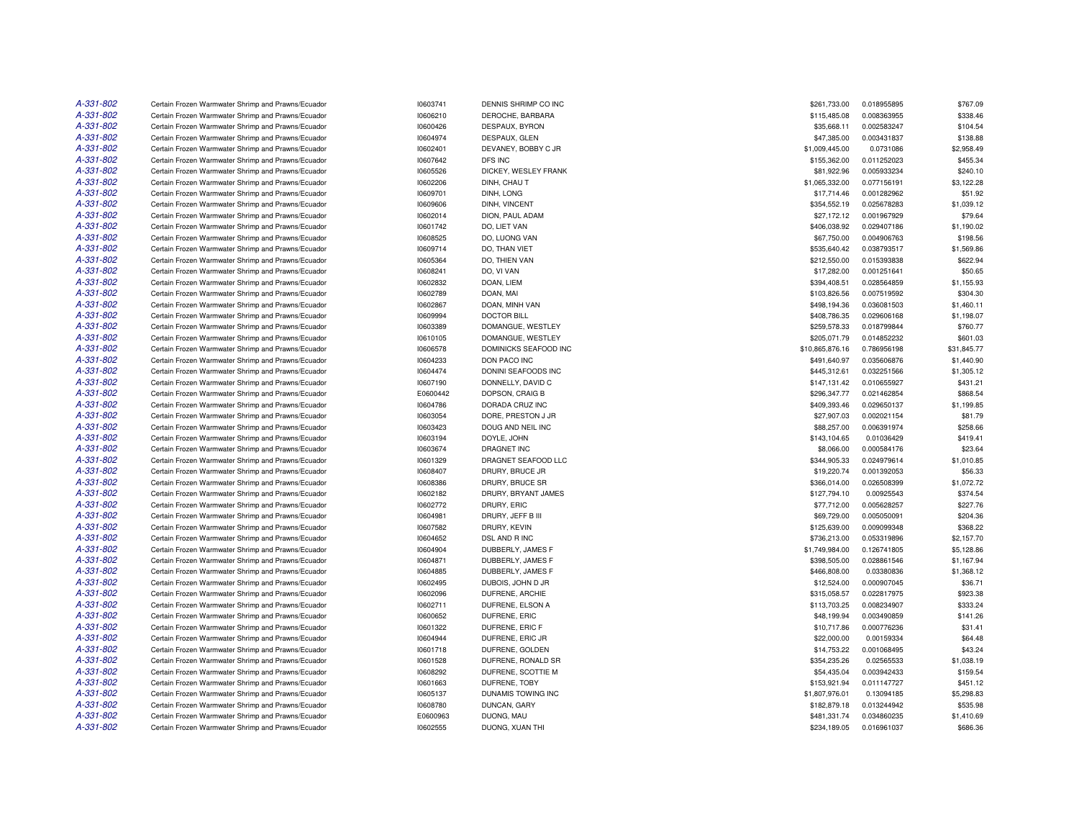| A-331-802 | Certain Frozen Warmwater Shrimp and Prawns/Ecuador | 10603741             | DENNIS SHRIMP CO INC  | \$261,733.00    | 0.018955895 | \$767.09                |
|-----------|----------------------------------------------------|----------------------|-----------------------|-----------------|-------------|-------------------------|
| A-331-802 | Certain Frozen Warmwater Shrimp and Prawns/Ecuador | 10606210             | DEROCHE, BARBARA      | \$115,485.08    | 0.008363955 | \$338.46                |
| A-331-802 | Certain Frozen Warmwater Shrimp and Prawns/Ecuador | 10600426             | DESPAUX, BYRON        | \$35,668.11     | 0.002583247 | \$104.54                |
| A-331-802 | Certain Frozen Warmwater Shrimp and Prawns/Ecuador | 10604974             | DESPAUX, GLEN         | \$47,385.00     | 0.003431837 | \$138.88                |
| A-331-802 | Certain Frozen Warmwater Shrimp and Prawns/Ecuador | 10602401             | DEVANEY, BOBBY C JR   | \$1,009,445.00  | 0.0731086   | \$2,958.49              |
| A-331-802 | Certain Frozen Warmwater Shrimp and Prawns/Ecuador | 10607642             | DFS INC               | \$155,362.00    | 0.011252023 | \$455.34                |
| A-331-802 | Certain Frozen Warmwater Shrimp and Prawns/Ecuador | 10605526             | DICKEY, WESLEY FRANK  | \$81,922.96     | 0.005933234 | \$240.10                |
| A-331-802 | Certain Frozen Warmwater Shrimp and Prawns/Ecuador | 10602206             | DINH, CHAU T          | \$1,065,332.00  | 0.077156191 | \$3,122.28              |
| A-331-802 | Certain Frozen Warmwater Shrimp and Prawns/Ecuador | 10609701             | DINH, LONG            | \$17,714.46     | 0.001282962 | \$51.92                 |
| A-331-802 | Certain Frozen Warmwater Shrimp and Prawns/Ecuador | 10609606             | DINH, VINCENT         | \$354,552.19    | 0.025678283 | \$1,039.12              |
| A-331-802 | Certain Frozen Warmwater Shrimp and Prawns/Ecuador | 10602014             | DION, PAUL ADAM       | \$27,172.12     | 0.001967929 | \$79.64                 |
| A-331-802 | Certain Frozen Warmwater Shrimp and Prawns/Ecuador | 10601742             | DO, LIET VAN          | \$406,038.92    | 0.029407186 | \$1,190.02              |
| A-331-802 | Certain Frozen Warmwater Shrimp and Prawns/Ecuador | 10608525             | DO, LUONG VAN         | \$67,750.00     | 0.004906763 | \$198.56                |
| A-331-802 | Certain Frozen Warmwater Shrimp and Prawns/Ecuador | 10609714             | DO, THAN VIET         | \$535,640.42    | 0.038793517 | \$1,569.86              |
| A-331-802 | Certain Frozen Warmwater Shrimp and Prawns/Ecuador | 10605364             | DO, THIEN VAN         | \$212,550.00    | 0.015393838 | \$622.94                |
| A-331-802 | Certain Frozen Warmwater Shrimp and Prawns/Ecuador | 10608241             | DO, VI VAN            | \$17,282.00     | 0.001251641 | \$50.65                 |
| A-331-802 | Certain Frozen Warmwater Shrimp and Prawns/Ecuador | 10602832             | DOAN, LIEM            | \$394,408.51    | 0.028564859 | \$1,155.93              |
| A-331-802 | Certain Frozen Warmwater Shrimp and Prawns/Ecuador | 10602789             | DOAN, MAI             | \$103,826.56    | 0.007519592 | \$304.30                |
| A-331-802 | Certain Frozen Warmwater Shrimp and Prawns/Ecuador | 10602867             | DOAN, MINH VAN        | \$498,194.36    | 0.036081503 | \$1,460.11              |
| A-331-802 | Certain Frozen Warmwater Shrimp and Prawns/Ecuador | 10609994             | <b>DOCTOR BILL</b>    | \$408,786.35    | 0.029606168 | \$1,198.07              |
| A-331-802 | Certain Frozen Warmwater Shrimp and Prawns/Ecuador | 10603389             | DOMANGUE, WESTLEY     | \$259,578.33    | 0.018799844 | \$760.77                |
| A-331-802 |                                                    |                      |                       |                 | 0.014852232 |                         |
| A-331-802 | Certain Frozen Warmwater Shrimp and Prawns/Ecuador | 10610105<br>10606578 | DOMANGUE, WESTLEY     | \$205,071.79    |             | \$601.03<br>\$31,845.77 |
| A-331-802 | Certain Frozen Warmwater Shrimp and Prawns/Ecuador |                      | DOMINICKS SEAFOOD INC | \$10,865,876.16 | 0.786956198 |                         |
|           | Certain Frozen Warmwater Shrimp and Prawns/Ecuador | 10604233             | DON PACO INC          | \$491,640.97    | 0.035606876 | \$1,440.90              |
| A-331-802 | Certain Frozen Warmwater Shrimp and Prawns/Ecuador | 10604474             | DONINI SEAFOODS INC   | \$445,312.61    | 0.032251566 | \$1,305.12              |
| A-331-802 | Certain Frozen Warmwater Shrimp and Prawns/Ecuador | 10607190             | DONNELLY, DAVID C     | \$147,131.42    | 0.010655927 | \$431.21                |
| A-331-802 | Certain Frozen Warmwater Shrimp and Prawns/Ecuador | E0600442             | DOPSON, CRAIG B       | \$296,347.77    | 0.021462854 | \$868.54                |
| A-331-802 | Certain Frozen Warmwater Shrimp and Prawns/Ecuador | 10604786             | DORADA CRUZ INC       | \$409,393.46    | 0.029650137 | \$1,199.85              |
| A-331-802 | Certain Frozen Warmwater Shrimp and Prawns/Ecuador | 10603054             | DORE, PRESTON J JR    | \$27,907.03     | 0.002021154 | \$81.79                 |
| A-331-802 | Certain Frozen Warmwater Shrimp and Prawns/Ecuador | 10603423             | DOUG AND NEIL INC     | \$88,257.00     | 0.006391974 | \$258.66                |
| A-331-802 | Certain Frozen Warmwater Shrimp and Prawns/Ecuador | 10603194             | DOYLE, JOHN           | \$143,104.65    | 0.01036429  | \$419.41                |
| A-331-802 | Certain Frozen Warmwater Shrimp and Prawns/Ecuador | 10603674             | DRAGNET INC           | \$8,066.00      | 0.000584176 | \$23.64                 |
| A-331-802 | Certain Frozen Warmwater Shrimp and Prawns/Ecuador | 10601329             | DRAGNET SEAFOOD LLC   | \$344,905.33    | 0.024979614 | \$1,010.85              |
| A-331-802 | Certain Frozen Warmwater Shrimp and Prawns/Ecuador | 10608407             | DRURY, BRUCE JR       | \$19,220.74     | 0.001392053 | \$56.33                 |
| A-331-802 | Certain Frozen Warmwater Shrimp and Prawns/Ecuador | 10608386             | DRURY, BRUCE SR       | \$366,014.00    | 0.026508399 | \$1,072.72              |
| A-331-802 | Certain Frozen Warmwater Shrimp and Prawns/Ecuador | 10602182             | DRURY, BRYANT JAMES   | \$127,794.10    | 0.00925543  | \$374.54                |
| A-331-802 | Certain Frozen Warmwater Shrimp and Prawns/Ecuador | 10602772             | DRURY, ERIC           | \$77,712.00     | 0.005628257 | \$227.76                |
| A-331-802 | Certain Frozen Warmwater Shrimp and Prawns/Ecuador | 10604981             | DRURY, JEFF B III     | \$69,729.00     | 0.005050091 | \$204.36                |
| A-331-802 | Certain Frozen Warmwater Shrimp and Prawns/Ecuador | 10607582             | DRURY, KEVIN          | \$125,639.00    | 0.009099348 | \$368.22                |
| A-331-802 | Certain Frozen Warmwater Shrimp and Prawns/Ecuador | 10604652             | DSL AND R INC         | \$736,213.00    | 0.053319896 | \$2,157.70              |
| A-331-802 | Certain Frozen Warmwater Shrimp and Prawns/Ecuador | 10604904             | DUBBERLY, JAMES F     | \$1,749,984.00  | 0.126741805 | \$5,128.86              |
| A-331-802 | Certain Frozen Warmwater Shrimp and Prawns/Ecuador | 10604871             | DUBBERLY, JAMES F     | \$398,505.00    | 0.028861546 | \$1,167.94              |
| A-331-802 | Certain Frozen Warmwater Shrimp and Prawns/Ecuador | 10604885             | DUBBERLY, JAMES F     | \$466,808.00    | 0.03380836  | \$1,368.12              |
| A-331-802 | Certain Frozen Warmwater Shrimp and Prawns/Ecuador | 10602495             | DUBOIS, JOHN D JR     | \$12,524.00     | 0.000907045 | \$36.71                 |
| A-331-802 | Certain Frozen Warmwater Shrimp and Prawns/Ecuador | 10602096             | DUFRENE, ARCHIE       | \$315,058.57    | 0.022817975 | \$923.38                |
| A-331-802 | Certain Frozen Warmwater Shrimp and Prawns/Ecuador | 10602711             | DUFRENE, ELSON A      | \$113,703.25    | 0.008234907 | \$333.24                |
| A-331-802 | Certain Frozen Warmwater Shrimp and Prawns/Ecuador | 10600652             | DUFRENE, ERIC         | \$48,199.94     | 0.003490859 | \$141.26                |
| A-331-802 | Certain Frozen Warmwater Shrimp and Prawns/Ecuador | 10601322             | DUFRENE, ERIC F       | \$10,717.86     | 0.000776236 | \$31.41                 |
| A-331-802 | Certain Frozen Warmwater Shrimp and Prawns/Ecuador | 10604944             | DUFRENE, ERIC JR      | \$22,000.00     | 0.00159334  | \$64.48                 |
| A-331-802 | Certain Frozen Warmwater Shrimp and Prawns/Ecuador | 10601718             | DUFRENE, GOLDEN       | \$14,753.22     | 0.001068495 | \$43.24                 |
| A-331-802 | Certain Frozen Warmwater Shrimp and Prawns/Ecuador | 10601528             | DUFRENE, RONALD SR    | \$354,235.26    | 0.02565533  | \$1,038.19              |
| A-331-802 | Certain Frozen Warmwater Shrimp and Prawns/Ecuador | 10608292             | DUFRENE, SCOTTIE M    | \$54,435.04     | 0.003942433 | \$159.54                |
| A-331-802 | Certain Frozen Warmwater Shrimp and Prawns/Ecuador | 10601663             | DUFRENE, TOBY         | \$153,921.94    | 0.011147727 | \$451.12                |
| A-331-802 | Certain Frozen Warmwater Shrimp and Prawns/Ecuador | 10605137             | DUNAMIS TOWING INC    | \$1,807,976.01  | 0.13094185  | \$5,298.83              |
| A-331-802 | Certain Frozen Warmwater Shrimp and Prawns/Ecuador | 10608780             | DUNCAN, GARY          | \$182,879.18    | 0.013244942 | \$535.98                |
| A-331-802 | Certain Frozen Warmwater Shrimp and Prawns/Ecuador | E0600963             | DUONG, MAU            | \$481,331,74    | 0.034860235 | \$1,410.69              |
| A-331-802 | Certain Frozen Warmwater Shrimp and Prawns/Ecuador | 10602555             | DUONG, XUAN THI       | \$234,189.05    | 0.016961037 | \$686.36                |
|           |                                                    |                      |                       |                 |             |                         |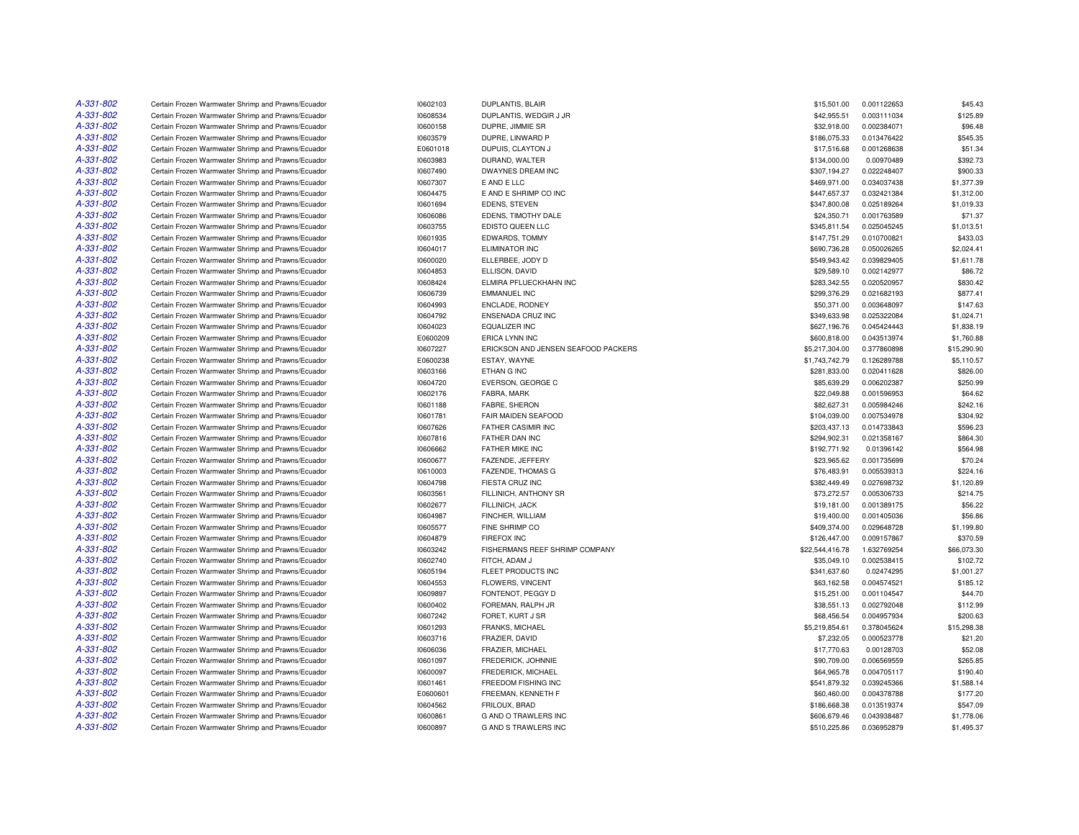| A-331-802 | Certain Frozen Warmwater Shrimp and Prawns/Ecuador | 10602103 | <b>DUPLANTIS, BLAIR</b>             | \$15,501.00     | 0.001122653 | \$45.43     |
|-----------|----------------------------------------------------|----------|-------------------------------------|-----------------|-------------|-------------|
| A-331-802 | Certain Frozen Warmwater Shrimp and Prawns/Ecuador | 10608534 | DUPLANTIS, WEDGIR J JR              | \$42,955.51     | 0.003111034 | \$125.89    |
| A-331-802 | Certain Frozen Warmwater Shrimp and Prawns/Ecuador | 10600158 | DUPRE, JIMMIE SR                    | \$32,918.00     | 0.002384071 | \$96.48     |
| A-331-802 | Certain Frozen Warmwater Shrimp and Prawns/Ecuador | 10603579 | DUPRE, LINWARD P                    | \$186,075.33    | 0.013476422 | \$545.35    |
| A-331-802 | Certain Frozen Warmwater Shrimp and Prawns/Ecuador | E0601018 | DUPUIS, CLAYTON J                   | \$17,516.68     | 0.001268638 | \$51.34     |
| A-331-802 | Certain Frozen Warmwater Shrimp and Prawns/Ecuador | 10603983 | DURAND, WALTER                      | \$134,000.00    | 0.00970489  | \$392.73    |
| A-331-802 | Certain Frozen Warmwater Shrimp and Prawns/Ecuador | 10607490 | DWAYNES DREAM INC                   | \$307,194.27    | 0.022248407 | \$900.33    |
| A-331-802 | Certain Frozen Warmwater Shrimp and Prawns/Ecuador | 10607307 | E AND E LLC                         | \$469,971.00    | 0.034037438 | \$1,377.39  |
| A-331-802 | Certain Frozen Warmwater Shrimp and Prawns/Ecuador | 10604475 | E AND E SHRIMP CO INC               | \$447,657.37    | 0.032421384 | \$1,312.00  |
| A-331-802 | Certain Frozen Warmwater Shrimp and Prawns/Ecuador | 10601694 | EDENS, STEVEN                       | \$347,800.08    | 0.025189264 | \$1,019.33  |
| A-331-802 | Certain Frozen Warmwater Shrimp and Prawns/Ecuador | 10606086 | EDENS, TIMOTHY DALE                 | \$24,350.71     | 0.001763589 | \$71.37     |
| A-331-802 | Certain Frozen Warmwater Shrimp and Prawns/Ecuador | 10603755 | EDISTO QUEEN LLC                    | \$345,811.54    | 0.025045245 | \$1,013.51  |
| A-331-802 | Certain Frozen Warmwater Shrimp and Prawns/Ecuador | 10601935 | EDWARDS, TOMMY                      | \$147,751.29    | 0.010700821 | \$433.03    |
| A-331-802 | Certain Frozen Warmwater Shrimp and Prawns/Ecuador | 10604017 | ELIMINATOR INC                      | \$690,736.28    | 0.050026265 | \$2,024.41  |
| A-331-802 | Certain Frozen Warmwater Shrimp and Prawns/Ecuador | 10600020 | ELLERBEE, JODY D                    | \$549,943.42    | 0.039829405 | \$1,611.78  |
| A-331-802 | Certain Frozen Warmwater Shrimp and Prawns/Ecuador | 10604853 | ELLISON, DAVID                      | \$29,589.10     | 0.002142977 | \$86.72     |
| A-331-802 | Certain Frozen Warmwater Shrimp and Prawns/Ecuador | 10608424 | ELMIRA PFLUECKHAHN INC              | \$283,342.55    | 0.020520957 | \$830.42    |
| A-331-802 | Certain Frozen Warmwater Shrimp and Prawns/Ecuador | 10606739 | <b>EMMANUEL INC</b>                 | \$299,376.29    | 0.021682193 | \$877.41    |
| A-331-802 | Certain Frozen Warmwater Shrimp and Prawns/Ecuador | 10604993 | ENCLADE, RODNEY                     | \$50,371.00     | 0.003648097 | \$147.63    |
| A-331-802 | Certain Frozen Warmwater Shrimp and Prawns/Ecuador | 10604792 | ENSENADA CRUZ INC                   | \$349,633.98    | 0.025322084 | \$1,024.71  |
| A-331-802 | Certain Frozen Warmwater Shrimp and Prawns/Ecuador | 10604023 | <b>EQUALIZER INC</b>                | \$627,196.76    | 0.045424443 | \$1,838.19  |
| A-331-802 | Certain Frozen Warmwater Shrimp and Prawns/Ecuador | E0600209 | <b>ERICA LYNN INC</b>               | \$600,818.00    | 0.043513974 | \$1,760.88  |
| A-331-802 | Certain Frozen Warmwater Shrimp and Prawns/Ecuador | 10607227 | ERICKSON AND JENSEN SEAFOOD PACKERS | \$5,217,304.00  | 0.377860898 | \$15,290.90 |
| A-331-802 | Certain Frozen Warmwater Shrimp and Prawns/Ecuador | E0600238 | ESTAY, WAYNE                        | \$1,743,742.79  | 0.126289788 | \$5,110.57  |
| A-331-802 | Certain Frozen Warmwater Shrimp and Prawns/Ecuador | 10603166 | ETHAN G INC                         | \$281,833.00    | 0.020411628 | \$826.00    |
| A-331-802 | Certain Frozen Warmwater Shrimp and Prawns/Ecuador | 10604720 | EVERSON, GEORGE C                   | \$85,639.29     | 0.006202387 | \$250.99    |
| A-331-802 | Certain Frozen Warmwater Shrimp and Prawns/Ecuador | 10602176 | FABRA, MARK                         | \$22,049.88     | 0.001596953 | \$64.62     |
| A-331-802 | Certain Frozen Warmwater Shrimp and Prawns/Ecuador | 10601188 | FABRE, SHERON                       | \$82,627.31     | 0.005984246 | \$242.16    |
| A-331-802 | Certain Frozen Warmwater Shrimp and Prawns/Ecuador | 10601781 | FAIR MAIDEN SEAFOOD                 | \$104,039.00    | 0.007534978 | \$304.92    |
| A-331-802 | Certain Frozen Warmwater Shrimp and Prawns/Ecuador | 10607626 | <b>FATHER CASIMIR INC</b>           | \$203,437.13    | 0.014733843 | \$596.23    |
| A-331-802 | Certain Frozen Warmwater Shrimp and Prawns/Ecuador | 10607816 | <b>FATHER DAN INC</b>               | \$294,902.31    | 0.021358167 | \$864.30    |
| A-331-802 | Certain Frozen Warmwater Shrimp and Prawns/Ecuador | 10606662 | <b>FATHER MIKE INC</b>              | \$192,771.92    | 0.01396142  | \$564.98    |
| A-331-802 | Certain Frozen Warmwater Shrimp and Prawns/Ecuador | 10600677 | FAZENDE, JEFFERY                    | \$23,965.62     | 0.001735699 | \$70.24     |
| A-331-802 | Certain Frozen Warmwater Shrimp and Prawns/Ecuador | 10610003 | FAZENDE, THOMAS G                   | \$76,483.91     | 0.005539313 | \$224.16    |
| A-331-802 | Certain Frozen Warmwater Shrimp and Prawns/Ecuador | 10604798 | FIESTA CRUZ INC                     | \$382,449.49    | 0.027698732 | \$1,120.89  |
| A-331-802 | Certain Frozen Warmwater Shrimp and Prawns/Ecuador | 10603561 | FILLINICH, ANTHONY SR               | \$73,272.57     | 0.005306733 | \$214.75    |
| A-331-802 | Certain Frozen Warmwater Shrimp and Prawns/Ecuador | 10602677 | FILLINICH, JACK                     | \$19,181.00     | 0.001389175 | \$56.22     |
| A-331-802 | Certain Frozen Warmwater Shrimp and Prawns/Ecuador | 10604987 | FINCHER, WILLIAM                    | \$19,400.00     | 0.001405036 | \$56.86     |
| A-331-802 | Certain Frozen Warmwater Shrimp and Prawns/Ecuador | 10605577 | FINE SHRIMP CO                      | \$409,374.00    | 0.029648728 | \$1,199.80  |
| A-331-802 | Certain Frozen Warmwater Shrimp and Prawns/Ecuador | 10604879 | <b>FIREFOX INC</b>                  | \$126,447.00    | 0.009157867 | \$370.59    |
| A-331-802 | Certain Frozen Warmwater Shrimp and Prawns/Ecuador | 10603242 | FISHERMANS REEF SHRIMP COMPANY      | \$22,544,416.78 | 1.632769254 | \$66,073.30 |
| A-331-802 | Certain Frozen Warmwater Shrimp and Prawns/Ecuador | 10602740 | FITCH, ADAM J                       | \$35,049.10     | 0.002538415 | \$102.72    |
| A-331-802 | Certain Frozen Warmwater Shrimp and Prawns/Ecuador | 10605194 | FLEET PRODUCTS INC                  | \$341,637.60    | 0.02474295  | \$1,001.27  |
| A-331-802 | Certain Frozen Warmwater Shrimp and Prawns/Ecuador | 10604553 | FLOWERS, VINCENT                    | \$63,162.58     | 0.004574521 | \$185.12    |
| A-331-802 | Certain Frozen Warmwater Shrimp and Prawns/Ecuador | 10609897 | FONTENOT, PEGGY D                   | \$15,251.00     | 0.001104547 | \$44.70     |
| A-331-802 | Certain Frozen Warmwater Shrimp and Prawns/Ecuador | 10600402 | FOREMAN, RALPH JR                   | \$38,551.13     | 0.002792048 | \$112.99    |
| A-331-802 | Certain Frozen Warmwater Shrimp and Prawns/Ecuador | 10607242 | FORET, KURT J SR                    | \$68,456.54     | 0.004957934 | \$200.63    |
| A-331-802 | Certain Frozen Warmwater Shrimp and Prawns/Ecuador | 10601293 | FRANKS, MICHAEL                     | \$5,219,854.61  | 0.378045624 | \$15,298.38 |
| A-331-802 | Certain Frozen Warmwater Shrimp and Prawns/Ecuador | 10603716 | FRAZIER, DAVID                      | \$7,232.05      | 0.000523778 | \$21.20     |
| A-331-802 | Certain Frozen Warmwater Shrimp and Prawns/Ecuador | 10606036 | FRAZIER, MICHAEL                    | \$17,770.63     | 0.00128703  | \$52.08     |
| A-331-802 | Certain Frozen Warmwater Shrimp and Prawns/Ecuador | 10601097 | FREDERICK, JOHNNIE                  | \$90,709.00     | 0.006569559 | \$265.85    |
| A-331-802 | Certain Frozen Warmwater Shrimp and Prawns/Ecuador | 10600097 | FREDERICK, MICHAEL                  | \$64,965.78     | 0.004705117 | \$190.40    |
| A-331-802 | Certain Frozen Warmwater Shrimp and Prawns/Ecuador | 10601461 | FREEDOM FISHING INC                 | \$541,879.32    | 0.039245366 | \$1,588.14  |
| A-331-802 | Certain Frozen Warmwater Shrimp and Prawns/Ecuador | E0600601 | FREEMAN, KENNETH F                  | \$60,460.00     | 0.004378788 | \$177.20    |
| A-331-802 | Certain Frozen Warmwater Shrimp and Prawns/Ecuador | 10604562 | FRILOUX, BRAD                       | \$186,668.38    | 0.013519374 | \$547.09    |
| A-331-802 | Certain Frozen Warmwater Shrimp and Prawns/Ecuador | 10600861 | <b>G AND O TRAWLERS INC</b>         | \$606,679.46    | 0.043938487 | \$1,778.06  |
| A-331-802 | Certain Frozen Warmwater Shrimp and Prawns/Ecuador | 10600897 | <b>G AND S TRAWLERS INC</b>         | \$510,225.86    | 0.036952879 | \$1,495.37  |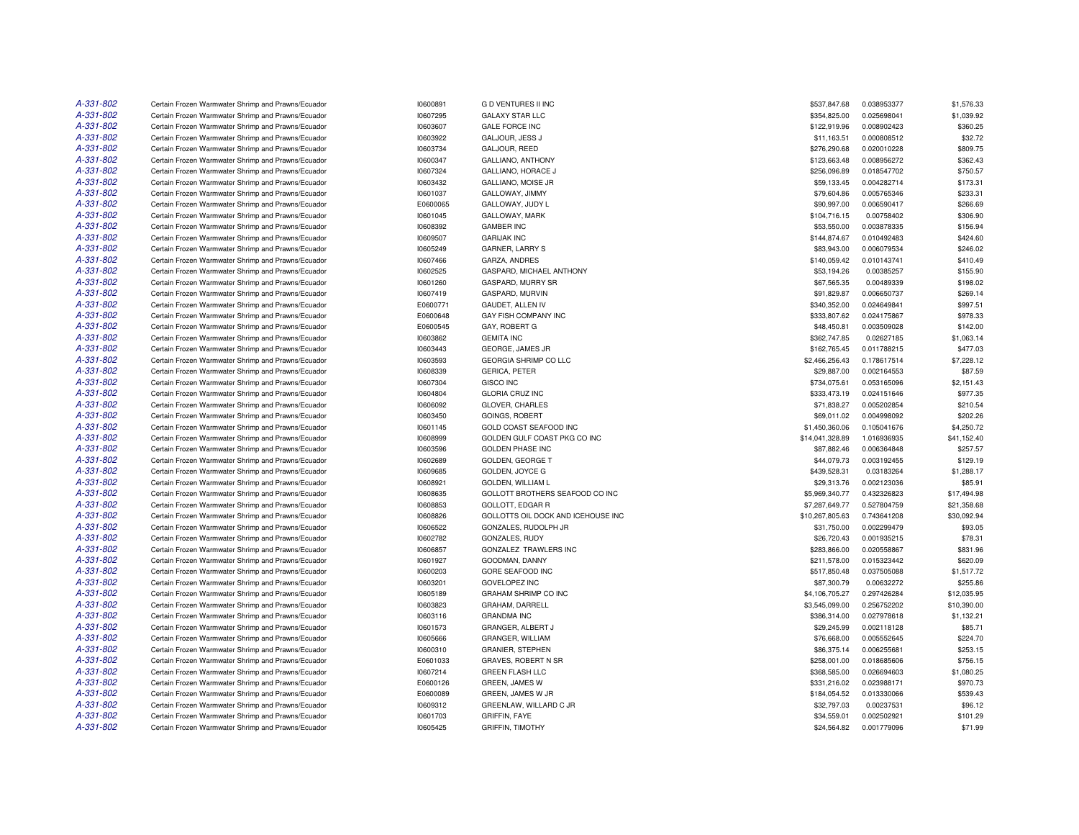| A-331-802 | Certain Frozen Warmwater Shrimp and Prawns/Ecuador                                                       | 10600891             | <b>GD VENTURES II INC</b>                        | \$537,847.68                   | 0.038953377                | \$1,576.33  |
|-----------|----------------------------------------------------------------------------------------------------------|----------------------|--------------------------------------------------|--------------------------------|----------------------------|-------------|
| A-331-802 | Certain Frozen Warmwater Shrimp and Prawns/Ecuador                                                       | 10607295             | <b>GALAXY STAR LLC</b>                           | \$354,825.00                   | 0.025698041                | \$1,039.92  |
| A-331-802 | Certain Frozen Warmwater Shrimp and Prawns/Ecuador                                                       | 10603607             | <b>GALE FORCE INC</b>                            | \$122,919.96                   | 0.008902423                | \$360.25    |
| A-331-802 | Certain Frozen Warmwater Shrimp and Prawns/Ecuador                                                       | 10603922             | GALJOUR, JESS J                                  | \$11,163.51                    | 0.000808512                | \$32.72     |
| A-331-802 | Certain Frozen Warmwater Shrimp and Prawns/Ecuador                                                       | 10603734             | GALJOUR, REED                                    | \$276,290.68                   | 0.020010228                | \$809.75    |
| A-331-802 | Certain Frozen Warmwater Shrimp and Prawns/Ecuador                                                       | 10600347             | GALLIANO, ANTHONY                                | \$123,663.48                   | 0.008956272                | \$362.43    |
| A-331-802 | Certain Frozen Warmwater Shrimp and Prawns/Ecuador                                                       | 10607324             | GALLIANO, HORACE J                               | \$256,096.89                   | 0.018547702                | \$750.57    |
| A-331-802 | Certain Frozen Warmwater Shrimp and Prawns/Ecuador                                                       | 10603432             | GALLIANO, MOISE JR                               | \$59,133.45                    | 0.004282714                | \$173.31    |
| A-331-802 | Certain Frozen Warmwater Shrimp and Prawns/Ecuador                                                       | 10601037             | GALLOWAY, JIMMY                                  | \$79,604.86                    | 0.005765346                | \$233.31    |
| A-331-802 | Certain Frozen Warmwater Shrimp and Prawns/Ecuador                                                       | E0600065             | GALLOWAY, JUDY L                                 | \$90,997.00                    | 0.006590417                | \$266.69    |
| A-331-802 | Certain Frozen Warmwater Shrimp and Prawns/Ecuador                                                       | 10601045             | GALLOWAY, MARK                                   | \$104,716.15                   | 0.00758402                 | \$306.90    |
| A-331-802 | Certain Frozen Warmwater Shrimp and Prawns/Ecuador                                                       | 10608392             | <b>GAMBER INC</b>                                | \$53,550.00                    | 0.003878335                | \$156.94    |
| A-331-802 | Certain Frozen Warmwater Shrimp and Prawns/Ecuador                                                       | 10609507             | <b>GARIJAK INC</b>                               | \$144,874.67                   | 0.010492483                | \$424.60    |
| A-331-802 | Certain Frozen Warmwater Shrimp and Prawns/Ecuador                                                       | 10605249             | GARNER, LARRY S                                  | \$83,943.00                    | 0.006079534                | \$246.02    |
| A-331-802 | Certain Frozen Warmwater Shrimp and Prawns/Ecuador                                                       | 10607466             | GARZA, ANDRES                                    | \$140,059.42                   | 0.010143741                | \$410.49    |
| A-331-802 | Certain Frozen Warmwater Shrimp and Prawns/Ecuador                                                       | 10602525             | GASPARD, MICHAEL ANTHONY                         | \$53,194.26                    | 0.00385257                 | \$155.90    |
| A-331-802 | Certain Frozen Warmwater Shrimp and Prawns/Ecuador                                                       | 10601260             | GASPARD, MURRY SR                                | \$67,565.35                    | 0.00489339                 | \$198.02    |
| A-331-802 | Certain Frozen Warmwater Shrimp and Prawns/Ecuador                                                       | 10607419             | GASPARD, MURVIN                                  | \$91,829.87                    | 0.006650737                | \$269.14    |
| A-331-802 | Certain Frozen Warmwater Shrimp and Prawns/Ecuador                                                       | E0600771             | GAUDET, ALLEN IV                                 | \$340,352.00                   | 0.024649841                | \$997.51    |
| A-331-802 | Certain Frozen Warmwater Shrimp and Prawns/Ecuador                                                       | E0600648             | GAY FISH COMPANY INC                             | \$333,807.62                   | 0.024175867                | \$978.33    |
| A-331-802 | Certain Frozen Warmwater Shrimp and Prawns/Ecuador                                                       | E0600545             | GAY, ROBERT G                                    | \$48,450.81                    | 0.003509028                | \$142.00    |
| A-331-802 |                                                                                                          |                      |                                                  |                                |                            | \$1,063.14  |
| A-331-802 | Certain Frozen Warmwater Shrimp and Prawns/Ecuador                                                       | 10603862             | <b>GEMITA INC</b>                                | \$362,747.85                   | 0.02627185                 | \$477.03    |
| A-331-802 | Certain Frozen Warmwater Shrimp and Prawns/Ecuador<br>Certain Frozen Warmwater Shrimp and Prawns/Ecuador | 10603443<br>10603593 | GEORGE, JAMES JR<br><b>GEORGIA SHRIMP CO LLC</b> | \$162,765.45<br>\$2,466,256.43 | 0.011788215<br>0.178617514 | \$7,228.12  |
| A-331-802 |                                                                                                          |                      | <b>GERICA, PETER</b>                             |                                | 0.002164553                |             |
| A-331-802 | Certain Frozen Warmwater Shrimp and Prawns/Ecuador                                                       | 10608339             |                                                  | \$29,887.00                    |                            | \$87.59     |
|           | Certain Frozen Warmwater Shrimp and Prawns/Ecuador                                                       | 10607304             | <b>GISCO INC</b>                                 | \$734,075.61                   | 0.053165096                | \$2,151.43  |
| A-331-802 | Certain Frozen Warmwater Shrimp and Prawns/Ecuador                                                       | 10604804             | <b>GLORIA CRUZ INC</b>                           | \$333,473.19                   | 0.024151646                | \$977.35    |
| A-331-802 | Certain Frozen Warmwater Shrimp and Prawns/Ecuador                                                       | 10606092             | GLOVER, CHARLES                                  | \$71,838.27                    | 0.005202854                | \$210.54    |
| A-331-802 | Certain Frozen Warmwater Shrimp and Prawns/Ecuador                                                       | 10603450             | <b>GOINGS, ROBERT</b>                            | \$69,011.02                    | 0.004998092                | \$202.26    |
| A-331-802 | Certain Frozen Warmwater Shrimp and Prawns/Ecuador                                                       | 10601145             | GOLD COAST SEAFOOD INC                           | \$1,450,360.06                 | 0.105041676                | \$4,250.72  |
| A-331-802 | Certain Frozen Warmwater Shrimp and Prawns/Ecuador                                                       | 10608999             | GOLDEN GULF COAST PKG CO INC                     | \$14,041,328.89                | 1.016936935                | \$41,152.40 |
| A-331-802 | Certain Frozen Warmwater Shrimp and Prawns/Ecuador                                                       | 10603596             | <b>GOLDEN PHASE INC</b>                          | \$87,882.46                    | 0.006364848                | \$257.57    |
| A-331-802 | Certain Frozen Warmwater Shrimp and Prawns/Ecuador                                                       | 10602689             | <b>GOLDEN, GEORGE T</b>                          | \$44,079.73                    | 0.003192455                | \$129.19    |
| A-331-802 | Certain Frozen Warmwater Shrimp and Prawns/Ecuador                                                       | 10609685             | GOLDEN, JOYCE G                                  | \$439,528.31                   | 0.03183264                 | \$1,288.17  |
| A-331-802 | Certain Frozen Warmwater Shrimp and Prawns/Ecuador                                                       | 10608921             | <b>GOLDEN, WILLIAM L</b>                         | \$29,313.76                    | 0.002123036                | \$85.91     |
| A-331-802 | Certain Frozen Warmwater Shrimp and Prawns/Ecuador                                                       | 10608635             | GOLLOTT BROTHERS SEAFOOD CO INC                  | \$5,969,340.77                 | 0.432326823                | \$17,494.98 |
| A-331-802 | Certain Frozen Warmwater Shrimp and Prawns/Ecuador                                                       | 10608853             | GOLLOTT, EDGAR R                                 | \$7,287,649.77                 | 0.527804759                | \$21,358.68 |
| A-331-802 | Certain Frozen Warmwater Shrimp and Prawns/Ecuador                                                       | 10608826             | GOLLOTTS OIL DOCK AND ICEHOUSE INC               | \$10,267,805.63                | 0.743641208                | \$30,092.94 |
| A-331-802 | Certain Frozen Warmwater Shrimp and Prawns/Ecuador                                                       | 10606522             | GONZALES, RUDOLPH JR                             | \$31,750.00                    | 0.002299479                | \$93.05     |
| A-331-802 | Certain Frozen Warmwater Shrimp and Prawns/Ecuador                                                       | 10602782             | GONZALES, RUDY                                   | \$26,720.43                    | 0.001935215                | \$78.31     |
| A-331-802 | Certain Frozen Warmwater Shrimp and Prawns/Ecuador                                                       | 10606857             | GONZALEZ TRAWLERS INC                            | \$283,866.00                   | 0.020558867                | \$831.96    |
| A-331-802 | Certain Frozen Warmwater Shrimp and Prawns/Ecuador                                                       | 10601927             | GOODMAN, DANNY                                   | \$211,578.00                   | 0.015323442                | \$620.09    |
| A-331-802 | Certain Frozen Warmwater Shrimp and Prawns/Ecuador                                                       | 10600203             | GORE SEAFOOD INC                                 | \$517,850.48                   | 0.037505088                | \$1,517.72  |
| A-331-802 | Certain Frozen Warmwater Shrimp and Prawns/Ecuador                                                       | 10603201             | <b>GOVELOPEZ INC</b>                             | \$87,300.79                    | 0.00632272                 | \$255.86    |
| A-331-802 | Certain Frozen Warmwater Shrimp and Prawns/Ecuador                                                       | 10605189             | GRAHAM SHRIMP CO INC                             | \$4,106,705.27                 | 0.297426284                | \$12,035.95 |
| A-331-802 | Certain Frozen Warmwater Shrimp and Prawns/Ecuador                                                       | 10603823             | GRAHAM, DARRELL                                  | \$3,545,099.00                 | 0.256752202                | \$10,390.00 |
| A-331-802 | Certain Frozen Warmwater Shrimp and Prawns/Ecuador                                                       | 10603116             | <b>GRANDMA INC</b>                               | \$386,314.00                   | 0.027978618                | \$1,132.21  |
| A-331-802 | Certain Frozen Warmwater Shrimp and Prawns/Ecuador                                                       | 10601573             | GRANGER, ALBERT J                                | \$29,245.99                    | 0.002118128                | \$85.71     |
| A-331-802 | Certain Frozen Warmwater Shrimp and Prawns/Ecuador                                                       | 10605666             | GRANGER, WILLIAM                                 | \$76,668.00                    | 0.005552645                | \$224.70    |
| A-331-802 | Certain Frozen Warmwater Shrimp and Prawns/Ecuador                                                       | 10600310             | <b>GRANIER, STEPHEN</b>                          | \$86,375.14                    | 0.006255681                | \$253.15    |
| A-331-802 | Certain Frozen Warmwater Shrimp and Prawns/Ecuador                                                       | E0601033             | GRAVES, ROBERT N SR                              | \$258,001.00                   | 0.018685606                | \$756.15    |
| A-331-802 | Certain Frozen Warmwater Shrimp and Prawns/Ecuador                                                       | 10607214             | <b>GREEN FLASH LLC</b>                           | \$368,585.00                   | 0.026694603                | \$1,080.25  |
| A-331-802 | Certain Frozen Warmwater Shrimp and Prawns/Ecuador                                                       | E0600126             | GREEN, JAMES W                                   | \$331,216.02                   | 0.023988171                | \$970.73    |
| A-331-802 | Certain Frozen Warmwater Shrimp and Prawns/Ecuador                                                       | E0600089             | GREEN, JAMES W JR                                | \$184,054.52                   | 0.013330066                | \$539.43    |
| A-331-802 | Certain Frozen Warmwater Shrimp and Prawns/Ecuador                                                       | 10609312             | GREENLAW, WILLARD C JR                           | \$32,797.03                    | 0.00237531                 | \$96.12     |
| A-331-802 | Certain Frozen Warmwater Shrimp and Prawns/Ecuador                                                       | 10601703             | GRIFFIN, FAYE                                    | \$34,559.01                    | 0.002502921                | \$101.29    |
| A-331-802 | Certain Frozen Warmwater Shrimp and Prawns/Ecuador                                                       | 10605425             | <b>GRIFFIN, TIMOTHY</b>                          | \$24,564.82                    | 0.001779096                | \$71.99     |
|           |                                                                                                          |                      |                                                  |                                |                            |             |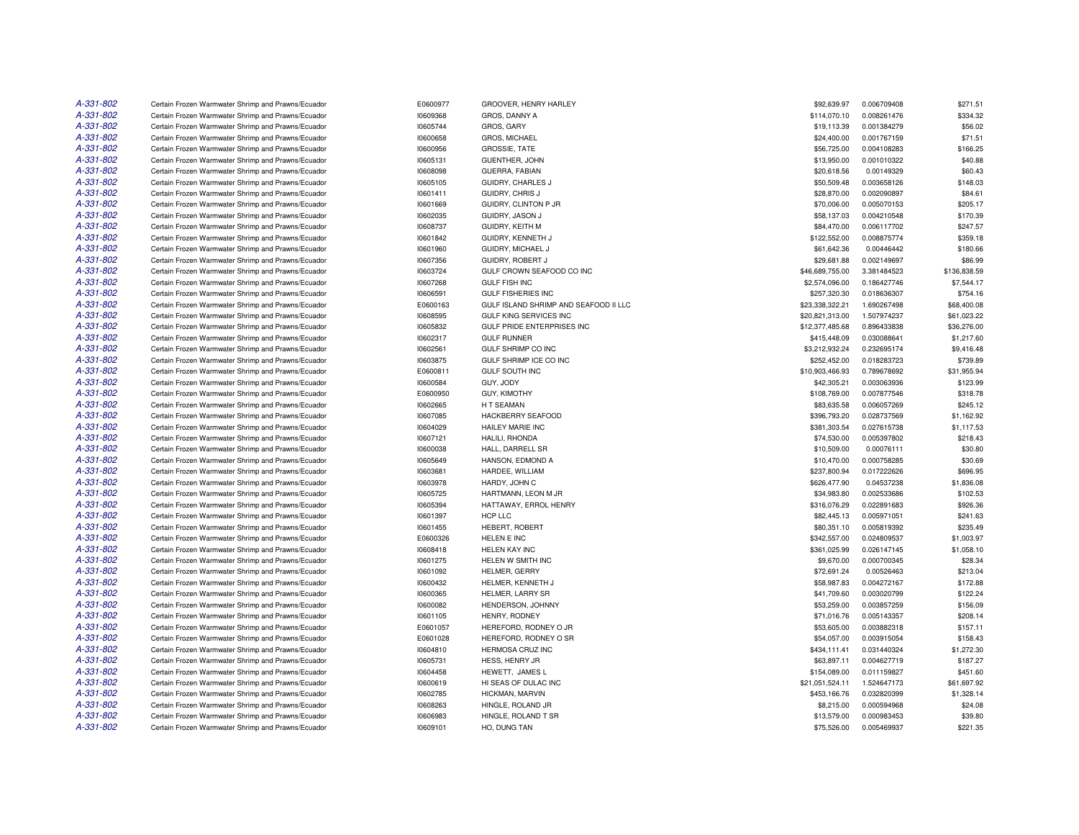| A-331-802 | Certain Frozen Warmwater Shrimp and Prawns/Ecuador | E0600977 | GROOVER, HENRY HARLEY                 | \$92,639.97     | 0.006709408 | \$271.51     |
|-----------|----------------------------------------------------|----------|---------------------------------------|-----------------|-------------|--------------|
| A-331-802 | Certain Frozen Warmwater Shrimp and Prawns/Ecuador | 10609368 | GROS, DANNY A                         | \$114,070.10    | 0.008261476 | \$334.32     |
| A-331-802 | Certain Frozen Warmwater Shrimp and Prawns/Ecuador | 10605744 | GROS, GARY                            | \$19,113.39     | 0.001384279 | \$56.02      |
| A-331-802 | Certain Frozen Warmwater Shrimp and Prawns/Ecuador | 10600658 | GROS, MICHAEL                         | \$24,400.00     | 0.001767159 | \$71.51      |
| A-331-802 | Certain Frozen Warmwater Shrimp and Prawns/Ecuador | 10600956 | <b>GROSSIE, TATE</b>                  | \$56,725.00     | 0.004108283 | \$166.25     |
| A-331-802 | Certain Frozen Warmwater Shrimp and Prawns/Ecuador | 10605131 | <b>GUENTHER, JOHN</b>                 | \$13,950.00     | 0.001010322 | \$40.88      |
| A-331-802 | Certain Frozen Warmwater Shrimp and Prawns/Ecuador | 10608098 | GUERRA, FABIAN                        | \$20,618.56     | 0.00149329  | \$60.43      |
| A-331-802 | Certain Frozen Warmwater Shrimp and Prawns/Ecuador | 10605105 | <b>GUIDRY, CHARLES J</b>              | \$50,509.48     | 0.003658126 | \$148.03     |
| A-331-802 | Certain Frozen Warmwater Shrimp and Prawns/Ecuador | 10601411 | GUIDRY, CHRIS J                       | \$28,870.00     | 0.002090897 | \$84.61      |
| A-331-802 | Certain Frozen Warmwater Shrimp and Prawns/Ecuador | 10601669 | GUIDRY, CLINTON P JR                  | \$70,006.00     | 0.005070153 | \$205.17     |
| A-331-802 | Certain Frozen Warmwater Shrimp and Prawns/Ecuador | 10602035 | GUIDRY, JASON J                       | \$58,137.03     | 0.004210548 | \$170.39     |
| A-331-802 | Certain Frozen Warmwater Shrimp and Prawns/Ecuador | 10608737 | GUIDRY, KEITH M                       | \$84,470.00     | 0.006117702 | \$247.57     |
| A-331-802 | Certain Frozen Warmwater Shrimp and Prawns/Ecuador | 10601842 | GUIDRY, KENNETH J                     | \$122,552.00    | 0.008875774 | \$359.18     |
| A-331-802 | Certain Frozen Warmwater Shrimp and Prawns/Ecuador | 10601960 | GUIDRY, MICHAEL J                     | \$61,642.36     | 0.00446442  | \$180.66     |
| A-331-802 | Certain Frozen Warmwater Shrimp and Prawns/Ecuador | 10607356 | GUIDRY, ROBERT J                      | \$29,681.88     | 0.002149697 | \$86.99      |
| A-331-802 | Certain Frozen Warmwater Shrimp and Prawns/Ecuador | 10603724 | GULF CROWN SEAFOOD CO INC             | \$46,689,755.00 | 3.381484523 | \$136,838.59 |
| A-331-802 | Certain Frozen Warmwater Shrimp and Prawns/Ecuador | 10607268 | <b>GULF FISH INC</b>                  | \$2,574,096.00  | 0.186427746 | \$7,544.17   |
| A-331-802 |                                                    |          |                                       |                 |             |              |
| A-331-802 | Certain Frozen Warmwater Shrimp and Prawns/Ecuador | 10606591 | <b>GULF FISHERIES INC</b>             | \$257,320.30    | 0.018636307 | \$754.16     |
|           | Certain Frozen Warmwater Shrimp and Prawns/Ecuador | E0600163 | GULF ISLAND SHRIMP AND SEAFOOD II LLC | \$23,338,322.21 | 1.690267498 | \$68,400.08  |
| A-331-802 | Certain Frozen Warmwater Shrimp and Prawns/Ecuador | 10608595 | <b>GULF KING SERVICES INC</b>         | \$20,821,313.00 | 1.507974237 | \$61,023.22  |
| A-331-802 | Certain Frozen Warmwater Shrimp and Prawns/Ecuador | 10605832 | <b>GULF PRIDE ENTERPRISES INC</b>     | \$12,377,485.68 | 0.896433838 | \$36,276.00  |
| A-331-802 | Certain Frozen Warmwater Shrimp and Prawns/Ecuador | 10602317 | <b>GULF RUNNER</b>                    | \$415,448.09    | 0.030088641 | \$1,217.60   |
| A-331-802 | Certain Frozen Warmwater Shrimp and Prawns/Ecuador | 10602561 | GULF SHRIMP CO INC                    | \$3,212,932.24  | 0.232695174 | \$9,416.48   |
| A-331-802 | Certain Frozen Warmwater Shrimp and Prawns/Ecuador | 10603875 | GULF SHRIMP ICE CO INC                | \$252,452.00    | 0.018283723 | \$739.89     |
| A-331-802 | Certain Frozen Warmwater Shrimp and Prawns/Ecuador | E0600811 | <b>GULF SOUTH INC</b>                 | \$10,903,466.93 | 0.789678692 | \$31,955.94  |
| A-331-802 | Certain Frozen Warmwater Shrimp and Prawns/Ecuador | 10600584 | GUY, JODY                             | \$42,305.21     | 0.003063936 | \$123.99     |
| A-331-802 | Certain Frozen Warmwater Shrimp and Prawns/Ecuador | E0600950 | <b>GUY, KIMOTHY</b>                   | \$108,769.00    | 0.007877546 | \$318.78     |
| A-331-802 | Certain Frozen Warmwater Shrimp and Prawns/Ecuador | 10602665 | H T SEAMAN                            | \$83,635.58     | 0.006057269 | \$245.12     |
| A-331-802 | Certain Frozen Warmwater Shrimp and Prawns/Ecuador | 10607085 | HACKBERRY SEAFOOD                     | \$396,793.20    | 0.028737569 | \$1,162.92   |
| A-331-802 | Certain Frozen Warmwater Shrimp and Prawns/Ecuador | 10604029 | <b>HAILEY MARIE INC</b>               | \$381,303.54    | 0.027615738 | \$1,117.53   |
| A-331-802 | Certain Frozen Warmwater Shrimp and Prawns/Ecuador | 10607121 | HALILI, RHONDA                        | \$74,530.00     | 0.005397802 | \$218.43     |
| A-331-802 | Certain Frozen Warmwater Shrimp and Prawns/Ecuador | 10600038 | HALL, DARRELL SR                      | \$10,509.00     | 0.00076111  | \$30.80      |
| A-331-802 | Certain Frozen Warmwater Shrimp and Prawns/Ecuador | 10605649 | HANSON, EDMOND A                      | \$10,470.00     | 0.000758285 | \$30.69      |
| A-331-802 | Certain Frozen Warmwater Shrimp and Prawns/Ecuador | 10603681 | HARDEE, WILLIAM                       | \$237,800.94    | 0.017222626 | \$696.95     |
| A-331-802 | Certain Frozen Warmwater Shrimp and Prawns/Ecuador | 10603978 | HARDY, JOHN C                         | \$626,477.90    | 0.04537238  | \$1,836.08   |
| A-331-802 | Certain Frozen Warmwater Shrimp and Prawns/Ecuador | 10605725 | HARTMANN, LEON M JR                   | \$34,983.80     | 0.002533686 | \$102.53     |
| A-331-802 | Certain Frozen Warmwater Shrimp and Prawns/Ecuador | 10605394 | HATTAWAY, ERROL HENRY                 | \$316,076.29    | 0.022891683 | \$926.36     |
| A-331-802 | Certain Frozen Warmwater Shrimp and Prawns/Ecuador | 10601397 | HCP LLC                               | \$82,445.13     | 0.005971051 | \$241.63     |
| A-331-802 | Certain Frozen Warmwater Shrimp and Prawns/Ecuador | 10601455 | <b>HEBERT, ROBERT</b>                 | \$80,351.10     | 0.005819392 | \$235.49     |
| A-331-802 | Certain Frozen Warmwater Shrimp and Prawns/Ecuador | E0600326 | HELEN E INC                           | \$342,557.00    | 0.024809537 | \$1,003.97   |
| A-331-802 | Certain Frozen Warmwater Shrimp and Prawns/Ecuador | 10608418 | HELEN KAY INC                         | \$361,025.99    | 0.026147145 | \$1,058.10   |
| A-331-802 | Certain Frozen Warmwater Shrimp and Prawns/Ecuador | 10601275 | HELEN W SMITH INC                     | \$9,670.00      | 0.000700345 | \$28.34      |
| A-331-802 | Certain Frozen Warmwater Shrimp and Prawns/Ecuador | 10601092 | HELMER, GERRY                         | \$72.691.24     | 0.00526463  | \$213.04     |
| A-331-802 | Certain Frozen Warmwater Shrimp and Prawns/Ecuador | 10600432 | HELMER, KENNETH J                     | \$58,987.83     | 0.004272167 | \$172.88     |
| A-331-802 | Certain Frozen Warmwater Shrimp and Prawns/Ecuador | 10600365 | HELMER, LARRY SR                      | \$41,709.60     | 0.003020799 | \$122.24     |
| A-331-802 | Certain Frozen Warmwater Shrimp and Prawns/Ecuador | 10600082 | HENDERSON, JOHNNY                     | \$53,259.00     | 0.003857259 | \$156.09     |
| A-331-802 | Certain Frozen Warmwater Shrimp and Prawns/Ecuador | 10601105 | HENRY, RODNEY                         | \$71,016.76     | 0.005143357 | \$208.14     |
| A-331-802 | Certain Frozen Warmwater Shrimp and Prawns/Ecuador | E0601057 | HEREFORD, RODNEY O JR                 | \$53,605.00     | 0.003882318 | \$157.11     |
| A-331-802 | Certain Frozen Warmwater Shrimp and Prawns/Ecuador | E0601028 | HEREFORD, RODNEY O SR                 | \$54,057.00     | 0.003915054 | \$158.43     |
| A-331-802 | Certain Frozen Warmwater Shrimp and Prawns/Ecuador | 10604810 | HERMOSA CRUZ INC                      | \$434,111.41    | 0.031440324 | \$1,272.30   |
| A-331-802 | Certain Frozen Warmwater Shrimp and Prawns/Ecuador | 10605731 | HESS, HENRY JR                        | \$63,897.11     | 0.004627719 | \$187.27     |
| A-331-802 | Certain Frozen Warmwater Shrimp and Prawns/Ecuador | 10604458 | HEWETT, JAMES L                       | \$154,089.00    | 0.011159827 | \$451.60     |
| A-331-802 |                                                    |          | HI SEAS OF DULAC INC                  |                 | 1.524647173 | \$61,697.92  |
| A-331-802 | Certain Frozen Warmwater Shrimp and Prawns/Ecuador | 10600619 |                                       | \$21,051,524.11 |             |              |
|           | Certain Frozen Warmwater Shrimp and Prawns/Ecuador | 10602785 | HICKMAN, MARVIN                       | \$453,166.76    | 0.032820399 | \$1,328.14   |
| A-331-802 | Certain Frozen Warmwater Shrimp and Prawns/Ecuador | 10608263 | HINGLE, ROLAND JR                     | \$8,215.00      | 0.000594968 | \$24.08      |
| A-331-802 | Certain Frozen Warmwater Shrimp and Prawns/Ecuador | 10606983 | HINGLE, ROLAND T SR                   | \$13,579.00     | 0.000983453 | \$39.80      |
| A-331-802 | Certain Frozen Warmwater Shrimp and Prawns/Ecuador | 10609101 | HO. DUNG TAN                          | \$75,526.00     | 0.005469937 | \$221.35     |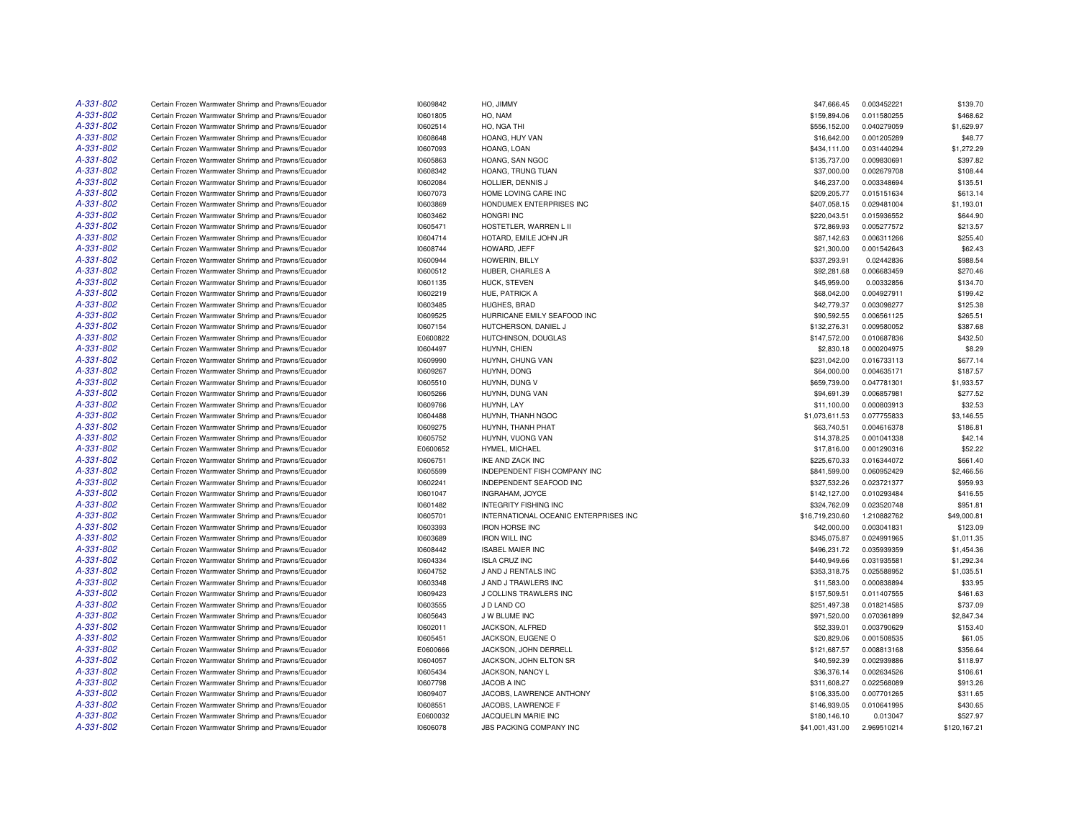| A-331-802 | Certain Frozen Warmwater Shrimp and Prawns/Ecuador                                                       | 10609842             | HO, JIMMY                             | \$47,666.45                  | 0.003452221 | \$139.70     |
|-----------|----------------------------------------------------------------------------------------------------------|----------------------|---------------------------------------|------------------------------|-------------|--------------|
| A-331-802 | Certain Frozen Warmwater Shrimp and Prawns/Ecuador                                                       | 10601805             | HO, NAM                               | \$159,894.06                 | 0.011580255 | \$468.62     |
| A-331-802 | Certain Frozen Warmwater Shrimp and Prawns/Ecuador                                                       | 10602514             | HO, NGA THI                           | \$556,152.00                 | 0.040279059 | \$1,629.97   |
| A-331-802 | Certain Frozen Warmwater Shrimp and Prawns/Ecuador                                                       | 10608648             | HOANG, HUY VAN                        | \$16,642.00                  | 0.001205289 | \$48.77      |
| A-331-802 | Certain Frozen Warmwater Shrimp and Prawns/Ecuador                                                       | 10607093             | HOANG, LOAN                           | \$434,111.00                 | 0.031440294 | \$1,272.29   |
| A-331-802 | Certain Frozen Warmwater Shrimp and Prawns/Ecuador                                                       | 10605863             | HOANG, SAN NGOC                       | \$135,737.00                 | 0.009830691 | \$397.82     |
| A-331-802 | Certain Frozen Warmwater Shrimp and Prawns/Ecuador                                                       | 10608342             | HOANG, TRUNG TUAN                     | \$37,000.00                  | 0.002679708 | \$108.44     |
| A-331-802 | Certain Frozen Warmwater Shrimp and Prawns/Ecuador                                                       | 10602084             | HOLLIER, DENNIS J                     | \$46,237.00                  | 0.003348694 | \$135.51     |
| A-331-802 | Certain Frozen Warmwater Shrimp and Prawns/Ecuador                                                       | 10607073             | HOME LOVING CARE INC                  | \$209,205.77                 | 0.015151634 | \$613.14     |
| A-331-802 | Certain Frozen Warmwater Shrimp and Prawns/Ecuador                                                       | 10603869             | HONDUMEX ENTERPRISES INC              | \$407,058.15                 | 0.029481004 | \$1,193.01   |
| A-331-802 | Certain Frozen Warmwater Shrimp and Prawns/Ecuador                                                       | 10603462             | <b>HONGRI INC</b>                     | \$220,043.51                 | 0.015936552 | \$644.90     |
| A-331-802 | Certain Frozen Warmwater Shrimp and Prawns/Ecuador                                                       | 10605471             | HOSTETLER, WARREN L II                | \$72,869.93                  | 0.005277572 | \$213.57     |
| A-331-802 | Certain Frozen Warmwater Shrimp and Prawns/Ecuador                                                       | 10604714             | HOTARD, EMILE JOHN JR                 | \$87,142.63                  | 0.006311266 | \$255.40     |
| A-331-802 | Certain Frozen Warmwater Shrimp and Prawns/Ecuador                                                       | 10608744             | HOWARD, JEFF                          | \$21,300.00                  | 0.001542643 | \$62.43      |
| A-331-802 | Certain Frozen Warmwater Shrimp and Prawns/Ecuador                                                       | 10600944             | HOWERIN, BILLY                        | \$337,293.91                 | 0.02442836  | \$988.54     |
| A-331-802 | Certain Frozen Warmwater Shrimp and Prawns/Ecuador                                                       | 10600512             | HUBER, CHARLES A                      | \$92,281.68                  | 0.006683459 | \$270.46     |
| A-331-802 | Certain Frozen Warmwater Shrimp and Prawns/Ecuador                                                       | 10601135             | HUCK, STEVEN                          | \$45,959.00                  | 0.00332856  | \$134.70     |
| A-331-802 | Certain Frozen Warmwater Shrimp and Prawns/Ecuador                                                       | 10602219             | HUE, PATRICK A                        | \$68,042.00                  | 0.004927911 | \$199.42     |
| A-331-802 | Certain Frozen Warmwater Shrimp and Prawns/Ecuador                                                       | 10603485             | <b>HUGHES, BRAD</b>                   | \$42,779.37                  | 0.003098277 | \$125.38     |
| A-331-802 | Certain Frozen Warmwater Shrimp and Prawns/Ecuador                                                       | 10609525             | HURRICANE EMILY SEAFOOD INC           | \$90,592.55                  | 0.006561125 | \$265.51     |
| A-331-802 | Certain Frozen Warmwater Shrimp and Prawns/Ecuador                                                       | 10607154             | HUTCHERSON, DANIEL J                  | \$132,276.31                 | 0.009580052 | \$387.68     |
| A-331-802 | Certain Frozen Warmwater Shrimp and Prawns/Ecuador                                                       | E0600822             | HUTCHINSON, DOUGLAS                   | \$147,572.00                 | 0.010687836 | \$432.50     |
| A-331-802 | Certain Frozen Warmwater Shrimp and Prawns/Ecuador                                                       | 10604497             | HUYNH, CHIEN                          | \$2,830.18                   | 0.000204975 | \$8.29       |
| A-331-802 | Certain Frozen Warmwater Shrimp and Prawns/Ecuador                                                       | 10609990             | HUYNH, CHUNG VAN                      | \$231,042.00                 | 0.016733113 | \$677.14     |
| A-331-802 | Certain Frozen Warmwater Shrimp and Prawns/Ecuador                                                       | 10609267             | HUYNH, DONG                           | \$64,000.00                  | 0.004635171 | \$187.57     |
| A-331-802 | Certain Frozen Warmwater Shrimp and Prawns/Ecuador                                                       | 10605510             | HUYNH, DUNG V                         | \$659,739.00                 | 0.047781301 | \$1,933.57   |
| A-331-802 | Certain Frozen Warmwater Shrimp and Prawns/Ecuador                                                       | 10605266             | HUYNH, DUNG VAN                       | \$94,691.39                  | 0.006857981 | \$277.52     |
| A-331-802 | Certain Frozen Warmwater Shrimp and Prawns/Ecuador                                                       | 10609766             | HUYNH, LAY                            | \$11,100.00                  | 0.000803913 | \$32.53      |
| A-331-802 | Certain Frozen Warmwater Shrimp and Prawns/Ecuador                                                       | 10604488             | HUYNH, THANH NGOC                     | \$1,073,611.53               | 0.077755833 | \$3,146.55   |
| A-331-802 | Certain Frozen Warmwater Shrimp and Prawns/Ecuador                                                       | 10609275             | HUYNH, THANH PHAT                     | \$63,740.51                  | 0.004616378 | \$186.81     |
| A-331-802 | Certain Frozen Warmwater Shrimp and Prawns/Ecuador                                                       | 10605752             | HUYNH, VUONG VAN                      | \$14,378.25                  | 0.001041338 | \$42.14      |
| A-331-802 | Certain Frozen Warmwater Shrimp and Prawns/Ecuador                                                       | E0600652             | HYMEL, MICHAEL                        | \$17,816.00                  | 0.001290316 | \$52.22      |
| A-331-802 | Certain Frozen Warmwater Shrimp and Prawns/Ecuador                                                       | 10606751             | IKE AND ZACK INC                      | \$225,670.33                 | 0.016344072 | \$661.40     |
| A-331-802 | Certain Frozen Warmwater Shrimp and Prawns/Ecuador                                                       | 10605599             | INDEPENDENT FISH COMPANY INC          | \$841,599.00                 | 0.060952429 | \$2,466.56   |
| A-331-802 | Certain Frozen Warmwater Shrimp and Prawns/Ecuador                                                       | 10602241             | INDEPENDENT SEAFOOD INC               | \$327,532.26                 | 0.023721377 | \$959.93     |
| A-331-802 | Certain Frozen Warmwater Shrimp and Prawns/Ecuador                                                       | 10601047             | INGRAHAM, JOYCE                       | \$142,127.00                 | 0.010293484 | \$416.55     |
| A-331-802 | Certain Frozen Warmwater Shrimp and Prawns/Ecuador                                                       | 10601482             | <b>INTEGRITY FISHING INC</b>          | \$324,762.09                 | 0.023520748 | \$951.81     |
| A-331-802 | Certain Frozen Warmwater Shrimp and Prawns/Ecuador                                                       | 10605701             | INTERNATIONAL OCEANIC ENTERPRISES INC | \$16,719,230.60              | 1.210882762 | \$49,000.81  |
| A-331-802 | Certain Frozen Warmwater Shrimp and Prawns/Ecuador                                                       | 10603393             | <b>IRON HORSE INC</b>                 | \$42,000.00                  | 0.003041831 | \$123.09     |
| A-331-802 | Certain Frozen Warmwater Shrimp and Prawns/Ecuador                                                       | 10603689             | <b>IRON WILL INC</b>                  | \$345,075.87                 | 0.024991965 | \$1,011.35   |
| A-331-802 | Certain Frozen Warmwater Shrimp and Prawns/Ecuador                                                       | 10608442             | <b>ISABEL MAIER INC</b>               | \$496,231.72                 | 0.035939359 | \$1,454.36   |
| A-331-802 | Certain Frozen Warmwater Shrimp and Prawns/Ecuador                                                       | 10604334             | <b>ISLA CRUZ INC</b>                  | \$440,949.66                 | 0.031935581 | \$1,292.34   |
| A-331-802 | Certain Frozen Warmwater Shrimp and Prawns/Ecuador                                                       | 10604752             | J AND J RENTALS INC                   | \$353,318.75                 | 0.025588952 | \$1,035.51   |
| A-331-802 | Certain Frozen Warmwater Shrimp and Prawns/Ecuador                                                       | 10603348             | J AND J TRAWLERS INC                  | \$11,583.00                  | 0.000838894 | \$33.95      |
| A-331-802 | Certain Frozen Warmwater Shrimp and Prawns/Ecuador                                                       | 10609423             | J COLLINS TRAWLERS INC                | \$157,509.51                 | 0.011407555 | \$461.63     |
| A-331-802 | Certain Frozen Warmwater Shrimp and Prawns/Ecuador                                                       | 10603555             | J D LAND CO                           | \$251,497.38                 | 0.018214585 | \$737.09     |
| A-331-802 | Certain Frozen Warmwater Shrimp and Prawns/Ecuador                                                       | 10605643             | J W BLUME INC                         | \$971,520.00                 | 0.070361899 | \$2,847.34   |
| A-331-802 | Certain Frozen Warmwater Shrimp and Prawns/Ecuador                                                       | 10602011             | JACKSON, ALFRED                       | \$52,339.01                  | 0.003790629 | \$153.40     |
| A-331-802 | Certain Frozen Warmwater Shrimp and Prawns/Ecuador                                                       | 10605451             | JACKSON, EUGENE O                     | \$20,829.06                  | 0.001508535 | \$61.05      |
| A-331-802 | Certain Frozen Warmwater Shrimp and Prawns/Ecuador                                                       | E0600666             | JACKSON, JOHN DERRELL                 | \$121,687.57                 | 0.008813168 | \$356.64     |
| A-331-802 | Certain Frozen Warmwater Shrimp and Prawns/Ecuador                                                       | 10604057             | JACKSON, JOHN ELTON SR                | \$40,592.39                  | 0.002939886 | \$118.97     |
| A-331-802 | Certain Frozen Warmwater Shrimp and Prawns/Ecuador                                                       | 10605434             | JACKSON, NANCY L                      | \$36,376.14                  | 0.002634526 | \$106.61     |
| A-331-802 |                                                                                                          | 10607798             | JACOB A INC                           | \$311,608.27                 | 0.022568089 | \$913.26     |
| A-331-802 | Certain Frozen Warmwater Shrimp and Prawns/Ecuador<br>Certain Frozen Warmwater Shrimp and Prawns/Ecuador | 10609407             | JACOBS, LAWRENCE ANTHONY              | \$106,335.00                 | 0.007701265 | \$311.65     |
| A-331-802 | Certain Frozen Warmwater Shrimp and Prawns/Ecuador                                                       |                      | JACOBS, LAWRENCE F                    |                              | 0.010641995 | \$430.65     |
| A-331-802 | Certain Frozen Warmwater Shrimp and Prawns/Ecuador                                                       | 10608551<br>E0600032 | JACQUELIN MARIE INC                   | \$146,939.05<br>\$180,146.10 | 0.013047    | \$527.97     |
| A-331-802 | Certain Frozen Warmwater Shrimp and Prawns/Ecuador                                                       |                      |                                       |                              | 2.969510214 |              |
|           |                                                                                                          | 10606078             | JBS PACKING COMPANY INC               | \$41,001,431.00              |             | \$120,167.21 |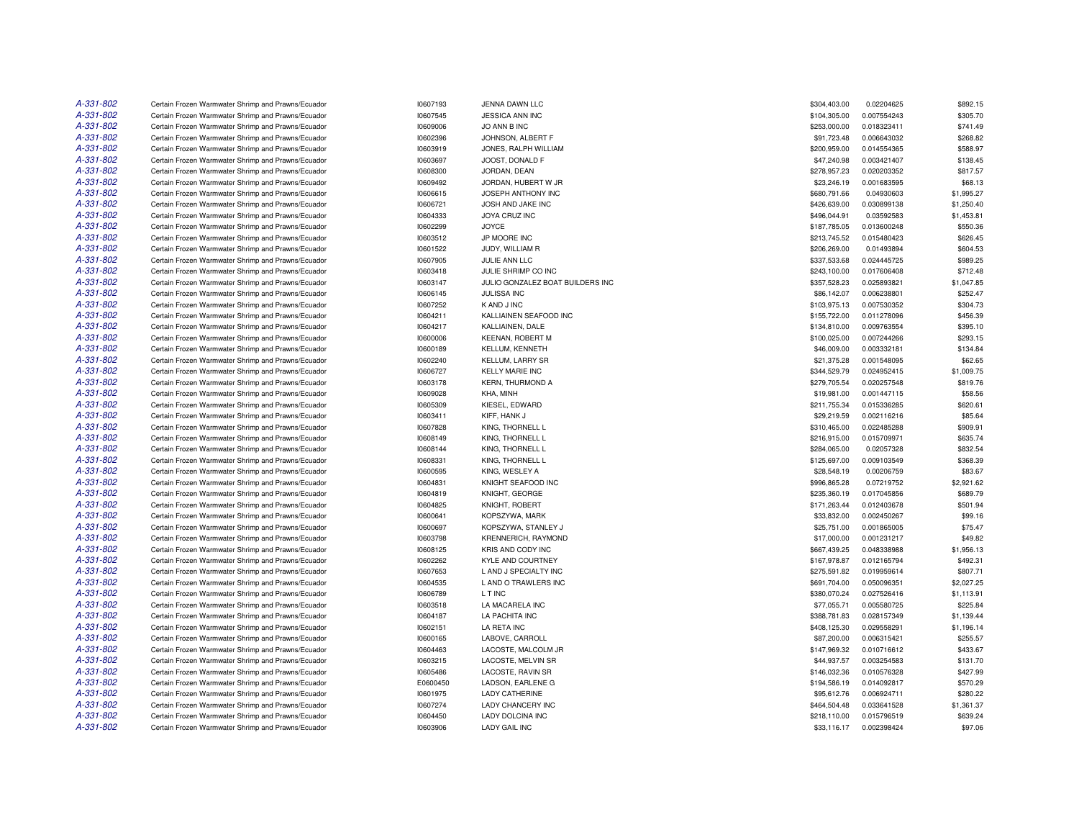| A-331-802 | Certain Frozen Warmwater Shrimp and Prawns/Ecuador | 10607193 | JENNA DAWN LLC                   | \$304,403.00 | 0.02204625  | \$892.15   |
|-----------|----------------------------------------------------|----------|----------------------------------|--------------|-------------|------------|
| A-331-802 | Certain Frozen Warmwater Shrimp and Prawns/Ecuador | 10607545 | JESSICA ANN INC                  | \$104,305.00 | 0.007554243 | \$305.70   |
| A-331-802 | Certain Frozen Warmwater Shrimp and Prawns/Ecuador | 10609006 | JO ANN B INC                     | \$253,000.00 | 0.018323411 | \$741.49   |
| A-331-802 | Certain Frozen Warmwater Shrimp and Prawns/Ecuador | 10602396 | JOHNSON, ALBERT F                | \$91,723.48  | 0.006643032 | \$268.82   |
| A-331-802 | Certain Frozen Warmwater Shrimp and Prawns/Ecuador | 10603919 | JONES, RALPH WILLIAM             | \$200,959.00 | 0.014554365 | \$588.97   |
| A-331-802 | Certain Frozen Warmwater Shrimp and Prawns/Ecuador | 10603697 | JOOST, DONALD F                  | \$47,240.98  | 0.003421407 | \$138.45   |
| A-331-802 | Certain Frozen Warmwater Shrimp and Prawns/Ecuador | 10608300 | JORDAN, DEAN                     | \$278,957.23 | 0.020203352 | \$817.57   |
| A-331-802 | Certain Frozen Warmwater Shrimp and Prawns/Ecuador | 10609492 | JORDAN, HUBERT W JR              | \$23,246.19  | 0.001683595 | \$68.13    |
| A-331-802 | Certain Frozen Warmwater Shrimp and Prawns/Ecuador | 10606615 | JOSEPH ANTHONY INC               | \$680,791.66 | 0.04930603  | \$1,995.27 |
| A-331-802 | Certain Frozen Warmwater Shrimp and Prawns/Ecuador | 10606721 | JOSH AND JAKE INC                | \$426,639.00 | 0.030899138 | \$1,250.40 |
| A-331-802 | Certain Frozen Warmwater Shrimp and Prawns/Ecuador | 10604333 | JOYA CRUZ INC                    | \$496,044.91 | 0.03592583  | \$1,453.81 |
| A-331-802 | Certain Frozen Warmwater Shrimp and Prawns/Ecuador | 10602299 | JOYCE                            | \$187,785.05 | 0.013600248 | \$550.36   |
| A-331-802 | Certain Frozen Warmwater Shrimp and Prawns/Ecuador | 10603512 | JP MOORE INC                     | \$213,745.52 | 0.015480423 | \$626.45   |
| A-331-802 | Certain Frozen Warmwater Shrimp and Prawns/Ecuador | 10601522 | JUDY, WILLIAM R                  | \$206,269.00 | 0.01493894  | \$604.53   |
| A-331-802 | Certain Frozen Warmwater Shrimp and Prawns/Ecuador | 10607905 | JULIE ANN LLC                    | \$337,533.68 | 0.024445725 | \$989.25   |
| A-331-802 | Certain Frozen Warmwater Shrimp and Prawns/Ecuador | 10603418 | JULIE SHRIMP CO INC              | \$243,100.00 | 0.017606408 | \$712.48   |
| A-331-802 | Certain Frozen Warmwater Shrimp and Prawns/Ecuador | 10603147 | JULIO GONZALEZ BOAT BUILDERS INC | \$357,528.23 | 0.025893821 | \$1,047.85 |
| A-331-802 | Certain Frozen Warmwater Shrimp and Prawns/Ecuador | 10606145 | <b>JULISSA INC</b>               | \$86,142.07  | 0.006238801 | \$252.47   |
| A-331-802 | Certain Frozen Warmwater Shrimp and Prawns/Ecuador | 10607252 | K AND J INC                      | \$103,975.13 | 0.007530352 | \$304.73   |
| A-331-802 | Certain Frozen Warmwater Shrimp and Prawns/Ecuador |          | KALLIAINEN SEAFOOD INC           |              | 0.011278096 | \$456.39   |
|           |                                                    | 10604211 |                                  | \$155,722.00 |             |            |
| A-331-802 | Certain Frozen Warmwater Shrimp and Prawns/Ecuador | 10604217 | KALLIAINEN, DALE                 | \$134,810.00 | 0.009763554 | \$395.10   |
| A-331-802 | Certain Frozen Warmwater Shrimp and Prawns/Ecuador | 10600006 | <b>KEENAN, ROBERT M</b>          | \$100,025.00 | 0.007244266 | \$293.15   |
| A-331-802 | Certain Frozen Warmwater Shrimp and Prawns/Ecuador | 10600189 | KELLUM, KENNETH                  | \$46,009.00  | 0.003332181 | \$134.84   |
| A-331-802 | Certain Frozen Warmwater Shrimp and Prawns/Ecuador | 10602240 | <b>KELLUM, LARRY SR</b>          | \$21,375.28  | 0.001548095 | \$62.65    |
| A-331-802 | Certain Frozen Warmwater Shrimp and Prawns/Ecuador | 10606727 | <b>KELLY MARIE INC</b>           | \$344,529.79 | 0.024952415 | \$1,009.75 |
| A-331-802 | Certain Frozen Warmwater Shrimp and Prawns/Ecuador | 10603178 | <b>KERN, THURMOND A</b>          | \$279,705.54 | 0.020257548 | \$819.76   |
| A-331-802 | Certain Frozen Warmwater Shrimp and Prawns/Ecuador | 10609028 | KHA, MINH                        | \$19,981.00  | 0.001447115 | \$58.56    |
| A-331-802 | Certain Frozen Warmwater Shrimp and Prawns/Ecuador | 10605309 | KIESEL, EDWARD                   | \$211,755.34 | 0.015336285 | \$620.61   |
| A-331-802 | Certain Frozen Warmwater Shrimp and Prawns/Ecuador | 10603411 | KIFF, HANK J                     | \$29,219.59  | 0.002116216 | \$85.64    |
| A-331-802 | Certain Frozen Warmwater Shrimp and Prawns/Ecuador | 10607828 | KING. THORNELL L                 | \$310,465.00 | 0.022485288 | \$909.91   |
| A-331-802 | Certain Frozen Warmwater Shrimp and Prawns/Ecuador | 10608149 | KING, THORNELL L                 | \$216,915.00 | 0.015709971 | \$635.74   |
| A-331-802 | Certain Frozen Warmwater Shrimp and Prawns/Ecuador | 10608144 | KING, THORNELL L                 | \$284,065.00 | 0.02057328  | \$832.54   |
| A-331-802 | Certain Frozen Warmwater Shrimp and Prawns/Ecuador | 10608331 | KING, THORNELL L                 | \$125,697.00 | 0.009103549 | \$368.39   |
| A-331-802 | Certain Frozen Warmwater Shrimp and Prawns/Ecuador | 10600595 | KING, WESLEY A                   | \$28,548.19  | 0.00206759  | \$83.67    |
| A-331-802 | Certain Frozen Warmwater Shrimp and Prawns/Ecuador | 10604831 | KNIGHT SEAFOOD INC               | \$996,865.28 | 0.07219752  | \$2,921.62 |
| A-331-802 | Certain Frozen Warmwater Shrimp and Prawns/Ecuador | 10604819 | KNIGHT, GEORGE                   | \$235,360.19 | 0.017045856 | \$689.79   |
| A-331-802 | Certain Frozen Warmwater Shrimp and Prawns/Ecuador | 10604825 | KNIGHT, ROBERT                   | \$171,263.44 | 0.012403678 | \$501.94   |
| A-331-802 | Certain Frozen Warmwater Shrimp and Prawns/Ecuador | 10600641 | KOPSZYWA, MARK                   | \$33,832.00  | 0.002450267 | \$99.16    |
| A-331-802 | Certain Frozen Warmwater Shrimp and Prawns/Ecuador | 10600697 | KOPSZYWA, STANLEY J              | \$25,751.00  | 0.001865005 | \$75.47    |
| A-331-802 | Certain Frozen Warmwater Shrimp and Prawns/Ecuador | 10603798 | KRENNERICH, RAYMOND              | \$17,000.00  | 0.001231217 | \$49.82    |
| A-331-802 | Certain Frozen Warmwater Shrimp and Prawns/Ecuador | 10608125 | KRIS AND CODY INC                | \$667,439.25 | 0.048338988 | \$1,956.13 |
| A-331-802 | Certain Frozen Warmwater Shrimp and Prawns/Ecuador | 10602262 | KYLE AND COURTNEY                | \$167,978.87 | 0.012165794 | \$492.31   |
| A-331-802 | Certain Frozen Warmwater Shrimp and Prawns/Ecuador | 10607653 | L AND J SPECIALTY INC            | \$275.591.82 | 0.019959614 | \$807.71   |
| A-331-802 | Certain Frozen Warmwater Shrimp and Prawns/Ecuador | 10604535 | L AND O TRAWLERS INC             | \$691,704.00 | 0.050096351 | \$2,027.25 |
| A-331-802 | Certain Frozen Warmwater Shrimp and Prawns/Ecuador | 10606789 | L T INC                          | \$380,070.24 | 0.027526416 | \$1,113.91 |
| A-331-802 | Certain Frozen Warmwater Shrimp and Prawns/Ecuador | 10603518 | LA MACARELA INC                  | \$77,055.71  | 0.005580725 | \$225.84   |
| A-331-802 | Certain Frozen Warmwater Shrimp and Prawns/Ecuador | 10604187 | LA PACHITA INC                   | \$388,781.83 | 0.028157349 | \$1,139.44 |
| A-331-802 | Certain Frozen Warmwater Shrimp and Prawns/Ecuador | 10602151 | LA RETA INC                      | \$408,125.30 | 0.029558291 | \$1,196.14 |
| A-331-802 | Certain Frozen Warmwater Shrimp and Prawns/Ecuador | 10600165 | LABOVE, CARROLL                  | \$87,200.00  | 0.006315421 | \$255.57   |
| A-331-802 | Certain Frozen Warmwater Shrimp and Prawns/Ecuador | 10604463 | LACOSTE, MALCOLM JR              | \$147,969.32 | 0.010716612 | \$433.67   |
| A-331-802 | Certain Frozen Warmwater Shrimp and Prawns/Ecuador | 10603215 | LACOSTE, MELVIN SR               | \$44,937.57  | 0.003254583 | \$131.70   |
| A-331-802 | Certain Frozen Warmwater Shrimp and Prawns/Ecuador | 10605486 | LACOSTE, RAVIN SR                | \$146,032.36 | 0.010576328 | \$427.99   |
| A-331-802 | Certain Frozen Warmwater Shrimp and Prawns/Ecuador | E0600450 | LADSON, EARLENE G                | \$194,586.19 | 0.014092817 | \$570.29   |
| A-331-802 | Certain Frozen Warmwater Shrimp and Prawns/Ecuador | 10601975 | LADY CATHERINE                   | \$95,612.76  | 0.006924711 | \$280.22   |
| A-331-802 | Certain Frozen Warmwater Shrimp and Prawns/Ecuador | 10607274 | LADY CHANCERY INC                | \$464,504.48 | 0.033641528 | \$1,361.37 |
| A-331-802 | Certain Frozen Warmwater Shrimp and Prawns/Ecuador | 10604450 | <b>LADY DOLCINA INC</b>          | \$218.110.00 | 0.015796519 | \$639.24   |
| A-331-802 | Certain Frozen Warmwater Shrimp and Prawns/Ecuador | 10603906 | <b>LADY GAIL INC</b>             | \$33,116.17  | 0.002398424 | \$97.06    |
|           |                                                    |          |                                  |              |             |            |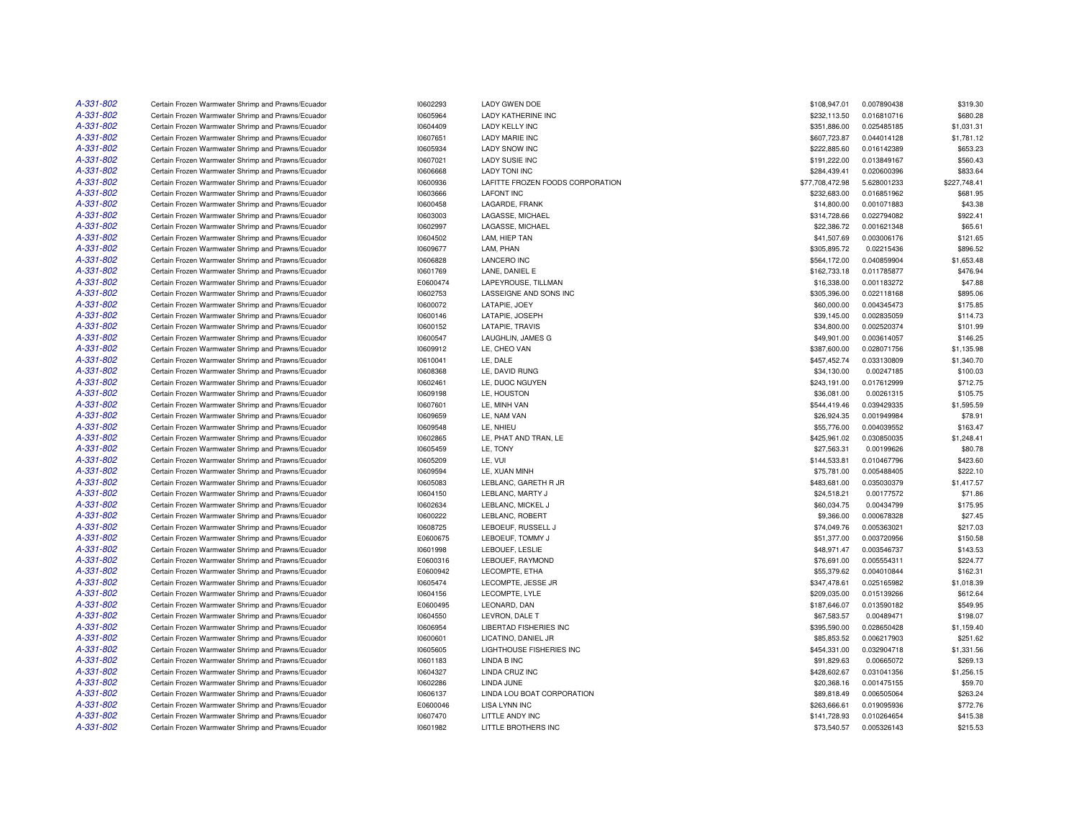| A-331-802 | Certain Frozen Warmwater Shrimp and Prawns/Ecuador | 10602293 | <b>LADY GWEN DOE</b>             | \$108,947.01    | 0.007890438 | \$319.30     |
|-----------|----------------------------------------------------|----------|----------------------------------|-----------------|-------------|--------------|
| A-331-802 | Certain Frozen Warmwater Shrimp and Prawns/Ecuador | 10605964 | <b>LADY KATHERINE INC</b>        | \$232,113.50    | 0.016810716 | \$680.28     |
| A-331-802 | Certain Frozen Warmwater Shrimp and Prawns/Ecuador | 10604409 | <b>LADY KELLY INC</b>            | \$351,886.00    | 0.025485185 | \$1,031.31   |
| A-331-802 | Certain Frozen Warmwater Shrimp and Prawns/Ecuador | 10607651 | <b>LADY MARIE INC</b>            | \$607,723.87    | 0.044014128 | \$1,781.12   |
| A-331-802 | Certain Frozen Warmwater Shrimp and Prawns/Ecuador | 10605934 | <b>LADY SNOW INC</b>             | \$222,885.60    | 0.016142389 | \$653.23     |
| A-331-802 | Certain Frozen Warmwater Shrimp and Prawns/Ecuador | 10607021 | <b>LADY SUSIE INC</b>            | \$191,222.00    | 0.013849167 | \$560.43     |
| A-331-802 | Certain Frozen Warmwater Shrimp and Prawns/Ecuador | 10606668 | <b>LADY TONI INC</b>             | \$284,439.41    | 0.020600396 | \$833.64     |
| A-331-802 | Certain Frozen Warmwater Shrimp and Prawns/Ecuador | 10600936 | LAFITTE FROZEN FOODS CORPORATION | \$77,708,472.98 | 5.628001233 | \$227,748.41 |
| A-331-802 | Certain Frozen Warmwater Shrimp and Prawns/Ecuador | 10603666 | <b>LAFONT INC</b>                | \$232,683.00    | 0.016851962 | \$681.95     |
| A-331-802 | Certain Frozen Warmwater Shrimp and Prawns/Ecuador | 10600458 | LAGARDE, FRANK                   | \$14,800.00     | 0.001071883 | \$43.38      |
| A-331-802 | Certain Frozen Warmwater Shrimp and Prawns/Ecuador | 10603003 | LAGASSE, MICHAEL                 | \$314,728.66    | 0.022794082 | \$922.41     |
| A-331-802 | Certain Frozen Warmwater Shrimp and Prawns/Ecuador | 10602997 | LAGASSE, MICHAEL                 | \$22,386.72     | 0.001621348 | \$65.61      |
| A-331-802 | Certain Frozen Warmwater Shrimp and Prawns/Ecuador | 10604502 | LAM, HIEP TAN                    | \$41,507.69     | 0.003006176 | \$121.65     |
| A-331-802 | Certain Frozen Warmwater Shrimp and Prawns/Ecuador | 10609677 | LAM, PHAN                        | \$305,895.72    | 0.02215436  | \$896.52     |
| A-331-802 | Certain Frozen Warmwater Shrimp and Prawns/Ecuador | 10606828 | <b>LANCERO INC</b>               | \$564,172.00    | 0.040859904 | \$1,653.48   |
| A-331-802 | Certain Frozen Warmwater Shrimp and Prawns/Ecuador | 10601769 | LANE, DANIEL E                   | \$162,733.18    | 0.011785877 | \$476.94     |
| A-331-802 | Certain Frozen Warmwater Shrimp and Prawns/Ecuador | E0600474 | LAPEYROUSE, TILLMAN              | \$16,338.00     | 0.001183272 | \$47.88      |
| A-331-802 | Certain Frozen Warmwater Shrimp and Prawns/Ecuador | 10602753 | LASSEIGNE AND SONS INC           | \$305,396.00    | 0.022118168 | \$895.06     |
| A-331-802 | Certain Frozen Warmwater Shrimp and Prawns/Ecuador | 10600072 | LATAPIE, JOEY                    | \$60,000.00     | 0.004345473 | \$175.85     |
| A-331-802 | Certain Frozen Warmwater Shrimp and Prawns/Ecuador | 10600146 | LATAPIE, JOSEPH                  | \$39,145.00     | 0.002835059 | \$114.73     |
| A-331-802 | Certain Frozen Warmwater Shrimp and Prawns/Ecuador | 10600152 | LATAPIE, TRAVIS                  | \$34,800.00     | 0.002520374 | \$101.99     |
| A-331-802 | Certain Frozen Warmwater Shrimp and Prawns/Ecuador | 10600547 | LAUGHLIN, JAMES G                | \$49,901.00     | 0.003614057 | \$146.25     |
| A-331-802 | Certain Frozen Warmwater Shrimp and Prawns/Ecuador | 10609912 | LE, CHEO VAN                     | \$387,600.00    | 0.028071756 | \$1,135.98   |
| A-331-802 | Certain Frozen Warmwater Shrimp and Prawns/Ecuador | 10610041 | LE, DALE                         | \$457,452.74    | 0.033130809 | \$1,340.70   |
| A-331-802 | Certain Frozen Warmwater Shrimp and Prawns/Ecuador | 10608368 | LE, DAVID RUNG                   | \$34,130.00     | 0.00247185  | \$100.03     |
| A-331-802 | Certain Frozen Warmwater Shrimp and Prawns/Ecuador | 10602461 | LE, DUOC NGUYEN                  | \$243,191.00    | 0.017612999 | \$712.75     |
| A-331-802 | Certain Frozen Warmwater Shrimp and Prawns/Ecuador | 10609198 | LE, HOUSTON                      | \$36,081.00     | 0.00261315  | \$105.75     |
| A-331-802 | Certain Frozen Warmwater Shrimp and Prawns/Ecuador | 10607601 | LE, MINH VAN                     | \$544,419.46    | 0.039429335 | \$1,595.59   |
| A-331-802 | Certain Frozen Warmwater Shrimp and Prawns/Ecuador | 10609659 | LE, NAM VAN                      | \$26,924.35     | 0.001949984 | \$78.91      |
| A-331-802 | Certain Frozen Warmwater Shrimp and Prawns/Ecuador | 10609548 | LE, NHIEU                        | \$55,776.00     | 0.004039552 | \$163.47     |
| A-331-802 | Certain Frozen Warmwater Shrimp and Prawns/Ecuador | 10602865 | LE, PHAT AND TRAN, LE            | \$425,961.02    | 0.030850035 | \$1,248.41   |
| A-331-802 | Certain Frozen Warmwater Shrimp and Prawns/Ecuador | 10605459 | LE, TONY                         | \$27,563.31     | 0.00199626  | \$80.78      |
| A-331-802 | Certain Frozen Warmwater Shrimp and Prawns/Ecuador | 10605209 | LE, VUI                          | \$144,533.81    | 0.010467796 | \$423.60     |
| A-331-802 | Certain Frozen Warmwater Shrimp and Prawns/Ecuador | 10609594 | LE, XUAN MINH                    | \$75,781.00     | 0.005488405 | \$222.10     |
| A-331-802 | Certain Frozen Warmwater Shrimp and Prawns/Ecuador | 10605083 | LEBLANC, GARETH R JR             | \$483,681.00    | 0.035030379 | \$1,417.57   |
| A-331-802 | Certain Frozen Warmwater Shrimp and Prawns/Ecuador | 10604150 | LEBLANC, MARTY J                 | \$24,518.21     | 0.00177572  | \$71.86      |
| A-331-802 | Certain Frozen Warmwater Shrimp and Prawns/Ecuador | 10602634 | LEBLANC, MICKEL J                | \$60,034.75     | 0.00434799  | \$175.95     |
| A-331-802 | Certain Frozen Warmwater Shrimp and Prawns/Ecuador | 10600222 | LEBLANC, ROBERT                  | \$9,366.00      | 0.000678328 | \$27.45      |
| A-331-802 | Certain Frozen Warmwater Shrimp and Prawns/Ecuador | 10608725 | LEBOEUF, RUSSELL J               | \$74,049.76     | 0.005363021 | \$217.03     |
| A-331-802 | Certain Frozen Warmwater Shrimp and Prawns/Ecuador | E0600675 | LEBOEUF, TOMMY J                 | \$51,377.00     | 0.003720956 | \$150.58     |
| A-331-802 | Certain Frozen Warmwater Shrimp and Prawns/Ecuador | 10601998 | LEBOUEF, LESLIE                  | \$48,971.47     | 0.003546737 | \$143.53     |
| A-331-802 | Certain Frozen Warmwater Shrimp and Prawns/Ecuador | E0600316 | LEBOUEF, RAYMOND                 | \$76,691.00     | 0.005554311 | \$224.77     |
| A-331-802 | Certain Frozen Warmwater Shrimp and Prawns/Ecuador | E0600942 | LECOMPTE, ETHA                   | \$55,379.62     | 0.004010844 | \$162.31     |
| A-331-802 | Certain Frozen Warmwater Shrimp and Prawns/Ecuador | 10605474 | LECOMPTE, JESSE JR               | \$347,478.61    | 0.025165982 | \$1,018.39   |
| A-331-802 | Certain Frozen Warmwater Shrimp and Prawns/Ecuador | 10604156 | LECOMPTE, LYLE                   | \$209,035.00    | 0.015139266 | \$612.64     |
| A-331-802 | Certain Frozen Warmwater Shrimp and Prawns/Ecuador | E0600495 | LEONARD, DAN                     | \$187,646.07    | 0.013590182 | \$549.95     |
| A-331-802 | Certain Frozen Warmwater Shrimp and Prawns/Ecuador | 10604550 | LEVRON, DALE T                   | \$67,583.57     | 0.00489471  | \$198.07     |
| A-331-802 | Certain Frozen Warmwater Shrimp and Prawns/Ecuador | 10606954 | LIBERTAD FISHERIES INC           | \$395,590.00    | 0.028650428 | \$1,159.40   |
| A-331-802 | Certain Frozen Warmwater Shrimp and Prawns/Ecuador | 10600601 | LICATINO, DANIEL JR              | \$85,853.52     | 0.006217903 | \$251.62     |
| A-331-802 | Certain Frozen Warmwater Shrimp and Prawns/Ecuador | 10605605 | LIGHTHOUSE FISHERIES INC         | \$454,331.00    | 0.032904718 | \$1,331.56   |
| A-331-802 | Certain Frozen Warmwater Shrimp and Prawns/Ecuador | 10601183 | LINDA B INC                      | \$91,829.63     | 0.00665072  | \$269.13     |
| A-331-802 | Certain Frozen Warmwater Shrimp and Prawns/Ecuador | 10604327 | LINDA CRUZ INC                   | \$428,602.67    | 0.031041356 | \$1,256.15   |
| A-331-802 | Certain Frozen Warmwater Shrimp and Prawns/Ecuador | 10602286 | LINDA JUNE                       | \$20,368.16     | 0.001475155 | \$59.70      |
| A-331-802 | Certain Frozen Warmwater Shrimp and Prawns/Ecuador | 10606137 | LINDA LOU BOAT CORPORATION       | \$89,818.49     | 0.006505064 | \$263.24     |
| A-331-802 | Certain Frozen Warmwater Shrimp and Prawns/Ecuador | E0600046 | <b>LISA LYNN INC</b>             | \$263,666.61    | 0.019095936 | \$772.76     |
| A-331-802 | Certain Frozen Warmwater Shrimp and Prawns/Ecuador | 10607470 | LITTLE ANDY INC                  | \$141,728.93    | 0.010264654 | \$415.38     |
| A-331-802 | Certain Frozen Warmwater Shrimp and Prawns/Ecuador | 10601982 | LITTLE BROTHERS INC              | \$73,540.57     | 0.005326143 | \$215.53     |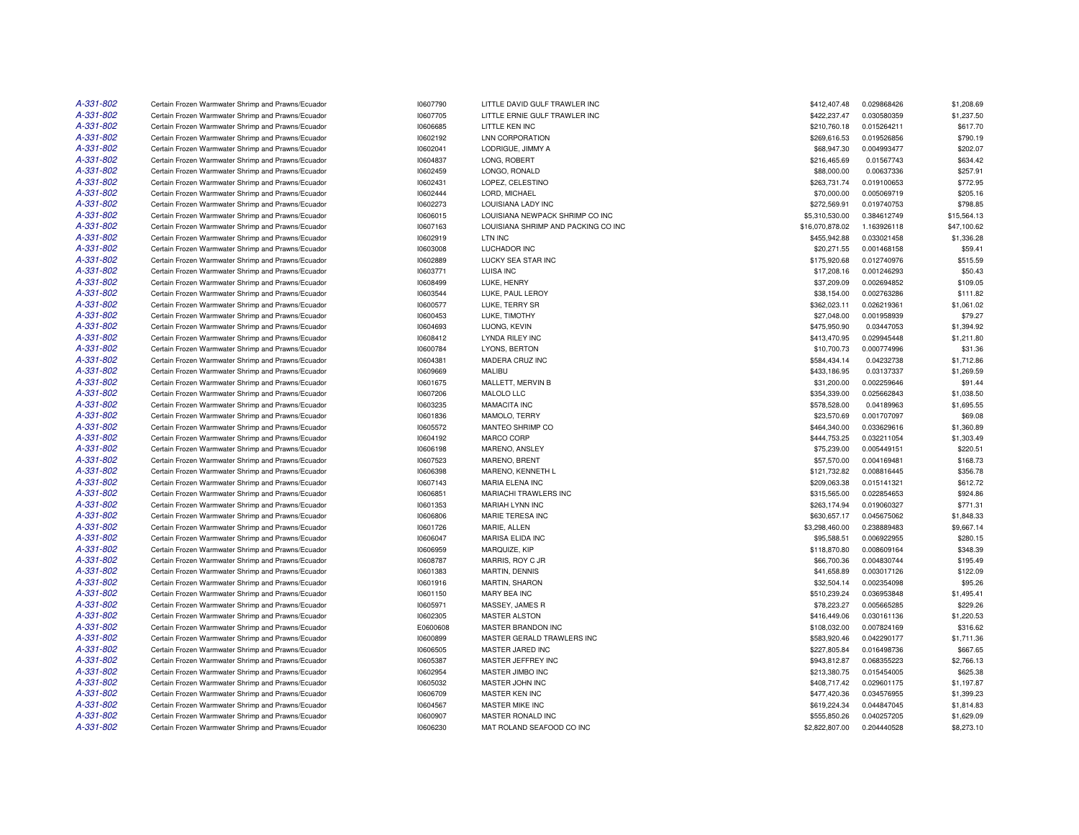| A-331-802 | Certain Frozen Warmwater Shrimp and Prawns/Ecuador | 10607790 | LITTLE DAVID GULF TRAWLER INC       | \$412,407.48    | 0.029868426 | \$1,208.69  |
|-----------|----------------------------------------------------|----------|-------------------------------------|-----------------|-------------|-------------|
| A-331-802 | Certain Frozen Warmwater Shrimp and Prawns/Ecuador | 10607705 | LITTLE ERNIE GULF TRAWLER INC       | \$422,237.47    | 0.030580359 | \$1,237.50  |
| A-331-802 | Certain Frozen Warmwater Shrimp and Prawns/Ecuador | 10606685 | LITTLE KEN INC                      | \$210,760.18    | 0.015264211 | \$617.70    |
| A-331-802 | Certain Frozen Warmwater Shrimp and Prawns/Ecuador | 10602192 | <b>LNN CORPORATION</b>              | \$269,616.53    | 0.019526856 | \$790.19    |
| A-331-802 | Certain Frozen Warmwater Shrimp and Prawns/Ecuador | 10602041 | LODRIGUE, JIMMY A                   | \$68,947.30     | 0.004993477 | \$202.07    |
| A-331-802 | Certain Frozen Warmwater Shrimp and Prawns/Ecuador | 10604837 | LONG, ROBERT                        | \$216,465.69    | 0.01567743  | \$634.42    |
| A-331-802 | Certain Frozen Warmwater Shrimp and Prawns/Ecuador | 10602459 | LONGO, RONALD                       | \$88,000.00     | 0.00637336  | \$257.91    |
| A-331-802 | Certain Frozen Warmwater Shrimp and Prawns/Ecuador | 10602431 | LOPEZ, CELESTINO                    | \$263,731.74    | 0.019100653 | \$772.95    |
| A-331-802 | Certain Frozen Warmwater Shrimp and Prawns/Ecuador | 10602444 | LORD, MICHAEL                       | \$70,000.00     | 0.005069719 | \$205.16    |
| A-331-802 | Certain Frozen Warmwater Shrimp and Prawns/Ecuador | 10602273 | LOUISIANA LADY INC                  | \$272,569.91    | 0.019740753 | \$798.85    |
| A-331-802 | Certain Frozen Warmwater Shrimp and Prawns/Ecuador | 10606015 | LOUISIANA NEWPACK SHRIMP CO INC     | \$5,310,530.00  | 0.384612749 | \$15,564.13 |
| A-331-802 | Certain Frozen Warmwater Shrimp and Prawns/Ecuador | 10607163 | LOUISIANA SHRIMP AND PACKING CO INC | \$16,070,878.02 | 1.163926118 | \$47,100.62 |
| A-331-802 | Certain Frozen Warmwater Shrimp and Prawns/Ecuador | 10602919 | LTN INC                             | \$455,942.88    | 0.033021458 | \$1,336.28  |
| A-331-802 | Certain Frozen Warmwater Shrimp and Prawns/Ecuador | 10603008 | LUCHADOR INC                        | \$20,271.55     | 0.001468158 | \$59.41     |
| A-331-802 | Certain Frozen Warmwater Shrimp and Prawns/Ecuador | 10602889 | LUCKY SEA STAR INC                  | \$175,920.68    | 0.012740976 | \$515.59    |
| A-331-802 | Certain Frozen Warmwater Shrimp and Prawns/Ecuador | 10603771 | LUISA INC                           | \$17,208.16     | 0.001246293 | \$50.43     |
| A-331-802 | Certain Frozen Warmwater Shrimp and Prawns/Ecuador | 10608499 | LUKE, HENRY                         | \$37,209.09     | 0.002694852 | \$109.05    |
| A-331-802 | Certain Frozen Warmwater Shrimp and Prawns/Ecuador | 10603544 | LUKE, PAUL LEROY                    | \$38,154.00     | 0.002763286 | \$111.82    |
| A-331-802 | Certain Frozen Warmwater Shrimp and Prawns/Ecuador | 10600577 | LUKE, TERRY SR                      | \$362,023.11    | 0.026219361 | \$1,061.02  |
| A-331-802 | Certain Frozen Warmwater Shrimp and Prawns/Ecuador | 10600453 | LUKE, TIMOTHY                       | \$27,048.00     | 0.001958939 | \$79.27     |
| A-331-802 | Certain Frozen Warmwater Shrimp and Prawns/Ecuador | 10604693 | LUONG, KEVIN                        | \$475,950.90    | 0.03447053  | \$1,394.92  |
| A-331-802 |                                                    |          |                                     |                 |             |             |
| A-331-802 | Certain Frozen Warmwater Shrimp and Prawns/Ecuador | 10608412 | <b>LYNDA RILEY INC</b>              | \$413,470.95    | 0.029945448 | \$1,211.80  |
| A-331-802 | Certain Frozen Warmwater Shrimp and Prawns/Ecuador | 10600784 | LYONS, BERTON                       | \$10,700.73     | 0.000774996 | \$31.36     |
|           | Certain Frozen Warmwater Shrimp and Prawns/Ecuador | 10604381 | MADERA CRUZ INC                     | \$584,434.14    | 0.04232738  | \$1,712.86  |
| A-331-802 | Certain Frozen Warmwater Shrimp and Prawns/Ecuador | 10609669 | MALIBU                              | \$433,186.95    | 0.03137337  | \$1,269.59  |
| A-331-802 | Certain Frozen Warmwater Shrimp and Prawns/Ecuador | 10601675 | MALLETT, MERVIN B                   | \$31,200.00     | 0.002259646 | \$91.44     |
| A-331-802 | Certain Frozen Warmwater Shrimp and Prawns/Ecuador | 10607206 | MALOLO LLC                          | \$354,339.00    | 0.025662843 | \$1,038.50  |
| A-331-802 | Certain Frozen Warmwater Shrimp and Prawns/Ecuador | 10603235 | <b>MAMACITA INC</b>                 | \$578,528.00    | 0.04189963  | \$1,695.55  |
| A-331-802 | Certain Frozen Warmwater Shrimp and Prawns/Ecuador | 10601836 | MAMOLO, TERRY                       | \$23,570.69     | 0.001707097 | \$69.08     |
| A-331-802 | Certain Frozen Warmwater Shrimp and Prawns/Ecuador | 10605572 | MANTEO SHRIMP CO                    | \$464,340.00    | 0.033629616 | \$1,360.89  |
| A-331-802 | Certain Frozen Warmwater Shrimp and Prawns/Ecuador | 10604192 | <b>MARCO CORP</b>                   | \$444,753.25    | 0.032211054 | \$1,303.49  |
| A-331-802 | Certain Frozen Warmwater Shrimp and Prawns/Ecuador | 10606198 | MARENO, ANSLEY                      | \$75,239.00     | 0.005449151 | \$220.51    |
| A-331-802 | Certain Frozen Warmwater Shrimp and Prawns/Ecuador | 10607523 | MARENO, BRENT                       | \$57,570.00     | 0.004169481 | \$168.73    |
| A-331-802 | Certain Frozen Warmwater Shrimp and Prawns/Ecuador | 10606398 | MARENO, KENNETH L                   | \$121,732.82    | 0.008816445 | \$356.78    |
| A-331-802 | Certain Frozen Warmwater Shrimp and Prawns/Ecuador | 10607143 | MARIA ELENA INC                     | \$209,063.38    | 0.015141321 | \$612.72    |
| A-331-802 | Certain Frozen Warmwater Shrimp and Prawns/Ecuador | 10606851 | MARIACHI TRAWLERS INC               | \$315,565.00    | 0.022854653 | \$924.86    |
| A-331-802 | Certain Frozen Warmwater Shrimp and Prawns/Ecuador | 10601353 | MARIAH LYNN INC                     | \$263,174.94    | 0.019060327 | \$771.31    |
| A-331-802 | Certain Frozen Warmwater Shrimp and Prawns/Ecuador | 10606806 | MARIE TERESA INC                    | \$630,657.17    | 0.045675062 | \$1,848.33  |
| A-331-802 | Certain Frozen Warmwater Shrimp and Prawns/Ecuador | 10601726 | MARIE, ALLEN                        | \$3,298,460.00  | 0.238889483 | \$9,667.14  |
| A-331-802 | Certain Frozen Warmwater Shrimp and Prawns/Ecuador | 10606047 | <b>MARISA ELIDA INC</b>             | \$95,588.51     | 0.006922955 | \$280.15    |
| A-331-802 | Certain Frozen Warmwater Shrimp and Prawns/Ecuador | 10606959 | MARQUIZE, KIP                       | \$118,870.80    | 0.008609164 | \$348.39    |
| A-331-802 | Certain Frozen Warmwater Shrimp and Prawns/Ecuador | 10608787 | MARRIS, ROY C JR                    | \$66,700.36     | 0.004830744 | \$195.49    |
| A-331-802 | Certain Frozen Warmwater Shrimp and Prawns/Ecuador | 10601383 | MARTIN, DENNIS                      | \$41,658.89     | 0.003017126 | \$122.09    |
| A-331-802 | Certain Frozen Warmwater Shrimp and Prawns/Ecuador | 10601916 | <b>MARTIN, SHARON</b>               | \$32,504.14     | 0.002354098 | \$95.26     |
| A-331-802 | Certain Frozen Warmwater Shrimp and Prawns/Ecuador | 10601150 | MARY BEA INC                        | \$510,239.24    | 0.036953848 | \$1,495.41  |
| A-331-802 | Certain Frozen Warmwater Shrimp and Prawns/Ecuador | 10605971 | MASSEY, JAMES R                     | \$78,223.27     | 0.005665285 | \$229.26    |
| A-331-802 | Certain Frozen Warmwater Shrimp and Prawns/Ecuador | 10602305 | <b>MASTER ALSTON</b>                | \$416,449.06    | 0.030161136 | \$1,220.53  |
| A-331-802 | Certain Frozen Warmwater Shrimp and Prawns/Ecuador | E0600608 | <b>MASTER BRANDON INC</b>           | \$108,032.00    | 0.007824169 | \$316.62    |
| A-331-802 | Certain Frozen Warmwater Shrimp and Prawns/Ecuador | 10600899 | MASTER GERALD TRAWLERS INC          | \$583,920.46    | 0.042290177 | \$1,711.36  |
| A-331-802 | Certain Frozen Warmwater Shrimp and Prawns/Ecuador | 10606505 | MASTER JARED INC                    | \$227,805.84    | 0.016498736 | \$667.65    |
| A-331-802 | Certain Frozen Warmwater Shrimp and Prawns/Ecuador | 10605387 | MASTER JEFFREY INC                  | \$943,812.87    | 0.068355223 | \$2,766.13  |
| A-331-802 | Certain Frozen Warmwater Shrimp and Prawns/Ecuador | 10602954 | MASTER JIMBO INC                    | \$213,380.75    | 0.015454005 | \$625.38    |
| A-331-802 | Certain Frozen Warmwater Shrimp and Prawns/Ecuador | 10605032 | MASTER JOHN INC                     | \$408,717.42    | 0.029601175 | \$1,197.87  |
| A-331-802 | Certain Frozen Warmwater Shrimp and Prawns/Ecuador | 10606709 | MASTER KEN INC                      | \$477,420.36    | 0.034576955 | \$1,399.23  |
| A-331-802 | Certain Frozen Warmwater Shrimp and Prawns/Ecuador | 10604567 | MASTER MIKE INC                     | \$619,224.34    | 0.044847045 | \$1,814.83  |
| A-331-802 | Certain Frozen Warmwater Shrimp and Prawns/Ecuador | 10600907 | MASTER RONALD INC                   | \$555,850,26    | 0.040257205 | \$1,629.09  |
| A-331-802 | Certain Frozen Warmwater Shrimp and Prawns/Ecuador | 10606230 | MAT ROLAND SEAFOOD CO INC           | \$2,822,807.00  | 0.204440528 | \$8,273.10  |
|           |                                                    |          |                                     |                 |             |             |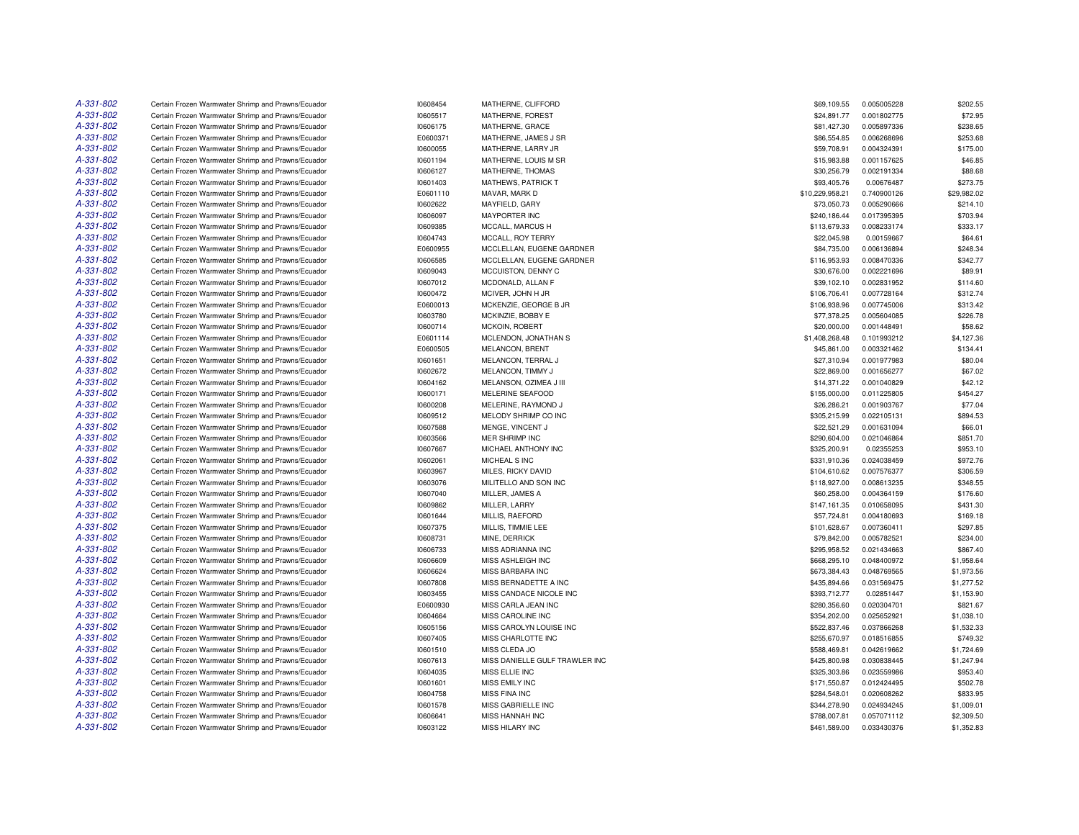| A-331-802 | Certain Frozen Warmwater Shrimp and Prawns/Ecuador | 10608454 | MATHERNE, CLIFFORD             | \$69,109.55     | 0.005005228 | \$202.55    |
|-----------|----------------------------------------------------|----------|--------------------------------|-----------------|-------------|-------------|
| A-331-802 | Certain Frozen Warmwater Shrimp and Prawns/Ecuador | 10605517 | MATHERNE, FOREST               | \$24,891.77     | 0.001802775 | \$72.95     |
| A-331-802 | Certain Frozen Warmwater Shrimp and Prawns/Ecuador | 10606175 | MATHERNE, GRACE                | \$81,427.30     | 0.005897336 | \$238.65    |
| A-331-802 | Certain Frozen Warmwater Shrimp and Prawns/Ecuador | E0600371 | MATHERNE, JAMES J SR           | \$86,554.85     | 0.006268696 | \$253.68    |
| A-331-802 | Certain Frozen Warmwater Shrimp and Prawns/Ecuador | 10600055 | MATHERNE, LARRY JR             | \$59,708.91     | 0.004324391 | \$175.00    |
| A-331-802 | Certain Frozen Warmwater Shrimp and Prawns/Ecuador | 10601194 | MATHERNE, LOUIS M SR           | \$15,983.88     | 0.001157625 | \$46.85     |
| A-331-802 | Certain Frozen Warmwater Shrimp and Prawns/Ecuador | 10606127 | MATHERNE, THOMAS               | \$30,256.79     | 0.002191334 | \$88.68     |
| A-331-802 | Certain Frozen Warmwater Shrimp and Prawns/Ecuador | 10601403 | MATHEWS, PATRICK T             | \$93,405.76     | 0.00676487  | \$273.75    |
| A-331-802 | Certain Frozen Warmwater Shrimp and Prawns/Ecuador | E0601110 | MAVAR, MARK D                  | \$10,229,958.21 | 0.740900126 | \$29,982.02 |
| A-331-802 | Certain Frozen Warmwater Shrimp and Prawns/Ecuador | 10602622 | MAYFIELD, GARY                 | \$73,050.73     | 0.005290666 | \$214.10    |
| A-331-802 | Certain Frozen Warmwater Shrimp and Prawns/Ecuador | 10606097 | <b>MAYPORTER INC</b>           | \$240,186.44    | 0.017395395 | \$703.94    |
| A-331-802 | Certain Frozen Warmwater Shrimp and Prawns/Ecuador | 10609385 | MCCALL, MARCUS H               | \$113,679.33    | 0.008233174 | \$333.17    |
| A-331-802 | Certain Frozen Warmwater Shrimp and Prawns/Ecuador | 10604743 | MCCALL, ROY TERRY              | \$22,045.98     | 0.00159667  | \$64.61     |
| A-331-802 | Certain Frozen Warmwater Shrimp and Prawns/Ecuador | E0600955 | MCCLELLAN, EUGENE GARDNER      | \$84,735.00     | 0.006136894 | \$248.34    |
| A-331-802 | Certain Frozen Warmwater Shrimp and Prawns/Ecuador | 10606585 | MCCLELLAN, EUGENE GARDNER      | \$116,953.93    | 0.008470336 | \$342.77    |
| A-331-802 | Certain Frozen Warmwater Shrimp and Prawns/Ecuador | 10609043 | MCCUISTON, DENNY C             | \$30,676.00     | 0.002221696 | \$89.91     |
| A-331-802 | Certain Frozen Warmwater Shrimp and Prawns/Ecuador | 10607012 | MCDONALD, ALLAN F              | \$39,102.10     | 0.002831952 | \$114.60    |
| A-331-802 | Certain Frozen Warmwater Shrimp and Prawns/Ecuador | 10600472 | MCIVER, JOHN H JR              | \$106,706.41    | 0.007728164 | \$312.74    |
| A-331-802 | Certain Frozen Warmwater Shrimp and Prawns/Ecuador | E0600013 | MCKENZIE, GEORGE B JR          | \$106,938.96    | 0.007745006 | \$313.42    |
| A-331-802 |                                                    |          |                                |                 |             |             |
|           | Certain Frozen Warmwater Shrimp and Prawns/Ecuador | 10603780 | MCKINZIE, BOBBY E              | \$77,378.25     | 0.005604085 | \$226.78    |
| A-331-802 | Certain Frozen Warmwater Shrimp and Prawns/Ecuador | 10600714 | MCKOIN, ROBERT                 | \$20,000.00     | 0.001448491 | \$58.62     |
| A-331-802 | Certain Frozen Warmwater Shrimp and Prawns/Ecuador | E0601114 | MCLENDON, JONATHAN S           | \$1,408,268.48  | 0.101993212 | \$4,127.36  |
| A-331-802 | Certain Frozen Warmwater Shrimp and Prawns/Ecuador | E0600505 | <b>MELANCON, BRENT</b>         | \$45,861.00     | 0.003321462 | \$134.41    |
| A-331-802 | Certain Frozen Warmwater Shrimp and Prawns/Ecuador | 10601651 | MELANCON, TERRAL J             | \$27,310.94     | 0.001977983 | \$80.04     |
| A-331-802 | Certain Frozen Warmwater Shrimp and Prawns/Ecuador | 10602672 | MELANCON, TIMMY J              | \$22,869.00     | 0.001656277 | \$67.02     |
| A-331-802 | Certain Frozen Warmwater Shrimp and Prawns/Ecuador | 10604162 | MELANSON, OZIMEA J III         | \$14,371.22     | 0.001040829 | \$42.12     |
| A-331-802 | Certain Frozen Warmwater Shrimp and Prawns/Ecuador | 10600171 | MELERINE SEAFOOD               | \$155,000.00    | 0.011225805 | \$454.27    |
| A-331-802 | Certain Frozen Warmwater Shrimp and Prawns/Ecuador | 10600208 | MELERINE, RAYMOND J            | \$26,286.21     | 0.001903767 | \$77.04     |
| A-331-802 | Certain Frozen Warmwater Shrimp and Prawns/Ecuador | 10609512 | MELODY SHRIMP CO INC           | \$305,215.99    | 0.022105131 | \$894.53    |
| A-331-802 | Certain Frozen Warmwater Shrimp and Prawns/Ecuador | 10607588 | MENGE, VINCENT J               | \$22,521.29     | 0.001631094 | \$66.01     |
| A-331-802 | Certain Frozen Warmwater Shrimp and Prawns/Ecuador | 10603566 | MER SHRIMP INC                 | \$290,604.00    | 0.021046864 | \$851.70    |
| A-331-802 | Certain Frozen Warmwater Shrimp and Prawns/Ecuador | 10607667 | MICHAEL ANTHONY INC            | \$325,200.91    | 0.02355253  | \$953.10    |
| A-331-802 | Certain Frozen Warmwater Shrimp and Prawns/Ecuador | 10602061 | MICHEAL S INC                  | \$331,910.36    | 0.024038459 | \$972.76    |
| A-331-802 | Certain Frozen Warmwater Shrimp and Prawns/Ecuador | 10603967 | MILES, RICKY DAVID             | \$104,610.62    | 0.007576377 | \$306.59    |
| A-331-802 | Certain Frozen Warmwater Shrimp and Prawns/Ecuador | 10603076 | MILITELLO AND SON INC          | \$118,927.00    | 0.008613235 | \$348.55    |
| A-331-802 | Certain Frozen Warmwater Shrimp and Prawns/Ecuador | 10607040 | MILLER, JAMES A                | \$60,258.00     | 0.004364159 | \$176.60    |
| A-331-802 | Certain Frozen Warmwater Shrimp and Prawns/Ecuador | 10609862 | MILLER, LARRY                  | \$147,161.35    | 0.010658095 | \$431.30    |
| A-331-802 | Certain Frozen Warmwater Shrimp and Prawns/Ecuador | 10601644 | MILLIS, RAEFORD                | \$57,724.81     | 0.004180693 | \$169.18    |
| A-331-802 | Certain Frozen Warmwater Shrimp and Prawns/Ecuador | 10607375 | MILLIS, TIMMIE LEE             | \$101,628.67    | 0.007360411 | \$297.85    |
| A-331-802 | Certain Frozen Warmwater Shrimp and Prawns/Ecuador | 10608731 | MINE, DERRICK                  | \$79,842.00     | 0.005782521 | \$234.00    |
| A-331-802 | Certain Frozen Warmwater Shrimp and Prawns/Ecuador | 10606733 | MISS ADRIANNA INC              | \$295,958.52    | 0.021434663 | \$867.40    |
| A-331-802 | Certain Frozen Warmwater Shrimp and Prawns/Ecuador | 10606609 | MISS ASHLEIGH INC              | \$668,295.10    | 0.048400972 | \$1,958.64  |
| A-331-802 | Certain Frozen Warmwater Shrimp and Prawns/Ecuador | 10606624 | <b>MISS BARBARA INC</b>        | \$673,384.43    | 0.048769565 | \$1,973.56  |
| A-331-802 | Certain Frozen Warmwater Shrimp and Prawns/Ecuador | 10607808 | MISS BERNADETTE A INC          | \$435,894.66    | 0.031569475 | \$1,277.52  |
| A-331-802 | Certain Frozen Warmwater Shrimp and Prawns/Ecuador | 10603455 | MISS CANDACE NICOLE INC        | \$393,712.77    | 0.02851447  | \$1,153.90  |
| A-331-802 | Certain Frozen Warmwater Shrimp and Prawns/Ecuador | E0600930 | MISS CARLA JEAN INC            | \$280,356.60    | 0.020304701 | \$821.67    |
| A-331-802 | Certain Frozen Warmwater Shrimp and Prawns/Ecuador | 10604664 | MISS CAROLINE INC              | \$354,202.00    | 0.025652921 | \$1,038.10  |
| A-331-802 | Certain Frozen Warmwater Shrimp and Prawns/Ecuador | 10605156 | MISS CAROLYN LOUISE INC        | \$522,837.46    | 0.037866268 | \$1,532.33  |
| A-331-802 | Certain Frozen Warmwater Shrimp and Prawns/Ecuador | 10607405 | MISS CHARLOTTE INC             | \$255,670.97    | 0.018516855 | \$749.32    |
| A-331-802 | Certain Frozen Warmwater Shrimp and Prawns/Ecuador | 10601510 | MISS CLEDA JO                  | \$588,469.81    | 0.042619662 | \$1,724.69  |
| A-331-802 | Certain Frozen Warmwater Shrimp and Prawns/Ecuador | 10607613 | MISS DANIELLE GULF TRAWLER INC | \$425,800.98    | 0.030838445 | \$1,247.94  |
| A-331-802 | Certain Frozen Warmwater Shrimp and Prawns/Ecuador | 10604035 | MISS ELLIE INC                 | \$325,303.86    | 0.023559986 | \$953.40    |
| A-331-802 | Certain Frozen Warmwater Shrimp and Prawns/Ecuador | 10601601 | MISS EMILY INC                 | \$171,550.87    | 0.012424495 | \$502.78    |
| A-331-802 | Certain Frozen Warmwater Shrimp and Prawns/Ecuador | 10604758 | MISS FINA INC                  | \$284,548.01    | 0.020608262 | \$833.95    |
| A-331-802 | Certain Frozen Warmwater Shrimp and Prawns/Ecuador | 10601578 | MISS GABRIELLE INC             | \$344,278.90    | 0.024934245 | \$1,009.01  |
| A-331-802 | Certain Frozen Warmwater Shrimp and Prawns/Ecuador | 10606641 | <b>MISS HANNAH INC</b>         | \$788,007.81    | 0.057071112 | \$2,309.50  |
| A-331-802 | Certain Frozen Warmwater Shrimp and Prawns/Ecuador | 10603122 | MISS HILARY INC                | \$461,589.00    | 0.033430376 | \$1,352.83  |
|           |                                                    |          |                                |                 |             |             |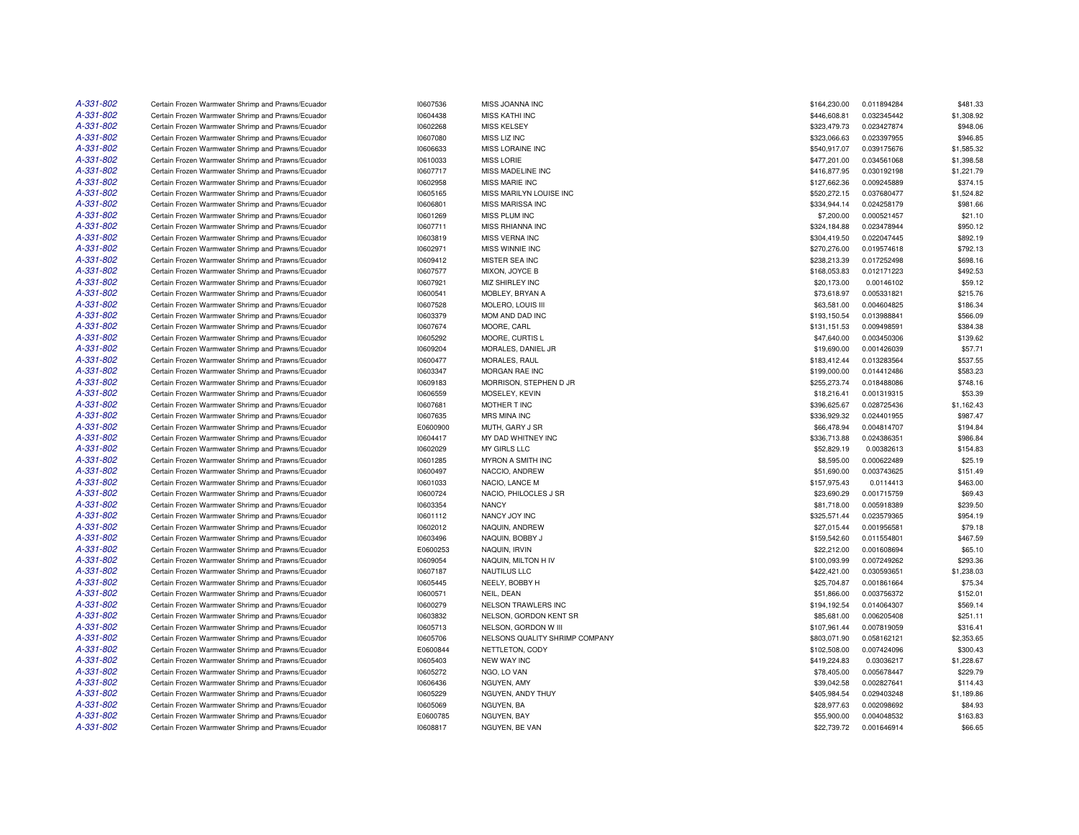| A-331-802              | Certain Frozen Warmwater Shrimp and Prawns/Ecuador | 10607536 | MISS JOANNA INC                | \$164,230.00 | 0.011894284 | \$481.33   |
|------------------------|----------------------------------------------------|----------|--------------------------------|--------------|-------------|------------|
| A-331-802              | Certain Frozen Warmwater Shrimp and Prawns/Ecuador | 10604438 | <b>MISS KATHI INC</b>          | \$446,608.81 | 0.032345442 | \$1,308.92 |
| A-331-802              | Certain Frozen Warmwater Shrimp and Prawns/Ecuador | 10602268 | <b>MISS KELSEY</b>             | \$323,479.73 | 0.023427874 | \$948.06   |
| A-331-802              | Certain Frozen Warmwater Shrimp and Prawns/Ecuador | 10607080 | MISS LIZ INC                   | \$323,066.63 | 0.023397955 | \$946.85   |
| A-331-802              | Certain Frozen Warmwater Shrimp and Prawns/Ecuador | 10606633 | MISS LORAINE INC               | \$540,917.07 | 0.039175676 | \$1,585.32 |
| A-331-802              | Certain Frozen Warmwater Shrimp and Prawns/Ecuador | 10610033 | <b>MISS LORIE</b>              | \$477,201.00 | 0.034561068 | \$1,398.58 |
| A-331-802              | Certain Frozen Warmwater Shrimp and Prawns/Ecuador | 10607717 | MISS MADELINE INC              | \$416,877.95 | 0.030192198 | \$1,221.79 |
| A-331-802              | Certain Frozen Warmwater Shrimp and Prawns/Ecuador | 10602958 | MISS MARIE INC                 | \$127,662.36 | 0.009245889 | \$374.15   |
| A-331-802              | Certain Frozen Warmwater Shrimp and Prawns/Ecuador | 10605165 | MISS MARILYN LOUISE INC        | \$520,272.15 | 0.037680477 | \$1,524.82 |
| A-331-802              | Certain Frozen Warmwater Shrimp and Prawns/Ecuador | 10606801 | MISS MARISSA INC               | \$334,944.14 | 0.024258179 | \$981.66   |
| A-331-802              |                                                    |          |                                |              |             |            |
|                        | Certain Frozen Warmwater Shrimp and Prawns/Ecuador | 10601269 | MISS PLUM INC                  | \$7,200.00   | 0.000521457 | \$21.10    |
| A-331-802              | Certain Frozen Warmwater Shrimp and Prawns/Ecuador | 10607711 | MISS RHIANNA INC               | \$324,184.88 | 0.023478944 | \$950.12   |
| A-331-802              | Certain Frozen Warmwater Shrimp and Prawns/Ecuador | 10603819 | MISS VERNA INC                 | \$304,419.50 | 0.022047445 | \$892.19   |
| A-331-802              | Certain Frozen Warmwater Shrimp and Prawns/Ecuador | 10602971 | MISS WINNIE INC                | \$270,276.00 | 0.019574618 | \$792.13   |
| A-331-802              | Certain Frozen Warmwater Shrimp and Prawns/Ecuador | 10609412 | MISTER SEA INC                 | \$238,213.39 | 0.017252498 | \$698.16   |
| A-331-802              | Certain Frozen Warmwater Shrimp and Prawns/Ecuador | 10607577 | MIXON, JOYCE B                 | \$168,053.83 | 0.012171223 | \$492.53   |
| A-331-802              | Certain Frozen Warmwater Shrimp and Prawns/Ecuador | 10607921 | MIZ SHIRLEY INC                | \$20,173.00  | 0.00146102  | \$59.12    |
| A-331-802              | Certain Frozen Warmwater Shrimp and Prawns/Ecuador | 10600541 | MOBLEY, BRYAN A                | \$73,618.97  | 0.005331821 | \$215.76   |
| A-331-802              | Certain Frozen Warmwater Shrimp and Prawns/Ecuador | 10607528 | MOLERO, LOUIS III              | \$63,581.00  | 0.004604825 | \$186.34   |
| A-331-802              | Certain Frozen Warmwater Shrimp and Prawns/Ecuador | 10603379 | MOM AND DAD INC                | \$193,150.54 | 0.013988841 | \$566.09   |
| A-331-802              | Certain Frozen Warmwater Shrimp and Prawns/Ecuador | 10607674 | MOORE, CARL                    | \$131,151.53 | 0.009498591 | \$384.38   |
| A-331-802              | Certain Frozen Warmwater Shrimp and Prawns/Ecuador | 10605292 | MOORE, CURTIS L                | \$47,640.00  | 0.003450306 | \$139.62   |
| A-331-802              | Certain Frozen Warmwater Shrimp and Prawns/Ecuador | 10609204 | MORALES, DANIEL JR             | \$19,690.00  | 0.001426039 | \$57.71    |
| A-331-802              | Certain Frozen Warmwater Shrimp and Prawns/Ecuador | 10600477 | MORALES, RAUL                  | \$183,412.44 | 0.013283564 | \$537.55   |
| A-331-802              | Certain Frozen Warmwater Shrimp and Prawns/Ecuador | 10603347 | MORGAN RAE INC                 | \$199,000.00 | 0.014412486 | \$583.23   |
| A-331-802              | Certain Frozen Warmwater Shrimp and Prawns/Ecuador | 10609183 | MORRISON, STEPHEN D JR         | \$255,273.74 | 0.018488086 | \$748.16   |
| A-331-802              | Certain Frozen Warmwater Shrimp and Prawns/Ecuador | 10606559 | MOSELEY, KEVIN                 | \$18,216.41  | 0.001319315 | \$53.39    |
| A-331-802              | Certain Frozen Warmwater Shrimp and Prawns/Ecuador | 10607681 | MOTHER T INC                   | \$396,625.67 | 0.028725436 | \$1,162.43 |
| A-331-802              | Certain Frozen Warmwater Shrimp and Prawns/Ecuador | 10607635 | <b>MRS MINA INC</b>            | \$336,929.32 | 0.024401955 | \$987.47   |
| A-331-802              | Certain Frozen Warmwater Shrimp and Prawns/Ecuador | E0600900 | MUTH, GARY J SR                | \$66,478.94  | 0.004814707 | \$194.84   |
| A-331-802              | Certain Frozen Warmwater Shrimp and Prawns/Ecuador | 10604417 | MY DAD WHITNEY INC             | \$336,713.88 | 0.024386351 | \$986.84   |
| A-331-802              | Certain Frozen Warmwater Shrimp and Prawns/Ecuador | 10602029 | MY GIRLS LLC                   | \$52,829.19  | 0.00382613  | \$154.83   |
| A-331-802              | Certain Frozen Warmwater Shrimp and Prawns/Ecuador | 10601285 | MYRON A SMITH INC              | \$8,595.00   | 0.000622489 | \$25.19    |
| A-331-802              | Certain Frozen Warmwater Shrimp and Prawns/Ecuador | 10600497 | NACCIO, ANDREW                 | \$51,690.00  | 0.003743625 | \$151.49   |
| A-331-802              | Certain Frozen Warmwater Shrimp and Prawns/Ecuador | 10601033 | NACIO, LANCE M                 | \$157,975.43 | 0.0114413   | \$463.00   |
| A-331-802              | Certain Frozen Warmwater Shrimp and Prawns/Ecuador | 10600724 | NACIO. PHILOCLES J SR          | \$23,690.29  | 0.001715759 | \$69.43    |
| A-331-802              | Certain Frozen Warmwater Shrimp and Prawns/Ecuador | 10603354 | <b>NANCY</b>                   | \$81,718.00  | 0.005918389 | \$239.50   |
| A-331-802              | Certain Frozen Warmwater Shrimp and Prawns/Ecuador | 10601112 | NANCY JOY INC                  | \$325,571.44 | 0.023579365 | \$954.19   |
| A-331-802              | Certain Frozen Warmwater Shrimp and Prawns/Ecuador | 10602012 | NAQUIN, ANDREW                 | \$27,015.44  | 0.001956581 | \$79.18    |
| A-331-802              | Certain Frozen Warmwater Shrimp and Prawns/Ecuador | 10603496 | NAQUIN, BOBBY J                | \$159,542.60 | 0.011554801 | \$467.59   |
| A-331-802              | Certain Frozen Warmwater Shrimp and Prawns/Ecuador | E0600253 | NAQUIN, IRVIN                  | \$22,212.00  | 0.001608694 | \$65.10    |
| A-331-802              |                                                    |          |                                |              |             |            |
|                        | Certain Frozen Warmwater Shrimp and Prawns/Ecuador | 10609054 | NAQUIN, MILTON H IV            | \$100,093.99 | 0.007249262 | \$293.36   |
| A-331-802<br>A-331-802 | Certain Frozen Warmwater Shrimp and Prawns/Ecuador | 10607187 | NAUTILUS LLC                   | \$422,421.00 | 0.030593651 | \$1,238.03 |
|                        | Certain Frozen Warmwater Shrimp and Prawns/Ecuador | 10605445 | NEELY, BOBBY H                 | \$25,704.87  | 0.001861664 | \$75.34    |
| A-331-802              | Certain Frozen Warmwater Shrimp and Prawns/Ecuador | 10600571 | NEIL, DEAN                     | \$51,866.00  | 0.003756372 | \$152.01   |
| A-331-802              | Certain Frozen Warmwater Shrimp and Prawns/Ecuador | 10600279 | <b>NELSON TRAWLERS INC</b>     | \$194,192.54 | 0.014064307 | \$569.14   |
| A-331-802              | Certain Frozen Warmwater Shrimp and Prawns/Ecuador | 10603832 | NELSON, GORDON KENT SR         | \$85,681.00  | 0.006205408 | \$251.11   |
| A-331-802              | Certain Frozen Warmwater Shrimp and Prawns/Ecuador | 10605713 | NELSON, GORDON W III           | \$107,961.44 | 0.007819059 | \$316.41   |
| A-331-802              | Certain Frozen Warmwater Shrimp and Prawns/Ecuador | 10605706 | NELSONS QUALITY SHRIMP COMPANY | \$803,071.90 | 0.058162121 | \$2,353.65 |
| A-331-802              | Certain Frozen Warmwater Shrimp and Prawns/Ecuador | E0600844 | NETTLETON, CODY                | \$102,508.00 | 0.007424096 | \$300.43   |
| A-331-802              | Certain Frozen Warmwater Shrimp and Prawns/Ecuador | 10605403 | <b>NEW WAY INC</b>             | \$419,224.83 | 0.03036217  | \$1,228.67 |
| A-331-802              | Certain Frozen Warmwater Shrimp and Prawns/Ecuador | 10605272 | NGO, LO VAN                    | \$78,405.00  | 0.005678447 | \$229.79   |
| A-331-802              | Certain Frozen Warmwater Shrimp and Prawns/Ecuador | 10606436 | NGUYEN, AMY                    | \$39,042.58  | 0.002827641 | \$114.43   |
| A-331-802              | Certain Frozen Warmwater Shrimp and Prawns/Ecuador | 10605229 | NGUYEN, ANDY THUY              | \$405,984.54 | 0.029403248 | \$1,189.86 |
| A-331-802              | Certain Frozen Warmwater Shrimp and Prawns/Ecuador | 10605069 | NGUYEN, BA                     | \$28,977.63  | 0.002098692 | \$84.93    |
| A-331-802              | Certain Frozen Warmwater Shrimp and Prawns/Ecuador | E0600785 | NGUYEN, BAY                    | \$55,900.00  | 0.004048532 | \$163.83   |
| A-331-802              | Certain Frozen Warmwater Shrimp and Prawns/Ecuador | 10608817 | NGUYEN, BE VAN                 | \$22,739.72  | 0.001646914 | \$66.65    |
|                        |                                                    |          |                                |              |             |            |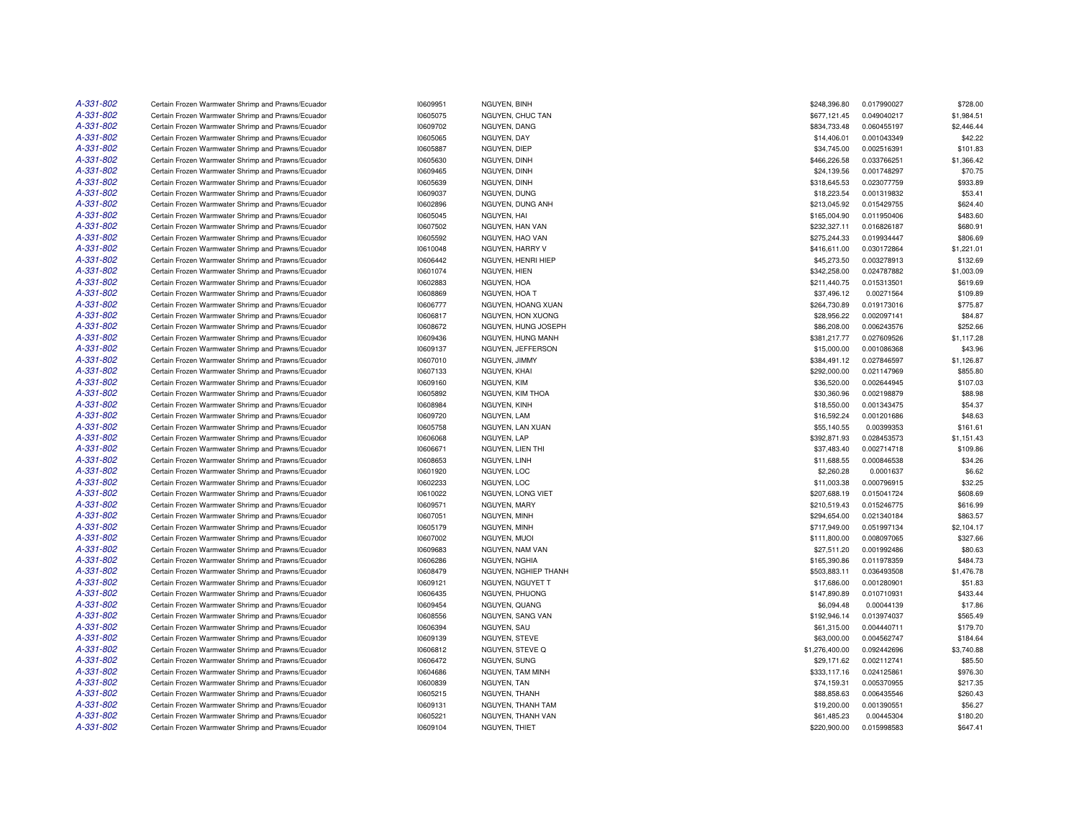| A-331-802              | Certain Frozen Warmwater Shrimp and Prawns/Ecuador                                                       | 10609951             | NGUYEN, BINH                 | \$248,396.80               | 0.017990027                | \$728.00             |
|------------------------|----------------------------------------------------------------------------------------------------------|----------------------|------------------------------|----------------------------|----------------------------|----------------------|
| A-331-802              | Certain Frozen Warmwater Shrimp and Prawns/Ecuador                                                       | 10605075             | NGUYEN, CHUC TAN             | \$677,121.45               | 0.049040217                | \$1,984.51           |
| A-331-802              | Certain Frozen Warmwater Shrimp and Prawns/Ecuador                                                       | 10609702             | NGUYEN, DANG                 | \$834,733.48               | 0.060455197                | \$2,446.44           |
| A-331-802              | Certain Frozen Warmwater Shrimp and Prawns/Ecuador                                                       | 10605065             | NGUYEN, DAY                  | \$14,406.01                | 0.001043349                | \$42.22              |
| A-331-802              | Certain Frozen Warmwater Shrimp and Prawns/Ecuador                                                       | 10605887             | NGUYEN, DIEP                 | \$34,745.00                | 0.002516391                | \$101.83             |
| A-331-802              | Certain Frozen Warmwater Shrimp and Prawns/Ecuador                                                       | 10605630             | NGUYEN, DINH                 | \$466,226.58               | 0.033766251                | \$1,366.42           |
| A-331-802              | Certain Frozen Warmwater Shrimp and Prawns/Ecuador                                                       | 10609465             | NGUYEN, DINH                 | \$24,139.56                | 0.001748297                | \$70.75              |
| A-331-802              | Certain Frozen Warmwater Shrimp and Prawns/Ecuador                                                       | 10605639             | NGUYEN, DINH                 | \$318,645.53               | 0.023077759                | \$933.89             |
| A-331-802              | Certain Frozen Warmwater Shrimp and Prawns/Ecuador                                                       | 10609037             | NGUYEN, DUNG                 | \$18,223.54                | 0.001319832                | \$53.41              |
| A-331-802              | Certain Frozen Warmwater Shrimp and Prawns/Ecuador                                                       | 10602896             | NGUYEN, DUNG ANH             | \$213,045.92               | 0.015429755                | \$624.40             |
| A-331-802              | Certain Frozen Warmwater Shrimp and Prawns/Ecuador                                                       | 10605045             | NGUYEN, HAI                  | \$165,004.90               | 0.011950406                | \$483.60             |
| A-331-802              | Certain Frozen Warmwater Shrimp and Prawns/Ecuador                                                       | 10607502             | NGUYEN, HAN VAN              | \$232,327.11               | 0.016826187                | \$680.91             |
| A-331-802              | Certain Frozen Warmwater Shrimp and Prawns/Ecuador                                                       | 10605592             | NGUYEN, HAO VAN              | \$275,244.33               | 0.019934447                | \$806.69             |
| A-331-802              | Certain Frozen Warmwater Shrimp and Prawns/Ecuador                                                       | 10610048             | NGUYEN, HARRY V              | \$416,611.00               | 0.030172864                | \$1,221.01           |
| A-331-802              | Certain Frozen Warmwater Shrimp and Prawns/Ecuador                                                       | 10606442             | NGUYEN, HENRI HIEP           | \$45,273.50                | 0.003278913                | \$132.69             |
| A-331-802              | Certain Frozen Warmwater Shrimp and Prawns/Ecuador                                                       | 10601074             | NGUYEN, HIEN                 | \$342,258.00               | 0.024787882                | \$1,003.09           |
| A-331-802              | Certain Frozen Warmwater Shrimp and Prawns/Ecuador                                                       | 10602883             | NGUYEN, HOA                  | \$211,440.75               | 0.015313501                | \$619.69             |
| A-331-802              | Certain Frozen Warmwater Shrimp and Prawns/Ecuador                                                       | 10608869             | NGUYEN, HOA T                | \$37,496.12                | 0.00271564                 | \$109.89             |
| A-331-802              | Certain Frozen Warmwater Shrimp and Prawns/Ecuador                                                       | 10606777             | NGUYEN, HOANG XUAN           | \$264,730.89               | 0.019173016                | \$775.87             |
| A-331-802              | Certain Frozen Warmwater Shrimp and Prawns/Ecuador                                                       | 10606817             | NGUYEN, HON XUONG            | \$28,956.22                | 0.002097141                | \$84.87              |
| A-331-802              | Certain Frozen Warmwater Shrimp and Prawns/Ecuador                                                       | 10608672             | NGUYEN, HUNG JOSEPH          | \$86,208.00                | 0.006243576                | \$252.66             |
| A-331-802              | Certain Frozen Warmwater Shrimp and Prawns/Ecuador                                                       | 10609436             | NGUYEN, HUNG MANH            | \$381,217.77               | 0.027609526                | \$1,117.28           |
| A-331-802              | Certain Frozen Warmwater Shrimp and Prawns/Ecuador                                                       | 10609137             | NGUYEN, JEFFERSON            | \$15,000.00                | 0.001086368                | \$43.96              |
| A-331-802              | Certain Frozen Warmwater Shrimp and Prawns/Ecuador                                                       | 10607010             | NGUYEN, JIMMY                | \$384,491.12               | 0.027846597                | \$1,126.87           |
| A-331-802              | Certain Frozen Warmwater Shrimp and Prawns/Ecuador                                                       | 10607133             | NGUYEN, KHAI                 | \$292,000.00               | 0.021147969                | \$855.80             |
| A-331-802              | Certain Frozen Warmwater Shrimp and Prawns/Ecuador                                                       | 10609160             | NGUYEN, KIM                  | \$36,520.00                | 0.002644945                | \$107.03             |
| A-331-802              | Certain Frozen Warmwater Shrimp and Prawns/Ecuador                                                       | 10605892             | NGUYEN, KIM THOA             | \$30,360.96                | 0.002198879                | \$88.98              |
| A-331-802              | Certain Frozen Warmwater Shrimp and Prawns/Ecuador                                                       | 10608984             | NGUYEN, KINH                 | \$18,550.00                | 0.001343475                | \$54.37              |
| A-331-802              | Certain Frozen Warmwater Shrimp and Prawns/Ecuador                                                       | 10609720             | NGUYEN, LAM                  | \$16,592.24                | 0.001201686                | \$48.63              |
| A-331-802              | Certain Frozen Warmwater Shrimp and Prawns/Ecuador                                                       | 10605758             | NGUYEN, LAN XUAN             | \$55,140.55                | 0.00399353                 | \$161.61             |
| A-331-802              | Certain Frozen Warmwater Shrimp and Prawns/Ecuador                                                       | 10606068             | NGUYEN, LAP                  | \$392,871.93               | 0.028453573                | \$1,151.43           |
| A-331-802              | Certain Frozen Warmwater Shrimp and Prawns/Ecuador                                                       | 10606671             | NGUYEN, LIEN THI             | \$37,483.40                | 0.002714718                | \$109.86             |
| A-331-802              | Certain Frozen Warmwater Shrimp and Prawns/Ecuador                                                       | 10608653             | NGUYEN, LINH                 | \$11,688.55                | 0.000846538                | \$34.26              |
| A-331-802              | Certain Frozen Warmwater Shrimp and Prawns/Ecuador                                                       | 10601920             | NGUYEN, LOC                  | \$2,260.28                 | 0.0001637                  | \$6.62               |
| A-331-802              | Certain Frozen Warmwater Shrimp and Prawns/Ecuador                                                       | 10602233             | NGUYEN, LOC                  | \$11,003.38                | 0.000796915                | \$32.25              |
| A-331-802              | Certain Frozen Warmwater Shrimp and Prawns/Ecuador                                                       | 10610022             | NGUYEN, LONG VIET            | \$207,688.19               | 0.015041724                | \$608.69             |
| A-331-802              | Certain Frozen Warmwater Shrimp and Prawns/Ecuador                                                       | 10609571             | NGUYEN, MARY                 | \$210,519.43               | 0.015246775                | \$616.99             |
| A-331-802              | Certain Frozen Warmwater Shrimp and Prawns/Ecuador                                                       | 10607051             | NGUYEN, MINH                 | \$294,654.00               | 0.021340184                | \$863.57             |
| A-331-802              | Certain Frozen Warmwater Shrimp and Prawns/Ecuador                                                       | 10605179             | NGUYEN, MINH                 | \$717,949.00               | 0.051997134                | \$2,104.17           |
| A-331-802              | Certain Frozen Warmwater Shrimp and Prawns/Ecuador                                                       | 10607002             | NGUYEN, MUOI                 | \$111,800.00               | 0.008097065                | \$327.66             |
| A-331-802              | Certain Frozen Warmwater Shrimp and Prawns/Ecuador                                                       | 10609683             | NGUYEN, NAM VAN              | \$27,511.20                | 0.001992486                | \$80.63              |
| A-331-802              | Certain Frozen Warmwater Shrimp and Prawns/Ecuador                                                       | 10606286             | NGUYEN, NGHIA                | \$165,390.86               | 0.011978359                | \$484.73             |
| A-331-802              | Certain Frozen Warmwater Shrimp and Prawns/Ecuador                                                       | 10608479             | NGUYEN, NGHIEP THANH         | \$503,883.11               | 0.036493508                | \$1,476.78           |
| A-331-802              | Certain Frozen Warmwater Shrimp and Prawns/Ecuador                                                       | 10609121             | NGUYEN, NGUYET T             | \$17,686.00                | 0.001280901                | \$51.83              |
| A-331-802              | Certain Frozen Warmwater Shrimp and Prawns/Ecuador                                                       | 10606435             | NGUYEN, PHUONG               | \$147,890.89               | 0.010710931                | \$433.44             |
| A-331-802              | Certain Frozen Warmwater Shrimp and Prawns/Ecuador                                                       | 10609454             | NGUYEN, QUANG                | \$6,094.48                 | 0.00044139                 | \$17.86              |
| A-331-802              | Certain Frozen Warmwater Shrimp and Prawns/Ecuador                                                       | 10608556             | NGUYEN, SANG VAN             | \$192,946.14               | 0.013974037                | \$565.49             |
| A-331-802              | Certain Frozen Warmwater Shrimp and Prawns/Ecuador                                                       | 10606394             | NGUYEN, SAU                  | \$61,315.00                | 0.004440711                | \$179.70             |
| A-331-802              | Certain Frozen Warmwater Shrimp and Prawns/Ecuador                                                       | 10609139             | NGUYEN, STEVE                | \$63,000.00                | 0.004562747                | \$184.64             |
| A-331-802              | Certain Frozen Warmwater Shrimp and Prawns/Ecuador                                                       | 10606812             | NGUYEN, STEVE Q              | \$1,276,400.00             | 0.092442696                | \$3,740.88           |
| A-331-802              | Certain Frozen Warmwater Shrimp and Prawns/Ecuador                                                       | 10606472             | NGUYEN, SUNG                 | \$29,171.62                | 0.002112741                | \$85.50              |
| A-331-802<br>A-331-802 | Certain Frozen Warmwater Shrimp and Prawns/Ecuador                                                       | 10604686             | NGUYEN, TAM MINH             | \$333,117.16               | 0.024125861                | \$976.30             |
| A-331-802              | Certain Frozen Warmwater Shrimp and Prawns/Ecuador<br>Certain Frozen Warmwater Shrimp and Prawns/Ecuador | 10600839<br>10605215 | NGUYEN, TAN<br>NGUYEN, THANH | \$74,159.31                | 0.005370955<br>0.006435546 | \$217.35<br>\$260.43 |
| A-331-802              | Certain Frozen Warmwater Shrimp and Prawns/Ecuador                                                       |                      | NGUYEN, THANH TAM            | \$88,858.63                | 0.001390551                | \$56.27              |
| A-331-802              | Certain Frozen Warmwater Shrimp and Prawns/Ecuador                                                       | 10609131<br>10605221 | NGUYEN, THANH VAN            | \$19,200.00<br>\$61,485.23 | 0.00445304                 | \$180.20             |
| A-331-802              | Certain Frozen Warmwater Shrimp and Prawns/Ecuador                                                       | 10609104             | NGUYEN, THIET                | \$220,900.00               | 0.015998583                | \$647.41             |
|                        |                                                                                                          |                      |                              |                            |                            |                      |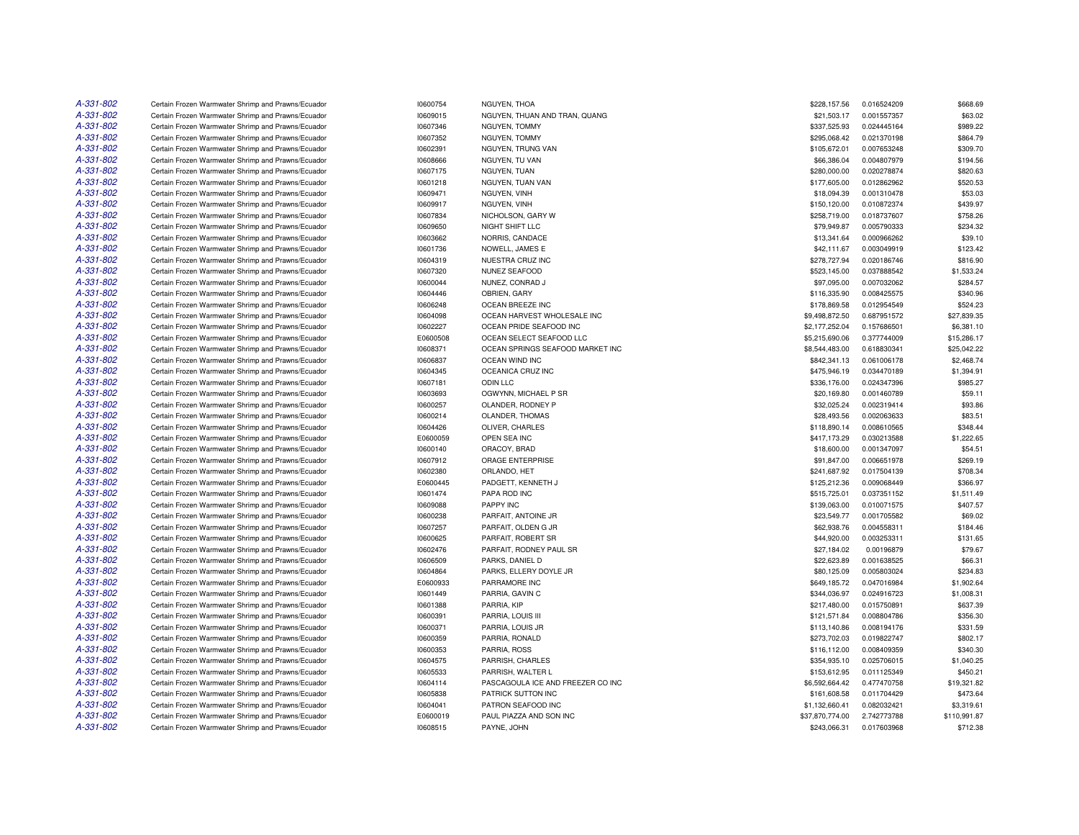| A-331-802 | Certain Frozen Warmwater Shrimp and Prawns/Ecuador | 10600754 | NGUYEN, THOA                      | \$228,157.56    | 0.016524209 | \$668.69            |
|-----------|----------------------------------------------------|----------|-----------------------------------|-----------------|-------------|---------------------|
| A-331-802 | Certain Frozen Warmwater Shrimp and Prawns/Ecuador | 10609015 | NGUYEN, THUAN AND TRAN, QUANG     | \$21,503.17     | 0.001557357 | \$63.02             |
| A-331-802 | Certain Frozen Warmwater Shrimp and Prawns/Ecuador | 10607346 | NGUYEN, TOMMY                     | \$337,525.93    | 0.024445164 | \$989.22            |
| A-331-802 | Certain Frozen Warmwater Shrimp and Prawns/Ecuador | 10607352 | NGUYEN, TOMMY                     | \$295,068.42    | 0.021370198 | \$864.79            |
| A-331-802 | Certain Frozen Warmwater Shrimp and Prawns/Ecuador | 10602391 | NGUYEN, TRUNG VAN                 | \$105,672.01    | 0.007653248 | \$309.70            |
| A-331-802 | Certain Frozen Warmwater Shrimp and Prawns/Ecuador | 10608666 | NGUYEN, TU VAN                    | \$66,386.04     | 0.004807979 | \$194.56            |
| A-331-802 | Certain Frozen Warmwater Shrimp and Prawns/Ecuador | 10607175 | NGUYEN, TUAN                      | \$280,000.00    | 0.020278874 | \$820.63            |
| A-331-802 | Certain Frozen Warmwater Shrimp and Prawns/Ecuador | 10601218 | NGUYEN, TUAN VAN                  | \$177,605.00    | 0.012862962 | \$520.53            |
| A-331-802 | Certain Frozen Warmwater Shrimp and Prawns/Ecuador | 10609471 | NGUYEN, VINH                      | \$18,094.39     | 0.001310478 | \$53.03             |
| A-331-802 | Certain Frozen Warmwater Shrimp and Prawns/Ecuador | 10609917 | NGUYEN, VINH                      | \$150,120.00    | 0.010872374 | \$439.97            |
| A-331-802 | Certain Frozen Warmwater Shrimp and Prawns/Ecuador | 10607834 | NICHOLSON, GARY W                 | \$258,719.00    | 0.018737607 | \$758.26            |
| A-331-802 | Certain Frozen Warmwater Shrimp and Prawns/Ecuador | 10609650 | NIGHT SHIFT LLC                   | \$79,949.87     | 0.005790333 | \$234.32            |
| A-331-802 | Certain Frozen Warmwater Shrimp and Prawns/Ecuador | 10603662 | NORRIS, CANDACE                   | \$13,341.64     | 0.000966262 | \$39.10             |
| A-331-802 | Certain Frozen Warmwater Shrimp and Prawns/Ecuador | 10601736 | NOWELL, JAMES E                   | \$42,111.67     | 0.003049919 | \$123.42            |
| A-331-802 | Certain Frozen Warmwater Shrimp and Prawns/Ecuador | 10604319 | NUESTRA CRUZ INC                  | \$278,727.94    | 0.020186746 | \$816.90            |
| A-331-802 | Certain Frozen Warmwater Shrimp and Prawns/Ecuador | 10607320 | NUNEZ SEAFOOD                     | \$523,145.00    | 0.037888542 | \$1,533.24          |
| A-331-802 | Certain Frozen Warmwater Shrimp and Prawns/Ecuador | 10600044 | NUNEZ, CONRAD J                   | \$97,095.00     | 0.007032062 | \$284.57            |
| A-331-802 | Certain Frozen Warmwater Shrimp and Prawns/Ecuador | 10604446 | OBRIEN, GARY                      | \$116,335.90    | 0.008425575 | \$340.96            |
| A-331-802 | Certain Frozen Warmwater Shrimp and Prawns/Ecuador | 10606248 | OCEAN BREEZE INC                  | \$178,869.58    | 0.012954549 | \$524.23            |
| A-331-802 | Certain Frozen Warmwater Shrimp and Prawns/Ecuador | 10604098 | OCEAN HARVEST WHOLESALE INC       | \$9,498,872.50  | 0.687951572 | \$27,839.35         |
| A-331-802 | Certain Frozen Warmwater Shrimp and Prawns/Ecuador | 10602227 | OCEAN PRIDE SEAFOOD INC           | \$2,177,252.04  | 0.157686501 | \$6,381.10          |
| A-331-802 | Certain Frozen Warmwater Shrimp and Prawns/Ecuador | E0600508 | OCEAN SELECT SEAFOOD LLC          | \$5,215,690.06  | 0.377744009 | \$15,286.17         |
| A-331-802 | Certain Frozen Warmwater Shrimp and Prawns/Ecuador | 10608371 | OCEAN SPRINGS SEAFOOD MARKET INC  | \$8,544,483.00  | 0.618830341 | \$25,042.22         |
| A-331-802 | Certain Frozen Warmwater Shrimp and Prawns/Ecuador | 10606837 | OCEAN WIND INC                    | \$842,341.13    | 0.061006178 | \$2,468.74          |
| A-331-802 | Certain Frozen Warmwater Shrimp and Prawns/Ecuador | 10604345 | OCEANICA CRUZ INC                 | \$475,946.19    | 0.034470189 | \$1,394.91          |
| A-331-802 | Certain Frozen Warmwater Shrimp and Prawns/Ecuador | 10607181 | <b>ODIN LLC</b>                   | \$336,176.00    | 0.024347396 | \$985.27            |
| A-331-802 | Certain Frozen Warmwater Shrimp and Prawns/Ecuador | 10603693 | OGWYNN, MICHAEL P SR              | \$20,169.80     | 0.001460789 | \$59.11             |
| A-331-802 | Certain Frozen Warmwater Shrimp and Prawns/Ecuador | 10600257 | OLANDER, RODNEY P                 | \$32,025.24     | 0.002319414 | \$93.86             |
| A-331-802 | Certain Frozen Warmwater Shrimp and Prawns/Ecuador | 10600214 | OLANDER, THOMAS                   | \$28,493.56     | 0.002063633 | \$83.51             |
| A-331-802 | Certain Frozen Warmwater Shrimp and Prawns/Ecuador | 10604426 | OLIVER, CHARLES                   | \$118,890.14    | 0.008610565 | \$348.44            |
| A-331-802 | Certain Frozen Warmwater Shrimp and Prawns/Ecuador | E0600059 | OPEN SEA INC                      | \$417,173.29    | 0.030213588 | \$1,222.65          |
| A-331-802 | Certain Frozen Warmwater Shrimp and Prawns/Ecuador | 10600140 | ORACOY, BRAD                      | \$18,600.00     | 0.001347097 | \$54.51             |
| A-331-802 | Certain Frozen Warmwater Shrimp and Prawns/Ecuador | 10607912 | ORAGE ENTERPRISE                  | \$91,847.00     | 0.006651978 | \$269.19            |
| A-331-802 | Certain Frozen Warmwater Shrimp and Prawns/Ecuador | 10602380 | ORLANDO, HET                      | \$241,687.92    | 0.017504139 | \$708.34            |
| A-331-802 | Certain Frozen Warmwater Shrimp and Prawns/Ecuador | E0600445 | PADGETT, KENNETH J                | \$125,212.36    | 0.009068449 | \$366.97            |
| A-331-802 | Certain Frozen Warmwater Shrimp and Prawns/Ecuador | 10601474 | PAPA ROD INC                      | \$515,725.01    | 0.037351152 | \$1,511.49          |
| A-331-802 | Certain Frozen Warmwater Shrimp and Prawns/Ecuador | 10609088 | PAPPY INC                         | \$139,063.00    | 0.010071575 | \$407.57            |
| A-331-802 | Certain Frozen Warmwater Shrimp and Prawns/Ecuador | 10600238 | PARFAIT, ANTOINE JR               | \$23,549.77     | 0.001705582 | \$69.02             |
| A-331-802 | Certain Frozen Warmwater Shrimp and Prawns/Ecuador | 10607257 | PARFAIT, OLDEN G JR               | \$62,938.76     | 0.004558311 | \$184.46            |
| A-331-802 | Certain Frozen Warmwater Shrimp and Prawns/Ecuador | 10600625 | PARFAIT, ROBERT SR                |                 |             |                     |
| A-331-802 | Certain Frozen Warmwater Shrimp and Prawns/Ecuador |          |                                   | \$44,920.00     | 0.003253311 | \$131.65<br>\$79.67 |
| A-331-802 |                                                    | 10602476 | PARFAIT, RODNEY PAUL SR           | \$27,184.02     | 0.00196879  |                     |
| A-331-802 | Certain Frozen Warmwater Shrimp and Prawns/Ecuador | 10606509 | PARKS, DANIEL D                   | \$22,623.89     | 0.001638525 | \$66.31             |
| A-331-802 | Certain Frozen Warmwater Shrimp and Prawns/Ecuador | 10604864 | PARKS, ELLERY DOYLE JR            | \$80,125.09     | 0.005803024 | \$234.83            |
|           | Certain Frozen Warmwater Shrimp and Prawns/Ecuador | E0600933 | PARRAMORE INC                     | \$649,185.72    | 0.047016984 | \$1,902.64          |
| A-331-802 | Certain Frozen Warmwater Shrimp and Prawns/Ecuador | 10601449 | PARRIA, GAVIN C                   | \$344,036.97    | 0.024916723 | \$1,008.31          |
| A-331-802 | Certain Frozen Warmwater Shrimp and Prawns/Ecuador | 10601388 | PARRIA, KIP                       | \$217,480.00    | 0.015750891 | \$637.39            |
| A-331-802 | Certain Frozen Warmwater Shrimp and Prawns/Ecuador | 10600391 | PARRIA, LOUIS III                 | \$121,571.84    | 0.008804786 | \$356.30            |
| A-331-802 | Certain Frozen Warmwater Shrimp and Prawns/Ecuador | 10600371 | PARRIA, LOUIS JR                  | \$113,140.86    | 0.008194176 | \$331.59            |
| A-331-802 | Certain Frozen Warmwater Shrimp and Prawns/Ecuador | 10600359 | PARRIA, RONALD                    | \$273,702.03    | 0.019822747 | \$802.17            |
| A-331-802 | Certain Frozen Warmwater Shrimp and Prawns/Ecuador | 10600353 | PARRIA, ROSS                      | \$116,112.00    | 0.008409359 | \$340.30            |
| A-331-802 | Certain Frozen Warmwater Shrimp and Prawns/Ecuador | 10604575 | PARRISH, CHARLES                  | \$354,935.10    | 0.025706015 | \$1,040.25          |
| A-331-802 | Certain Frozen Warmwater Shrimp and Prawns/Ecuador | 10605533 | PARRISH, WALTER L                 | \$153,612.95    | 0.011125349 | \$450.21            |
| A-331-802 | Certain Frozen Warmwater Shrimp and Prawns/Ecuador | 10604114 | PASCAGOULA ICE AND FREEZER CO INC | \$6,592,664.42  | 0.477470758 | \$19,321.82         |
| A-331-802 | Certain Frozen Warmwater Shrimp and Prawns/Ecuador | 10605838 | PATRICK SUTTON INC                | \$161,608.58    | 0.011704429 | \$473.64            |
| A-331-802 | Certain Frozen Warmwater Shrimp and Prawns/Ecuador | 10604041 | PATRON SEAFOOD INC                | \$1,132,660.41  | 0.082032421 | \$3,319.61          |
| A-331-802 | Certain Frozen Warmwater Shrimp and Prawns/Ecuador | E0600019 | PAUL PIAZZA AND SON INC           | \$37,870,774.00 | 2.742773788 | \$110.991.87        |
| A-331-802 | Certain Frozen Warmwater Shrimp and Prawns/Ecuador | 10608515 | PAYNE, JOHN                       | \$243,066.31    | 0.017603968 | \$712.38            |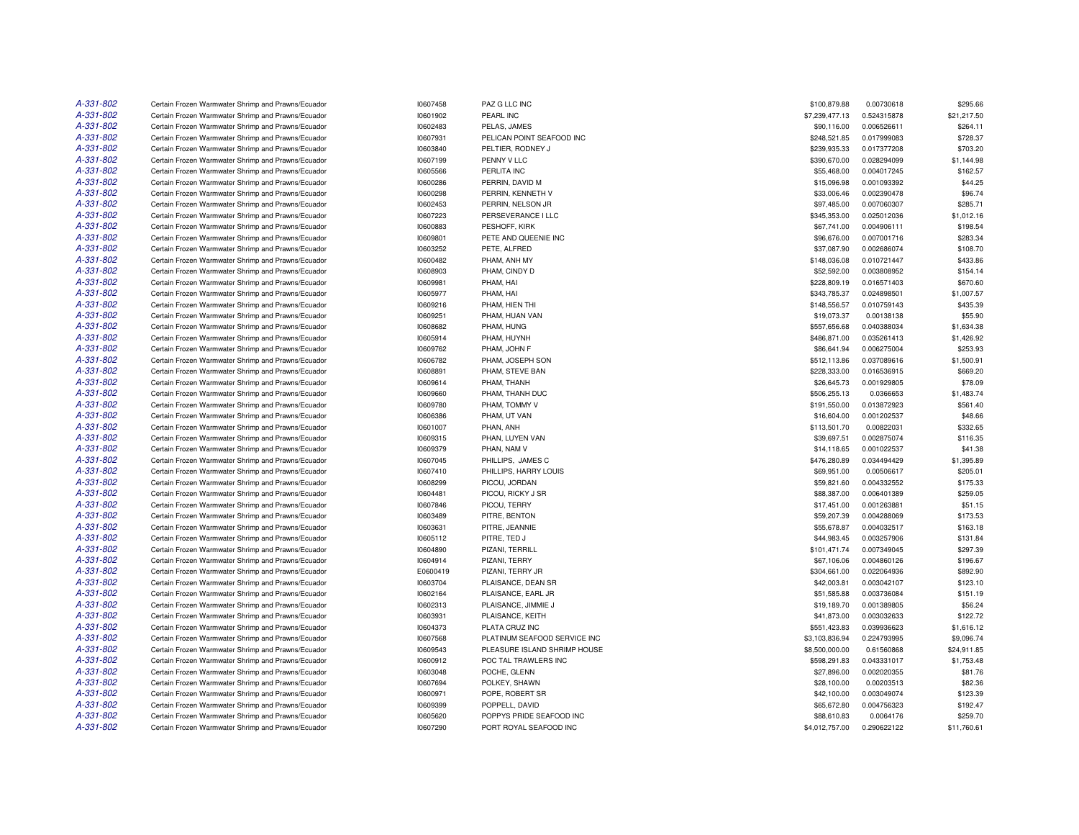| A-331-802 | Certain Frozen Warmwater Shrimp and Prawns/Ecuador                                                       | 10607458             | PAZ G LLC INC                        | \$100,879.88                | 0.00730618  | \$295.66              |
|-----------|----------------------------------------------------------------------------------------------------------|----------------------|--------------------------------------|-----------------------------|-------------|-----------------------|
| A-331-802 | Certain Frozen Warmwater Shrimp and Prawns/Ecuador                                                       | 10601902             | PEARL INC                            | \$7,239,477.13              | 0.524315878 | \$21,217.50           |
| A-331-802 | Certain Frozen Warmwater Shrimp and Prawns/Ecuador                                                       | 10602483             | PELAS, JAMES                         | \$90,116.00                 | 0.006526611 | \$264.11              |
| A-331-802 | Certain Frozen Warmwater Shrimp and Prawns/Ecuador                                                       | 10607931             | PELICAN POINT SEAFOOD INC            | \$248,521.85                | 0.017999083 | \$728.37              |
| A-331-802 | Certain Frozen Warmwater Shrimp and Prawns/Ecuador                                                       | 10603840             | PELTIER, RODNEY J                    | \$239,935.33                | 0.017377208 | \$703.20              |
| A-331-802 | Certain Frozen Warmwater Shrimp and Prawns/Ecuador                                                       | 10607199             | PENNY V LLC                          | \$390,670.00                | 0.028294099 | \$1,144.98            |
| A-331-802 | Certain Frozen Warmwater Shrimp and Prawns/Ecuador                                                       | 10605566             | PERLITA INC                          | \$55,468.00                 | 0.004017245 | \$162.57              |
| A-331-802 | Certain Frozen Warmwater Shrimp and Prawns/Ecuador                                                       | 10600286             | PERRIN, DAVID M                      | \$15,096.98                 | 0.001093392 | \$44.25               |
| A-331-802 | Certain Frozen Warmwater Shrimp and Prawns/Ecuador                                                       | 10600298             | PERRIN, KENNETH V                    | \$33,006.46                 | 0.002390478 | \$96.74               |
| A-331-802 | Certain Frozen Warmwater Shrimp and Prawns/Ecuador                                                       | 10602453             | PERRIN, NELSON JR                    | \$97,485.00                 | 0.007060307 | \$285.71              |
| A-331-802 | Certain Frozen Warmwater Shrimp and Prawns/Ecuador                                                       | 10607223             | PERSEVERANCE I LLC                   | \$345,353.00                | 0.025012036 | \$1,012.16            |
| A-331-802 | Certain Frozen Warmwater Shrimp and Prawns/Ecuador                                                       | 10600883             | PESHOFF, KIRK                        | \$67,741.00                 | 0.004906111 | \$198.54              |
| A-331-802 | Certain Frozen Warmwater Shrimp and Prawns/Ecuador                                                       | 10609801             | PETE AND QUEENIE INC                 | \$96,676.00                 | 0.007001716 | \$283.34              |
| A-331-802 | Certain Frozen Warmwater Shrimp and Prawns/Ecuador                                                       | 10603252             | PETE, ALFRED                         | \$37,087.90                 | 0.002686074 | \$108.70              |
| A-331-802 | Certain Frozen Warmwater Shrimp and Prawns/Ecuador                                                       | 10600482             | PHAM, ANH MY                         | \$148,036.08                | 0.010721447 | \$433.86              |
| A-331-802 | Certain Frozen Warmwater Shrimp and Prawns/Ecuador                                                       | 10608903             | PHAM. CINDY D                        | \$52,592.00                 | 0.003808952 | \$154.14              |
| A-331-802 | Certain Frozen Warmwater Shrimp and Prawns/Ecuador                                                       | 10609981             | PHAM, HAI                            | \$228,809.19                | 0.016571403 | \$670.60              |
| A-331-802 | Certain Frozen Warmwater Shrimp and Prawns/Ecuador                                                       | 10605977             | PHAM, HAI                            | \$343,785.37                | 0.024898501 | \$1,007.57            |
| A-331-802 |                                                                                                          |                      | PHAM, HIEN THI                       | \$148,556.57                | 0.010759143 | \$435.39              |
| A-331-802 | Certain Frozen Warmwater Shrimp and Prawns/Ecuador<br>Certain Frozen Warmwater Shrimp and Prawns/Ecuador | 10609216             | PHAM, HUAN VAN                       |                             |             | \$55.90               |
|           |                                                                                                          | 10609251             |                                      | \$19,073.37                 | 0.00138138  |                       |
| A-331-802 | Certain Frozen Warmwater Shrimp and Prawns/Ecuador                                                       | 10608682             | PHAM, HUNG                           | \$557,656.68                | 0.040388034 | \$1,634.38            |
| A-331-802 | Certain Frozen Warmwater Shrimp and Prawns/Ecuador                                                       | 10605914             | PHAM, HUYNH                          | \$486,871.00                | 0.035261413 | \$1,426.92            |
| A-331-802 | Certain Frozen Warmwater Shrimp and Prawns/Ecuador                                                       | 10609762             | PHAM, JOHN F                         | \$86,641.94                 | 0.006275004 | \$253.93              |
| A-331-802 | Certain Frozen Warmwater Shrimp and Prawns/Ecuador                                                       | 10606782             | PHAM, JOSEPH SON                     | \$512,113.86                | 0.037089616 | \$1,500.91            |
| A-331-802 | Certain Frozen Warmwater Shrimp and Prawns/Ecuador                                                       | 10608891             | PHAM, STEVE BAN                      | \$228,333.00                | 0.016536915 | \$669.20              |
| A-331-802 | Certain Frozen Warmwater Shrimp and Prawns/Ecuador                                                       | 10609614             | PHAM, THANH                          | \$26,645.73                 | 0.001929805 | \$78.09               |
| A-331-802 | Certain Frozen Warmwater Shrimp and Prawns/Ecuador                                                       | 10609660             | PHAM, THANH DUC                      | \$506,255.13                | 0.0366653   | \$1,483.74            |
| A-331-802 | Certain Frozen Warmwater Shrimp and Prawns/Ecuador                                                       | 10609780             | PHAM, TOMMY V                        | \$191,550.00                | 0.013872923 | \$561.40              |
| A-331-802 | Certain Frozen Warmwater Shrimp and Prawns/Ecuador                                                       | 10606386             | PHAM, UT VAN                         | \$16,604.00                 | 0.001202537 | \$48.66               |
| A-331-802 | Certain Frozen Warmwater Shrimp and Prawns/Ecuador                                                       | 10601007             | PHAN, ANH                            | \$113,501.70                | 0.00822031  | \$332.65              |
| A-331-802 | Certain Frozen Warmwater Shrimp and Prawns/Ecuador                                                       | 10609315             | PHAN, LUYEN VAN                      | \$39,697.51                 | 0.002875074 | \$116.35              |
| A-331-802 | Certain Frozen Warmwater Shrimp and Prawns/Ecuador                                                       | 10609379             | PHAN, NAM V                          | \$14,118.65                 | 0.001022537 | \$41.38               |
| A-331-802 | Certain Frozen Warmwater Shrimp and Prawns/Ecuador                                                       | 10607045             | PHILLIPS, JAMES C                    | \$476,280.89                | 0.034494429 | \$1,395.89            |
| A-331-802 | Certain Frozen Warmwater Shrimp and Prawns/Ecuador                                                       | 10607410             | PHILLIPS, HARRY LOUIS                | \$69,951.00                 | 0.00506617  | \$205.01              |
| A-331-802 | Certain Frozen Warmwater Shrimp and Prawns/Ecuador                                                       | 10608299             | PICOU, JORDAN                        | \$59,821.60                 | 0.004332552 | \$175.33              |
| A-331-802 | Certain Frozen Warmwater Shrimp and Prawns/Ecuador                                                       | 10604481             | PICOU, RICKY J SR                    | \$88,387.00                 | 0.006401389 | \$259.05              |
| A-331-802 | Certain Frozen Warmwater Shrimp and Prawns/Ecuador                                                       | 10607846             | PICOU, TERRY                         | \$17,451.00                 | 0.001263881 | \$51.15               |
| A-331-802 | Certain Frozen Warmwater Shrimp and Prawns/Ecuador                                                       | 10603489             | PITRE, BENTON                        | \$59,207.39                 | 0.004288069 | \$173.53              |
| A-331-802 | Certain Frozen Warmwater Shrimp and Prawns/Ecuador                                                       | 10603631             | PITRE, JEANNIE                       | \$55,678.87                 | 0.004032517 | \$163.18              |
| A-331-802 | Certain Frozen Warmwater Shrimp and Prawns/Ecuador                                                       | 10605112             | PITRE, TED J                         | \$44,983.45                 | 0.003257906 | \$131.84              |
| A-331-802 | Certain Frozen Warmwater Shrimp and Prawns/Ecuador                                                       | 10604890             | PIZANI, TERRILL                      | \$101,471.74                | 0.007349045 | \$297.39              |
| A-331-802 | Certain Frozen Warmwater Shrimp and Prawns/Ecuador                                                       | 10604914             | PIZANI, TERRY                        | \$67,106.06                 | 0.004860126 | \$196.67              |
| A-331-802 | Certain Frozen Warmwater Shrimp and Prawns/Ecuador                                                       | E0600419             | PIZANI, TERRY JR                     | \$304,661.00                | 0.022064936 | \$892.90              |
| A-331-802 | Certain Frozen Warmwater Shrimp and Prawns/Ecuador                                                       | 10603704             | PLAISANCE, DEAN SR                   | \$42,003.81                 | 0.003042107 | \$123.10              |
| A-331-802 | Certain Frozen Warmwater Shrimp and Prawns/Ecuador                                                       | 10602164             | PLAISANCE, EARL JR                   | \$51,585.88                 | 0.003736084 | \$151.19              |
| A-331-802 | Certain Frozen Warmwater Shrimp and Prawns/Ecuador                                                       | 10602313             | PLAISANCE, JIMMIE J                  | \$19,189.70                 | 0.001389805 | \$56.24               |
| A-331-802 | Certain Frozen Warmwater Shrimp and Prawns/Ecuador                                                       | 10603931             | PLAISANCE, KEITH                     | \$41,873.00                 | 0.003032633 | \$122.72              |
| A-331-802 | Certain Frozen Warmwater Shrimp and Prawns/Ecuador                                                       | 10604373             | PLATA CRUZ INC                       | \$551,423.83                | 0.039936623 | \$1,616.12            |
| A-331-802 | Certain Frozen Warmwater Shrimp and Prawns/Ecuador                                                       | 10607568             | PLATINUM SEAFOOD SERVICE INC         | \$3,103,836.94              | 0.224793995 | \$9,096.74            |
| A-331-802 | Certain Frozen Warmwater Shrimp and Prawns/Ecuador                                                       | 10609543             | PLEASURE ISLAND SHRIMP HOUSE         | \$8,500,000.00              | 0.61560868  | \$24,911.85           |
| A-331-802 |                                                                                                          |                      |                                      |                             |             |                       |
| A-331-802 | Certain Frozen Warmwater Shrimp and Prawns/Ecuador<br>Certain Frozen Warmwater Shrimp and Prawns/Ecuador | 10600912<br>10603048 | POC TAL TRAWLERS INC<br>POCHE, GLENN | \$598,291.83<br>\$27,896.00 | 0.043331017 | \$1,753.48<br>\$81.76 |
| A-331-802 |                                                                                                          |                      |                                      |                             | 0.002020355 |                       |
|           | Certain Frozen Warmwater Shrimp and Prawns/Ecuador                                                       | 10607694             | POLKEY, SHAWN                        | \$28,100.00                 | 0.00203513  | \$82.36               |
| A-331-802 | Certain Frozen Warmwater Shrimp and Prawns/Ecuador                                                       | 10600971             | POPE, ROBERT SR                      | \$42,100.00                 | 0.003049074 | \$123.39              |
| A-331-802 | Certain Frozen Warmwater Shrimp and Prawns/Ecuador                                                       | 10609399             | POPPELL, DAVID                       | \$65,672.80                 | 0.004756323 | \$192.47              |
| A-331-802 | Certain Frozen Warmwater Shrimp and Prawns/Ecuador                                                       | 10605620             | POPPYS PRIDE SEAFOOD INC             | \$88,610.83                 | 0.0064176   | \$259.70              |
| A-331-802 | Certain Frozen Warmwater Shrimp and Prawns/Ecuador                                                       | 10607290             | PORT ROYAL SEAFOOD INC               | \$4,012,757.00              | 0.290622122 | \$11,760.61           |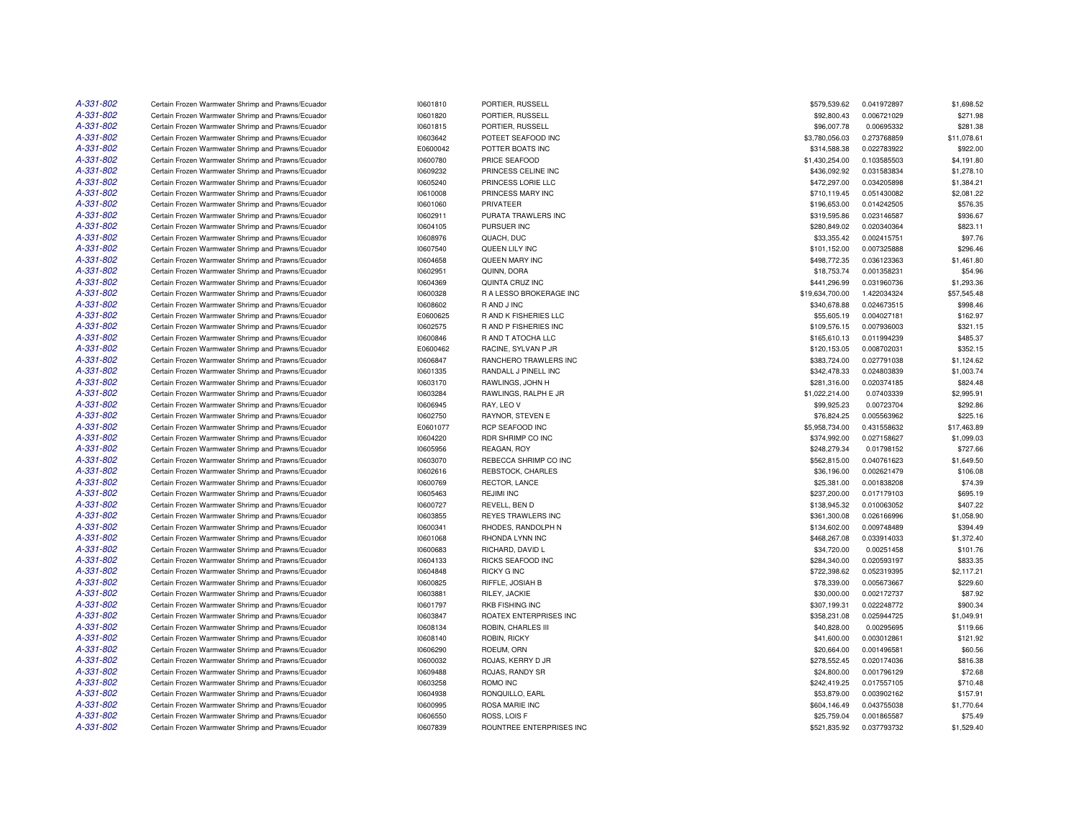| A-331-802 | Certain Frozen Warmwater Shrimp and Prawns/Ecuador | 10601810 | PORTIER, RUSSELL         | \$579,539.62    | 0.041972897 | \$1,698.52  |
|-----------|----------------------------------------------------|----------|--------------------------|-----------------|-------------|-------------|
| A-331-802 | Certain Frozen Warmwater Shrimp and Prawns/Ecuador | 10601820 | PORTIER, RUSSELL         | \$92,800.43     | 0.006721029 | \$271.98    |
| A-331-802 | Certain Frozen Warmwater Shrimp and Prawns/Ecuador | 10601815 | PORTIER, RUSSELL         | \$96,007.78     | 0.00695332  | \$281.38    |
| A-331-802 | Certain Frozen Warmwater Shrimp and Prawns/Ecuador | 10603642 | POTEET SEAFOOD INC       | \$3,780,056.03  | 0.273768859 | \$11,078.61 |
| A-331-802 | Certain Frozen Warmwater Shrimp and Prawns/Ecuador | E0600042 | POTTER BOATS INC         | \$314,588.38    | 0.022783922 | \$922.00    |
| A-331-802 | Certain Frozen Warmwater Shrimp and Prawns/Ecuador | 10600780 | PRICE SEAFOOD            | \$1,430,254.00  | 0.103585503 | \$4,191.80  |
| A-331-802 | Certain Frozen Warmwater Shrimp and Prawns/Ecuador | 10609232 | PRINCESS CELINE INC      | \$436,092.92    | 0.031583834 | \$1,278.10  |
| A-331-802 | Certain Frozen Warmwater Shrimp and Prawns/Ecuador | 10605240 | PRINCESS LORIE LLC       | \$472,297.00    | 0.034205898 | \$1,384.21  |
| A-331-802 | Certain Frozen Warmwater Shrimp and Prawns/Ecuador | 10610008 | PRINCESS MARY INC        | \$710,119.45    | 0.051430082 | \$2,081.22  |
| A-331-802 | Certain Frozen Warmwater Shrimp and Prawns/Ecuador | 10601060 | PRIVATEER                | \$196,653.00    | 0.014242505 | \$576.35    |
| A-331-802 | Certain Frozen Warmwater Shrimp and Prawns/Ecuador | 10602911 | PURATA TRAWLERS INC      | \$319,595.86    | 0.023146587 | \$936.67    |
| A-331-802 | Certain Frozen Warmwater Shrimp and Prawns/Ecuador | 10604105 | PURSUER INC              | \$280,849.02    | 0.020340364 | \$823.11    |
| A-331-802 | Certain Frozen Warmwater Shrimp and Prawns/Ecuador | 10608976 | QUACH, DUC               | \$33,355.42     | 0.002415751 | \$97.76     |
| A-331-802 | Certain Frozen Warmwater Shrimp and Prawns/Ecuador | 10607540 | QUEEN LILY INC           | \$101,152.00    | 0.007325888 | \$296.46    |
| A-331-802 | Certain Frozen Warmwater Shrimp and Prawns/Ecuador | 10604658 | QUEEN MARY INC           | \$498,772.35    | 0.036123363 | \$1,461.80  |
| A-331-802 | Certain Frozen Warmwater Shrimp and Prawns/Ecuador | 10602951 | QUINN, DORA              | \$18,753.74     | 0.001358231 | \$54.96     |
| A-331-802 | Certain Frozen Warmwater Shrimp and Prawns/Ecuador | 10604369 | QUINTA CRUZ INC          | \$441,296.99    | 0.031960736 | \$1,293.36  |
| A-331-802 | Certain Frozen Warmwater Shrimp and Prawns/Ecuador | 10600328 | R A LESSO BROKERAGE INC  | \$19,634,700.00 | 1.422034324 | \$57,545.48 |
| A-331-802 | Certain Frozen Warmwater Shrimp and Prawns/Ecuador | 10608602 | R AND J INC              | \$340,678.88    | 0.024673515 | \$998.46    |
| A-331-802 | Certain Frozen Warmwater Shrimp and Prawns/Ecuador |          | R AND K FISHERIES LLC    | \$55,605.19     | 0.004027181 | \$162.97    |
| A-331-802 |                                                    | E0600625 |                          |                 |             |             |
|           | Certain Frozen Warmwater Shrimp and Prawns/Ecuador | 10602575 | R AND P FISHERIES INC    | \$109,576.15    | 0.007936003 | \$321.15    |
| A-331-802 | Certain Frozen Warmwater Shrimp and Prawns/Ecuador | 10600846 | R AND T ATOCHA LLC       | \$165,610.13    | 0.011994239 | \$485.37    |
| A-331-802 | Certain Frozen Warmwater Shrimp and Prawns/Ecuador | E0600462 | RACINE, SYLVAN P JR      | \$120,153.05    | 0.008702031 | \$352.15    |
| A-331-802 | Certain Frozen Warmwater Shrimp and Prawns/Ecuador | 10606847 | RANCHERO TRAWLERS INC    | \$383,724.00    | 0.027791038 | \$1,124.62  |
| A-331-802 | Certain Frozen Warmwater Shrimp and Prawns/Ecuador | 10601335 | RANDALL J PINELL INC     | \$342,478.33    | 0.024803839 | \$1,003.74  |
| A-331-802 | Certain Frozen Warmwater Shrimp and Prawns/Ecuador | 10603170 | RAWLINGS, JOHN H         | \$281,316.00    | 0.020374185 | \$824.48    |
| A-331-802 | Certain Frozen Warmwater Shrimp and Prawns/Ecuador | 10603284 | RAWLINGS, RALPH E JR     | \$1,022,214.00  | 0.07403339  | \$2,995.91  |
| A-331-802 | Certain Frozen Warmwater Shrimp and Prawns/Ecuador | 10606945 | RAY, LEO V               | \$99,925.23     | 0.00723704  | \$292.86    |
| A-331-802 | Certain Frozen Warmwater Shrimp and Prawns/Ecuador | 10602750 | RAYNOR, STEVEN E         | \$76,824.25     | 0.005563962 | \$225.16    |
| A-331-802 | Certain Frozen Warmwater Shrimp and Prawns/Ecuador | E0601077 | <b>RCP SEAFOOD INC</b>   | \$5,958,734.00  | 0.431558632 | \$17,463.89 |
| A-331-802 | Certain Frozen Warmwater Shrimp and Prawns/Ecuador | 10604220 | RDR SHRIMP CO INC        | \$374,992.00    | 0.027158627 | \$1,099.03  |
| A-331-802 | Certain Frozen Warmwater Shrimp and Prawns/Ecuador | 10605956 | REAGAN, ROY              | \$248,279.34    | 0.01798152  | \$727.66    |
| A-331-802 | Certain Frozen Warmwater Shrimp and Prawns/Ecuador | 10603070 | REBECCA SHRIMP CO INC    | \$562,815.00    | 0.040761623 | \$1,649.50  |
| A-331-802 | Certain Frozen Warmwater Shrimp and Prawns/Ecuador | 10602616 | REBSTOCK, CHARLES        | \$36,196.00     | 0.002621479 | \$106.08    |
| A-331-802 | Certain Frozen Warmwater Shrimp and Prawns/Ecuador | 10600769 | RECTOR, LANCE            | \$25,381.00     | 0.001838208 | \$74.39     |
| A-331-802 | Certain Frozen Warmwater Shrimp and Prawns/Ecuador | 10605463 | <b>REJIMI INC</b>        | \$237,200.00    | 0.017179103 | \$695.19    |
| A-331-802 | Certain Frozen Warmwater Shrimp and Prawns/Ecuador | 10600727 | REVELL, BEN D            | \$138,945.32    | 0.010063052 | \$407.22    |
| A-331-802 | Certain Frozen Warmwater Shrimp and Prawns/Ecuador | 10603855 | REYES TRAWLERS INC       | \$361,300.08    | 0.026166996 | \$1,058.90  |
| A-331-802 | Certain Frozen Warmwater Shrimp and Prawns/Ecuador | 10600341 | RHODES, RANDOLPH N       | \$134,602.00    | 0.009748489 | \$394.49    |
| A-331-802 | Certain Frozen Warmwater Shrimp and Prawns/Ecuador | 10601068 | RHONDA LYNN INC          | \$468,267.08    | 0.033914033 | \$1,372.40  |
| A-331-802 | Certain Frozen Warmwater Shrimp and Prawns/Ecuador | 10600683 | RICHARD, DAVID L         | \$34,720.00     | 0.00251458  | \$101.76    |
| A-331-802 | Certain Frozen Warmwater Shrimp and Prawns/Ecuador | 10604133 | RICKS SEAFOOD INC        | \$284,340.00    | 0.020593197 | \$833.35    |
| A-331-802 | Certain Frozen Warmwater Shrimp and Prawns/Ecuador | 10604848 | <b>RICKY G INC</b>       | \$722,398.62    | 0.052319395 | \$2.117.21  |
| A-331-802 | Certain Frozen Warmwater Shrimp and Prawns/Ecuador | 10600825 | RIFFLE, JOSIAH B         | \$78,339.00     | 0.005673667 | \$229.60    |
| A-331-802 | Certain Frozen Warmwater Shrimp and Prawns/Ecuador | 10603881 | RILEY, JACKIE            | \$30,000.00     | 0.002172737 | \$87.92     |
| A-331-802 | Certain Frozen Warmwater Shrimp and Prawns/Ecuador | 10601797 | RKB FISHING INC          | \$307,199.31    | 0.022248772 | \$900.34    |
| A-331-802 | Certain Frozen Warmwater Shrimp and Prawns/Ecuador | 10603847 | ROATEX ENTERPRISES INC   | \$358,231.08    | 0.025944725 | \$1,049.91  |
| A-331-802 | Certain Frozen Warmwater Shrimp and Prawns/Ecuador | 10608134 | ROBIN, CHARLES III       | \$40,828.00     | 0.00295695  | \$119.66    |
| A-331-802 | Certain Frozen Warmwater Shrimp and Prawns/Ecuador | 10608140 | ROBIN, RICKY             | \$41,600.00     | 0.003012861 | \$121.92    |
| A-331-802 | Certain Frozen Warmwater Shrimp and Prawns/Ecuador | 10606290 | ROEUM, ORN               | \$20,664.00     | 0.001496581 | \$60.56     |
| A-331-802 | Certain Frozen Warmwater Shrimp and Prawns/Ecuador | 10600032 | ROJAS, KERRY D JR        | \$278,552.45    | 0.020174036 | \$816.38    |
| A-331-802 | Certain Frozen Warmwater Shrimp and Prawns/Ecuador | 10609488 | ROJAS, RANDY SR          | \$24,800.00     | 0.001796129 | \$72.68     |
| A-331-802 | Certain Frozen Warmwater Shrimp and Prawns/Ecuador | 10603258 | ROMO INC                 | \$242,419.25    | 0.017557105 | \$710.48    |
| A-331-802 | Certain Frozen Warmwater Shrimp and Prawns/Ecuador | 10604938 | RONQUILLO, EARL          | \$53,879.00     | 0.003902162 | \$157.91    |
| A-331-802 | Certain Frozen Warmwater Shrimp and Prawns/Ecuador | 10600995 | ROSA MARIE INC           | \$604,146.49    | 0.043755038 | \$1,770.64  |
| A-331-802 | Certain Frozen Warmwater Shrimp and Prawns/Ecuador | 10606550 | ROSS, LOIS F             | \$25,759.04     | 0.001865587 | \$75.49     |
| A-331-802 | Certain Frozen Warmwater Shrimp and Prawns/Ecuador | 10607839 | ROUNTREE ENTERPRISES INC | \$521,835.92    | 0.037793732 | \$1,529.40  |
|           |                                                    |          |                          |                 |             |             |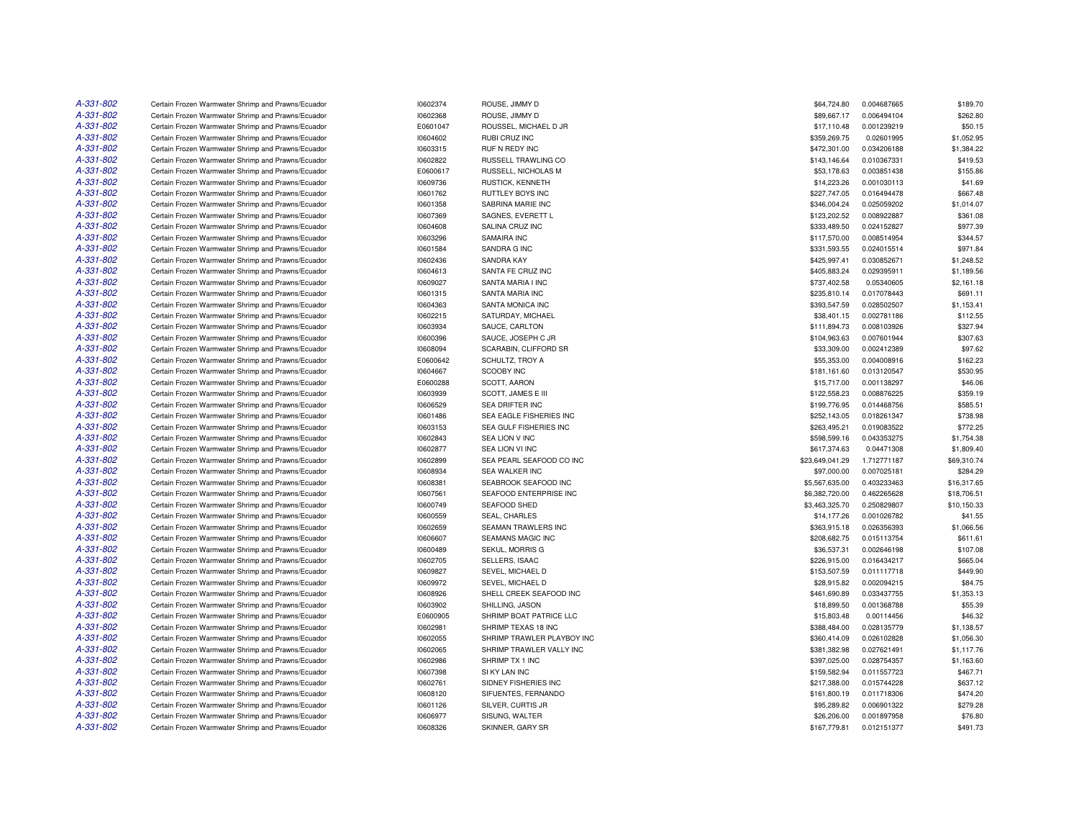| A-331-802 | Certain Frozen Warmwater Shrimp and Prawns/Ecuador | 10602374 | ROUSE, JIMMY D             | \$64,724.80     | 0.004687665 | \$189.70    |
|-----------|----------------------------------------------------|----------|----------------------------|-----------------|-------------|-------------|
| A-331-802 | Certain Frozen Warmwater Shrimp and Prawns/Ecuador | 10602368 | ROUSE, JIMMY D             | \$89,667.17     | 0.006494104 | \$262.80    |
| A-331-802 | Certain Frozen Warmwater Shrimp and Prawns/Ecuador | E0601047 | ROUSSEL, MICHAEL D JR      | \$17,110.48     | 0.001239219 | \$50.15     |
| A-331-802 | Certain Frozen Warmwater Shrimp and Prawns/Ecuador | 10604602 | RUBI CRUZ INC              | \$359,269.75    | 0.02601995  | \$1,052.95  |
| A-331-802 | Certain Frozen Warmwater Shrimp and Prawns/Ecuador | 10603315 | <b>RUF N REDY INC</b>      | \$472,301.00    | 0.034206188 | \$1,384.22  |
| A-331-802 | Certain Frozen Warmwater Shrimp and Prawns/Ecuador | 10602822 | RUSSELL TRAWLING CO        | \$143,146.64    | 0.010367331 | \$419.53    |
| A-331-802 | Certain Frozen Warmwater Shrimp and Prawns/Ecuador | E0600617 | RUSSELL, NICHOLAS M        | \$53,178.63     | 0.003851438 | \$155.86    |
| A-331-802 | Certain Frozen Warmwater Shrimp and Prawns/Ecuador | 10609736 | <b>RUSTICK, KENNETH</b>    | \$14,223.26     | 0.001030113 | \$41.69     |
| A-331-802 | Certain Frozen Warmwater Shrimp and Prawns/Ecuador | 10601762 | <b>RUTTLEY BOYS INC</b>    | \$227,747.05    | 0.016494478 | \$667.48    |
| A-331-802 | Certain Frozen Warmwater Shrimp and Prawns/Ecuador | 10601358 | SABRINA MARIE INC          | \$346,004.24    | 0.025059202 | \$1,014.07  |
| A-331-802 | Certain Frozen Warmwater Shrimp and Prawns/Ecuador | 10607369 | SAGNES, EVERETT L          | \$123,202.52    | 0.008922887 | \$361.08    |
| A-331-802 | Certain Frozen Warmwater Shrimp and Prawns/Ecuador | 10604608 | SALINA CRUZ INC            | \$333,489.50    | 0.024152827 | \$977.39    |
| A-331-802 | Certain Frozen Warmwater Shrimp and Prawns/Ecuador | 10603296 | SAMAIRA INC                | \$117,570.00    | 0.008514954 | \$344.57    |
| A-331-802 | Certain Frozen Warmwater Shrimp and Prawns/Ecuador | 10601584 | SANDRA G INC               | \$331,593.55    | 0.024015514 | \$971.84    |
| A-331-802 | Certain Frozen Warmwater Shrimp and Prawns/Ecuador | 10602436 | SANDRA KAY                 | \$425,997.41    | 0.030852671 | \$1,248.52  |
| A-331-802 | Certain Frozen Warmwater Shrimp and Prawns/Ecuador | 10604613 | SANTA FE CRUZ INC          | \$405,883.24    | 0.029395911 | \$1,189.56  |
| A-331-802 | Certain Frozen Warmwater Shrimp and Prawns/Ecuador | 10609027 | SANTA MARIA I INC          | \$737,402.58    | 0.05340605  | \$2,161.18  |
| A-331-802 | Certain Frozen Warmwater Shrimp and Prawns/Ecuador | 10601315 | SANTA MARIA INC            | \$235,810.14    | 0.017078443 | \$691.11    |
| A-331-802 | Certain Frozen Warmwater Shrimp and Prawns/Ecuador | 10604363 | SANTA MONICA INC           | \$393,547.59    | 0.028502507 | \$1,153.41  |
| A-331-802 | Certain Frozen Warmwater Shrimp and Prawns/Ecuador | 10602215 | SATURDAY, MICHAEL          | \$38,401.15     | 0.002781186 | \$112.55    |
|           |                                                    |          |                            |                 |             |             |
| A-331-802 | Certain Frozen Warmwater Shrimp and Prawns/Ecuador | 10603934 | SAUCE, CARLTON             | \$111,894.73    | 0.008103926 | \$327.94    |
| A-331-802 | Certain Frozen Warmwater Shrimp and Prawns/Ecuador | 10600396 | SAUCE, JOSEPH C JR         | \$104,963.63    | 0.007601944 | \$307.63    |
| A-331-802 | Certain Frozen Warmwater Shrimp and Prawns/Ecuador | 10608094 | SCARABIN, CLIFFORD SR      | \$33,309.00     | 0.002412389 | \$97.62     |
| A-331-802 | Certain Frozen Warmwater Shrimp and Prawns/Ecuador | E0600642 | SCHULTZ, TROY A            | \$55,353.00     | 0.004008916 | \$162.23    |
| A-331-802 | Certain Frozen Warmwater Shrimp and Prawns/Ecuador | 10604667 | <b>SCOOBY INC</b>          | \$181,161.60    | 0.013120547 | \$530.95    |
| A-331-802 | Certain Frozen Warmwater Shrimp and Prawns/Ecuador | E0600288 | SCOTT, AARON               | \$15,717.00     | 0.001138297 | \$46.06     |
| A-331-802 | Certain Frozen Warmwater Shrimp and Prawns/Ecuador | 10603939 | SCOTT, JAMES E III         | \$122,558.23    | 0.008876225 | \$359.19    |
| A-331-802 | Certain Frozen Warmwater Shrimp and Prawns/Ecuador | 10606529 | <b>SEA DRIFTER INC</b>     | \$199,776.95    | 0.014468756 | \$585.51    |
| A-331-802 | Certain Frozen Warmwater Shrimp and Prawns/Ecuador | 10601486 | SEA EAGLE FISHERIES INC    | \$252,143.05    | 0.018261347 | \$738.98    |
| A-331-802 | Certain Frozen Warmwater Shrimp and Prawns/Ecuador | 10603153 | SEA GULF FISHERIES INC     | \$263,495.21    | 0.019083522 | \$772.25    |
| A-331-802 | Certain Frozen Warmwater Shrimp and Prawns/Ecuador | 10602843 | SEA LION V INC             | \$598,599.16    | 0.043353275 | \$1,754.38  |
| A-331-802 | Certain Frozen Warmwater Shrimp and Prawns/Ecuador | 10602877 | SEA LION VI INC            | \$617.374.63    | 0.04471308  | \$1,809.40  |
| A-331-802 | Certain Frozen Warmwater Shrimp and Prawns/Ecuador | 10602899 | SEA PEARL SEAFOOD CO INC   | \$23,649,041.29 | 1.712771187 | \$69,310.74 |
| A-331-802 | Certain Frozen Warmwater Shrimp and Prawns/Ecuador | 10608934 | SEA WALKER INC             | \$97,000.00     | 0.007025181 | \$284.29    |
| A-331-802 | Certain Frozen Warmwater Shrimp and Prawns/Ecuador | 10608381 | SEABROOK SEAFOOD INC       | \$5,567,635.00  | 0.403233463 | \$16,317.65 |
| A-331-802 | Certain Frozen Warmwater Shrimp and Prawns/Ecuador | 10607561 | SEAFOOD ENTERPRISE INC     | \$6,382,720.00  | 0.462265628 | \$18,706.51 |
| A-331-802 | Certain Frozen Warmwater Shrimp and Prawns/Ecuador | 10600749 | SEAFOOD SHED               | \$3,463,325.70  | 0.250829807 | \$10,150.33 |
| A-331-802 | Certain Frozen Warmwater Shrimp and Prawns/Ecuador | 10600559 | SEAL, CHARLES              | \$14,177.26     | 0.001026782 | \$41.55     |
| A-331-802 | Certain Frozen Warmwater Shrimp and Prawns/Ecuador | 10602659 | SEAMAN TRAWLERS INC        | \$363,915.18    | 0.026356393 | \$1,066.56  |
| A-331-802 | Certain Frozen Warmwater Shrimp and Prawns/Ecuador | 10606607 | <b>SEAMANS MAGIC INC</b>   | \$208,682.75    | 0.015113754 | \$611.61    |
| A-331-802 | Certain Frozen Warmwater Shrimp and Prawns/Ecuador | 10600489 | SEKUL, MORRIS G            | \$36,537.31     | 0.002646198 | \$107.08    |
| A-331-802 | Certain Frozen Warmwater Shrimp and Prawns/Ecuador | 10602705 | SELLERS, ISAAC             | \$226,915.00    | 0.016434217 | \$665.04    |
| A-331-802 | Certain Frozen Warmwater Shrimp and Prawns/Ecuador | 10609827 | SEVEL, MICHAEL D           | \$153,507.59    | 0.011117718 | \$449.90    |
| A-331-802 | Certain Frozen Warmwater Shrimp and Prawns/Ecuador | 10609972 | SEVEL, MICHAEL D           | \$28,915.82     | 0.002094215 | \$84.75     |
| A-331-802 | Certain Frozen Warmwater Shrimp and Prawns/Ecuador | 10608926 | SHELL CREEK SEAFOOD INC    | \$461,690.89    | 0.033437755 | \$1,353.13  |
| A-331-802 | Certain Frozen Warmwater Shrimp and Prawns/Ecuador | 10603902 | SHILLING, JASON            | \$18,899.50     | 0.001368788 | \$55.39     |
| A-331-802 | Certain Frozen Warmwater Shrimp and Prawns/Ecuador | E0600905 | SHRIMP BOAT PATRICE LLC    | \$15,803.48     | 0.00114456  | \$46.32     |
| A-331-802 | Certain Frozen Warmwater Shrimp and Prawns/Ecuador | 10602981 | SHRIMP TEXAS 18 INC        | \$388,484.00    | 0.028135779 | \$1,138.57  |
| A-331-802 | Certain Frozen Warmwater Shrimp and Prawns/Ecuador | 10602055 | SHRIMP TRAWLER PLAYBOY INC | \$360,414.09    | 0.026102828 | \$1,056.30  |
| A-331-802 | Certain Frozen Warmwater Shrimp and Prawns/Ecuador | 10602065 | SHRIMP TRAWLER VALLY INC   | \$381,382.98    | 0.027621491 | \$1,117.76  |
| A-331-802 | Certain Frozen Warmwater Shrimp and Prawns/Ecuador | 10602986 | SHRIMP TX 1 INC            | \$397,025.00    | 0.028754357 | \$1,163.60  |
| A-331-802 | Certain Frozen Warmwater Shrimp and Prawns/Ecuador | 10607398 | SI KY LAN INC              | \$159,582.94    | 0.011557723 | \$467.71    |
| A-331-802 | Certain Frozen Warmwater Shrimp and Prawns/Ecuador | 10602761 | SIDNEY FISHERIES INC       | \$217,388.00    | 0.015744228 | \$637.12    |
| A-331-802 | Certain Frozen Warmwater Shrimp and Prawns/Ecuador | 10608120 | SIFUENTES, FERNANDO        | \$161,800.19    | 0.011718306 | \$474.20    |
| A-331-802 | Certain Frozen Warmwater Shrimp and Prawns/Ecuador | 10601126 | SILVER, CURTIS JR          | \$95,289.82     | 0.006901322 | \$279.28    |
| A-331-802 | Certain Frozen Warmwater Shrimp and Prawns/Ecuador | 10606977 | SISUNG, WALTER             | \$26,206.00     | 0.001897958 | \$76.80     |
| A-331-802 | Certain Frozen Warmwater Shrimp and Prawns/Ecuador |          |                            |                 | 0.012151377 |             |
|           |                                                    | 10608326 | SKINNER, GARY SR           | \$167,779.81    |             | \$491.73    |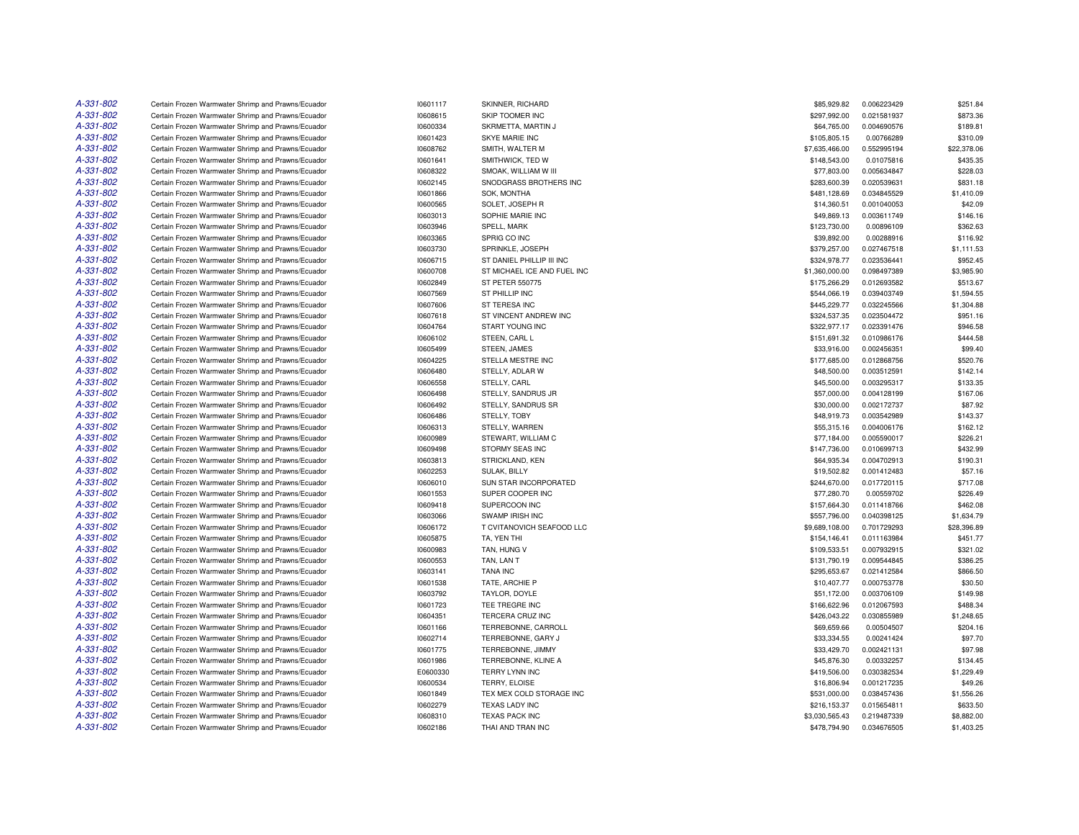| A-331-802 | Certain Frozen Warmwater Shrimp and Prawns/Ecuador | 10601117 | SKINNER, RICHARD            | \$85,929.82    | 0.006223429 | \$251.84    |
|-----------|----------------------------------------------------|----------|-----------------------------|----------------|-------------|-------------|
| A-331-802 | Certain Frozen Warmwater Shrimp and Prawns/Ecuador | 10608615 | SKIP TOOMER INC             | \$297,992.00   | 0.021581937 | \$873.36    |
| A-331-802 | Certain Frozen Warmwater Shrimp and Prawns/Ecuador | 10600334 | SKRMETTA, MARTIN J          | \$64,765.00    | 0.004690576 | \$189.81    |
| A-331-802 | Certain Frozen Warmwater Shrimp and Prawns/Ecuador | 10601423 | SKYE MARIE INC              | \$105,805.15   | 0.00766289  | \$310.09    |
| A-331-802 | Certain Frozen Warmwater Shrimp and Prawns/Ecuador | 10608762 | SMITH, WALTER M             | \$7,635,466.00 | 0.552995194 | \$22,378.06 |
| A-331-802 | Certain Frozen Warmwater Shrimp and Prawns/Ecuador | 10601641 | SMITHWICK, TED W            | \$148,543.00   | 0.01075816  | \$435.35    |
| A-331-802 | Certain Frozen Warmwater Shrimp and Prawns/Ecuador | 10608322 | SMOAK, WILLIAM W III        | \$77,803.00    | 0.005634847 | \$228.03    |
| A-331-802 | Certain Frozen Warmwater Shrimp and Prawns/Ecuador | 10602145 | SNODGRASS BROTHERS INC      | \$283,600.39   | 0.020539631 | \$831.18    |
| A-331-802 | Certain Frozen Warmwater Shrimp and Prawns/Ecuador | 10601866 | <b>SOK, MONTHA</b>          | \$481,128.69   | 0.034845529 | \$1,410.09  |
| A-331-802 | Certain Frozen Warmwater Shrimp and Prawns/Ecuador | 10600565 | SOLET, JOSEPH R             | \$14,360.51    | 0.001040053 | \$42.09     |
| A-331-802 | Certain Frozen Warmwater Shrimp and Prawns/Ecuador | 10603013 | SOPHIE MARIE INC            | \$49,869.13    | 0.003611749 | \$146.16    |
| A-331-802 | Certain Frozen Warmwater Shrimp and Prawns/Ecuador | 10603946 | SPELL, MARK                 | \$123,730.00   | 0.00896109  | \$362.63    |
| A-331-802 | Certain Frozen Warmwater Shrimp and Prawns/Ecuador | 10603365 | SPRIG CO INC                | \$39,892.00    | 0.00288916  | \$116.92    |
| A-331-802 | Certain Frozen Warmwater Shrimp and Prawns/Ecuador | 10603730 | SPRINKLE, JOSEPH            | \$379,257.00   | 0.027467518 | \$1,111.53  |
| A-331-802 | Certain Frozen Warmwater Shrimp and Prawns/Ecuador | 10606715 | ST DANIEL PHILLIP III INC   | \$324,978.77   | 0.023536441 | \$952.45    |
| A-331-802 | Certain Frozen Warmwater Shrimp and Prawns/Ecuador | 10600708 | ST MICHAEL ICE AND FUEL INC | \$1,360,000.00 | 0.098497389 | \$3,985.90  |
| A-331-802 | Certain Frozen Warmwater Shrimp and Prawns/Ecuador | 10602849 | ST PETER 550775             | \$175,266.29   | 0.012693582 | \$513.67    |
| A-331-802 | Certain Frozen Warmwater Shrimp and Prawns/Ecuador | 10607569 | ST PHILLIP INC              | \$544,066.19   | 0.039403749 | \$1,594.55  |
| A-331-802 | Certain Frozen Warmwater Shrimp and Prawns/Ecuador | 10607606 | ST TERESA INC               | \$445,229.77   | 0.032245566 | \$1,304.88  |
| A-331-802 | Certain Frozen Warmwater Shrimp and Prawns/Ecuador | 10607618 | ST VINCENT ANDREW INC       | \$324,537.35   | 0.023504472 | \$951.16    |
| A-331-802 | Certain Frozen Warmwater Shrimp and Prawns/Ecuador | 10604764 | START YOUNG INC             | \$322,977.17   | 0.023391476 | \$946.58    |
| A-331-802 | Certain Frozen Warmwater Shrimp and Prawns/Ecuador | 10606102 | STEEN, CARL L               | \$151,691.32   | 0.010986176 | \$444.58    |
| A-331-802 | Certain Frozen Warmwater Shrimp and Prawns/Ecuador | 10605499 | STEEN, JAMES                | \$33,916.00    | 0.002456351 | \$99.40     |
| A-331-802 | Certain Frozen Warmwater Shrimp and Prawns/Ecuador | 10604225 | STELLA MESTRE INC           | \$177,685.00   | 0.012868756 | \$520.76    |
| A-331-802 | Certain Frozen Warmwater Shrimp and Prawns/Ecuador | 10606480 | STELLY, ADLAR W             | \$48,500.00    | 0.003512591 | \$142.14    |
| A-331-802 | Certain Frozen Warmwater Shrimp and Prawns/Ecuador | 10606558 | STELLY, CARL                | \$45,500.00    | 0.003295317 | \$133.35    |
| A-331-802 | Certain Frozen Warmwater Shrimp and Prawns/Ecuador | 10606498 | STELLY, SANDRUS JR          | \$57,000.00    | 0.004128199 | \$167.06    |
| A-331-802 | Certain Frozen Warmwater Shrimp and Prawns/Ecuador | 10606492 | STELLY, SANDRUS SR          | \$30,000.00    | 0.002172737 | \$87.92     |
| A-331-802 |                                                    |          |                             |                | 0.003542989 | \$143.37    |
| A-331-802 | Certain Frozen Warmwater Shrimp and Prawns/Ecuador | 10606486 | STELLY, TOBY                | \$48,919.73    |             |             |
| A-331-802 | Certain Frozen Warmwater Shrimp and Prawns/Ecuador | 10606313 | STELLY, WARREN              | \$55,315.16    | 0.004006176 | \$162.12    |
|           | Certain Frozen Warmwater Shrimp and Prawns/Ecuador | 10600989 | STEWART, WILLIAM C          | \$77,184.00    | 0.005590017 | \$226.21    |
| A-331-802 | Certain Frozen Warmwater Shrimp and Prawns/Ecuador | 10609498 | STORMY SEAS INC             | \$147,736.00   | 0.010699713 | \$432.99    |
| A-331-802 | Certain Frozen Warmwater Shrimp and Prawns/Ecuador | 10603813 | STRICKLAND, KEN             | \$64,935.34    | 0.004702913 | \$190.31    |
| A-331-802 | Certain Frozen Warmwater Shrimp and Prawns/Ecuador | 10602253 | <b>SULAK, BILLY</b>         | \$19,502.82    | 0.001412483 | \$57.16     |
| A-331-802 | Certain Frozen Warmwater Shrimp and Prawns/Ecuador | 10606010 | SUN STAR INCORPORATED       | \$244,670.00   | 0.017720115 | \$717.08    |
| A-331-802 | Certain Frozen Warmwater Shrimp and Prawns/Ecuador | 10601553 | SUPER COOPER INC            | \$77,280.70    | 0.00559702  | \$226.49    |
| A-331-802 | Certain Frozen Warmwater Shrimp and Prawns/Ecuador | 10609418 | SUPERCOON INC               | \$157,664.30   | 0.011418766 | \$462.08    |
| A-331-802 | Certain Frozen Warmwater Shrimp and Prawns/Ecuador | 10603066 | <b>SWAMP IRISH INC</b>      | \$557,796.00   | 0.040398125 | \$1,634.79  |
| A-331-802 | Certain Frozen Warmwater Shrimp and Prawns/Ecuador | 10606172 | T CVITANOVICH SEAFOOD LLC   | \$9,689,108.00 | 0.701729293 | \$28,396.89 |
| A-331-802 | Certain Frozen Warmwater Shrimp and Prawns/Ecuador | 10605875 | TA, YEN THI                 | \$154,146.41   | 0.011163984 | \$451.77    |
| A-331-802 | Certain Frozen Warmwater Shrimp and Prawns/Ecuador | 10600983 | TAN, HUNG V                 | \$109,533.51   | 0.007932915 | \$321.02    |
| A-331-802 | Certain Frozen Warmwater Shrimp and Prawns/Ecuador | 10600553 | TAN, LAN T                  | \$131,790.19   | 0.009544845 | \$386.25    |
| A-331-802 | Certain Frozen Warmwater Shrimp and Prawns/Ecuador | 10603141 | <b>TANA INC</b>             | \$295,653.67   | 0.021412584 | \$866.50    |
| A-331-802 | Certain Frozen Warmwater Shrimp and Prawns/Ecuador | 10601538 | TATE, ARCHIE P              | \$10,407.77    | 0.000753778 | \$30.50     |
| A-331-802 | Certain Frozen Warmwater Shrimp and Prawns/Ecuador | 10603792 | TAYLOR, DOYLE               | \$51,172.00    | 0.003706109 | \$149.98    |
| A-331-802 | Certain Frozen Warmwater Shrimp and Prawns/Ecuador | 10601723 | TEE TREGRE INC              | \$166,622.96   | 0.012067593 | \$488.34    |
| A-331-802 | Certain Frozen Warmwater Shrimp and Prawns/Ecuador | 10604351 | <b>TERCERA CRUZ INC</b>     | \$426,043.22   | 0.030855989 | \$1,248.65  |
| A-331-802 | Certain Frozen Warmwater Shrimp and Prawns/Ecuador | 10601166 | TERREBONNE, CARROLL         | \$69,659.66    | 0.00504507  | \$204.16    |
| A-331-802 | Certain Frozen Warmwater Shrimp and Prawns/Ecuador | 10602714 | TERREBONNE, GARY J          | \$33,334.55    | 0.00241424  | \$97.70     |
| A-331-802 | Certain Frozen Warmwater Shrimp and Prawns/Ecuador | 10601775 | TERREBONNE, JIMMY           | \$33,429.70    | 0.002421131 | \$97.98     |
| A-331-802 | Certain Frozen Warmwater Shrimp and Prawns/Ecuador | 10601986 | TERREBONNE, KLINE A         | \$45,876.30    | 0.00332257  | \$134.45    |
| A-331-802 | Certain Frozen Warmwater Shrimp and Prawns/Ecuador | E0600330 | TERRY LYNN INC              | \$419,506.00   | 0.030382534 | \$1,229.49  |
| A-331-802 | Certain Frozen Warmwater Shrimp and Prawns/Ecuador | 10600534 | TERRY, ELOISE               | \$16,806.94    | 0.001217235 | \$49.26     |
| A-331-802 | Certain Frozen Warmwater Shrimp and Prawns/Ecuador | 10601849 | TEX MEX COLD STORAGE INC    | \$531,000.00   | 0.038457436 | \$1,556.26  |
| A-331-802 | Certain Frozen Warmwater Shrimp and Prawns/Ecuador | 10602279 | <b>TEXAS LADY INC</b>       | \$216,153.37   | 0.015654811 | \$633.50    |
| A-331-802 | Certain Frozen Warmwater Shrimp and Prawns/Ecuador | 10608310 | <b>TEXAS PACK INC</b>       | \$3.030.565.43 | 0.219487339 | \$8,882.00  |
| A-331-802 | Certain Frozen Warmwater Shrimp and Prawns/Ecuador | 10602186 | THAI AND TRAN INC           | \$478,794.90   | 0.034676505 | \$1,403.25  |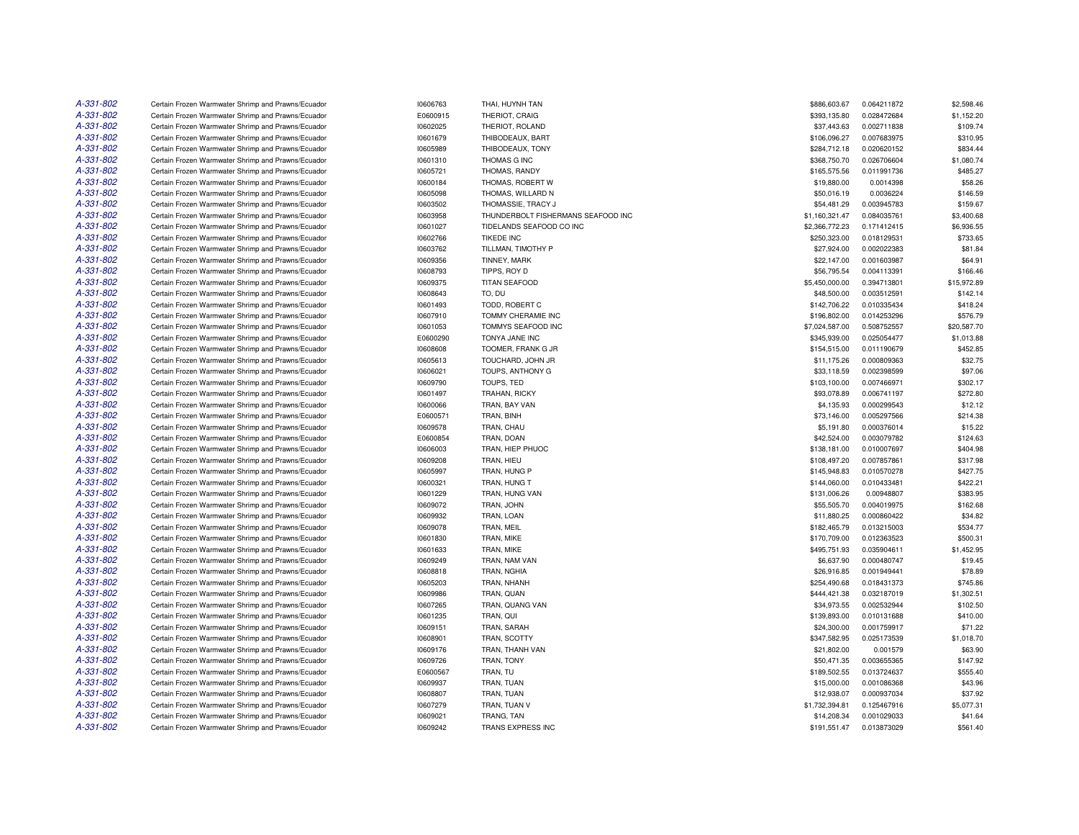| A-331-802 | Certain Frozen Warmwater Shrimp and Prawns/Ecuador | 10606763 | THAI, HUYNH TAN                    | \$886,603.67   | 0.064211872 | \$2,598.46  |
|-----------|----------------------------------------------------|----------|------------------------------------|----------------|-------------|-------------|
| A-331-802 | Certain Frozen Warmwater Shrimp and Prawns/Ecuador | E0600915 | THERIOT, CRAIG                     | \$393,135.80   | 0.028472684 | \$1,152.20  |
| A-331-802 | Certain Frozen Warmwater Shrimp and Prawns/Ecuador | 10602025 | THERIOT, ROLAND                    | \$37,443.63    | 0.002711838 | \$109.74    |
| A-331-802 | Certain Frozen Warmwater Shrimp and Prawns/Ecuador | 10601679 | THIBODEAUX, BART                   | \$106,096.27   | 0.007683975 | \$310.95    |
| A-331-802 | Certain Frozen Warmwater Shrimp and Prawns/Ecuador | 10605989 | THIBODEAUX, TONY                   | \$284,712.18   | 0.020620152 | \$834.44    |
| A-331-802 | Certain Frozen Warmwater Shrimp and Prawns/Ecuador | 10601310 | THOMAS G INC                       | \$368,750.70   | 0.026706604 | \$1,080.74  |
| A-331-802 | Certain Frozen Warmwater Shrimp and Prawns/Ecuador | 10605721 | THOMAS, RANDY                      | \$165,575.56   | 0.011991736 | \$485.27    |
| A-331-802 | Certain Frozen Warmwater Shrimp and Prawns/Ecuador | 10600184 | THOMAS, ROBERT W                   | \$19,880.00    | 0.0014398   | \$58.26     |
| A-331-802 | Certain Frozen Warmwater Shrimp and Prawns/Ecuador | 10605098 | THOMAS, WILLARD N                  | \$50,016.19    | 0.0036224   | \$146.59    |
| A-331-802 | Certain Frozen Warmwater Shrimp and Prawns/Ecuador | 10603502 | THOMASSIE, TRACY J                 | \$54,481.29    | 0.003945783 | \$159.67    |
| A-331-802 | Certain Frozen Warmwater Shrimp and Prawns/Ecuador | 10603958 | THUNDERBOLT FISHERMANS SEAFOOD INC | \$1,160,321.47 | 0.084035761 | \$3,400.68  |
| A-331-802 | Certain Frozen Warmwater Shrimp and Prawns/Ecuador | 10601027 | TIDELANDS SEAFOOD CO INC           | \$2,366,772.23 | 0.171412415 | \$6,936.55  |
| A-331-802 | Certain Frozen Warmwater Shrimp and Prawns/Ecuador | 10602766 | <b>TIKEDE INC</b>                  | \$250,323.00   | 0.018129531 | \$733.65    |
| A-331-802 | Certain Frozen Warmwater Shrimp and Prawns/Ecuador | 10603762 | TILLMAN, TIMOTHY P                 | \$27,924.00    | 0.002022383 | \$81.84     |
| A-331-802 | Certain Frozen Warmwater Shrimp and Prawns/Ecuador | 10609356 | TINNEY, MARK                       | \$22,147.00    | 0.001603987 | \$64.91     |
| A-331-802 | Certain Frozen Warmwater Shrimp and Prawns/Ecuador | 10608793 | TIPPS, ROY D                       | \$56,795.54    | 0.004113391 | \$166.46    |
| A-331-802 | Certain Frozen Warmwater Shrimp and Prawns/Ecuador | 10609375 | <b>TITAN SEAFOOD</b>               | \$5,450,000.00 | 0.394713801 | \$15,972.89 |
| A-331-802 | Certain Frozen Warmwater Shrimp and Prawns/Ecuador | 10608643 | TO, DU                             | \$48,500.00    | 0.003512591 | \$142.14    |
| A-331-802 | Certain Frozen Warmwater Shrimp and Prawns/Ecuador |          | TODD, ROBERT C                     | \$142,706.22   | 0.010335434 | \$418.24    |
| A-331-802 |                                                    | 10601493 |                                    |                |             |             |
|           | Certain Frozen Warmwater Shrimp and Prawns/Ecuador | 10607910 | TOMMY CHERAMIE INC                 | \$196,802.00   | 0.014253296 | \$576.79    |
| A-331-802 | Certain Frozen Warmwater Shrimp and Prawns/Ecuador | 10601053 | TOMMYS SEAFOOD INC                 | \$7,024,587.00 | 0.508752557 | \$20,587.70 |
| A-331-802 | Certain Frozen Warmwater Shrimp and Prawns/Ecuador | E0600290 | TONYA JANE INC                     | \$345,939.00   | 0.025054477 | \$1,013.88  |
| A-331-802 | Certain Frozen Warmwater Shrimp and Prawns/Ecuador | 10608608 | TOOMER, FRANK G JR                 | \$154,515.00   | 0.011190679 | \$452.85    |
| A-331-802 | Certain Frozen Warmwater Shrimp and Prawns/Ecuador | 10605613 | TOUCHARD, JOHN JR                  | \$11,175.26    | 0.000809363 | \$32.75     |
| A-331-802 | Certain Frozen Warmwater Shrimp and Prawns/Ecuador | 10606021 | TOUPS, ANTHONY G                   | \$33,118.59    | 0.002398599 | \$97.06     |
| A-331-802 | Certain Frozen Warmwater Shrimp and Prawns/Ecuador | 10609790 | TOUPS, TED                         | \$103,100.00   | 0.007466971 | \$302.17    |
| A-331-802 | Certain Frozen Warmwater Shrimp and Prawns/Ecuador | 10601497 | TRAHAN, RICKY                      | \$93,078.89    | 0.006741197 | \$272.80    |
| A-331-802 | Certain Frozen Warmwater Shrimp and Prawns/Ecuador | 10600066 | TRAN, BAY VAN                      | \$4,135.93     | 0.000299543 | \$12.12     |
| A-331-802 | Certain Frozen Warmwater Shrimp and Prawns/Ecuador | E0600571 | TRAN, BINH                         | \$73,146.00    | 0.005297566 | \$214.38    |
| A-331-802 | Certain Frozen Warmwater Shrimp and Prawns/Ecuador | 10609578 | TRAN, CHAU                         | \$5,191.80     | 0.000376014 | \$15.22     |
| A-331-802 | Certain Frozen Warmwater Shrimp and Prawns/Ecuador | E0600854 | TRAN, DOAN                         | \$42,524.00    | 0.003079782 | \$124.63    |
| A-331-802 | Certain Frozen Warmwater Shrimp and Prawns/Ecuador | 10606003 | TRAN, HIEP PHUOC                   | \$138,181.00   | 0.010007697 | \$404.98    |
| A-331-802 | Certain Frozen Warmwater Shrimp and Prawns/Ecuador | 10609208 | TRAN, HIEU                         | \$108,497.20   | 0.007857861 | \$317.98    |
| A-331-802 | Certain Frozen Warmwater Shrimp and Prawns/Ecuador | 10605997 | TRAN, HUNG P                       | \$145,948.83   | 0.010570278 | \$427.75    |
| A-331-802 | Certain Frozen Warmwater Shrimp and Prawns/Ecuador | 10600321 | TRAN, HUNG T                       | \$144,060.00   | 0.010433481 | \$422.21    |
| A-331-802 | Certain Frozen Warmwater Shrimp and Prawns/Ecuador | 10601229 | TRAN, HUNG VAN                     | \$131,006.26   | 0.00948807  | \$383.95    |
| A-331-802 | Certain Frozen Warmwater Shrimp and Prawns/Ecuador | 10609072 | TRAN, JOHN                         | \$55,505.70    | 0.004019975 | \$162.68    |
| A-331-802 | Certain Frozen Warmwater Shrimp and Prawns/Ecuador | 10609932 | TRAN, LOAN                         | \$11,880.25    | 0.000860422 | \$34.82     |
| A-331-802 | Certain Frozen Warmwater Shrimp and Prawns/Ecuador | 10609078 | TRAN, MEIL                         | \$182,465.79   | 0.013215003 | \$534.77    |
| A-331-802 | Certain Frozen Warmwater Shrimp and Prawns/Ecuador | 10601830 | TRAN, MIKE                         | \$170,709.00   | 0.012363523 | \$500.31    |
| A-331-802 | Certain Frozen Warmwater Shrimp and Prawns/Ecuador | 10601633 | TRAN, MIKE                         | \$495,751.93   | 0.035904611 | \$1,452.95  |
| A-331-802 | Certain Frozen Warmwater Shrimp and Prawns/Ecuador | 10609249 | TRAN, NAM VAN                      | \$6,637.90     | 0.000480747 | \$19.45     |
| A-331-802 | Certain Frozen Warmwater Shrimp and Prawns/Ecuador | 10608818 | TRAN, NGHIA                        | \$26,916.85    | 0.001949441 | \$78.89     |
| A-331-802 | Certain Frozen Warmwater Shrimp and Prawns/Ecuador | 10605203 | TRAN, NHANH                        | \$254,490.68   | 0.018431373 | \$745.86    |
| A-331-802 | Certain Frozen Warmwater Shrimp and Prawns/Ecuador | 10609986 | TRAN, QUAN                         | \$444,421.38   | 0.032187019 | \$1,302.51  |
| A-331-802 | Certain Frozen Warmwater Shrimp and Prawns/Ecuador | 10607265 | TRAN, QUANG VAN                    | \$34,973.55    | 0.002532944 | \$102.50    |
| A-331-802 | Certain Frozen Warmwater Shrimp and Prawns/Ecuador | 10601235 | TRAN, QUI                          | \$139,893.00   | 0.010131688 | \$410.00    |
| A-331-802 | Certain Frozen Warmwater Shrimp and Prawns/Ecuador | 10609151 | TRAN, SARAH                        | \$24,300.00    | 0.001759917 | \$71.22     |
| A-331-802 | Certain Frozen Warmwater Shrimp and Prawns/Ecuador | 10608901 | TRAN, SCOTTY                       | \$347,582.95   | 0.025173539 | \$1,018.70  |
| A-331-802 | Certain Frozen Warmwater Shrimp and Prawns/Ecuador | 10609176 | TRAN, THANH VAN                    | \$21,802.00    | 0.001579    | \$63.90     |
| A-331-802 | Certain Frozen Warmwater Shrimp and Prawns/Ecuador | 10609726 | TRAN, TONY                         | \$50,471.35    | 0.003655365 | \$147.92    |
| A-331-802 | Certain Frozen Warmwater Shrimp and Prawns/Ecuador | E0600567 | TRAN, TU                           | \$189,502.55   | 0.013724637 | \$555.40    |
| A-331-802 | Certain Frozen Warmwater Shrimp and Prawns/Ecuador | 10609937 | TRAN, TUAN                         | \$15,000.00    | 0.001086368 | \$43.96     |
| A-331-802 | Certain Frozen Warmwater Shrimp and Prawns/Ecuador | 10608807 | TRAN, TUAN                         | \$12,938.07    | 0.000937034 | \$37.92     |
| A-331-802 | Certain Frozen Warmwater Shrimp and Prawns/Ecuador | 10607279 | TRAN, TUAN V                       | \$1,732,394.81 | 0.125467916 | \$5,077.31  |
| A-331-802 | Certain Frozen Warmwater Shrimp and Prawns/Ecuador | 10609021 | TRANG, TAN                         | \$14,208.34    | 0.001029033 | \$41.64     |
| A-331-802 | Certain Frozen Warmwater Shrimp and Prawns/Ecuador | 10609242 | TRANS EXPRESS INC                  | \$191,551.47   | 0.013873029 | \$561.40    |
|           |                                                    |          |                                    |                |             |             |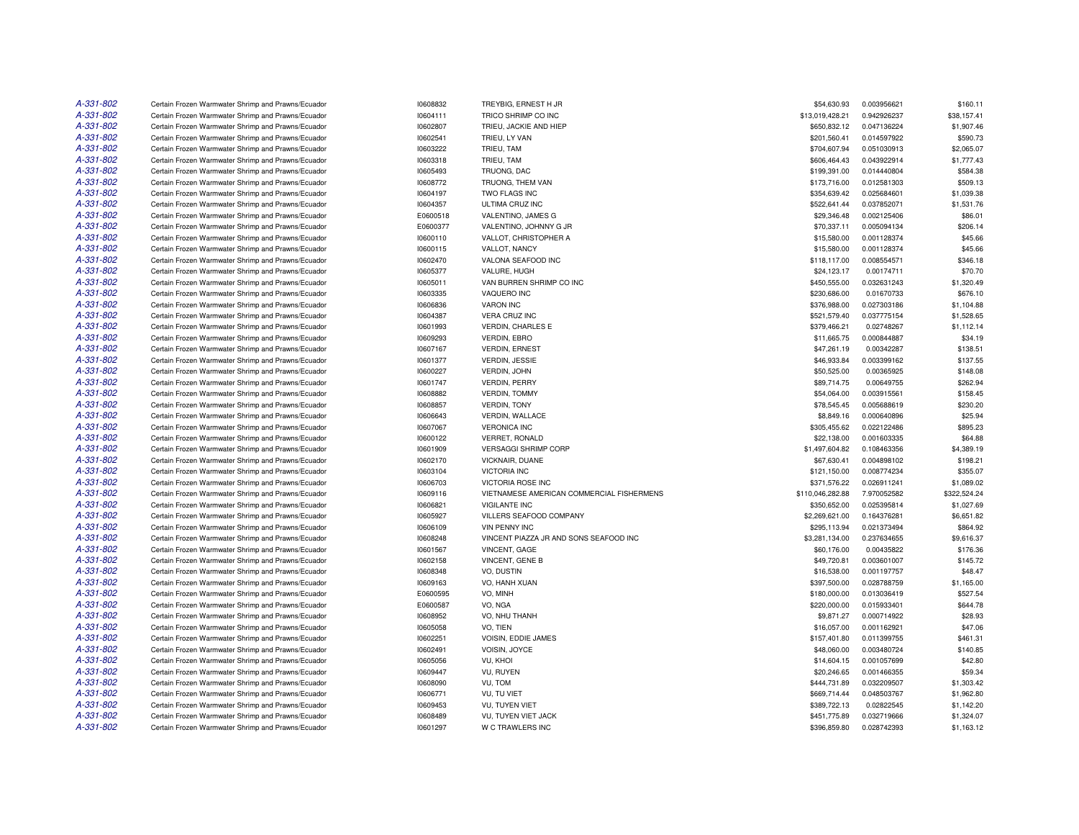| A-331-802 | Certain Frozen Warmwater Shrimp and Prawns/Ecuador | 10608832 | TREYBIG, ERNEST H JR                      | \$54,630.93      | 0.003956621 | \$160.11     |
|-----------|----------------------------------------------------|----------|-------------------------------------------|------------------|-------------|--------------|
| A-331-802 | Certain Frozen Warmwater Shrimp and Prawns/Ecuador | 10604111 | TRICO SHRIMP CO INC                       | \$13,019,428.21  | 0.942926237 | \$38,157.41  |
| A-331-802 | Certain Frozen Warmwater Shrimp and Prawns/Ecuador | 10602807 | TRIEU, JACKIE AND HIEP                    | \$650,832.12     | 0.047136224 | \$1,907.46   |
| A-331-802 | Certain Frozen Warmwater Shrimp and Prawns/Ecuador | 10602541 | TRIEU, LY VAN                             | \$201,560.41     | 0.014597922 | \$590.73     |
| A-331-802 | Certain Frozen Warmwater Shrimp and Prawns/Ecuador | 10603222 | TRIEU, TAM                                | \$704,607.94     | 0.051030913 | \$2,065.07   |
| A-331-802 | Certain Frozen Warmwater Shrimp and Prawns/Ecuador | 10603318 | TRIEU, TAM                                | \$606,464.43     | 0.043922914 | \$1,777.43   |
| A-331-802 | Certain Frozen Warmwater Shrimp and Prawns/Ecuador | 10605493 | TRUONG, DAC                               | \$199,391.00     | 0.014440804 | \$584.38     |
| A-331-802 | Certain Frozen Warmwater Shrimp and Prawns/Ecuador | 10608772 | TRUONG, THEM VAN                          | \$173,716.00     | 0.012581303 | \$509.13     |
| A-331-802 | Certain Frozen Warmwater Shrimp and Prawns/Ecuador | 10604197 | TWO FLAGS INC                             | \$354,639.42     | 0.025684601 | \$1,039.38   |
| A-331-802 | Certain Frozen Warmwater Shrimp and Prawns/Ecuador | 10604357 | ULTIMA CRUZ INC                           | \$522,641.44     | 0.037852071 | \$1,531.76   |
| A-331-802 | Certain Frozen Warmwater Shrimp and Prawns/Ecuador | E0600518 | VALENTINO, JAMES G                        | \$29,346.48      | 0.002125406 | \$86.01      |
| A-331-802 | Certain Frozen Warmwater Shrimp and Prawns/Ecuador | E0600377 | VALENTINO, JOHNNY G JR                    | \$70,337.11      | 0.005094134 | \$206.14     |
| A-331-802 | Certain Frozen Warmwater Shrimp and Prawns/Ecuador | 10600110 | VALLOT, CHRISTOPHER A                     | \$15,580.00      | 0.001128374 | \$45.66      |
| A-331-802 | Certain Frozen Warmwater Shrimp and Prawns/Ecuador | 10600115 | VALLOT, NANCY                             | \$15,580.00      | 0.001128374 | \$45.66      |
| A-331-802 | Certain Frozen Warmwater Shrimp and Prawns/Ecuador | 10602470 | VALONA SEAFOOD INC                        | \$118,117.00     | 0.008554571 | \$346.18     |
| A-331-802 | Certain Frozen Warmwater Shrimp and Prawns/Ecuador | 10605377 | VALURE, HUGH                              | \$24,123.17      | 0.00174711  | \$70.70      |
| A-331-802 | Certain Frozen Warmwater Shrimp and Prawns/Ecuador | 10605011 | VAN BURREN SHRIMP CO INC                  | \$450,555.00     | 0.032631243 | \$1,320.49   |
| A-331-802 | Certain Frozen Warmwater Shrimp and Prawns/Ecuador | 10603335 | VAQUERO INC                               | \$230,686.00     | 0.01670733  | \$676.10     |
| A-331-802 | Certain Frozen Warmwater Shrimp and Prawns/Ecuador | 10606836 | <b>VARON INC</b>                          | \$376,988.00     | 0.027303186 | \$1,104.88   |
| A-331-802 | Certain Frozen Warmwater Shrimp and Prawns/Ecuador | 10604387 | <b>VERA CRUZ INC</b>                      | \$521,579.40     | 0.037775154 | \$1,528.65   |
| A-331-802 | Certain Frozen Warmwater Shrimp and Prawns/Ecuador | 10601993 | <b>VERDIN, CHARLES E</b>                  | \$379,466.21     | 0.02748267  | \$1,112.14   |
| A-331-802 | Certain Frozen Warmwater Shrimp and Prawns/Ecuador | 10609293 | VERDIN, EBRO                              | \$11,665.75      | 0.000844887 | \$34.19      |
| A-331-802 | Certain Frozen Warmwater Shrimp and Prawns/Ecuador | 10607167 | <b>VERDIN, ERNEST</b>                     | \$47,261.19      | 0.00342287  | \$138.51     |
| A-331-802 | Certain Frozen Warmwater Shrimp and Prawns/Ecuador | 10601377 | <b>VERDIN, JESSIE</b>                     | \$46,933.84      | 0.003399162 | \$137.55     |
| A-331-802 | Certain Frozen Warmwater Shrimp and Prawns/Ecuador | 10600227 | VERDIN, JOHN                              | \$50,525.00      | 0.00365925  | \$148.08     |
| A-331-802 | Certain Frozen Warmwater Shrimp and Prawns/Ecuador | 10601747 | <b>VERDIN, PERRY</b>                      | \$89,714.75      | 0.00649755  | \$262.94     |
| A-331-802 | Certain Frozen Warmwater Shrimp and Prawns/Ecuador | 10608882 | <b>VERDIN, TOMMY</b>                      | \$54,064.00      | 0.003915561 | \$158.45     |
| A-331-802 | Certain Frozen Warmwater Shrimp and Prawns/Ecuador | 10608857 | VERDIN, TONY                              | \$78,545.45      | 0.005688619 | \$230.20     |
| A-331-802 | Certain Frozen Warmwater Shrimp and Prawns/Ecuador | 10606643 | VERDIN, WALLACE                           | \$8,849.16       | 0.000640896 | \$25.94      |
| A-331-802 | Certain Frozen Warmwater Shrimp and Prawns/Ecuador | 10607067 | <b>VERONICA INC</b>                       | \$305,455.62     | 0.022122486 | \$895.23     |
| A-331-802 | Certain Frozen Warmwater Shrimp and Prawns/Ecuador | 10600122 | <b>VERRET, RONALD</b>                     | \$22,138.00      | 0.001603335 | \$64.88      |
| A-331-802 | Certain Frozen Warmwater Shrimp and Prawns/Ecuador | 10601909 | <b>VERSAGGI SHRIMP CORP</b>               | \$1,497,604.82   | 0.108463356 | \$4,389.19   |
| A-331-802 | Certain Frozen Warmwater Shrimp and Prawns/Ecuador | 10602170 | VICKNAIR, DUANE                           | \$67,630.41      | 0.004898102 | \$198.21     |
| A-331-802 | Certain Frozen Warmwater Shrimp and Prawns/Ecuador | 10603104 | <b>VICTORIA INC</b>                       | \$121,150.00     | 0.008774234 | \$355.07     |
| A-331-802 | Certain Frozen Warmwater Shrimp and Prawns/Ecuador | 10606703 | VICTORIA ROSE INC                         | \$371,576.22     | 0.026911241 | \$1,089.02   |
| A-331-802 | Certain Frozen Warmwater Shrimp and Prawns/Ecuador | 10609116 | VIETNAMESE AMERICAN COMMERCIAL FISHERMENS | \$110,046,282.88 | 7.970052582 | \$322,524.24 |
| A-331-802 | Certain Frozen Warmwater Shrimp and Prawns/Ecuador | 10606821 | <b>VIGILANTE INC</b>                      | \$350,652.00     | 0.025395814 | \$1,027.69   |
| A-331-802 | Certain Frozen Warmwater Shrimp and Prawns/Ecuador | 10605927 | VILLERS SEAFOOD COMPANY                   | \$2,269,621.00   | 0.164376281 | \$6,651.82   |
| A-331-802 | Certain Frozen Warmwater Shrimp and Prawns/Ecuador | 10606109 | <b>VIN PENNY INC</b>                      | \$295,113.94     | 0.021373494 | \$864.92     |
| A-331-802 | Certain Frozen Warmwater Shrimp and Prawns/Ecuador | 10608248 | VINCENT PIAZZA JR AND SONS SEAFOOD INC    | \$3,281,134.00   | 0.237634655 | \$9,616.37   |
| A-331-802 | Certain Frozen Warmwater Shrimp and Prawns/Ecuador | 10601567 | VINCENT, GAGE                             | \$60,176.00      | 0.00435822  | \$176.36     |
| A-331-802 | Certain Frozen Warmwater Shrimp and Prawns/Ecuador | 10602158 | VINCENT, GENE B                           | \$49,720.81      | 0.003601007 | \$145.72     |
| A-331-802 | Certain Frozen Warmwater Shrimp and Prawns/Ecuador | 10608348 | VO, DUSTIN                                | \$16,538.00      | 0.001197757 | \$48.47      |
| A-331-802 | Certain Frozen Warmwater Shrimp and Prawns/Ecuador | 10609163 | VO, HANH XUAN                             | \$397,500.00     | 0.028788759 | \$1,165.00   |
| A-331-802 | Certain Frozen Warmwater Shrimp and Prawns/Ecuador | E0600595 | VO. MINH                                  | \$180,000.00     | 0.013036419 | \$527.54     |
| A-331-802 | Certain Frozen Warmwater Shrimp and Prawns/Ecuador | E0600587 | VO, NGA                                   | \$220,000.00     | 0.015933401 | \$644.78     |
| A-331-802 | Certain Frozen Warmwater Shrimp and Prawns/Ecuador | 10608952 | VO, NHU THANH                             | \$9,871.27       | 0.000714922 | \$28.93      |
| A-331-802 | Certain Frozen Warmwater Shrimp and Prawns/Ecuador | 10605058 | VO, TIEN                                  | \$16,057.00      | 0.001162921 | \$47.06      |
| A-331-802 | Certain Frozen Warmwater Shrimp and Prawns/Ecuador | 10602251 | VOISIN, EDDIE JAMES                       | \$157,401.80     | 0.011399755 | \$461.31     |
| A-331-802 | Certain Frozen Warmwater Shrimp and Prawns/Ecuador | 10602491 | VOISIN, JOYCE                             | \$48,060.00      | 0.003480724 | \$140.85     |
| A-331-802 | Certain Frozen Warmwater Shrimp and Prawns/Ecuador | 10605056 | VU, KHOI                                  | \$14,604.15      | 0.001057699 | \$42.80      |
| A-331-802 | Certain Frozen Warmwater Shrimp and Prawns/Ecuador | 10609447 | VU, RUYEN                                 | \$20,246.65      | 0.001466355 | \$59.34      |
| A-331-802 | Certain Frozen Warmwater Shrimp and Prawns/Ecuador | 10608090 | VU, TOM                                   | \$444,731.89     | 0.032209507 | \$1,303.42   |
| A-331-802 | Certain Frozen Warmwater Shrimp and Prawns/Ecuador | 10606771 | VU, TU VIET                               | \$669,714.44     | 0.048503767 | \$1,962.80   |
| A-331-802 | Certain Frozen Warmwater Shrimp and Prawns/Ecuador | 10609453 | VU, TUYEN VIET                            | \$389,722.13     | 0.02822545  | \$1,142.20   |
| A-331-802 | Certain Frozen Warmwater Shrimp and Prawns/Ecuador | 10608489 | VU, TUYEN VIET JACK                       | \$451,775.89     | 0.032719666 | \$1,324.07   |
| A-331-802 | Certain Frozen Warmwater Shrimp and Prawns/Ecuador | 10601297 | W C TRAWLERS INC                          | \$396,859.80     | 0.028742393 | \$1,163.12   |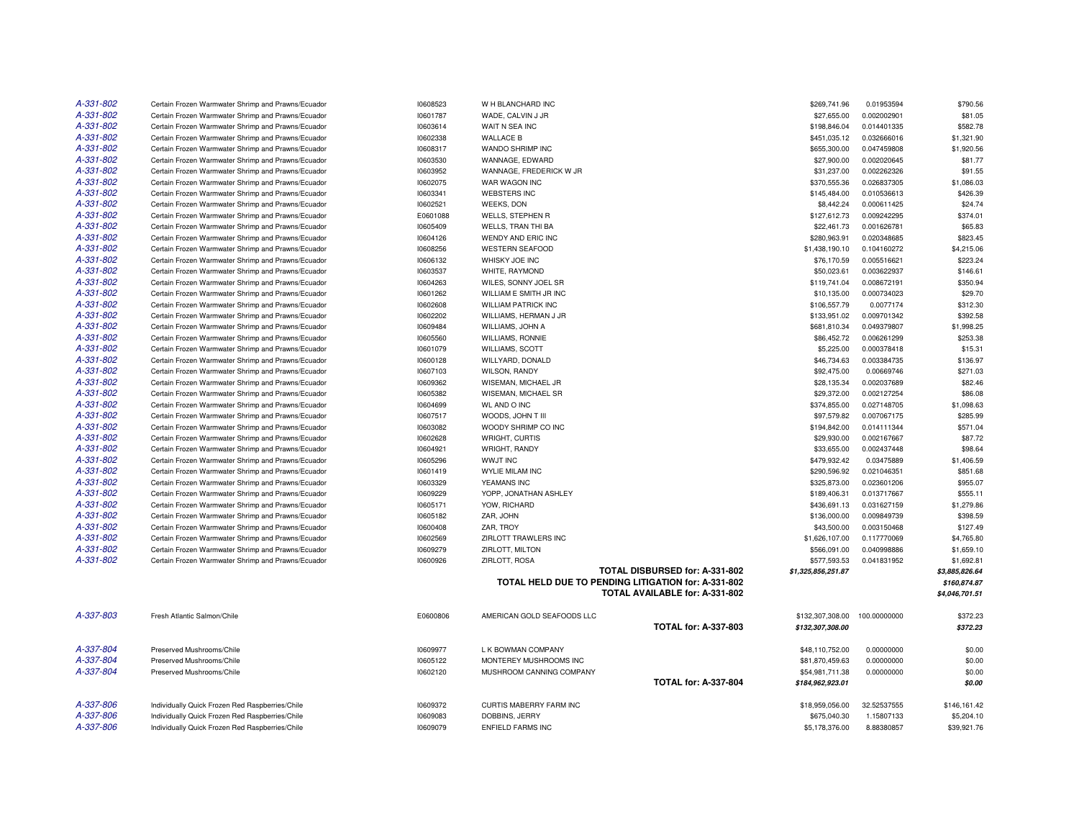| A-331-802       | Certain Frozen Warmwater Shrimp and Prawns/Ecuador | 10608523 | W H BLANCHARD INC          |                                                     | \$269,741.96       | 0.01953594   | \$790.56       |
|-----------------|----------------------------------------------------|----------|----------------------------|-----------------------------------------------------|--------------------|--------------|----------------|
| A-331-802       | Certain Frozen Warmwater Shrimp and Prawns/Ecuador | 10601787 | WADE, CALVIN J JR          |                                                     | \$27,655.00        | 0.002002901  | \$81.05        |
| A-331-802       | Certain Frozen Warmwater Shrimp and Prawns/Ecuador | 10603614 | WAIT N SEA INC             |                                                     | \$198,846.04       | 0.014401335  | \$582.78       |
| A-331-802       | Certain Frozen Warmwater Shrimp and Prawns/Ecuador | 10602338 | <b>WALLACE B</b>           |                                                     | \$451,035.12       | 0.032666016  | \$1,321.90     |
| A-331-802       | Certain Frozen Warmwater Shrimp and Prawns/Ecuador | 10608317 | WANDO SHRIMP INC           |                                                     | \$655,300.00       | 0.047459808  | \$1,920.56     |
| A-331-802       | Certain Frozen Warmwater Shrimp and Prawns/Ecuador | 10603530 | WANNAGE, EDWARD            |                                                     | \$27,900.00        | 0.002020645  | \$81.77        |
| A-331-802       | Certain Frozen Warmwater Shrimp and Prawns/Ecuador | 10603952 | WANNAGE, FREDERICK W JR    |                                                     | \$31,237.00        | 0.002262326  | \$91.55        |
| A-331-802       | Certain Frozen Warmwater Shrimp and Prawns/Ecuador | 10602075 | WAR WAGON INC              |                                                     | \$370,555.36       | 0.026837305  | \$1,086.03     |
| A-331-802       | Certain Frozen Warmwater Shrimp and Prawns/Ecuador | 10603341 | <b>WEBSTERS INC</b>        |                                                     | \$145,484.00       | 0.010536613  | \$426.39       |
| A-331-802       | Certain Frozen Warmwater Shrimp and Prawns/Ecuador | 10602521 | <b>WEEKS, DON</b>          |                                                     | \$8,442.24         | 0.000611425  | \$24.74        |
| A-331-802       | Certain Frozen Warmwater Shrimp and Prawns/Ecuador | E0601088 | <b>WELLS, STEPHEN R</b>    |                                                     | \$127,612.73       | 0.009242295  | \$374.01       |
| A-331-802       | Certain Frozen Warmwater Shrimp and Prawns/Ecuador | 10605409 | <b>WELLS, TRAN THI BA</b>  |                                                     | \$22,461.73        | 0.001626781  | \$65.83        |
| A-331-802       | Certain Frozen Warmwater Shrimp and Prawns/Ecuador | 10604126 | WENDY AND ERIC INC         |                                                     | \$280,963.91       | 0.020348685  | \$823.45       |
| A-331-802       | Certain Frozen Warmwater Shrimp and Prawns/Ecuador | 10608256 | <b>WESTERN SEAFOOD</b>     |                                                     | \$1,438,190.10     | 0.104160272  | \$4,215.06     |
| A-331-802       | Certain Frozen Warmwater Shrimp and Prawns/Ecuador | 10606132 | WHISKY JOE INC             |                                                     | \$76,170.59        | 0.005516621  | \$223.24       |
| A-331-802       | Certain Frozen Warmwater Shrimp and Prawns/Ecuador | 10603537 | WHITE, RAYMOND             |                                                     | \$50,023.61        | 0.003622937  | \$146.61       |
| A-331-802       | Certain Frozen Warmwater Shrimp and Prawns/Ecuador | 10604263 | WILES, SONNY JOEL SR       |                                                     | \$119,741.04       | 0.008672191  | \$350.94       |
| A-331-802       | Certain Frozen Warmwater Shrimp and Prawns/Ecuador | 10601262 | WILLIAM E SMITH JR INC     |                                                     | \$10,135.00        | 0.000734023  | \$29.70        |
| A-331-802       | Certain Frozen Warmwater Shrimp and Prawns/Ecuador | 10602608 | <b>WILLIAM PATRICK INC</b> |                                                     | \$106,557.79       | 0.0077174    | \$312.30       |
| A-331-802       | Certain Frozen Warmwater Shrimp and Prawns/Ecuador | 10602202 | WILLIAMS, HERMAN J JR      |                                                     | \$133,951.02       | 0.009701342  | \$392.58       |
| A-331-802       | Certain Frozen Warmwater Shrimp and Prawns/Ecuador | 10609484 | WILLIAMS, JOHN A           |                                                     | \$681,810.34       | 0.049379807  | \$1,998.25     |
| A-331-802       | Certain Frozen Warmwater Shrimp and Prawns/Ecuador | 10605560 | <b>WILLIAMS, RONNIE</b>    |                                                     | \$86,452.72        | 0.006261299  | \$253.38       |
| A-331-802       | Certain Frozen Warmwater Shrimp and Prawns/Ecuador | 10601079 | <b>WILLIAMS, SCOTT</b>     |                                                     | \$5,225.00         | 0.000378418  | \$15.31        |
| A-331-802       | Certain Frozen Warmwater Shrimp and Prawns/Ecuador | 10600128 | WILLYARD, DONALD           |                                                     | \$46,734.63        | 0.003384735  | \$136.97       |
| A-331-802       | Certain Frozen Warmwater Shrimp and Prawns/Ecuador | 10607103 | WILSON, RANDY              |                                                     | \$92,475.00        | 0.00669746   | \$271.03       |
| A-331-802       | Certain Frozen Warmwater Shrimp and Prawns/Ecuador | 10609362 | WISEMAN, MICHAEL JR        |                                                     | \$28,135.34        | 0.002037689  | \$82.46        |
| A-331-802       | Certain Frozen Warmwater Shrimp and Prawns/Ecuador | 10605382 | WISEMAN, MICHAEL SR        |                                                     | \$29,372.00        | 0.002127254  | \$86.08        |
| A-331-802       | Certain Frozen Warmwater Shrimp and Prawns/Ecuador | 10604699 | <b>WL AND O INC</b>        |                                                     | \$374,855.00       | 0.027148705  | \$1,098.63     |
| A-331-802       | Certain Frozen Warmwater Shrimp and Prawns/Ecuador | 10607517 | WOODS, JOHN T III          |                                                     | \$97,579.82        | 0.007067175  | \$285.99       |
| A-331-802       | Certain Frozen Warmwater Shrimp and Prawns/Ecuador | 10603082 | WOODY SHRIMP CO INC        |                                                     | \$194,842.00       | 0.014111344  | \$571.04       |
| A-331-802       | Certain Frozen Warmwater Shrimp and Prawns/Ecuador | 10602628 | WRIGHT, CURTIS             |                                                     | \$29,930.00        | 0.002167667  | \$87.72        |
| A-331-802       | Certain Frozen Warmwater Shrimp and Prawns/Ecuador | 10604921 | WRIGHT, RANDY              |                                                     | \$33,655.00        | 0.002437448  | \$98.64        |
| A-331-802       | Certain Frozen Warmwater Shrimp and Prawns/Ecuador | 10605296 | <b>WWJT INC</b>            |                                                     | \$479,932.42       | 0.03475889   | \$1,406.59     |
| $A - 331 - 802$ | Certain Frozen Warmwater Shrimp and Prawns/Ecuador | 10601419 | <b>WYLIE MILAM INC</b>     |                                                     | \$290,596.92       | 0.021046351  | \$851.68       |
| A-331-802       | Certain Frozen Warmwater Shrimp and Prawns/Ecuador | 10603329 | YEAMANS INC                |                                                     | \$325,873.00       | 0.023601206  | \$955.07       |
| A-331-802       | Certain Frozen Warmwater Shrimp and Prawns/Ecuador | 10609229 | YOPP, JONATHAN ASHLEY      |                                                     | \$189,406.31       | 0.013717667  | \$555.11       |
| A-331-802       | Certain Frozen Warmwater Shrimp and Prawns/Ecuador | 10605171 | YOW, RICHARD               |                                                     | \$436,691.13       | 0.031627159  | \$1,279.86     |
| A-331-802       | Certain Frozen Warmwater Shrimp and Prawns/Ecuador | 10605182 | ZAR, JOHN                  |                                                     | \$136,000.00       | 0.009849739  | \$398.59       |
| A-331-802       | Certain Frozen Warmwater Shrimp and Prawns/Ecuador | 10600408 | ZAR. TROY                  |                                                     | \$43,500.00        | 0.003150468  | \$127.49       |
| A-331-802       | Certain Frozen Warmwater Shrimp and Prawns/Ecuador | 10602569 | ZIRLOTT TRAWLERS INC       |                                                     | \$1,626,107.00     | 0.117770069  | \$4,765.80     |
| A-331-802       | Certain Frozen Warmwater Shrimp and Prawns/Ecuador | 10609279 | ZIRLOTT, MILTON            |                                                     | \$566,091.00       | 0.040998886  | \$1,659.10     |
| A-331-802       | Certain Frozen Warmwater Shrimp and Prawns/Ecuador | 10600926 | ZIRLOTT, ROSA              |                                                     | \$577,593.53       | 0.041831952  | \$1,692.81     |
|                 |                                                    |          |                            | TOTAL DISBURSED for: A-331-802                      | \$1,325,856,251.87 |              | \$3,885,826.64 |
|                 |                                                    |          |                            | TOTAL HELD DUE TO PENDING LITIGATION for: A-331-802 |                    |              | \$160,874.87   |
|                 |                                                    |          |                            | TOTAL AVAILABLE for: A-331-802                      |                    |              | \$4,046,701.51 |
|                 |                                                    |          |                            |                                                     |                    |              |                |
| A-337-803       | Fresh Atlantic Salmon/Chile                        | E0600806 | AMERICAN GOLD SEAFOODS LLC |                                                     | \$132,307,308.00   | 100.00000000 | \$372.23       |
|                 |                                                    |          |                            | <b>TOTAL for: A-337-803</b>                         | \$132,307,308.00   |              | \$372.23       |
|                 |                                                    |          |                            |                                                     |                    |              |                |
| A-337-804       | Preserved Mushrooms/Chile                          | 10609977 | L K BOWMAN COMPANY         |                                                     | \$48,110,752.00    | 0.00000000   | \$0.00         |
| A-337-804       | Preserved Mushrooms/Chile                          | 10605122 | MONTEREY MUSHROOMS INC     |                                                     | \$81,870,459.63    | 0.00000000   | \$0.00         |
| A-337-804       | Preserved Mushrooms/Chile                          | 10602120 | MUSHROOM CANNING COMPANY   |                                                     | \$54,981,711.38    | 0.00000000   | \$0.00         |
|                 |                                                    |          |                            | <b>TOTAL for: A-337-804</b>                         | \$184,962,923.01   |              | \$0.00         |
|                 |                                                    |          |                            |                                                     |                    |              |                |
| A-337-806       | Individually Quick Frozen Red Raspberries/Chile    | 10609372 | CURTIS MABERRY FARM INC    |                                                     | \$18,959,056.00    | 32.52537555  | \$146,161.42   |
| A-337-806       | Individually Quick Frozen Red Raspberries/Chile    | 10609083 | DOBBINS, JERRY             |                                                     | \$675,040.30       | 1.15807133   | \$5,204.10     |
| A-337-806       | Individually Quick Frozen Red Raspberries/Chile    | 10609079 | ENFIELD FARMS INC          |                                                     | \$5,178,376.00     | 8.88380857   | \$39,921.76    |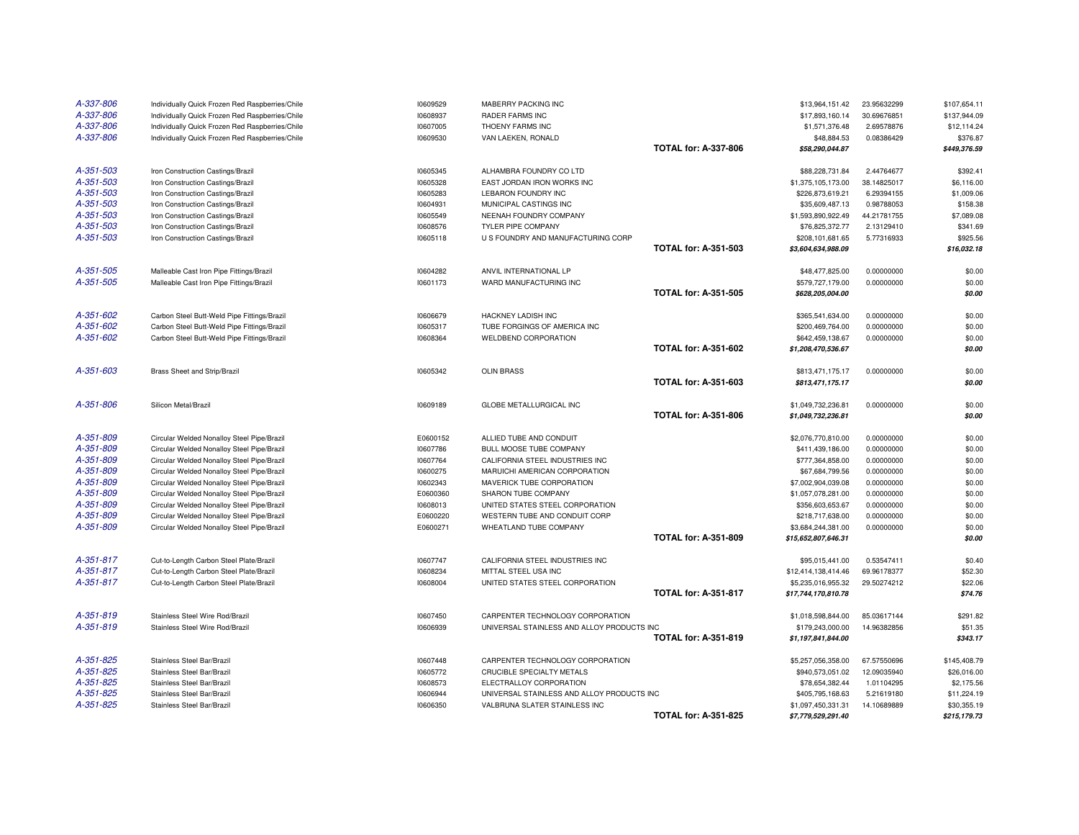| A-337-806              | Individually Quick Frozen Red Raspberries/Chile                                          | 10609529             | MABERRY PACKING INC                                                            |                             | \$13,964,151.42                        | 23.95632299                | \$107,654.11               |
|------------------------|------------------------------------------------------------------------------------------|----------------------|--------------------------------------------------------------------------------|-----------------------------|----------------------------------------|----------------------------|----------------------------|
| A-337-806              | Individually Quick Frozen Red Raspberries/Chile                                          | 10608937             | <b>RADER FARMS INC</b>                                                         |                             | \$17,893,160.14                        | 30.69676851                | \$137,944.09               |
| A-337-806              | Individually Quick Frozen Red Raspberries/Chile                                          | 10607005             | THOENY FARMS INC                                                               |                             | \$1,571,376.48                         | 2.69578876                 | \$12,114.24                |
| A-337-806              | Individually Quick Frozen Red Raspberries/Chile                                          | 10609530             | VAN LAEKEN, RONALD                                                             |                             | \$48,884.53                            | 0.08386429                 | \$376.87                   |
|                        |                                                                                          |                      |                                                                                | <b>TOTAL for: A-337-806</b> | \$58,290,044.87                        |                            | \$449,376.59               |
| A-351-503              | Iron Construction Castings/Brazil                                                        | 10605345             | ALHAMBRA FOUNDRY CO LTD                                                        |                             | \$88,228,731.84                        | 2.44764677                 | \$392.41                   |
| A-351-503              | Iron Construction Castings/Brazil                                                        | 10605328             | EAST JORDAN IRON WORKS INC                                                     |                             | \$1,375,105,173.00                     | 38.14825017                | \$6,116.00                 |
| A-351-503              | Iron Construction Castings/Brazil                                                        | 10605283             | LEBARON FOUNDRY INC                                                            |                             | \$226,873,619.21                       | 6.29394155                 | \$1,009.06                 |
| A-351-503              | Iron Construction Castings/Brazil                                                        | 10604931             | MUNICIPAL CASTINGS INC                                                         |                             | \$35,609,487.13                        | 0.98788053                 | \$158.38                   |
| A-351-503              | Iron Construction Castings/Brazil                                                        | 10605549             | NEENAH FOUNDRY COMPANY                                                         |                             | \$1,593,890,922.49                     | 44.21781755                | \$7,089.08                 |
| A-351-503              | Iron Construction Castings/Brazil                                                        | 10608576             | TYLER PIPE COMPANY                                                             |                             | \$76,825,372.77                        | 2.13129410                 | \$341.69                   |
| A-351-503              | Iron Construction Castings/Brazil                                                        | 10605118             | U S FOUNDRY AND MANUFACTURING CORP                                             |                             | \$208,101,681.65                       | 5.77316933                 | \$925.56                   |
|                        |                                                                                          |                      |                                                                                | <b>TOTAL for: A-351-503</b> | \$3,604,634,988.09                     |                            | \$16,032.18                |
| A-351-505              | Malleable Cast Iron Pipe Fittings/Brazil                                                 | 10604282             | ANVIL INTERNATIONAL LP                                                         |                             | \$48,477,825.00                        | 0.00000000                 | \$0.00                     |
| A-351-505              | Malleable Cast Iron Pipe Fittings/Brazil                                                 | 10601173             | WARD MANUFACTURING INC                                                         |                             | \$579,727,179.00                       | 0.00000000                 | \$0.00                     |
|                        |                                                                                          |                      |                                                                                | <b>TOTAL for: A-351-505</b> | \$628,205,004.00                       |                            | \$0.00                     |
| A-351-602              | Carbon Steel Butt-Weld Pipe Fittings/Brazil                                              | 10606679             | HACKNEY LADISH INC                                                             |                             | \$365,541,634.00                       | 0.00000000                 | \$0.00                     |
| A-351-602              | Carbon Steel Butt-Weld Pipe Fittings/Brazil                                              | 10605317             | TUBE FORGINGS OF AMERICA INC                                                   |                             | \$200,469,764.00                       | 0.00000000                 | \$0.00                     |
| A-351-602              | Carbon Steel Butt-Weld Pipe Fittings/Brazil                                              | 10608364             | <b>WELDBEND CORPORATION</b>                                                    |                             | \$642,459,138.67                       | 0.00000000                 | \$0.00                     |
|                        |                                                                                          |                      |                                                                                | <b>TOTAL for: A-351-602</b> | \$1,208,470,536.67                     |                            | \$0.00                     |
|                        |                                                                                          |                      |                                                                                |                             |                                        |                            |                            |
| A-351-603              | Brass Sheet and Strip/Brazil                                                             | 10605342             | <b>OLIN BRASS</b>                                                              |                             | \$813,471,175.17                       | 0.00000000                 | \$0.00                     |
|                        |                                                                                          |                      |                                                                                | <b>TOTAL for: A-351-603</b> | \$813,471,175.17                       |                            | \$0.00                     |
| A-351-806              | Silicon Metal/Brazil                                                                     | 10609189             | GLOBE METALLURGICAL INC                                                        |                             | \$1,049,732,236.81                     | 0.00000000                 | \$0.00                     |
|                        |                                                                                          |                      |                                                                                | <b>TOTAL for: A-351-806</b> | \$1,049,732,236.81                     |                            | \$0.00                     |
|                        |                                                                                          |                      |                                                                                |                             |                                        |                            |                            |
| A-351-809              | Circular Welded Nonalloy Steel Pipe/Brazil                                               | E0600152             | ALLIED TUBE AND CONDUIT                                                        |                             | \$2,076,770,810.00                     | 0.00000000                 | \$0.00                     |
| A-351-809              |                                                                                          | 10607786             | BULL MOOSE TUBE COMPANY                                                        |                             | \$411,439,186.00                       | 0.00000000                 | \$0.00                     |
| A-351-809              | Circular Welded Nonalloy Steel Pipe/Brazil<br>Circular Welded Nonalloy Steel Pipe/Brazil | 10607764             | CALIFORNIA STEEL INDUSTRIES INC                                                |                             | \$777,364,858.00                       | 0.00000000                 | \$0.00                     |
| A-351-809              | Circular Welded Nonalloy Steel Pipe/Brazil                                               | 10600275             | MARUICHI AMERICAN CORPORATION                                                  |                             | \$67,684,799.56                        | 0.00000000                 | \$0.00                     |
| A-351-809              | Circular Welded Nonalloy Steel Pipe/Brazil                                               | 10602343             | MAVERICK TUBE CORPORATION                                                      |                             | \$7,002,904,039.08                     | 0.00000000                 | \$0.00                     |
| A-351-809              | Circular Welded Nonalloy Steel Pipe/Brazil                                               | E0600360             | SHARON TUBE COMPANY                                                            |                             | \$1,057,078,281.00                     | 0.00000000                 | \$0.00                     |
| A-351-809              | Circular Welded Nonalloy Steel Pipe/Brazil                                               | 10608013             | UNITED STATES STEEL CORPORATION                                                |                             | \$356,603,653.67                       | 0.00000000                 | \$0.00                     |
| A-351-809              | Circular Welded Nonalloy Steel Pipe/Brazil                                               | E0600220             | WESTERN TUBE AND CONDUIT CORP                                                  |                             | \$218,717,638.00                       | 0.00000000                 | \$0.00                     |
| A-351-809              | Circular Welded Nonalloy Steel Pipe/Brazil                                               | E0600271             | WHEATLAND TUBE COMPANY                                                         |                             | \$3,684,244,381.00                     | 0.00000000                 | \$0.00                     |
|                        |                                                                                          |                      |                                                                                | <b>TOTAL for: A-351-809</b> | \$15,652,807,646.31                    |                            | \$0.00                     |
| A-351-817              | Cut-to-Length Carbon Steel Plate/Brazil                                                  | 10607747             | CALIFORNIA STEEL INDUSTRIES INC                                                |                             | \$95,015,441.00                        | 0.53547411                 | \$0.40                     |
| A-351-817              | Cut-to-Length Carbon Steel Plate/Brazil                                                  | 10608234             | MITTAL STEEL USA INC                                                           |                             | \$12,414,138,414.46                    | 69.96178377                | \$52.30                    |
| A-351-817              | Cut-to-Length Carbon Steel Plate/Brazil                                                  | 10608004             | UNITED STATES STEEL CORPORATION                                                |                             | \$5,235,016,955.32                     | 29.50274212                | \$22.06                    |
|                        |                                                                                          |                      |                                                                                | <b>TOTAL for: A-351-817</b> | \$17,744,170,810.78                    |                            | \$74.76                    |
|                        |                                                                                          |                      |                                                                                |                             |                                        |                            |                            |
| A-351-819<br>A-351-819 | Stainless Steel Wire Rod/Brazil<br>Stainless Steel Wire Rod/Brazil                       | 10607450             | CARPENTER TECHNOLOGY CORPORATION<br>UNIVERSAL STAINLESS AND ALLOY PRODUCTS INC |                             | \$1,018,598,844.00                     | 85.03617144<br>14.96382856 | \$291.82<br>\$51.35        |
|                        |                                                                                          | 10606939             |                                                                                | <b>TOTAL for: A-351-819</b> | \$179,243,000.00<br>\$1,197,841,844.00 |                            | \$343.17                   |
|                        |                                                                                          |                      |                                                                                |                             |                                        |                            |                            |
| A-351-825              | Stainless Steel Bar/Brazil                                                               | 10607448             | CARPENTER TECHNOLOGY CORPORATION                                               |                             | \$5,257,056,358.00                     | 67.57550696                | \$145,408.79               |
| A-351-825              | Stainless Steel Bar/Brazil                                                               | 10605772             | <b>CRUCIBLE SPECIALTY METALS</b>                                               |                             | \$940,573,051.02                       | 12.09035940                | \$26,016.00                |
| A-351-825              | Stainless Steel Bar/Brazil                                                               | 10608573             | ELECTRALLOY CORPORATION                                                        |                             | \$78,654,382.44                        | 1.01104295                 | \$2,175.56                 |
| A-351-825<br>A-351-825 | Stainless Steel Bar/Brazil<br>Stainless Steel Bar/Brazil                                 | 10606944<br>10606350 | UNIVERSAL STAINLESS AND ALLOY PRODUCTS INC<br>VALBRUNA SLATER STAINLESS INC    |                             | \$405,795,168.63<br>\$1,097,450,331.31 | 5.21619180<br>14.10689889  | \$11,224.19<br>\$30,355.19 |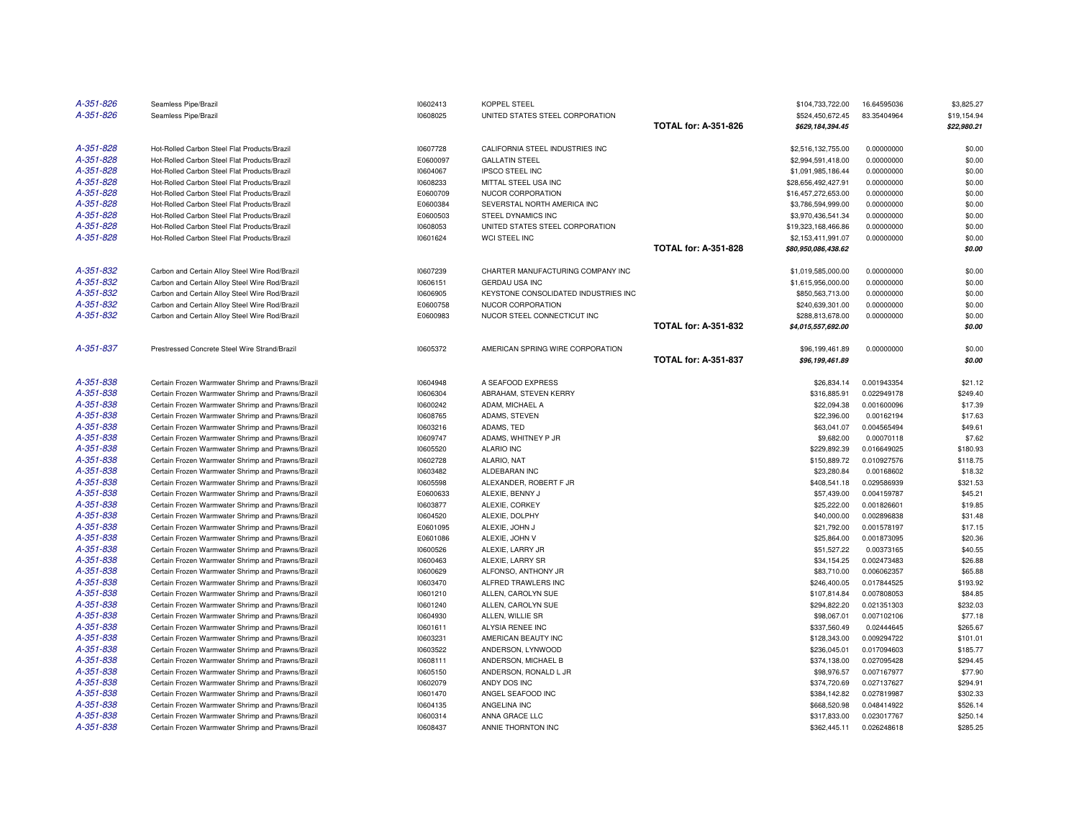| A-351-826              | Seamless Pipe/Brazil                                                                                   | 10602413             | <b>KOPPEL STEEL</b>                  |                             | \$104,733,722.00           | 16.64595036                | \$3,825.27         |
|------------------------|--------------------------------------------------------------------------------------------------------|----------------------|--------------------------------------|-----------------------------|----------------------------|----------------------------|--------------------|
| A-351-826              | Seamless Pipe/Brazil                                                                                   | 10608025             | UNITED STATES STEEL CORPORATION      |                             | \$524,450,672.45           | 83.35404964                | \$19,154.94        |
|                        |                                                                                                        |                      |                                      | <b>TOTAL for: A-351-826</b> | \$629,184,394.45           |                            | \$22,980.21        |
| A-351-828              | Hot-Rolled Carbon Steel Flat Products/Brazil                                                           | 10607728             | CALIFORNIA STEEL INDUSTRIES INC      |                             | \$2,516,132,755.00         | 0.00000000                 | \$0.00             |
| A-351-828              | Hot-Rolled Carbon Steel Flat Products/Brazil                                                           | E0600097             | <b>GALLATIN STEEL</b>                |                             | \$2,994,591,418.00         | 0.00000000                 | \$0.00             |
| A-351-828              | Hot-Rolled Carbon Steel Flat Products/Brazil                                                           | 10604067             | <b>IPSCO STEEL INC</b>               |                             | \$1,091,985,186.44         | 0.00000000                 | \$0.00             |
| A-351-828              | Hot-Rolled Carbon Steel Flat Products/Brazil                                                           | 10608233             | MITTAL STEEL USA INC                 |                             | \$28,656,492,427.91        | 0.00000000                 | \$0.00             |
| A-351-828              | Hot-Rolled Carbon Steel Flat Products/Brazil                                                           | E0600709             | NUCOR CORPORATION                    |                             | \$16,457,272,653.00        | 0.00000000                 | \$0.00             |
| A-351-828              | Hot-Rolled Carbon Steel Flat Products/Brazil                                                           | E0600384             | SEVERSTAL NORTH AMERICA INC          |                             | \$3,786,594,999.00         | 0.00000000                 | \$0.00             |
| A-351-828              | Hot-Rolled Carbon Steel Flat Products/Brazil                                                           | E0600503             | STEEL DYNAMICS INC                   |                             | \$3,970,436,541.34         | 0.00000000                 | \$0.00             |
| A-351-828              | Hot-Rolled Carbon Steel Flat Products/Brazil                                                           | 10608053             | UNITED STATES STEEL CORPORATION      |                             | \$19,323,168,466.86        | 0.00000000                 | \$0.00             |
| A-351-828              | Hot-Rolled Carbon Steel Flat Products/Brazil                                                           | 10601624             | WCI STEEL INC                        |                             | \$2,153,411,991.07         | 0.00000000                 | \$0.00             |
|                        |                                                                                                        |                      |                                      | <b>TOTAL for: A-351-828</b> | \$80,950,086,438.62        |                            | \$0.00             |
| A-351-832              | Carbon and Certain Alloy Steel Wire Rod/Brazil                                                         | 10607239             | CHARTER MANUFACTURING COMPANY INC    |                             | \$1,019,585,000.00         | 0.00000000                 | \$0.00             |
| A-351-832              | Carbon and Certain Alloy Steel Wire Rod/Brazil                                                         | 10606151             | GERDAU USA INC                       |                             | \$1,615,956,000.00         | 0.00000000                 | \$0.00             |
| A-351-832              | Carbon and Certain Alloy Steel Wire Rod/Brazil                                                         | 10606905             | KEYSTONE CONSOLIDATED INDUSTRIES INC |                             | \$850,563,713.00           | 0.00000000                 | \$0.00             |
| A-351-832              | Carbon and Certain Alloy Steel Wire Rod/Brazil                                                         | E0600758             | NUCOR CORPORATION                    |                             | \$240,639,301.00           | 0.00000000                 | \$0.00             |
| A-351-832              | Carbon and Certain Alloy Steel Wire Rod/Brazil                                                         | E0600983             | NUCOR STEEL CONNECTICUT INC          |                             | \$288,813,678.00           | 0.00000000                 | \$0.00             |
|                        |                                                                                                        |                      |                                      | <b>TOTAL for: A-351-832</b> | \$4,015,557,692.00         |                            | \$0.00             |
| A-351-837              | Prestressed Concrete Steel Wire Strand/Brazil                                                          | 10605372             | AMERICAN SPRING WIRE CORPORATION     |                             | \$96,199,461.89            | 0.00000000                 | \$0.00             |
|                        |                                                                                                        |                      |                                      | <b>TOTAL for: A-351-837</b> | \$96,199,461.89            |                            | \$0.00             |
| A-351-838              | Certain Frozen Warmwater Shrimp and Prawns/Brazil                                                      | 10604948             | A SEAFOOD EXPRESS                    |                             | \$26,834.14                | 0.001943354                | \$21.12            |
| A-351-838              | Certain Frozen Warmwater Shrimp and Prawns/Brazil                                                      | 10606304             | ABRAHAM, STEVEN KERRY                |                             | \$316,885.91               | 0.022949178                | \$249.40           |
| A-351-838              | Certain Frozen Warmwater Shrimp and Prawns/Brazil                                                      | 10600242             | ADAM, MICHAEL A                      |                             | \$22,094.38                | 0.001600096                | \$17.39            |
| A-351-838              | Certain Frozen Warmwater Shrimp and Prawns/Brazil                                                      | 10608765             | ADAMS, STEVEN                        |                             | \$22,396.00                | 0.00162194                 | \$17.63            |
| A-351-838              | Certain Frozen Warmwater Shrimp and Prawns/Brazil                                                      | 10603216             | ADAMS, TED                           |                             | \$63,041.07                | 0.004565494                | \$49.61            |
| A-351-838              | Certain Frozen Warmwater Shrimp and Prawns/Brazil                                                      | 10609747             | ADAMS, WHITNEY P JR                  |                             | \$9,682.00                 | 0.00070118                 | \$7.62             |
| A-351-838              | Certain Frozen Warmwater Shrimp and Prawns/Brazil                                                      | 10605520             | <b>ALARIO INC</b>                    |                             | \$229,892.39               | 0.016649025                | \$180.93           |
| A-351-838              | Certain Frozen Warmwater Shrimp and Prawns/Brazil                                                      | 10602728             | ALARIO, NAT                          |                             | \$150,889.72               | 0.010927576                | \$118.75           |
| A-351-838              | Certain Frozen Warmwater Shrimp and Prawns/Brazil                                                      | 10603482             | ALDEBARAN INC                        |                             | \$23,280.84                | 0.00168602                 | \$18.32            |
| A-351-838              | Certain Frozen Warmwater Shrimp and Prawns/Brazil                                                      | 10605598             | ALEXANDER, ROBERT F JR               |                             | \$408,541.18               | 0.029586939                | \$321.53           |
| A-351-838              | Certain Frozen Warmwater Shrimp and Prawns/Brazil                                                      | E0600633             | ALEXIE, BENNY J                      |                             | \$57,439.00                | 0.004159787                | \$45.21            |
| A-351-838<br>A-351-838 | Certain Frozen Warmwater Shrimp and Prawns/Brazil                                                      | 10603877             | ALEXIE, CORKEY                       |                             | \$25,222.00                | 0.001826601                | \$19.85            |
| A-351-838              | Certain Frozen Warmwater Shrimp and Prawns/Brazil                                                      | 10604520             | ALEXIE, DOLPHY                       |                             | \$40,000.00                | 0.002896838                | \$31.48<br>\$17.15 |
| A-351-838              | Certain Frozen Warmwater Shrimp and Prawns/Brazil<br>Certain Frozen Warmwater Shrimp and Prawns/Brazil | E0601095<br>E0601086 | ALEXIE, JOHN J<br>ALEXIE, JOHN V     |                             | \$21,792.00<br>\$25,864.00 | 0.001578197<br>0.001873095 | \$20.36            |
| A-351-838              | Certain Frozen Warmwater Shrimp and Prawns/Brazil                                                      | 10600526             | ALEXIE, LARRY JR                     |                             | \$51,527.22                | 0.00373165                 | \$40.55            |
| A-351-838              | Certain Frozen Warmwater Shrimp and Prawns/Brazil                                                      | 10600463             | ALEXIE, LARRY SR                     |                             | \$34,154.25                | 0.002473483                | \$26.88            |
| A-351-838              | Certain Frozen Warmwater Shrimp and Prawns/Brazil                                                      | 10600629             | ALFONSO, ANTHONY JR                  |                             | \$83,710.00                | 0.006062357                | \$65.88            |
| A-351-838              | Certain Frozen Warmwater Shrimp and Prawns/Brazil                                                      | 10603470             | ALFRED TRAWLERS INC                  |                             | \$246,400.05               | 0.017844525                | \$193.92           |
| A-351-838              | Certain Frozen Warmwater Shrimp and Prawns/Brazil                                                      | 10601210             | ALLEN, CAROLYN SUE                   |                             | \$107,814.84               | 0.007808053                | \$84.85            |
| A-351-838              | Certain Frozen Warmwater Shrimp and Prawns/Brazil                                                      | 10601240             | ALLEN, CAROLYN SUE                   |                             | \$294,822.20               | 0.021351303                | \$232.03           |
| A-351-838              | Certain Frozen Warmwater Shrimp and Prawns/Brazil                                                      | 10604930             | ALLEN, WILLIE SR                     |                             | \$98,067.01                | 0.007102106                | \$77.18            |
| A-351-838              | Certain Frozen Warmwater Shrimp and Prawns/Brazil                                                      | 10601611             | ALYSIA RENEE INC                     |                             | \$337,560.49               | 0.02444645                 | \$265.67           |
| A-351-838              | Certain Frozen Warmwater Shrimp and Prawns/Brazil                                                      | 10603231             | AMERICAN BEAUTY INC                  |                             | \$128,343.00               | 0.009294722                | \$101.01           |
| A-351-838              | Certain Frozen Warmwater Shrimp and Prawns/Brazil                                                      | 10603522             | ANDERSON, LYNWOOD                    |                             | \$236,045.01               | 0.017094603                | \$185.77           |
| A-351-838              | Certain Frozen Warmwater Shrimp and Prawns/Brazil                                                      | 10608111             | ANDERSON, MICHAEL B                  |                             | \$374,138.00               | 0.027095428                | \$294.45           |
| A-351-838              | Certain Frozen Warmwater Shrimp and Prawns/Brazil                                                      | 10605150             | ANDERSON, RONALD L JR                |                             | \$98,976.57                | 0.007167977                | \$77.90            |
| A-351-838              | Certain Frozen Warmwater Shrimp and Prawns/Brazil                                                      | 10602079             | ANDY DOS INC                         |                             | \$374,720.69               | 0.027137627                | \$294.91           |
| A-351-838              | Certain Frozen Warmwater Shrimp and Prawns/Brazil                                                      | 10601470             | ANGEL SEAFOOD INC                    |                             | \$384,142.82               | 0.027819987                | \$302.33           |
| A-351-838              | Certain Frozen Warmwater Shrimp and Prawns/Brazil                                                      | 10604135             | ANGELINA INC                         |                             | \$668,520.98               | 0.048414922                | \$526.14           |
| A-351-838              | Certain Frozen Warmwater Shrimp and Prawns/Brazil                                                      | 10600314             | ANNA GRACE LLC                       |                             | \$317,833.00               | 0.023017767                | \$250.14           |
| A-351-838              | Certain Frozen Warmwater Shrimp and Prawns/Brazil                                                      | 10608437             | ANNIE THORNTON INC                   |                             | \$362,445.11               | 0.026248618                | \$285.25           |
|                        |                                                                                                        |                      |                                      |                             |                            |                            |                    |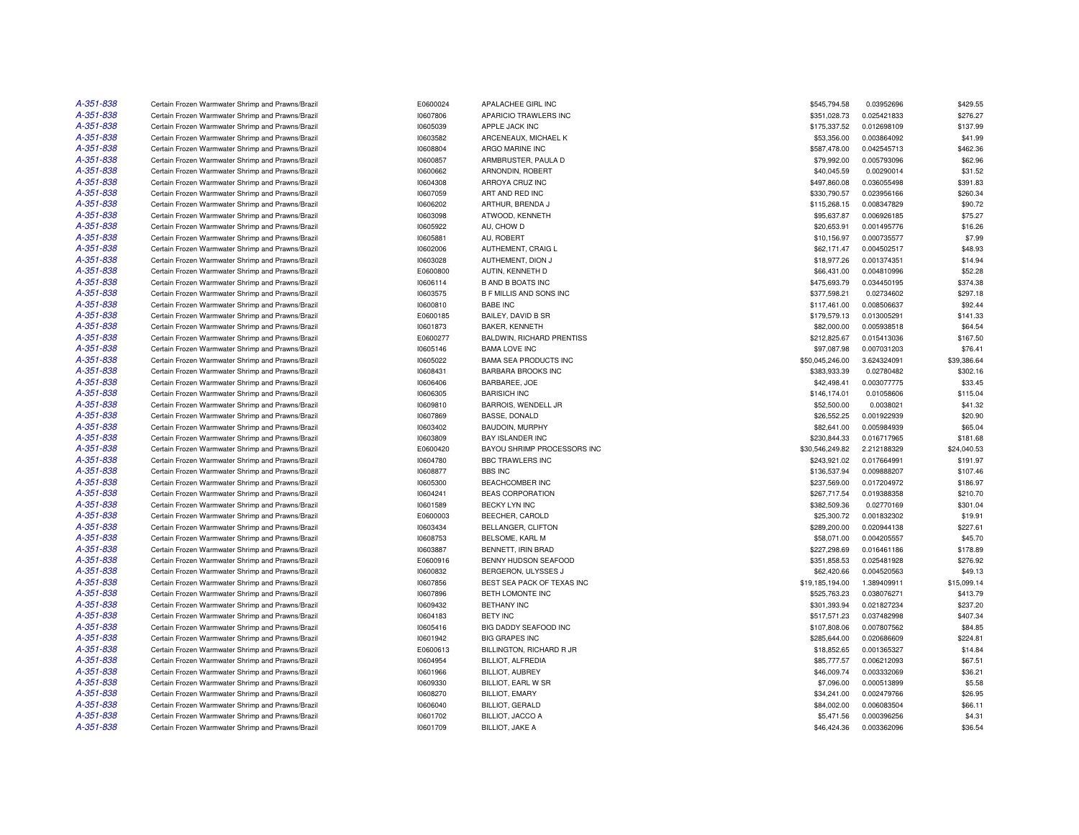| A-351-838 | Certain Frozen Warmwater Shrimp and Prawns/Brazil | E0600024             | APALACHEE GIRL INC               | \$545,794.58    | 0.03952696                 | \$429.55    |
|-----------|---------------------------------------------------|----------------------|----------------------------------|-----------------|----------------------------|-------------|
| A-351-838 | Certain Frozen Warmwater Shrimp and Prawns/Brazil | 10607806             | APARICIO TRAWLERS INC            | \$351,028.73    | 0.025421833                | \$276.27    |
| A-351-838 | Certain Frozen Warmwater Shrimp and Prawns/Brazil | 10605039             | APPLE JACK INC                   | \$175,337.52    | 0.012698109                | \$137.99    |
| A-351-838 | Certain Frozen Warmwater Shrimp and Prawns/Brazil | 10603582             | ARCENEAUX, MICHAEL K             | \$53,356.00     | 0.003864092                | \$41.99     |
| A-351-838 | Certain Frozen Warmwater Shrimp and Prawns/Brazil | 10608804             | ARGO MARINE INC                  | \$587,478.00    | 0.042545713                | \$462.36    |
| A-351-838 | Certain Frozen Warmwater Shrimp and Prawns/Brazil | 10600857             | ARMBRUSTER, PAULA D              | \$79,992.00     | 0.005793096                | \$62.96     |
| A-351-838 | Certain Frozen Warmwater Shrimp and Prawns/Brazil | 10600662             | ARNONDIN, ROBERT                 | \$40,045.59     | 0.00290014                 | \$31.52     |
| A-351-838 | Certain Frozen Warmwater Shrimp and Prawns/Brazil | 10604308             | ARROYA CRUZ INC                  | \$497,860.08    | 0.036055498                | \$391.83    |
| A-351-838 | Certain Frozen Warmwater Shrimp and Prawns/Brazil | 10607059             | ART AND RED INC                  | \$330,790.57    | 0.023956166                | \$260.34    |
| A-351-838 | Certain Frozen Warmwater Shrimp and Prawns/Brazil | 10606202             | ARTHUR, BRENDA J                 | \$115,268.15    | 0.008347829                | \$90.72     |
| A-351-838 | Certain Frozen Warmwater Shrimp and Prawns/Brazil | 10603098             | ATWOOD, KENNETH                  | \$95,637.87     | 0.006926185                | \$75.27     |
| A-351-838 | Certain Frozen Warmwater Shrimp and Prawns/Brazil | 10605922             | AU, CHOW D                       | \$20,653.91     | 0.001495776                | \$16.26     |
| A-351-838 | Certain Frozen Warmwater Shrimp and Prawns/Brazil | 10605881             | AU, ROBERT                       | \$10,156.97     | 0.000735577                | \$7.99      |
| A-351-838 | Certain Frozen Warmwater Shrimp and Prawns/Brazil | 10602006             | AUTHEMENT, CRAIG L               | \$62,171.47     | 0.004502517                | \$48.93     |
| A-351-838 | Certain Frozen Warmwater Shrimp and Prawns/Brazil | 10603028             | AUTHEMENT, DION J                | \$18,977.26     | 0.001374351                | \$14.94     |
| A-351-838 | Certain Frozen Warmwater Shrimp and Prawns/Brazil | E0600800             | AUTIN, KENNETH D                 | \$66,431.00     | 0.004810996                | \$52.28     |
| A-351-838 | Certain Frozen Warmwater Shrimp and Prawns/Brazil | 10606114             | <b>B AND B BOATS INC</b>         | \$475,693.79    | 0.034450195                | \$374.38    |
| A-351-838 | Certain Frozen Warmwater Shrimp and Prawns/Brazil | 10603575             | <b>B F MILLIS AND SONS INC</b>   | \$377,598.21    | 0.02734602                 | \$297.18    |
| A-351-838 | Certain Frozen Warmwater Shrimp and Prawns/Brazil | 10600810             | <b>BABE INC</b>                  | \$117,461.00    | 0.008506637                | \$92.44     |
| A-351-838 | Certain Frozen Warmwater Shrimp and Prawns/Brazil | E0600185             | BAILEY, DAVID B SR               | \$179,579.13    | 0.013005291                | \$141.33    |
| A-351-838 | Certain Frozen Warmwater Shrimp and Prawns/Brazil | 10601873             | BAKER, KENNETH                   | \$82,000.00     | 0.005938518                | \$64.54     |
| A-351-838 | Certain Frozen Warmwater Shrimp and Prawns/Brazil | E0600277             | <b>BALDWIN, RICHARD PRENTISS</b> | \$212,825.67    | 0.015413036                | \$167.50    |
| A-351-838 | Certain Frozen Warmwater Shrimp and Prawns/Brazil | 10605146             | <b>BAMA LOVE INC</b>             | \$97,087.98     | 0.007031203                | \$76.41     |
| A-351-838 | Certain Frozen Warmwater Shrimp and Prawns/Brazil | 10605022             | <b>BAMA SEA PRODUCTS INC</b>     | \$50,045,246.00 | 3.624324091                | \$39,386.64 |
| A-351-838 | Certain Frozen Warmwater Shrimp and Prawns/Brazil | 10608431             | BARBARA BROOKS INC               | \$383,933.39    | 0.02780482                 | \$302.16    |
| A-351-838 | Certain Frozen Warmwater Shrimp and Prawns/Brazil | 10606406             | BARBAREE, JOE                    | \$42,498.41     | 0.003077775                | \$33.45     |
| A-351-838 | Certain Frozen Warmwater Shrimp and Prawns/Brazil | 10606305             | <b>BARISICH INC</b>              | \$146,174.01    | 0.01058606                 | \$115.04    |
| A-351-838 | Certain Frozen Warmwater Shrimp and Prawns/Brazil | 10609810             | BARROIS, WENDELL JR              | \$52,500.00     | 0.0038021                  | \$41.32     |
| A-351-838 | Certain Frozen Warmwater Shrimp and Prawns/Brazil | 10607869             | <b>BASSE, DONALD</b>             | \$26,552.25     | 0.001922939                | \$20.90     |
| A-351-838 | Certain Frozen Warmwater Shrimp and Prawns/Brazil | 10603402             | <b>BAUDOIN, MURPHY</b>           | \$82,641.00     | 0.005984939                | \$65.04     |
| A-351-838 | Certain Frozen Warmwater Shrimp and Prawns/Brazil | 10603809             | <b>BAY ISLANDER INC</b>          | \$230,844.33    | 0.016717965                | \$181.68    |
| A-351-838 | Certain Frozen Warmwater Shrimp and Prawns/Brazil | E0600420             | BAYOU SHRIMP PROCESSORS INC      | \$30,546,249.82 | 2.212188329                | \$24,040.53 |
| A-351-838 | Certain Frozen Warmwater Shrimp and Prawns/Brazil | 10604780             | <b>BBC TRAWLERS INC</b>          | \$243,921.02    | 0.017664991                | \$191.97    |
| A-351-838 | Certain Frozen Warmwater Shrimp and Prawns/Brazil | 10608877             | <b>BBS INC</b>                   | \$136,537.94    | 0.009888207                | \$107.46    |
| A-351-838 | Certain Frozen Warmwater Shrimp and Prawns/Brazil | 10605300             | BEACHCOMBER INC                  | \$237,569.00    | 0.017204972                | \$186.97    |
| A-351-838 | Certain Frozen Warmwater Shrimp and Prawns/Brazil | 10604241             | <b>BEAS CORPORATION</b>          | \$267,717.54    | 0.019388358                | \$210.70    |
| A-351-838 | Certain Frozen Warmwater Shrimp and Prawns/Brazil | 10601589             | BECKY LYN INC                    | \$382,509.36    | 0.02770169                 | \$301.04    |
| A-351-838 | Certain Frozen Warmwater Shrimp and Prawns/Brazil | E0600003             | BEECHER, CAROLD                  | \$25,300.72     | 0.001832302                | \$19.91     |
| A-351-838 | Certain Frozen Warmwater Shrimp and Prawns/Brazil | 10603434             | BELLANGER, CLIFTON               | \$289,200.00    | 0.020944138                | \$227.61    |
| A-351-838 | Certain Frozen Warmwater Shrimp and Prawns/Brazil | 10608753             | BELSOME, KARL M                  | \$58,071.00     | 0.004205557                | \$45.70     |
| A-351-838 | Certain Frozen Warmwater Shrimp and Prawns/Brazil | 10603887             | BENNETT, IRIN BRAD               | \$227,298.69    | 0.016461186                | \$178.89    |
| A-351-838 | Certain Frozen Warmwater Shrimp and Prawns/Brazil | E0600916             | BENNY HUDSON SEAFOOD             | \$351,858.53    | 0.025481928                | \$276.92    |
| A-351-838 | Certain Frozen Warmwater Shrimp and Prawns/Brazil | 10600832             | BERGERON, ULYSSES J              | \$62,420.66     | 0.004520563                | \$49.13     |
| A-351-838 | Certain Frozen Warmwater Shrimp and Prawns/Brazil | 10607856             | BEST SEA PACK OF TEXAS INC       | \$19,185,194.00 | 1.389409911                | \$15,099.14 |
| A-351-838 | Certain Frozen Warmwater Shrimp and Prawns/Brazil | 10607896             | <b>BETH LOMONTE INC</b>          | \$525,763.23    | 0.038076271                | \$413.79    |
| A-351-838 | Certain Frozen Warmwater Shrimp and Prawns/Brazil | 10609432             | <b>BETHANY INC</b>               | \$301,393.94    | 0.021827234                | \$237.20    |
| A-351-838 | Certain Frozen Warmwater Shrimp and Prawns/Brazil | 10604183             | <b>BETY INC</b>                  | \$517,571.23    | 0.037482998                | \$407.34    |
| A-351-838 | Certain Frozen Warmwater Shrimp and Prawns/Brazil | 10605416             | BIG DADDY SEAFOOD INC            | \$107,808.06    | 0.007807562                | \$84.85     |
| A-351-838 | Certain Frozen Warmwater Shrimp and Prawns/Brazil | 10601942             | <b>BIG GRAPES INC</b>            | \$285,644.00    | 0.020686609                | \$224.81    |
| A-351-838 | Certain Frozen Warmwater Shrimp and Prawns/Brazil | E0600613             | BILLINGTON, RICHARD R JR         | \$18,852.65     | 0.001365327                | \$14.84     |
| A-351-838 | Certain Frozen Warmwater Shrimp and Prawns/Brazil |                      | BILLIOT, ALFREDIA                | \$85,777.57     |                            | \$67.51     |
| A-351-838 | Certain Frozen Warmwater Shrimp and Prawns/Brazil | 10604954<br>10601966 | <b>BILLIOT, AUBREY</b>           | \$46,009.74     | 0.006212093<br>0.003332069 | \$36.21     |
| A-351-838 | Certain Frozen Warmwater Shrimp and Prawns/Brazil | 10609330             | BILLIOT, EARL W SR               | \$7,096.00      | 0.000513899                | \$5.58      |
| A-351-838 | Certain Frozen Warmwater Shrimp and Prawns/Brazil | 10608270             | <b>BILLIOT, EMARY</b>            | \$34,241.00     | 0.002479766                | \$26.95     |
| A-351-838 | Certain Frozen Warmwater Shrimp and Prawns/Brazil | 10606040             | <b>BILLIOT, GERALD</b>           | \$84,002.00     | 0.006083504                | \$66.11     |
| A-351-838 | Certain Frozen Warmwater Shrimp and Prawns/Brazil | 10601702             | BILLIOT, JACCO A                 | \$5,471.56      | 0.000396256                | \$4.31      |
| A-351-838 | Certain Frozen Warmwater Shrimp and Prawns/Brazil | 10601709             | BILLIOT, JAKE A                  | \$46,424.36     | 0.003362096                | \$36.54     |
|           |                                                   |                      |                                  |                 |                            |             |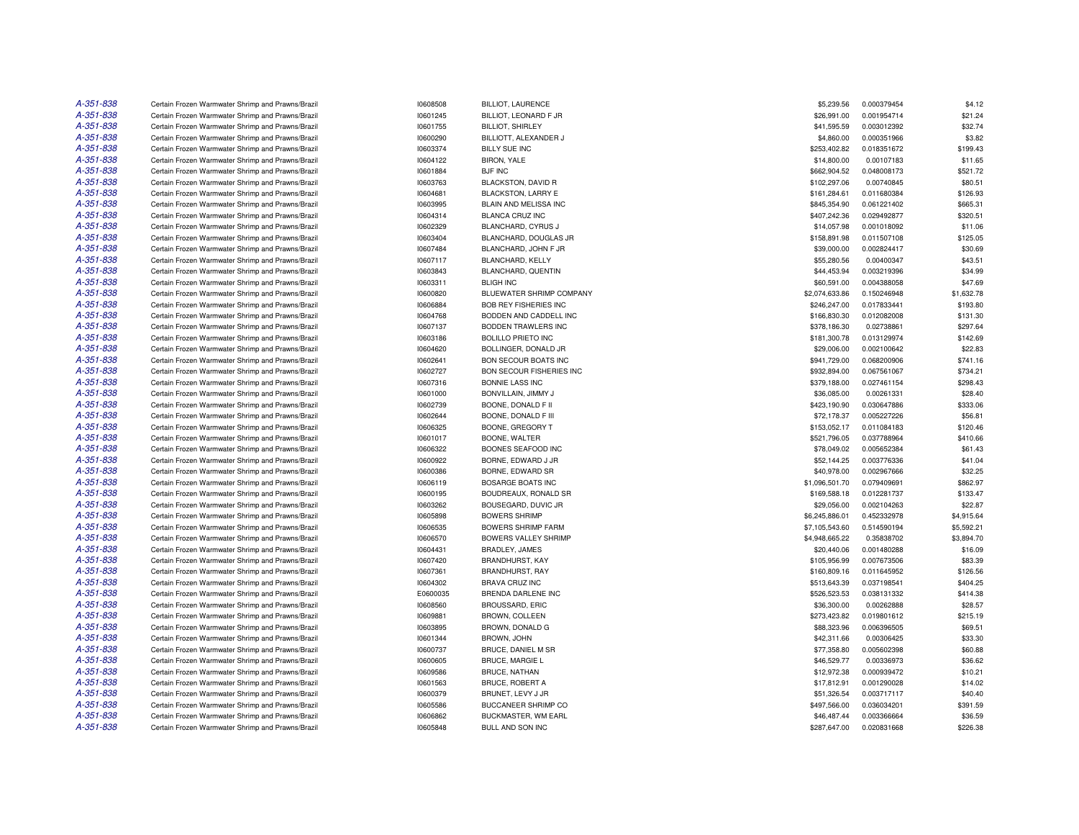| A-351-838 | Certain Frozen Warmwater Shrimp and Prawns/Brazil                                                      | 10608508 | <b>BILLIOT, LAURENCE</b>     | \$5,239.56     | 0.000379454                | \$4.12     |
|-----------|--------------------------------------------------------------------------------------------------------|----------|------------------------------|----------------|----------------------------|------------|
| A-351-838 | Certain Frozen Warmwater Shrimp and Prawns/Brazil                                                      | 10601245 | BILLIOT, LEONARD F JR        | \$26,991.00    | 0.001954714                | \$21.24    |
| A-351-838 | Certain Frozen Warmwater Shrimp and Prawns/Brazil                                                      | 10601755 | <b>BILLIOT, SHIRLEY</b>      | \$41,595.59    | 0.003012392                | \$32.74    |
| A-351-838 | Certain Frozen Warmwater Shrimp and Prawns/Brazil                                                      | 10600290 | BILLIOTT, ALEXANDER J        | \$4,860.00     | 0.000351966                | \$3.82     |
| A-351-838 | Certain Frozen Warmwater Shrimp and Prawns/Brazil                                                      | 10603374 | <b>BILLY SUE INC</b>         | \$253,402.82   | 0.018351672                | \$199.43   |
| A-351-838 | Certain Frozen Warmwater Shrimp and Prawns/Brazil                                                      | 10604122 | <b>BIRON, YALE</b>           | \$14,800.00    | 0.00107183                 | \$11.65    |
| A-351-838 | Certain Frozen Warmwater Shrimp and Prawns/Brazil                                                      | 10601884 | <b>BJF INC</b>               | \$662,904.52   | 0.048008173                | \$521.72   |
| A-351-838 | Certain Frozen Warmwater Shrimp and Prawns/Brazil                                                      | 10603763 | BLACKSTON, DAVID R           | \$102,297.06   | 0.00740845                 | \$80.51    |
| A-351-838 | Certain Frozen Warmwater Shrimp and Prawns/Brazil                                                      | 10604681 | <b>BLACKSTON, LARRY E</b>    | \$161,284.61   | 0.011680384                | \$126.93   |
| A-351-838 | Certain Frozen Warmwater Shrimp and Prawns/Brazil                                                      | 10603995 | BLAIN AND MELISSA INC        | \$845,354.90   | 0.061221402                | \$665.31   |
| A-351-838 | Certain Frozen Warmwater Shrimp and Prawns/Brazil                                                      | 10604314 | BLANCA CRUZ INC              | \$407,242.36   | 0.029492877                | \$320.51   |
| A-351-838 | Certain Frozen Warmwater Shrimp and Prawns/Brazil                                                      | 10602329 | BLANCHARD, CYRUS J           | \$14,057.98    | 0.001018092                | \$11.06    |
| A-351-838 | Certain Frozen Warmwater Shrimp and Prawns/Brazil                                                      | 10603404 | BLANCHARD, DOUGLAS JR        | \$158,891.98   | 0.011507108                | \$125.05   |
| A-351-838 | Certain Frozen Warmwater Shrimp and Prawns/Brazil                                                      | 10607484 | BLANCHARD, JOHN F JR         | \$39,000.00    | 0.002824417                | \$30.69    |
| A-351-838 | Certain Frozen Warmwater Shrimp and Prawns/Brazil                                                      | 10607117 | BLANCHARD, KELLY             | \$55,280.56    | 0.00400347                 | \$43.51    |
| A-351-838 | Certain Frozen Warmwater Shrimp and Prawns/Brazil                                                      | 10603843 | BLANCHARD, QUENTIN           | \$44,453.94    | 0.003219396                | \$34.99    |
| A-351-838 | Certain Frozen Warmwater Shrimp and Prawns/Brazil                                                      | 10603311 | <b>BLIGH INC</b>             | \$60,591.00    | 0.004388058                | \$47.69    |
| A-351-838 | Certain Frozen Warmwater Shrimp and Prawns/Brazil                                                      | 10600820 | BLUEWATER SHRIMP COMPANY     | \$2,074,633.86 | 0.150246948                | \$1,632.78 |
| A-351-838 | Certain Frozen Warmwater Shrimp and Prawns/Brazil                                                      | 10606884 | <b>BOB REY FISHERIES INC</b> | \$246,247.00   | 0.017833441                | \$193.80   |
| A-351-838 | Certain Frozen Warmwater Shrimp and Prawns/Brazil                                                      | 10604768 | BODDEN AND CADDELL INC       | \$166,830.30   | 0.012082008                | \$131.30   |
| A-351-838 | Certain Frozen Warmwater Shrimp and Prawns/Brazil                                                      | 10607137 | BODDEN TRAWLERS INC          | \$378,186.30   | 0.02738861                 | \$297.64   |
| A-351-838 |                                                                                                        | 10603186 | <b>BOLILLO PRIETO INC</b>    | \$181,300.78   |                            | \$142.69   |
| A-351-838 | Certain Frozen Warmwater Shrimp and Prawns/Brazil<br>Certain Frozen Warmwater Shrimp and Prawns/Brazil | 10604620 | BOLLINGER, DONALD JR         | \$29,006.00    | 0.013129974<br>0.002100642 | \$22.83    |
| A-351-838 |                                                                                                        |          |                              |                |                            |            |
|           | Certain Frozen Warmwater Shrimp and Prawns/Brazil                                                      | 10602641 | BON SECOUR BOATS INC         | \$941,729.00   | 0.068200906                | \$741.16   |
| A-351-838 | Certain Frozen Warmwater Shrimp and Prawns/Brazil                                                      | 10602727 | BON SECOUR FISHERIES INC     | \$932,894.00   | 0.067561067                | \$734.21   |
| A-351-838 | Certain Frozen Warmwater Shrimp and Prawns/Brazil                                                      | 10607316 | <b>BONNIE LASS INC</b>       | \$379,188.00   | 0.027461154                | \$298.43   |
| A-351-838 | Certain Frozen Warmwater Shrimp and Prawns/Brazil                                                      | 10601000 | BONVILLAIN, JIMMY J          | \$36,085.00    | 0.00261331                 | \$28.40    |
| A-351-838 | Certain Frozen Warmwater Shrimp and Prawns/Brazil                                                      | 10602739 | BOONE, DONALD F II           | \$423,190.90   | 0.030647886                | \$333.06   |
| A-351-838 | Certain Frozen Warmwater Shrimp and Prawns/Brazil                                                      | 10602644 | BOONE, DONALD F III          | \$72,178.37    | 0.005227226                | \$56.81    |
| A-351-838 | Certain Frozen Warmwater Shrimp and Prawns/Brazil                                                      | 10606325 | BOONE, GREGORY T             | \$153,052.17   | 0.011084183                | \$120.46   |
| A-351-838 | Certain Frozen Warmwater Shrimp and Prawns/Brazil                                                      | 10601017 | BOONE, WALTER                | \$521,796.05   | 0.037788964                | \$410.66   |
| A-351-838 | Certain Frozen Warmwater Shrimp and Prawns/Brazil                                                      | 10606322 | BOONES SEAFOOD INC           | \$78,049.02    | 0.005652384                | \$61.43    |
| A-351-838 | Certain Frozen Warmwater Shrimp and Prawns/Brazil                                                      | 10600922 | BORNE, EDWARD J JR           | \$52,144.25    | 0.003776336                | \$41.04    |
| A-351-838 | Certain Frozen Warmwater Shrimp and Prawns/Brazil                                                      | 10600386 | BORNE, EDWARD SR             | \$40,978.00    | 0.002967666                | \$32.25    |
| A-351-838 | Certain Frozen Warmwater Shrimp and Prawns/Brazil                                                      | 10606119 | BOSARGE BOATS INC            | \$1,096,501.70 | 0.079409691                | \$862.97   |
| A-351-838 | Certain Frozen Warmwater Shrimp and Prawns/Brazil                                                      | 10600195 | BOUDREAUX, RONALD SR         | \$169,588.18   | 0.012281737                | \$133.47   |
| A-351-838 | Certain Frozen Warmwater Shrimp and Prawns/Brazil                                                      | 10603262 | BOUSEGARD, DUVIC JR          | \$29,056.00    | 0.002104263                | \$22.87    |
| A-351-838 | Certain Frozen Warmwater Shrimp and Prawns/Brazil                                                      | 10605898 | <b>BOWERS SHRIMP</b>         | \$6,245,886.01 | 0.452332978                | \$4,915.64 |
| A-351-838 | Certain Frozen Warmwater Shrimp and Prawns/Brazil                                                      | 10606535 | <b>BOWERS SHRIMP FARM</b>    | \$7,105,543.60 | 0.514590194                | \$5,592.21 |
| A-351-838 | Certain Frozen Warmwater Shrimp and Prawns/Brazil                                                      | 10606570 | <b>BOWERS VALLEY SHRIMP</b>  | \$4,948,665.22 | 0.35838702                 | \$3,894.70 |
| A-351-838 | Certain Frozen Warmwater Shrimp and Prawns/Brazil                                                      | 10604431 | BRADLEY, JAMES               | \$20,440.06    | 0.001480288                | \$16.09    |
| A-351-838 | Certain Frozen Warmwater Shrimp and Prawns/Brazil                                                      | 10607420 | BRANDHURST, KAY              | \$105,956.99   | 0.007673506                | \$83.39    |
| A-351-838 | Certain Frozen Warmwater Shrimp and Prawns/Brazil                                                      | 10607361 | BRANDHURST, RAY              | \$160,809.16   | 0.011645952                | \$126.56   |
| A-351-838 | Certain Frozen Warmwater Shrimp and Prawns/Brazil                                                      | 10604302 | <b>BRAVA CRUZ INC</b>        | \$513,643.39   | 0.037198541                | \$404.25   |
| A-351-838 | Certain Frozen Warmwater Shrimp and Prawns/Brazil                                                      | E0600035 | <b>BRENDA DARLENE INC</b>    | \$526,523.53   | 0.038131332                | \$414.38   |
| A-351-838 | Certain Frozen Warmwater Shrimp and Prawns/Brazil                                                      | 10608560 | BROUSSARD, ERIC              | \$36,300.00    | 0.00262888                 | \$28.57    |
| A-351-838 | Certain Frozen Warmwater Shrimp and Prawns/Brazil                                                      | 10609881 | BROWN, COLLEEN               | \$273,423.82   | 0.019801612                | \$215.19   |
| A-351-838 | Certain Frozen Warmwater Shrimp and Prawns/Brazil                                                      | 10603895 | BROWN, DONALD G              | \$88,323.96    | 0.006396505                | \$69.51    |
| A-351-838 | Certain Frozen Warmwater Shrimp and Prawns/Brazil                                                      | 10601344 | <b>BROWN, JOHN</b>           | \$42,311.66    | 0.00306425                 | \$33.30    |
| A-351-838 | Certain Frozen Warmwater Shrimp and Prawns/Brazil                                                      | 10600737 | BRUCE, DANIEL M SR           | \$77,358.80    | 0.005602398                | \$60.88    |
| A-351-838 | Certain Frozen Warmwater Shrimp and Prawns/Brazil                                                      | 10600605 | <b>BRUCE, MARGIE L</b>       | \$46,529.77    | 0.00336973                 | \$36.62    |
| A-351-838 | Certain Frozen Warmwater Shrimp and Prawns/Brazil                                                      | 10609586 | <b>BRUCE, NATHAN</b>         | \$12,972.38    | 0.000939472                | \$10.21    |
| A-351-838 | Certain Frozen Warmwater Shrimp and Prawns/Brazil                                                      | 10601563 | BRUCE, ROBERT A              | \$17,812.91    | 0.001290028                | \$14.02    |
| A-351-838 | Certain Frozen Warmwater Shrimp and Prawns/Brazil                                                      | 10600379 | BRUNET, LEVY J JR            | \$51,326.54    | 0.003717117                | \$40.40    |
| A-351-838 | Certain Frozen Warmwater Shrimp and Prawns/Brazil                                                      | 10605586 | BUCCANEER SHRIMP CO          | \$497,566.00   | 0.036034201                | \$391.59   |
| A-351-838 | Certain Frozen Warmwater Shrimp and Prawns/Brazil                                                      | 10606862 | <b>BUCKMASTER, WM EARL</b>   | \$46,487.44    | 0.003366664                | \$36.59    |
| A-351-838 | Certain Frozen Warmwater Shrimp and Prawns/Brazil                                                      | 10605848 | BULL AND SON INC             | \$287,647.00   | 0.020831668                | \$226.38   |
|           |                                                                                                        |          |                              |                |                            |            |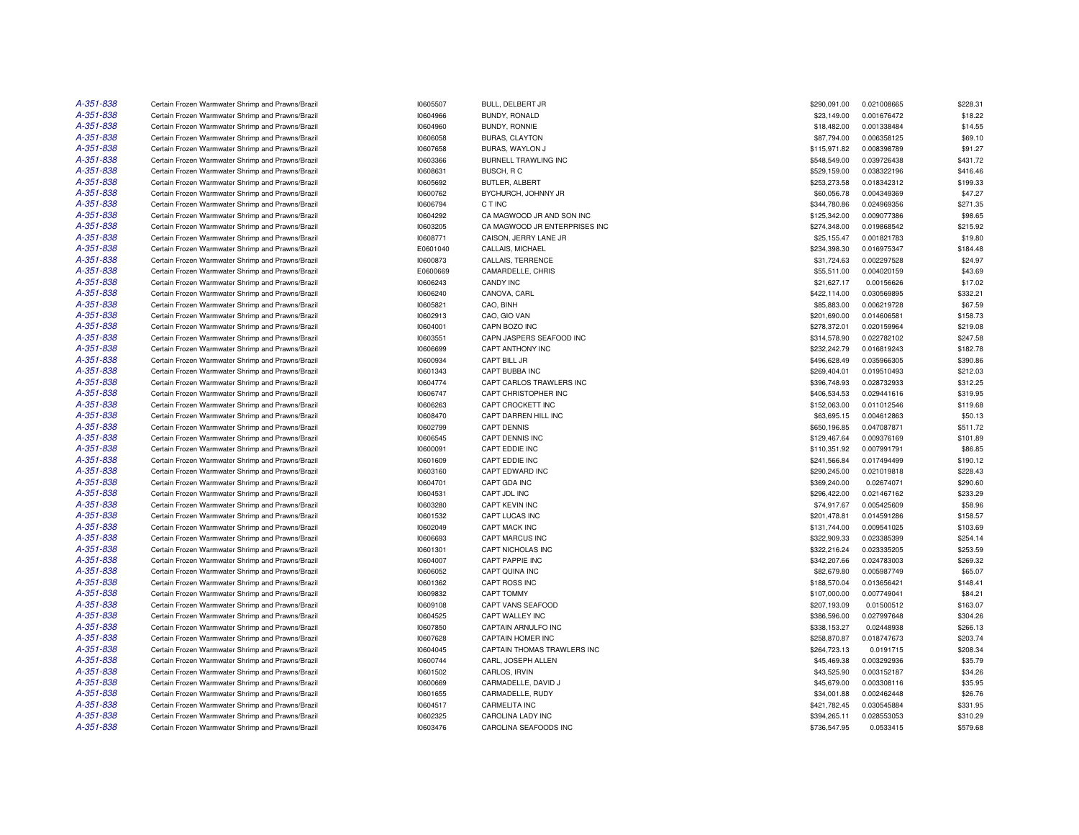| A-351-838 | Certain Frozen Warmwater Shrimp and Prawns/Brazil | 10605507             | BULL, DELBERT JR              | \$290,091.00                 | 0.021008665 | \$228.31 |
|-----------|---------------------------------------------------|----------------------|-------------------------------|------------------------------|-------------|----------|
| A-351-838 | Certain Frozen Warmwater Shrimp and Prawns/Brazil | 10604966             | BUNDY, RONALD                 | \$23,149.00                  | 0.001676472 | \$18.22  |
| A-351-838 | Certain Frozen Warmwater Shrimp and Prawns/Brazil | 10604960             | BUNDY, RONNIE                 | \$18,482.00                  | 0.001338484 | \$14.55  |
| A-351-838 | Certain Frozen Warmwater Shrimp and Prawns/Brazil | 10606058             | <b>BURAS, CLAYTON</b>         | \$87,794.00                  | 0.006358125 | \$69.10  |
| A-351-838 | Certain Frozen Warmwater Shrimp and Prawns/Brazil | 10607658             | BURAS, WAYLON J               | \$115,971.82                 | 0.008398789 | \$91.27  |
| A-351-838 | Certain Frozen Warmwater Shrimp and Prawns/Brazil | 10603366             | BURNELL TRAWLING INC          | \$548,549.00                 | 0.039726438 | \$431.72 |
| A-351-838 | Certain Frozen Warmwater Shrimp and Prawns/Brazil | 10608631             | BUSCH, RC                     | \$529,159.00                 | 0.038322196 | \$416.46 |
| A-351-838 | Certain Frozen Warmwater Shrimp and Prawns/Brazil | 10605692             | BUTLER, ALBERT                | \$253,273.58                 | 0.018342312 | \$199.33 |
| A-351-838 | Certain Frozen Warmwater Shrimp and Prawns/Brazil | 10600762             | BYCHURCH, JOHNNY JR           | \$60,056.78                  | 0.004349369 | \$47.27  |
| A-351-838 | Certain Frozen Warmwater Shrimp and Prawns/Brazil | 10606794             | C T INC                       | \$344,780.86                 | 0.024969356 | \$271.35 |
| A-351-838 | Certain Frozen Warmwater Shrimp and Prawns/Brazil | 10604292             | CA MAGWOOD JR AND SON INC     | \$125,342.00                 | 0.009077386 | \$98.65  |
| A-351-838 | Certain Frozen Warmwater Shrimp and Prawns/Brazil | 10603205             | CA MAGWOOD JR ENTERPRISES INC | \$274,348.00                 | 0.019868542 | \$215.92 |
| A-351-838 | Certain Frozen Warmwater Shrimp and Prawns/Brazil | 10608771             | CAISON, JERRY LANE JR         | \$25,155.47                  | 0.001821783 | \$19.80  |
| A-351-838 | Certain Frozen Warmwater Shrimp and Prawns/Brazil | E0601040             | CALLAIS, MICHAEL              | \$234,398.30                 | 0.016975347 | \$184.48 |
| A-351-838 | Certain Frozen Warmwater Shrimp and Prawns/Brazil | 10600873             | CALLAIS, TERRENCE             | \$31,724.63                  | 0.002297528 | \$24.97  |
| A-351-838 | Certain Frozen Warmwater Shrimp and Prawns/Brazil | E0600669             | CAMARDELLE, CHRIS             | \$55,511.00                  | 0.004020159 | \$43.69  |
| A-351-838 | Certain Frozen Warmwater Shrimp and Prawns/Brazil | 10606243             | CANDY INC                     | \$21,627.17                  | 0.00156626  | \$17.02  |
| A-351-838 |                                                   |                      |                               |                              |             | \$332.21 |
| A-351-838 | Certain Frozen Warmwater Shrimp and Prawns/Brazil | 10606240             | CANOVA, CARL                  | \$422,114.00                 | 0.030569895 |          |
|           | Certain Frozen Warmwater Shrimp and Prawns/Brazil | 10605821             | CAO, BINH                     | \$85,883.00                  | 0.006219728 | \$67.59  |
| A-351-838 | Certain Frozen Warmwater Shrimp and Prawns/Brazil | 10602913             | CAO, GIO VAN                  | \$201,690.00                 | 0.014606581 | \$158.73 |
| A-351-838 | Certain Frozen Warmwater Shrimp and Prawns/Brazil | 10604001             | CAPN BOZO INC                 | \$278,372.01                 | 0.020159964 | \$219.08 |
| A-351-838 | Certain Frozen Warmwater Shrimp and Prawns/Brazil | 10603551             | CAPN JASPERS SEAFOOD INC      | \$314,578.90                 | 0.022782102 | \$247.58 |
| A-351-838 | Certain Frozen Warmwater Shrimp and Prawns/Brazil | 10606699             | CAPT ANTHONY INC              | \$232,242.79                 | 0.016819243 | \$182.78 |
| A-351-838 | Certain Frozen Warmwater Shrimp and Prawns/Brazil | 10600934             | CAPT BILL JR                  | \$496,628.49                 | 0.035966305 | \$390.86 |
| A-351-838 | Certain Frozen Warmwater Shrimp and Prawns/Brazil | 10601343             | CAPT BUBBA INC                | \$269,404.01                 | 0.019510493 | \$212.03 |
| A-351-838 | Certain Frozen Warmwater Shrimp and Prawns/Brazil | 10604774             | CAPT CARLOS TRAWLERS INC      | \$396,748.93                 | 0.028732933 | \$312.25 |
| A-351-838 | Certain Frozen Warmwater Shrimp and Prawns/Brazil | 10606747             | CAPT CHRISTOPHER INC          | \$406,534.53                 | 0.029441616 | \$319.95 |
| A-351-838 | Certain Frozen Warmwater Shrimp and Prawns/Brazil | 10606263             | CAPT CROCKETT INC             | \$152,063.00                 | 0.011012546 | \$119.68 |
| A-351-838 | Certain Frozen Warmwater Shrimp and Prawns/Brazil | 10608470             | CAPT DARREN HILL INC          | \$63,695.15                  | 0.004612863 | \$50.13  |
| A-351-838 | Certain Frozen Warmwater Shrimp and Prawns/Brazil | 10602799             | <b>CAPT DENNIS</b>            | \$650,196.85                 | 0.047087871 | \$511.72 |
| A-351-838 | Certain Frozen Warmwater Shrimp and Prawns/Brazil | 10606545             | CAPT DENNIS INC               | \$129,467.64                 | 0.009376169 | \$101.89 |
| A-351-838 | Certain Frozen Warmwater Shrimp and Prawns/Brazil | 10600091             | CAPT EDDIE INC                | \$110,351.92                 | 0.007991791 | \$86.85  |
| A-351-838 | Certain Frozen Warmwater Shrimp and Prawns/Brazil | 10601609             | CAPT EDDIE INC                | \$241,566.84                 | 0.017494499 | \$190.12 |
| A-351-838 | Certain Frozen Warmwater Shrimp and Prawns/Brazil | 10603160             | CAPT EDWARD INC               | \$290,245.00                 | 0.021019818 | \$228.43 |
| A-351-838 | Certain Frozen Warmwater Shrimp and Prawns/Brazil | 10604701             | CAPT GDA INC                  | \$369,240.00                 | 0.02674071  | \$290.60 |
| A-351-838 | Certain Frozen Warmwater Shrimp and Prawns/Brazil | 10604531             | CAPT JDL INC                  | \$296,422.00                 | 0.021467162 | \$233.29 |
| A-351-838 | Certain Frozen Warmwater Shrimp and Prawns/Brazil | 10603280             | CAPT KEVIN INC                | \$74,917.67                  | 0.005425609 | \$58.96  |
| A-351-838 | Certain Frozen Warmwater Shrimp and Prawns/Brazil | 10601532             | CAPT LUCAS INC                | \$201,478.81                 | 0.014591286 | \$158.57 |
| A-351-838 | Certain Frozen Warmwater Shrimp and Prawns/Brazil | 10602049             | CAPT MACK INC                 | \$131,744.00                 | 0.009541025 | \$103.69 |
| A-351-838 | Certain Frozen Warmwater Shrimp and Prawns/Brazil | 10606693             | <b>CAPT MARCUS INC</b>        | \$322,909.33                 | 0.023385399 | \$254.14 |
| A-351-838 | Certain Frozen Warmwater Shrimp and Prawns/Brazil | 10601301             | CAPT NICHOLAS INC             | \$322,216.24                 | 0.023335205 | \$253.59 |
| A-351-838 | Certain Frozen Warmwater Shrimp and Prawns/Brazil | 10604007             | CAPT PAPPIE INC               | \$342,207.66                 | 0.024783003 | \$269.32 |
| A-351-838 | Certain Frozen Warmwater Shrimp and Prawns/Brazil | 10606052             | CAPT QUINA INC                | \$82,679.80                  | 0.005987749 | \$65.07  |
| A-351-838 | Certain Frozen Warmwater Shrimp and Prawns/Brazil | 10601362             | CAPT ROSS INC                 | \$188,570.04                 | 0.013656421 | \$148.41 |
| A-351-838 | Certain Frozen Warmwater Shrimp and Prawns/Brazil | 10609832             | <b>CAPT TOMMY</b>             | \$107,000.00                 | 0.007749041 | \$84.21  |
| A-351-838 | Certain Frozen Warmwater Shrimp and Prawns/Brazil | 10609108             | CAPT VANS SEAFOOD             | \$207,193.09                 | 0.01500512  | \$163.07 |
| A-351-838 | Certain Frozen Warmwater Shrimp and Prawns/Brazil | 10604525             | CAPT WALLEY INC               | \$386,596.00                 | 0.027997648 | \$304.26 |
| A-351-838 | Certain Frozen Warmwater Shrimp and Prawns/Brazil | 10607850             | CAPTAIN ARNULFO INC           | \$338,153.27                 | 0.02448938  | \$266.13 |
| A-351-838 | Certain Frozen Warmwater Shrimp and Prawns/Brazil | 10607628             | CAPTAIN HOMER INC             | \$258,870.87                 | 0.018747673 | \$203.74 |
| A-351-838 | Certain Frozen Warmwater Shrimp and Prawns/Brazil | 10604045             | CAPTAIN THOMAS TRAWLERS INC   | \$264,723.13                 | 0.0191715   | \$208.34 |
| A-351-838 | Certain Frozen Warmwater Shrimp and Prawns/Brazil | 10600744             | CARL, JOSEPH ALLEN            | \$45,469.38                  | 0.003292936 | \$35.79  |
| A-351-838 | Certain Frozen Warmwater Shrimp and Prawns/Brazil | 10601502             | CARLOS, IRVIN                 | \$43,525.90                  | 0.003152187 | \$34.26  |
| A-351-838 | Certain Frozen Warmwater Shrimp and Prawns/Brazil | 10600669             | CARMADELLE, DAVID J           | \$45,679.00                  | 0.003308116 | \$35.95  |
| A-351-838 | Certain Frozen Warmwater Shrimp and Prawns/Brazil | 10601655             | CARMADELLE, RUDY              | \$34,001.88                  | 0.002462448 | \$26.76  |
| A-351-838 | Certain Frozen Warmwater Shrimp and Prawns/Brazil |                      | CARMELITA INC                 |                              | 0.030545884 | \$331.95 |
| A-351-838 | Certain Frozen Warmwater Shrimp and Prawns/Brazil | 10604517<br>10602325 | <b>CAROLINA LADY INC</b>      | \$421,782.45<br>\$394.265.11 | 0.028553053 | \$310.29 |
| A-351-838 | Certain Frozen Warmwater Shrimp and Prawns/Brazil |                      |                               |                              |             |          |
|           |                                                   | 10603476             | CAROLINA SEAFOODS INC         | \$736,547.95                 | 0.0533415   | \$579.68 |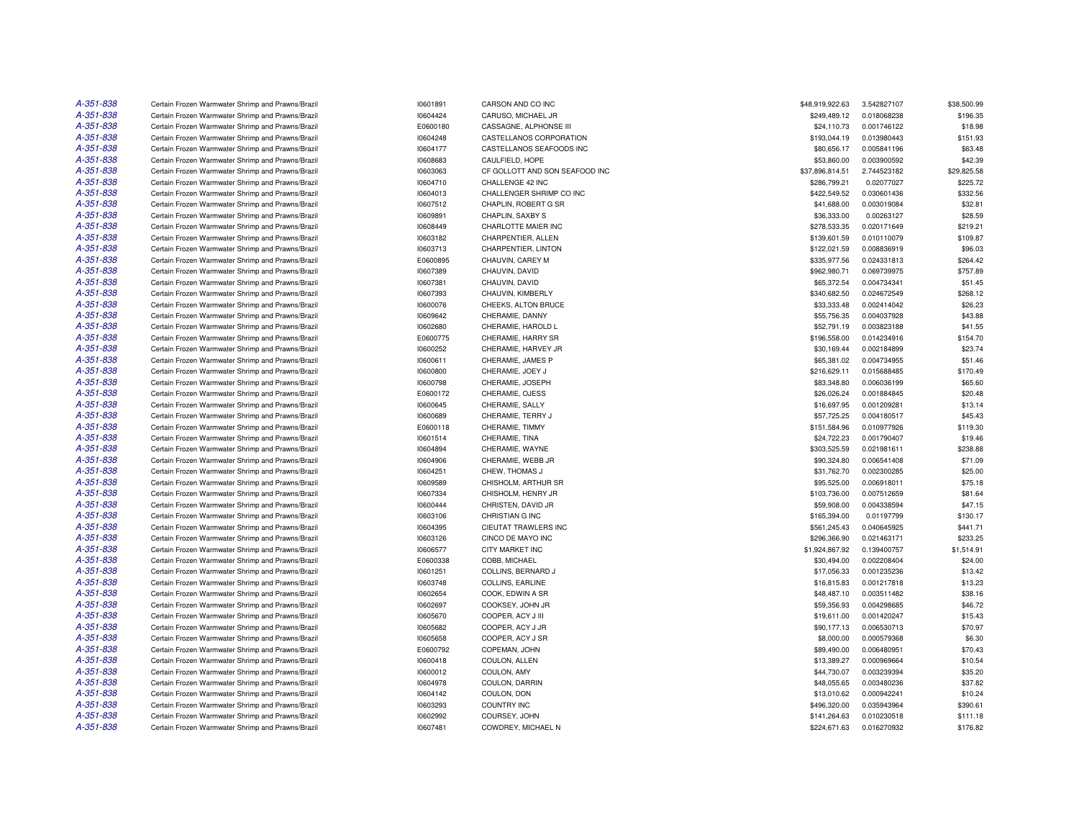| A-351-838 | Certain Frozen Warmwater Shrimp and Prawns/Brazil                                                      | 10601891 | CARSON AND CO INC              | \$48,919,922.63 | 3.542827107 | \$38,500.99 |
|-----------|--------------------------------------------------------------------------------------------------------|----------|--------------------------------|-----------------|-------------|-------------|
| A-351-838 | Certain Frozen Warmwater Shrimp and Prawns/Brazil                                                      | 10604424 | CARUSO, MICHAEL JR             | \$249,489.12    | 0.018068238 | \$196.35    |
| A-351-838 | Certain Frozen Warmwater Shrimp and Prawns/Brazil                                                      | E0600180 | CASSAGNE, ALPHONSE III         | \$24,110.73     | 0.001746122 | \$18.98     |
| A-351-838 | Certain Frozen Warmwater Shrimp and Prawns/Brazil                                                      | 10604248 | CASTELLANOS CORPORATION        | \$193,044.19    | 0.013980443 | \$151.93    |
| A-351-838 | Certain Frozen Warmwater Shrimp and Prawns/Brazil                                                      | 10604177 | CASTELLANOS SEAFOODS INC       | \$80,656.17     | 0.005841196 | \$63.48     |
| A-351-838 | Certain Frozen Warmwater Shrimp and Prawns/Brazil                                                      | 10608683 | CAULFIELD, HOPE                | \$53,860.00     | 0.003900592 | \$42.39     |
| A-351-838 | Certain Frozen Warmwater Shrimp and Prawns/Brazil                                                      | 10603063 | CF GOLLOTT AND SON SEAFOOD INC | \$37,896,814.51 | 2.744523182 | \$29,825.58 |
| A-351-838 | Certain Frozen Warmwater Shrimp and Prawns/Brazil                                                      | 10604710 | CHALLENGE 42 INC               | \$286,799.21    | 0.02077027  | \$225.72    |
| A-351-838 | Certain Frozen Warmwater Shrimp and Prawns/Brazil                                                      | 10604013 | CHALLENGER SHRIMP CO INC       | \$422,549.52    | 0.030601436 | \$332.56    |
| A-351-838 |                                                                                                        | 10607512 | CHAPLIN, ROBERT G SR           |                 | 0.003019084 | \$32.81     |
| A-351-838 | Certain Frozen Warmwater Shrimp and Prawns/Brazil                                                      |          |                                | \$41,688.00     |             |             |
|           | Certain Frozen Warmwater Shrimp and Prawns/Brazil                                                      | 10609891 | CHAPLIN, SAXBY S               | \$36,333.00     | 0.00263127  | \$28.59     |
| A-351-838 | Certain Frozen Warmwater Shrimp and Prawns/Brazil                                                      | 10608449 | CHARLOTTE MAIER INC            | \$278,533.35    | 0.020171649 | \$219.21    |
| A-351-838 | Certain Frozen Warmwater Shrimp and Prawns/Brazil                                                      | 10603182 | CHARPENTIER, ALLEN             | \$139,601.59    | 0.010110079 | \$109.87    |
| A-351-838 | Certain Frozen Warmwater Shrimp and Prawns/Brazil                                                      | 10603713 | CHARPENTIER, LINTON            | \$122,021.59    | 0.008836919 | \$96.03     |
| A-351-838 | Certain Frozen Warmwater Shrimp and Prawns/Brazil                                                      | E0600895 | CHAUVIN, CAREY M               | \$335,977.56    | 0.024331813 | \$264.42    |
| A-351-838 | Certain Frozen Warmwater Shrimp and Prawns/Brazil                                                      | 10607389 | CHAUVIN, DAVID                 | \$962,980.71    | 0.069739975 | \$757.89    |
| A-351-838 | Certain Frozen Warmwater Shrimp and Prawns/Brazil                                                      | 10607381 | CHAUVIN, DAVID                 | \$65,372.54     | 0.004734341 | \$51.45     |
| A-351-838 | Certain Frozen Warmwater Shrimp and Prawns/Brazil                                                      | 10607393 | CHAUVIN, KIMBERLY              | \$340,682.50    | 0.024672549 | \$268.12    |
| A-351-838 | Certain Frozen Warmwater Shrimp and Prawns/Brazil                                                      | 10600076 | CHEEKS, ALTON BRUCE            | \$33,333.48     | 0.002414042 | \$26.23     |
| A-351-838 | Certain Frozen Warmwater Shrimp and Prawns/Brazil                                                      | 10609642 | CHERAMIE, DANNY                | \$55,756.35     | 0.004037928 | \$43.88     |
| A-351-838 | Certain Frozen Warmwater Shrimp and Prawns/Brazil                                                      | 10602680 | CHERAMIE, HAROLD L             | \$52,791.19     | 0.003823188 | \$41.55     |
| A-351-838 | Certain Frozen Warmwater Shrimp and Prawns/Brazil                                                      | E0600775 | CHERAMIE, HARRY SR             | \$196,558.00    | 0.014234916 | \$154.70    |
| A-351-838 | Certain Frozen Warmwater Shrimp and Prawns/Brazil                                                      | 10600252 | CHERAMIE, HARVEY JR            | \$30,169.44     | 0.002184899 | \$23.74     |
| A-351-838 | Certain Frozen Warmwater Shrimp and Prawns/Brazil                                                      | 10600611 | CHERAMIE, JAMES P              | \$65,381.02     | 0.004734955 | \$51.46     |
| A-351-838 | Certain Frozen Warmwater Shrimp and Prawns/Brazil                                                      | 10600800 | CHERAMIE, JOEY J               | \$216,629.11    | 0.015688485 | \$170.49    |
| A-351-838 | Certain Frozen Warmwater Shrimp and Prawns/Brazil                                                      | 10600798 | CHERAMIE, JOSEPH               | \$83,348.80     | 0.006036199 | \$65.60     |
| A-351-838 | Certain Frozen Warmwater Shrimp and Prawns/Brazil                                                      | E0600172 | CHERAMIE, OJESS                | \$26,026.24     | 0.001884845 | \$20.48     |
| A-351-838 | Certain Frozen Warmwater Shrimp and Prawns/Brazil                                                      | 10600645 | CHERAMIE, SALLY                | \$16,697.95     | 0.001209281 | \$13.14     |
| A-351-838 | Certain Frozen Warmwater Shrimp and Prawns/Brazil                                                      | 10600689 | CHERAMIE, TERRY J              | \$57,725.25     | 0.004180517 | \$45.43     |
| A-351-838 | Certain Frozen Warmwater Shrimp and Prawns/Brazil                                                      | E0600118 | CHERAMIE, TIMMY                | \$151,584.96    | 0.010977926 | \$119.30    |
| A-351-838 | Certain Frozen Warmwater Shrimp and Prawns/Brazil                                                      | 10601514 | CHERAMIE, TINA                 | \$24,722.23     | 0.001790407 | \$19.46     |
| A-351-838 | Certain Frozen Warmwater Shrimp and Prawns/Brazil                                                      | 10604894 | CHERAMIE, WAYNE                | \$303,525.59    | 0.021981611 | \$238.88    |
| A-351-838 | Certain Frozen Warmwater Shrimp and Prawns/Brazil                                                      | 10604906 | CHERAMIE, WEBB JR              | \$90,324.80     | 0.006541408 | \$71.09     |
| A-351-838 | Certain Frozen Warmwater Shrimp and Prawns/Brazil                                                      | 10604251 | CHEW. THOMAS J                 | \$31,762.70     | 0.002300285 | \$25.00     |
| A-351-838 | Certain Frozen Warmwater Shrimp and Prawns/Brazil                                                      | 10609589 | CHISHOLM, ARTHUR SR            | \$95,525.00     | 0.006918011 | \$75.18     |
| A-351-838 | Certain Frozen Warmwater Shrimp and Prawns/Brazil                                                      | 10607334 | CHISHOLM, HENRY JR             | \$103,736.00    | 0.007512659 | \$81.64     |
| A-351-838 | Certain Frozen Warmwater Shrimp and Prawns/Brazil                                                      | 10600444 | CHRISTEN, DAVID JR             | \$59,908.00     | 0.004338594 | \$47.15     |
| A-351-838 |                                                                                                        | 10603106 | CHRISTIAN G INC                | \$165,394.00    | 0.01197799  | \$130.17    |
| A-351-838 | Certain Frozen Warmwater Shrimp and Prawns/Brazil<br>Certain Frozen Warmwater Shrimp and Prawns/Brazil | 10604395 | CIEUTAT TRAWLERS INC           | \$561,245.43    | 0.040645925 | \$441.71    |
| A-351-838 |                                                                                                        |          |                                |                 |             |             |
| A-351-838 | Certain Frozen Warmwater Shrimp and Prawns/Brazil                                                      | 10603126 | CINCO DE MAYO INC              | \$296,366.90    | 0.021463171 | \$233.25    |
|           | Certain Frozen Warmwater Shrimp and Prawns/Brazil                                                      | 10606577 | CITY MARKET INC                | \$1,924,867.92  | 0.139400757 | \$1,514.91  |
| A-351-838 | Certain Frozen Warmwater Shrimp and Prawns/Brazil                                                      | E0600338 | COBB, MICHAEL                  | \$30,494.00     | 0.002208404 | \$24.00     |
| A-351-838 | Certain Frozen Warmwater Shrimp and Prawns/Brazil                                                      | 10601251 | COLLINS, BERNARD J             | \$17.056.33     | 0.001235236 | \$13.42     |
| A-351-838 | Certain Frozen Warmwater Shrimp and Prawns/Brazil                                                      | 10603748 | COLLINS, EARLINE               | \$16,815.83     | 0.001217818 | \$13.23     |
| A-351-838 | Certain Frozen Warmwater Shrimp and Prawns/Brazil                                                      | 10602654 | COOK, EDWIN A SR               | \$48,487.10     | 0.003511482 | \$38.16     |
| A-351-838 | Certain Frozen Warmwater Shrimp and Prawns/Brazil                                                      | 10602697 | COOKSEY, JOHN JR               | \$59,356.93     | 0.004298685 | \$46.72     |
| A-351-838 | Certain Frozen Warmwater Shrimp and Prawns/Brazil                                                      | 10605670 | COOPER, ACY J III              | \$19,611.00     | 0.001420247 | \$15.43     |
| A-351-838 | Certain Frozen Warmwater Shrimp and Prawns/Brazil                                                      | 10605682 | COOPER, ACY J JR               | \$90,177.13     | 0.006530713 | \$70.97     |
| A-351-838 | Certain Frozen Warmwater Shrimp and Prawns/Brazil                                                      | 10605658 | COOPER, ACY J SR               | \$8,000.00      | 0.000579368 | \$6.30      |
| A-351-838 | Certain Frozen Warmwater Shrimp and Prawns/Brazil                                                      | E0600792 | COPEMAN, JOHN                  | \$89,490.00     | 0.006480951 | \$70.43     |
| A-351-838 | Certain Frozen Warmwater Shrimp and Prawns/Brazil                                                      | 10600418 | COULON, ALLEN                  | \$13,389.27     | 0.000969664 | \$10.54     |
| A-351-838 | Certain Frozen Warmwater Shrimp and Prawns/Brazil                                                      | 10600012 | COULON, AMY                    | \$44,730.07     | 0.003239394 | \$35.20     |
| A-351-838 | Certain Frozen Warmwater Shrimp and Prawns/Brazil                                                      | 10604978 | COULON, DARRIN                 | \$48,055.65     | 0.003480236 | \$37.82     |
| A-351-838 | Certain Frozen Warmwater Shrimp and Prawns/Brazil                                                      | 10604142 | COULON, DON                    | \$13,010.62     | 0.000942241 | \$10.24     |
| A-351-838 | Certain Frozen Warmwater Shrimp and Prawns/Brazil                                                      | 10603293 | <b>COUNTRY INC</b>             | \$496,320.00    | 0.035943964 | \$390.61    |
| A-351-838 | Certain Frozen Warmwater Shrimp and Prawns/Brazil                                                      | 10602992 | COURSEY, JOHN                  | \$141,264.63    | 0.010230518 | \$111.18    |
| A-351-838 | Certain Frozen Warmwater Shrimp and Prawns/Brazil                                                      | 10607481 | COWDREY, MICHAEL N             | \$224,671.63    | 0.016270932 | \$176.82    |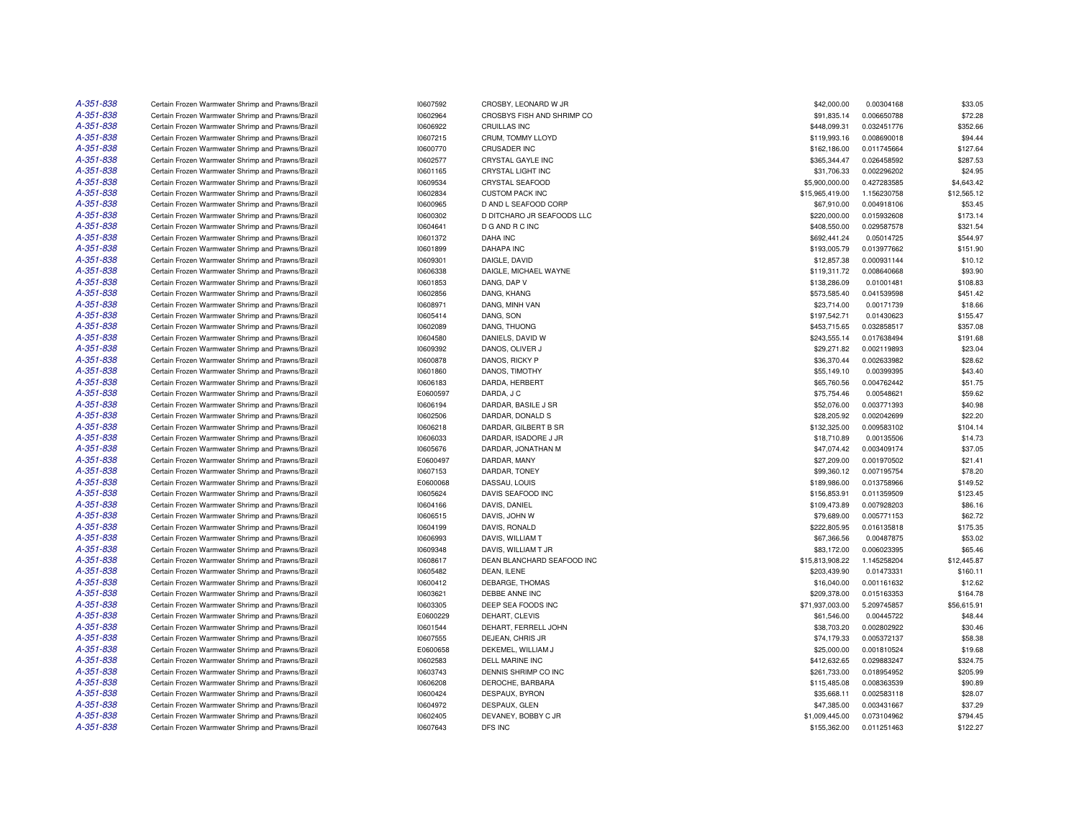| A-351-838 | Certain Frozen Warmwater Shrimp and Prawns/Brazil                                                      | 10607592             | CROSBY, LEONARD W JR                 | \$42,000.00                   | 0.00304168                 | \$33.05             |
|-----------|--------------------------------------------------------------------------------------------------------|----------------------|--------------------------------------|-------------------------------|----------------------------|---------------------|
| A-351-838 | Certain Frozen Warmwater Shrimp and Prawns/Brazil                                                      | 10602964             | CROSBYS FISH AND SHRIMP CO           | \$91,835.14                   | 0.006650788                | \$72.28             |
| A-351-838 | Certain Frozen Warmwater Shrimp and Prawns/Brazil                                                      | 10606922             | <b>CRUILLAS INC</b>                  | \$448,099.31                  | 0.032451776                | \$352.66            |
| A-351-838 | Certain Frozen Warmwater Shrimp and Prawns/Brazil                                                      | 10607215             | CRUM, TOMMY LLOYD                    | \$119,993.16                  | 0.008690018                | \$94.44             |
| A-351-838 | Certain Frozen Warmwater Shrimp and Prawns/Brazil                                                      | 10600770             | <b>CRUSADER INC</b>                  | \$162,186.00                  | 0.011745664                | \$127.64            |
| A-351-838 | Certain Frozen Warmwater Shrimp and Prawns/Brazil                                                      | 10602577             | CRYSTAL GAYLE INC                    | \$365,344.47                  | 0.026458592                | \$287.53            |
| A-351-838 | Certain Frozen Warmwater Shrimp and Prawns/Brazil                                                      | 10601165             | CRYSTAL LIGHT INC                    | \$31,706.33                   | 0.002296202                | \$24.95             |
| A-351-838 | Certain Frozen Warmwater Shrimp and Prawns/Brazil                                                      | 10609534             | <b>CRYSTAL SEAFOOD</b>               | \$5,900,000.00                | 0.427283585                | \$4,643.42          |
| A-351-838 | Certain Frozen Warmwater Shrimp and Prawns/Brazil                                                      | 10602834             | <b>CUSTOM PACK INC</b>               | \$15,965,419.00               | 1.156230758                | \$12,565.12         |
| A-351-838 | Certain Frozen Warmwater Shrimp and Prawns/Brazil                                                      | 10600965             | D AND L SEAFOOD CORP                 | \$67,910.00                   | 0.004918106                | \$53.45             |
| A-351-838 | Certain Frozen Warmwater Shrimp and Prawns/Brazil                                                      | 10600302             | D DITCHARO JR SEAFOODS LLC           | \$220,000.00                  | 0.015932608                | \$173.14            |
| A-351-838 | Certain Frozen Warmwater Shrimp and Prawns/Brazil                                                      | 10604641             | D G AND R C INC                      | \$408,550.00                  | 0.029587578                | \$321.54            |
| A-351-838 | Certain Frozen Warmwater Shrimp and Prawns/Brazil                                                      | 10601372             | <b>DAHA INC</b>                      | \$692,441.24                  | 0.05014725                 | \$544.97            |
| A-351-838 | Certain Frozen Warmwater Shrimp and Prawns/Brazil                                                      | 10601899             | <b>DAHAPA INC</b>                    | \$193,005.79                  | 0.013977662                | \$151.90            |
| A-351-838 | Certain Frozen Warmwater Shrimp and Prawns/Brazil                                                      | 10609301             | DAIGLE, DAVID                        | \$12,857.38                   | 0.000931144                | \$10.12             |
| A-351-838 | Certain Frozen Warmwater Shrimp and Prawns/Brazil                                                      | 10606338             | DAIGLE, MICHAEL WAYNE                | \$119,311.72                  | 0.008640668                | \$93.90             |
| A-351-838 | Certain Frozen Warmwater Shrimp and Prawns/Brazil                                                      | 10601853             | DANG, DAP V                          | \$138,286.09                  | 0.01001481                 | \$108.83            |
| A-351-838 | Certain Frozen Warmwater Shrimp and Prawns/Brazil                                                      | 10602856             | DANG, KHANG                          | \$573,585.40                  | 0.041539598                | \$451.42            |
| A-351-838 | Certain Frozen Warmwater Shrimp and Prawns/Brazil                                                      | 10608971             | DANG, MINH VAN                       | \$23,714.00                   | 0.00171739                 | \$18.66             |
| A-351-838 |                                                                                                        |                      |                                      |                               |                            |                     |
| A-351-838 | Certain Frozen Warmwater Shrimp and Prawns/Brazil                                                      | 10605414             | DANG, SON                            | \$197,542.71                  | 0.01430623                 | \$155.47            |
|           | Certain Frozen Warmwater Shrimp and Prawns/Brazil                                                      | 10602089             | DANG, THUONG                         | \$453,715.65                  | 0.032858517                | \$357.08            |
| A-351-838 | Certain Frozen Warmwater Shrimp and Prawns/Brazil                                                      | 10604580             | DANIELS, DAVID W                     | \$243,555.14                  | 0.017638494                | \$191.68            |
| A-351-838 | Certain Frozen Warmwater Shrimp and Prawns/Brazil                                                      | 10609392             | DANOS, OLIVER J                      | \$29,271.82                   | 0.002119893                | \$23.04             |
| A-351-838 | Certain Frozen Warmwater Shrimp and Prawns/Brazil                                                      | 10600878             | DANOS, RICKY P                       | \$36,370.44                   | 0.002633982                | \$28.62             |
| A-351-838 | Certain Frozen Warmwater Shrimp and Prawns/Brazil                                                      | 10601860             | DANOS, TIMOTHY                       | \$55,149.10                   | 0.00399395                 | \$43.40             |
| A-351-838 | Certain Frozen Warmwater Shrimp and Prawns/Brazil                                                      | 10606183             | DARDA, HERBERT                       | \$65,760.56                   | 0.004762442                | \$51.75             |
| A-351-838 | Certain Frozen Warmwater Shrimp and Prawns/Brazil                                                      | E0600597             | DARDA, J C                           | \$75,754.46                   | 0.00548621                 | \$59.62             |
| A-351-838 | Certain Frozen Warmwater Shrimp and Prawns/Brazil                                                      | 10606194             | DARDAR, BASILE J SR                  | \$52,076.00                   | 0.003771393                | \$40.98             |
| A-351-838 | Certain Frozen Warmwater Shrimp and Prawns/Brazil                                                      | 10602506             | DARDAR, DONALD S                     | \$28,205.92                   | 0.002042699                | \$22.20             |
| A-351-838 | Certain Frozen Warmwater Shrimp and Prawns/Brazil                                                      | 10606218             | DARDAR, GILBERT B SR                 | \$132,325.00                  | 0.009583102                | \$104.14            |
| A-351-838 | Certain Frozen Warmwater Shrimp and Prawns/Brazil                                                      | 10606033             | DARDAR, ISADORE J JR                 | \$18,710.89                   | 0.00135506                 | \$14.73             |
| A-351-838 | Certain Frozen Warmwater Shrimp and Prawns/Brazil                                                      | 10605676             | DARDAR, JONATHAN M                   | \$47,074.42                   | 0.003409174                | \$37.05             |
| A-351-838 | Certain Frozen Warmwater Shrimp and Prawns/Brazil                                                      | E0600497             | DARDAR, MANY                         | \$27,209.00                   | 0.001970502                | \$21.41             |
| A-351-838 | Certain Frozen Warmwater Shrimp and Prawns/Brazil                                                      | 10607153             | DARDAR, TONEY                        | \$99,360.12                   | 0.007195754                | \$78.20             |
| A-351-838 | Certain Frozen Warmwater Shrimp and Prawns/Brazil                                                      | E0600068             | DASSAU, LOUIS                        | \$189,986.00                  | 0.013758966                | \$149.52            |
| A-351-838 | Certain Frozen Warmwater Shrimp and Prawns/Brazil                                                      | 10605624             | DAVIS SEAFOOD INC                    | \$156,853.91                  | 0.011359509                | \$123.45            |
| A-351-838 | Certain Frozen Warmwater Shrimp and Prawns/Brazil                                                      | 10604166             | DAVIS, DANIEL                        | \$109,473.89                  | 0.007928203                | \$86.16             |
| A-351-838 | Certain Frozen Warmwater Shrimp and Prawns/Brazil                                                      | 10606515             | DAVIS, JOHN W                        | \$79,689.00                   | 0.005771153                | \$62.72             |
| A-351-838 | Certain Frozen Warmwater Shrimp and Prawns/Brazil                                                      | 10604199             | DAVIS, RONALD                        | \$222,805.95                  | 0.016135818                | \$175.35            |
| A-351-838 | Certain Frozen Warmwater Shrimp and Prawns/Brazil                                                      | 10606993             | DAVIS, WILLIAM T                     | \$67,366.56                   | 0.00487875                 | \$53.02             |
| A-351-838 | Certain Frozen Warmwater Shrimp and Prawns/Brazil                                                      | 10609348             | DAVIS, WILLIAM T JR                  | \$83,172.00                   | 0.006023395                | \$65.46             |
| A-351-838 | Certain Frozen Warmwater Shrimp and Prawns/Brazil                                                      | 10608617             | DEAN BLANCHARD SEAFOOD INC           | \$15,813,908.22               | 1.145258204                | \$12,445.87         |
| A-351-838 | Certain Frozen Warmwater Shrimp and Prawns/Brazil                                                      | 10605482             | DEAN, ILENE                          | \$203,439.90                  | 0.01473331                 | \$160.11            |
| A-351-838 | Certain Frozen Warmwater Shrimp and Prawns/Brazil                                                      | 10600412             | DEBARGE, THOMAS                      | \$16,040.00                   | 0.001161632                | \$12.62             |
| A-351-838 | Certain Frozen Warmwater Shrimp and Prawns/Brazil                                                      | 10603621             | DEBBE ANNE INC                       | \$209,378.00                  | 0.015163353                | \$164.78            |
| A-351-838 | Certain Frozen Warmwater Shrimp and Prawns/Brazil                                                      | 10603305             | DEEP SEA FOODS INC                   | \$71,937,003.00               | 5.209745857                | \$56,615.91         |
| A-351-838 | Certain Frozen Warmwater Shrimp and Prawns/Brazil                                                      | E0600229             | DEHART, CLEVIS                       | \$61,546.00                   | 0.00445722                 | \$48.44             |
| A-351-838 | Certain Frozen Warmwater Shrimp and Prawns/Brazil                                                      | 10601544             | DEHART, FERRELL JOHN                 | \$38,703.20                   | 0.002802922                | \$30.46             |
| A-351-838 | Certain Frozen Warmwater Shrimp and Prawns/Brazil                                                      | 10607555             | DEJEAN, CHRIS JR                     | \$74,179.33                   | 0.005372137                | \$58.38             |
| A-351-838 | Certain Frozen Warmwater Shrimp and Prawns/Brazil                                                      | E0600658             | DEKEMEL, WILLIAM J                   | \$25,000.00                   | 0.001810524                | \$19.68             |
| A-351-838 | Certain Frozen Warmwater Shrimp and Prawns/Brazil                                                      | 10602583             | DELL MARINE INC                      | \$412,632.65                  | 0.029883247                | \$324.75            |
| A-351-838 | Certain Frozen Warmwater Shrimp and Prawns/Brazil                                                      | 10603743             | DENNIS SHRIMP CO INC                 | \$261,733.00                  | 0.018954952                | \$205.99            |
| A-351-838 | Certain Frozen Warmwater Shrimp and Prawns/Brazil                                                      | 10606208             | DEROCHE, BARBARA                     | \$115,485.08                  | 0.008363539                | \$90.89             |
| A-351-838 | Certain Frozen Warmwater Shrimp and Prawns/Brazil                                                      | 10600424             | DESPAUX, BYRON                       | \$35,668.11                   | 0.002583118                | \$28.07             |
| A-351-838 |                                                                                                        |                      |                                      |                               |                            |                     |
| A-351-838 | Certain Frozen Warmwater Shrimp and Prawns/Brazil<br>Certain Frozen Warmwater Shrimp and Prawns/Brazil | 10604972<br>10602405 | DESPAUX, GLEN<br>DEVANEY, BOBBY C JR | \$47,385.00<br>\$1.009.445.00 | 0.003431667<br>0.073104962 | \$37.29<br>\$794.45 |
| A-351-838 |                                                                                                        |                      |                                      |                               |                            |                     |
|           | Certain Frozen Warmwater Shrimp and Prawns/Brazil                                                      | 10607643             | DFS INC                              | \$155,362.00                  | 0.011251463                | \$122.27            |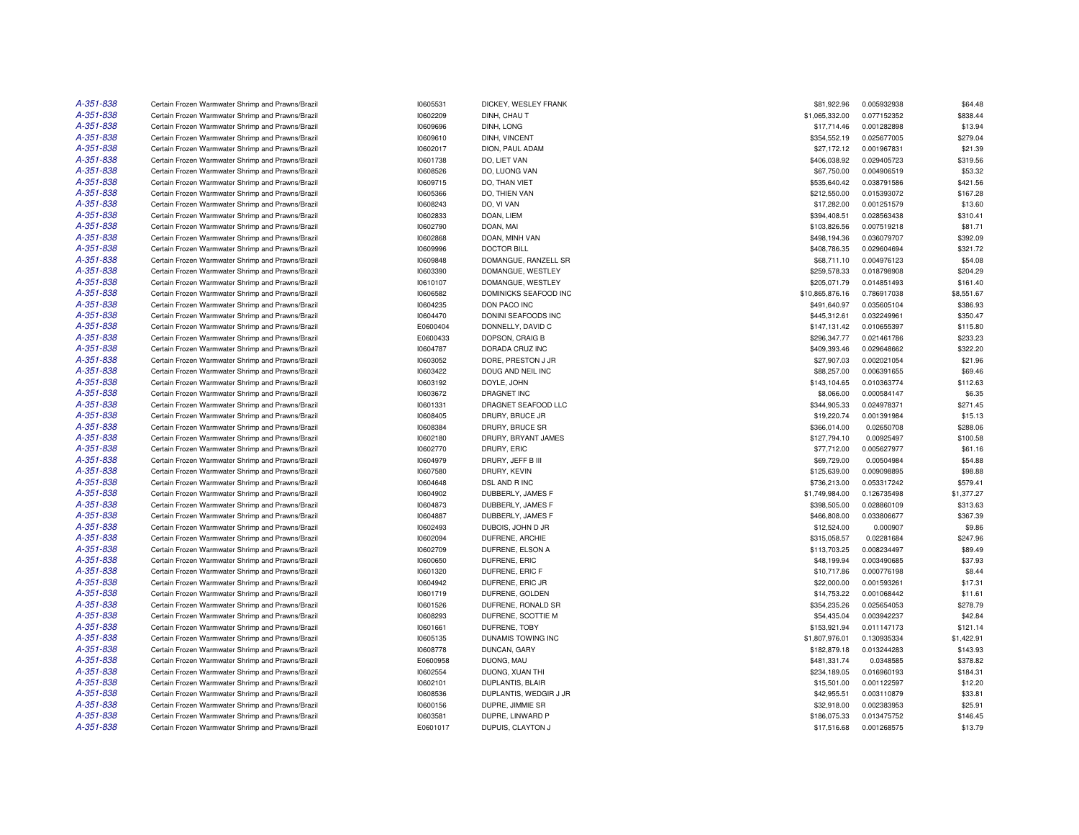| A-351-838 | Certain Frozen Warmwater Shrimp and Prawns/Brazil                                                      | 10605531             | DICKEY, WESLEY FRANK                | \$81,922.96                | 0.005932938 | \$64.48           |
|-----------|--------------------------------------------------------------------------------------------------------|----------------------|-------------------------------------|----------------------------|-------------|-------------------|
| A-351-838 | Certain Frozen Warmwater Shrimp and Prawns/Brazil                                                      | 10602209             | DINH, CHAU T                        | \$1,065,332.00             | 0.077152352 | \$838.44          |
| A-351-838 | Certain Frozen Warmwater Shrimp and Prawns/Brazil                                                      | 10609696             | DINH, LONG                          | \$17,714.46                | 0.001282898 | \$13.94           |
| A-351-838 | Certain Frozen Warmwater Shrimp and Prawns/Brazil                                                      | 10609610             | DINH, VINCENT                       | \$354,552.19               | 0.025677005 | \$279.04          |
| A-351-838 | Certain Frozen Warmwater Shrimp and Prawns/Brazil                                                      | 10602017             | DION, PAUL ADAM                     | \$27,172.12                | 0.001967831 | \$21.39           |
| A-351-838 | Certain Frozen Warmwater Shrimp and Prawns/Brazil                                                      | 10601738             | DO, LIET VAN                        | \$406,038.92               | 0.029405723 | \$319.56          |
| A-351-838 | Certain Frozen Warmwater Shrimp and Prawns/Brazil                                                      | 10608526             | DO, LUONG VAN                       | \$67,750.00                | 0.004906519 | \$53.32           |
| A-351-838 | Certain Frozen Warmwater Shrimp and Prawns/Brazil                                                      | 10609715             | DO. THAN VIET                       | \$535,640.42               | 0.038791586 | \$421.56          |
| A-351-838 | Certain Frozen Warmwater Shrimp and Prawns/Brazil                                                      | 10605366             | DO, THIEN VAN                       | \$212,550.00               | 0.015393072 | \$167.28          |
| A-351-838 | Certain Frozen Warmwater Shrimp and Prawns/Brazil                                                      | 10608243             | DO, VI VAN                          | \$17,282.00                | 0.001251579 | \$13.60           |
| A-351-838 | Certain Frozen Warmwater Shrimp and Prawns/Brazil                                                      | 10602833             | DOAN, LIEM                          | \$394,408.51               | 0.028563438 | \$310.41          |
| A-351-838 | Certain Frozen Warmwater Shrimp and Prawns/Brazil                                                      | 10602790             | DOAN, MAI                           | \$103,826.56               | 0.007519218 | \$81.71           |
| A-351-838 | Certain Frozen Warmwater Shrimp and Prawns/Brazil                                                      | 10602868             | DOAN, MINH VAN                      | \$498,194.36               | 0.036079707 | \$392.09          |
| A-351-838 | Certain Frozen Warmwater Shrimp and Prawns/Brazil                                                      | 10609996             | <b>DOCTOR BILL</b>                  | \$408,786.35               | 0.029604694 | \$321.72          |
| A-351-838 | Certain Frozen Warmwater Shrimp and Prawns/Brazil                                                      | 10609848             | DOMANGUE, RANZELL SR                | \$68,711.10                | 0.004976123 | \$54.08           |
| A-351-838 | Certain Frozen Warmwater Shrimp and Prawns/Brazil                                                      | 10603390             | DOMANGUE, WESTLEY                   | \$259,578.33               | 0.018798908 | \$204.29          |
| A-351-838 | Certain Frozen Warmwater Shrimp and Prawns/Brazil                                                      | 10610107             | DOMANGUE, WESTLEY                   | \$205,071.79               | 0.014851493 | \$161.40          |
| A-351-838 | Certain Frozen Warmwater Shrimp and Prawns/Brazil                                                      | 10606582             | DOMINICKS SEAFOOD INC               | \$10,865,876.16            | 0.786917038 | \$8,551.67        |
| A-351-838 | Certain Frozen Warmwater Shrimp and Prawns/Brazil                                                      | 10604235             | DON PACO INC                        | \$491,640.97               | 0.035605104 | \$386.93          |
| A-351-838 | Certain Frozen Warmwater Shrimp and Prawns/Brazil                                                      | 10604470             | <b>DONINI SEAFOODS INC</b>          | \$445,312.61               | 0.032249961 | \$350.47          |
| A-351-838 | Certain Frozen Warmwater Shrimp and Prawns/Brazil                                                      | E0600404             | DONNELLY, DAVID C                   | \$147,131.42               | 0.010655397 | \$115.80          |
| A-351-838 | Certain Frozen Warmwater Shrimp and Prawns/Brazil                                                      | E0600433             | DOPSON, CRAIG B                     | \$296,347.77               | 0.021461786 | \$233.23          |
| A-351-838 | Certain Frozen Warmwater Shrimp and Prawns/Brazil                                                      | 10604787             | DORADA CRUZ INC                     | \$409,393.46               | 0.029648662 | \$322.20          |
| A-351-838 | Certain Frozen Warmwater Shrimp and Prawns/Brazil                                                      | 10603052             | DORE, PRESTON J JR                  | \$27,907.03                | 0.002021054 | \$21.96           |
| A-351-838 | Certain Frozen Warmwater Shrimp and Prawns/Brazil                                                      | 10603422             | DOUG AND NEIL INC                   | \$88,257.00                | 0.006391655 | \$69.46           |
| A-351-838 | Certain Frozen Warmwater Shrimp and Prawns/Brazil                                                      | 10603192             | DOYLE, JOHN                         | \$143,104.65               | 0.010363774 | \$112.63          |
| A-351-838 | Certain Frozen Warmwater Shrimp and Prawns/Brazil                                                      | 10603672             | DRAGNET INC                         | \$8,066.00                 | 0.000584147 | \$6.35            |
| A-351-838 | Certain Frozen Warmwater Shrimp and Prawns/Brazil                                                      | 10601331             | DRAGNET SEAFOOD LLC                 | \$344,905.33               | 0.024978371 | \$271.45          |
| A-351-838 | Certain Frozen Warmwater Shrimp and Prawns/Brazil                                                      | 10608405             | DRURY, BRUCE JR                     | \$19,220.74                | 0.001391984 | \$15.13           |
| A-351-838 | Certain Frozen Warmwater Shrimp and Prawns/Brazil                                                      | 10608384             | DRURY, BRUCE SR                     | \$366,014.00               | 0.02650708  | \$288.06          |
| A-351-838 | Certain Frozen Warmwater Shrimp and Prawns/Brazil                                                      | 10602180             | DRURY, BRYANT JAMES                 | \$127,794.10               | 0.00925497  | \$100.58          |
| A-351-838 | Certain Frozen Warmwater Shrimp and Prawns/Brazil                                                      | 10602770             | DRURY, ERIC                         | \$77,712.00                | 0.005627977 | \$61.16           |
| A-351-838 | Certain Frozen Warmwater Shrimp and Prawns/Brazil                                                      | 10604979             | DRURY, JEFF B III                   | \$69,729.00                | 0.00504984  | \$54.88           |
| A-351-838 | Certain Frozen Warmwater Shrimp and Prawns/Brazil                                                      | 10607580             | DRURY, KEVIN                        | \$125,639.00               | 0.009098895 | \$98.88           |
| A-351-838 | Certain Frozen Warmwater Shrimp and Prawns/Brazil                                                      | 10604648             | DSL AND R INC                       | \$736,213.00               | 0.053317242 | \$579.41          |
| A-351-838 | Certain Frozen Warmwater Shrimp and Prawns/Brazil                                                      | 10604902             | DUBBERLY, JAMES F                   | \$1,749,984.00             | 0.126735498 | \$1,377.27        |
| A-351-838 | Certain Frozen Warmwater Shrimp and Prawns/Brazil                                                      | 10604873             | DUBBERLY, JAMES F                   | \$398,505.00               | 0.028860109 | \$313.63          |
| A-351-838 | Certain Frozen Warmwater Shrimp and Prawns/Brazil                                                      | 10604887             | DUBBERLY, JAMES F                   | \$466,808.00               | 0.033806677 | \$367.39          |
| A-351-838 | Certain Frozen Warmwater Shrimp and Prawns/Brazil                                                      | 10602493             | DUBOIS, JOHN D JR                   | \$12,524.00                | 0.000907    | \$9.86            |
| A-351-838 | Certain Frozen Warmwater Shrimp and Prawns/Brazil                                                      | 10602094             | DUFRENE, ARCHIE                     | \$315,058.57               | 0.02281684  | \$247.96          |
| A-351-838 | Certain Frozen Warmwater Shrimp and Prawns/Brazil                                                      | 10602709             | DUFRENE, ELSON A                    | \$113,703.25               | 0.008234497 | \$89.49           |
| A-351-838 | Certain Frozen Warmwater Shrimp and Prawns/Brazil                                                      | 10600650             | DUFRENE, ERIC                       | \$48,199.94                | 0.003490685 | \$37.93           |
| A-351-838 |                                                                                                        |                      |                                     |                            |             |                   |
| A-351-838 | Certain Frozen Warmwater Shrimp and Prawns/Brazil<br>Certain Frozen Warmwater Shrimp and Prawns/Brazil | 10601320<br>10604942 | DUFRENE, ERIC F<br>DUFRENE, ERIC JR | \$10,717.86<br>\$22,000.00 | 0.000776198 | \$8.44<br>\$17.31 |
|           |                                                                                                        |                      |                                     |                            | 0.001593261 |                   |
| A-351-838 | Certain Frozen Warmwater Shrimp and Prawns/Brazil                                                      | 10601719             | DUFRENE, GOLDEN                     | \$14,753.22                | 0.001068442 | \$11.61           |
| A-351-838 | Certain Frozen Warmwater Shrimp and Prawns/Brazil                                                      | 10601526             | DUFRENE, RONALD SR                  | \$354,235.26               | 0.025654053 | \$278.79          |
| A-351-838 | Certain Frozen Warmwater Shrimp and Prawns/Brazil                                                      | 10608293             | DUFRENE, SCOTTIE M                  | \$54,435.04                | 0.003942237 | \$42.84           |
| A-351-838 | Certain Frozen Warmwater Shrimp and Prawns/Brazil                                                      | 10601661             | DUFRENE, TOBY                       | \$153,921.94               | 0.011147173 | \$121.14          |
| A-351-838 | Certain Frozen Warmwater Shrimp and Prawns/Brazil                                                      | 10605135             | DUNAMIS TOWING INC                  | \$1,807,976.01             | 0.130935334 | \$1,422.91        |
| A-351-838 | Certain Frozen Warmwater Shrimp and Prawns/Brazil                                                      | 10608778             | DUNCAN, GARY                        | \$182,879.18               | 0.013244283 | \$143.93          |
| A-351-838 | Certain Frozen Warmwater Shrimp and Prawns/Brazil                                                      | E0600958             | DUONG, MAU                          | \$481,331.74               | 0.0348585   | \$378.82          |
| A-351-838 | Certain Frozen Warmwater Shrimp and Prawns/Brazil                                                      | 10602554             | DUONG, XUAN THI                     | \$234,189.05               | 0.016960193 | \$184.31          |
| A-351-838 | Certain Frozen Warmwater Shrimp and Prawns/Brazil                                                      | 10602101             | DUPLANTIS, BLAIR                    | \$15,501.00                | 0.001122597 | \$12.20           |
| A-351-838 | Certain Frozen Warmwater Shrimp and Prawns/Brazil                                                      | 10608536             | DUPLANTIS, WEDGIR J JR              | \$42,955.51                | 0.003110879 | \$33.81           |
| A-351-838 | Certain Frozen Warmwater Shrimp and Prawns/Brazil                                                      | 10600156             | DUPRE, JIMMIE SR                    | \$32,918.00                | 0.002383953 | \$25.91           |
| A-351-838 | Certain Frozen Warmwater Shrimp and Prawns/Brazil                                                      | 10603581             | DUPRE, LINWARD P                    | \$186,075.33               | 0.013475752 | \$146.45          |
| A-351-838 | Certain Frozen Warmwater Shrimp and Prawns/Brazil                                                      | E0601017             | DUPUIS, CLAYTON J                   | \$17,516.68                | 0.001268575 | \$13.79           |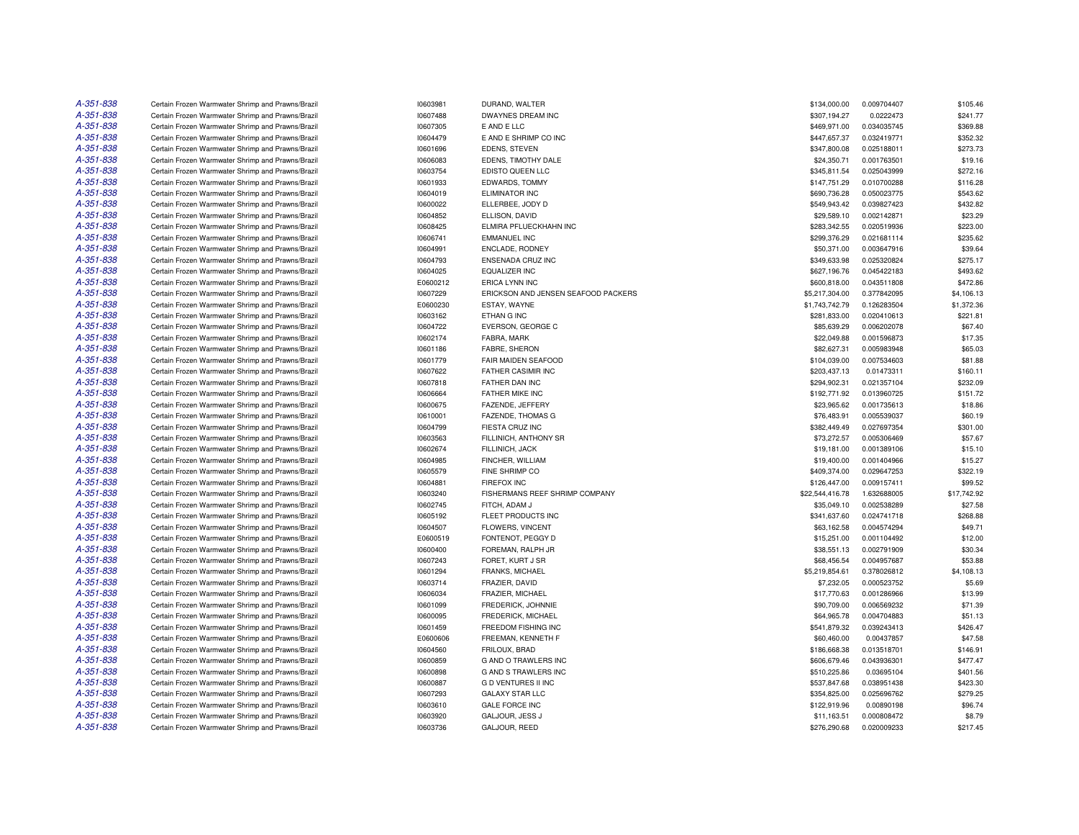| A-351-838              | Certain Frozen Warmwater Shrimp and Prawns/Brazil | 10603981 | DURAND, WALTER                      | \$134,000.00    | 0.009704407 | \$105.46    |
|------------------------|---------------------------------------------------|----------|-------------------------------------|-----------------|-------------|-------------|
| A-351-838              | Certain Frozen Warmwater Shrimp and Prawns/Brazil | 10607488 | DWAYNES DREAM INC                   | \$307,194.27    | 0.0222473   | \$241.77    |
| A-351-838              | Certain Frozen Warmwater Shrimp and Prawns/Brazil | 10607305 | E AND E LLC                         | \$469,971.00    | 0.034035745 | \$369.88    |
| A-351-838              | Certain Frozen Warmwater Shrimp and Prawns/Brazil | 10604479 | E AND E SHRIMP CO INC               | \$447,657.37    | 0.032419771 | \$352.32    |
| A-351-838              | Certain Frozen Warmwater Shrimp and Prawns/Brazil | 10601696 | <b>EDENS, STEVEN</b>                | \$347,800.08    | 0.025188011 | \$273.73    |
| A-351-838              | Certain Frozen Warmwater Shrimp and Prawns/Brazil | 10606083 | EDENS. TIMOTHY DALE                 | \$24,350.71     | 0.001763501 | \$19.16     |
| A-351-838              | Certain Frozen Warmwater Shrimp and Prawns/Brazil | 10603754 | EDISTO QUEEN LLC                    | \$345,811.54    | 0.025043999 | \$272.16    |
| A-351-838              | Certain Frozen Warmwater Shrimp and Prawns/Brazil | 10601933 | EDWARDS, TOMMY                      | \$147,751.29    | 0.010700288 | \$116.28    |
| A-351-838              | Certain Frozen Warmwater Shrimp and Prawns/Brazil | 10604019 | ELIMINATOR INC                      | \$690,736.28    | 0.050023775 | \$543.62    |
| A-351-838              | Certain Frozen Warmwater Shrimp and Prawns/Brazil | 10600022 | ELLERBEE, JODY D                    | \$549,943.42    | 0.039827423 | \$432.82    |
| A-351-838              | Certain Frozen Warmwater Shrimp and Prawns/Brazil | 10604852 | ELLISON, DAVID                      | \$29,589.10     | 0.002142871 | \$23.29     |
| A-351-838              | Certain Frozen Warmwater Shrimp and Prawns/Brazil | 10608425 | ELMIRA PFLUECKHAHN INC              | \$283,342.55    | 0.020519936 | \$223.00    |
| A-351-838              | Certain Frozen Warmwater Shrimp and Prawns/Brazil | 10606741 | <b>EMMANUEL INC</b>                 | \$299,376.29    | 0.021681114 | \$235.62    |
| A-351-838              | Certain Frozen Warmwater Shrimp and Prawns/Brazil | 10604991 | ENCLADE, RODNEY                     | \$50,371.00     | 0.003647916 | \$39.64     |
| A-351-838              | Certain Frozen Warmwater Shrimp and Prawns/Brazil | 10604793 | <b>ENSENADA CRUZ INC</b>            | \$349,633.98    | 0.025320824 | \$275.17    |
| A-351-838              | Certain Frozen Warmwater Shrimp and Prawns/Brazil | 10604025 | <b>EQUALIZER INC</b>                | \$627,196.76    | 0.045422183 | \$493.62    |
| A-351-838              | Certain Frozen Warmwater Shrimp and Prawns/Brazil | E0600212 | ERICA LYNN INC                      | \$600,818.00    | 0.043511808 | \$472.86    |
| A-351-838              | Certain Frozen Warmwater Shrimp and Prawns/Brazil | 10607229 | ERICKSON AND JENSEN SEAFOOD PACKERS | \$5,217,304.00  | 0.377842095 | \$4,106.13  |
| A-351-838              | Certain Frozen Warmwater Shrimp and Prawns/Brazil | E0600230 | ESTAY, WAYNE                        | \$1,743,742.79  | 0.126283504 | \$1,372.36  |
| A-351-838              | Certain Frozen Warmwater Shrimp and Prawns/Brazil | 10603162 | ETHAN G INC                         | \$281,833.00    | 0.020410613 | \$221.81    |
| A-351-838              | Certain Frozen Warmwater Shrimp and Prawns/Brazil | 10604722 | EVERSON, GEORGE C                   | \$85,639.29     | 0.006202078 | \$67.40     |
| A-351-838              | Certain Frozen Warmwater Shrimp and Prawns/Brazil | 10602174 | FABRA, MARK                         | \$22,049.88     | 0.001596873 | \$17.35     |
| A-351-838              | Certain Frozen Warmwater Shrimp and Prawns/Brazil | 10601186 | FABRE, SHERON                       | \$82,627.31     | 0.005983948 | \$65.03     |
| A-351-838              | Certain Frozen Warmwater Shrimp and Prawns/Brazil | 10601779 | FAIR MAIDEN SEAFOOD                 | \$104,039.00    | 0.007534603 | \$81.88     |
| A-351-838              | Certain Frozen Warmwater Shrimp and Prawns/Brazil | 10607622 | <b>FATHER CASIMIR INC</b>           | \$203,437.13    | 0.01473311  | \$160.11    |
| A-351-838              | Certain Frozen Warmwater Shrimp and Prawns/Brazil | 10607818 | FATHER DAN INC                      | \$294,902.31    | 0.021357104 | \$232.09    |
| A-351-838              | Certain Frozen Warmwater Shrimp and Prawns/Brazil | 10606664 | FATHER MIKE INC                     | \$192,771.92    | 0.013960725 | \$151.72    |
| A-351-838              | Certain Frozen Warmwater Shrimp and Prawns/Brazil | 10600675 | FAZENDE, JEFFERY                    | \$23,965.62     | 0.001735613 | \$18.86     |
| A-351-838              | Certain Frozen Warmwater Shrimp and Prawns/Brazil | 10610001 | FAZENDE, THOMAS G                   | \$76,483.91     | 0.005539037 | \$60.19     |
| A-351-838              | Certain Frozen Warmwater Shrimp and Prawns/Brazil | 10604799 | <b>FIESTA CRUZ INC</b>              | \$382.449.49    | 0.027697354 | \$301.00    |
| A-351-838              | Certain Frozen Warmwater Shrimp and Prawns/Brazil | 10603563 | FILLINICH, ANTHONY SR               | \$73,272.57     | 0.005306469 | \$57.67     |
| A-351-838              | Certain Frozen Warmwater Shrimp and Prawns/Brazil | 10602674 | FILLINICH, JACK                     | \$19,181.00     | 0.001389106 | \$15.10     |
| A-351-838              | Certain Frozen Warmwater Shrimp and Prawns/Brazil | 10604985 | FINCHER, WILLIAM                    | \$19,400.00     | 0.001404966 | \$15.27     |
| A-351-838              | Certain Frozen Warmwater Shrimp and Prawns/Brazil | 10605579 | FINE SHRIMP CO                      | \$409,374.00    | 0.029647253 | \$322.19    |
| A-351-838              | Certain Frozen Warmwater Shrimp and Prawns/Brazil | 10604881 | <b>FIREFOX INC</b>                  | \$126,447.00    | 0.009157411 | \$99.52     |
| A-351-838              | Certain Frozen Warmwater Shrimp and Prawns/Brazil | 10603240 | FISHERMANS REEF SHRIMP COMPANY      | \$22,544,416.78 | 1.632688005 | \$17,742.92 |
| A-351-838              | Certain Frozen Warmwater Shrimp and Prawns/Brazil | 10602745 | FITCH, ADAM J                       | \$35,049.10     | 0.002538289 | \$27.58     |
| A-351-838              | Certain Frozen Warmwater Shrimp and Prawns/Brazil | 10605192 | FLEET PRODUCTS INC                  | \$341,637.60    | 0.024741718 | \$268.88    |
| A-351-838              | Certain Frozen Warmwater Shrimp and Prawns/Brazil | 10604507 | FLOWERS, VINCENT                    | \$63,162.58     | 0.004574294 | \$49.71     |
| A-351-838              | Certain Frozen Warmwater Shrimp and Prawns/Brazil | E0600519 | FONTENOT, PEGGY D                   | \$15,251.00     | 0.001104492 | \$12.00     |
| A-351-838              | Certain Frozen Warmwater Shrimp and Prawns/Brazil | 10600400 | FOREMAN, RALPH JR                   | \$38,551.13     | 0.002791909 | \$30.34     |
| A-351-838              |                                                   |          |                                     |                 |             |             |
|                        | Certain Frozen Warmwater Shrimp and Prawns/Brazil | 10607243 | FORET, KURT J SR                    | \$68,456.54     | 0.004957687 | \$53.88     |
| A-351-838<br>A-351-838 | Certain Frozen Warmwater Shrimp and Prawns/Brazil | 10601294 | FRANKS, MICHAEL                     | \$5,219,854.61  | 0.378026812 | \$4,108.13  |
|                        | Certain Frozen Warmwater Shrimp and Prawns/Brazil | 10603714 | FRAZIER, DAVID                      | \$7,232.05      | 0.000523752 | \$5.69      |
| A-351-838              | Certain Frozen Warmwater Shrimp and Prawns/Brazil | 10606034 | FRAZIER, MICHAEL                    | \$17,770.63     | 0.001286966 | \$13.99     |
| A-351-838              | Certain Frozen Warmwater Shrimp and Prawns/Brazil | 10601099 | FREDERICK, JOHNNIE                  | \$90,709.00     | 0.006569232 | \$71.39     |
| A-351-838              | Certain Frozen Warmwater Shrimp and Prawns/Brazil | 10600095 | FREDERICK, MICHAEL                  | \$64,965.78     | 0.004704883 | \$51.13     |
| A-351-838              | Certain Frozen Warmwater Shrimp and Prawns/Brazil | 10601459 | FREEDOM FISHING INC                 | \$541,879.32    | 0.039243413 | \$426.47    |
| A-351-838              | Certain Frozen Warmwater Shrimp and Prawns/Brazil | E0600606 | FREEMAN, KENNETH F                  | \$60,460.00     | 0.00437857  | \$47.58     |
| A-351-838              | Certain Frozen Warmwater Shrimp and Prawns/Brazil | 10604560 | FRILOUX, BRAD                       | \$186,668.38    | 0.013518701 | \$146.91    |
| A-351-838              | Certain Frozen Warmwater Shrimp and Prawns/Brazil | 10600859 | <b>G AND O TRAWLERS INC</b>         | \$606,679.46    | 0.043936301 | \$477.47    |
| A-351-838              | Certain Frozen Warmwater Shrimp and Prawns/Brazil | 10600898 | G AND S TRAWLERS INC                | \$510,225.86    | 0.03695104  | \$401.56    |
| A-351-838              | Certain Frozen Warmwater Shrimp and Prawns/Brazil | 10600887 | <b>G D VENTURES II INC</b>          | \$537,847.68    | 0.038951438 | \$423.30    |
| A-351-838              | Certain Frozen Warmwater Shrimp and Prawns/Brazil | 10607293 | <b>GALAXY STAR LLC</b>              | \$354,825.00    | 0.025696762 | \$279.25    |
| A-351-838              | Certain Frozen Warmwater Shrimp and Prawns/Brazil | 10603610 | <b>GALE FORCE INC</b>               | \$122,919.96    | 0.00890198  | \$96.74     |
| A-351-838              | Certain Frozen Warmwater Shrimp and Prawns/Brazil | 10603920 | GALJOUR, JESS J                     | \$11,163.51     | 0.000808472 | \$8.79      |
| A-351-838              | Certain Frozen Warmwater Shrimp and Prawns/Brazil | 10603736 | GALJOUR, REED                       | \$276,290.68    | 0.020009233 | \$217.45    |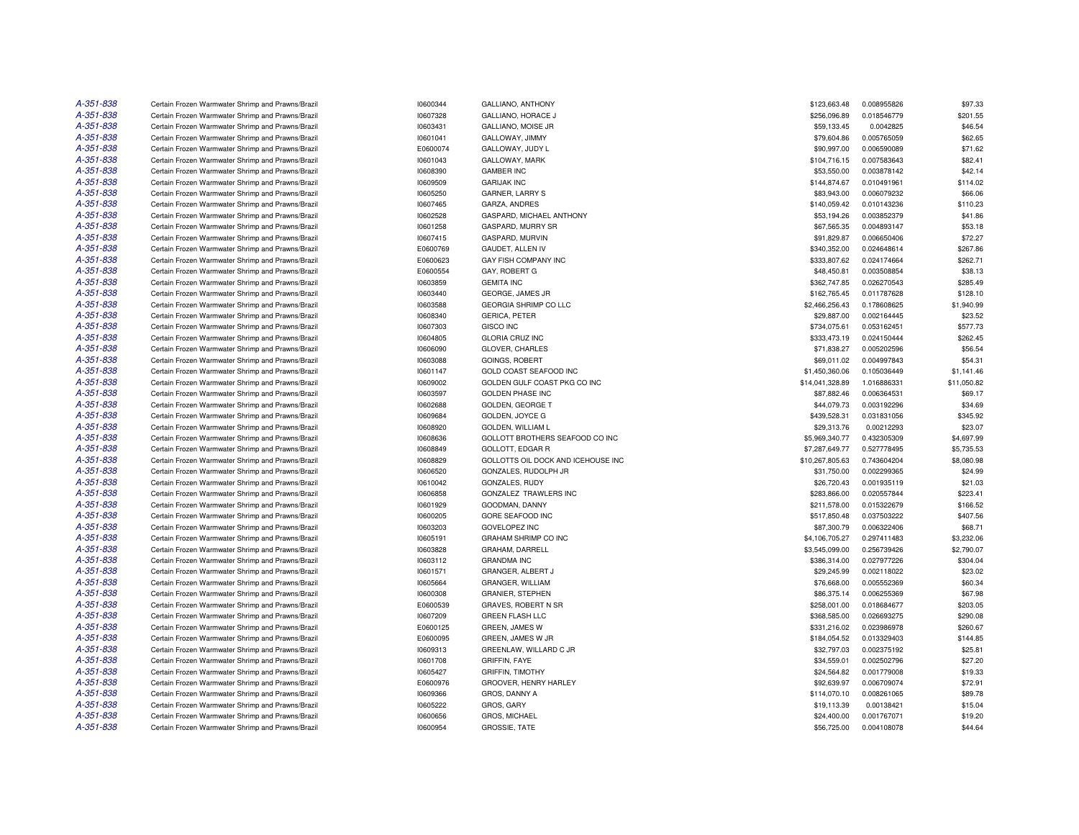| A-351-838 | Certain Frozen Warmwater Shrimp and Prawns/Brazil                                                      | 10600344 | <b>GALLIANO, ANTHONY</b>           | \$123,663.48    | 0.008955826                | \$97.33               |
|-----------|--------------------------------------------------------------------------------------------------------|----------|------------------------------------|-----------------|----------------------------|-----------------------|
| A-351-838 | Certain Frozen Warmwater Shrimp and Prawns/Brazil                                                      | 10607328 | GALLIANO, HORACE J                 | \$256,096.89    | 0.018546779                | \$201.55              |
| A-351-838 | Certain Frozen Warmwater Shrimp and Prawns/Brazil                                                      | 10603431 | GALLIANO, MOISE JR                 | \$59,133.45     | 0.0042825                  | \$46.54               |
| A-351-838 | Certain Frozen Warmwater Shrimp and Prawns/Brazil                                                      | 10601041 | GALLOWAY, JIMMY                    | \$79,604.86     | 0.005765059                | \$62.65               |
| A-351-838 | Certain Frozen Warmwater Shrimp and Prawns/Brazil                                                      | E0600074 | GALLOWAY, JUDY L                   | \$90,997.00     | 0.006590089                | \$71.62               |
| A-351-838 | Certain Frozen Warmwater Shrimp and Prawns/Brazil                                                      | 10601043 | GALLOWAY, MARK                     | \$104,716.15    | 0.007583643                | \$82.41               |
| A-351-838 | Certain Frozen Warmwater Shrimp and Prawns/Brazil                                                      | 10608390 | <b>GAMBER INC</b>                  | \$53,550.00     | 0.003878142                | \$42.14               |
| A-351-838 | Certain Frozen Warmwater Shrimp and Prawns/Brazil                                                      | 10609509 | <b>GARIJAK INC</b>                 | \$144,874.67    | 0.010491961                | \$114.02              |
| A-351-838 | Certain Frozen Warmwater Shrimp and Prawns/Brazil                                                      | 10605250 | <b>GARNER, LARRY S</b>             | \$83,943.00     | 0.006079232                | \$66.06               |
| A-351-838 | Certain Frozen Warmwater Shrimp and Prawns/Brazil                                                      | 10607465 | GARZA, ANDRES                      | \$140,059.42    | 0.010143236                | \$110.23              |
| A-351-838 | Certain Frozen Warmwater Shrimp and Prawns/Brazil                                                      | 10602528 | GASPARD, MICHAEL ANTHONY           | \$53,194.26     | 0.003852379                | \$41.86               |
| A-351-838 | Certain Frozen Warmwater Shrimp and Prawns/Brazil                                                      | 10601258 | GASPARD, MURRY SR                  | \$67,565.35     | 0.004893147                | \$53.18               |
| A-351-838 | Certain Frozen Warmwater Shrimp and Prawns/Brazil                                                      | 10607415 | GASPARD, MURVIN                    | \$91,829.87     | 0.006650406                | \$72.27               |
| A-351-838 | Certain Frozen Warmwater Shrimp and Prawns/Brazil                                                      | E0600769 | GAUDET, ALLEN IV                   | \$340,352.00    | 0.024648614                | \$267.86              |
| A-351-838 | Certain Frozen Warmwater Shrimp and Prawns/Brazil                                                      | E0600623 | GAY FISH COMPANY INC               | \$333,807.62    | 0.024174664                | \$262.71              |
| A-351-838 | Certain Frozen Warmwater Shrimp and Prawns/Brazil                                                      | E0600554 | GAY, ROBERT G                      | \$48,450.81     | 0.003508854                | \$38.13               |
| A-351-838 | Certain Frozen Warmwater Shrimp and Prawns/Brazil                                                      | 10603859 | <b>GEMITA INC</b>                  | \$362,747.85    | 0.026270543                | \$285.49              |
| A-351-838 | Certain Frozen Warmwater Shrimp and Prawns/Brazil                                                      | 10603440 | GEORGE, JAMES JR                   |                 | 0.011787628                | \$128.10              |
| A-351-838 |                                                                                                        |          | GEORGIA SHRIMP CO LLC              | \$162,765.45    |                            |                       |
| A-351-838 | Certain Frozen Warmwater Shrimp and Prawns/Brazil<br>Certain Frozen Warmwater Shrimp and Prawns/Brazil | 10603588 |                                    | \$2,466,256.43  | 0.178608625<br>0.002164445 | \$1,940.99<br>\$23.52 |
|           |                                                                                                        | 10608340 | <b>GERICA, PETER</b>               | \$29,887.00     |                            |                       |
| A-351-838 | Certain Frozen Warmwater Shrimp and Prawns/Brazil                                                      | 10607303 | <b>GISCO INC</b>                   | \$734,075.61    | 0.053162451                | \$577.73              |
| A-351-838 | Certain Frozen Warmwater Shrimp and Prawns/Brazil                                                      | 10604805 | <b>GLORIA CRUZ INC</b>             | \$333,473.19    | 0.024150444                | \$262.45              |
| A-351-838 | Certain Frozen Warmwater Shrimp and Prawns/Brazil                                                      | 10606090 | GLOVER, CHARLES                    | \$71,838.27     | 0.005202596                | \$56.54               |
| A-351-838 | Certain Frozen Warmwater Shrimp and Prawns/Brazil                                                      | 10603088 | <b>GOINGS, ROBERT</b>              | \$69,011.02     | 0.004997843                | \$54.31               |
| A-351-838 | Certain Frozen Warmwater Shrimp and Prawns/Brazil                                                      | 10601147 | GOLD COAST SEAFOOD INC             | \$1,450,360.06  | 0.105036449                | \$1,141.46            |
| A-351-838 | Certain Frozen Warmwater Shrimp and Prawns/Brazil                                                      | 10609002 | GOLDEN GULF COAST PKG CO INC       | \$14,041,328.89 | 1.016886331                | \$11,050.82           |
| A-351-838 | Certain Frozen Warmwater Shrimp and Prawns/Brazil                                                      | 10603597 | <b>GOLDEN PHASE INC</b>            | \$87,882.46     | 0.006364531                | \$69.17               |
| A-351-838 | Certain Frozen Warmwater Shrimp and Prawns/Brazil                                                      | 10602688 | <b>GOLDEN, GEORGE T</b>            | \$44,079.73     | 0.003192296                | \$34.69               |
| A-351-838 | Certain Frozen Warmwater Shrimp and Prawns/Brazil                                                      | 10609684 | GOLDEN, JOYCE G                    | \$439,528.31    | 0.031831056                | \$345.92              |
| A-351-838 | Certain Frozen Warmwater Shrimp and Prawns/Brazil                                                      | 10608920 | <b>GOLDEN, WILLIAM L</b>           | \$29,313.76     | 0.00212293                 | \$23.07               |
| A-351-838 | Certain Frozen Warmwater Shrimp and Prawns/Brazil                                                      | 10608636 | GOLLOTT BROTHERS SEAFOOD CO INC    | \$5,969,340.77  | 0.432305309                | \$4,697.99            |
| A-351-838 | Certain Frozen Warmwater Shrimp and Prawns/Brazil                                                      | 10608849 | <b>GOLLOTT, EDGAR R</b>            | \$7,287,649.77  | 0.527778495                | \$5,735.53            |
| A-351-838 | Certain Frozen Warmwater Shrimp and Prawns/Brazil                                                      | 10608829 | GOLLOTTS OIL DOCK AND ICEHOUSE INC | \$10,267,805.63 | 0.743604204                | \$8,080.98            |
| A-351-838 | Certain Frozen Warmwater Shrimp and Prawns/Brazil                                                      | 10606520 | GONZALES, RUDOLPH JR               | \$31,750.00     | 0.002299365                | \$24.99               |
| A-351-838 | Certain Frozen Warmwater Shrimp and Prawns/Brazil                                                      | 10610042 | GONZALES, RUDY                     | \$26,720.43     | 0.001935119                | \$21.03               |
| A-351-838 | Certain Frozen Warmwater Shrimp and Prawns/Brazil                                                      | 10606858 | GONZALEZ TRAWLERS INC              | \$283,866.00    | 0.020557844                | \$223.41              |
| A-351-838 | Certain Frozen Warmwater Shrimp and Prawns/Brazil                                                      | 10601929 | GOODMAN, DANNY                     | \$211,578.00    | 0.015322679                | \$166.52              |
| A-351-838 | Certain Frozen Warmwater Shrimp and Prawns/Brazil                                                      | 10600205 | GORE SEAFOOD INC                   | \$517,850.48    | 0.037503222                | \$407.56              |
| A-351-838 | Certain Frozen Warmwater Shrimp and Prawns/Brazil                                                      | 10603203 | <b>GOVELOPEZ INC</b>               | \$87,300.79     | 0.006322406                | \$68.71               |
| A-351-838 | Certain Frozen Warmwater Shrimp and Prawns/Brazil                                                      | 10605191 | GRAHAM SHRIMP CO INC               | \$4,106,705.27  | 0.297411483                | \$3,232.06            |
| A-351-838 | Certain Frozen Warmwater Shrimp and Prawns/Brazil                                                      | 10603828 | GRAHAM, DARRELL                    | \$3,545,099.00  | 0.256739426                | \$2,790.07            |
| A-351-838 | Certain Frozen Warmwater Shrimp and Prawns/Brazil                                                      | 10603112 | <b>GRANDMA INC</b>                 | \$386,314.00    | 0.027977226                | \$304.04              |
| A-351-838 | Certain Frozen Warmwater Shrimp and Prawns/Brazil                                                      | 10601571 | <b>GRANGER, ALBERT J</b>           | \$29,245.99     | 0.002118022                | \$23.02               |
| A-351-838 | Certain Frozen Warmwater Shrimp and Prawns/Brazil                                                      | 10605664 | GRANGER, WILLIAM                   | \$76,668.00     | 0.005552369                | \$60.34               |
| A-351-838 | Certain Frozen Warmwater Shrimp and Prawns/Brazil                                                      | 10600308 | <b>GRANIER, STEPHEN</b>            | \$86,375.14     | 0.006255369                | \$67.98               |
| A-351-838 | Certain Frozen Warmwater Shrimp and Prawns/Brazil                                                      | E0600539 | GRAVES, ROBERT N SR                | \$258,001.00    | 0.018684677                | \$203.05              |
| A-351-838 | Certain Frozen Warmwater Shrimp and Prawns/Brazil                                                      | 10607209 | <b>GREEN FLASH LLC</b>             | \$368,585.00    | 0.026693275                | \$290.08              |
| A-351-838 | Certain Frozen Warmwater Shrimp and Prawns/Brazil                                                      | E0600125 | GREEN, JAMES W                     | \$331,216.02    | 0.023986978                | \$260.67              |
| A-351-838 | Certain Frozen Warmwater Shrimp and Prawns/Brazil                                                      | E0600095 | GREEN, JAMES W JR                  | \$184,054.52    | 0.013329403                | \$144.85              |
| A-351-838 | Certain Frozen Warmwater Shrimp and Prawns/Brazil                                                      | 10609313 | GREENLAW, WILLARD C JR             | \$32,797.03     | 0.002375192                | \$25.81               |
| A-351-838 | Certain Frozen Warmwater Shrimp and Prawns/Brazil                                                      | 10601708 | <b>GRIFFIN, FAYE</b>               | \$34,559.01     | 0.002502796                | \$27.20               |
| A-351-838 | Certain Frozen Warmwater Shrimp and Prawns/Brazil                                                      | 10605427 | <b>GRIFFIN, TIMOTHY</b>            | \$24,564.82     | 0.001779008                | \$19.33               |
| A-351-838 | Certain Frozen Warmwater Shrimp and Prawns/Brazil                                                      | E0600976 | GROOVER, HENRY HARLEY              | \$92,639.97     | 0.006709074                | \$72.91               |
| A-351-838 | Certain Frozen Warmwater Shrimp and Prawns/Brazil                                                      | 10609366 | GROS, DANNY A                      | \$114,070.10    | 0.008261065                | \$89.78               |
| A-351-838 | Certain Frozen Warmwater Shrimp and Prawns/Brazil                                                      | 10605222 | GROS, GARY                         | \$19,113.39     | 0.00138421                 | \$15.04               |
| A-351-838 | Certain Frozen Warmwater Shrimp and Prawns/Brazil                                                      | 10600656 | GROS, MICHAEL                      | \$24,400.00     | 0.001767071                | \$19.20               |
| A-351-838 | Certain Frozen Warmwater Shrimp and Prawns/Brazil                                                      | 10600954 | GROSSIE, TATE                      | \$56,725.00     | 0.004108078                | \$44.64               |
|           |                                                                                                        |          |                                    |                 |                            |                       |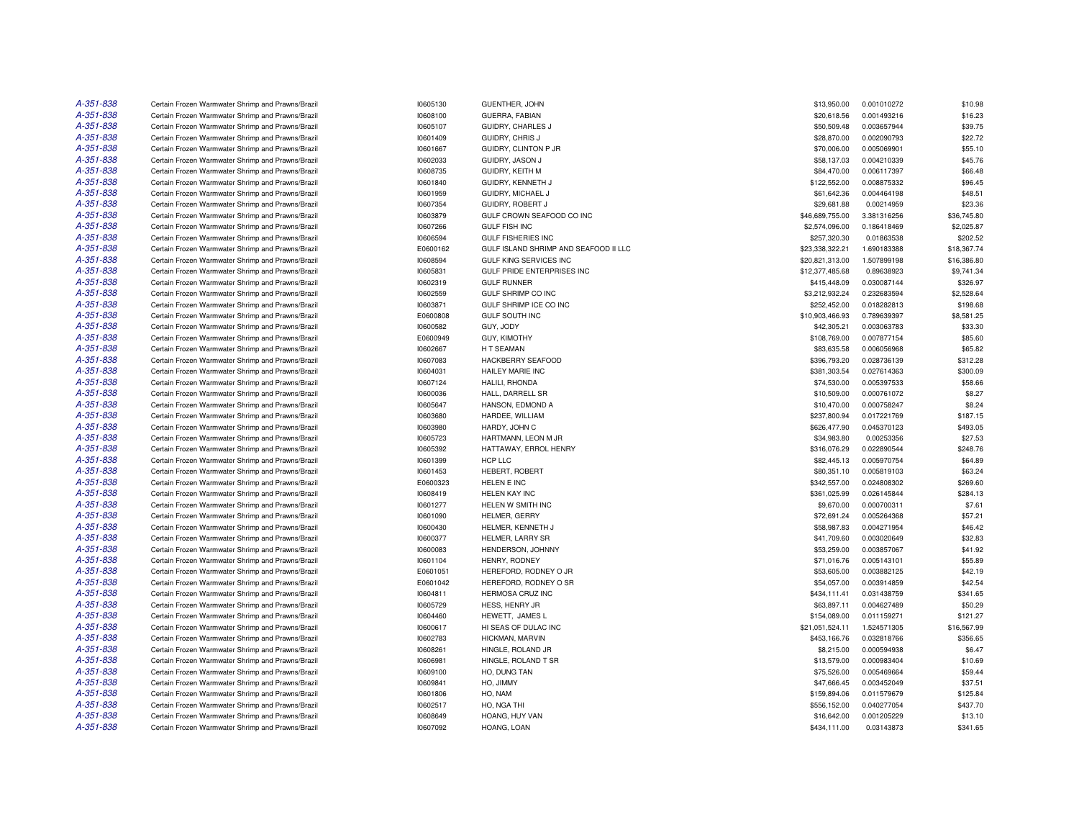| A-351-838 | Certain Frozen Warmwater Shrimp and Prawns/Brazil | 10605130             | GUENTHER, JOHN                        | \$13,950.00                 | 0.001010272 | \$10.98            |
|-----------|---------------------------------------------------|----------------------|---------------------------------------|-----------------------------|-------------|--------------------|
| A-351-838 | Certain Frozen Warmwater Shrimp and Prawns/Brazil | 10608100             | GUERRA, FABIAN                        | \$20,618.56                 | 0.001493216 | \$16.23            |
| A-351-838 | Certain Frozen Warmwater Shrimp and Prawns/Brazil | 10605107             | GUIDRY, CHARLES J                     | \$50,509.48                 | 0.003657944 | \$39.75            |
| A-351-838 | Certain Frozen Warmwater Shrimp and Prawns/Brazil | 10601409             | GUIDRY, CHRIS J                       | \$28,870.00                 | 0.002090793 | \$22.72            |
| A-351-838 | Certain Frozen Warmwater Shrimp and Prawns/Brazil | 10601667             | GUIDRY, CLINTON P JR                  | \$70,006.00                 | 0.005069901 | \$55.10            |
| A-351-838 | Certain Frozen Warmwater Shrimp and Prawns/Brazil | 10602033             | GUIDRY, JASON J                       | \$58,137.03                 | 0.004210339 | \$45.76            |
| A-351-838 | Certain Frozen Warmwater Shrimp and Prawns/Brazil | 10608735             | GUIDRY, KEITH M                       | \$84,470.00                 | 0.006117397 | \$66.48            |
| A-351-838 | Certain Frozen Warmwater Shrimp and Prawns/Brazil | 10601840             | GUIDRY, KENNETH J                     | \$122,552.00                | 0.008875332 | \$96.45            |
| A-351-838 | Certain Frozen Warmwater Shrimp and Prawns/Brazil | 10601959             | GUIDRY, MICHAEL J                     | \$61,642.36                 | 0.004464198 | \$48.51            |
| A-351-838 | Certain Frozen Warmwater Shrimp and Prawns/Brazil | 10607354             | GUIDRY, ROBERT J                      | \$29,681.88                 | 0.00214959  | \$23.36            |
| A-351-838 | Certain Frozen Warmwater Shrimp and Prawns/Brazil | 10603879             | GULF CROWN SEAFOOD CO INC             | \$46,689,755.00             | 3.381316256 | \$36,745.80        |
| A-351-838 | Certain Frozen Warmwater Shrimp and Prawns/Brazil | 10607266             | <b>GULF FISH INC</b>                  | \$2,574,096.00              | 0.186418469 | \$2,025.87         |
| A-351-838 | Certain Frozen Warmwater Shrimp and Prawns/Brazil | 10606594             | <b>GULF FISHERIES INC</b>             | \$257,320.30                | 0.01863538  | \$202.52           |
| A-351-838 | Certain Frozen Warmwater Shrimp and Prawns/Brazil | E0600162             | GULF ISLAND SHRIMP AND SEAFOOD II LLC | \$23,338,322.21             | 1.690183388 | \$18,367.74        |
| A-351-838 | Certain Frozen Warmwater Shrimp and Prawns/Brazil | 10608594             | GULF KING SERVICES INC                | \$20,821,313.00             | 1.507899198 | \$16,386.80        |
| A-351-838 | Certain Frozen Warmwater Shrimp and Prawns/Brazil | 10605831             | GULF PRIDE ENTERPRISES INC            | \$12,377,485.68             | 0.89638923  | \$9,741.34         |
| A-351-838 | Certain Frozen Warmwater Shrimp and Prawns/Brazil | 10602319             | <b>GULF RUNNER</b>                    | \$415,448.09                | 0.030087144 | \$326.97           |
| A-351-838 | Certain Frozen Warmwater Shrimp and Prawns/Brazil | 10602559             | <b>GULF SHRIMP CO INC</b>             | \$3,212,932.24              | 0.232683594 | \$2,528.64         |
| A-351-838 | Certain Frozen Warmwater Shrimp and Prawns/Brazil | 10603871             | GULF SHRIMP ICE CO INC                | \$252,452.00                | 0.018282813 | \$198.68           |
| A-351-838 | Certain Frozen Warmwater Shrimp and Prawns/Brazil | E0600808             | <b>GULF SOUTH INC</b>                 | \$10,903,466.93             | 0.789639397 | \$8,581.25         |
| A-351-838 | Certain Frozen Warmwater Shrimp and Prawns/Brazil | 10600582             | GUY, JODY                             | \$42,305.21                 | 0.003063783 | \$33.30            |
| A-351-838 | Certain Frozen Warmwater Shrimp and Prawns/Brazil |                      |                                       |                             | 0.007877154 |                    |
| A-351-838 | Certain Frozen Warmwater Shrimp and Prawns/Brazil | E0600949<br>10602667 | <b>GUY, KIMOTHY</b><br>H T SEAMAN     | \$108,769.00<br>\$83,635.58 | 0.006056968 | \$85.60<br>\$65.82 |
| A-351-838 |                                                   |                      |                                       |                             |             |                    |
|           | Certain Frozen Warmwater Shrimp and Prawns/Brazil | 10607083             | <b>HACKBERRY SEAFOOD</b>              | \$396,793.20                | 0.028736139 | \$312.28           |
| A-351-838 | Certain Frozen Warmwater Shrimp and Prawns/Brazil | 10604031             | HAILEY MARIE INC                      | \$381,303.54                | 0.027614363 | \$300.09           |
| A-351-838 | Certain Frozen Warmwater Shrimp and Prawns/Brazil | 10607124             | HALILI, RHONDA                        | \$74,530.00                 | 0.005397533 | \$58.66            |
| A-351-838 | Certain Frozen Warmwater Shrimp and Prawns/Brazil | 10600036             | HALL, DARRELL SR                      | \$10,509.00                 | 0.000761072 | \$8.27             |
| A-351-838 | Certain Frozen Warmwater Shrimp and Prawns/Brazil | 10605647             | HANSON, EDMOND A                      | \$10,470.00                 | 0.000758247 | \$8.24             |
| A-351-838 | Certain Frozen Warmwater Shrimp and Prawns/Brazil | 10603680             | HARDEE, WILLIAM                       | \$237,800.94                | 0.017221769 | \$187.15           |
| A-351-838 | Certain Frozen Warmwater Shrimp and Prawns/Brazil | 10603980             | HARDY, JOHN C                         | \$626,477.90                | 0.045370123 | \$493.05           |
| A-351-838 | Certain Frozen Warmwater Shrimp and Prawns/Brazil | 10605723             | HARTMANN, LEON M JR                   | \$34,983.80                 | 0.00253356  | \$27.53            |
| A-351-838 | Certain Frozen Warmwater Shrimp and Prawns/Brazil | 10605392             | HATTAWAY, ERROL HENRY                 | \$316,076.29                | 0.022890544 | \$248.76           |
| A-351-838 | Certain Frozen Warmwater Shrimp and Prawns/Brazil | 10601399             | HCP LLC                               | \$82,445.13                 | 0.005970754 | \$64.89            |
| A-351-838 | Certain Frozen Warmwater Shrimp and Prawns/Brazil | 10601453             | HEBERT, ROBERT                        | \$80,351.10                 | 0.005819103 | \$63.24            |
| A-351-838 | Certain Frozen Warmwater Shrimp and Prawns/Brazil | E0600323             | <b>HELEN E INC</b>                    | \$342,557.00                | 0.024808302 | \$269.60           |
| A-351-838 | Certain Frozen Warmwater Shrimp and Prawns/Brazil | 10608419             | HELEN KAY INC                         | \$361,025.99                | 0.026145844 | \$284.13           |
| A-351-838 | Certain Frozen Warmwater Shrimp and Prawns/Brazil | 10601277             | HELEN W SMITH INC                     | \$9,670.00                  | 0.000700311 | \$7.61             |
| A-351-838 | Certain Frozen Warmwater Shrimp and Prawns/Brazil | 10601090             | HELMER, GERRY                         | \$72,691.24                 | 0.005264368 | \$57.21            |
| A-351-838 | Certain Frozen Warmwater Shrimp and Prawns/Brazil | 10600430             | HELMER, KENNETH J                     | \$58,987.83                 | 0.004271954 | \$46.42            |
| A-351-838 | Certain Frozen Warmwater Shrimp and Prawns/Brazil | 10600377             | HELMER, LARRY SR                      | \$41,709.60                 | 0.003020649 | \$32.83            |
| A-351-838 | Certain Frozen Warmwater Shrimp and Prawns/Brazil | 10600083             | HENDERSON, JOHNNY                     | \$53,259.00                 | 0.003857067 | \$41.92            |
| A-351-838 | Certain Frozen Warmwater Shrimp and Prawns/Brazil | 10601104             | HENRY, RODNEY                         | \$71,016.76                 | 0.005143101 | \$55.89            |
| A-351-838 | Certain Frozen Warmwater Shrimp and Prawns/Brazil | E0601051             | HEREFORD, RODNEY O JR                 | \$53,605.00                 | 0.003882125 | \$42.19            |
| A-351-838 | Certain Frozen Warmwater Shrimp and Prawns/Brazil | E0601042             | HEREFORD, RODNEY O SR                 | \$54,057.00                 | 0.003914859 | \$42.54            |
| A-351-838 | Certain Frozen Warmwater Shrimp and Prawns/Brazil | 10604811             | <b>HERMOSA CRUZ INC</b>               | \$434,111.41                | 0.031438759 | \$341.65           |
| A-351-838 | Certain Frozen Warmwater Shrimp and Prawns/Brazil | 10605729             | HESS, HENRY JR                        | \$63,897.11                 | 0.004627489 | \$50.29            |
| A-351-838 | Certain Frozen Warmwater Shrimp and Prawns/Brazil | 10604460             | HEWETT, JAMES L                       | \$154,089.00                | 0.011159271 | \$121.27           |
| A-351-838 | Certain Frozen Warmwater Shrimp and Prawns/Brazil | 10600617             | HI SEAS OF DULAC INC                  | \$21,051,524.11             | 1.524571305 | \$16,567.99        |
| A-351-838 | Certain Frozen Warmwater Shrimp and Prawns/Brazil | 10602783             | HICKMAN, MARVIN                       | \$453,166.76                | 0.032818766 | \$356.65           |
| A-351-838 | Certain Frozen Warmwater Shrimp and Prawns/Brazil | 10608261             | HINGLE, ROLAND JR                     | \$8,215.00                  | 0.000594938 | \$6.47             |
| A-351-838 | Certain Frozen Warmwater Shrimp and Prawns/Brazil | 10606981             | HINGLE, ROLAND T SR                   | \$13,579.00                 | 0.000983404 | \$10.69            |
| A-351-838 | Certain Frozen Warmwater Shrimp and Prawns/Brazil | 10609100             | HO, DUNG TAN                          | \$75,526.00                 | 0.005469664 | \$59.44            |
| A-351-838 | Certain Frozen Warmwater Shrimp and Prawns/Brazil | 10609841             | HO, JIMMY                             | \$47,666.45                 | 0.003452049 | \$37.51            |
| A-351-838 | Certain Frozen Warmwater Shrimp and Prawns/Brazil | 10601806             | HO, NAM                               | \$159,894.06                | 0.011579679 | \$125.84           |
| A-351-838 | Certain Frozen Warmwater Shrimp and Prawns/Brazil | 10602517             | HO, NGA THI                           | \$556,152.00                | 0.040277054 | \$437.70           |
| A-351-838 | Certain Frozen Warmwater Shrimp and Prawns/Brazil | 10608649             | HOANG, HUY VAN                        | \$16,642.00                 | 0.001205229 | \$13.10            |
| A-351-838 | Certain Frozen Warmwater Shrimp and Prawns/Brazil | 10607092             | HOANG, LOAN                           | \$434,111.00                | 0.03143873  | \$341.65           |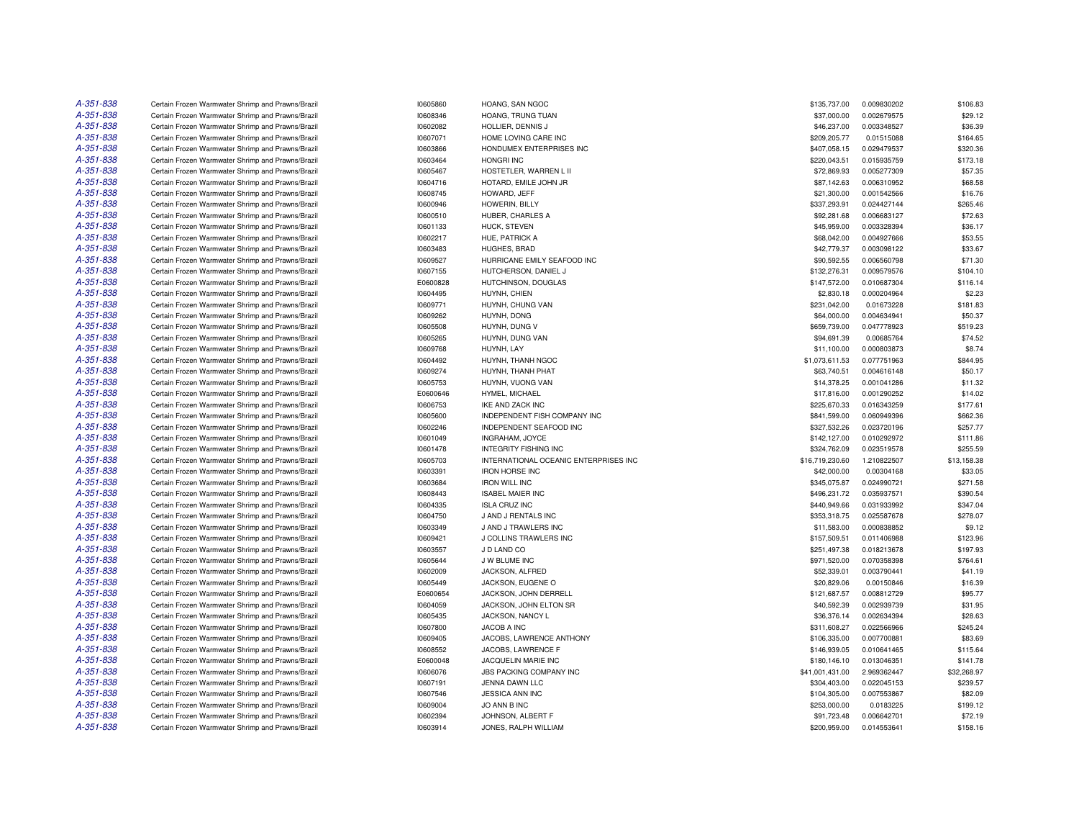| A-351-838 | Certain Frozen Warmwater Shrimp and Prawns/Brazil                                                      | 10605860 | HOANG, SAN NGOC                       | \$135,737.00    | 0.009830202                | \$106.83    |
|-----------|--------------------------------------------------------------------------------------------------------|----------|---------------------------------------|-----------------|----------------------------|-------------|
| A-351-838 | Certain Frozen Warmwater Shrimp and Prawns/Brazil                                                      | 10608346 | HOANG, TRUNG TUAN                     | \$37,000.00     | 0.002679575                | \$29.12     |
| A-351-838 | Certain Frozen Warmwater Shrimp and Prawns/Brazil                                                      | 10602082 | HOLLIER, DENNIS J                     | \$46,237.00     | 0.003348527                | \$36.39     |
| A-351-838 | Certain Frozen Warmwater Shrimp and Prawns/Brazil                                                      | 10607071 | HOME LOVING CARE INC                  | \$209,205.77    | 0.01515088                 | \$164.65    |
| A-351-838 | Certain Frozen Warmwater Shrimp and Prawns/Brazil                                                      | 10603866 | HONDUMEX ENTERPRISES INC              | \$407,058.15    | 0.029479537                | \$320.36    |
| A-351-838 | Certain Frozen Warmwater Shrimp and Prawns/Brazil                                                      | 10603464 | HONGRI INC                            | \$220,043.51    | 0.015935759                | \$173.18    |
| A-351-838 | Certain Frozen Warmwater Shrimp and Prawns/Brazil                                                      | 10605467 | HOSTETLER, WARREN L II                | \$72,869.93     | 0.005277309                | \$57.35     |
| A-351-838 | Certain Frozen Warmwater Shrimp and Prawns/Brazil                                                      | 10604716 | HOTARD, EMILE JOHN JR                 | \$87,142.63     | 0.006310952                | \$68,58     |
| A-351-838 | Certain Frozen Warmwater Shrimp and Prawns/Brazil                                                      | 10608745 | HOWARD, JEFF                          | \$21,300.00     | 0.001542566                | \$16.76     |
| A-351-838 | Certain Frozen Warmwater Shrimp and Prawns/Brazil                                                      | 10600946 | HOWERIN, BILLY                        | \$337,293.91    | 0.024427144                | \$265.46    |
| A-351-838 | Certain Frozen Warmwater Shrimp and Prawns/Brazil                                                      | 10600510 | HUBER, CHARLES A                      | \$92,281.68     | 0.006683127                | \$72.63     |
| A-351-838 | Certain Frozen Warmwater Shrimp and Prawns/Brazil                                                      | 10601133 | HUCK, STEVEN                          | \$45,959.00     | 0.003328394                | \$36.17     |
| A-351-838 | Certain Frozen Warmwater Shrimp and Prawns/Brazil                                                      | 10602217 | HUE, PATRICK A                        | \$68,042.00     | 0.004927666                | \$53.55     |
| A-351-838 | Certain Frozen Warmwater Shrimp and Prawns/Brazil                                                      | 10603483 | HUGHES, BRAD                          | \$42,779.37     | 0.003098122                | \$33.67     |
| A-351-838 | Certain Frozen Warmwater Shrimp and Prawns/Brazil                                                      | 10609527 | HURRICANE EMILY SEAFOOD INC           | \$90,592.55     | 0.006560798                | \$71.30     |
| A-351-838 | Certain Frozen Warmwater Shrimp and Prawns/Brazil                                                      | 10607155 | HUTCHERSON, DANIEL J                  | \$132,276.31    | 0.009579576                | \$104.10    |
| A-351-838 | Certain Frozen Warmwater Shrimp and Prawns/Brazil                                                      | E0600828 | HUTCHINSON, DOUGLAS                   | \$147,572.00    | 0.010687304                | \$116.14    |
| A-351-838 | Certain Frozen Warmwater Shrimp and Prawns/Brazil                                                      | 10604495 | HUYNH, CHIEN                          | \$2,830.18      | 0.000204964                | \$2.23      |
| A-351-838 | Certain Frozen Warmwater Shrimp and Prawns/Brazil                                                      | 10609771 | HUYNH, CHUNG VAN                      | \$231,042.00    | 0.01673228                 | \$181.83    |
| A-351-838 |                                                                                                        | 10609262 | HUYNH, DONG                           | \$64,000.00     |                            | \$50.37     |
| A-351-838 | Certain Frozen Warmwater Shrimp and Prawns/Brazil<br>Certain Frozen Warmwater Shrimp and Prawns/Brazil | 10605508 | HUYNH, DUNG V                         | \$659,739.00    | 0.004634941<br>0.047778923 | \$519.23    |
| A-351-838 |                                                                                                        |          |                                       |                 |                            |             |
| A-351-838 | Certain Frozen Warmwater Shrimp and Prawns/Brazil                                                      | 10605265 | HUYNH, DUNG VAN                       | \$94.691.39     | 0.00685764                 | \$74.52     |
|           | Certain Frozen Warmwater Shrimp and Prawns/Brazil                                                      | 10609768 | HUYNH, LAY                            | \$11,100.00     | 0.000803873                | \$8.74      |
| A-351-838 | Certain Frozen Warmwater Shrimp and Prawns/Brazil                                                      | 10604492 | HUYNH, THANH NGOC                     | \$1,073,611.53  | 0.077751963                | \$844.95    |
| A-351-838 | Certain Frozen Warmwater Shrimp and Prawns/Brazil                                                      | 10609274 | HUYNH, THANH PHAT                     | \$63,740.51     | 0.004616148                | \$50.17     |
| A-351-838 | Certain Frozen Warmwater Shrimp and Prawns/Brazil                                                      | 10605753 | HUYNH, VUONG VAN                      | \$14,378.25     | 0.001041286                | \$11.32     |
| A-351-838 | Certain Frozen Warmwater Shrimp and Prawns/Brazil                                                      | E0600646 | HYMEL, MICHAEL                        | \$17,816.00     | 0.001290252                | \$14.02     |
| A-351-838 | Certain Frozen Warmwater Shrimp and Prawns/Brazil                                                      | 10606753 | IKE AND ZACK INC                      | \$225,670.33    | 0.016343259                | \$177.61    |
| A-351-838 | Certain Frozen Warmwater Shrimp and Prawns/Brazil                                                      | 10605600 | INDEPENDENT FISH COMPANY INC          | \$841,599.00    | 0.060949396                | \$662.36    |
| A-351-838 | Certain Frozen Warmwater Shrimp and Prawns/Brazil                                                      | 10602246 | INDEPENDENT SEAFOOD INC               | \$327,532.26    | 0.023720196                | \$257.77    |
| A-351-838 | Certain Frozen Warmwater Shrimp and Prawns/Brazil                                                      | 10601049 | INGRAHAM, JOYCE                       | \$142,127.00    | 0.010292972                | \$111.86    |
| A-351-838 | Certain Frozen Warmwater Shrimp and Prawns/Brazil                                                      | 10601478 | <b>INTEGRITY FISHING INC</b>          | \$324,762.09    | 0.023519578                | \$255.59    |
| A-351-838 | Certain Frozen Warmwater Shrimp and Prawns/Brazil                                                      | 10605703 | INTERNATIONAL OCEANIC ENTERPRISES INC | \$16,719,230.60 | 1.210822507                | \$13,158.38 |
| A-351-838 | Certain Frozen Warmwater Shrimp and Prawns/Brazil                                                      | 10603391 | <b>IRON HORSE INC</b>                 | \$42,000.00     | 0.00304168                 | \$33.05     |
| A-351-838 | Certain Frozen Warmwater Shrimp and Prawns/Brazil                                                      | 10603684 | <b>IRON WILL INC</b>                  | \$345,075.87    | 0.024990721                | \$271.58    |
| A-351-838 | Certain Frozen Warmwater Shrimp and Prawns/Brazil                                                      | 10608443 | <b>ISABEL MAIER INC</b>               | \$496,231.72    | 0.035937571                | \$390.54    |
| A-351-838 | Certain Frozen Warmwater Shrimp and Prawns/Brazil                                                      | 10604335 | <b>ISLA CRUZ INC</b>                  | \$440,949.66    | 0.031933992                | \$347.04    |
| A-351-838 | Certain Frozen Warmwater Shrimp and Prawns/Brazil                                                      | 10604750 | J AND J RENTALS INC                   | \$353,318.75    | 0.025587678                | \$278.07    |
| A-351-838 | Certain Frozen Warmwater Shrimp and Prawns/Brazil                                                      | 10603349 | J AND J TRAWLERS INC                  | \$11,583.00     | 0.000838852                | \$9.12      |
| A-351-838 | Certain Frozen Warmwater Shrimp and Prawns/Brazil                                                      | 10609421 | J COLLINS TRAWLERS INC                | \$157,509.51    | 0.011406988                | \$123.96    |
| A-351-838 | Certain Frozen Warmwater Shrimp and Prawns/Brazil                                                      | 10603557 | J D LAND CO                           | \$251,497.38    | 0.018213678                | \$197.93    |
| A-351-838 | Certain Frozen Warmwater Shrimp and Prawns/Brazil                                                      | 10605644 | J W BLUME INC                         | \$971,520.00    | 0.070358398                | \$764.61    |
| A-351-838 | Certain Frozen Warmwater Shrimp and Prawns/Brazil                                                      | 10602009 | JACKSON, ALFRED                       | \$52,339.01     | 0.003790441                | \$41.19     |
| A-351-838 | Certain Frozen Warmwater Shrimp and Prawns/Brazil                                                      | 10605449 | JACKSON, EUGENE O                     | \$20,829.06     | 0.00150846                 | \$16.39     |
| A-351-838 | Certain Frozen Warmwater Shrimp and Prawns/Brazil                                                      | E0600654 | JACKSON, JOHN DERRELL                 | \$121,687.57    | 0.008812729                | \$95.77     |
| A-351-838 | Certain Frozen Warmwater Shrimp and Prawns/Brazil                                                      | 10604059 | JACKSON, JOHN ELTON SR                | \$40,592.39     | 0.002939739                | \$31.95     |
| A-351-838 | Certain Frozen Warmwater Shrimp and Prawns/Brazil                                                      | 10605435 | JACKSON, NANCY L                      | \$36,376.14     | 0.002634394                | \$28.63     |
| A-351-838 | Certain Frozen Warmwater Shrimp and Prawns/Brazil                                                      | 10607800 | JACOB A INC                           | \$311,608.27    | 0.022566966                | \$245.24    |
| A-351-838 | Certain Frozen Warmwater Shrimp and Prawns/Brazil                                                      | 10609405 | JACOBS, LAWRENCE ANTHONY              | \$106,335.00    | 0.007700881                | \$83.69     |
| A-351-838 | Certain Frozen Warmwater Shrimp and Prawns/Brazil                                                      | 10608552 | JACOBS, LAWRENCE F                    | \$146,939.05    | 0.010641465                | \$115.64    |
| A-351-838 | Certain Frozen Warmwater Shrimp and Prawns/Brazil                                                      | E0600048 | JACQUELIN MARIE INC                   | \$180,146.10    | 0.013046351                | \$141.78    |
| A-351-838 | Certain Frozen Warmwater Shrimp and Prawns/Brazil                                                      | 10606076 | JBS PACKING COMPANY INC               | \$41,001,431.00 | 2.969362447                | \$32,268.97 |
| A-351-838 | Certain Frozen Warmwater Shrimp and Prawns/Brazil                                                      | 10607191 | JENNA DAWN LLC                        | \$304,403.00    | 0.022045153                | \$239.57    |
| A-351-838 | Certain Frozen Warmwater Shrimp and Prawns/Brazil                                                      | 10607546 | JESSICA ANN INC                       | \$104,305.00    | 0.007553867                | \$82.09     |
| A-351-838 | Certain Frozen Warmwater Shrimp and Prawns/Brazil                                                      | 10609004 | JO ANN B INC                          | \$253,000.00    | 0.0183225                  | \$199.12    |
| A-351-838 | Certain Frozen Warmwater Shrimp and Prawns/Brazil                                                      | 10602394 | JOHNSON, ALBERT F                     | \$91,723.48     | 0.006642701                | \$72.19     |
| A-351-838 | Certain Frozen Warmwater Shrimp and Prawns/Brazil                                                      | 10603914 | JONES, RALPH WILLIAM                  | \$200,959.00    | 0.014553641                | \$158.16    |
|           |                                                                                                        |          |                                       |                 |                            |             |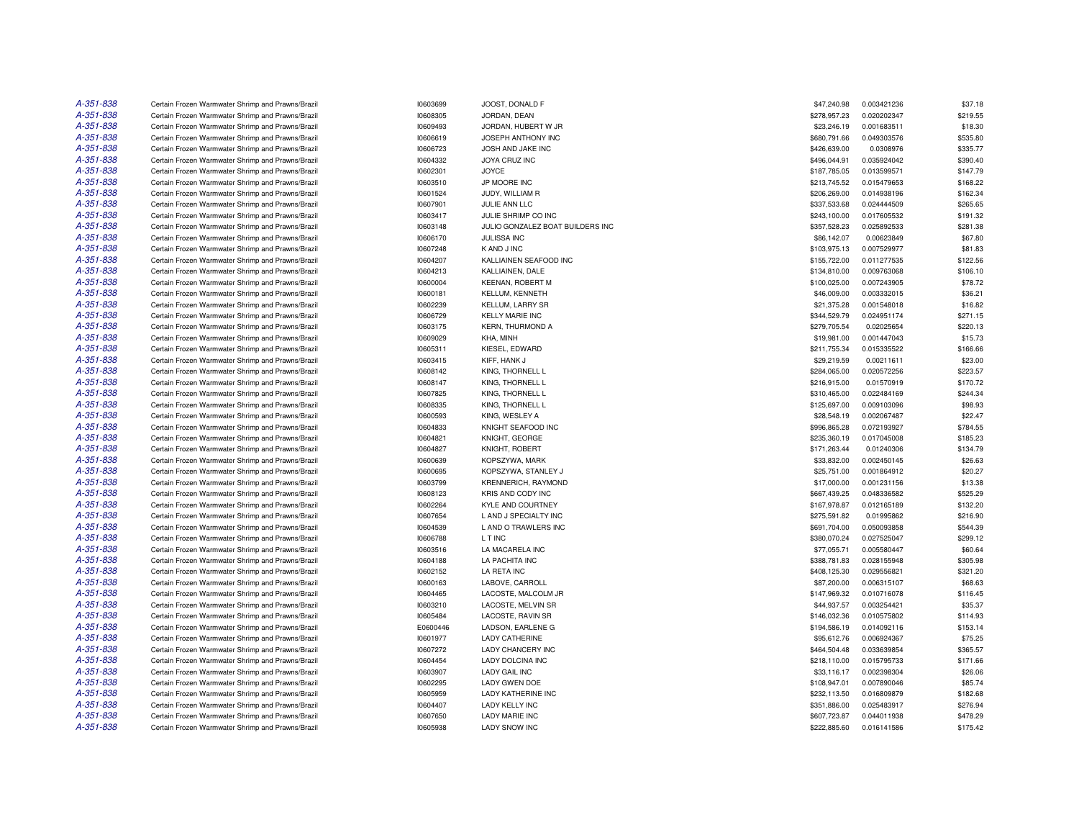| A-351-838 | Certain Frozen Warmwater Shrimp and Prawns/Brazil | 10603699 | JOOST, DONALD F                  | \$47,240.98  | 0.003421236 | \$37.18  |
|-----------|---------------------------------------------------|----------|----------------------------------|--------------|-------------|----------|
| A-351-838 | Certain Frozen Warmwater Shrimp and Prawns/Brazil | 10608305 | JORDAN, DEAN                     | \$278,957.23 | 0.020202347 | \$219.55 |
| A-351-838 | Certain Frozen Warmwater Shrimp and Prawns/Brazil | 10609493 | JORDAN, HUBERT W JR              | \$23,246.19  | 0.001683511 | \$18.30  |
| A-351-838 | Certain Frozen Warmwater Shrimp and Prawns/Brazil | 10606619 | JOSEPH ANTHONY INC               | \$680,791.66 | 0.049303576 | \$535.80 |
| A-351-838 | Certain Frozen Warmwater Shrimp and Prawns/Brazil | 10606723 | JOSH AND JAKE INC                | \$426,639.00 | 0.0308976   | \$335.77 |
| A-351-838 | Certain Frozen Warmwater Shrimp and Prawns/Brazil | 10604332 | JOYA CRUZ INC                    | \$496,044.91 | 0.035924042 | \$390.40 |
| A-351-838 | Certain Frozen Warmwater Shrimp and Prawns/Brazil | 10602301 | <b>JOYCE</b>                     | \$187,785.05 | 0.013599571 | \$147.79 |
| A-351-838 | Certain Frozen Warmwater Shrimp and Prawns/Brazil | 10603510 | JP MOORE INC                     | \$213,745.52 | 0.015479653 | \$168.22 |
| A-351-838 | Certain Frozen Warmwater Shrimp and Prawns/Brazil | 10601524 | JUDY, WILLIAM R                  | \$206,269.00 | 0.014938196 | \$162.34 |
| A-351-838 | Certain Frozen Warmwater Shrimp and Prawns/Brazil | 10607901 | JULIE ANN LLC                    | \$337,533.68 | 0.024444509 | \$265.65 |
| A-351-838 | Certain Frozen Warmwater Shrimp and Prawns/Brazil | 10603417 | JULIE SHRIMP CO INC              | \$243,100.00 | 0.017605532 | \$191.32 |
| A-351-838 | Certain Frozen Warmwater Shrimp and Prawns/Brazil | 10603148 | JULIO GONZALEZ BOAT BUILDERS INC | \$357,528.23 | 0.025892533 | \$281.38 |
| A-351-838 | Certain Frozen Warmwater Shrimp and Prawns/Brazil | 10606170 | JULISSA INC                      | \$86,142.07  | 0.00623849  | \$67.80  |
| A-351-838 | Certain Frozen Warmwater Shrimp and Prawns/Brazil | 10607248 | K AND J INC                      | \$103,975.13 | 0.007529977 | \$81.83  |
| A-351-838 | Certain Frozen Warmwater Shrimp and Prawns/Brazil | 10604207 | KALLIAINEN SEAFOOD INC           | \$155,722.00 | 0.011277535 | \$122.56 |
| A-351-838 | Certain Frozen Warmwater Shrimp and Prawns/Brazil | 10604213 | KALLIAINEN, DALE                 | \$134,810.00 | 0.009763068 | \$106.10 |
| A-351-838 | Certain Frozen Warmwater Shrimp and Prawns/Brazil | 10600004 | <b>KEENAN, ROBERT M</b>          | \$100,025.00 | 0.007243905 | \$78.72  |
| A-351-838 |                                                   |          |                                  |              |             |          |
| A-351-838 | Certain Frozen Warmwater Shrimp and Prawns/Brazil | 10600181 | KELLUM, KENNETH                  | \$46,009.00  | 0.003332015 | \$36.21  |
|           | Certain Frozen Warmwater Shrimp and Prawns/Brazil | 10602239 | KELLUM, LARRY SR                 | \$21,375.28  | 0.001548018 | \$16.82  |
| A-351-838 | Certain Frozen Warmwater Shrimp and Prawns/Brazil | 10606729 | <b>KELLY MARIE INC</b>           | \$344,529.79 | 0.024951174 | \$271.15 |
| A-351-838 | Certain Frozen Warmwater Shrimp and Prawns/Brazil | 10603175 | <b>KERN, THURMOND A</b>          | \$279,705.54 | 0.02025654  | \$220.13 |
| A-351-838 | Certain Frozen Warmwater Shrimp and Prawns/Brazil | 10609029 | KHA, MINH                        | \$19,981.00  | 0.001447043 | \$15.73  |
| A-351-838 | Certain Frozen Warmwater Shrimp and Prawns/Brazil | 10605311 | KIESEL, EDWARD                   | \$211,755.34 | 0.015335522 | \$166.66 |
| A-351-838 | Certain Frozen Warmwater Shrimp and Prawns/Brazil | 10603415 | KIFF, HANK J                     | \$29,219.59  | 0.00211611  | \$23.00  |
| A-351-838 | Certain Frozen Warmwater Shrimp and Prawns/Brazil | 10608142 | KING, THORNELL L                 | \$284,065.00 | 0.020572256 | \$223.57 |
| A-351-838 | Certain Frozen Warmwater Shrimp and Prawns/Brazil | 10608147 | KING, THORNELL L                 | \$216,915.00 | 0.01570919  | \$170.72 |
| A-351-838 | Certain Frozen Warmwater Shrimp and Prawns/Brazil | 10607825 | KING, THORNELL L                 | \$310,465.00 | 0.022484169 | \$244.34 |
| A-351-838 | Certain Frozen Warmwater Shrimp and Prawns/Brazil | 10608335 | KING, THORNELL L                 | \$125,697.00 | 0.009103096 | \$98.93  |
| A-351-838 | Certain Frozen Warmwater Shrimp and Prawns/Brazil | 10600593 | KING, WESLEY A                   | \$28,548.19  | 0.002067487 | \$22.47  |
| A-351-838 | Certain Frozen Warmwater Shrimp and Prawns/Brazil | 10604833 | KNIGHT SEAFOOD INC               | \$996,865.28 | 0.072193927 | \$784.55 |
| A-351-838 | Certain Frozen Warmwater Shrimp and Prawns/Brazil | 10604821 | KNIGHT, GEORGE                   | \$235,360.19 | 0.017045008 | \$185.23 |
| A-351-838 | Certain Frozen Warmwater Shrimp and Prawns/Brazil | 10604827 | <b>KNIGHT, ROBERT</b>            | \$171,263.44 | 0.01240306  | \$134.79 |
| A-351-838 | Certain Frozen Warmwater Shrimp and Prawns/Brazil | 10600639 | KOPSZYWA, MARK                   | \$33,832.00  | 0.002450145 | \$26.63  |
| A-351-838 | Certain Frozen Warmwater Shrimp and Prawns/Brazil | 10600695 | KOPSZYWA, STANLEY J              | \$25,751.00  | 0.001864912 | \$20.27  |
| A-351-838 | Certain Frozen Warmwater Shrimp and Prawns/Brazil | 10603799 | KRENNERICH, RAYMOND              | \$17,000.00  | 0.001231156 | \$13.38  |
| A-351-838 | Certain Frozen Warmwater Shrimp and Prawns/Brazil | 10608123 | <b>KRIS AND CODY INC</b>         | \$667,439.25 | 0.048336582 | \$525.29 |
| A-351-838 | Certain Frozen Warmwater Shrimp and Prawns/Brazil | 10602264 | KYLE AND COURTNEY                | \$167,978.87 | 0.012165189 | \$132.20 |
| A-351-838 | Certain Frozen Warmwater Shrimp and Prawns/Brazil | 10607654 | L AND J SPECIALTY INC            | \$275,591.82 | 0.01995862  | \$216.90 |
| A-351-838 | Certain Frozen Warmwater Shrimp and Prawns/Brazil | 10604539 | L AND O TRAWLERS INC             | \$691,704.00 | 0.050093858 | \$544.39 |
| A-351-838 | Certain Frozen Warmwater Shrimp and Prawns/Brazil | 10606788 | L T INC                          | \$380.070.24 | 0.027525047 | \$299.12 |
| A-351-838 | Certain Frozen Warmwater Shrimp and Prawns/Brazil | 10603516 | LA MACARELA INC                  | \$77,055.71  | 0.005580447 | \$60.64  |
| A-351-838 | Certain Frozen Warmwater Shrimp and Prawns/Brazil | 10604188 | LA PACHITA INC                   | \$388,781.83 | 0.028155948 | \$305.98 |
| A-351-838 | Certain Frozen Warmwater Shrimp and Prawns/Brazil | 10602152 | LA RETA INC                      | \$408,125.30 | 0.029556821 | \$321.20 |
| A-351-838 | Certain Frozen Warmwater Shrimp and Prawns/Brazil | 10600163 | LABOVE, CARROLL                  | \$87,200.00  | 0.006315107 | \$68,63  |
| A-351-838 | Certain Frozen Warmwater Shrimp and Prawns/Brazil | 10604465 | LACOSTE, MALCOLM JR              | \$147,969.32 | 0.010716078 | \$116.45 |
| A-351-838 | Certain Frozen Warmwater Shrimp and Prawns/Brazil | 10603210 | LACOSTE, MELVIN SR               | \$44,937.57  | 0.003254421 | \$35.37  |
| A-351-838 | Certain Frozen Warmwater Shrimp and Prawns/Brazil | 10605484 | LACOSTE, RAVIN SR                | \$146,032.36 | 0.010575802 | \$114.93 |
| A-351-838 | Certain Frozen Warmwater Shrimp and Prawns/Brazil | E0600446 | LADSON, EARLENE G                | \$194,586.19 | 0.014092116 | \$153.14 |
| A-351-838 | Certain Frozen Warmwater Shrimp and Prawns/Brazil | 10601977 | <b>LADY CATHERINE</b>            | \$95,612.76  | 0.006924367 | \$75.25  |
| A-351-838 | Certain Frozen Warmwater Shrimp and Prawns/Brazil | 10607272 | LADY CHANCERY INC                | \$464,504.48 | 0.033639854 | \$365.57 |
| A-351-838 | Certain Frozen Warmwater Shrimp and Prawns/Brazil | 10604454 | LADY DOLCINA INC                 | \$218,110.00 | 0.015795733 | \$171.66 |
| A-351-838 | Certain Frozen Warmwater Shrimp and Prawns/Brazil | 10603907 | <b>LADY GAIL INC</b>             | \$33,116.17  | 0.002398304 | \$26.06  |
| A-351-838 |                                                   |          |                                  |              |             |          |
|           | Certain Frozen Warmwater Shrimp and Prawns/Brazil | 10602295 | LADY GWEN DOE                    | \$108,947.01 | 0.007890046 | \$85.74  |
| A-351-838 | Certain Frozen Warmwater Shrimp and Prawns/Brazil | 10605959 | LADY KATHERINE INC               | \$232,113.50 | 0.016809879 | \$182.68 |
| A-351-838 | Certain Frozen Warmwater Shrimp and Prawns/Brazil | 10604407 | LADY KELLY INC                   | \$351,886.00 | 0.025483917 | \$276.94 |
| A-351-838 | Certain Frozen Warmwater Shrimp and Prawns/Brazil | 10607650 | <b>LADY MARIE INC</b>            | \$607,723.87 | 0.044011938 | \$478.29 |
| A-351-838 | Certain Frozen Warmwater Shrimp and Prawns/Brazil | 10605938 | <b>LADY SNOW INC</b>             | \$222,885.60 | 0.016141586 | \$175.42 |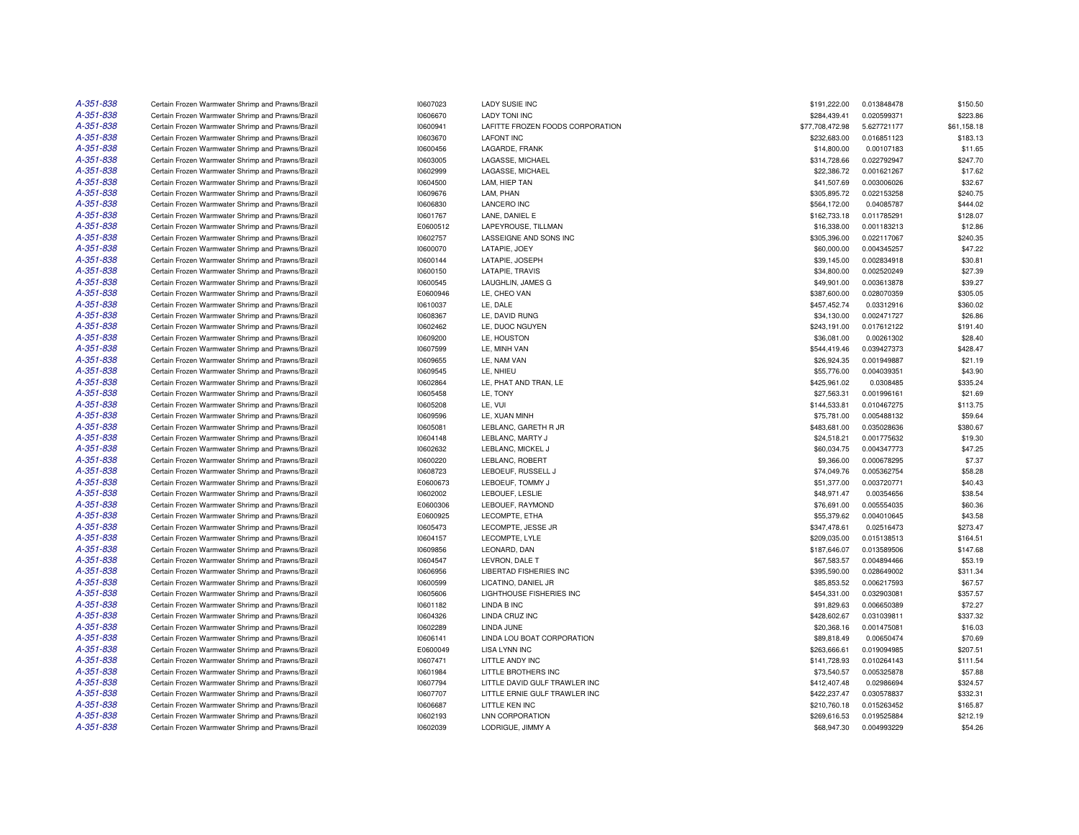| A-351-838              | Certain Frozen Warmwater Shrimp and Prawns/Brazil | 10607023 | LADY SUSIE INC                         | \$191,222.00    | 0.013848478 | \$150.50    |
|------------------------|---------------------------------------------------|----------|----------------------------------------|-----------------|-------------|-------------|
| A-351-838              | Certain Frozen Warmwater Shrimp and Prawns/Brazil | 10606670 | <b>LADY TONI INC</b>                   | \$284,439.41    | 0.020599371 | \$223.86    |
| A-351-838              | Certain Frozen Warmwater Shrimp and Prawns/Brazil | 10600941 | LAFITTE FROZEN FOODS CORPORATION       | \$77,708,472.98 | 5.627721177 | \$61,158.18 |
| A-351-838              | Certain Frozen Warmwater Shrimp and Prawns/Brazil | 10603670 | <b>LAFONT INC</b>                      | \$232,683.00    | 0.016851123 | \$183.13    |
| A-351-838              | Certain Frozen Warmwater Shrimp and Prawns/Brazil | 10600456 | LAGARDE, FRANK                         | \$14,800.00     | 0.00107183  | \$11.65     |
| A-351-838              | Certain Frozen Warmwater Shrimp and Prawns/Brazil | 10603005 | LAGASSE, MICHAEL                       | \$314,728.66    | 0.022792947 | \$247.70    |
| A-351-838              | Certain Frozen Warmwater Shrimp and Prawns/Brazil | 10602999 | LAGASSE, MICHAEL                       | \$22,386.72     | 0.001621267 | \$17.62     |
| A-351-838              | Certain Frozen Warmwater Shrimp and Prawns/Brazil | 10604500 | LAM. HIEP TAN                          | \$41,507.69     | 0.003006026 | \$32.67     |
| A-351-838              | Certain Frozen Warmwater Shrimp and Prawns/Brazil | 10609676 | LAM, PHAN                              | \$305,895.72    | 0.022153258 | \$240.75    |
| A-351-838              | Certain Frozen Warmwater Shrimp and Prawns/Brazil | 10606830 | <b>LANCERO INC</b>                     | \$564,172.00    | 0.04085787  | \$444.02    |
| A-351-838              | Certain Frozen Warmwater Shrimp and Prawns/Brazil | 10601767 | LANE, DANIEL E                         | \$162,733.18    | 0.011785291 | \$128.07    |
| A-351-838              | Certain Frozen Warmwater Shrimp and Prawns/Brazil | E0600512 | LAPEYROUSE, TILLMAN                    | \$16,338.00     | 0.001183213 | \$12.86     |
| A-351-838              | Certain Frozen Warmwater Shrimp and Prawns/Brazil | 10602757 | LASSEIGNE AND SONS INC                 | \$305,396.00    | 0.022117067 | \$240.35    |
| A-351-838              | Certain Frozen Warmwater Shrimp and Prawns/Brazil | 10600070 | LATAPIE, JOEY                          | \$60,000.00     | 0.004345257 | \$47.22     |
| A-351-838              | Certain Frozen Warmwater Shrimp and Prawns/Brazil | 10600144 | LATAPIE, JOSEPH                        | \$39,145.00     | 0.002834918 | \$30.81     |
| A-351-838              | Certain Frozen Warmwater Shrimp and Prawns/Brazil | 10600150 | LATAPIE, TRAVIS                        | \$34,800.00     | 0.002520249 | \$27.39     |
| A-351-838              | Certain Frozen Warmwater Shrimp and Prawns/Brazil | 10600545 | LAUGHLIN, JAMES G                      | \$49,901.00     | 0.003613878 | \$39.27     |
| A-351-838              |                                                   |          |                                        |                 |             |             |
| A-351-838              | Certain Frozen Warmwater Shrimp and Prawns/Brazil | E0600946 | LE, CHEO VAN                           | \$387,600.00    | 0.028070359 | \$305.05    |
|                        | Certain Frozen Warmwater Shrimp and Prawns/Brazil | 10610037 | LE, DALE                               | \$457,452.74    | 0.03312916  | \$360.02    |
| A-351-838              | Certain Frozen Warmwater Shrimp and Prawns/Brazil | 10608367 | LE, DAVID RUNG                         | \$34,130.00     | 0.002471727 | \$26.86     |
| A-351-838              | Certain Frozen Warmwater Shrimp and Prawns/Brazil | 10602462 | LE, DUOC NGUYEN                        | \$243,191.00    | 0.017612122 | \$191.40    |
| A-351-838              | Certain Frozen Warmwater Shrimp and Prawns/Brazil | 10609200 | LE. HOUSTON                            | \$36,081.00     | 0.00261302  | \$28.40     |
| A-351-838              | Certain Frozen Warmwater Shrimp and Prawns/Brazil | 10607599 | LE, MINH VAN                           | \$544,419.46    | 0.039427373 | \$428.47    |
| A-351-838              | Certain Frozen Warmwater Shrimp and Prawns/Brazil | 10609655 | LE, NAM VAN                            | \$26,924.35     | 0.001949887 | \$21.19     |
| A-351-838              | Certain Frozen Warmwater Shrimp and Prawns/Brazil | 10609545 | LE, NHIEU                              | \$55,776.00     | 0.004039351 | \$43.90     |
| A-351-838              | Certain Frozen Warmwater Shrimp and Prawns/Brazil | 10602864 | LE, PHAT AND TRAN, LE                  | \$425,961.02    | 0.0308485   | \$335.24    |
| A-351-838              | Certain Frozen Warmwater Shrimp and Prawns/Brazil | 10605458 | LE, TONY                               | \$27,563.31     | 0.001996161 | \$21.69     |
| A-351-838              | Certain Frozen Warmwater Shrimp and Prawns/Brazil | 10605208 | LE, VUI                                | \$144,533.81    | 0.010467275 | \$113.75    |
| A-351-838              | Certain Frozen Warmwater Shrimp and Prawns/Brazil | 10609596 | LE, XUAN MINH                          | \$75,781.00     | 0.005488132 | \$59.64     |
| A-351-838              | Certain Frozen Warmwater Shrimp and Prawns/Brazil | 10605081 | LEBLANC, GARETH R JR                   | \$483,681.00    | 0.035028636 | \$380.67    |
| A-351-838              | Certain Frozen Warmwater Shrimp and Prawns/Brazil | 10604148 | LEBLANC, MARTY J                       | \$24,518.21     | 0.001775632 | \$19.30     |
| A-351-838              | Certain Frozen Warmwater Shrimp and Prawns/Brazil | 10602632 | LEBLANC, MICKEL J                      | \$60,034.75     | 0.004347773 | \$47.25     |
| A-351-838              | Certain Frozen Warmwater Shrimp and Prawns/Brazil | 10600220 | LEBLANC, ROBERT                        | \$9,366.00      | 0.000678295 | \$7.37      |
| A-351-838              | Certain Frozen Warmwater Shrimp and Prawns/Brazil | 10608723 | LEBOEUF, RUSSELL J                     | \$74,049.76     | 0.005362754 | \$58.28     |
| A-351-838              | Certain Frozen Warmwater Shrimp and Prawns/Brazil | E0600673 | LEBOEUF, TOMMY J                       | \$51,377.00     | 0.003720771 | \$40.43     |
| A-351-838              | Certain Frozen Warmwater Shrimp and Prawns/Brazil | 10602002 | LEBOUEF, LESLIE                        | \$48,971.47     | 0.00354656  | \$38.54     |
| A-351-838              | Certain Frozen Warmwater Shrimp and Prawns/Brazil | E0600306 | LEBOUEF, RAYMOND                       | \$76,691.00     | 0.005554035 | \$60.36     |
| A-351-838              | Certain Frozen Warmwater Shrimp and Prawns/Brazil | E0600925 | LECOMPTE, ETHA                         | \$55,379.62     | 0.004010645 | \$43.58     |
| A-351-838              | Certain Frozen Warmwater Shrimp and Prawns/Brazil | 10605473 | LECOMPTE, JESSE JR                     | \$347,478.61    | 0.02516473  | \$273.47    |
| A-351-838              | Certain Frozen Warmwater Shrimp and Prawns/Brazil | 10604157 | LECOMPTE, LYLE                         | \$209,035.00    | 0.015138513 | \$164.51    |
| A-351-838              | Certain Frozen Warmwater Shrimp and Prawns/Brazil | 10609856 | LEONARD, DAN                           | \$187,646.07    | 0.013589506 | \$147.68    |
| A-351-838              | Certain Frozen Warmwater Shrimp and Prawns/Brazil | 10604547 | LEVRON, DALE T                         | \$67,583.57     | 0.004894466 | \$53.19     |
| A-351-838              | Certain Frozen Warmwater Shrimp and Prawns/Brazil | 10606956 | LIBERTAD FISHERIES INC                 | \$395,590.00    | 0.028649002 | \$311.34    |
| A-351-838              | Certain Frozen Warmwater Shrimp and Prawns/Brazil | 10600599 | LICATINO, DANIEL JR                    | \$85,853.52     | 0.006217593 | \$67.57     |
| A-351-838              | Certain Frozen Warmwater Shrimp and Prawns/Brazil | 10605606 | LIGHTHOUSE FISHERIES INC               | \$454,331.00    | 0.032903081 | \$357.57    |
| A-351-838              | Certain Frozen Warmwater Shrimp and Prawns/Brazil | 10601182 | LINDA B INC                            | \$91,829.63     | 0.006650389 | \$72.27     |
| A-351-838              | Certain Frozen Warmwater Shrimp and Prawns/Brazil | 10604326 | LINDA CRUZ INC                         | \$428,602.67    | 0.031039811 | \$337.32    |
| A-351-838              | Certain Frozen Warmwater Shrimp and Prawns/Brazil | 10602289 | <b>LINDA JUNE</b>                      | \$20,368.16     | 0.001475081 | \$16.03     |
| A-351-838              | Certain Frozen Warmwater Shrimp and Prawns/Brazil | 10606141 | LINDA LOU BOAT CORPORATION             | \$89,818.49     | 0.00650474  | \$70.69     |
| A-351-838              | Certain Frozen Warmwater Shrimp and Prawns/Brazil | E0600049 | <b>LISA LYNN INC</b>                   | \$263,666.61    | 0.019094985 | \$207.51    |
|                        |                                                   |          |                                        |                 |             |             |
| A-351-838<br>A-351-838 | Certain Frozen Warmwater Shrimp and Prawns/Brazil | 10607471 | LITTLE ANDY INC<br>LITTLE BROTHERS INC | \$141,728.93    | 0.010264143 | \$111.54    |
|                        | Certain Frozen Warmwater Shrimp and Prawns/Brazil | 10601984 |                                        | \$73,540.57     | 0.005325878 | \$57.88     |
| A-351-838              | Certain Frozen Warmwater Shrimp and Prawns/Brazil | 10607794 | LITTLE DAVID GULF TRAWLER INC          | \$412,407.48    | 0.02986694  | \$324.57    |
| A-351-838              | Certain Frozen Warmwater Shrimp and Prawns/Brazil | 10607707 | LITTLE ERNIE GULF TRAWLER INC          | \$422,237.47    | 0.030578837 | \$332.31    |
| A-351-838              | Certain Frozen Warmwater Shrimp and Prawns/Brazil | 10606687 | LITTLE KEN INC                         | \$210,760.18    | 0.015263452 | \$165.87    |
| A-351-838              | Certain Frozen Warmwater Shrimp and Prawns/Brazil | 10602193 | <b>LNN CORPORATION</b>                 | \$269.616.53    | 0.019525884 | \$212.19    |
| A-351-838              | Certain Frozen Warmwater Shrimp and Prawns/Brazil | 10602039 | LODRIGUE, JIMMY A                      | \$68,947.30     | 0.004993229 | \$54.26     |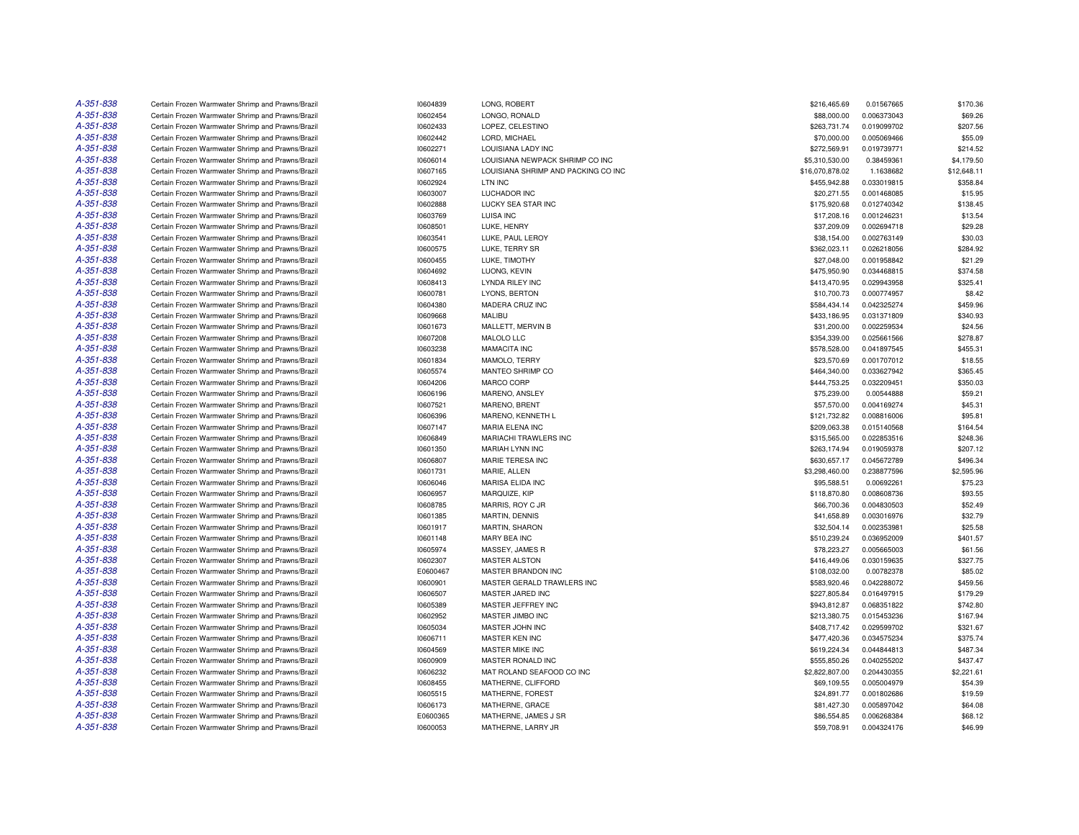| A-351-838 | Certain Frozen Warmwater Shrimp and Prawns/Brazil | 10604839 | LONG, ROBERT                        | \$216,465.69                 | 0.01567665  | \$170.36             |
|-----------|---------------------------------------------------|----------|-------------------------------------|------------------------------|-------------|----------------------|
| A-351-838 | Certain Frozen Warmwater Shrimp and Prawns/Brazil | 10602454 | LONGO, RONALD                       | \$88,000.00                  | 0.006373043 | \$69.26              |
| A-351-838 | Certain Frozen Warmwater Shrimp and Prawns/Brazil | 10602433 | LOPEZ, CELESTINO                    | \$263,731.74                 | 0.019099702 | \$207.56             |
| A-351-838 | Certain Frozen Warmwater Shrimp and Prawns/Brazil | 10602442 | LORD, MICHAEL                       | \$70,000.00                  | 0.005069466 | \$55.09              |
| A-351-838 | Certain Frozen Warmwater Shrimp and Prawns/Brazil | 10602271 | LOUISIANA LADY INC                  | \$272,569.91                 | 0.019739771 | \$214.52             |
| A-351-838 | Certain Frozen Warmwater Shrimp and Prawns/Brazil | 10606014 | LOUISIANA NEWPACK SHRIMP CO INC     | \$5,310,530.00               | 0.38459361  | \$4,179.50           |
| A-351-838 | Certain Frozen Warmwater Shrimp and Prawns/Brazil | 10607165 | LOUISIANA SHRIMP AND PACKING CO INC | \$16,070,878.02              | 1.1638682   | \$12,648.11          |
| A-351-838 | Certain Frozen Warmwater Shrimp and Prawns/Brazil | 10602924 | LTN INC                             | \$455,942.88                 | 0.033019815 | \$358.84             |
| A-351-838 | Certain Frozen Warmwater Shrimp and Prawns/Brazil | 10603007 | <b>LUCHADOR INC</b>                 | \$20,271.55                  | 0.001468085 | \$15.95              |
| A-351-838 | Certain Frozen Warmwater Shrimp and Prawns/Brazil | 10602888 | LUCKY SEA STAR INC                  | \$175,920.68                 | 0.012740342 | \$138.45             |
| A-351-838 | Certain Frozen Warmwater Shrimp and Prawns/Brazil | 10603769 | <b>LUISA INC</b>                    | \$17,208.16                  | 0.001246231 | \$13.54              |
| A-351-838 | Certain Frozen Warmwater Shrimp and Prawns/Brazil | 10608501 | LUKE, HENRY                         | \$37,209.09                  | 0.002694718 | \$29.28              |
| A-351-838 | Certain Frozen Warmwater Shrimp and Prawns/Brazil | 10603541 | LUKE, PAUL LEROY                    | \$38,154.00                  | 0.002763149 | \$30.03              |
| A-351-838 | Certain Frozen Warmwater Shrimp and Prawns/Brazil | 10600575 | LUKE, TERRY SR                      | \$362,023.11                 | 0.026218056 | \$284.92             |
| A-351-838 | Certain Frozen Warmwater Shrimp and Prawns/Brazil | 10600455 | LUKE, TIMOTHY                       | \$27,048.00                  | 0.001958842 | \$21.29              |
| A-351-838 | Certain Frozen Warmwater Shrimp and Prawns/Brazil | 10604692 | LUONG, KEVIN                        | \$475,950.90                 | 0.034468815 | \$374.58             |
| A-351-838 | Certain Frozen Warmwater Shrimp and Prawns/Brazil | 10608413 | <b>LYNDA RILEY INC</b>              | \$413,470.95                 | 0.029943958 | \$325.41             |
| A-351-838 | Certain Frozen Warmwater Shrimp and Prawns/Brazil | 10600781 | LYONS, BERTON                       | \$10,700.73                  | 0.000774957 | \$8.42               |
| A-351-838 | Certain Frozen Warmwater Shrimp and Prawns/Brazil | 10604380 | MADERA CRUZ INC                     | \$584,434.14                 | 0.042325274 | \$459.96             |
| A-351-838 | Certain Frozen Warmwater Shrimp and Prawns/Brazil | 10609668 | MALIBU                              | \$433,186.95                 | 0.031371809 | \$340.93             |
| A-351-838 | Certain Frozen Warmwater Shrimp and Prawns/Brazil | 10601673 | MALLETT, MERVIN B                   | \$31,200.00                  | 0.002259534 | \$24.56              |
| A-351-838 | Certain Frozen Warmwater Shrimp and Prawns/Brazil | 10607208 | MALOLO LLC                          | \$354,339.00                 | 0.025661566 | \$278.87             |
| A-351-838 | Certain Frozen Warmwater Shrimp and Prawns/Brazil | 10603238 | <b>MAMACITA INC</b>                 | \$578,528.00                 | 0.041897545 | \$455.31             |
| A-351-838 | Certain Frozen Warmwater Shrimp and Prawns/Brazil | 10601834 | MAMOLO, TERRY                       | \$23,570.69                  | 0.001707012 | \$18.55              |
| A-351-838 | Certain Frozen Warmwater Shrimp and Prawns/Brazil | 10605574 | MANTEO SHRIMP CO                    | \$464,340.00                 | 0.033627942 | \$365.45             |
| A-351-838 | Certain Frozen Warmwater Shrimp and Prawns/Brazil | 10604206 | MARCO CORP                          | \$444,753.25                 | 0.032209451 | \$350.03             |
| A-351-838 | Certain Frozen Warmwater Shrimp and Prawns/Brazil | 10606196 | MARENO, ANSLEY                      | \$75,239.00                  | 0.00544888  | \$59.21              |
| A-351-838 | Certain Frozen Warmwater Shrimp and Prawns/Brazil | 10607521 | MARENO, BRENT                       | \$57,570.00                  | 0.004169274 | \$45.31              |
| A-351-838 | Certain Frozen Warmwater Shrimp and Prawns/Brazil | 10606396 | MARENO, KENNETH L                   | \$121,732.82                 | 0.008816006 | \$95.81              |
| A-351-838 | Certain Frozen Warmwater Shrimp and Prawns/Brazil | 10607147 | <b>MARIA ELENA INC</b>              | \$209,063.38                 | 0.015140568 | \$164.54             |
| A-351-838 | Certain Frozen Warmwater Shrimp and Prawns/Brazil | 10606849 | MARIACHI TRAWLERS INC               | \$315,565.00                 | 0.022853516 | \$248.36             |
| A-351-838 |                                                   |          | MARIAH LYNN INC                     |                              |             |                      |
| A-351-838 | Certain Frozen Warmwater Shrimp and Prawns/Brazil | 10601350 | MARIE TERESA INC                    | \$263,174.94<br>\$630,657.17 | 0.019059378 | \$207.12<br>\$496.34 |
| A-351-838 | Certain Frozen Warmwater Shrimp and Prawns/Brazil | 10606807 |                                     |                              | 0.045672789 |                      |
| A-351-838 | Certain Frozen Warmwater Shrimp and Prawns/Brazil | 10601731 | MARIE, ALLEN                        | \$3,298,460.00               | 0.238877596 | \$2,595.96           |
|           | Certain Frozen Warmwater Shrimp and Prawns/Brazil | 10606046 | MARISA ELIDA INC                    | \$95,588.51                  | 0.00692261  | \$75.23              |
| A-351-838 | Certain Frozen Warmwater Shrimp and Prawns/Brazil | 10606957 | MARQUIZE, KIP                       | \$118,870.80                 | 0.008608736 | \$93.55              |
| A-351-838 | Certain Frozen Warmwater Shrimp and Prawns/Brazil | 10608785 | MARRIS, ROY C JR                    | \$66,700.36                  | 0.004830503 | \$52.49              |
| A-351-838 | Certain Frozen Warmwater Shrimp and Prawns/Brazil | 10601385 | <b>MARTIN, DENNIS</b>               | \$41,658.89                  | 0.003016976 | \$32.79              |
| A-351-838 | Certain Frozen Warmwater Shrimp and Prawns/Brazil | 10601917 | <b>MARTIN, SHARON</b>               | \$32,504.14                  | 0.002353981 | \$25.58              |
| A-351-838 | Certain Frozen Warmwater Shrimp and Prawns/Brazil | 10601148 | MARY BEA INC                        | \$510,239.24                 | 0.036952009 | \$401.57             |
| A-351-838 | Certain Frozen Warmwater Shrimp and Prawns/Brazil | 10605974 | MASSEY, JAMES R                     | \$78,223.27                  | 0.005665003 | \$61.56              |
| A-351-838 | Certain Frozen Warmwater Shrimp and Prawns/Brazil | 10602307 | <b>MASTER ALSTON</b>                | \$416,449.06                 | 0.030159635 | \$327.75             |
| A-351-838 | Certain Frozen Warmwater Shrimp and Prawns/Brazil | E0600467 | MASTER BRANDON INC                  | \$108,032.00                 | 0.00782378  | \$85.02              |
| A-351-838 | Certain Frozen Warmwater Shrimp and Prawns/Brazil | 10600901 | MASTER GERALD TRAWLERS INC          | \$583,920.46                 | 0.042288072 | \$459.56             |
| A-351-838 | Certain Frozen Warmwater Shrimp and Prawns/Brazil | 10606507 | MASTER JARED INC                    | \$227,805.84                 | 0.016497915 | \$179.29             |
| A-351-838 | Certain Frozen Warmwater Shrimp and Prawns/Brazil | 10605389 | MASTER JEFFREY INC                  | \$943,812.87                 | 0.068351822 | \$742.80             |
| A-351-838 | Certain Frozen Warmwater Shrimp and Prawns/Brazil | 10602952 | MASTER JIMBO INC                    | \$213,380.75                 | 0.015453236 | \$167.94             |
| A-351-838 | Certain Frozen Warmwater Shrimp and Prawns/Brazil | 10605034 | MASTER JOHN INC                     | \$408,717.42                 | 0.029599702 | \$321.67             |
| A-351-838 | Certain Frozen Warmwater Shrimp and Prawns/Brazil | 10606711 | MASTER KEN INC                      | \$477,420.36                 | 0.034575234 | \$375.74             |
| A-351-838 | Certain Frozen Warmwater Shrimp and Prawns/Brazil | 10604569 | <b>MASTER MIKE INC</b>              | \$619,224.34                 | 0.044844813 | \$487.34             |
| A-351-838 | Certain Frozen Warmwater Shrimp and Prawns/Brazil | 10600909 | MASTER RONALD INC                   | \$555.850.26                 | 0.040255202 | \$437.47             |
| A-351-838 | Certain Frozen Warmwater Shrimp and Prawns/Brazil | 10606232 | MAT ROLAND SEAFOOD CO INC           | \$2,822,807.00               | 0.204430355 | \$2,221.61           |
| A-351-838 | Certain Frozen Warmwater Shrimp and Prawns/Brazil | 10608455 | MATHERNE, CLIFFORD                  | \$69,109.55                  | 0.005004979 | \$54.39              |
| A-351-838 | Certain Frozen Warmwater Shrimp and Prawns/Brazil | 10605515 | MATHERNE, FOREST                    | \$24,891.77                  | 0.001802686 | \$19.59              |
| A-351-838 | Certain Frozen Warmwater Shrimp and Prawns/Brazil | 10606173 | MATHERNE, GRACE                     | \$81,427.30                  | 0.005897042 | \$64.08              |
| A-351-838 | Certain Frozen Warmwater Shrimp and Prawns/Brazil | E0600365 | MATHERNE, JAMES J SR                | \$86,554.85                  | 0.006268384 | \$68.12              |
| A-351-838 | Certain Frozen Warmwater Shrimp and Prawns/Brazil | 10600053 | MATHERNE, LARRY JR                  | \$59,708.91                  | 0.004324176 | \$46.99              |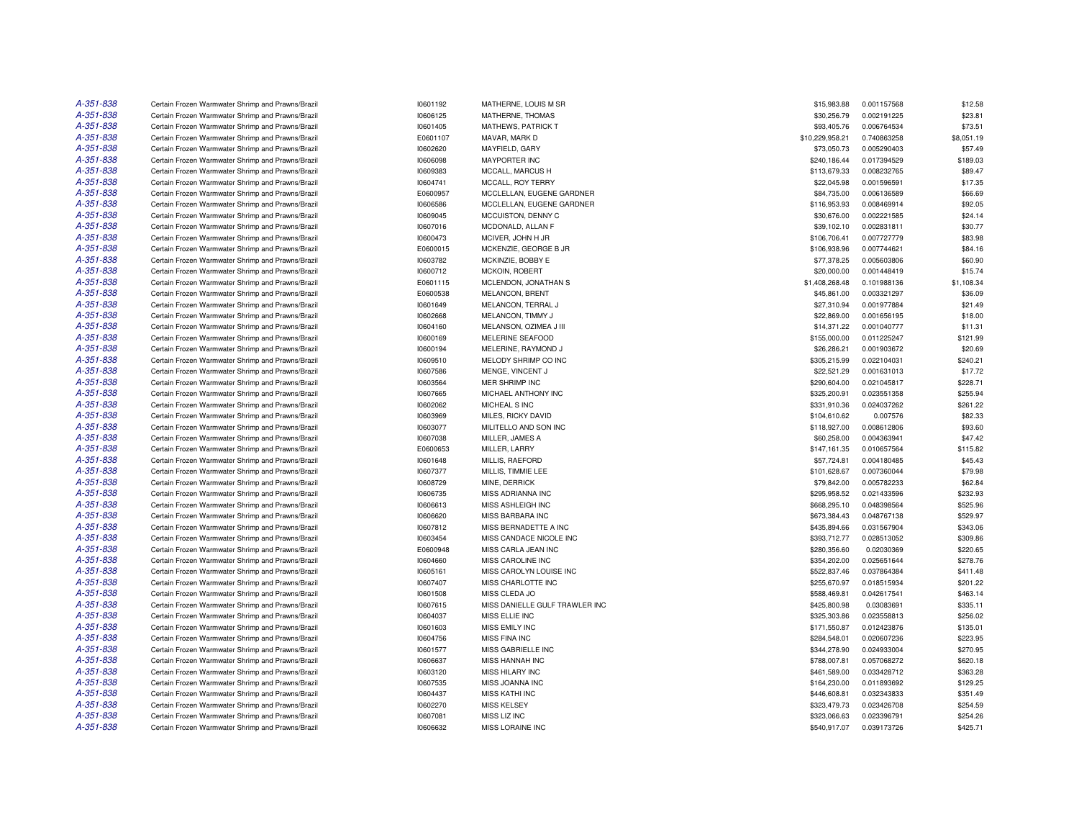| A-351-838 | Certain Frozen Warmwater Shrimp and Prawns/Brazil | 10601192 | MATHERNE, LOUIS M SR           | \$15,983.88     | 0.001157568 | \$12.58    |
|-----------|---------------------------------------------------|----------|--------------------------------|-----------------|-------------|------------|
| A-351-838 | Certain Frozen Warmwater Shrimp and Prawns/Brazil | 10606125 | MATHERNE, THOMAS               | \$30,256.79     | 0.002191225 | \$23.81    |
| A-351-838 | Certain Frozen Warmwater Shrimp and Prawns/Brazil | 10601405 | MATHEWS, PATRICK T             | \$93,405.76     | 0.006764534 | \$73.51    |
| A-351-838 | Certain Frozen Warmwater Shrimp and Prawns/Brazil | E0601107 | MAVAR, MARK D                  | \$10,229,958.21 | 0.740863258 | \$8,051.19 |
| A-351-838 | Certain Frozen Warmwater Shrimp and Prawns/Brazil | 10602620 | MAYFIELD, GARY                 | \$73,050.73     | 0.005290403 | \$57.49    |
| A-351-838 | Certain Frozen Warmwater Shrimp and Prawns/Brazil | 10606098 | <b>MAYPORTER INC</b>           | \$240,186.44    | 0.017394529 | \$189.03   |
| A-351-838 | Certain Frozen Warmwater Shrimp and Prawns/Brazil | 10609383 | MCCALL, MARCUS H               | \$113,679.33    | 0.008232765 | \$89.47    |
| A-351-838 | Certain Frozen Warmwater Shrimp and Prawns/Brazil | 10604741 | MCCALL, ROY TERRY              | \$22,045.98     | 0.001596591 | \$17.35    |
| A-351-838 | Certain Frozen Warmwater Shrimp and Prawns/Brazil | E0600957 | MCCLELLAN, EUGENE GARDNER      | \$84,735.00     | 0.006136589 | \$66.69    |
| A-351-838 | Certain Frozen Warmwater Shrimp and Prawns/Brazil | 10606586 | MCCLELLAN, EUGENE GARDNER      | \$116,953.93    | 0.008469914 | \$92.05    |
| A-351-838 | Certain Frozen Warmwater Shrimp and Prawns/Brazil | 10609045 | MCCUISTON, DENNY C             | \$30,676.00     | 0.002221585 | \$24.14    |
| A-351-838 | Certain Frozen Warmwater Shrimp and Prawns/Brazil | 10607016 | MCDONALD, ALLAN F              | \$39,102.10     | 0.002831811 | \$30.77    |
| A-351-838 | Certain Frozen Warmwater Shrimp and Prawns/Brazil | 10600473 | MCIVER, JOHN H JR              | \$106,706.41    | 0.007727779 | \$83.98    |
| A-351-838 | Certain Frozen Warmwater Shrimp and Prawns/Brazil | E0600015 | MCKENZIE, GEORGE B JR          | \$106,938.96    | 0.007744621 | \$84.16    |
| A-351-838 | Certain Frozen Warmwater Shrimp and Prawns/Brazil | 10603782 | MCKINZIE, BOBBY E              | \$77,378.25     | 0.005603806 | \$60.90    |
| A-351-838 | Certain Frozen Warmwater Shrimp and Prawns/Brazil | 10600712 | MCKOIN, ROBERT                 | \$20,000.00     | 0.001448419 | \$15.74    |
| A-351-838 | Certain Frozen Warmwater Shrimp and Prawns/Brazil | E0601115 | MCLENDON, JONATHAN S           | \$1,408,268.48  | 0.101988136 | \$1,108.34 |
| A-351-838 |                                                   |          |                                |                 |             |            |
| A-351-838 | Certain Frozen Warmwater Shrimp and Prawns/Brazil | E0600538 | MELANCON, BRENT                | \$45,861.00     | 0.003321297 | \$36.09    |
|           | Certain Frozen Warmwater Shrimp and Prawns/Brazil | 10601649 | MELANCON, TERRAL J             | \$27,310.94     | 0.001977884 | \$21.49    |
| A-351-838 | Certain Frozen Warmwater Shrimp and Prawns/Brazil | 10602668 | MELANCON, TIMMY J              | \$22,869.00     | 0.001656195 | \$18.00    |
| A-351-838 | Certain Frozen Warmwater Shrimp and Prawns/Brazil | 10604160 | MELANSON, OZIMEA J III         | \$14,371.22     | 0.001040777 | \$11.31    |
| A-351-838 | Certain Frozen Warmwater Shrimp and Prawns/Brazil | 10600169 | MELERINE SEAFOOD               | \$155,000.00    | 0.011225247 | \$121.99   |
| A-351-838 | Certain Frozen Warmwater Shrimp and Prawns/Brazil | 10600194 | MELERINE, RAYMOND J            | \$26,286.21     | 0.001903672 | \$20.69    |
| A-351-838 | Certain Frozen Warmwater Shrimp and Prawns/Brazil | 10609510 | MELODY SHRIMP CO INC           | \$305,215.99    | 0.022104031 | \$240.21   |
| A-351-838 | Certain Frozen Warmwater Shrimp and Prawns/Brazil | 10607586 | MENGE, VINCENT J               | \$22,521.29     | 0.001631013 | \$17.72    |
| A-351-838 | Certain Frozen Warmwater Shrimp and Prawns/Brazil | 10603564 | <b>MER SHRIMP INC</b>          | \$290,604.00    | 0.021045817 | \$228.71   |
| A-351-838 | Certain Frozen Warmwater Shrimp and Prawns/Brazil | 10607665 | MICHAEL ANTHONY INC            | \$325,200.91    | 0.023551358 | \$255.94   |
| A-351-838 | Certain Frozen Warmwater Shrimp and Prawns/Brazil | 10602062 | MICHEAL S INC                  | \$331,910.36    | 0.024037262 | \$261.22   |
| A-351-838 | Certain Frozen Warmwater Shrimp and Prawns/Brazil | 10603969 | MILES, RICKY DAVID             | \$104,610.62    | 0.007576    | \$82.33    |
| A-351-838 | Certain Frozen Warmwater Shrimp and Prawns/Brazil | 10603077 | MILITELLO AND SON INC          | \$118,927.00    | 0.008612806 | \$93.60    |
| A-351-838 | Certain Frozen Warmwater Shrimp and Prawns/Brazil | 10607038 | MILLER, JAMES A                | \$60,258.00     | 0.004363941 | \$47.42    |
| A-351-838 | Certain Frozen Warmwater Shrimp and Prawns/Brazil | E0600653 | MILLER, LARRY                  | \$147,161.35    | 0.010657564 | \$115.82   |
| A-351-838 | Certain Frozen Warmwater Shrimp and Prawns/Brazil | 10601648 | MILLIS, RAEFORD                | \$57,724.81     | 0.004180485 | \$45.43    |
| A-351-838 | Certain Frozen Warmwater Shrimp and Prawns/Brazil | 10607377 | MILLIS, TIMMIE LEE             | \$101,628.67    | 0.007360044 | \$79.98    |
| A-351-838 | Certain Frozen Warmwater Shrimp and Prawns/Brazil | 10608729 | MINE, DERRICK                  | \$79,842.00     | 0.005782233 | \$62.84    |
| A-351-838 | Certain Frozen Warmwater Shrimp and Prawns/Brazil | 10606735 | MISS ADRIANNA INC              | \$295,958.52    | 0.021433596 | \$232.93   |
| A-351-838 | Certain Frozen Warmwater Shrimp and Prawns/Brazil | 10606613 | MISS ASHLEIGH INC              | \$668,295.10    | 0.048398564 | \$525.96   |
| A-351-838 | Certain Frozen Warmwater Shrimp and Prawns/Brazil | 10606620 | MISS BARBARA INC               | \$673,384.43    | 0.048767138 | \$529.97   |
| A-351-838 | Certain Frozen Warmwater Shrimp and Prawns/Brazil | 10607812 | MISS BERNADETTE A INC          | \$435,894.66    | 0.031567904 | \$343.06   |
| A-351-838 | Certain Frozen Warmwater Shrimp and Prawns/Brazil | 10603454 | MISS CANDACE NICOLE INC        | \$393,712.77    | 0.028513052 | \$309.86   |
| A-351-838 | Certain Frozen Warmwater Shrimp and Prawns/Brazil | E0600948 | MISS CARLA JEAN INC            | \$280,356.60    | 0.02030369  | \$220.65   |
| A-351-838 | Certain Frozen Warmwater Shrimp and Prawns/Brazil | 10604660 | MISS CAROLINE INC              | \$354,202.00    | 0.025651644 | \$278.76   |
| A-351-838 | Certain Frozen Warmwater Shrimp and Prawns/Brazil | 10605161 | MISS CAROLYN LOUISE INC        | \$522,837.46    | 0.037864384 | \$411.48   |
| A-351-838 | Certain Frozen Warmwater Shrimp and Prawns/Brazil | 10607407 | MISS CHARLOTTE INC             | \$255,670.97    | 0.018515934 | \$201.22   |
| A-351-838 | Certain Frozen Warmwater Shrimp and Prawns/Brazil | 10601508 | MISS CLEDA JO                  | \$588,469.81    | 0.042617541 | \$463.14   |
| A-351-838 | Certain Frozen Warmwater Shrimp and Prawns/Brazil | 10607615 | MISS DANIELLE GULF TRAWLER INC | \$425,800.98    | 0.03083691  | \$335.11   |
| A-351-838 | Certain Frozen Warmwater Shrimp and Prawns/Brazil | 10604037 | MISS ELLIE INC                 | \$325,303.86    | 0.023558813 | \$256.02   |
| A-351-838 | Certain Frozen Warmwater Shrimp and Prawns/Brazil | 10601603 | MISS EMILY INC                 | \$171,550.87    | 0.012423876 | \$135.01   |
| A-351-838 | Certain Frozen Warmwater Shrimp and Prawns/Brazil | 10604756 | MISS FINA INC                  | \$284,548.01    | 0.020607236 | \$223.95   |
| A-351-838 | Certain Frozen Warmwater Shrimp and Prawns/Brazil | 10601577 | MISS GABRIELLE INC             | \$344,278.90    | 0.024933004 | \$270.95   |
| A-351-838 | Certain Frozen Warmwater Shrimp and Prawns/Brazil | 10606637 | MISS HANNAH INC                | \$788,007.81    | 0.057068272 | \$620.18   |
| A-351-838 | Certain Frozen Warmwater Shrimp and Prawns/Brazil | 10603120 | <b>MISS HILARY INC</b>         | \$461,589.00    | 0.033428712 | \$363.28   |
| A-351-838 |                                                   |          |                                |                 |             |            |
|           | Certain Frozen Warmwater Shrimp and Prawns/Brazil | 10607535 | MISS JOANNA INC                | \$164,230.00    | 0.011893692 | \$129.25   |
| A-351-838 | Certain Frozen Warmwater Shrimp and Prawns/Brazil | 10604437 | <b>MISS KATHI INC</b>          | \$446,608.81    | 0.032343833 | \$351.49   |
| A-351-838 | Certain Frozen Warmwater Shrimp and Prawns/Brazil | 10602270 | <b>MISS KELSEY</b>             | \$323,479.73    | 0.023426708 | \$254.59   |
| A-351-838 | Certain Frozen Warmwater Shrimp and Prawns/Brazil | 10607081 | MISS LIZ INC                   | \$323,066.63    | 0.023396791 | \$254.26   |
| A-351-838 | Certain Frozen Warmwater Shrimp and Prawns/Brazil | 10606632 | MISS LORAINE INC               | \$540,917.07    | 0.039173726 | \$425.71   |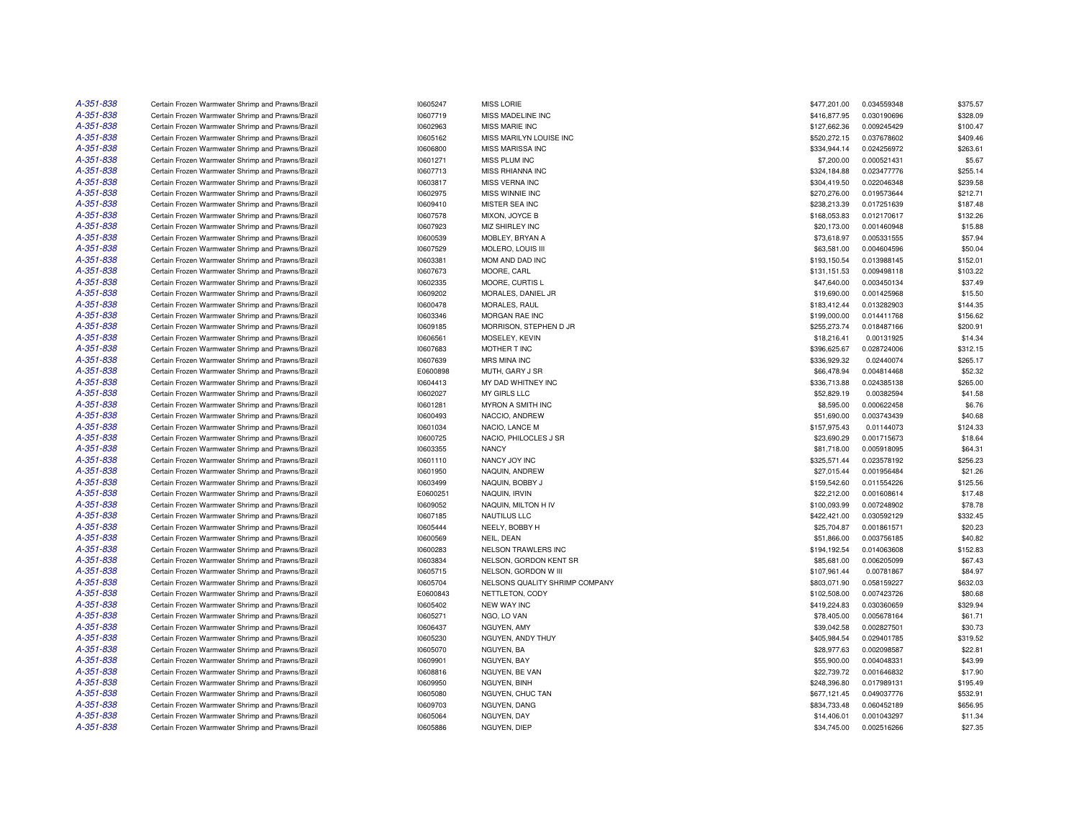| A-351-838 | Certain Frozen Warmwater Shrimp and Prawns/Brazil                                                      | 10605247             | MISS LORIE                                             | \$477,201.00                 | 0.034559348               | \$375.57            |
|-----------|--------------------------------------------------------------------------------------------------------|----------------------|--------------------------------------------------------|------------------------------|---------------------------|---------------------|
| A-351-838 | Certain Frozen Warmwater Shrimp and Prawns/Brazil                                                      | 10607719             | MISS MADELINE INC                                      | \$416,877.95                 | 0.030190696               | \$328.09            |
| A-351-838 | Certain Frozen Warmwater Shrimp and Prawns/Brazil                                                      | 10602963             | <b>MISS MARIE INC</b>                                  | \$127,662.36                 | 0.009245429               | \$100.47            |
| A-351-838 | Certain Frozen Warmwater Shrimp and Prawns/Brazil                                                      | 10605162             | MISS MARILYN LOUISE INC                                | \$520,272.15                 | 0.037678602               | \$409.46            |
| A-351-838 | Certain Frozen Warmwater Shrimp and Prawns/Brazil                                                      | 10606800             | MISS MARISSA INC                                       | \$334,944.14                 | 0.024256972               | \$263.61            |
| A-351-838 | Certain Frozen Warmwater Shrimp and Prawns/Brazil                                                      | 10601271             | MISS PLUM INC                                          | \$7,200.00                   | 0.000521431               | \$5.67              |
| A-351-838 | Certain Frozen Warmwater Shrimp and Prawns/Brazil                                                      | 10607713             | MISS RHIANNA INC                                       | \$324,184.88                 | 0.023477776               | \$255.14            |
| A-351-838 | Certain Frozen Warmwater Shrimp and Prawns/Brazil                                                      | 10603817             | MISS VERNA INC                                         | \$304,419.50                 | 0.022046348               | \$239.58            |
| A-351-838 | Certain Frozen Warmwater Shrimp and Prawns/Brazil                                                      | 10602975             | MISS WINNIE INC                                        | \$270,276.00                 | 0.019573644               | \$212.71            |
| A-351-838 | Certain Frozen Warmwater Shrimp and Prawns/Brazil                                                      | 10609410             | MISTER SEA INC                                         | \$238,213.39                 | 0.017251639               | \$187.48            |
| A-351-838 | Certain Frozen Warmwater Shrimp and Prawns/Brazil                                                      | 10607578             | MIXON, JOYCE B                                         | \$168,053.83                 | 0.012170617               | \$132.26            |
| A-351-838 | Certain Frozen Warmwater Shrimp and Prawns/Brazil                                                      | 10607923             | MIZ SHIRLEY INC                                        | \$20,173.00                  | 0.001460948               | \$15.88             |
| A-351-838 | Certain Frozen Warmwater Shrimp and Prawns/Brazil                                                      | 10600539             | MOBLEY, BRYAN A                                        | \$73,618.97                  | 0.005331555               | \$57.94             |
| A-351-838 | Certain Frozen Warmwater Shrimp and Prawns/Brazil                                                      | 10607529             | MOLERO, LOUIS III                                      | \$63,581.00                  | 0.004604596               | \$50.04             |
| A-351-838 | Certain Frozen Warmwater Shrimp and Prawns/Brazil                                                      | 10603381             | MOM AND DAD INC                                        | \$193,150.54                 | 0.013988145               | \$152.01            |
| A-351-838 | Certain Frozen Warmwater Shrimp and Prawns/Brazil                                                      | 10607673             | MOORE, CARL                                            | \$131,151.53                 | 0.009498118               | \$103.22            |
| A-351-838 | Certain Frozen Warmwater Shrimp and Prawns/Brazil                                                      | 10602335             | MOORE, CURTIS L                                        | \$47,640.00                  | 0.003450134               | \$37.49             |
| A-351-838 | Certain Frozen Warmwater Shrimp and Prawns/Brazil                                                      | 10609202             | MORALES, DANIEL JR                                     | \$19,690.00                  | 0.001425968               | \$15.50             |
| A-351-838 | Certain Frozen Warmwater Shrimp and Prawns/Brazil                                                      | 10600478             | MORALES, RAUL                                          | \$183,412.44                 | 0.013282903               | \$144.35            |
| A-351-838 | Certain Frozen Warmwater Shrimp and Prawns/Brazil                                                      | 10603346             | MORGAN RAE INC                                         | \$199,000.00                 | 0.014411768               | \$156.62            |
| A-351-838 | Certain Frozen Warmwater Shrimp and Prawns/Brazil                                                      | 10609185             | MORRISON, STEPHEN D JR                                 | \$255,273.74                 | 0.018487166               | \$200.91            |
| A-351-838 | Certain Frozen Warmwater Shrimp and Prawns/Brazil                                                      | 10606561             | MOSELEY, KEVIN                                         | \$18,216.41                  | 0.00131925                | \$14.34             |
| A-351-838 | Certain Frozen Warmwater Shrimp and Prawns/Brazil                                                      | 10607683             | MOTHER T INC                                           | \$396,625.67                 | 0.028724006               | \$312.15            |
| A-351-838 | Certain Frozen Warmwater Shrimp and Prawns/Brazil                                                      | 10607639             | MRS MINA INC                                           | \$336,929.32                 | 0.02440074                | \$265.17            |
| A-351-838 | Certain Frozen Warmwater Shrimp and Prawns/Brazil                                                      | E0600898             | MUTH, GARY J SR                                        | \$66,478.94                  | 0.004814468               | \$52.32             |
| A-351-838 | Certain Frozen Warmwater Shrimp and Prawns/Brazil                                                      | 10604413             | MY DAD WHITNEY INC                                     | \$336,713.88                 | 0.024385138               | \$265.00            |
| A-351-838 | Certain Frozen Warmwater Shrimp and Prawns/Brazil                                                      | 10602027             | MY GIRLS LLC                                           | \$52,829.19                  | 0.00382594                | \$41.58             |
| A-351-838 | Certain Frozen Warmwater Shrimp and Prawns/Brazil                                                      | 10601281             | MYRON A SMITH INC                                      | \$8,595.00                   | 0.000622458               | \$6.76              |
| A-351-838 | Certain Frozen Warmwater Shrimp and Prawns/Brazil                                                      | 10600493             | NACCIO, ANDREW                                         | \$51,690.00                  | 0.003743439               | \$40.68             |
| A-351-838 | Certain Frozen Warmwater Shrimp and Prawns/Brazil                                                      | 10601034             | NACIO, LANCE M                                         | \$157,975.43                 | 0.01144073                | \$124.33            |
| A-351-838 | Certain Frozen Warmwater Shrimp and Prawns/Brazil                                                      | 10600725             | NACIO, PHILOCLES J SR                                  | \$23,690.29                  | 0.001715673               | \$18.64             |
| A-351-838 | Certain Frozen Warmwater Shrimp and Prawns/Brazil                                                      | 10603355             | <b>NANCY</b>                                           | \$81,718.00                  | 0.005918095               | \$64.31             |
| A-351-838 | Certain Frozen Warmwater Shrimp and Prawns/Brazil                                                      | 10601110             | NANCY JOY INC                                          | \$325,571.44                 | 0.023578192               | \$256.23            |
| A-351-838 | Certain Frozen Warmwater Shrimp and Prawns/Brazil                                                      | 10601950             | NAQUIN, ANDREW                                         | \$27,015.44                  | 0.001956484               | \$21.26             |
| A-351-838 | Certain Frozen Warmwater Shrimp and Prawns/Brazil                                                      | 10603499             | NAQUIN, BOBBY J                                        | \$159,542.60                 | 0.011554226               | \$125.56            |
| A-351-838 | Certain Frozen Warmwater Shrimp and Prawns/Brazil                                                      | E0600251             | NAQUIN, IRVIN                                          | \$22,212.00                  | 0.001608614               | \$17.48             |
| A-351-838 | Certain Frozen Warmwater Shrimp and Prawns/Brazil                                                      | 10609052             | NAQUIN, MILTON H IV                                    | \$100,093.99                 | 0.007248902               | \$78.78             |
| A-351-838 | Certain Frozen Warmwater Shrimp and Prawns/Brazil                                                      | 10607185             | NAUTILUS LLC                                           | \$422,421.00                 | 0.030592129               | \$332.45            |
| A-351-838 | Certain Frozen Warmwater Shrimp and Prawns/Brazil                                                      | 10605444             | NEELY, BOBBY H                                         | \$25,704.87                  | 0.001861571               | \$20.23             |
| A-351-838 | Certain Frozen Warmwater Shrimp and Prawns/Brazil                                                      | 10600569             | NEIL, DEAN                                             | \$51,866.00                  | 0.003756185               | \$40.82             |
| A-351-838 | Certain Frozen Warmwater Shrimp and Prawns/Brazil                                                      | 10600283             | NELSON TRAWLERS INC                                    | \$194,192.54                 | 0.014063608               | \$152.83            |
| A-351-838 |                                                                                                        |                      |                                                        |                              |                           | \$67.43             |
| A-351-838 | Certain Frozen Warmwater Shrimp and Prawns/Brazil                                                      | 10603834             | NELSON, GORDON KENT SR                                 | \$85,681.00                  | 0.006205099               |                     |
| A-351-838 | Certain Frozen Warmwater Shrimp and Prawns/Brazil<br>Certain Frozen Warmwater Shrimp and Prawns/Brazil | 10605715<br>10605704 | NELSON, GORDON W III<br>NELSONS QUALITY SHRIMP COMPANY | \$107,961.44<br>\$803,071.90 | 0.00781867<br>0.058159227 | \$84.97<br>\$632.03 |
| A-351-838 |                                                                                                        |                      |                                                        |                              |                           | \$80.68             |
| A-351-838 | Certain Frozen Warmwater Shrimp and Prawns/Brazil                                                      | E0600843             | NETTLETON, CODY                                        | \$102,508.00                 | 0.007423726               | \$329.94            |
| A-351-838 | Certain Frozen Warmwater Shrimp and Prawns/Brazil                                                      | 10605402             | NEW WAY INC                                            | \$419,224.83                 | 0.030360659               |                     |
|           | Certain Frozen Warmwater Shrimp and Prawns/Brazil                                                      | 10605271             | NGO, LO VAN                                            | \$78,405.00                  | 0.005678164               | \$61.71             |
| A-351-838 | Certain Frozen Warmwater Shrimp and Prawns/Brazil                                                      | 10606437             | NGUYEN, AMY                                            | \$39,042.58                  | 0.002827501               | \$30.73             |
| A-351-838 | Certain Frozen Warmwater Shrimp and Prawns/Brazil                                                      | 10605230             | NGUYEN, ANDY THUY                                      | \$405,984.54                 | 0.029401785               | \$319.52            |
| A-351-838 | Certain Frozen Warmwater Shrimp and Prawns/Brazil                                                      | 10605070             | NGUYEN, BA                                             | \$28,977.63                  | 0.002098587               | \$22.81             |
| A-351-838 | Certain Frozen Warmwater Shrimp and Prawns/Brazil                                                      | 10609901             | NGUYEN, BAY                                            | \$55,900.00                  | 0.004048331               | \$43.99             |
| A-351-838 | Certain Frozen Warmwater Shrimp and Prawns/Brazil                                                      | 10608816             | NGUYEN, BE VAN                                         | \$22,739.72                  | 0.001646832               | \$17.90             |
| A-351-838 | Certain Frozen Warmwater Shrimp and Prawns/Brazil                                                      | 10609950             | NGUYEN, BINH                                           | \$248,396.80                 | 0.017989131               | \$195.49            |
| A-351-838 | Certain Frozen Warmwater Shrimp and Prawns/Brazil                                                      | 10605080             | NGUYEN, CHUC TAN                                       | \$677,121.45                 | 0.049037776               | \$532.91            |
| A-351-838 | Certain Frozen Warmwater Shrimp and Prawns/Brazil                                                      | 10609703             | NGUYEN, DANG                                           | \$834,733.48                 | 0.060452189               | \$656.95            |
| A-351-838 | Certain Frozen Warmwater Shrimp and Prawns/Brazil                                                      | 10605064             | NGUYEN, DAY                                            | \$14,406.01                  | 0.001043297               | \$11.34             |
| A-351-838 | Certain Frozen Warmwater Shrimp and Prawns/Brazil                                                      | 10605886             | NGUYEN, DIEP                                           | \$34,745.00                  | 0.002516266               | \$27.35             |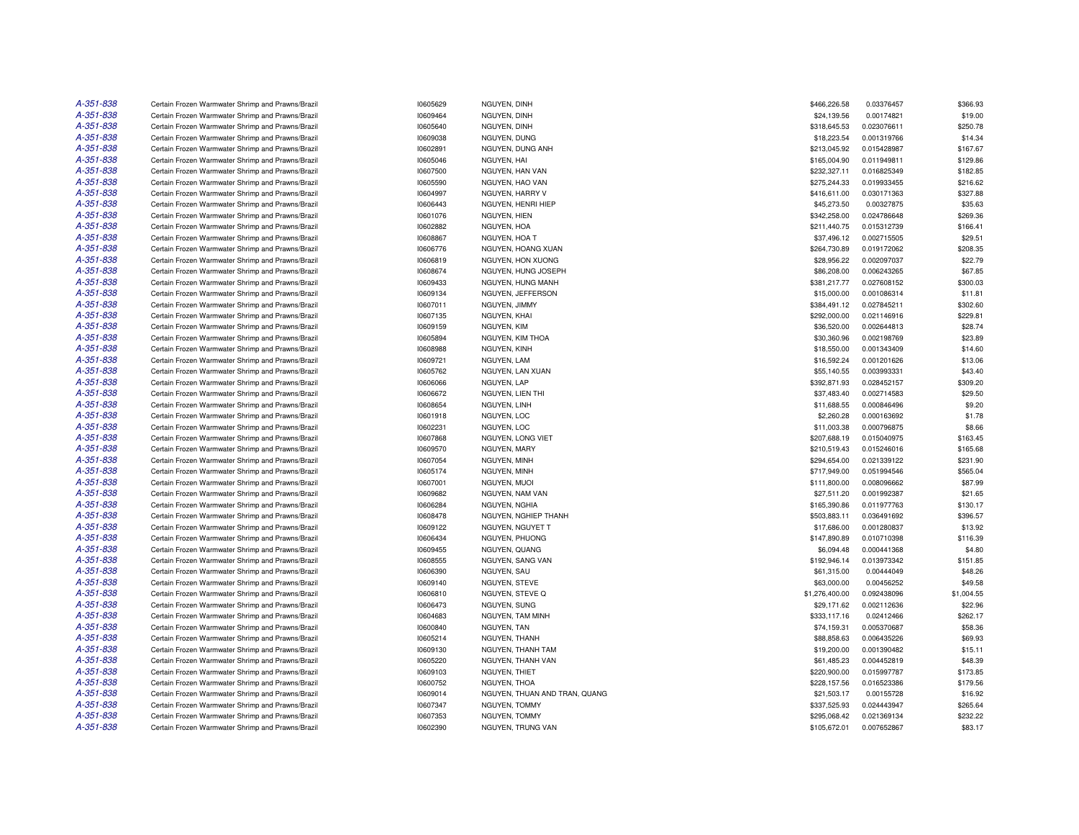| A-351-838<br>10609464<br>\$24,139.56<br>Certain Frozen Warmwater Shrimp and Prawns/Brazil<br>NGUYEN, DINH<br>A-351-838<br>Certain Frozen Warmwater Shrimp and Prawns/Brazil<br>10605640<br>NGUYEN, DINH<br>\$318,645.53<br>A-351-838<br>Certain Frozen Warmwater Shrimp and Prawns/Brazil<br>10609038<br>NGUYEN, DUNG<br>\$18,223.54<br>A-351-838<br>Certain Frozen Warmwater Shrimp and Prawns/Brazil<br>10602891<br>NGUYEN, DUNG ANH<br>\$213,045.92<br>A-351-838<br>10605046<br>Certain Frozen Warmwater Shrimp and Prawns/Brazil<br>NGUYEN, HAI<br>\$165,004.90<br>A-351-838<br>Certain Frozen Warmwater Shrimp and Prawns/Brazil<br>10607500<br>NGUYEN, HAN VAN<br>\$232,327.11<br>A-351-838<br>Certain Frozen Warmwater Shrimp and Prawns/Brazil<br>10605590<br>NGUYEN, HAO VAN<br>\$275,244.33<br>A-351-838<br>Certain Frozen Warmwater Shrimp and Prawns/Brazil<br>10604997<br>NGUYEN, HARRY V<br>\$416,611.00<br>A-351-838<br>Certain Frozen Warmwater Shrimp and Prawns/Brazil<br>10606443<br>NGUYEN, HENRI HIEP<br>\$45,273.50<br>A-351-838<br>\$342,258.00<br>Certain Frozen Warmwater Shrimp and Prawns/Brazil<br>10601076<br>NGUYEN, HIEN<br>A-351-838<br>Certain Frozen Warmwater Shrimp and Prawns/Brazil<br>10602882<br>NGUYEN, HOA<br>\$211,440.75<br>A-351-838<br>\$37,496.12<br>Certain Frozen Warmwater Shrimp and Prawns/Brazil<br>10608867<br>NGUYEN, HOA T<br>A-351-838<br>Certain Frozen Warmwater Shrimp and Prawns/Brazil<br>10606776<br>NGUYEN, HOANG XUAN<br>\$264,730.89 | 0.00174821<br>0.023076611<br>0.001319766<br>0.015428987<br>0.011949811<br>0.016825349<br>0.019933455<br>0.030171363<br>0.00327875<br>0.024786648<br>0.015312739 | \$19.00<br>\$250.78<br>\$14.34<br>\$167.67<br>\$129.86<br>\$182.85<br>\$216.62<br>\$327.88<br>\$35.63 |
|--------------------------------------------------------------------------------------------------------------------------------------------------------------------------------------------------------------------------------------------------------------------------------------------------------------------------------------------------------------------------------------------------------------------------------------------------------------------------------------------------------------------------------------------------------------------------------------------------------------------------------------------------------------------------------------------------------------------------------------------------------------------------------------------------------------------------------------------------------------------------------------------------------------------------------------------------------------------------------------------------------------------------------------------------------------------------------------------------------------------------------------------------------------------------------------------------------------------------------------------------------------------------------------------------------------------------------------------------------------------------------------------------------------------------------------------------------------------------------------------------------|-----------------------------------------------------------------------------------------------------------------------------------------------------------------|-------------------------------------------------------------------------------------------------------|
|                                                                                                                                                                                                                                                                                                                                                                                                                                                                                                                                                                                                                                                                                                                                                                                                                                                                                                                                                                                                                                                                                                                                                                                                                                                                                                                                                                                                                                                                                                        |                                                                                                                                                                 |                                                                                                       |
|                                                                                                                                                                                                                                                                                                                                                                                                                                                                                                                                                                                                                                                                                                                                                                                                                                                                                                                                                                                                                                                                                                                                                                                                                                                                                                                                                                                                                                                                                                        |                                                                                                                                                                 |                                                                                                       |
|                                                                                                                                                                                                                                                                                                                                                                                                                                                                                                                                                                                                                                                                                                                                                                                                                                                                                                                                                                                                                                                                                                                                                                                                                                                                                                                                                                                                                                                                                                        |                                                                                                                                                                 |                                                                                                       |
|                                                                                                                                                                                                                                                                                                                                                                                                                                                                                                                                                                                                                                                                                                                                                                                                                                                                                                                                                                                                                                                                                                                                                                                                                                                                                                                                                                                                                                                                                                        |                                                                                                                                                                 |                                                                                                       |
|                                                                                                                                                                                                                                                                                                                                                                                                                                                                                                                                                                                                                                                                                                                                                                                                                                                                                                                                                                                                                                                                                                                                                                                                                                                                                                                                                                                                                                                                                                        |                                                                                                                                                                 |                                                                                                       |
|                                                                                                                                                                                                                                                                                                                                                                                                                                                                                                                                                                                                                                                                                                                                                                                                                                                                                                                                                                                                                                                                                                                                                                                                                                                                                                                                                                                                                                                                                                        |                                                                                                                                                                 |                                                                                                       |
|                                                                                                                                                                                                                                                                                                                                                                                                                                                                                                                                                                                                                                                                                                                                                                                                                                                                                                                                                                                                                                                                                                                                                                                                                                                                                                                                                                                                                                                                                                        |                                                                                                                                                                 |                                                                                                       |
|                                                                                                                                                                                                                                                                                                                                                                                                                                                                                                                                                                                                                                                                                                                                                                                                                                                                                                                                                                                                                                                                                                                                                                                                                                                                                                                                                                                                                                                                                                        |                                                                                                                                                                 |                                                                                                       |
|                                                                                                                                                                                                                                                                                                                                                                                                                                                                                                                                                                                                                                                                                                                                                                                                                                                                                                                                                                                                                                                                                                                                                                                                                                                                                                                                                                                                                                                                                                        |                                                                                                                                                                 |                                                                                                       |
|                                                                                                                                                                                                                                                                                                                                                                                                                                                                                                                                                                                                                                                                                                                                                                                                                                                                                                                                                                                                                                                                                                                                                                                                                                                                                                                                                                                                                                                                                                        |                                                                                                                                                                 | \$269.36                                                                                              |
|                                                                                                                                                                                                                                                                                                                                                                                                                                                                                                                                                                                                                                                                                                                                                                                                                                                                                                                                                                                                                                                                                                                                                                                                                                                                                                                                                                                                                                                                                                        |                                                                                                                                                                 | \$166.41                                                                                              |
|                                                                                                                                                                                                                                                                                                                                                                                                                                                                                                                                                                                                                                                                                                                                                                                                                                                                                                                                                                                                                                                                                                                                                                                                                                                                                                                                                                                                                                                                                                        | 0.002715505                                                                                                                                                     | \$29.51                                                                                               |
|                                                                                                                                                                                                                                                                                                                                                                                                                                                                                                                                                                                                                                                                                                                                                                                                                                                                                                                                                                                                                                                                                                                                                                                                                                                                                                                                                                                                                                                                                                        | 0.019172062                                                                                                                                                     | \$208.35                                                                                              |
| A-351-838<br>Certain Frozen Warmwater Shrimp and Prawns/Brazil<br>10606819<br>NGUYEN, HON XUONG<br>\$28,956.22                                                                                                                                                                                                                                                                                                                                                                                                                                                                                                                                                                                                                                                                                                                                                                                                                                                                                                                                                                                                                                                                                                                                                                                                                                                                                                                                                                                         | 0.002097037                                                                                                                                                     | \$22.79                                                                                               |
| A-351-838<br>Certain Frozen Warmwater Shrimp and Prawns/Brazil<br>10608674<br>NGUYEN, HUNG JOSEPH<br>\$86,208.00                                                                                                                                                                                                                                                                                                                                                                                                                                                                                                                                                                                                                                                                                                                                                                                                                                                                                                                                                                                                                                                                                                                                                                                                                                                                                                                                                                                       | 0.006243265                                                                                                                                                     | \$67.85                                                                                               |
| A-351-838<br>Certain Frozen Warmwater Shrimp and Prawns/Brazil<br>10609433<br>NGUYEN, HUNG MANH<br>\$381,217.77                                                                                                                                                                                                                                                                                                                                                                                                                                                                                                                                                                                                                                                                                                                                                                                                                                                                                                                                                                                                                                                                                                                                                                                                                                                                                                                                                                                        | 0.027608152                                                                                                                                                     | \$300.03                                                                                              |
| A-351-838<br>Certain Frozen Warmwater Shrimp and Prawns/Brazil<br>10609134<br>NGUYEN, JEFFERSON<br>\$15,000.00                                                                                                                                                                                                                                                                                                                                                                                                                                                                                                                                                                                                                                                                                                                                                                                                                                                                                                                                                                                                                                                                                                                                                                                                                                                                                                                                                                                         | 0.001086314                                                                                                                                                     | \$11.81                                                                                               |
| A-351-838<br>Certain Frozen Warmwater Shrimp and Prawns/Brazil<br>10607011<br>NGUYEN, JIMMY<br>\$384,491.12                                                                                                                                                                                                                                                                                                                                                                                                                                                                                                                                                                                                                                                                                                                                                                                                                                                                                                                                                                                                                                                                                                                                                                                                                                                                                                                                                                                            | 0.027845211                                                                                                                                                     | \$302.60                                                                                              |
| A-351-838<br>Certain Frozen Warmwater Shrimp and Prawns/Brazil<br>10607135<br>NGUYEN, KHAI<br>\$292,000.00                                                                                                                                                                                                                                                                                                                                                                                                                                                                                                                                                                                                                                                                                                                                                                                                                                                                                                                                                                                                                                                                                                                                                                                                                                                                                                                                                                                             | 0.021146916                                                                                                                                                     | \$229.81                                                                                              |
| A-351-838<br>Certain Frozen Warmwater Shrimp and Prawns/Brazil<br>10609159<br>NGUYEN, KIM<br>\$36,520.00                                                                                                                                                                                                                                                                                                                                                                                                                                                                                                                                                                                                                                                                                                                                                                                                                                                                                                                                                                                                                                                                                                                                                                                                                                                                                                                                                                                               | 0.002644813                                                                                                                                                     | \$28.74                                                                                               |
| A-351-838<br>Certain Frozen Warmwater Shrimp and Prawns/Brazil<br>NGUYEN, KIM THOA                                                                                                                                                                                                                                                                                                                                                                                                                                                                                                                                                                                                                                                                                                                                                                                                                                                                                                                                                                                                                                                                                                                                                                                                                                                                                                                                                                                                                     |                                                                                                                                                                 | \$23.89                                                                                               |
| 10605894<br>\$30,360.96<br>A-351-838<br>Certain Frozen Warmwater Shrimp and Prawns/Brazil<br>10608988<br>\$18,550.00                                                                                                                                                                                                                                                                                                                                                                                                                                                                                                                                                                                                                                                                                                                                                                                                                                                                                                                                                                                                                                                                                                                                                                                                                                                                                                                                                                                   | 0.002198769<br>0.001343409                                                                                                                                      | \$14.60                                                                                               |
| NGUYEN, KINH<br>A-351-838                                                                                                                                                                                                                                                                                                                                                                                                                                                                                                                                                                                                                                                                                                                                                                                                                                                                                                                                                                                                                                                                                                                                                                                                                                                                                                                                                                                                                                                                              |                                                                                                                                                                 |                                                                                                       |
| \$16,592.24<br>Certain Frozen Warmwater Shrimp and Prawns/Brazil<br>10609721<br>NGUYEN, LAM                                                                                                                                                                                                                                                                                                                                                                                                                                                                                                                                                                                                                                                                                                                                                                                                                                                                                                                                                                                                                                                                                                                                                                                                                                                                                                                                                                                                            | 0.001201626                                                                                                                                                     | \$13.06                                                                                               |
| A-351-838<br>Certain Frozen Warmwater Shrimp and Prawns/Brazil<br>10605762<br>NGUYEN, LAN XUAN<br>\$55,140.55                                                                                                                                                                                                                                                                                                                                                                                                                                                                                                                                                                                                                                                                                                                                                                                                                                                                                                                                                                                                                                                                                                                                                                                                                                                                                                                                                                                          | 0.003993331                                                                                                                                                     | \$43.40                                                                                               |
| A-351-838<br>Certain Frozen Warmwater Shrimp and Prawns/Brazil<br>10606066<br>NGUYEN, LAP<br>\$392,871.93                                                                                                                                                                                                                                                                                                                                                                                                                                                                                                                                                                                                                                                                                                                                                                                                                                                                                                                                                                                                                                                                                                                                                                                                                                                                                                                                                                                              | 0.028452157                                                                                                                                                     | \$309.20                                                                                              |
| A-351-838<br>Certain Frozen Warmwater Shrimp and Prawns/Brazil<br>10606672<br>NGUYEN, LIEN THI<br>\$37,483.40                                                                                                                                                                                                                                                                                                                                                                                                                                                                                                                                                                                                                                                                                                                                                                                                                                                                                                                                                                                                                                                                                                                                                                                                                                                                                                                                                                                          | 0.002714583                                                                                                                                                     | \$29.50                                                                                               |
| A-351-838<br>\$11,688.55<br>Certain Frozen Warmwater Shrimp and Prawns/Brazil<br>10608654<br>NGUYEN, LINH                                                                                                                                                                                                                                                                                                                                                                                                                                                                                                                                                                                                                                                                                                                                                                                                                                                                                                                                                                                                                                                                                                                                                                                                                                                                                                                                                                                              | 0.000846496                                                                                                                                                     | \$9.20                                                                                                |
| A-351-838<br>Certain Frozen Warmwater Shrimp and Prawns/Brazil<br>10601918<br>NGUYEN, LOC<br>\$2,260.28                                                                                                                                                                                                                                                                                                                                                                                                                                                                                                                                                                                                                                                                                                                                                                                                                                                                                                                                                                                                                                                                                                                                                                                                                                                                                                                                                                                                | 0.000163692                                                                                                                                                     | \$1.78                                                                                                |
| A-351-838<br>Certain Frozen Warmwater Shrimp and Prawns/Brazil<br>10602231<br>NGUYEN, LOC<br>\$11,003.38                                                                                                                                                                                                                                                                                                                                                                                                                                                                                                                                                                                                                                                                                                                                                                                                                                                                                                                                                                                                                                                                                                                                                                                                                                                                                                                                                                                               | 0.000796875                                                                                                                                                     | \$8.66                                                                                                |
| A-351-838<br>Certain Frozen Warmwater Shrimp and Prawns/Brazil<br>10607868<br>NGUYEN, LONG VIET<br>\$207,688.19                                                                                                                                                                                                                                                                                                                                                                                                                                                                                                                                                                                                                                                                                                                                                                                                                                                                                                                                                                                                                                                                                                                                                                                                                                                                                                                                                                                        | 0.015040975                                                                                                                                                     | \$163.45                                                                                              |
| A-351-838<br>Certain Frozen Warmwater Shrimp and Prawns/Brazil<br>10609570<br>NGUYEN, MARY<br>\$210,519.43                                                                                                                                                                                                                                                                                                                                                                                                                                                                                                                                                                                                                                                                                                                                                                                                                                                                                                                                                                                                                                                                                                                                                                                                                                                                                                                                                                                             | 0.015246016                                                                                                                                                     | \$165.68                                                                                              |
| A-351-838<br>Certain Frozen Warmwater Shrimp and Prawns/Brazil<br>10607054<br>NGUYEN, MINH<br>\$294,654.00                                                                                                                                                                                                                                                                                                                                                                                                                                                                                                                                                                                                                                                                                                                                                                                                                                                                                                                                                                                                                                                                                                                                                                                                                                                                                                                                                                                             | 0.021339122                                                                                                                                                     | \$231.90                                                                                              |
| A-351-838<br>\$717.949.00<br>Certain Frozen Warmwater Shrimp and Prawns/Brazil<br>10605174<br>NGUYEN, MINH                                                                                                                                                                                                                                                                                                                                                                                                                                                                                                                                                                                                                                                                                                                                                                                                                                                                                                                                                                                                                                                                                                                                                                                                                                                                                                                                                                                             | 0.051994546                                                                                                                                                     | \$565.04                                                                                              |
| A-351-838<br>Certain Frozen Warmwater Shrimp and Prawns/Brazil<br>10607001<br>NGUYEN, MUOI<br>\$111,800.00                                                                                                                                                                                                                                                                                                                                                                                                                                                                                                                                                                                                                                                                                                                                                                                                                                                                                                                                                                                                                                                                                                                                                                                                                                                                                                                                                                                             | 0.008096662                                                                                                                                                     | \$87.99                                                                                               |
| A-351-838<br>Certain Frozen Warmwater Shrimp and Prawns/Brazil<br>10609682<br>NGUYEN, NAM VAN<br>\$27,511.20                                                                                                                                                                                                                                                                                                                                                                                                                                                                                                                                                                                                                                                                                                                                                                                                                                                                                                                                                                                                                                                                                                                                                                                                                                                                                                                                                                                           | 0.001992387                                                                                                                                                     | \$21.65                                                                                               |
| A-351-838<br>Certain Frozen Warmwater Shrimp and Prawns/Brazil<br>10606284<br>NGUYEN, NGHIA<br>\$165,390.86                                                                                                                                                                                                                                                                                                                                                                                                                                                                                                                                                                                                                                                                                                                                                                                                                                                                                                                                                                                                                                                                                                                                                                                                                                                                                                                                                                                            | 0.011977763                                                                                                                                                     | \$130.17                                                                                              |
| A-351-838<br>Certain Frozen Warmwater Shrimp and Prawns/Brazil<br>10608478<br>NGUYEN, NGHIEP THANH<br>\$503,883.11                                                                                                                                                                                                                                                                                                                                                                                                                                                                                                                                                                                                                                                                                                                                                                                                                                                                                                                                                                                                                                                                                                                                                                                                                                                                                                                                                                                     | 0.036491692                                                                                                                                                     | \$396.57                                                                                              |
| A-351-838<br>10609122<br>Certain Frozen Warmwater Shrimp and Prawns/Brazil<br>NGUYEN, NGUYET T<br>\$17,686.00                                                                                                                                                                                                                                                                                                                                                                                                                                                                                                                                                                                                                                                                                                                                                                                                                                                                                                                                                                                                                                                                                                                                                                                                                                                                                                                                                                                          | 0.001280837                                                                                                                                                     | \$13.92                                                                                               |
| A-351-838<br>NGUYEN, PHUONG<br>\$147,890.89<br>Certain Frozen Warmwater Shrimp and Prawns/Brazil<br>10606434                                                                                                                                                                                                                                                                                                                                                                                                                                                                                                                                                                                                                                                                                                                                                                                                                                                                                                                                                                                                                                                                                                                                                                                                                                                                                                                                                                                           | 0.010710398                                                                                                                                                     | \$116.39                                                                                              |
| A-351-838<br>Certain Frozen Warmwater Shrimp and Prawns/Brazil<br>10609455<br>NGUYEN, QUANG<br>\$6,094.48                                                                                                                                                                                                                                                                                                                                                                                                                                                                                                                                                                                                                                                                                                                                                                                                                                                                                                                                                                                                                                                                                                                                                                                                                                                                                                                                                                                              | 0.000441368                                                                                                                                                     | \$4.80                                                                                                |
| A-351-838<br>Certain Frozen Warmwater Shrimp and Prawns/Brazil<br>10608555<br>NGUYEN, SANG VAN<br>\$192,946.14                                                                                                                                                                                                                                                                                                                                                                                                                                                                                                                                                                                                                                                                                                                                                                                                                                                                                                                                                                                                                                                                                                                                                                                                                                                                                                                                                                                         | 0.013973342                                                                                                                                                     | \$151.85                                                                                              |
| A-351-838<br>Certain Frozen Warmwater Shrimp and Prawns/Brazil<br>10606390<br>NGUYEN, SAU<br>\$61,315.00                                                                                                                                                                                                                                                                                                                                                                                                                                                                                                                                                                                                                                                                                                                                                                                                                                                                                                                                                                                                                                                                                                                                                                                                                                                                                                                                                                                               | 0.00444049                                                                                                                                                      | \$48.26                                                                                               |
| A-351-838<br>Certain Frozen Warmwater Shrimp and Prawns/Brazil<br>10609140<br>NGUYEN, STEVE<br>\$63,000.00                                                                                                                                                                                                                                                                                                                                                                                                                                                                                                                                                                                                                                                                                                                                                                                                                                                                                                                                                                                                                                                                                                                                                                                                                                                                                                                                                                                             | 0.00456252                                                                                                                                                      | \$49.58                                                                                               |
| A-351-838<br>NGUYEN, STEVE Q<br>\$1,276,400.00<br>Certain Frozen Warmwater Shrimp and Prawns/Brazil<br>10606810                                                                                                                                                                                                                                                                                                                                                                                                                                                                                                                                                                                                                                                                                                                                                                                                                                                                                                                                                                                                                                                                                                                                                                                                                                                                                                                                                                                        | 0.092438096                                                                                                                                                     | \$1,004.55                                                                                            |
| A-351-838<br>Certain Frozen Warmwater Shrimp and Prawns/Brazil<br>10606473<br>NGUYEN, SUNG<br>\$29,171.62                                                                                                                                                                                                                                                                                                                                                                                                                                                                                                                                                                                                                                                                                                                                                                                                                                                                                                                                                                                                                                                                                                                                                                                                                                                                                                                                                                                              | 0.002112636                                                                                                                                                     | \$22.96                                                                                               |
| A-351-838<br>Certain Frozen Warmwater Shrimp and Prawns/Brazil<br>10604683<br><b>NGUYEN, TAM MINH</b><br>\$333,117.16                                                                                                                                                                                                                                                                                                                                                                                                                                                                                                                                                                                                                                                                                                                                                                                                                                                                                                                                                                                                                                                                                                                                                                                                                                                                                                                                                                                  | 0.02412466                                                                                                                                                      | \$262.17                                                                                              |
| A-351-838<br>Certain Frozen Warmwater Shrimp and Prawns/Brazil<br>10600840<br>NGUYEN, TAN<br>\$74,159.31                                                                                                                                                                                                                                                                                                                                                                                                                                                                                                                                                                                                                                                                                                                                                                                                                                                                                                                                                                                                                                                                                                                                                                                                                                                                                                                                                                                               | 0.005370687                                                                                                                                                     | \$58.36                                                                                               |
| A-351-838<br>Certain Frozen Warmwater Shrimp and Prawns/Brazil<br>10605214<br>NGUYEN, THANH<br>\$88,858.63                                                                                                                                                                                                                                                                                                                                                                                                                                                                                                                                                                                                                                                                                                                                                                                                                                                                                                                                                                                                                                                                                                                                                                                                                                                                                                                                                                                             | 0.006435226                                                                                                                                                     | \$69.93                                                                                               |
| A-351-838<br>Certain Frozen Warmwater Shrimp and Prawns/Brazil<br>10609130<br>NGUYEN, THANH TAM<br>\$19,200.00                                                                                                                                                                                                                                                                                                                                                                                                                                                                                                                                                                                                                                                                                                                                                                                                                                                                                                                                                                                                                                                                                                                                                                                                                                                                                                                                                                                         | 0.001390482                                                                                                                                                     | \$15.11                                                                                               |
| A-351-838<br>NGUYEN, THANH VAN<br>\$61,485.23<br>Certain Frozen Warmwater Shrimp and Prawns/Brazil<br>10605220                                                                                                                                                                                                                                                                                                                                                                                                                                                                                                                                                                                                                                                                                                                                                                                                                                                                                                                                                                                                                                                                                                                                                                                                                                                                                                                                                                                         | 0.004452819                                                                                                                                                     | \$48.39                                                                                               |
| A-351-838<br>Certain Frozen Warmwater Shrimp and Prawns/Brazil<br>10609103<br>NGUYEN, THIET<br>\$220,900.00                                                                                                                                                                                                                                                                                                                                                                                                                                                                                                                                                                                                                                                                                                                                                                                                                                                                                                                                                                                                                                                                                                                                                                                                                                                                                                                                                                                            | 0.015997787                                                                                                                                                     | \$173.85                                                                                              |
| A-351-838<br>\$228,157.56<br>Certain Frozen Warmwater Shrimp and Prawns/Brazil<br>10600752<br>NGUYEN, THOA                                                                                                                                                                                                                                                                                                                                                                                                                                                                                                                                                                                                                                                                                                                                                                                                                                                                                                                                                                                                                                                                                                                                                                                                                                                                                                                                                                                             | 0.016523386                                                                                                                                                     | \$179.56                                                                                              |
| A-351-838<br>Certain Frozen Warmwater Shrimp and Prawns/Brazil<br>NGUYEN, THUAN AND TRAN, QUANG<br>\$21,503.17<br>10609014                                                                                                                                                                                                                                                                                                                                                                                                                                                                                                                                                                                                                                                                                                                                                                                                                                                                                                                                                                                                                                                                                                                                                                                                                                                                                                                                                                             | 0.00155728                                                                                                                                                      | \$16.92                                                                                               |
| A-351-838<br>Certain Frozen Warmwater Shrimp and Prawns/Brazil<br>10607347<br>NGUYEN, TOMMY<br>\$337,525.93                                                                                                                                                                                                                                                                                                                                                                                                                                                                                                                                                                                                                                                                                                                                                                                                                                                                                                                                                                                                                                                                                                                                                                                                                                                                                                                                                                                            | 0.024443947                                                                                                                                                     | \$265.64                                                                                              |
| A-351-838<br>NGUYEN, TOMMY<br>\$295,068.42<br>Certain Frozen Warmwater Shrimp and Prawns/Brazil<br>10607353                                                                                                                                                                                                                                                                                                                                                                                                                                                                                                                                                                                                                                                                                                                                                                                                                                                                                                                                                                                                                                                                                                                                                                                                                                                                                                                                                                                            | 0.021369134                                                                                                                                                     | \$232.22                                                                                              |
| A-351-838<br>Certain Frozen Warmwater Shrimp and Prawns/Brazil<br>10602390<br>NGUYEN, TRUNG VAN<br>\$105,672.01                                                                                                                                                                                                                                                                                                                                                                                                                                                                                                                                                                                                                                                                                                                                                                                                                                                                                                                                                                                                                                                                                                                                                                                                                                                                                                                                                                                        | 0.007652867                                                                                                                                                     | \$83.17                                                                                               |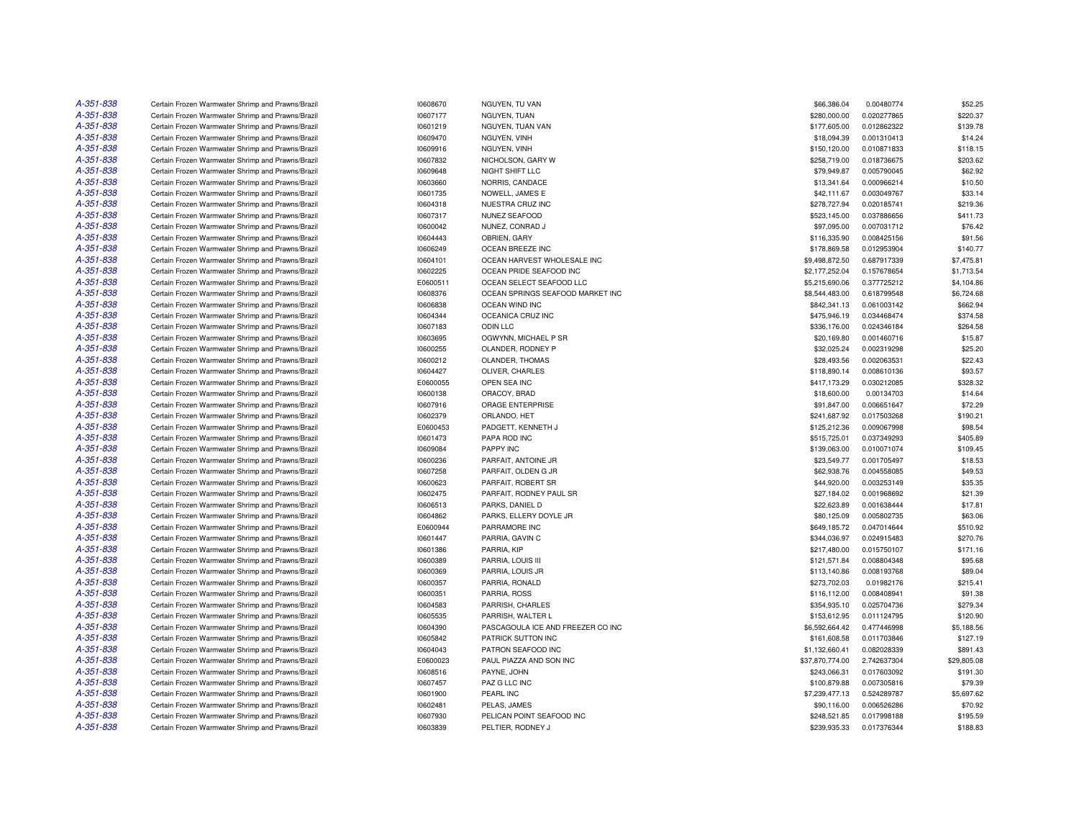| A-351-838 | Certain Frozen Warmwater Shrimp and Prawns/Brazil | 10608670 | NGUYEN, TU VAN                    | \$66,386.04     | 0.00480774  | \$52.25     |
|-----------|---------------------------------------------------|----------|-----------------------------------|-----------------|-------------|-------------|
| A-351-838 | Certain Frozen Warmwater Shrimp and Prawns/Brazil | 10607177 | NGUYEN, TUAN                      | \$280,000.00    | 0.020277865 | \$220.37    |
| A-351-838 | Certain Frozen Warmwater Shrimp and Prawns/Brazil | 10601219 | NGUYEN, TUAN VAN                  | \$177,605.00    | 0.012862322 | \$139.78    |
| A-351-838 | Certain Frozen Warmwater Shrimp and Prawns/Brazil | 10609470 | NGUYEN, VINH                      | \$18,094.39     | 0.001310413 | \$14.24     |
| A-351-838 | Certain Frozen Warmwater Shrimp and Prawns/Brazil | 10609916 | NGUYEN, VINH                      | \$150,120.00    | 0.010871833 | \$118.15    |
| A-351-838 | Certain Frozen Warmwater Shrimp and Prawns/Brazil | 10607832 | NICHOLSON, GARY W                 | \$258,719.00    | 0.018736675 | \$203.62    |
| A-351-838 | Certain Frozen Warmwater Shrimp and Prawns/Brazil | 10609648 | NIGHT SHIFT LLC                   | \$79,949.87     | 0.005790045 | \$62.92     |
| A-351-838 | Certain Frozen Warmwater Shrimp and Prawns/Brazil | 10603660 | NORRIS, CANDACE                   | \$13,341.64     | 0.000966214 | \$10.50     |
| A-351-838 | Certain Frozen Warmwater Shrimp and Prawns/Brazil | 10601735 | NOWELL, JAMES E                   | \$42,111.67     | 0.003049767 | \$33.14     |
| A-351-838 | Certain Frozen Warmwater Shrimp and Prawns/Brazil | 10604318 | NUESTRA CRUZ INC                  | \$278,727.94    | 0.020185741 | \$219.36    |
| A-351-838 | Certain Frozen Warmwater Shrimp and Prawns/Brazil | 10607317 | NUNEZ SEAFOOD                     | \$523,145.00    | 0.037886656 | \$411.73    |
| A-351-838 | Certain Frozen Warmwater Shrimp and Prawns/Brazil | 10600042 | NUNEZ, CONRAD J                   | \$97,095.00     | 0.007031712 | \$76.42     |
| A-351-838 | Certain Frozen Warmwater Shrimp and Prawns/Brazil | 10604443 | OBRIEN, GARY                      | \$116,335.90    | 0.008425156 | \$91.56     |
| A-351-838 | Certain Frozen Warmwater Shrimp and Prawns/Brazil | 10606249 | OCEAN BREEZE INC                  | \$178,869.58    | 0.012953904 | \$140.77    |
| A-351-838 | Certain Frozen Warmwater Shrimp and Prawns/Brazil | 10604101 | OCEAN HARVEST WHOLESALE INC       | \$9,498,872.50  | 0.687917339 | \$7,475.81  |
| A-351-838 | Certain Frozen Warmwater Shrimp and Prawns/Brazil | 10602225 | OCEAN PRIDE SEAFOOD INC           | \$2,177,252.04  | 0.157678654 | \$1,713.54  |
| A-351-838 | Certain Frozen Warmwater Shrimp and Prawns/Brazil | E0600511 | OCEAN SELECT SEAFOOD LLC          | \$5,215,690.06  | 0.377725212 | \$4,104.86  |
| A-351-838 |                                                   |          |                                   |                 |             |             |
| A-351-838 | Certain Frozen Warmwater Shrimp and Prawns/Brazil | 10608376 | OCEAN SPRINGS SEAFOOD MARKET INC  | \$8,544,483.00  | 0.618799548 | \$6,724.68  |
|           | Certain Frozen Warmwater Shrimp and Prawns/Brazil | 10606838 | OCEAN WIND INC                    | \$842,341.13    | 0.061003142 | \$662.94    |
| A-351-838 | Certain Frozen Warmwater Shrimp and Prawns/Brazil | 10604344 | OCEANICA CRUZ INC                 | \$475,946.19    | 0.034468474 | \$374.58    |
| A-351-838 | Certain Frozen Warmwater Shrimp and Prawns/Brazil | 10607183 | ODIN LLC                          | \$336,176.00    | 0.024346184 | \$264.58    |
| A-351-838 | Certain Frozen Warmwater Shrimp and Prawns/Brazil | 10603695 | OGWYNN, MICHAEL P SR              | \$20,169.80     | 0.001460716 | \$15.87     |
| A-351-838 | Certain Frozen Warmwater Shrimp and Prawns/Brazil | 10600255 | OLANDER, RODNEY P                 | \$32,025.24     | 0.002319298 | \$25.20     |
| A-351-838 | Certain Frozen Warmwater Shrimp and Prawns/Brazil | 10600212 | OLANDER, THOMAS                   | \$28,493.56     | 0.002063531 | \$22.43     |
| A-351-838 | Certain Frozen Warmwater Shrimp and Prawns/Brazil | 10604427 | OLIVER, CHARLES                   | \$118,890.14    | 0.008610136 | \$93.57     |
| A-351-838 | Certain Frozen Warmwater Shrimp and Prawns/Brazil | E0600055 | OPEN SEA INC                      | \$417,173.29    | 0.030212085 | \$328.32    |
| A-351-838 | Certain Frozen Warmwater Shrimp and Prawns/Brazil | 10600138 | ORACOY, BRAD                      | \$18,600.00     | 0.00134703  | \$14.64     |
| A-351-838 | Certain Frozen Warmwater Shrimp and Prawns/Brazil | 10607916 | ORAGE ENTERPRISE                  | \$91,847.00     | 0.006651647 | \$72.29     |
| A-351-838 | Certain Frozen Warmwater Shrimp and Prawns/Brazil | 10602379 | ORLANDO, HET                      | \$241,687.92    | 0.017503268 | \$190.21    |
| A-351-838 | Certain Frozen Warmwater Shrimp and Prawns/Brazil | E0600453 | PADGETT, KENNETH J                | \$125,212.36    | 0.009067998 | \$98.54     |
| A-351-838 | Certain Frozen Warmwater Shrimp and Prawns/Brazil | 10601473 | PAPA ROD INC                      | \$515,725.01    | 0.037349293 | \$405.89    |
| A-351-838 | Certain Frozen Warmwater Shrimp and Prawns/Brazil | 10609084 | PAPPY INC                         | \$139,063.00    | 0.010071074 | \$109.45    |
| A-351-838 | Certain Frozen Warmwater Shrimp and Prawns/Brazil | 10600236 | PARFAIT, ANTOINE JR               | \$23,549.77     | 0.001705497 | \$18.53     |
| A-351-838 | Certain Frozen Warmwater Shrimp and Prawns/Brazil | 10607258 | PARFAIT, OLDEN G JR               | \$62,938.76     | 0.004558085 | \$49.53     |
| A-351-838 | Certain Frozen Warmwater Shrimp and Prawns/Brazil | 10600623 | PARFAIT, ROBERT SR                | \$44,920.00     | 0.003253149 | \$35.35     |
| A-351-838 | Certain Frozen Warmwater Shrimp and Prawns/Brazil | 10602475 | PARFAIT, RODNEY PAUL SR           | \$27,184.02     | 0.001968692 | \$21.39     |
| A-351-838 | Certain Frozen Warmwater Shrimp and Prawns/Brazil | 10606513 | PARKS, DANIEL D                   | \$22,623.89     | 0.001638444 | \$17.81     |
| A-351-838 | Certain Frozen Warmwater Shrimp and Prawns/Brazil | 10604862 | PARKS, ELLERY DOYLE JR            | \$80,125.09     | 0.005802735 | \$63.06     |
| A-351-838 | Certain Frozen Warmwater Shrimp and Prawns/Brazil | E0600944 | PARRAMORE INC                     | \$649,185.72    | 0.047014644 | \$510.92    |
| A-351-838 | Certain Frozen Warmwater Shrimp and Prawns/Brazil | 10601447 | PARRIA, GAVIN C                   | \$344,036.97    | 0.024915483 | \$270.76    |
| A-351-838 | Certain Frozen Warmwater Shrimp and Prawns/Brazil | 10601386 | PARRIA, KIP                       | \$217,480.00    | 0.015750107 | \$171.16    |
| A-351-838 | Certain Frozen Warmwater Shrimp and Prawns/Brazil | 10600389 | PARRIA, LOUIS III                 | \$121,571.84    | 0.008804348 | \$95.68     |
| A-351-838 | Certain Frozen Warmwater Shrimp and Prawns/Brazil | 10600369 | PARRIA, LOUIS JR                  | \$113,140.86    | 0.008193768 | \$89.04     |
| A-351-838 | Certain Frozen Warmwater Shrimp and Prawns/Brazil | 10600357 | PARRIA, RONALD                    | \$273,702.03    | 0.01982176  | \$215.41    |
| A-351-838 | Certain Frozen Warmwater Shrimp and Prawns/Brazil | 10600351 | PARRIA, ROSS                      | \$116,112.00    | 0.008408941 | \$91.38     |
| A-351-838 | Certain Frozen Warmwater Shrimp and Prawns/Brazil | 10604583 | PARRISH, CHARLES                  | \$354,935.10    | 0.025704736 | \$279.34    |
| A-351-838 | Certain Frozen Warmwater Shrimp and Prawns/Brazil | 10605535 | PARRISH, WALTER L                 | \$153,612.95    | 0.011124795 | \$120.90    |
| A-351-838 | Certain Frozen Warmwater Shrimp and Prawns/Brazil | 10604390 | PASCAGOULA ICE AND FREEZER CO INC | \$6,592,664.42  | 0.477446998 | \$5,188.56  |
| A-351-838 | Certain Frozen Warmwater Shrimp and Prawns/Brazil | 10605842 | PATRICK SUTTON INC                | \$161,608.58    | 0.011703846 | \$127.19    |
| A-351-838 | Certain Frozen Warmwater Shrimp and Prawns/Brazil | 10604043 | PATRON SEAFOOD INC                | \$1,132,660.41  | 0.082028339 | \$891.43    |
| A-351-838 | Certain Frozen Warmwater Shrimp and Prawns/Brazil | E0600023 | PAUL PIAZZA AND SON INC           | \$37,870,774.00 | 2.742637304 | \$29,805.08 |
| A-351-838 | Certain Frozen Warmwater Shrimp and Prawns/Brazil | 10608516 | PAYNE, JOHN                       | \$243,066.31    | 0.017603092 | \$191.30    |
| A-351-838 |                                                   | 10607457 | PAZ G LLC INC                     |                 |             | \$79.39     |
| A-351-838 | Certain Frozen Warmwater Shrimp and Prawns/Brazil |          |                                   | \$100,879.88    | 0.007305816 |             |
|           | Certain Frozen Warmwater Shrimp and Prawns/Brazil | 10601900 | PEARL INC                         | \$7,239,477.13  | 0.524289787 | \$5,697.62  |
| A-351-838 | Certain Frozen Warmwater Shrimp and Prawns/Brazil | 10602481 | PELAS, JAMES                      | \$90,116.00     | 0.006526286 | \$70.92     |
| A-351-838 | Certain Frozen Warmwater Shrimp and Prawns/Brazil | 10607930 | PELICAN POINT SEAFOOD INC         | \$248,521.85    | 0.017998188 | \$195.59    |
| A-351-838 | Certain Frozen Warmwater Shrimp and Prawns/Brazil | 10603839 | PELTIER, RODNEY J                 | \$239,935.33    | 0.017376344 | \$188.83    |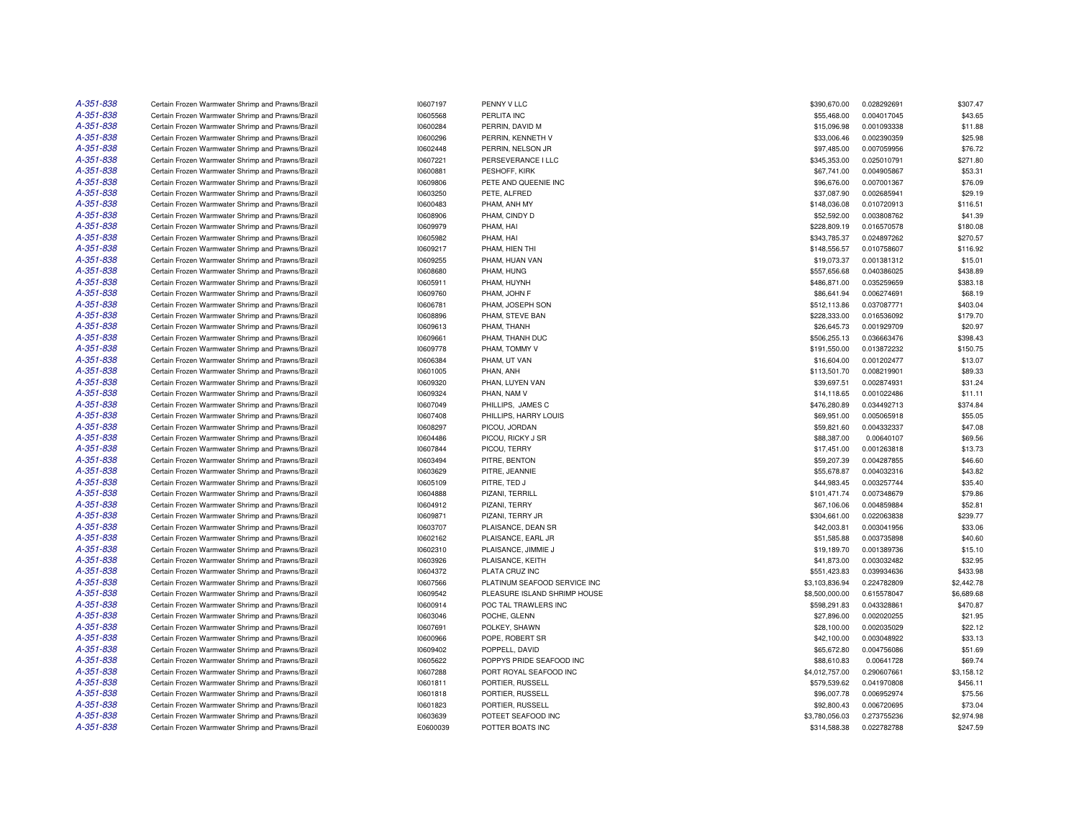| A-351-838 | Certain Frozen Warmwater Shrimp and Prawns/Brazil | 10607197 | PENNY V LLC                  | \$390,670.00   | 0.028292691 | \$307.47   |
|-----------|---------------------------------------------------|----------|------------------------------|----------------|-------------|------------|
| A-351-838 | Certain Frozen Warmwater Shrimp and Prawns/Brazil | 10605568 | PERLITA INC                  | \$55,468.00    | 0.004017045 | \$43.65    |
| A-351-838 | Certain Frozen Warmwater Shrimp and Prawns/Brazil | 10600284 | PERRIN, DAVID M              | \$15,096.98    | 0.001093338 | \$11.88    |
| A-351-838 | Certain Frozen Warmwater Shrimp and Prawns/Brazil | 10600296 | PERRIN, KENNETH V            | \$33,006.46    | 0.002390359 | \$25.98    |
| A-351-838 | Certain Frozen Warmwater Shrimp and Prawns/Brazil | 10602448 | PERRIN, NELSON JR            | \$97,485.00    | 0.007059956 | \$76.72    |
| A-351-838 | Certain Frozen Warmwater Shrimp and Prawns/Brazil | 10607221 | PERSEVERANCE I LLC           | \$345,353.00   | 0.025010791 | \$271.80   |
| A-351-838 | Certain Frozen Warmwater Shrimp and Prawns/Brazil | 10600881 | PESHOFF, KIRK                | \$67,741.00    | 0.004905867 | \$53.31    |
| A-351-838 | Certain Frozen Warmwater Shrimp and Prawns/Brazil | 10609806 | PETE AND QUEENIE INC         | \$96,676.00    | 0.007001367 | \$76.09    |
| A-351-838 | Certain Frozen Warmwater Shrimp and Prawns/Brazil | 10603250 | PETE, ALFRED                 | \$37,087.90    | 0.002685941 | \$29.19    |
| A-351-838 | Certain Frozen Warmwater Shrimp and Prawns/Brazil | 10600483 | PHAM, ANH MY                 | \$148,036.08   | 0.010720913 | \$116.51   |
| A-351-838 | Certain Frozen Warmwater Shrimp and Prawns/Brazil | 10608906 | PHAM, CINDY D                | \$52,592.00    | 0.003808762 | \$41.39    |
| A-351-838 | Certain Frozen Warmwater Shrimp and Prawns/Brazil | 10609979 | PHAM, HAI                    | \$228,809.19   | 0.016570578 | \$180.08   |
| A-351-838 | Certain Frozen Warmwater Shrimp and Prawns/Brazil | 10605982 | PHAM, HAI                    | \$343,785.37   | 0.024897262 | \$270.57   |
| A-351-838 | Certain Frozen Warmwater Shrimp and Prawns/Brazil | 10609217 | PHAM, HIEN THI               | \$148,556.57   | 0.010758607 | \$116.92   |
| A-351-838 | Certain Frozen Warmwater Shrimp and Prawns/Brazil | 10609255 | PHAM, HUAN VAN               | \$19,073.37    | 0.001381312 | \$15.01    |
| A-351-838 | Certain Frozen Warmwater Shrimp and Prawns/Brazil | 10608680 | PHAM, HUNG                   | \$557,656.68   | 0.040386025 | \$438.89   |
| A-351-838 | Certain Frozen Warmwater Shrimp and Prawns/Brazil | 10605911 | PHAM, HUYNH                  | \$486,871.00   | 0.035259659 | \$383.18   |
| A-351-838 | Certain Frozen Warmwater Shrimp and Prawns/Brazil | 10609760 | PHAM, JOHN F                 | \$86,641.94    | 0.006274691 | \$68.19    |
| A-351-838 | Certain Frozen Warmwater Shrimp and Prawns/Brazil | 10606781 | PHAM, JOSEPH SON             | \$512,113.86   | 0.037087771 | \$403.04   |
| A-351-838 | Certain Frozen Warmwater Shrimp and Prawns/Brazil | 10608896 | PHAM, STEVE BAN              | \$228,333.00   | 0.016536092 | \$179.70   |
| A-351-838 | Certain Frozen Warmwater Shrimp and Prawns/Brazil | 10609613 | PHAM, THANH                  | \$26,645.73    | 0.001929709 | \$20.97    |
| A-351-838 | Certain Frozen Warmwater Shrimp and Prawns/Brazil | 10609661 | PHAM. THANH DUC              | \$506,255.13   | 0.036663476 | \$398.43   |
| A-351-838 | Certain Frozen Warmwater Shrimp and Prawns/Brazil | 10609778 | PHAM, TOMMY V                | \$191,550.00   | 0.013872232 | \$150.75   |
| A-351-838 | Certain Frozen Warmwater Shrimp and Prawns/Brazil | 10606384 | PHAM, UT VAN                 | \$16,604.00    | 0.001202477 | \$13.07    |
| A-351-838 | Certain Frozen Warmwater Shrimp and Prawns/Brazil | 10601005 | PHAN, ANH                    | \$113,501.70   | 0.008219901 | \$89.33    |
| A-351-838 | Certain Frozen Warmwater Shrimp and Prawns/Brazil | 10609320 | PHAN. LUYEN VAN              | \$39,697.51    | 0.002874931 | \$31.24    |
| A-351-838 | Certain Frozen Warmwater Shrimp and Prawns/Brazil | 10609324 | PHAN, NAM V                  | \$14,118.65    | 0.001022486 | \$11.11    |
| A-351-838 | Certain Frozen Warmwater Shrimp and Prawns/Brazil | 10607049 | PHILLIPS, JAMES C            | \$476,280.89   | 0.034492713 | \$374.84   |
| A-351-838 | Certain Frozen Warmwater Shrimp and Prawns/Brazil | 10607408 | PHILLIPS, HARRY LOUIS        | \$69,951.00    | 0.005065918 | \$55.05    |
| A-351-838 | Certain Frozen Warmwater Shrimp and Prawns/Brazil | 10608297 | PICOU, JORDAN                | \$59,821.60    | 0.004332337 | \$47.08    |
| A-351-838 | Certain Frozen Warmwater Shrimp and Prawns/Brazil | 10604486 | PICOU, RICKY J SR            | \$88,387.00    | 0.00640107  | \$69.56    |
| A-351-838 | Certain Frozen Warmwater Shrimp and Prawns/Brazil | 10607844 | PICOU, TERRY                 | \$17,451.00    | 0.001263818 | \$13.73    |
| A-351-838 | Certain Frozen Warmwater Shrimp and Prawns/Brazil | 10603494 | PITRE, BENTON                | \$59,207.39    | 0.004287855 | \$46.60    |
| A-351-838 | Certain Frozen Warmwater Shrimp and Prawns/Brazil | 10603629 | PITRE, JEANNIE               | \$55,678.87    | 0.004032316 | \$43.82    |
| A-351-838 | Certain Frozen Warmwater Shrimp and Prawns/Brazil | 10605109 | PITRE, TED J                 | \$44,983.45    | 0.003257744 | \$35.40    |
| A-351-838 | Certain Frozen Warmwater Shrimp and Prawns/Brazil | 10604888 | PIZANI, TERRILL              | \$101,471.74   | 0.007348679 | \$79.86    |
| A-351-838 | Certain Frozen Warmwater Shrimp and Prawns/Brazil | 10604912 | PIZANI, TERRY                | \$67,106.06    | 0.004859884 | \$52.81    |
| A-351-838 | Certain Frozen Warmwater Shrimp and Prawns/Brazil | 10609871 | PIZANI, TERRY JR             | \$304,661.00   | 0.022063838 | \$239.77   |
| A-351-838 | Certain Frozen Warmwater Shrimp and Prawns/Brazil | 10603707 | PLAISANCE, DEAN SR           | \$42,003.81    | 0.003041956 | \$33.06    |
| A-351-838 | Certain Frozen Warmwater Shrimp and Prawns/Brazil | 10602162 | PLAISANCE, EARL JR           | \$51,585.88    | 0.003735898 | \$40.60    |
| A-351-838 | Certain Frozen Warmwater Shrimp and Prawns/Brazil | 10602310 | PLAISANCE, JIMMIE J          | \$19,189.70    | 0.001389736 | \$15.10    |
| A-351-838 | Certain Frozen Warmwater Shrimp and Prawns/Brazil | 10603926 | PLAISANCE, KEITH             | \$41,873.00    | 0.003032482 | \$32.95    |
| A-351-838 | Certain Frozen Warmwater Shrimp and Prawns/Brazil | 10604372 | PLATA CRUZ INC               | \$551,423.83   | 0.039934636 | \$433.98   |
| A-351-838 | Certain Frozen Warmwater Shrimp and Prawns/Brazil | 10607566 | PLATINUM SEAFOOD SERVICE INC | \$3,103,836.94 | 0.224782809 | \$2,442.78 |
| A-351-838 | Certain Frozen Warmwater Shrimp and Prawns/Brazil | 10609542 | PLEASURE ISLAND SHRIMP HOUSE | \$8,500,000.00 | 0.615578047 | \$6,689.68 |
| A-351-838 | Certain Frozen Warmwater Shrimp and Prawns/Brazil | 10600914 | POC TAL TRAWLERS INC         | \$598,291.83   | 0.043328861 | \$470.87   |
| A-351-838 | Certain Frozen Warmwater Shrimp and Prawns/Brazil | 10603046 | POCHE, GLENN                 | \$27,896.00    | 0.002020255 | \$21.95    |
| A-351-838 | Certain Frozen Warmwater Shrimp and Prawns/Brazil | 10607691 | POLKEY, SHAWN                | \$28,100.00    | 0.002035029 | \$22.12    |
| A-351-838 | Certain Frozen Warmwater Shrimp and Prawns/Brazil | 10600966 | POPE, ROBERT SR              | \$42,100.00    | 0.003048922 | \$33.13    |
| A-351-838 | Certain Frozen Warmwater Shrimp and Prawns/Brazil | 10609402 | POPPELL, DAVID               | \$65,672.80    | 0.004756086 | \$51.69    |
| A-351-838 | Certain Frozen Warmwater Shrimp and Prawns/Brazil | 10605622 | POPPYS PRIDE SEAFOOD INC     | \$88,610.83    | 0.00641728  | \$69.74    |
| A-351-838 | Certain Frozen Warmwater Shrimp and Prawns/Brazil | 10607288 | PORT ROYAL SEAFOOD INC       | \$4,012,757.00 | 0.290607661 | \$3,158.12 |
| A-351-838 | Certain Frozen Warmwater Shrimp and Prawns/Brazil | 10601811 | PORTIER, RUSSELL             | \$579,539.62   | 0.041970808 | \$456.11   |
| A-351-838 | Certain Frozen Warmwater Shrimp and Prawns/Brazil | 10601818 | PORTIER, RUSSELL             | \$96,007.78    | 0.006952974 | \$75.56    |
| A-351-838 | Certain Frozen Warmwater Shrimp and Prawns/Brazil | 10601823 | PORTIER, RUSSELL             | \$92,800.43    | 0.006720695 | \$73.04    |
| A-351-838 | Certain Frozen Warmwater Shrimp and Prawns/Brazil | 10603639 | POTEET SEAFOOD INC           | \$3,780,056.03 | 0.273755236 | \$2,974.98 |
| A-351-838 | Certain Frozen Warmwater Shrimp and Prawns/Brazil | E0600039 | POTTER BOATS INC             | \$314,588.38   | 0.022782788 | \$247.59   |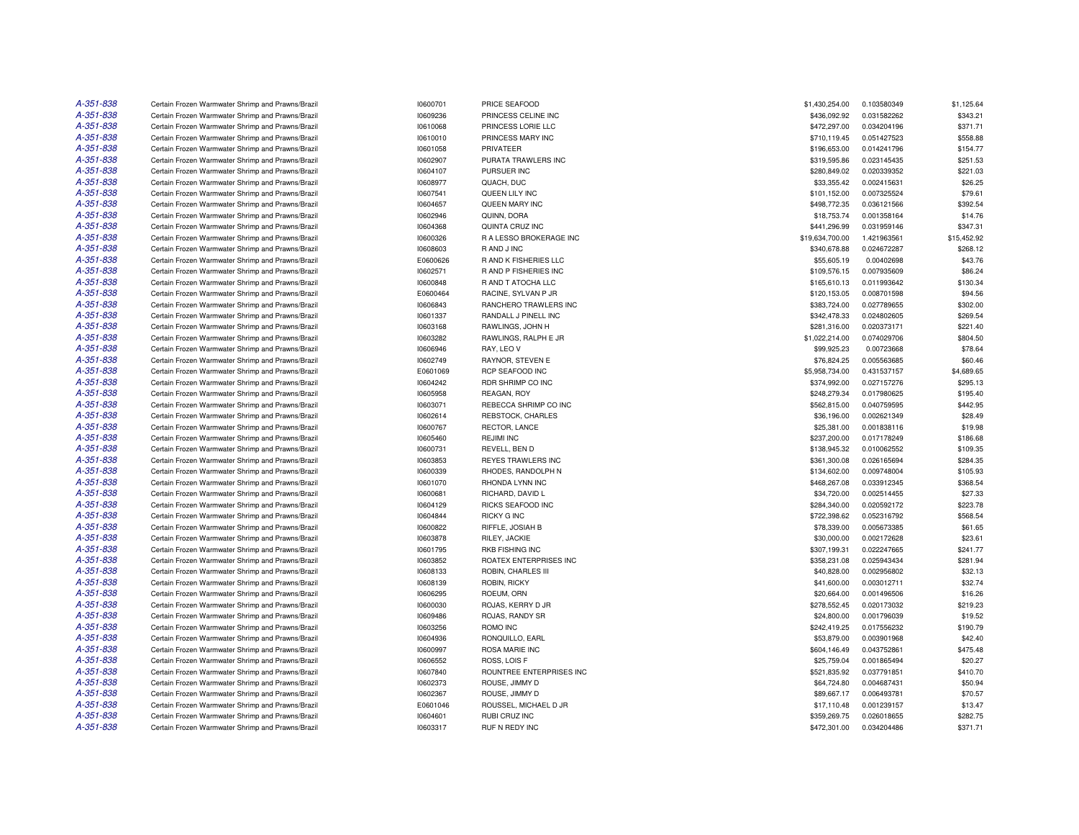| A-351-838 | Certain Frozen Warmwater Shrimp and Prawns/Brazil | 10600701 | PRICE SEAFOOD            | \$1,430,254,00  | 0.103580349 | \$1,125.64  |
|-----------|---------------------------------------------------|----------|--------------------------|-----------------|-------------|-------------|
| A-351-838 | Certain Frozen Warmwater Shrimp and Prawns/Brazil | 10609236 | PRINCESS CELINE INC      | \$436,092.92    | 0.031582262 | \$343.21    |
| A-351-838 | Certain Frozen Warmwater Shrimp and Prawns/Brazil | 10610068 | PRINCESS LORIE LLC       | \$472,297.00    | 0.034204196 | \$371.71    |
| A-351-838 | Certain Frozen Warmwater Shrimp and Prawns/Brazil | 10610010 | PRINCESS MARY INC        | \$710,119.45    | 0.051427523 | \$558.88    |
| A-351-838 | Certain Frozen Warmwater Shrimp and Prawns/Brazil | 10601058 | PRIVATEER                | \$196,653.00    | 0.014241796 | \$154.77    |
| A-351-838 | Certain Frozen Warmwater Shrimp and Prawns/Brazil | 10602907 | PURATA TRAWLERS INC      | \$319,595.86    | 0.023145435 | \$251.53    |
| A-351-838 | Certain Frozen Warmwater Shrimp and Prawns/Brazil | 10604107 | PURSUER INC              | \$280,849.02    | 0.020339352 | \$221.03    |
| A-351-838 | Certain Frozen Warmwater Shrimp and Prawns/Brazil | 10608977 | QUACH, DUC               | \$33,355.42     | 0.002415631 | \$26.25     |
| A-351-838 | Certain Frozen Warmwater Shrimp and Prawns/Brazil | 10607541 | QUEEN LILY INC           | \$101,152.00    | 0.007325524 | \$79.61     |
| A-351-838 | Certain Frozen Warmwater Shrimp and Prawns/Brazil | 10604657 | QUEEN MARY INC           | \$498,772.35    | 0.036121566 | \$392.54    |
| A-351-838 | Certain Frozen Warmwater Shrimp and Prawns/Brazil | 10602946 | QUINN, DORA              | \$18,753.74     | 0.001358164 | \$14.76     |
| A-351-838 | Certain Frozen Warmwater Shrimp and Prawns/Brazil | 10604368 | QUINTA CRUZ INC          | \$441,296.99    | 0.031959146 | \$347.31    |
| A-351-838 | Certain Frozen Warmwater Shrimp and Prawns/Brazil | 10600326 | R A LESSO BROKERAGE INC  | \$19,634,700.00 | 1.421963561 | \$15,452.92 |
| A-351-838 | Certain Frozen Warmwater Shrimp and Prawns/Brazil | 10608603 | R AND J INC              | \$340,678.88    | 0.024672287 | \$268.12    |
| A-351-838 | Certain Frozen Warmwater Shrimp and Prawns/Brazil | E0600626 | R AND K FISHERIES LLC    | \$55,605.19     | 0.00402698  | \$43.76     |
| A-351-838 | Certain Frozen Warmwater Shrimp and Prawns/Brazil | 10602571 | R AND P FISHERIES INC    | \$109,576.15    | 0.007935609 | \$86.24     |
| A-351-838 | Certain Frozen Warmwater Shrimp and Prawns/Brazil | 10600848 | R AND T ATOCHA LLC       | \$165,610.13    | 0.011993642 | \$130.34    |
| A-351-838 | Certain Frozen Warmwater Shrimp and Prawns/Brazil | E0600464 | RACINE, SYLVAN P JR      | \$120,153.05    | 0.008701598 | \$94.56     |
| A-351-838 | Certain Frozen Warmwater Shrimp and Prawns/Brazil | 10606843 | RANCHERO TRAWLERS INC    | \$383,724.00    | 0.027789655 | \$302.00    |
| A-351-838 | Certain Frozen Warmwater Shrimp and Prawns/Brazil | 10601337 | RANDALL J PINELL INC     | \$342,478.33    | 0.024802605 | \$269.54    |
| A-351-838 | Certain Frozen Warmwater Shrimp and Prawns/Brazil | 10603168 | RAWLINGS, JOHN H         | \$281,316.00    | 0.020373171 | \$221.40    |
| A-351-838 | Certain Frozen Warmwater Shrimp and Prawns/Brazil | 10603282 | RAWLINGS, RALPH E JR     | \$1,022,214.00  | 0.074029706 | \$804.50    |
| A-351-838 | Certain Frozen Warmwater Shrimp and Prawns/Brazil | 10606946 | RAY, LEO V               | \$99,925.23     | 0.00723668  | \$78.64     |
| A-351-838 | Certain Frozen Warmwater Shrimp and Prawns/Brazil | 10602749 | RAYNOR, STEVEN E         | \$76,824.25     | 0.005563685 | \$60.46     |
| A-351-838 | Certain Frozen Warmwater Shrimp and Prawns/Brazil | E0601069 | <b>RCP SEAFOOD INC</b>   | \$5,958,734.00  | 0.431537157 | \$4,689.65  |
| A-351-838 | Certain Frozen Warmwater Shrimp and Prawns/Brazil | 10604242 | RDR SHRIMP CO INC        | \$374,992.00    | 0.027157276 | \$295.13    |
| A-351-838 | Certain Frozen Warmwater Shrimp and Prawns/Brazil | 10605958 | REAGAN, ROY              | \$248,279.34    | 0.017980625 | \$195.40    |
| A-351-838 | Certain Frozen Warmwater Shrimp and Prawns/Brazil | 10603071 | REBECCA SHRIMP CO INC    | \$562,815.00    | 0.040759595 | \$442.95    |
| A-351-838 | Certain Frozen Warmwater Shrimp and Prawns/Brazil | 10602614 | REBSTOCK, CHARLES        | \$36,196.00     | 0.002621349 | \$28.49     |
| A-351-838 | Certain Frozen Warmwater Shrimp and Prawns/Brazil | 10600767 | RECTOR, LANCE            | \$25,381.00     | 0.001838116 | \$19.98     |
| A-351-838 | Certain Frozen Warmwater Shrimp and Prawns/Brazil | 10605460 | <b>REJIMI INC</b>        | \$237,200.00    | 0.017178249 | \$186.68    |
| A-351-838 | Certain Frozen Warmwater Shrimp and Prawns/Brazil | 10600731 | REVELL, BEN D            | \$138,945.32    | 0.010062552 | \$109.35    |
| A-351-838 | Certain Frozen Warmwater Shrimp and Prawns/Brazil | 10603853 | REYES TRAWLERS INC       | \$361,300.08    | 0.026165694 | \$284.35    |
| A-351-838 | Certain Frozen Warmwater Shrimp and Prawns/Brazil | 10600339 | RHODES, RANDOLPH N       | \$134,602.00    | 0.009748004 | \$105.93    |
| A-351-838 | Certain Frozen Warmwater Shrimp and Prawns/Brazil | 10601070 | RHONDA LYNN INC          | \$468,267.08    | 0.033912345 | \$368.54    |
| A-351-838 | Certain Frozen Warmwater Shrimp and Prawns/Brazil | 10600681 | RICHARD, DAVID L         | \$34,720.00     | 0.002514455 | \$27.33     |
| A-351-838 | Certain Frozen Warmwater Shrimp and Prawns/Brazil | 10604129 | RICKS SEAFOOD INC        | \$284,340.00    | 0.020592172 | \$223.78    |
| A-351-838 | Certain Frozen Warmwater Shrimp and Prawns/Brazil | 10604844 | RICKY G INC              | \$722,398.62    | 0.052316792 | \$568.54    |
| A-351-838 | Certain Frozen Warmwater Shrimp and Prawns/Brazil | 10600822 | RIFFLE, JOSIAH B         | \$78,339.00     | 0.005673385 | \$61.65     |
| A-351-838 | Certain Frozen Warmwater Shrimp and Prawns/Brazil | 10603878 | RILEY, JACKIE            | \$30,000.00     | 0.002172628 | \$23.61     |
| A-351-838 | Certain Frozen Warmwater Shrimp and Prawns/Brazil | 10601795 | RKB FISHING INC          | \$307,199.31    | 0.022247665 | \$241.77    |
| A-351-838 | Certain Frozen Warmwater Shrimp and Prawns/Brazil | 10603852 | ROATEX ENTERPRISES INC   | \$358,231.08    | 0.025943434 | \$281.94    |
| A-351-838 | Certain Frozen Warmwater Shrimp and Prawns/Brazil | 10608133 | ROBIN, CHARLES III       | \$40,828.00     | 0.002956802 | \$32.13     |
| A-351-838 | Certain Frozen Warmwater Shrimp and Prawns/Brazil | 10608139 | ROBIN, RICKY             | \$41,600.00     | 0.003012711 | \$32.74     |
| A-351-838 | Certain Frozen Warmwater Shrimp and Prawns/Brazil | 10606295 | ROEUM, ORN               | \$20,664.00     | 0.001496506 | \$16.26     |
| A-351-838 | Certain Frozen Warmwater Shrimp and Prawns/Brazil | 10600030 | ROJAS, KERRY D JR        | \$278,552.45    | 0.020173032 | \$219.23    |
| A-351-838 | Certain Frozen Warmwater Shrimp and Prawns/Brazil | 10609486 | ROJAS, RANDY SR          | \$24,800.00     | 0.001796039 | \$19.52     |
| A-351-838 | Certain Frozen Warmwater Shrimp and Prawns/Brazil | 10603256 | ROMO INC                 | \$242,419.25    | 0.017556232 | \$190.79    |
| A-351-838 | Certain Frozen Warmwater Shrimp and Prawns/Brazil | 10604936 | RONQUILLO, EARL          | \$53,879.00     | 0.003901968 | \$42.40     |
| A-351-838 | Certain Frozen Warmwater Shrimp and Prawns/Brazil | 10600997 | ROSA MARIE INC           | \$604,146.49    | 0.043752861 | \$475.48    |
| A-351-838 | Certain Frozen Warmwater Shrimp and Prawns/Brazil | 10606552 | ROSS, LOIS F             | \$25,759.04     | 0.001865494 | \$20.27     |
| A-351-838 | Certain Frozen Warmwater Shrimp and Prawns/Brazil | 10607840 | ROUNTREE ENTERPRISES INC | \$521,835.92    | 0.037791851 | \$410.70    |
| A-351-838 | Certain Frozen Warmwater Shrimp and Prawns/Brazil | 10602373 | ROUSE, JIMMY D           | \$64,724.80     | 0.004687431 | \$50.94     |
| A-351-838 | Certain Frozen Warmwater Shrimp and Prawns/Brazil | 10602367 | ROUSE, JIMMY D           | \$89,667.17     | 0.006493781 | \$70.57     |
| A-351-838 | Certain Frozen Warmwater Shrimp and Prawns/Brazil | E0601046 | ROUSSEL, MICHAEL D JR    | \$17,110.48     | 0.001239157 | \$13.47     |
| A-351-838 | Certain Frozen Warmwater Shrimp and Prawns/Brazil | 10604601 | RUBI CRUZ INC            | \$359,269.75    | 0.026018655 | \$282.75    |
| A-351-838 | Certain Frozen Warmwater Shrimp and Prawns/Brazil | 10603317 | RUF N REDY INC           | \$472,301.00    | 0.034204486 | \$371.71    |
|           |                                                   |          |                          |                 |             |             |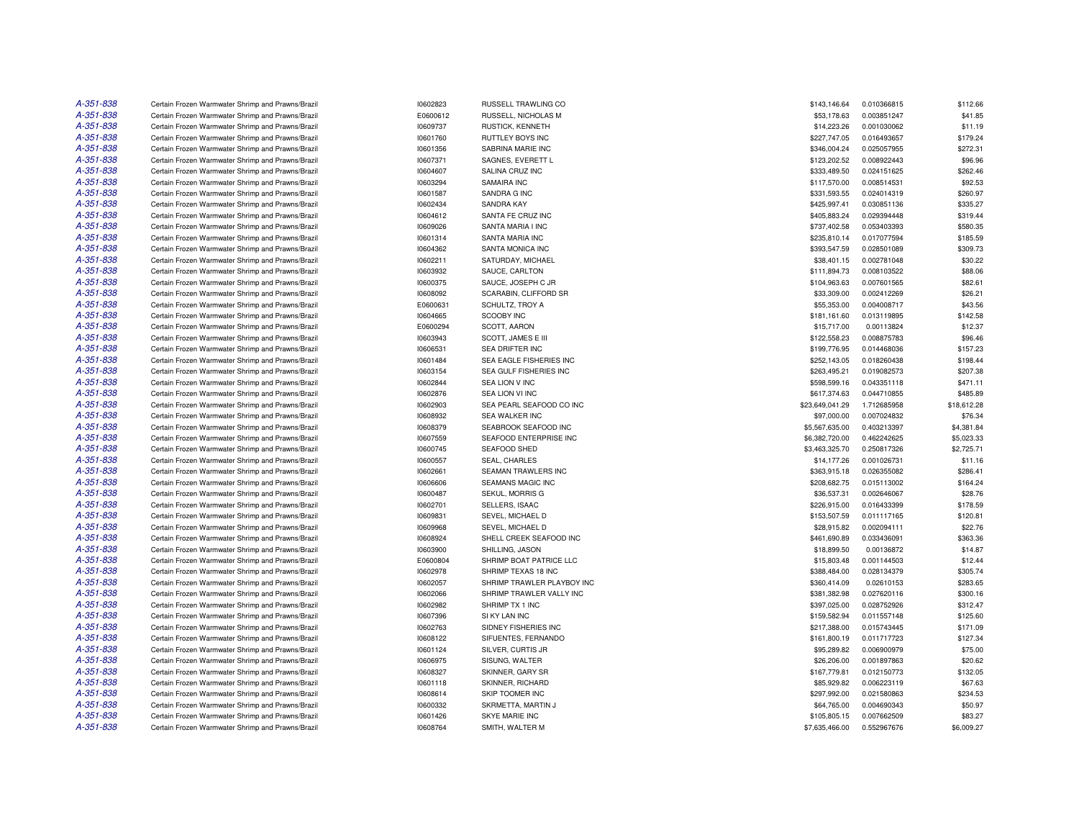| A-351-838 | Certain Frozen Warmwater Shrimp and Prawns/Brazil | 10602823 | <b>RUSSELL TRAWLING CO</b>   | \$143,146.64    | 0.010366815 | \$112.66    |
|-----------|---------------------------------------------------|----------|------------------------------|-----------------|-------------|-------------|
| A-351-838 | Certain Frozen Warmwater Shrimp and Prawns/Brazil | E0600612 | RUSSELL, NICHOLAS M          | \$53,178.63     | 0.003851247 | \$41.85     |
| A-351-838 | Certain Frozen Warmwater Shrimp and Prawns/Brazil | 10609737 | RUSTICK, KENNETH             | \$14,223.26     | 0.001030062 | \$11.19     |
| A-351-838 | Certain Frozen Warmwater Shrimp and Prawns/Brazil | 10601760 | RUTTLEY BOYS INC             | \$227,747.05    | 0.016493657 | \$179.24    |
| A-351-838 | Certain Frozen Warmwater Shrimp and Prawns/Brazil | 10601356 | SABRINA MARIE INC            | \$346,004.24    | 0.025057955 | \$272.31    |
| A-351-838 | Certain Frozen Warmwater Shrimp and Prawns/Brazil | 10607371 | SAGNES, EVERETT L            | \$123,202.52    | 0.008922443 | \$96.96     |
| A-351-838 | Certain Frozen Warmwater Shrimp and Prawns/Brazil | 10604607 | SALINA CRUZ INC              | \$333,489.50    | 0.024151625 | \$262.46    |
| A-351-838 | Certain Frozen Warmwater Shrimp and Prawns/Brazil | 10603294 | SAMAIRA INC                  | \$117,570.00    | 0.008514531 | \$92.53     |
| A-351-838 | Certain Frozen Warmwater Shrimp and Prawns/Brazil | 10601587 | SANDRA G INC                 | \$331,593.55    | 0.024014319 | \$260.97    |
| A-351-838 | Certain Frozen Warmwater Shrimp and Prawns/Brazil | 10602434 | SANDRA KAY                   | \$425,997.41    | 0.030851136 | \$335.27    |
| A-351-838 | Certain Frozen Warmwater Shrimp and Prawns/Brazil | 10604612 | SANTA FE CRUZ INC            | \$405,883.24    | 0.029394448 | \$319.44    |
| A-351-838 | Certain Frozen Warmwater Shrimp and Prawns/Brazil | 10609026 | SANTA MARIA I INC            | \$737,402.58    | 0.053403393 | \$580.35    |
| A-351-838 | Certain Frozen Warmwater Shrimp and Prawns/Brazil | 10601314 | SANTA MARIA INC              | \$235,810.14    | 0.017077594 | \$185.59    |
| A-351-838 | Certain Frozen Warmwater Shrimp and Prawns/Brazil | 10604362 | SANTA MONICA INC             | \$393,547.59    | 0.028501089 | \$309.73    |
| A-351-838 | Certain Frozen Warmwater Shrimp and Prawns/Brazil | 10602211 | SATURDAY, MICHAEL            | \$38,401.15     | 0.002781048 | \$30.22     |
| A-351-838 | Certain Frozen Warmwater Shrimp and Prawns/Brazil | 10603932 | SAUCE, CARLTON               | \$111,894.73    | 0.008103522 | \$88.06     |
| A-351-838 | Certain Frozen Warmwater Shrimp and Prawns/Brazil | 10600375 | SAUCE, JOSEPH C JR           | \$104,963.63    | 0.007601565 | \$82.61     |
| A-351-838 | Certain Frozen Warmwater Shrimp and Prawns/Brazil | 10608092 | <b>SCARABIN, CLIFFORD SR</b> | \$33,309.00     | 0.002412269 | \$26.21     |
| A-351-838 | Certain Frozen Warmwater Shrimp and Prawns/Brazil | E0600631 | SCHULTZ, TROY A              | \$55,353.00     | 0.004008717 | \$43.56     |
| A-351-838 | Certain Frozen Warmwater Shrimp and Prawns/Brazil | 10604665 | <b>SCOOBY INC</b>            | \$181,161.60    | 0.013119895 | \$142.58    |
| A-351-838 | Certain Frozen Warmwater Shrimp and Prawns/Brazil | E0600294 | SCOTT, AARON                 | \$15,717.00     | 0.00113824  | \$12.37     |
| A-351-838 | Certain Frozen Warmwater Shrimp and Prawns/Brazil | 10603943 | SCOTT, JAMES E III           | \$122,558.23    | 0.008875783 | \$96.46     |
| A-351-838 | Certain Frozen Warmwater Shrimp and Prawns/Brazil | 10606531 | SEA DRIFTER INC              | \$199,776.95    | 0.014468036 | \$157.23    |
| A-351-838 | Certain Frozen Warmwater Shrimp and Prawns/Brazil | 10601484 | SEA EAGLE FISHERIES INC      | \$252,143.05    | 0.018260438 | \$198.44    |
| A-351-838 | Certain Frozen Warmwater Shrimp and Prawns/Brazil | 10603154 | SEA GULF FISHERIES INC       | \$263,495.21    | 0.019082573 | \$207.38    |
| A-351-838 |                                                   |          |                              |                 |             |             |
| A-351-838 | Certain Frozen Warmwater Shrimp and Prawns/Brazil | 10602844 | <b>SEA LION V INC</b>        | \$598,599.16    | 0.043351118 | \$471.11    |
| A-351-838 | Certain Frozen Warmwater Shrimp and Prawns/Brazil | 10602876 | SEA LION VI INC              | \$617,374.63    | 0.044710855 | \$485.89    |
|           | Certain Frozen Warmwater Shrimp and Prawns/Brazil | 10602903 | SEA PEARL SEAFOOD CO INC     | \$23,649,041.29 | 1.712685958 | \$18,612.28 |
| A-351-838 | Certain Frozen Warmwater Shrimp and Prawns/Brazil | 10608932 | SEA WALKER INC               | \$97,000.00     | 0.007024832 | \$76.34     |
| A-351-838 | Certain Frozen Warmwater Shrimp and Prawns/Brazil | 10608379 | SEABROOK SEAFOOD INC         | \$5,567,635.00  | 0.403213397 | \$4,381.84  |
| A-351-838 | Certain Frozen Warmwater Shrimp and Prawns/Brazil | 10607559 | SEAFOOD ENTERPRISE INC       | \$6,382,720.00  | 0.462242625 | \$5,023.33  |
| A-351-838 | Certain Frozen Warmwater Shrimp and Prawns/Brazil | 10600745 | SEAFOOD SHED                 | \$3,463,325.70  | 0.250817326 | \$2,725.71  |
| A-351-838 | Certain Frozen Warmwater Shrimp and Prawns/Brazil | 10600557 | SEAL, CHARLES                | \$14,177.26     | 0.001026731 | \$11.16     |
| A-351-838 | Certain Frozen Warmwater Shrimp and Prawns/Brazil | 10602661 | SEAMAN TRAWLERS INC          | \$363,915.18    | 0.026355082 | \$286.41    |
| A-351-838 | Certain Frozen Warmwater Shrimp and Prawns/Brazil | 10606606 | <b>SEAMANS MAGIC INC</b>     | \$208,682.75    | 0.015113002 | \$164.24    |
| A-351-838 | Certain Frozen Warmwater Shrimp and Prawns/Brazil | 10600487 | SEKUL, MORRIS G              | \$36,537.31     | 0.002646067 | \$28.76     |
| A-351-838 | Certain Frozen Warmwater Shrimp and Prawns/Brazil | 10602701 | SELLERS, ISAAC               | \$226,915.00    | 0.016433399 | \$178.59    |
| A-351-838 | Certain Frozen Warmwater Shrimp and Prawns/Brazil | 10609831 | SEVEL, MICHAEL D             | \$153,507.59    | 0.011117165 | \$120.81    |
| A-351-838 | Certain Frozen Warmwater Shrimp and Prawns/Brazil | 10609968 | SEVEL, MICHAEL D             | \$28,915.82     | 0.002094111 | \$22.76     |
| A-351-838 | Certain Frozen Warmwater Shrimp and Prawns/Brazil | 10608924 | SHELL CREEK SEAFOOD INC      | \$461,690.89    | 0.033436091 | \$363.36    |
| A-351-838 | Certain Frozen Warmwater Shrimp and Prawns/Brazil | 10603900 | SHILLING, JASON              | \$18,899.50     | 0.00136872  | \$14.87     |
| A-351-838 | Certain Frozen Warmwater Shrimp and Prawns/Brazil | E0600804 | SHRIMP BOAT PATRICE LLC      | \$15,803.48     | 0.001144503 | \$12.44     |
| A-351-838 | Certain Frozen Warmwater Shrimp and Prawns/Brazil | 10602978 | SHRIMP TEXAS 18 INC          | \$388,484.00    | 0.028134379 | \$305.74    |
| A-351-838 | Certain Frozen Warmwater Shrimp and Prawns/Brazil | 10602057 | SHRIMP TRAWLER PLAYBOY INC   | \$360,414.09    | 0.02610153  | \$283.65    |
| A-351-838 | Certain Frozen Warmwater Shrimp and Prawns/Brazil | 10602066 | SHRIMP TRAWLER VALLY INC     | \$381,382.98    | 0.027620116 | \$300.16    |
| A-351-838 | Certain Frozen Warmwater Shrimp and Prawns/Brazil | 10602982 | SHRIMP TX 1 INC              | \$397,025.00    | 0.028752926 | \$312.47    |
| A-351-838 | Certain Frozen Warmwater Shrimp and Prawns/Brazil | 10607396 | SI KY LAN INC                | \$159,582.94    | 0.011557148 | \$125.60    |
| A-351-838 | Certain Frozen Warmwater Shrimp and Prawns/Brazil | 10602763 | SIDNEY FISHERIES INC         | \$217,388.00    | 0.015743445 | \$171.09    |
| A-351-838 | Certain Frozen Warmwater Shrimp and Prawns/Brazil | 10608122 | SIFUENTES, FERNANDO          | \$161,800.19    | 0.011717723 | \$127.34    |
| A-351-838 | Certain Frozen Warmwater Shrimp and Prawns/Brazil | 10601124 | SILVER, CURTIS JR            | \$95,289.82     | 0.006900979 | \$75.00     |
| A-351-838 | Certain Frozen Warmwater Shrimp and Prawns/Brazil | 10606975 | SISUNG, WALTER               | \$26,206.00     | 0.001897863 | \$20.62     |
| A-351-838 | Certain Frozen Warmwater Shrimp and Prawns/Brazil | 10608327 | SKINNER, GARY SR             | \$167,779.81    | 0.012150773 | \$132.05    |
| A-351-838 | Certain Frozen Warmwater Shrimp and Prawns/Brazil | 10601118 | SKINNER, RICHARD             | \$85,929.82     | 0.006223119 | \$67.63     |
| A-351-838 | Certain Frozen Warmwater Shrimp and Prawns/Brazil | 10608614 | SKIP TOOMER INC              | \$297,992.00    | 0.021580863 | \$234.53    |
| A-351-838 | Certain Frozen Warmwater Shrimp and Prawns/Brazil | 10600332 | SKRMETTA, MARTIN J           | \$64,765.00     | 0.004690343 | \$50.97     |
| A-351-838 | Certain Frozen Warmwater Shrimp and Prawns/Brazil | 10601426 | SKYE MARIE INC               | \$105,805.15    | 0.007662509 | \$83.27     |
| A-351-838 | Certain Frozen Warmwater Shrimp and Prawns/Brazil | 10608764 | SMITH, WALTER M              | \$7,635,466.00  | 0.552967676 | \$6,009.27  |
|           |                                                   |          |                              |                 |             |             |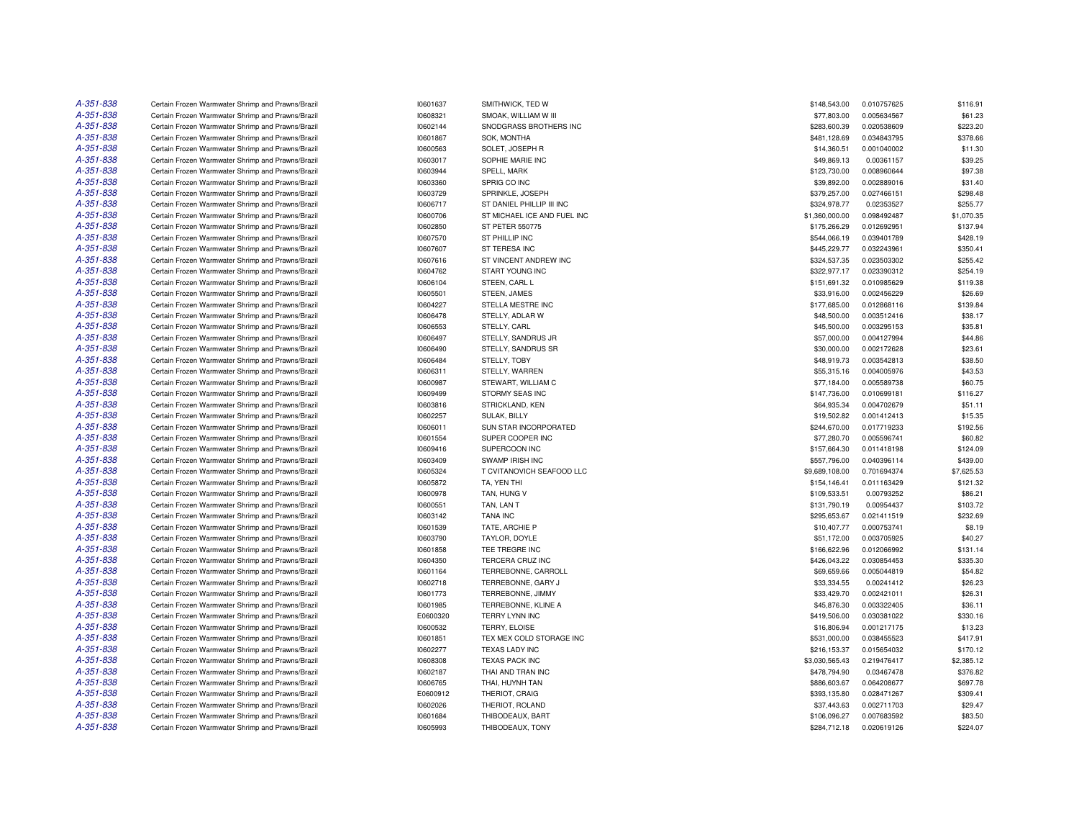| A-351-838              | Certain Frozen Warmwater Shrimp and Prawns/Brazil                                                      | 10601637             | SMITHWICK, TED W                         | \$148,543.00   | 0.010757625                | \$116.91           |
|------------------------|--------------------------------------------------------------------------------------------------------|----------------------|------------------------------------------|----------------|----------------------------|--------------------|
| A-351-838              | Certain Frozen Warmwater Shrimp and Prawns/Brazil                                                      | 10608321             | SMOAK, WILLIAM W III                     | \$77,803.00    | 0.005634567                | \$61.23            |
| A-351-838              | Certain Frozen Warmwater Shrimp and Prawns/Brazil                                                      | 10602144             | SNODGRASS BROTHERS INC                   | \$283,600.39   | 0.020538609                | \$223.20           |
| A-351-838              | Certain Frozen Warmwater Shrimp and Prawns/Brazil                                                      | 10601867             | SOK, MONTHA                              | \$481,128.69   | 0.034843795                | \$378.66           |
| A-351-838              | Certain Frozen Warmwater Shrimp and Prawns/Brazil                                                      | 10600563             | SOLET, JOSEPH R                          | \$14,360.51    | 0.001040002                | \$11.30            |
| A-351-838              | Certain Frozen Warmwater Shrimp and Prawns/Brazil                                                      | 10603017             | SOPHIE MARIE INC                         | \$49,869.13    | 0.00361157                 | \$39.25            |
| A-351-838              | Certain Frozen Warmwater Shrimp and Prawns/Brazil                                                      | 10603944             | SPELL, MARK                              | \$123,730.00   | 0.008960644                | \$97.38            |
| A-351-838              | Certain Frozen Warmwater Shrimp and Prawns/Brazil                                                      | 10603360             | SPRIG CO INC                             | \$39,892.00    | 0.002889016                | \$31.40            |
| A-351-838              | Certain Frozen Warmwater Shrimp and Prawns/Brazil                                                      | 10603729             | SPRINKLE, JOSEPH                         | \$379,257.00   | 0.027466151                | \$298.48           |
| A-351-838              | Certain Frozen Warmwater Shrimp and Prawns/Brazil                                                      | 10606717             | ST DANIEL PHILLIP III INC                | \$324,978.77   | 0.02353527                 | \$255.77           |
| A-351-838              | Certain Frozen Warmwater Shrimp and Prawns/Brazil                                                      | 10600706             | ST MICHAEL ICE AND FUEL INC              | \$1,360,000.00 | 0.098492487                | \$1,070.35         |
| A-351-838              | Certain Frozen Warmwater Shrimp and Prawns/Brazil                                                      | 10602850             | ST PETER 550775                          | \$175,266.29   | 0.012692951                | \$137.94           |
| A-351-838              | Certain Frozen Warmwater Shrimp and Prawns/Brazil                                                      | 10607570             | ST PHILLIP INC                           | \$544,066.19   | 0.039401789                | \$428.19           |
| A-351-838              | Certain Frozen Warmwater Shrimp and Prawns/Brazil                                                      | 10607607             | ST TERESA INC                            | \$445,229.77   | 0.032243961                | \$350.41           |
| A-351-838              | Certain Frozen Warmwater Shrimp and Prawns/Brazil                                                      | 10607616             | ST VINCENT ANDREW INC                    | \$324,537.35   | 0.023503302                | \$255.42           |
| A-351-838              | Certain Frozen Warmwater Shrimp and Prawns/Brazil                                                      | 10604762             | START YOUNG INC                          | \$322,977.17   | 0.023390312                | \$254.19           |
| A-351-838              | Certain Frozen Warmwater Shrimp and Prawns/Brazil                                                      | 10606104             | STEEN, CARL L                            | \$151,691.32   | 0.010985629                | \$119.38           |
| A-351-838              | Certain Frozen Warmwater Shrimp and Prawns/Brazil                                                      | 10605501             | STEEN, JAMES                             | \$33,916.00    | 0.002456229                | \$26.69            |
| A-351-838              | Certain Frozen Warmwater Shrimp and Prawns/Brazil                                                      | 10604227             | STELLA MESTRE INC                        | \$177,685.00   | 0.012868116                | \$139.84           |
| A-351-838              | Certain Frozen Warmwater Shrimp and Prawns/Brazil                                                      | 10606478             | STELLY, ADLAR W                          | \$48,500.00    | 0.003512416                | \$38.17            |
| A-351-838              | Certain Frozen Warmwater Shrimp and Prawns/Brazil                                                      | 10606553             | STELLY, CARL                             |                | 0.003295153                | \$35.81            |
|                        |                                                                                                        |                      |                                          | \$45,500.00    |                            |                    |
| A-351-838<br>A-351-838 | Certain Frozen Warmwater Shrimp and Prawns/Brazil<br>Certain Frozen Warmwater Shrimp and Prawns/Brazil | 10606497<br>10606490 | STELLY, SANDRUS JR<br>STELLY, SANDRUS SR | \$57,000.00    | 0.004127994<br>0.002172628 | \$44.86<br>\$23.61 |
|                        |                                                                                                        |                      |                                          | \$30,000.00    |                            |                    |
| A-351-838              | Certain Frozen Warmwater Shrimp and Prawns/Brazil                                                      | 10606484             | STELLY, TOBY                             | \$48,919.73    | 0.003542813                | \$38.50            |
| A-351-838              | Certain Frozen Warmwater Shrimp and Prawns/Brazil                                                      | 10606311             | STELLY, WARREN                           | \$55,315.16    | 0.004005976                | \$43.53            |
| A-351-838              | Certain Frozen Warmwater Shrimp and Prawns/Brazil                                                      | 10600987             | STEWART, WILLIAM C                       | \$77,184.00    | 0.005589738                | \$60.75            |
| A-351-838              | Certain Frozen Warmwater Shrimp and Prawns/Brazil                                                      | 10609499             | STORMY SEAS INC                          | \$147,736.00   | 0.010699181                | \$116.27           |
| A-351-838              | Certain Frozen Warmwater Shrimp and Prawns/Brazil                                                      | 10603816             | STRICKLAND, KEN                          | \$64,935.34    | 0.004702679                | \$51.11            |
| A-351-838              | Certain Frozen Warmwater Shrimp and Prawns/Brazil                                                      | 10602257             | SULAK, BILLY                             | \$19,502.82    | 0.001412413                | \$15.35            |
| A-351-838              | Certain Frozen Warmwater Shrimp and Prawns/Brazil                                                      | 10606011             | SUN STAR INCORPORATED                    | \$244,670.00   | 0.017719233                | \$192.56           |
| A-351-838              | Certain Frozen Warmwater Shrimp and Prawns/Brazil                                                      | 10601554             | SUPER COOPER INC                         | \$77,280.70    | 0.005596741                | \$60.82            |
| A-351-838              | Certain Frozen Warmwater Shrimp and Prawns/Brazil                                                      | 10609416             | SUPERCOON INC                            | \$157,664.30   | 0.011418198                | \$124.09           |
| A-351-838              | Certain Frozen Warmwater Shrimp and Prawns/Brazil                                                      | 10603409             | SWAMP IRISH INC                          | \$557,796.00   | 0.040396114                | \$439.00           |
| A-351-838              | Certain Frozen Warmwater Shrimp and Prawns/Brazil                                                      | 10605324             | T CVITANOVICH SEAFOOD LLC                | \$9,689,108.00 | 0.701694374                | \$7,625.53         |
| A-351-838              | Certain Frozen Warmwater Shrimp and Prawns/Brazil                                                      | 10605872             | TA, YEN THI                              | \$154,146.41   | 0.011163429                | \$121.32           |
| A-351-838              | Certain Frozen Warmwater Shrimp and Prawns/Brazil                                                      | 10600978             | TAN. HUNG V                              | \$109,533.51   | 0.00793252                 | \$86.21            |
| A-351-838              | Certain Frozen Warmwater Shrimp and Prawns/Brazil                                                      | 10600551             | TAN, LAN T                               | \$131,790.19   | 0.00954437                 | \$103.72           |
| A-351-838              | Certain Frozen Warmwater Shrimp and Prawns/Brazil                                                      | 10603142             | <b>TANA INC</b>                          | \$295,653.67   | 0.021411519                | \$232.69           |
| A-351-838              | Certain Frozen Warmwater Shrimp and Prawns/Brazil                                                      | 10601539             | TATE, ARCHIE P                           | \$10,407.77    | 0.000753741                | \$8.19             |
| A-351-838              | Certain Frozen Warmwater Shrimp and Prawns/Brazil                                                      | 10603790             | TAYLOR, DOYLE                            | \$51,172.00    | 0.003705925                | \$40.27            |
| A-351-838              | Certain Frozen Warmwater Shrimp and Prawns/Brazil                                                      | 10601858             | TEE TREGRE INC                           | \$166,622.96   | 0.012066992                | \$131.14           |
| A-351-838              | Certain Frozen Warmwater Shrimp and Prawns/Brazil                                                      | 10604350             | TERCERA CRUZ INC                         | \$426,043.22   | 0.030854453                | \$335.30           |
| A-351-838              | Certain Frozen Warmwater Shrimp and Prawns/Brazil                                                      | 10601164             | TERREBONNE, CARROLL                      | \$69,659.66    | 0.005044819                | \$54.82            |
| A-351-838              | Certain Frozen Warmwater Shrimp and Prawns/Brazil                                                      | 10602718             | TERREBONNE, GARY J                       | \$33,334.55    | 0.00241412                 | \$26.23            |
| A-351-838              | Certain Frozen Warmwater Shrimp and Prawns/Brazil                                                      | 10601773             | TERREBONNE, JIMMY                        | \$33,429.70    | 0.002421011                | \$26.31            |
| A-351-838              | Certain Frozen Warmwater Shrimp and Prawns/Brazil                                                      | 10601985             | TERREBONNE, KLINE A                      | \$45,876.30    | 0.003322405                | \$36.11            |
| A-351-838              | Certain Frozen Warmwater Shrimp and Prawns/Brazil                                                      | E0600320             | TERRY LYNN INC                           | \$419,506.00   | 0.030381022                | \$330.16           |
| A-351-838              | Certain Frozen Warmwater Shrimp and Prawns/Brazil                                                      | 10600532             | TERRY, ELOISE                            | \$16,806.94    | 0.001217175                | \$13.23            |
| A-351-838              | Certain Frozen Warmwater Shrimp and Prawns/Brazil                                                      | 10601851             | TEX MEX COLD STORAGE INC                 | \$531,000.00   | 0.038455523                | \$417.91           |
| A-351-838              | Certain Frozen Warmwater Shrimp and Prawns/Brazil                                                      | 10602277             | TEXAS LADY INC                           | \$216,153.37   | 0.015654032                | \$170.12           |
| A-351-838              | Certain Frozen Warmwater Shrimp and Prawns/Brazil                                                      | 10608308             | <b>TEXAS PACK INC</b>                    | \$3,030,565.43 | 0.219476417                | \$2,385.12         |
| A-351-838              | Certain Frozen Warmwater Shrimp and Prawns/Brazil                                                      | 10602187             | THAI AND TRAN INC                        | \$478,794.90   | 0.03467478                 | \$376.82           |
| A-351-838              | Certain Frozen Warmwater Shrimp and Prawns/Brazil                                                      | 10606765             | THAI, HUYNH TAN                          | \$886,603.67   | 0.064208677                | \$697.78           |
| A-351-838              | Certain Frozen Warmwater Shrimp and Prawns/Brazil                                                      | E0600912             | THERIOT, CRAIG                           | \$393,135.80   | 0.028471267                | \$309.41           |
| A-351-838              | Certain Frozen Warmwater Shrimp and Prawns/Brazil                                                      | 10602026             | THERIOT, ROLAND                          | \$37,443.63    | 0.002711703                | \$29.47            |
| A-351-838              | Certain Frozen Warmwater Shrimp and Prawns/Brazil                                                      | 10601684             | THIBODEAUX, BART                         | \$106,096.27   | 0.007683592                | \$83.50            |
| A-351-838              | Certain Frozen Warmwater Shrimp and Prawns/Brazil                                                      | 10605993             | THIBODEAUX, TONY                         | \$284,712.18   | 0.020619126                | \$224.07           |
|                        |                                                                                                        |                      |                                          |                |                            |                    |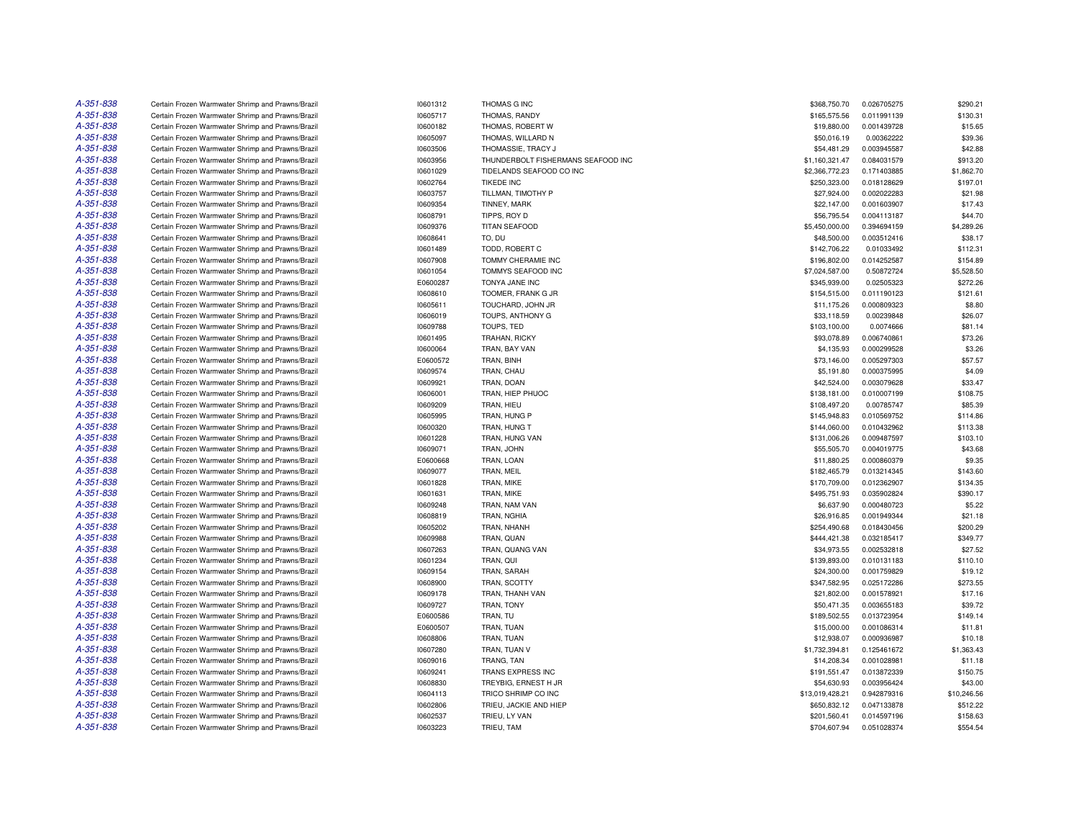| A-351-838 | Certain Frozen Warmwater Shrimp and Prawns/Brazil | 10601312 | THOMAS G INC                       | \$368,750.70    | 0.026705275 | \$290.21    |
|-----------|---------------------------------------------------|----------|------------------------------------|-----------------|-------------|-------------|
| A-351-838 | Certain Frozen Warmwater Shrimp and Prawns/Brazil | 10605717 | THOMAS, RANDY                      | \$165,575.56    | 0.011991139 | \$130.31    |
| A-351-838 | Certain Frozen Warmwater Shrimp and Prawns/Brazil | 10600182 | THOMAS, ROBERT W                   | \$19,880.00     | 0.001439728 | \$15.65     |
| A-351-838 | Certain Frozen Warmwater Shrimp and Prawns/Brazil | 10605097 | THOMAS, WILLARD N                  | \$50,016.19     | 0.00362222  | \$39.36     |
| A-351-838 | Certain Frozen Warmwater Shrimp and Prawns/Brazil | 10603506 | THOMASSIE, TRACY J                 | \$54,481.29     | 0.003945587 | \$42.88     |
| A-351-838 | Certain Frozen Warmwater Shrimp and Prawns/Brazil | 10603956 | THUNDERBOLT FISHERMANS SEAFOOD INC | \$1,160,321.47  | 0.084031579 | \$913.20    |
| A-351-838 | Certain Frozen Warmwater Shrimp and Prawns/Brazil | 10601029 | TIDELANDS SEAFOOD CO INC           | \$2,366,772.23  | 0.171403885 | \$1,862.70  |
| A-351-838 | Certain Frozen Warmwater Shrimp and Prawns/Brazil | 10602764 | <b>TIKEDE INC</b>                  | \$250,323.00    | 0.018128629 | \$197.01    |
| A-351-838 | Certain Frozen Warmwater Shrimp and Prawns/Brazil | 10603757 | TILLMAN, TIMOTHY P                 | \$27,924.00     | 0.002022283 | \$21.98     |
| A-351-838 | Certain Frozen Warmwater Shrimp and Prawns/Brazil | 10609354 | TINNEY, MARK                       | \$22,147.00     | 0.001603907 | \$17.43     |
| A-351-838 | Certain Frozen Warmwater Shrimp and Prawns/Brazil | 10608791 | TIPPS, ROY D                       | \$56,795.54     | 0.004113187 | \$44.70     |
| A-351-838 | Certain Frozen Warmwater Shrimp and Prawns/Brazil | 10609376 | <b>TITAN SEAFOOD</b>               | \$5,450,000.00  | 0.394694159 | \$4,289.26  |
| A-351-838 | Certain Frozen Warmwater Shrimp and Prawns/Brazil | 10608641 | TO, DU                             | \$48,500.00     | 0.003512416 | \$38.17     |
| A-351-838 | Certain Frozen Warmwater Shrimp and Prawns/Brazil | 10601489 | TODD, ROBERT C                     | \$142,706.22    | 0.01033492  | \$112.31    |
| A-351-838 | Certain Frozen Warmwater Shrimp and Prawns/Brazil | 10607908 | TOMMY CHERAMIE INC                 | \$196,802.00    | 0.014252587 | \$154.89    |
| A-351-838 | Certain Frozen Warmwater Shrimp and Prawns/Brazil | 10601054 | TOMMYS SEAFOOD INC                 | \$7,024,587.00  | 0.50872724  | \$5,528.50  |
| A-351-838 | Certain Frozen Warmwater Shrimp and Prawns/Brazil | E0600287 | TONYA JANE INC                     | \$345,939.00    | 0.02505323  | \$272.26    |
| A-351-838 | Certain Frozen Warmwater Shrimp and Prawns/Brazil | 10608610 | TOOMER, FRANK G JR                 | \$154,515.00    | 0.011190123 | \$121.61    |
| A-351-838 | Certain Frozen Warmwater Shrimp and Prawns/Brazil | 10605611 | TOUCHARD, JOHN JR                  | \$11,175.26     | 0.000809323 | \$8.80      |
| A-351-838 |                                                   |          |                                    |                 |             |             |
|           | Certain Frozen Warmwater Shrimp and Prawns/Brazil | 10606019 | TOUPS, ANTHONY G                   | \$33,118.59     | 0.00239848  | \$26.07     |
| A-351-838 | Certain Frozen Warmwater Shrimp and Prawns/Brazil | 10609788 | TOUPS, TED                         | \$103,100.00    | 0.0074666   | \$81.14     |
| A-351-838 | Certain Frozen Warmwater Shrimp and Prawns/Brazil | 10601495 | TRAHAN, RICKY                      | \$93,078.89     | 0.006740861 | \$73.26     |
| A-351-838 | Certain Frozen Warmwater Shrimp and Prawns/Brazil | 10600064 | TRAN, BAY VAN                      | \$4,135.93      | 0.000299528 | \$3.26      |
| A-351-838 | Certain Frozen Warmwater Shrimp and Prawns/Brazil | E0600572 | TRAN, BINH                         | \$73,146.00     | 0.005297303 | \$57.57     |
| A-351-838 | Certain Frozen Warmwater Shrimp and Prawns/Brazil | 10609574 | TRAN, CHAU                         | \$5,191.80      | 0.000375995 | \$4.09      |
| A-351-838 | Certain Frozen Warmwater Shrimp and Prawns/Brazil | 10609921 | TRAN, DOAN                         | \$42,524.00     | 0.003079628 | \$33.47     |
| A-351-838 | Certain Frozen Warmwater Shrimp and Prawns/Brazil | 10606001 | TRAN, HIEP PHUOC                   | \$138,181.00    | 0.010007199 | \$108.75    |
| A-351-838 | Certain Frozen Warmwater Shrimp and Prawns/Brazil | 10609209 | TRAN, HIEU                         | \$108,497.20    | 0.00785747  | \$85.39     |
| A-351-838 | Certain Frozen Warmwater Shrimp and Prawns/Brazil | 10605995 | TRAN, HUNG P                       | \$145,948.83    | 0.010569752 | \$114.86    |
| A-351-838 | Certain Frozen Warmwater Shrimp and Prawns/Brazil | 10600320 | TRAN, HUNG T                       | \$144,060.00    | 0.010432962 | \$113.38    |
| A-351-838 | Certain Frozen Warmwater Shrimp and Prawns/Brazil | 10601228 | TRAN, HUNG VAN                     | \$131,006.26    | 0.009487597 | \$103.10    |
| A-351-838 | Certain Frozen Warmwater Shrimp and Prawns/Brazil | 10609071 | TRAN, JOHN                         | \$55,505.70     | 0.004019775 | \$43.68     |
| A-351-838 | Certain Frozen Warmwater Shrimp and Prawns/Brazil | E0600668 | TRAN, LOAN                         | \$11,880.25     | 0.000860379 | \$9.35      |
| A-351-838 | Certain Frozen Warmwater Shrimp and Prawns/Brazil | 10609077 | TRAN, MEIL                         | \$182,465.79    | 0.013214345 | \$143.60    |
| A-351-838 | Certain Frozen Warmwater Shrimp and Prawns/Brazil | 10601828 | TRAN, MIKE                         | \$170,709.00    | 0.012362907 | \$134.35    |
| A-351-838 | Certain Frozen Warmwater Shrimp and Prawns/Brazil | 10601631 | TRAN, MIKE                         | \$495,751.93    | 0.035902824 | \$390.17    |
| A-351-838 | Certain Frozen Warmwater Shrimp and Prawns/Brazil | 10609248 | TRAN. NAM VAN                      | \$6,637.90      | 0.000480723 | \$5.22      |
| A-351-838 | Certain Frozen Warmwater Shrimp and Prawns/Brazil | 10608819 | TRAN, NGHIA                        | \$26,916.85     | 0.001949344 | \$21.18     |
| A-351-838 | Certain Frozen Warmwater Shrimp and Prawns/Brazil | 10605202 | TRAN, NHANH                        | \$254,490.68    | 0.018430456 | \$200.29    |
| A-351-838 | Certain Frozen Warmwater Shrimp and Prawns/Brazil | 10609988 | TRAN, QUAN                         | \$444,421.38    | 0.032185417 | \$349.77    |
| A-351-838 | Certain Frozen Warmwater Shrimp and Prawns/Brazil | 10607263 | TRAN, QUANG VAN                    | \$34,973.55     | 0.002532818 | \$27.52     |
| A-351-838 | Certain Frozen Warmwater Shrimp and Prawns/Brazil | 10601234 | TRAN, QUI                          | \$139,893.00    | 0.010131183 | \$110.10    |
| A-351-838 | Certain Frozen Warmwater Shrimp and Prawns/Brazil | 10609154 | TRAN, SARAH                        | \$24,300.00     | 0.001759829 | \$19.12     |
| A-351-838 | Certain Frozen Warmwater Shrimp and Prawns/Brazil | 10608900 | TRAN, SCOTTY                       | \$347,582.95    | 0.025172286 | \$273.55    |
| A-351-838 | Certain Frozen Warmwater Shrimp and Prawns/Brazil | 10609178 | TRAN, THANH VAN                    | \$21,802.00     | 0.001578921 | \$17.16     |
| A-351-838 | Certain Frozen Warmwater Shrimp and Prawns/Brazil | 10609727 | TRAN, TONY                         | \$50,471.35     | 0.003655183 | \$39.72     |
| A-351-838 | Certain Frozen Warmwater Shrimp and Prawns/Brazil | E0600586 | TRAN, TU                           | \$189,502.55    | 0.013723954 | \$149.14    |
| A-351-838 | Certain Frozen Warmwater Shrimp and Prawns/Brazil | E0600507 | TRAN, TUAN                         | \$15,000.00     | 0.001086314 | \$11.81     |
| A-351-838 | Certain Frozen Warmwater Shrimp and Prawns/Brazil | 10608806 | TRAN, TUAN                         | \$12,938.07     | 0.000936987 | \$10.18     |
| A-351-838 | Certain Frozen Warmwater Shrimp and Prawns/Brazil | 10607280 | TRAN, TUAN V                       | \$1,732,394.81  | 0.125461672 | \$1,363.43  |
| A-351-838 | Certain Frozen Warmwater Shrimp and Prawns/Brazil | 10609016 | TRANG, TAN                         | \$14,208.34     | 0.001028981 | \$11.18     |
| A-351-838 | Certain Frozen Warmwater Shrimp and Prawns/Brazil | 10609241 | TRANS EXPRESS INC                  | \$191,551.47    | 0.013872339 | \$150.75    |
| A-351-838 | Certain Frozen Warmwater Shrimp and Prawns/Brazil | 10608830 | TREYBIG, ERNEST H JR               | \$54,630.93     | 0.003956424 | \$43.00     |
| A-351-838 | Certain Frozen Warmwater Shrimp and Prawns/Brazil | 10604113 | TRICO SHRIMP CO INC                | \$13,019,428.21 | 0.942879316 | \$10,246.56 |
| A-351-838 | Certain Frozen Warmwater Shrimp and Prawns/Brazil | 10602806 | TRIEU, JACKIE AND HIEP             | \$650,832.12    | 0.047133878 | \$512.22    |
| A-351-838 | Certain Frozen Warmwater Shrimp and Prawns/Brazil | 10602537 | TRIEU, LY VAN                      | \$201,560.41    | 0.014597196 | \$158.63    |
| A-351-838 | Certain Frozen Warmwater Shrimp and Prawns/Brazil | 10603223 | TRIEU, TAM                         | \$704,607.94    | 0.051028374 | \$554.54    |
|           |                                                   |          |                                    |                 |             |             |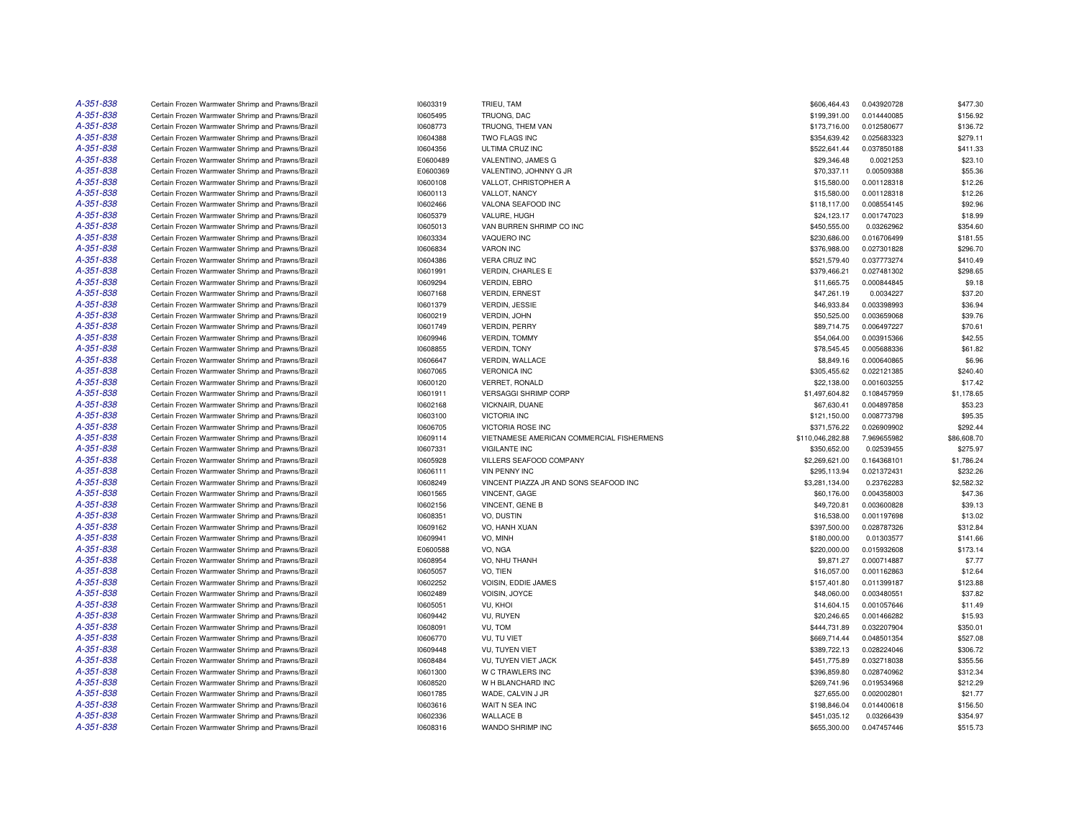| A-351-838 | Certain Frozen Warmwater Shrimp and Prawns/Brazil | 10603319 | TRIEU, TAM                                | \$606,464.43     | 0.043920728 | \$477.30    |
|-----------|---------------------------------------------------|----------|-------------------------------------------|------------------|-------------|-------------|
| A-351-838 | Certain Frozen Warmwater Shrimp and Prawns/Brazil | 10605495 | TRUONG, DAC                               | \$199,391.00     | 0.014440085 | \$156.92    |
| A-351-838 | Certain Frozen Warmwater Shrimp and Prawns/Brazil | 10608773 | TRUONG, THEM VAN                          | \$173,716.00     | 0.012580677 | \$136.72    |
| A-351-838 | Certain Frozen Warmwater Shrimp and Prawns/Brazil | 10604388 | TWO FLAGS INC                             | \$354,639.42     | 0.025683323 | \$279.11    |
| A-351-838 | Certain Frozen Warmwater Shrimp and Prawns/Brazil | 10604356 | ULTIMA CRUZ INC                           | \$522,641.44     | 0.037850188 | \$411.33    |
| A-351-838 | Certain Frozen Warmwater Shrimp and Prawns/Brazil | E0600489 | VALENTINO, JAMES G                        | \$29,346.48      | 0.0021253   | \$23.10     |
| A-351-838 | Certain Frozen Warmwater Shrimp and Prawns/Brazil | E0600369 | VALENTINO, JOHNNY G JR                    | \$70,337.11      | 0.00509388  | \$55.36     |
| A-351-838 | Certain Frozen Warmwater Shrimp and Prawns/Brazil | 10600108 | VALLOT, CHRISTOPHER A                     | \$15,580.00      | 0.001128318 | \$12.26     |
| A-351-838 | Certain Frozen Warmwater Shrimp and Prawns/Brazil | 10600113 | VALLOT, NANCY                             | \$15,580.00      | 0.001128318 | \$12.26     |
| A-351-838 | Certain Frozen Warmwater Shrimp and Prawns/Brazil | 10602466 | VALONA SEAFOOD INC                        | \$118,117.00     | 0.008554145 | \$92.96     |
| A-351-838 | Certain Frozen Warmwater Shrimp and Prawns/Brazil | 10605379 | VALURE, HUGH                              | \$24,123.17      | 0.001747023 | \$18.99     |
| A-351-838 | Certain Frozen Warmwater Shrimp and Prawns/Brazil | 10605013 | VAN BURREN SHRIMP CO INC                  | \$450,555.00     | 0.03262962  | \$354.60    |
| A-351-838 | Certain Frozen Warmwater Shrimp and Prawns/Brazil | 10603334 | VAQUERO INC                               | \$230,686.00     | 0.016706499 | \$181.55    |
| A-351-838 | Certain Frozen Warmwater Shrimp and Prawns/Brazil | 10606834 | <b>VARON INC</b>                          | \$376,988.00     | 0.027301828 | \$296.70    |
| A-351-838 | Certain Frozen Warmwater Shrimp and Prawns/Brazil | 10604386 | <b>VERA CRUZ INC</b>                      | \$521,579.40     | 0.037773274 | \$410.49    |
| A-351-838 | Certain Frozen Warmwater Shrimp and Prawns/Brazil | 10601991 | <b>VERDIN, CHARLES E</b>                  | \$379,466.21     | 0.027481302 | \$298.65    |
| A-351-838 | Certain Frozen Warmwater Shrimp and Prawns/Brazil | 10609294 | <b>VERDIN, EBRO</b>                       | \$11,665.75      | 0.000844845 | \$9.18      |
| A-351-838 | Certain Frozen Warmwater Shrimp and Prawns/Brazil | 10607168 | <b>VERDIN, ERNEST</b>                     | \$47,261.19      | 0.0034227   | \$37.20     |
| A-351-838 | Certain Frozen Warmwater Shrimp and Prawns/Brazil | 10601379 | <b>VERDIN, JESSIE</b>                     | \$46,933.84      | 0.003398993 | \$36.94     |
| A-351-838 |                                                   |          |                                           |                  |             |             |
| A-351-838 | Certain Frozen Warmwater Shrimp and Prawns/Brazil | 10600219 | VERDIN, JOHN                              | \$50,525.00      | 0.003659068 | \$39.76     |
|           | Certain Frozen Warmwater Shrimp and Prawns/Brazil | 10601749 | <b>VERDIN, PERRY</b>                      | \$89,714.75      | 0.006497227 | \$70.61     |
| A-351-838 | Certain Frozen Warmwater Shrimp and Prawns/Brazil | 10609946 | <b>VERDIN, TOMMY</b>                      | \$54,064.00      | 0.003915366 | \$42.55     |
| A-351-838 | Certain Frozen Warmwater Shrimp and Prawns/Brazil | 10608855 | VERDIN, TONY                              | \$78,545.45      | 0.005688336 | \$61.82     |
| A-351-838 | Certain Frozen Warmwater Shrimp and Prawns/Brazil | 10606647 | VERDIN, WALLACE                           | \$8,849.16       | 0.000640865 | \$6.96      |
| A-351-838 | Certain Frozen Warmwater Shrimp and Prawns/Brazil | 10607065 | <b>VERONICA INC</b>                       | \$305,455.62     | 0.022121385 | \$240.40    |
| A-351-838 | Certain Frozen Warmwater Shrimp and Prawns/Brazil | 10600120 | <b>VERRET, RONALD</b>                     | \$22,138.00      | 0.001603255 | \$17.42     |
| A-351-838 | Certain Frozen Warmwater Shrimp and Prawns/Brazil | 10601911 | <b>VERSAGGI SHRIMP CORP</b>               | \$1,497,604.82   | 0.108457959 | \$1,178.65  |
| A-351-838 | Certain Frozen Warmwater Shrimp and Prawns/Brazil | 10602168 | VICKNAIR, DUANE                           | \$67,630.41      | 0.004897858 | \$53.23     |
| A-351-838 | Certain Frozen Warmwater Shrimp and Prawns/Brazil | 10603100 | <b>VICTORIA INC</b>                       | \$121,150.00     | 0.008773798 | \$95.35     |
| A-351-838 | Certain Frozen Warmwater Shrimp and Prawns/Brazil | 10606705 | <b>VICTORIA ROSE INC</b>                  | \$371,576.22     | 0.026909902 | \$292.44    |
| A-351-838 | Certain Frozen Warmwater Shrimp and Prawns/Brazil | 10609114 | VIETNAMESE AMERICAN COMMERCIAL FISHERMENS | \$110,046,282.88 | 7.969655982 | \$86,608.70 |
| A-351-838 | Certain Frozen Warmwater Shrimp and Prawns/Brazil | 10607331 | <b>VIGILANTE INC</b>                      | \$350,652.00     | 0.02539455  | \$275.97    |
| A-351-838 | Certain Frozen Warmwater Shrimp and Prawns/Brazil | 10605928 | VILLERS SEAFOOD COMPANY                   | \$2,269,621.00   | 0.164368101 | \$1,786.24  |
| A-351-838 | Certain Frozen Warmwater Shrimp and Prawns/Brazil | 10606111 | <b>VIN PENNY INC</b>                      | \$295,113.94     | 0.021372431 | \$232.26    |
| A-351-838 | Certain Frozen Warmwater Shrimp and Prawns/Brazil | 10608249 | VINCENT PIAZZA JR AND SONS SEAFOOD INC    | \$3,281,134.00   | 0.23762283  | \$2,582.32  |
| A-351-838 | Certain Frozen Warmwater Shrimp and Prawns/Brazil | 10601565 | VINCENT, GAGE                             | \$60,176.00      | 0.004358003 | \$47.36     |
| A-351-838 | Certain Frozen Warmwater Shrimp and Prawns/Brazil | 10602156 | VINCENT, GENE B                           | \$49,720.81      | 0.003600828 | \$39.13     |
| A-351-838 | Certain Frozen Warmwater Shrimp and Prawns/Brazil | 10608351 | VO, DUSTIN                                | \$16,538.00      | 0.001197698 | \$13.02     |
| A-351-838 | Certain Frozen Warmwater Shrimp and Prawns/Brazil | 10609162 | VO, HANH XUAN                             | \$397,500.00     | 0.028787326 | \$312.84    |
| A-351-838 | Certain Frozen Warmwater Shrimp and Prawns/Brazil | 10609941 | VO, MINH                                  | \$180,000.00     | 0.01303577  | \$141.66    |
| A-351-838 | Certain Frozen Warmwater Shrimp and Prawns/Brazil | E0600588 | VO, NGA                                   | \$220,000.00     | 0.015932608 | \$173.14    |
| A-351-838 | Certain Frozen Warmwater Shrimp and Prawns/Brazil | 10608954 | VO, NHU THANH                             | \$9,871.27       | 0.000714887 | \$7.77      |
| A-351-838 | Certain Frozen Warmwater Shrimp and Prawns/Brazil | 10605057 | VO. TIEN                                  | \$16,057.00      | 0.001162863 | \$12.64     |
| A-351-838 | Certain Frozen Warmwater Shrimp and Prawns/Brazil | 10602252 | <b>VOISIN, EDDIE JAMES</b>                | \$157,401.80     | 0.011399187 | \$123.88    |
| A-351-838 | Certain Frozen Warmwater Shrimp and Prawns/Brazil | 10602489 | VOISIN, JOYCE                             | \$48,060.00      | 0.003480551 | \$37.82     |
| A-351-838 | Certain Frozen Warmwater Shrimp and Prawns/Brazil | 10605051 | VU, KHOI                                  | \$14,604.15      | 0.001057646 | \$11.49     |
| A-351-838 | Certain Frozen Warmwater Shrimp and Prawns/Brazil | 10609442 | VU, RUYEN                                 | \$20,246.65      | 0.001466282 | \$15.93     |
| A-351-838 | Certain Frozen Warmwater Shrimp and Prawns/Brazil | 10608091 | VU, TOM                                   | \$444,731.89     | 0.032207904 | \$350.01    |
| A-351-838 | Certain Frozen Warmwater Shrimp and Prawns/Brazil | 10606770 | VU, TU VIET                               | \$669,714.44     | 0.048501354 | \$527.08    |
| A-351-838 | Certain Frozen Warmwater Shrimp and Prawns/Brazil | 10609448 | VU, TUYEN VIET                            | \$389,722.13     | 0.028224046 | \$306.72    |
| A-351-838 | Certain Frozen Warmwater Shrimp and Prawns/Brazil | 10608484 | VU, TUYEN VIET JACK                       | \$451,775.89     | 0.032718038 | \$355.56    |
| A-351-838 | Certain Frozen Warmwater Shrimp and Prawns/Brazil | 10601300 | W C TRAWLERS INC                          | \$396,859.80     | 0.028740962 | \$312.34    |
| A-351-838 | Certain Frozen Warmwater Shrimp and Prawns/Brazil | 10608520 | W H BLANCHARD INC                         | \$269,741.96     | 0.019534968 | \$212.29    |
| A-351-838 | Certain Frozen Warmwater Shrimp and Prawns/Brazil | 10601785 | WADE, CALVIN J JR                         | \$27,655.00      | 0.002002801 | \$21.77     |
| A-351-838 | Certain Frozen Warmwater Shrimp and Prawns/Brazil | 10603616 | WAIT N SEA INC                            | \$198,846.04     | 0.014400618 | \$156.50    |
| A-351-838 | Certain Frozen Warmwater Shrimp and Prawns/Brazil | 10602336 | <b>WALLACE B</b>                          | \$451,035.12     | 0.03266439  | \$354.97    |
| A-351-838 | Certain Frozen Warmwater Shrimp and Prawns/Brazil | 10608316 | WANDO SHRIMP INC                          | \$655,300.00     | 0.047457446 | \$515.73    |
|           |                                                   |          |                                           |                  |             |             |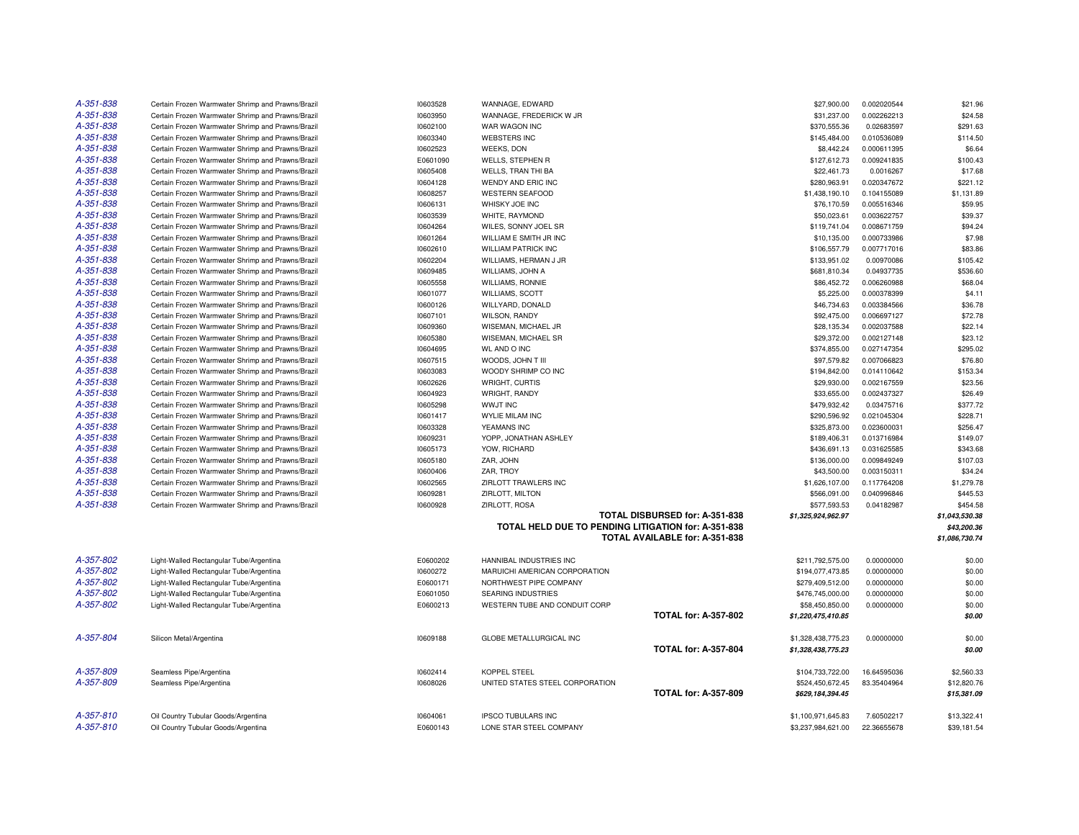| A-351-838 | Certain Frozen Warmwater Shrimp and Prawns/Brazil | 10603528 | WANNAGE, EDWARD                                     |                                | \$27,900.00        | 0.002020544 | \$21.96        |
|-----------|---------------------------------------------------|----------|-----------------------------------------------------|--------------------------------|--------------------|-------------|----------------|
| A-351-838 | Certain Frozen Warmwater Shrimp and Prawns/Brazil | 10603950 | WANNAGE, FREDERICK W JR                             |                                | \$31,237.00        | 0.002262213 | \$24.58        |
|           |                                                   |          |                                                     |                                |                    |             |                |
| A-351-838 | Certain Frozen Warmwater Shrimp and Prawns/Brazil | 10602100 | WAR WAGON INC                                       |                                | \$370,555.36       | 0.02683597  | \$291.63       |
| A-351-838 | Certain Frozen Warmwater Shrimp and Prawns/Brazil | 10603340 | <b>WEBSTERS INC</b>                                 |                                | \$145,484.00       | 0.010536089 | \$114.50       |
| A-351-838 | Certain Frozen Warmwater Shrimp and Prawns/Brazil | 10602523 | <b>WEEKS, DON</b>                                   |                                | \$8,442.24         | 0.000611395 | \$6.64         |
| A-351-838 | Certain Frozen Warmwater Shrimp and Prawns/Brazil | E0601090 | <b>WELLS, STEPHEN R</b>                             |                                | \$127,612.73       | 0.009241835 | \$100.43       |
| A-351-838 | Certain Frozen Warmwater Shrimp and Prawns/Brazil | 10605408 | WELLS, TRAN THI BA                                  |                                | \$22,461.73        | 0.0016267   | \$17.68        |
| A-351-838 | Certain Frozen Warmwater Shrimp and Prawns/Brazil | 10604128 | WENDY AND ERIC INC                                  |                                | \$280,963.91       | 0.020347672 | \$221.12       |
| A-351-838 | Certain Frozen Warmwater Shrimp and Prawns/Brazil | 10608257 | <b>WESTERN SEAFOOD</b>                              |                                | \$1,438,190.10     | 0.104155089 | \$1,131.89     |
| A-351-838 | Certain Frozen Warmwater Shrimp and Prawns/Brazil | 10606131 | WHISKY JOE INC                                      |                                | \$76,170.59        | 0.005516346 | \$59.95        |
| A-351-838 | Certain Frozen Warmwater Shrimp and Prawns/Brazil | 10603539 | WHITE, RAYMOND                                      |                                | \$50,023.61        | 0.003622757 | \$39.37        |
| A-351-838 | Certain Frozen Warmwater Shrimp and Prawns/Brazil | 10604264 | WILES, SONNY JOEL SR                                |                                | \$119,741.04       | 0.008671759 | \$94.24        |
| A-351-838 | Certain Frozen Warmwater Shrimp and Prawns/Brazil | 10601264 | WILLIAM E SMITH JR INC                              |                                | \$10,135.00        | 0.000733986 | \$7.98         |
| A-351-838 | Certain Frozen Warmwater Shrimp and Prawns/Brazil | 10602610 | <b>WILLIAM PATRICK INC</b>                          |                                | \$106,557.79       | 0.007717016 | \$83.86        |
| A-351-838 | Certain Frozen Warmwater Shrimp and Prawns/Brazil | 10602204 | WILLIAMS, HERMAN J JR                               |                                | \$133,951.02       | 0.00970086  | \$105.42       |
| A-351-838 | Certain Frozen Warmwater Shrimp and Prawns/Brazil | 10609485 | WILLIAMS, JOHN A                                    |                                | \$681,810.34       | 0.04937735  | \$536.60       |
| A-351-838 | Certain Frozen Warmwater Shrimp and Prawns/Brazil | 10605558 | <b>WILLIAMS, RONNIE</b>                             |                                | \$86,452.72        | 0.006260988 | \$68.04        |
| A-351-838 | Certain Frozen Warmwater Shrimp and Prawns/Brazil | 10601077 | <b>WILLIAMS, SCOTT</b>                              |                                | \$5,225.00         | 0.000378399 | \$4.11         |
| A-351-838 | Certain Frozen Warmwater Shrimp and Prawns/Brazil | 10600126 | WILLYARD, DONALD                                    |                                | \$46,734.63        | 0.003384566 | \$36.78        |
| A-351-838 | Certain Frozen Warmwater Shrimp and Prawns/Brazil | 10607101 | <b>WILSON, RANDY</b>                                |                                | \$92,475.00        | 0.006697127 | \$72.78        |
| A-351-838 | Certain Frozen Warmwater Shrimp and Prawns/Brazil | 10609360 | WISEMAN, MICHAEL JR                                 |                                | \$28,135.34        | 0.002037588 | \$22.14        |
| A-351-838 | Certain Frozen Warmwater Shrimp and Prawns/Brazil | 10605380 | WISEMAN, MICHAEL SR                                 |                                | \$29,372.00        | 0.002127148 | \$23.12        |
| A-351-838 | Certain Frozen Warmwater Shrimp and Prawns/Brazil | 10604695 | <b>WL AND O INC</b>                                 |                                | \$374,855.00       | 0.027147354 | \$295.02       |
| A-351-838 | Certain Frozen Warmwater Shrimp and Prawns/Brazil | 10607515 | WOODS, JOHN T III                                   |                                | \$97,579.82        | 0.007066823 | \$76.80        |
| A-351-838 | Certain Frozen Warmwater Shrimp and Prawns/Brazil | 10603083 | WOODY SHRIMP CO INC                                 |                                | \$194,842.00       | 0.014110642 | \$153.34       |
| A-351-838 | Certain Frozen Warmwater Shrimp and Prawns/Brazil | 10602626 | WRIGHT, CURTIS                                      |                                | \$29,930.00        | 0.002167559 | \$23.56        |
| A-351-838 | Certain Frozen Warmwater Shrimp and Prawns/Brazil | 10604923 | WRIGHT, RANDY                                       |                                | \$33,655.00        | 0.002437327 | \$26.49        |
| A-351-838 | Certain Frozen Warmwater Shrimp and Prawns/Brazil | 10605298 | <b>WWJT INC</b>                                     |                                | \$479,932.42       | 0.03475716  | \$377.72       |
| A-351-838 | Certain Frozen Warmwater Shrimp and Prawns/Brazil | 10601417 | <b>WYLIE MILAM INC</b>                              |                                | \$290,596.92       | 0.021045304 | \$228.71       |
| A-351-838 | Certain Frozen Warmwater Shrimp and Prawns/Brazil | 10603328 | YEAMANS INC                                         |                                | \$325,873.00       | 0.023600031 | \$256.47       |
| A-351-838 | Certain Frozen Warmwater Shrimp and Prawns/Brazil | 10609231 | YOPP, JONATHAN ASHLEY                               |                                | \$189,406.31       | 0.013716984 | \$149.07       |
| A-351-838 | Certain Frozen Warmwater Shrimp and Prawns/Brazil | 10605173 | YOW, RICHARD                                        |                                | \$436,691.13       | 0.031625585 | \$343.68       |
| A-351-838 | Certain Frozen Warmwater Shrimp and Prawns/Brazil | 10605180 | ZAR, JOHN                                           |                                | \$136,000.00       | 0.009849249 | \$107.03       |
| A-351-838 | Certain Frozen Warmwater Shrimp and Prawns/Brazil | 10600406 | ZAR, TROY                                           |                                | \$43,500.00        | 0.003150311 | \$34.24        |
| A-351-838 | Certain Frozen Warmwater Shrimp and Prawns/Brazil | 10602565 | ZIRLOTT TRAWLERS INC                                |                                | \$1,626,107.00     | 0.117764208 | \$1,279.78     |
| A-351-838 | Certain Frozen Warmwater Shrimp and Prawns/Brazil | 10609281 | ZIRLOTT, MILTON                                     |                                | \$566,091.00       | 0.040996846 | \$445.53       |
| A-351-838 | Certain Frozen Warmwater Shrimp and Prawns/Brazil | 10600928 | ZIRLOTT, ROSA                                       |                                | \$577,593.53       | 0.04182987  | \$454.58       |
|           |                                                   |          |                                                     | TOTAL DISBURSED for: A-351-838 |                    |             | \$1,043,530.38 |
|           |                                                   |          | TOTAL HELD DUE TO PENDING LITIGATION for: A-351-838 |                                | \$1,325,924,962.97 |             | \$43,200.36    |
|           |                                                   |          |                                                     | TOTAL AVAILABLE for: A-351-838 |                    |             | \$1,086,730.74 |
|           |                                                   |          |                                                     |                                |                    |             |                |
| A-357-802 | Light-Walled Rectangular Tube/Argentina           | E0600202 | HANNIBAL INDUSTRIES INC                             |                                | \$211,792,575.00   | 0.00000000  | \$0.00         |
| A-357-802 | Light-Walled Rectangular Tube/Argentina           | 10600272 | MARUICHI AMERICAN CORPORATION                       |                                | \$194,077,473.85   | 0.00000000  | \$0.00         |
| A-357-802 | Light-Walled Rectangular Tube/Argentina           | E0600171 | NORTHWEST PIPE COMPANY                              |                                | \$279,409,512.00   | 0.00000000  | \$0.00         |
| A-357-802 | Light-Walled Rectangular Tube/Argentina           | E0601050 | SEARING INDUSTRIES                                  |                                |                    |             | \$0.00         |
| A-357-802 |                                                   |          |                                                     |                                | \$476,745,000.00   | 0.00000000  |                |
|           | Light-Walled Rectangular Tube/Argentina           | E0600213 | WESTERN TUBE AND CONDUIT CORP                       | <b>TOTAL for: A-357-802</b>    | \$58,450,850.00    | 0.00000000  | \$0.00         |
|           |                                                   |          |                                                     |                                | \$1,220,475,410.85 |             | \$0.00         |
| A-357-804 | Silicon Metal/Argentina                           | 10609188 | <b>GLOBE METALLURGICAL INC</b>                      |                                | \$1,328,438,775.23 | 0.00000000  | \$0.00         |
|           |                                                   |          |                                                     | <b>TOTAL for: A-357-804</b>    |                    |             |                |
|           |                                                   |          |                                                     |                                | \$1,328,438,775.23 |             | \$0.00         |
| A-357-809 | Seamless Pipe/Argentina                           | 10602414 | <b>KOPPEL STEEL</b>                                 |                                | \$104,733,722.00   | 16.64595036 | \$2,560.33     |
| A-357-809 | Seamless Pipe/Argentina                           | 10608026 | UNITED STATES STEEL CORPORATION                     |                                | \$524,450,672.45   | 83.35404964 | \$12,820.76    |
|           |                                                   |          |                                                     | <b>TOTAL for: A-357-809</b>    | \$629,184,394.45   |             | \$15,381.09    |
|           |                                                   |          |                                                     |                                |                    |             |                |
| A-357-810 | Oil Country Tubular Goods/Argentina               | 10604061 | <b>IPSCO TUBULARS INC</b>                           |                                | \$1,100,971,645.83 | 7.60502217  | \$13,322.41    |
| A-357-810 | Oil Country Tubular Goods/Argentina               | E0600143 | LONE STAR STEEL COMPANY                             |                                | \$3,237,984,621.00 | 22.36655678 | \$39,181.54    |
|           |                                                   |          |                                                     |                                |                    |             |                |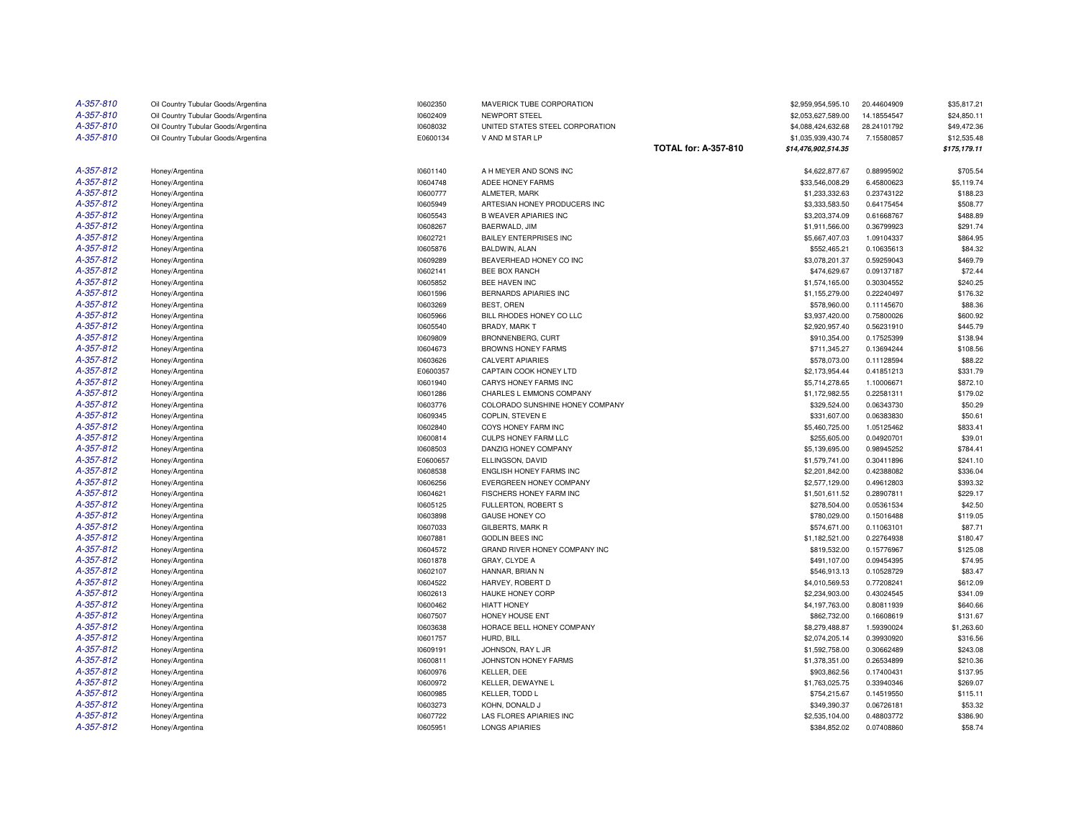| A-357-810 | Oil Country Tubular Goods/Argentina | 10602350 | MAVERICK TUBE CORPORATION       |                             | \$2,959,954,595.10  | 20.44604909 | \$35,817.21  |
|-----------|-------------------------------------|----------|---------------------------------|-----------------------------|---------------------|-------------|--------------|
| A-357-810 | Oil Country Tubular Goods/Argentina | 10602409 | NEWPORT STEEL                   |                             | \$2,053,627,589.00  | 14.18554547 | \$24,850.11  |
| A-357-810 | Oil Country Tubular Goods/Argentina | 10608032 | UNITED STATES STEEL CORPORATION |                             | \$4,088,424,632.68  | 28.24101792 | \$49,472.36  |
| A-357-810 | Oil Country Tubular Goods/Argentina | E0600134 | V AND M STAR LP                 |                             | \$1,035,939,430.74  | 7.15580857  | \$12,535.48  |
|           |                                     |          |                                 | <b>TOTAL for: A-357-810</b> | \$14,476,902,514.35 |             | \$175,179.11 |
| A-357-812 | Honey/Argentina                     | 10601140 | A H MEYER AND SONS INC          |                             | \$4,622,877.67      | 0.88995902  | \$705.54     |
| A-357-812 | Honey/Argentina                     | 10604748 | ADEE HONEY FARMS                |                             | \$33,546,008.29     | 6.45800623  | \$5,119.74   |
| A-357-812 | Honey/Argentina                     | 10600777 | ALMETER, MARK                   |                             | \$1,233,332.63      | 0.23743122  | \$188.23     |
| A-357-812 | Honey/Argentina                     | 10605949 | ARTESIAN HONEY PRODUCERS INC    |                             | \$3,333,583.50      | 0.64175454  | \$508.77     |
| A-357-812 | Honey/Argentina                     | 10605543 | <b>B WEAVER APIARIES INC</b>    |                             | \$3,203,374.09      | 0.61668767  | \$488.89     |
| A-357-812 | Honey/Argentina                     | 10608267 | BAERWALD, JIM                   |                             | \$1,911,566.00      | 0.36799923  | \$291.74     |
| A-357-812 | Honey/Argentina                     | 10602721 | <b>BAILEY ENTERPRISES INC</b>   |                             | \$5,667,407.03      | 1.09104337  | \$864.95     |
| A-357-812 | Honey/Argentina                     | 10605876 | BALDWIN, ALAN                   |                             | \$552,465.21        | 0.10635613  | \$84.32      |
| A-357-812 | Honey/Argentina                     | 10609289 | BEAVERHEAD HONEY CO INC         |                             | \$3,078,201.37      | 0.59259043  | \$469.79     |
| A-357-812 | Honey/Argentina                     | 10602141 | BEE BOX RANCH                   |                             | \$474,629.67        | 0.09137187  | \$72.44      |
| A-357-812 | Honey/Argentina                     | 10605852 | BEE HAVEN INC                   |                             | \$1,574,165.00      | 0.30304552  | \$240.25     |
| A-357-812 | Honey/Argentina                     | 10601596 | BERNARDS APIARIES INC           |                             | \$1,155,279.00      | 0.22240497  | \$176.32     |
| A-357-812 | Honey/Argentina                     | 10603269 | BEST, OREN                      |                             | \$578,960.00        | 0.11145670  | \$88.36      |
| A-357-812 | Honey/Argentina                     | 10605966 | BILL RHODES HONEY CO LLC        |                             | \$3,937,420.00      | 0.75800026  | \$600.92     |
| A-357-812 | Honey/Argentina                     | 10605540 | <b>BRADY, MARK T</b>            |                             | \$2,920,957.40      | 0.56231910  | \$445.79     |
| A-357-812 | Honey/Argentina                     | 10609809 | BRONNENBERG, CURT               |                             | \$910,354.00        | 0.17525399  | \$138.94     |
| A-357-812 | Honey/Argentina                     | 10604673 | <b>BROWNS HONEY FARMS</b>       |                             | \$711,345.27        | 0.13694244  | \$108.56     |
| A-357-812 | Honey/Argentina                     | 10603626 | <b>CALVERT APIARIES</b>         |                             | \$578,073.00        | 0.11128594  | \$88,22      |
| A-357-812 | Honey/Argentina                     | E0600357 | CAPTAIN COOK HONEY LTD          |                             | \$2,173,954.44      | 0.41851213  | \$331.79     |
| A-357-812 | Honey/Argentina                     | 10601940 | CARYS HONEY FARMS INC           |                             | \$5,714,278.65      | 1.10006671  | \$872.10     |
| A-357-812 | Honey/Argentina                     | 10601286 | CHARLES L EMMONS COMPANY        |                             | \$1,172,982.55      | 0.22581311  | \$179.02     |
| A-357-812 | Honey/Argentina                     | 10603776 | COLORADO SUNSHINE HONEY COMPANY |                             | \$329,524.00        | 0.06343730  | \$50.29      |
| A-357-812 | Honey/Argentina                     | 10609345 | COPLIN. STEVEN E                |                             | \$331,607.00        | 0.06383830  | \$50.61      |
| A-357-812 | Honey/Argentina                     | 10602840 | COYS HONEY FARM INC             |                             | \$5,460,725.00      | 1.05125462  | \$833.41     |
| A-357-812 | Honey/Argentina                     | 10600814 | CULPS HONEY FARM LLC            |                             | \$255,605.00        | 0.04920701  | \$39.01      |
| A-357-812 | Honey/Argentina                     | 10608503 | DANZIG HONEY COMPANY            |                             | \$5,139,695.00      | 0.98945252  | \$784.41     |
| A-357-812 | Honey/Argentina                     | E0600657 | ELLINGSON, DAVID                |                             | \$1,579,741.00      | 0.30411896  | \$241.10     |
| A-357-812 | Honey/Argentina                     | 10608538 | ENGLISH HONEY FARMS INC         |                             | \$2,201,842.00      | 0.42388082  | \$336.04     |
| A-357-812 | Honey/Argentina                     | 10606256 | EVERGREEN HONEY COMPANY         |                             | \$2,577,129.00      | 0.49612803  | \$393.32     |
| A-357-812 | Honey/Argentina                     | 10604621 | FISCHERS HONEY FARM INC         |                             | \$1,501,611.52      | 0.28907811  | \$229.17     |
| A-357-812 | Honey/Argentina                     | 10605125 | FULLERTON, ROBERT S             |                             | \$278,504.00        | 0.05361534  | \$42.50      |
| A-357-812 | Honey/Argentina                     | 10603898 | GAUSE HONEY CO                  |                             | \$780,029.00        | 0.15016488  | \$119.05     |
| A-357-812 | Honey/Argentina                     | 10607033 | GILBERTS, MARK R                |                             | \$574,671.00        | 0.11063101  | \$87.71      |
| A-357-812 | Honey/Argentina                     | 10607881 | <b>GODLIN BEES INC</b>          |                             | \$1,182,521.00      | 0.22764938  | \$180.47     |
| A-357-812 | Honey/Argentina                     | 10604572 | GRAND RIVER HONEY COMPANY INC   |                             | \$819,532.00        | 0.15776967  | \$125.08     |
| A-357-812 | Honey/Argentina                     | 10601878 | GRAY, CLYDE A                   |                             | \$491,107.00        | 0.09454395  | \$74.95      |
| A-357-812 | Honey/Argentina                     | 10602107 | HANNAR, BRIAN N                 |                             | \$546,913.13        | 0.10528729  | \$83.47      |
| A-357-812 | Honey/Argentina                     | 10604522 | HARVEY, ROBERT D                |                             | \$4,010,569.53      | 0.77208241  | \$612.09     |
| A-357-812 | Honey/Argentina                     | 10602613 | HAUKE HONEY CORP                |                             | \$2,234,903.00      | 0.43024545  | \$341.09     |
| A-357-812 | Honey/Argentina                     | 10600462 | <b>HIATT HONEY</b>              |                             | \$4,197,763.00      | 0.80811939  | \$640.66     |
| A-357-812 | Honey/Argentina                     | 10607507 | HONEY HOUSE ENT                 |                             | \$862,732.00        | 0.16608619  | \$131.67     |
| A-357-812 | Honey/Argentina                     | 10603638 | HORACE BELL HONEY COMPANY       |                             | \$8,279,488.87      | 1.59390024  | \$1,263.60   |
| A-357-812 | Honey/Argentina                     | 10601757 | HURD, BILL                      |                             | \$2,074,205.14      | 0.39930920  | \$316.56     |
| A-357-812 | Honey/Argentina                     | 10609191 | JOHNSON, RAY L JR               |                             | \$1,592,758.00      | 0.30662489  | \$243.08     |
| A-357-812 | Honey/Argentina                     | 10600811 | JOHNSTON HONEY FARMS            |                             | \$1,378,351.00      | 0.26534899  | \$210.36     |
| A-357-812 | Honey/Argentina                     | 10600976 | KELLER, DEE                     |                             | \$903,862.56        | 0.17400431  | \$137.95     |
| A-357-812 | Honey/Argentina                     | 10600972 | KELLER, DEWAYNE L               |                             | \$1,763,025.75      | 0.33940346  | \$269.07     |
| A-357-812 | Honey/Argentina                     | 10600985 | KELLER, TODD L                  |                             | \$754,215.67        | 0.14519550  | \$115.11     |
| A-357-812 | Honey/Argentina                     | 10603273 | KOHN, DONALD J                  |                             | \$349,390.37        | 0.06726181  | \$53.32      |
| A-357-812 | Honey/Argentina                     | 10607722 | LAS FLORES APIARIES INC         |                             | \$2,535,104.00      | 0.48803772  | \$386.90     |
| A-357-812 | Honey/Argentina                     | 10605951 | <b>LONGS APIARIES</b>           |                             | \$384,852.02        | 0.07408860  | \$58.74      |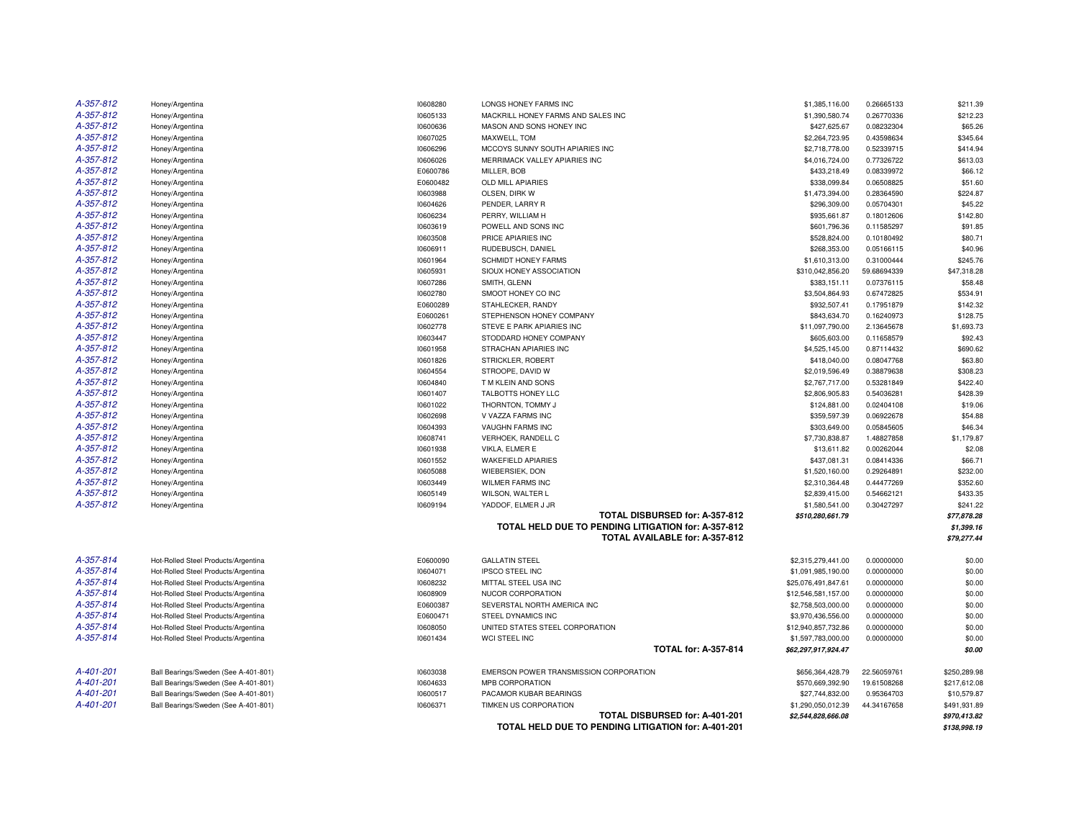| A-357-812<br>Honey/Argentina<br>10608280<br>LONGS HONEY FARMS INC<br>0.26665133<br>\$211.39<br>\$1,385,116.00<br>A-357-812<br>Honey/Argentina<br>10605133<br>MACKRILL HONEY FARMS AND SALES INC<br>\$1,390,580.74<br>0.26770336<br>\$212.23<br>A-357-812<br>Honey/Argentina<br>10600636<br>MASON AND SONS HONEY INC<br>\$427,625.67<br>0.08232304<br>\$65.26<br>A-357-812<br>10607025<br>\$2,264,723.95<br>0.43598634<br>\$345.64<br>Honey/Argentina<br>MAXWELL, TOM<br>A-357-812<br>10606296<br>\$2,718,778.00<br>Honey/Argentina<br>MCCOYS SUNNY SOUTH APIARIES INC<br>0.52339715<br>\$414.94<br>A-357-812<br>MERRIMACK VALLEY APIARIES INC<br>Honey/Argentina<br>10606026<br>\$4,016,724.00<br>0.77326722<br>\$613.03<br>A-357-812<br>\$66.12<br>Honey/Argentina<br>E0600786<br>MILLER, BOB<br>\$433,218.49<br>0.08339972<br>A-357-812<br>E0600482<br>OLD MILL APIARIES<br>\$338,099.84<br>0.06508825<br>\$51.60<br>Honey/Argentina<br>A-357-812<br>Honey/Argentina<br>10603988<br>OLSEN, DIRK W<br>\$1,473,394.00<br>0.28364590<br>\$224.87<br>A-357-812<br>10604626<br>PENDER, LARRY R<br>\$296,309.00<br>0.05704301<br>\$45.22<br>Honey/Argentina<br>A-357-812<br>10606234<br>\$142.80<br>PERRY, WILLIAM H<br>\$935,661.87<br>0.18012606<br>Honey/Argentina<br>A-357-812<br>10603619<br>POWELL AND SONS INC<br>\$601,796.36<br>0.11585297<br>\$91.85<br>Honey/Argentina<br>A-357-812<br>Honey/Argentina<br>10603508<br>PRICE APIARIES INC<br>\$528,824.00<br>0.10180492<br>\$80.71<br>A-357-812<br>Honey/Argentina<br>10606911<br>RUDEBUSCH, DANIEL<br>\$268,353.00<br>0.05166115<br>\$40.96<br>A-357-812<br>10601964<br><b>SCHMIDT HONEY FARMS</b><br>\$1,610,313.00<br>\$245.76<br>Honey/Argentina<br>0.31000444<br>A-357-812<br>10605931<br>SIOUX HONEY ASSOCIATION<br>\$310,042,856.20<br>59.68694339<br>\$47,318.28<br>Honey/Argentina<br>A-357-812<br>10607286<br>SMITH, GLENN<br>\$383,151.11<br>0.07376115<br>\$58.48<br>Honey/Argentina<br>A-357-812<br>10602780<br>SMOOT HONEY CO INC<br>0.67472825<br>\$534.91<br>Honey/Argentina<br>\$3,504,864.93<br>A-357-812<br>E0600289<br>STAHLECKER, RANDY<br>\$932,507.41<br>\$142.32<br>Honey/Argentina<br>0.17951879<br>A-357-812<br>Honey/Argentina<br>E0600261<br>STEPHENSON HONEY COMPANY<br>\$843,634.70<br>0.16240973<br>\$128.75<br>A-357-812<br>10602778<br>\$11,097,790.00<br>\$1,693.73<br>Honey/Argentina<br>STEVE E PARK APIARIES INC<br>2.13645678<br>A-357-812<br>10603447<br>STODDARD HONEY COMPANY<br>\$605,603.00<br>\$92.43<br>Honey/Argentina<br>0.11658579<br>A-357-812<br>10601958<br>STRACHAN APIARIES INC<br>\$690.62<br>Honey/Argentina<br>\$4,525,145.00<br>0.87114432<br>A-357-812<br>10601826<br>\$63.80<br>Honey/Argentina<br>STRICKLER, ROBERT<br>\$418,040.00<br>0.08047768<br>A-357-812<br>10604554<br>\$308.23<br>Honey/Argentina<br>STROOPE, DAVID W<br>\$2,019,596.49<br>0.38879638<br>A-357-812<br>10604840<br>T M KLEIN AND SONS<br>\$2,767,717.00<br>0.53281849<br>\$422.40<br>Honey/Argentina<br>A-357-812<br>10601407<br>TALBOTTS HONEY LLC<br>\$2,806,905.83<br>0.54036281<br>\$428.39<br>Honey/Argentina<br>A-357-812<br>10601022<br>\$19.06<br>Honey/Argentina<br>THORNTON, TOMMY J<br>\$124,881.00<br>0.02404108<br>A-357-812<br>V VAZZA FARMS INC<br>\$54.88<br>10602698<br>\$359,597.39<br>0.06922678<br>Honey/Argentina<br>A-357-812<br>\$46.34<br>10604393<br>VAUGHN FARMS INC<br>\$303,649.00<br>0.05845605<br>Honey/Argentina<br>A-357-812<br>\$1,179.87<br>10608741<br>VERHOEK, RANDELL C<br>\$7,730,838.87<br>1.48827858<br>Honey/Argentina<br>A-357-812<br>Honey/Argentina<br>10601938<br>VIKLA, ELMER E<br>\$13,611.82<br>0.00262044<br>\$2.08<br>A-357-812<br>10601552<br><b>WAKEFIELD APIARIES</b><br>\$437,081.31<br>0.08414336<br>\$66.71<br>Honey/Argentina<br>A-357-812<br>10605088<br>WIEBERSIEK, DON<br>\$1,520,160.00<br>0.29264891<br>\$232.00<br>Honey/Argentina<br>A-357-812<br>Honey/Argentina<br>10603449<br><b>WILMER FARMS INC</b><br>\$2,310,364.48<br>0.44477269<br>\$352.60<br>A-357-812<br>10605149<br>\$433.35<br>WILSON, WALTER L<br>\$2,839,415.00<br>0.54662121<br>Honey/Argentina<br>A-357-812<br>10609194<br>YADDOF, ELMER J JR<br>\$1,580,541.00<br>0.30427297<br>\$241.22<br>Honey/Argentina<br>TOTAL DISBURSED for: A-357-812<br>\$77,878.28<br>\$510,280,661.79<br>TOTAL HELD DUE TO PENDING LITIGATION for: A-357-812<br>\$1,399.16<br>TOTAL AVAILABLE for: A-357-812<br>\$79,277.44<br>A-357-814<br>E0600090<br><b>GALLATIN STEEL</b><br>0.00000000<br>\$0.00<br>Hot-Rolled Steel Products/Argentina<br>\$2,315,279,441.00<br>A-357-814<br><b>IPSCO STEEL INC</b><br>\$0.00<br>Hot-Rolled Steel Products/Argentina<br>10604071<br>\$1,091,985,190.00<br>0.00000000<br>A-357-814<br>\$0.00<br>Hot-Rolled Steel Products/Argentina<br>10608232<br>MITTAL STEEL USA INC<br>\$25,076,491,847.61<br>0.00000000<br>A-357-814<br>Hot-Rolled Steel Products/Argentina<br>10608909<br>NUCOR CORPORATION<br>\$12,546,581,157.00<br>0.00000000<br>\$0.00<br>A-357-814<br>\$0.00<br>Hot-Rolled Steel Products/Argentina<br>E0600387<br>SEVERSTAL NORTH AMERICA INC<br>\$2,758,503,000.00<br>0.00000000<br>A-357-814<br>Hot-Rolled Steel Products/Argentina<br>E0600471<br>STEEL DYNAMICS INC<br>\$0.00<br>\$3,970,436,556.00<br>0.00000000<br>A-357-814<br>10608050<br>UNITED STATES STEEL CORPORATION<br>\$0.00<br>Hot-Rolled Steel Products/Argentina<br>\$12,940,857,732.86<br>0.00000000<br>A-357-814<br>Hot-Rolled Steel Products/Argentina<br>10601434<br>\$0.00<br><b>WCI STEEL INC</b><br>\$1,597,783,000.00<br>0.00000000<br><b>TOTAL for: A-357-814</b><br>\$0.00<br>\$62,297,917,924.47<br>A-401-201<br>Ball Bearings/Sweden (See A-401-801)<br>10603038<br>EMERSON POWER TRANSMISSION CORPORATION<br>22.56059761<br>\$250,289.98<br>\$656,364,428.79<br>A-401-201<br>Ball Bearings/Sweden (See A-401-801)<br>10604633<br>MPB CORPORATION<br>\$570,669,392.90<br>19.61508268<br>\$217,612.08<br>A-401-201<br>10600517<br>PACAMOR KUBAR BEARINGS<br>0.95364703<br>\$10,579.87<br>Ball Bearings/Sweden (See A-401-801)<br>\$27,744,832.00<br>A-401-201<br>TIMKEN US CORPORATION<br>Ball Bearings/Sweden (See A-401-801)<br>10606371<br>\$1,290,050,012.39<br>44.34167658<br>\$491,931.89<br><b>TOTAL DISBURSED for: A-401-201</b><br>\$970,413.82<br>\$2,544,828,666.08<br>TOTAL HELD DUE TO PENDING LITIGATION for: A-401-201<br>\$138.998.19 |  |  |  |  |
|--------------------------------------------------------------------------------------------------------------------------------------------------------------------------------------------------------------------------------------------------------------------------------------------------------------------------------------------------------------------------------------------------------------------------------------------------------------------------------------------------------------------------------------------------------------------------------------------------------------------------------------------------------------------------------------------------------------------------------------------------------------------------------------------------------------------------------------------------------------------------------------------------------------------------------------------------------------------------------------------------------------------------------------------------------------------------------------------------------------------------------------------------------------------------------------------------------------------------------------------------------------------------------------------------------------------------------------------------------------------------------------------------------------------------------------------------------------------------------------------------------------------------------------------------------------------------------------------------------------------------------------------------------------------------------------------------------------------------------------------------------------------------------------------------------------------------------------------------------------------------------------------------------------------------------------------------------------------------------------------------------------------------------------------------------------------------------------------------------------------------------------------------------------------------------------------------------------------------------------------------------------------------------------------------------------------------------------------------------------------------------------------------------------------------------------------------------------------------------------------------------------------------------------------------------------------------------------------------------------------------------------------------------------------------------------------------------------------------------------------------------------------------------------------------------------------------------------------------------------------------------------------------------------------------------------------------------------------------------------------------------------------------------------------------------------------------------------------------------------------------------------------------------------------------------------------------------------------------------------------------------------------------------------------------------------------------------------------------------------------------------------------------------------------------------------------------------------------------------------------------------------------------------------------------------------------------------------------------------------------------------------------------------------------------------------------------------------------------------------------------------------------------------------------------------------------------------------------------------------------------------------------------------------------------------------------------------------------------------------------------------------------------------------------------------------------------------------------------------------------------------------------------------------------------------------------------------------------------------------------------------------------------------------------------------------------------------------------------------------------------------------------------------------------------------------------------------------------------------------------------------------------------------------------------------------------------------------------------------------------------------------------------------------------------------------------------------------------------------------------------------------------------------------------------------------------------------------------------------------------------------------------------------------------------------------------------------------------------------------------------------------------------------------------------------------------------------------------------------------------------------------------------------------------------------------------------------------------------------------------------------------------------------------------------------------------------------------------------------------------------------------------------------------------------------------------------------------------------------------------------------------------------------------------------------------------------------------------------------------------------------------------------------------------------------------------------------------------------------------------------------------------------------------------------------------------------------------------------------------------------------------------------------------------------------------------------------------------------------------------------------------------------------------------------------------------------------------------------------------------------------------------------------------------------------------------------------------------------------------------------------------------------------------------------------------------------------------------------------------------------------------------|--|--|--|--|
|                                                                                                                                                                                                                                                                                                                                                                                                                                                                                                                                                                                                                                                                                                                                                                                                                                                                                                                                                                                                                                                                                                                                                                                                                                                                                                                                                                                                                                                                                                                                                                                                                                                                                                                                                                                                                                                                                                                                                                                                                                                                                                                                                                                                                                                                                                                                                                                                                                                                                                                                                                                                                                                                                                                                                                                                                                                                                                                                                                                                                                                                                                                                                                                                                                                                                                                                                                                                                                                                                                                                                                                                                                                                                                                                                                                                                                                                                                                                                                                                                                                                                                                                                                                                                                                                                                                                                                                                                                                                                                                                                                                                                                                                                                                                                                                                                                                                                                                                                                                                                                                                                                                                                                                                                                                                                                                                                                                                                                                                                                                                                                                                                                                                                                                                                                                                                                                                                                                                                                                                                                                                                                                                                                                                                                                                                                                                                                                            |  |  |  |  |
|                                                                                                                                                                                                                                                                                                                                                                                                                                                                                                                                                                                                                                                                                                                                                                                                                                                                                                                                                                                                                                                                                                                                                                                                                                                                                                                                                                                                                                                                                                                                                                                                                                                                                                                                                                                                                                                                                                                                                                                                                                                                                                                                                                                                                                                                                                                                                                                                                                                                                                                                                                                                                                                                                                                                                                                                                                                                                                                                                                                                                                                                                                                                                                                                                                                                                                                                                                                                                                                                                                                                                                                                                                                                                                                                                                                                                                                                                                                                                                                                                                                                                                                                                                                                                                                                                                                                                                                                                                                                                                                                                                                                                                                                                                                                                                                                                                                                                                                                                                                                                                                                                                                                                                                                                                                                                                                                                                                                                                                                                                                                                                                                                                                                                                                                                                                                                                                                                                                                                                                                                                                                                                                                                                                                                                                                                                                                                                                            |  |  |  |  |
|                                                                                                                                                                                                                                                                                                                                                                                                                                                                                                                                                                                                                                                                                                                                                                                                                                                                                                                                                                                                                                                                                                                                                                                                                                                                                                                                                                                                                                                                                                                                                                                                                                                                                                                                                                                                                                                                                                                                                                                                                                                                                                                                                                                                                                                                                                                                                                                                                                                                                                                                                                                                                                                                                                                                                                                                                                                                                                                                                                                                                                                                                                                                                                                                                                                                                                                                                                                                                                                                                                                                                                                                                                                                                                                                                                                                                                                                                                                                                                                                                                                                                                                                                                                                                                                                                                                                                                                                                                                                                                                                                                                                                                                                                                                                                                                                                                                                                                                                                                                                                                                                                                                                                                                                                                                                                                                                                                                                                                                                                                                                                                                                                                                                                                                                                                                                                                                                                                                                                                                                                                                                                                                                                                                                                                                                                                                                                                                            |  |  |  |  |
|                                                                                                                                                                                                                                                                                                                                                                                                                                                                                                                                                                                                                                                                                                                                                                                                                                                                                                                                                                                                                                                                                                                                                                                                                                                                                                                                                                                                                                                                                                                                                                                                                                                                                                                                                                                                                                                                                                                                                                                                                                                                                                                                                                                                                                                                                                                                                                                                                                                                                                                                                                                                                                                                                                                                                                                                                                                                                                                                                                                                                                                                                                                                                                                                                                                                                                                                                                                                                                                                                                                                                                                                                                                                                                                                                                                                                                                                                                                                                                                                                                                                                                                                                                                                                                                                                                                                                                                                                                                                                                                                                                                                                                                                                                                                                                                                                                                                                                                                                                                                                                                                                                                                                                                                                                                                                                                                                                                                                                                                                                                                                                                                                                                                                                                                                                                                                                                                                                                                                                                                                                                                                                                                                                                                                                                                                                                                                                                            |  |  |  |  |
|                                                                                                                                                                                                                                                                                                                                                                                                                                                                                                                                                                                                                                                                                                                                                                                                                                                                                                                                                                                                                                                                                                                                                                                                                                                                                                                                                                                                                                                                                                                                                                                                                                                                                                                                                                                                                                                                                                                                                                                                                                                                                                                                                                                                                                                                                                                                                                                                                                                                                                                                                                                                                                                                                                                                                                                                                                                                                                                                                                                                                                                                                                                                                                                                                                                                                                                                                                                                                                                                                                                                                                                                                                                                                                                                                                                                                                                                                                                                                                                                                                                                                                                                                                                                                                                                                                                                                                                                                                                                                                                                                                                                                                                                                                                                                                                                                                                                                                                                                                                                                                                                                                                                                                                                                                                                                                                                                                                                                                                                                                                                                                                                                                                                                                                                                                                                                                                                                                                                                                                                                                                                                                                                                                                                                                                                                                                                                                                            |  |  |  |  |
|                                                                                                                                                                                                                                                                                                                                                                                                                                                                                                                                                                                                                                                                                                                                                                                                                                                                                                                                                                                                                                                                                                                                                                                                                                                                                                                                                                                                                                                                                                                                                                                                                                                                                                                                                                                                                                                                                                                                                                                                                                                                                                                                                                                                                                                                                                                                                                                                                                                                                                                                                                                                                                                                                                                                                                                                                                                                                                                                                                                                                                                                                                                                                                                                                                                                                                                                                                                                                                                                                                                                                                                                                                                                                                                                                                                                                                                                                                                                                                                                                                                                                                                                                                                                                                                                                                                                                                                                                                                                                                                                                                                                                                                                                                                                                                                                                                                                                                                                                                                                                                                                                                                                                                                                                                                                                                                                                                                                                                                                                                                                                                                                                                                                                                                                                                                                                                                                                                                                                                                                                                                                                                                                                                                                                                                                                                                                                                                            |  |  |  |  |
|                                                                                                                                                                                                                                                                                                                                                                                                                                                                                                                                                                                                                                                                                                                                                                                                                                                                                                                                                                                                                                                                                                                                                                                                                                                                                                                                                                                                                                                                                                                                                                                                                                                                                                                                                                                                                                                                                                                                                                                                                                                                                                                                                                                                                                                                                                                                                                                                                                                                                                                                                                                                                                                                                                                                                                                                                                                                                                                                                                                                                                                                                                                                                                                                                                                                                                                                                                                                                                                                                                                                                                                                                                                                                                                                                                                                                                                                                                                                                                                                                                                                                                                                                                                                                                                                                                                                                                                                                                                                                                                                                                                                                                                                                                                                                                                                                                                                                                                                                                                                                                                                                                                                                                                                                                                                                                                                                                                                                                                                                                                                                                                                                                                                                                                                                                                                                                                                                                                                                                                                                                                                                                                                                                                                                                                                                                                                                                                            |  |  |  |  |
|                                                                                                                                                                                                                                                                                                                                                                                                                                                                                                                                                                                                                                                                                                                                                                                                                                                                                                                                                                                                                                                                                                                                                                                                                                                                                                                                                                                                                                                                                                                                                                                                                                                                                                                                                                                                                                                                                                                                                                                                                                                                                                                                                                                                                                                                                                                                                                                                                                                                                                                                                                                                                                                                                                                                                                                                                                                                                                                                                                                                                                                                                                                                                                                                                                                                                                                                                                                                                                                                                                                                                                                                                                                                                                                                                                                                                                                                                                                                                                                                                                                                                                                                                                                                                                                                                                                                                                                                                                                                                                                                                                                                                                                                                                                                                                                                                                                                                                                                                                                                                                                                                                                                                                                                                                                                                                                                                                                                                                                                                                                                                                                                                                                                                                                                                                                                                                                                                                                                                                                                                                                                                                                                                                                                                                                                                                                                                                                            |  |  |  |  |
|                                                                                                                                                                                                                                                                                                                                                                                                                                                                                                                                                                                                                                                                                                                                                                                                                                                                                                                                                                                                                                                                                                                                                                                                                                                                                                                                                                                                                                                                                                                                                                                                                                                                                                                                                                                                                                                                                                                                                                                                                                                                                                                                                                                                                                                                                                                                                                                                                                                                                                                                                                                                                                                                                                                                                                                                                                                                                                                                                                                                                                                                                                                                                                                                                                                                                                                                                                                                                                                                                                                                                                                                                                                                                                                                                                                                                                                                                                                                                                                                                                                                                                                                                                                                                                                                                                                                                                                                                                                                                                                                                                                                                                                                                                                                                                                                                                                                                                                                                                                                                                                                                                                                                                                                                                                                                                                                                                                                                                                                                                                                                                                                                                                                                                                                                                                                                                                                                                                                                                                                                                                                                                                                                                                                                                                                                                                                                                                            |  |  |  |  |
|                                                                                                                                                                                                                                                                                                                                                                                                                                                                                                                                                                                                                                                                                                                                                                                                                                                                                                                                                                                                                                                                                                                                                                                                                                                                                                                                                                                                                                                                                                                                                                                                                                                                                                                                                                                                                                                                                                                                                                                                                                                                                                                                                                                                                                                                                                                                                                                                                                                                                                                                                                                                                                                                                                                                                                                                                                                                                                                                                                                                                                                                                                                                                                                                                                                                                                                                                                                                                                                                                                                                                                                                                                                                                                                                                                                                                                                                                                                                                                                                                                                                                                                                                                                                                                                                                                                                                                                                                                                                                                                                                                                                                                                                                                                                                                                                                                                                                                                                                                                                                                                                                                                                                                                                                                                                                                                                                                                                                                                                                                                                                                                                                                                                                                                                                                                                                                                                                                                                                                                                                                                                                                                                                                                                                                                                                                                                                                                            |  |  |  |  |
|                                                                                                                                                                                                                                                                                                                                                                                                                                                                                                                                                                                                                                                                                                                                                                                                                                                                                                                                                                                                                                                                                                                                                                                                                                                                                                                                                                                                                                                                                                                                                                                                                                                                                                                                                                                                                                                                                                                                                                                                                                                                                                                                                                                                                                                                                                                                                                                                                                                                                                                                                                                                                                                                                                                                                                                                                                                                                                                                                                                                                                                                                                                                                                                                                                                                                                                                                                                                                                                                                                                                                                                                                                                                                                                                                                                                                                                                                                                                                                                                                                                                                                                                                                                                                                                                                                                                                                                                                                                                                                                                                                                                                                                                                                                                                                                                                                                                                                                                                                                                                                                                                                                                                                                                                                                                                                                                                                                                                                                                                                                                                                                                                                                                                                                                                                                                                                                                                                                                                                                                                                                                                                                                                                                                                                                                                                                                                                                            |  |  |  |  |
|                                                                                                                                                                                                                                                                                                                                                                                                                                                                                                                                                                                                                                                                                                                                                                                                                                                                                                                                                                                                                                                                                                                                                                                                                                                                                                                                                                                                                                                                                                                                                                                                                                                                                                                                                                                                                                                                                                                                                                                                                                                                                                                                                                                                                                                                                                                                                                                                                                                                                                                                                                                                                                                                                                                                                                                                                                                                                                                                                                                                                                                                                                                                                                                                                                                                                                                                                                                                                                                                                                                                                                                                                                                                                                                                                                                                                                                                                                                                                                                                                                                                                                                                                                                                                                                                                                                                                                                                                                                                                                                                                                                                                                                                                                                                                                                                                                                                                                                                                                                                                                                                                                                                                                                                                                                                                                                                                                                                                                                                                                                                                                                                                                                                                                                                                                                                                                                                                                                                                                                                                                                                                                                                                                                                                                                                                                                                                                                            |  |  |  |  |
|                                                                                                                                                                                                                                                                                                                                                                                                                                                                                                                                                                                                                                                                                                                                                                                                                                                                                                                                                                                                                                                                                                                                                                                                                                                                                                                                                                                                                                                                                                                                                                                                                                                                                                                                                                                                                                                                                                                                                                                                                                                                                                                                                                                                                                                                                                                                                                                                                                                                                                                                                                                                                                                                                                                                                                                                                                                                                                                                                                                                                                                                                                                                                                                                                                                                                                                                                                                                                                                                                                                                                                                                                                                                                                                                                                                                                                                                                                                                                                                                                                                                                                                                                                                                                                                                                                                                                                                                                                                                                                                                                                                                                                                                                                                                                                                                                                                                                                                                                                                                                                                                                                                                                                                                                                                                                                                                                                                                                                                                                                                                                                                                                                                                                                                                                                                                                                                                                                                                                                                                                                                                                                                                                                                                                                                                                                                                                                                            |  |  |  |  |
|                                                                                                                                                                                                                                                                                                                                                                                                                                                                                                                                                                                                                                                                                                                                                                                                                                                                                                                                                                                                                                                                                                                                                                                                                                                                                                                                                                                                                                                                                                                                                                                                                                                                                                                                                                                                                                                                                                                                                                                                                                                                                                                                                                                                                                                                                                                                                                                                                                                                                                                                                                                                                                                                                                                                                                                                                                                                                                                                                                                                                                                                                                                                                                                                                                                                                                                                                                                                                                                                                                                                                                                                                                                                                                                                                                                                                                                                                                                                                                                                                                                                                                                                                                                                                                                                                                                                                                                                                                                                                                                                                                                                                                                                                                                                                                                                                                                                                                                                                                                                                                                                                                                                                                                                                                                                                                                                                                                                                                                                                                                                                                                                                                                                                                                                                                                                                                                                                                                                                                                                                                                                                                                                                                                                                                                                                                                                                                                            |  |  |  |  |
|                                                                                                                                                                                                                                                                                                                                                                                                                                                                                                                                                                                                                                                                                                                                                                                                                                                                                                                                                                                                                                                                                                                                                                                                                                                                                                                                                                                                                                                                                                                                                                                                                                                                                                                                                                                                                                                                                                                                                                                                                                                                                                                                                                                                                                                                                                                                                                                                                                                                                                                                                                                                                                                                                                                                                                                                                                                                                                                                                                                                                                                                                                                                                                                                                                                                                                                                                                                                                                                                                                                                                                                                                                                                                                                                                                                                                                                                                                                                                                                                                                                                                                                                                                                                                                                                                                                                                                                                                                                                                                                                                                                                                                                                                                                                                                                                                                                                                                                                                                                                                                                                                                                                                                                                                                                                                                                                                                                                                                                                                                                                                                                                                                                                                                                                                                                                                                                                                                                                                                                                                                                                                                                                                                                                                                                                                                                                                                                            |  |  |  |  |
|                                                                                                                                                                                                                                                                                                                                                                                                                                                                                                                                                                                                                                                                                                                                                                                                                                                                                                                                                                                                                                                                                                                                                                                                                                                                                                                                                                                                                                                                                                                                                                                                                                                                                                                                                                                                                                                                                                                                                                                                                                                                                                                                                                                                                                                                                                                                                                                                                                                                                                                                                                                                                                                                                                                                                                                                                                                                                                                                                                                                                                                                                                                                                                                                                                                                                                                                                                                                                                                                                                                                                                                                                                                                                                                                                                                                                                                                                                                                                                                                                                                                                                                                                                                                                                                                                                                                                                                                                                                                                                                                                                                                                                                                                                                                                                                                                                                                                                                                                                                                                                                                                                                                                                                                                                                                                                                                                                                                                                                                                                                                                                                                                                                                                                                                                                                                                                                                                                                                                                                                                                                                                                                                                                                                                                                                                                                                                                                            |  |  |  |  |
|                                                                                                                                                                                                                                                                                                                                                                                                                                                                                                                                                                                                                                                                                                                                                                                                                                                                                                                                                                                                                                                                                                                                                                                                                                                                                                                                                                                                                                                                                                                                                                                                                                                                                                                                                                                                                                                                                                                                                                                                                                                                                                                                                                                                                                                                                                                                                                                                                                                                                                                                                                                                                                                                                                                                                                                                                                                                                                                                                                                                                                                                                                                                                                                                                                                                                                                                                                                                                                                                                                                                                                                                                                                                                                                                                                                                                                                                                                                                                                                                                                                                                                                                                                                                                                                                                                                                                                                                                                                                                                                                                                                                                                                                                                                                                                                                                                                                                                                                                                                                                                                                                                                                                                                                                                                                                                                                                                                                                                                                                                                                                                                                                                                                                                                                                                                                                                                                                                                                                                                                                                                                                                                                                                                                                                                                                                                                                                                            |  |  |  |  |
|                                                                                                                                                                                                                                                                                                                                                                                                                                                                                                                                                                                                                                                                                                                                                                                                                                                                                                                                                                                                                                                                                                                                                                                                                                                                                                                                                                                                                                                                                                                                                                                                                                                                                                                                                                                                                                                                                                                                                                                                                                                                                                                                                                                                                                                                                                                                                                                                                                                                                                                                                                                                                                                                                                                                                                                                                                                                                                                                                                                                                                                                                                                                                                                                                                                                                                                                                                                                                                                                                                                                                                                                                                                                                                                                                                                                                                                                                                                                                                                                                                                                                                                                                                                                                                                                                                                                                                                                                                                                                                                                                                                                                                                                                                                                                                                                                                                                                                                                                                                                                                                                                                                                                                                                                                                                                                                                                                                                                                                                                                                                                                                                                                                                                                                                                                                                                                                                                                                                                                                                                                                                                                                                                                                                                                                                                                                                                                                            |  |  |  |  |
|                                                                                                                                                                                                                                                                                                                                                                                                                                                                                                                                                                                                                                                                                                                                                                                                                                                                                                                                                                                                                                                                                                                                                                                                                                                                                                                                                                                                                                                                                                                                                                                                                                                                                                                                                                                                                                                                                                                                                                                                                                                                                                                                                                                                                                                                                                                                                                                                                                                                                                                                                                                                                                                                                                                                                                                                                                                                                                                                                                                                                                                                                                                                                                                                                                                                                                                                                                                                                                                                                                                                                                                                                                                                                                                                                                                                                                                                                                                                                                                                                                                                                                                                                                                                                                                                                                                                                                                                                                                                                                                                                                                                                                                                                                                                                                                                                                                                                                                                                                                                                                                                                                                                                                                                                                                                                                                                                                                                                                                                                                                                                                                                                                                                                                                                                                                                                                                                                                                                                                                                                                                                                                                                                                                                                                                                                                                                                                                            |  |  |  |  |
|                                                                                                                                                                                                                                                                                                                                                                                                                                                                                                                                                                                                                                                                                                                                                                                                                                                                                                                                                                                                                                                                                                                                                                                                                                                                                                                                                                                                                                                                                                                                                                                                                                                                                                                                                                                                                                                                                                                                                                                                                                                                                                                                                                                                                                                                                                                                                                                                                                                                                                                                                                                                                                                                                                                                                                                                                                                                                                                                                                                                                                                                                                                                                                                                                                                                                                                                                                                                                                                                                                                                                                                                                                                                                                                                                                                                                                                                                                                                                                                                                                                                                                                                                                                                                                                                                                                                                                                                                                                                                                                                                                                                                                                                                                                                                                                                                                                                                                                                                                                                                                                                                                                                                                                                                                                                                                                                                                                                                                                                                                                                                                                                                                                                                                                                                                                                                                                                                                                                                                                                                                                                                                                                                                                                                                                                                                                                                                                            |  |  |  |  |
|                                                                                                                                                                                                                                                                                                                                                                                                                                                                                                                                                                                                                                                                                                                                                                                                                                                                                                                                                                                                                                                                                                                                                                                                                                                                                                                                                                                                                                                                                                                                                                                                                                                                                                                                                                                                                                                                                                                                                                                                                                                                                                                                                                                                                                                                                                                                                                                                                                                                                                                                                                                                                                                                                                                                                                                                                                                                                                                                                                                                                                                                                                                                                                                                                                                                                                                                                                                                                                                                                                                                                                                                                                                                                                                                                                                                                                                                                                                                                                                                                                                                                                                                                                                                                                                                                                                                                                                                                                                                                                                                                                                                                                                                                                                                                                                                                                                                                                                                                                                                                                                                                                                                                                                                                                                                                                                                                                                                                                                                                                                                                                                                                                                                                                                                                                                                                                                                                                                                                                                                                                                                                                                                                                                                                                                                                                                                                                                            |  |  |  |  |
|                                                                                                                                                                                                                                                                                                                                                                                                                                                                                                                                                                                                                                                                                                                                                                                                                                                                                                                                                                                                                                                                                                                                                                                                                                                                                                                                                                                                                                                                                                                                                                                                                                                                                                                                                                                                                                                                                                                                                                                                                                                                                                                                                                                                                                                                                                                                                                                                                                                                                                                                                                                                                                                                                                                                                                                                                                                                                                                                                                                                                                                                                                                                                                                                                                                                                                                                                                                                                                                                                                                                                                                                                                                                                                                                                                                                                                                                                                                                                                                                                                                                                                                                                                                                                                                                                                                                                                                                                                                                                                                                                                                                                                                                                                                                                                                                                                                                                                                                                                                                                                                                                                                                                                                                                                                                                                                                                                                                                                                                                                                                                                                                                                                                                                                                                                                                                                                                                                                                                                                                                                                                                                                                                                                                                                                                                                                                                                                            |  |  |  |  |
|                                                                                                                                                                                                                                                                                                                                                                                                                                                                                                                                                                                                                                                                                                                                                                                                                                                                                                                                                                                                                                                                                                                                                                                                                                                                                                                                                                                                                                                                                                                                                                                                                                                                                                                                                                                                                                                                                                                                                                                                                                                                                                                                                                                                                                                                                                                                                                                                                                                                                                                                                                                                                                                                                                                                                                                                                                                                                                                                                                                                                                                                                                                                                                                                                                                                                                                                                                                                                                                                                                                                                                                                                                                                                                                                                                                                                                                                                                                                                                                                                                                                                                                                                                                                                                                                                                                                                                                                                                                                                                                                                                                                                                                                                                                                                                                                                                                                                                                                                                                                                                                                                                                                                                                                                                                                                                                                                                                                                                                                                                                                                                                                                                                                                                                                                                                                                                                                                                                                                                                                                                                                                                                                                                                                                                                                                                                                                                                            |  |  |  |  |
|                                                                                                                                                                                                                                                                                                                                                                                                                                                                                                                                                                                                                                                                                                                                                                                                                                                                                                                                                                                                                                                                                                                                                                                                                                                                                                                                                                                                                                                                                                                                                                                                                                                                                                                                                                                                                                                                                                                                                                                                                                                                                                                                                                                                                                                                                                                                                                                                                                                                                                                                                                                                                                                                                                                                                                                                                                                                                                                                                                                                                                                                                                                                                                                                                                                                                                                                                                                                                                                                                                                                                                                                                                                                                                                                                                                                                                                                                                                                                                                                                                                                                                                                                                                                                                                                                                                                                                                                                                                                                                                                                                                                                                                                                                                                                                                                                                                                                                                                                                                                                                                                                                                                                                                                                                                                                                                                                                                                                                                                                                                                                                                                                                                                                                                                                                                                                                                                                                                                                                                                                                                                                                                                                                                                                                                                                                                                                                                            |  |  |  |  |
|                                                                                                                                                                                                                                                                                                                                                                                                                                                                                                                                                                                                                                                                                                                                                                                                                                                                                                                                                                                                                                                                                                                                                                                                                                                                                                                                                                                                                                                                                                                                                                                                                                                                                                                                                                                                                                                                                                                                                                                                                                                                                                                                                                                                                                                                                                                                                                                                                                                                                                                                                                                                                                                                                                                                                                                                                                                                                                                                                                                                                                                                                                                                                                                                                                                                                                                                                                                                                                                                                                                                                                                                                                                                                                                                                                                                                                                                                                                                                                                                                                                                                                                                                                                                                                                                                                                                                                                                                                                                                                                                                                                                                                                                                                                                                                                                                                                                                                                                                                                                                                                                                                                                                                                                                                                                                                                                                                                                                                                                                                                                                                                                                                                                                                                                                                                                                                                                                                                                                                                                                                                                                                                                                                                                                                                                                                                                                                                            |  |  |  |  |
|                                                                                                                                                                                                                                                                                                                                                                                                                                                                                                                                                                                                                                                                                                                                                                                                                                                                                                                                                                                                                                                                                                                                                                                                                                                                                                                                                                                                                                                                                                                                                                                                                                                                                                                                                                                                                                                                                                                                                                                                                                                                                                                                                                                                                                                                                                                                                                                                                                                                                                                                                                                                                                                                                                                                                                                                                                                                                                                                                                                                                                                                                                                                                                                                                                                                                                                                                                                                                                                                                                                                                                                                                                                                                                                                                                                                                                                                                                                                                                                                                                                                                                                                                                                                                                                                                                                                                                                                                                                                                                                                                                                                                                                                                                                                                                                                                                                                                                                                                                                                                                                                                                                                                                                                                                                                                                                                                                                                                                                                                                                                                                                                                                                                                                                                                                                                                                                                                                                                                                                                                                                                                                                                                                                                                                                                                                                                                                                            |  |  |  |  |
|                                                                                                                                                                                                                                                                                                                                                                                                                                                                                                                                                                                                                                                                                                                                                                                                                                                                                                                                                                                                                                                                                                                                                                                                                                                                                                                                                                                                                                                                                                                                                                                                                                                                                                                                                                                                                                                                                                                                                                                                                                                                                                                                                                                                                                                                                                                                                                                                                                                                                                                                                                                                                                                                                                                                                                                                                                                                                                                                                                                                                                                                                                                                                                                                                                                                                                                                                                                                                                                                                                                                                                                                                                                                                                                                                                                                                                                                                                                                                                                                                                                                                                                                                                                                                                                                                                                                                                                                                                                                                                                                                                                                                                                                                                                                                                                                                                                                                                                                                                                                                                                                                                                                                                                                                                                                                                                                                                                                                                                                                                                                                                                                                                                                                                                                                                                                                                                                                                                                                                                                                                                                                                                                                                                                                                                                                                                                                                                            |  |  |  |  |
|                                                                                                                                                                                                                                                                                                                                                                                                                                                                                                                                                                                                                                                                                                                                                                                                                                                                                                                                                                                                                                                                                                                                                                                                                                                                                                                                                                                                                                                                                                                                                                                                                                                                                                                                                                                                                                                                                                                                                                                                                                                                                                                                                                                                                                                                                                                                                                                                                                                                                                                                                                                                                                                                                                                                                                                                                                                                                                                                                                                                                                                                                                                                                                                                                                                                                                                                                                                                                                                                                                                                                                                                                                                                                                                                                                                                                                                                                                                                                                                                                                                                                                                                                                                                                                                                                                                                                                                                                                                                                                                                                                                                                                                                                                                                                                                                                                                                                                                                                                                                                                                                                                                                                                                                                                                                                                                                                                                                                                                                                                                                                                                                                                                                                                                                                                                                                                                                                                                                                                                                                                                                                                                                                                                                                                                                                                                                                                                            |  |  |  |  |
|                                                                                                                                                                                                                                                                                                                                                                                                                                                                                                                                                                                                                                                                                                                                                                                                                                                                                                                                                                                                                                                                                                                                                                                                                                                                                                                                                                                                                                                                                                                                                                                                                                                                                                                                                                                                                                                                                                                                                                                                                                                                                                                                                                                                                                                                                                                                                                                                                                                                                                                                                                                                                                                                                                                                                                                                                                                                                                                                                                                                                                                                                                                                                                                                                                                                                                                                                                                                                                                                                                                                                                                                                                                                                                                                                                                                                                                                                                                                                                                                                                                                                                                                                                                                                                                                                                                                                                                                                                                                                                                                                                                                                                                                                                                                                                                                                                                                                                                                                                                                                                                                                                                                                                                                                                                                                                                                                                                                                                                                                                                                                                                                                                                                                                                                                                                                                                                                                                                                                                                                                                                                                                                                                                                                                                                                                                                                                                                            |  |  |  |  |
|                                                                                                                                                                                                                                                                                                                                                                                                                                                                                                                                                                                                                                                                                                                                                                                                                                                                                                                                                                                                                                                                                                                                                                                                                                                                                                                                                                                                                                                                                                                                                                                                                                                                                                                                                                                                                                                                                                                                                                                                                                                                                                                                                                                                                                                                                                                                                                                                                                                                                                                                                                                                                                                                                                                                                                                                                                                                                                                                                                                                                                                                                                                                                                                                                                                                                                                                                                                                                                                                                                                                                                                                                                                                                                                                                                                                                                                                                                                                                                                                                                                                                                                                                                                                                                                                                                                                                                                                                                                                                                                                                                                                                                                                                                                                                                                                                                                                                                                                                                                                                                                                                                                                                                                                                                                                                                                                                                                                                                                                                                                                                                                                                                                                                                                                                                                                                                                                                                                                                                                                                                                                                                                                                                                                                                                                                                                                                                                            |  |  |  |  |
|                                                                                                                                                                                                                                                                                                                                                                                                                                                                                                                                                                                                                                                                                                                                                                                                                                                                                                                                                                                                                                                                                                                                                                                                                                                                                                                                                                                                                                                                                                                                                                                                                                                                                                                                                                                                                                                                                                                                                                                                                                                                                                                                                                                                                                                                                                                                                                                                                                                                                                                                                                                                                                                                                                                                                                                                                                                                                                                                                                                                                                                                                                                                                                                                                                                                                                                                                                                                                                                                                                                                                                                                                                                                                                                                                                                                                                                                                                                                                                                                                                                                                                                                                                                                                                                                                                                                                                                                                                                                                                                                                                                                                                                                                                                                                                                                                                                                                                                                                                                                                                                                                                                                                                                                                                                                                                                                                                                                                                                                                                                                                                                                                                                                                                                                                                                                                                                                                                                                                                                                                                                                                                                                                                                                                                                                                                                                                                                            |  |  |  |  |
|                                                                                                                                                                                                                                                                                                                                                                                                                                                                                                                                                                                                                                                                                                                                                                                                                                                                                                                                                                                                                                                                                                                                                                                                                                                                                                                                                                                                                                                                                                                                                                                                                                                                                                                                                                                                                                                                                                                                                                                                                                                                                                                                                                                                                                                                                                                                                                                                                                                                                                                                                                                                                                                                                                                                                                                                                                                                                                                                                                                                                                                                                                                                                                                                                                                                                                                                                                                                                                                                                                                                                                                                                                                                                                                                                                                                                                                                                                                                                                                                                                                                                                                                                                                                                                                                                                                                                                                                                                                                                                                                                                                                                                                                                                                                                                                                                                                                                                                                                                                                                                                                                                                                                                                                                                                                                                                                                                                                                                                                                                                                                                                                                                                                                                                                                                                                                                                                                                                                                                                                                                                                                                                                                                                                                                                                                                                                                                                            |  |  |  |  |
|                                                                                                                                                                                                                                                                                                                                                                                                                                                                                                                                                                                                                                                                                                                                                                                                                                                                                                                                                                                                                                                                                                                                                                                                                                                                                                                                                                                                                                                                                                                                                                                                                                                                                                                                                                                                                                                                                                                                                                                                                                                                                                                                                                                                                                                                                                                                                                                                                                                                                                                                                                                                                                                                                                                                                                                                                                                                                                                                                                                                                                                                                                                                                                                                                                                                                                                                                                                                                                                                                                                                                                                                                                                                                                                                                                                                                                                                                                                                                                                                                                                                                                                                                                                                                                                                                                                                                                                                                                                                                                                                                                                                                                                                                                                                                                                                                                                                                                                                                                                                                                                                                                                                                                                                                                                                                                                                                                                                                                                                                                                                                                                                                                                                                                                                                                                                                                                                                                                                                                                                                                                                                                                                                                                                                                                                                                                                                                                            |  |  |  |  |
|                                                                                                                                                                                                                                                                                                                                                                                                                                                                                                                                                                                                                                                                                                                                                                                                                                                                                                                                                                                                                                                                                                                                                                                                                                                                                                                                                                                                                                                                                                                                                                                                                                                                                                                                                                                                                                                                                                                                                                                                                                                                                                                                                                                                                                                                                                                                                                                                                                                                                                                                                                                                                                                                                                                                                                                                                                                                                                                                                                                                                                                                                                                                                                                                                                                                                                                                                                                                                                                                                                                                                                                                                                                                                                                                                                                                                                                                                                                                                                                                                                                                                                                                                                                                                                                                                                                                                                                                                                                                                                                                                                                                                                                                                                                                                                                                                                                                                                                                                                                                                                                                                                                                                                                                                                                                                                                                                                                                                                                                                                                                                                                                                                                                                                                                                                                                                                                                                                                                                                                                                                                                                                                                                                                                                                                                                                                                                                                            |  |  |  |  |
|                                                                                                                                                                                                                                                                                                                                                                                                                                                                                                                                                                                                                                                                                                                                                                                                                                                                                                                                                                                                                                                                                                                                                                                                                                                                                                                                                                                                                                                                                                                                                                                                                                                                                                                                                                                                                                                                                                                                                                                                                                                                                                                                                                                                                                                                                                                                                                                                                                                                                                                                                                                                                                                                                                                                                                                                                                                                                                                                                                                                                                                                                                                                                                                                                                                                                                                                                                                                                                                                                                                                                                                                                                                                                                                                                                                                                                                                                                                                                                                                                                                                                                                                                                                                                                                                                                                                                                                                                                                                                                                                                                                                                                                                                                                                                                                                                                                                                                                                                                                                                                                                                                                                                                                                                                                                                                                                                                                                                                                                                                                                                                                                                                                                                                                                                                                                                                                                                                                                                                                                                                                                                                                                                                                                                                                                                                                                                                                            |  |  |  |  |
|                                                                                                                                                                                                                                                                                                                                                                                                                                                                                                                                                                                                                                                                                                                                                                                                                                                                                                                                                                                                                                                                                                                                                                                                                                                                                                                                                                                                                                                                                                                                                                                                                                                                                                                                                                                                                                                                                                                                                                                                                                                                                                                                                                                                                                                                                                                                                                                                                                                                                                                                                                                                                                                                                                                                                                                                                                                                                                                                                                                                                                                                                                                                                                                                                                                                                                                                                                                                                                                                                                                                                                                                                                                                                                                                                                                                                                                                                                                                                                                                                                                                                                                                                                                                                                                                                                                                                                                                                                                                                                                                                                                                                                                                                                                                                                                                                                                                                                                                                                                                                                                                                                                                                                                                                                                                                                                                                                                                                                                                                                                                                                                                                                                                                                                                                                                                                                                                                                                                                                                                                                                                                                                                                                                                                                                                                                                                                                                            |  |  |  |  |
|                                                                                                                                                                                                                                                                                                                                                                                                                                                                                                                                                                                                                                                                                                                                                                                                                                                                                                                                                                                                                                                                                                                                                                                                                                                                                                                                                                                                                                                                                                                                                                                                                                                                                                                                                                                                                                                                                                                                                                                                                                                                                                                                                                                                                                                                                                                                                                                                                                                                                                                                                                                                                                                                                                                                                                                                                                                                                                                                                                                                                                                                                                                                                                                                                                                                                                                                                                                                                                                                                                                                                                                                                                                                                                                                                                                                                                                                                                                                                                                                                                                                                                                                                                                                                                                                                                                                                                                                                                                                                                                                                                                                                                                                                                                                                                                                                                                                                                                                                                                                                                                                                                                                                                                                                                                                                                                                                                                                                                                                                                                                                                                                                                                                                                                                                                                                                                                                                                                                                                                                                                                                                                                                                                                                                                                                                                                                                                                            |  |  |  |  |
|                                                                                                                                                                                                                                                                                                                                                                                                                                                                                                                                                                                                                                                                                                                                                                                                                                                                                                                                                                                                                                                                                                                                                                                                                                                                                                                                                                                                                                                                                                                                                                                                                                                                                                                                                                                                                                                                                                                                                                                                                                                                                                                                                                                                                                                                                                                                                                                                                                                                                                                                                                                                                                                                                                                                                                                                                                                                                                                                                                                                                                                                                                                                                                                                                                                                                                                                                                                                                                                                                                                                                                                                                                                                                                                                                                                                                                                                                                                                                                                                                                                                                                                                                                                                                                                                                                                                                                                                                                                                                                                                                                                                                                                                                                                                                                                                                                                                                                                                                                                                                                                                                                                                                                                                                                                                                                                                                                                                                                                                                                                                                                                                                                                                                                                                                                                                                                                                                                                                                                                                                                                                                                                                                                                                                                                                                                                                                                                            |  |  |  |  |
|                                                                                                                                                                                                                                                                                                                                                                                                                                                                                                                                                                                                                                                                                                                                                                                                                                                                                                                                                                                                                                                                                                                                                                                                                                                                                                                                                                                                                                                                                                                                                                                                                                                                                                                                                                                                                                                                                                                                                                                                                                                                                                                                                                                                                                                                                                                                                                                                                                                                                                                                                                                                                                                                                                                                                                                                                                                                                                                                                                                                                                                                                                                                                                                                                                                                                                                                                                                                                                                                                                                                                                                                                                                                                                                                                                                                                                                                                                                                                                                                                                                                                                                                                                                                                                                                                                                                                                                                                                                                                                                                                                                                                                                                                                                                                                                                                                                                                                                                                                                                                                                                                                                                                                                                                                                                                                                                                                                                                                                                                                                                                                                                                                                                                                                                                                                                                                                                                                                                                                                                                                                                                                                                                                                                                                                                                                                                                                                            |  |  |  |  |
|                                                                                                                                                                                                                                                                                                                                                                                                                                                                                                                                                                                                                                                                                                                                                                                                                                                                                                                                                                                                                                                                                                                                                                                                                                                                                                                                                                                                                                                                                                                                                                                                                                                                                                                                                                                                                                                                                                                                                                                                                                                                                                                                                                                                                                                                                                                                                                                                                                                                                                                                                                                                                                                                                                                                                                                                                                                                                                                                                                                                                                                                                                                                                                                                                                                                                                                                                                                                                                                                                                                                                                                                                                                                                                                                                                                                                                                                                                                                                                                                                                                                                                                                                                                                                                                                                                                                                                                                                                                                                                                                                                                                                                                                                                                                                                                                                                                                                                                                                                                                                                                                                                                                                                                                                                                                                                                                                                                                                                                                                                                                                                                                                                                                                                                                                                                                                                                                                                                                                                                                                                                                                                                                                                                                                                                                                                                                                                                            |  |  |  |  |
|                                                                                                                                                                                                                                                                                                                                                                                                                                                                                                                                                                                                                                                                                                                                                                                                                                                                                                                                                                                                                                                                                                                                                                                                                                                                                                                                                                                                                                                                                                                                                                                                                                                                                                                                                                                                                                                                                                                                                                                                                                                                                                                                                                                                                                                                                                                                                                                                                                                                                                                                                                                                                                                                                                                                                                                                                                                                                                                                                                                                                                                                                                                                                                                                                                                                                                                                                                                                                                                                                                                                                                                                                                                                                                                                                                                                                                                                                                                                                                                                                                                                                                                                                                                                                                                                                                                                                                                                                                                                                                                                                                                                                                                                                                                                                                                                                                                                                                                                                                                                                                                                                                                                                                                                                                                                                                                                                                                                                                                                                                                                                                                                                                                                                                                                                                                                                                                                                                                                                                                                                                                                                                                                                                                                                                                                                                                                                                                            |  |  |  |  |
|                                                                                                                                                                                                                                                                                                                                                                                                                                                                                                                                                                                                                                                                                                                                                                                                                                                                                                                                                                                                                                                                                                                                                                                                                                                                                                                                                                                                                                                                                                                                                                                                                                                                                                                                                                                                                                                                                                                                                                                                                                                                                                                                                                                                                                                                                                                                                                                                                                                                                                                                                                                                                                                                                                                                                                                                                                                                                                                                                                                                                                                                                                                                                                                                                                                                                                                                                                                                                                                                                                                                                                                                                                                                                                                                                                                                                                                                                                                                                                                                                                                                                                                                                                                                                                                                                                                                                                                                                                                                                                                                                                                                                                                                                                                                                                                                                                                                                                                                                                                                                                                                                                                                                                                                                                                                                                                                                                                                                                                                                                                                                                                                                                                                                                                                                                                                                                                                                                                                                                                                                                                                                                                                                                                                                                                                                                                                                                                            |  |  |  |  |
|                                                                                                                                                                                                                                                                                                                                                                                                                                                                                                                                                                                                                                                                                                                                                                                                                                                                                                                                                                                                                                                                                                                                                                                                                                                                                                                                                                                                                                                                                                                                                                                                                                                                                                                                                                                                                                                                                                                                                                                                                                                                                                                                                                                                                                                                                                                                                                                                                                                                                                                                                                                                                                                                                                                                                                                                                                                                                                                                                                                                                                                                                                                                                                                                                                                                                                                                                                                                                                                                                                                                                                                                                                                                                                                                                                                                                                                                                                                                                                                                                                                                                                                                                                                                                                                                                                                                                                                                                                                                                                                                                                                                                                                                                                                                                                                                                                                                                                                                                                                                                                                                                                                                                                                                                                                                                                                                                                                                                                                                                                                                                                                                                                                                                                                                                                                                                                                                                                                                                                                                                                                                                                                                                                                                                                                                                                                                                                                            |  |  |  |  |
|                                                                                                                                                                                                                                                                                                                                                                                                                                                                                                                                                                                                                                                                                                                                                                                                                                                                                                                                                                                                                                                                                                                                                                                                                                                                                                                                                                                                                                                                                                                                                                                                                                                                                                                                                                                                                                                                                                                                                                                                                                                                                                                                                                                                                                                                                                                                                                                                                                                                                                                                                                                                                                                                                                                                                                                                                                                                                                                                                                                                                                                                                                                                                                                                                                                                                                                                                                                                                                                                                                                                                                                                                                                                                                                                                                                                                                                                                                                                                                                                                                                                                                                                                                                                                                                                                                                                                                                                                                                                                                                                                                                                                                                                                                                                                                                                                                                                                                                                                                                                                                                                                                                                                                                                                                                                                                                                                                                                                                                                                                                                                                                                                                                                                                                                                                                                                                                                                                                                                                                                                                                                                                                                                                                                                                                                                                                                                                                            |  |  |  |  |
|                                                                                                                                                                                                                                                                                                                                                                                                                                                                                                                                                                                                                                                                                                                                                                                                                                                                                                                                                                                                                                                                                                                                                                                                                                                                                                                                                                                                                                                                                                                                                                                                                                                                                                                                                                                                                                                                                                                                                                                                                                                                                                                                                                                                                                                                                                                                                                                                                                                                                                                                                                                                                                                                                                                                                                                                                                                                                                                                                                                                                                                                                                                                                                                                                                                                                                                                                                                                                                                                                                                                                                                                                                                                                                                                                                                                                                                                                                                                                                                                                                                                                                                                                                                                                                                                                                                                                                                                                                                                                                                                                                                                                                                                                                                                                                                                                                                                                                                                                                                                                                                                                                                                                                                                                                                                                                                                                                                                                                                                                                                                                                                                                                                                                                                                                                                                                                                                                                                                                                                                                                                                                                                                                                                                                                                                                                                                                                                            |  |  |  |  |
|                                                                                                                                                                                                                                                                                                                                                                                                                                                                                                                                                                                                                                                                                                                                                                                                                                                                                                                                                                                                                                                                                                                                                                                                                                                                                                                                                                                                                                                                                                                                                                                                                                                                                                                                                                                                                                                                                                                                                                                                                                                                                                                                                                                                                                                                                                                                                                                                                                                                                                                                                                                                                                                                                                                                                                                                                                                                                                                                                                                                                                                                                                                                                                                                                                                                                                                                                                                                                                                                                                                                                                                                                                                                                                                                                                                                                                                                                                                                                                                                                                                                                                                                                                                                                                                                                                                                                                                                                                                                                                                                                                                                                                                                                                                                                                                                                                                                                                                                                                                                                                                                                                                                                                                                                                                                                                                                                                                                                                                                                                                                                                                                                                                                                                                                                                                                                                                                                                                                                                                                                                                                                                                                                                                                                                                                                                                                                                                            |  |  |  |  |
|                                                                                                                                                                                                                                                                                                                                                                                                                                                                                                                                                                                                                                                                                                                                                                                                                                                                                                                                                                                                                                                                                                                                                                                                                                                                                                                                                                                                                                                                                                                                                                                                                                                                                                                                                                                                                                                                                                                                                                                                                                                                                                                                                                                                                                                                                                                                                                                                                                                                                                                                                                                                                                                                                                                                                                                                                                                                                                                                                                                                                                                                                                                                                                                                                                                                                                                                                                                                                                                                                                                                                                                                                                                                                                                                                                                                                                                                                                                                                                                                                                                                                                                                                                                                                                                                                                                                                                                                                                                                                                                                                                                                                                                                                                                                                                                                                                                                                                                                                                                                                                                                                                                                                                                                                                                                                                                                                                                                                                                                                                                                                                                                                                                                                                                                                                                                                                                                                                                                                                                                                                                                                                                                                                                                                                                                                                                                                                                            |  |  |  |  |
|                                                                                                                                                                                                                                                                                                                                                                                                                                                                                                                                                                                                                                                                                                                                                                                                                                                                                                                                                                                                                                                                                                                                                                                                                                                                                                                                                                                                                                                                                                                                                                                                                                                                                                                                                                                                                                                                                                                                                                                                                                                                                                                                                                                                                                                                                                                                                                                                                                                                                                                                                                                                                                                                                                                                                                                                                                                                                                                                                                                                                                                                                                                                                                                                                                                                                                                                                                                                                                                                                                                                                                                                                                                                                                                                                                                                                                                                                                                                                                                                                                                                                                                                                                                                                                                                                                                                                                                                                                                                                                                                                                                                                                                                                                                                                                                                                                                                                                                                                                                                                                                                                                                                                                                                                                                                                                                                                                                                                                                                                                                                                                                                                                                                                                                                                                                                                                                                                                                                                                                                                                                                                                                                                                                                                                                                                                                                                                                            |  |  |  |  |
|                                                                                                                                                                                                                                                                                                                                                                                                                                                                                                                                                                                                                                                                                                                                                                                                                                                                                                                                                                                                                                                                                                                                                                                                                                                                                                                                                                                                                                                                                                                                                                                                                                                                                                                                                                                                                                                                                                                                                                                                                                                                                                                                                                                                                                                                                                                                                                                                                                                                                                                                                                                                                                                                                                                                                                                                                                                                                                                                                                                                                                                                                                                                                                                                                                                                                                                                                                                                                                                                                                                                                                                                                                                                                                                                                                                                                                                                                                                                                                                                                                                                                                                                                                                                                                                                                                                                                                                                                                                                                                                                                                                                                                                                                                                                                                                                                                                                                                                                                                                                                                                                                                                                                                                                                                                                                                                                                                                                                                                                                                                                                                                                                                                                                                                                                                                                                                                                                                                                                                                                                                                                                                                                                                                                                                                                                                                                                                                            |  |  |  |  |
|                                                                                                                                                                                                                                                                                                                                                                                                                                                                                                                                                                                                                                                                                                                                                                                                                                                                                                                                                                                                                                                                                                                                                                                                                                                                                                                                                                                                                                                                                                                                                                                                                                                                                                                                                                                                                                                                                                                                                                                                                                                                                                                                                                                                                                                                                                                                                                                                                                                                                                                                                                                                                                                                                                                                                                                                                                                                                                                                                                                                                                                                                                                                                                                                                                                                                                                                                                                                                                                                                                                                                                                                                                                                                                                                                                                                                                                                                                                                                                                                                                                                                                                                                                                                                                                                                                                                                                                                                                                                                                                                                                                                                                                                                                                                                                                                                                                                                                                                                                                                                                                                                                                                                                                                                                                                                                                                                                                                                                                                                                                                                                                                                                                                                                                                                                                                                                                                                                                                                                                                                                                                                                                                                                                                                                                                                                                                                                                            |  |  |  |  |
|                                                                                                                                                                                                                                                                                                                                                                                                                                                                                                                                                                                                                                                                                                                                                                                                                                                                                                                                                                                                                                                                                                                                                                                                                                                                                                                                                                                                                                                                                                                                                                                                                                                                                                                                                                                                                                                                                                                                                                                                                                                                                                                                                                                                                                                                                                                                                                                                                                                                                                                                                                                                                                                                                                                                                                                                                                                                                                                                                                                                                                                                                                                                                                                                                                                                                                                                                                                                                                                                                                                                                                                                                                                                                                                                                                                                                                                                                                                                                                                                                                                                                                                                                                                                                                                                                                                                                                                                                                                                                                                                                                                                                                                                                                                                                                                                                                                                                                                                                                                                                                                                                                                                                                                                                                                                                                                                                                                                                                                                                                                                                                                                                                                                                                                                                                                                                                                                                                                                                                                                                                                                                                                                                                                                                                                                                                                                                                                            |  |  |  |  |
|                                                                                                                                                                                                                                                                                                                                                                                                                                                                                                                                                                                                                                                                                                                                                                                                                                                                                                                                                                                                                                                                                                                                                                                                                                                                                                                                                                                                                                                                                                                                                                                                                                                                                                                                                                                                                                                                                                                                                                                                                                                                                                                                                                                                                                                                                                                                                                                                                                                                                                                                                                                                                                                                                                                                                                                                                                                                                                                                                                                                                                                                                                                                                                                                                                                                                                                                                                                                                                                                                                                                                                                                                                                                                                                                                                                                                                                                                                                                                                                                                                                                                                                                                                                                                                                                                                                                                                                                                                                                                                                                                                                                                                                                                                                                                                                                                                                                                                                                                                                                                                                                                                                                                                                                                                                                                                                                                                                                                                                                                                                                                                                                                                                                                                                                                                                                                                                                                                                                                                                                                                                                                                                                                                                                                                                                                                                                                                                            |  |  |  |  |
|                                                                                                                                                                                                                                                                                                                                                                                                                                                                                                                                                                                                                                                                                                                                                                                                                                                                                                                                                                                                                                                                                                                                                                                                                                                                                                                                                                                                                                                                                                                                                                                                                                                                                                                                                                                                                                                                                                                                                                                                                                                                                                                                                                                                                                                                                                                                                                                                                                                                                                                                                                                                                                                                                                                                                                                                                                                                                                                                                                                                                                                                                                                                                                                                                                                                                                                                                                                                                                                                                                                                                                                                                                                                                                                                                                                                                                                                                                                                                                                                                                                                                                                                                                                                                                                                                                                                                                                                                                                                                                                                                                                                                                                                                                                                                                                                                                                                                                                                                                                                                                                                                                                                                                                                                                                                                                                                                                                                                                                                                                                                                                                                                                                                                                                                                                                                                                                                                                                                                                                                                                                                                                                                                                                                                                                                                                                                                                                            |  |  |  |  |
|                                                                                                                                                                                                                                                                                                                                                                                                                                                                                                                                                                                                                                                                                                                                                                                                                                                                                                                                                                                                                                                                                                                                                                                                                                                                                                                                                                                                                                                                                                                                                                                                                                                                                                                                                                                                                                                                                                                                                                                                                                                                                                                                                                                                                                                                                                                                                                                                                                                                                                                                                                                                                                                                                                                                                                                                                                                                                                                                                                                                                                                                                                                                                                                                                                                                                                                                                                                                                                                                                                                                                                                                                                                                                                                                                                                                                                                                                                                                                                                                                                                                                                                                                                                                                                                                                                                                                                                                                                                                                                                                                                                                                                                                                                                                                                                                                                                                                                                                                                                                                                                                                                                                                                                                                                                                                                                                                                                                                                                                                                                                                                                                                                                                                                                                                                                                                                                                                                                                                                                                                                                                                                                                                                                                                                                                                                                                                                                            |  |  |  |  |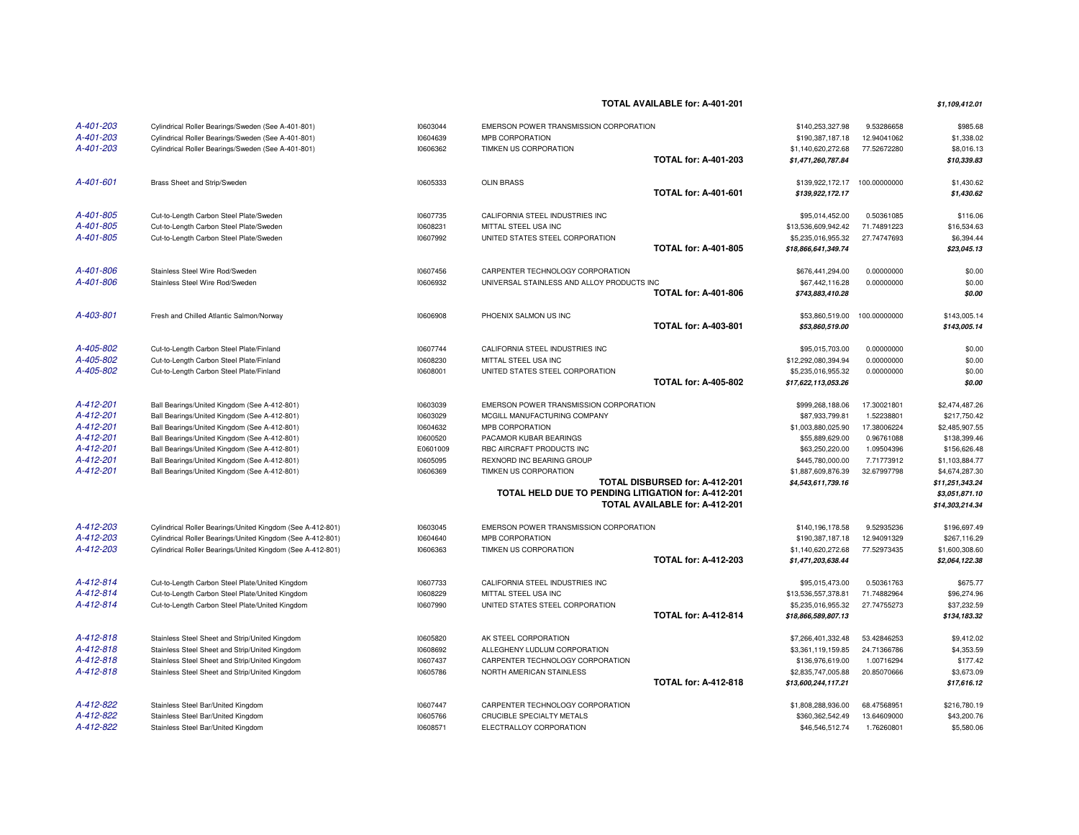**TOTAL AVAILABLE for: A-401-201**

**\$1,109,412.01**

| A-401-203 | Cylindrical Roller Bearings/Sweden (See A-401-801)         | 10603044 | EMERSON POWER TRANSMISSION CORPORATION              |                                | \$140,253,327.98    | 9.53286658   | \$985.68        |
|-----------|------------------------------------------------------------|----------|-----------------------------------------------------|--------------------------------|---------------------|--------------|-----------------|
| A-401-203 | Cylindrical Roller Bearings/Sweden (See A-401-801)         | 10604639 | MPB CORPORATION                                     |                                | \$190,387,187.18    | 12.94041062  | \$1,338.02      |
| A-401-203 | Cylindrical Roller Bearings/Sweden (See A-401-801)         | 10606362 | TIMKEN US CORPORATION                               |                                | \$1,140,620,272.68  | 77.52672280  | \$8,016.13      |
|           |                                                            |          |                                                     | <b>TOTAL for: A-401-203</b>    | \$1,471,260,787.84  |              | \$10,339.83     |
| A-401-601 | Brass Sheet and Strip/Sweden                               | 10605333 | <b>OLIN BRASS</b>                                   |                                | \$139,922,172.17    | 100.00000000 | \$1,430.62      |
|           |                                                            |          |                                                     | <b>TOTAL for: A-401-601</b>    | \$139,922,172.17    |              | \$1,430.62      |
| A-401-805 | Cut-to-Length Carbon Steel Plate/Sweden                    | 10607735 | CALIFORNIA STEEL INDUSTRIES INC                     |                                | \$95,014,452.00     | 0.50361085   | \$116.06        |
| A-401-805 | Cut-to-Length Carbon Steel Plate/Sweden                    | 10608231 | MITTAL STEEL USA INC                                |                                | \$13,536,609,942.42 | 71.74891223  | \$16,534.63     |
| A-401-805 | Cut-to-Length Carbon Steel Plate/Sweden                    | 10607992 | UNITED STATES STEEL CORPORATION                     |                                | \$5,235,016,955.32  | 27.74747693  | \$6,394.44      |
|           |                                                            |          |                                                     | <b>TOTAL for: A-401-805</b>    | \$18,866,641,349.74 |              | \$23,045.13     |
| A-401-806 | Stainless Steel Wire Rod/Sweden                            | 10607456 | CARPENTER TECHNOLOGY CORPORATION                    |                                | \$676,441,294.00    | 0.00000000   | \$0.00          |
| A-401-806 | Stainless Steel Wire Rod/Sweden                            | 10606932 | UNIVERSAL STAINLESS AND ALLOY PRODUCTS INC          |                                | \$67,442,116.28     | 0.00000000   | \$0.00          |
|           |                                                            |          |                                                     | <b>TOTAL for: A-401-806</b>    | \$743,883,410.28    |              | \$0.00          |
|           |                                                            |          |                                                     |                                |                     |              |                 |
| A-403-801 | Fresh and Chilled Atlantic Salmon/Norway                   | 10606908 | PHOENIX SALMON US INC                               |                                | \$53,860,519.00     | 100.00000000 | \$143,005.14    |
|           |                                                            |          |                                                     | <b>TOTAL for: A-403-801</b>    | \$53,860,519.00     |              | \$143,005.14    |
| A-405-802 | Cut-to-Length Carbon Steel Plate/Finland                   | 10607744 | CALIFORNIA STEEL INDUSTRIES INC                     |                                | \$95,015,703.00     | 0.00000000   | \$0.00          |
| A-405-802 | Cut-to-Length Carbon Steel Plate/Finland                   | 10608230 | MITTAL STEEL USA INC                                |                                | \$12,292,080,394.94 | 0.00000000   | \$0.00          |
| A-405-802 | Cut-to-Length Carbon Steel Plate/Finland                   | 10608001 | UNITED STATES STEEL CORPORATION                     |                                | \$5,235,016,955.32  | 0.00000000   | \$0.00          |
|           |                                                            |          |                                                     | <b>TOTAL for: A-405-802</b>    | \$17,622,113,053.26 |              | \$0.00          |
| A-412-201 | Ball Bearings/United Kingdom (See A-412-801)               | 10603039 | EMERSON POWER TRANSMISSION CORPORATION              |                                | \$999,268,188.06    | 17.30021801  | \$2,474,487.26  |
| A-412-201 | Ball Bearings/United Kingdom (See A-412-801)               | 10603029 | MCGILL MANUFACTURING COMPANY                        |                                | \$87,933,799.81     | 1.52238801   | \$217,750.42    |
| A-412-201 | Ball Bearings/United Kingdom (See A-412-801)               | 10604632 | MPB CORPORATION                                     |                                | \$1,003,880,025.90  | 17.38006224  | \$2,485,907.55  |
| A-412-201 | Ball Bearings/United Kingdom (See A-412-801)               | 10600520 | PACAMOR KUBAR BEARINGS                              |                                | \$55,889,629.00     | 0.96761088   | \$138,399.46    |
| A-412-201 | Ball Bearings/United Kingdom (See A-412-801)               | E0601009 | RBC AIRCRAFT PRODUCTS INC                           |                                | \$63,250,220.00     | 1.09504396   | \$156,626.48    |
| A-412-201 | Ball Bearings/United Kingdom (See A-412-801)               | 10605095 | REXNORD INC BEARING GROUP                           |                                | \$445,780,000.00    | 7.71773912   | \$1,103,884.77  |
| A-412-201 | Ball Bearings/United Kingdom (See A-412-801)               | 10606369 | TIMKEN US CORPORATION                               |                                | \$1,887,609,876.39  | 32.67997798  | \$4,674,287.30  |
|           |                                                            |          |                                                     | TOTAL DISBURSED for: A-412-201 | \$4,543,611,739.16  |              | \$11,251,343.24 |
|           |                                                            |          | TOTAL HELD DUE TO PENDING LITIGATION for: A-412-201 |                                |                     |              | \$3,051,871.10  |
|           |                                                            |          |                                                     | TOTAL AVAILABLE for: A-412-201 |                     |              | \$14,303,214.34 |
| A-412-203 | Cylindrical Roller Bearings/United Kingdom (See A-412-801) | 10603045 | EMERSON POWER TRANSMISSION CORPORATION              |                                | \$140,196,178.58    | 9.52935236   | \$196,697.49    |
| A-412-203 | Cylindrical Roller Bearings/United Kingdom (See A-412-801) | 10604640 | MPB CORPORATION                                     |                                | \$190,387,187.18    | 12.94091329  | \$267,116.29    |
| A-412-203 | Cylindrical Roller Bearings/United Kingdom (See A-412-801) | 10606363 | TIMKEN US CORPORATION                               |                                | \$1,140,620,272.68  | 77.52973435  | \$1,600,308.60  |
|           |                                                            |          |                                                     | <b>TOTAL for: A-412-203</b>    | \$1,471,203,638.44  |              | \$2,064,122.38  |
| A-412-814 | Cut-to-Length Carbon Steel Plate/United Kingdom            | 10607733 | CALIFORNIA STEEL INDUSTRIES INC                     |                                | \$95,015,473.00     | 0.50361763   | \$675.77        |
| A-412-814 | Cut-to-Length Carbon Steel Plate/United Kingdom            | 10608229 | MITTAL STEEL USA INC                                |                                | \$13,536,557,378.81 | 71.74882964  | \$96,274.96     |
| A-412-814 | Cut-to-Length Carbon Steel Plate/United Kingdom            | 10607990 | UNITED STATES STEEL CORPORATION                     |                                | \$5,235,016,955.32  | 27.74755273  | \$37,232.59     |
|           |                                                            |          |                                                     | <b>TOTAL for: A-412-814</b>    | \$18,866,589,807.13 |              | \$134,183.32    |
|           |                                                            |          |                                                     |                                |                     |              |                 |
| A-412-818 | Stainless Steel Sheet and Strip/United Kingdom             | 10605820 | AK STEEL CORPORATION                                |                                | \$7,266,401,332.48  | 53.42846253  | \$9,412.02      |
| A-412-818 | Stainless Steel Sheet and Strip/United Kingdom             | 10608692 | ALLEGHENY LUDLUM CORPORATION                        |                                | \$3,361,119,159.85  | 24.71366786  | \$4,353.59      |
| A-412-818 | Stainless Steel Sheet and Strip/United Kingdom             | 10607437 | CARPENTER TECHNOLOGY CORPORATION                    |                                | \$136,976,619.00    | 1.00716294   | \$177.42        |
| A-412-818 | Stainless Steel Sheet and Strip/United Kingdom             | 10605786 | NORTH AMERICAN STAINLESS                            | <b>TOTAL for: A-412-818</b>    | \$2,835,747,005.88  | 20.85070666  | \$3,673.09      |
|           |                                                            |          |                                                     |                                | \$13,600,244,117.21 |              | \$17,616.12     |
| A-412-822 | Stainless Steel Bar/United Kingdom                         | 10607447 | CARPENTER TECHNOLOGY CORPORATION                    |                                | \$1,808,288,936.00  | 68.47568951  | \$216,780.19    |
| A-412-822 | Stainless Steel Bar/United Kingdom                         | 10605766 | CRUCIBLE SPECIALTY METALS                           |                                | \$360,362,542.49    | 13.64609000  | \$43,200.76     |
| A-412-822 | Stainless Steel Bar/United Kingdom                         | 10608571 | ELECTRALLOY CORPORATION                             |                                | \$46,546,512.74     | 1.76260801   | \$5,580.06      |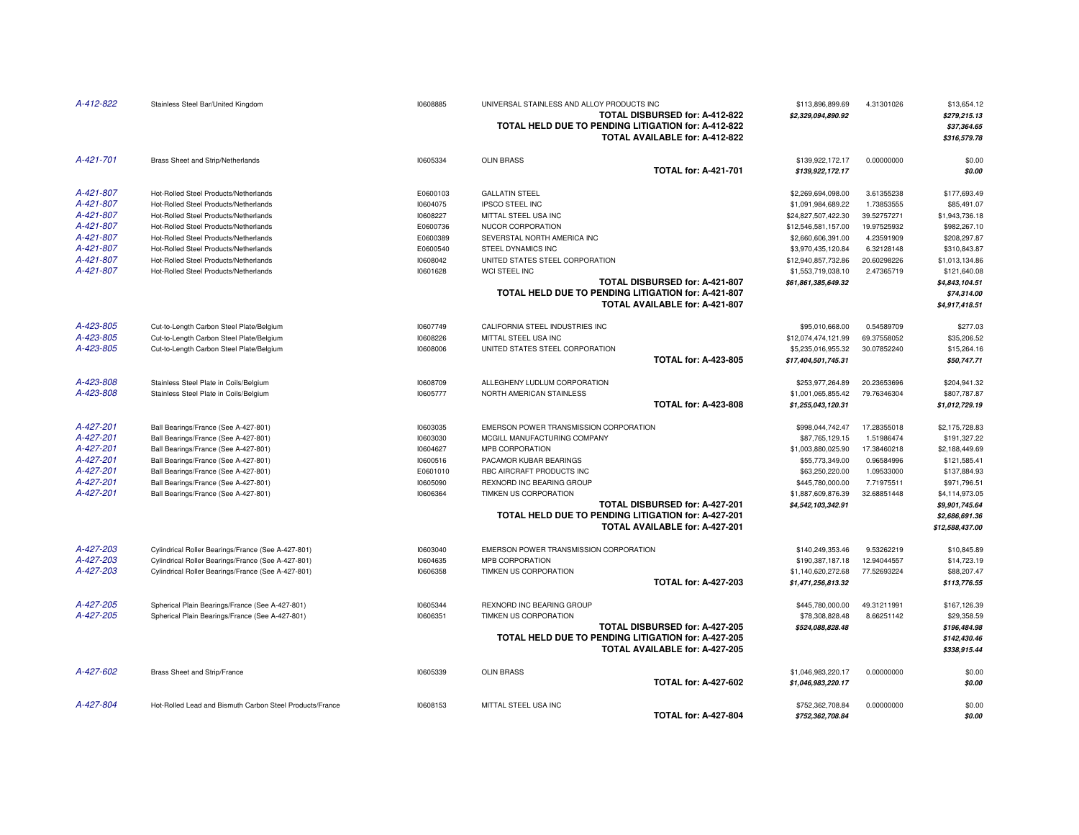| A-412-822 | Stainless Steel Bar/United Kingdom                       | 10608885 | UNIVERSAL STAINLESS AND ALLOY PRODUCTS INC<br>TOTAL DISBURSED for: A-412-822<br>TOTAL HELD DUE TO PENDING LITIGATION for: A-412-822<br>TOTAL AVAILABLE for: A-412-822 | \$113,896,899.69<br>\$2,329,094,890.92 | 4.31301026  | \$13,654.12<br>\$279,215.13<br>\$37,364.65<br>\$316,579.78 |
|-----------|----------------------------------------------------------|----------|-----------------------------------------------------------------------------------------------------------------------------------------------------------------------|----------------------------------------|-------------|------------------------------------------------------------|
| A-421-701 | Brass Sheet and Strip/Netherlands                        | 10605334 | <b>OLIN BRASS</b><br><b>TOTAL for: A-421-701</b>                                                                                                                      | \$139,922,172.17<br>\$139,922,172.17   | 0.00000000  | \$0.00<br>\$0.00                                           |
| A-421-807 | Hot-Rolled Steel Products/Netherlands                    | E0600103 | <b>GALLATIN STEEL</b>                                                                                                                                                 | \$2,269,694,098.00                     | 3.61355238  | \$177,693.49                                               |
| A-421-807 | Hot-Rolled Steel Products/Netherlands                    | 10604075 | <b>IPSCO STEEL INC</b>                                                                                                                                                | \$1,091,984,689.22                     | 1.73853555  | \$85,491.07                                                |
| A-421-807 | Hot-Rolled Steel Products/Netherlands                    | 10608227 | MITTAL STEEL USA INC                                                                                                                                                  | \$24,827,507,422.30                    | 39.52757271 | \$1,943,736.18                                             |
| A-421-807 | Hot-Rolled Steel Products/Netherlands                    | E0600736 | NUCOR CORPORATION                                                                                                                                                     | \$12,546,581,157.00                    | 19.97525932 | \$982,267.10                                               |
| A-421-807 | Hot-Rolled Steel Products/Netherlands                    | E0600389 | SEVERSTAL NORTH AMERICA INC                                                                                                                                           | \$2,660,606,391.00                     | 4.23591909  | \$208,297.87                                               |
| A-421-807 | Hot-Rolled Steel Products/Netherlands                    | E0600540 | STEEL DYNAMICS INC                                                                                                                                                    | \$3,970,435,120.84                     | 6.32128148  | \$310,843.87                                               |
| A-421-807 | Hot-Rolled Steel Products/Netherlands                    | 10608042 | UNITED STATES STEEL CORPORATION                                                                                                                                       | \$12,940,857,732.86                    | 20.60298226 | \$1,013,134.86                                             |
| A-421-807 | Hot-Rolled Steel Products/Netherlands                    | 10601628 | WCI STEEL INC                                                                                                                                                         | \$1,553,719,038.10                     | 2.47365719  | \$121,640.08                                               |
|           |                                                          |          | TOTAL DISBURSED for: A-421-807<br>TOTAL HELD DUE TO PENDING LITIGATION for: A-421-807<br>TOTAL AVAILABLE for: A-421-807                                               | \$61,861,385,649.32                    |             | \$4,843,104.51<br>\$74,314.00<br>\$4,917,418.51            |
| A-423-805 | Cut-to-Length Carbon Steel Plate/Belgium                 | 10607749 | CALIFORNIA STEEL INDUSTRIES INC                                                                                                                                       | \$95,010,668.00                        | 0.54589709  | \$277.03                                                   |
| A-423-805 | Cut-to-Length Carbon Steel Plate/Belgium                 | 10608226 | MITTAL STEEL USA INC                                                                                                                                                  | \$12,074,474,121.99                    | 69.37558052 | \$35,206.52                                                |
| A-423-805 | Cut-to-Length Carbon Steel Plate/Belgium                 | 10608006 | UNITED STATES STEEL CORPORATION                                                                                                                                       | \$5,235,016,955.32                     | 30.07852240 | \$15,264.16                                                |
|           |                                                          |          | <b>TOTAL for: A-423-805</b>                                                                                                                                           | \$17,404,501,745.31                    |             | \$50,747.71                                                |
| A-423-808 | Stainless Steel Plate in Coils/Belgium                   | 10608709 | ALLEGHENY LUDLUM CORPORATION                                                                                                                                          | \$253,977,264.89                       | 20.23653696 | \$204,941.32                                               |
| A-423-808 | Stainless Steel Plate in Coils/Belgium                   | 10605777 | NORTH AMERICAN STAINLESS                                                                                                                                              | \$1,001,065,855.42                     | 79.76346304 | \$807,787.87                                               |
|           |                                                          |          | <b>TOTAL for: A-423-808</b>                                                                                                                                           | \$1,255,043,120.31                     |             | \$1,012,729.19                                             |
| A-427-201 | Ball Bearings/France (See A-427-801)                     | 10603035 | EMERSON POWER TRANSMISSION CORPORATION                                                                                                                                | \$998,044,742.47                       | 17.28355018 | \$2,175,728.83                                             |
| A-427-201 | Ball Bearings/France (See A-427-801)                     | 10603030 | MCGILL MANUFACTURING COMPANY                                                                                                                                          | \$87,765,129.15                        | 1.51986474  | \$191,327.22                                               |
| A-427-201 | Ball Bearings/France (See A-427-801)                     | 10604627 | MPB CORPORATION                                                                                                                                                       | \$1,003,880,025.90                     | 17.38460218 | \$2,188,449.69                                             |
| A-427-201 | Ball Bearings/France (See A-427-801)                     | 10600516 | PACAMOR KUBAR BEARINGS                                                                                                                                                | \$55,773,349.00                        | 0.96584996  | \$121,585.41                                               |
| A-427-201 | Ball Bearings/France (See A-427-801)                     | E0601010 | RBC AIRCRAFT PRODUCTS INC                                                                                                                                             | \$63,250,220.00                        | 1.09533000  | \$137,884.93                                               |
| A-427-201 | Ball Bearings/France (See A-427-801)                     | 10605090 | REXNORD INC BEARING GROUP                                                                                                                                             | \$445,780,000.00                       | 7.71975511  | \$971,796.51                                               |
| A-427-201 | Ball Bearings/France (See A-427-801)                     | 10606364 | TIMKEN US CORPORATION                                                                                                                                                 | \$1,887,609,876.39                     | 32.68851448 | \$4,114,973.05                                             |
|           |                                                          |          | TOTAL DISBURSED for: A-427-201<br>TOTAL HELD DUE TO PENDING LITIGATION for: A-427-201<br>TOTAL AVAILABLE for: A-427-201                                               | \$4,542,103,342.91                     |             | \$9,901,745.64<br>\$2,686,691.36<br>\$12,588,437.00        |
| A-427-203 | Cylindrical Roller Bearings/France (See A-427-801)       | 10603040 | EMERSON POWER TRANSMISSION CORPORATION                                                                                                                                | \$140,249,353.46                       | 9.53262219  | \$10,845.89                                                |
| A-427-203 | Cylindrical Roller Bearings/France (See A-427-801)       | 10604635 | MPB CORPORATION                                                                                                                                                       | \$190,387,187.18                       | 12.94044557 | \$14,723.19                                                |
| A-427-203 | Cylindrical Roller Bearings/France (See A-427-801)       | 10606358 | TIMKEN US CORPORATION                                                                                                                                                 | \$1,140,620,272.68                     | 77.52693224 | \$88,207.47                                                |
|           |                                                          |          | <b>TOTAL for: A-427-203</b>                                                                                                                                           | \$1,471,256,813.32                     |             | \$113,776.55                                               |
| A-427-205 | Spherical Plain Bearings/France (See A-427-801)          | 10605344 | REXNORD INC BEARING GROUP                                                                                                                                             | \$445,780,000.00                       | 49.31211991 | \$167,126.39                                               |
| A-427-205 | Spherical Plain Bearings/France (See A-427-801)          | 10606351 | TIMKEN US CORPORATION                                                                                                                                                 | \$78,308,828.48                        | 8.66251142  | \$29,358.59                                                |
|           |                                                          |          | TOTAL DISBURSED for: A-427-205                                                                                                                                        | \$524,088,828.48                       |             | \$196,484.98                                               |
|           |                                                          |          | TOTAL HELD DUE TO PENDING LITIGATION for: A-427-205<br>TOTAL AVAILABLE for: A-427-205                                                                                 |                                        |             | \$142,430.46<br>\$338,915.44                               |
| A-427-602 | Brass Sheet and Strip/France                             | 10605339 | <b>OLIN BRASS</b>                                                                                                                                                     | \$1,046,983,220.17                     | 0.00000000  | \$0.00                                                     |
|           |                                                          |          | <b>TOTAL for: A-427-602</b>                                                                                                                                           | \$1,046,983,220.17                     |             | \$0.00                                                     |
| A-427-804 | Hot-Rolled Lead and Bismuth Carbon Steel Products/France | 10608153 | MITTAL STEEL USA INC                                                                                                                                                  | \$752,362,708.84                       | 0.00000000  | \$0.00                                                     |
|           |                                                          |          | <b>TOTAL for: A-427-804</b>                                                                                                                                           | \$752,362,708.84                       |             | \$0.00                                                     |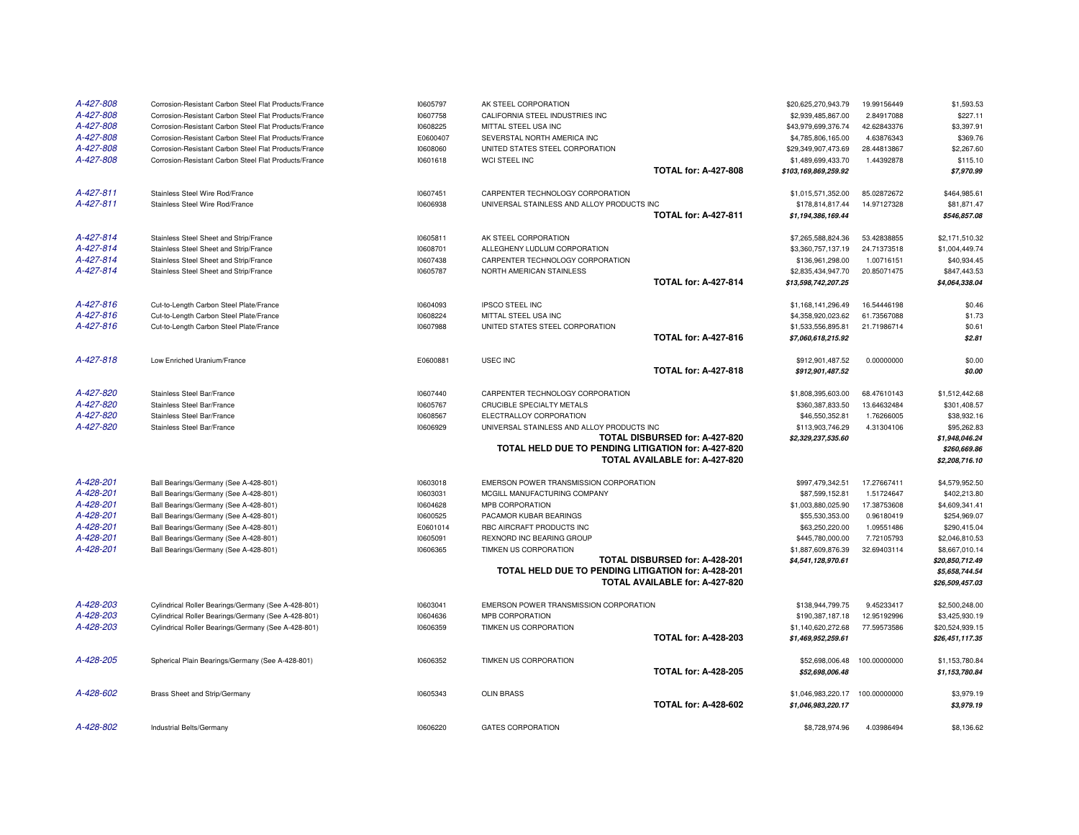| A-427-808 | Corrosion-Resistant Carbon Steel Flat Products/France | 10605797 | AK STEEL CORPORATION                                |                                | \$20,625,270,943.79  | 19.99156449  | \$1,593.53                        |
|-----------|-------------------------------------------------------|----------|-----------------------------------------------------|--------------------------------|----------------------|--------------|-----------------------------------|
| A-427-808 | Corrosion-Resistant Carbon Steel Flat Products/France | 10607758 | CALIFORNIA STEEL INDUSTRIES INC                     |                                | \$2,939,485,867.00   | 2.84917088   | \$227.11                          |
| A-427-808 | Corrosion-Resistant Carbon Steel Flat Products/France | 10608225 | MITTAL STEEL USA INC                                |                                | \$43,979,699,376.74  | 42.62843376  | \$3,397.91                        |
| A-427-808 | Corrosion-Resistant Carbon Steel Flat Products/France | E0600407 | SEVERSTAL NORTH AMERICA INC                         |                                | \$4,785,806,165.00   | 4.63876343   | \$369.76                          |
| A-427-808 | Corrosion-Resistant Carbon Steel Flat Products/France | 10608060 | UNITED STATES STEEL CORPORATION                     |                                | \$29,349,907,473.69  | 28.44813867  | \$2,267.60                        |
| A-427-808 | Corrosion-Resistant Carbon Steel Flat Products/France | 10601618 | WCI STEEL INC                                       |                                | \$1,489,699,433.70   | 1.44392878   | \$115.10                          |
|           |                                                       |          |                                                     | <b>TOTAL for: A-427-808</b>    | \$103,169,869,259.92 |              | \$7,970.99                        |
| A-427-811 | Stainless Steel Wire Rod/France                       | 10607451 | CARPENTER TECHNOLOGY CORPORATION                    |                                | \$1,015,571,352.00   | 85.02872672  | \$464,985.61                      |
| A-427-811 | Stainless Steel Wire Rod/France                       | 10606938 | UNIVERSAL STAINLESS AND ALLOY PRODUCTS INC          |                                | \$178,814,817.44     | 14.97127328  | \$81,871.47                       |
|           |                                                       |          |                                                     | <b>TOTAL for: A-427-811</b>    | \$1,194,386,169.44   |              | \$546,857.08                      |
| A-427-814 | Stainless Steel Sheet and Strip/France                | 10605811 | AK STEEL CORPORATION                                |                                | \$7,265,588,824.36   | 53.42838855  | \$2,171,510.32                    |
| A-427-814 | Stainless Steel Sheet and Strip/France                | 10608701 | ALLEGHENY LUDLUM CORPORATION                        |                                | \$3,360,757,137.19   | 24.71373518  | \$1,004,449.74                    |
| A-427-814 | Stainless Steel Sheet and Strip/France                | 10607438 | CARPENTER TECHNOLOGY CORPORATION                    |                                | \$136,961,298.00     | 1.00716151   | \$40,934.45                       |
| A-427-814 | Stainless Steel Sheet and Strip/France                | 10605787 | NORTH AMERICAN STAINLESS                            |                                | \$2,835,434,947.70   | 20.85071475  | \$847,443.53                      |
|           |                                                       |          |                                                     | <b>TOTAL for: A-427-814</b>    | \$13,598,742,207.25  |              | \$4,064,338.04                    |
| A-427-816 | Cut-to-Length Carbon Steel Plate/France               | 10604093 | <b>IPSCO STEEL INC</b>                              |                                | \$1,168,141,296.49   | 16.54446198  | \$0.46                            |
| A-427-816 | Cut-to-Length Carbon Steel Plate/France               | 10608224 | MITTAL STEEL USA INC                                |                                | \$4,358,920,023.62   | 61.73567088  | \$1.73                            |
| A-427-816 | Cut-to-Length Carbon Steel Plate/France               | 10607988 | UNITED STATES STEEL CORPORATION                     |                                | \$1,533,556,895.81   | 21.71986714  | \$0.61                            |
|           |                                                       |          |                                                     | <b>TOTAL for: A-427-816</b>    | \$7,060,618,215.92   |              | \$2.81                            |
| A-427-818 | Low Enriched Uranium/France                           | E0600881 | <b>USEC INC</b>                                     |                                | \$912,901,487.52     | 0.00000000   | \$0.00                            |
|           |                                                       |          |                                                     | <b>TOTAL for: A-427-818</b>    | \$912,901,487.52     |              | \$0.00                            |
| A-427-820 | Stainless Steel Bar/France                            | 10607440 | CARPENTER TECHNOLOGY CORPORATION                    |                                | \$1,808,395,603.00   | 68.47610143  | \$1,512,442.68                    |
| A-427-820 | Stainless Steel Bar/France                            | 10605767 | CRUCIBLE SPECIALTY METALS                           |                                | \$360,387,833.50     | 13.64632484  | \$301,408.57                      |
| A-427-820 | Stainless Steel Bar/France                            | 10608567 | ELECTRALLOY CORPORATION                             |                                | \$46,550,352.81      | 1.76266005   | \$38,932.16                       |
| A-427-820 | Stainless Steel Bar/France                            | 10606929 | UNIVERSAL STAINLESS AND ALLOY PRODUCTS INC          |                                | \$113,903,746.29     | 4.31304106   | \$95,262.83                       |
|           |                                                       |          |                                                     | TOTAL DISBURSED for: A-427-820 | \$2,329,237,535.60   |              | \$1,948,046.24                    |
|           |                                                       |          | TOTAL HELD DUE TO PENDING LITIGATION for: A-427-820 |                                |                      |              | \$260,669.86                      |
|           |                                                       |          |                                                     | TOTAL AVAILABLE for: A-427-820 |                      |              | \$2,208,716.10                    |
| A-428-201 | Ball Bearings/Germany (See A-428-801)                 | 10603018 | EMERSON POWER TRANSMISSION CORPORATION              |                                | \$997,479,342.51     | 17.27667411  | \$4,579,952.50                    |
| A-428-201 | Ball Bearings/Germany (See A-428-801)                 | 10603031 | MCGILL MANUFACTURING COMPANY                        |                                | \$87,599,152.81      | 1.51724647   | \$402,213.80                      |
| A-428-201 | Ball Bearings/Germany (See A-428-801)                 | 10604628 | MPB CORPORATION                                     |                                | \$1,003,880,025.90   | 17.38753608  | \$4,609,341.41                    |
| A-428-201 | Ball Bearings/Germany (See A-428-801)                 | 10600525 | PACAMOR KUBAR BEARINGS                              |                                | \$55,530,353.00      | 0.96180419   | \$254,969.07                      |
| A-428-201 | Ball Bearings/Germany (See A-428-801)                 | E0601014 | RBC AIRCRAFT PRODUCTS INC                           |                                | \$63,250,220.00      | 1.09551486   | \$290,415.04                      |
| A-428-201 | Ball Bearings/Germany (See A-428-801)                 | 10605091 | REXNORD INC BEARING GROUP                           |                                | \$445,780,000.00     | 7.72105793   | \$2,046,810.53                    |
| A-428-201 | Ball Bearings/Germany (See A-428-801)                 | 10606365 | TIMKEN US CORPORATION                               |                                | \$1,887,609,876.39   | 32.69403114  | \$8,667,010.14                    |
|           |                                                       |          |                                                     | TOTAL DISBURSED for: A-428-201 | \$4,541,128,970.61   |              | \$20,850,712.49                   |
|           |                                                       |          | TOTAL HELD DUE TO PENDING LITIGATION for: A-428-201 | TOTAL AVAILABLE for: A-427-820 |                      |              | \$5,658,744.54<br>\$26,509,457.03 |
|           |                                                       |          |                                                     |                                |                      |              |                                   |
| A-428-203 | Cylindrical Roller Bearings/Germany (See A-428-801)   | 10603041 | EMERSON POWER TRANSMISSION CORPORATION              |                                | \$138,944,799.75     | 9.45233417   | \$2,500,248.00                    |
| A-428-203 | Cylindrical Roller Bearings/Germany (See A-428-801)   | 10604636 | MPB CORPORATION                                     |                                | \$190,387,187.18     | 12.95192996  | \$3,425,930.19                    |
| A-428-203 | Cylindrical Roller Bearings/Germany (See A-428-801)   | 10606359 | TIMKEN US CORPORATION                               |                                | \$1,140,620,272.68   | 77.59573586  | \$20,524,939.15                   |
|           |                                                       |          |                                                     | <b>TOTAL for: A-428-203</b>    | \$1,469,952,259.61   |              | \$26,451,117.35                   |
| A-428-205 | Spherical Plain Bearings/Germany (See A-428-801)      | 10606352 | TIMKEN US CORPORATION                               |                                | \$52,698,006.48      | 100.00000000 | \$1,153,780.84                    |
|           |                                                       |          |                                                     | <b>TOTAL for: A-428-205</b>    | \$52,698,006.48      |              | \$1,153,780.84                    |
| A-428-602 | Brass Sheet and Strip/Germany                         | 10605343 | <b>OLIN BRASS</b>                                   |                                | \$1,046,983,220.17   | 100.00000000 | \$3,979.19                        |
|           |                                                       |          |                                                     | <b>TOTAL for: A-428-602</b>    | \$1,046,983,220.17   |              | \$3,979.19                        |
| A-428-802 | Industrial Belts/Germany                              | 10606220 | <b>GATES CORPORATION</b>                            |                                | \$8,728,974.96       | 4.03986494   | \$8,136.62                        |
|           |                                                       |          |                                                     |                                |                      |              |                                   |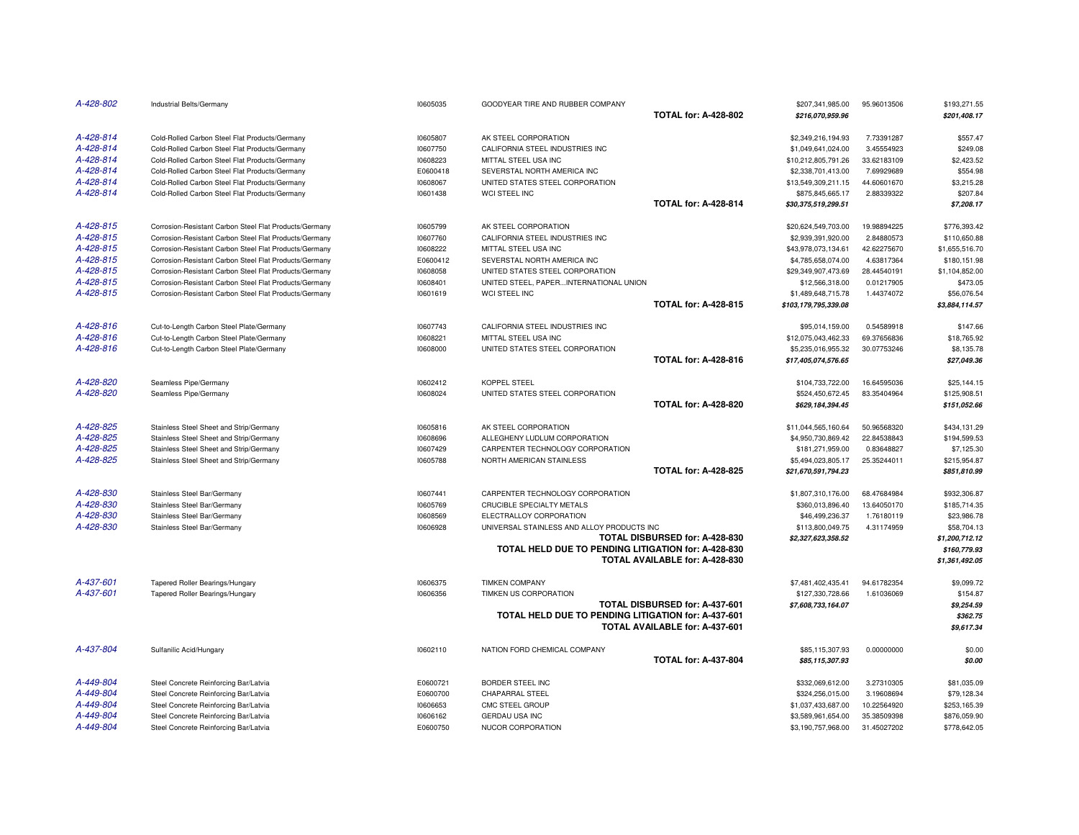| A-428-802 | Industrial Belts/Germany                               | 10605035 | GOODYEAR TIRE AND RUBBER COMPANY                    | <b>TOTAL for: A-428-802</b>           | \$207,341,985.00<br>\$216,070,959.96 | 95.96013506 | \$193,271.55<br>\$201,408.17   |
|-----------|--------------------------------------------------------|----------|-----------------------------------------------------|---------------------------------------|--------------------------------------|-------------|--------------------------------|
| A-428-814 | Cold-Rolled Carbon Steel Flat Products/Germany         | 10605807 | AK STEEL CORPORATION                                |                                       | \$2,349,216,194.93                   | 7.73391287  | \$557.47                       |
| A-428-814 | Cold-Rolled Carbon Steel Flat Products/Germany         | 10607750 | CALIFORNIA STEEL INDUSTRIES INC                     |                                       | \$1,049,641,024.00                   | 3.45554923  | \$249.08                       |
| A-428-814 | Cold-Rolled Carbon Steel Flat Products/Germany         | 10608223 | MITTAL STEEL USA INC                                |                                       | \$10,212,805,791.26                  | 33.62183109 | \$2,423.52                     |
| A-428-814 | Cold-Rolled Carbon Steel Flat Products/Germany         | E0600418 | SEVERSTAL NORTH AMERICA INC                         |                                       | \$2,338,701,413.00                   | 7.69929689  | \$554.98                       |
| A-428-814 | Cold-Rolled Carbon Steel Flat Products/Germany         | 10608067 | UNITED STATES STEEL CORPORATION                     |                                       | \$13,549,309,211.15                  | 44.60601670 | \$3,215.28                     |
| A-428-814 | Cold-Rolled Carbon Steel Flat Products/Germany         | 10601438 | <b>WCI STEEL INC</b>                                |                                       | \$875,845,665.17                     | 2.88339322  | \$207.84                       |
|           |                                                        |          |                                                     | <b>TOTAL for: A-428-814</b>           | \$30,375,519,299.51                  |             | \$7,208.17                     |
| A-428-815 | Corrosion-Resistant Carbon Steel Flat Products/Germany | 10605799 | AK STEEL CORPORATION                                |                                       | \$20,624,549,703.00                  | 19.98894225 | \$776,393.42                   |
| A-428-815 | Corrosion-Resistant Carbon Steel Flat Products/Germany | 10607760 | CALIFORNIA STEEL INDUSTRIES INC                     |                                       | \$2,939,391,920.00                   | 2.84880573  | \$110,650.88                   |
| A-428-815 | Corrosion-Resistant Carbon Steel Flat Products/Germany | 10608222 | MITTAL STEEL USA INC                                |                                       | \$43,978,073,134.61                  | 42.62275670 | \$1,655,516.70                 |
| A-428-815 | Corrosion-Resistant Carbon Steel Flat Products/Germany | E0600412 | SEVERSTAL NORTH AMERICA INC                         |                                       | \$4,785,658,074.00                   | 4.63817364  | \$180,151.98                   |
| A-428-815 | Corrosion-Resistant Carbon Steel Flat Products/Germany | 10608058 | UNITED STATES STEEL CORPORATION                     |                                       | \$29,349,907,473.69                  | 28.44540191 | \$1,104,852.00                 |
| A-428-815 | Corrosion-Resistant Carbon Steel Flat Products/Germany | 10608401 | UNITED STEEL, PAPERINTERNATIONAL UNION              |                                       | \$12,566,318.00                      | 0.01217905  | \$473.05                       |
| A-428-815 | Corrosion-Resistant Carbon Steel Flat Products/Germany | 10601619 | WCI STEEL INC                                       |                                       | \$1,489,648,715.78                   | 1.44374072  | \$56,076.54                    |
|           |                                                        |          |                                                     | <b>TOTAL for: A-428-815</b>           | \$103,179,795,339.08                 |             | \$3,884,114.57                 |
| A-428-816 | Cut-to-Length Carbon Steel Plate/Germany               | 10607743 | CALIFORNIA STEEL INDUSTRIES INC                     |                                       | \$95,014,159.00                      | 0.54589918  | \$147.66                       |
| A-428-816 | Cut-to-Length Carbon Steel Plate/Germany               | 10608221 | MITTAL STEEL USA INC                                |                                       | \$12,075,043,462.33                  | 69.37656836 | \$18,765.92                    |
| A-428-816 | Cut-to-Length Carbon Steel Plate/Germany               | 10608000 | UNITED STATES STEEL CORPORATION                     |                                       | \$5,235,016,955.32                   | 30.07753246 | \$8,135.78                     |
|           |                                                        |          |                                                     | <b>TOTAL for: A-428-816</b>           | \$17,405,074,576.65                  |             | \$27,049.36                    |
| A-428-820 | Seamless Pipe/Germany                                  | 10602412 | <b>KOPPEL STEEL</b>                                 |                                       | \$104,733,722.00                     | 16.64595036 | \$25,144.15                    |
| A-428-820 | Seamless Pipe/Germany                                  | 10608024 | UNITED STATES STEEL CORPORATION                     |                                       | \$524,450,672.45                     | 83.35404964 | \$125,908.51                   |
|           |                                                        |          |                                                     | <b>TOTAL for: A-428-820</b>           | \$629,184,394.45                     |             | \$151,052.66                   |
| A-428-825 | Stainless Steel Sheet and Strip/Germany                | 10605816 | AK STEEL CORPORATION                                |                                       | \$11,044,565,160.64                  | 50.96568320 | \$434,131.29                   |
| A-428-825 | Stainless Steel Sheet and Strip/Germany                | 10608696 | ALLEGHENY LUDLUM CORPORATION                        |                                       | \$4,950,730,869.42                   | 22.84538843 | \$194,599.53                   |
| A-428-825 | Stainless Steel Sheet and Strip/Germany                | 10607429 | CARPENTER TECHNOLOGY CORPORATION                    |                                       | \$181,271,959.00                     | 0.83648827  | \$7,125.30                     |
| A-428-825 | Stainless Steel Sheet and Strip/Germany                | 10605788 | NORTH AMERICAN STAINLESS                            |                                       | \$5,494,023,805.17                   | 25.35244011 | \$215,954.87                   |
|           |                                                        |          |                                                     | <b>TOTAL for: A-428-825</b>           | \$21,670,591,794.23                  |             | \$851,810.99                   |
| A-428-830 | Stainless Steel Bar/Germany                            | 10607441 | CARPENTER TECHNOLOGY CORPORATION                    |                                       | \$1,807,310,176.00                   | 68.47684984 | \$932,306.87                   |
| A-428-830 | Stainless Steel Bar/Germany                            | 10605769 | CRUCIBLE SPECIALTY METALS                           |                                       | \$360,013,896.40                     | 13.64050170 | \$185,714.35                   |
| A-428-830 | Stainless Steel Bar/Germany                            | 10608569 | ELECTRALLOY CORPORATION                             |                                       | \$46,499,236.37                      | 1.76180119  | \$23,986.78                    |
| A-428-830 | Stainless Steel Bar/Germany                            | 10606928 | UNIVERSAL STAINLESS AND ALLOY PRODUCTS INC          |                                       | \$113,800,049.75                     | 4.31174959  | \$58,704.13                    |
|           |                                                        |          |                                                     | TOTAL DISBURSED for: A-428-830        | \$2,327,623,358.52                   |             | \$1,200,712.12                 |
|           |                                                        |          | TOTAL HELD DUE TO PENDING LITIGATION for: A-428-830 | TOTAL AVAILABLE for: A-428-830        |                                      |             | \$160.779.93<br>\$1,361,492.05 |
| A-437-601 |                                                        |          |                                                     |                                       |                                      |             |                                |
| A-437-601 | Tapered Roller Bearings/Hungary                        | 10606375 | <b>TIMKEN COMPANY</b>                               |                                       | \$7,481,402,435.41                   | 94.61782354 | \$9,099.72                     |
|           | Tapered Roller Bearings/Hungary                        | 10606356 | TIMKEN US CORPORATION                               | <b>TOTAL DISBURSED for: A-437-601</b> | \$127,330,728.66                     | 1.61036069  | \$154.87                       |
|           |                                                        |          | TOTAL HELD DUE TO PENDING LITIGATION for: A-437-601 |                                       | \$7,608,733,164.07                   |             | \$9,254.59<br>\$362.75         |
|           |                                                        |          |                                                     | TOTAL AVAILABLE for: A-437-601        |                                      |             | \$9,617.34                     |
| A-437-804 | Sulfanilic Acid/Hungary                                | 10602110 | NATION FORD CHEMICAL COMPANY                        |                                       | \$85,115,307.93                      | 0.00000000  | \$0.00                         |
|           |                                                        |          |                                                     | <b>TOTAL for: A-437-804</b>           | \$85,115,307.93                      |             | \$0.00                         |
| A-449-804 | Steel Concrete Reinforcing Bar/Latvia                  | E0600721 | BORDER STEEL INC                                    |                                       | \$332,069,612.00                     | 3.27310305  | \$81,035.09                    |
| A-449-804 | Steel Concrete Reinforcing Bar/Latvia                  | E0600700 | <b>CHAPARRAL STEEL</b>                              |                                       | \$324,256,015.00                     | 3.19608694  | \$79,128.34                    |
| A-449-804 | Steel Concrete Reinforcing Bar/Latvia                  | 10606653 | CMC STEEL GROUP                                     |                                       | \$1,037,433,687.00                   | 10.22564920 | \$253,165.39                   |
| A-449-804 | Steel Concrete Reinforcing Bar/Latvia                  | 10606162 | <b>GERDAU USA INC</b>                               |                                       | \$3,589,961,654.00                   | 35.38509398 | \$876,059.90                   |
| A-449-804 | Steel Concrete Reinforcing Bar/Latvia                  | E0600750 | NUCOR CORPORATION                                   |                                       | \$3,190,757,968.00                   | 31.45027202 | \$778,642.05                   |
|           |                                                        |          |                                                     |                                       |                                      |             |                                |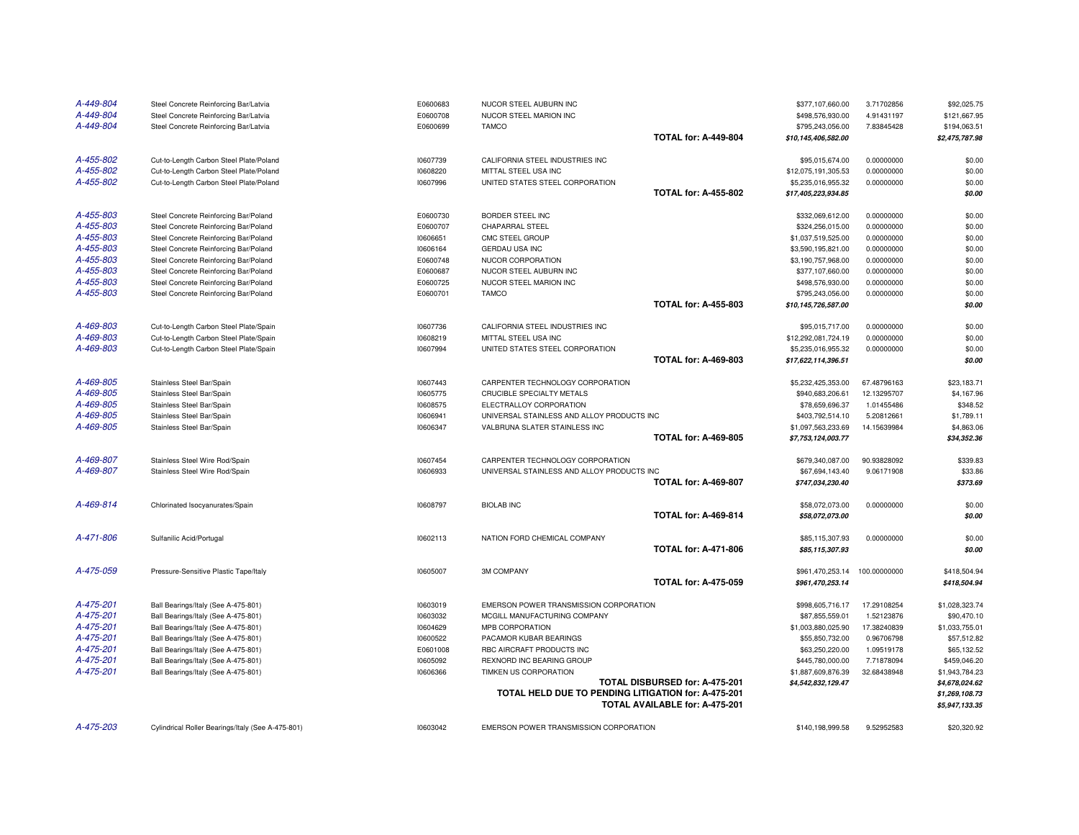| A-449-804 | Steel Concrete Reinforcing Bar/Latvia             | E0600683 | NUCOR STEEL AUBURN INC                              |                                | \$377,107,660.00    | 3.71702856   | \$92,025.75                      |
|-----------|---------------------------------------------------|----------|-----------------------------------------------------|--------------------------------|---------------------|--------------|----------------------------------|
| A-449-804 | Steel Concrete Reinforcing Bar/Latvia             | E0600708 | NUCOR STEEL MARION INC                              |                                | \$498,576,930.00    | 4.91431197   | \$121,667.95                     |
| A-449-804 | Steel Concrete Reinforcing Bar/Latvia             | E0600699 | <b>TAMCO</b>                                        |                                | \$795,243,056.00    | 7.83845428   | \$194,063.51                     |
|           |                                                   |          |                                                     | <b>TOTAL for: A-449-804</b>    | \$10,145,406,582.00 |              | \$2,475,787.98                   |
| A-455-802 | Cut-to-Length Carbon Steel Plate/Poland           | 10607739 | CALIFORNIA STEEL INDUSTRIES INC                     |                                | \$95,015,674.00     | 0.00000000   | \$0.00                           |
| A-455-802 | Cut-to-Length Carbon Steel Plate/Poland           | 10608220 | MITTAL STEEL USA INC                                |                                | \$12,075,191,305.53 | 0.00000000   | \$0.00                           |
| A-455-802 | Cut-to-Length Carbon Steel Plate/Poland           | 10607996 | UNITED STATES STEEL CORPORATION                     |                                | \$5,235,016,955.32  | 0.00000000   | \$0.00                           |
|           |                                                   |          |                                                     | <b>TOTAL for: A-455-802</b>    | \$17,405,223,934.85 |              | \$0.00                           |
| A-455-803 | Steel Concrete Reinforcing Bar/Poland             | E0600730 | BORDER STEEL INC                                    |                                | \$332,069,612.00    | 0.00000000   | \$0.00                           |
| A-455-803 | Steel Concrete Reinforcing Bar/Poland             | E0600707 | <b>CHAPARRAL STEEL</b>                              |                                | \$324,256,015.00    | 0.00000000   | \$0.00                           |
| A-455-803 | Steel Concrete Reinforcing Bar/Poland             | 10606651 | CMC STEEL GROUP                                     |                                | \$1,037,519,525.00  | 0.00000000   | \$0.00                           |
| A-455-803 | Steel Concrete Reinforcing Bar/Poland             | 10606164 | GERDAU USA INC                                      |                                | \$3,590,195,821.00  | 0.00000000   | \$0.00                           |
| A-455-803 | Steel Concrete Reinforcing Bar/Poland             | E0600748 | NUCOR CORPORATION                                   |                                | \$3,190,757,968.00  | 0.00000000   | \$0.00                           |
| A-455-803 | Steel Concrete Reinforcing Bar/Poland             | E0600687 | NUCOR STEEL AUBURN INC                              |                                | \$377,107,660.00    | 0.00000000   | \$0.00                           |
| A-455-803 | Steel Concrete Reinforcing Bar/Poland             | E0600725 | NUCOR STEEL MARION INC                              |                                | \$498,576,930.00    | 0.00000000   | \$0.00                           |
| A-455-803 | Steel Concrete Reinforcing Bar/Poland             | E0600701 | <b>TAMCO</b>                                        |                                | \$795,243,056.00    | 0.00000000   | \$0.00                           |
|           |                                                   |          |                                                     | <b>TOTAL for: A-455-803</b>    | \$10,145,726,587.00 |              | \$0.00                           |
| A-469-803 | Cut-to-Length Carbon Steel Plate/Spain            | 10607736 | CALIFORNIA STEEL INDUSTRIES INC                     |                                | \$95,015,717.00     | 0.00000000   | \$0.00                           |
| A-469-803 | Cut-to-Length Carbon Steel Plate/Spain            | 10608219 | MITTAL STEEL USA INC                                |                                | \$12,292,081,724.19 | 0.00000000   | \$0.00                           |
| A-469-803 | Cut-to-Length Carbon Steel Plate/Spain            | 10607994 | UNITED STATES STEEL CORPORATION                     |                                | \$5,235,016,955.32  | 0.00000000   | \$0.00                           |
|           |                                                   |          |                                                     | <b>TOTAL for: A-469-803</b>    | \$17,622,114,396.51 |              | \$0.00                           |
| A-469-805 | Stainless Steel Bar/Spain                         | 10607443 | CARPENTER TECHNOLOGY CORPORATION                    |                                | \$5,232,425,353.00  | 67.48796163  | \$23,183.71                      |
| A-469-805 | Stainless Steel Bar/Spain                         | 10605775 | CRUCIBLE SPECIALTY METALS                           |                                | \$940,683,206.61    | 12.13295707  | \$4,167.96                       |
| A-469-805 | Stainless Steel Bar/Spain                         | 10608575 | ELECTRALLOY CORPORATION                             |                                | \$78,659,696.37     | 1.01455486   | \$348.52                         |
| A-469-805 | Stainless Steel Bar/Spain                         | 10606941 | UNIVERSAL STAINLESS AND ALLOY PRODUCTS INC          |                                | \$403,792,514.10    | 5.20812661   | \$1,789.11                       |
| A-469-805 | Stainless Steel Bar/Spain                         | 10606347 | VALBRUNA SLATER STAINLESS INC                       |                                | \$1,097,563,233.69  | 14.15639984  | \$4,863.06                       |
|           |                                                   |          |                                                     | <b>TOTAL for: A-469-805</b>    | \$7,753,124,003.77  |              | \$34,352.36                      |
| A-469-807 | Stainless Steel Wire Rod/Spain                    | 10607454 | CARPENTER TECHNOLOGY CORPORATION                    |                                | \$679,340,087.00    | 90.93828092  | \$339.83                         |
| A-469-807 | Stainless Steel Wire Rod/Spain                    | 10606933 | UNIVERSAL STAINLESS AND ALLOY PRODUCTS INC          |                                | \$67,694,143.40     | 9.06171908   | \$33.86                          |
|           |                                                   |          |                                                     | <b>TOTAL for: A-469-807</b>    | \$747,034,230.40    |              | \$373.69                         |
| A-469-814 | Chlorinated Isocyanurates/Spain                   | 10608797 | <b>BIOLAB INC</b>                                   |                                | \$58,072,073.00     | 0.00000000   | \$0.00                           |
|           |                                                   |          |                                                     | <b>TOTAL for: A-469-814</b>    | \$58,072,073.00     |              | \$0.00                           |
| A-471-806 | Sulfanilic Acid/Portugal                          | 10602113 | NATION FORD CHEMICAL COMPANY                        |                                | \$85,115,307.93     | 0.00000000   | \$0.00                           |
|           |                                                   |          |                                                     | <b>TOTAL for: A-471-806</b>    | \$85,115,307.93     |              | \$0.00                           |
| A-475-059 | Pressure-Sensitive Plastic Tape/Italy             | 10605007 | <b>3M COMPANY</b>                                   |                                | \$961,470,253.14    | 100.00000000 | \$418,504.94                     |
|           |                                                   |          |                                                     | <b>TOTAL for: A-475-059</b>    | \$961,470,253.14    |              | \$418,504.94                     |
| A-475-201 | Ball Bearings/Italy (See A-475-801)               | 10603019 | EMERSON POWER TRANSMISSION CORPORATION              |                                | \$998,605,716.17    | 17.29108254  | \$1,028,323.74                   |
| A-475-201 | Ball Bearings/Italy (See A-475-801)               | 10603032 | MCGILL MANUFACTURING COMPANY                        |                                | \$87,855,559.01     | 1.52123876   | \$90,470.10                      |
| A-475-201 | Ball Bearings/Italy (See A-475-801)               | 10604629 | MPB CORPORATION                                     |                                | \$1,003,880,025.90  | 17.38240839  | \$1,033,755.01                   |
| A-475-201 | Ball Bearings/Italy (See A-475-801)               | 10600522 | PACAMOR KUBAR BEARINGS                              |                                | \$55,850,732.00     | 0.96706798   | \$57,512.82                      |
| A-475-201 | Ball Bearings/Italy (See A-475-801)               | E0601008 | RBC AIRCRAFT PRODUCTS INC                           |                                | \$63,250,220.00     | 1.09519178   | \$65,132.52                      |
| A-475-201 | Ball Bearings/Italy (See A-475-801)               | 10605092 | REXNORD INC BEARING GROUP                           |                                | \$445,780,000.00    | 7.71878094   | \$459,046.20                     |
| A-475-201 | Ball Bearings/Italy (See A-475-801)               | 10606366 | TIMKEN US CORPORATION                               |                                | \$1,887,609,876.39  | 32.68438948  | \$1,943,784.23                   |
|           |                                                   |          |                                                     | TOTAL DISBURSED for: A-475-201 | \$4,542,832,129.47  |              | \$4,678,024.62                   |
|           |                                                   |          | TOTAL HELD DUE TO PENDING LITIGATION for: A-475-201 | TOTAL AVAILABLE for: A-475-201 |                     |              | \$1,269,108.73<br>\$5,947,133.35 |
|           |                                                   |          |                                                     |                                |                     |              |                                  |
| A-475-203 | Cylindrical Roller Bearings/Italy (See A-475-801) | 10603042 | EMERSON POWER TRANSMISSION CORPORATION              |                                | \$140,198,999.58    | 9.52952583   | \$20,320.92                      |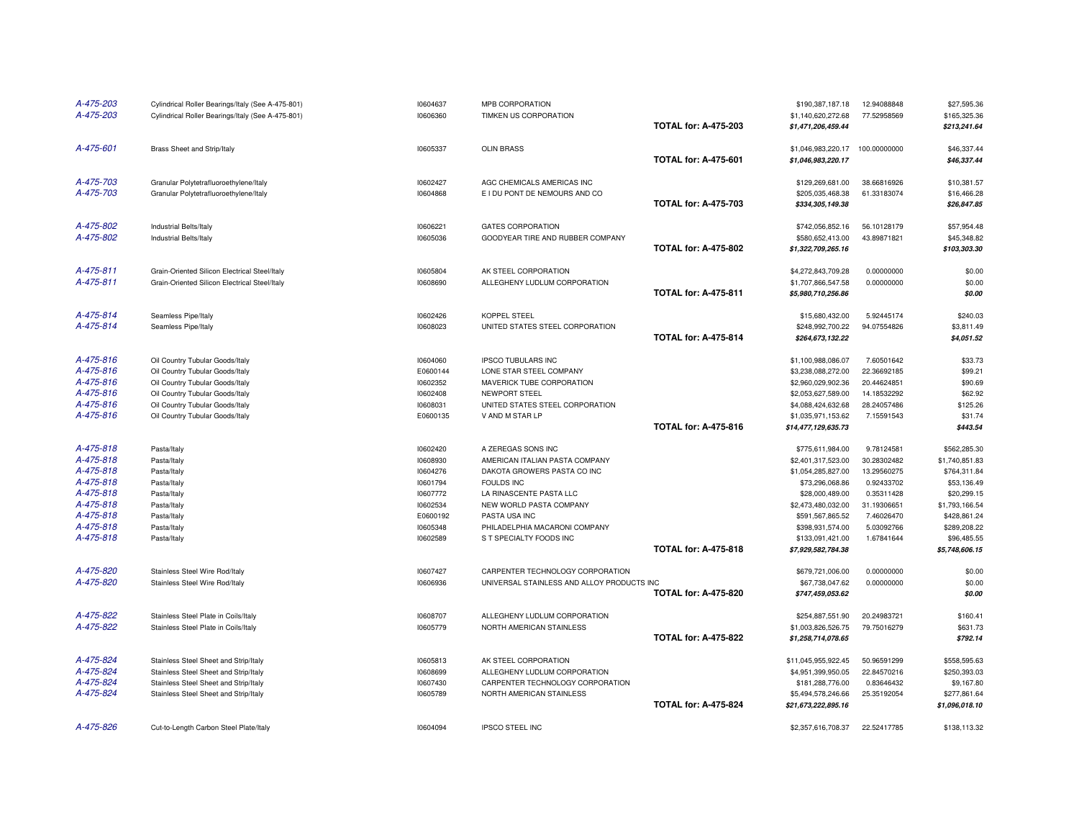| A-475-203<br>A-475-203 | Cylindrical Roller Bearings/Italy (See A-475-801)<br>Cylindrical Roller Bearings/Italy (See A-475-801) | 10604637<br>10606360 | MPB CORPORATION<br>TIMKEN US CORPORATION       | <b>TOTAL for: A-475-203</b> | \$190,387,187.18<br>\$1,140,620,272.68<br>\$1,471,206,459.44 | 12.94088848<br>77.52958569 | \$27,595.36<br>\$165,325.36<br>\$213,241.64 |
|------------------------|--------------------------------------------------------------------------------------------------------|----------------------|------------------------------------------------|-----------------------------|--------------------------------------------------------------|----------------------------|---------------------------------------------|
| A-475-601              | Brass Sheet and Strip/Italy                                                                            | 10605337             | <b>OLIN BRASS</b>                              | <b>TOTAL for: A-475-601</b> | \$1,046,983,220.17<br>\$1,046,983,220.17                     | 100.00000000               | \$46,337.44<br>\$46,337.44                  |
| A-475-703              | Granular Polytetrafluoroethylene/Italy                                                                 | 10602427             | AGC CHEMICALS AMERICAS INC                     |                             | \$129,269,681.00                                             | 38.66816926                | \$10,381.57                                 |
| A-475-703              | Granular Polytetrafluoroethylene/Italy                                                                 | 10604868             | E I DU PONT DE NEMOURS AND CO                  | <b>TOTAL for: A-475-703</b> | \$205,035,468.38<br>\$334,305,149.38                         | 61.33183074                | \$16,466.28<br>\$26,847.85                  |
| A-475-802              | Industrial Belts/Italy                                                                                 | 10606221             | <b>GATES CORPORATION</b>                       |                             | \$742,056,852.16                                             | 56.10128179                | \$57,954.48                                 |
| A-475-802              | Industrial Belts/Italy                                                                                 | 10605036             | GOODYEAR TIRE AND RUBBER COMPANY               | <b>TOTAL for: A-475-802</b> | \$580,652,413.00<br>\$1,322,709,265.16                       | 43.89871821                | \$45,348.82<br>\$103,303.30                 |
| A-475-811              | Grain-Oriented Silicon Electrical Steel/Italy                                                          | 10605804             | AK STEEL CORPORATION                           |                             | \$4,272,843,709.28                                           | 0.00000000                 | \$0.00                                      |
| A-475-811              | Grain-Oriented Silicon Electrical Steel/Italy                                                          | 10608690             | ALLEGHENY LUDLUM CORPORATION                   |                             | \$1,707,866,547.58                                           | 0.00000000                 | \$0.00                                      |
|                        |                                                                                                        |                      |                                                | <b>TOTAL for: A-475-811</b> | \$5,980,710,256.86                                           |                            | \$0.00                                      |
| A-475-814              | Seamless Pipe/Italy                                                                                    | 10602426             | KOPPEL STEEL                                   |                             | \$15,680,432.00                                              | 5.92445174                 | \$240.03                                    |
| A-475-814              | Seamless Pipe/Italy                                                                                    | 10608023             | UNITED STATES STEEL CORPORATION                | <b>TOTAL for: A-475-814</b> | \$248,992,700.22<br>\$264,673,132.22                         | 94.07554826                | \$3,811.49<br>\$4,051.52                    |
| A-475-816              | Oil Country Tubular Goods/Italy                                                                        | 10604060             | IPSCO TUBULARS INC                             |                             | \$1,100,988,086.07                                           | 7.60501642                 | \$33.73                                     |
| A-475-816              | Oil Country Tubular Goods/Italy                                                                        | E0600144             | LONE STAR STEEL COMPANY                        |                             | \$3,238,088,272.00                                           | 22.36692185                | \$99.21                                     |
| A-475-816              | Oil Country Tubular Goods/Italy                                                                        | 10602352             | MAVERICK TUBE CORPORATION                      |                             | \$2,960,029,902.36                                           | 20.44624851                | \$90.69                                     |
| A-475-816              | Oil Country Tubular Goods/Italy                                                                        | 10602408             | NEWPORT STEEL                                  |                             | \$2,053,627,589.00                                           | 14.18532292                | \$62.92                                     |
| A-475-816              | Oil Country Tubular Goods/Italy                                                                        | 10608031             | UNITED STATES STEEL CORPORATION                |                             | \$4,088,424,632.68                                           | 28.24057486                | \$125.26                                    |
| A-475-816              | Oil Country Tubular Goods/Italy                                                                        | E0600135             | V AND M STAR LP                                |                             | \$1,035,971,153.62                                           | 7.15591543                 | \$31.74                                     |
|                        |                                                                                                        |                      |                                                | <b>TOTAL for: A-475-816</b> | \$14,477,129,635.73                                          |                            | \$443.54                                    |
| A-475-818              | Pasta/Italy                                                                                            | 10602420             | A ZEREGAS SONS INC                             |                             | \$775,611,984.00                                             | 9.78124581                 | \$562,285.30                                |
| A-475-818              | Pasta/Italy                                                                                            | 10608930             | AMERICAN ITALIAN PASTA COMPANY                 |                             | \$2,401,317,523.00                                           | 30.28302482                | \$1,740,851.83                              |
| A-475-818              | Pasta/Italy                                                                                            | 10604276             | DAKOTA GROWERS PASTA CO INC                    |                             | \$1,054,285,827.00                                           | 13.29560275                | \$764,311.84                                |
| A-475-818              | Pasta/Italy                                                                                            | 10601794             | <b>FOULDS INC</b>                              |                             | \$73,296,068.86                                              | 0.92433702                 | \$53,136.49                                 |
| A-475-818              | Pasta/Italy                                                                                            | 10607772             | LA RINASCENTE PASTA LLC                        |                             | \$28,000,489.00                                              | 0.35311428                 | \$20,299.15                                 |
| A-475-818              | Pasta/Italy                                                                                            | 10602534             | NEW WORLD PASTA COMPANY                        |                             | \$2,473,480,032.00                                           | 31.19306651                | \$1,793,166.54                              |
| A-475-818<br>A-475-818 | Pasta/Italy<br>Pasta/Italy                                                                             | E0600192<br>10605348 | PASTA USA INC<br>PHILADELPHIA MACARONI COMPANY |                             | \$591,567,865.52<br>\$398,931,574.00                         | 7.46026470<br>5.03092766   | \$428,861.24<br>\$289,208.22                |
| A-475-818              | Pasta/Italy                                                                                            | 10602589             | S T SPECIALTY FOODS INC                        |                             | \$133,091,421.00                                             | 1.67841644                 | \$96,485.55                                 |
|                        |                                                                                                        |                      |                                                | <b>TOTAL for: A-475-818</b> | \$7,929,582,784.38                                           |                            | \$5,748,606.15                              |
| A-475-820              | Stainless Steel Wire Rod/Italy                                                                         | 10607427             | CARPENTER TECHNOLOGY CORPORATION               |                             | \$679,721,006.00                                             | 0.00000000                 | \$0.00                                      |
| A-475-820              | Stainless Steel Wire Rod/Italy                                                                         | 10606936             | UNIVERSAL STAINLESS AND ALLOY PRODUCTS INC     |                             | \$67,738,047.62                                              | 0.00000000                 | \$0.00                                      |
|                        |                                                                                                        |                      |                                                | <b>TOTAL for: A-475-820</b> | \$747,459,053.62                                             |                            | \$0.00                                      |
| A-475-822              | Stainless Steel Plate in Coils/Italy                                                                   | 10608707             | ALLEGHENY LUDLUM CORPORATION                   |                             | \$254,887,551.90                                             | 20.24983721                | \$160.41                                    |
| A-475-822              | Stainless Steel Plate in Coils/Italy                                                                   | 10605779             | NORTH AMERICAN STAINLESS                       |                             | \$1,003,826,526.75                                           | 79.75016279                | \$631.73                                    |
|                        |                                                                                                        |                      |                                                | <b>TOTAL for: A-475-822</b> | \$1,258,714,078.65                                           |                            | \$792.14                                    |
| A-475-824              | Stainless Steel Sheet and Strip/Italy                                                                  | 10605813             | AK STEEL CORPORATION                           |                             | \$11,045,955,922.45                                          | 50.96591299                | \$558,595.63                                |
| A-475-824              | Stainless Steel Sheet and Strip/Italy                                                                  | 10608699             | ALLEGHENY LUDLUM CORPORATION                   |                             | \$4,951,399,950.05                                           | 22.84570216                | \$250,393.03                                |
| A-475-824              | Stainless Steel Sheet and Strip/Italy                                                                  | 10607430             | CARPENTER TECHNOLOGY CORPORATION               |                             | \$181,288,776.00                                             | 0.83646432                 | \$9,167.80                                  |
| A-475-824              | Stainless Steel Sheet and Strip/Italy                                                                  | 10605789             | NORTH AMERICAN STAINLESS                       |                             | \$5,494,578,246.66                                           | 25.35192054                | \$277,861.64                                |
|                        |                                                                                                        |                      |                                                | <b>TOTAL for: A-475-824</b> | \$21,673,222,895.16                                          |                            | \$1,096,018.10                              |
| A-475-826              | Cut-to-Length Carbon Steel Plate/Italy                                                                 | 10604094             | <b>IPSCO STEEL INC</b>                         |                             | \$2,357,616,708.37                                           | 22.52417785                | \$138,113.32                                |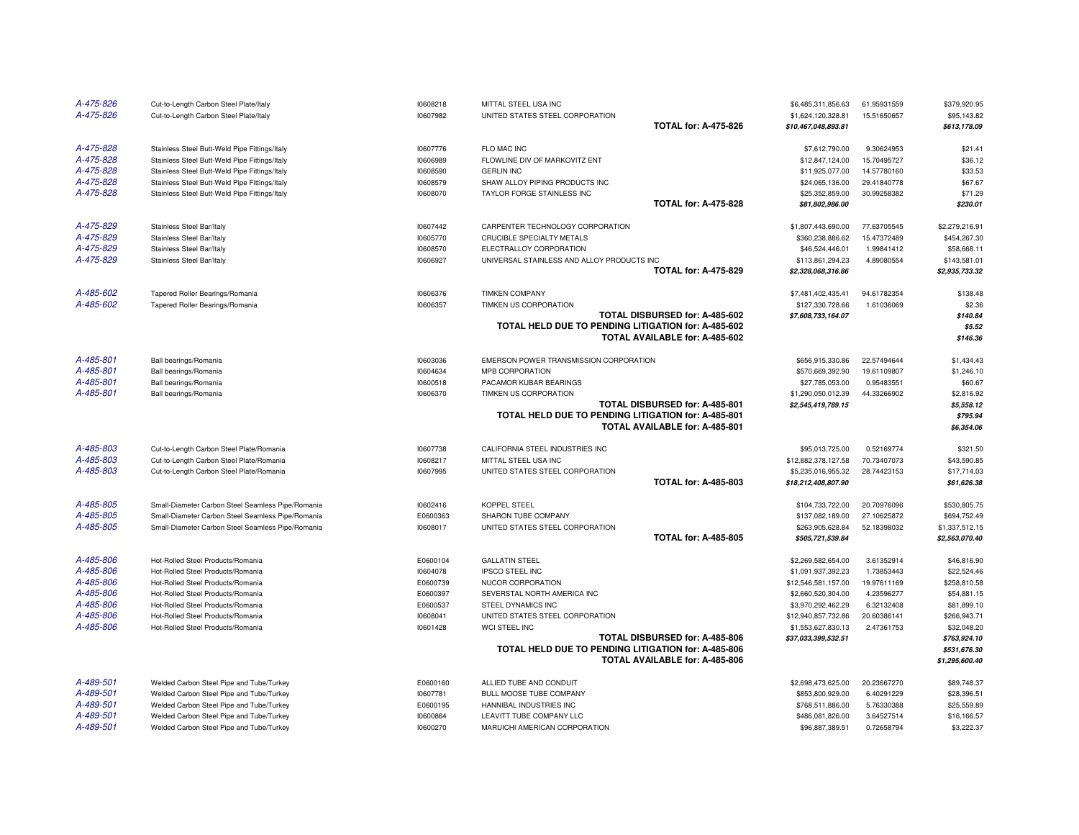| A-475-826              | Cut-to-Length Carbon Steel Plate/Italy                                               | 10608218             | MITTAL STEEL USA INC                                                                  | \$6,485,311,856.63                  | 61.95931559              | \$379,920.95                   |
|------------------------|--------------------------------------------------------------------------------------|----------------------|---------------------------------------------------------------------------------------|-------------------------------------|--------------------------|--------------------------------|
| A-475-826              | Cut-to-Length Carbon Steel Plate/Italy                                               | 10607982             | UNITED STATES STEEL CORPORATION                                                       | \$1,624,120,328.81                  | 15.51650657              | \$95,143.82                    |
|                        |                                                                                      |                      | <b>TOTAL for: A-475-826</b>                                                           | \$10,467,048,893.81                 |                          | \$613,178.09                   |
| A-475-828              | Stainless Steel Butt-Weld Pipe Fittings/Italy                                        | 10607776             | FLO MAC INC                                                                           | \$7,612,790.00                      | 9.30624953               | \$21.41                        |
| A-475-828              | Stainless Steel Butt-Weld Pipe Fittings/Italy                                        | 10606989             | FLOWLINE DIV OF MARKOVITZ ENT                                                         | \$12,847,124.00                     | 15.70495727              | \$36.12                        |
| A-475-828              | Stainless Steel Butt-Weld Pipe Fittings/Italy                                        | 10608590             | <b>GERLIN INC</b>                                                                     | \$11,925,077.00                     | 14.57780160              | \$33.53                        |
| A-475-828              | Stainless Steel Butt-Weld Pipe Fittings/Italy                                        | 10608579             | SHAW ALLOY PIPING PRODUCTS INC                                                        | \$24,065,136.00                     | 29.41840778              | \$67.67                        |
| A-475-828              | Stainless Steel Butt-Weld Pipe Fittings/Italy                                        | 10608070             | TAYLOR FORGE STAINLESS INC                                                            | \$25,352,859.00                     | 30.99258382              | \$71.29                        |
|                        |                                                                                      |                      | <b>TOTAL for: A-475-828</b>                                                           | \$81,802,986.00                     |                          | \$230.01                       |
| A-475-829              | Stainless Steel Bar/Italy                                                            | 10607442             | CARPENTER TECHNOLOGY CORPORATION                                                      | \$1,807,443,690.00                  | 77.63705545              | \$2,279,216.91                 |
| A-475-829              | Stainless Steel Bar/Italy                                                            | 10605770             | CRUCIBLE SPECIALTY METALS                                                             | \$360,238,886.62                    | 15.47372489              | \$454,267.30                   |
| A-475-829              | Stainless Steel Bar/Italy                                                            | 10608570             | ELECTRALLOY CORPORATION                                                               | \$46,524,446.01                     | 1.99841412               | \$58,668.11                    |
| A-475-829              | Stainless Steel Bar/Italy                                                            | 10606927             | UNIVERSAL STAINLESS AND ALLOY PRODUCTS INC                                            | \$113,861,294.23                    | 4.89080554               | \$143,581.01                   |
|                        |                                                                                      |                      | <b>TOTAL for: A-475-829</b>                                                           | \$2,328,068,316.86                  |                          | \$2,935,733.32                 |
| A-485-602              | Tapered Roller Bearings/Romania                                                      | 10606376             | <b>TIMKEN COMPANY</b>                                                                 | \$7,481,402,435.41                  | 94.61782354              | \$138.48                       |
| A-485-602              | Tapered Roller Bearings/Romania                                                      | 10606357             | TIMKEN US CORPORATION                                                                 | \$127,330,728.66                    | 1.61036069               | \$2.36                         |
|                        |                                                                                      |                      | TOTAL DISBURSED for: A-485-602                                                        | \$7,608,733,164.07                  |                          | \$140.84                       |
|                        |                                                                                      |                      | TOTAL HELD DUE TO PENDING LITIGATION for: A-485-602                                   |                                     |                          | \$5.52                         |
|                        |                                                                                      |                      | TOTAL AVAILABLE for: A-485-602                                                        |                                     |                          | \$146.36                       |
| A-485-801              | Ball bearings/Romania                                                                | 10603036             | EMERSON POWER TRANSMISSION CORPORATION                                                | \$656,915,330.86                    | 22.57494644              | \$1,434.43                     |
| A-485-801              | Ball bearings/Romania                                                                | 10604634             | MPB CORPORATION                                                                       | \$570,669,392.90                    | 19.61109807              | \$1,246.10                     |
| A-485-801              | Ball bearings/Romania                                                                | 10600518             | PACAMOR KUBAR BEARINGS                                                                | \$27,785,053.00                     | 0.95483551               | \$60.67                        |
| A-485-801              | Ball bearings/Romania                                                                | 10606370             | TIMKEN US CORPORATION                                                                 | \$1,290,050,012.39                  | 44.33266902              | \$2,816.92                     |
|                        |                                                                                      |                      | TOTAL DISBURSED for: A-485-801                                                        | \$2,545,419,789.15                  |                          | \$5,558.12                     |
|                        |                                                                                      |                      | TOTAL HELD DUE TO PENDING LITIGATION for: A-485-801<br>TOTAL AVAILABLE for: A-485-801 |                                     |                          | \$795.94<br>\$6,354.06         |
|                        |                                                                                      |                      |                                                                                       |                                     |                          |                                |
| A-485-803              | Cut-to-Length Carbon Steel Plate/Romania                                             | 10607738             | CALIFORNIA STEEL INDUSTRIES INC                                                       | \$95,013,725.00                     | 0.52169774               | \$321.50                       |
| A-485-803              | Cut-to-Length Carbon Steel Plate/Romania                                             | 10608217             | MITTAL STEEL USA INC                                                                  | \$12,882,378,127.58                 | 70.73407073              | \$43,590.85                    |
| A-485-803              | Cut-to-Length Carbon Steel Plate/Romania                                             | 10607995             | UNITED STATES STEEL CORPORATION                                                       | \$5,235,016,955.32                  | 28.74423153              | \$17,714.03                    |
|                        |                                                                                      |                      | <b>TOTAL for: A-485-803</b>                                                           | \$18,212,408,807.90                 |                          | \$61,626.38                    |
| A-485-805              | Small-Diameter Carbon Steel Seamless Pipe/Romania                                    | 10602416             | KOPPEL STEEL                                                                          | \$104,733,722.00                    | 20.70976096              | \$530,805.75                   |
| A-485-805              | Small-Diameter Carbon Steel Seamless Pipe/Romania                                    | E0600363             | SHARON TUBE COMPANY                                                                   | \$137,082,189.00                    | 27.10625872              | \$694,752.49                   |
| A-485-805              | Small-Diameter Carbon Steel Seamless Pipe/Romania                                    | 10608017             | UNITED STATES STEEL CORPORATION                                                       | \$263,905,628.84                    | 52.18398032              | \$1,337,512.15                 |
|                        |                                                                                      |                      | <b>TOTAL for: A-485-805</b>                                                           | \$505,721,539.84                    |                          | \$2,563,070.40                 |
| A-485-806              | Hot-Rolled Steel Products/Romania                                                    | E0600104             | <b>GALLATIN STEEL</b>                                                                 | \$2,269,582,654.00                  | 3.61352914               | \$46,816.90                    |
| A-485-806              | Hot-Rolled Steel Products/Romania                                                    | 10604078             | <b>IPSCO STEEL INC</b>                                                                | \$1,091,937,392.23                  | 1.73853443               | \$22,524.46                    |
| A-485-806              | Hot-Rolled Steel Products/Romania                                                    | E0600739             | NUCOR CORPORATION                                                                     | \$12,546,581,157.00                 | 19.97611169              | \$258,810.58                   |
| A-485-806              | Hot-Rolled Steel Products/Romania                                                    | E0600397             | SEVERSTAL NORTH AMERICA INC                                                           | \$2,660,520,304.00                  | 4.23596277               | \$54,881.15                    |
| A-485-806              | Hot-Rolled Steel Products/Romania                                                    | E0600537             | STEEL DYNAMICS INC                                                                    | \$3,970,292,462.29                  | 6.32132408               | \$81,899.10                    |
| A-485-806              | Hot-Rolled Steel Products/Romania                                                    | 10608041             | UNITED STATES STEEL CORPORATION                                                       | \$12,940,857,732.86                 | 20.60386141              | \$266,943.71                   |
| A-485-806              | Hot-Rolled Steel Products/Romania                                                    | 10601428             | WCI STEEL INC                                                                         | \$1,553,627,830.13                  | 2.47361753               | \$32,048.20                    |
|                        |                                                                                      |                      | TOTAL DISBURSED for: A-485-806                                                        | \$37,033,399,532.51                 |                          | \$763,924.10                   |
|                        |                                                                                      |                      | TOTAL HELD DUE TO PENDING LITIGATION for: A-485-806<br>TOTAL AVAILABLE for: A-485-806 |                                     |                          | \$531,676.30<br>\$1,295,600.40 |
|                        |                                                                                      |                      |                                                                                       |                                     |                          |                                |
|                        |                                                                                      |                      |                                                                                       |                                     |                          |                                |
| A-489-501              | Welded Carbon Steel Pipe and Tube/Turkey                                             | E0600160             | ALLIED TUBE AND CONDUIT                                                               | \$2,698,473,625.00                  | 20.23667270              | \$89,748.37                    |
| A-489-501              | Welded Carbon Steel Pipe and Tube/Turkey                                             | 10607781             | BULL MOOSE TUBE COMPANY                                                               | \$853,800,929.00                    | 6.40291229               | \$28,396.51                    |
| A-489-501              | Welded Carbon Steel Pipe and Tube/Turkey                                             | E0600195             | HANNIBAL INDUSTRIES INC                                                               | \$768,511,886.00                    | 5.76330388               | \$25,559.89                    |
| A-489-501<br>A-489-501 | Welded Carbon Steel Pipe and Tube/Turkey<br>Welded Carbon Steel Pipe and Tube/Turkey | 10600864<br>10600270 | LEAVITT TUBE COMPANY LLC<br>MARUICHI AMERICAN CORPORATION                             | \$486,081,826.00<br>\$96,887,389.51 | 3.64527514<br>0.72658794 | \$16,166.57<br>\$3,222.37      |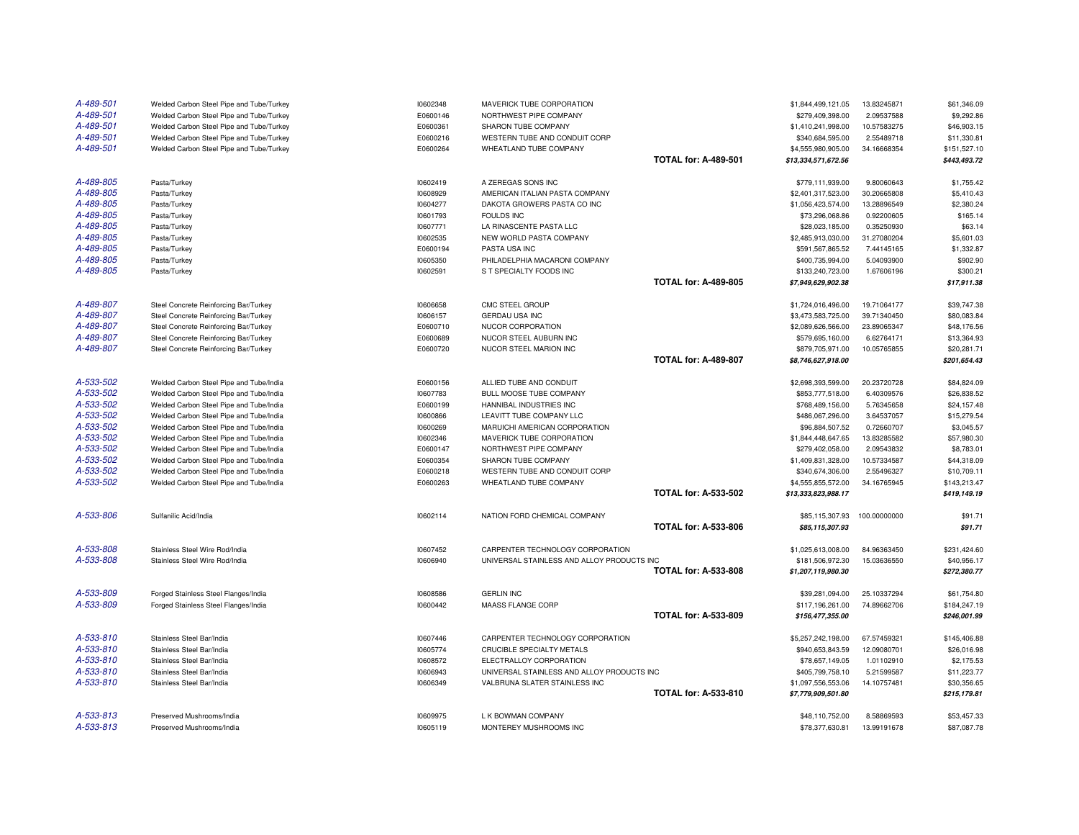| A-489-501 | Welded Carbon Steel Pipe and Tube/Turkey | 10602348 | MAVERICK TUBE CORPORATION                  |                             | \$1,844,499,121.05  | 13.83245871  | \$61,346.09  |
|-----------|------------------------------------------|----------|--------------------------------------------|-----------------------------|---------------------|--------------|--------------|
| A-489-501 | Welded Carbon Steel Pipe and Tube/Turkey | E0600146 | NORTHWEST PIPE COMPANY                     |                             | \$279,409,398.00    | 2.09537588   | \$9,292.86   |
| A-489-501 | Welded Carbon Steel Pipe and Tube/Turkey | E0600361 | SHARON TUBE COMPANY                        |                             | \$1,410,241,998.00  | 10.57583275  | \$46,903.15  |
| A-489-501 | Welded Carbon Steel Pipe and Tube/Turkey | E0600216 | WESTERN TUBE AND CONDUIT CORP              |                             | \$340,684,595.00    | 2.55489718   | \$11,330.81  |
| A-489-501 | Welded Carbon Steel Pipe and Tube/Turkey | E0600264 | WHEATLAND TUBE COMPANY                     |                             | \$4,555,980,905.00  | 34.16668354  | \$151,527.10 |
|           |                                          |          |                                            | <b>TOTAL for: A-489-501</b> | \$13,334,571,672.56 |              | \$443,493.72 |
| A-489-805 | Pasta/Turkey                             | 10602419 | A ZEREGAS SONS INC                         |                             | \$779,111,939.00    | 9.80060643   | \$1,755.42   |
| A-489-805 | Pasta/Turkey                             | 10608929 | AMERICAN ITALIAN PASTA COMPANY             |                             | \$2,401,317,523.00  | 30.20665808  | \$5,410.43   |
| A-489-805 | Pasta/Turkey                             | 10604277 | DAKOTA GROWERS PASTA CO INC                |                             | \$1,056,423,574.00  | 13.28896549  | \$2,380.24   |
| A-489-805 | Pasta/Turkey                             | 10601793 | <b>FOULDS INC</b>                          |                             | \$73,296,068.86     | 0.92200605   | \$165.14     |
| A-489-805 | Pasta/Turkey                             | 10607771 | LA RINASCENTE PASTA LLC                    |                             | \$28,023,185.00     | 0.35250930   | \$63.14      |
| A-489-805 | Pasta/Turkey                             | 10602535 | NEW WORLD PASTA COMPANY                    |                             | \$2,485,913,030.00  | 31.27080204  | \$5,601.03   |
| A-489-805 | Pasta/Turkey                             | E0600194 | PASTA USA INC                              |                             | \$591,567,865.52    | 7.44145165   | \$1,332.87   |
| A-489-805 | Pasta/Turkey                             | 10605350 | PHILADELPHIA MACARONI COMPANY              |                             | \$400,735,994.00    | 5.04093900   | \$902.90     |
| A-489-805 | Pasta/Turkey                             | 10602591 | S T SPECIALTY FOODS INC                    |                             | \$133,240,723.00    | 1.67606196   | \$300.21     |
|           |                                          |          |                                            | <b>TOTAL for: A-489-805</b> | \$7,949,629,902.38  |              | \$17,911.38  |
| A-489-807 | Steel Concrete Reinforcing Bar/Turkey    | 10606658 | CMC STEEL GROUP                            |                             | \$1,724,016,496.00  | 19.71064177  | \$39,747.38  |
| A-489-807 | Steel Concrete Reinforcing Bar/Turkey    | 10606157 | GERDAU USA INC                             |                             | \$3,473,583,725.00  | 39.71340450  | \$80,083.84  |
| A-489-807 | Steel Concrete Reinforcing Bar/Turkey    | E0600710 | NUCOR CORPORATION                          |                             | \$2,089,626,566.00  | 23.89065347  | \$48,176.56  |
| A-489-807 | Steel Concrete Reinforcing Bar/Turkey    | E0600689 | NUCOR STEEL AUBURN INC                     |                             | \$579,695,160.00    | 6.62764171   | \$13,364.93  |
| A-489-807 | Steel Concrete Reinforcing Bar/Turkey    | E0600720 | NUCOR STEEL MARION INC                     |                             | \$879,705,971.00    | 10.05765855  | \$20,281.71  |
|           |                                          |          |                                            | <b>TOTAL for: A-489-807</b> | \$8,746,627,918.00  |              | \$201,654.43 |
| A-533-502 | Welded Carbon Steel Pipe and Tube/India  | E0600156 | ALLIED TUBE AND CONDUIT                    |                             | \$2,698,393,599.00  | 20.23720728  | \$84,824.09  |
| A-533-502 | Welded Carbon Steel Pipe and Tube/India  | 10607783 | BULL MOOSE TUBE COMPANY                    |                             | \$853,777,518.00    | 6.40309576   | \$26,838.52  |
| A-533-502 | Welded Carbon Steel Pipe and Tube/India  | E0600199 | HANNIBAL INDUSTRIES INC                    |                             | \$768,489,156.00    | 5.76345658   | \$24,157.48  |
| A-533-502 | Welded Carbon Steel Pipe and Tube/India  | 10600866 | LEAVITT TUBE COMPANY LLC                   |                             | \$486,067,296.00    | 3.64537057   | \$15,279.54  |
| A-533-502 | Welded Carbon Steel Pipe and Tube/India  | 10600269 | MARUICHI AMERICAN CORPORATION              |                             | \$96,884,507.52     | 0.72660707   | \$3,045.57   |
| A-533-502 | Welded Carbon Steel Pipe and Tube/India  | 10602346 | MAVERICK TUBE CORPORATION                  |                             | \$1,844,448,647.65  | 13.83285582  | \$57,980.30  |
| A-533-502 | Welded Carbon Steel Pipe and Tube/India  | E0600147 | NORTHWEST PIPE COMPANY                     |                             | \$279,402,058.00    | 2.09543832   | \$8,783.01   |
| A-533-502 | Welded Carbon Steel Pipe and Tube/India  | E0600354 | SHARON TUBE COMPANY                        |                             | \$1,409,831,328.00  | 10.57334587  | \$44,318.09  |
| A-533-502 | Welded Carbon Steel Pipe and Tube/India  | E0600218 | WESTERN TUBE AND CONDUIT CORP              |                             | \$340,674,306.00    | 2.55496327   | \$10,709.11  |
| A-533-502 | Welded Carbon Steel Pipe and Tube/India  | E0600263 | WHEATLAND TUBE COMPANY                     |                             | \$4,555,855,572.00  | 34.16765945  | \$143,213.47 |
|           |                                          |          |                                            | <b>TOTAL for: A-533-502</b> | \$13,333,823,988.17 |              | \$419,149.19 |
| A-533-806 | Sulfanilic Acid/India                    | 10602114 | NATION FORD CHEMICAL COMPANY               |                             | \$85,115,307.93     | 100.00000000 | \$91.71      |
|           |                                          |          |                                            | <b>TOTAL for: A-533-806</b> | \$85,115,307.93     |              | \$91.71      |
| A-533-808 | Stainless Steel Wire Rod/India           | 10607452 | CARPENTER TECHNOLOGY CORPORATION           |                             | \$1,025,613,008.00  | 84.96363450  | \$231,424.60 |
| A-533-808 | Stainless Steel Wire Rod/India           | 10606940 | UNIVERSAL STAINLESS AND ALLOY PRODUCTS INC |                             | \$181,506,972.30    | 15.03636550  | \$40,956.17  |
|           |                                          |          |                                            | <b>TOTAL for: A-533-808</b> | \$1,207,119,980.30  |              | \$272,380.77 |
| A-533-809 | Forged Stainless Steel Flanges/India     | 10608586 | <b>GERLIN INC</b>                          |                             | \$39,281,094.00     | 25.10337294  | \$61,754.80  |
| A-533-809 | Forged Stainless Steel Flanges/India     | 10600442 | MAASS FLANGE CORP                          |                             | \$117,196,261.00    | 74.89662706  | \$184,247.19 |
|           |                                          |          |                                            | <b>TOTAL for: A-533-809</b> | \$156,477,355.00    |              | \$246,001.99 |
| A-533-810 | Stainless Steel Bar/India                | 10607446 | CARPENTER TECHNOLOGY CORPORATION           |                             | \$5,257,242,198.00  | 67.57459321  | \$145,406.88 |
| A-533-810 | Stainless Steel Bar/India                | 10605774 | CRUCIBLE SPECIALTY METALS                  |                             | \$940,653,843.59    | 12.09080701  | \$26,016.98  |
| A-533-810 | Stainless Steel Bar/India                | 10608572 | ELECTRALLOY CORPORATION                    |                             | \$78,657,149.05     | 1.01102910   | \$2,175.53   |
| A-533-810 | Stainless Steel Bar/India                | 10606943 | UNIVERSAL STAINLESS AND ALLOY PRODUCTS INC |                             | \$405,799,758.10    | 5.21599587   | \$11,223.77  |
| A-533-810 | Stainless Steel Bar/India                | 10606349 | VALBRUNA SLATER STAINLESS INC              |                             | \$1,097,556,553.06  | 14.10757481  | \$30,356.65  |
|           |                                          |          |                                            | <b>TOTAL for: A-533-810</b> | \$7,779,909,501.80  |              | \$215,179.81 |
| A-533-813 | Preserved Mushrooms/India                | 10609975 | L K BOWMAN COMPANY                         |                             | \$48.110.752.00     | 8.58869593   | \$53,457,33  |
| A-533-813 | Preserved Mushrooms/India                | 10605119 | MONTEREY MUSHROOMS INC                     |                             | \$78,377,630.81     | 13.99191678  | \$87,087.78  |
|           |                                          |          |                                            |                             |                     |              |              |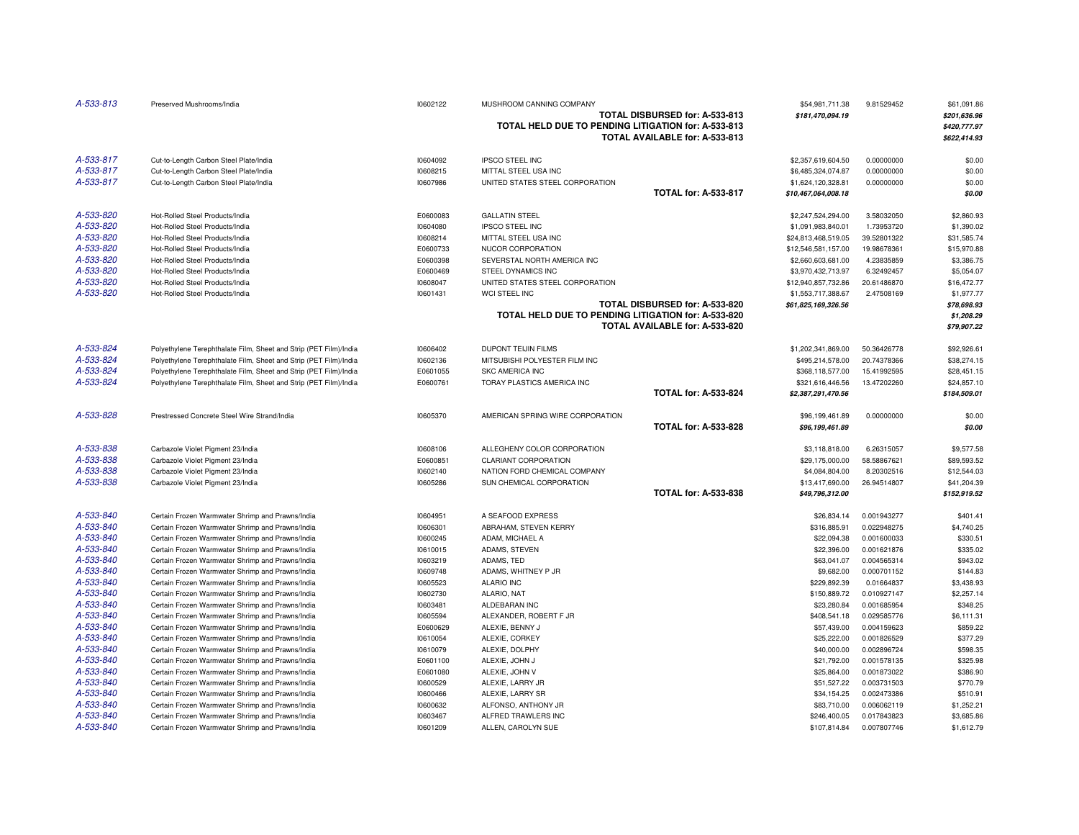| A-533-813 | Preserved Mushrooms/India                                         | 10602122 | MUSHROOM CANNING COMPANY<br>TOTAL HELD DUE TO PENDING LITIGATION for: A-533-813 | TOTAL DISBURSED for: A-533-813<br>TOTAL AVAILABLE for: A-533-813 | \$54,981,711.38<br>\$181,470,094.19 | 9.81529452  | \$61,091.86<br>\$201,636.96<br>\$420,777.97<br>\$622,414.93 |
|-----------|-------------------------------------------------------------------|----------|---------------------------------------------------------------------------------|------------------------------------------------------------------|-------------------------------------|-------------|-------------------------------------------------------------|
| A-533-817 | Cut-to-Length Carbon Steel Plate/India                            | 10604092 | <b>IPSCO STEEL INC</b>                                                          |                                                                  | \$2,357,619,604.50                  | 0.00000000  | \$0.00                                                      |
| A-533-817 | Cut-to-Length Carbon Steel Plate/India                            | 10608215 | MITTAL STEEL USA INC                                                            |                                                                  | \$6,485,324,074.87                  | 0.00000000  | \$0.00                                                      |
| A-533-817 | Cut-to-Length Carbon Steel Plate/India                            | 10607986 | UNITED STATES STEEL CORPORATION                                                 |                                                                  | \$1,624,120,328.81                  | 0.00000000  | \$0.00                                                      |
|           |                                                                   |          |                                                                                 | <b>TOTAL for: A-533-817</b>                                      | \$10,467,064,008.18                 |             | \$0.00                                                      |
| A-533-820 | Hot-Rolled Steel Products/India                                   | E0600083 | <b>GALLATIN STEEL</b>                                                           |                                                                  | \$2,247,524,294.00                  | 3.58032050  | \$2,860.93                                                  |
| A-533-820 | Hot-Rolled Steel Products/India                                   | 10604080 | <b>IPSCO STEEL INC</b>                                                          |                                                                  | \$1,091,983,840.01                  | 1.73953720  | \$1,390.02                                                  |
| A-533-820 | Hot-Rolled Steel Products/India                                   | 10608214 | MITTAL STEEL USA INC                                                            |                                                                  | \$24,813,468,519.05                 | 39.52801322 | \$31,585.74                                                 |
| A-533-820 | Hot-Rolled Steel Products/India                                   | E0600733 | NUCOR CORPORATION                                                               |                                                                  | \$12,546,581,157.00                 | 19.98678361 | \$15,970.88                                                 |
| A-533-820 | Hot-Rolled Steel Products/India                                   | E0600398 | SEVERSTAL NORTH AMERICA INC                                                     |                                                                  | \$2,660,603,681.00                  | 4.23835859  | \$3,386.75                                                  |
| A-533-820 | Hot-Rolled Steel Products/India                                   | E0600469 | STEEL DYNAMICS INC                                                              |                                                                  | \$3,970,432,713.97                  | 6.32492457  | \$5,054.07                                                  |
| A-533-820 | Hot-Rolled Steel Products/India                                   | 10608047 | UNITED STATES STEEL CORPORATION                                                 |                                                                  | \$12,940,857,732.86                 | 20.61486870 | \$16,472.77                                                 |
| A-533-820 | Hot-Rolled Steel Products/India                                   | 10601431 | WCI STEEL INC                                                                   |                                                                  | \$1,553,717,388.67                  | 2.47508169  | \$1,977.77                                                  |
|           |                                                                   |          |                                                                                 | TOTAL DISBURSED for: A-533-820                                   | \$61,825,169,326.56                 |             | \$78,698.93                                                 |
|           |                                                                   |          | TOTAL HELD DUE TO PENDING LITIGATION for: A-533-820                             | TOTAL AVAILABLE for: A-533-820                                   |                                     |             | \$1,208.29<br>\$79,907.22                                   |
| A-533-824 | Polyethylene Terephthalate Film, Sheet and Strip (PET Film)/India | 10606402 | <b>DUPONT TEIJIN FILMS</b>                                                      |                                                                  | \$1,202,341,869.00                  | 50.36426778 | \$92,926.61                                                 |
| A-533-824 | Polyethylene Terephthalate Film, Sheet and Strip (PET Film)/India | 10602136 | MITSUBISHI POLYESTER FILM INC                                                   |                                                                  | \$495,214,578.00                    | 20.74378366 | \$38,274.15                                                 |
| A-533-824 | Polyethylene Terephthalate Film, Sheet and Strip (PET Film)/India | E0601055 | <b>SKC AMERICA INC</b>                                                          |                                                                  | \$368,118,577.00                    | 15.41992595 | \$28,451.15                                                 |
| A-533-824 | Polyethylene Terephthalate Film, Sheet and Strip (PET Film)/India | E0600761 | TORAY PLASTICS AMERICA INC                                                      |                                                                  | \$321,616,446.56                    | 13.47202260 | \$24,857.10                                                 |
|           |                                                                   |          |                                                                                 | <b>TOTAL for: A-533-824</b>                                      | \$2,387,291,470.56                  |             | \$184,509.01                                                |
| A-533-828 | Prestressed Concrete Steel Wire Strand/India                      | 10605370 | AMERICAN SPRING WIRE CORPORATION                                                |                                                                  | \$96,199,461.89                     | 0.00000000  | \$0.00                                                      |
|           |                                                                   |          |                                                                                 | <b>TOTAL for: A-533-828</b>                                      | \$96,199,461.89                     |             | \$0.00                                                      |
| A-533-838 | Carbazole Violet Pigment 23/India                                 | 10608106 | ALLEGHENY COLOR CORPORATION                                                     |                                                                  | \$3,118,818.00                      | 6.26315057  | \$9,577.58                                                  |
| A-533-838 | Carbazole Violet Pigment 23/India                                 | E0600851 | <b>CLARIANT CORPORATION</b>                                                     |                                                                  | \$29,175,000.00                     | 58.58867621 | \$89,593.52                                                 |
| A-533-838 | Carbazole Violet Pigment 23/India                                 | 10602140 | NATION FORD CHEMICAL COMPANY                                                    |                                                                  | \$4,084,804.00                      | 8.20302516  | \$12,544.03                                                 |
| A-533-838 | Carbazole Violet Pigment 23/India                                 | 10605286 | SUN CHEMICAL CORPORATION                                                        |                                                                  | \$13,417,690.00                     | 26.94514807 | \$41,204.39                                                 |
|           |                                                                   |          |                                                                                 | <b>TOTAL for: A-533-838</b>                                      | \$49,796,312.00                     |             | \$152,919.52                                                |
| A-533-840 | Certain Frozen Warmwater Shrimp and Prawns/India                  | 10604951 | A SEAFOOD EXPRESS                                                               |                                                                  | \$26,834.14                         | 0.001943277 | \$401.41                                                    |
| A-533-840 | Certain Frozen Warmwater Shrimp and Prawns/India                  | 10606301 | ABRAHAM, STEVEN KERRY                                                           |                                                                  | \$316,885.91                        | 0.022948275 | \$4,740.25                                                  |
| A-533-840 | Certain Frozen Warmwater Shrimp and Prawns/India                  | 10600245 | ADAM, MICHAEL A                                                                 |                                                                  | \$22,094.38                         | 0.001600033 | \$330.51                                                    |
| A-533-840 | Certain Frozen Warmwater Shrimp and Prawns/India                  | 10610015 | ADAMS, STEVEN                                                                   |                                                                  | \$22,396.00                         | 0.001621876 | \$335.02                                                    |
| A-533-840 | Certain Frozen Warmwater Shrimp and Prawns/India                  | 10603219 | ADAMS, TED                                                                      |                                                                  | \$63,041.07                         | 0.004565314 | \$943.02                                                    |
| A-533-840 | Certain Frozen Warmwater Shrimp and Prawns/India                  | 10609748 | ADAMS, WHITNEY P JR                                                             |                                                                  | \$9,682.00                          | 0.000701152 | \$144.83                                                    |
| A-533-840 | Certain Frozen Warmwater Shrimp and Prawns/India                  | 10605523 | <b>ALARIO INC</b>                                                               |                                                                  | \$229,892.39                        | 0.01664837  | \$3,438.93                                                  |
| A-533-840 | Certain Frozen Warmwater Shrimp and Prawns/India                  | 10602730 | ALARIO, NAT                                                                     |                                                                  | \$150,889.72                        | 0.010927147 | \$2,257.14                                                  |
| A-533-840 | Certain Frozen Warmwater Shrimp and Prawns/India                  | 10603481 | ALDEBARAN INC                                                                   |                                                                  | \$23,280.84                         | 0.001685954 | \$348.25                                                    |
| A-533-840 | Certain Frozen Warmwater Shrimp and Prawns/India                  | 10605594 | ALEXANDER, ROBERT F JR                                                          |                                                                  | \$408,541.18                        | 0.029585776 | \$6,111.31                                                  |
| A-533-840 | Certain Frozen Warmwater Shrimp and Prawns/India                  | E0600629 | ALEXIE, BENNY J                                                                 |                                                                  | \$57,439.00                         | 0.004159623 | \$859.22                                                    |
| A-533-840 | Certain Frozen Warmwater Shrimp and Prawns/India                  | 10610054 | ALEXIE, CORKEY                                                                  |                                                                  | \$25,222.00                         | 0.001826529 | \$377.29                                                    |
| A-533-840 | Certain Frozen Warmwater Shrimp and Prawns/India                  | 10610079 | ALEXIE, DOLPHY                                                                  |                                                                  | \$40,000.00                         | 0.002896724 | \$598.35                                                    |
| A-533-840 | Certain Frozen Warmwater Shrimp and Prawns/India                  | E0601100 | ALEXIE, JOHN J                                                                  |                                                                  | \$21,792.00                         | 0.001578135 | \$325.98                                                    |
| A-533-840 | Certain Frozen Warmwater Shrimp and Prawns/India                  | E0601080 | ALEXIE, JOHN V                                                                  |                                                                  | \$25,864.00                         | 0.001873022 | \$386.90                                                    |
| A-533-840 | Certain Frozen Warmwater Shrimp and Prawns/India                  | 10600529 | ALEXIE, LARRY JR                                                                |                                                                  | \$51,527.22                         | 0.003731503 | \$770.79                                                    |
| A-533-840 | Certain Frozen Warmwater Shrimp and Prawns/India                  | 10600466 | ALEXIE, LARRY SR                                                                |                                                                  | \$34,154.25                         | 0.002473386 | \$510.91                                                    |
| A-533-840 | Certain Frozen Warmwater Shrimp and Prawns/India                  | 10600632 | ALFONSO, ANTHONY JR                                                             |                                                                  | \$83,710.00                         | 0.006062119 | \$1,252.21                                                  |
| A-533-840 | Certain Frozen Warmwater Shrimp and Prawns/India                  | 10603467 | ALFRED TRAWLERS INC                                                             |                                                                  | \$246,400.05                        | 0.017843823 | \$3,685.86                                                  |
| A-533-840 | Certain Frozen Warmwater Shrimp and Prawns/India                  | 10601209 | ALLEN, CAROLYN SUE                                                              |                                                                  | \$107,814.84                        | 0.007807746 | \$1,612.79                                                  |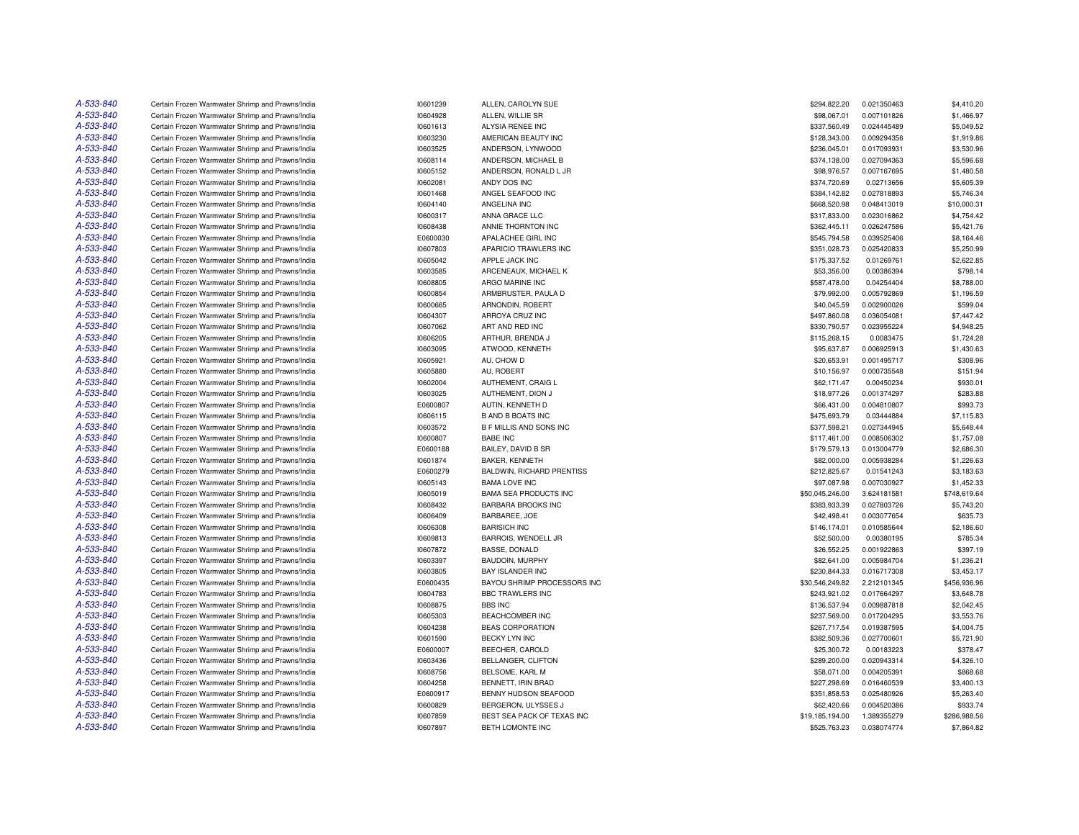| A-533-840 | Certain Frozen Warmwater Shrimp and Prawns/India | 10601239             | ALLEN, CAROLYN SUE             | \$294,822.20    | 0.021350463 | \$4,410.20               |
|-----------|--------------------------------------------------|----------------------|--------------------------------|-----------------|-------------|--------------------------|
| A-533-840 | Certain Frozen Warmwater Shrimp and Prawns/India | 10604928             | ALLEN, WILLIE SR               | \$98,067.01     | 0.007101826 | \$1,466.97               |
| A-533-840 | Certain Frozen Warmwater Shrimp and Prawns/India | 10601613             | ALYSIA RENEE INC               | \$337,560.49    | 0.024445489 | \$5,049.52               |
| A-533-840 | Certain Frozen Warmwater Shrimp and Prawns/India | 10603230             | AMERICAN BEAUTY INC            | \$128,343.00    | 0.009294356 | \$1,919.86               |
| A-533-840 | Certain Frozen Warmwater Shrimp and Prawns/India | 10603525             | ANDERSON, LYNWOOD              | \$236,045.01    | 0.017093931 | \$3,530.96               |
| A-533-840 | Certain Frozen Warmwater Shrimp and Prawns/India | 10608114             | ANDERSON, MICHAEL B            | \$374,138.00    | 0.027094363 | \$5,596.68               |
| A-533-840 | Certain Frozen Warmwater Shrimp and Prawns/India | 10605152             | ANDERSON, RONALD L JR          | \$98,976.57     | 0.007167695 | \$1,480.58               |
| A-533-840 | Certain Frozen Warmwater Shrimp and Prawns/India | 10602081             | ANDY DOS INC                   | \$374,720.69    | 0.02713656  | \$5,605.39               |
| A-533-840 | Certain Frozen Warmwater Shrimp and Prawns/India | 10601468             | ANGEL SEAFOOD INC              | \$384,142.82    | 0.027818893 | \$5,746.34               |
| A-533-840 | Certain Frozen Warmwater Shrimp and Prawns/India | 10604140             | ANGELINA INC                   | \$668,520.98    | 0.048413019 | \$10,000.31              |
| A-533-840 | Certain Frozen Warmwater Shrimp and Prawns/India | 10600317             | ANNA GRACE LLC                 | \$317,833.00    | 0.023016862 | \$4,754.42               |
| A-533-840 | Certain Frozen Warmwater Shrimp and Prawns/India | 10608438             | ANNIE THORNTON INC             | \$362,445.11    | 0.026247586 | \$5,421.76               |
| A-533-840 | Certain Frozen Warmwater Shrimp and Prawns/India | E0600030             | APALACHEE GIRL INC             | \$545,794.58    | 0.039525406 | \$8,164.46               |
| A-533-840 | Certain Frozen Warmwater Shrimp and Prawns/India | 10607803             | APARICIO TRAWLERS INC          | \$351,028.73    | 0.025420833 | \$5,250.99               |
| A-533-840 | Certain Frozen Warmwater Shrimp and Prawns/India | 10605042             | APPLE JACK INC                 | \$175,337.52    | 0.01269761  | \$2,622.85               |
| A-533-840 | Certain Frozen Warmwater Shrimp and Prawns/India | 10603585             | ARCENEAUX, MICHAEL K           | \$53,356.00     | 0.00386394  | \$798.14                 |
| A-533-840 | Certain Frozen Warmwater Shrimp and Prawns/India | 10608805             | ARGO MARINE INC                | \$587,478.00    | 0.04254404  | \$8,788.00               |
| A-533-840 | Certain Frozen Warmwater Shrimp and Prawns/India | 10600854             | ARMBRUSTER, PAULA D            | \$79,992.00     | 0.005792869 | \$1,196.59               |
| A-533-840 | Certain Frozen Warmwater Shrimp and Prawns/India | 10600665             | ARNONDIN, ROBERT               | \$40,045.59     | 0.002900026 | \$599.04                 |
| A-533-840 | Certain Frozen Warmwater Shrimp and Prawns/India | 10604307             | ARROYA CRUZ INC                | \$497,860.08    | 0.036054081 | \$7,447.42               |
| A-533-840 | Certain Frozen Warmwater Shrimp and Prawns/India | 10607062             | ART AND RED INC                | \$330,790.57    | 0.023955224 | \$4,948.25               |
| A-533-840 | Certain Frozen Warmwater Shrimp and Prawns/India | 10606205             | ARTHUR, BRENDA J               | \$115,268.15    | 0.0083475   | \$1,724.28               |
| A-533-840 | Certain Frozen Warmwater Shrimp and Prawns/India | 10603095             | ATWOOD, KENNETH                | \$95,637.87     | 0.006925913 | \$1,430.63               |
| A-533-840 | Certain Frozen Warmwater Shrimp and Prawns/India | 10605921             | AU, CHOW D                     | \$20,653.91     | 0.001495717 | \$308.96                 |
| A-533-840 | Certain Frozen Warmwater Shrimp and Prawns/India | 10605880             | AU, ROBERT                     | \$10,156.97     | 0.000735548 | \$151.94                 |
| A-533-840 | Certain Frozen Warmwater Shrimp and Prawns/India | 10602004             | AUTHEMENT, CRAIG L             | \$62,171.47     | 0.00450234  | \$930.01                 |
| A-533-840 | Certain Frozen Warmwater Shrimp and Prawns/India | 10603025             | AUTHEMENT, DION J              | \$18,977.26     | 0.001374297 | \$283.88                 |
| A-533-840 | Certain Frozen Warmwater Shrimp and Prawns/India | E0600807             | AUTIN, KENNETH D               | \$66,431.00     | 0.004810807 | \$993.73                 |
| A-533-840 | Certain Frozen Warmwater Shrimp and Prawns/India | 10606115             | <b>B AND B BOATS INC</b>       | \$475,693.79    | 0.03444884  | \$7,115.83               |
| A-533-840 | Certain Frozen Warmwater Shrimp and Prawns/India | 10603572             | <b>B F MILLIS AND SONS INC</b> | \$377,598.21    | 0.027344945 | \$5,648.44               |
| A-533-840 | Certain Frozen Warmwater Shrimp and Prawns/India | 10600807             | <b>BABE INC</b>                | \$117,461.00    | 0.008506302 | \$1,757.08               |
| A-533-840 | Certain Frozen Warmwater Shrimp and Prawns/India | E0600188             | BAILEY, DAVID B SR             | \$179,579.13    | 0.013004779 | \$2,686.30               |
| A-533-840 |                                                  |                      | BAKER, KENNETH                 |                 | 0.005938284 |                          |
| A-533-840 | Certain Frozen Warmwater Shrimp and Prawns/India | 10601874<br>E0600279 |                                | \$82,000.00     |             | \$1,226.63               |
| A-533-840 | Certain Frozen Warmwater Shrimp and Prawns/India |                      | BALDWIN, RICHARD PRENTISS      | \$212,825.67    | 0.01541243  | \$3,183.63<br>\$1,452.33 |
| A-533-840 | Certain Frozen Warmwater Shrimp and Prawns/India | 10605143             | <b>BAMA LOVE INC</b>           | \$97,087.98     | 0.007030927 |                          |
| A-533-840 | Certain Frozen Warmwater Shrimp and Prawns/India | 10605019             | <b>BAMA SEA PRODUCTS INC</b>   | \$50,045,246.00 | 3.624181581 | \$748,619.64             |
|           | Certain Frozen Warmwater Shrimp and Prawns/India | 10608432             | <b>BARBARA BROOKS INC</b>      | \$383,933.39    | 0.027803726 | \$5,743.20               |
| A-533-840 | Certain Frozen Warmwater Shrimp and Prawns/India | 10606409             | BARBAREE, JOE                  | \$42,498.41     | 0.003077654 | \$635.73                 |
| A-533-840 | Certain Frozen Warmwater Shrimp and Prawns/India | 10606308             | <b>BARISICH INC</b>            | \$146,174.01    | 0.010585644 | \$2,186.60               |
| A-533-840 | Certain Frozen Warmwater Shrimp and Prawns/India | 10609813             | BARROIS, WENDELL JR            | \$52,500.00     | 0.00380195  | \$785.34                 |
| A-533-840 | Certain Frozen Warmwater Shrimp and Prawns/India | 10607872             | <b>BASSE, DONALD</b>           | \$26,552.25     | 0.001922863 | \$397.19                 |
| A-533-840 | Certain Frozen Warmwater Shrimp and Prawns/India | 10603397             | BAUDOIN, MURPHY                | \$82,641.00     | 0.005984704 | \$1,236.21               |
| A-533-840 | Certain Frozen Warmwater Shrimp and Prawns/India | 10603805             | <b>BAY ISLANDER INC</b>        | \$230,844.33    | 0.016717308 | \$3,453.17               |
| A-533-840 | Certain Frozen Warmwater Shrimp and Prawns/India | E0600435             | BAYOU SHRIMP PROCESSORS INC    | \$30,546,249.82 | 2.212101345 | \$456,936.96             |
| A-533-840 | Certain Frozen Warmwater Shrimp and Prawns/India | 10604783             | <b>BBC TRAWLERS INC</b>        | \$243,921.02    | 0.017664297 | \$3,648.78               |
| A-533-840 | Certain Frozen Warmwater Shrimp and Prawns/India | 10608875             | <b>BBS INC</b>                 | \$136,537.94    | 0.009887818 | \$2,042.45               |
| A-533-840 | Certain Frozen Warmwater Shrimp and Prawns/India | 10605303             | <b>BEACHCOMBER INC</b>         | \$237,569.00    | 0.017204295 | \$3,553.76               |
| A-533-840 | Certain Frozen Warmwater Shrimp and Prawns/India | 10604238             | <b>BEAS CORPORATION</b>        | \$267,717.54    | 0.019387595 | \$4,004.75               |
| A-533-840 | Certain Frozen Warmwater Shrimp and Prawns/India | 10601590             | <b>BECKY LYN INC</b>           | \$382,509.36    | 0.027700601 | \$5,721.90               |
| A-533-840 | Certain Frozen Warmwater Shrimp and Prawns/India | E0600007             | BEECHER, CAROLD                | \$25,300.72     | 0.00183223  | \$378.47                 |
| A-533-840 | Certain Frozen Warmwater Shrimp and Prawns/India | 10603436             | BELLANGER, CLIFTON             | \$289,200.00    | 0.020943314 | \$4,326.10               |
| A-533-840 | Certain Frozen Warmwater Shrimp and Prawns/India | 10608756             | BELSOME, KARL M                | \$58,071.00     | 0.004205391 | \$868.68                 |
| A-533-840 | Certain Frozen Warmwater Shrimp and Prawns/India | 10604258             | BENNETT, IRIN BRAD             | \$227,298.69    | 0.016460539 | \$3,400.13               |
| A-533-840 | Certain Frozen Warmwater Shrimp and Prawns/India | E0600917             | BENNY HUDSON SEAFOOD           | \$351,858.53    | 0.025480926 | \$5,263.40               |
| A-533-840 | Certain Frozen Warmwater Shrimp and Prawns/India | 10600829             | BERGERON, ULYSSES J            | \$62,420.66     | 0.004520386 | \$933.74                 |
| A-533-840 | Certain Frozen Warmwater Shrimp and Prawns/India | 10607859             | BEST SEA PACK OF TEXAS INC     | \$19,185,194.00 | 1.389355279 | \$286,988.56             |
| A-533-840 | Certain Frozen Warmwater Shrimp and Prawns/India | 10607897             | BETH LOMONTE INC               | \$525,763.23    | 0.038074774 | \$7,864.82               |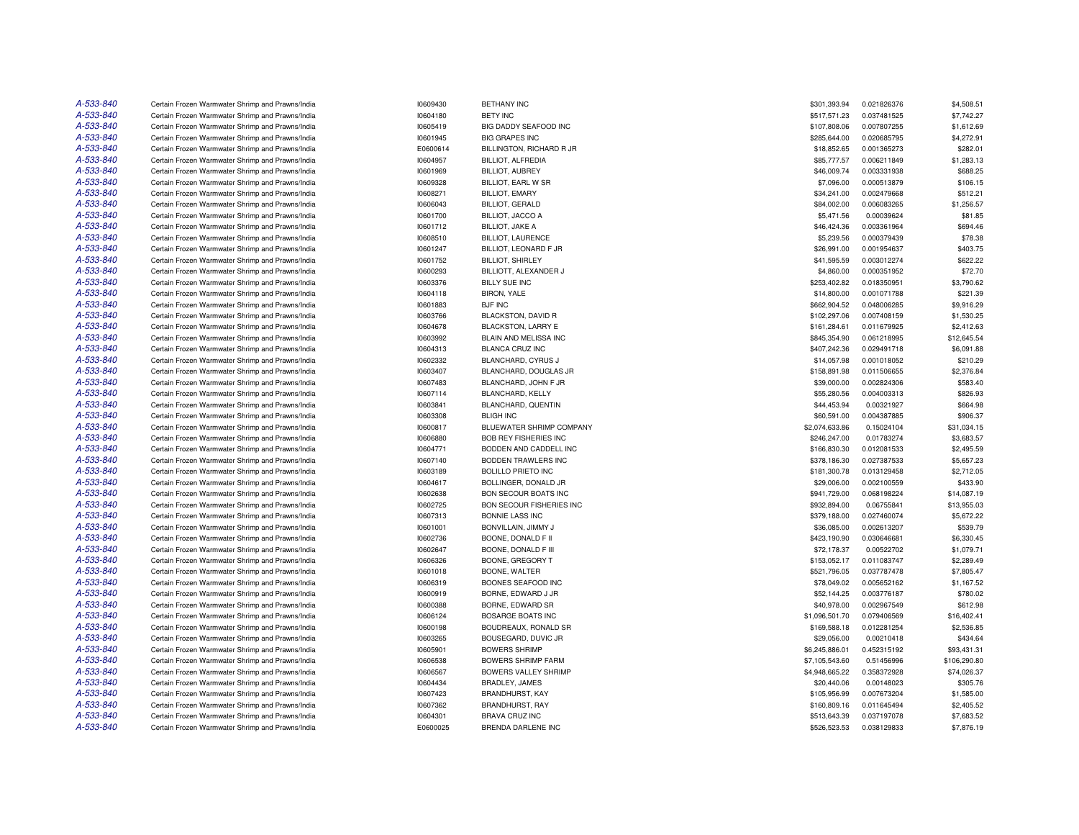| A-533-840 | Certain Frozen Warmwater Shrimp and Prawns/India | 10609430 | <b>BETHANY INC</b>           | \$301,393.94   | 0.021826376 | \$4,508.51   |
|-----------|--------------------------------------------------|----------|------------------------------|----------------|-------------|--------------|
| A-533-840 | Certain Frozen Warmwater Shrimp and Prawns/India | 10604180 | <b>BETY INC</b>              | \$517,571.23   | 0.037481525 | \$7,742.27   |
| A-533-840 | Certain Frozen Warmwater Shrimp and Prawns/India | 10605419 | BIG DADDY SEAFOOD INC        | \$107,808.06   | 0.007807255 | \$1,612.69   |
| A-533-840 | Certain Frozen Warmwater Shrimp and Prawns/India | 10601945 | <b>BIG GRAPES INC</b>        | \$285,644.00   | 0.020685795 | \$4,272.91   |
| A-533-840 | Certain Frozen Warmwater Shrimp and Prawns/India | E0600614 | BILLINGTON, RICHARD R JR     | \$18,852.65    | 0.001365273 | \$282.01     |
| A-533-840 | Certain Frozen Warmwater Shrimp and Prawns/India | 10604957 | BILLIOT, ALFREDIA            | \$85,777.57    | 0.006211849 | \$1,283.13   |
| A-533-840 | Certain Frozen Warmwater Shrimp and Prawns/India | 10601969 | <b>BILLIOT, AUBREY</b>       | \$46,009.74    | 0.003331938 | \$688.25     |
| A-533-840 | Certain Frozen Warmwater Shrimp and Prawns/India | 10609328 | BILLIOT, EARL W SR           | \$7,096.00     | 0.000513879 | \$106.15     |
| A-533-840 | Certain Frozen Warmwater Shrimp and Prawns/India | 10608271 | <b>BILLIOT, EMARY</b>        | \$34,241.00    | 0.002479668 | \$512.21     |
| A-533-840 | Certain Frozen Warmwater Shrimp and Prawns/India | 10606043 | <b>BILLIOT, GERALD</b>       | \$84,002.00    | 0.006083265 | \$1,256.57   |
| A-533-840 |                                                  |          |                              |                |             |              |
|           | Certain Frozen Warmwater Shrimp and Prawns/India | 10601700 | <b>BILLIOT, JACCO A</b>      | \$5,471.56     | 0.00039624  | \$81.85      |
| A-533-840 | Certain Frozen Warmwater Shrimp and Prawns/India | 10601712 | <b>BILLIOT, JAKE A</b>       | \$46,424.36    | 0.003361964 | \$694.46     |
| A-533-840 | Certain Frozen Warmwater Shrimp and Prawns/India | 10608510 | <b>BILLIOT, LAURENCE</b>     | \$5,239.56     | 0.000379439 | \$78.38      |
| A-533-840 | Certain Frozen Warmwater Shrimp and Prawns/India | 10601247 | BILLIOT, LEONARD F JR        | \$26,991.00    | 0.001954637 | \$403.75     |
| A-533-840 | Certain Frozen Warmwater Shrimp and Prawns/India | 10601752 | <b>BILLIOT, SHIRLEY</b>      | \$41,595.59    | 0.003012274 | \$622.22     |
| A-533-840 | Certain Frozen Warmwater Shrimp and Prawns/India | 10600293 | BILLIOTT, ALEXANDER J        | \$4,860.00     | 0.000351952 | \$72.70      |
| A-533-840 | Certain Frozen Warmwater Shrimp and Prawns/India | 10603376 | <b>BILLY SUE INC</b>         | \$253,402.82   | 0.018350951 | \$3,790.62   |
| A-533-840 | Certain Frozen Warmwater Shrimp and Prawns/India | 10604118 | <b>BIRON, YALE</b>           | \$14,800.00    | 0.001071788 | \$221.39     |
| A-533-840 | Certain Frozen Warmwater Shrimp and Prawns/India | 10601883 | <b>BJF INC</b>               | \$662,904.52   | 0.048006285 | \$9,916.29   |
| A-533-840 | Certain Frozen Warmwater Shrimp and Prawns/India | 10603766 | BLACKSTON, DAVID R           | \$102,297.06   | 0.007408159 | \$1,530.25   |
| A-533-840 | Certain Frozen Warmwater Shrimp and Prawns/India | 10604678 | BLACKSTON, LARRY E           | \$161,284.61   | 0.011679925 | \$2,412.63   |
| A-533-840 | Certain Frozen Warmwater Shrimp and Prawns/India | 10603992 | BLAIN AND MELISSA INC        | \$845,354.90   | 0.061218995 | \$12,645.54  |
| A-533-840 | Certain Frozen Warmwater Shrimp and Prawns/India | 10604313 | <b>BLANCA CRUZ INC</b>       | \$407,242.36   | 0.029491718 | \$6,091.88   |
| A-533-840 | Certain Frozen Warmwater Shrimp and Prawns/India | 10602332 | BLANCHARD, CYRUS J           | \$14,057.98    | 0.001018052 | \$210.29     |
| A-533-840 | Certain Frozen Warmwater Shrimp and Prawns/India | 10603407 | BLANCHARD, DOUGLAS JR        | \$158,891.98   | 0.011506655 | \$2,376.84   |
| A-533-840 | Certain Frozen Warmwater Shrimp and Prawns/India | 10607483 | BLANCHARD, JOHN F JR         | \$39,000.00    | 0.002824306 | \$583.40     |
| A-533-840 | Certain Frozen Warmwater Shrimp and Prawns/India | 10607114 | BLANCHARD, KELLY             | \$55,280.56    | 0.004003313 | \$826.93     |
| A-533-840 | Certain Frozen Warmwater Shrimp and Prawns/India | 10603841 | BLANCHARD, QUENTIN           | \$44,453.94    | 0.00321927  | \$664.98     |
| A-533-840 | Certain Frozen Warmwater Shrimp and Prawns/India | 10603308 | <b>BLIGH INC</b>             | \$60,591.00    | 0.004387885 | \$906.37     |
| A-533-840 | Certain Frozen Warmwater Shrimp and Prawns/India | 10600817 | BLUEWATER SHRIMP COMPANY     | \$2,074,633.86 | 0.15024104  | \$31,034.15  |
| A-533-840 | Certain Frozen Warmwater Shrimp and Prawns/India | 10606880 | <b>BOB REY FISHERIES INC</b> | \$246,247.00   | 0.01783274  | \$3,683.57   |
| A-533-840 | Certain Frozen Warmwater Shrimp and Prawns/India | 10604771 | BODDEN AND CADDELL INC       | \$166,830.30   | 0.012081533 | \$2,495.59   |
| A-533-840 | Certain Frozen Warmwater Shrimp and Prawns/India | 10607140 | BODDEN TRAWLERS INC          | \$378,186.30   | 0.027387533 | \$5,657.23   |
| A-533-840 | Certain Frozen Warmwater Shrimp and Prawns/India | 10603189 | <b>BOLILLO PRIETO INC</b>    | \$181,300.78   | 0.013129458 | \$2,712.05   |
| A-533-840 | Certain Frozen Warmwater Shrimp and Prawns/India | 10604617 | BOLLINGER, DONALD JR         | \$29,006.00    | 0.002100559 | \$433.90     |
| A-533-840 | Certain Frozen Warmwater Shrimp and Prawns/India | 10602638 | <b>BON SECOUR BOATS INC</b>  | \$941,729.00   | 0.068198224 | \$14,087.19  |
| A-533-840 | Certain Frozen Warmwater Shrimp and Prawns/India | 10602725 | BON SECOUR FISHERIES INC     | \$932,894.00   | 0.06755841  | \$13,955.03  |
| A-533-840 |                                                  |          |                              |                | 0.027460074 | \$5,672.22   |
| A-533-840 | Certain Frozen Warmwater Shrimp and Prawns/India | 10607313 | BONNIE LASS INC              | \$379,188.00   |             |              |
|           | Certain Frozen Warmwater Shrimp and Prawns/India | 10601001 | BONVILLAIN, JIMMY J          | \$36,085.00    | 0.002613207 | \$539.79     |
| A-533-840 | Certain Frozen Warmwater Shrimp and Prawns/India | 10602736 | BOONE, DONALD F II           | \$423,190.90   | 0.030646681 | \$6,330.45   |
| A-533-840 | Certain Frozen Warmwater Shrimp and Prawns/India | 10602647 | BOONE, DONALD F III          | \$72,178.37    | 0.00522702  | \$1,079.71   |
| A-533-840 | Certain Frozen Warmwater Shrimp and Prawns/India | 10606326 | BOONE, GREGORY T             | \$153,052.17   | 0.011083747 | \$2,289.49   |
| A-533-840 | Certain Frozen Warmwater Shrimp and Prawns/India | 10601018 | BOONE, WALTER                | \$521.796.05   | 0.037787478 | \$7,805.47   |
| A-533-840 | Certain Frozen Warmwater Shrimp and Prawns/India | 10606319 | BOONES SEAFOOD INC           | \$78,049.02    | 0.005652162 | \$1,167.52   |
| A-533-840 | Certain Frozen Warmwater Shrimp and Prawns/India | 10600919 | BORNE, EDWARD J JR           | \$52,144.25    | 0.003776187 | \$780.02     |
| A-533-840 | Certain Frozen Warmwater Shrimp and Prawns/India | 10600388 | BORNE, EDWARD SR             | \$40,978.00    | 0.002967549 | \$612.98     |
| A-533-840 | Certain Frozen Warmwater Shrimp and Prawns/India | 10606124 | <b>BOSARGE BOATS INC</b>     | \$1,096,501.70 | 0.079406569 | \$16,402.41  |
| A-533-840 | Certain Frozen Warmwater Shrimp and Prawns/India | 10600198 | BOUDREAUX, RONALD SR         | \$169,588.18   | 0.012281254 | \$2,536.85   |
| A-533-840 | Certain Frozen Warmwater Shrimp and Prawns/India | 10603265 | BOUSEGARD, DUVIC JR          | \$29,056.00    | 0.00210418  | \$434.64     |
| A-533-840 | Certain Frozen Warmwater Shrimp and Prawns/India | 10605901 | <b>BOWERS SHRIMP</b>         | \$6,245,886.01 | 0.452315192 | \$93,431.31  |
| A-533-840 | Certain Frozen Warmwater Shrimp and Prawns/India | 10606538 | <b>BOWERS SHRIMP FARM</b>    | \$7,105,543.60 | 0.51456996  | \$106,290.80 |
| A-533-840 | Certain Frozen Warmwater Shrimp and Prawns/India | 10606567 | <b>BOWERS VALLEY SHRIMP</b>  | \$4,948,665.22 | 0.358372928 | \$74,026.37  |
| A-533-840 | Certain Frozen Warmwater Shrimp and Prawns/India | 10604434 | BRADLEY, JAMES               | \$20,440.06    | 0.00148023  | \$305.76     |
| A-533-840 | Certain Frozen Warmwater Shrimp and Prawns/India | 10607423 | <b>BRANDHURST, KAY</b>       | \$105,956.99   | 0.007673204 | \$1,585.00   |
| A-533-840 | Certain Frozen Warmwater Shrimp and Prawns/India | 10607362 | <b>BRANDHURST, RAY</b>       | \$160,809.16   | 0.011645494 | \$2,405.52   |
| A-533-840 | Certain Frozen Warmwater Shrimp and Prawns/India | 10604301 | <b>BRAVA CRUZ INC</b>        | \$513.643.39   | 0.037197078 | \$7,683.52   |
| A-533-840 | Certain Frozen Warmwater Shrimp and Prawns/India | E0600025 | <b>BRENDA DARLENE INC</b>    | \$526,523.53   | 0.038129833 | \$7,876.19   |
|           |                                                  |          |                              |                |             |              |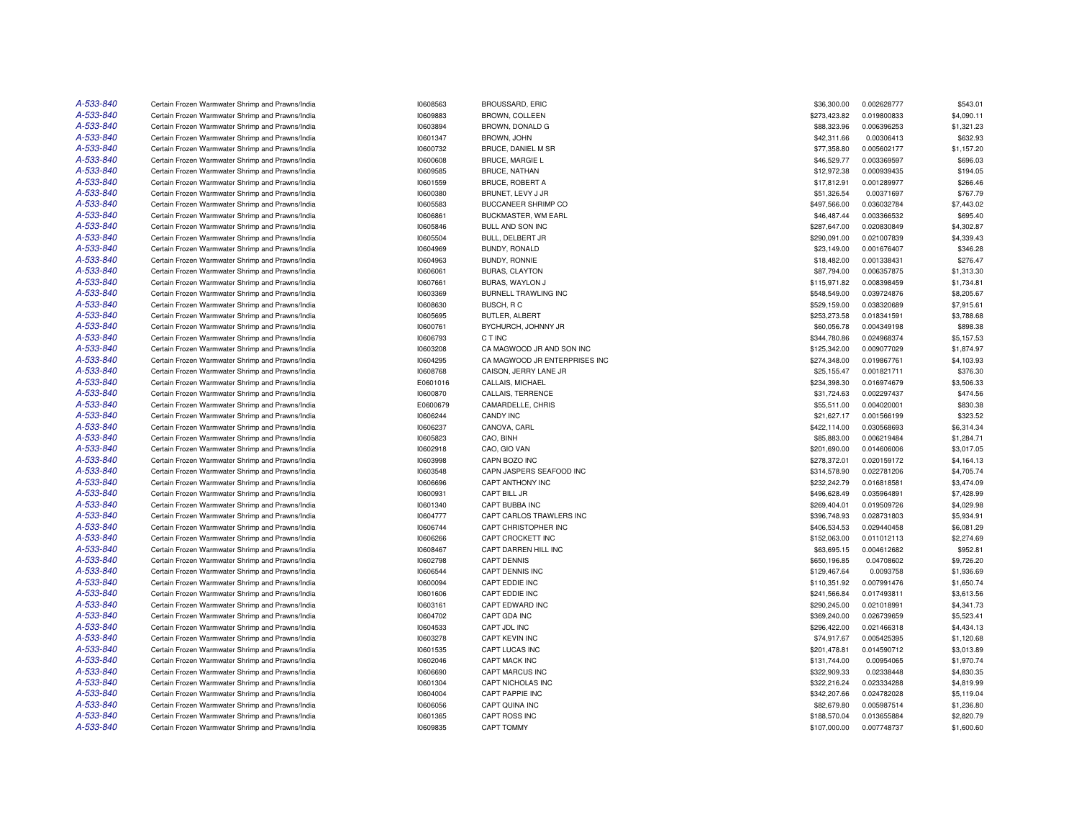| A-533-840 | Certain Frozen Warmwater Shrimp and Prawns/India | 10608563 | <b>BROUSSARD, ERIC</b>        | \$36,300.00  | 0.002628777 | \$543.01   |
|-----------|--------------------------------------------------|----------|-------------------------------|--------------|-------------|------------|
| A-533-840 | Certain Frozen Warmwater Shrimp and Prawns/India | 10609883 | BROWN, COLLEEN                | \$273,423.82 | 0.019800833 | \$4,090.11 |
| A-533-840 | Certain Frozen Warmwater Shrimp and Prawns/India | 10603894 | BROWN, DONALD G               | \$88,323.96  | 0.006396253 | \$1,321.23 |
| A-533-840 | Certain Frozen Warmwater Shrimp and Prawns/India | 10601347 | BROWN, JOHN                   | \$42,311.66  | 0.00306413  | \$632.93   |
| A-533-840 | Certain Frozen Warmwater Shrimp and Prawns/India | 10600732 | BRUCE, DANIEL M SR            | \$77,358.80  | 0.005602177 | \$1,157.20 |
| A-533-840 | Certain Frozen Warmwater Shrimp and Prawns/India | 10600608 | <b>BRUCE, MARGIE L</b>        | \$46,529.77  | 0.003369597 | \$696.03   |
| A-533-840 | Certain Frozen Warmwater Shrimp and Prawns/India | 10609585 | <b>BRUCE, NATHAN</b>          | \$12,972.38  | 0.000939435 | \$194.05   |
| A-533-840 | Certain Frozen Warmwater Shrimp and Prawns/India | 10601559 | <b>BRUCE, ROBERT A</b>        | \$17,812.91  | 0.001289977 | \$266.46   |
| A-533-840 | Certain Frozen Warmwater Shrimp and Prawns/India | 10600380 | BRUNET, LEVY J JR             | \$51,326.54  | 0.00371697  | \$767.79   |
| A-533-840 | Certain Frozen Warmwater Shrimp and Prawns/India | 10605583 | <b>BUCCANEER SHRIMP CO</b>    | \$497,566.00 | 0.036032784 | \$7,443.02 |
| A-533-840 | Certain Frozen Warmwater Shrimp and Prawns/India | 10606861 | <b>BUCKMASTER, WM EARL</b>    | \$46,487.44  | 0.003366532 | \$695.40   |
| A-533-840 | Certain Frozen Warmwater Shrimp and Prawns/India | 10605846 | BULL AND SON INC              | \$287,647.00 | 0.020830849 | \$4,302.87 |
| A-533-840 | Certain Frozen Warmwater Shrimp and Prawns/India | 10605504 | BULL, DELBERT JR              | \$290,091.00 | 0.021007839 | \$4,339.43 |
| A-533-840 | Certain Frozen Warmwater Shrimp and Prawns/India | 10604969 | BUNDY, RONALD                 | \$23,149.00  | 0.001676407 | \$346.28   |
| A-533-840 | Certain Frozen Warmwater Shrimp and Prawns/India | 10604963 | BUNDY, RONNIE                 | \$18,482.00  | 0.001338431 | \$276.47   |
| A-533-840 | Certain Frozen Warmwater Shrimp and Prawns/India | 10606061 | <b>BURAS, CLAYTON</b>         | \$87,794.00  | 0.006357875 | \$1,313.30 |
| A-533-840 | Certain Frozen Warmwater Shrimp and Prawns/India | 10607661 | BURAS, WAYLON J               | \$115,971.82 | 0.008398459 | \$1,734.81 |
| A-533-840 | Certain Frozen Warmwater Shrimp and Prawns/India | 10603369 | BURNELL TRAWLING INC          | \$548,549.00 | 0.039724876 | \$8,205.67 |
| A-533-840 | Certain Frozen Warmwater Shrimp and Prawns/India | 10608630 | BUSCH, RC                     | \$529,159.00 | 0.038320689 | \$7,915.61 |
| A-533-840 | Certain Frozen Warmwater Shrimp and Prawns/India | 10605695 | BUTLER, ALBERT                | \$253,273.58 | 0.018341591 | \$3,788.68 |
| A-533-840 | Certain Frozen Warmwater Shrimp and Prawns/India | 10600761 | BYCHURCH, JOHNNY JR           | \$60,056.78  | 0.004349198 | \$898.38   |
| A-533-840 | Certain Frozen Warmwater Shrimp and Prawns/India | 10606793 | C T INC                       | \$344,780.86 | 0.024968374 | \$5,157.53 |
| A-533-840 | Certain Frozen Warmwater Shrimp and Prawns/India | 10603208 | CA MAGWOOD JR AND SON INC     | \$125,342.00 | 0.009077029 | \$1,874.97 |
| A-533-840 | Certain Frozen Warmwater Shrimp and Prawns/India | 10604295 | CA MAGWOOD JR ENTERPRISES INC | \$274,348.00 | 0.019867761 | \$4,103.93 |
| A-533-840 | Certain Frozen Warmwater Shrimp and Prawns/India | 10608768 | CAISON, JERRY LANE JR         | \$25,155.47  | 0.001821711 | \$376.30   |
| A-533-840 | Certain Frozen Warmwater Shrimp and Prawns/India | E0601016 | CALLAIS, MICHAEL              | \$234,398.30 | 0.016974679 | \$3,506.33 |
| A-533-840 | Certain Frozen Warmwater Shrimp and Prawns/India | 10600870 | CALLAIS, TERRENCE             | \$31,724.63  | 0.002297437 | \$474.56   |
| A-533-840 | Certain Frozen Warmwater Shrimp and Prawns/India | E0600679 | CAMARDELLE, CHRIS             | \$55,511.00  | 0.004020001 | \$830.38   |
| A-533-840 | Certain Frozen Warmwater Shrimp and Prawns/India | 10606244 | <b>CANDY INC</b>              | \$21,627.17  | 0.001566199 | \$323.52   |
| A-533-840 | Certain Frozen Warmwater Shrimp and Prawns/India | 10606237 | CANOVA, CARL                  | \$422,114.00 | 0.030568693 | \$6,314.34 |
| A-533-840 | Certain Frozen Warmwater Shrimp and Prawns/India | 10605823 | CAO, BINH                     | \$85,883.00  | 0.006219484 | \$1,284.71 |
| A-533-840 | Certain Frozen Warmwater Shrimp and Prawns/India | 10602918 | CAO, GIO VAN                  | \$201,690.00 | 0.014606006 | \$3,017.05 |
| A-533-840 | Certain Frozen Warmwater Shrimp and Prawns/India | 10603998 | CAPN BOZO INC                 | \$278,372.01 | 0.020159172 | \$4,164.13 |
| A-533-840 | Certain Frozen Warmwater Shrimp and Prawns/India | 10603548 | CAPN JASPERS SEAFOOD INC      | \$314,578.90 | 0.022781206 | \$4,705.74 |
| A-533-840 | Certain Frozen Warmwater Shrimp and Prawns/India | 10606696 | CAPT ANTHONY INC              | \$232,242.79 | 0.016818581 | \$3,474.09 |
| A-533-840 | Certain Frozen Warmwater Shrimp and Prawns/India | 10600931 | CAPT BILL JR                  | \$496,628.49 | 0.035964891 | \$7,428.99 |
| A-533-840 | Certain Frozen Warmwater Shrimp and Prawns/India | 10601340 | CAPT BUBBA INC                | \$269,404.01 | 0.019509726 | \$4,029.98 |
| A-533-840 | Certain Frozen Warmwater Shrimp and Prawns/India | 10604777 | CAPT CARLOS TRAWLERS INC      | \$396,748.93 | 0.028731803 | \$5,934.91 |
| A-533-840 | Certain Frozen Warmwater Shrimp and Prawns/India | 10606744 | CAPT CHRISTOPHER INC          | \$406,534.53 | 0.029440458 | \$6,081.29 |
| A-533-840 | Certain Frozen Warmwater Shrimp and Prawns/India | 10606266 | CAPT CROCKETT INC             | \$152,063.00 | 0.011012113 | \$2,274.69 |
| A-533-840 | Certain Frozen Warmwater Shrimp and Prawns/India | 10608467 | CAPT DARREN HILL INC          | \$63,695.15  | 0.004612682 | \$952.81   |
| A-533-840 | Certain Frozen Warmwater Shrimp and Prawns/India | 10602798 | <b>CAPT DENNIS</b>            | \$650,196.85 | 0.04708602  | \$9,726.20 |
| A-533-840 | Certain Frozen Warmwater Shrimp and Prawns/India | 10606544 | <b>CAPT DENNIS INC</b>        | \$129,467.64 | 0.0093758   | \$1,936.69 |
| A-533-840 | Certain Frozen Warmwater Shrimp and Prawns/India | 10600094 | CAPT EDDIE INC                | \$110,351.92 | 0.007991476 | \$1,650.74 |
| A-533-840 | Certain Frozen Warmwater Shrimp and Prawns/India | 10601606 | CAPT EDDIE INC                | \$241,566.84 | 0.017493811 | \$3,613.56 |
| A-533-840 | Certain Frozen Warmwater Shrimp and Prawns/India | 10603161 | CAPT EDWARD INC               | \$290,245.00 | 0.021018991 | \$4,341.73 |
| A-533-840 | Certain Frozen Warmwater Shrimp and Prawns/India | 10604702 | CAPT GDA INC                  | \$369,240.00 | 0.026739659 | \$5,523.41 |
| A-533-840 | Certain Frozen Warmwater Shrimp and Prawns/India | 10604533 | CAPT JDL INC                  | \$296,422.00 | 0.021466318 | \$4,434.13 |
| A-533-840 | Certain Frozen Warmwater Shrimp and Prawns/India | 10603278 | <b>CAPT KEVIN INC</b>         | \$74,917.67  | 0.005425395 | \$1,120.68 |
| A-533-840 | Certain Frozen Warmwater Shrimp and Prawns/India | 10601535 | CAPT LUCAS INC                | \$201,478.81 | 0.014590712 | \$3,013.89 |
| A-533-840 | Certain Frozen Warmwater Shrimp and Prawns/India | 10602046 | CAPT MACK INC                 | \$131,744.00 | 0.00954065  | \$1,970.74 |
| A-533-840 | Certain Frozen Warmwater Shrimp and Prawns/India | 10606690 | CAPT MARCUS INC               | \$322,909.33 | 0.02338448  | \$4,830.35 |
| A-533-840 | Certain Frozen Warmwater Shrimp and Prawns/India | 10601304 | CAPT NICHOLAS INC             | \$322,216.24 | 0.023334288 | \$4,819.99 |
| A-533-840 | Certain Frozen Warmwater Shrimp and Prawns/India | 10604004 | <b>CAPT PAPPIE INC</b>        | \$342,207.66 | 0.024782028 | \$5,119.04 |
| A-533-840 | Certain Frozen Warmwater Shrimp and Prawns/India | 10606056 | CAPT QUINA INC                | \$82,679.80  | 0.005987514 | \$1,236.80 |
| A-533-840 | Certain Frozen Warmwater Shrimp and Prawns/India | 10601365 | <b>CAPT ROSS INC</b>          | \$188,570.04 | 0.013655884 | \$2,820.79 |
| A-533-840 | Certain Frozen Warmwater Shrimp and Prawns/India | 10609835 | <b>CAPT TOMMY</b>             | \$107,000.00 | 0.007748737 | \$1,600.60 |
|           |                                                  |          |                               |              |             |            |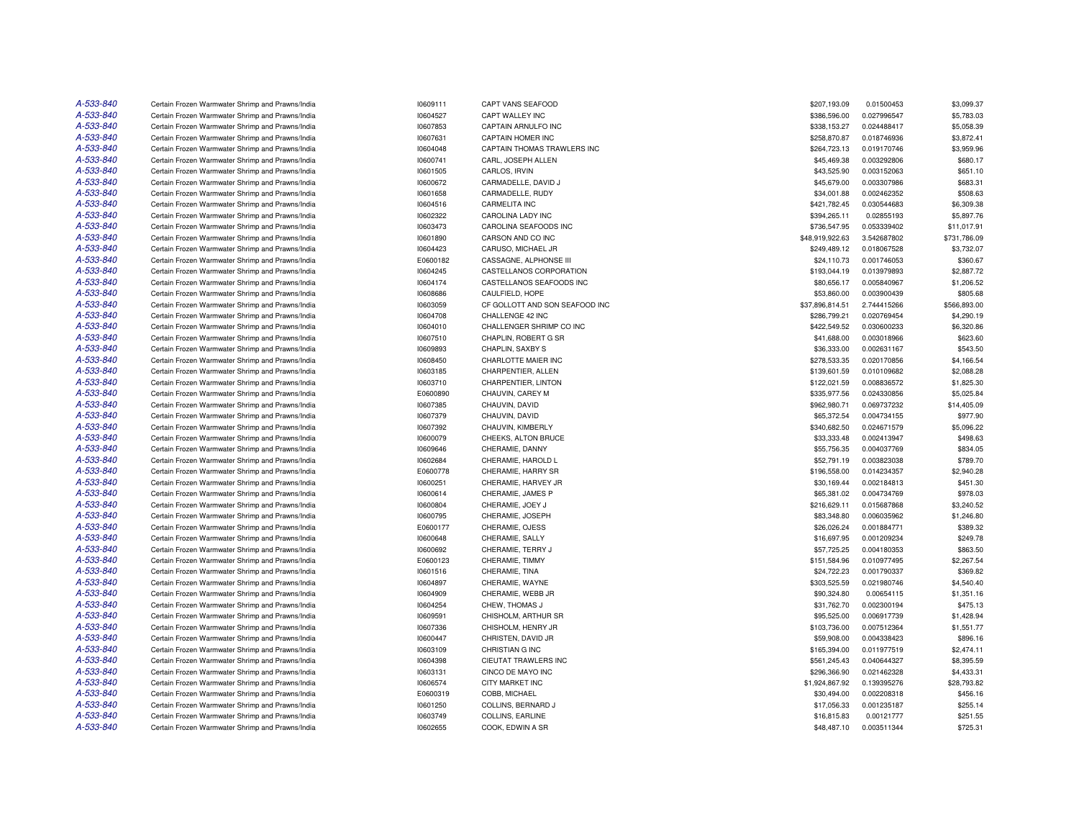| A-533-840 | Certain Frozen Warmwater Shrimp and Prawns/India | 10609111 | <b>CAPT VANS SEAFOOD</b>       | \$207.193.09               | 0.01500453  | \$3,099.37           |
|-----------|--------------------------------------------------|----------|--------------------------------|----------------------------|-------------|----------------------|
| A-533-840 | Certain Frozen Warmwater Shrimp and Prawns/India | 10604527 | CAPT WALLEY INC                | \$386,596.00               | 0.027996547 | \$5,783.03           |
| A-533-840 | Certain Frozen Warmwater Shrimp and Prawns/India | 10607853 | CAPTAIN ARNULFO INC            | \$338,153.27               | 0.024488417 | \$5,058.39           |
| A-533-840 | Certain Frozen Warmwater Shrimp and Prawns/India | 10607631 | CAPTAIN HOMER INC              | \$258,870.87               | 0.018746936 | \$3,872.41           |
| A-533-840 | Certain Frozen Warmwater Shrimp and Prawns/India | 10604048 | CAPTAIN THOMAS TRAWLERS INC    | \$264,723.13               | 0.019170746 | \$3.959.96           |
| A-533-840 | Certain Frozen Warmwater Shrimp and Prawns/India | 10600741 | CARL. JOSEPH ALLEN             | \$45,469.38                | 0.003292806 | \$680.17             |
| A-533-840 | Certain Frozen Warmwater Shrimp and Prawns/India | 10601505 | CARLOS, IRVIN                  | \$43,525.90                | 0.003152063 | \$651.10             |
| A-533-840 | Certain Frozen Warmwater Shrimp and Prawns/India | 10600672 | CARMADELLE, DAVID J            | \$45,679.00                | 0.003307986 | \$683.31             |
| A-533-840 | Certain Frozen Warmwater Shrimp and Prawns/India | 10601658 | CARMADELLE, RUDY               | \$34,001.88                | 0.002462352 | \$508.63             |
| A-533-840 | Certain Frozen Warmwater Shrimp and Prawns/India | 10604516 | <b>CARMELITA INC</b>           | \$421,782.45               | 0.030544683 | \$6,309.38           |
| A-533-840 | Certain Frozen Warmwater Shrimp and Prawns/India | 10602322 | CAROLINA LADY INC              | \$394,265.11               | 0.02855193  | \$5,897.76           |
| A-533-840 | Certain Frozen Warmwater Shrimp and Prawns/India | 10603473 | CAROLINA SEAFOODS INC          | \$736,547.95               | 0.053339402 | \$11,017.91          |
| A-533-840 | Certain Frozen Warmwater Shrimp and Prawns/India | 10601890 | CARSON AND CO INC              | \$48,919,922.63            | 3.542687802 | \$731,786.09         |
| A-533-840 | Certain Frozen Warmwater Shrimp and Prawns/India | 10604423 | CARUSO, MICHAEL JR             | \$249,489.12               | 0.018067528 | \$3,732.07           |
| A-533-840 | Certain Frozen Warmwater Shrimp and Prawns/India | E0600182 | CASSAGNE, ALPHONSE III         | \$24,110.73                | 0.001746053 | \$360.67             |
| A-533-840 | Certain Frozen Warmwater Shrimp and Prawns/India | 10604245 | CASTELLANOS CORPORATION        | \$193,044.19               | 0.013979893 | \$2,887.72           |
| A-533-840 | Certain Frozen Warmwater Shrimp and Prawns/India | 10604174 | CASTELLANOS SEAFOODS INC       | \$80,656.17                | 0.005840967 | \$1,206.52           |
| A-533-840 | Certain Frozen Warmwater Shrimp and Prawns/India | 10608686 | CAULFIELD, HOPE                | \$53,860.00                | 0.003900439 | \$805.68             |
| A-533-840 | Certain Frozen Warmwater Shrimp and Prawns/India | 10603059 | CF GOLLOTT AND SON SEAFOOD INC | \$37,896,814.51            | 2.744415266 | \$566,893.00         |
| A-533-840 | Certain Frozen Warmwater Shrimp and Prawns/India | 10604708 | CHALLENGE 42 INC               | \$286,799.21               | 0.020769454 | \$4,290.19           |
| A-533-840 | Certain Frozen Warmwater Shrimp and Prawns/India | 10604010 | CHALLENGER SHRIMP CO INC       | \$422,549.52               | 0.030600233 | \$6,320.86           |
| A-533-840 | Certain Frozen Warmwater Shrimp and Prawns/India | 10607510 | CHAPLIN, ROBERT G SR           | \$41,688.00                | 0.003018966 | \$623.60             |
| A-533-840 | Certain Frozen Warmwater Shrimp and Prawns/India | 10609893 | CHAPLIN, SAXBY S               | \$36,333.00                | 0.002631167 | \$543.50             |
| A-533-840 | Certain Frozen Warmwater Shrimp and Prawns/India | 10608450 | CHARLOTTE MAIER INC            | \$278,533.35               | 0.020170856 | \$4,166.54           |
| A-533-840 | Certain Frozen Warmwater Shrimp and Prawns/India | 10603185 | CHARPENTIER, ALLEN             | \$139,601.59               | 0.010109682 | \$2,088.28           |
| A-533-840 | Certain Frozen Warmwater Shrimp and Prawns/India | 10603710 | CHARPENTIER, LINTON            | \$122,021.59               | 0.008836572 | \$1,825.30           |
| A-533-840 | Certain Frozen Warmwater Shrimp and Prawns/India | E0600890 | CHAUVIN, CAREY M               | \$335,977.56               | 0.024330856 | \$5,025.84           |
| A-533-840 | Certain Frozen Warmwater Shrimp and Prawns/India | 10607385 | CHAUVIN, DAVID                 | \$962,980.71               | 0.069737232 | \$14,405.09          |
| A-533-840 | Certain Frozen Warmwater Shrimp and Prawns/India | 10607379 | CHAUVIN, DAVID                 | \$65,372.54                | 0.004734155 | \$977.90             |
| A-533-840 | Certain Frozen Warmwater Shrimp and Prawns/India | 10607392 | CHAUVIN, KIMBERLY              | \$340.682.50               | 0.024671579 | \$5.096.22           |
| A-533-840 | Certain Frozen Warmwater Shrimp and Prawns/India | 10600079 | CHEEKS, ALTON BRUCE            | \$33,333.48                | 0.002413947 | \$498.63             |
| A-533-840 | Certain Frozen Warmwater Shrimp and Prawns/India | 10609646 | CHERAMIE, DANNY                | \$55,756.35                | 0.004037769 | \$834.05             |
| A-533-840 | Certain Frozen Warmwater Shrimp and Prawns/India | 10602684 | CHERAMIE, HAROLD L             | \$52,791.19                | 0.003823038 | \$789.70             |
| A-533-840 | Certain Frozen Warmwater Shrimp and Prawns/India | E0600778 | CHERAMIE, HARRY SR             | \$196,558.00               | 0.014234357 | \$2,940.28           |
| A-533-840 | Certain Frozen Warmwater Shrimp and Prawns/India | 10600251 | CHERAMIE, HARVEY JR            | \$30,169.44                | 0.002184813 | \$451.30             |
| A-533-840 | Certain Frozen Warmwater Shrimp and Prawns/India | 10600614 | CHERAMIE, JAMES P              | \$65,381.02                | 0.004734769 | \$978.03             |
| A-533-840 | Certain Frozen Warmwater Shrimp and Prawns/India | 10600804 | CHERAMIE, JOEY J               | \$216,629.11               | 0.015687868 | \$3,240.52           |
| A-533-840 | Certain Frozen Warmwater Shrimp and Prawns/India | 10600795 | CHERAMIE, JOSEPH               | \$83,348.80                | 0.006035962 | \$1,246.80           |
| A-533-840 | Certain Frozen Warmwater Shrimp and Prawns/India | E0600177 | CHERAMIE, OJESS                | \$26,026.24                | 0.001884771 | \$389.32             |
| A-533-840 | Certain Frozen Warmwater Shrimp and Prawns/India |          |                                |                            | 0.001209234 |                      |
| A-533-840 |                                                  | 10600648 | CHERAMIE, SALLY                | \$16,697.95<br>\$57,725.25 |             | \$249.78<br>\$863.50 |
| A-533-840 | Certain Frozen Warmwater Shrimp and Prawns/India | 10600692 | CHERAMIE, TERRY J              |                            | 0.004180353 |                      |
| A-533-840 | Certain Frozen Warmwater Shrimp and Prawns/India | E0600123 | CHERAMIE, TIMMY                | \$151,584.96               | 0.010977495 | \$2,267.54           |
|           | Certain Frozen Warmwater Shrimp and Prawns/India | 10601516 | CHERAMIE, TINA                 | \$24,722.23                | 0.001790337 | \$369.82             |
| A-533-840 | Certain Frozen Warmwater Shrimp and Prawns/India | 10604897 | CHERAMIE, WAYNE                | \$303,525.59               | 0.021980746 | \$4,540.40           |
| A-533-840 | Certain Frozen Warmwater Shrimp and Prawns/India | 10604909 | CHERAMIE, WEBB JR              | \$90,324.80                | 0.00654115  | \$1,351.16           |
| A-533-840 | Certain Frozen Warmwater Shrimp and Prawns/India | 10604254 | CHEW, THOMAS J                 | \$31,762.70                | 0.002300194 | \$475.13             |
| A-533-840 | Certain Frozen Warmwater Shrimp and Prawns/India | 10609591 | CHISHOLM, ARTHUR SR            | \$95,525.00                | 0.006917739 | \$1,428.94           |
| A-533-840 | Certain Frozen Warmwater Shrimp and Prawns/India | 10607336 | CHISHOLM, HENRY JR             | \$103,736.00               | 0.007512364 | \$1,551.77           |
| A-533-840 | Certain Frozen Warmwater Shrimp and Prawns/India | 10600447 | CHRISTEN, DAVID JR             | \$59,908.00                | 0.004338423 | \$896.16             |
| A-533-840 | Certain Frozen Warmwater Shrimp and Prawns/India | 10603109 | CHRISTIAN G INC                | \$165,394.00               | 0.011977519 | \$2,474.11           |
| A-533-840 | Certain Frozen Warmwater Shrimp and Prawns/India | 10604398 | <b>CIEUTAT TRAWLERS INC</b>    | \$561.245.43               | 0.040644327 | \$8,395.59           |
| A-533-840 | Certain Frozen Warmwater Shrimp and Prawns/India | 10603131 | CINCO DE MAYO INC              | \$296,366.90               | 0.021462328 | \$4,433.31           |
| A-533-840 | Certain Frozen Warmwater Shrimp and Prawns/India | 10606574 | <b>CITY MARKET INC</b>         | \$1,924,867.92             | 0.139395276 | \$28,793.82          |
| A-533-840 | Certain Frozen Warmwater Shrimp and Prawns/India | E0600319 | COBB, MICHAEL                  | \$30,494.00                | 0.002208318 | \$456.16             |
| A-533-840 | Certain Frozen Warmwater Shrimp and Prawns/India | 10601250 | COLLINS, BERNARD J             | \$17,056.33                | 0.001235187 | \$255.14             |
| A-533-840 | Certain Frozen Warmwater Shrimp and Prawns/India | 10603749 | COLLINS, EARLINE               | \$16,815.83                | 0.00121777  | \$251.55             |
| A-533-840 | Certain Frozen Warmwater Shrimp and Prawns/India | 10602655 | COOK, EDWIN A SR               | \$48,487.10                | 0.003511344 | \$725.31             |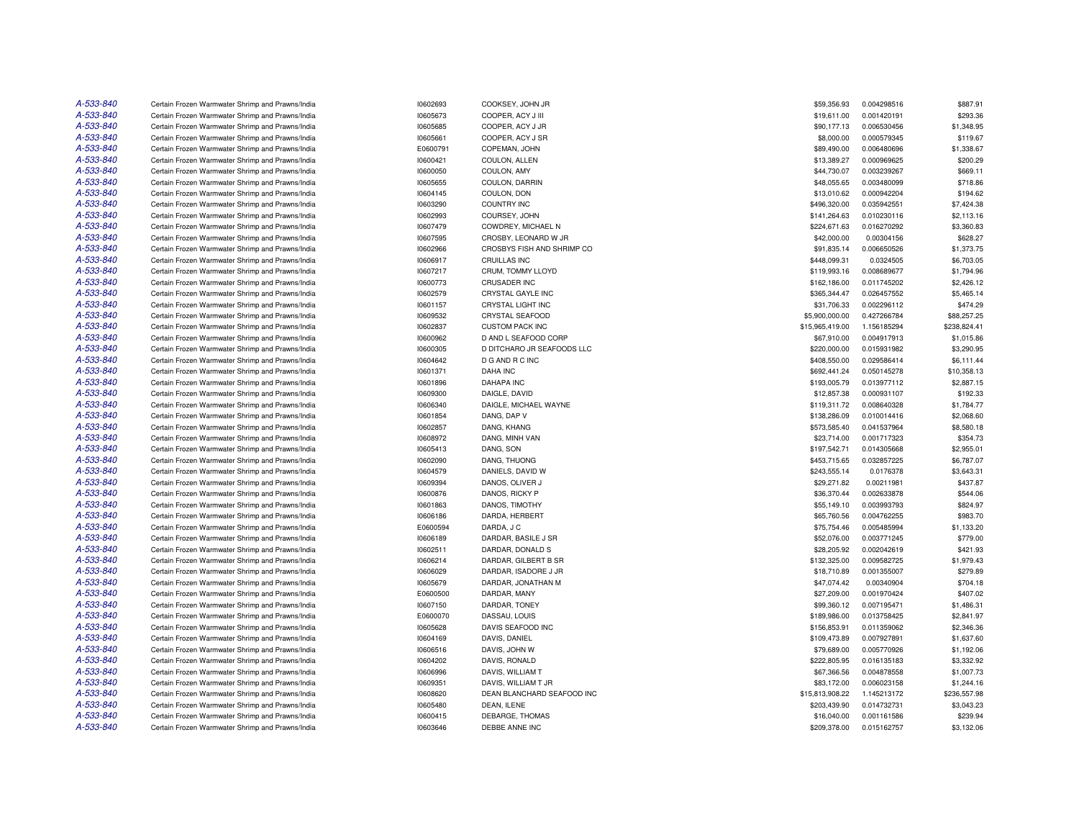| A-533-840 | Certain Frozen Warmwater Shrimp and Prawns/India | 10602693             | COOKSEY, JOHN JR                       | \$59,356.93                  | 0.004298516 | \$887.91     |
|-----------|--------------------------------------------------|----------------------|----------------------------------------|------------------------------|-------------|--------------|
| A-533-840 | Certain Frozen Warmwater Shrimp and Prawns/India | 10605673             | COOPER, ACY J III                      | \$19,611.00                  | 0.001420191 | \$293.36     |
| A-533-840 | Certain Frozen Warmwater Shrimp and Prawns/India | 10605685             | COOPER, ACY J JR                       | \$90,177.13                  | 0.006530456 | \$1,348.95   |
| A-533-840 | Certain Frozen Warmwater Shrimp and Prawns/India | 10605661             | COOPER, ACY J SR                       | \$8,000.00                   | 0.000579345 | \$119.67     |
| A-533-840 | Certain Frozen Warmwater Shrimp and Prawns/India | E0600791             | COPEMAN, JOHN                          | \$89,490.00                  | 0.006480696 | \$1,338.67   |
| A-533-840 | Certain Frozen Warmwater Shrimp and Prawns/India | 10600421             | COULON, ALLEN                          | \$13,389.27                  | 0.000969625 | \$200.29     |
| A-533-840 | Certain Frozen Warmwater Shrimp and Prawns/India | 10600050             | COULON, AMY                            | \$44,730.07                  | 0.003239267 | \$669.11     |
| A-533-840 | Certain Frozen Warmwater Shrimp and Prawns/India | 10605655             | COULON, DARRIN                         | \$48,055.65                  | 0.003480099 | \$718.86     |
| A-533-840 | Certain Frozen Warmwater Shrimp and Prawns/India | 10604145             | COULON, DON                            | \$13,010.62                  | 0.000942204 | \$194.62     |
| A-533-840 | Certain Frozen Warmwater Shrimp and Prawns/India | 10603290             | <b>COUNTRY INC</b>                     | \$496,320.00                 | 0.035942551 | \$7,424.38   |
| A-533-840 | Certain Frozen Warmwater Shrimp and Prawns/India | 10602993             | COURSEY, JOHN                          | \$141,264.63                 | 0.010230116 | \$2,113.16   |
| A-533-840 | Certain Frozen Warmwater Shrimp and Prawns/India | 10607479             | COWDREY, MICHAEL N                     | \$224,671.63                 | 0.016270292 | \$3,360.83   |
| A-533-840 | Certain Frozen Warmwater Shrimp and Prawns/India | 10607595             | CROSBY, LEONARD W JR                   | \$42,000.00                  | 0.00304156  | \$628.27     |
| A-533-840 | Certain Frozen Warmwater Shrimp and Prawns/India | 10602966             | CROSBYS FISH AND SHRIMP CO             | \$91,835.14                  | 0.006650526 | \$1,373.75   |
| A-533-840 | Certain Frozen Warmwater Shrimp and Prawns/India | 10606917             | <b>CRUILLAS INC</b>                    | \$448,099.31                 | 0.0324505   | \$6,703.05   |
| A-533-840 | Certain Frozen Warmwater Shrimp and Prawns/India | 10607217             | CRUM, TOMMY LLOYD                      | \$119,993.16                 | 0.008689677 | \$1,794.96   |
| A-533-840 | Certain Frozen Warmwater Shrimp and Prawns/India | 10600773             | <b>CRUSADER INC</b>                    | \$162,186.00                 | 0.011745202 | \$2,426.12   |
| A-533-840 | Certain Frozen Warmwater Shrimp and Prawns/India | 10602579             | CRYSTAL GAYLE INC                      | \$365,344.47                 | 0.026457552 | \$5,465.14   |
| A-533-840 | Certain Frozen Warmwater Shrimp and Prawns/India | 10601157             | CRYSTAL LIGHT INC                      | \$31,706.33                  | 0.002296112 | \$474.29     |
| A-533-840 | Certain Frozen Warmwater Shrimp and Prawns/India | 10609532             | <b>CRYSTAL SEAFOOD</b>                 | \$5,900,000.00               | 0.427266784 | \$88,257.25  |
| A-533-840 | Certain Frozen Warmwater Shrimp and Prawns/India | 10602837             | <b>CUSTOM PACK INC</b>                 | \$15,965,419.00              | 1.156185294 | \$238,824.41 |
| A-533-840 | Certain Frozen Warmwater Shrimp and Prawns/India | 10600962             | D AND L SEAFOOD CORP                   | \$67,910.00                  | 0.004917913 | \$1,015.86   |
| A-533-840 | Certain Frozen Warmwater Shrimp and Prawns/India | 10600305             | D DITCHARO JR SEAFOODS LLC             | \$220,000.00                 | 0.015931982 | \$3,290.95   |
| A-533-840 | Certain Frozen Warmwater Shrimp and Prawns/India | 10604642             | D G AND R C INC                        | \$408,550.00                 | 0.029586414 | \$6,111.44   |
| A-533-840 | Certain Frozen Warmwater Shrimp and Prawns/India |                      | DAHA INC                               |                              | 0.050145278 | \$10,358.13  |
| A-533-840 | Certain Frozen Warmwater Shrimp and Prawns/India | 10601371<br>10601896 | <b>DAHAPA INC</b>                      | \$692,441.24<br>\$193,005.79 | 0.013977112 | \$2,887.15   |
| A-533-840 |                                                  |                      |                                        |                              |             | \$192.33     |
| A-533-840 | Certain Frozen Warmwater Shrimp and Prawns/India | 10609300             | DAIGLE, DAVID<br>DAIGLE, MICHAEL WAYNE | \$12,857.38                  | 0.000931107 | \$1,784.77   |
| A-533-840 | Certain Frozen Warmwater Shrimp and Prawns/India | 10606340             |                                        | \$119,311.72                 | 0.008640328 |              |
| A-533-840 | Certain Frozen Warmwater Shrimp and Prawns/India | 10601854             | DANG, DAP V                            | \$138,286.09                 | 0.010014416 | \$2,068.60   |
| A-533-840 | Certain Frozen Warmwater Shrimp and Prawns/India | 10602857             | DANG, KHANG                            | \$573,585.40                 | 0.041537964 | \$8,580.18   |
|           | Certain Frozen Warmwater Shrimp and Prawns/India | 10608972             | DANG, MINH VAN                         | \$23,714.00                  | 0.001717323 | \$354.73     |
| A-533-840 | Certain Frozen Warmwater Shrimp and Prawns/India | 10605413             | DANG, SON                              | \$197,542.71                 | 0.014305668 | \$2,955.01   |
| A-533-840 | Certain Frozen Warmwater Shrimp and Prawns/India | 10602090             | DANG, THUONG                           | \$453,715.65                 | 0.032857225 | \$6,787.07   |
| A-533-840 | Certain Frozen Warmwater Shrimp and Prawns/India | 10604579             | DANIELS, DAVID W                       | \$243,555.14                 | 0.0176378   | \$3,643.31   |
| A-533-840 | Certain Frozen Warmwater Shrimp and Prawns/India | 10609394             | DANOS, OLIVER J                        | \$29,271.82                  | 0.00211981  | \$437.87     |
| A-533-840 | Certain Frozen Warmwater Shrimp and Prawns/India | 10600876             | DANOS, RICKY P                         | \$36,370.44                  | 0.002633878 | \$544.06     |
| A-533-840 | Certain Frozen Warmwater Shrimp and Prawns/India | 10601863             | DANOS, TIMOTHY                         | \$55,149.10                  | 0.003993793 | \$824.97     |
| A-533-840 | Certain Frozen Warmwater Shrimp and Prawns/India | 10606186             | DARDA, HERBERT                         | \$65,760.56                  | 0.004762255 | \$983.70     |
| A-533-840 | Certain Frozen Warmwater Shrimp and Prawns/India | E0600594             | DARDA, J C                             | \$75,754.46                  | 0.005485994 | \$1,133.20   |
| A-533-840 | Certain Frozen Warmwater Shrimp and Prawns/India | 10606189             | DARDAR, BASILE J SR                    | \$52,076.00                  | 0.003771245 | \$779.00     |
| A-533-840 | Certain Frozen Warmwater Shrimp and Prawns/India | 10602511             | DARDAR, DONALD S                       | \$28,205.92                  | 0.002042619 | \$421.93     |
| A-533-840 | Certain Frozen Warmwater Shrimp and Prawns/India | 10606214             | DARDAR, GILBERT B SR                   | \$132,325.00                 | 0.009582725 | \$1,979.43   |
| A-533-840 | Certain Frozen Warmwater Shrimp and Prawns/India | 10606029             | DARDAR, ISADORE J JR                   | \$18,710.89                  | 0.001355007 | \$279.89     |
| A-533-840 | Certain Frozen Warmwater Shrimp and Prawns/India | 10605679             | DARDAR, JONATHAN M                     | \$47,074.42                  | 0.00340904  | \$704.18     |
| A-533-840 | Certain Frozen Warmwater Shrimp and Prawns/India | E0600500             | DARDAR, MANY                           | \$27,209.00                  | 0.001970424 | \$407.02     |
| A-533-840 | Certain Frozen Warmwater Shrimp and Prawns/India | 10607150             | DARDAR, TONEY                          | \$99,360.12                  | 0.007195471 | \$1,486.31   |
| A-533-840 | Certain Frozen Warmwater Shrimp and Prawns/India | E0600070             | DASSAU, LOUIS                          | \$189,986.00                 | 0.013758425 | \$2,841.97   |
| A-533-840 | Certain Frozen Warmwater Shrimp and Prawns/India | 10605628             | DAVIS SEAFOOD INC                      | \$156,853.91                 | 0.011359062 | \$2,346.36   |
| A-533-840 | Certain Frozen Warmwater Shrimp and Prawns/India | 10604169             | DAVIS, DANIEL                          | \$109,473.89                 | 0.007927891 | \$1,637.60   |
| A-533-840 | Certain Frozen Warmwater Shrimp and Prawns/India | 10606516             | DAVIS, JOHN W                          | \$79,689.00                  | 0.005770926 | \$1,192.06   |
| A-533-840 | Certain Frozen Warmwater Shrimp and Prawns/India | 10604202             | DAVIS, RONALD                          | \$222,805.95                 | 0.016135183 | \$3,332.92   |
| A-533-840 | Certain Frozen Warmwater Shrimp and Prawns/India | 10606996             | DAVIS, WILLIAM T                       | \$67,366.56                  | 0.004878558 | \$1,007.73   |
| A-533-840 | Certain Frozen Warmwater Shrimp and Prawns/India | 10609351             | DAVIS, WILLIAM T JR                    | \$83,172.00                  | 0.006023158 | \$1,244.16   |
| A-533-840 | Certain Frozen Warmwater Shrimp and Prawns/India | 10608620             | DEAN BLANCHARD SEAFOOD INC             | \$15,813,908.22              | 1.145213172 | \$236,557.98 |
| A-533-840 | Certain Frozen Warmwater Shrimp and Prawns/India | 10605480             | DEAN, ILENE                            | \$203,439.90                 | 0.014732731 | \$3,043.23   |
| A-533-840 | Certain Frozen Warmwater Shrimp and Prawns/India | 10600415             | DEBARGE, THOMAS                        | \$16,040.00                  | 0.001161586 | \$239.94     |
| A-533-840 | Certain Frozen Warmwater Shrimp and Prawns/India | 10603646             | DEBBE ANNE INC                         | \$209,378.00                 | 0.015162757 | \$3,132.06   |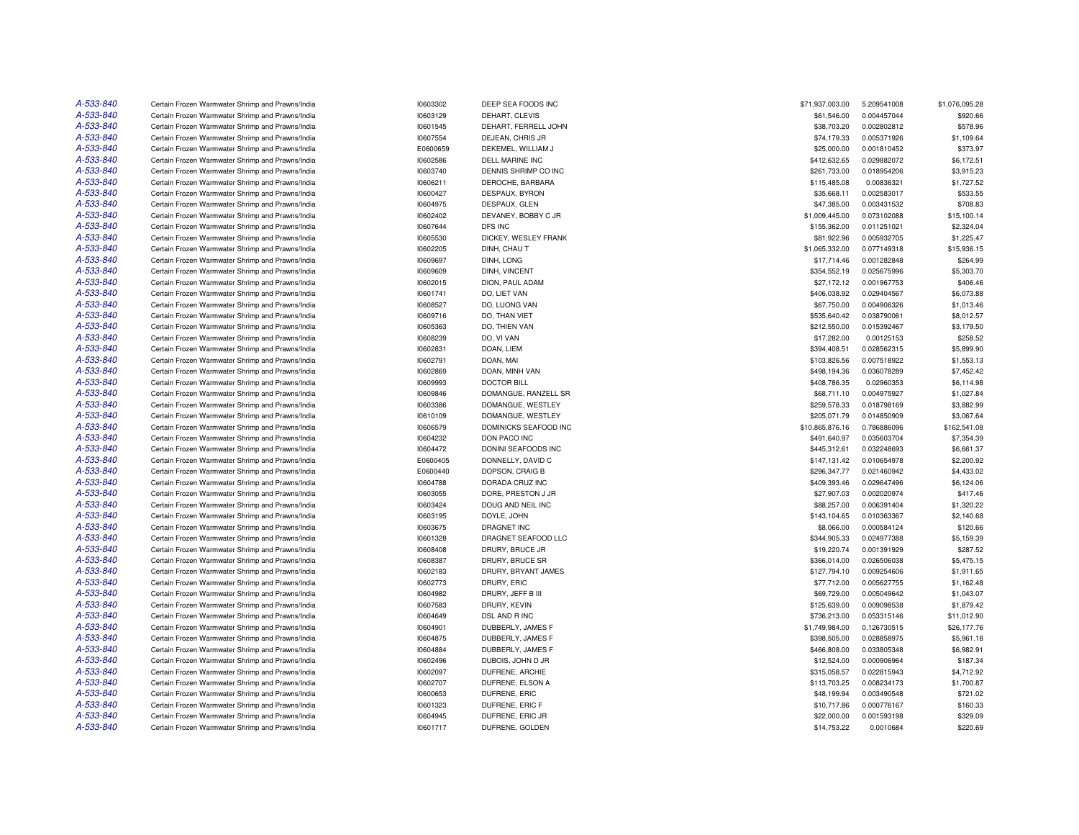| A-533-840 | Certain Frozen Warmwater Shrimp and Prawns/India | 10603302 | DEEP SEA FOODS INC    | \$71,937,003.00 | 5.209541008 | \$1,076,095.28 |
|-----------|--------------------------------------------------|----------|-----------------------|-----------------|-------------|----------------|
| A-533-840 | Certain Frozen Warmwater Shrimp and Prawns/India | 10603129 | DEHART, CLEVIS        | \$61,546.00     | 0.004457044 | \$920.66       |
| A-533-840 | Certain Frozen Warmwater Shrimp and Prawns/India | 10601545 | DEHART, FERRELL JOHN  | \$38,703.20     | 0.002802812 | \$578.96       |
| A-533-840 | Certain Frozen Warmwater Shrimp and Prawns/India | 10607554 | DEJEAN, CHRIS JR      | \$74,179.33     | 0.005371926 | \$1,109.64     |
| A-533-840 | Certain Frozen Warmwater Shrimp and Prawns/India | E0600659 | DEKEMEL, WILLIAM J    | \$25,000.00     | 0.001810452 | \$373.97       |
| A-533-840 | Certain Frozen Warmwater Shrimp and Prawns/India | 10602586 | DELL MARINE INC       | \$412,632.65    | 0.029882072 | \$6,172.51     |
| A-533-840 |                                                  |          |                       |                 |             |                |
| A-533-840 | Certain Frozen Warmwater Shrimp and Prawns/India | 10603740 | DENNIS SHRIMP CO INC  | \$261,733.00    | 0.018954206 | \$3,915.23     |
| A-533-840 | Certain Frozen Warmwater Shrimp and Prawns/India | 10606211 | DEROCHE, BARBARA      | \$115,485.08    | 0.00836321  | \$1,727.52     |
|           | Certain Frozen Warmwater Shrimp and Prawns/India | 10600427 | DESPAUX, BYRON        | \$35,668.11     | 0.002583017 | \$533.55       |
| A-533-840 | Certain Frozen Warmwater Shrimp and Prawns/India | 10604975 | DESPAUX, GLEN         | \$47,385.00     | 0.003431532 | \$708.83       |
| A-533-840 | Certain Frozen Warmwater Shrimp and Prawns/India | 10602402 | DEVANEY, BOBBY C JR   | \$1,009,445.00  | 0.073102088 | \$15,100.14    |
| A-533-840 | Certain Frozen Warmwater Shrimp and Prawns/India | 10607644 | DFS INC               | \$155,362.00    | 0.011251021 | \$2,324.04     |
| A-533-840 | Certain Frozen Warmwater Shrimp and Prawns/India | 10605530 | DICKEY, WESLEY FRANK  | \$81,922.96     | 0.005932705 | \$1,225.47     |
| A-533-840 | Certain Frozen Warmwater Shrimp and Prawns/India | 10602205 | DINH, CHAU T          | \$1,065,332.00  | 0.077149318 | \$15,936.15    |
| A-533-840 | Certain Frozen Warmwater Shrimp and Prawns/India | 10609697 | DINH, LONG            | \$17,714.46     | 0.001282848 | \$264.99       |
| A-533-840 | Certain Frozen Warmwater Shrimp and Prawns/India | 10609609 | DINH, VINCENT         | \$354,552.19    | 0.025675996 | \$5,303.70     |
| A-533-840 | Certain Frozen Warmwater Shrimp and Prawns/India | 10602015 | DION, PAUL ADAM       | \$27,172.12     | 0.001967753 | \$406.46       |
| A-533-840 | Certain Frozen Warmwater Shrimp and Prawns/India | 10601741 | DO. LIET VAN          | \$406,038.92    | 0.029404567 | \$6,073.88     |
| A-533-840 | Certain Frozen Warmwater Shrimp and Prawns/India | 10608527 | DO, LUONG VAN         | \$67,750.00     | 0.004906326 | \$1,013.46     |
| A-533-840 | Certain Frozen Warmwater Shrimp and Prawns/India | 10609716 | DO, THAN VIET         | \$535,640.42    | 0.038790061 | \$8,012.57     |
| A-533-840 | Certain Frozen Warmwater Shrimp and Prawns/India | 10605363 | DO, THIEN VAN         | \$212,550.00    | 0.015392467 | \$3,179.50     |
| A-533-840 | Certain Frozen Warmwater Shrimp and Prawns/India | 10608239 | DO, VI VAN            | \$17,282.00     | 0.00125153  | \$258.52       |
| A-533-840 | Certain Frozen Warmwater Shrimp and Prawns/India | 10602831 | DOAN, LIEM            | \$394,408.51    | 0.028562315 | \$5,899.90     |
| A-533-840 | Certain Frozen Warmwater Shrimp and Prawns/India | 10602791 | DOAN, MAI             | \$103,826.56    | 0.007518922 | \$1,553.13     |
| A-533-840 | Certain Frozen Warmwater Shrimp and Prawns/India | 10602869 | DOAN, MINH VAN        | \$498,194.36    | 0.036078289 | \$7,452.42     |
| A-533-840 | Certain Frozen Warmwater Shrimp and Prawns/India | 10609993 | <b>DOCTOR BILL</b>    | \$408,786.35    | 0.02960353  | \$6,114.98     |
| A-533-840 | Certain Frozen Warmwater Shrimp and Prawns/India | 10609846 | DOMANGUE, RANZELL SR  | \$68,711.10     | 0.004975927 | \$1,027.84     |
| A-533-840 | Certain Frozen Warmwater Shrimp and Prawns/India | 10603386 | DOMANGUE, WESTLEY     | \$259,578.33    | 0.018798169 | \$3,882.99     |
| A-533-840 | Certain Frozen Warmwater Shrimp and Prawns/India | 10610109 | DOMANGUE, WESTLEY     | \$205,071.79    | 0.014850909 | \$3,067.64     |
| A-533-840 | Certain Frozen Warmwater Shrimp and Prawns/India | 10606579 | DOMINICKS SEAFOOD INC | \$10,865,876.16 | 0.786886096 | \$162,541.08   |
| A-533-840 | Certain Frozen Warmwater Shrimp and Prawns/India | 10604232 | DON PACO INC          | \$491,640.97    | 0.035603704 | \$7,354.39     |
| A-533-840 | Certain Frozen Warmwater Shrimp and Prawns/India | 10604472 | DONINI SEAFOODS INC   | \$445,312.61    | 0.032248693 | \$6,661.37     |
| A-533-840 | Certain Frozen Warmwater Shrimp and Prawns/India | E0600405 | DONNELLY, DAVID C     | \$147,131.42    | 0.010654978 | \$2,200.92     |
| A-533-840 | Certain Frozen Warmwater Shrimp and Prawns/India | E0600440 | DOPSON, CRAIG B       | \$296,347.77    | 0.021460942 | \$4,433.02     |
| A-533-840 | Certain Frozen Warmwater Shrimp and Prawns/India | 10604788 | DORADA CRUZ INC       | \$409,393.46    | 0.029647496 | \$6,124.06     |
| A-533-840 | Certain Frozen Warmwater Shrimp and Prawns/India | 10603055 | DORE, PRESTON J JR    | \$27,907.03     | 0.002020974 | \$417.46       |
| A-533-840 | Certain Frozen Warmwater Shrimp and Prawns/India | 10603424 | DOUG AND NEIL INC     | \$88,257.00     | 0.006391404 | \$1,320.22     |
| A-533-840 | Certain Frozen Warmwater Shrimp and Prawns/India | 10603195 | DOYLE, JOHN           | \$143,104.65    | 0.010363367 | \$2,140.68     |
| A-533-840 | Certain Frozen Warmwater Shrimp and Prawns/India | 10603675 | DRAGNET INC           | \$8,066.00      | 0.000584124 | \$120.66       |
| A-533-840 | Certain Frozen Warmwater Shrimp and Prawns/India | 10601328 | DRAGNET SEAFOOD LLC   | \$344,905.33    | 0.024977388 | \$5,159.39     |
| A-533-840 | Certain Frozen Warmwater Shrimp and Prawns/India | 10608408 | DRURY, BRUCE JR       | \$19,220.74     | 0.001391929 | \$287.52       |
| A-533-840 | Certain Frozen Warmwater Shrimp and Prawns/India | 10608387 | DRURY, BRUCE SR       | \$366,014.00    | 0.026506038 | \$5,475.15     |
| A-533-840 | Certain Frozen Warmwater Shrimp and Prawns/India | 10602183 | DRURY, BRYANT JAMES   | \$127,794.10    | 0.009254606 | \$1,911.65     |
| A-533-840 | Certain Frozen Warmwater Shrimp and Prawns/India | 10602773 | DRURY, ERIC           | \$77,712.00     | 0.005627755 | \$1,162.48     |
| A-533-840 | Certain Frozen Warmwater Shrimp and Prawns/India | 10604982 | DRURY, JEFF B III     | \$69,729.00     | 0.005049642 | \$1,043.07     |
| A-533-840 | Certain Frozen Warmwater Shrimp and Prawns/India | 10607583 | DRURY, KEVIN          | \$125,639.00    | 0.009098538 | \$1,879.42     |
| A-533-840 | Certain Frozen Warmwater Shrimp and Prawns/India | 10604649 | DSL AND R INC         | \$736,213.00    | 0.053315146 | \$11,012.90    |
| A-533-840 | Certain Frozen Warmwater Shrimp and Prawns/India | 10604901 | DUBBERLY, JAMES F     | \$1,749,984.00  | 0.126730515 | \$26,177.76    |
| A-533-840 | Certain Frozen Warmwater Shrimp and Prawns/India | 10604875 | DUBBERLY, JAMES F     | \$398,505.00    | 0.028858975 | \$5,961.18     |
| A-533-840 | Certain Frozen Warmwater Shrimp and Prawns/India | 10604884 | DUBBERLY, JAMES F     | \$466,808.00    | 0.033805348 | \$6,982.91     |
| A-533-840 | Certain Frozen Warmwater Shrimp and Prawns/India | 10602496 | DUBOIS, JOHN D JR     | \$12,524.00     | 0.000906964 | \$187.34       |
| A-533-840 | Certain Frozen Warmwater Shrimp and Prawns/India | 10602097 | DUFRENE, ARCHIE       | \$315,058.57    | 0.022815943 | \$4,712.92     |
| A-533-840 | Certain Frozen Warmwater Shrimp and Prawns/India | 10602707 | DUFRENE, ELSON A      | \$113,703.25    | 0.008234173 | \$1,700.87     |
| A-533-840 | Certain Frozen Warmwater Shrimp and Prawns/India | 10600653 | DUFRENE, ERIC         | \$48,199.94     | 0.003490548 | \$721.02       |
| A-533-840 | Certain Frozen Warmwater Shrimp and Prawns/India | 10601323 | DUFRENE, ERIC F       | \$10,717.86     | 0.000776167 | \$160.33       |
| A-533-840 | Certain Frozen Warmwater Shrimp and Prawns/India | 10604945 | DUFRENE, ERIC JR      | \$22,000.00     | 0.001593198 | \$329.09       |
| A-533-840 | Certain Frozen Warmwater Shrimp and Prawns/India | 10601717 | DUFRENE, GOLDEN       | \$14,753.22     | 0.0010684   | \$220.69       |
|           |                                                  |          |                       |                 |             |                |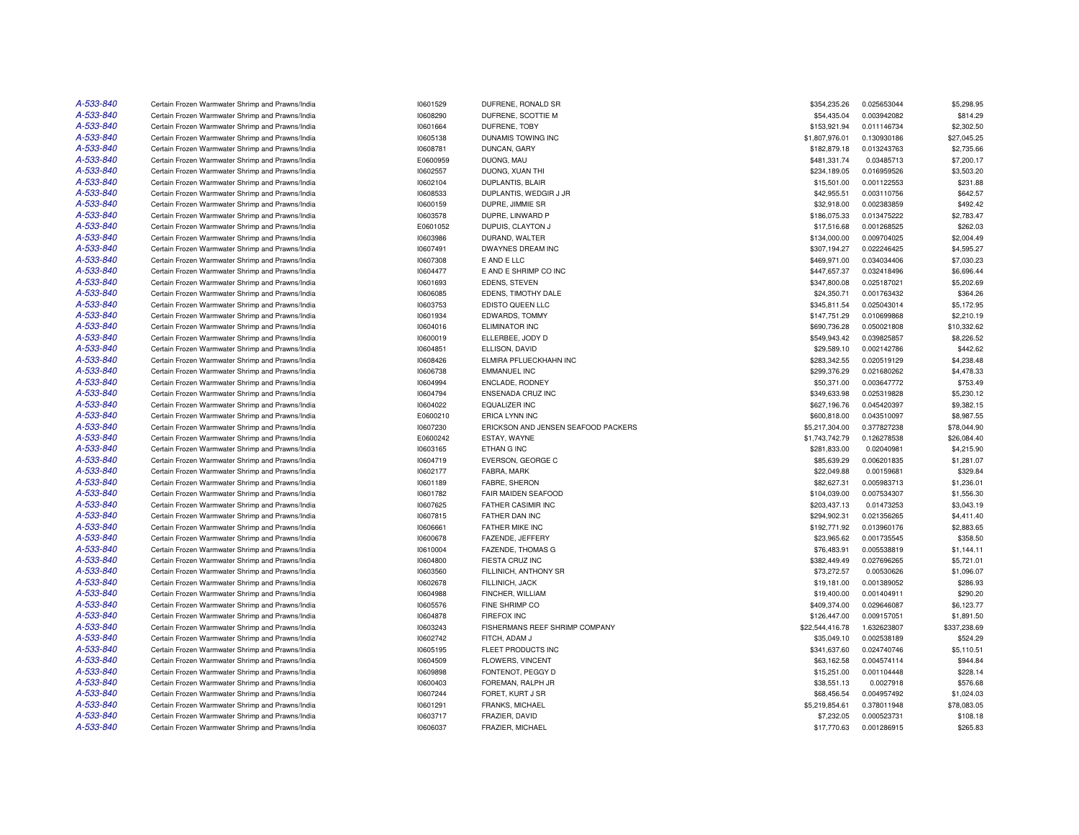| A-533-840 | Certain Frozen Warmwater Shrimp and Prawns/India | 10601529 | DUFRENE, RONALD SR                  | \$354,235.26    | 0.025653044 | \$5,298.95   |
|-----------|--------------------------------------------------|----------|-------------------------------------|-----------------|-------------|--------------|
| A-533-840 | Certain Frozen Warmwater Shrimp and Prawns/India | 10608290 | DUFRENE, SCOTTIE M                  | \$54,435.04     | 0.003942082 | \$814.29     |
| A-533-840 | Certain Frozen Warmwater Shrimp and Prawns/India | 10601664 | DUFRENE, TOBY                       | \$153,921.94    | 0.011146734 | \$2,302.50   |
| A-533-840 | Certain Frozen Warmwater Shrimp and Prawns/India | 10605138 | DUNAMIS TOWING INC                  | \$1,807,976.01  | 0.130930186 | \$27,045.25  |
| A-533-840 | Certain Frozen Warmwater Shrimp and Prawns/India | 10608781 | DUNCAN, GARY                        | \$182,879.18    | 0.013243763 | \$2,735.66   |
| A-533-840 | Certain Frozen Warmwater Shrimp and Prawns/India | E0600959 | DUONG, MAU                          | \$481,331.74    | 0.03485713  | \$7,200.17   |
| A-533-840 | Certain Frozen Warmwater Shrimp and Prawns/India | 10602557 | DUONG, XUAN THI                     | \$234,189.05    | 0.016959526 | \$3,503.20   |
| A-533-840 | Certain Frozen Warmwater Shrimp and Prawns/India | 10602104 | DUPLANTIS, BLAIR                    | \$15,501.00     | 0.001122553 | \$231.88     |
| A-533-840 | Certain Frozen Warmwater Shrimp and Prawns/India | 10608533 | DUPLANTIS, WEDGIR J JR              | \$42,955.51     | 0.003110756 | \$642.57     |
| A-533-840 | Certain Frozen Warmwater Shrimp and Prawns/India | 10600159 | DUPRE, JIMMIE SR                    | \$32,918.00     | 0.002383859 | \$492.42     |
| A-533-840 | Certain Frozen Warmwater Shrimp and Prawns/India | 10603578 | DUPRE, LINWARD P                    | \$186,075.33    | 0.013475222 | \$2,783.47   |
| A-533-840 | Certain Frozen Warmwater Shrimp and Prawns/India | E0601052 | DUPUIS, CLAYTON J                   | \$17,516.68     | 0.001268525 | \$262.03     |
| A-533-840 | Certain Frozen Warmwater Shrimp and Prawns/India | 10603986 | DURAND, WALTER                      | \$134,000.00    | 0.009704025 | \$2,004.49   |
| A-533-840 | Certain Frozen Warmwater Shrimp and Prawns/India | 10607491 | DWAYNES DREAM INC                   | \$307,194.27    | 0.022246425 | \$4,595.27   |
| A-533-840 | Certain Frozen Warmwater Shrimp and Prawns/India | 10607308 | E AND E LLC                         | \$469,971.00    | 0.034034406 | \$7,030.23   |
| A-533-840 | Certain Frozen Warmwater Shrimp and Prawns/India | 10604477 | E AND E SHRIMP CO INC               | \$447,657.37    | 0.032418496 | \$6,696.44   |
| A-533-840 | Certain Frozen Warmwater Shrimp and Prawns/India | 10601693 | EDENS, STEVEN                       | \$347,800.08    | 0.025187021 | \$5,202.69   |
| A-533-840 | Certain Frozen Warmwater Shrimp and Prawns/India | 10606085 | EDENS, TIMOTHY DALE                 | \$24,350.71     | 0.001763432 | \$364.26     |
| A-533-840 | Certain Frozen Warmwater Shrimp and Prawns/India | 10603753 | EDISTO QUEEN LLC                    | \$345,811.54    | 0.025043014 | \$5,172.95   |
| A-533-840 | Certain Frozen Warmwater Shrimp and Prawns/India | 10601934 | EDWARDS, TOMMY                      | \$147,751.29    | 0.010699868 | \$2,210.19   |
| A-533-840 | Certain Frozen Warmwater Shrimp and Prawns/India | 10604016 | ELIMINATOR INC                      | \$690,736.28    | 0.050021808 | \$10,332.62  |
| A-533-840 | Certain Frozen Warmwater Shrimp and Prawns/India | 10600019 | ELLERBEE, JODY D                    | \$549,943.42    | 0.039825857 | \$8,226.52   |
| A-533-840 | Certain Frozen Warmwater Shrimp and Prawns/India | 10604851 | ELLISON, DAVID                      | \$29,589.10     | 0.002142786 | \$442.62     |
| A-533-840 | Certain Frozen Warmwater Shrimp and Prawns/India | 10608426 | ELMIRA PFLUECKHAHN INC              | \$283,342.55    | 0.020519129 | \$4,238.48   |
| A-533-840 | Certain Frozen Warmwater Shrimp and Prawns/India | 10606738 | <b>EMMANUEL INC</b>                 | \$299,376.29    | 0.021680262 | \$4,478.33   |
| A-533-840 | Certain Frozen Warmwater Shrimp and Prawns/India | 10604994 | ENCLADE, RODNEY                     | \$50,371.00     | 0.003647772 | \$753.49     |
| A-533-840 | Certain Frozen Warmwater Shrimp and Prawns/India | 10604794 | <b>ENSENADA CRUZ INC</b>            | \$349,633.98    | 0.025319828 | \$5,230.12   |
| A-533-840 | Certain Frozen Warmwater Shrimp and Prawns/India | 10604022 | EQUALIZER INC                       | \$627,196.76    | 0.045420397 | \$9,382.15   |
| A-533-840 | Certain Frozen Warmwater Shrimp and Prawns/India | E0600210 | <b>ERICA LYNN INC</b>               | \$600,818.00    | 0.043510097 | \$8,987.55   |
| A-533-840 | Certain Frozen Warmwater Shrimp and Prawns/India | 10607230 | ERICKSON AND JENSEN SEAFOOD PACKERS | \$5,217,304.00  | 0.377827238 | \$78,044.90  |
| A-533-840 | Certain Frozen Warmwater Shrimp and Prawns/India | E0600242 | ESTAY, WAYNE                        | \$1,743,742.79  | 0.126278538 | \$26,084.40  |
| A-533-840 | Certain Frozen Warmwater Shrimp and Prawns/India | 10603165 | ETHAN G INC                         | \$281,833.00    | 0.02040981  | \$4,215.90   |
| A-533-840 | Certain Frozen Warmwater Shrimp and Prawns/India | 10604719 | EVERSON, GEORGE C                   | \$85,639.29     | 0.006201835 | \$1,281.07   |
| A-533-840 | Certain Frozen Warmwater Shrimp and Prawns/India | 10602177 | FABRA, MARK                         | \$22,049.88     | 0.00159681  | \$329.84     |
| A-533-840 | Certain Frozen Warmwater Shrimp and Prawns/India | 10601189 | FABRE, SHERON                       | \$82,627.31     | 0.005983713 | \$1,236.01   |
| A-533-840 | Certain Frozen Warmwater Shrimp and Prawns/India | 10601782 | FAIR MAIDEN SEAFOOD                 | \$104,039.00    | 0.007534307 | \$1,556.30   |
| A-533-840 | Certain Frozen Warmwater Shrimp and Prawns/India | 10607625 | FATHER CASIMIR INC                  | \$203,437.13    | 0.01473253  | \$3,043.19   |
| A-533-840 | Certain Frozen Warmwater Shrimp and Prawns/India | 10607815 | FATHER DAN INC                      | \$294,902.31    | 0.021356265 | \$4,411.40   |
| A-533-840 | Certain Frozen Warmwater Shrimp and Prawns/India | 10606661 | FATHER MIKE INC                     | \$192,771.92    | 0.013960176 | \$2,883.65   |
| A-533-840 | Certain Frozen Warmwater Shrimp and Prawns/India | 10600678 | FAZENDE, JEFFERY                    | \$23,965.62     | 0.001735545 | \$358.50     |
| A-533-840 | Certain Frozen Warmwater Shrimp and Prawns/India | 10610004 | <b>FAZENDE, THOMAS G</b>            | \$76,483.91     | 0.005538819 | \$1,144.11   |
| A-533-840 | Certain Frozen Warmwater Shrimp and Prawns/India | 10604800 | FIESTA CRUZ INC                     | \$382,449.49    | 0.027696265 | \$5,721.01   |
| A-533-840 | Certain Frozen Warmwater Shrimp and Prawns/India | 10603560 | FILLINICH, ANTHONY SR               | \$73,272.57     | 0.00530626  | \$1,096.07   |
| A-533-840 | Certain Frozen Warmwater Shrimp and Prawns/India | 10602678 | FILLINICH, JACK                     | \$19,181.00     | 0.001389052 | \$286.93     |
| A-533-840 | Certain Frozen Warmwater Shrimp and Prawns/India | 10604988 | FINCHER, WILLIAM                    | \$19,400.00     | 0.001404911 | \$290.20     |
| A-533-840 | Certain Frozen Warmwater Shrimp and Prawns/India | 10605576 | FINE SHRIMP CO                      | \$409,374.00    | 0.029646087 | \$6,123.77   |
| A-533-840 | Certain Frozen Warmwater Shrimp and Prawns/India | 10604878 | <b>FIREFOX INC</b>                  | \$126,447.00    | 0.009157051 | \$1,891.50   |
| A-533-840 | Certain Frozen Warmwater Shrimp and Prawns/India | 10603243 | FISHERMANS REEF SHRIMP COMPANY      | \$22,544,416.78 | 1.632623807 | \$337,238.69 |
| A-533-840 | Certain Frozen Warmwater Shrimp and Prawns/India | 10602742 | FITCH, ADAM J                       | \$35,049.10     | 0.002538189 | \$524.29     |
| A-533-840 | Certain Frozen Warmwater Shrimp and Prawns/India | 10605195 | FLEET PRODUCTS INC                  | \$341,637.60    | 0.024740746 | \$5,110.51   |
| A-533-840 | Certain Frozen Warmwater Shrimp and Prawns/India | 10604509 | FLOWERS, VINCENT                    | \$63,162.58     | 0.004574114 | \$944.84     |
| A-533-840 | Certain Frozen Warmwater Shrimp and Prawns/India | 10609898 | FONTENOT, PEGGY D                   | \$15,251.00     | 0.001104448 | \$228.14     |
| A-533-840 | Certain Frozen Warmwater Shrimp and Prawns/India | 10600403 | FOREMAN, RALPH JR                   | \$38,551.13     | 0.0027918   | \$576.68     |
| A-533-840 | Certain Frozen Warmwater Shrimp and Prawns/India | 10607244 | FORET, KURT J SR                    | \$68,456.54     | 0.004957492 | \$1,024.03   |
| A-533-840 | Certain Frozen Warmwater Shrimp and Prawns/India | 10601291 | FRANKS, MICHAEL                     | \$5,219,854.61  | 0.378011948 | \$78,083.05  |
| A-533-840 | Certain Frozen Warmwater Shrimp and Prawns/India | 10603717 | FRAZIER, DAVID                      | \$7,232.05      | 0.000523731 | \$108.18     |
| A-533-840 | Certain Frozen Warmwater Shrimp and Prawns/India | 10606037 | FRAZIER, MICHAEL                    | \$17,770.63     | 0.001286915 | \$265.83     |
|           |                                                  |          |                                     |                 |             |              |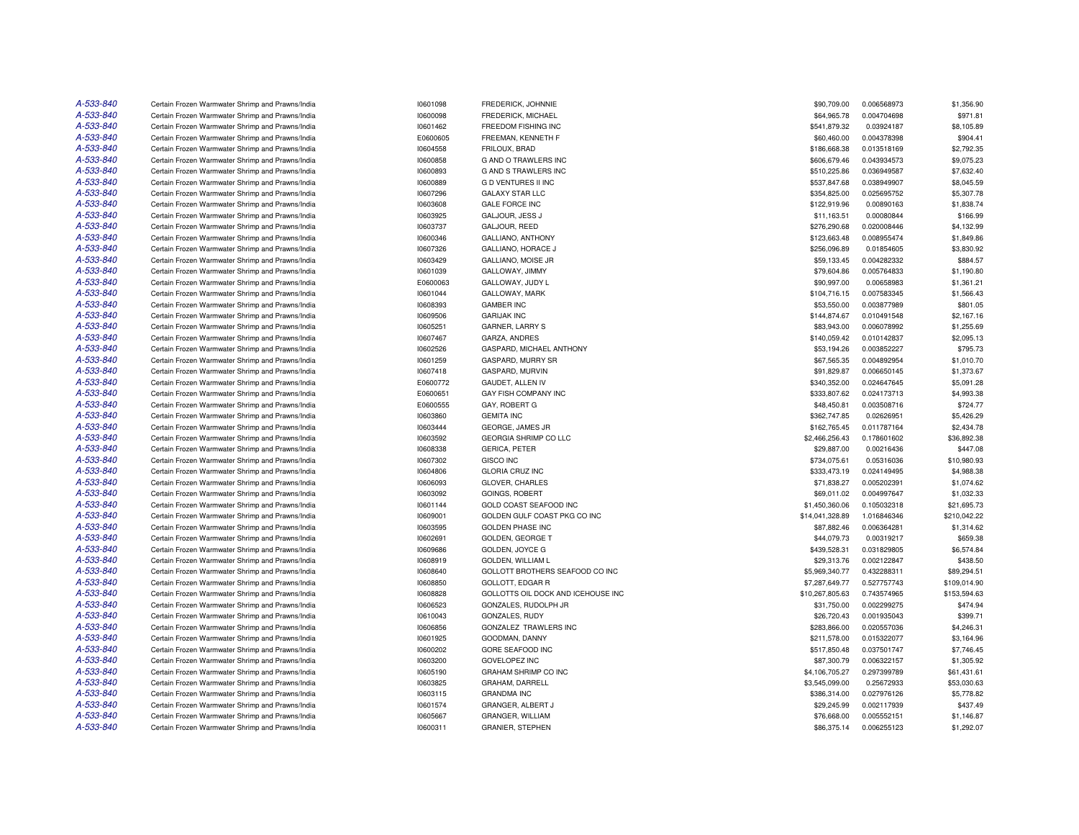| A-533-840 | Certain Frozen Warmwater Shrimp and Prawns/India | 10601098 | <b>FREDERICK, JOHNNIE</b>          | \$90,709.00     | 0.006568973 | \$1,356.90   |
|-----------|--------------------------------------------------|----------|------------------------------------|-----------------|-------------|--------------|
| A-533-840 | Certain Frozen Warmwater Shrimp and Prawns/India | 10600098 | FREDERICK, MICHAEL                 | \$64,965.78     | 0.004704698 | \$971.81     |
| A-533-840 | Certain Frozen Warmwater Shrimp and Prawns/India | 10601462 | FREEDOM FISHING INC                | \$541,879.32    | 0.03924187  | \$8,105.89   |
| A-533-840 | Certain Frozen Warmwater Shrimp and Prawns/India | E0600605 | FREEMAN, KENNETH F                 | \$60,460.00     | 0.004378398 | \$904.41     |
| A-533-840 | Certain Frozen Warmwater Shrimp and Prawns/India | 10604558 | FRILOUX, BRAD                      | \$186,668.38    | 0.013518169 | \$2,792.35   |
| A-533-840 | Certain Frozen Warmwater Shrimp and Prawns/India | 10600858 | <b>G AND O TRAWLERS INC</b>        | \$606,679.46    | 0.043934573 | \$9,075.23   |
| A-533-840 | Certain Frozen Warmwater Shrimp and Prawns/India | 10600893 | <b>G AND S TRAWLERS INC</b>        | \$510,225.86    | 0.036949587 | \$7,632.40   |
| A-533-840 | Certain Frozen Warmwater Shrimp and Prawns/India | 10600889 | <b>GD VENTURES II INC</b>          | \$537,847.68    | 0.038949907 | \$8,045.59   |
| A-533-840 | Certain Frozen Warmwater Shrimp and Prawns/India | 10607296 | <b>GALAXY STAR LLC</b>             | \$354,825.00    | 0.025695752 | \$5,307.78   |
| A-533-840 | Certain Frozen Warmwater Shrimp and Prawns/India | 10603608 | <b>GALE FORCE INC</b>              | \$122,919.96    | 0.00890163  | \$1,838.74   |
| A-533-840 | Certain Frozen Warmwater Shrimp and Prawns/India | 10603925 | GALJOUR, JESS J                    | \$11,163.51     | 0.00080844  | \$166.99     |
| A-533-840 | Certain Frozen Warmwater Shrimp and Prawns/India | 10603737 | GALJOUR, REED                      | \$276,290.68    | 0.020008446 | \$4,132.99   |
| A-533-840 | Certain Frozen Warmwater Shrimp and Prawns/India | 10600346 | GALLIANO, ANTHONY                  | \$123,663.48    | 0.008955474 | \$1,849.86   |
| A-533-840 | Certain Frozen Warmwater Shrimp and Prawns/India | 10607326 | GALLIANO, HORACE J                 | \$256,096.89    | 0.01854605  | \$3,830.92   |
| A-533-840 | Certain Frozen Warmwater Shrimp and Prawns/India | 10603429 | GALLIANO, MOISE JR                 | \$59,133.45     | 0.004282332 | \$884.57     |
| A-533-840 | Certain Frozen Warmwater Shrimp and Prawns/India | 10601039 | GALLOWAY, JIMMY                    | \$79,604.86     | 0.005764833 | \$1,190.80   |
| A-533-840 | Certain Frozen Warmwater Shrimp and Prawns/India | E0600063 | GALLOWAY, JUDY L                   | \$90,997.00     | 0.00658983  | \$1,361.21   |
| A-533-840 |                                                  |          |                                    |                 |             |              |
| A-533-840 | Certain Frozen Warmwater Shrimp and Prawns/India | 10601044 | GALLOWAY, MARK                     | \$104,716.15    | 0.007583345 | \$1,566.43   |
|           | Certain Frozen Warmwater Shrimp and Prawns/India | 10608393 | <b>GAMBER INC</b>                  | \$53,550.00     | 0.003877989 | \$801.05     |
| A-533-840 | Certain Frozen Warmwater Shrimp and Prawns/India | 10609506 | <b>GARIJAK INC</b>                 | \$144,874.67    | 0.010491548 | \$2,167.16   |
| A-533-840 | Certain Frozen Warmwater Shrimp and Prawns/India | 10605251 | GARNER, LARRY S                    | \$83,943.00     | 0.006078992 | \$1,255.69   |
| A-533-840 | Certain Frozen Warmwater Shrimp and Prawns/India | 10607467 | GARZA, ANDRES                      | \$140,059.42    | 0.010142837 | \$2,095.13   |
| A-533-840 | Certain Frozen Warmwater Shrimp and Prawns/India | 10602526 | GASPARD, MICHAEL ANTHONY           | \$53,194.26     | 0.003852227 | \$795.73     |
| A-533-840 | Certain Frozen Warmwater Shrimp and Prawns/India | 10601259 | GASPARD, MURRY SR                  | \$67,565.35     | 0.004892954 | \$1,010.70   |
| A-533-840 | Certain Frozen Warmwater Shrimp and Prawns/India | 10607418 | GASPARD, MURVIN                    | \$91,829.87     | 0.006650145 | \$1,373.67   |
| A-533-840 | Certain Frozen Warmwater Shrimp and Prawns/India | E0600772 | GAUDET, ALLEN IV                   | \$340,352.00    | 0.024647645 | \$5,091.28   |
| A-533-840 | Certain Frozen Warmwater Shrimp and Prawns/India | E0600651 | GAY FISH COMPANY INC               | \$333,807.62    | 0.024173713 | \$4,993.38   |
| A-533-840 | Certain Frozen Warmwater Shrimp and Prawns/India | E0600555 | GAY, ROBERT G                      | \$48,450.81     | 0.003508716 | \$724.77     |
| A-533-840 | Certain Frozen Warmwater Shrimp and Prawns/India | 10603860 | <b>GEMITA INC</b>                  | \$362,747.85    | 0.02626951  | \$5,426.29   |
| A-533-840 | Certain Frozen Warmwater Shrimp and Prawns/India | 10603444 | GEORGE, JAMES JR                   | \$162,765.45    | 0.011787164 | \$2,434.78   |
| A-533-840 | Certain Frozen Warmwater Shrimp and Prawns/India | 10603592 | GEORGIA SHRIMP CO LLC              | \$2,466,256.43  | 0.178601602 | \$36,892.38  |
| A-533-840 | Certain Frozen Warmwater Shrimp and Prawns/India | 10608338 | <b>GERICA, PETER</b>               | \$29,887.00     | 0.00216436  | \$447.08     |
| A-533-840 | Certain Frozen Warmwater Shrimp and Prawns/India | 10607302 | <b>GISCO INC</b>                   | \$734,075.61    | 0.05316036  | \$10,980.93  |
| A-533-840 | Certain Frozen Warmwater Shrimp and Prawns/India | 10604806 | <b>GLORIA CRUZ INC</b>             | \$333,473.19    | 0.024149495 | \$4,988.38   |
| A-533-840 | Certain Frozen Warmwater Shrimp and Prawns/India | 10606093 | GLOVER, CHARLES                    | \$71,838.27     | 0.005202391 | \$1,074.62   |
| A-533-840 | Certain Frozen Warmwater Shrimp and Prawns/India | 10603092 | <b>GOINGS, ROBERT</b>              | \$69,011.02     | 0.004997647 | \$1,032.33   |
| A-533-840 | Certain Frozen Warmwater Shrimp and Prawns/India | 10601144 | GOLD COAST SEAFOOD INC             | \$1,450,360.06  | 0.105032318 | \$21,695.73  |
| A-533-840 | Certain Frozen Warmwater Shrimp and Prawns/India | 10609001 | GOLDEN GULF COAST PKG CO INC       | \$14,041,328.89 | 1.016846346 | \$210,042.22 |
| A-533-840 | Certain Frozen Warmwater Shrimp and Prawns/India | 10603595 | <b>GOLDEN PHASE INC</b>            | \$87,882.46     | 0.006364281 | \$1,314.62   |
| A-533-840 | Certain Frozen Warmwater Shrimp and Prawns/India | 10602691 | GOLDEN, GEORGE T                   | \$44,079.73     | 0.00319217  | \$659.38     |
| A-533-840 | Certain Frozen Warmwater Shrimp and Prawns/India | 10609686 | GOLDEN, JOYCE G                    | \$439,528.31    | 0.031829805 | \$6,574.84   |
| A-533-840 | Certain Frozen Warmwater Shrimp and Prawns/India | 10608919 | <b>GOLDEN, WILLIAM L</b>           | \$29,313.76     | 0.002122847 | \$438.50     |
| A-533-840 | Certain Frozen Warmwater Shrimp and Prawns/India | 10608640 | GOLLOTT BROTHERS SEAFOOD CO INC    | \$5,969,340.77  | 0.432288311 | \$89,294.51  |
| A-533-840 | Certain Frozen Warmwater Shrimp and Prawns/India | 10608850 | <b>GOLLOTT, EDGAR R</b>            | \$7,287,649.77  | 0.527757743 | \$109,014.90 |
| A-533-840 | Certain Frozen Warmwater Shrimp and Prawns/India | 10608828 | GOLLOTTS OIL DOCK AND ICEHOUSE INC | \$10,267,805.63 | 0.743574965 | \$153,594.63 |
| A-533-840 | Certain Frozen Warmwater Shrimp and Prawns/India | 10606523 | GONZALES, RUDOLPH JR               | \$31,750.00     | 0.002299275 | \$474.94     |
| A-533-840 | Certain Frozen Warmwater Shrimp and Prawns/India | 10610043 | GONZALES, RUDY                     | \$26,720.43     | 0.001935043 | \$399.71     |
| A-533-840 | Certain Frozen Warmwater Shrimp and Prawns/India | 10606856 | <b>GONZALEZ TRAWLERS INC</b>       | \$283,866.00    | 0.020557036 | \$4,246.31   |
| A-533-840 | Certain Frozen Warmwater Shrimp and Prawns/India | 10601925 | GOODMAN, DANNY                     | \$211,578.00    | 0.015322077 | \$3,164.96   |
| A-533-840 | Certain Frozen Warmwater Shrimp and Prawns/India | 10600202 | GORE SEAFOOD INC                   | \$517,850.48    | 0.037501747 | \$7,746.45   |
| A-533-840 | Certain Frozen Warmwater Shrimp and Prawns/India | 10603200 | <b>GOVELOPEZ INC</b>               | \$87,300.79     | 0.006322157 | \$1,305.92   |
| A-533-840 | Certain Frozen Warmwater Shrimp and Prawns/India | 10605190 | <b>GRAHAM SHRIMP CO INC</b>        | \$4,106,705.27  |             |              |
|           |                                                  |          |                                    |                 | 0.297399789 | \$61,431.61  |
| A-533-840 | Certain Frozen Warmwater Shrimp and Prawns/India | 10603825 | GRAHAM, DARRELL                    | \$3,545,099.00  | 0.25672933  | \$53,030.63  |
| A-533-840 | Certain Frozen Warmwater Shrimp and Prawns/India | 10603115 | <b>GRANDMA INC</b>                 | \$386,314.00    | 0.027976126 | \$5,778.82   |
| A-533-840 | Certain Frozen Warmwater Shrimp and Prawns/India | 10601574 | GRANGER, ALBERT J                  | \$29,245.99     | 0.002117939 | \$437.49     |
| A-533-840 | Certain Frozen Warmwater Shrimp and Prawns/India | 10605667 | <b>GRANGER, WILLIAM</b>            | \$76,668.00     | 0.005552151 | \$1,146.87   |
| A-533-840 | Certain Frozen Warmwater Shrimp and Prawns/India | 10600311 | <b>GRANIER, STEPHEN</b>            | \$86,375.14     | 0.006255123 | \$1,292.07   |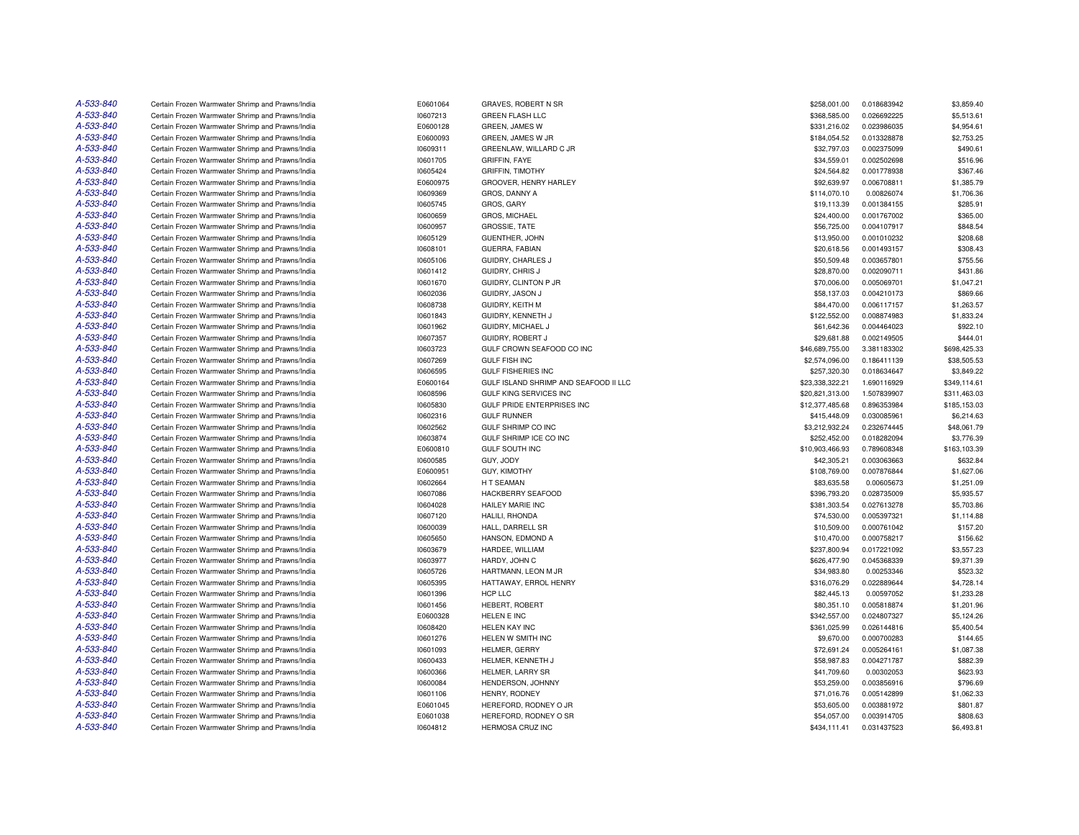| A-533-840 | Certain Frozen Warmwater Shrimp and Prawns/India                                                     | E0601064 | GRAVES, ROBERT N SR                   | \$258,001.00    | 0.018683942                | \$3,859.40   |
|-----------|------------------------------------------------------------------------------------------------------|----------|---------------------------------------|-----------------|----------------------------|--------------|
| A-533-840 | Certain Frozen Warmwater Shrimp and Prawns/India                                                     | 10607213 | <b>GREEN FLASH LLC</b>                | \$368,585.00    | 0.026692225                | \$5,513.61   |
| A-533-840 | Certain Frozen Warmwater Shrimp and Prawns/India                                                     | E0600128 | GREEN, JAMES W                        | \$331,216.02    | 0.023986035                | \$4,954.61   |
| A-533-840 | Certain Frozen Warmwater Shrimp and Prawns/India                                                     | E0600093 | GREEN, JAMES W JR                     | \$184,054.52    | 0.013328878                | \$2,753.25   |
| A-533-840 | Certain Frozen Warmwater Shrimp and Prawns/India                                                     | 10609311 | GREENLAW, WILLARD C JR                | \$32,797.03     | 0.002375099                | \$490.61     |
| A-533-840 | Certain Frozen Warmwater Shrimp and Prawns/India                                                     | 10601705 | <b>GRIFFIN, FAYE</b>                  | \$34,559.01     | 0.002502698                | \$516.96     |
| A-533-840 | Certain Frozen Warmwater Shrimp and Prawns/India                                                     | 10605424 | <b>GRIFFIN, TIMOTHY</b>               | \$24,564.82     | 0.001778938                | \$367.46     |
| A-533-840 | Certain Frozen Warmwater Shrimp and Prawns/India                                                     | E0600975 | GROOVER, HENRY HARLEY                 | \$92,639.97     | 0.006708811                | \$1,385.79   |
| A-533-840 | Certain Frozen Warmwater Shrimp and Prawns/India                                                     | 10609369 | GROS, DANNY A                         | \$114,070.10    | 0.00826074                 | \$1,706.36   |
| A-533-840 | Certain Frozen Warmwater Shrimp and Prawns/India                                                     | 10605745 | GROS, GARY                            | \$19,113.39     | 0.001384155                | \$285.91     |
| A-533-840 | Certain Frozen Warmwater Shrimp and Prawns/India                                                     | 10600659 | GROS, MICHAEL                         | \$24,400.00     | 0.001767002                | \$365.00     |
| A-533-840 | Certain Frozen Warmwater Shrimp and Prawns/India                                                     | 10600957 | <b>GROSSIE, TATE</b>                  | \$56,725.00     | 0.004107917                | \$848.54     |
| A-533-840 | Certain Frozen Warmwater Shrimp and Prawns/India                                                     | 10605129 | <b>GUENTHER, JOHN</b>                 | \$13,950.00     | 0.001010232                | \$208.68     |
| A-533-840 | Certain Frozen Warmwater Shrimp and Prawns/India                                                     | 10608101 | GUERRA, FABIAN                        | \$20,618.56     | 0.001493157                | \$308.43     |
| A-533-840 | Certain Frozen Warmwater Shrimp and Prawns/India                                                     | 10605106 | GUIDRY, CHARLES J                     | \$50,509.48     | 0.003657801                | \$755.56     |
| A-533-840 | Certain Frozen Warmwater Shrimp and Prawns/India                                                     | 10601412 | GUIDRY, CHRIS J                       | \$28,870.00     | 0.002090711                | \$431.86     |
| A-533-840 | Certain Frozen Warmwater Shrimp and Prawns/India                                                     | 10601670 | GUIDRY, CLINTON P JR                  | \$70,006.00     | 0.005069701                | \$1,047.21   |
| A-533-840 | Certain Frozen Warmwater Shrimp and Prawns/India                                                     | 10602036 | GUIDRY, JASON J                       | \$58,137.03     | 0.004210173                | \$869.66     |
| A-533-840 | Certain Frozen Warmwater Shrimp and Prawns/India                                                     | 10608738 | GUIDRY, KEITH M                       | \$84,470.00     | 0.006117157                | \$1,263.57   |
| A-533-840 | Certain Frozen Warmwater Shrimp and Prawns/India                                                     | 10601843 | GUIDRY, KENNETH J                     | \$122,552.00    | 0.008874983                | \$1,833.24   |
| A-533-840 | Certain Frozen Warmwater Shrimp and Prawns/India                                                     | 10601962 | GUIDRY, MICHAEL J                     | \$61,642.36     | 0.004464023                | \$922.10     |
| A-533-840 | Certain Frozen Warmwater Shrimp and Prawns/India                                                     | 10607357 | GUIDRY, ROBERT J                      | \$29,681.88     | 0.002149505                | \$444.01     |
| A-533-840 |                                                                                                      | 10603723 | GULF CROWN SEAFOOD CO INC             | \$46,689,755.00 |                            | \$698,425.33 |
| A-533-840 | Certain Frozen Warmwater Shrimp and Prawns/India<br>Certain Frozen Warmwater Shrimp and Prawns/India | 10607269 | <b>GULF FISH INC</b>                  | \$2,574,096.00  | 3.381183302<br>0.186411139 | \$38,505.53  |
| A-533-840 |                                                                                                      |          | <b>GULF FISHERIES INC</b>             |                 |                            |              |
| A-533-840 | Certain Frozen Warmwater Shrimp and Prawns/India                                                     | 10606595 |                                       | \$257,320.30    | 0.018634647                | \$3,849.22   |
|           | Certain Frozen Warmwater Shrimp and Prawns/India                                                     | E0600164 | GULF ISLAND SHRIMP AND SEAFOOD II LLC | \$23,338,322.21 | 1.690116929                | \$349,114.61 |
| A-533-840 | Certain Frozen Warmwater Shrimp and Prawns/India                                                     | 10608596 | GULF KING SERVICES INC                | \$20,821,313.00 | 1.507839907                | \$311,463.03 |
| A-533-840 | Certain Frozen Warmwater Shrimp and Prawns/India                                                     | 10605830 | <b>GULF PRIDE ENTERPRISES INC</b>     | \$12,377,485.68 | 0.896353984                | \$185,153.03 |
| A-533-840 | Certain Frozen Warmwater Shrimp and Prawns/India                                                     | 10602316 | <b>GULF RUNNER</b>                    | \$415,448.09    | 0.030085961                | \$6,214.63   |
| A-533-840 | Certain Frozen Warmwater Shrimp and Prawns/India                                                     | 10602562 | GULF SHRIMP CO INC                    | \$3,212,932.24  | 0.232674445                | \$48,061.79  |
| A-533-840 | Certain Frozen Warmwater Shrimp and Prawns/India                                                     | 10603874 | GULF SHRIMP ICE CO INC                | \$252,452.00    | 0.018282094                | \$3,776.39   |
| A-533-840 | Certain Frozen Warmwater Shrimp and Prawns/India                                                     | E0600810 | <b>GULF SOUTH INC</b>                 | \$10,903,466.93 | 0.789608348                | \$163,103,39 |
| A-533-840 | Certain Frozen Warmwater Shrimp and Prawns/India                                                     | 10600585 | GUY, JODY                             | \$42,305.21     | 0.003063663                | \$632.84     |
| A-533-840 | Certain Frozen Warmwater Shrimp and Prawns/India                                                     | E0600951 | <b>GUY, KIMOTHY</b>                   | \$108,769.00    | 0.007876844                | \$1,627.06   |
| A-533-840 | Certain Frozen Warmwater Shrimp and Prawns/India                                                     | 10602664 | H T SEAMAN                            | \$83,635.58     | 0.00605673                 | \$1,251.09   |
| A-533-840 | Certain Frozen Warmwater Shrimp and Prawns/India                                                     | 10607086 | <b>HACKBERRY SEAFOOD</b>              | \$396,793.20    | 0.028735009                | \$5,935.57   |
| A-533-840 | Certain Frozen Warmwater Shrimp and Prawns/India                                                     | 10604028 | <b>HAILEY MARIE INC</b>               | \$381,303.54    | 0.027613278                | \$5,703.86   |
| A-533-840 | Certain Frozen Warmwater Shrimp and Prawns/India                                                     | 10607120 | HALILI, RHONDA                        | \$74,530.00     | 0.005397321                | \$1,114.88   |
| A-533-840 | Certain Frozen Warmwater Shrimp and Prawns/India                                                     | 10600039 | HALL, DARRELL SR                      | \$10,509.00     | 0.000761042                | \$157.20     |
| A-533-840 | Certain Frozen Warmwater Shrimp and Prawns/India                                                     | 10605650 | HANSON, EDMOND A                      | \$10,470.00     | 0.000758217                | \$156.62     |
| A-533-840 | Certain Frozen Warmwater Shrimp and Prawns/India                                                     | 10603679 | HARDEE, WILLIAM                       | \$237,800.94    | 0.017221092                | \$3,557.23   |
| A-533-840 | Certain Frozen Warmwater Shrimp and Prawns/India                                                     | 10603977 | HARDY, JOHN C                         | \$626,477.90    | 0.045368339                | \$9,371.39   |
| A-533-840 | Certain Frozen Warmwater Shrimp and Prawns/India                                                     | 10605726 | HARTMANN, LEON M JR                   | \$34,983.80     | 0.00253346                 | \$523.32     |
| A-533-840 | Certain Frozen Warmwater Shrimp and Prawns/India                                                     | 10605395 | HATTAWAY, ERROL HENRY                 | \$316,076.29    | 0.022889644                | \$4,728.14   |
| A-533-840 | Certain Frozen Warmwater Shrimp and Prawns/India                                                     | 10601396 | HCP LLC                               | \$82,445.13     | 0.00597052                 | \$1,233.28   |
| A-533-840 | Certain Frozen Warmwater Shrimp and Prawns/India                                                     | 10601456 | <b>HEBERT, ROBERT</b>                 | \$80,351.10     | 0.005818874                | \$1,201.96   |
| A-533-840 | Certain Frozen Warmwater Shrimp and Prawns/India                                                     | E0600328 | HELEN E INC                           | \$342,557.00    | 0.024807327                | \$5,124.26   |
| A-533-840 | Certain Frozen Warmwater Shrimp and Prawns/India                                                     | 10608420 | <b>HELEN KAY INC</b>                  | \$361,025.99    | 0.026144816                | \$5,400.54   |
| A-533-840 | Certain Frozen Warmwater Shrimp and Prawns/India                                                     | 10601276 | HELEN W SMITH INC                     | \$9,670.00      | 0.000700283                | \$144.65     |
| A-533-840 | Certain Frozen Warmwater Shrimp and Prawns/India                                                     | 10601093 | HELMER, GERRY                         | \$72,691.24     | 0.005264161                | \$1,087.38   |
| A-533-840 | Certain Frozen Warmwater Shrimp and Prawns/India                                                     | 10600433 | HELMER, KENNETH J                     | \$58,987.83     | 0.004271787                | \$882.39     |
| A-533-840 | Certain Frozen Warmwater Shrimp and Prawns/India                                                     | 10600366 | HELMER, LARRY SR                      | \$41,709.60     | 0.00302053                 | \$623.93     |
| A-533-840 | Certain Frozen Warmwater Shrimp and Prawns/India                                                     | 10600084 | HENDERSON, JOHNNY                     | \$53,259.00     | 0.003856916                | \$796.69     |
| A-533-840 | Certain Frozen Warmwater Shrimp and Prawns/India                                                     | 10601106 | HENRY, RODNEY                         | \$71,016.76     | 0.005142899                | \$1,062.33   |
| A-533-840 | Certain Frozen Warmwater Shrimp and Prawns/India                                                     | E0601045 | HEREFORD, RODNEY O JR                 | \$53,605.00     | 0.003881972                | \$801.87     |
| A-533-840 | Certain Frozen Warmwater Shrimp and Prawns/India                                                     | E0601038 | HEREFORD, RODNEY O SR                 | \$54,057.00     | 0.003914705                | \$808.63     |
| A-533-840 | Certain Frozen Warmwater Shrimp and Prawns/India                                                     | 10604812 | HERMOSA CRUZ INC                      | \$434,111.41    | 0.031437523                | \$6,493.81   |
|           |                                                                                                      |          |                                       |                 |                            |              |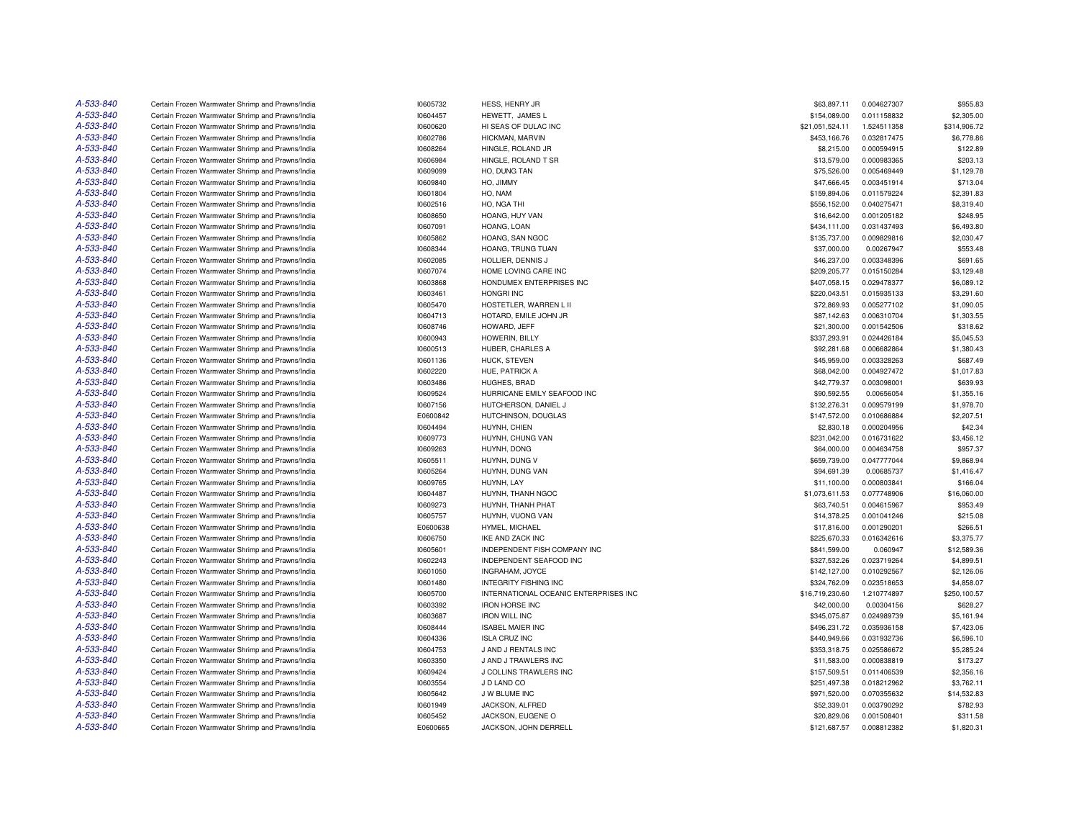| A-533-840 | Certain Frozen Warmwater Shrimp and Prawns/India | 10605732 | HESS, HENRY JR                        | \$63,897.11     | 0.004627307 | \$955.83     |
|-----------|--------------------------------------------------|----------|---------------------------------------|-----------------|-------------|--------------|
| A-533-840 | Certain Frozen Warmwater Shrimp and Prawns/India | 10604457 | HEWETT, JAMES L                       | \$154,089.00    | 0.011158832 | \$2,305.00   |
| A-533-840 | Certain Frozen Warmwater Shrimp and Prawns/India | 10600620 | HI SEAS OF DULAC INC                  | \$21,051,524.11 | 1.524511358 | \$314,906.72 |
| A-533-840 | Certain Frozen Warmwater Shrimp and Prawns/India | 10602786 | HICKMAN, MARVIN                       | \$453,166.76    | 0.032817475 | \$6,778.86   |
| A-533-840 | Certain Frozen Warmwater Shrimp and Prawns/India | 10608264 | HINGLE, ROLAND JR                     | \$8,215.00      | 0.000594915 | \$122.89     |
| A-533-840 | Certain Frozen Warmwater Shrimp and Prawns/India | 10606984 | HINGLE, ROLAND T SR                   | \$13,579.00     | 0.000983365 | \$203.13     |
| A-533-840 | Certain Frozen Warmwater Shrimp and Prawns/India | 10609099 | HO, DUNG TAN                          | \$75,526.00     | 0.005469449 | \$1,129.78   |
| A-533-840 | Certain Frozen Warmwater Shrimp and Prawns/India | 10609840 | HO, JIMMY                             | \$47,666.45     | 0.003451914 | \$713.04     |
| A-533-840 | Certain Frozen Warmwater Shrimp and Prawns/India | 10601804 | HO, NAM                               | \$159,894.06    | 0.011579224 | \$2,391.83   |
| A-533-840 |                                                  | 10602516 | HO, NGA THI                           |                 | 0.040275471 | \$8,319.40   |
| A-533-840 | Certain Frozen Warmwater Shrimp and Prawns/India |          |                                       | \$556,152.00    |             |              |
|           | Certain Frozen Warmwater Shrimp and Prawns/India | 10608650 | HOANG, HUY VAN                        | \$16,642.00     | 0.001205182 | \$248.95     |
| A-533-840 | Certain Frozen Warmwater Shrimp and Prawns/India | 10607091 | HOANG, LOAN                           | \$434,111.00    | 0.031437493 | \$6,493.80   |
| A-533-840 | Certain Frozen Warmwater Shrimp and Prawns/India | 10605862 | HOANG, SAN NGOC                       | \$135,737.00    | 0.009829816 | \$2,030.47   |
| A-533-840 | Certain Frozen Warmwater Shrimp and Prawns/India | 10608344 | HOANG, TRUNG TUAN                     | \$37,000.00     | 0.00267947  | \$553.48     |
| A-533-840 | Certain Frozen Warmwater Shrimp and Prawns/India | 10602085 | HOLLIER, DENNIS J                     | \$46,237.00     | 0.003348396 | \$691.65     |
| A-533-840 | Certain Frozen Warmwater Shrimp and Prawns/India | 10607074 | HOME LOVING CARE INC                  | \$209,205.77    | 0.015150284 | \$3,129.48   |
| A-533-840 | Certain Frozen Warmwater Shrimp and Prawns/India | 10603868 | HONDUMEX ENTERPRISES INC              | \$407,058.15    | 0.029478377 | \$6,089.12   |
| A-533-840 | Certain Frozen Warmwater Shrimp and Prawns/India | 10603461 | <b>HONGRI INC</b>                     | \$220,043.51    | 0.015935133 | \$3,291.60   |
| A-533-840 | Certain Frozen Warmwater Shrimp and Prawns/India | 10605470 | HOSTETLER, WARREN L II                | \$72,869.93     | 0.005277102 | \$1,090.05   |
| A-533-840 | Certain Frozen Warmwater Shrimp and Prawns/India | 10604713 | HOTARD, EMILE JOHN JR                 | \$87,142.63     | 0.006310704 | \$1,303.55   |
| A-533-840 | Certain Frozen Warmwater Shrimp and Prawns/India | 10608746 | HOWARD, JEFF                          | \$21,300.00     | 0.001542506 | \$318.62     |
| A-533-840 | Certain Frozen Warmwater Shrimp and Prawns/India | 10600943 | HOWERIN, BILLY                        | \$337,293.91    | 0.024426184 | \$5,045.53   |
| A-533-840 | Certain Frozen Warmwater Shrimp and Prawns/India | 10600513 | HUBER, CHARLES A                      | \$92,281.68     | 0.006682864 | \$1,380.43   |
| A-533-840 | Certain Frozen Warmwater Shrimp and Prawns/India | 10601136 | HUCK, STEVEN                          | \$45,959.00     | 0.003328263 | \$687.49     |
| A-533-840 | Certain Frozen Warmwater Shrimp and Prawns/India | 10602220 | HUE, PATRICK A                        | \$68,042.00     | 0.004927472 | \$1,017.83   |
| A-533-840 | Certain Frozen Warmwater Shrimp and Prawns/India | 10603486 | <b>HUGHES, BRAD</b>                   | \$42,779.37     | 0.003098001 | \$639.93     |
| A-533-840 | Certain Frozen Warmwater Shrimp and Prawns/India | 10609524 | HURRICANE EMILY SEAFOOD INC           | \$90,592.55     | 0.00656054  | \$1,355.16   |
| A-533-840 | Certain Frozen Warmwater Shrimp and Prawns/India | 10607156 | HUTCHERSON, DANIEL J                  | \$132,276.31    | 0.009579199 | \$1,978.70   |
| A-533-840 | Certain Frozen Warmwater Shrimp and Prawns/India | E0600842 | HUTCHINSON, DOUGLAS                   | \$147,572.00    | 0.010686884 | \$2,207.51   |
| A-533-840 | Certain Frozen Warmwater Shrimp and Prawns/India | 10604494 | HUYNH, CHIEN                          | \$2,830.18      | 0.000204956 | \$42.34      |
| A-533-840 | Certain Frozen Warmwater Shrimp and Prawns/India | 10609773 | HUYNH, CHUNG VAN                      | \$231,042.00    | 0.016731622 | \$3,456.12   |
| A-533-840 | Certain Frozen Warmwater Shrimp and Prawns/India | 10609263 | HUYNH, DONG                           | \$64,000.00     | 0.004634758 | \$957.37     |
| A-533-840 | Certain Frozen Warmwater Shrimp and Prawns/India | 10605511 | HUYNH, DUNG V                         | \$659,739.00    | 0.047777044 | \$9,868.94   |
| A-533-840 |                                                  |          |                                       |                 |             |              |
| A-533-840 | Certain Frozen Warmwater Shrimp and Prawns/India | 10605264 | HUYNH, DUNG VAN                       | \$94,691.39     | 0.00685737  | \$1,416.47   |
|           | Certain Frozen Warmwater Shrimp and Prawns/India | 10609765 | HUYNH, LAY                            | \$11,100.00     | 0.000803841 | \$166.04     |
| A-533-840 | Certain Frozen Warmwater Shrimp and Prawns/India | 10604487 | HUYNH, THANH NGOC                     | \$1,073,611.53  | 0.077748906 | \$16,060.00  |
| A-533-840 | Certain Frozen Warmwater Shrimp and Prawns/India | 10609273 | HUYNH, THANH PHAT                     | \$63,740.51     | 0.004615967 | \$953.49     |
| A-533-840 | Certain Frozen Warmwater Shrimp and Prawns/India | 10605757 | HUYNH, VUONG VAN                      | \$14,378.25     | 0.001041246 | \$215.08     |
| A-533-840 | Certain Frozen Warmwater Shrimp and Prawns/India | E0600638 | HYMEL, MICHAEL                        | \$17,816.00     | 0.001290201 | \$266.51     |
| A-533-840 | Certain Frozen Warmwater Shrimp and Prawns/India | 10606750 | <b>IKE AND ZACK INC</b>               | \$225,670.33    | 0.016342616 | \$3,375.77   |
| A-533-840 | Certain Frozen Warmwater Shrimp and Prawns/India | 10605601 | INDEPENDENT FISH COMPANY INC          | \$841,599.00    | 0.060947    | \$12,589.36  |
| A-533-840 | Certain Frozen Warmwater Shrimp and Prawns/India | 10602243 | INDEPENDENT SEAFOOD INC               | \$327,532.26    | 0.023719264 | \$4,899.51   |
| A-533-840 | Certain Frozen Warmwater Shrimp and Prawns/India | 10601050 | <b>INGRAHAM, JOYCE</b>                | \$142,127.00    | 0.010292567 | \$2,126,06   |
| A-533-840 | Certain Frozen Warmwater Shrimp and Prawns/India | 10601480 | <b>INTEGRITY FISHING INC</b>          | \$324,762.09    | 0.023518653 | \$4,858.07   |
| A-533-840 | Certain Frozen Warmwater Shrimp and Prawns/India | 10605700 | INTERNATIONAL OCEANIC ENTERPRISES INC | \$16,719,230.60 | 1.210774897 | \$250,100.57 |
| A-533-840 | Certain Frozen Warmwater Shrimp and Prawns/India | 10603392 | <b>IRON HORSE INC</b>                 | \$42,000.00     | 0.00304156  | \$628.27     |
| A-533-840 | Certain Frozen Warmwater Shrimp and Prawns/India | 10603687 | <b>IRON WILL INC</b>                  | \$345,075.87    | 0.024989739 | \$5,161.94   |
| A-533-840 | Certain Frozen Warmwater Shrimp and Prawns/India | 10608444 | <b>ISABEL MAIER INC</b>               | \$496,231.72    | 0.035936158 | \$7,423.06   |
| A-533-840 | Certain Frozen Warmwater Shrimp and Prawns/India | 10604336 | <b>ISLA CRUZ INC</b>                  | \$440,949.66    | 0.031932736 | \$6,596.10   |
| A-533-840 | Certain Frozen Warmwater Shrimp and Prawns/India | 10604753 | J AND J RENTALS INC                   | \$353,318.75    | 0.025586672 | \$5,285.24   |
| A-533-840 | Certain Frozen Warmwater Shrimp and Prawns/India | 10603350 | J AND J TRAWLERS INC                  | \$11,583.00     | 0.000838819 | \$173.27     |
| A-533-840 | Certain Frozen Warmwater Shrimp and Prawns/India | 10609424 | J COLLINS TRAWLERS INC                | \$157,509.51    | 0.011406539 | \$2,356.16   |
| A-533-840 | Certain Frozen Warmwater Shrimp and Prawns/India | 10603554 | J D LAND CO                           | \$251,497.38    | 0.018212962 | \$3,762.11   |
| A-533-840 | Certain Frozen Warmwater Shrimp and Prawns/India | 10605642 | J W BLUME INC                         | \$971,520.00    | 0.070355632 | \$14,532.83  |
| A-533-840 | Certain Frozen Warmwater Shrimp and Prawns/India | 10601949 | JACKSON, ALFRED                       | \$52,339.01     | 0.003790292 | \$782.93     |
| A-533-840 | Certain Frozen Warmwater Shrimp and Prawns/India | 10605452 | JACKSON, EUGENE O                     | \$20,829.06     | 0.001508401 | \$311.58     |
| A-533-840 | Certain Frozen Warmwater Shrimp and Prawns/India | E0600665 | JACKSON, JOHN DERRELL                 | \$121,687.57    | 0.008812382 | \$1,820.31   |
|           |                                                  |          |                                       |                 |             |              |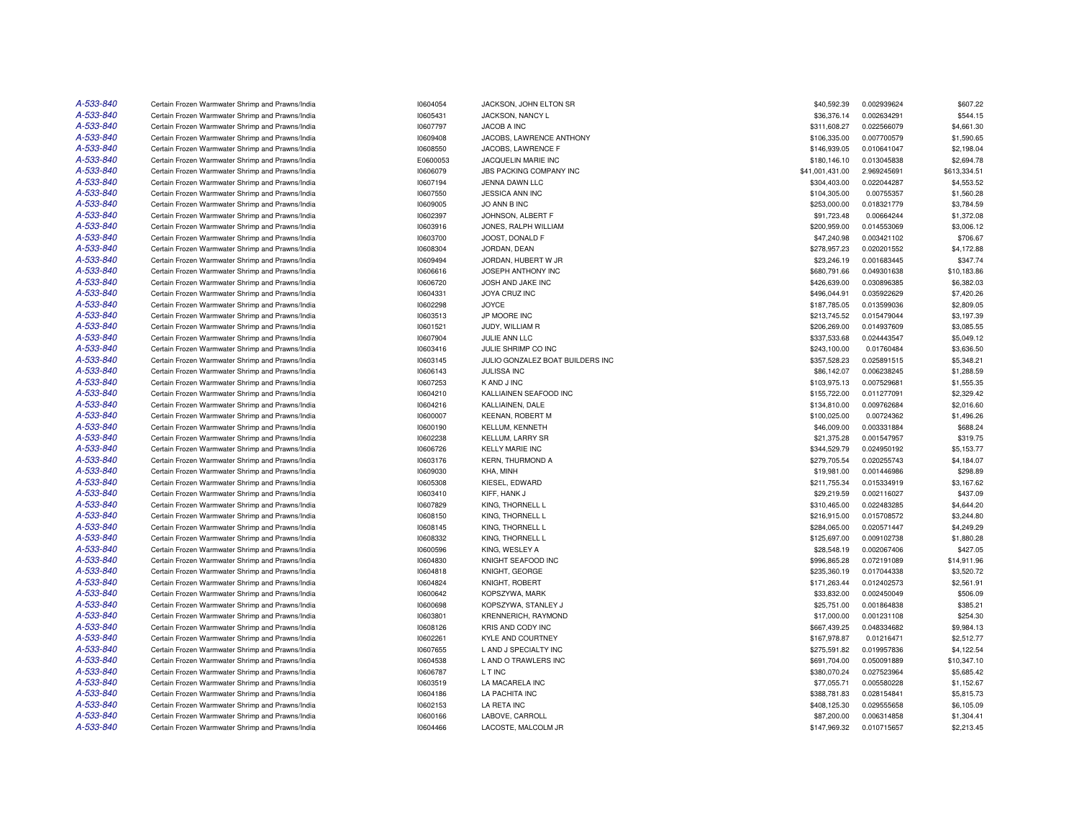| A-533-840 | Certain Frozen Warmwater Shrimp and Prawns/India | 10604054 | JACKSON, JOHN ELTON SR           | \$40,592.39     | 0.002939624 | \$607.22     |
|-----------|--------------------------------------------------|----------|----------------------------------|-----------------|-------------|--------------|
| A-533-840 | Certain Frozen Warmwater Shrimp and Prawns/India | 10605431 | JACKSON, NANCY L                 | \$36,376.14     | 0.002634291 | \$544.15     |
| A-533-840 | Certain Frozen Warmwater Shrimp and Prawns/India | 10607797 | JACOB A INC                      | \$311,608.27    | 0.022566079 | \$4,661.30   |
| A-533-840 | Certain Frozen Warmwater Shrimp and Prawns/India | 10609408 | JACOBS, LAWRENCE ANTHONY         | \$106,335.00    | 0.007700579 | \$1,590.65   |
| A-533-840 | Certain Frozen Warmwater Shrimp and Prawns/India | 10608550 | JACOBS, LAWRENCE F               | \$146,939.05    | 0.010641047 | \$2,198.04   |
| A-533-840 | Certain Frozen Warmwater Shrimp and Prawns/India | E0600053 | JACQUELIN MARIE INC              | \$180,146.10    | 0.013045838 | \$2,694.78   |
| A-533-840 | Certain Frozen Warmwater Shrimp and Prawns/India | 10606079 | JBS PACKING COMPANY INC          | \$41,001,431.00 | 2.969245691 | \$613,334.51 |
| A-533-840 | Certain Frozen Warmwater Shrimp and Prawns/India | 10607194 | JENNA DAWN LLC                   | \$304,403.00    | 0.022044287 | \$4,553.52   |
| A-533-840 | Certain Frozen Warmwater Shrimp and Prawns/India | 10607550 | JESSICA ANN INC                  | \$104,305.00    | 0.00755357  | \$1,560.28   |
| A-533-840 | Certain Frozen Warmwater Shrimp and Prawns/India | 10609005 | JO ANN B INC                     | \$253,000.00    | 0.018321779 | \$3,784.59   |
| A-533-840 | Certain Frozen Warmwater Shrimp and Prawns/India | 10602397 | JOHNSON, ALBERT F                | \$91,723.48     | 0.00664244  | \$1,372.08   |
| A-533-840 | Certain Frozen Warmwater Shrimp and Prawns/India | 10603916 | JONES, RALPH WILLIAM             | \$200,959.00    | 0.014553069 | \$3,006.12   |
| A-533-840 | Certain Frozen Warmwater Shrimp and Prawns/India | 10603700 | JOOST, DONALD F                  | \$47,240.98     | 0.003421102 | \$706.67     |
| A-533-840 | Certain Frozen Warmwater Shrimp and Prawns/India | 10608304 | JORDAN, DEAN                     | \$278,957.23    | 0.020201552 | \$4,172.88   |
|           |                                                  |          |                                  |                 |             |              |
| A-533-840 | Certain Frozen Warmwater Shrimp and Prawns/India | 10609494 | JORDAN, HUBERT W JR              | \$23,246.19     | 0.001683445 | \$347.74     |
| A-533-840 | Certain Frozen Warmwater Shrimp and Prawns/India | 10606616 | JOSEPH ANTHONY INC               | \$680,791.66    | 0.049301638 | \$10,183.86  |
| A-533-840 | Certain Frozen Warmwater Shrimp and Prawns/India | 10606720 | JOSH AND JAKE INC                | \$426,639.00    | 0.030896385 | \$6,382.03   |
| A-533-840 | Certain Frozen Warmwater Shrimp and Prawns/India | 10604331 | JOYA CRUZ INC                    | \$496,044.91    | 0.035922629 | \$7,420.26   |
| A-533-840 | Certain Frozen Warmwater Shrimp and Prawns/India | 10602298 | <b>JOYCE</b>                     | \$187,785.05    | 0.013599036 | \$2,809.05   |
| A-533-840 | Certain Frozen Warmwater Shrimp and Prawns/India | 10603513 | JP MOORE INC                     | \$213,745.52    | 0.015479044 | \$3,197.39   |
| A-533-840 | Certain Frozen Warmwater Shrimp and Prawns/India | 10601521 | JUDY, WILLIAM R                  | \$206,269.00    | 0.014937609 | \$3,085.55   |
| A-533-840 | Certain Frozen Warmwater Shrimp and Prawns/India | 10607904 | JULIE ANN LLC                    | \$337,533.68    | 0.024443547 | \$5,049.12   |
| A-533-840 | Certain Frozen Warmwater Shrimp and Prawns/India | 10603416 | JULIE SHRIMP CO INC              | \$243,100.00    | 0.01760484  | \$3,636.50   |
| A-533-840 | Certain Frozen Warmwater Shrimp and Prawns/India | 10603145 | JULIO GONZALEZ BOAT BUILDERS INC | \$357,528.23    | 0.025891515 | \$5,348.21   |
| A-533-840 | Certain Frozen Warmwater Shrimp and Prawns/India | 10606143 | <b>JULISSA INC</b>               | \$86,142.07     | 0.006238245 | \$1,288.59   |
| A-533-840 | Certain Frozen Warmwater Shrimp and Prawns/India | 10607253 | K AND J INC                      | \$103,975.13    | 0.007529681 | \$1,555.35   |
| A-533-840 | Certain Frozen Warmwater Shrimp and Prawns/India | 10604210 | KALLIAINEN SEAFOOD INC           | \$155,722.00    | 0.011277091 | \$2,329.42   |
| A-533-840 | Certain Frozen Warmwater Shrimp and Prawns/India | 10604216 | KALLIAINEN, DALE                 | \$134,810.00    | 0.009762684 | \$2,016.60   |
| A-533-840 | Certain Frozen Warmwater Shrimp and Prawns/India | 10600007 | <b>KEENAN, ROBERT M</b>          | \$100,025.00    | 0.00724362  | \$1,496.26   |
| A-533-840 | Certain Frozen Warmwater Shrimp and Prawns/India | 10600190 | KELLUM, KENNETH                  | \$46,009.00     | 0.003331884 | \$688.24     |
| A-533-840 | Certain Frozen Warmwater Shrimp and Prawns/India | 10602238 | <b>KELLUM, LARRY SR</b>          | \$21,375.28     | 0.001547957 | \$319.75     |
| A-533-840 | Certain Frozen Warmwater Shrimp and Prawns/India | 10606726 | <b>KELLY MARIE INC</b>           | \$344,529.79    | 0.024950192 | \$5,153.77   |
| A-533-840 | Certain Frozen Warmwater Shrimp and Prawns/India | 10603176 | <b>KERN, THURMOND A</b>          | \$279,705.54    | 0.020255743 | \$4,184.07   |
| A-533-840 | Certain Frozen Warmwater Shrimp and Prawns/India | 10609030 | KHA, MINH                        | \$19,981.00     | 0.001446986 | \$298.89     |
| A-533-840 | Certain Frozen Warmwater Shrimp and Prawns/India | 10605308 | KIESEL, EDWARD                   | \$211,755.34    | 0.015334919 | \$3,167.62   |
| A-533-840 | Certain Frozen Warmwater Shrimp and Prawns/India | 10603410 | KIFF, HANK J                     | \$29,219.59     | 0.002116027 | \$437.09     |
| A-533-840 | Certain Frozen Warmwater Shrimp and Prawns/India | 10607829 | KING, THORNELL L                 | \$310,465.00    | 0.022483285 | \$4,644.20   |
| A-533-840 | Certain Frozen Warmwater Shrimp and Prawns/India | 10608150 | KING, THORNELL L                 | \$216,915.00    | 0.015708572 | \$3,244.80   |
| A-533-840 | Certain Frozen Warmwater Shrimp and Prawns/India | 10608145 | KING, THORNELL L                 | \$284,065.00    | 0.020571447 | \$4,249.29   |
| A-533-840 | Certain Frozen Warmwater Shrimp and Prawns/India | 10608332 | KING. THORNELL L                 | \$125,697.00    | 0.009102738 | \$1,880.28   |
| A-533-840 |                                                  |          |                                  |                 |             |              |
|           | Certain Frozen Warmwater Shrimp and Prawns/India | 10600596 | KING, WESLEY A                   | \$28,548.19     | 0.002067406 | \$427.05     |
| A-533-840 | Certain Frozen Warmwater Shrimp and Prawns/India | 10604830 | KNIGHT SEAFOOD INC               | \$996,865.28    | 0.072191089 | \$14,911.96  |
| A-533-840 | Certain Frozen Warmwater Shrimp and Prawns/India | 10604818 | KNIGHT, GEORGE                   | \$235,360.19    | 0.017044338 | \$3,520.72   |
| A-533-840 | Certain Frozen Warmwater Shrimp and Prawns/India | 10604824 | KNIGHT, ROBERT                   | \$171,263.44    | 0.012402573 | \$2,561.91   |
| A-533-840 | Certain Frozen Warmwater Shrimp and Prawns/India | 10600642 | KOPSZYWA, MARK                   | \$33,832.00     | 0.002450049 | \$506.09     |
| A-533-840 | Certain Frozen Warmwater Shrimp and Prawns/India | 10600698 | KOPSZYWA, STANLEY J              | \$25,751.00     | 0.001864838 | \$385.21     |
| A-533-840 | Certain Frozen Warmwater Shrimp and Prawns/India | 10603801 | KRENNERICH, RAYMOND              | \$17,000.00     | 0.001231108 | \$254.30     |
| A-533-840 | Certain Frozen Warmwater Shrimp and Prawns/India | 10608126 | <b>KRIS AND CODY INC</b>         | \$667,439.25    | 0.048334682 | \$9,984.13   |
| A-533-840 | Certain Frozen Warmwater Shrimp and Prawns/India | 10602261 | KYLE AND COURTNEY                | \$167,978.87    | 0.01216471  | \$2,512.77   |
| A-533-840 | Certain Frozen Warmwater Shrimp and Prawns/India | 10607655 | L AND J SPECIALTY INC            | \$275,591.82    | 0.019957836 | \$4,122.54   |
| A-533-840 | Certain Frozen Warmwater Shrimp and Prawns/India | 10604538 | L AND O TRAWLERS INC             | \$691,704.00    | 0.050091889 | \$10,347.10  |
| A-533-840 | Certain Frozen Warmwater Shrimp and Prawns/India | 10606787 | L T INC                          | \$380,070.24    | 0.027523964 | \$5,685.42   |
| A-533-840 | Certain Frozen Warmwater Shrimp and Prawns/India | 10603519 | LA MACARELA INC                  | \$77,055.71     | 0.005580228 | \$1,152.67   |
| A-533-840 | Certain Frozen Warmwater Shrimp and Prawns/India | 10604186 | LA PACHITA INC                   | \$388,781.83    | 0.028154841 | \$5,815.73   |
| A-533-840 | Certain Frozen Warmwater Shrimp and Prawns/India | 10602153 | LA RETA INC                      | \$408,125.30    | 0.029555658 | \$6,105.09   |
| A-533-840 | Certain Frozen Warmwater Shrimp and Prawns/India | 10600166 | LABOVE, CARROLL                  | \$87,200.00     | 0.006314858 | \$1,304.41   |
| A-533-840 | Certain Frozen Warmwater Shrimp and Prawns/India | 10604466 | LACOSTE, MALCOLM JR              | \$147,969.32    | 0.010715657 | \$2,213.45   |
|           |                                                  |          |                                  |                 |             |              |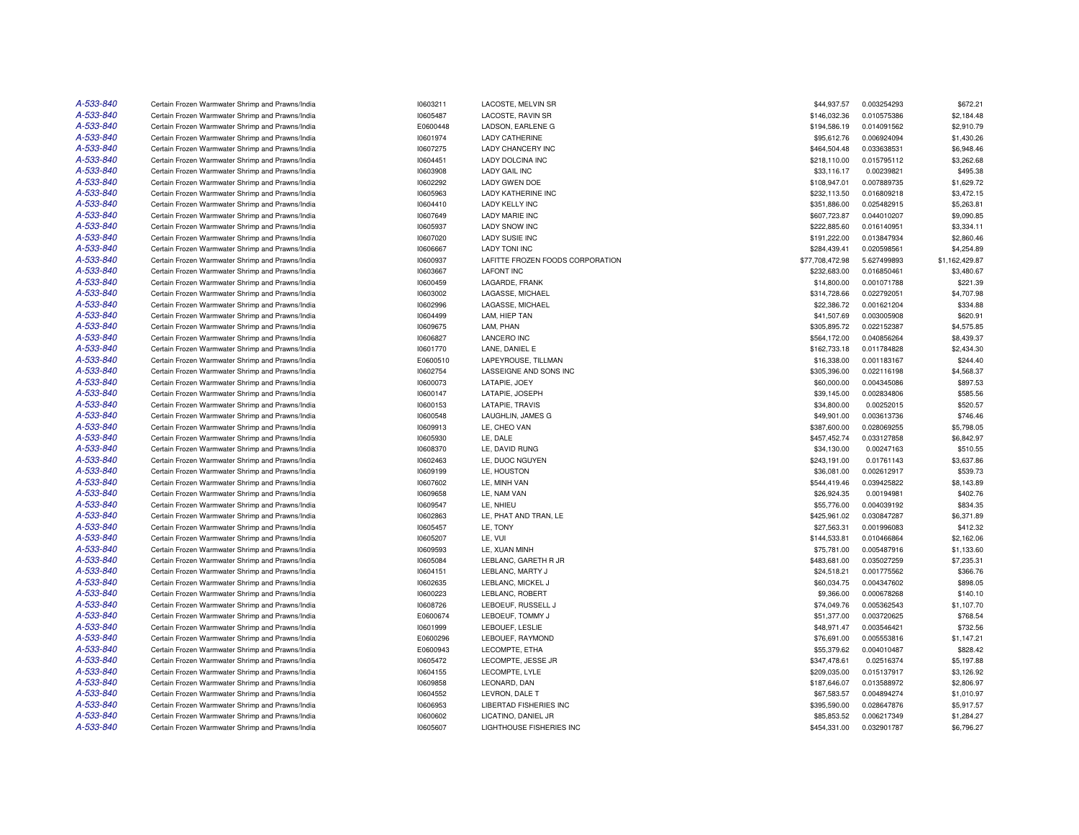| A-533-840 | Certain Frozen Warmwater Shrimp and Prawns/India | 10603211 | LACOSTE, MELVIN SR               | \$44,937.57     | 0.003254293 | \$672.21       |
|-----------|--------------------------------------------------|----------|----------------------------------|-----------------|-------------|----------------|
| A-533-840 | Certain Frozen Warmwater Shrimp and Prawns/India | 10605487 | LACOSTE, RAVIN SR                | \$146,032.36    | 0.010575386 | \$2,184.48     |
| A-533-840 | Certain Frozen Warmwater Shrimp and Prawns/India | E0600448 | LADSON, EARLENE G                | \$194,586.19    | 0.014091562 | \$2,910.79     |
| A-533-840 | Certain Frozen Warmwater Shrimp and Prawns/India | 10601974 | <b>LADY CATHERINE</b>            | \$95,612.76     | 0.006924094 | \$1,430.26     |
| A-533-840 | Certain Frozen Warmwater Shrimp and Prawns/India | 10607275 | LADY CHANCERY INC                | \$464,504.48    | 0.033638531 | \$6,948.46     |
| A-533-840 | Certain Frozen Warmwater Shrimp and Prawns/India | 10604451 | LADY DOLCINA INC                 | \$218,110.00    | 0.015795112 | \$3,262.68     |
| A-533-840 | Certain Frozen Warmwater Shrimp and Prawns/India | 10603908 | <b>LADY GAIL INC</b>             | \$33,116.17     | 0.00239821  | \$495.38       |
| A-533-840 | Certain Frozen Warmwater Shrimp and Prawns/India | 10602292 | <b>LADY GWEN DOE</b>             | \$108,947.01    | 0.007889735 | \$1,629.72     |
| A-533-840 | Certain Frozen Warmwater Shrimp and Prawns/India | 10605963 | <b>LADY KATHERINE INC</b>        | \$232,113.50    | 0.016809218 | \$3,472.15     |
| A-533-840 | Certain Frozen Warmwater Shrimp and Prawns/India | 10604410 | <b>LADY KELLY INC</b>            | \$351,886.00    | 0.025482915 | \$5,263.81     |
| A-533-840 | Certain Frozen Warmwater Shrimp and Prawns/India | 10607649 | <b>LADY MARIE INC</b>            | \$607,723.87    | 0.044010207 | \$9,090.85     |
| A-533-840 | Certain Frozen Warmwater Shrimp and Prawns/India | 10605937 | <b>LADY SNOW INC</b>             | \$222,885.60    | 0.016140951 | \$3,334.11     |
| A-533-840 | Certain Frozen Warmwater Shrimp and Prawns/India | 10607020 | <b>LADY SUSIE INC</b>            | \$191,222.00    | 0.013847934 | \$2,860.46     |
| A-533-840 | Certain Frozen Warmwater Shrimp and Prawns/India | 10606667 | <b>LADY TONI INC</b>             | \$284,439.41    | 0.020598561 | \$4,254.89     |
| A-533-840 | Certain Frozen Warmwater Shrimp and Prawns/India | 10600937 | LAFITTE FROZEN FOODS CORPORATION | \$77,708,472.98 | 5.627499893 | \$1,162,429.87 |
| A-533-840 | Certain Frozen Warmwater Shrimp and Prawns/India |          | <b>LAFONT INC</b>                | \$232,683.00    | 0.016850461 |                |
| A-533-840 |                                                  | 10603667 |                                  |                 |             | \$3,480.67     |
|           | Certain Frozen Warmwater Shrimp and Prawns/India | 10600459 | LAGARDE, FRANK                   | \$14,800.00     | 0.001071788 | \$221.39       |
| A-533-840 | Certain Frozen Warmwater Shrimp and Prawns/India | 10603002 | LAGASSE, MICHAEL                 | \$314,728.66    | 0.022792051 | \$4,707.98     |
| A-533-840 | Certain Frozen Warmwater Shrimp and Prawns/India | 10602996 | LAGASSE, MICHAEL                 | \$22,386.72     | 0.001621204 | \$334.88       |
| A-533-840 | Certain Frozen Warmwater Shrimp and Prawns/India | 10604499 | LAM, HIEP TAN                    | \$41,507.69     | 0.003005908 | \$620.91       |
| A-533-840 | Certain Frozen Warmwater Shrimp and Prawns/India | 10609675 | LAM, PHAN                        | \$305,895.72    | 0.022152387 | \$4,575.85     |
| A-533-840 | Certain Frozen Warmwater Shrimp and Prawns/India | 10606827 | <b>LANCERO INC</b>               | \$564,172.00    | 0.040856264 | \$8,439.37     |
| A-533-840 | Certain Frozen Warmwater Shrimp and Prawns/India | 10601770 | LANE, DANIEL E                   | \$162,733.18    | 0.011784828 | \$2,434.30     |
| A-533-840 | Certain Frozen Warmwater Shrimp and Prawns/India | E0600510 | LAPEYROUSE, TILLMAN              | \$16,338.00     | 0.001183167 | \$244.40       |
| A-533-840 | Certain Frozen Warmwater Shrimp and Prawns/India | 10602754 | LASSEIGNE AND SONS INC           | \$305,396.00    | 0.022116198 | \$4,568.37     |
| A-533-840 | Certain Frozen Warmwater Shrimp and Prawns/India | 10600073 | LATAPIE, JOEY                    | \$60,000.00     | 0.004345086 | \$897.53       |
| A-533-840 | Certain Frozen Warmwater Shrimp and Prawns/India | 10600147 | LATAPIE, JOSEPH                  | \$39,145.00     | 0.002834806 | \$585.56       |
| A-533-840 | Certain Frozen Warmwater Shrimp and Prawns/India | 10600153 | LATAPIE, TRAVIS                  | \$34,800.00     | 0.00252015  | \$520.57       |
| A-533-840 | Certain Frozen Warmwater Shrimp and Prawns/India | 10600548 | LAUGHLIN, JAMES G                | \$49,901.00     | 0.003613736 | \$746.46       |
| A-533-840 | Certain Frozen Warmwater Shrimp and Prawns/India | 10609913 | LE, CHEO VAN                     | \$387,600.00    | 0.028069255 | \$5,798.05     |
| A-533-840 | Certain Frozen Warmwater Shrimp and Prawns/India | 10605930 | LE, DALE                         | \$457,452.74    | 0.033127858 | \$6,842.97     |
| A-533-840 | Certain Frozen Warmwater Shrimp and Prawns/India | 10608370 | LE, DAVID RUNG                   | \$34,130.00     | 0.00247163  | \$510.55       |
| A-533-840 | Certain Frozen Warmwater Shrimp and Prawns/India | 10602463 | LE, DUOC NGUYEN                  | \$243,191.00    | 0.01761143  | \$3,637.86     |
| A-533-840 | Certain Frozen Warmwater Shrimp and Prawns/India | 10609199 | LE. HOUSTON                      | \$36,081.00     | 0.002612917 | \$539.73       |
| A-533-840 | Certain Frozen Warmwater Shrimp and Prawns/India | 10607602 | LE, MINH VAN                     | \$544,419.46    | 0.039425822 | \$8,143.89     |
| A-533-840 | Certain Frozen Warmwater Shrimp and Prawns/India | 10609658 | LE, NAM VAN                      | \$26,924.35     | 0.00194981  | \$402.76       |
| A-533-840 | Certain Frozen Warmwater Shrimp and Prawns/India | 10609547 | LE, NHIEU                        | \$55,776.00     | 0.004039192 | \$834.35       |
| A-533-840 | Certain Frozen Warmwater Shrimp and Prawns/India | 10602863 | LE, PHAT AND TRAN, LE            | \$425,961.02    | 0.030847287 | \$6,371.89     |
| A-533-840 | Certain Frozen Warmwater Shrimp and Prawns/India | 10605457 | LE, TONY                         | \$27,563.31     | 0.001996083 | \$412.32       |
| A-533-840 | Certain Frozen Warmwater Shrimp and Prawns/India | 10605207 | LE, VUI                          | \$144,533.81    | 0.010466864 | \$2,162.06     |
| A-533-840 | Certain Frozen Warmwater Shrimp and Prawns/India | 10609593 | LE, XUAN MINH                    | \$75,781.00     | 0.005487916 | \$1,133.60     |
| A-533-840 | Certain Frozen Warmwater Shrimp and Prawns/India | 10605084 | LEBLANC, GARETH R JR             | \$483,681.00    | 0.035027259 | \$7,235.31     |
| A-533-840 | Certain Frozen Warmwater Shrimp and Prawns/India | 10604151 | LEBLANC, MARTY J                 | \$24,518.21     | 0.001775562 | \$366.76       |
| A-533-840 | Certain Frozen Warmwater Shrimp and Prawns/India | 10602635 | LEBLANC, MICKEL J                | \$60,034.75     | 0.004347602 | \$898.05       |
| A-533-840 | Certain Frozen Warmwater Shrimp and Prawns/India | 10600223 | LEBLANC, ROBERT                  | \$9,366.00      | 0.000678268 | \$140.10       |
| A-533-840 | Certain Frozen Warmwater Shrimp and Prawns/India | 10608726 | LEBOEUF, RUSSELL J               | \$74,049.76     | 0.005362543 | \$1,107.70     |
| A-533-840 | Certain Frozen Warmwater Shrimp and Prawns/India | E0600674 | LEBOEUF, TOMMY J                 | \$51,377.00     | 0.003720625 | \$768.54       |
| A-533-840 | Certain Frozen Warmwater Shrimp and Prawns/India | 10601999 | LEBOUEF, LESLIE                  | \$48,971.47     | 0.003546421 | \$732.56       |
| A-533-840 | Certain Frozen Warmwater Shrimp and Prawns/India | E0600296 | LEBOUEF, RAYMOND                 | \$76,691.00     | 0.005553816 | \$1,147.21     |
| A-533-840 | Certain Frozen Warmwater Shrimp and Prawns/India | E0600943 | LECOMPTE, ETHA                   |                 | 0.004010487 | \$828.42       |
|           |                                                  |          |                                  | \$55,379.62     |             |                |
| A-533-840 | Certain Frozen Warmwater Shrimp and Prawns/India | 10605472 | LECOMPTE, JESSE JR               | \$347,478.61    | 0.02516374  | \$5,197.88     |
| A-533-840 | Certain Frozen Warmwater Shrimp and Prawns/India | 10604155 | LECOMPTE, LYLE                   | \$209,035.00    | 0.015137917 | \$3,126.92     |
| A-533-840 | Certain Frozen Warmwater Shrimp and Prawns/India | 10609858 | LEONARD, DAN                     | \$187,646.07    | 0.013588972 | \$2,806.97     |
| A-533-840 | Certain Frozen Warmwater Shrimp and Prawns/India | 10604552 | LEVRON, DALE T                   | \$67,583.57     | 0.004894274 | \$1,010.97     |
| A-533-840 | Certain Frozen Warmwater Shrimp and Prawns/India | 10606953 | LIBERTAD FISHERIES INC           | \$395,590.00    | 0.028647876 | \$5,917.57     |
| A-533-840 | Certain Frozen Warmwater Shrimp and Prawns/India | 10600602 | LICATINO, DANIEL JR              | \$85,853,52     | 0.006217349 | \$1,284.27     |
| A-533-840 | Certain Frozen Warmwater Shrimp and Prawns/India | 10605607 | LIGHTHOUSE FISHERIES INC         | \$454,331.00    | 0.032901787 | \$6,796.27     |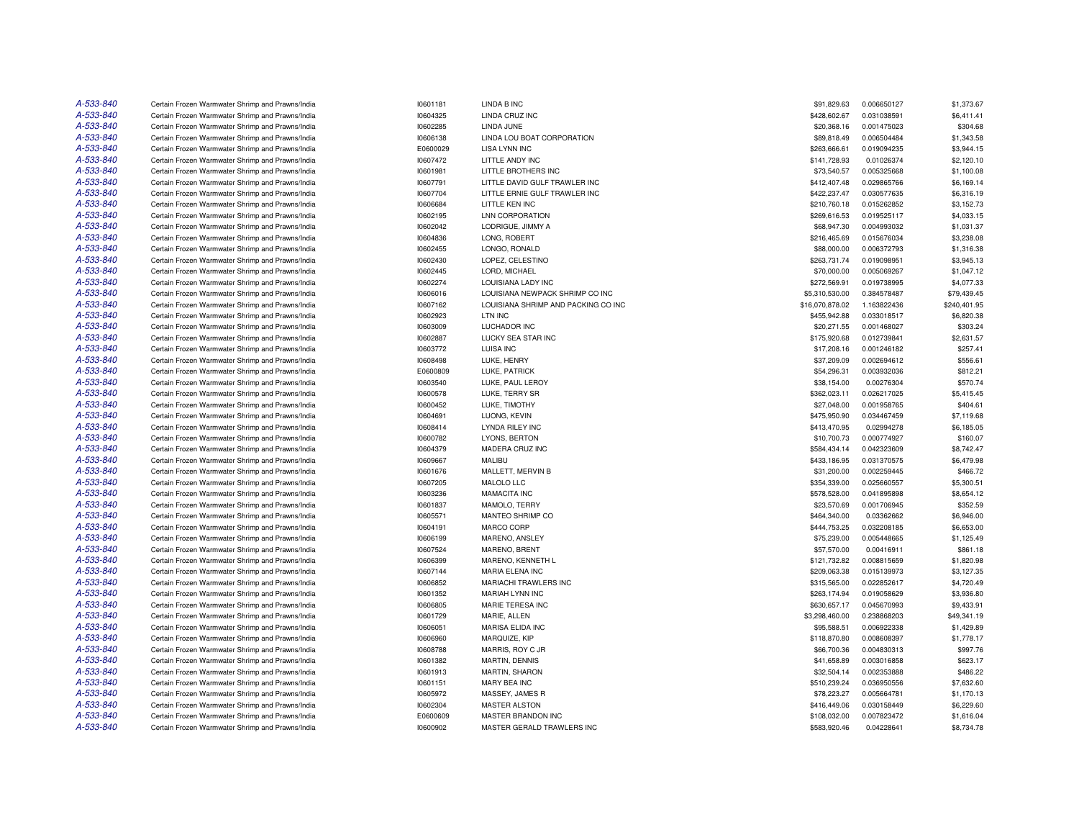| A-533-840 | Certain Frozen Warmwater Shrimp and Prawns/India                                                     | 10601181 | <b>LINDA B INC</b>                  | \$91,829.63     | 0.006650127                | \$1,373.67   |
|-----------|------------------------------------------------------------------------------------------------------|----------|-------------------------------------|-----------------|----------------------------|--------------|
| A-533-840 | Certain Frozen Warmwater Shrimp and Prawns/India                                                     | 10604325 | LINDA CRUZ INC                      | \$428,602.67    | 0.031038591                | \$6,411.41   |
| A-533-840 | Certain Frozen Warmwater Shrimp and Prawns/India                                                     | 10602285 | LINDA JUNE                          | \$20,368.16     | 0.001475023                | \$304.68     |
| A-533-840 | Certain Frozen Warmwater Shrimp and Prawns/India                                                     | 10606138 | LINDA LOU BOAT CORPORATION          | \$89,818.49     | 0.006504484                | \$1,343.58   |
| A-533-840 | Certain Frozen Warmwater Shrimp and Prawns/India                                                     | E0600029 | <b>LISA LYNN INC</b>                | \$263,666.61    | 0.019094235                | \$3,944.15   |
| A-533-840 | Certain Frozen Warmwater Shrimp and Prawns/India                                                     | 10607472 | LITTLE ANDY INC                     | \$141,728.93    | 0.01026374                 | \$2,120.10   |
| A-533-840 | Certain Frozen Warmwater Shrimp and Prawns/India                                                     | 10601981 | LITTLE BROTHERS INC                 | \$73,540.57     | 0.005325668                | \$1,100.08   |
| A-533-840 | Certain Frozen Warmwater Shrimp and Prawns/India                                                     | 10607791 | LITTLE DAVID GULF TRAWLER INC       | \$412,407.48    | 0.029865766                | \$6.169.14   |
| A-533-840 | Certain Frozen Warmwater Shrimp and Prawns/India                                                     | 10607704 | LITTLE ERNIE GULF TRAWLER INC       | \$422,237.47    | 0.030577635                | \$6,316.19   |
| A-533-840 | Certain Frozen Warmwater Shrimp and Prawns/India                                                     | 10606684 | LITTLE KEN INC                      | \$210,760.18    | 0.015262852                | \$3,152.73   |
| A-533-840 | Certain Frozen Warmwater Shrimp and Prawns/India                                                     | 10602195 | LNN CORPORATION                     | \$269,616.53    | 0.019525117                | \$4,033.15   |
| A-533-840 | Certain Frozen Warmwater Shrimp and Prawns/India                                                     | 10602042 | LODRIGUE, JIMMY A                   | \$68,947.30     | 0.004993032                | \$1,031.37   |
| A-533-840 | Certain Frozen Warmwater Shrimp and Prawns/India                                                     | 10604836 | LONG, ROBERT                        | \$216,465.69    | 0.015676034                | \$3,238.08   |
| A-533-840 | Certain Frozen Warmwater Shrimp and Prawns/India                                                     | 10602455 | LONGO, RONALD                       | \$88,000.00     | 0.006372793                | \$1,316.38   |
| A-533-840 | Certain Frozen Warmwater Shrimp and Prawns/India                                                     | 10602430 | LOPEZ, CELESTINO                    | \$263,731.74    | 0.019098951                | \$3,945.13   |
| A-533-840 | Certain Frozen Warmwater Shrimp and Prawns/India                                                     | 10602445 | LORD, MICHAEL                       | \$70,000.00     | 0.005069267                | \$1,047.12   |
| A-533-840 | Certain Frozen Warmwater Shrimp and Prawns/India                                                     | 10602274 | LOUISIANA LADY INC                  | \$272,569.91    | 0.019738995                | \$4,077.33   |
| A-533-840 | Certain Frozen Warmwater Shrimp and Prawns/India                                                     | 10606016 | LOUISIANA NEWPACK SHRIMP CO INC     | \$5,310,530.00  | 0.384578487                | \$79,439.45  |
| A-533-840 | Certain Frozen Warmwater Shrimp and Prawns/India                                                     | 10607162 | LOUISIANA SHRIMP AND PACKING CO INC | \$16,070,878.02 | 1.163822436                | \$240,401.95 |
| A-533-840 | Certain Frozen Warmwater Shrimp and Prawns/India                                                     | 10602923 | LTN INC                             | \$455,942.88    | 0.033018517                | \$6,820.38   |
| A-533-840 | Certain Frozen Warmwater Shrimp and Prawns/India                                                     | 10603009 | <b>LUCHADOR INC</b>                 | \$20,271.55     | 0.001468027                | \$303.24     |
| A-533-840 | Certain Frozen Warmwater Shrimp and Prawns/India                                                     | 10602887 | LUCKY SEA STAR INC                  | \$175,920.68    | 0.012739841                | \$2,631.57   |
| A-533-840 |                                                                                                      | 10603772 | <b>LUISA INC</b>                    | \$17,208.16     |                            | \$257.41     |
| A-533-840 | Certain Frozen Warmwater Shrimp and Prawns/India<br>Certain Frozen Warmwater Shrimp and Prawns/India | 10608498 | LUKE, HENRY                         | \$37,209.09     | 0.001246182<br>0.002694612 | \$556.61     |
|           |                                                                                                      |          |                                     |                 |                            |              |
| A-533-840 | Certain Frozen Warmwater Shrimp and Prawns/India                                                     | E0600809 | LUKE, PATRICK                       | \$54,296.31     | 0.003932036                | \$812.21     |
| A-533-840 | Certain Frozen Warmwater Shrimp and Prawns/India                                                     | 10603540 | LUKE, PAUL LEROY                    | \$38,154.00     | 0.00276304                 | \$570.74     |
| A-533-840 | Certain Frozen Warmwater Shrimp and Prawns/India                                                     | 10600578 | LUKE, TERRY SR                      | \$362,023.11    | 0.026217025                | \$5,415.45   |
| A-533-840 | Certain Frozen Warmwater Shrimp and Prawns/India                                                     | 10600452 | LUKE, TIMOTHY                       | \$27,048.00     | 0.001958765                | \$404.61     |
| A-533-840 | Certain Frozen Warmwater Shrimp and Prawns/India                                                     | 10604691 | LUONG, KEVIN                        | \$475,950.90    | 0.034467459                | \$7,119.68   |
| A-533-840 | Certain Frozen Warmwater Shrimp and Prawns/India                                                     | 10608414 | <b>LYNDA RILEY INC</b>              | \$413,470.95    | 0.02994278                 | \$6,185.05   |
| A-533-840 | Certain Frozen Warmwater Shrimp and Prawns/India                                                     | 10600782 | LYONS, BERTON                       | \$10,700.73     | 0.000774927                | \$160.07     |
| A-533-840 | Certain Frozen Warmwater Shrimp and Prawns/India                                                     | 10604379 | MADERA CRUZ INC                     | \$584.434.14    | 0.042323609                | \$8,742.47   |
| A-533-840 | Certain Frozen Warmwater Shrimp and Prawns/India                                                     | 10609667 | MALIBU                              | \$433,186.95    | 0.031370575                | \$6,479.98   |
| A-533-840 | Certain Frozen Warmwater Shrimp and Prawns/India                                                     | 10601676 | MALLETT, MERVIN B                   | \$31,200.00     | 0.002259445                | \$466.72     |
| A-533-840 | Certain Frozen Warmwater Shrimp and Prawns/India                                                     | 10607205 | MALOLO LLC                          | \$354,339.00    | 0.025660557                | \$5,300.51   |
| A-533-840 | Certain Frozen Warmwater Shrimp and Prawns/India                                                     | 10603236 | <b>MAMACITA INC</b>                 | \$578,528.00    | 0.041895898                | \$8,654.12   |
| A-533-840 | Certain Frozen Warmwater Shrimp and Prawns/India                                                     | 10601837 | MAMOLO, TERRY                       | \$23,570.69     | 0.001706945                | \$352.59     |
| A-533-840 | Certain Frozen Warmwater Shrimp and Prawns/India                                                     | 10605571 | MANTEO SHRIMP CO                    | \$464,340.00    | 0.03362662                 | \$6,946.00   |
| A-533-840 | Certain Frozen Warmwater Shrimp and Prawns/India                                                     | 10604191 | MARCO CORP                          | \$444,753.25    | 0.032208185                | \$6,653.00   |
| A-533-840 | Certain Frozen Warmwater Shrimp and Prawns/India                                                     | 10606199 | MARENO, ANSLEY                      | \$75,239.00     | 0.005448665                | \$1,125.49   |
| A-533-840 | Certain Frozen Warmwater Shrimp and Prawns/India                                                     | 10607524 | MARENO, BRENT                       | \$57,570.00     | 0.00416911                 | \$861.18     |
| A-533-840 | Certain Frozen Warmwater Shrimp and Prawns/India                                                     | 10606399 | MARENO, KENNETH L                   | \$121,732.82    | 0.008815659                | \$1,820.98   |
| A-533-840 | Certain Frozen Warmwater Shrimp and Prawns/India                                                     | 10607144 | <b>MARIA ELENA INC</b>              | \$209,063.38    | 0.015139973                | \$3,127.35   |
| A-533-840 | Certain Frozen Warmwater Shrimp and Prawns/India                                                     | 10606852 | MARIACHI TRAWLERS INC               | \$315,565.00    | 0.022852617                | \$4,720.49   |
| A-533-840 | Certain Frozen Warmwater Shrimp and Prawns/India                                                     | 10601352 | <b>MARIAH LYNN INC</b>              | \$263,174.94    | 0.019058629                | \$3,936.80   |
| A-533-840 | Certain Frozen Warmwater Shrimp and Prawns/India                                                     | 10606805 | MARIE TERESA INC                    | \$630,657.17    | 0.045670993                | \$9,433.91   |
| A-533-840 | Certain Frozen Warmwater Shrimp and Prawns/India                                                     | 10601729 | MARIE, ALLEN                        | \$3,298,460.00  | 0.238868203                | \$49,341.19  |
| A-533-840 | Certain Frozen Warmwater Shrimp and Prawns/India                                                     | 10606051 | <b>MARISA ELIDA INC</b>             | \$95,588.51     | 0.006922338                | \$1,429.89   |
| A-533-840 | Certain Frozen Warmwater Shrimp and Prawns/India                                                     | 10606960 | MARQUIZE, KIP                       | \$118,870.80    | 0.008608397                | \$1,778.17   |
| A-533-840 | Certain Frozen Warmwater Shrimp and Prawns/India                                                     | 10608788 | MARRIS, ROY C JR                    | \$66,700.36     | 0.004830313                | \$997.76     |
| A-533-840 | Certain Frozen Warmwater Shrimp and Prawns/India                                                     | 10601382 | MARTIN, DENNIS                      | \$41,658.89     | 0.003016858                | \$623.17     |
| A-533-840 | Certain Frozen Warmwater Shrimp and Prawns/India                                                     | 10601913 | MARTIN, SHARON                      | \$32,504.14     | 0.002353888                | \$486.22     |
| A-533-840 | Certain Frozen Warmwater Shrimp and Prawns/India                                                     | 10601151 | MARY BEA INC                        | \$510,239.24    | 0.036950556                | \$7,632.60   |
| A-533-840 | Certain Frozen Warmwater Shrimp and Prawns/India                                                     | 10605972 | MASSEY, JAMES R                     | \$78,223.27     | 0.005664781                | \$1,170.13   |
| A-533-840 | Certain Frozen Warmwater Shrimp and Prawns/India                                                     | 10602304 | <b>MASTER ALSTON</b>                | \$416,449.06    | 0.030158449                | \$6,229.60   |
| A-533-840 | Certain Frozen Warmwater Shrimp and Prawns/India                                                     | E0600609 | MASTER BRANDON INC                  | \$108,032,00    | 0.007823472                | \$1,616.04   |
| A-533-840 | Certain Frozen Warmwater Shrimp and Prawns/India                                                     | 10600902 | MASTER GERALD TRAWLERS INC          | \$583,920.46    | 0.04228641                 | \$8,734.78   |
|           |                                                                                                      |          |                                     |                 |                            |              |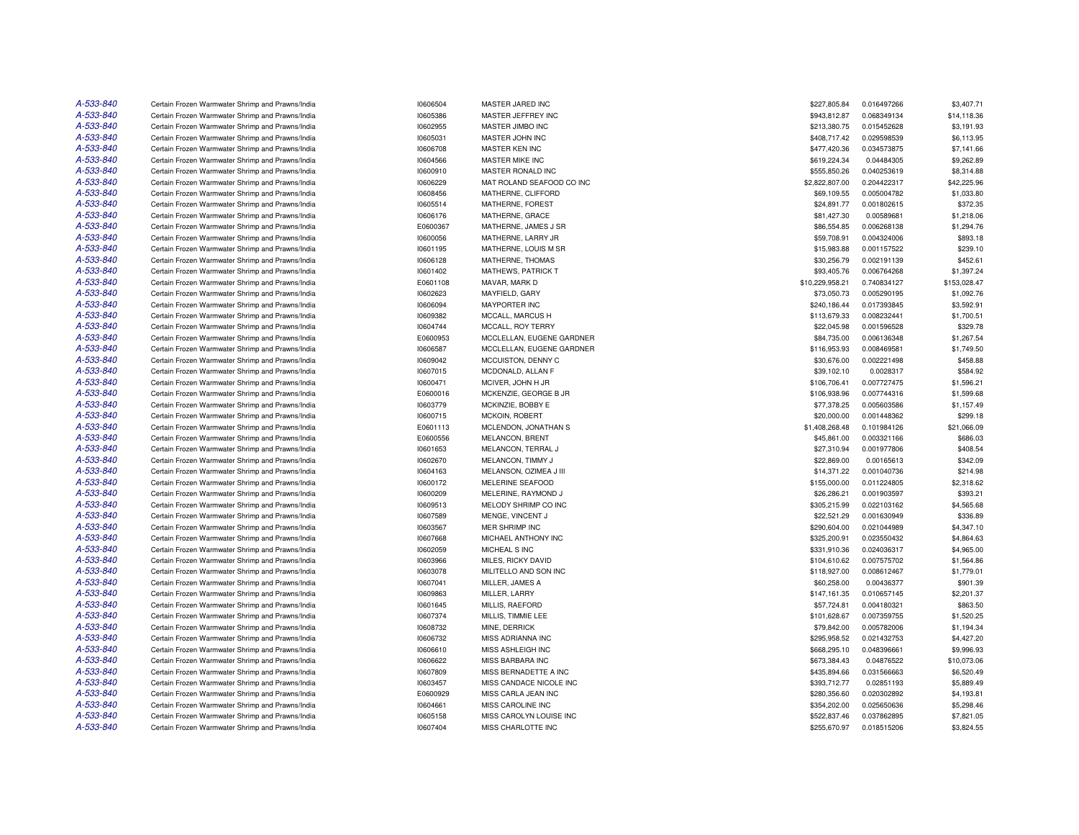| A-533-840 | Certain Frozen Warmwater Shrimp and Prawns/India | 10606504             | MASTER JARED INC          | \$227,805.84                | 0.016497266                | \$3,407.71               |
|-----------|--------------------------------------------------|----------------------|---------------------------|-----------------------------|----------------------------|--------------------------|
| A-533-840 | Certain Frozen Warmwater Shrimp and Prawns/India | 10605386             | MASTER JEFFREY INC        | \$943,812.87                | 0.068349134                | \$14,118.36              |
| A-533-840 | Certain Frozen Warmwater Shrimp and Prawns/India | 10602955             | MASTER JIMBO INC          | \$213,380.75                | 0.015452628                | \$3,191.93               |
| A-533-840 | Certain Frozen Warmwater Shrimp and Prawns/India | 10605031             | MASTER JOHN INC           | \$408,717.42                | 0.029598539                | \$6,113.95               |
| A-533-840 | Certain Frozen Warmwater Shrimp and Prawns/India | 10606708             | MASTER KEN INC            | \$477,420.36                | 0.034573875                | \$7,141.66               |
| A-533-840 | Certain Frozen Warmwater Shrimp and Prawns/India | 10604566             | MASTER MIKE INC           | \$619,224.34                | 0.04484305                 | \$9,262.89               |
| A-533-840 | Certain Frozen Warmwater Shrimp and Prawns/India | 10600910             | MASTER RONALD INC         | \$555,850.26                | 0.040253619                | \$8,314.88               |
| A-533-840 | Certain Frozen Warmwater Shrimp and Prawns/India | 10606229             | MAT ROLAND SEAFOOD CO INC | \$2,822,807.00              | 0.204422317                | \$42,225.96              |
| A-533-840 | Certain Frozen Warmwater Shrimp and Prawns/India | 10608456             | MATHERNE, CLIFFORD        | \$69,109.55                 | 0.005004782                | \$1,033.80               |
| A-533-840 | Certain Frozen Warmwater Shrimp and Prawns/India | 10605514             | MATHERNE, FOREST          | \$24,891.77                 | 0.001802615                | \$372.35                 |
| A-533-840 | Certain Frozen Warmwater Shrimp and Prawns/India | 10606176             | MATHERNE, GRACE           | \$81,427.30                 | 0.00589681                 | \$1,218.06               |
| A-533-840 | Certain Frozen Warmwater Shrimp and Prawns/India | E0600367             | MATHERNE, JAMES J SR      | \$86,554.85                 | 0.006268138                | \$1,294.76               |
| A-533-840 | Certain Frozen Warmwater Shrimp and Prawns/India | 10600056             | MATHERNE, LARRY JR        | \$59,708.91                 | 0.004324006                | \$893.18                 |
| A-533-840 | Certain Frozen Warmwater Shrimp and Prawns/India | 10601195             | MATHERNE, LOUIS M SR      | \$15,983.88                 | 0.001157522                | \$239.10                 |
| A-533-840 | Certain Frozen Warmwater Shrimp and Prawns/India | 10606128             | MATHERNE, THOMAS          | \$30,256.79                 | 0.002191139                | \$452.61                 |
| A-533-840 | Certain Frozen Warmwater Shrimp and Prawns/India | 10601402             | MATHEWS, PATRICK T        | \$93,405.76                 | 0.006764268                | \$1,397.24               |
| A-533-840 | Certain Frozen Warmwater Shrimp and Prawns/India | E0601108             | MAVAR, MARK D             | \$10.229.958.21             | 0.740834127                | \$153,028.47             |
| A-533-840 | Certain Frozen Warmwater Shrimp and Prawns/India | 10602623             | MAYFIELD, GARY            | \$73,050.73                 | 0.005290195                | \$1,092.76               |
| A-533-840 | Certain Frozen Warmwater Shrimp and Prawns/India | 10606094             | <b>MAYPORTER INC</b>      | \$240,186.44                | 0.017393845                | \$3,592.91               |
| A-533-840 | Certain Frozen Warmwater Shrimp and Prawns/India | 10609382             | MCCALL, MARCUS H          | \$113,679.33                | 0.008232441                | \$1,700.51               |
| A-533-840 | Certain Frozen Warmwater Shrimp and Prawns/India | 10604744             | MCCALL, ROY TERRY         | \$22,045.98                 | 0.001596528                | \$329.78                 |
| A-533-840 | Certain Frozen Warmwater Shrimp and Prawns/India |                      | MCCLELLAN, EUGENE GARDNER |                             |                            |                          |
| A-533-840 | Certain Frozen Warmwater Shrimp and Prawns/India | E0600953<br>10606587 | MCCLELLAN, EUGENE GARDNER | \$84,735.00<br>\$116,953.93 | 0.006136348<br>0.008469581 | \$1,267.54<br>\$1,749.50 |
| A-533-840 |                                                  |                      |                           |                             |                            |                          |
| A-533-840 | Certain Frozen Warmwater Shrimp and Prawns/India | 10609042             | MCCUISTON, DENNY C        | \$30,676.00                 | 0.002221498                | \$458.88                 |
|           | Certain Frozen Warmwater Shrimp and Prawns/India | 10607015             | MCDONALD, ALLAN F         | \$39,102.10                 | 0.0028317                  | \$584.92                 |
| A-533-840 | Certain Frozen Warmwater Shrimp and Prawns/India | 10600471             | MCIVER, JOHN H JR         | \$106,706.41                | 0.007727475                | \$1,596.21               |
| A-533-840 | Certain Frozen Warmwater Shrimp and Prawns/India | E0600016             | MCKENZIE, GEORGE B JR     | \$106,938.96                | 0.007744316                | \$1,599.68               |
| A-533-840 | Certain Frozen Warmwater Shrimp and Prawns/India | 10603779             | MCKINZIE, BOBBY E         | \$77,378.25                 | 0.005603586                | \$1,157.49               |
| A-533-840 | Certain Frozen Warmwater Shrimp and Prawns/India | 10600715             | <b>MCKOIN, ROBERT</b>     | \$20,000.00                 | 0.001448362                | \$299.18                 |
| A-533-840 | Certain Frozen Warmwater Shrimp and Prawns/India | E0601113             | MCLENDON, JONATHAN S      | \$1,408,268.48              | 0.101984126                | \$21,066.09              |
| A-533-840 | Certain Frozen Warmwater Shrimp and Prawns/India | E0600556             | MELANCON, BRENT           | \$45,861.00                 | 0.003321166                | \$686.03                 |
| A-533-840 | Certain Frozen Warmwater Shrimp and Prawns/India | 10601653             | MELANCON, TERRAL J        | \$27,310.94                 | 0.001977806                | \$408.54                 |
| A-533-840 | Certain Frozen Warmwater Shrimp and Prawns/India | 10602670             | MELANCON, TIMMY J         | \$22,869.00                 | 0.00165613                 | \$342.09                 |
| A-533-840 | Certain Frozen Warmwater Shrimp and Prawns/India | 10604163             | MELANSON, OZIMEA J III    | \$14,371.22                 | 0.001040736                | \$214.98                 |
| A-533-840 | Certain Frozen Warmwater Shrimp and Prawns/India | 10600172             | MELERINE SEAFOOD          | \$155,000.00                | 0.011224805                | \$2,318.62               |
| A-533-840 | Certain Frozen Warmwater Shrimp and Prawns/India | 10600209             | MELERINE, RAYMOND J       | \$26,286.21                 | 0.001903597                | \$393.21                 |
| A-533-840 | Certain Frozen Warmwater Shrimp and Prawns/India | 10609513             | MELODY SHRIMP CO INC      | \$305,215.99                | 0.022103162                | \$4,565.68               |
| A-533-840 | Certain Frozen Warmwater Shrimp and Prawns/India | 10607589             | MENGE, VINCENT J          | \$22,521.29                 | 0.001630949                | \$336.89                 |
| A-533-840 | Certain Frozen Warmwater Shrimp and Prawns/India | 10603567             | <b>MER SHRIMP INC</b>     | \$290,604.00                | 0.021044989                | \$4,347.10               |
| A-533-840 | Certain Frozen Warmwater Shrimp and Prawns/India | 10607668             | MICHAEL ANTHONY INC       | \$325,200.91                | 0.023550432                | \$4,864.63               |
| A-533-840 | Certain Frozen Warmwater Shrimp and Prawns/India | 10602059             | MICHEAL S INC             | \$331,910.36                | 0.024036317                | \$4,965.00               |
| A-533-840 | Certain Frozen Warmwater Shrimp and Prawns/India | 10603966             | MILES, RICKY DAVID        | \$104,610.62                | 0.007575702                | \$1,564.86               |
| A-533-840 | Certain Frozen Warmwater Shrimp and Prawns/India | 10603078             | MILITELLO AND SON INC     | \$118,927.00                | 0.008612467                | \$1,779.01               |
| A-533-840 | Certain Frozen Warmwater Shrimp and Prawns/India | 10607041             | MILLER, JAMES A           | \$60,258.00                 | 0.00436377                 | \$901.39                 |
| A-533-840 | Certain Frozen Warmwater Shrimp and Prawns/India | 10609863             | MILLER, LARRY             | \$147,161.35                | 0.010657145                | \$2,201.37               |
| A-533-840 | Certain Frozen Warmwater Shrimp and Prawns/India | 10601645             | MILLIS, RAEFORD           | \$57,724.81                 | 0.004180321                | \$863.50                 |
| A-533-840 | Certain Frozen Warmwater Shrimp and Prawns/India | 10607374             | MILLIS, TIMMIE LEE        | \$101,628.67                | 0.007359755                | \$1,520.25               |
| A-533-840 | Certain Frozen Warmwater Shrimp and Prawns/India | 10608732             | MINE, DERRICK             | \$79,842.00                 | 0.005782006                | \$1,194.34               |
| A-533-840 | Certain Frozen Warmwater Shrimp and Prawns/India | 10606732             | MISS ADRIANNA INC         | \$295,958.52                | 0.021432753                | \$4,427.20               |
| A-533-840 | Certain Frozen Warmwater Shrimp and Prawns/India | 10606610             | MISS ASHLEIGH INC         | \$668,295.10                | 0.048396661                | \$9,996.93               |
| A-533-840 | Certain Frozen Warmwater Shrimp and Prawns/India | 10606622             | <b>MISS BARBARA INC</b>   | \$673.384.43                | 0.04876522                 | \$10,073.06              |
| A-533-840 | Certain Frozen Warmwater Shrimp and Prawns/India | 10607809             | MISS BERNADETTE A INC     | \$435,894.66                | 0.031566663                | \$6,520.49               |
| A-533-840 | Certain Frozen Warmwater Shrimp and Prawns/India | 10603457             | MISS CANDACE NICOLE INC   | \$393,712.77                | 0.02851193                 | \$5,889.49               |
| A-533-840 | Certain Frozen Warmwater Shrimp and Prawns/India | E0600929             | MISS CARLA JEAN INC       | \$280,356.60                | 0.020302892                | \$4,193.81               |
| A-533-840 | Certain Frozen Warmwater Shrimp and Prawns/India | 10604661             | MISS CAROLINE INC         | \$354,202.00                | 0.025650636                | \$5,298.46               |
| A-533-840 | Certain Frozen Warmwater Shrimp and Prawns/India | 10605158             | MISS CAROLYN LOUISE INC   | \$522,837.46                | 0.037862895                | \$7,821.05               |
| A-533-840 | Certain Frozen Warmwater Shrimp and Prawns/India | 10607404             | MISS CHARLOTTE INC        | \$255,670.97                | 0.018515206                | \$3,824.55               |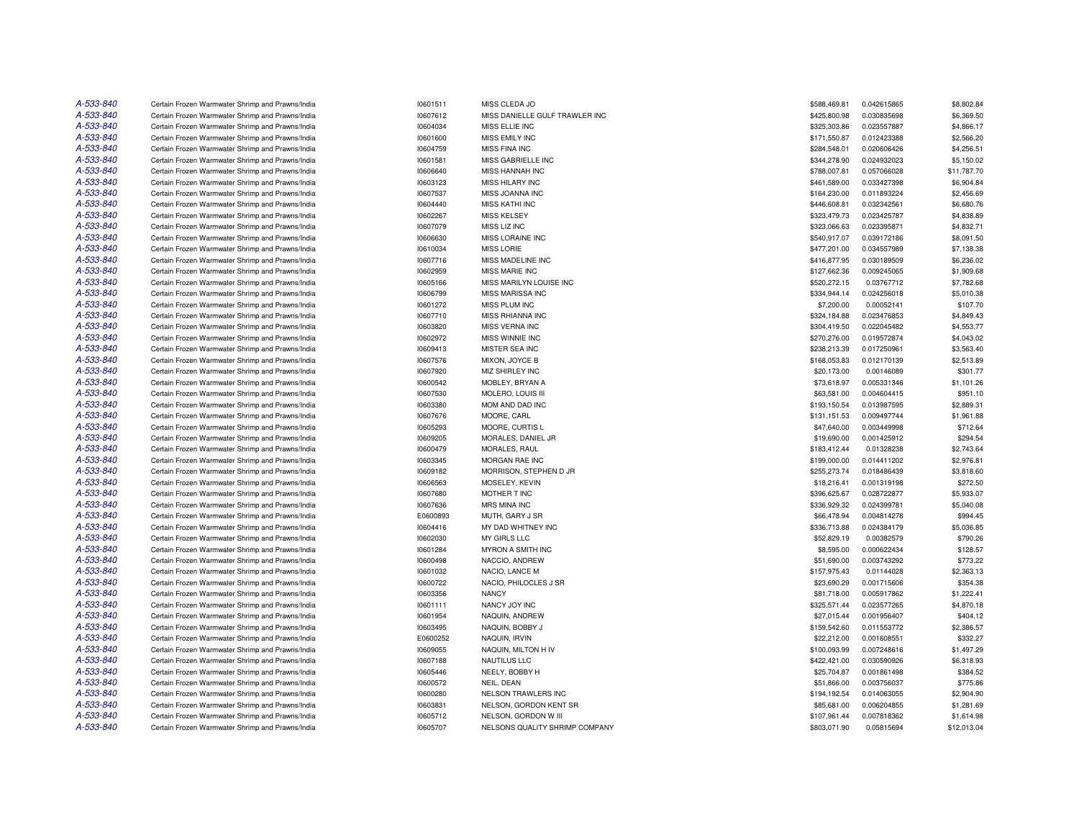| A-533-840 | Certain Frozen Warmwater Shrimp and Prawns/India | 10601511 | MISS CLEDA JO                  | \$588,469.81 | 0.042615865 | \$8,802.84               |
|-----------|--------------------------------------------------|----------|--------------------------------|--------------|-------------|--------------------------|
| A-533-840 | Certain Frozen Warmwater Shrimp and Prawns/India | 10607612 | MISS DANIELLE GULF TRAWLER INC | \$425,800.98 | 0.030835698 | \$6,369.50               |
| A-533-840 | Certain Frozen Warmwater Shrimp and Prawns/India | 10604034 | MISS ELLIE INC                 | \$325,303.86 | 0.023557887 | \$4,866.17               |
| A-533-840 | Certain Frozen Warmwater Shrimp and Prawns/India | 10601600 | MISS EMILY INC                 | \$171,550.87 | 0.012423388 | \$2,566.20               |
| A-533-840 | Certain Frozen Warmwater Shrimp and Prawns/India | 10604759 | <b>MISS FINA INC</b>           | \$284,548.01 | 0.020606426 | \$4,256.51               |
| A-533-840 | Certain Frozen Warmwater Shrimp and Prawns/India | 10601581 | MISS GABRIELLE INC             | \$344,278.90 | 0.024932023 | \$5,150.02               |
| A-533-840 | Certain Frozen Warmwater Shrimp and Prawns/India | 10606640 | MISS HANNAH INC                | \$788,007.81 | 0.057066028 | \$11,787.70              |
| A-533-840 | Certain Frozen Warmwater Shrimp and Prawns/India | 10603123 | MISS HILARY INC                | \$461,589.00 | 0.033427398 | \$6,904.84               |
| A-533-840 | Certain Frozen Warmwater Shrimp and Prawns/India | 10607537 | MISS JOANNA INC                | \$164,230.00 | 0.011893224 | \$2,456.69               |
| A-533-840 | Certain Frozen Warmwater Shrimp and Prawns/India | 10604440 | <b>MISS KATHI INC</b>          | \$446,608.81 | 0.032342561 | \$6,680.76               |
| A-533-840 | Certain Frozen Warmwater Shrimp and Prawns/India | 10602267 | <b>MISS KELSEY</b>             | \$323,479.73 | 0.023425787 | \$4,838.89               |
| A-533-840 | Certain Frozen Warmwater Shrimp and Prawns/India | 10607079 | MISS LIZ INC                   | \$323,066.63 | 0.023395871 | \$4,832.71               |
| A-533-840 | Certain Frozen Warmwater Shrimp and Prawns/India | 10606630 | MISS LORAINE INC               | \$540.917.07 | 0.039172186 | \$8,091.50               |
| A-533-840 | Certain Frozen Warmwater Shrimp and Prawns/India | 10610034 | <b>MISS LORIE</b>              | \$477,201.00 | 0.034557989 | \$7,138.38               |
| A-533-840 | Certain Frozen Warmwater Shrimp and Prawns/India | 10607716 | MISS MADELINE INC              | \$416,877.95 | 0.030189509 | \$6,236.02               |
| A-533-840 | Certain Frozen Warmwater Shrimp and Prawns/India | 10602959 | MISS MARIE INC                 | \$127,662.36 | 0.009245065 | \$1,909.68               |
| A-533-840 | Certain Frozen Warmwater Shrimp and Prawns/India | 10605166 | MISS MARILYN LOUISE INC        | \$520,272.15 | 0.03767712  | \$7,782.68               |
| A-533-840 | Certain Frozen Warmwater Shrimp and Prawns/India | 10606799 | MISS MARISSA INC               | \$334,944.14 | 0.024256018 | \$5,010.38               |
| A-533-840 | Certain Frozen Warmwater Shrimp and Prawns/India | 10601272 | MISS PLUM INC                  | \$7,200.00   | 0.00052141  | \$107.70                 |
| A-533-840 | Certain Frozen Warmwater Shrimp and Prawns/India | 10607710 | <b>MISS RHIANNA INC</b>        | \$324,184.88 | 0.023476853 | \$4,849.43               |
| A-533-840 |                                                  |          |                                |              |             |                          |
| A-533-840 | Certain Frozen Warmwater Shrimp and Prawns/India | 10603820 | <b>MISS VERNA INC</b>          | \$304,419.50 | 0.022045482 | \$4,553.77               |
| A-533-840 | Certain Frozen Warmwater Shrimp and Prawns/India | 10602972 | <b>MISS WINNIE INC</b>         | \$270,276.00 | 0.019572874 | \$4,043.02<br>\$3,563.40 |
|           | Certain Frozen Warmwater Shrimp and Prawns/India | 10609413 | MISTER SEA INC                 | \$238,213.39 | 0.017250961 |                          |
| A-533-840 | Certain Frozen Warmwater Shrimp and Prawns/India | 10607576 | MIXON, JOYCE B                 | \$168,053.83 | 0.012170139 | \$2,513.89               |
| A-533-840 | Certain Frozen Warmwater Shrimp and Prawns/India | 10607920 | MIZ SHIRLEY INC                | \$20,173.00  | 0.00146089  | \$301.77                 |
| A-533-840 | Certain Frozen Warmwater Shrimp and Prawns/India | 10600542 | MOBLEY, BRYAN A                | \$73,618.97  | 0.005331346 | \$1,101.26               |
| A-533-840 | Certain Frozen Warmwater Shrimp and Prawns/India | 10607530 | MOLERO, LOUIS III              | \$63,581.00  | 0.004604415 | \$951.10                 |
| A-533-840 | Certain Frozen Warmwater Shrimp and Prawns/India | 10603380 | MOM AND DAD INC                | \$193,150.54 | 0.013987595 | \$2,889.31               |
| A-533-840 | Certain Frozen Warmwater Shrimp and Prawns/India | 10607676 | MOORE, CARL                    | \$131,151.53 | 0.009497744 | \$1,961.88               |
| A-533-840 | Certain Frozen Warmwater Shrimp and Prawns/India | 10605293 | MOORE, CURTIS L                | \$47,640.00  | 0.003449998 | \$712.64                 |
| A-533-840 | Certain Frozen Warmwater Shrimp and Prawns/India | 10609205 | MORALES, DANIEL JR             | \$19,690.00  | 0.001425912 | \$294.54                 |
| A-533-840 | Certain Frozen Warmwater Shrimp and Prawns/India | 10600479 | MORALES, RAUL                  | \$183,412.44 | 0.01328238  | \$2,743.64               |
| A-533-840 | Certain Frozen Warmwater Shrimp and Prawns/India | 10603345 | <b>MORGAN RAE INC</b>          | \$199,000.00 | 0.014411202 | \$2,976.81               |
| A-533-840 | Certain Frozen Warmwater Shrimp and Prawns/India | 10609182 | MORRISON, STEPHEN D JR         | \$255,273.74 | 0.018486439 | \$3,818.60               |
| A-533-840 | Certain Frozen Warmwater Shrimp and Prawns/India | 10606563 | MOSELEY, KEVIN                 | \$18,216.41  | 0.001319198 | \$272.50                 |
| A-533-840 | Certain Frozen Warmwater Shrimp and Prawns/India | 10607680 | MOTHER T INC                   | \$396,625.67 | 0.028722877 | \$5,933.07               |
| A-533-840 | Certain Frozen Warmwater Shrimp and Prawns/India | 10607636 | MRS MINA INC                   | \$336,929.32 | 0.024399781 | \$5,040.08               |
| A-533-840 | Certain Frozen Warmwater Shrimp and Prawns/India | E0600893 | MUTH, GARY J SR                | \$66,478.94  | 0.004814278 | \$994.45                 |
| A-533-840 | Certain Frozen Warmwater Shrimp and Prawns/India | 10604416 | MY DAD WHITNEY INC             | \$336,713.88 | 0.024384179 | \$5,036.85               |
| A-533-840 | Certain Frozen Warmwater Shrimp and Prawns/India | 10602030 | <b>MY GIRLS LLC</b>            | \$52,829.19  | 0.00382579  | \$790.26                 |
| A-533-840 | Certain Frozen Warmwater Shrimp and Prawns/India | 10601284 | MYRON A SMITH INC              | \$8,595.00   | 0.000622434 | \$128.57                 |
| A-533-840 | Certain Frozen Warmwater Shrimp and Prawns/India | 10600498 | NACCIO, ANDREW                 | \$51,690.00  | 0.003743292 | \$773.22                 |
| A-533-840 | Certain Frozen Warmwater Shrimp and Prawns/India | 10601032 | NACIO, LANCE M                 | \$157,975.43 | 0.01144028  | \$2,363.13               |
| A-533-840 | Certain Frozen Warmwater Shrimp and Prawns/India | 10600722 | NACIO, PHILOCLES J SR          | \$23,690.29  | 0.001715606 | \$354.38                 |
| A-533-840 | Certain Frozen Warmwater Shrimp and Prawns/India | 10603356 | <b>NANCY</b>                   | \$81,718.00  | 0.005917862 | \$1,222.41               |
| A-533-840 | Certain Frozen Warmwater Shrimp and Prawns/India | 10601111 | NANCY JOY INC                  | \$325,571.44 | 0.023577265 | \$4,870.18               |
| A-533-840 | Certain Frozen Warmwater Shrimp and Prawns/India | 10601954 | NAQUIN, ANDREW                 | \$27,015.44  | 0.001956407 | \$404.12                 |
| A-533-840 | Certain Frozen Warmwater Shrimp and Prawns/India | 10603495 | NAQUIN, BOBBY J                | \$159,542.60 | 0.011553772 | \$2,386.57               |
| A-533-840 | Certain Frozen Warmwater Shrimp and Prawns/India | E0600252 | NAQUIN, IRVIN                  | \$22,212.00  | 0.001608551 | \$332.27                 |
| A-533-840 | Certain Frozen Warmwater Shrimp and Prawns/India | 10609055 | NAQUIN, MILTON H IV            | \$100,093.99 | 0.007248616 | \$1,497.29               |
| A-533-840 | Certain Frozen Warmwater Shrimp and Prawns/India | 10607188 | NAUTILUS LLC                   | \$422,421.00 | 0.030590926 | \$6,318.93               |
| A-533-840 | Certain Frozen Warmwater Shrimp and Prawns/India | 10605446 | NEELY, BOBBY H                 | \$25,704.87  | 0.001861498 | \$384.52                 |
| A-533-840 | Certain Frozen Warmwater Shrimp and Prawns/India | 10600572 | NEIL, DEAN                     | \$51,866.00  | 0.003756037 | \$775.86                 |
| A-533-840 | Certain Frozen Warmwater Shrimp and Prawns/India | 10600280 | <b>NELSON TRAWLERS INC</b>     | \$194,192.54 | 0.014063055 | \$2,904.90               |
| A-533-840 | Certain Frozen Warmwater Shrimp and Prawns/India | 10603831 | NELSON, GORDON KENT SR         | \$85,681.00  | 0.006204855 | \$1,281.69               |
| A-533-840 | Certain Frozen Warmwater Shrimp and Prawns/India | 10605712 | NELSON, GORDON W III           | \$107,961.44 | 0.007818362 | \$1,614.98               |
| A-533-840 | Certain Frozen Warmwater Shrimp and Prawns/India | 10605707 | NELSONS QUALITY SHRIMP COMPANY | \$803,071.90 | 0.05815694  | \$12,013.04              |
|           |                                                  |          |                                |              |             |                          |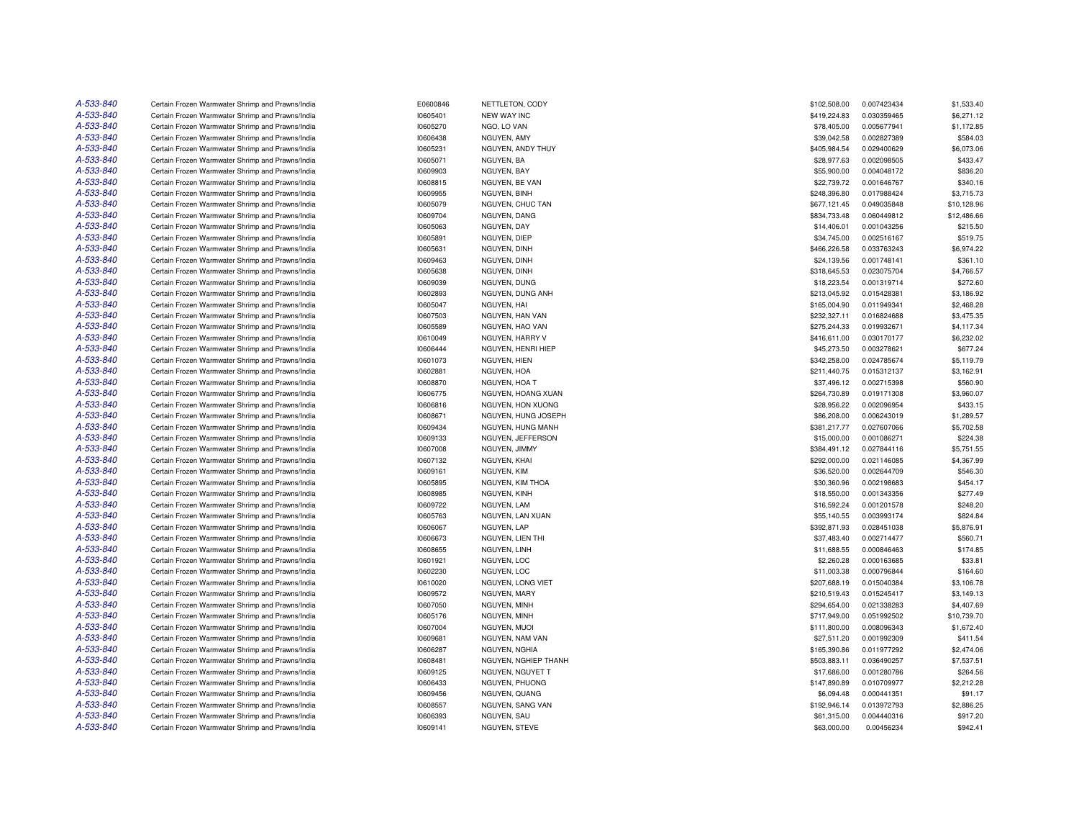| A-533-840 | Certain Frozen Warmwater Shrimp and Prawns/India | E0600846 | NETTLETON, CODY      | \$102,508.00 | 0.007423434 | \$1,533.40               |
|-----------|--------------------------------------------------|----------|----------------------|--------------|-------------|--------------------------|
| A-533-840 | Certain Frozen Warmwater Shrimp and Prawns/India | 10605401 | <b>NEW WAY INC</b>   | \$419,224.83 | 0.030359465 | \$6,271.12               |
| A-533-840 | Certain Frozen Warmwater Shrimp and Prawns/India | 10605270 | NGO, LO VAN          | \$78,405.00  | 0.005677941 | \$1,172.85               |
| A-533-840 | Certain Frozen Warmwater Shrimp and Prawns/India | 10606438 | NGUYEN, AMY          | \$39,042.58  | 0.002827389 | \$584.03                 |
| A-533-840 | Certain Frozen Warmwater Shrimp and Prawns/India | 10605231 | NGUYEN, ANDY THUY    | \$405,984.54 | 0.029400629 | \$6,073.06               |
| A-533-840 | Certain Frozen Warmwater Shrimp and Prawns/India | 10605071 | NGUYEN, BA           | \$28,977.63  | 0.002098505 | \$433.47                 |
| A-533-840 | Certain Frozen Warmwater Shrimp and Prawns/India | 10609903 | NGUYEN, BAY          | \$55,900.00  | 0.004048172 | \$836.20                 |
| A-533-840 | Certain Frozen Warmwater Shrimp and Prawns/India | 10608815 | NGUYEN, BE VAN       | \$22,739.72  | 0.001646767 | \$340.16                 |
| A-533-840 | Certain Frozen Warmwater Shrimp and Prawns/India | 10609955 | NGUYEN, BINH         | \$248,396.80 | 0.017988424 | \$3,715.73               |
| A-533-840 | Certain Frozen Warmwater Shrimp and Prawns/India | 10605079 | NGUYEN, CHUC TAN     | \$677,121.45 | 0.049035848 | \$10,128.96              |
| A-533-840 | Certain Frozen Warmwater Shrimp and Prawns/India | 10609704 | NGUYEN, DANG         | \$834,733.48 | 0.060449812 | \$12,486.66              |
| A-533-840 | Certain Frozen Warmwater Shrimp and Prawns/India | 10605063 | NGUYEN, DAY          | \$14,406.01  | 0.001043256 | \$215.50                 |
| A-533-840 | Certain Frozen Warmwater Shrimp and Prawns/India | 10605891 | NGUYEN, DIEP         | \$34,745.00  | 0.002516167 | \$519.75                 |
| A-533-840 | Certain Frozen Warmwater Shrimp and Prawns/India | 10605631 | NGUYEN, DINH         | \$466,226.58 | 0.033763243 | \$6,974.22               |
| A-533-840 | Certain Frozen Warmwater Shrimp and Prawns/India | 10609463 | NGUYEN, DINH         | \$24,139.56  | 0.001748141 | \$361.10                 |
| A-533-840 | Certain Frozen Warmwater Shrimp and Prawns/India | 10605638 | NGUYEN, DINH         | \$318,645.53 | 0.023075704 | \$4,766.57               |
| A-533-840 | Certain Frozen Warmwater Shrimp and Prawns/India | 10609039 | NGUYEN, DUNG         | \$18,223.54  | 0.001319714 | \$272.60                 |
| A-533-840 |                                                  |          |                      |              |             |                          |
| A-533-840 | Certain Frozen Warmwater Shrimp and Prawns/India | 10602893 | NGUYEN, DUNG ANH     | \$213,045.92 | 0.015428381 | \$3,186.92<br>\$2,468.28 |
| A-533-840 | Certain Frozen Warmwater Shrimp and Prawns/India | 10605047 | NGUYEN, HAI          | \$165,004.90 | 0.011949341 |                          |
|           | Certain Frozen Warmwater Shrimp and Prawns/India | 10607503 | NGUYEN, HAN VAN      | \$232,327.11 | 0.016824688 | \$3,475.35               |
| A-533-840 | Certain Frozen Warmwater Shrimp and Prawns/India | 10605589 | NGUYEN, HAO VAN      | \$275,244.33 | 0.019932671 | \$4,117.34               |
| A-533-840 | Certain Frozen Warmwater Shrimp and Prawns/India | 10610049 | NGUYEN, HARRY V      | \$416,611.00 | 0.030170177 | \$6,232.02               |
| A-533-840 | Certain Frozen Warmwater Shrimp and Prawns/India | 10606444 | NGUYEN, HENRI HIEP   | \$45,273.50  | 0.003278621 | \$677.24                 |
| A-533-840 | Certain Frozen Warmwater Shrimp and Prawns/India | 10601073 | NGUYEN, HIEN         | \$342,258.00 | 0.024785674 | \$5,119.79               |
| A-533-840 | Certain Frozen Warmwater Shrimp and Prawns/India | 10602881 | NGUYEN, HOA          | \$211,440.75 | 0.015312137 | \$3,162.91               |
| A-533-840 | Certain Frozen Warmwater Shrimp and Prawns/India | 10608870 | NGUYEN, HOA T        | \$37,496.12  | 0.002715398 | \$560.90                 |
| A-533-840 | Certain Frozen Warmwater Shrimp and Prawns/India | 10606775 | NGUYEN, HOANG XUAN   | \$264,730.89 | 0.019171308 | \$3,960.07               |
| A-533-840 | Certain Frozen Warmwater Shrimp and Prawns/India | 10606816 | NGUYEN, HON XUONG    | \$28,956.22  | 0.002096954 | \$433.15                 |
| A-533-840 | Certain Frozen Warmwater Shrimp and Prawns/India | 10608671 | NGUYEN, HUNG JOSEPH  | \$86,208.00  | 0.006243019 | \$1,289.57               |
| A-533-840 | Certain Frozen Warmwater Shrimp and Prawns/India | 10609434 | NGUYEN, HUNG MANH    | \$381,217.77 | 0.027607066 | \$5,702.58               |
| A-533-840 | Certain Frozen Warmwater Shrimp and Prawns/India | 10609133 | NGUYEN, JEFFERSON    | \$15,000.00  | 0.001086271 | \$224.38                 |
| A-533-840 | Certain Frozen Warmwater Shrimp and Prawns/India | 10607008 | NGUYEN, JIMMY        | \$384,491.12 | 0.027844116 | \$5,751.55               |
| A-533-840 | Certain Frozen Warmwater Shrimp and Prawns/India | 10607132 | NGUYEN, KHAI         | \$292,000.00 | 0.021146085 | \$4,367.99               |
| A-533-840 | Certain Frozen Warmwater Shrimp and Prawns/India | 10609161 | NGUYEN, KIM          | \$36,520.00  | 0.002644709 | \$546.30                 |
| A-533-840 | Certain Frozen Warmwater Shrimp and Prawns/India | 10605895 | NGUYEN, KIM THOA     | \$30,360.96  | 0.002198683 | \$454.17                 |
| A-533-840 | Certain Frozen Warmwater Shrimp and Prawns/India | 10608985 | NGUYEN, KINH         | \$18,550.00  | 0.001343356 | \$277.49                 |
| A-533-840 | Certain Frozen Warmwater Shrimp and Prawns/India | 10609722 | NGUYEN, LAM          | \$16,592.24  | 0.001201578 | \$248.20                 |
| A-533-840 | Certain Frozen Warmwater Shrimp and Prawns/India | 10605763 | NGUYEN, LAN XUAN     | \$55,140.55  | 0.003993174 | \$824.84                 |
| A-533-840 | Certain Frozen Warmwater Shrimp and Prawns/India | 10606067 | NGUYEN, LAP          | \$392,871.93 | 0.028451038 | \$5,876.91               |
| A-533-840 | Certain Frozen Warmwater Shrimp and Prawns/India | 10606673 | NGUYEN, LIEN THI     | \$37,483.40  | 0.002714477 | \$560.71                 |
| A-533-840 | Certain Frozen Warmwater Shrimp and Prawns/India | 10608655 | NGUYEN, LINH         | \$11,688.55  | 0.000846463 | \$174.85                 |
| A-533-840 | Certain Frozen Warmwater Shrimp and Prawns/India | 10601921 | NGUYEN, LOC          | \$2,260.28   | 0.000163685 | \$33.81                  |
| A-533-840 | Certain Frozen Warmwater Shrimp and Prawns/India | 10602230 | NGUYEN, LOC          | \$11,003.38  | 0.000796844 | \$164.60                 |
| A-533-840 | Certain Frozen Warmwater Shrimp and Prawns/India | 10610020 | NGUYEN, LONG VIET    | \$207,688.19 | 0.015040384 | \$3,106.78               |
| A-533-840 | Certain Frozen Warmwater Shrimp and Prawns/India | 10609572 | NGUYEN, MARY         | \$210,519.43 | 0.015245417 | \$3,149.13               |
| A-533-840 | Certain Frozen Warmwater Shrimp and Prawns/India | 10607050 | NGUYEN, MINH         | \$294,654.00 | 0.021338283 | \$4,407.69               |
| A-533-840 | Certain Frozen Warmwater Shrimp and Prawns/India | 10605176 | NGUYEN, MINH         | \$717,949.00 | 0.051992502 | \$10,739.70              |
| A-533-840 | Certain Frozen Warmwater Shrimp and Prawns/India | 10607004 | NGUYEN, MUOI         | \$111,800.00 | 0.008096343 | \$1,672.40               |
| A-533-840 | Certain Frozen Warmwater Shrimp and Prawns/India | 10609681 | NGUYEN, NAM VAN      | \$27,511.20  | 0.001992309 | \$411.54                 |
| A-533-840 |                                                  |          |                      |              |             | \$2,474.06               |
| A-533-840 | Certain Frozen Warmwater Shrimp and Prawns/India | 10606287 | NGUYEN, NGHIA        | \$165,390.86 | 0.011977292 |                          |
|           | Certain Frozen Warmwater Shrimp and Prawns/India | 10608481 | NGUYEN, NGHIEP THANH | \$503,883.11 | 0.036490257 | \$7,537.51               |
| A-533-840 | Certain Frozen Warmwater Shrimp and Prawns/India | 10609125 | NGUYEN, NGUYET T     | \$17,686.00  | 0.001280786 | \$264.56                 |
| A-533-840 | Certain Frozen Warmwater Shrimp and Prawns/India | 10606433 | NGUYEN, PHUONG       | \$147,890.89 | 0.010709977 | \$2,212.28               |
| A-533-840 | Certain Frozen Warmwater Shrimp and Prawns/India | 10609456 | NGUYEN, QUANG        | \$6,094.48   | 0.000441351 | \$91.17                  |
| A-533-840 | Certain Frozen Warmwater Shrimp and Prawns/India | 10608557 | NGUYEN, SANG VAN     | \$192,946.14 | 0.013972793 | \$2,886.25               |
| A-533-840 | Certain Frozen Warmwater Shrimp and Prawns/India | 10606393 | NGUYEN, SAU          | \$61,315.00  | 0.004440316 | \$917.20                 |
| A-533-840 | Certain Frozen Warmwater Shrimp and Prawns/India | 10609141 | NGUYEN, STEVE        | \$63,000.00  | 0.00456234  | \$942.41                 |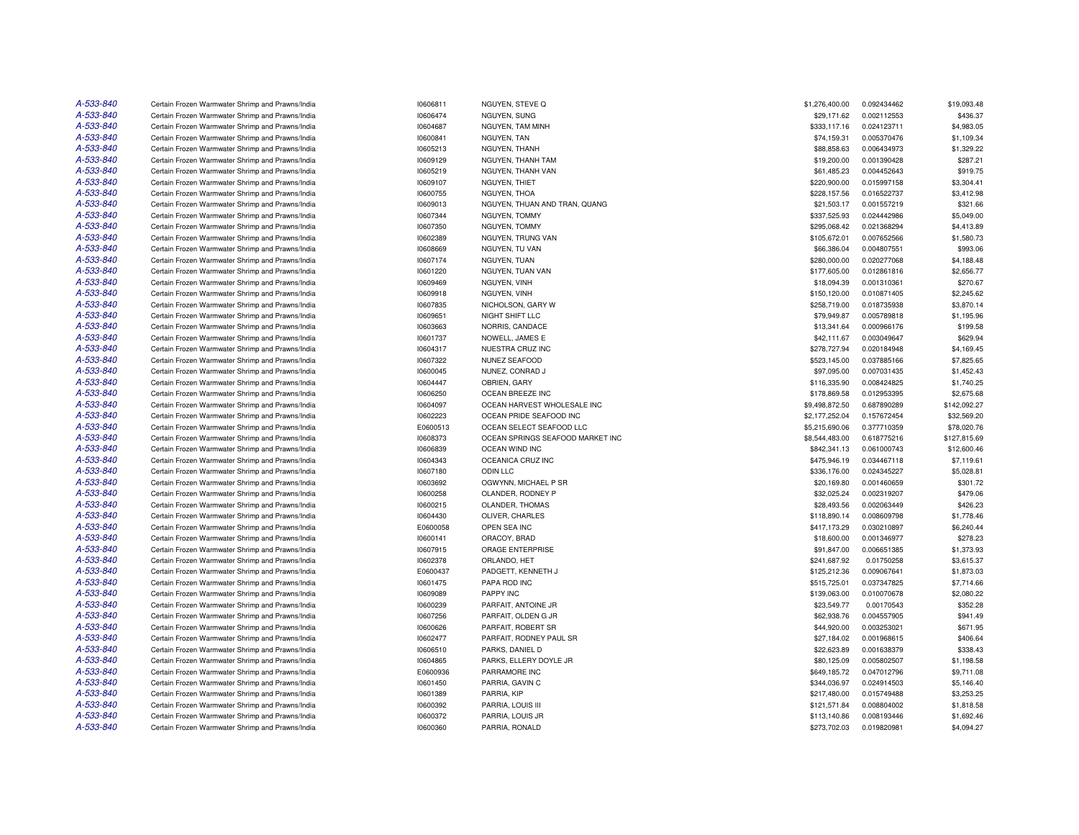| A-533-840 | Certain Frozen Warmwater Shrimp and Prawns/India                                                     | 10606811             | NGUYEN, STEVE Q                         | \$1,276,400.00              | 0.092434462 | \$19,093.48              |
|-----------|------------------------------------------------------------------------------------------------------|----------------------|-----------------------------------------|-----------------------------|-------------|--------------------------|
| A-533-840 | Certain Frozen Warmwater Shrimp and Prawns/India                                                     | 10606474             | NGUYEN, SUNG                            | \$29,171.62                 | 0.002112553 | \$436.37                 |
| A-533-840 | Certain Frozen Warmwater Shrimp and Prawns/India                                                     | 10604687             | NGUYEN, TAM MINH                        | \$333,117.16                | 0.024123711 | \$4,983.05               |
| A-533-840 | Certain Frozen Warmwater Shrimp and Prawns/India                                                     | 10600841             | NGUYEN, TAN                             | \$74,159.31                 | 0.005370476 | \$1,109.34               |
| A-533-840 | Certain Frozen Warmwater Shrimp and Prawns/India                                                     | 10605213             | NGUYEN, THANH                           | \$88,858.63                 | 0.006434973 | \$1,329.22               |
| A-533-840 | Certain Frozen Warmwater Shrimp and Prawns/India                                                     | 10609129             | NGUYEN, THANH TAM                       | \$19,200.00                 | 0.001390428 | \$287.21                 |
| A-533-840 | Certain Frozen Warmwater Shrimp and Prawns/India                                                     | 10605219             | NGUYEN, THANH VAN                       | \$61,485.23                 | 0.004452643 | \$919.75                 |
| A-533-840 | Certain Frozen Warmwater Shrimp and Prawns/India                                                     | 10609107             | NGUYEN, THIET                           | \$220,900.00                | 0.015997158 | \$3,304.41               |
| A-533-840 | Certain Frozen Warmwater Shrimp and Prawns/India                                                     | 10600755             | NGUYEN, THOA                            | \$228,157.56                | 0.016522737 | \$3,412.98               |
| A-533-840 | Certain Frozen Warmwater Shrimp and Prawns/India                                                     | 10609013             | NGUYEN, THUAN AND TRAN, QUANG           | \$21,503.17                 | 0.001557219 | \$321.66                 |
| A-533-840 | Certain Frozen Warmwater Shrimp and Prawns/India                                                     | 10607344             | NGUYEN, TOMMY                           | \$337,525.93                | 0.024442986 | \$5,049.00               |
| A-533-840 | Certain Frozen Warmwater Shrimp and Prawns/India                                                     | 10607350             | NGUYEN, TOMMY                           | \$295,068.42                | 0.021368294 | \$4,413.89               |
| A-533-840 | Certain Frozen Warmwater Shrimp and Prawns/India                                                     | 10602389             | NGUYEN, TRUNG VAN                       | \$105,672.01                | 0.007652566 | \$1,580.73               |
| A-533-840 | Certain Frozen Warmwater Shrimp and Prawns/India                                                     | 10608669             | NGUYEN, TU VAN                          | \$66,386.04                 | 0.004807551 | \$993.06                 |
| A-533-840 | Certain Frozen Warmwater Shrimp and Prawns/India                                                     | 10607174             | NGUYEN, TUAN                            | \$280,000.00                | 0.020277068 | \$4,188.48               |
| A-533-840 | Certain Frozen Warmwater Shrimp and Prawns/India                                                     | 10601220             | NGUYEN, TUAN VAN                        | \$177,605.00                | 0.012861816 | \$2,656.77               |
| A-533-840 | Certain Frozen Warmwater Shrimp and Prawns/India                                                     | 10609469             | NGUYEN, VINH                            | \$18,094.39                 | 0.001310361 | \$270.67                 |
| A-533-840 |                                                                                                      |                      |                                         |                             |             |                          |
| A-533-840 | Certain Frozen Warmwater Shrimp and Prawns/India                                                     | 10609918             | NGUYEN, VINH                            | \$150,120.00                | 0.010871405 | \$2,245.62               |
|           | Certain Frozen Warmwater Shrimp and Prawns/India                                                     | 10607835             | NICHOLSON, GARY W                       | \$258,719.00                | 0.018735938 | \$3,870.14               |
| A-533-840 | Certain Frozen Warmwater Shrimp and Prawns/India                                                     | 10609651             | NIGHT SHIFT LLC                         | \$79,949.87                 | 0.005789818 | \$1,195.96               |
| A-533-840 | Certain Frozen Warmwater Shrimp and Prawns/India                                                     | 10603663             | NORRIS, CANDACE                         | \$13,341.64                 | 0.000966176 | \$199.58                 |
| A-533-840 | Certain Frozen Warmwater Shrimp and Prawns/India                                                     | 10601737             | NOWELL, JAMES E                         | \$42,111.67                 | 0.003049647 | \$629.94                 |
| A-533-840 | Certain Frozen Warmwater Shrimp and Prawns/India                                                     | 10604317             | NUESTRA CRUZ INC                        | \$278,727.94                | 0.020184948 | \$4,169.45               |
| A-533-840 | Certain Frozen Warmwater Shrimp and Prawns/India                                                     | 10607322             | NUNEZ SEAFOOD                           | \$523,145.00                | 0.037885166 | \$7,825.65               |
| A-533-840 | Certain Frozen Warmwater Shrimp and Prawns/India                                                     | 10600045             | NUNEZ, CONRAD J                         | \$97,095.00                 | 0.007031435 | \$1,452.43               |
| A-533-840 | Certain Frozen Warmwater Shrimp and Prawns/India                                                     | 10604447             | OBRIEN, GARY                            | \$116,335.90                | 0.008424825 | \$1,740.25               |
| A-533-840 | Certain Frozen Warmwater Shrimp and Prawns/India                                                     | 10606250             | OCEAN BREEZE INC                        | \$178,869.58                | 0.012953395 | \$2,675.68               |
| A-533-840 | Certain Frozen Warmwater Shrimp and Prawns/India                                                     | 10604097             | OCEAN HARVEST WHOLESALE INC             | \$9,498,872.50              | 0.687890289 | \$142,092.27             |
| A-533-840 | Certain Frozen Warmwater Shrimp and Prawns/India                                                     | 10602223             | OCEAN PRIDE SEAFOOD INC                 | \$2,177,252.04              | 0.157672454 | \$32,569.20              |
| A-533-840 | Certain Frozen Warmwater Shrimp and Prawns/India                                                     | E0600513             | OCEAN SELECT SEAFOOD LLC                | \$5,215,690.06              | 0.377710359 | \$78,020.76              |
| A-533-840 | Certain Frozen Warmwater Shrimp and Prawns/India                                                     | 10608373             | OCEAN SPRINGS SEAFOOD MARKET INC        | \$8,544,483.00              | 0.618775216 | \$127,815.69             |
| A-533-840 | Certain Frozen Warmwater Shrimp and Prawns/India                                                     | 10606839             | OCEAN WIND INC                          | \$842,341.13                | 0.061000743 | \$12,600.46              |
| A-533-840 | Certain Frozen Warmwater Shrimp and Prawns/India                                                     | 10604343             | OCEANICA CRUZ INC                       | \$475,946.19                | 0.034467118 | \$7,119.61               |
| A-533-840 | Certain Frozen Warmwater Shrimp and Prawns/India                                                     | 10607180             | <b>ODIN LLC</b>                         | \$336,176.00                | 0.024345227 | \$5,028.81               |
| A-533-840 | Certain Frozen Warmwater Shrimp and Prawns/India                                                     | 10603692             | OGWYNN, MICHAEL P SR                    | \$20,169.80                 | 0.001460659 | \$301.72                 |
| A-533-840 | Certain Frozen Warmwater Shrimp and Prawns/India                                                     | 10600258             | OLANDER, RODNEY P                       | \$32,025.24                 | 0.002319207 | \$479.06                 |
| A-533-840 | Certain Frozen Warmwater Shrimp and Prawns/India                                                     | 10600215             | OLANDER, THOMAS                         | \$28,493.56                 | 0.002063449 | \$426.23                 |
| A-533-840 | Certain Frozen Warmwater Shrimp and Prawns/India                                                     | 10604430             | OLIVER, CHARLES                         | \$118,890.14                | 0.008609798 | \$1,778.46               |
| A-533-840 | Certain Frozen Warmwater Shrimp and Prawns/India                                                     | E0600058             | OPEN SEA INC                            | \$417,173.29                | 0.030210897 | \$6,240.44               |
| A-533-840 | Certain Frozen Warmwater Shrimp and Prawns/India                                                     | 10600141             | ORACOY, BRAD                            | \$18,600.00                 | 0.001346977 | \$278.23                 |
| A-533-840 | Certain Frozen Warmwater Shrimp and Prawns/India                                                     | 10607915             | ORAGE ENTERPRISE                        | \$91,847.00                 | 0.006651385 | \$1,373.93               |
| A-533-840 | Certain Frozen Warmwater Shrimp and Prawns/India                                                     | 10602378             | ORLANDO, HET                            | \$241,687.92                | 0.01750258  | \$3,615.37               |
| A-533-840 | Certain Frozen Warmwater Shrimp and Prawns/India                                                     | E0600437             | PADGETT, KENNETH J                      | \$125,212.36                | 0.009067641 | \$1,873.03               |
| A-533-840 | Certain Frozen Warmwater Shrimp and Prawns/India                                                     | 10601475             | PAPA ROD INC                            | \$515,725.01                | 0.037347825 | \$7,714.66               |
| A-533-840 | Certain Frozen Warmwater Shrimp and Prawns/India                                                     | 10609089             | PAPPY INC                               | \$139,063.00                | 0.010070678 | \$2,080.22               |
| A-533-840 | Certain Frozen Warmwater Shrimp and Prawns/India                                                     | 10600239             | PARFAIT, ANTOINE JR                     | \$23,549.77                 | 0.00170543  | \$352.28                 |
| A-533-840 | Certain Frozen Warmwater Shrimp and Prawns/India                                                     | 10607256             | PARFAIT, OLDEN G JR                     | \$62,938.76                 | 0.004557905 | \$941.49                 |
| A-533-840 | Certain Frozen Warmwater Shrimp and Prawns/India                                                     | 10600626             | PARFAIT, ROBERT SR                      | \$44,920.00                 | 0.003253021 | \$671.95                 |
| A-533-840 | Certain Frozen Warmwater Shrimp and Prawns/India                                                     | 10602477             | PARFAIT, RODNEY PAUL SR                 | \$27,184.02                 | 0.001968615 | \$406.64                 |
| A-533-840 | Certain Frozen Warmwater Shrimp and Prawns/India                                                     | 10606510             | PARKS, DANIEL D                         | \$22,623.89                 | 0.001638379 | \$338.43                 |
| A-533-840 |                                                                                                      |                      |                                         |                             |             |                          |
| A-533-840 | Certain Frozen Warmwater Shrimp and Prawns/India<br>Certain Frozen Warmwater Shrimp and Prawns/India | 10604865<br>E0600936 | PARKS, ELLERY DOYLE JR<br>PARRAMORE INC | \$80,125.09<br>\$649,185.72 | 0.005802507 | \$1,198.58<br>\$9,711.08 |
|           |                                                                                                      |                      |                                         |                             | 0.047012796 |                          |
| A-533-840 | Certain Frozen Warmwater Shrimp and Prawns/India                                                     | 10601450             | PARRIA, GAVIN C                         | \$344,036.97                | 0.024914503 | \$5,146.40               |
| A-533-840 | Certain Frozen Warmwater Shrimp and Prawns/India                                                     | 10601389             | PARRIA, KIP                             | \$217,480.00                | 0.015749488 | \$3,253.25               |
| A-533-840 | Certain Frozen Warmwater Shrimp and Prawns/India                                                     | 10600392             | PARRIA, LOUIS III                       | \$121,571.84                | 0.008804002 | \$1,818.58               |
| A-533-840 | Certain Frozen Warmwater Shrimp and Prawns/India                                                     | 10600372             | PARRIA, LOUIS JR                        | \$113,140.86                | 0.008193446 | \$1,692.46               |
| A-533-840 | Certain Frozen Warmwater Shrimp and Prawns/India                                                     | 10600360             | PARRIA, RONALD                          | \$273,702.03                | 0.019820981 | \$4,094.27               |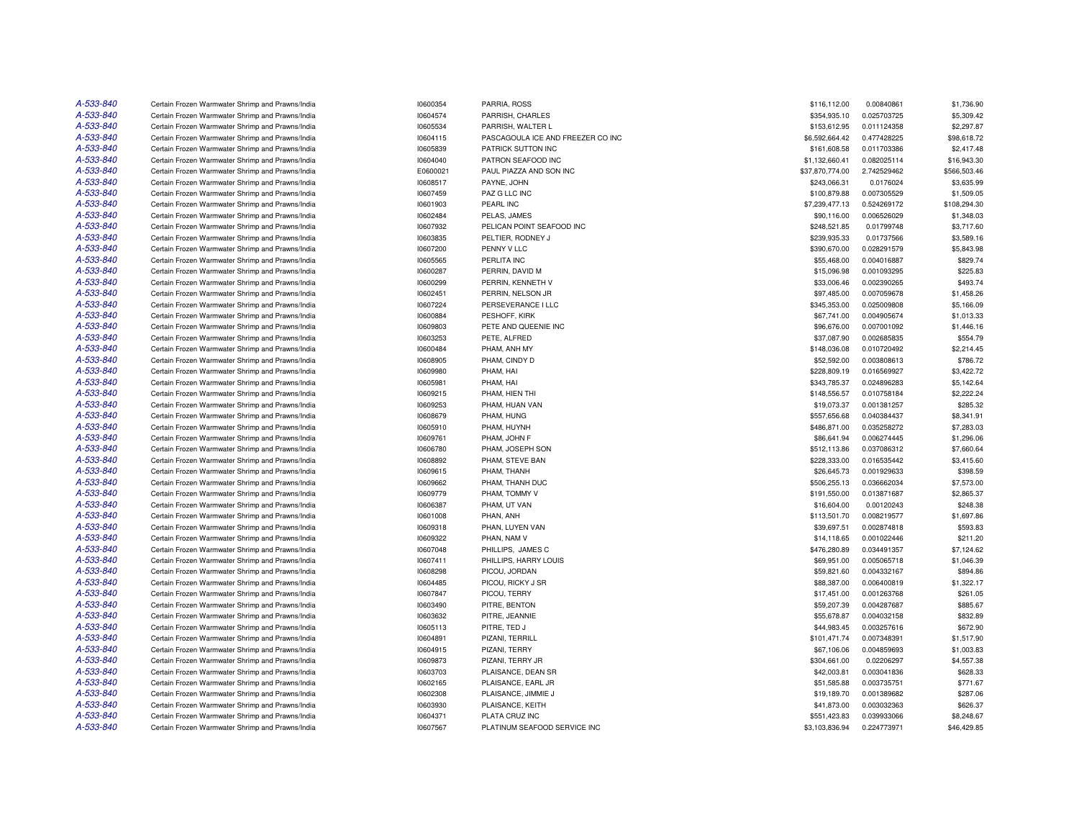| A-533-840 | Certain Frozen Warmwater Shrimp and Prawns/India | 10600354 | PARRIA, ROSS                      | \$116,112.00                | 0.00840861  | \$1,736.90             |
|-----------|--------------------------------------------------|----------|-----------------------------------|-----------------------------|-------------|------------------------|
| A-533-840 | Certain Frozen Warmwater Shrimp and Prawns/India | 10604574 | PARRISH, CHARLES                  | \$354,935.10                | 0.025703725 | \$5,309.42             |
| A-533-840 | Certain Frozen Warmwater Shrimp and Prawns/India | 10605534 | PARRISH, WALTER L                 | \$153,612.95                | 0.011124358 | \$2,297.87             |
| A-533-840 | Certain Frozen Warmwater Shrimp and Prawns/India | 10604115 | PASCAGOULA ICE AND FREEZER CO INC | \$6,592,664.42              | 0.477428225 | \$98,618.72            |
| A-533-840 | Certain Frozen Warmwater Shrimp and Prawns/India | 10605839 | PATRICK SUTTON INC                | \$161,608.58                | 0.011703386 | \$2,417.48             |
| A-533-840 | Certain Frozen Warmwater Shrimp and Prawns/India | 10604040 | PATRON SEAFOOD INC                | \$1,132,660.41              | 0.082025114 | \$16,943.30            |
| A-533-840 | Certain Frozen Warmwater Shrimp and Prawns/India | E0600021 | PAUL PIAZZA AND SON INC           | \$37,870,774.00             | 2.742529462 | \$566,503.46           |
| A-533-840 | Certain Frozen Warmwater Shrimp and Prawns/India | 10608517 | PAYNE, JOHN                       | \$243,066.31                | 0.0176024   | \$3,635.99             |
| A-533-840 | Certain Frozen Warmwater Shrimp and Prawns/India | 10607459 | PAZ G LLC INC                     | \$100,879.88                | 0.007305529 | \$1,509.05             |
| A-533-840 | Certain Frozen Warmwater Shrimp and Prawns/India | 10601903 | PEARL INC                         | \$7,239,477.13              | 0.524269172 | \$108,294.30           |
| A-533-840 | Certain Frozen Warmwater Shrimp and Prawns/India | 10602484 | PELAS, JAMES                      | \$90,116.00                 | 0.006526029 | \$1,348.03             |
| A-533-840 | Certain Frozen Warmwater Shrimp and Prawns/India | 10607932 | PELICAN POINT SEAFOOD INC         | \$248,521.85                | 0.01799748  | \$3,717.60             |
| A-533-840 | Certain Frozen Warmwater Shrimp and Prawns/India | 10603835 | PELTIER, RODNEY J                 | \$239,935.33                | 0.01737566  | \$3,589.16             |
| A-533-840 | Certain Frozen Warmwater Shrimp and Prawns/India | 10607200 | PENNY V LLC                       | \$390,670.00                | 0.028291579 | \$5,843.98             |
| A-533-840 | Certain Frozen Warmwater Shrimp and Prawns/India | 10605565 | PERLITA INC                       | \$55,468.00                 | 0.004016887 | \$829.74               |
| A-533-840 | Certain Frozen Warmwater Shrimp and Prawns/India | 10600287 | PERRIN, DAVID M                   | \$15,096.98                 | 0.001093295 | \$225.83               |
| A-533-840 | Certain Frozen Warmwater Shrimp and Prawns/India | 10600299 | PERRIN, KENNETH V                 | \$33,006.46                 | 0.002390265 | \$493.74               |
| A-533-840 | Certain Frozen Warmwater Shrimp and Prawns/India | 10602451 | PERRIN, NELSON JR                 | \$97,485.00                 | 0.007059678 | \$1,458.26             |
| A-533-840 | Certain Frozen Warmwater Shrimp and Prawns/India | 10607224 | PERSEVERANCE I LLC                | \$345,353.00                | 0.025009808 | \$5,166.09             |
| A-533-840 | Certain Frozen Warmwater Shrimp and Prawns/India | 10600884 | PESHOFF, KIRK                     | \$67,741.00                 | 0.004905674 | \$1,013.33             |
| A-533-840 | Certain Frozen Warmwater Shrimp and Prawns/India | 10609803 | PETE AND QUEENIE INC              | \$96,676.00                 | 0.007001092 | \$1,446.16             |
| A-533-840 |                                                  |          |                                   |                             | 0.002685835 |                        |
| A-533-840 | Certain Frozen Warmwater Shrimp and Prawns/India | 10603253 | PETE, ALFRED                      | \$37,087.90<br>\$148,036.08 |             | \$554.79<br>\$2,214.45 |
| A-533-840 | Certain Frozen Warmwater Shrimp and Prawns/India | 10600484 | PHAM, ANH MY                      |                             | 0.010720492 |                        |
|           | Certain Frozen Warmwater Shrimp and Prawns/India | 10608905 | PHAM, CINDY D                     | \$52,592.00                 | 0.003808613 | \$786.72               |
| A-533-840 | Certain Frozen Warmwater Shrimp and Prawns/India | 10609980 | PHAM, HAI                         | \$228,809.19                | 0.016569927 | \$3,422.72             |
| A-533-840 | Certain Frozen Warmwater Shrimp and Prawns/India | 10605981 | PHAM, HAI                         | \$343,785.37                | 0.024896283 | \$5,142.64             |
| A-533-840 | Certain Frozen Warmwater Shrimp and Prawns/India | 10609215 | PHAM, HIEN THI                    | \$148,556.57                | 0.010758184 | \$2,222.24             |
| A-533-840 | Certain Frozen Warmwater Shrimp and Prawns/India | 10609253 | PHAM, HUAN VAN                    | \$19,073.37                 | 0.001381257 | \$285.32               |
| A-533-840 | Certain Frozen Warmwater Shrimp and Prawns/India | 10608679 | PHAM, HUNG                        | \$557,656.68                | 0.040384437 | \$8,341.91             |
| A-533-840 | Certain Frozen Warmwater Shrimp and Prawns/India | 10605910 | PHAM, HUYNH                       | \$486,871.00                | 0.035258272 | \$7,283.03             |
| A-533-840 | Certain Frozen Warmwater Shrimp and Prawns/India | 10609761 | PHAM, JOHN F                      | \$86,641.94                 | 0.006274445 | \$1,296.06             |
| A-533-840 | Certain Frozen Warmwater Shrimp and Prawns/India | 10606780 | PHAM, JOSEPH SON                  | \$512,113.86                | 0.037086312 | \$7,660.64             |
| A-533-840 | Certain Frozen Warmwater Shrimp and Prawns/India | 10608892 | PHAM, STEVE BAN                   | \$228,333.00                | 0.016535442 | \$3,415.60             |
| A-533-840 | Certain Frozen Warmwater Shrimp and Prawns/India | 10609615 | PHAM, THANH                       | \$26,645.73                 | 0.001929633 | \$398.59               |
| A-533-840 | Certain Frozen Warmwater Shrimp and Prawns/India | 10609662 | PHAM, THANH DUC                   | \$506,255.13                | 0.036662034 | \$7,573.00             |
| A-533-840 | Certain Frozen Warmwater Shrimp and Prawns/India | 10609779 | PHAM, TOMMY V                     | \$191,550.00                | 0.013871687 | \$2,865.37             |
| A-533-840 | Certain Frozen Warmwater Shrimp and Prawns/India | 10606387 | PHAM, UT VAN                      | \$16,604.00                 | 0.00120243  | \$248.38               |
| A-533-840 | Certain Frozen Warmwater Shrimp and Prawns/India | 10601008 | PHAN, ANH                         | \$113,501.70                | 0.008219577 | \$1,697.86             |
| A-533-840 | Certain Frozen Warmwater Shrimp and Prawns/India | 10609318 | PHAN, LUYEN VAN                   | \$39,697.51                 | 0.002874818 | \$593.83               |
| A-533-840 | Certain Frozen Warmwater Shrimp and Prawns/India | 10609322 | PHAN, NAM V                       | \$14,118.65                 | 0.001022446 | \$211.20               |
| A-533-840 | Certain Frozen Warmwater Shrimp and Prawns/India | 10607048 | PHILLIPS. JAMES C                 | \$476,280.89                | 0.034491357 | \$7,124.62             |
| A-533-840 | Certain Frozen Warmwater Shrimp and Prawns/India | 10607411 | PHILLIPS, HARRY LOUIS             | \$69,951.00                 | 0.005065718 | \$1,046.39             |
| A-533-840 | Certain Frozen Warmwater Shrimp and Prawns/India | 10608298 | PICOU, JORDAN                     | \$59,821.60                 | 0.004332167 | \$894.86               |
| A-533-840 | Certain Frozen Warmwater Shrimp and Prawns/India | 10604485 | PICOU, RICKY J SR                 | \$88,387.00                 | 0.006400819 | \$1,322.17             |
| A-533-840 | Certain Frozen Warmwater Shrimp and Prawns/India | 10607847 | PICOU, TERRY                      | \$17,451.00                 | 0.001263768 | \$261.05               |
| A-533-840 | Certain Frozen Warmwater Shrimp and Prawns/India | 10603490 | PITRE, BENTON                     | \$59,207.39                 | 0.004287687 | \$885.67               |
| A-533-840 | Certain Frozen Warmwater Shrimp and Prawns/India | 10603632 | PITRE, JEANNIE                    | \$55,678.87                 | 0.004032158 | \$832.89               |
| A-533-840 | Certain Frozen Warmwater Shrimp and Prawns/India | 10605113 | PITRE, TED J                      | \$44,983.45                 | 0.003257616 | \$672.90               |
| A-533-840 | Certain Frozen Warmwater Shrimp and Prawns/India | 10604891 | PIZANI, TERRILL                   | \$101,471.74                | 0.007348391 | \$1,517.90             |
| A-533-840 | Certain Frozen Warmwater Shrimp and Prawns/India | 10604915 | PIZANI, TERRY                     | \$67,106.06                 | 0.004859693 | \$1,003.83             |
| A-533-840 | Certain Frozen Warmwater Shrimp and Prawns/India | 10609873 | PIZANI, TERRY JR                  | \$304,661.00                | 0.02206297  | \$4,557.38             |
| A-533-840 | Certain Frozen Warmwater Shrimp and Prawns/India | 10603703 | PLAISANCE, DEAN SR                | \$42,003.81                 | 0.003041836 | \$628.33               |
| A-533-840 | Certain Frozen Warmwater Shrimp and Prawns/India | 10602165 | PLAISANCE, EARL JR                | \$51,585.88                 | 0.003735751 | \$771.67               |
| A-533-840 | Certain Frozen Warmwater Shrimp and Prawns/India | 10602308 | PLAISANCE, JIMMIE J               | \$19,189.70                 | 0.001389682 | \$287.06               |
| A-533-840 | Certain Frozen Warmwater Shrimp and Prawns/India | 10603930 | PLAISANCE, KEITH                  | \$41,873.00                 | 0.003032363 | \$626.37               |
| A-533-840 | Certain Frozen Warmwater Shrimp and Prawns/India | 10604371 | PLATA CRUZ INC                    | \$551,423.83                | 0.039933066 | \$8,248.67             |
| A-533-840 | Certain Frozen Warmwater Shrimp and Prawns/India | 10607567 | PLATINUM SEAFOOD SERVICE INC      | \$3,103,836.94              | 0.224773971 | \$46,429.85            |
|           |                                                  |          |                                   |                             |             |                        |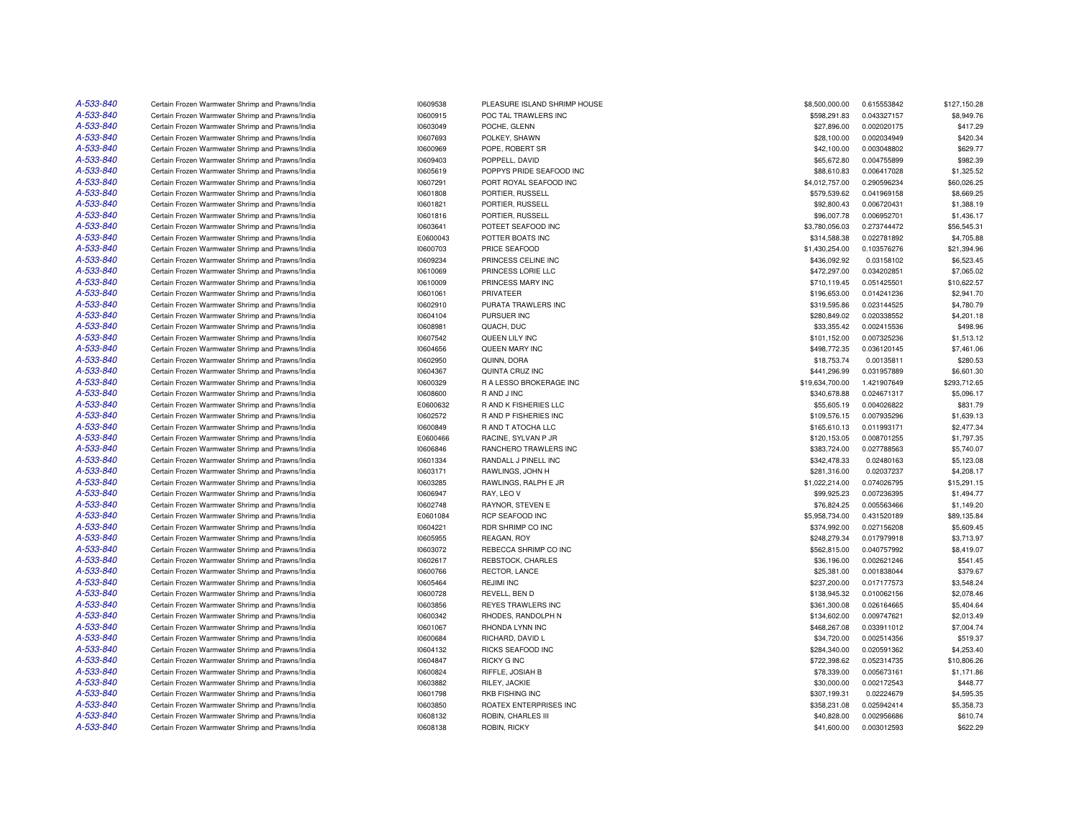| A-533-840 | Certain Frozen Warmwater Shrimp and Prawns/India                                                     | 10609538             | PLEASURE ISLAND SHRIMP HOUSE   | \$8,500,000.00  | 0.615553842               | \$127,150.28 |
|-----------|------------------------------------------------------------------------------------------------------|----------------------|--------------------------------|-----------------|---------------------------|--------------|
| A-533-840 | Certain Frozen Warmwater Shrimp and Prawns/India                                                     | 10600915             | POC TAL TRAWLERS INC           | \$598,291.83    | 0.043327157               | \$8,949.76   |
| A-533-840 | Certain Frozen Warmwater Shrimp and Prawns/India                                                     | 10603049             | POCHE, GLENN                   | \$27,896.00     | 0.002020175               | \$417.29     |
| A-533-840 | Certain Frozen Warmwater Shrimp and Prawns/India                                                     | 10607693             | POLKEY, SHAWN                  | \$28,100.00     | 0.002034949               | \$420.34     |
| A-533-840 | Certain Frozen Warmwater Shrimp and Prawns/India                                                     | 10600969             | POPE, ROBERT SR                | \$42,100.00     | 0.003048802               | \$629.77     |
| A-533-840 | Certain Frozen Warmwater Shrimp and Prawns/India                                                     | 10609403             | POPPELL, DAVID                 | \$65,672.80     | 0.004755899               | \$982.39     |
| A-533-840 | Certain Frozen Warmwater Shrimp and Prawns/India                                                     | 10605619             | POPPYS PRIDE SEAFOOD INC       | \$88,610.83     | 0.006417028               | \$1,325.52   |
| A-533-840 | Certain Frozen Warmwater Shrimp and Prawns/India                                                     | 10607291             | PORT ROYAL SEAFOOD INC         | \$4,012,757.00  | 0.290596234               | \$60,026.25  |
| A-533-840 | Certain Frozen Warmwater Shrimp and Prawns/India                                                     | 10601808             | PORTIER, RUSSELL               | \$579,539.62    | 0.041969158               | \$8,669.25   |
| A-533-840 | Certain Frozen Warmwater Shrimp and Prawns/India                                                     | 10601821             | PORTIER, RUSSELL               | \$92,800.43     | 0.006720431               | \$1,388.19   |
| A-533-840 | Certain Frozen Warmwater Shrimp and Prawns/India                                                     | 10601816             | PORTIER, RUSSELL               | \$96,007.78     | 0.006952701               | \$1,436.17   |
| A-533-840 | Certain Frozen Warmwater Shrimp and Prawns/India                                                     | 10603641             | POTEET SEAFOOD INC             | \$3,780,056.03  | 0.273744472               | \$56,545.31  |
| A-533-840 | Certain Frozen Warmwater Shrimp and Prawns/India                                                     | E0600043             | POTTER BOATS INC               | \$314,588.38    | 0.022781892               | \$4,705.88   |
| A-533-840 | Certain Frozen Warmwater Shrimp and Prawns/India                                                     | 10600703             | PRICE SEAFOOD                  | \$1,430,254.00  | 0.103576276               | \$21,394.96  |
| A-533-840 | Certain Frozen Warmwater Shrimp and Prawns/India                                                     | 10609234             | PRINCESS CELINE INC            | \$436,092.92    | 0.03158102                | \$6,523.45   |
| A-533-840 | Certain Frozen Warmwater Shrimp and Prawns/India                                                     | 10610069             | PRINCESS LORIE LLC             | \$472,297.00    | 0.034202851               | \$7,065.02   |
| A-533-840 | Certain Frozen Warmwater Shrimp and Prawns/India                                                     | 10610009             | PRINCESS MARY INC              | \$710.119.45    | 0.051425501               | \$10,622.57  |
| A-533-840 | Certain Frozen Warmwater Shrimp and Prawns/India                                                     | 10601061             | PRIVATEER                      | \$196,653.00    | 0.014241236               | \$2,941.70   |
| A-533-840 | Certain Frozen Warmwater Shrimp and Prawns/India                                                     | 10602910             | PURATA TRAWLERS INC            | \$319,595.86    | 0.023144525               | \$4,780.79   |
| A-533-840 | Certain Frozen Warmwater Shrimp and Prawns/India                                                     | 10604104             | PURSUER INC                    | \$280,849.02    | 0.020338552               | \$4,201.18   |
| A-533-840 | Certain Frozen Warmwater Shrimp and Prawns/India                                                     | 10608981             | QUACH, DUC                     | \$33,355.42     | 0.002415536               | \$498.96     |
| A-533-840 | Certain Frozen Warmwater Shrimp and Prawns/India                                                     | 10607542             | QUEEN LILY INC                 | \$101,152.00    | 0.007325236               | \$1,513.12   |
| A-533-840 | Certain Frozen Warmwater Shrimp and Prawns/India                                                     | 10604656             | QUEEN MARY INC                 | \$498,772.35    | 0.036120145               | \$7,461.06   |
| A-533-840 |                                                                                                      |                      |                                | \$18,753.74     |                           | \$280.53     |
| A-533-840 | Certain Frozen Warmwater Shrimp and Prawns/India<br>Certain Frozen Warmwater Shrimp and Prawns/India | 10602950<br>10604367 | QUINN, DORA<br>QUINTA CRUZ INC | \$441,296.99    | 0.00135811<br>0.031957889 | \$6,601.30   |
| A-533-840 |                                                                                                      |                      |                                |                 |                           |              |
|           | Certain Frozen Warmwater Shrimp and Prawns/India                                                     | 10600329             | R A LESSO BROKERAGE INC        | \$19,634,700.00 | 1.421907649               | \$293,712.65 |
| A-533-840 | Certain Frozen Warmwater Shrimp and Prawns/India                                                     | 10608600             | R AND J INC                    | \$340,678.88    | 0.024671317               | \$5,096.17   |
| A-533-840 | Certain Frozen Warmwater Shrimp and Prawns/India                                                     | E0600632             | R AND K FISHERIES LLC          | \$55,605.19     | 0.004026822               | \$831.79     |
| A-533-840 | Certain Frozen Warmwater Shrimp and Prawns/India                                                     | 10602572             | <b>RAND P FISHERIES INC</b>    | \$109,576.15    | 0.007935296               | \$1,639.13   |
| A-533-840 | Certain Frozen Warmwater Shrimp and Prawns/India                                                     | 10600849             | R AND T ATOCHA LLC             | \$165,610.13    | 0.011993171               | \$2,477.34   |
| A-533-840 | Certain Frozen Warmwater Shrimp and Prawns/India                                                     | E0600466             | RACINE, SYLVAN P JR            | \$120,153.05    | 0.008701255               | \$1,797.35   |
| A-533-840 | Certain Frozen Warmwater Shrimp and Prawns/India                                                     | 10606846             | RANCHERO TRAWLERS INC          | \$383,724.00    | 0.027788563               | \$5,740.07   |
| A-533-840 | Certain Frozen Warmwater Shrimp and Prawns/India                                                     | 10601334             | RANDALL J PINELL INC           | \$342,478.33    | 0.02480163                | \$5,123.08   |
| A-533-840 | Certain Frozen Warmwater Shrimp and Prawns/India                                                     | 10603171             | RAWLINGS, JOHN H               | \$281,316.00    | 0.02037237                | \$4,208.17   |
| A-533-840 | Certain Frozen Warmwater Shrimp and Prawns/India                                                     | 10603285             | RAWLINGS, RALPH E JR           | \$1,022,214.00  | 0.074026795               | \$15,291.15  |
| A-533-840 | Certain Frozen Warmwater Shrimp and Prawns/India                                                     | 10606947             | RAY, LEO V                     | \$99,925.23     | 0.007236395               | \$1,494.77   |
| A-533-840 | Certain Frozen Warmwater Shrimp and Prawns/India                                                     | 10602748             | RAYNOR, STEVEN E               | \$76,824.25     | 0.005563466               | \$1,149.20   |
| A-533-840 | Certain Frozen Warmwater Shrimp and Prawns/India                                                     | E0601084             | RCP SEAFOOD INC                | \$5,958,734.00  | 0.431520189               | \$89,135.84  |
| A-533-840 | Certain Frozen Warmwater Shrimp and Prawns/India                                                     | 10604221             | RDR SHRIMP CO INC              | \$374,992.00    | 0.027156208               | \$5,609.45   |
| A-533-840 | Certain Frozen Warmwater Shrimp and Prawns/India                                                     | 10605955             | REAGAN, ROY                    | \$248,279.34    | 0.017979918               | \$3,713.97   |
| A-533-840 | Certain Frozen Warmwater Shrimp and Prawns/India                                                     | 10603072             | REBECCA SHRIMP CO INC          | \$562,815.00    | 0.040757992               | \$8,419.07   |
| A-533-840 | Certain Frozen Warmwater Shrimp and Prawns/India                                                     | 10602617             | REBSTOCK, CHARLES              | \$36,196.00     | 0.002621246               | \$541.45     |
| A-533-840 | Certain Frozen Warmwater Shrimp and Prawns/India                                                     | 10600766             | RECTOR, LANCE                  | \$25,381.00     | 0.001838044               | \$379.67     |
| A-533-840 | Certain Frozen Warmwater Shrimp and Prawns/India                                                     | 10605464             | <b>REJIMI INC</b>              | \$237,200.00    | 0.017177573               | \$3,548.24   |
| A-533-840 | Certain Frozen Warmwater Shrimp and Prawns/India                                                     | 10600728             | REVELL, BEN D                  | \$138,945.32    | 0.010062156               | \$2,078.46   |
| A-533-840 | Certain Frozen Warmwater Shrimp and Prawns/India                                                     | 10603856             | REYES TRAWLERS INC             | \$361,300.08    | 0.026164665               | \$5,404.64   |
| A-533-840 | Certain Frozen Warmwater Shrimp and Prawns/India                                                     | 10600342             | RHODES, RANDOLPH N             | \$134,602.00    | 0.009747621               | \$2,013.49   |
| A-533-840 | Certain Frozen Warmwater Shrimp and Prawns/India                                                     | 10601067             | RHONDA LYNN INC                | \$468,267.08    | 0.033911012               | \$7,004.74   |
| A-533-840 | Certain Frozen Warmwater Shrimp and Prawns/India                                                     | 10600684             | RICHARD, DAVID L               | \$34,720.00     | 0.002514356               | \$519.37     |
| A-533-840 | Certain Frozen Warmwater Shrimp and Prawns/India                                                     | 10604132             | RICKS SEAFOOD INC              | \$284,340.00    | 0.020591362               | \$4,253.40   |
| A-533-840 | Certain Frozen Warmwater Shrimp and Prawns/India                                                     | 10604847             | <b>RICKY G INC</b>             | \$722,398.62    | 0.052314735               | \$10,806.26  |
| A-533-840 | Certain Frozen Warmwater Shrimp and Prawns/India                                                     | 10600824             | RIFFLE, JOSIAH B               | \$78,339.00     | 0.005673161               | \$1,171.86   |
| A-533-840 | Certain Frozen Warmwater Shrimp and Prawns/India                                                     | 10603882             | RILEY, JACKIE                  | \$30,000.00     | 0.002172543               | \$448.77     |
| A-533-840 | Certain Frozen Warmwater Shrimp and Prawns/India                                                     | 10601798             | RKB FISHING INC                | \$307,199.31    | 0.02224679                | \$4,595.35   |
| A-533-840 | Certain Frozen Warmwater Shrimp and Prawns/India                                                     | 10603850             | ROATEX ENTERPRISES INC         | \$358,231.08    | 0.025942414               | \$5,358.73   |
| A-533-840 | Certain Frozen Warmwater Shrimp and Prawns/India                                                     | 10608132             | ROBIN, CHARLES III             | \$40,828.00     | 0.002956686               | \$610.74     |
| A-533-840 | Certain Frozen Warmwater Shrimp and Prawns/India                                                     | 10608138             | ROBIN, RICKY                   | \$41,600.00     | 0.003012593               | \$622.29     |
|           |                                                                                                      |                      |                                |                 |                           |              |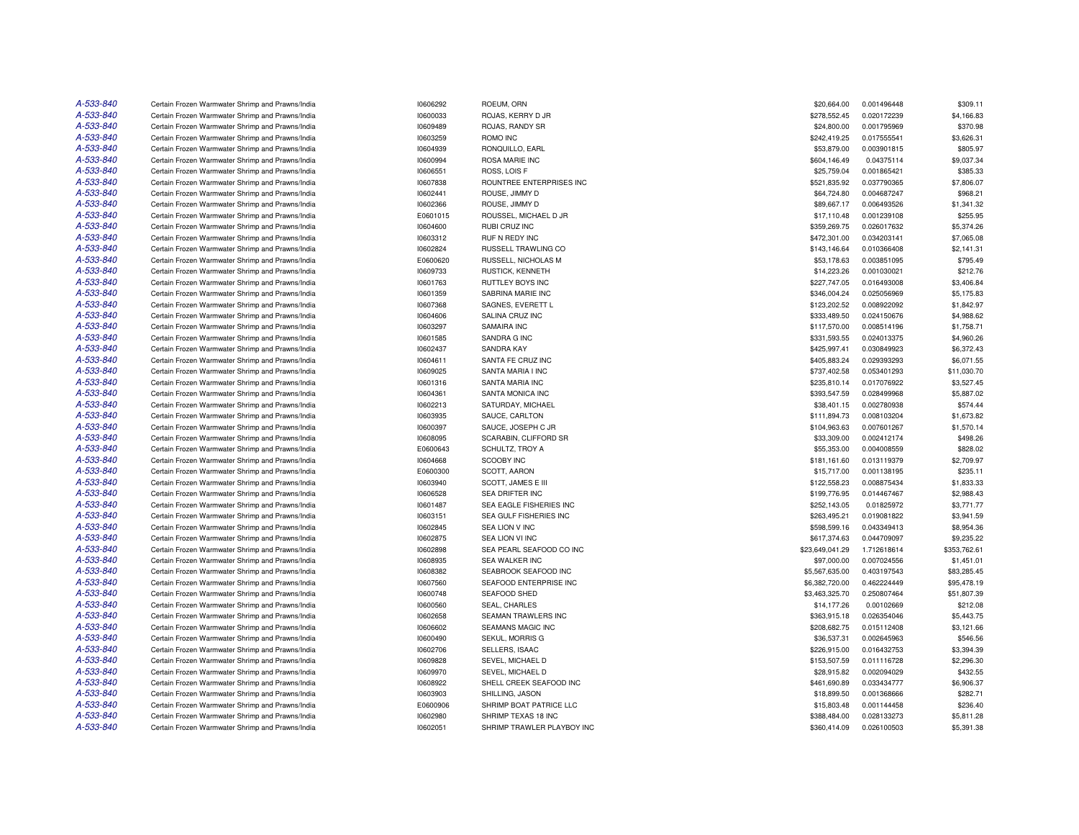| A-533-840              | Certain Frozen Warmwater Shrimp and Prawns/India                                                     | 10606292 | ROEUM, ORN                 | \$20,664.00     | 0.001496448 | \$309.11               |
|------------------------|------------------------------------------------------------------------------------------------------|----------|----------------------------|-----------------|-------------|------------------------|
| A-533-840              | Certain Frozen Warmwater Shrimp and Prawns/India                                                     | 10600033 | ROJAS, KERRY D JR          | \$278,552.45    | 0.020172239 | \$4,166.83             |
| A-533-840              | Certain Frozen Warmwater Shrimp and Prawns/India                                                     | 10609489 | ROJAS, RANDY SR            | \$24,800.00     | 0.001795969 | \$370.98               |
| A-533-840              | Certain Frozen Warmwater Shrimp and Prawns/India                                                     | 10603259 | ROMO INC                   | \$242,419.25    | 0.017555541 | \$3,626.31             |
| A-533-840              | Certain Frozen Warmwater Shrimp and Prawns/India                                                     | 10604939 | RONQUILLO, EARL            | \$53,879.00     | 0.003901815 | \$805.97               |
| A-533-840              | Certain Frozen Warmwater Shrimp and Prawns/India                                                     | 10600994 | ROSA MARIE INC             | \$604,146.49    | 0.04375114  | \$9,037.34             |
| A-533-840              | Certain Frozen Warmwater Shrimp and Prawns/India                                                     | 10606551 | ROSS, LOIS F               | \$25,759.04     | 0.001865421 | \$385.33               |
| A-533-840              | Certain Frozen Warmwater Shrimp and Prawns/India                                                     | 10607838 | ROUNTREE ENTERPRISES INC   | \$521,835.92    | 0.037790365 | \$7,806.07             |
| A-533-840              | Certain Frozen Warmwater Shrimp and Prawns/India                                                     | 10602441 | ROUSE, JIMMY D             | \$64,724.80     | 0.004687247 | \$968.21               |
| A-533-840              | Certain Frozen Warmwater Shrimp and Prawns/India                                                     | 10602366 | ROUSE, JIMMY D             | \$89,667.17     | 0.006493526 | \$1,341.32             |
| A-533-840              | Certain Frozen Warmwater Shrimp and Prawns/India                                                     | E0601015 | ROUSSEL, MICHAEL D JR      | \$17,110.48     | 0.001239108 | \$255.95               |
| A-533-840              | Certain Frozen Warmwater Shrimp and Prawns/India                                                     | 10604600 | RUBI CRUZ INC              | \$359,269.75    | 0.026017632 | \$5,374.26             |
| A-533-840              | Certain Frozen Warmwater Shrimp and Prawns/India                                                     | 10603312 | RUF N REDY INC             | \$472,301.00    | 0.034203141 | \$7,065.08             |
| A-533-840              | Certain Frozen Warmwater Shrimp and Prawns/India                                                     | 10602824 | RUSSELL TRAWLING CO        | \$143,146.64    | 0.010366408 | \$2,141.31             |
| A-533-840              | Certain Frozen Warmwater Shrimp and Prawns/India                                                     | E0600620 | RUSSELL, NICHOLAS M        | \$53,178.63     | 0.003851095 | \$795.49               |
| A-533-840              | Certain Frozen Warmwater Shrimp and Prawns/India                                                     | 10609733 | RUSTICK, KENNETH           | \$14,223.26     | 0.001030021 | \$212.76               |
| A-533-840              | Certain Frozen Warmwater Shrimp and Prawns/India                                                     | 10601763 | RUTTLEY BOYS INC           | \$227,747.05    | 0.016493008 | \$3,406.84             |
| A-533-840              | Certain Frozen Warmwater Shrimp and Prawns/India                                                     | 10601359 | SABRINA MARIE INC          | \$346,004.24    | 0.025056969 | \$5,175.83             |
| A-533-840              | Certain Frozen Warmwater Shrimp and Prawns/India                                                     | 10607368 | SAGNES, EVERETT L          | \$123,202.52    | 0.008922092 | \$1,842.97             |
| A-533-840              | Certain Frozen Warmwater Shrimp and Prawns/India                                                     | 10604606 | SALINA CRUZ INC            | \$333,489.50    | 0.024150676 | \$4,988.62             |
| A-533-840              | Certain Frozen Warmwater Shrimp and Prawns/India                                                     | 10603297 | SAMAIRA INC                | \$117,570.00    | 0.008514196 | \$1,758.71             |
| A-533-840              | Certain Frozen Warmwater Shrimp and Prawns/India                                                     | 10601585 | SANDRA G INC               | \$331,593.55    | 0.024013375 | \$4,960.26             |
| A-533-840              | Certain Frozen Warmwater Shrimp and Prawns/India                                                     | 10602437 | SANDRA KAY                 | \$425,997.41    | 0.030849923 | \$6,372.43             |
| A-533-840              | Certain Frozen Warmwater Shrimp and Prawns/India                                                     | 10604611 | SANTA FE CRUZ INC          | \$405,883.24    | 0.029393293 | \$6,071.55             |
| A-533-840              | Certain Frozen Warmwater Shrimp and Prawns/India                                                     | 10609025 | SANTA MARIA I INC          | \$737,402.58    | 0.053401293 | \$11,030.70            |
| A-533-840              | Certain Frozen Warmwater Shrimp and Prawns/India                                                     | 10601316 | SANTA MARIA INC            | \$235,810.14    | 0.017076922 | \$3,527.45             |
| A-533-840              | Certain Frozen Warmwater Shrimp and Prawns/India                                                     | 10604361 | SANTA MONICA INC           | \$393,547.59    | 0.028499968 | \$5,887.02             |
| A-533-840              | Certain Frozen Warmwater Shrimp and Prawns/India                                                     | 10602213 | SATURDAY, MICHAEL          | \$38,401.15     | 0.002780938 | \$574.44               |
| A-533-840              | Certain Frozen Warmwater Shrimp and Prawns/India                                                     | 10603935 | SAUCE, CARLTON             | \$111,894.73    | 0.008103204 | \$1,673.82             |
| A-533-840              | Certain Frozen Warmwater Shrimp and Prawns/India                                                     | 10600397 | SAUCE, JOSEPH C JR         | \$104,963.63    | 0.007601267 | \$1,570.14             |
| A-533-840              | Certain Frozen Warmwater Shrimp and Prawns/India                                                     | 10608095 | SCARABIN, CLIFFORD SR      | \$33,309.00     | 0.002412174 | \$498.26               |
| A-533-840              | Certain Frozen Warmwater Shrimp and Prawns/India                                                     | E0600643 | SCHULTZ, TROY A            | \$55,353.00     | 0.004008559 | \$828.02               |
| A-533-840              |                                                                                                      |          | SCOOBY INC                 |                 |             |                        |
| A-533-840              | Certain Frozen Warmwater Shrimp and Prawns/India<br>Certain Frozen Warmwater Shrimp and Prawns/India | 10604668 |                            | \$181,161.60    | 0.013119379 | \$2,709.97<br>\$235.11 |
| A-533-840              |                                                                                                      | E0600300 | SCOTT, AARON               | \$15,717.00     | 0.001138195 | \$1,833.33             |
|                        | Certain Frozen Warmwater Shrimp and Prawns/India                                                     | 10603940 | SCOTT, JAMES E III         | \$122,558.23    | 0.008875434 |                        |
| A-533-840<br>A-533-840 | Certain Frozen Warmwater Shrimp and Prawns/India                                                     | 10606528 | <b>SEA DRIFTER INC</b>     | \$199,776.95    | 0.014467467 | \$2,988.43             |
|                        | Certain Frozen Warmwater Shrimp and Prawns/India                                                     | 10601487 | SEA EAGLE FISHERIES INC    | \$252,143.05    | 0.01825972  | \$3,771.77             |
| A-533-840              | Certain Frozen Warmwater Shrimp and Prawns/India                                                     | 10603151 | SEA GULF FISHERIES INC     | \$263,495.21    | 0.019081822 | \$3,941.59             |
| A-533-840              | Certain Frozen Warmwater Shrimp and Prawns/India                                                     | 10602845 | <b>SEA LION V INC</b>      | \$598,599.16    | 0.043349413 | \$8,954.36             |
| A-533-840              | Certain Frozen Warmwater Shrimp and Prawns/India                                                     | 10602875 | SEA LION VI INC            | \$617,374.63    | 0.044709097 | \$9,235.22             |
| A-533-840              | Certain Frozen Warmwater Shrimp and Prawns/India                                                     | 10602898 | SEA PEARL SEAFOOD CO INC   | \$23,649,041.29 | 1.712618614 | \$353,762.61           |
| A-533-840              | Certain Frozen Warmwater Shrimp and Prawns/India                                                     | 10608935 | SEA WALKER INC             | \$97,000.00     | 0.007024556 | \$1,451.01             |
| A-533-840              | Certain Frozen Warmwater Shrimp and Prawns/India                                                     | 10608382 | SEABROOK SEAFOOD INC       | \$5,567,635.00  | 0.403197543 | \$83,285.45            |
| A-533-840              | Certain Frozen Warmwater Shrimp and Prawns/India                                                     | 10607560 | SEAFOOD ENTERPRISE INC     | \$6,382,720.00  | 0.462224449 | \$95,478.19            |
| A-533-840              | Certain Frozen Warmwater Shrimp and Prawns/India                                                     | 10600748 | SEAFOOD SHED               | \$3,463,325.70  | 0.250807464 | \$51,807.39            |
| A-533-840              | Certain Frozen Warmwater Shrimp and Prawns/India                                                     | 10600560 | SEAL, CHARLES              | \$14,177.26     | 0.00102669  | \$212.08               |
| A-533-840              | Certain Frozen Warmwater Shrimp and Prawns/India                                                     | 10602658 | SEAMAN TRAWLERS INC        | \$363,915.18    | 0.026354046 | \$5,443.75             |
| A-533-840              | Certain Frozen Warmwater Shrimp and Prawns/India                                                     | 10606602 | <b>SEAMANS MAGIC INC</b>   | \$208,682.75    | 0.015112408 | \$3,121.66             |
| A-533-840              | Certain Frozen Warmwater Shrimp and Prawns/India                                                     | 10600490 | SEKUL, MORRIS G            | \$36,537.31     | 0.002645963 | \$546.56               |
| A-533-840              | Certain Frozen Warmwater Shrimp and Prawns/India                                                     | 10602706 | SELLERS, ISAAC             | \$226,915.00    | 0.016432753 | \$3,394.39             |
| A-533-840              | Certain Frozen Warmwater Shrimp and Prawns/India                                                     | 10609828 | SEVEL, MICHAEL D           | \$153,507.59    | 0.011116728 | \$2,296.30             |
| A-533-840              | Certain Frozen Warmwater Shrimp and Prawns/India                                                     | 10609970 | SEVEL, MICHAEL D           | \$28,915.82     | 0.002094029 | \$432.55               |
| A-533-840              | Certain Frozen Warmwater Shrimp and Prawns/India                                                     | 10608922 | SHELL CREEK SEAFOOD INC    | \$461,690.89    | 0.033434777 | \$6,906.37             |
| A-533-840              | Certain Frozen Warmwater Shrimp and Prawns/India                                                     | 10603903 | SHILLING, JASON            | \$18,899.50     | 0.001368666 | \$282.71               |
| A-533-840              | Certain Frozen Warmwater Shrimp and Prawns/India                                                     | E0600906 | SHRIMP BOAT PATRICE LLC    | \$15,803.48     | 0.001144458 | \$236.40               |
| A-533-840              | Certain Frozen Warmwater Shrimp and Prawns/India                                                     | 10602980 | SHRIMP TEXAS 18 INC        | \$388,484.00    | 0.028133273 | \$5,811.28             |
| A-533-840              | Certain Frozen Warmwater Shrimp and Prawns/India                                                     | 10602051 | SHRIMP TRAWLER PLAYBOY INC | \$360,414.09    | 0.026100503 | \$5,391.38             |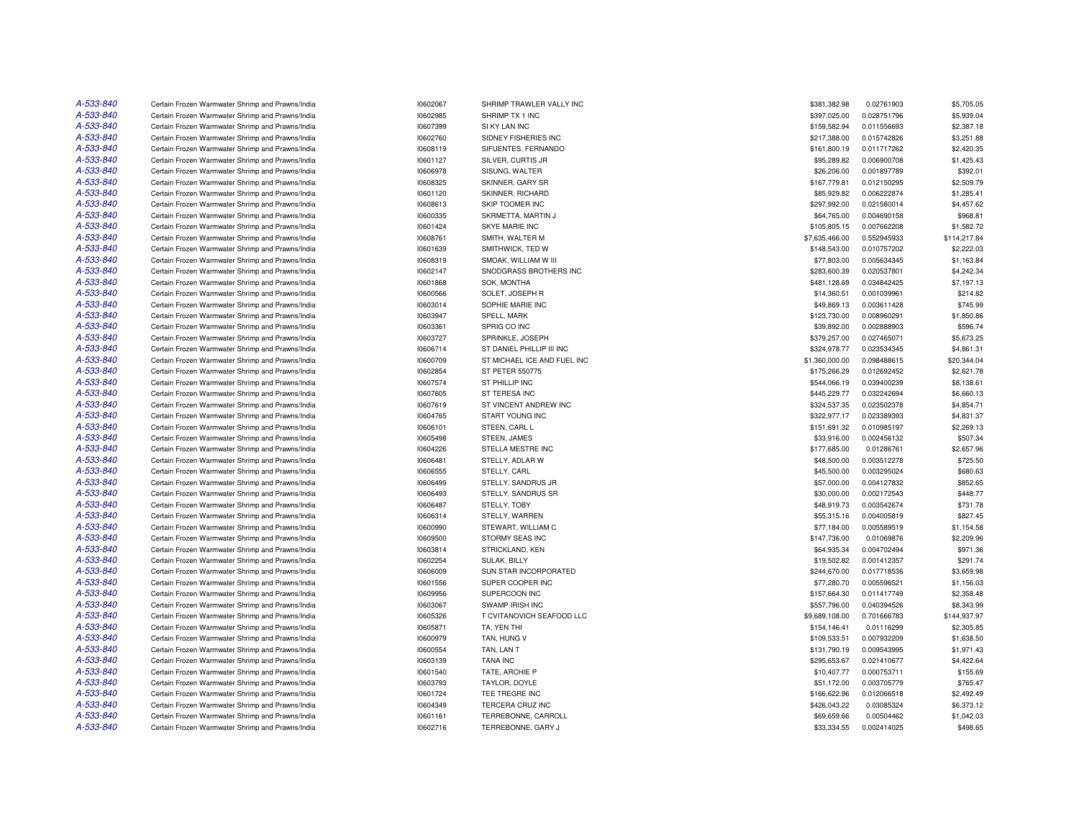| A-533-840              | Certain Frozen Warmwater Shrimp and Prawns/India | 10602067 | SHRIMP TRAWLER VALLY INC    | \$381,382.98   | 0.02761903                 | \$5,705.05             |
|------------------------|--------------------------------------------------|----------|-----------------------------|----------------|----------------------------|------------------------|
| A-533-840              | Certain Frozen Warmwater Shrimp and Prawns/India | 10602985 | SHRIMP TX 1 INC             | \$397,025.00   | 0.028751796                | \$5,939.04             |
| A-533-840              | Certain Frozen Warmwater Shrimp and Prawns/India | 10607399 | SI KY LAN INC               | \$159,582.94   | 0.011556693                | \$2,387.18             |
| A-533-840              | Certain Frozen Warmwater Shrimp and Prawns/India | 10602760 | SIDNEY FISHERIES INC        | \$217,388.00   | 0.015742826                | \$3,251.88             |
| A-533-840              | Certain Frozen Warmwater Shrimp and Prawns/India | 10608119 | SIFUENTES, FERNANDO         | \$161,800.19   | 0.011717262                | \$2,420.35             |
| A-533-840              | Certain Frozen Warmwater Shrimp and Prawns/India | 10601127 | SILVER, CURTIS JR           | \$95,289.82    | 0.006900708                | \$1,425.43             |
| A-533-840              | Certain Frozen Warmwater Shrimp and Prawns/India | 10606978 | SISUNG, WALTER              | \$26,206.00    | 0.001897789                | \$392.01               |
| A-533-840              | Certain Frozen Warmwater Shrimp and Prawns/India | 10608325 | SKINNER, GARY SR            | \$167,779.81   | 0.012150295                | \$2,509.79             |
| A-533-840              | Certain Frozen Warmwater Shrimp and Prawns/India | 10601120 | SKINNER, RICHARD            | \$85,929.82    | 0.006222874                | \$1,285.41             |
| A-533-840              | Certain Frozen Warmwater Shrimp and Prawns/India | 10608613 | SKIP TOOMER INC             | \$297,992.00   | 0.021580014                | \$4,457.62             |
| A-533-840              | Certain Frozen Warmwater Shrimp and Prawns/India | 10600335 | SKRMETTA, MARTIN J          | \$64,765.00    | 0.004690158                | \$968.81               |
| A-533-840              | Certain Frozen Warmwater Shrimp and Prawns/India | 10601424 | <b>SKYE MARIE INC</b>       | \$105,805.15   | 0.007662208                | \$1,582.72             |
| A-533-840              | Certain Frozen Warmwater Shrimp and Prawns/India | 10608761 | SMITH, WALTER M             | \$7,635,466.00 | 0.552945933                | \$114,217.84           |
| A-533-840              | Certain Frozen Warmwater Shrimp and Prawns/India | 10601639 | SMITHWICK, TED W            | \$148,543.00   | 0.010757202                | \$2,222.03             |
| A-533-840              | Certain Frozen Warmwater Shrimp and Prawns/India | 10608319 | SMOAK, WILLIAM W III        | \$77,803.00    | 0.005634345                | \$1,163.84             |
| A-533-840              | Certain Frozen Warmwater Shrimp and Prawns/India | 10602147 | SNODGRASS BROTHERS INC      | \$283,600.39   | 0.020537801                | \$4,242.34             |
| A-533-840              | Certain Frozen Warmwater Shrimp and Prawns/India | 10601868 | SOK. MONTHA                 | \$481,128.69   | 0.034842425                | \$7,197.13             |
| A-533-840              | Certain Frozen Warmwater Shrimp and Prawns/India | 10600566 | SOLET, JOSEPH R             | \$14,360.51    | 0.001039961                | \$214.82               |
| A-533-840              | Certain Frozen Warmwater Shrimp and Prawns/India | 10603014 | SOPHIE MARIE INC            | \$49,869.13    | 0.003611428                | \$745.99               |
| A-533-840              |                                                  |          |                             |                |                            |                        |
| A-533-840              | Certain Frozen Warmwater Shrimp and Prawns/India | 10603947 | SPELL, MARK                 | \$123,730.00   | 0.008960291<br>0.002888903 | \$1,850.86<br>\$596.74 |
|                        | Certain Frozen Warmwater Shrimp and Prawns/India | 10603361 | SPRIG CO INC                | \$39,892.00    |                            |                        |
| A-533-840<br>A-533-840 | Certain Frozen Warmwater Shrimp and Prawns/India | 10603727 | SPRINKLE, JOSEPH            | \$379,257.00   | 0.027465071                | \$5,673.25             |
|                        | Certain Frozen Warmwater Shrimp and Prawns/India | 10606714 | ST DANIEL PHILLIP III INC   | \$324,978.77   | 0.023534345                | \$4,861.31             |
| A-533-840              | Certain Frozen Warmwater Shrimp and Prawns/India | 10600709 | ST MICHAEL ICE AND FUEL INC | \$1,360,000.00 | 0.098488615                | \$20,344.04            |
| A-533-840              | Certain Frozen Warmwater Shrimp and Prawns/India | 10602854 | ST PETER 550775             | \$175,266.29   | 0.012692452                | \$2,621.78             |
| A-533-840              | Certain Frozen Warmwater Shrimp and Prawns/India | 10607574 | ST PHILLIP INC              | \$544,066.19   | 0.039400239                | \$8,138.61             |
| A-533-840              | Certain Frozen Warmwater Shrimp and Prawns/India | 10607605 | ST TERESA INC               | \$445,229.77   | 0.032242694                | \$6,660.13             |
| A-533-840              | Certain Frozen Warmwater Shrimp and Prawns/India | 10607619 | ST VINCENT ANDREW INC       | \$324,537.35   | 0.023502378                | \$4,854.71             |
| A-533-840              | Certain Frozen Warmwater Shrimp and Prawns/India | 10604765 | START YOUNG INC             | \$322,977.17   | 0.023389393                | \$4,831.37             |
| A-533-840              | Certain Frozen Warmwater Shrimp and Prawns/India | 10606101 | STEEN, CARL L               | \$151,691.32   | 0.010985197                | \$2,269.13             |
| A-533-840              | Certain Frozen Warmwater Shrimp and Prawns/India | 10605498 | STEEN, JAMES                | \$33,916.00    | 0.002456132                | \$507.34               |
| A-533-840              | Certain Frozen Warmwater Shrimp and Prawns/India | 10604226 | STELLA MESTRE INC           | \$177,685.00   | 0.01286761                 | \$2,657.96             |
| A-533-840              | Certain Frozen Warmwater Shrimp and Prawns/India | 10606481 | STELLY, ADLAR W             | \$48,500.00    | 0.003512278                | \$725.50               |
| A-533-840              | Certain Frozen Warmwater Shrimp and Prawns/India | 10606555 | STELLY, CARL                | \$45,500.00    | 0.003295024                | \$680.63               |
| A-533-840              | Certain Frozen Warmwater Shrimp and Prawns/India | 10606499 | STELLY, SANDRUS JR          | \$57,000.00    | 0.004127832                | \$852.65               |
| A-533-840              | Certain Frozen Warmwater Shrimp and Prawns/India | 10606493 | STELLY, SANDRUS SR          | \$30,000.00    | 0.002172543                | \$448.77               |
| A-533-840              | Certain Frozen Warmwater Shrimp and Prawns/India | 10606487 | STELLY, TOBY                | \$48,919.73    | 0.003542674                | \$731.78               |
| A-533-840              | Certain Frozen Warmwater Shrimp and Prawns/India | 10606314 | STELLY, WARREN              | \$55,315.16    | 0.004005819                | \$827.45               |
| A-533-840              | Certain Frozen Warmwater Shrimp and Prawns/India | 10600990 | STEWART, WILLIAM C          | \$77,184.00    | 0.005589519                | \$1,154.58             |
| A-533-840              | Certain Frozen Warmwater Shrimp and Prawns/India | 10609500 | STORMY SEAS INC             | \$147,736.00   | 0.01069876                 | \$2,209.96             |
| A-533-840              | Certain Frozen Warmwater Shrimp and Prawns/India | 10603814 | STRICKLAND, KEN             | \$64,935.34    | 0.004702494                | \$971.36               |
| A-533-840              | Certain Frozen Warmwater Shrimp and Prawns/India | 10602254 | <b>SULAK, BILLY</b>         | \$19,502.82    | 0.001412357                | \$291.74               |
| A-533-840              | Certain Frozen Warmwater Shrimp and Prawns/India | 10606009 | SUN STAR INCORPORATED       | \$244,670.00   | 0.017718536                | \$3,659.98             |
| A-533-840              | Certain Frozen Warmwater Shrimp and Prawns/India | 10601556 | SUPER COOPER INC            | \$77,280.70    | 0.005596521                | \$1,156.03             |
| A-533-840              | Certain Frozen Warmwater Shrimp and Prawns/India | 10609956 | SUPERCOON INC               | \$157,664.30   | 0.011417749                | \$2,358.48             |
| A-533-840              | Certain Frozen Warmwater Shrimp and Prawns/India | 10603067 | SWAMP IRISH INC             | \$557,796.00   | 0.040394526                | \$8,343.99             |
| A-533-840              | Certain Frozen Warmwater Shrimp and Prawns/India | 10605326 | T CVITANOVICH SEAFOOD LLC   | \$9,689,108.00 | 0.701666783                | \$144,937.97           |
| A-533-840              | Certain Frozen Warmwater Shrimp and Prawns/India | 10605871 | TA, YEN THI                 | \$154,146.41   | 0.01116299                 | \$2,305.85             |
| A-533-840              | Certain Frozen Warmwater Shrimp and Prawns/India | 10600979 | TAN, HUNG V                 | \$109,533.51   | 0.007932209                | \$1,638.50             |
| A-533-840              | Certain Frozen Warmwater Shrimp and Prawns/India | 10600554 | TAN, LAN T                  | \$131,790.19   | 0.009543995                | \$1,971.43             |
| A-533-840              | Certain Frozen Warmwater Shrimp and Prawns/India | 10603139 | <b>TANA INC</b>             | \$295,653.67   | 0.021410677                | \$4,422.64             |
| A-533-840              | Certain Frozen Warmwater Shrimp and Prawns/India | 10601540 | TATE, ARCHIE P              | \$10,407.77    | 0.000753711                | \$155.69               |
| A-533-840              | Certain Frozen Warmwater Shrimp and Prawns/India | 10603793 | TAYLOR, DOYLE               | \$51,172.00    | 0.003705779                | \$765.47               |
| A-533-840              | Certain Frozen Warmwater Shrimp and Prawns/India | 10601724 | TEE TREGRE INC              | \$166,622.96   | 0.012066518                | \$2,492.49             |
| A-533-840              | Certain Frozen Warmwater Shrimp and Prawns/India | 10604349 | <b>TERCERA CRUZ INC</b>     | \$426,043.22   | 0.03085324                 | \$6,373.12             |
| A-533-840              | Certain Frozen Warmwater Shrimp and Prawns/India | 10601161 | TERREBONNE, CARROLL         | \$69,659.66    | 0.00504462                 | \$1,042.03             |
| A-533-840              | Certain Frozen Warmwater Shrimp and Prawns/India | 10602716 | TERREBONNE, GARY J          | \$33,334.55    | 0.002414025                | \$498.65               |
|                        |                                                  |          |                             |                |                            |                        |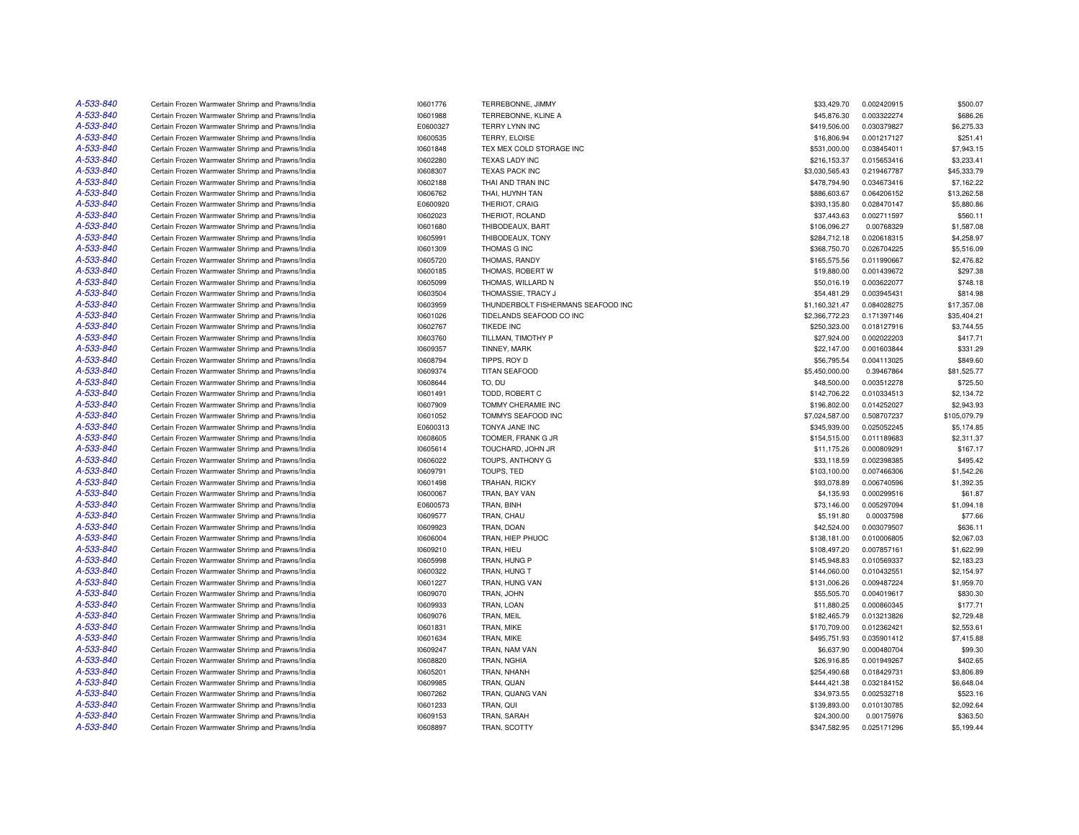| A-533-840 | Certain Frozen Warmwater Shrimp and Prawns/India | 10601776 | TERREBONNE, JIMMY                  | \$33,429.70    | 0.002420915 | \$500.07     |
|-----------|--------------------------------------------------|----------|------------------------------------|----------------|-------------|--------------|
| A-533-840 | Certain Frozen Warmwater Shrimp and Prawns/India | 10601988 | TERREBONNE, KLINE A                | \$45,876.30    | 0.003322274 | \$686.26     |
| A-533-840 | Certain Frozen Warmwater Shrimp and Prawns/India | E0600327 | TERRY LYNN INC                     | \$419,506.00   | 0.030379827 | \$6,275.33   |
| A-533-840 | Certain Frozen Warmwater Shrimp and Prawns/India | 10600535 | TERRY, ELOISE                      | \$16,806.94    | 0.001217127 | \$251.41     |
| A-533-840 | Certain Frozen Warmwater Shrimp and Prawns/India | 10601848 | TEX MEX COLD STORAGE INC           | \$531,000.00   | 0.038454011 | \$7,943.15   |
| A-533-840 | Certain Frozen Warmwater Shrimp and Prawns/India | 10602280 | <b>TEXAS LADY INC</b>              | \$216,153.37   | 0.015653416 | \$3,233.41   |
| A-533-840 | Certain Frozen Warmwater Shrimp and Prawns/India | 10608307 | TEXAS PACK INC                     | \$3,030,565.43 | 0.219467787 | \$45,333.79  |
| A-533-840 | Certain Frozen Warmwater Shrimp and Prawns/India | 10602188 | THAI AND TRAN INC                  | \$478,794.90   | 0.034673416 | \$7,162.22   |
| A-533-840 | Certain Frozen Warmwater Shrimp and Prawns/India | 10606762 | THAI, HUYNH TAN                    | \$886,603.67   | 0.064206152 | \$13,262.58  |
| A-533-840 | Certain Frozen Warmwater Shrimp and Prawns/India | E0600920 | THERIOT, CRAIG                     | \$393,135.80   | 0.028470147 | \$5,880.86   |
| A-533-840 | Certain Frozen Warmwater Shrimp and Prawns/India | 10602023 | THERIOT, ROLAND                    | \$37,443.63    | 0.002711597 | \$560.11     |
| A-533-840 | Certain Frozen Warmwater Shrimp and Prawns/India | 10601680 | THIBODEAUX, BART                   | \$106,096.27   | 0.00768329  | \$1,587.08   |
| A-533-840 | Certain Frozen Warmwater Shrimp and Prawns/India | 10605991 | THIBODEAUX, TONY                   | \$284,712.18   | 0.020618315 | \$4,258.97   |
| A-533-840 | Certain Frozen Warmwater Shrimp and Prawns/India | 10601309 | THOMAS G INC                       | \$368,750.70   | 0.026704225 | \$5,516.09   |
| A-533-840 |                                                  | 10605720 |                                    | \$165,575.56   | 0.011990667 | \$2,476.82   |
| A-533-840 | Certain Frozen Warmwater Shrimp and Prawns/India |          | THOMAS, RANDY                      |                |             |              |
|           | Certain Frozen Warmwater Shrimp and Prawns/India | 10600185 | THOMAS, ROBERT W                   | \$19,880.00    | 0.001439672 | \$297.38     |
| A-533-840 | Certain Frozen Warmwater Shrimp and Prawns/India | 10605099 | THOMAS, WILLARD N                  | \$50,016.19    | 0.003622077 | \$748.18     |
| A-533-840 | Certain Frozen Warmwater Shrimp and Prawns/India | 10603504 | THOMASSIE, TRACY J                 | \$54,481.29    | 0.003945431 | \$814.98     |
| A-533-840 | Certain Frozen Warmwater Shrimp and Prawns/India | 10603959 | THUNDERBOLT FISHERMANS SEAFOOD INC | \$1,160,321.47 | 0.084028275 | \$17,357.08  |
| A-533-840 | Certain Frozen Warmwater Shrimp and Prawns/India | 10601026 | TIDELANDS SEAFOOD CO INC           | \$2,366,772.23 | 0.171397146 | \$35,404.21  |
| A-533-840 | Certain Frozen Warmwater Shrimp and Prawns/India | 10602767 | <b>TIKEDE INC</b>                  | \$250,323.00   | 0.018127916 | \$3,744.55   |
| A-533-840 | Certain Frozen Warmwater Shrimp and Prawns/India | 10603760 | TILLMAN, TIMOTHY P                 | \$27,924.00    | 0.002022203 | \$417.71     |
| A-533-840 | Certain Frozen Warmwater Shrimp and Prawns/India | 10609357 | TINNEY, MARK                       | \$22,147.00    | 0.001603844 | \$331.29     |
| A-533-840 | Certain Frozen Warmwater Shrimp and Prawns/India | 10608794 | TIPPS, ROY D                       | \$56,795.54    | 0.004113025 | \$849.60     |
| A-533-840 | Certain Frozen Warmwater Shrimp and Prawns/India | 10609374 | <b>TITAN SEAFOOD</b>               | \$5,450,000.00 | 0.39467864  | \$81,525.77  |
| A-533-840 | Certain Frozen Warmwater Shrimp and Prawns/India | 10608644 | TO, DU                             | \$48,500.00    | 0.003512278 | \$725.50     |
| A-533-840 | Certain Frozen Warmwater Shrimp and Prawns/India | 10601491 | TODD, ROBERT C                     | \$142,706.22   | 0.010334513 | \$2,134.72   |
| A-533-840 | Certain Frozen Warmwater Shrimp and Prawns/India | 10607909 | <b>TOMMY CHERAMIE INC</b>          | \$196,802.00   | 0.014252027 | \$2,943.93   |
| A-533-840 | Certain Frozen Warmwater Shrimp and Prawns/India | 10601052 | TOMMYS SEAFOOD INC                 | \$7,024,587.00 | 0.508707237 | \$105,079.79 |
| A-533-840 | Certain Frozen Warmwater Shrimp and Prawns/India | E0600313 | TONYA JANE INC                     | \$345,939.00   | 0.025052245 | \$5,174.85   |
| A-533-840 | Certain Frozen Warmwater Shrimp and Prawns/India | 10608605 | TOOMER, FRANK G JR                 | \$154,515.00   | 0.011189683 | \$2,311.37   |
| A-533-840 | Certain Frozen Warmwater Shrimp and Prawns/India | 10605614 | TOUCHARD, JOHN JR                  | \$11,175.26    | 0.000809291 | \$167.17     |
| A-533-840 | Certain Frozen Warmwater Shrimp and Prawns/India | 10606022 | TOUPS, ANTHONY G                   | \$33,118.59    | 0.002398385 | \$495.42     |
| A-533-840 | Certain Frozen Warmwater Shrimp and Prawns/India | 10609791 | TOUPS, TED                         | \$103,100.00   | 0.007466306 | \$1,542.26   |
| A-533-840 | Certain Frozen Warmwater Shrimp and Prawns/India | 10601498 | <b>TRAHAN, RICKY</b>               | \$93,078.89    | 0.006740596 | \$1,392.35   |
| A-533-840 | Certain Frozen Warmwater Shrimp and Prawns/India | 10600067 | TRAN, BAY VAN                      | \$4,135.93     | 0.000299516 | \$61.87      |
| A-533-840 | Certain Frozen Warmwater Shrimp and Prawns/India | E0600573 | TRAN, BINH                         | \$73,146.00    | 0.005297094 | \$1,094.18   |
| A-533-840 | Certain Frozen Warmwater Shrimp and Prawns/India | 10609577 | TRAN, CHAU                         | \$5,191.80     | 0.00037598  | \$77.66      |
| A-533-840 | Certain Frozen Warmwater Shrimp and Prawns/India | 10609923 | TRAN, DOAN                         | \$42,524.00    | 0.003079507 | \$636.11     |
| A-533-840 | Certain Frozen Warmwater Shrimp and Prawns/India | 10606004 | TRAN, HIEP PHUOC                   | \$138,181.00   | 0.010006805 | \$2,067.03   |
| A-533-840 | Certain Frozen Warmwater Shrimp and Prawns/India | 10609210 | TRAN, HIEU                         | \$108,497.20   | 0.007857161 | \$1,622.99   |
| A-533-840 |                                                  |          |                                    |                |             |              |
|           | Certain Frozen Warmwater Shrimp and Prawns/India | 10605998 | TRAN, HUNG P                       | \$145,948.83   | 0.010569337 | \$2,183.23   |
| A-533-840 | Certain Frozen Warmwater Shrimp and Prawns/India | 10600322 | TRAN, HUNG T                       | \$144,060.00   | 0.010432551 | \$2,154.97   |
| A-533-840 | Certain Frozen Warmwater Shrimp and Prawns/India | 10601227 | TRAN, HUNG VAN                     | \$131,006.26   | 0.009487224 | \$1,959.70   |
| A-533-840 | Certain Frozen Warmwater Shrimp and Prawns/India | 10609070 | TRAN, JOHN                         | \$55,505.70    | 0.004019617 | \$830.30     |
| A-533-840 | Certain Frozen Warmwater Shrimp and Prawns/India | 10609933 | TRAN, LOAN                         | \$11,880.25    | 0.000860345 | \$177.71     |
| A-533-840 | Certain Frozen Warmwater Shrimp and Prawns/India | 10609076 | TRAN, MEIL                         | \$182,465.79   | 0.013213826 | \$2,729.48   |
| A-533-840 | Certain Frozen Warmwater Shrimp and Prawns/India | 10601831 | TRAN, MIKE                         | \$170,709.00   | 0.012362421 | \$2,553.61   |
| A-533-840 | Certain Frozen Warmwater Shrimp and Prawns/India | 10601634 | TRAN, MIKE                         | \$495,751.93   | 0.035901412 | \$7,415.88   |
| A-533-840 | Certain Frozen Warmwater Shrimp and Prawns/India | 10609247 | TRAN, NAM VAN                      | \$6,637.90     | 0.000480704 | \$99.30      |
| A-533-840 | Certain Frozen Warmwater Shrimp and Prawns/India | 10608820 | TRAN, NGHIA                        | \$26,916.85    | 0.001949267 | \$402.65     |
| A-533-840 | Certain Frozen Warmwater Shrimp and Prawns/India | 10605201 | TRAN, NHANH                        | \$254,490.68   | 0.018429731 | \$3,806.89   |
| A-533-840 | Certain Frozen Warmwater Shrimp and Prawns/India | 10609985 | TRAN, QUAN                         | \$444,421.38   | 0.032184152 | \$6,648.04   |
| A-533-840 | Certain Frozen Warmwater Shrimp and Prawns/India | 10607262 | TRAN, QUANG VAN                    | \$34,973.55    | 0.002532718 | \$523.16     |
| A-533-840 | Certain Frozen Warmwater Shrimp and Prawns/India | 10601233 | TRAN, QUI                          | \$139,893.00   | 0.010130785 | \$2,092.64   |
| A-533-840 | Certain Frozen Warmwater Shrimp and Prawns/India | 10609153 | TRAN, SARAH                        | \$24,300.00    | 0.00175976  | \$363.50     |
| A-533-840 | Certain Frozen Warmwater Shrimp and Prawns/India | 10608897 | TRAN, SCOTTY                       | \$347,582.95   | 0.025171296 | \$5,199.44   |
|           |                                                  |          |                                    |                |             |              |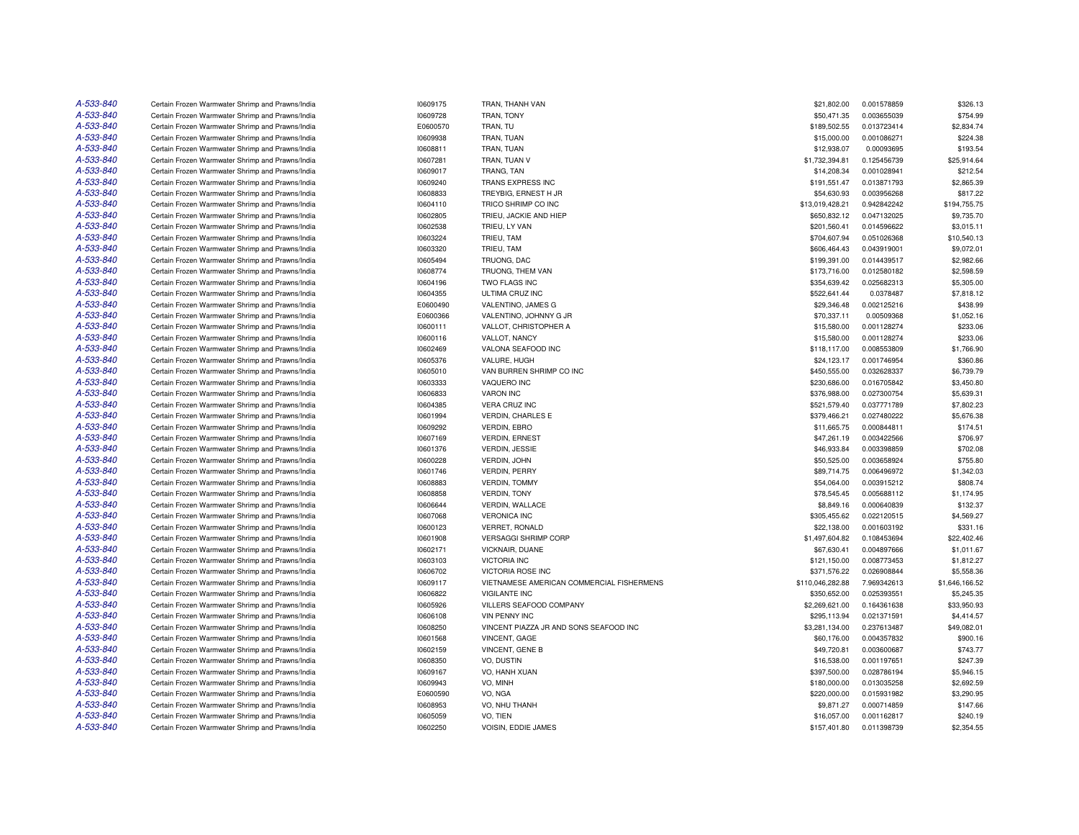| A-533-840 | Certain Frozen Warmwater Shrimp and Prawns/India                                                     | 10609175             | TRAN. THANH VAN                           | \$21,802.00                 | 0.001578859 | \$326.13               |
|-----------|------------------------------------------------------------------------------------------------------|----------------------|-------------------------------------------|-----------------------------|-------------|------------------------|
| A-533-840 | Certain Frozen Warmwater Shrimp and Prawns/India                                                     | 10609728             | TRAN, TONY                                | \$50,471.35                 | 0.003655039 | \$754.99               |
| A-533-840 | Certain Frozen Warmwater Shrimp and Prawns/India                                                     | E0600570             | TRAN, TU                                  | \$189,502.55                | 0.013723414 | \$2,834.74             |
| A-533-840 | Certain Frozen Warmwater Shrimp and Prawns/India                                                     | 10609938             | TRAN, TUAN                                | \$15,000.00                 | 0.001086271 | \$224.38               |
| A-533-840 | Certain Frozen Warmwater Shrimp and Prawns/India                                                     | 10608811             | TRAN, TUAN                                | \$12,938.07                 | 0.00093695  | \$193.54               |
| A-533-840 | Certain Frozen Warmwater Shrimp and Prawns/India                                                     | 10607281             | TRAN, TUAN V                              | \$1,732,394.81              | 0.125456739 | \$25,914.64            |
| A-533-840 | Certain Frozen Warmwater Shrimp and Prawns/India                                                     | 10609017             | TRANG, TAN                                | \$14,208.34                 | 0.001028941 | \$212.54               |
| A-533-840 | Certain Frozen Warmwater Shrimp and Prawns/India                                                     | 10609240             | TRANS EXPRESS INC                         | \$191,551.47                | 0.013871793 | \$2,865.39             |
| A-533-840 | Certain Frozen Warmwater Shrimp and Prawns/India                                                     | 10608833             | TREYBIG, ERNEST H JR                      | \$54,630.93                 | 0.003956268 | \$817.22               |
| A-533-840 | Certain Frozen Warmwater Shrimp and Prawns/India                                                     | 10604110             | TRICO SHRIMP CO INC                       | \$13,019,428.21             | 0.942842242 | \$194,755.75           |
| A-533-840 | Certain Frozen Warmwater Shrimp and Prawns/India                                                     | 10602805             | TRIEU, JACKIE AND HIEP                    | \$650,832.12                | 0.047132025 | \$9,735.70             |
| A-533-840 | Certain Frozen Warmwater Shrimp and Prawns/India                                                     | 10602538             | TRIEU, LY VAN                             | \$201,560.41                | 0.014596622 | \$3,015.11             |
| A-533-840 | Certain Frozen Warmwater Shrimp and Prawns/India                                                     | 10603224             | TRIEU, TAM                                | \$704,607.94                | 0.051026368 | \$10,540.13            |
| A-533-840 | Certain Frozen Warmwater Shrimp and Prawns/India                                                     | 10603320             | TRIEU, TAM                                | \$606,464.43                | 0.043919001 | \$9,072.01             |
| A-533-840 | Certain Frozen Warmwater Shrimp and Prawns/India                                                     | 10605494             | TRUONG, DAC                               | \$199,391.00                | 0.014439517 | \$2,982.66             |
| A-533-840 | Certain Frozen Warmwater Shrimp and Prawns/India                                                     | 10608774             | TRUONG, THEM VAN                          | \$173,716.00                | 0.012580182 | \$2,598.59             |
| A-533-840 | Certain Frozen Warmwater Shrimp and Prawns/India                                                     | 10604196             | TWO FLAGS INC                             | \$354,639.42                | 0.025682313 | \$5,305.00             |
| A-533-840 | Certain Frozen Warmwater Shrimp and Prawns/India                                                     | 10604355             | ULTIMA CRUZ INC                           | \$522,641.44                | 0.0378487   | \$7,818.12             |
| A-533-840 | Certain Frozen Warmwater Shrimp and Prawns/India                                                     | E0600490             | VALENTINO, JAMES G                        | \$29,346.48                 | 0.002125216 | \$438.99               |
| A-533-840 | Certain Frozen Warmwater Shrimp and Prawns/India                                                     | E0600366             | VALENTINO, JOHNNY G JR                    | \$70,337.11                 | 0.00509368  | \$1,052.16             |
| A-533-840 | Certain Frozen Warmwater Shrimp and Prawns/India                                                     | 10600111             | VALLOT, CHRISTOPHER A                     | \$15,580.00                 | 0.001128274 | \$233.06               |
| A-533-840 | Certain Frozen Warmwater Shrimp and Prawns/India                                                     | 10600116             | VALLOT, NANCY                             | \$15,580.00                 | 0.001128274 | \$233.06               |
| A-533-840 | Certain Frozen Warmwater Shrimp and Prawns/India                                                     | 10602469             | VALONA SEAFOOD INC                        | \$118,117.00                | 0.008553809 | \$1,766.90             |
| A-533-840 | Certain Frozen Warmwater Shrimp and Prawns/India                                                     | 10605376             | VALURE, HUGH                              | \$24,123.17                 | 0.001746954 | \$360.86               |
| A-533-840 | Certain Frozen Warmwater Shrimp and Prawns/India                                                     | 10605010             | VAN BURREN SHRIMP CO INC                  | \$450,555.00                | 0.032628337 | \$6,739.79             |
| A-533-840 | Certain Frozen Warmwater Shrimp and Prawns/India                                                     | 10603333             | VAQUERO INC                               | \$230,686.00                | 0.016705842 | \$3,450.80             |
| A-533-840 | Certain Frozen Warmwater Shrimp and Prawns/India                                                     | 10606833             | <b>VARON INC</b>                          | \$376,988.00                | 0.027300754 | \$5,639.31             |
| A-533-840 | Certain Frozen Warmwater Shrimp and Prawns/India                                                     | 10604385             | <b>VERA CRUZ INC</b>                      | \$521,579.40                | 0.037771789 | \$7,802.23             |
| A-533-840 |                                                                                                      |                      | <b>VERDIN, CHARLES E</b>                  |                             | 0.027480222 |                        |
| A-533-840 | Certain Frozen Warmwater Shrimp and Prawns/India<br>Certain Frozen Warmwater Shrimp and Prawns/India | 10601994<br>10609292 | <b>VERDIN, EBRO</b>                       | \$379,466.21<br>\$11,665.75 | 0.000844811 | \$5,676.38<br>\$174.51 |
| A-533-840 |                                                                                                      |                      | <b>VERDIN, ERNEST</b>                     | \$47,261.19                 | 0.003422566 | \$706.97               |
| A-533-840 | Certain Frozen Warmwater Shrimp and Prawns/India                                                     | 10607169             |                                           |                             |             |                        |
| A-533-840 | Certain Frozen Warmwater Shrimp and Prawns/India                                                     | 10601376             | <b>VERDIN, JESSIE</b>                     | \$46,933.84                 | 0.003398859 | \$702.08               |
|           | Certain Frozen Warmwater Shrimp and Prawns/India                                                     | 10600228             | VERDIN, JOHN                              | \$50,525.00                 | 0.003658924 | \$755.80               |
| A-533-840 | Certain Frozen Warmwater Shrimp and Prawns/India                                                     | 10601746             | <b>VERDIN, PERRY</b>                      | \$89,714.75                 | 0.006496972 | \$1,342.03             |
| A-533-840 | Certain Frozen Warmwater Shrimp and Prawns/India                                                     | 10608883             | <b>VERDIN, TOMMY</b>                      | \$54,064.00                 | 0.003915212 | \$808.74               |
| A-533-840 | Certain Frozen Warmwater Shrimp and Prawns/India                                                     | 10608858             | VERDIN, TONY                              | \$78,545.45                 | 0.005688112 | \$1,174.95             |
| A-533-840 | Certain Frozen Warmwater Shrimp and Prawns/India                                                     | 10606644             | VERDIN, WALLACE                           | \$8,849.16                  | 0.000640839 | \$132.37               |
| A-533-840 | Certain Frozen Warmwater Shrimp and Prawns/India                                                     | 10607068             | <b>VERONICA INC</b>                       | \$305,455.62                | 0.022120515 | \$4,569.27             |
| A-533-840 | Certain Frozen Warmwater Shrimp and Prawns/India                                                     | 10600123             | VERRET, RONALD                            | \$22,138.00                 | 0.001603192 | \$331.16               |
| A-533-840 | Certain Frozen Warmwater Shrimp and Prawns/India                                                     | 10601908             | <b>VERSAGGI SHRIMP CORP</b>               | \$1,497,604.82              | 0.108453694 | \$22,402.46            |
| A-533-840 | Certain Frozen Warmwater Shrimp and Prawns/India                                                     | 10602171             | VICKNAIR, DUANE                           | \$67,630.41                 | 0.004897666 | \$1,011.67             |
| A-533-840 | Certain Frozen Warmwater Shrimp and Prawns/India                                                     | 10603103             | VICTORIA INC                              | \$121,150.00                | 0.008773453 | \$1,812.27             |
| A-533-840 | Certain Frozen Warmwater Shrimp and Prawns/India                                                     | 10606702             | <b>VICTORIA ROSE INC</b>                  | \$371,576.22                | 0.026908844 | \$5,558.36             |
| A-533-840 | Certain Frozen Warmwater Shrimp and Prawns/India                                                     | 10609117             | VIETNAMESE AMERICAN COMMERCIAL FISHERMENS | \$110,046,282.88            | 7.969342613 | \$1,646,166.52         |
| A-533-840 | Certain Frozen Warmwater Shrimp and Prawns/India                                                     | 10606822             | VIGILANTE INC                             | \$350,652.00                | 0.025393551 | \$5,245.35             |
| A-533-840 | Certain Frozen Warmwater Shrimp and Prawns/India                                                     | 10605926             | VILLERS SEAFOOD COMPANY                   | \$2,269,621.00              | 0.164361638 | \$33,950.93            |
| A-533-840 | Certain Frozen Warmwater Shrimp and Prawns/India                                                     | 10606108             | <b>VIN PENNY INC</b>                      | \$295,113.94                | 0.021371591 | \$4,414.57             |
| A-533-840 | Certain Frozen Warmwater Shrimp and Prawns/India                                                     | 10608250             | VINCENT PIAZZA JR AND SONS SEAFOOD INC    | \$3,281,134.00              | 0.237613487 | \$49,082.01            |
| A-533-840 | Certain Frozen Warmwater Shrimp and Prawns/India                                                     | 10601568             | VINCENT, GAGE                             | \$60,176.00                 | 0.004357832 | \$900.16               |
| A-533-840 | Certain Frozen Warmwater Shrimp and Prawns/India                                                     | 10602159             | VINCENT, GENE B                           | \$49,720.81                 | 0.003600687 | \$743.77               |
| A-533-840 | Certain Frozen Warmwater Shrimp and Prawns/India                                                     | 10608350             | VO. DUSTIN                                | \$16,538.00                 | 0.001197651 | \$247.39               |
| A-533-840 | Certain Frozen Warmwater Shrimp and Prawns/India                                                     | 10609167             | VO, HANH XUAN                             | \$397,500.00                | 0.028786194 | \$5,946.15             |
| A-533-840 | Certain Frozen Warmwater Shrimp and Prawns/India                                                     | 10609943             | VO, MINH                                  | \$180,000.00                | 0.013035258 | \$2,692.59             |
| A-533-840 | Certain Frozen Warmwater Shrimp and Prawns/India                                                     | E0600590             | VO, NGA                                   | \$220,000.00                | 0.015931982 | \$3,290.95             |
| A-533-840 | Certain Frozen Warmwater Shrimp and Prawns/India                                                     | 10608953             | VO, NHU THANH                             | \$9,871.27                  | 0.000714859 | \$147.66               |
| A-533-840 | Certain Frozen Warmwater Shrimp and Prawns/India                                                     | 10605059             | VO. TIEN                                  | \$16,057.00                 | 0.001162817 | \$240.19               |
| A-533-840 | Certain Frozen Warmwater Shrimp and Prawns/India                                                     | 10602250             | VOISIN, EDDIE JAMES                       | \$157,401.80                | 0.011398739 | \$2,354.55             |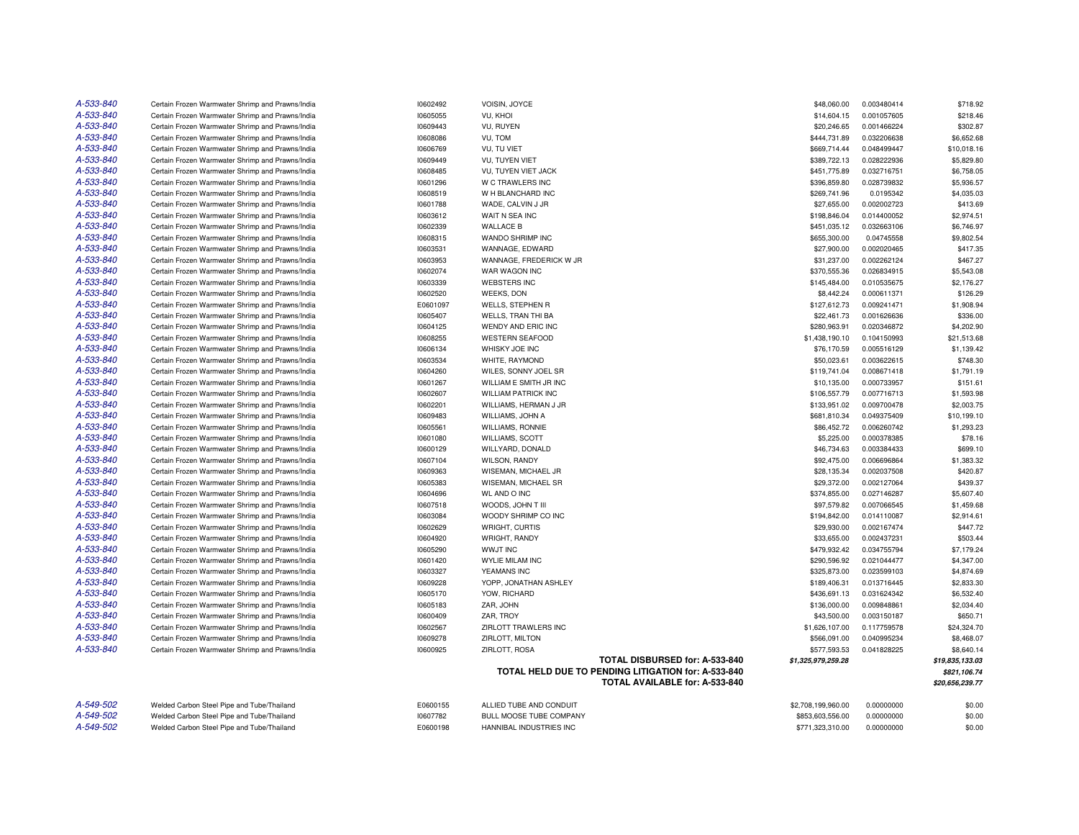| A-533-840 | Certain Frozen Warmwater Shrimp and Prawns/India | 10602492 | VOISIN, JOYCE                                                                         | \$48,060.00        | 0.003480414 | \$718.92        |
|-----------|--------------------------------------------------|----------|---------------------------------------------------------------------------------------|--------------------|-------------|-----------------|
| A-533-840 | Certain Frozen Warmwater Shrimp and Prawns/India | 10605055 | VU, KHOI                                                                              | \$14,604.15        | 0.001057605 | \$218.46        |
| A-533-840 | Certain Frozen Warmwater Shrimp and Prawns/India | 10609443 | VU, RUYEN                                                                             | \$20,246.65        | 0.001466224 | \$302.87        |
| A-533-840 | Certain Frozen Warmwater Shrimp and Prawns/India | 10608086 | VU, TOM                                                                               | \$444,731.89       | 0.032206638 | \$6,652.68      |
| A-533-840 | Certain Frozen Warmwater Shrimp and Prawns/India | 10606769 | VU. TU VIET                                                                           | \$669,714.44       | 0.048499447 | \$10,018.16     |
| A-533-840 | Certain Frozen Warmwater Shrimp and Prawns/India | 10609449 | <b>VU. TUYEN VIET</b>                                                                 | \$389,722.13       | 0.028222936 | \$5,829.80      |
| A-533-840 | Certain Frozen Warmwater Shrimp and Prawns/India | 10608485 | VU, TUYEN VIET JACK                                                                   | \$451,775.89       | 0.032716751 | \$6,758.05      |
| A-533-840 | Certain Frozen Warmwater Shrimp and Prawns/India | 10601296 | W C TRAWLERS INC                                                                      | \$396,859.80       | 0.028739832 | \$5,936.57      |
| A-533-840 | Certain Frozen Warmwater Shrimp and Prawns/India | 10608519 | W H BLANCHARD INC                                                                     | \$269,741.96       | 0.0195342   | \$4,035.03      |
| A-533-840 | Certain Frozen Warmwater Shrimp and Prawns/India | 10601788 | WADE, CALVIN J JR                                                                     | \$27,655.00        | 0.002002723 | \$413.69        |
| A-533-840 | Certain Frozen Warmwater Shrimp and Prawns/India | 10603612 | WAIT N SEA INC                                                                        | \$198,846.04       | 0.014400052 | \$2,974.51      |
| A-533-840 | Certain Frozen Warmwater Shrimp and Prawns/India | 10602339 | <b>WALLACE B</b>                                                                      | \$451,035.12       | 0.032663106 | \$6,746.97      |
| A-533-840 | Certain Frozen Warmwater Shrimp and Prawns/India | 10608315 | WANDO SHRIMP INC                                                                      | \$655,300.00       | 0.04745558  | \$9,802.54      |
| A-533-840 | Certain Frozen Warmwater Shrimp and Prawns/India | 10603531 | WANNAGE, EDWARD                                                                       | \$27,900.00        | 0.002020465 | \$417.35        |
| A-533-840 | Certain Frozen Warmwater Shrimp and Prawns/India | 10603953 | WANNAGE, FREDERICK W JR                                                               | \$31,237.00        | 0.002262124 | \$467.27        |
| A-533-840 | Certain Frozen Warmwater Shrimp and Prawns/India | 10602074 | WAR WAGON INC                                                                         | \$370,555.36       | 0.026834915 | \$5,543.08      |
| A-533-840 | Certain Frozen Warmwater Shrimp and Prawns/India | 10603339 | <b>WEBSTERS INC</b>                                                                   | \$145,484.00       | 0.010535675 | \$2,176.27      |
| A-533-840 | Certain Frozen Warmwater Shrimp and Prawns/India | 10602520 | <b>WEEKS, DON</b>                                                                     | \$8,442.24         | 0.000611371 | \$126.29        |
| A-533-840 | Certain Frozen Warmwater Shrimp and Prawns/India | E0601097 | WELLS, STEPHEN R                                                                      | \$127,612.73       | 0.009241471 | \$1,908.94      |
| A-533-840 | Certain Frozen Warmwater Shrimp and Prawns/India | 10605407 | WELLS, TRAN THI BA                                                                    | \$22,461.73        | 0.001626636 | \$336.00        |
| A-533-840 | Certain Frozen Warmwater Shrimp and Prawns/India | 10604125 | WENDY AND ERIC INC                                                                    | \$280,963.91       | 0.020346872 | \$4,202.90      |
| A-533-840 | Certain Frozen Warmwater Shrimp and Prawns/India | 10608255 | <b>WESTERN SEAFOOD</b>                                                                | \$1,438,190.10     | 0.104150993 | \$21,513.68     |
| A-533-840 | Certain Frozen Warmwater Shrimp and Prawns/India | 10606134 | WHISKY JOE INC                                                                        | \$76,170.59        | 0.005516129 | \$1,139.42      |
| A-533-840 | Certain Frozen Warmwater Shrimp and Prawns/India | 10603534 | WHITE, RAYMOND                                                                        | \$50,023.61        | 0.003622615 | \$748.30        |
| A-533-840 | Certain Frozen Warmwater Shrimp and Prawns/India | 10604260 | WILES, SONNY JOEL SR                                                                  | \$119,741.04       | 0.008671418 | \$1,791.19      |
| A-533-840 | Certain Frozen Warmwater Shrimp and Prawns/India | 10601267 | WILLIAM E SMITH JR INC                                                                | \$10,135.00        | 0.000733957 | \$151.61        |
| A-533-840 | Certain Frozen Warmwater Shrimp and Prawns/India | 10602607 | <b>WILLIAM PATRICK INC</b>                                                            | \$106,557.79       | 0.007716713 | \$1,593.98      |
| A-533-840 | Certain Frozen Warmwater Shrimp and Prawns/India | 10602201 | WILLIAMS, HERMAN J JR                                                                 | \$133,951.02       | 0.009700478 | \$2,003.75      |
| A-533-840 | Certain Frozen Warmwater Shrimp and Prawns/India | 10609483 | WILLIAMS, JOHN A                                                                      | \$681,810.34       | 0.049375409 | \$10,199.10     |
| A-533-840 | Certain Frozen Warmwater Shrimp and Prawns/India | 10605561 | <b>WILLIAMS, RONNIE</b>                                                               | \$86,452.72        | 0.006260742 | \$1,293.23      |
| A-533-840 | Certain Frozen Warmwater Shrimp and Prawns/India | 10601080 | <b>WILLIAMS, SCOTT</b>                                                                | \$5,225.00         | 0.000378385 | \$78.16         |
| A-533-840 | Certain Frozen Warmwater Shrimp and Prawns/India | 10600129 | WILLYARD, DONALD                                                                      | \$46,734.63        | 0.003384433 | \$699.10        |
| A-533-840 | Certain Frozen Warmwater Shrimp and Prawns/India | 10607104 | <b>WILSON, RANDY</b>                                                                  | \$92,475.00        | 0.006696864 | \$1,383.32      |
| A-533-840 | Certain Frozen Warmwater Shrimp and Prawns/India | 10609363 | WISEMAN, MICHAEL JR                                                                   | \$28,135.34        | 0.002037508 | \$420.87        |
| A-533-840 | Certain Frozen Warmwater Shrimp and Prawns/India | 10605383 | WISEMAN, MICHAEL SR                                                                   | \$29,372.00        | 0.002127064 | \$439.37        |
| A-533-840 | Certain Frozen Warmwater Shrimp and Prawns/India | 10604696 | <b>WL AND O INC</b>                                                                   | \$374,855.00       | 0.027146287 | \$5,607.40      |
| A-533-840 | Certain Frozen Warmwater Shrimp and Prawns/India | 10607518 | WOODS, JOHN T III                                                                     | \$97,579.82        | 0.007066545 | \$1,459.68      |
| A-533-840 | Certain Frozen Warmwater Shrimp and Prawns/India | 10603084 | WOODY SHRIMP CO INC                                                                   | \$194,842.00       | 0.014110087 | \$2,914.61      |
| A-533-840 | Certain Frozen Warmwater Shrimp and Prawns/India | 10602629 | WRIGHT, CURTIS                                                                        | \$29,930.00        | 0.002167474 | \$447.72        |
| A-533-840 | Certain Frozen Warmwater Shrimp and Prawns/India | 10604920 | WRIGHT, RANDY                                                                         | \$33,655.00        | 0.002437231 | \$503.44        |
| A-533-840 | Certain Frozen Warmwater Shrimp and Prawns/India | 10605290 | <b>WWJT INC</b>                                                                       | \$479,932.42       | 0.034755794 | \$7,179.24      |
| A-533-840 | Certain Frozen Warmwater Shrimp and Prawns/India | 10601420 | WYLIE MILAM INC                                                                       | \$290,596.92       | 0.021044477 | \$4,347.00      |
| A-533-840 | Certain Frozen Warmwater Shrimp and Prawns/India | 10603327 | <b>YEAMANS INC</b>                                                                    | \$325,873.00       | 0.023599103 | \$4,874.69      |
| A-533-840 | Certain Frozen Warmwater Shrimp and Prawns/India | 10609228 | YOPP, JONATHAN ASHLEY                                                                 | \$189,406.31       | 0.013716445 | \$2,833.30      |
| A-533-840 | Certain Frozen Warmwater Shrimp and Prawns/India | 10605170 | YOW, RICHARD                                                                          | \$436,691.13       | 0.031624342 | \$6,532.40      |
| A-533-840 | Certain Frozen Warmwater Shrimp and Prawns/India | 10605183 | ZAR, JOHN                                                                             | \$136,000.00       | 0.009848861 | \$2,034.40      |
| A-533-840 | Certain Frozen Warmwater Shrimp and Prawns/India | 10600409 | ZAR. TROY                                                                             | \$43,500.00        | 0.003150187 | \$650.71        |
| A-533-840 | Certain Frozen Warmwater Shrimp and Prawns/India | 10602567 | ZIRLOTT TRAWLERS INC                                                                  | \$1,626,107.00     | 0.117759578 | \$24,324.70     |
| A-533-840 | Certain Frozen Warmwater Shrimp and Prawns/India | 10609278 | ZIRLOTT, MILTON                                                                       | \$566,091.00       | 0.040995234 | \$8,468.07      |
| A-533-840 | Certain Frozen Warmwater Shrimp and Prawns/India | 10600925 | ZIRLOTT, ROSA                                                                         | \$577,593.53       | 0.041828225 | \$8,640.14      |
|           |                                                  |          | TOTAL DISBURSED for: A-533-840                                                        | \$1,325,979,259.28 |             | \$19.835.133.03 |
|           |                                                  |          | TOTAL HELD DUE TO PENDING LITIGATION for: A-533-840<br>TOTAL AVAILABLE for: A-533-840 |                    |             | \$821,106.74    |
|           |                                                  |          |                                                                                       |                    |             | \$20,656,239.77 |
| A-549-502 | Welded Carbon Steel Pipe and Tube/Thailand       | E0600155 | ALLIED TUBE AND CONDUIT                                                               | \$2,708,199,960.00 | 0.00000000  | \$0.00          |
| A-549-502 | Welded Carbon Steel Pipe and Tube/Thailand       | 10607782 | BULL MOOSE TUBE COMPANY                                                               | \$853,603,556.00   | 0.00000000  | \$0.00          |
| A-549-502 | Welded Carbon Steel Pipe and Tube/Thailand       | E0600198 | HANNIBAL INDUSTRIES INC                                                               | \$771,323,310.00   | 0.00000000  | \$0.00          |
|           |                                                  |          |                                                                                       |                    |             |                 |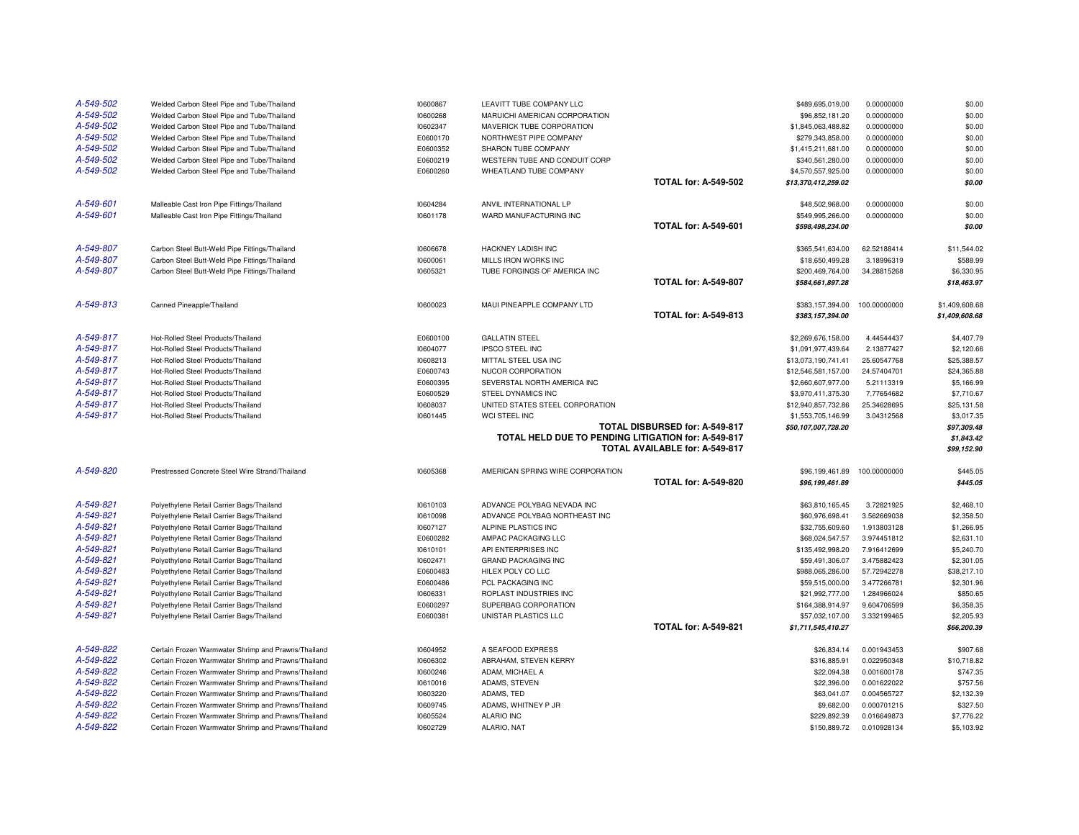| A-549-502              | Welded Carbon Steel Pipe and Tube/Thailand                                                                 | 10600867             | LEAVITT TUBE COMPANY LLC                            |                                | \$489,695,019.00                    | 0.00000000                 | \$0.00                    |
|------------------------|------------------------------------------------------------------------------------------------------------|----------------------|-----------------------------------------------------|--------------------------------|-------------------------------------|----------------------------|---------------------------|
| A-549-502              | Welded Carbon Steel Pipe and Tube/Thailand                                                                 | 10600268             | MARUICHI AMERICAN CORPORATION                       |                                | \$96,852,181.20                     | 0.00000000                 | \$0.00                    |
| A-549-502              | Welded Carbon Steel Pipe and Tube/Thailand                                                                 | 10602347             | MAVERICK TUBE CORPORATION                           |                                | \$1,845,063,488.82                  | 0.00000000                 | \$0.00                    |
| A-549-502              | Welded Carbon Steel Pipe and Tube/Thailand                                                                 | E0600170             | NORTHWEST PIPE COMPANY                              |                                | \$279,343,858.00                    | 0.00000000                 | \$0.00                    |
| A-549-502              | Welded Carbon Steel Pipe and Tube/Thailand                                                                 | E0600352             | SHARON TUBE COMPANY                                 |                                | \$1,415,211,681.00                  | 0.00000000                 | \$0.00                    |
| A-549-502              | Welded Carbon Steel Pipe and Tube/Thailand                                                                 | E0600219             | WESTERN TUBE AND CONDUIT CORP                       |                                | \$340,561,280.00                    | 0.00000000                 | \$0.00                    |
| A-549-502              | Welded Carbon Steel Pipe and Tube/Thailand                                                                 | E0600260             | WHEATLAND TUBE COMPANY                              |                                | \$4,570,557,925.00                  | 0.00000000                 | \$0.00                    |
|                        |                                                                                                            |                      |                                                     | <b>TOTAL for: A-549-502</b>    | \$13,370,412,259.02                 |                            | \$0.00                    |
| A-549-601              | Malleable Cast Iron Pipe Fittings/Thailand                                                                 | 10604284             | ANVIL INTERNATIONAL LP                              |                                | \$48,502,968.00                     | 0.00000000                 | \$0.00                    |
| A-549-601              | Malleable Cast Iron Pipe Fittings/Thailand                                                                 | 10601178             | WARD MANUFACTURING INC                              |                                | \$549,995,266.00                    | 0.00000000                 | \$0.00                    |
|                        |                                                                                                            |                      |                                                     | <b>TOTAL for: A-549-601</b>    | \$598,498,234.00                    |                            | \$0.00                    |
| A-549-807              | Carbon Steel Butt-Weld Pipe Fittings/Thailand                                                              | 10606678             | HACKNEY LADISH INC                                  |                                | \$365,541,634.00                    | 62.52188414                | \$11,544.02               |
| A-549-807              | Carbon Steel Butt-Weld Pipe Fittings/Thailand                                                              | 10600061             | MILLS IRON WORKS INC                                |                                | \$18,650,499.28                     | 3.18996319                 | \$588.99                  |
| A-549-807              | Carbon Steel Butt-Weld Pipe Fittings/Thailand                                                              | 10605321             | TUBE FORGINGS OF AMERICA INC                        |                                | \$200,469,764.00                    | 34.28815268                | \$6,330.95                |
|                        |                                                                                                            |                      |                                                     | <b>TOTAL for: A-549-807</b>    | \$584,661,897.28                    |                            | \$18,463.97               |
| A-549-813              | Canned Pineapple/Thailand                                                                                  | 10600023             | MAUI PINEAPPLE COMPANY LTD                          |                                | \$383.157.394.00                    | 100.00000000               | \$1,409,608.68            |
|                        |                                                                                                            |                      |                                                     | <b>TOTAL for: A-549-813</b>    | \$383,157,394.00                    |                            | \$1,409,608.68            |
| A-549-817              | Hot-Rolled Steel Products/Thailand                                                                         | E0600100             | <b>GALLATIN STEEL</b>                               |                                | \$2,269,676,158.00                  | 4.44544437                 | \$4,407.79                |
| A-549-817              | Hot-Rolled Steel Products/Thailand                                                                         | 10604077             | <b>IPSCO STEEL INC</b>                              |                                | \$1,091,977,439.64                  | 2.13877427                 | \$2,120.66                |
| A-549-817              | Hot-Rolled Steel Products/Thailand                                                                         | 10608213             | MITTAL STEEL USA INC                                |                                | \$13,073,190,741.41                 | 25.60547768                | \$25,388.57               |
| A-549-817              | Hot-Rolled Steel Products/Thailand                                                                         | E0600743             | NUCOR CORPORATION                                   |                                | \$12,546,581,157.00                 | 24.57404701                | \$24,365.88               |
| A-549-817              | Hot-Rolled Steel Products/Thailand                                                                         | E0600395             | SEVERSTAL NORTH AMERICA INC                         |                                | \$2,660,607,977.00                  | 5.21113319                 | \$5,166.99                |
| A-549-817              | Hot-Rolled Steel Products/Thailand                                                                         | E0600529             | STEEL DYNAMICS INC                                  |                                | \$3,970,411,375.30                  | 7.77654682                 | \$7,710.67                |
| A-549-817              | Hot-Rolled Steel Products/Thailand                                                                         | 10608037             | UNITED STATES STEEL CORPORATION                     |                                | \$12,940,857,732.86                 | 25.34628695                | \$25,131.58               |
| A-549-817              | Hot-Rolled Steel Products/Thailand                                                                         | 10601445             | WCI STEEL INC                                       |                                | \$1,553,705,146.99                  | 3.04312568                 | \$3,017.35                |
|                        |                                                                                                            |                      |                                                     | TOTAL DISBURSED for: A-549-817 | \$50,107,007,728.20                 |                            | \$97,309.48               |
|                        |                                                                                                            |                      | TOTAL HELD DUE TO PENDING LITIGATION for: A-549-817 | TOTAL AVAILABLE for: A-549-817 |                                     |                            | \$1,843.42<br>\$99,152.90 |
| A-549-820              |                                                                                                            |                      |                                                     |                                |                                     |                            |                           |
|                        | Prestressed Concrete Steel Wire Strand/Thailand                                                            | 10605368             | AMERICAN SPRING WIRE CORPORATION                    | <b>TOTAL for: A-549-820</b>    | \$96,199,461.89<br>\$96,199,461.89  | 100.00000000               | \$445.05<br>\$445.05      |
|                        |                                                                                                            |                      |                                                     |                                |                                     |                            |                           |
| A-549-821              | Polyethylene Retail Carrier Bags/Thailand                                                                  | 10610103             | ADVANCE POLYBAG NEVADA INC                          |                                | \$63,810,165.45                     | 3.72821925                 | \$2,468.10                |
| A-549-821              | Polyethylene Retail Carrier Bags/Thailand                                                                  | 10610098             | ADVANCE POLYBAG NORTHEAST INC                       |                                | \$60,976,698.41                     | 3.562669038                | \$2,358.50                |
| A-549-821              | Polyethylene Retail Carrier Bags/Thailand                                                                  | 10607127             | ALPINE PLASTICS INC                                 |                                | \$32,755,609.60                     | 1.913803128                | \$1,266.95                |
| A-549-821              | Polyethylene Retail Carrier Bags/Thailand                                                                  | E0600282             | AMPAC PACKAGING LLC                                 |                                | \$68,024,547.57                     | 3.974451812                | \$2,631.10                |
| A-549-821              | Polyethylene Retail Carrier Bags/Thailand                                                                  | 10610101             | API ENTERPRISES INC                                 |                                | \$135,492,998.20                    | 7.916412699                | \$5,240.70                |
| A-549-821              | Polyethylene Retail Carrier Bags/Thailand                                                                  | 10602471             | <b>GRAND PACKAGING INC</b>                          |                                | \$59,491,306.07                     | 3.475882423                | \$2,301.05                |
| A-549-821<br>A-549-821 | Polyethylene Retail Carrier Bags/Thailand                                                                  | E0600483<br>E0600486 | HILEX POLY CO LLC<br>PCL PACKAGING INC              |                                | \$988,065,286.00<br>\$59,515,000.00 | 57.72942278<br>3.477266781 | \$38,217.10<br>\$2,301.96 |
| A-549-821              | Polyethylene Retail Carrier Bags/Thailand                                                                  |                      |                                                     |                                |                                     |                            | \$850.65                  |
| A-549-821              | Polyethylene Retail Carrier Bags/Thailand<br>Polyethylene Retail Carrier Bags/Thailand                     | 10606331<br>E0600297 | ROPLAST INDUSTRIES INC<br>SUPERBAG CORPORATION      |                                | \$21,992,777.00                     | 1.284966024<br>9.604706599 | \$6,358.35                |
| A-549-821              | Polyethylene Retail Carrier Bags/Thailand                                                                  | E0600381             | UNISTAR PLASTICS LLC                                |                                | \$164,388,914.97<br>\$57,032,107.00 | 3.332199465                | \$2,205.93                |
|                        |                                                                                                            |                      |                                                     | <b>TOTAL for: A-549-821</b>    | \$1,711,545,410.27                  |                            | \$66,200.39               |
| A-549-822              |                                                                                                            |                      |                                                     |                                |                                     |                            |                           |
| A-549-822              | Certain Frozen Warmwater Shrimp and Prawns/Thailand                                                        | 10604952             | A SEAFOOD EXPRESS                                   |                                | \$26,834.14                         | 0.001943453                | \$907.68                  |
| A-549-822              | Certain Frozen Warmwater Shrimp and Prawns/Thailand<br>Certain Frozen Warmwater Shrimp and Prawns/Thailand | 10606302             | ABRAHAM, STEVEN KERRY<br>ADAM, MICHAEL A            |                                | \$316,885.91                        | 0.022950348                | \$10,718.82<br>\$747.35   |
| A-549-822              |                                                                                                            | 10600246             |                                                     |                                | \$22,094.38                         | 0.001600178<br>0.001622022 | \$757.56                  |
| A-549-822              | Certain Frozen Warmwater Shrimp and Prawns/Thailand                                                        | 10610016             | ADAMS, STEVEN<br>ADAMS, TED                         |                                | \$22,396.00                         | 0.004565727                |                           |
| A-549-822              | Certain Frozen Warmwater Shrimp and Prawns/Thailand<br>Certain Frozen Warmwater Shrimp and Prawns/Thailand | 10603220             |                                                     |                                | \$63,041.07                         | 0.000701215                | \$2,132.39                |
| A-549-822              | Certain Frozen Warmwater Shrimp and Prawns/Thailand                                                        | 10609745<br>10605524 | ADAMS, WHITNEY P JR<br>ALARIO INC                   |                                | \$9,682.00<br>\$229,892.39          | 0.016649873                | \$327.50<br>\$7,776.22    |
|                        |                                                                                                            |                      |                                                     |                                |                                     |                            |                           |
| A-549-822              | Certain Frozen Warmwater Shrimp and Prawns/Thailand                                                        | 10602729             | ALARIO, NAT                                         |                                | \$150,889.72                        | 0.010928134                | \$5,103.92                |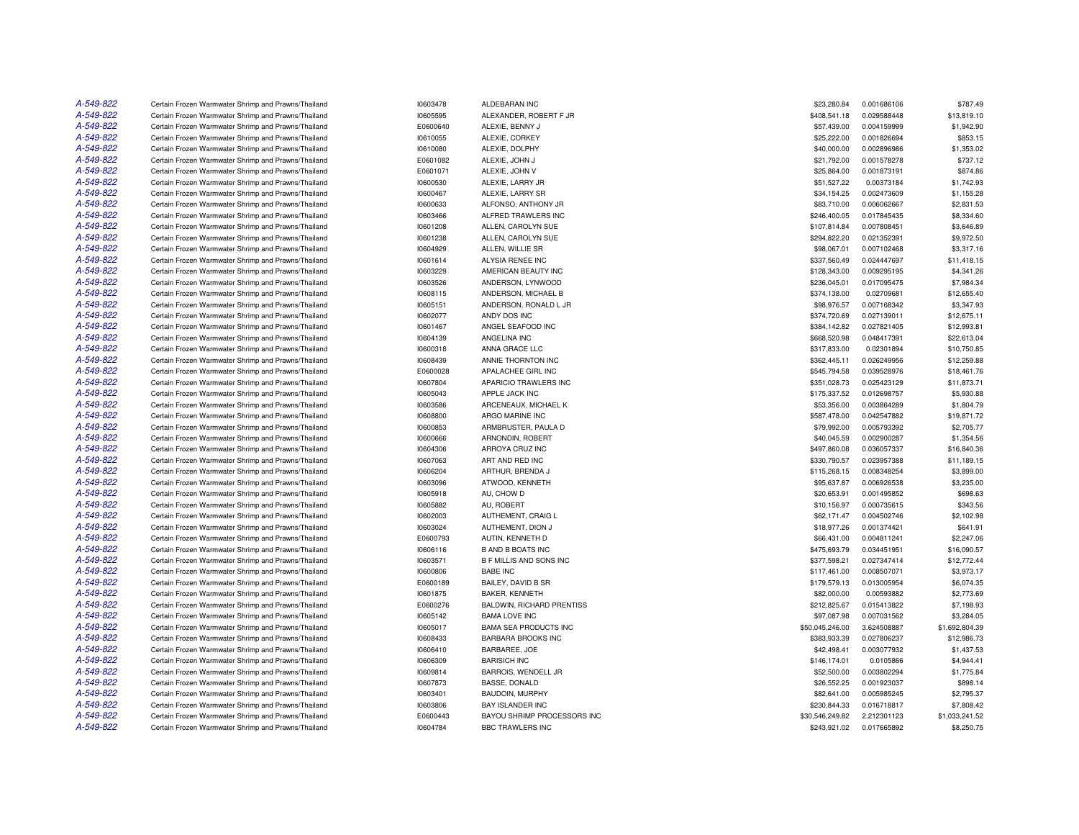| A-549-822 | Certain Frozen Warmwater Shrimp and Prawns/Thailand                                                        | 10603478             | ALDEBARAN INC                       | \$23,280.84                 | 0.001686106                | \$787.49                 |
|-----------|------------------------------------------------------------------------------------------------------------|----------------------|-------------------------------------|-----------------------------|----------------------------|--------------------------|
| A-549-822 | Certain Frozen Warmwater Shrimp and Prawns/Thailand                                                        | 10605595             | ALEXANDER, ROBERT F JR              | \$408,541.18                | 0.029588448                | \$13,819.10              |
| A-549-822 | Certain Frozen Warmwater Shrimp and Prawns/Thailand                                                        | E0600640             | ALEXIE, BENNY J                     | \$57,439.00                 | 0.004159999                | \$1,942.90               |
| A-549-822 | Certain Frozen Warmwater Shrimp and Prawns/Thailand                                                        | 10610055             | ALEXIE, CORKEY                      | \$25,222.00                 | 0.001826694                | \$853.15                 |
| A-549-822 | Certain Frozen Warmwater Shrimp and Prawns/Thailand                                                        | 10610080             | ALEXIE, DOLPHY                      | \$40,000.00                 | 0.002896986                | \$1,353.02               |
| A-549-822 | Certain Frozen Warmwater Shrimp and Prawns/Thailand                                                        | E0601082             | ALEXIE, JOHN J                      | \$21,792.00                 | 0.001578278                | \$737.12                 |
| A-549-822 | Certain Frozen Warmwater Shrimp and Prawns/Thailand                                                        | E0601071             | ALEXIE, JOHN V                      | \$25,864.00                 | 0.001873191                | \$874.86                 |
| A-549-822 | Certain Frozen Warmwater Shrimp and Prawns/Thailand                                                        | 10600530             | ALEXIE, LARRY JR                    | \$51,527.22                 | 0.00373184                 | \$1,742.93               |
| A-549-822 | Certain Frozen Warmwater Shrimp and Prawns/Thailand                                                        | 10600467             | ALEXIE. LARRY SR                    | \$34,154.25                 | 0.002473609                | \$1,155.28               |
| A-549-822 | Certain Frozen Warmwater Shrimp and Prawns/Thailand                                                        | 10600633             | ALFONSO, ANTHONY JR                 | \$83,710.00                 | 0.006062667                | \$2,831.53               |
| A-549-822 | Certain Frozen Warmwater Shrimp and Prawns/Thailand                                                        | 10603466             | ALFRED TRAWLERS INC                 | \$246,400.05                | 0.017845435                | \$8,334.60               |
| A-549-822 | Certain Frozen Warmwater Shrimp and Prawns/Thailand                                                        | 10601208             | ALLEN, CAROLYN SUE                  | \$107,814.84                | 0.007808451                | \$3,646.89               |
| A-549-822 | Certain Frozen Warmwater Shrimp and Prawns/Thailand                                                        | 10601238             | ALLEN, CAROLYN SUE                  | \$294,822.20                | 0.021352391                | \$9,972.50               |
| A-549-822 | Certain Frozen Warmwater Shrimp and Prawns/Thailand                                                        | 10604929             | ALLEN, WILLIE SR                    | \$98,067.01                 | 0.007102468                | \$3,317.16               |
| A-549-822 | Certain Frozen Warmwater Shrimp and Prawns/Thailand                                                        | 10601614             | ALYSIA RENEE INC                    | \$337,560.49                | 0.024447697                | \$11,418.15              |
| A-549-822 | Certain Frozen Warmwater Shrimp and Prawns/Thailand                                                        | 10603229             | AMERICAN BEAUTY INC                 | \$128,343.00                | 0.009295195                | \$4,341.26               |
| A-549-822 | Certain Frozen Warmwater Shrimp and Prawns/Thailand                                                        | 10603526             | ANDERSON, LYNWOOD                   | \$236,045.01                | 0.017095475                | \$7,984.34               |
| A-549-822 | Certain Frozen Warmwater Shrimp and Prawns/Thailand                                                        | 10608115             | ANDERSON, MICHAEL B                 | \$374,138.00                | 0.02709681                 | \$12,655.40              |
| A-549-822 | Certain Frozen Warmwater Shrimp and Prawns/Thailand                                                        | 10605151             | ANDERSON, RONALD L JR               | \$98,976.57                 | 0.007168342                | \$3,347.93               |
| A-549-822 | Certain Frozen Warmwater Shrimp and Prawns/Thailand                                                        | 10602077             | ANDY DOS INC                        | \$374,720.69                | 0.027139011                | \$12,675.11              |
| A-549-822 | Certain Frozen Warmwater Shrimp and Prawns/Thailand                                                        | 10601467             | ANGEL SEAFOOD INC                   | \$384,142.82                | 0.027821405                | \$12,993.81              |
| A-549-822 | Certain Frozen Warmwater Shrimp and Prawns/Thailand                                                        | 10604139             | ANGELINA INC                        | \$668,520.98                | 0.048417391                | \$22,613.04              |
| A-549-822 | Certain Frozen Warmwater Shrimp and Prawns/Thailand                                                        | 10600318             | ANNA GRACE LLC                      | \$317,833.00                | 0.02301894                 | \$10,750.85              |
| A-549-822 | Certain Frozen Warmwater Shrimp and Prawns/Thailand                                                        | 10608439             | ANNIE THORNTON INC                  | \$362,445.11                | 0.026249956                | \$12,259.88              |
| A-549-822 | Certain Frozen Warmwater Shrimp and Prawns/Thailand                                                        | E0600028             | APALACHEE GIRL INC                  | \$545,794.58                | 0.039528976                | \$18,461.76              |
| A-549-822 | Certain Frozen Warmwater Shrimp and Prawns/Thailand                                                        | 10607804             | APARICIO TRAWLERS INC               | \$351,028.73                | 0.025423129                | \$11,873.71              |
| A-549-822 | Certain Frozen Warmwater Shrimp and Prawns/Thailand                                                        | 10605043             | APPLE JACK INC                      | \$175,337.52                | 0.012698757                | \$5,930.88               |
| A-549-822 | Certain Frozen Warmwater Shrimp and Prawns/Thailand                                                        | 10603586             | ARCENEAUX, MICHAEL K                | \$53,356.00                 | 0.003864289                | \$1,804.79               |
| A-549-822 | Certain Frozen Warmwater Shrimp and Prawns/Thailand                                                        | 10608800             | ARGO MARINE INC                     | \$587,478.00                | 0.042547882                | \$19,871.72              |
| A-549-822 | Certain Frozen Warmwater Shrimp and Prawns/Thailand                                                        | 10600853             | ARMBRUSTER, PAULA D                 | \$79,992.00                 | 0.005793392                | \$2,705.77               |
| A-549-822 | Certain Frozen Warmwater Shrimp and Prawns/Thailand                                                        | 10600666             | ARNONDIN, ROBERT                    | \$40,045.59                 | 0.002900287                | \$1,354.56               |
| A-549-822 |                                                                                                            |                      | ARROYA CRUZ INC                     |                             | 0.036057337                |                          |
| A-549-822 | Certain Frozen Warmwater Shrimp and Prawns/Thailand                                                        | 10604306             |                                     | \$497,860.08                |                            | \$16,840.36              |
| A-549-822 | Certain Frozen Warmwater Shrimp and Prawns/Thailand                                                        | 10607063             | ART AND RED INC                     | \$330,790.57                | 0.023957388                | \$11,189.15              |
| A-549-822 | Certain Frozen Warmwater Shrimp and Prawns/Thailand<br>Certain Frozen Warmwater Shrimp and Prawns/Thailand | 10606204<br>10603096 | ARTHUR, BRENDA J<br>ATWOOD, KENNETH | \$115,268.15<br>\$95,637.87 | 0.008348254<br>0.006926538 | \$3,899.00<br>\$3,235.00 |
| A-549-822 |                                                                                                            |                      |                                     |                             |                            |                          |
| A-549-822 | Certain Frozen Warmwater Shrimp and Prawns/Thailand                                                        | 10605918             | AU, CHOW D                          | \$20,653.91                 | 0.001495852                | \$698.63                 |
|           | Certain Frozen Warmwater Shrimp and Prawns/Thailand                                                        | 10605882             | AU, ROBERT                          | \$10,156.97                 | 0.000735615                | \$343.56                 |
| A-549-822 | Certain Frozen Warmwater Shrimp and Prawns/Thailand                                                        | 10602003             | AUTHEMENT, CRAIG L                  | \$62,171.47                 | 0.004502746                | \$2,102.98               |
| A-549-822 | Certain Frozen Warmwater Shrimp and Prawns/Thailand                                                        | 10603024             | AUTHEMENT, DION J                   | \$18,977.26                 | 0.001374421                | \$641.91                 |
| A-549-822 | Certain Frozen Warmwater Shrimp and Prawns/Thailand                                                        | E0600793             | AUTIN, KENNETH D                    | \$66,431.00                 | 0.004811241                | \$2,247.06               |
| A-549-822 | Certain Frozen Warmwater Shrimp and Prawns/Thailand                                                        | 10606116             | <b>B AND B BOATS INC</b>            | \$475,693.79                | 0.034451951                | \$16,090.57              |
| A-549-822 | Certain Frozen Warmwater Shrimp and Prawns/Thailand                                                        | 10603571             | <b>B F MILLIS AND SONS INC</b>      | \$377,598.21                | 0.027347414                | \$12,772.44              |
| A-549-822 | Certain Frozen Warmwater Shrimp and Prawns/Thailand                                                        | 10600806             | <b>BABE INC</b>                     | \$117,461.00                | 0.008507071                | \$3,973.17               |
| A-549-822 | Certain Frozen Warmwater Shrimp and Prawns/Thailand                                                        | E0600189             | BAILEY, DAVID B SR                  | \$179,579.13                | 0.013005954                | \$6,074.35               |
| A-549-822 | Certain Frozen Warmwater Shrimp and Prawns/Thailand                                                        | 10601875             | BAKER, KENNETH                      | \$82,000.00                 | 0.00593882                 | \$2,773.69               |
| A-549-822 | Certain Frozen Warmwater Shrimp and Prawns/Thailand                                                        | E0600276             | BALDWIN, RICHARD PRENTISS           | \$212,825.67                | 0.015413822                | \$7,198.93               |
| A-549-822 | Certain Frozen Warmwater Shrimp and Prawns/Thailand                                                        | 10605142             | <b>BAMA LOVE INC</b>                | \$97,087.98                 | 0.007031562                | \$3,284.05               |
| A-549-822 | Certain Frozen Warmwater Shrimp and Prawns/Thailand                                                        | 10605017             | <b>BAMA SEA PRODUCTS INC</b>        | \$50,045,246.00             | 3.624508887                | \$1,692,804.39           |
| A-549-822 | Certain Frozen Warmwater Shrimp and Prawns/Thailand                                                        | 10608433             | <b>BARBARA BROOKS INC</b>           | \$383,933.39                | 0.027806237                | \$12,986.73              |
| A-549-822 | Certain Frozen Warmwater Shrimp and Prawns/Thailand                                                        | 10606410             | BARBAREE, JOE                       | \$42,498.41                 | 0.003077932                | \$1,437.53               |
| A-549-822 | Certain Frozen Warmwater Shrimp and Prawns/Thailand                                                        | 10606309             | <b>BARISICH INC</b>                 | \$146.174.01                | 0.0105866                  | \$4,944.41               |
| A-549-822 | Certain Frozen Warmwater Shrimp and Prawns/Thailand                                                        | 10609814             | BARROIS, WENDELL JR                 | \$52,500.00                 | 0.003802294                | \$1,775.84               |
| A-549-822 | Certain Frozen Warmwater Shrimp and Prawns/Thailand                                                        | 10607873             | BASSE, DONALD                       | \$26,552.25                 | 0.001923037                | \$898.14                 |
| A-549-822 | Certain Frozen Warmwater Shrimp and Prawns/Thailand                                                        | 10603401             | BAUDOIN, MURPHY                     | \$82,641.00                 | 0.005985245                | \$2,795.37               |
| A-549-822 | Certain Frozen Warmwater Shrimp and Prawns/Thailand                                                        | 10603806             | <b>BAY ISLANDER INC</b>             | \$230,844.33                | 0.016718817                | \$7,808.42               |
| A-549-822 | Certain Frozen Warmwater Shrimp and Prawns/Thailand                                                        | E0600443             | BAYOU SHRIMP PROCESSORS INC         | \$30,546,249.82             | 2.212301123                | \$1,033,241.52           |
| A-549-822 | Certain Frozen Warmwater Shrimp and Prawns/Thailand                                                        | 10604784             | <b>BBC TRAWLERS INC</b>             | \$243,921.02                | 0.017665892                | \$8,250.75               |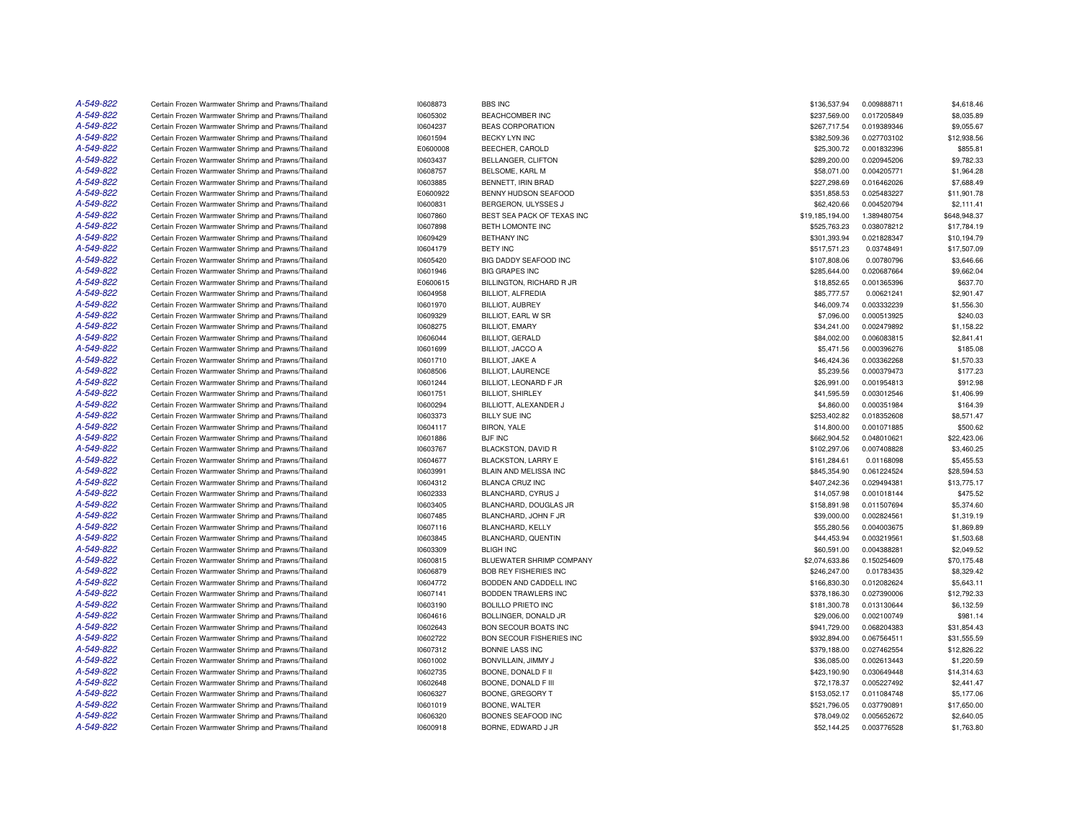| A-549-822 | Certain Frozen Warmwater Shrimp and Prawns/Thailand | 10608873 | <b>BBS INC</b>               | \$136,537.94    | 0.009888711 | \$4,618.46   |
|-----------|-----------------------------------------------------|----------|------------------------------|-----------------|-------------|--------------|
| A-549-822 | Certain Frozen Warmwater Shrimp and Prawns/Thailand | 10605302 | <b>BEACHCOMBER INC</b>       | \$237,569.00    | 0.017205849 | \$8,035.89   |
| A-549-822 | Certain Frozen Warmwater Shrimp and Prawns/Thailand | 10604237 | <b>BEAS CORPORATION</b>      | \$267,717.54    | 0.019389346 | \$9,055.67   |
| A-549-822 | Certain Frozen Warmwater Shrimp and Prawns/Thailand | 10601594 | <b>BECKY LYN INC</b>         | \$382,509.36    | 0.027703102 | \$12,938.56  |
| A-549-822 | Certain Frozen Warmwater Shrimp and Prawns/Thailand | E0600008 | BEECHER, CAROLD              | \$25,300.72     | 0.001832396 | \$855.81     |
| A-549-822 | Certain Frozen Warmwater Shrimp and Prawns/Thailand | 10603437 | BELLANGER, CLIFTON           | \$289,200.00    | 0.020945206 | \$9,782.33   |
| A-549-822 | Certain Frozen Warmwater Shrimp and Prawns/Thailand | 10608757 | BELSOME, KARL M              | \$58,071.00     | 0.004205771 | \$1,964.28   |
| A-549-822 | Certain Frozen Warmwater Shrimp and Prawns/Thailand | 10603885 | BENNETT, IRIN BRAD           | \$227,298.69    | 0.016462026 | \$7,688.49   |
| A-549-822 | Certain Frozen Warmwater Shrimp and Prawns/Thailand | E0600922 | BENNY HUDSON SEAFOOD         | \$351,858.53    | 0.025483227 | \$11,901.78  |
| A-549-822 | Certain Frozen Warmwater Shrimp and Prawns/Thailand | 10600831 | BERGERON, ULYSSES J          | \$62,420.66     | 0.004520794 | \$2.111.41   |
| A-549-822 | Certain Frozen Warmwater Shrimp and Prawns/Thailand | 10607860 | BEST SEA PACK OF TEXAS INC   | \$19,185,194.00 | 1.389480754 | \$648,948.37 |
| A-549-822 | Certain Frozen Warmwater Shrimp and Prawns/Thailand | 10607898 | BETH LOMONTE INC             | \$525,763.23    | 0.038078212 | \$17,784.19  |
| A-549-822 | Certain Frozen Warmwater Shrimp and Prawns/Thailand | 10609429 | <b>BETHANY INC</b>           | \$301,393.94    | 0.021828347 | \$10,194.79  |
| A-549-822 | Certain Frozen Warmwater Shrimp and Prawns/Thailand | 10604179 | <b>BETY INC</b>              | \$517,571.23    | 0.03748491  | \$17,507.09  |
| A-549-822 | Certain Frozen Warmwater Shrimp and Prawns/Thailand | 10605420 | BIG DADDY SEAFOOD INC        | \$107,808.06    | 0.00780796  | \$3,646.66   |
| A-549-822 | Certain Frozen Warmwater Shrimp and Prawns/Thailand | 10601946 | <b>BIG GRAPES INC</b>        | \$285,644.00    | 0.020687664 | \$9,662.04   |
| A-549-822 | Certain Frozen Warmwater Shrimp and Prawns/Thailand | E0600615 | BILLINGTON, RICHARD R JR     | \$18,852.65     | 0.001365396 | \$637.70     |
| A-549-822 | Certain Frozen Warmwater Shrimp and Prawns/Thailand | 10604958 | <b>BILLIOT, ALFREDIA</b>     | \$85,777.57     | 0.00621241  | \$2,901.47   |
| A-549-822 | Certain Frozen Warmwater Shrimp and Prawns/Thailand | 10601970 | <b>BILLIOT, AUBREY</b>       | \$46,009.74     | 0.003332239 | \$1,556.30   |
| A-549-822 | Certain Frozen Warmwater Shrimp and Prawns/Thailand | 10609329 | BILLIOT, EARL W SR           | \$7,096.00      | 0.000513925 | \$240.03     |
| A-549-822 | Certain Frozen Warmwater Shrimp and Prawns/Thailand | 10608275 | <b>BILLIOT, EMARY</b>        | \$34,241.00     | 0.002479892 | \$1,158.22   |
| A-549-822 | Certain Frozen Warmwater Shrimp and Prawns/Thailand | 10606044 | <b>BILLIOT, GERALD</b>       | \$84,002.00     | 0.006083815 | \$2,841.41   |
| A-549-822 | Certain Frozen Warmwater Shrimp and Prawns/Thailand | 10601699 | BILLIOT, JACCO A             | \$5,471.56      | 0.000396276 | \$185.08     |
| A-549-822 | Certain Frozen Warmwater Shrimp and Prawns/Thailand | 10601710 | <b>BILLIOT, JAKE A</b>       | \$46,424.36     | 0.003362268 | \$1,570.33   |
| A-549-822 | Certain Frozen Warmwater Shrimp and Prawns/Thailand | 10608506 | <b>BILLIOT, LAURENCE</b>     | \$5,239.56      | 0.000379473 | \$177.23     |
| A-549-822 | Certain Frozen Warmwater Shrimp and Prawns/Thailand | 10601244 | BILLIOT, LEONARD F JR        | \$26,991.00     | 0.001954813 | \$912.98     |
| A-549-822 | Certain Frozen Warmwater Shrimp and Prawns/Thailand | 10601751 | <b>BILLIOT, SHIRLEY</b>      | \$41,595.59     | 0.003012546 | \$1,406.99   |
| A-549-822 | Certain Frozen Warmwater Shrimp and Prawns/Thailand | 10600294 | BILLIOTT, ALEXANDER J        | \$4,860.00      | 0.000351984 | \$164.39     |
| A-549-822 | Certain Frozen Warmwater Shrimp and Prawns/Thailand | 10603373 | <b>BILLY SUE INC</b>         | \$253,402.82    | 0.018352608 | \$8,571.47   |
| A-549-822 | Certain Frozen Warmwater Shrimp and Prawns/Thailand | 10604117 | <b>BIRON, YALE</b>           | \$14,800.00     | 0.001071885 | \$500.62     |
| A-549-822 | Certain Frozen Warmwater Shrimp and Prawns/Thailand | 10601886 | <b>BJF INC</b>               | \$662,904.52    | 0.048010621 | \$22,423.06  |
| A-549-822 | Certain Frozen Warmwater Shrimp and Prawns/Thailand | 10603767 | BLACKSTON, DAVID R           | \$102,297.06    | 0.007408828 | \$3,460.25   |
| A-549-822 | Certain Frozen Warmwater Shrimp and Prawns/Thailand | 10604677 | <b>BLACKSTON, LARRY E</b>    | \$161,284.61    | 0.01168098  | \$5,455.53   |
| A-549-822 | Certain Frozen Warmwater Shrimp and Prawns/Thailand | 10603991 | BLAIN AND MELISSA INC        | \$845,354.90    | 0.061224524 | \$28,594.53  |
| A-549-822 | Certain Frozen Warmwater Shrimp and Prawns/Thailand | 10604312 | <b>BLANCA CRUZ INC</b>       | \$407.242.36    | 0.029494381 | \$13,775.17  |
| A-549-822 | Certain Frozen Warmwater Shrimp and Prawns/Thailand | 10602333 | BLANCHARD, CYRUS J           | \$14,057.98     | 0.001018144 | \$475.52     |
| A-549-822 | Certain Frozen Warmwater Shrimp and Prawns/Thailand | 10603405 | BLANCHARD, DOUGLAS JR        | \$158,891.98    | 0.011507694 | \$5,374.60   |
| A-549-822 | Certain Frozen Warmwater Shrimp and Prawns/Thailand | 10607485 | BLANCHARD, JOHN F JR         | \$39,000.00     | 0.002824561 | \$1,319.19   |
| A-549-822 | Certain Frozen Warmwater Shrimp and Prawns/Thailand | 10607116 | BLANCHARD, KELLY             | \$55,280.56     | 0.004003675 | \$1,869.89   |
| A-549-822 | Certain Frozen Warmwater Shrimp and Prawns/Thailand | 10603845 | BLANCHARD, QUENTIN           | \$44,453.94     | 0.003219561 | \$1,503.68   |
| A-549-822 | Certain Frozen Warmwater Shrimp and Prawns/Thailand | 10603309 | <b>BLIGH INC</b>             | \$60,591.00     | 0.004388281 | \$2,049.52   |
| A-549-822 | Certain Frozen Warmwater Shrimp and Prawns/Thailand | 10600815 | BLUEWATER SHRIMP COMPANY     | \$2,074,633.86  | 0.150254609 | \$70,175.48  |
| A-549-822 | Certain Frozen Warmwater Shrimp and Prawns/Thailand | 10606879 | <b>BOB REY FISHERIES INC</b> | \$246,247.00    | 0.01783435  | \$8,329.42   |
| A-549-822 | Certain Frozen Warmwater Shrimp and Prawns/Thailand | 10604772 | BODDEN AND CADDELL INC       | \$166,830.30    | 0.012082624 | \$5,643.11   |
| A-549-822 | Certain Frozen Warmwater Shrimp and Prawns/Thailand | 10607141 | BODDEN TRAWLERS INC          | \$378,186.30    | 0.027390006 | \$12,792.33  |
| A-549-822 | Certain Frozen Warmwater Shrimp and Prawns/Thailand | 10603190 | <b>BOLILLO PRIETO INC</b>    | \$181,300.78    | 0.013130644 | \$6,132.59   |
| A-549-822 | Certain Frozen Warmwater Shrimp and Prawns/Thailand | 10604616 | BOLLINGER, DONALD JR         | \$29,006.00     | 0.002100749 | \$981.14     |
| A-549-822 | Certain Frozen Warmwater Shrimp and Prawns/Thailand | 10602643 | <b>BON SECOUR BOATS INC</b>  | \$941,729.00    | 0.068204383 | \$31,854.43  |
| A-549-822 | Certain Frozen Warmwater Shrimp and Prawns/Thailand | 10602722 | BON SECOUR FISHERIES INC     | \$932,894.00    | 0.067564511 | \$31,555.59  |
| A-549-822 | Certain Frozen Warmwater Shrimp and Prawns/Thailand | 10607312 | BONNIE LASS INC              | \$379,188.00    | 0.027462554 | \$12,826.22  |
| A-549-822 | Certain Frozen Warmwater Shrimp and Prawns/Thailand | 10601002 | BONVILLAIN, JIMMY J          | \$36,085.00     | 0.002613443 | \$1,220.59   |
| A-549-822 | Certain Frozen Warmwater Shrimp and Prawns/Thailand | 10602735 | BOONE, DONALD F II           | \$423,190.90    | 0.030649448 | \$14,314.63  |
| A-549-822 | Certain Frozen Warmwater Shrimp and Prawns/Thailand | 10602648 | BOONE, DONALD F III          | \$72,178.37     | 0.005227492 | \$2,441.47   |
| A-549-822 | Certain Frozen Warmwater Shrimp and Prawns/Thailand | 10606327 | BOONE, GREGORY T             | \$153,052.17    | 0.011084748 | \$5,177.06   |
| A-549-822 | Certain Frozen Warmwater Shrimp and Prawns/Thailand | 10601019 | BOONE, WALTER                | \$521,796.05    | 0.037790891 | \$17,650.00  |
| A-549-822 | Certain Frozen Warmwater Shrimp and Prawns/Thailand | 10606320 | BOONES SEAFOOD INC           | \$78,049.02     | 0.005652672 | \$2,640.05   |
| A-549-822 | Certain Frozen Warmwater Shrimp and Prawns/Thailand | 10600918 | BORNE, EDWARD J JR           | \$52,144.25     | 0.003776528 | \$1,763.80   |
|           |                                                     |          |                              |                 |             |              |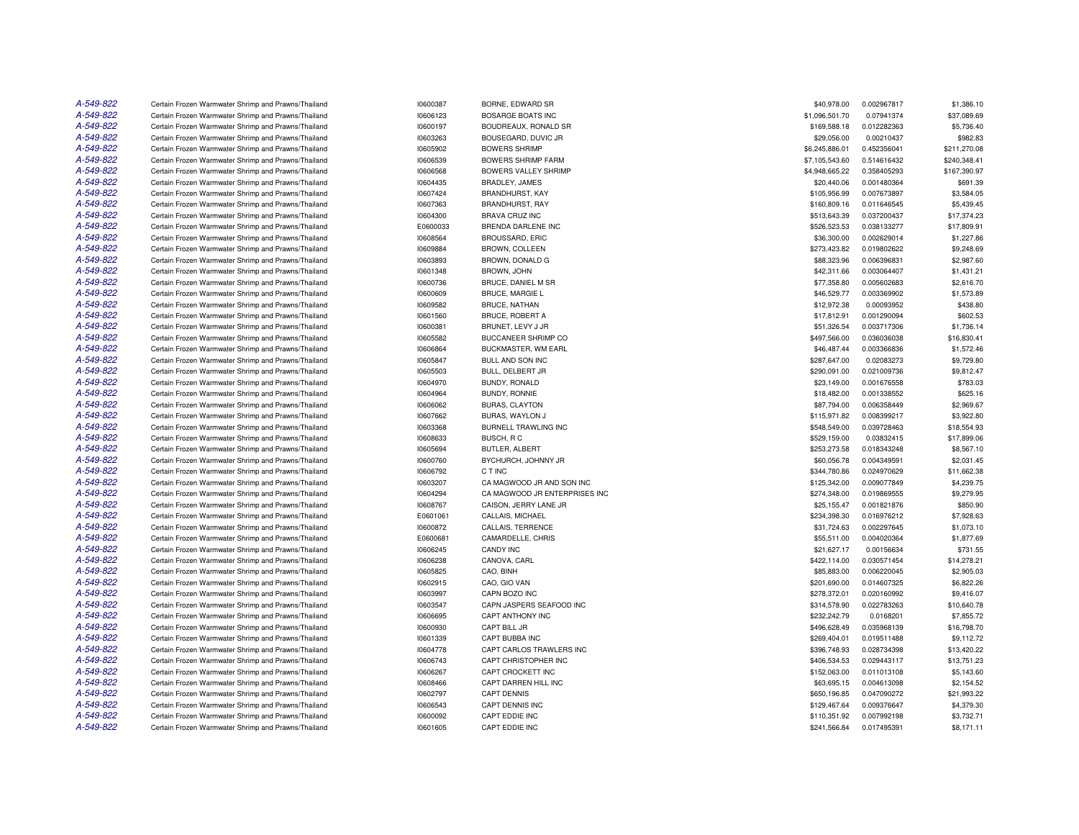| A-549-822 | Certain Frozen Warmwater Shrimp and Prawns/Thailand                                                        | 10600387 | BORNE, EDWARD SR                          | \$40,978.00    | 0.002967817 | \$1,386.10   |
|-----------|------------------------------------------------------------------------------------------------------------|----------|-------------------------------------------|----------------|-------------|--------------|
| A-549-822 | Certain Frozen Warmwater Shrimp and Prawns/Thailand                                                        | 10606123 | <b>BOSARGE BOATS INC</b>                  | \$1,096,501.70 | 0.07941374  | \$37,089.69  |
| A-549-822 | Certain Frozen Warmwater Shrimp and Prawns/Thailand                                                        | 10600197 | BOUDREAUX, RONALD SR                      | \$169,588.18   | 0.012282363 | \$5,736.40   |
| A-549-822 | Certain Frozen Warmwater Shrimp and Prawns/Thailand                                                        | 10603263 | BOUSEGARD, DUVIC JR                       | \$29,056.00    | 0.00210437  | \$982.83     |
| A-549-822 | Certain Frozen Warmwater Shrimp and Prawns/Thailand                                                        | 10605902 | <b>BOWERS SHRIMP</b>                      | \$6,245,886.01 | 0.452356041 | \$211,270.08 |
| A-549-822 | Certain Frozen Warmwater Shrimp and Prawns/Thailand                                                        | 10606539 | <b>BOWERS SHRIMP FARM</b>                 | \$7,105,543.60 | 0.514616432 | \$240,348.41 |
| A-549-822 | Certain Frozen Warmwater Shrimp and Prawns/Thailand                                                        | 10606568 | BOWERS VALLEY SHRIMP                      | \$4,948,665.22 | 0.358405293 | \$167,390.97 |
| A-549-822 | Certain Frozen Warmwater Shrimp and Prawns/Thailand                                                        | 10604435 | BRADLEY, JAMES                            | \$20,440.06    | 0.001480364 | \$691.39     |
| A-549-822 | Certain Frozen Warmwater Shrimp and Prawns/Thailand                                                        | 10607424 | BRANDHURST, KAY                           | \$105,956.99   | 0.007673897 | \$3,584.05   |
| A-549-822 | Certain Frozen Warmwater Shrimp and Prawns/Thailand                                                        | 10607363 | BRANDHURST, RAY                           | \$160,809.16   | 0.011646545 | \$5,439.45   |
| A-549-822 | Certain Frozen Warmwater Shrimp and Prawns/Thailand                                                        | 10604300 | <b>BRAVA CRUZ INC</b>                     | \$513,643.39   | 0.037200437 | \$17,374.23  |
| A-549-822 | Certain Frozen Warmwater Shrimp and Prawns/Thailand                                                        | E0600033 | <b>BRENDA DARLENE INC</b>                 | \$526,523.53   | 0.038133277 | \$17,809.91  |
| A-549-822 | Certain Frozen Warmwater Shrimp and Prawns/Thailand                                                        | 10608564 | <b>BROUSSARD, ERIC</b>                    | \$36,300.00    | 0.002629014 | \$1,227.86   |
| A-549-822 | Certain Frozen Warmwater Shrimp and Prawns/Thailand                                                        | 10609884 | <b>BROWN, COLLEEN</b>                     | \$273,423.82   | 0.019802622 | \$9,248.69   |
| A-549-822 | Certain Frozen Warmwater Shrimp and Prawns/Thailand                                                        | 10603893 | BROWN, DONALD G                           | \$88,323.96    | 0.006396831 | \$2,987.60   |
| A-549-822 | Certain Frozen Warmwater Shrimp and Prawns/Thailand                                                        | 10601348 | <b>BROWN, JOHN</b>                        | \$42,311.66    | 0.003064407 | \$1,431.21   |
| A-549-822 | Certain Frozen Warmwater Shrimp and Prawns/Thailand                                                        |          | <b>BRUCE, DANIEL M SR</b>                 | \$77,358.80    | 0.005602683 | \$2,616.70   |
| A-549-822 |                                                                                                            | 10600736 |                                           |                |             |              |
| A-549-822 | Certain Frozen Warmwater Shrimp and Prawns/Thailand                                                        | 10600609 | <b>BRUCE, MARGIE L</b>                    | \$46,529.77    | 0.003369902 | \$1,573.89   |
|           | Certain Frozen Warmwater Shrimp and Prawns/Thailand                                                        | 10609582 | <b>BRUCE, NATHAN</b>                      | \$12,972.38    | 0.00093952  | \$438.80     |
| A-549-822 | Certain Frozen Warmwater Shrimp and Prawns/Thailand                                                        | 10601560 | BRUCE, ROBERT A                           | \$17,812.91    | 0.001290094 | \$602.53     |
| A-549-822 | Certain Frozen Warmwater Shrimp and Prawns/Thailand                                                        | 10600381 | BRUNET, LEVY J JR                         | \$51,326.54    | 0.003717306 | \$1,736.14   |
| A-549-822 | Certain Frozen Warmwater Shrimp and Prawns/Thailand                                                        | 10605582 | BUCCANEER SHRIMP CO                       | \$497,566.00   | 0.036036038 | \$16,830.41  |
| A-549-822 | Certain Frozen Warmwater Shrimp and Prawns/Thailand                                                        | 10606864 | BUCKMASTER, WM EARL                       | \$46,487.44    | 0.003366836 | \$1,572.46   |
| A-549-822 | Certain Frozen Warmwater Shrimp and Prawns/Thailand                                                        | 10605847 | <b>BULL AND SON INC</b>                   | \$287.647.00   | 0.02083273  | \$9,729.80   |
| A-549-822 | Certain Frozen Warmwater Shrimp and Prawns/Thailand                                                        | 10605503 | BULL, DELBERT JR                          | \$290,091.00   | 0.021009736 | \$9,812.47   |
| A-549-822 | Certain Frozen Warmwater Shrimp and Prawns/Thailand                                                        | 10604970 | BUNDY, RONALD                             | \$23,149.00    | 0.001676558 | \$783.03     |
| A-549-822 | Certain Frozen Warmwater Shrimp and Prawns/Thailand                                                        | 10604964 | <b>BUNDY, RONNIE</b>                      | \$18,482.00    | 0.001338552 | \$625.16     |
| A-549-822 | Certain Frozen Warmwater Shrimp and Prawns/Thailand                                                        | 10606062 | <b>BURAS, CLAYTON</b>                     | \$87,794.00    | 0.006358449 | \$2,969.67   |
| A-549-822 | Certain Frozen Warmwater Shrimp and Prawns/Thailand                                                        | 10607662 | BURAS, WAYLON J                           | \$115,971.82   | 0.008399217 | \$3,922.80   |
| A-549-822 | Certain Frozen Warmwater Shrimp and Prawns/Thailand                                                        | 10603368 | BURNELL TRAWLING INC                      | \$548,549.00   | 0.039728463 | \$18,554.93  |
| A-549-822 | Certain Frozen Warmwater Shrimp and Prawns/Thailand                                                        | 10608633 | BUSCH, RC                                 | \$529,159.00   | 0.03832415  | \$17,899.06  |
| A-549-822 | Certain Frozen Warmwater Shrimp and Prawns/Thailand                                                        | 10605694 | BUTLER, ALBERT                            | \$253,273.58   | 0.018343248 | \$8,567.10   |
| A-549-822 | Certain Frozen Warmwater Shrimp and Prawns/Thailand                                                        | 10600760 | BYCHURCH, JOHNNY JR                       | \$60,056.78    | 0.004349591 | \$2,031.45   |
| A-549-822 | Certain Frozen Warmwater Shrimp and Prawns/Thailand                                                        | 10606792 | C T INC                                   | \$344,780.86   | 0.024970629 | \$11,662.38  |
| A-549-822 | Certain Frozen Warmwater Shrimp and Prawns/Thailand                                                        | 10603207 | CA MAGWOOD JR AND SON INC                 | \$125,342.00   | 0.009077849 | \$4,239.75   |
| A-549-822 | Certain Frozen Warmwater Shrimp and Prawns/Thailand                                                        | 10604294 | CA MAGWOOD JR ENTERPRISES INC             | \$274.348.00   | 0.019869555 | \$9,279.95   |
| A-549-822 | Certain Frozen Warmwater Shrimp and Prawns/Thailand                                                        | 10608767 | CAISON, JERRY LANE JR                     | \$25,155.47    | 0.001821876 | \$850.90     |
| A-549-822 | Certain Frozen Warmwater Shrimp and Prawns/Thailand                                                        | E0601061 | CALLAIS, MICHAEL                          | \$234,398.30   | 0.016976212 | \$7,928.63   |
| A-549-822 | Certain Frozen Warmwater Shrimp and Prawns/Thailand                                                        | 10600872 | CALLAIS, TERRENCE                         | \$31,724.63    | 0.002297645 | \$1,073.10   |
| A-549-822 | Certain Frozen Warmwater Shrimp and Prawns/Thailand                                                        | E0600681 | CAMARDELLE, CHRIS                         | \$55,511.00    | 0.004020364 | \$1,877.69   |
| A-549-822 | Certain Frozen Warmwater Shrimp and Prawns/Thailand                                                        | 10606245 | CANDY INC                                 | \$21,627.17    | 0.00156634  | \$731.55     |
| A-549-822 | Certain Frozen Warmwater Shrimp and Prawns/Thailand                                                        | 10606238 | CANOVA, CARL                              | \$422,114.00   | 0.030571454 | \$14,278.21  |
| A-549-822 | Certain Frozen Warmwater Shrimp and Prawns/Thailand                                                        | 10605825 | CAO, BINH                                 | \$85,883.00    | 0.006220045 | \$2,905.03   |
| A-549-822 | Certain Frozen Warmwater Shrimp and Prawns/Thailand                                                        | 10602915 | CAO, GIO VAN                              | \$201,690.00   | 0.014607325 | \$6,822.26   |
| A-549-822 | Certain Frozen Warmwater Shrimp and Prawns/Thailand                                                        | 10603997 | CAPN BOZO INC                             | \$278,372.01   | 0.020160992 | \$9,416.07   |
| A-549-822 | Certain Frozen Warmwater Shrimp and Prawns/Thailand                                                        | 10603547 | CAPN JASPERS SEAFOOD INC                  | \$314,578.90   | 0.022783263 | \$10,640.78  |
| A-549-822 | Certain Frozen Warmwater Shrimp and Prawns/Thailand                                                        | 10606695 | CAPT ANTHONY INC                          | \$232,242.79   | 0.0168201   | \$7,855.72   |
| A-549-822 | Certain Frozen Warmwater Shrimp and Prawns/Thailand                                                        | 10600930 | CAPT BILL JR                              | \$496,628.49   | 0.035968139 | \$16,798.70  |
| A-549-822 | Certain Frozen Warmwater Shrimp and Prawns/Thailand                                                        | 10601339 | CAPT BUBBA INC                            | \$269,404.01   | 0.019511488 | \$9,112.72   |
| A-549-822 | Certain Frozen Warmwater Shrimp and Prawns/Thailand                                                        | 10604778 | CAPT CARLOS TRAWLERS INC                  | \$396,748.93   | 0.028734398 | \$13,420.22  |
| A-549-822 |                                                                                                            |          |                                           |                |             |              |
| A-549-822 | Certain Frozen Warmwater Shrimp and Prawns/Thailand<br>Certain Frozen Warmwater Shrimp and Prawns/Thailand | 10606743 | CAPT CHRISTOPHER INC<br>CAPT CROCKETT INC | \$406,534.53   | 0.029443117 | \$13,751.23  |
|           |                                                                                                            | 10606267 |                                           | \$152,063.00   | 0.011013108 | \$5,143.60   |
| A-549-822 | Certain Frozen Warmwater Shrimp and Prawns/Thailand                                                        | 10608466 | CAPT DARREN HILL INC                      | \$63,695.15    | 0.004613098 | \$2,154.52   |
| A-549-822 | Certain Frozen Warmwater Shrimp and Prawns/Thailand                                                        | 10602797 | <b>CAPT DENNIS</b>                        | \$650,196.85   | 0.047090272 | \$21,993.22  |
| A-549-822 | Certain Frozen Warmwater Shrimp and Prawns/Thailand                                                        | 10606543 | CAPT DENNIS INC                           | \$129,467.64   | 0.009376647 | \$4,379.30   |
| A-549-822 | Certain Frozen Warmwater Shrimp and Prawns/Thailand                                                        | 10600092 | CAPT EDDIE INC                            | \$110.351.92   | 0.007992198 | \$3,732.71   |
| A-549-822 | Certain Frozen Warmwater Shrimp and Prawns/Thailand                                                        | 10601605 | CAPT EDDIE INC                            | \$241,566.84   | 0.017495391 | \$8,171.11   |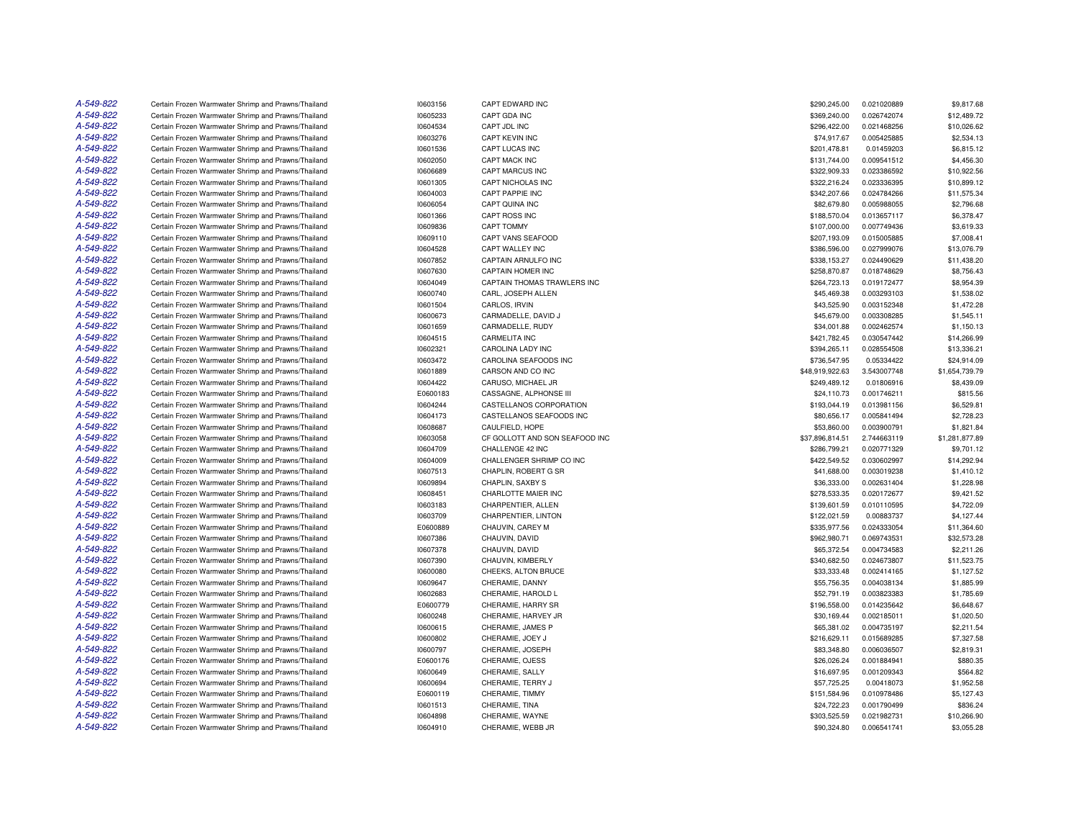| A-549-822 | Certain Frozen Warmwater Shrimp and Prawns/Thailand | 10603156 | CAPT EDWARD INC                | \$290,245.00    | 0.021020889 | \$9,817.68     |
|-----------|-----------------------------------------------------|----------|--------------------------------|-----------------|-------------|----------------|
| A-549-822 | Certain Frozen Warmwater Shrimp and Prawns/Thailand | 10605233 | CAPT GDA INC                   | \$369,240.00    | 0.026742074 | \$12,489.72    |
| A-549-822 | Certain Frozen Warmwater Shrimp and Prawns/Thailand | 10604534 | CAPT JDL INC                   | \$296,422.00    | 0.021468256 | \$10,026.62    |
| A-549-822 | Certain Frozen Warmwater Shrimp and Prawns/Thailand | 10603276 | CAPT KEVIN INC                 | \$74,917.67     | 0.005425885 | \$2,534.13     |
| A-549-822 | Certain Frozen Warmwater Shrimp and Prawns/Thailand | 10601536 | CAPT LUCAS INC                 | \$201,478.81    | 0.01459203  | \$6,815.12     |
| A-549-822 | Certain Frozen Warmwater Shrimp and Prawns/Thailand | 10602050 | CAPT MACK INC                  | \$131,744.00    | 0.009541512 | \$4,456.30     |
| A-549-822 | Certain Frozen Warmwater Shrimp and Prawns/Thailand | 10606689 | CAPT MARCUS INC                | \$322,909.33    | 0.023386592 | \$10,922.56    |
| A-549-822 | Certain Frozen Warmwater Shrimp and Prawns/Thailand | 10601305 | <b>CAPT NICHOLAS INC</b>       | \$322,216.24    | 0.023336395 | \$10,899.12    |
| A-549-822 | Certain Frozen Warmwater Shrimp and Prawns/Thailand | 10604003 | CAPT PAPPIE INC                | \$342,207.66    | 0.024784266 | \$11,575.34    |
| A-549-822 | Certain Frozen Warmwater Shrimp and Prawns/Thailand | 10606054 | CAPT QUINA INC                 | \$82,679.80     | 0.005988055 | \$2,796.68     |
| A-549-822 | Certain Frozen Warmwater Shrimp and Prawns/Thailand | 10601366 | CAPT ROSS INC                  | \$188,570.04    | 0.013657117 | \$6,378.47     |
| A-549-822 | Certain Frozen Warmwater Shrimp and Prawns/Thailand | 10609836 | <b>CAPT TOMMY</b>              | \$107,000.00    | 0.007749436 | \$3,619.33     |
| A-549-822 | Certain Frozen Warmwater Shrimp and Prawns/Thailand | 10609110 | CAPT VANS SEAFOOD              | \$207,193.09    | 0.015005885 | \$7,008.41     |
| A-549-822 | Certain Frozen Warmwater Shrimp and Prawns/Thailand | 10604528 | CAPT WALLEY INC                | \$386,596.00    | 0.027999076 | \$13,076.79    |
| A-549-822 | Certain Frozen Warmwater Shrimp and Prawns/Thailand | 10607852 | CAPTAIN ARNULFO INC            | \$338,153.27    | 0.024490629 | \$11,438.20    |
| A-549-822 | Certain Frozen Warmwater Shrimp and Prawns/Thailand | 10607630 | CAPTAIN HOMER INC              | \$258,870.87    | 0.018748629 | \$8,756.43     |
| A-549-822 | Certain Frozen Warmwater Shrimp and Prawns/Thailand | 10604049 | CAPTAIN THOMAS TRAWLERS INC    | \$264,723.13    | 0.019172477 | \$8,954.39     |
| A-549-822 | Certain Frozen Warmwater Shrimp and Prawns/Thailand | 10600740 | CARL, JOSEPH ALLEN             | \$45,469.38     | 0.003293103 | \$1,538.02     |
| A-549-822 | Certain Frozen Warmwater Shrimp and Prawns/Thailand | 10601504 | CARLOS, IRVIN                  | \$43,525.90     | 0.003152348 | \$1,472.28     |
| A-549-822 | Certain Frozen Warmwater Shrimp and Prawns/Thailand | 10600673 | CARMADELLE, DAVID J            | \$45,679.00     | 0.003308285 | \$1,545.11     |
| A-549-822 | Certain Frozen Warmwater Shrimp and Prawns/Thailand |          | CARMADELLE, RUDY               | \$34,001.88     |             |                |
| A-549-822 |                                                     | 10601659 | <b>CARMELITA INC</b>           |                 | 0.002462574 | \$1,150.13     |
| A-549-822 | Certain Frozen Warmwater Shrimp and Prawns/Thailand | 10604515 |                                | \$421,782.45    | 0.030547442 | \$14,266.99    |
| A-549-822 | Certain Frozen Warmwater Shrimp and Prawns/Thailand | 10602321 | CAROLINA LADY INC              | \$394,265.11    | 0.028554508 | \$13,336.21    |
|           | Certain Frozen Warmwater Shrimp and Prawns/Thailand | 10603472 | CAROLINA SEAFOODS INC          | \$736,547.95    | 0.05334422  | \$24,914.09    |
| A-549-822 | Certain Frozen Warmwater Shrimp and Prawns/Thailand | 10601889 | CARSON AND CO INC              | \$48,919,922.63 | 3.543007748 | \$1,654,739.79 |
| A-549-822 | Certain Frozen Warmwater Shrimp and Prawns/Thailand | 10604422 | CARUSO, MICHAEL JR             | \$249,489.12    | 0.01806916  | \$8,439.09     |
| A-549-822 | Certain Frozen Warmwater Shrimp and Prawns/Thailand | E0600183 | CASSAGNE, ALPHONSE III         | \$24,110.73     | 0.001746211 | \$815.56       |
| A-549-822 | Certain Frozen Warmwater Shrimp and Prawns/Thailand | 10604244 | CASTELLANOS CORPORATION        | \$193,044.19    | 0.013981156 | \$6,529.81     |
| A-549-822 | Certain Frozen Warmwater Shrimp and Prawns/Thailand | 10604173 | CASTELLANOS SEAFOODS INC       | \$80,656.17     | 0.005841494 | \$2,728.23     |
| A-549-822 | Certain Frozen Warmwater Shrimp and Prawns/Thailand | 10608687 | CAULFIELD, HOPE                | \$53,860.00     | 0.003900791 | \$1,821.84     |
| A-549-822 | Certain Frozen Warmwater Shrimp and Prawns/Thailand | 10603058 | CF GOLLOTT AND SON SEAFOOD INC | \$37,896,814.51 | 2.744663119 | \$1,281,877.89 |
| A-549-822 | Certain Frozen Warmwater Shrimp and Prawns/Thailand | 10604709 | CHALLENGE 42 INC               | \$286,799.21    | 0.020771329 | \$9,701.12     |
| A-549-822 | Certain Frozen Warmwater Shrimp and Prawns/Thailand | 10604009 | CHALLENGER SHRIMP CO INC       | \$422,549.52    | 0.030602997 | \$14,292.94    |
| A-549-822 | Certain Frozen Warmwater Shrimp and Prawns/Thailand | 10607513 | CHAPLIN, ROBERT G SR           | \$41,688.00     | 0.003019238 | \$1,410.12     |
| A-549-822 | Certain Frozen Warmwater Shrimp and Prawns/Thailand | 10609894 | CHAPLIN, SAXBY S               | \$36,333.00     | 0.002631404 | \$1,228.98     |
| A-549-822 | Certain Frozen Warmwater Shrimp and Prawns/Thailand | 10608451 | CHARLOTTE MAIER INC            | \$278,533.35    | 0.020172677 | \$9,421.52     |
| A-549-822 | Certain Frozen Warmwater Shrimp and Prawns/Thailand | 10603183 | CHARPENTIER, ALLEN             | \$139,601.59    | 0.010110595 | \$4,722.09     |
| A-549-822 | Certain Frozen Warmwater Shrimp and Prawns/Thailand | 10603709 | CHARPENTIER, LINTON            | \$122.021.59    | 0.00883737  | \$4,127.44     |
| A-549-822 | Certain Frozen Warmwater Shrimp and Prawns/Thailand | E0600889 | CHAUVIN, CAREY M               | \$335,977.56    | 0.024333054 | \$11,364.60    |
| A-549-822 | Certain Frozen Warmwater Shrimp and Prawns/Thailand | 10607386 | CHAUVIN, DAVID                 | \$962,980.71    | 0.069743531 | \$32,573.28    |
| A-549-822 | Certain Frozen Warmwater Shrimp and Prawns/Thailand | 10607378 | CHAUVIN, DAVID                 | \$65,372.54     | 0.004734583 | \$2,211.26     |
| A-549-822 | Certain Frozen Warmwater Shrimp and Prawns/Thailand | 10607390 | CHAUVIN, KIMBERLY              | \$340,682.50    | 0.024673807 | \$11,523.75    |
| A-549-822 | Certain Frozen Warmwater Shrimp and Prawns/Thailand | 10600080 | CHEEKS, ALTON BRUCE            | \$33,333,48     | 0.002414165 | \$1,127.52     |
| A-549-822 | Certain Frozen Warmwater Shrimp and Prawns/Thailand | 10609647 | CHERAMIE, DANNY                | \$55,756.35     | 0.004038134 | \$1,885.99     |
| A-549-822 | Certain Frozen Warmwater Shrimp and Prawns/Thailand | 10602683 | CHERAMIE, HAROLD L             | \$52,791.19     | 0.003823383 | \$1,785.69     |
| A-549-822 | Certain Frozen Warmwater Shrimp and Prawns/Thailand | E0600779 | CHERAMIE, HARRY SR             | \$196,558.00    | 0.014235642 | \$6,648.67     |
| A-549-822 | Certain Frozen Warmwater Shrimp and Prawns/Thailand | 10600248 | CHERAMIE, HARVEY JR            | \$30,169.44     | 0.002185011 | \$1,020.50     |
| A-549-822 | Certain Frozen Warmwater Shrimp and Prawns/Thailand | 10600615 | CHERAMIE, JAMES P              | \$65,381.02     | 0.004735197 | \$2,211.54     |
| A-549-822 | Certain Frozen Warmwater Shrimp and Prawns/Thailand | 10600802 | CHERAMIE, JOEY J               | \$216,629.11    | 0.015689285 | \$7,327.58     |
| A-549-822 | Certain Frozen Warmwater Shrimp and Prawns/Thailand | 10600797 | CHERAMIE, JOSEPH               | \$83,348.80     | 0.006036507 | \$2,819.31     |
| A-549-822 | Certain Frozen Warmwater Shrimp and Prawns/Thailand | E0600176 | CHERAMIE, OJESS                | \$26,026.24     | 0.001884941 | \$880.35       |
| A-549-822 | Certain Frozen Warmwater Shrimp and Prawns/Thailand | 10600649 | CHERAMIE, SALLY                | \$16,697.95     | 0.001209343 | \$564.82       |
| A-549-822 | Certain Frozen Warmwater Shrimp and Prawns/Thailand | 10600694 | CHERAMIE, TERRY J              | \$57,725.25     | 0.00418073  | \$1,952.58     |
| A-549-822 | Certain Frozen Warmwater Shrimp and Prawns/Thailand | E0600119 | CHERAMIE, TIMMY                | \$151,584.96    | 0.010978486 | \$5,127.43     |
| A-549-822 | Certain Frozen Warmwater Shrimp and Prawns/Thailand | 10601513 | CHERAMIE, TINA                 | \$24,722.23     | 0.001790499 | \$836.24       |
| A-549-822 | Certain Frozen Warmwater Shrimp and Prawns/Thailand | 10604898 | CHERAMIE, WAYNE                | \$303.525.59    | 0.021982731 | \$10,266.90    |
| A-549-822 | Certain Frozen Warmwater Shrimp and Prawns/Thailand | 10604910 | CHERAMIE, WEBB JR              | \$90,324.80     | 0.006541741 | \$3,055.28     |
|           |                                                     |          |                                |                 |             |                |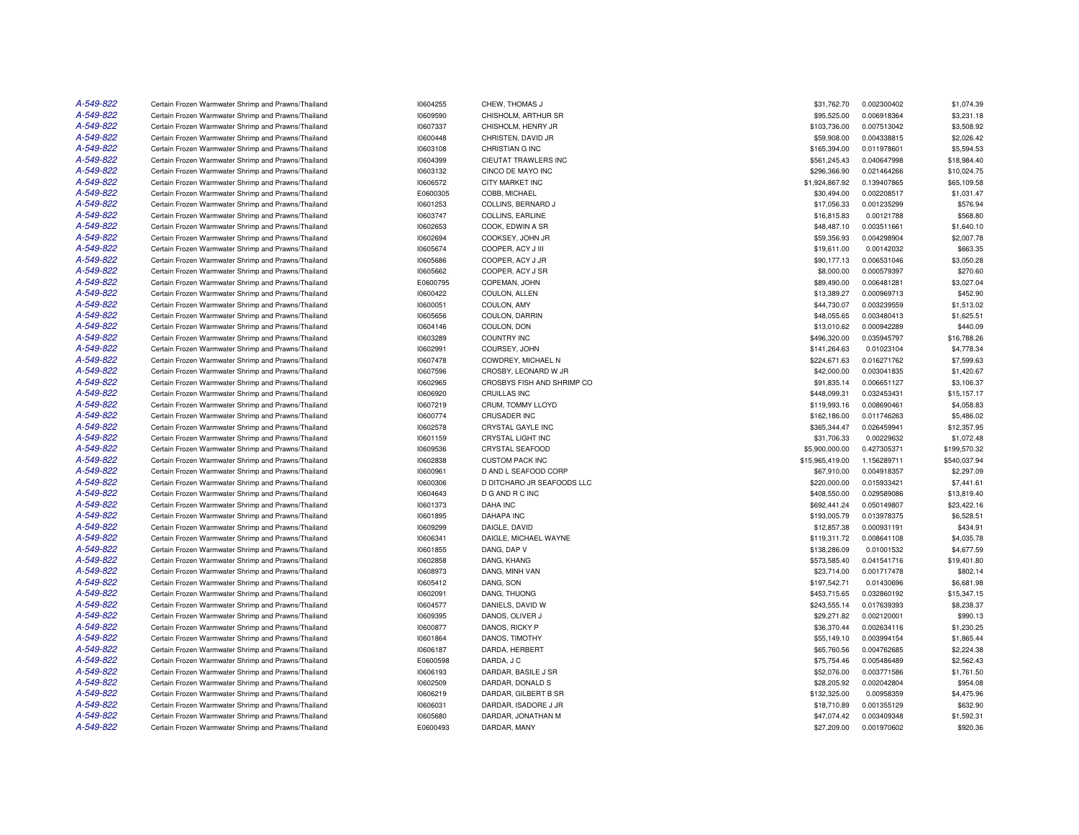| A-549-822 | Certain Frozen Warmwater Shrimp and Prawns/Thailand | 10604255             | CHEW, THOMAS J             | \$31,762.70     | 0.002300402 | \$1,074.39                |
|-----------|-----------------------------------------------------|----------------------|----------------------------|-----------------|-------------|---------------------------|
| A-549-822 | Certain Frozen Warmwater Shrimp and Prawns/Thailand | 10609590             | CHISHOLM, ARTHUR SR        | \$95,525.00     | 0.006918364 | \$3,231.18                |
| A-549-822 | Certain Frozen Warmwater Shrimp and Prawns/Thailand | 10607337             | CHISHOLM, HENRY JR         | \$103,736.00    | 0.007513042 | \$3,508.92                |
| A-549-822 | Certain Frozen Warmwater Shrimp and Prawns/Thailand | 10600448             | CHRISTEN, DAVID JR         | \$59,908.00     | 0.004338815 | \$2,026.42                |
| A-549-822 | Certain Frozen Warmwater Shrimp and Prawns/Thailand | 10603108             | CHRISTIAN G INC            | \$165,394.00    | 0.011978601 | \$5,594.53                |
| A-549-822 | Certain Frozen Warmwater Shrimp and Prawns/Thailand | 10604399             | CIEUTAT TRAWLERS INC       | \$561,245.43    | 0.040647998 | \$18,984.40               |
| A-549-822 | Certain Frozen Warmwater Shrimp and Prawns/Thailand | 10603132             | CINCO DE MAYO INC          | \$296,366.90    | 0.021464266 | \$10,024.75               |
| A-549-822 | Certain Frozen Warmwater Shrimp and Prawns/Thailand | 10606572             | <b>CITY MARKET INC</b>     | \$1,924,867.92  | 0.139407865 | \$65,109.58               |
| A-549-822 | Certain Frozen Warmwater Shrimp and Prawns/Thailand | E0600305             | COBB, MICHAEL              | \$30,494.00     | 0.002208517 | \$1,031.47                |
| A-549-822 | Certain Frozen Warmwater Shrimp and Prawns/Thailand | 10601253             | COLLINS, BERNARD J         | \$17,056.33     | 0.001235299 | \$576.94                  |
| A-549-822 | Certain Frozen Warmwater Shrimp and Prawns/Thailand | 10603747             | COLLINS, EARLINE           | \$16,815.83     | 0.00121788  | \$568.80                  |
| A-549-822 | Certain Frozen Warmwater Shrimp and Prawns/Thailand | 10602653             | COOK, EDWIN A SR           | \$48,487.10     | 0.003511661 | \$1,640.10                |
| A-549-822 | Certain Frozen Warmwater Shrimp and Prawns/Thailand | 10602694             | COOKSEY, JOHN JR           | \$59,356.93     | 0.004298904 | \$2,007.78                |
| A-549-822 | Certain Frozen Warmwater Shrimp and Prawns/Thailand | 10605674             | COOPER, ACY J III          | \$19,611.00     | 0.00142032  | \$663.35                  |
| A-549-822 | Certain Frozen Warmwater Shrimp and Prawns/Thailand | 10605686             | COOPER, ACY J JR           | \$90,177.13     | 0.006531046 | \$3,050.28                |
| A-549-822 | Certain Frozen Warmwater Shrimp and Prawns/Thailand | 10605662             | COOPER, ACY J SR           | \$8,000.00      | 0.000579397 | \$270.60                  |
| A-549-822 | Certain Frozen Warmwater Shrimp and Prawns/Thailand | E0600795             | COPEMAN, JOHN              | \$89,490.00     | 0.006481281 | \$3.027.04                |
| A-549-822 | Certain Frozen Warmwater Shrimp and Prawns/Thailand | 10600422             | COULON, ALLEN              | \$13,389.27     | 0.000969713 | \$452.90                  |
| A-549-822 | Certain Frozen Warmwater Shrimp and Prawns/Thailand | 10600051             | COULON, AMY                | \$44,730.07     | 0.003239559 | \$1,513.02                |
| A-549-822 | Certain Frozen Warmwater Shrimp and Prawns/Thailand | 10605656             | COULON, DARRIN             | \$48,055.65     | 0.003480413 | \$1,625.51                |
| A-549-822 | Certain Frozen Warmwater Shrimp and Prawns/Thailand | 10604146             | COULON, DON                | \$13,010.62     | 0.000942289 | \$440.09                  |
| A-549-822 | Certain Frozen Warmwater Shrimp and Prawns/Thailand |                      | <b>COUNTRY INC</b>         | \$496,320.00    | 0.035945797 |                           |
| A-549-822 | Certain Frozen Warmwater Shrimp and Prawns/Thailand | 10603289<br>10602991 | COURSEY, JOHN              | \$141,264.63    | 0.01023104  | \$16,788.26<br>\$4,778.34 |
| A-549-822 |                                                     |                      |                            |                 |             |                           |
| A-549-822 | Certain Frozen Warmwater Shrimp and Prawns/Thailand | 10607478             | COWDREY, MICHAEL N         | \$224,671.63    | 0.016271762 | \$7,599.63                |
| A-549-822 | Certain Frozen Warmwater Shrimp and Prawns/Thailand | 10607596             | CROSBY, LEONARD W JR       | \$42,000.00     | 0.003041835 | \$1,420.67                |
|           | Certain Frozen Warmwater Shrimp and Prawns/Thailand | 10602965             | CROSBYS FISH AND SHRIMP CO | \$91,835.14     | 0.006651127 | \$3,106.37                |
| A-549-822 | Certain Frozen Warmwater Shrimp and Prawns/Thailand | 10606920             | <b>CRUILLAS INC</b>        | \$448,099.31    | 0.032453431 | \$15,157.17               |
| A-549-822 | Certain Frozen Warmwater Shrimp and Prawns/Thailand | 10607219             | CRUM, TOMMY LLOYD          | \$119,993.16    | 0.008690461 | \$4,058.83                |
| A-549-822 | Certain Frozen Warmwater Shrimp and Prawns/Thailand | 10600774             | <b>CRUSADER INC</b>        | \$162,186.00    | 0.011746263 | \$5,486.02                |
| A-549-822 | Certain Frozen Warmwater Shrimp and Prawns/Thailand | 10602578             | <b>CRYSTAL GAYLE INC</b>   | \$365,344.47    | 0.026459941 | \$12,357.95               |
| A-549-822 | Certain Frozen Warmwater Shrimp and Prawns/Thailand | 10601159             | CRYSTAL LIGHT INC          | \$31,706.33     | 0.00229632  | \$1,072.48                |
| A-549-822 | Certain Frozen Warmwater Shrimp and Prawns/Thailand | 10609536             | CRYSTAL SEAFOOD            | \$5,900,000.00  | 0.427305371 | \$199,570.32              |
| A-549-822 | Certain Frozen Warmwater Shrimp and Prawns/Thailand | 10602838             | <b>CUSTOM PACK INC</b>     | \$15,965,419.00 | 1.156289711 | \$540,037.94              |
| A-549-822 | Certain Frozen Warmwater Shrimp and Prawns/Thailand | 10600961             | D AND L SEAFOOD CORP       | \$67,910.00     | 0.004918357 | \$2,297.09                |
| A-549-822 | Certain Frozen Warmwater Shrimp and Prawns/Thailand | 10600306             | D DITCHARO JR SEAFOODS LLC | \$220,000.00    | 0.015933421 | \$7,441.61                |
| A-549-822 | Certain Frozen Warmwater Shrimp and Prawns/Thailand | 10604643             | D G AND R C INC            | \$408,550.00    | 0.029589086 | \$13,819.40               |
| A-549-822 | Certain Frozen Warmwater Shrimp and Prawns/Thailand | 10601373             | <b>DAHA INC</b>            | \$692,441.24    | 0.050149807 | \$23,422.16               |
| A-549-822 | Certain Frozen Warmwater Shrimp and Prawns/Thailand | 10601895             | <b>DAHAPA INC</b>          | \$193,005.79    | 0.013978375 | \$6,528.51                |
| A-549-822 | Certain Frozen Warmwater Shrimp and Prawns/Thailand | 10609299             | DAIGLE, DAVID              | \$12,857.38     | 0.000931191 | \$434.91                  |
| A-549-822 | Certain Frozen Warmwater Shrimp and Prawns/Thailand | 10606341             | DAIGLE, MICHAEL WAYNE      | \$119,311.72    | 0.008641108 | \$4,035.78                |
| A-549-822 | Certain Frozen Warmwater Shrimp and Prawns/Thailand | 10601855             | DANG, DAP V                | \$138,286.09    | 0.01001532  | \$4,677.59                |
| A-549-822 | Certain Frozen Warmwater Shrimp and Prawns/Thailand | 10602858             | DANG, KHANG                | \$573,585.40    | 0.041541716 | \$19,401.80               |
| A-549-822 | Certain Frozen Warmwater Shrimp and Prawns/Thailand | 10608973             | DANG, MINH VAN             | \$23,714.00     | 0.001717478 | \$802.14                  |
| A-549-822 | Certain Frozen Warmwater Shrimp and Prawns/Thailand | 10605412             | DANG, SON                  | \$197,542.71    | 0.01430696  | \$6,681.98                |
| A-549-822 | Certain Frozen Warmwater Shrimp and Prawns/Thailand | 10602091             | DANG, THUONG               | \$453,715.65    | 0.032860192 | \$15,347.15               |
| A-549-822 | Certain Frozen Warmwater Shrimp and Prawns/Thailand | 10604577             | DANIELS, DAVID W           | \$243,555.14    | 0.017639393 | \$8,238.37                |
| A-549-822 | Certain Frozen Warmwater Shrimp and Prawns/Thailand | 10609395             | DANOS, OLIVER J            | \$29,271.82     | 0.002120001 | \$990.13                  |
| A-549-822 | Certain Frozen Warmwater Shrimp and Prawns/Thailand | 10600877             | DANOS, RICKY P             | \$36,370.44     | 0.002634116 | \$1,230.25                |
| A-549-822 | Certain Frozen Warmwater Shrimp and Prawns/Thailand | 10601864             | DANOS, TIMOTHY             | \$55,149.10     | 0.003994154 | \$1,865.44                |
| A-549-822 | Certain Frozen Warmwater Shrimp and Prawns/Thailand | 10606187             | DARDA, HERBERT             | \$65,760.56     | 0.004762685 | \$2,224.38                |
| A-549-822 | Certain Frozen Warmwater Shrimp and Prawns/Thailand | E0600598             | DARDA, J C                 | \$75,754.46     | 0.005486489 | \$2,562.43                |
| A-549-822 | Certain Frozen Warmwater Shrimp and Prawns/Thailand | 10606193             | DARDAR, BASILE J SR        | \$52,076.00     | 0.003771586 | \$1,761.50                |
| A-549-822 | Certain Frozen Warmwater Shrimp and Prawns/Thailand | 10602509             | DARDAR, DONALD S           | \$28,205.92     | 0.002042804 | \$954.08                  |
| A-549-822 | Certain Frozen Warmwater Shrimp and Prawns/Thailand | 10606219             | DARDAR, GILBERT B SR       | \$132,325.00    | 0.00958359  | \$4,475.96                |
| A-549-822 | Certain Frozen Warmwater Shrimp and Prawns/Thailand | 10606031             | DARDAR, ISADORE J JR       | \$18,710.89     | 0.001355129 | \$632.90                  |
| A-549-822 | Certain Frozen Warmwater Shrimp and Prawns/Thailand | 10605680             | DARDAR, JONATHAN M         | \$47.074.42     | 0.003409348 | \$1,592.31                |
| A-549-822 | Certain Frozen Warmwater Shrimp and Prawns/Thailand | E0600493             | DARDAR, MANY               | \$27,209.00     | 0.001970602 | \$920.36                  |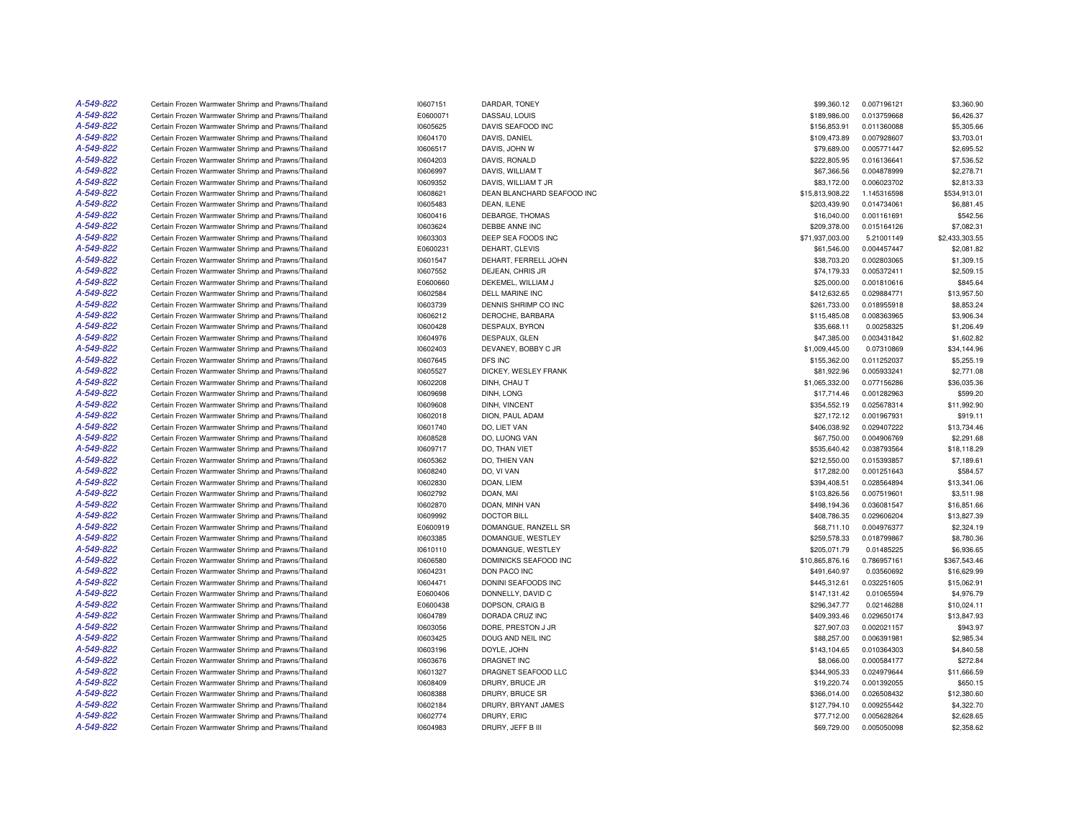| A-549-822 | Certain Frozen Warmwater Shrimp and Prawns/Thailand | 10607151 | DARDAR, TONEY              | \$99,360.12     | 0.007196121 | \$3,360.90     |
|-----------|-----------------------------------------------------|----------|----------------------------|-----------------|-------------|----------------|
| A-549-822 | Certain Frozen Warmwater Shrimp and Prawns/Thailand | E0600071 | DASSAU, LOUIS              | \$189,986.00    | 0.013759668 | \$6,426.37     |
| A-549-822 | Certain Frozen Warmwater Shrimp and Prawns/Thailand | 10605625 | DAVIS SEAFOOD INC          | \$156,853.91    | 0.011360088 | \$5,305.66     |
| A-549-822 | Certain Frozen Warmwater Shrimp and Prawns/Thailand | 10604170 | DAVIS, DANIEL              | \$109,473.89    | 0.007928607 | \$3,703.01     |
| A-549-822 | Certain Frozen Warmwater Shrimp and Prawns/Thailand | 10606517 | DAVIS, JOHN W              | \$79,689.00     | 0.005771447 | \$2,695.52     |
| A-549-822 | Certain Frozen Warmwater Shrimp and Prawns/Thailand | 10604203 | DAVIS, RONALD              | \$222,805.95    | 0.016136641 | \$7,536.52     |
| A-549-822 | Certain Frozen Warmwater Shrimp and Prawns/Thailand | 10606997 | DAVIS, WILLIAM T           | \$67,366.56     | 0.004878999 | \$2,278.71     |
| A-549-822 | Certain Frozen Warmwater Shrimp and Prawns/Thailand | 10609352 | DAVIS, WILLIAM T JR        | \$83,172.00     | 0.006023702 | \$2,813.33     |
| A-549-822 | Certain Frozen Warmwater Shrimp and Prawns/Thailand | 10608621 | DEAN BLANCHARD SEAFOOD INC | \$15,813,908.22 | 1.145316598 | \$534,913.01   |
| A-549-822 | Certain Frozen Warmwater Shrimp and Prawns/Thailand | 10605483 | DEAN, ILENE                | \$203,439.90    | 0.014734061 | \$6,881.45     |
| A-549-822 | Certain Frozen Warmwater Shrimp and Prawns/Thailand | 10600416 | DEBARGE, THOMAS            | \$16,040.00     | 0.001161691 | \$542.56       |
| A-549-822 | Certain Frozen Warmwater Shrimp and Prawns/Thailand | 10603624 | DEBBE ANNE INC             | \$209,378.00    | 0.015164126 | \$7,082.31     |
| A-549-822 | Certain Frozen Warmwater Shrimp and Prawns/Thailand | 10603303 | DEEP SEA FOODS INC         | \$71,937,003.00 | 5.21001149  | \$2,433,303.55 |
| A-549-822 | Certain Frozen Warmwater Shrimp and Prawns/Thailand | E0600231 | DEHART, CLEVIS             | \$61,546.00     | 0.004457447 | \$2,081.82     |
| A-549-822 | Certain Frozen Warmwater Shrimp and Prawns/Thailand | 10601547 | DEHART, FERRELL JOHN       | \$38,703.20     | 0.002803065 | \$1,309.15     |
| A-549-822 | Certain Frozen Warmwater Shrimp and Prawns/Thailand | 10607552 | DEJEAN, CHRIS JR           | \$74,179.33     | 0.005372411 | \$2,509.15     |
| A-549-822 | Certain Frozen Warmwater Shrimp and Prawns/Thailand | E0600660 | DEKEMEL, WILLIAM J         | \$25,000.00     | 0.001810616 | \$845.64       |
| A-549-822 | Certain Frozen Warmwater Shrimp and Prawns/Thailand | 10602584 | <b>DELL MARINE INC</b>     | \$412,632.65    | 0.029884771 | \$13,957.50    |
| A-549-822 | Certain Frozen Warmwater Shrimp and Prawns/Thailand | 10603739 | DENNIS SHRIMP CO INC       | \$261,733.00    | 0.018955918 | \$8,853.24     |
| A-549-822 | Certain Frozen Warmwater Shrimp and Prawns/Thailand | 10606212 | DEROCHE, BARBARA           | \$115,485.08    | 0.008363965 | \$3,906.34     |
| A-549-822 | Certain Frozen Warmwater Shrimp and Prawns/Thailand | 10600428 | DESPAUX, BYRON             | \$35,668.11     | 0.00258325  | \$1,206.49     |
| A-549-822 | Certain Frozen Warmwater Shrimp and Prawns/Thailand | 10604976 | DESPAUX, GLEN              | \$47,385.00     | 0.003431842 | \$1,602.82     |
| A-549-822 | Certain Frozen Warmwater Shrimp and Prawns/Thailand | 10602403 | DEVANEY, BOBBY C JR        | \$1,009,445.00  | 0.07310869  | \$34,144.96    |
| A-549-822 | Certain Frozen Warmwater Shrimp and Prawns/Thailand | 10607645 | DFS INC                    | \$155,362.00    | 0.011252037 | \$5,255.19     |
| A-549-822 | Certain Frozen Warmwater Shrimp and Prawns/Thailand | 10605527 | DICKEY, WESLEY FRANK       | \$81,922.96     | 0.005933241 | \$2,771.08     |
| A-549-822 | Certain Frozen Warmwater Shrimp and Prawns/Thailand | 10602208 | DINH, CHAU T               | \$1,065,332.00  | 0.077156286 | \$36,035.36    |
| A-549-822 | Certain Frozen Warmwater Shrimp and Prawns/Thailand | 10609698 | DINH, LONG                 | \$17,714.46     | 0.001282963 | \$599.20       |
| A-549-822 | Certain Frozen Warmwater Shrimp and Prawns/Thailand | 10609608 | DINH, VINCENT              | \$354,552.19    | 0.025678314 | \$11,992.90    |
| A-549-822 | Certain Frozen Warmwater Shrimp and Prawns/Thailand | 10602018 | DION, PAUL ADAM            | \$27,172.12     | 0.001967931 | \$919.11       |
| A-549-822 | Certain Frozen Warmwater Shrimp and Prawns/Thailand | 10601740 | DO, LIET VAN               | \$406,038.92    | 0.029407222 | \$13,734.46    |
| A-549-822 | Certain Frozen Warmwater Shrimp and Prawns/Thailand | 10608528 | DO, LUONG VAN              | \$67,750.00     | 0.004906769 | \$2,291.68     |
| A-549-822 | Certain Frozen Warmwater Shrimp and Prawns/Thailand | 10609717 | DO, THAN VIET              | \$535,640.42    | 0.038793564 | \$18,118.29    |
| A-549-822 | Certain Frozen Warmwater Shrimp and Prawns/Thailand | 10605362 | DO, THIEN VAN              | \$212,550.00    | 0.015393857 | \$7,189.61     |
| A-549-822 | Certain Frozen Warmwater Shrimp and Prawns/Thailand | 10608240 | DO, VI VAN                 | \$17,282.00     | 0.001251643 | \$584.57       |
| A-549-822 | Certain Frozen Warmwater Shrimp and Prawns/Thailand | 10602830 | DOAN, LIEM                 | \$394,408.51    | 0.028564894 | \$13,341.06    |
| A-549-822 | Certain Frozen Warmwater Shrimp and Prawns/Thailand | 10602792 | DOAN, MAI                  | \$103,826.56    | 0.007519601 | \$3,511.98     |
| A-549-822 | Certain Frozen Warmwater Shrimp and Prawns/Thailand | 10602870 | DOAN, MINH VAN             | \$498,194.36    | 0.036081547 | \$16,851.66    |
| A-549-822 | Certain Frozen Warmwater Shrimp and Prawns/Thailand | 10609992 | <b>DOCTOR BILL</b>         | \$408,786.35    | 0.029606204 | \$13,827.39    |
| A-549-822 | Certain Frozen Warmwater Shrimp and Prawns/Thailand | E0600919 | DOMANGUE, RANZELL SR       | \$68,711.10     | 0.004976377 | \$2,324.19     |
| A-549-822 | Certain Frozen Warmwater Shrimp and Prawns/Thailand | 10603385 | DOMANGUE, WESTLEY          | \$259,578.33    | 0.018799867 | \$8,780.36     |
| A-549-822 | Certain Frozen Warmwater Shrimp and Prawns/Thailand | 10610110 | DOMANGUE, WESTLEY          | \$205,071.79    | 0.01485225  | \$6,936.65     |
| A-549-822 | Certain Frozen Warmwater Shrimp and Prawns/Thailand | 10606580 | DOMINICKS SEAFOOD INC      | \$10,865,876.16 | 0.786957161 | \$367,543.46   |
| A-549-822 | Certain Frozen Warmwater Shrimp and Prawns/Thailand | 10604231 | DON PACO INC               | \$491.640.97    | 0.03560692  | \$16,629.99    |
| A-549-822 | Certain Frozen Warmwater Shrimp and Prawns/Thailand | 10604471 | DONINI SEAFOODS INC        | \$445,312.61    | 0.032251605 | \$15,062.91    |
| A-549-822 | Certain Frozen Warmwater Shrimp and Prawns/Thailand | E0600406 | DONNELLY, DAVID C          | \$147,131.42    | 0.01065594  | \$4,976.79     |
| A-549-822 | Certain Frozen Warmwater Shrimp and Prawns/Thailand | E0600438 | DOPSON, CRAIG B            | \$296,347.77    | 0.02146288  | \$10,024.11    |
| A-549-822 | Certain Frozen Warmwater Shrimp and Prawns/Thailand | 10604789 | DORADA CRUZ INC            | \$409,393.46    | 0.029650174 | \$13,847.93    |
| A-549-822 | Certain Frozen Warmwater Shrimp and Prawns/Thailand | 10603056 | DORE, PRESTON J JR         | \$27,907.03     | 0.002021157 | \$943.97       |
| A-549-822 | Certain Frozen Warmwater Shrimp and Prawns/Thailand | 10603425 | DOUG AND NEIL INC          | \$88,257.00     | 0.006391981 | \$2,985.34     |
| A-549-822 | Certain Frozen Warmwater Shrimp and Prawns/Thailand | 10603196 | DOYLE, JOHN                | \$143,104.65    | 0.010364303 | \$4,840.58     |
| A-549-822 | Certain Frozen Warmwater Shrimp and Prawns/Thailand | 10603676 | <b>DRAGNET INC</b>         | \$8,066.00      | 0.000584177 | \$272.84       |
| A-549-822 | Certain Frozen Warmwater Shrimp and Prawns/Thailand | 10601327 | DRAGNET SEAFOOD LLC        | \$344,905.33    | 0.024979644 | \$11,666.59    |
| A-549-822 | Certain Frozen Warmwater Shrimp and Prawns/Thailand | 10608409 | DRURY, BRUCE JR            | \$19,220.74     | 0.001392055 | \$650.15       |
| A-549-822 | Certain Frozen Warmwater Shrimp and Prawns/Thailand | 10608388 | DRURY, BRUCE SR            | \$366,014.00    | 0.026508432 | \$12,380.60    |
| A-549-822 | Certain Frozen Warmwater Shrimp and Prawns/Thailand | 10602184 | DRURY, BRYANT JAMES        | \$127,794.10    | 0.009255442 | \$4,322.70     |
| A-549-822 | Certain Frozen Warmwater Shrimp and Prawns/Thailand | 10602774 | DRURY, ERIC                | \$77,712.00     | 0.005628264 | \$2,628.65     |
| A-549-822 | Certain Frozen Warmwater Shrimp and Prawns/Thailand | 10604983 | DRURY, JEFF B III          | \$69,729.00     | 0.005050098 | \$2,358.62     |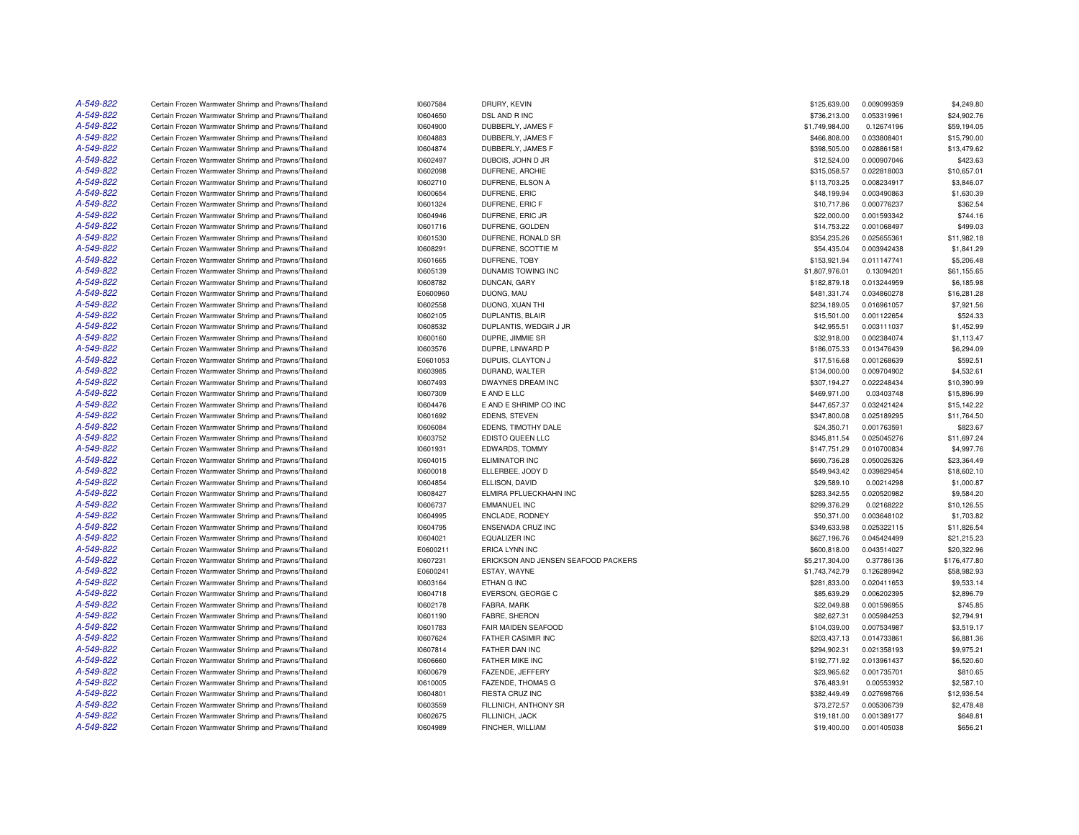| A-549-822 | Certain Frozen Warmwater Shrimp and Prawns/Thailand | 10607584 | DRURY, KEVIN                        | \$125,639.00   | 0.009099359 | \$4,249.80   |
|-----------|-----------------------------------------------------|----------|-------------------------------------|----------------|-------------|--------------|
| A-549-822 | Certain Frozen Warmwater Shrimp and Prawns/Thailand | 10604650 | DSL AND R INC                       | \$736,213.00   | 0.053319961 | \$24,902.76  |
| A-549-822 | Certain Frozen Warmwater Shrimp and Prawns/Thailand | 10604900 | DUBBERLY, JAMES F                   | \$1,749,984.00 | 0.12674196  | \$59,194.05  |
| A-549-822 | Certain Frozen Warmwater Shrimp and Prawns/Thailand | 10604883 | DUBBERLY, JAMES F                   | \$466,808.00   | 0.033808401 | \$15,790.00  |
| A-549-822 | Certain Frozen Warmwater Shrimp and Prawns/Thailand | 10604874 | DUBBERLY, JAMES F                   | \$398,505.00   | 0.028861581 | \$13,479.62  |
| A-549-822 | Certain Frozen Warmwater Shrimp and Prawns/Thailand | 10602497 | DUBOIS, JOHN D JR                   | \$12,524.00    | 0.000907046 | \$423.63     |
| A-549-822 | Certain Frozen Warmwater Shrimp and Prawns/Thailand | 10602098 | DUFRENE, ARCHIE                     | \$315,058.57   | 0.022818003 | \$10,657.01  |
| A-549-822 | Certain Frozen Warmwater Shrimp and Prawns/Thailand | 10602710 | DUFRENE, ELSON A                    | \$113,703.25   | 0.008234917 | \$3,846.07   |
| A-549-822 | Certain Frozen Warmwater Shrimp and Prawns/Thailand | 10600654 | DUFRENE, ERIC                       | \$48,199.94    | 0.003490863 | \$1,630.39   |
| A-549-822 | Certain Frozen Warmwater Shrimp and Prawns/Thailand | 10601324 | DUFRENE, ERIC F                     | \$10,717.86    | 0.000776237 | \$362.54     |
| A-549-822 | Certain Frozen Warmwater Shrimp and Prawns/Thailand | 10604946 | DUFRENE, ERIC JR                    | \$22,000.00    | 0.001593342 | \$744.16     |
| A-549-822 | Certain Frozen Warmwater Shrimp and Prawns/Thailand | 10601716 | DUFRENE, GOLDEN                     | \$14,753.22    | 0.001068497 | \$499.03     |
| A-549-822 | Certain Frozen Warmwater Shrimp and Prawns/Thailand | 10601530 | DUFRENE, RONALD SR                  | \$354,235.26   | 0.025655361 | \$11,982.18  |
| A-549-822 | Certain Frozen Warmwater Shrimp and Prawns/Thailand | 10608291 | DUFRENE, SCOTTIE M                  | \$54,435.04    | 0.003942438 | \$1,841.29   |
| A-549-822 | Certain Frozen Warmwater Shrimp and Prawns/Thailand | 10601665 | DUFRENE, TOBY                       | \$153,921.94   | 0.011147741 | \$5,206.48   |
| A-549-822 | Certain Frozen Warmwater Shrimp and Prawns/Thailand | 10605139 | DUNAMIS TOWING INC                  | \$1,807,976.01 | 0.13094201  | \$61,155.65  |
| A-549-822 | Certain Frozen Warmwater Shrimp and Prawns/Thailand | 10608782 | DUNCAN, GARY                        | \$182,879.18   | 0.013244959 | \$6,185.98   |
| A-549-822 | Certain Frozen Warmwater Shrimp and Prawns/Thailand | E0600960 | DUONG, MAU                          | \$481,331.74   | 0.034860278 | \$16,281.28  |
| A-549-822 | Certain Frozen Warmwater Shrimp and Prawns/Thailand | 10602558 | DUONG, XUAN THI                     | \$234,189.05   | 0.016961057 | \$7,921.56   |
| A-549-822 | Certain Frozen Warmwater Shrimp and Prawns/Thailand | 10602105 | DUPLANTIS, BLAIR                    | \$15,501.00    | 0.001122654 | \$524.33     |
| A-549-822 | Certain Frozen Warmwater Shrimp and Prawns/Thailand | 10608532 | DUPLANTIS, WEDGIR J JR              | \$42,955.51    | 0.003111037 | \$1,452.99   |
| A-549-822 |                                                     |          |                                     |                |             |              |
| A-549-822 | Certain Frozen Warmwater Shrimp and Prawns/Thailand | 10600160 | DUPRE, JIMMIE SR                    | \$32,918.00    | 0.002384074 | \$1,113.47   |
|           | Certain Frozen Warmwater Shrimp and Prawns/Thailand | 10603576 | DUPRE, LINWARD P                    | \$186,075.33   | 0.013476439 | \$6,294.09   |
| A-549-822 | Certain Frozen Warmwater Shrimp and Prawns/Thailand | E0601053 | DUPUIS, CLAYTON J                   | \$17,516.68    | 0.001268639 | \$592.51     |
| A-549-822 | Certain Frozen Warmwater Shrimp and Prawns/Thailand | 10603985 | DURAND, WALTER                      | \$134,000.00   | 0.009704902 | \$4,532.61   |
| A-549-822 | Certain Frozen Warmwater Shrimp and Prawns/Thailand | 10607493 | DWAYNES DREAM INC                   | \$307,194.27   | 0.022248434 | \$10,390.99  |
| A-549-822 | Certain Frozen Warmwater Shrimp and Prawns/Thailand | 10607309 | E AND E LLC                         | \$469,971.00   | 0.03403748  | \$15,896.99  |
| A-549-822 | Certain Frozen Warmwater Shrimp and Prawns/Thailand | 10604476 | E AND E SHRIMP CO INC               | \$447,657.37   | 0.032421424 | \$15,142.22  |
| A-549-822 | Certain Frozen Warmwater Shrimp and Prawns/Thailand | 10601692 | EDENS, STEVEN                       | \$347,800.08   | 0.025189295 | \$11,764.50  |
| A-549-822 | Certain Frozen Warmwater Shrimp and Prawns/Thailand | 10606084 | EDENS, TIMOTHY DALE                 | \$24,350.71    | 0.001763591 | \$823.67     |
| A-549-822 | Certain Frozen Warmwater Shrimp and Prawns/Thailand | 10603752 | EDISTO QUEEN LLC                    | \$345,811.54   | 0.025045276 | \$11,697.24  |
| A-549-822 | Certain Frozen Warmwater Shrimp and Prawns/Thailand | 10601931 | <b>EDWARDS, TOMMY</b>               | \$147,751.29   | 0.010700834 | \$4,997.76   |
| A-549-822 | Certain Frozen Warmwater Shrimp and Prawns/Thailand | 10604015 | <b>ELIMINATOR INC</b>               | \$690,736.28   | 0.050026326 | \$23,364.49  |
| A-549-822 | Certain Frozen Warmwater Shrimp and Prawns/Thailand | 10600018 | ELLERBEE, JODY D                    | \$549,943.42   | 0.039829454 | \$18,602.10  |
| A-549-822 | Certain Frozen Warmwater Shrimp and Prawns/Thailand | 10604854 | ELLISON, DAVID                      | \$29,589.10    | 0.00214298  | \$1,000.87   |
| A-549-822 | Certain Frozen Warmwater Shrimp and Prawns/Thailand | 10608427 | ELMIRA PFLUECKHAHN INC              | \$283,342.55   | 0.020520982 | \$9,584.20   |
| A-549-822 | Certain Frozen Warmwater Shrimp and Prawns/Thailand | 10606737 | <b>EMMANUEL INC</b>                 | \$299,376.29   | 0.02168222  | \$10,126.55  |
| A-549-822 | Certain Frozen Warmwater Shrimp and Prawns/Thailand | 10604995 | <b>ENCLADE, RODNEY</b>              | \$50,371.00    | 0.003648102 | \$1,703.82   |
| A-549-822 | Certain Frozen Warmwater Shrimp and Prawns/Thailand | 10604795 | ENSENADA CRUZ INC                   | \$349,633.98   | 0.025322115 | \$11,826.54  |
| A-549-822 | Certain Frozen Warmwater Shrimp and Prawns/Thailand | 10604021 | EQUALIZER INC                       | \$627,196.76   | 0.045424499 | \$21,215.23  |
| A-549-822 | Certain Frozen Warmwater Shrimp and Prawns/Thailand | E0600211 | ERICA LYNN INC                      | \$600,818.00   | 0.043514027 | \$20,322.96  |
| A-549-822 | Certain Frozen Warmwater Shrimp and Prawns/Thailand | 10607231 | ERICKSON AND JENSEN SEAFOOD PACKERS | \$5,217,304.00 | 0.37786136  | \$176,477.80 |
| A-549-822 | Certain Frozen Warmwater Shrimp and Prawns/Thailand | E0600241 | ESTAY, WAYNE                        | \$1,743,742.79 | 0.126289942 | \$58,982.93  |
| A-549-822 | Certain Frozen Warmwater Shrimp and Prawns/Thailand | 10603164 | ETHAN G INC                         | \$281,833.00   | 0.020411653 | \$9,533.14   |
| A-549-822 | Certain Frozen Warmwater Shrimp and Prawns/Thailand | 10604718 | EVERSON, GEORGE C                   | \$85,639.29    | 0.006202395 | \$2,896.79   |
| A-549-822 | Certain Frozen Warmwater Shrimp and Prawns/Thailand | 10602178 | FABRA, MARK                         | \$22,049.88    | 0.001596955 | \$745.85     |
| A-549-822 | Certain Frozen Warmwater Shrimp and Prawns/Thailand | 10601190 | <b>FABRE, SHERON</b>                | \$82,627.31    | 0.005984253 | \$2,794.91   |
| A-549-822 | Certain Frozen Warmwater Shrimp and Prawns/Thailand | 10601783 | FAIR MAIDEN SEAFOOD                 | \$104,039.00   | 0.007534987 | \$3,519.17   |
| A-549-822 | Certain Frozen Warmwater Shrimp and Prawns/Thailand | 10607624 | FATHER CASIMIR INC                  | \$203,437.13   | 0.014733861 | \$6,881.36   |
| A-549-822 | Certain Frozen Warmwater Shrimp and Prawns/Thailand | 10607814 | FATHER DAN INC                      | \$294,902.31   | 0.021358193 | \$9,975.21   |
| A-549-822 | Certain Frozen Warmwater Shrimp and Prawns/Thailand | 10606660 | FATHER MIKE INC                     | \$192,771.92   | 0.013961437 | \$6,520.60   |
| A-549-822 | Certain Frozen Warmwater Shrimp and Prawns/Thailand | 10600679 | FAZENDE, JEFFERY                    | \$23,965.62    | 0.001735701 | \$810.65     |
| A-549-822 | Certain Frozen Warmwater Shrimp and Prawns/Thailand | 10610005 | FAZENDE, THOMAS G                   | \$76,483.91    | 0.00553932  | \$2,587.10   |
| A-549-822 | Certain Frozen Warmwater Shrimp and Prawns/Thailand | 10604801 | FIESTA CRUZ INC                     | \$382,449.49   | 0.027698766 | \$12,936.54  |
| A-549-822 | Certain Frozen Warmwater Shrimp and Prawns/Thailand | 10603559 | FILLINICH, ANTHONY SR               | \$73,272.57    | 0.005306739 | \$2,478.48   |
| A-549-822 | Certain Frozen Warmwater Shrimp and Prawns/Thailand | 10602675 | FILLINICH, JACK                     | \$19,181.00    | 0.001389177 | \$648.81     |
| A-549-822 | Certain Frozen Warmwater Shrimp and Prawns/Thailand | 10604989 | FINCHER, WILLIAM                    | \$19,400.00    | 0.001405038 | \$656.21     |
|           |                                                     |          |                                     |                |             |              |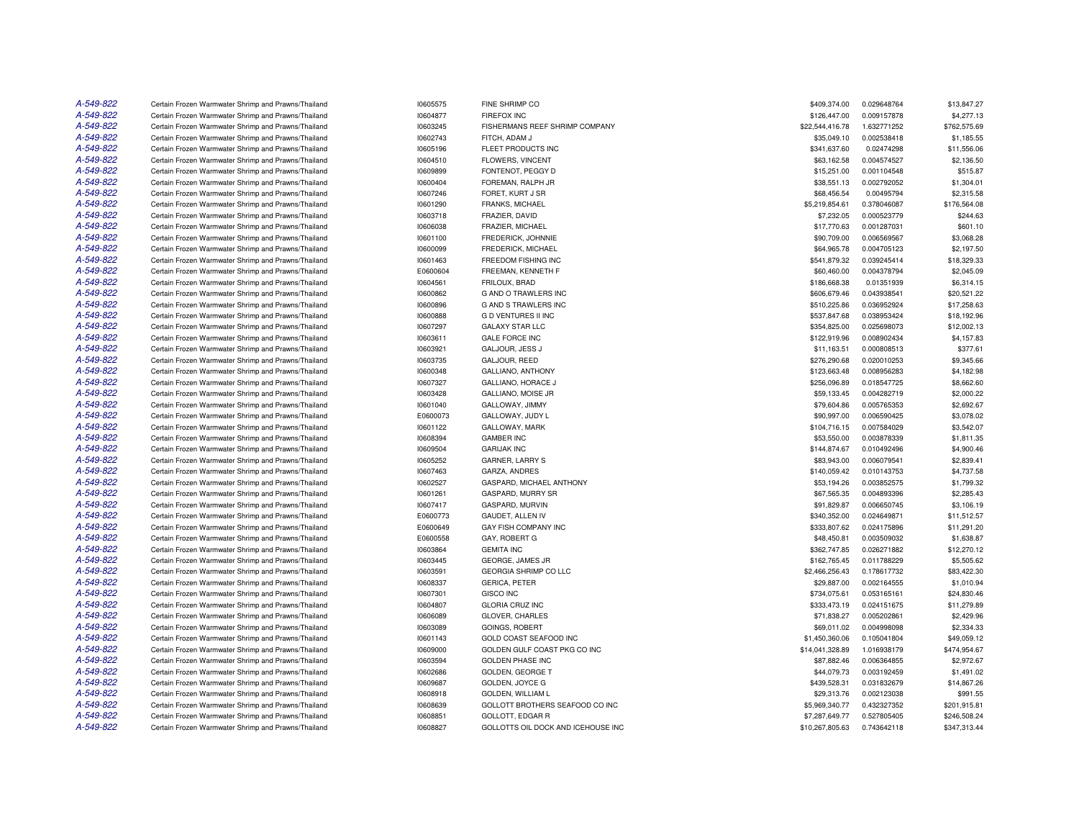| A-549-822 | Certain Frozen Warmwater Shrimp and Prawns/Thailand | 10605575 | FINE SHRIMP CO                     | \$409,374.00    | 0.029648764 | \$13,847.27  |
|-----------|-----------------------------------------------------|----------|------------------------------------|-----------------|-------------|--------------|
| A-549-822 | Certain Frozen Warmwater Shrimp and Prawns/Thailand | 10604877 | <b>FIREFOX INC</b>                 | \$126,447.00    | 0.009157878 | \$4,277.13   |
| A-549-822 | Certain Frozen Warmwater Shrimp and Prawns/Thailand | 10603245 | FISHERMANS REEF SHRIMP COMPANY     | \$22,544,416.78 | 1.632771252 | \$762,575.69 |
| A-549-822 | Certain Frozen Warmwater Shrimp and Prawns/Thailand | 10602743 | FITCH, ADAM J                      | \$35,049.10     | 0.002538418 | \$1,185.55   |
| A-549-822 | Certain Frozen Warmwater Shrimp and Prawns/Thailand | 10605196 | FLEET PRODUCTS INC                 | \$341,637.60    | 0.02474298  | \$11,556.06  |
| A-549-822 | Certain Frozen Warmwater Shrimp and Prawns/Thailand | 10604510 | FLOWERS, VINCENT                   | \$63,162.58     | 0.004574527 | \$2,136.50   |
| A-549-822 | Certain Frozen Warmwater Shrimp and Prawns/Thailand | 10609899 | FONTENOT, PEGGY D                  | \$15,251.00     | 0.001104548 | \$515.87     |
| A-549-822 | Certain Frozen Warmwater Shrimp and Prawns/Thailand | 10600404 | FOREMAN, RALPH JR                  | \$38,551.13     | 0.002792052 | \$1,304.01   |
| A-549-822 | Certain Frozen Warmwater Shrimp and Prawns/Thailand | 10607246 | FORET, KURT J SR                   | \$68,456.54     | 0.00495794  | \$2,315.58   |
| A-549-822 | Certain Frozen Warmwater Shrimp and Prawns/Thailand | 10601290 | FRANKS, MICHAEL                    | \$5,219,854.61  | 0.378046087 | \$176,564.08 |
| A-549-822 |                                                     |          |                                    |                 |             |              |
|           | Certain Frozen Warmwater Shrimp and Prawns/Thailand | 10603718 | FRAZIER, DAVID                     | \$7,232.05      | 0.000523779 | \$244.63     |
| A-549-822 | Certain Frozen Warmwater Shrimp and Prawns/Thailand | 10606038 | FRAZIER, MICHAEL                   | \$17,770.63     | 0.001287031 | \$601.10     |
| A-549-822 | Certain Frozen Warmwater Shrimp and Prawns/Thailand | 10601100 | FREDERICK, JOHNNIE                 | \$90,709.00     | 0.006569567 | \$3,068.28   |
| A-549-822 | Certain Frozen Warmwater Shrimp and Prawns/Thailand | 10600099 | FREDERICK, MICHAEL                 | \$64,965.78     | 0.004705123 | \$2,197.50   |
| A-549-822 | Certain Frozen Warmwater Shrimp and Prawns/Thailand | 10601463 | FREEDOM FISHING INC                | \$541,879.32    | 0.039245414 | \$18,329.33  |
| A-549-822 | Certain Frozen Warmwater Shrimp and Prawns/Thailand | E0600604 | FREEMAN, KENNETH F                 | \$60,460.00     | 0.004378794 | \$2,045.09   |
| A-549-822 | Certain Frozen Warmwater Shrimp and Prawns/Thailand | 10604561 | FRILOUX, BRAD                      | \$186,668.38    | 0.01351939  | \$6,314.15   |
| A-549-822 | Certain Frozen Warmwater Shrimp and Prawns/Thailand | 10600862 | G AND O TRAWLERS INC               | \$606,679.46    | 0.043938541 | \$20,521.22  |
| A-549-822 | Certain Frozen Warmwater Shrimp and Prawns/Thailand | 10600896 | G AND S TRAWLERS INC               | \$510,225.86    | 0.036952924 | \$17,258.63  |
| A-549-822 | Certain Frozen Warmwater Shrimp and Prawns/Thailand | 10600888 | <b>GD VENTURES II INC</b>          | \$537,847.68    | 0.038953424 | \$18,192.96  |
| A-549-822 | Certain Frozen Warmwater Shrimp and Prawns/Thailand | 10607297 | <b>GALAXY STAR LLC</b>             | \$354,825.00    | 0.025698073 | \$12,002.13  |
| A-549-822 | Certain Frozen Warmwater Shrimp and Prawns/Thailand | 10603611 | <b>GALE FORCE INC</b>              | \$122,919.96    | 0.008902434 | \$4,157.83   |
| A-549-822 | Certain Frozen Warmwater Shrimp and Prawns/Thailand | 10603921 | GALJOUR, JESS J                    | \$11,163.51     | 0.000808513 | \$377.61     |
| A-549-822 | Certain Frozen Warmwater Shrimp and Prawns/Thailand | 10603735 | GALJOUR, REED                      | \$276,290.68    | 0.020010253 | \$9,345.66   |
| A-549-822 | Certain Frozen Warmwater Shrimp and Prawns/Thailand | 10600348 | GALLIANO, ANTHONY                  | \$123,663.48    | 0.008956283 | \$4,182.98   |
| A-549-822 | Certain Frozen Warmwater Shrimp and Prawns/Thailand | 10607327 | GALLIANO, HORACE J                 | \$256,096.89    | 0.018547725 | \$8,662.60   |
| A-549-822 | Certain Frozen Warmwater Shrimp and Prawns/Thailand | 10603428 | GALLIANO, MOISE JR                 | \$59,133.45     | 0.004282719 | \$2,000.22   |
| A-549-822 | Certain Frozen Warmwater Shrimp and Prawns/Thailand | 10601040 | GALLOWAY, JIMMY                    | \$79,604.86     | 0.005765353 | \$2,692.67   |
| A-549-822 | Certain Frozen Warmwater Shrimp and Prawns/Thailand | E0600073 | GALLOWAY, JUDY L                   | \$90,997.00     | 0.006590425 | \$3,078.02   |
| A-549-822 | Certain Frozen Warmwater Shrimp and Prawns/Thailand | 10601122 | GALLOWAY, MARK                     | \$104,716.15    | 0.007584029 | \$3,542.07   |
| A-549-822 | Certain Frozen Warmwater Shrimp and Prawns/Thailand | 10608394 | <b>GAMBER INC</b>                  | \$53,550.00     | 0.003878339 | \$1,811.35   |
| A-549-822 | Certain Frozen Warmwater Shrimp and Prawns/Thailand | 10609504 | <b>GARIJAK INC</b>                 | \$144,874.67    | 0.010492496 | \$4,900.46   |
| A-549-822 | Certain Frozen Warmwater Shrimp and Prawns/Thailand | 10605252 | <b>GARNER, LARRY S</b>             | \$83,943.00     | 0.006079541 | \$2,839.41   |
| A-549-822 | Certain Frozen Warmwater Shrimp and Prawns/Thailand | 10607463 | GARZA, ANDRES                      | \$140,059.42    | 0.010143753 | \$4,737.58   |
| A-549-822 | Certain Frozen Warmwater Shrimp and Prawns/Thailand | 10602527 | GASPARD, MICHAEL ANTHONY           | \$53,194.26     | 0.003852575 | \$1,799.32   |
| A-549-822 | Certain Frozen Warmwater Shrimp and Prawns/Thailand | 10601261 | GASPARD, MURRY SR                  | \$67,565.35     | 0.004893396 | \$2,285.43   |
| A-549-822 |                                                     |          |                                    |                 |             |              |
|           | Certain Frozen Warmwater Shrimp and Prawns/Thailand | 10607417 | GASPARD, MURVIN                    | \$91,829.87     | 0.006650745 | \$3,106.19   |
| A-549-822 | Certain Frozen Warmwater Shrimp and Prawns/Thailand | E0600773 | GAUDET, ALLEN IV                   | \$340,352.00    | 0.024649871 | \$11,512.57  |
| A-549-822 | Certain Frozen Warmwater Shrimp and Prawns/Thailand | E0600649 | GAY FISH COMPANY INC               | \$333,807.62    | 0.024175896 | \$11,291.20  |
| A-549-822 | Certain Frozen Warmwater Shrimp and Prawns/Thailand | E0600558 | GAY, ROBERT G                      | \$48,450.81     | 0.003509032 | \$1,638.87   |
| A-549-822 | Certain Frozen Warmwater Shrimp and Prawns/Thailand | 10603864 | <b>GEMITA INC</b>                  | \$362,747.85    | 0.026271882 | \$12,270.12  |
| A-549-822 | Certain Frozen Warmwater Shrimp and Prawns/Thailand | 10603445 | GEORGE, JAMES JR                   | \$162,765.45    | 0.011788229 | \$5,505.62   |
| A-549-822 | Certain Frozen Warmwater Shrimp and Prawns/Thailand | 10603591 | <b>GEORGIA SHRIMP CO LLC</b>       | \$2,466,256,43  | 0.178617732 | \$83,422.30  |
| A-549-822 | Certain Frozen Warmwater Shrimp and Prawns/Thailand | 10608337 | <b>GERICA, PETER</b>               | \$29,887.00     | 0.002164555 | \$1,010.94   |
| A-549-822 | Certain Frozen Warmwater Shrimp and Prawns/Thailand | 10607301 | <b>GISCO INC</b>                   | \$734,075.61    | 0.053165161 | \$24,830.46  |
| A-549-822 | Certain Frozen Warmwater Shrimp and Prawns/Thailand | 10604807 | <b>GLORIA CRUZ INC</b>             | \$333,473.19    | 0.024151675 | \$11,279.89  |
| A-549-822 | Certain Frozen Warmwater Shrimp and Prawns/Thailand | 10606089 | GLOVER, CHARLES                    | \$71,838.27     | 0.005202861 | \$2,429.96   |
| A-549-822 | Certain Frozen Warmwater Shrimp and Prawns/Thailand | 10603089 | <b>GOINGS, ROBERT</b>              | \$69,011.02     | 0.004998098 | \$2,334.33   |
| A-549-822 | Certain Frozen Warmwater Shrimp and Prawns/Thailand | 10601143 | GOLD COAST SEAFOOD INC             | \$1,450,360.06  | 0.105041804 | \$49,059.12  |
| A-549-822 | Certain Frozen Warmwater Shrimp and Prawns/Thailand | 10609000 | GOLDEN GULF COAST PKG CO INC       | \$14,041,328.89 | 1.016938179 | \$474,954.67 |
| A-549-822 | Certain Frozen Warmwater Shrimp and Prawns/Thailand | 10603594 | <b>GOLDEN PHASE INC</b>            | \$87,882.46     | 0.006364855 | \$2,972.67   |
| A-549-822 | Certain Frozen Warmwater Shrimp and Prawns/Thailand | 10602686 | <b>GOLDEN, GEORGE T</b>            | \$44,079.73     | 0.003192459 | \$1,491.02   |
| A-549-822 | Certain Frozen Warmwater Shrimp and Prawns/Thailand | 10609687 | GOLDEN, JOYCE G                    | \$439,528.31    | 0.031832679 | \$14,867.26  |
| A-549-822 | Certain Frozen Warmwater Shrimp and Prawns/Thailand | 10608918 | <b>GOLDEN, WILLIAM L</b>           | \$29,313.76     | 0.002123038 | \$991.55     |
| A-549-822 | Certain Frozen Warmwater Shrimp and Prawns/Thailand | 10608639 | GOLLOTT BROTHERS SEAFOOD CO INC    | \$5,969,340.77  | 0.432327352 | \$201,915.81 |
| A-549-822 | Certain Frozen Warmwater Shrimp and Prawns/Thailand | 10608851 | <b>GOLLOTT, EDGAR R</b>            | \$7,287,649,77  | 0.527805405 | \$246,508.24 |
| A-549-822 | Certain Frozen Warmwater Shrimp and Prawns/Thailand | 10608827 | GOLLOTTS OIL DOCK AND ICEHOUSE INC | \$10,267,805.63 | 0.743642118 | \$347,313.44 |
|           |                                                     |          |                                    |                 |             |              |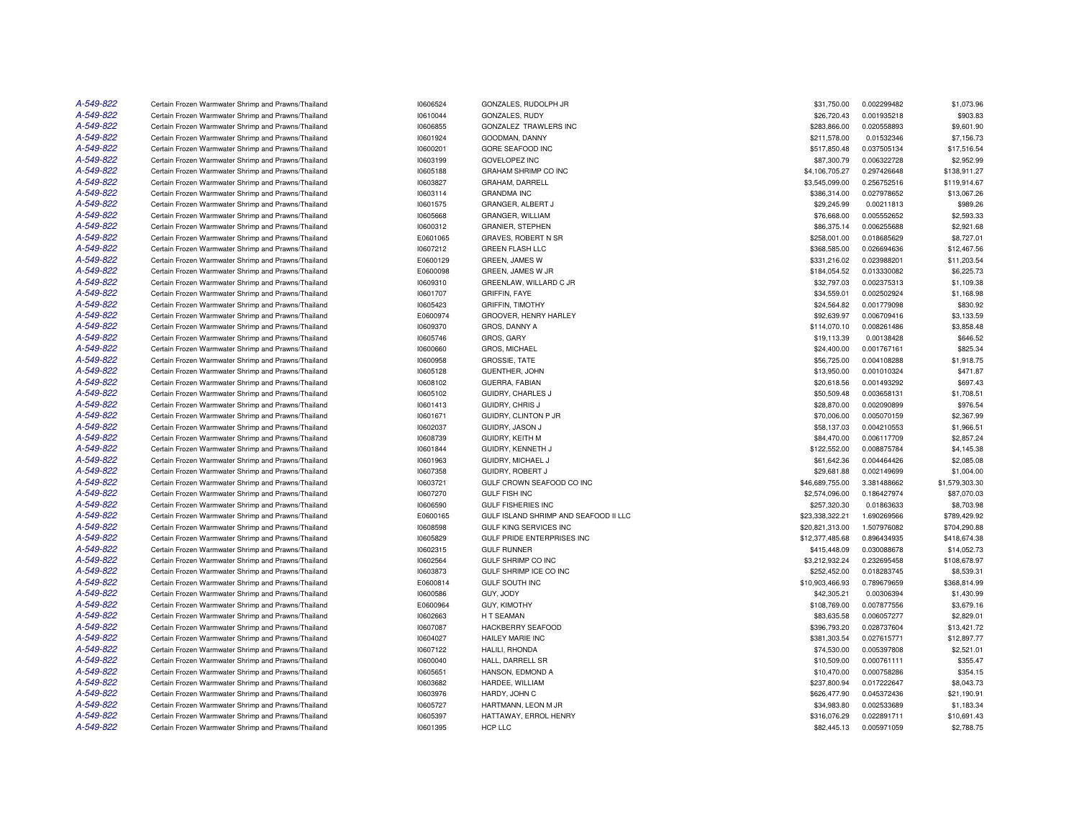| A-549-822 | Certain Frozen Warmwater Shrimp and Prawns/Thailand                                                        | 10606524             | GONZALES, RUDOLPH JR                         | \$31,750.00                 | 0.002299482                | \$1,073.96     |
|-----------|------------------------------------------------------------------------------------------------------------|----------------------|----------------------------------------------|-----------------------------|----------------------------|----------------|
| A-549-822 | Certain Frozen Warmwater Shrimp and Prawns/Thailand                                                        | 10610044             | GONZALES, RUDY                               | \$26,720.43                 | 0.001935218                | \$903.83       |
| A-549-822 | Certain Frozen Warmwater Shrimp and Prawns/Thailand                                                        | 10606855             | GONZALEZ TRAWLERS INC                        | \$283,866.00                | 0.020558893                | \$9,601.90     |
| A-549-822 | Certain Frozen Warmwater Shrimp and Prawns/Thailand                                                        | 10601924             | GOODMAN, DANNY                               | \$211,578.00                | 0.01532346                 | \$7,156.73     |
| A-549-822 | Certain Frozen Warmwater Shrimp and Prawns/Thailand                                                        | 10600201             | <b>GORE SEAFOOD INC</b>                      | \$517,850.48                | 0.037505134                | \$17.516.54    |
| A-549-822 | Certain Frozen Warmwater Shrimp and Prawns/Thailand                                                        | 10603199             | <b>GOVELOPEZ INC</b>                         | \$87,300.79                 | 0.006322728                | \$2,952.99     |
| A-549-822 | Certain Frozen Warmwater Shrimp and Prawns/Thailand                                                        | 10605188             | <b>GRAHAM SHRIMP CO INC</b>                  | \$4,106,705.27              | 0.297426648                | \$138,911.27   |
| A-549-822 | Certain Frozen Warmwater Shrimp and Prawns/Thailand                                                        | 10603827             | GRAHAM, DARRELL                              | \$3,545,099.00              | 0.256752516                | \$119,914.67   |
| A-549-822 | Certain Frozen Warmwater Shrimp and Prawns/Thailand                                                        | 10603114             | <b>GRANDMA INC</b>                           | \$386,314.00                | 0.027978652                | \$13,067.26    |
| A-549-822 | Certain Frozen Warmwater Shrimp and Prawns/Thailand                                                        | 10601575             | GRANGER, ALBERT J                            | \$29,245.99                 | 0.00211813                 | \$989.26       |
| A-549-822 | Certain Frozen Warmwater Shrimp and Prawns/Thailand                                                        | 10605668             | GRANGER, WILLIAM                             | \$76,668.00                 | 0.005552652                | \$2,593.33     |
| A-549-822 | Certain Frozen Warmwater Shrimp and Prawns/Thailand                                                        | 10600312             | <b>GRANIER, STEPHEN</b>                      | \$86,375.14                 | 0.006255688                | \$2,921.68     |
| A-549-822 | Certain Frozen Warmwater Shrimp and Prawns/Thailand                                                        | E0601065             | GRAVES, ROBERT N SR                          | \$258,001.00                | 0.018685629                | \$8,727.01     |
| A-549-822 | Certain Frozen Warmwater Shrimp and Prawns/Thailand                                                        | 10607212             | <b>GREEN FLASH LLC</b>                       | \$368,585.00                | 0.026694636                | \$12,467.56    |
| A-549-822 | Certain Frozen Warmwater Shrimp and Prawns/Thailand                                                        | E0600129             | <b>GREEN, JAMES W</b>                        | \$331,216.02                | 0.023988201                | \$11,203.54    |
| A-549-822 |                                                                                                            |                      |                                              |                             |                            |                |
|           | Certain Frozen Warmwater Shrimp and Prawns/Thailand                                                        | E0600098             | GREEN, JAMES W JR                            | \$184,054.52                | 0.013330082                | \$6,225.73     |
| A-549-822 | Certain Frozen Warmwater Shrimp and Prawns/Thailand                                                        | 10609310             | GREENLAW, WILLARD C JR                       | \$32,797.03                 | 0.002375313                | \$1,109.38     |
| A-549-822 | Certain Frozen Warmwater Shrimp and Prawns/Thailand                                                        | 10601707             | <b>GRIFFIN, FAYE</b>                         | \$34,559.01                 | 0.002502924                | \$1,168.98     |
| A-549-822 | Certain Frozen Warmwater Shrimp and Prawns/Thailand                                                        | 10605423             | <b>GRIFFIN, TIMOTHY</b>                      | \$24,564.82                 | 0.001779098                | \$830.92       |
| A-549-822 | Certain Frozen Warmwater Shrimp and Prawns/Thailand                                                        | E0600974             | GROOVER, HENRY HARLEY                        | \$92,639.97                 | 0.006709416                | \$3,133.59     |
| A-549-822 | Certain Frozen Warmwater Shrimp and Prawns/Thailand                                                        | 10609370             | GROS, DANNY A                                | \$114,070.10                | 0.008261486                | \$3,858.48     |
| A-549-822 | Certain Frozen Warmwater Shrimp and Prawns/Thailand                                                        | 10605746             | GROS, GARY                                   | \$19,113.39                 | 0.00138428                 | \$646.52       |
| A-549-822 | Certain Frozen Warmwater Shrimp and Prawns/Thailand                                                        | 10600660             | GROS, MICHAEL                                | \$24,400.00                 | 0.001767161                | \$825.34       |
| A-549-822 | Certain Frozen Warmwater Shrimp and Prawns/Thailand                                                        | 10600958             | GROSSIE, TATE                                | \$56,725.00                 | 0.004108288                | \$1,918.75     |
| A-549-822 | Certain Frozen Warmwater Shrimp and Prawns/Thailand                                                        | 10605128             | GUENTHER, JOHN                               | \$13,950.00                 | 0.001010324                | \$471.87       |
| A-549-822 | Certain Frozen Warmwater Shrimp and Prawns/Thailand                                                        | 10608102             | <b>GUERRA, FABIAN</b>                        | \$20,618.56                 | 0.001493292                | \$697.43       |
| A-549-822 | Certain Frozen Warmwater Shrimp and Prawns/Thailand                                                        | 10605102             | GUIDRY, CHARLES J                            | \$50,509.48                 | 0.003658131                | \$1,708.51     |
| A-549-822 | Certain Frozen Warmwater Shrimp and Prawns/Thailand                                                        | 10601413             | GUIDRY, CHRIS J                              | \$28,870.00                 | 0.002090899                | \$976.54       |
| A-549-822 | Certain Frozen Warmwater Shrimp and Prawns/Thailand                                                        | 10601671             | GUIDRY, CLINTON P JR                         | \$70,006.00                 | 0.005070159                | \$2,367.99     |
| A-549-822 | Certain Frozen Warmwater Shrimp and Prawns/Thailand                                                        | 10602037             | <b>GUIDRY, JASON J</b>                       | \$58,137.03                 | 0.004210553                | \$1,966.51     |
| A-549-822 | Certain Frozen Warmwater Shrimp and Prawns/Thailand                                                        | 10608739             | <b>GUIDRY, KEITH M</b>                       | \$84,470.00                 | 0.006117709                | \$2,857.24     |
| A-549-822 | Certain Frozen Warmwater Shrimp and Prawns/Thailand                                                        | 10601844             | GUIDRY, KENNETH J                            | \$122,552.00                | 0.008875784                | \$4,145.38     |
| A-549-822 | Certain Frozen Warmwater Shrimp and Prawns/Thailand                                                        | 10601963             | GUIDRY, MICHAEL J                            | \$61,642.36                 | 0.004464426                | \$2,085.08     |
| A-549-822 | Certain Frozen Warmwater Shrimp and Prawns/Thailand                                                        | 10607358             | GUIDRY, ROBERT J                             | \$29,681.88                 | 0.002149699                | \$1,004.00     |
| A-549-822 | Certain Frozen Warmwater Shrimp and Prawns/Thailand                                                        | 10603721             | GULF CROWN SEAFOOD CO INC                    | \$46,689,755.00             | 3.381488662                | \$1,579,303.30 |
| A-549-822 | Certain Frozen Warmwater Shrimp and Prawns/Thailand                                                        | 10607270             | <b>GULF FISH INC</b>                         | \$2,574,096.00              | 0.186427974                | \$87,070.03    |
| A-549-822 | Certain Frozen Warmwater Shrimp and Prawns/Thailand                                                        | 10606590             | <b>GULF FISHERIES INC</b>                    | \$257,320.30                | 0.01863633                 | \$8,703.98     |
| A-549-822 | Certain Frozen Warmwater Shrimp and Prawns/Thailand                                                        | E0600165             | GULF ISLAND SHRIMP AND SEAFOOD II LLC        | \$23,338,322.21             | 1.690269566                | \$789,429.92   |
| A-549-822 | Certain Frozen Warmwater Shrimp and Prawns/Thailand                                                        | 10608598             | <b>GULF KING SERVICES INC</b>                | \$20,821,313.00             | 1.507976082                | \$704,290.88   |
| A-549-822 | Certain Frozen Warmwater Shrimp and Prawns/Thailand                                                        | 10605829             | GULF PRIDE ENTERPRISES INC                   | \$12,377,485.68             | 0.896434935                | \$418,674.38   |
| A-549-822 | Certain Frozen Warmwater Shrimp and Prawns/Thailand                                                        | 10602315             | <b>GULF RUNNER</b>                           | \$415,448.09                | 0.030088678                | \$14,052.73    |
| A-549-822 | Certain Frozen Warmwater Shrimp and Prawns/Thailand                                                        | 10602564             | <b>GULF SHRIMP CO INC</b>                    | \$3,212,932.24              | 0.232695458                | \$108,678.97   |
| A-549-822 | Certain Frozen Warmwater Shrimp and Prawns/Thailand                                                        | 10603873             | GULF SHRIMP ICE CO INC                       | \$252,452.00                | 0.018283745                | \$8,539.31     |
| A-549-822 | Certain Frozen Warmwater Shrimp and Prawns/Thailand                                                        | E0600814             | <b>GULF SOUTH INC</b>                        | \$10,903,466.93             | 0.789679659                | \$368,814.99   |
| A-549-822 | Certain Frozen Warmwater Shrimp and Prawns/Thailand                                                        | 10600586             | GUY, JODY                                    | \$42,305.21                 | 0.00306394                 | \$1,430.99     |
| A-549-822 | Certain Frozen Warmwater Shrimp and Prawns/Thailand                                                        | E0600964             | <b>GUY, KIMOTHY</b>                          | \$108,769.00                | 0.007877556                | \$3,679.16     |
| A-549-822 | Certain Frozen Warmwater Shrimp and Prawns/Thailand                                                        | 10602663             | <b>HT SEAMAN</b>                             | \$83,635.58                 | 0.006057277                | \$2,829.01     |
| A-549-822 | Certain Frozen Warmwater Shrimp and Prawns/Thailand                                                        | 10607087             | <b>HACKBERRY SEAFOOD</b>                     | \$396,793.20                | 0.028737604                | \$13,421.72    |
| A-549-822 | Certain Frozen Warmwater Shrimp and Prawns/Thailand                                                        | 10604027             | HAILEY MARIE INC                             | \$381,303.54                | 0.027615771                | \$12,897.77    |
| A-549-822 | Certain Frozen Warmwater Shrimp and Prawns/Thailand                                                        | 10607122             | HALILI, RHONDA                               | \$74,530.00                 | 0.005397808                | \$2,521.01     |
| A-549-822 | Certain Frozen Warmwater Shrimp and Prawns/Thailand                                                        | 10600040             | HALL, DARRELL SR                             | \$10,509.00                 | 0.000761111                | \$355.47       |
| A-549-822 | Certain Frozen Warmwater Shrimp and Prawns/Thailand                                                        | 10605651             | HANSON, EDMOND A                             | \$10,470.00                 | 0.000758286                | \$354.15       |
| A-549-822 | Certain Frozen Warmwater Shrimp and Prawns/Thailand                                                        | 10603682             | HARDEE, WILLIAM                              | \$237,800.94                | 0.017222647                | \$8,043.73     |
| A-549-822 | Certain Frozen Warmwater Shrimp and Prawns/Thailand                                                        |                      | HARDY, JOHN C                                |                             | 0.045372436                |                |
| A-549-822 |                                                                                                            | 10603976             |                                              | \$626,477.90                |                            | \$21,190.91    |
| A-549-822 | Certain Frozen Warmwater Shrimp and Prawns/Thailand<br>Certain Frozen Warmwater Shrimp and Prawns/Thailand | 10605727<br>10605397 | HARTMANN, LEON M JR<br>HATTAWAY, ERROL HENRY | \$34,983.80<br>\$316,076.29 | 0.002533689<br>0.022891711 | \$1,183.34     |
| A-549-822 |                                                                                                            |                      |                                              |                             |                            | \$10,691.43    |
|           | Certain Frozen Warmwater Shrimp and Prawns/Thailand                                                        | 10601395             | HCP LLC                                      | \$82,445.13                 | 0.005971059                | \$2,788.75     |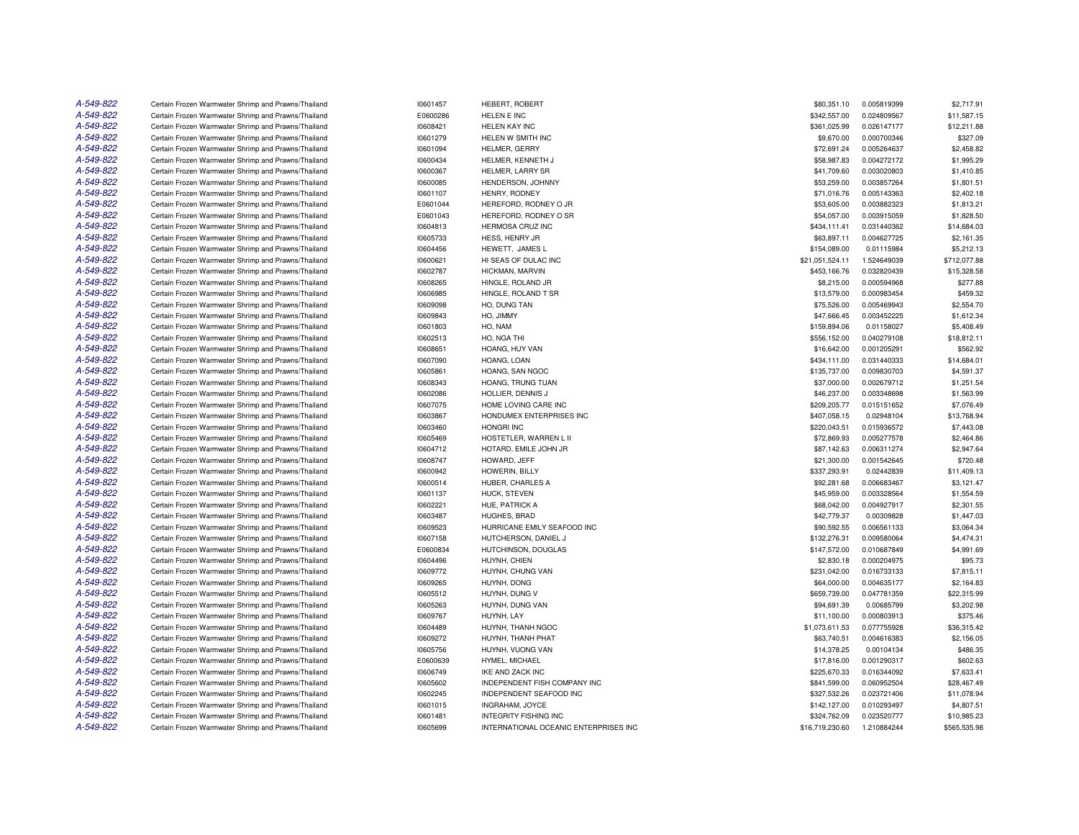| A-549-822 | Certain Frozen Warmwater Shrimp and Prawns/Thailand | 10601457 | <b>HEBERT, ROBERT</b>                 | \$80,351.10     | 0.005819399 | \$2,717.91   |
|-----------|-----------------------------------------------------|----------|---------------------------------------|-----------------|-------------|--------------|
| A-549-822 | Certain Frozen Warmwater Shrimp and Prawns/Thailand | E0600286 | HELEN E INC                           | \$342,557.00    | 0.024809567 | \$11,587.15  |
| A-549-822 | Certain Frozen Warmwater Shrimp and Prawns/Thailand | 10608421 | HELEN KAY INC                         | \$361,025.99    | 0.026147177 | \$12,211.88  |
| A-549-822 | Certain Frozen Warmwater Shrimp and Prawns/Thailand | 10601279 | HELEN W SMITH INC                     | \$9,670.00      | 0.000700346 | \$327.09     |
| A-549-822 | Certain Frozen Warmwater Shrimp and Prawns/Thailand | 10601094 | HELMER, GERRY                         | \$72.691.24     | 0.005264637 | \$2,458.82   |
| A-549-822 | Certain Frozen Warmwater Shrimp and Prawns/Thailand | 10600434 | HELMER, KENNETH J                     | \$58,987.83     | 0.004272172 | \$1,995.29   |
| A-549-822 | Certain Frozen Warmwater Shrimp and Prawns/Thailand | 10600367 | HELMER, LARRY SR                      | \$41,709.60     | 0.003020803 | \$1,410.85   |
| A-549-822 | Certain Frozen Warmwater Shrimp and Prawns/Thailand | 10600085 | HENDERSON, JOHNNY                     | \$53,259.00     | 0.003857264 | \$1,801.51   |
| A-549-822 | Certain Frozen Warmwater Shrimp and Prawns/Thailand | 10601107 | HENRY, RODNEY                         | \$71,016.76     | 0.005143363 | \$2,402.18   |
| A-549-822 | Certain Frozen Warmwater Shrimp and Prawns/Thailand | E0601044 | HEREFORD, RODNEY O JR                 | \$53,605.00     | 0.003882323 | \$1,813.21   |
| A-549-822 | Certain Frozen Warmwater Shrimp and Prawns/Thailand | E0601043 | HEREFORD, RODNEY O SR                 | \$54,057.00     | 0.003915059 | \$1,828.50   |
| A-549-822 | Certain Frozen Warmwater Shrimp and Prawns/Thailand | 10604813 | HERMOSA CRUZ INC                      | \$434,111.41    | 0.031440362 | \$14,684.03  |
| A-549-822 | Certain Frozen Warmwater Shrimp and Prawns/Thailand | 10605733 | HESS, HENRY JR                        | \$63,897.11     | 0.004627725 | \$2,161.35   |
| A-549-822 | Certain Frozen Warmwater Shrimp and Prawns/Thailand | 10604456 | HEWETT, JAMES L                       | \$154,089.00    | 0.01115984  | \$5,212.13   |
| A-549-822 | Certain Frozen Warmwater Shrimp and Prawns/Thailand | 10600621 | HI SEAS OF DULAC INC                  | \$21,051,524.11 | 1.524649039 | \$712,077.88 |
| A-549-822 | Certain Frozen Warmwater Shrimp and Prawns/Thailand | 10602787 | HICKMAN, MARVIN                       | \$453,166.76    | 0.032820439 | \$15,328.58  |
| A-549-822 | Certain Frozen Warmwater Shrimp and Prawns/Thailand | 10608265 | HINGLE, ROLAND JR                     | \$8,215.00      | 0.000594968 | \$277.88     |
| A-549-822 | Certain Frozen Warmwater Shrimp and Prawns/Thailand | 10606985 | HINGLE, ROLAND T SR                   | \$13,579.00     | 0.000983454 | \$459.32     |
| A-549-822 | Certain Frozen Warmwater Shrimp and Prawns/Thailand | 10609098 | HO, DUNG TAN                          | \$75,526.00     | 0.005469943 | \$2,554.70   |
| A-549-822 | Certain Frozen Warmwater Shrimp and Prawns/Thailand | 10609843 | HO, JIMMY                             | \$47,666.45     | 0.003452225 | \$1,612.34   |
| A-549-822 | Certain Frozen Warmwater Shrimp and Prawns/Thailand | 10601803 | HO, NAM                               | \$159,894.06    | 0.01158027  | \$5,408.49   |
| A-549-822 | Certain Frozen Warmwater Shrimp and Prawns/Thailand | 10602513 | HO. NGA THI                           | \$556,152.00    | 0.040279108 | \$18,812.11  |
| A-549-822 | Certain Frozen Warmwater Shrimp and Prawns/Thailand | 10608651 | HOANG, HUY VAN                        | \$16,642.00     | 0.001205291 | \$562.92     |
| A-549-822 | Certain Frozen Warmwater Shrimp and Prawns/Thailand | 10607090 | HOANG, LOAN                           | \$434,111.00    | 0.031440333 | \$14,684.01  |
| A-549-822 | Certain Frozen Warmwater Shrimp and Prawns/Thailand | 10605861 | HOANG, SAN NGOC                       | \$135,737.00    | 0.009830703 | \$4,591.37   |
| A-549-822 | Certain Frozen Warmwater Shrimp and Prawns/Thailand | 10608343 | HOANG, TRUNG TUAN                     | \$37,000.00     | 0.002679712 | \$1,251.54   |
| A-549-822 | Certain Frozen Warmwater Shrimp and Prawns/Thailand | 10602086 | HOLLIER, DENNIS J                     | \$46,237.00     | 0.003348698 | \$1,563.99   |
| A-549-822 | Certain Frozen Warmwater Shrimp and Prawns/Thailand | 10607075 | HOME LOVING CARE INC                  | \$209,205.77    | 0.015151652 | \$7,076.49   |
| A-549-822 | Certain Frozen Warmwater Shrimp and Prawns/Thailand | 10603867 | HONDUMEX ENTERPRISES INC              | \$407,058.15    | 0.02948104  | \$13,768.94  |
| A-549-822 | Certain Frozen Warmwater Shrimp and Prawns/Thailand | 10603460 | <b>HONGRI INC</b>                     | \$220.043.51    | 0.015936572 | \$7,443.08   |
| A-549-822 | Certain Frozen Warmwater Shrimp and Prawns/Thailand | 10605469 | HOSTETLER, WARREN L II                | \$72,869.93     | 0.005277578 | \$2,464.86   |
| A-549-822 | Certain Frozen Warmwater Shrimp and Prawns/Thailand | 10604712 | HOTARD, EMILE JOHN JR                 | \$87,142.63     | 0.006311274 | \$2,947.64   |
| A-549-822 | Certain Frozen Warmwater Shrimp and Prawns/Thailand | 10608747 | HOWARD, JEFF                          | \$21,300.00     | 0.001542645 | \$720.48     |
| A-549-822 | Certain Frozen Warmwater Shrimp and Prawns/Thailand | 10600942 | HOWERIN, BILLY                        | \$337,293.91    | 0.02442839  | \$11,409.13  |
| A-549-822 | Certain Frozen Warmwater Shrimp and Prawns/Thailand | 10600514 | HUBER, CHARLES A                      | \$92,281.68     | 0.006683467 | \$3,121.47   |
| A-549-822 | Certain Frozen Warmwater Shrimp and Prawns/Thailand | 10601137 | HUCK, STEVEN                          | \$45,959.00     | 0.003328564 | \$1,554.59   |
| A-549-822 | Certain Frozen Warmwater Shrimp and Prawns/Thailand | 10602221 | HUE, PATRICK A                        | \$68,042.00     | 0.004927917 | \$2,301.55   |
| A-549-822 | Certain Frozen Warmwater Shrimp and Prawns/Thailand | 10603487 | HUGHES, BRAD                          | \$42,779.37     | 0.00309828  | \$1,447.03   |
| A-549-822 | Certain Frozen Warmwater Shrimp and Prawns/Thailand | 10609523 | HURRICANE EMILY SEAFOOD INC           | \$90,592.55     | 0.006561133 | \$3,064.34   |
| A-549-822 | Certain Frozen Warmwater Shrimp and Prawns/Thailand | 10607158 | HUTCHERSON, DANIEL J                  | \$132,276.31    | 0.009580064 | \$4,474.31   |
| A-549-822 | Certain Frozen Warmwater Shrimp and Prawns/Thailand | E0600834 | HUTCHINSON, DOUGLAS                   | \$147,572.00    | 0.010687849 | \$4,991.69   |
| A-549-822 | Certain Frozen Warmwater Shrimp and Prawns/Thailand | 10604496 | HUYNH, CHIEN                          | \$2,830.18      | 0.000204975 | \$95.73      |
| A-549-822 | Certain Frozen Warmwater Shrimp and Prawns/Thailand | 10609772 | HUYNH, CHUNG VAN                      | \$231,042.00    | 0.016733133 | \$7,815.11   |
| A-549-822 | Certain Frozen Warmwater Shrimp and Prawns/Thailand | 10609265 | HUYNH, DONG                           | \$64,000.00     | 0.004635177 | \$2,164.83   |
| A-549-822 | Certain Frozen Warmwater Shrimp and Prawns/Thailand | 10605512 | HUYNH, DUNG V                         | \$659,739.00    | 0.047781359 | \$22,315.99  |
| A-549-822 | Certain Frozen Warmwater Shrimp and Prawns/Thailand | 10605263 | HUYNH, DUNG VAN                       | \$94,691.39     | 0.00685799  | \$3,202.98   |
| A-549-822 | Certain Frozen Warmwater Shrimp and Prawns/Thailand | 10609767 | HUYNH, LAY                            | \$11,100.00     | 0.000803913 | \$375.46     |
| A-549-822 | Certain Frozen Warmwater Shrimp and Prawns/Thailand | 10604489 | HUYNH, THANH NGOC                     | \$1,073,611.53  | 0.077755928 | \$36,315.42  |
| A-549-822 | Certain Frozen Warmwater Shrimp and Prawns/Thailand | 10609272 | HUYNH, THANH PHAT                     | \$63,740.51     | 0.004616383 | \$2,156.05   |
| A-549-822 | Certain Frozen Warmwater Shrimp and Prawns/Thailand | 10605756 | HUYNH, VUONG VAN                      | \$14,378.25     | 0.00104134  | \$486.35     |
| A-549-822 | Certain Frozen Warmwater Shrimp and Prawns/Thailand | E0600639 | HYMEL, MICHAEL                        | \$17,816.00     | 0.001290317 | \$602.63     |
| A-549-822 | Certain Frozen Warmwater Shrimp and Prawns/Thailand | 10606749 | <b>IKE AND ZACK INC</b>               | \$225,670.33    | 0.016344092 | \$7,633.41   |
| A-549-822 | Certain Frozen Warmwater Shrimp and Prawns/Thailand | 10605602 | INDEPENDENT FISH COMPANY INC          | \$841,599.00    | 0.060952504 | \$28,467.49  |
| A-549-822 | Certain Frozen Warmwater Shrimp and Prawns/Thailand | 10602245 | INDEPENDENT SEAFOOD INC               | \$327,532.26    | 0.023721406 | \$11,078.94  |
| A-549-822 | Certain Frozen Warmwater Shrimp and Prawns/Thailand | 10601015 | INGRAHAM, JOYCE                       | \$142,127.00    | 0.010293497 | \$4,807.51   |
| A-549-822 | Certain Frozen Warmwater Shrimp and Prawns/Thailand | 10601481 | <b>INTEGRITY FISHING INC</b>          | \$324,762.09    | 0.023520777 | \$10.985.23  |
| A-549-822 | Certain Frozen Warmwater Shrimp and Prawns/Thailand | 10605699 | INTERNATIONAL OCEANIC ENTERPRISES INC | \$16,719,230.60 | 1.210884244 | \$565,535.98 |
|           |                                                     |          |                                       |                 |             |              |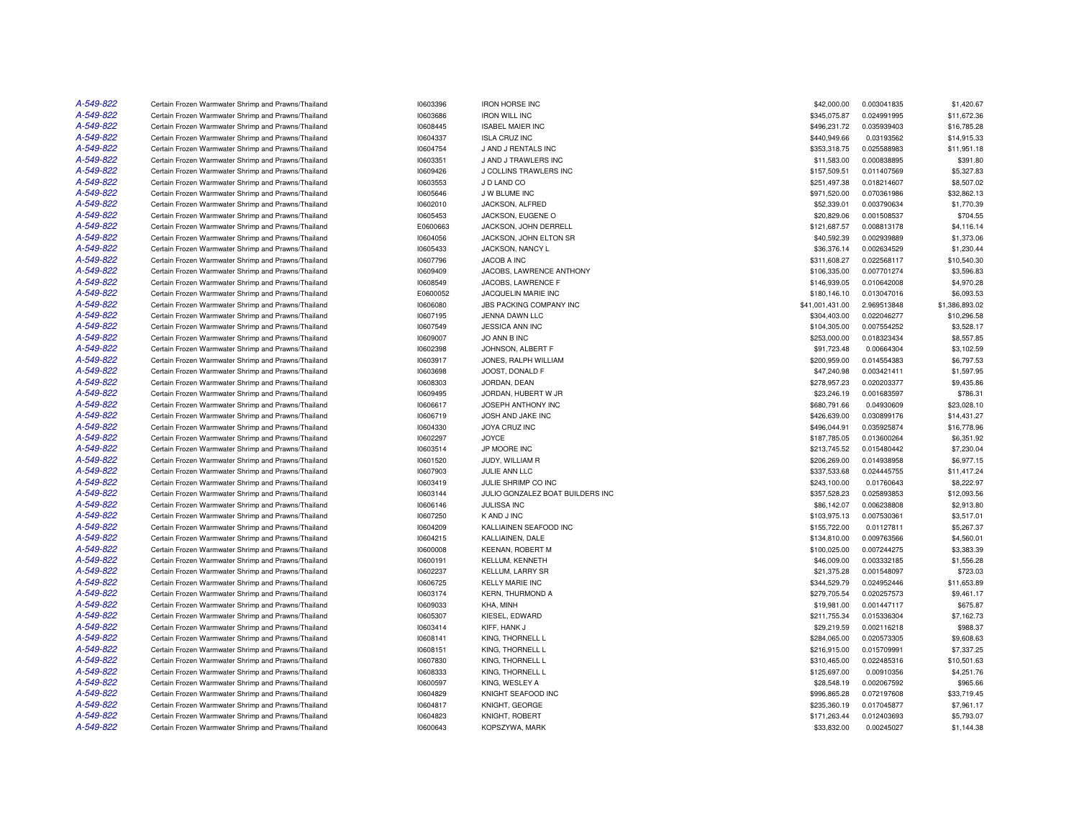| A-549-822 | Certain Frozen Warmwater Shrimp and Prawns/Thailand                                                        | 10603396             | <b>IRON HORSE INC</b>                | \$42,000.00                  | 0.003041835               | \$1,420.67                |
|-----------|------------------------------------------------------------------------------------------------------------|----------------------|--------------------------------------|------------------------------|---------------------------|---------------------------|
| A-549-822 | Certain Frozen Warmwater Shrimp and Prawns/Thailand                                                        | 10603686             | <b>IRON WILL INC</b>                 | \$345,075.87                 | 0.024991995               | \$11,672.36               |
| A-549-822 | Certain Frozen Warmwater Shrimp and Prawns/Thailand                                                        | 10608445             | <b>ISABEL MAIER INC</b>              | \$496,231.72                 | 0.035939403               | \$16,785.28               |
| A-549-822 | Certain Frozen Warmwater Shrimp and Prawns/Thailand                                                        | 10604337             | <b>ISLA CRUZ INC</b>                 | \$440,949.66                 | 0.03193562                | \$14,915.33               |
| A-549-822 | Certain Frozen Warmwater Shrimp and Prawns/Thailand                                                        | 10604754             | J AND J RENTALS INC                  | \$353,318.75                 | 0.025588983               | \$11,951.18               |
| A-549-822 | Certain Frozen Warmwater Shrimp and Prawns/Thailand                                                        | 10603351             | J AND J TRAWLERS INC                 | \$11,583.00                  | 0.000838895               | \$391.80                  |
| A-549-822 | Certain Frozen Warmwater Shrimp and Prawns/Thailand                                                        | 10609426             | J COLLINS TRAWLERS INC               | \$157,509.51                 | 0.011407569               | \$5,327.83                |
| A-549-822 | Certain Frozen Warmwater Shrimp and Prawns/Thailand                                                        | 10603553             | J D LAND CO                          | \$251,497.38                 | 0.018214607               | \$8,507.02                |
| A-549-822 | Certain Frozen Warmwater Shrimp and Prawns/Thailand                                                        | 10605646             | J W BLUME INC                        | \$971,520.00                 | 0.070361986               | \$32,862.13               |
| A-549-822 | Certain Frozen Warmwater Shrimp and Prawns/Thailand                                                        | 10602010             | JACKSON, ALFRED                      | \$52,339.01                  | 0.003790634               | \$1,770.39                |
| A-549-822 | Certain Frozen Warmwater Shrimp and Prawns/Thailand                                                        | 10605453             | JACKSON, EUGENE O                    | \$20,829.06                  | 0.001508537               | \$704.55                  |
| A-549-822 | Certain Frozen Warmwater Shrimp and Prawns/Thailand                                                        | E0600663             | JACKSON, JOHN DERRELL                | \$121,687.57                 | 0.008813178               | \$4,116.14                |
| A-549-822 | Certain Frozen Warmwater Shrimp and Prawns/Thailand                                                        | 10604056             | JACKSON, JOHN ELTON SR               | \$40,592.39                  | 0.002939889               | \$1,373.06                |
| A-549-822 | Certain Frozen Warmwater Shrimp and Prawns/Thailand                                                        | 10605433             | <b>JACKSON, NANCY L</b>              | \$36,376.14                  | 0.002634529               | \$1,230.44                |
| A-549-822 | Certain Frozen Warmwater Shrimp and Prawns/Thailand                                                        | 10607796             | JACOB A INC                          | \$311,608.27                 | 0.022568117               | \$10,540.30               |
| A-549-822 | Certain Frozen Warmwater Shrimp and Prawns/Thailand                                                        | 10609409             | JACOBS, LAWRENCE ANTHONY             | \$106,335.00                 | 0.007701274               | \$3,596.83                |
| A-549-822 | Certain Frozen Warmwater Shrimp and Prawns/Thailand                                                        | 10608549             | JACOBS, LAWRENCE F                   | \$146,939.05                 | 0.010642008               | \$4,970.28                |
| A-549-822 | Certain Frozen Warmwater Shrimp and Prawns/Thailand                                                        | E0600052             | JACQUELIN MARIE INC                  | \$180,146.10                 | 0.013047016               | \$6,093.53                |
| A-549-822 | Certain Frozen Warmwater Shrimp and Prawns/Thailand                                                        | 10606080             | JBS PACKING COMPANY INC              | \$41,001,431.00              | 2.969513848               | \$1,386,893.02            |
| A-549-822 | Certain Frozen Warmwater Shrimp and Prawns/Thailand                                                        | 10607195             | JENNA DAWN LLC                       | \$304,403.00                 | 0.022046277               | \$10,296.58               |
| A-549-822 | Certain Frozen Warmwater Shrimp and Prawns/Thailand                                                        | 10607549             | JESSICA ANN INC                      | \$104,305.00                 | 0.007554252               | \$3,528.17                |
| A-549-822 | Certain Frozen Warmwater Shrimp and Prawns/Thailand                                                        | 10609007             | JO ANN B INC                         | \$253,000.00                 | 0.018323434               | \$8,557.85                |
| A-549-822 | Certain Frozen Warmwater Shrimp and Prawns/Thailand                                                        | 10602398             | JOHNSON, ALBERT F                    | \$91,723.48                  | 0.00664304                | \$3,102.59                |
| A-549-822 | Certain Frozen Warmwater Shrimp and Prawns/Thailand                                                        | 10603917             | JONES, RALPH WILLIAM                 | \$200,959.00                 | 0.014554383               | \$6,797.53                |
| A-549-822 | Certain Frozen Warmwater Shrimp and Prawns/Thailand                                                        | 10603698             | JOOST, DONALD F                      | \$47,240.98                  | 0.003421411               | \$1,597.95                |
| A-549-822 | Certain Frozen Warmwater Shrimp and Prawns/Thailand                                                        | 10608303             | JORDAN, DEAN                         | \$278,957.23                 | 0.020203377               | \$9,435.86                |
| A-549-822 | Certain Frozen Warmwater Shrimp and Prawns/Thailand                                                        | 10609495             | JORDAN, HUBERT W JR                  | \$23,246.19                  | 0.001683597               | \$786.31                  |
| A-549-822 | Certain Frozen Warmwater Shrimp and Prawns/Thailand                                                        | 10606617             | JOSEPH ANTHONY INC                   | \$680,791.66                 | 0.04930609                | \$23,028.10               |
| A-549-822 | Certain Frozen Warmwater Shrimp and Prawns/Thailand                                                        | 10606719             | JOSH AND JAKE INC                    | \$426,639.00                 | 0.030899176               | \$14,431.27               |
| A-549-822 | Certain Frozen Warmwater Shrimp and Prawns/Thailand                                                        | 10604330             | JOYA CRUZ INC                        | \$496,044.91                 | 0.035925874               | \$16,778.96               |
| A-549-822 | Certain Frozen Warmwater Shrimp and Prawns/Thailand                                                        | 10602297             | <b>JOYCE</b>                         | \$187,785.05                 | 0.013600264               | \$6,351.92                |
| A-549-822 | Certain Frozen Warmwater Shrimp and Prawns/Thailand                                                        | 10603514             | JP MOORE INC                         | \$213,745.52                 | 0.015480442               | \$7,230.04                |
| A-549-822 |                                                                                                            |                      |                                      |                              |                           |                           |
| A-549-822 | Certain Frozen Warmwater Shrimp and Prawns/Thailand                                                        | 10601520             | JUDY, WILLIAM R                      | \$206,269.00                 | 0.014938958               | \$6,977.15                |
| A-549-822 | Certain Frozen Warmwater Shrimp and Prawns/Thailand<br>Certain Frozen Warmwater Shrimp and Prawns/Thailand | 10607903<br>10603419 | JULIE ANN LLC<br>JULIE SHRIMP CO INC | \$337,533.68<br>\$243,100.00 | 0.024445755<br>0.01760643 | \$11,417.24<br>\$8,222.97 |
| A-549-822 |                                                                                                            |                      |                                      |                              |                           |                           |
|           | Certain Frozen Warmwater Shrimp and Prawns/Thailand                                                        | 10603144             | JULIO GONZALEZ BOAT BUILDERS INC     | \$357,528.23                 | 0.025893853               | \$12,093.56               |
| A-549-822 | Certain Frozen Warmwater Shrimp and Prawns/Thailand                                                        | 10606146             | JULISSA INC                          | \$86,142.07                  | 0.006238808               | \$2,913.80                |
| A-549-822 | Certain Frozen Warmwater Shrimp and Prawns/Thailand                                                        | 10607250             | K AND J INC                          | \$103,975.13                 | 0.007530361               | \$3,517.01                |
| A-549-822 | Certain Frozen Warmwater Shrimp and Prawns/Thailand                                                        | 10604209             | KALLIAINEN SEAFOOD INC               | \$155,722.00                 | 0.01127811                | \$5,267.37                |
| A-549-822 | Certain Frozen Warmwater Shrimp and Prawns/Thailand                                                        | 10604215             | KALLIAINEN, DALE                     | \$134,810.00                 | 0.009763566               | \$4,560.01                |
| A-549-822 | Certain Frozen Warmwater Shrimp and Prawns/Thailand                                                        | 10600008             | <b>KEENAN, ROBERT M</b>              | \$100,025.00                 | 0.007244275               | \$3,383.39                |
| A-549-822 | Certain Frozen Warmwater Shrimp and Prawns/Thailand                                                        | 10600191             | KELLUM, KENNETH                      | \$46,009.00                  | 0.003332185               | \$1,556.28                |
| A-549-822 | Certain Frozen Warmwater Shrimp and Prawns/Thailand                                                        | 10602237             | <b>KELLUM, LARRY SR</b>              | \$21,375.28                  | 0.001548097               | \$723.03                  |
| A-549-822 | Certain Frozen Warmwater Shrimp and Prawns/Thailand                                                        | 10606725             | <b>KELLY MARIE INC</b>               | \$344,529.79                 | 0.024952446               | \$11,653.89               |
| A-549-822 | Certain Frozen Warmwater Shrimp and Prawns/Thailand                                                        | 10603174             | KERN, THURMOND A                     | \$279,705.54                 | 0.020257573               | \$9,461.17                |
| A-549-822 | Certain Frozen Warmwater Shrimp and Prawns/Thailand                                                        | 10609033             | KHA, MINH                            | \$19,981.00                  | 0.001447117               | \$675.87                  |
| A-549-822 | Certain Frozen Warmwater Shrimp and Prawns/Thailand                                                        | 10605307             | KIESEL, EDWARD                       | \$211,755.34                 | 0.015336304               | \$7,162.73                |
| A-549-822 | Certain Frozen Warmwater Shrimp and Prawns/Thailand                                                        | 10603414             | KIFF, HANK J                         | \$29,219.59                  | 0.002116218               | \$988.37                  |
| A-549-822 | Certain Frozen Warmwater Shrimp and Prawns/Thailand                                                        | 10608141             | KING, THORNELL L                     | \$284,065.00                 | 0.020573305               | \$9,608.63                |
| A-549-822 | Certain Frozen Warmwater Shrimp and Prawns/Thailand                                                        | 10608151             | KING, THORNELL L                     | \$216,915.00                 | 0.015709991               | \$7,337.25                |
| A-549-822 | Certain Frozen Warmwater Shrimp and Prawns/Thailand                                                        | 10607830             | KING. THORNELL L                     | \$310,465.00                 | 0.022485316               | \$10,501.63               |
| A-549-822 | Certain Frozen Warmwater Shrimp and Prawns/Thailand                                                        | 10608333             | KING, THORNELL L                     | \$125,697.00                 | 0.00910356                | \$4,251.76                |
| A-549-822 | Certain Frozen Warmwater Shrimp and Prawns/Thailand                                                        | 10600597             | KING, WESLEY A                       | \$28,548.19                  | 0.002067592               | \$965.66                  |
| A-549-822 | Certain Frozen Warmwater Shrimp and Prawns/Thailand                                                        | 10604829             | KNIGHT SEAFOOD INC                   | \$996,865.28                 | 0.072197608               | \$33,719.45               |
| A-549-822 | Certain Frozen Warmwater Shrimp and Prawns/Thailand                                                        | 10604817             | KNIGHT, GEORGE                       | \$235,360.19                 | 0.017045877               | \$7,961.17                |
| A-549-822 | Certain Frozen Warmwater Shrimp and Prawns/Thailand                                                        | 10604823             | KNIGHT, ROBERT                       | \$171,263.44                 | 0.012403693               | \$5,793.07                |
| A-549-822 | Certain Frozen Warmwater Shrimp and Prawns/Thailand                                                        | 10600643             | KOPSZYWA, MARK                       | \$33,832.00                  | 0.00245027                | \$1,144.38                |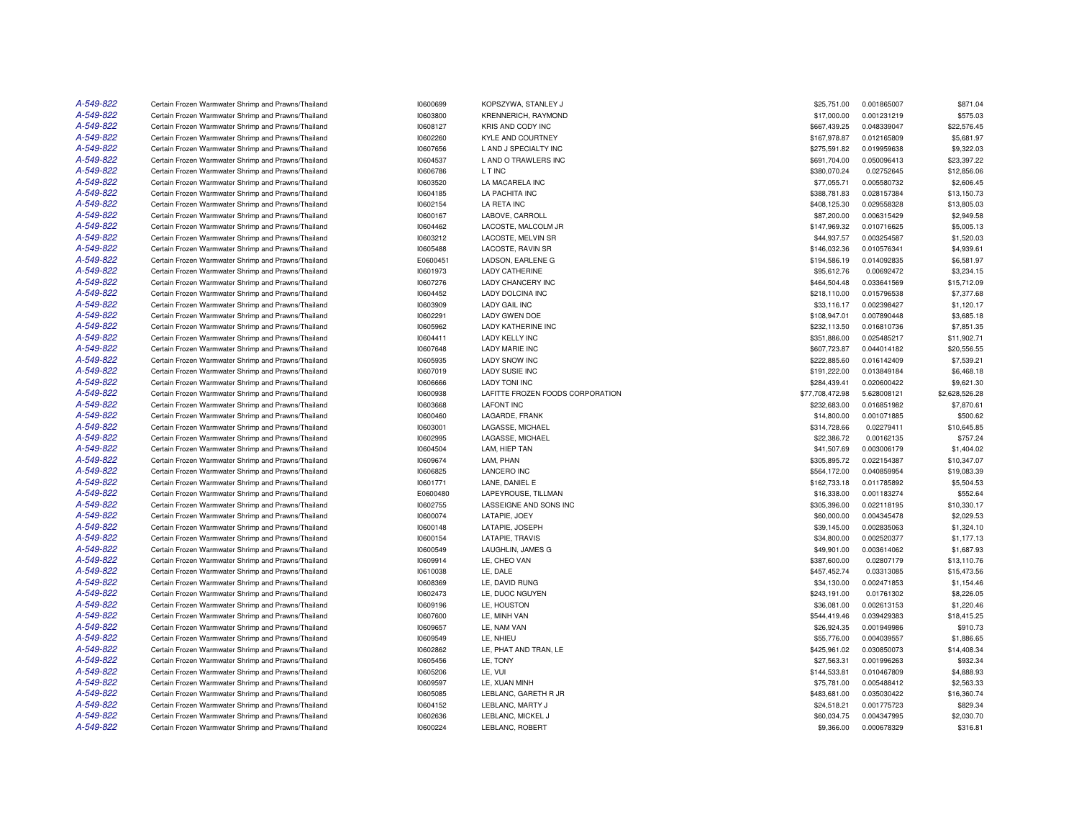| A-549-822 | Certain Frozen Warmwater Shrimp and Prawns/Thailand | 10600699 | KOPSZYWA, STANLEY J              | \$25,751.00     | 0.001865007 | \$871.04       |
|-----------|-----------------------------------------------------|----------|----------------------------------|-----------------|-------------|----------------|
| A-549-822 | Certain Frozen Warmwater Shrimp and Prawns/Thailand | 10603800 | KRENNERICH, RAYMOND              | \$17,000.00     | 0.001231219 | \$575.03       |
| A-549-822 | Certain Frozen Warmwater Shrimp and Prawns/Thailand | 10608127 | KRIS AND CODY INC                | \$667,439.25    | 0.048339047 | \$22,576.45    |
| A-549-822 | Certain Frozen Warmwater Shrimp and Prawns/Thailand | 10602260 | <b>KYLE AND COURTNEY</b>         | \$167,978.87    | 0.012165809 | \$5,681.97     |
| A-549-822 | Certain Frozen Warmwater Shrimp and Prawns/Thailand | 10607656 | L AND J SPECIALTY INC            | \$275,591.82    | 0.019959638 | \$9,322.03     |
| A-549-822 | Certain Frozen Warmwater Shrimp and Prawns/Thailand | 10604537 | L AND O TRAWLERS INC             | \$691,704.00    | 0.050096413 | \$23,397.22    |
| A-549-822 | Certain Frozen Warmwater Shrimp and Prawns/Thailand | 10606786 | L T INC                          | \$380,070.24    | 0.02752645  | \$12,856.06    |
| A-549-822 | Certain Frozen Warmwater Shrimp and Prawns/Thailand | 10603520 | LA MACARELA INC                  | \$77,055.71     | 0.005580732 | \$2,606.45     |
| A-549-822 | Certain Frozen Warmwater Shrimp and Prawns/Thailand | 10604185 | LA PACHITA INC                   | \$388,781.83    | 0.028157384 | \$13,150.73    |
| A-549-822 | Certain Frozen Warmwater Shrimp and Prawns/Thailand | 10602154 | LA RETA INC                      | \$408,125.30    | 0.029558328 | \$13,805.03    |
| A-549-822 | Certain Frozen Warmwater Shrimp and Prawns/Thailand | 10600167 | LABOVE, CARROLL                  | \$87,200.00     | 0.006315429 | \$2,949.58     |
| A-549-822 | Certain Frozen Warmwater Shrimp and Prawns/Thailand | 10604462 | LACOSTE, MALCOLM JR              | \$147.969.32    | 0.010716625 | \$5,005.13     |
| A-549-822 | Certain Frozen Warmwater Shrimp and Prawns/Thailand | 10603212 | <b>LACOSTE, MELVIN SR</b>        | \$44,937.57     | 0.003254587 | \$1,520.03     |
| A-549-822 | Certain Frozen Warmwater Shrimp and Prawns/Thailand | 10605488 | LACOSTE, RAVIN SR                | \$146,032.36    | 0.010576341 | \$4,939.61     |
| A-549-822 | Certain Frozen Warmwater Shrimp and Prawns/Thailand | E0600451 | LADSON, EARLENE G                | \$194,586.19    | 0.014092835 | \$6,581.97     |
| A-549-822 | Certain Frozen Warmwater Shrimp and Prawns/Thailand | 10601973 | <b>LADY CATHERINE</b>            | \$95,612.76     | 0.00692472  | \$3.234.15     |
| A-549-822 |                                                     |          |                                  |                 |             |                |
|           | Certain Frozen Warmwater Shrimp and Prawns/Thailand | 10607276 | LADY CHANCERY INC                | \$464,504.48    | 0.033641569 | \$15,712.09    |
| A-549-822 | Certain Frozen Warmwater Shrimp and Prawns/Thailand | 10604452 | LADY DOLCINA INC                 | \$218,110.00    | 0.015796538 | \$7,377.68     |
| A-549-822 | Certain Frozen Warmwater Shrimp and Prawns/Thailand | 10603909 | <b>LADY GAIL INC</b>             | \$33,116.17     | 0.002398427 | \$1,120.17     |
| A-549-822 | Certain Frozen Warmwater Shrimp and Prawns/Thailand | 10602291 | <b>LADY GWEN DOE</b>             | \$108,947.01    | 0.007890448 | \$3,685.18     |
| A-549-822 | Certain Frozen Warmwater Shrimp and Prawns/Thailand | 10605962 | <b>LADY KATHERINE INC</b>        | \$232,113.50    | 0.016810736 | \$7,851.35     |
| A-549-822 | Certain Frozen Warmwater Shrimp and Prawns/Thailand | 10604411 | <b>LADY KELLY INC</b>            | \$351,886.00    | 0.025485217 | \$11,902.71    |
| A-549-822 | Certain Frozen Warmwater Shrimp and Prawns/Thailand | 10607648 | LADY MARIE INC                   | \$607,723.87    | 0.044014182 | \$20,556.55    |
| A-549-822 | Certain Frozen Warmwater Shrimp and Prawns/Thailand | 10605935 | <b>LADY SNOW INC</b>             | \$222,885.60    | 0.016142409 | \$7,539.21     |
| A-549-822 | Certain Frozen Warmwater Shrimp and Prawns/Thailand | 10607019 | <b>LADY SUSIE INC</b>            | \$191,222.00    | 0.013849184 | \$6,468.18     |
| A-549-822 | Certain Frozen Warmwater Shrimp and Prawns/Thailand | 10606666 | <b>LADY TONI INC</b>             | \$284,439.41    | 0.020600422 | \$9,621.30     |
| A-549-822 | Certain Frozen Warmwater Shrimp and Prawns/Thailand | 10600938 | LAFITTE FROZEN FOODS CORPORATION | \$77,708,472.98 | 5.628008121 | \$2,628,526.28 |
| A-549-822 | Certain Frozen Warmwater Shrimp and Prawns/Thailand | 10603668 | <b>LAFONT INC</b>                | \$232,683,00    | 0.016851982 | \$7,870.61     |
| A-549-822 | Certain Frozen Warmwater Shrimp and Prawns/Thailand | 10600460 | LAGARDE, FRANK                   | \$14,800.00     | 0.001071885 | \$500.62       |
| A-549-822 | Certain Frozen Warmwater Shrimp and Prawns/Thailand | 10603001 | LAGASSE, MICHAEL                 | \$314,728.66    | 0.02279411  | \$10,645.85    |
| A-549-822 | Certain Frozen Warmwater Shrimp and Prawns/Thailand | 10602995 | LAGASSE, MICHAEL                 | \$22,386.72     | 0.00162135  | \$757.24       |
| A-549-822 | Certain Frozen Warmwater Shrimp and Prawns/Thailand | 10604504 | LAM. HIEP TAN                    | \$41,507.69     | 0.003006179 | \$1,404.02     |
| A-549-822 | Certain Frozen Warmwater Shrimp and Prawns/Thailand | 10609674 | LAM, PHAN                        | \$305,895.72    | 0.022154387 | \$10,347.07    |
| A-549-822 | Certain Frozen Warmwater Shrimp and Prawns/Thailand | 10606825 | <b>LANCERO INC</b>               | \$564,172.00    | 0.040859954 | \$19,083.39    |
| A-549-822 | Certain Frozen Warmwater Shrimp and Prawns/Thailand | 10601771 | LANE, DANIEL E                   | \$162,733.18    | 0.011785892 | \$5,504.53     |
| A-549-822 | Certain Frozen Warmwater Shrimp and Prawns/Thailand | E0600480 | LAPEYROUSE, TILLMAN              | \$16,338.00     | 0.001183274 | \$552.64       |
| A-549-822 | Certain Frozen Warmwater Shrimp and Prawns/Thailand | 10602755 | LASSEIGNE AND SONS INC           | \$305,396.00    | 0.022118195 | \$10,330.17    |
| A-549-822 | Certain Frozen Warmwater Shrimp and Prawns/Thailand | 10600074 | LATAPIE, JOEY                    | \$60,000.00     | 0.004345478 | \$2,029.53     |
| A-549-822 | Certain Frozen Warmwater Shrimp and Prawns/Thailand | 10600148 | LATAPIE, JOSEPH                  | \$39,145.00     | 0.002835063 | \$1,324.10     |
| A-549-822 | Certain Frozen Warmwater Shrimp and Prawns/Thailand | 10600154 | LATAPIE. TRAVIS                  | \$34,800.00     | 0.002520377 | \$1,177,13     |
| A-549-822 | Certain Frozen Warmwater Shrimp and Prawns/Thailand | 10600549 | LAUGHLIN, JAMES G                | \$49,901.00     | 0.003614062 | \$1,687.93     |
| A-549-822 | Certain Frozen Warmwater Shrimp and Prawns/Thailand | 10609914 | LE, CHEO VAN                     | \$387,600.00    | 0.02807179  | \$13,110.76    |
| A-549-822 | Certain Frozen Warmwater Shrimp and Prawns/Thailand | 10610038 | LE, DALE                         | \$457,452.74    | 0.03313085  | \$15,473.56    |
| A-549-822 | Certain Frozen Warmwater Shrimp and Prawns/Thailand | 10608369 | LE. DAVID RUNG                   | \$34,130.00     | 0.002471853 | \$1,154.46     |
| A-549-822 | Certain Frozen Warmwater Shrimp and Prawns/Thailand | 10602473 | LE. DUOC NGUYEN                  | \$243,191.00    | 0.01761302  | \$8,226.05     |
| A-549-822 | Certain Frozen Warmwater Shrimp and Prawns/Thailand | 10609196 | LE, HOUSTON                      | \$36,081.00     | 0.002613153 | \$1,220.46     |
| A-549-822 | Certain Frozen Warmwater Shrimp and Prawns/Thailand | 10607600 | LE, MINH VAN                     | \$544,419.46    | 0.039429383 | \$18,415.25    |
| A-549-822 | Certain Frozen Warmwater Shrimp and Prawns/Thailand | 10609657 | LE. NAM VAN                      | \$26,924.35     | 0.001949986 | \$910.73       |
| A-549-822 |                                                     |          |                                  |                 |             |                |
|           | Certain Frozen Warmwater Shrimp and Prawns/Thailand | 10609549 | LE, NHIEU                        | \$55,776.00     | 0.004039557 | \$1,886.65     |
| A-549-822 | Certain Frozen Warmwater Shrimp and Prawns/Thailand | 10602862 | LE, PHAT AND TRAN, LE            | \$425,961.02    | 0.030850073 | \$14,408.34    |
| A-549-822 | Certain Frozen Warmwater Shrimp and Prawns/Thailand | 10605456 | LE, TONY                         | \$27,563.31     | 0.001996263 | \$932.34       |
| A-549-822 | Certain Frozen Warmwater Shrimp and Prawns/Thailand | 10605206 | LE. VUI                          | \$144,533.81    | 0.010467809 | \$4,888.93     |
| A-549-822 | Certain Frozen Warmwater Shrimp and Prawns/Thailand | 10609597 | LE, XUAN MINH                    | \$75,781.00     | 0.005488412 | \$2,563.33     |
| A-549-822 | Certain Frozen Warmwater Shrimp and Prawns/Thailand | 10605085 | LEBLANC, GARETH R JR             | \$483,681.00    | 0.035030422 | \$16,360.74    |
| A-549-822 | Certain Frozen Warmwater Shrimp and Prawns/Thailand | 10604152 | LEBLANC, MARTY J                 | \$24,518.21     | 0.001775723 | \$829.34       |
| A-549-822 | Certain Frozen Warmwater Shrimp and Prawns/Thailand | 10602636 | LEBLANC, MICKEL J                | \$60,034.75     | 0.004347995 | \$2,030.70     |
| A-549-822 | Certain Frozen Warmwater Shrimp and Prawns/Thailand | 10600224 | LEBLANC, ROBERT                  | \$9,366.00      | 0.000678329 | \$316.81       |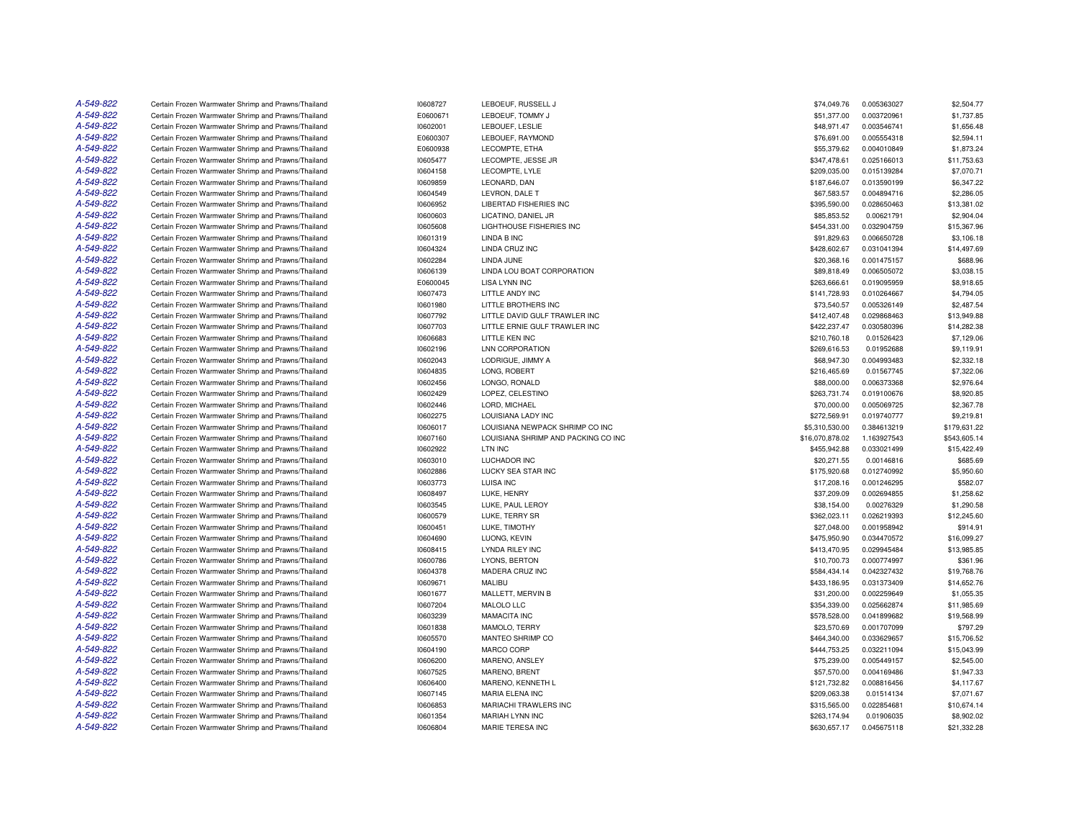| A-549-822 | Certain Frozen Warmwater Shrimp and Prawns/Thailand | 10608727 | LEBOEUF, RUSSELL J                  | \$74,049.76     | 0.005363027 | \$2,504.77   |
|-----------|-----------------------------------------------------|----------|-------------------------------------|-----------------|-------------|--------------|
| A-549-822 | Certain Frozen Warmwater Shrimp and Prawns/Thailand | E0600671 | LEBOEUF, TOMMY J                    | \$51,377.00     | 0.003720961 | \$1,737.85   |
| A-549-822 | Certain Frozen Warmwater Shrimp and Prawns/Thailand | 10602001 | LEBOUEF, LESLIE                     | \$48,971.47     | 0.003546741 | \$1,656.48   |
| A-549-822 | Certain Frozen Warmwater Shrimp and Prawns/Thailand | E0600307 | LEBOUEF, RAYMOND                    | \$76,691.00     | 0.005554318 | \$2,594.11   |
| A-549-822 | Certain Frozen Warmwater Shrimp and Prawns/Thailand | E0600938 | LECOMPTE, ETHA                      | \$55,379.62     | 0.004010849 | \$1,873.24   |
| A-549-822 | Certain Frozen Warmwater Shrimp and Prawns/Thailand | 10605477 | LECOMPTE, JESSE JR                  | \$347,478.61    | 0.025166013 | \$11,753.63  |
| A-549-822 | Certain Frozen Warmwater Shrimp and Prawns/Thailand | 10604158 | LECOMPTE, LYLE                      | \$209,035.00    | 0.015139284 | \$7,070.71   |
| A-549-822 | Certain Frozen Warmwater Shrimp and Prawns/Thailand | 10609859 | LEONARD, DAN                        | \$187,646.07    | 0.013590199 | \$6,347.22   |
| A-549-822 | Certain Frozen Warmwater Shrimp and Prawns/Thailand | 10604549 | LEVRON, DALE T                      | \$67,583.57     | 0.004894716 | \$2,286.05   |
| A-549-822 | Certain Frozen Warmwater Shrimp and Prawns/Thailand | 10606952 | LIBERTAD FISHERIES INC              | \$395,590.00    | 0.028650463 | \$13,381.02  |
| A-549-822 | Certain Frozen Warmwater Shrimp and Prawns/Thailand | 10600603 | LICATINO, DANIEL JR                 | \$85,853.52     | 0.00621791  | \$2,904.04   |
| A-549-822 | Certain Frozen Warmwater Shrimp and Prawns/Thailand | 10605608 | LIGHTHOUSE FISHERIES INC            | \$454,331.00    | 0.032904759 | \$15,367.96  |
| A-549-822 | Certain Frozen Warmwater Shrimp and Prawns/Thailand | 10601319 | <b>LINDA B INC</b>                  | \$91,829.63     | 0.006650728 | \$3,106.18   |
| A-549-822 | Certain Frozen Warmwater Shrimp and Prawns/Thailand | 10604324 | LINDA CRUZ INC                      | \$428,602.67    | 0.031041394 | \$14,497.69  |
| A-549-822 | Certain Frozen Warmwater Shrimp and Prawns/Thailand | 10602284 | LINDA JUNE                          | \$20,368.16     | 0.001475157 | \$688.96     |
| A-549-822 | Certain Frozen Warmwater Shrimp and Prawns/Thailand | 10606139 | LINDA LOU BOAT CORPORATION          | \$89,818.49     | 0.006505072 | \$3,038.15   |
| A-549-822 | Certain Frozen Warmwater Shrimp and Prawns/Thailand | E0600045 | <b>LISA LYNN INC</b>                | \$263,666.61    | 0.019095959 | \$8,918.65   |
| A-549-822 | Certain Frozen Warmwater Shrimp and Prawns/Thailand | 10607473 | LITTLE ANDY INC                     | \$141,728.93    | 0.010264667 | \$4,794.05   |
| A-549-822 | Certain Frozen Warmwater Shrimp and Prawns/Thailand | 10601980 | LITTLE BROTHERS INC                 | \$73,540.57     | 0.005326149 | \$2,487.54   |
| A-549-822 | Certain Frozen Warmwater Shrimp and Prawns/Thailand | 10607792 | LITTLE DAVID GULF TRAWLER INC       | \$412,407.48    | 0.029868463 | \$13,949.88  |
| A-549-822 | Certain Frozen Warmwater Shrimp and Prawns/Thailand | 10607703 | LITTLE ERNIE GULF TRAWLER INC       | \$422,237.47    | 0.030580396 | \$14,282.38  |
| A-549-822 | Certain Frozen Warmwater Shrimp and Prawns/Thailand | 10606683 | LITTLE KEN INC                      | \$210,760.18    | 0.01526423  | \$7,129.06   |
| A-549-822 | Certain Frozen Warmwater Shrimp and Prawns/Thailand | 10602196 | <b>LNN CORPORATION</b>              | \$269,616.53    | 0.01952688  | \$9,119.91   |
| A-549-822 | Certain Frozen Warmwater Shrimp and Prawns/Thailand | 10602043 | LODRIGUE, JIMMY A                   | \$68,947.30     | 0.004993483 | \$2,332.18   |
| A-549-822 | Certain Frozen Warmwater Shrimp and Prawns/Thailand | 10604835 | LONG, ROBERT                        | \$216,465.69    | 0.01567745  | \$7,322.06   |
| A-549-822 | Certain Frozen Warmwater Shrimp and Prawns/Thailand | 10602456 | LONGO, RONALD                       | \$88,000.00     | 0.006373368 | \$2,976.64   |
| A-549-822 | Certain Frozen Warmwater Shrimp and Prawns/Thailand | 10602429 | LOPEZ, CELESTINO                    | \$263,731.74    | 0.019100676 | \$8,920.85   |
| A-549-822 | Certain Frozen Warmwater Shrimp and Prawns/Thailand | 10602446 | LORD, MICHAEL                       | \$70,000.00     | 0.005069725 | \$2,367.78   |
| A-549-822 | Certain Frozen Warmwater Shrimp and Prawns/Thailand | 10602275 | LOUISIANA LADY INC                  | \$272,569.91    | 0.019740777 | \$9,219.81   |
| A-549-822 | Certain Frozen Warmwater Shrimp and Prawns/Thailand | 10606017 | LOUISIANA NEWPACK SHRIMP CO INC     | \$5,310,530.00  | 0.384613219 | \$179,631.22 |
| A-549-822 | Certain Frozen Warmwater Shrimp and Prawns/Thailand | 10607160 | LOUISIANA SHRIMP AND PACKING CO INC | \$16,070,878.02 | 1.163927543 | \$543,605.14 |
| A-549-822 | Certain Frozen Warmwater Shrimp and Prawns/Thailand | 10602922 | LTN INC                             | \$455,942.88    | 0.033021499 | \$15,422.49  |
| A-549-822 | Certain Frozen Warmwater Shrimp and Prawns/Thailand | 10603010 | LUCHADOR INC                        | \$20,271.55     | 0.00146816  | \$685.69     |
| A-549-822 | Certain Frozen Warmwater Shrimp and Prawns/Thailand | 10602886 | LUCKY SEA STAR INC                  | \$175,920.68    | 0.012740992 | \$5,950.60   |
| A-549-822 | Certain Frozen Warmwater Shrimp and Prawns/Thailand | 10603773 | LUISA INC                           | \$17,208.16     | 0.001246295 | \$582.07     |
| A-549-822 | Certain Frozen Warmwater Shrimp and Prawns/Thailand | 10608497 | LUKE, HENRY                         | \$37,209.09     | 0.002694855 | \$1,258.62   |
| A-549-822 | Certain Frozen Warmwater Shrimp and Prawns/Thailand | 10603545 | LUKE, PAUL LEROY                    | \$38,154.00     | 0.00276329  | \$1,290.58   |
| A-549-822 | Certain Frozen Warmwater Shrimp and Prawns/Thailand | 10600579 | LUKE, TERRY SR                      | \$362,023.11    | 0.026219393 | \$12,245.60  |
| A-549-822 | Certain Frozen Warmwater Shrimp and Prawns/Thailand | 10600451 | LUKE, TIMOTHY                       | \$27,048.00     | 0.001958942 | \$914.91     |
| A-549-822 | Certain Frozen Warmwater Shrimp and Prawns/Thailand | 10604690 | LUONG, KEVIN                        | \$475,950.90    | 0.034470572 | \$16,099.27  |
| A-549-822 | Certain Frozen Warmwater Shrimp and Prawns/Thailand | 10608415 | <b>LYNDA RILEY INC</b>              | \$413,470.95    | 0.029945484 | \$13,985.85  |
| A-549-822 | Certain Frozen Warmwater Shrimp and Prawns/Thailand | 10600786 | LYONS, BERTON                       | \$10,700.73     | 0.000774997 | \$361.96     |
| A-549-822 | Certain Frozen Warmwater Shrimp and Prawns/Thailand | 10604378 | MADERA CRUZ INC                     | \$584,434.14    | 0.042327432 | \$19,768.76  |
| A-549-822 | Certain Frozen Warmwater Shrimp and Prawns/Thailand | 10609671 | <b>MALIBU</b>                       | \$433,186.95    | 0.031373409 | \$14,652.76  |
| A-549-822 | Certain Frozen Warmwater Shrimp and Prawns/Thailand | 10601677 | MALLETT, MERVIN B                   | \$31,200.00     | 0.002259649 | \$1,055.35   |
| A-549-822 | Certain Frozen Warmwater Shrimp and Prawns/Thailand | 10607204 | MALOLO LLC                          | \$354,339.00    | 0.025662874 | \$11,985.69  |
| A-549-822 | Certain Frozen Warmwater Shrimp and Prawns/Thailand | 10603239 | MAMACITA INC                        | \$578,528.00    | 0.041899682 | \$19,568.99  |
| A-549-822 | Certain Frozen Warmwater Shrimp and Prawns/Thailand | 10601838 | MAMOLO, TERRY                       | \$23,570.69     | 0.001707099 | \$797.29     |
| A-549-822 | Certain Frozen Warmwater Shrimp and Prawns/Thailand | 10605570 | MANTEO SHRIMP CO                    | \$464,340.00    | 0.033629657 | \$15,706.52  |
| A-549-822 | Certain Frozen Warmwater Shrimp and Prawns/Thailand | 10604190 | MARCO CORP                          | \$444,753.25    | 0.032211094 | \$15,043.99  |
| A-549-822 | Certain Frozen Warmwater Shrimp and Prawns/Thailand | 10606200 | MARENO, ANSLEY                      | \$75,239.00     | 0.005449157 | \$2,545.00   |
| A-549-822 | Certain Frozen Warmwater Shrimp and Prawns/Thailand | 10607525 | MARENO, BRENT                       | \$57,570.00     | 0.004169486 | \$1,947.33   |
| A-549-822 | Certain Frozen Warmwater Shrimp and Prawns/Thailand | 10606400 | MARENO, KENNETH L                   | \$121,732.82    | 0.008816456 | \$4,117.67   |
| A-549-822 | Certain Frozen Warmwater Shrimp and Prawns/Thailand | 10607145 | <b>MARIA ELENA INC</b>              | \$209,063.38    | 0.01514134  | \$7,071.67   |
| A-549-822 | Certain Frozen Warmwater Shrimp and Prawns/Thailand | 10606853 | MARIACHI TRAWLERS INC               | \$315,565.00    | 0.022854681 | \$10,674.14  |
| A-549-822 | Certain Frozen Warmwater Shrimp and Prawns/Thailand | 10601354 | <b>MARIAH LYNN INC</b>              | \$263.174.94    | 0.01906035  | \$8,902.02   |
| A-549-822 | Certain Frozen Warmwater Shrimp and Prawns/Thailand | 10606804 | <b>MARIE TERESA INC</b>             | \$630,657.17    | 0.045675118 | \$21,332.28  |
|           |                                                     |          |                                     |                 |             |              |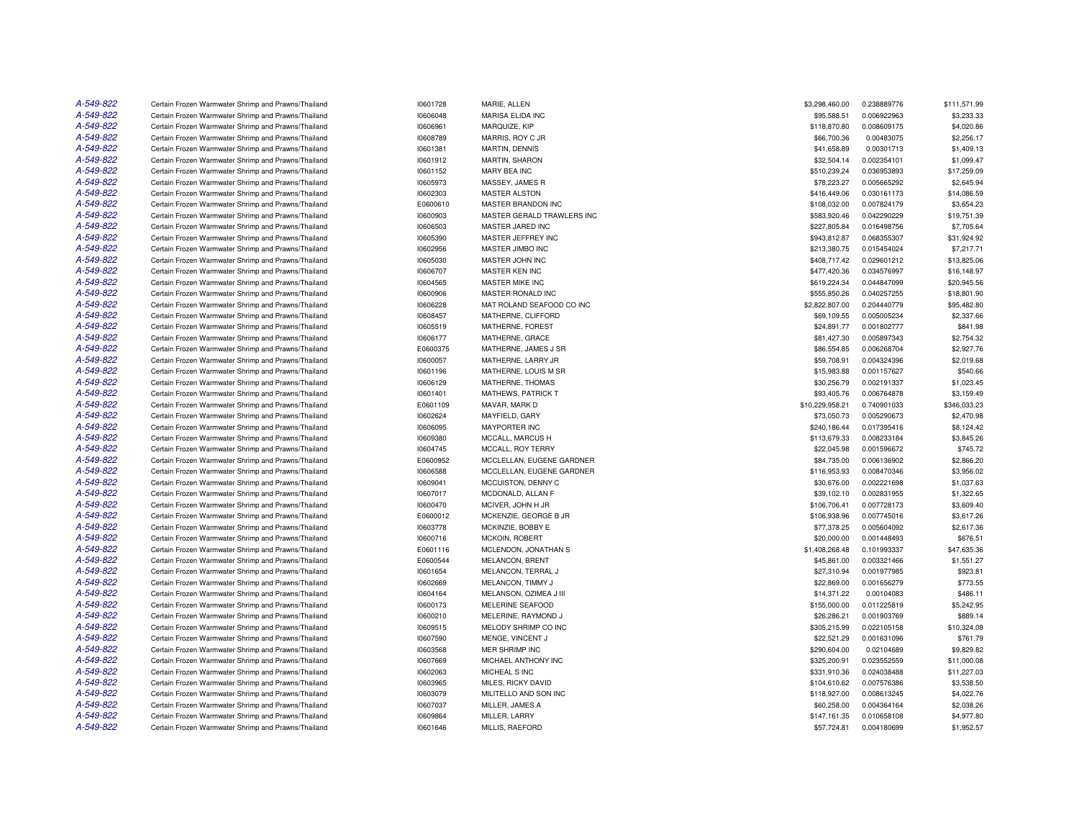| A-549-822 | Certain Frozen Warmwater Shrimp and Prawns/Thailand | 10601728 | MARIE, ALLEN               | \$3,298,460.00  | 0.238889776 | \$111,571.99 |
|-----------|-----------------------------------------------------|----------|----------------------------|-----------------|-------------|--------------|
| A-549-822 | Certain Frozen Warmwater Shrimp and Prawns/Thailand | 10606048 | MARISA ELIDA INC           | \$95,588.51     | 0.006922963 | \$3,233.33   |
| A-549-822 | Certain Frozen Warmwater Shrimp and Prawns/Thailand | 10606961 | MARQUIZE, KIP              | \$118,870.80    | 0.008609175 | \$4,020.86   |
| A-549-822 | Certain Frozen Warmwater Shrimp and Prawns/Thailand | 10608789 | MARRIS, ROY C JR           | \$66,700.36     | 0.00483075  | \$2,256.17   |
| A-549-822 | Certain Frozen Warmwater Shrimp and Prawns/Thailand | 10601381 | MARTIN, DENNIS             | \$41,658.89     | 0.00301713  | \$1,409.13   |
| A-549-822 | Certain Frozen Warmwater Shrimp and Prawns/Thailand | 10601912 | <b>MARTIN, SHARON</b>      | \$32,504.14     | 0.002354101 | \$1,099.47   |
| A-549-822 | Certain Frozen Warmwater Shrimp and Prawns/Thailand | 10601152 | MARY BEA INC               | \$510,239.24    | 0.036953893 | \$17,259.09  |
| A-549-822 | Certain Frozen Warmwater Shrimp and Prawns/Thailand | 10605973 | MASSEY, JAMES R            | \$78,223.27     | 0.005665292 | \$2,645.94   |
| A-549-822 | Certain Frozen Warmwater Shrimp and Prawns/Thailand | 10602303 | <b>MASTER ALSTON</b>       | \$416,449.06    | 0.030161173 | \$14,086.59  |
| A-549-822 | Certain Frozen Warmwater Shrimp and Prawns/Thailand | E0600610 | MASTER BRANDON INC         | \$108,032.00    | 0.007824179 | \$3,654.23   |
| A-549-822 | Certain Frozen Warmwater Shrimp and Prawns/Thailand | 10600903 | MASTER GERALD TRAWLERS INC | \$583,920.46    | 0.042290229 | \$19,751.39  |
| A-549-822 |                                                     |          |                            |                 |             |              |
|           | Certain Frozen Warmwater Shrimp and Prawns/Thailand | 10606503 | MASTER JARED INC           | \$227,805.84    | 0.016498756 | \$7,705.64   |
| A-549-822 | Certain Frozen Warmwater Shrimp and Prawns/Thailand | 10605390 | MASTER JEFFREY INC         | \$943,812.87    | 0.068355307 | \$31,924.92  |
| A-549-822 | Certain Frozen Warmwater Shrimp and Prawns/Thailand | 10602956 | MASTER JIMBO INC           | \$213,380.75    | 0.015454024 | \$7,217.71   |
| A-549-822 | Certain Frozen Warmwater Shrimp and Prawns/Thailand | 10605030 | MASTER JOHN INC            | \$408,717.42    | 0.029601212 | \$13,825.06  |
| A-549-822 | Certain Frozen Warmwater Shrimp and Prawns/Thailand | 10606707 | MASTER KEN INC             | \$477,420.36    | 0.034576997 | \$16,148.97  |
| A-549-822 | Certain Frozen Warmwater Shrimp and Prawns/Thailand | 10604565 | MASTER MIKE INC            | \$619,224.34    | 0.044847099 | \$20,945.56  |
| A-549-822 | Certain Frozen Warmwater Shrimp and Prawns/Thailand | 10600906 | MASTER RONALD INC          | \$555,850.26    | 0.040257255 | \$18,801.90  |
| A-549-822 | Certain Frozen Warmwater Shrimp and Prawns/Thailand | 10606228 | MAT ROLAND SEAFOOD CO INC  | \$2,822,807.00  | 0.204440779 | \$95,482.80  |
| A-549-822 | Certain Frozen Warmwater Shrimp and Prawns/Thailand | 10608457 | MATHERNE, CLIFFORD         | \$69,109.55     | 0.005005234 | \$2,337.66   |
| A-549-822 | Certain Frozen Warmwater Shrimp and Prawns/Thailand | 10605519 | MATHERNE, FOREST           | \$24,891.77     | 0.001802777 | \$841.98     |
| A-549-822 | Certain Frozen Warmwater Shrimp and Prawns/Thailand | 10606177 | MATHERNE, GRACE            | \$81,427.30     | 0.005897343 | \$2,754.32   |
| A-549-822 | Certain Frozen Warmwater Shrimp and Prawns/Thailand | E0600375 | MATHERNE, JAMES J SR       | \$86,554.85     | 0.006268704 | \$2,927.76   |
| A-549-822 | Certain Frozen Warmwater Shrimp and Prawns/Thailand | 10600057 | MATHERNE, LARRY JR         | \$59,708.91     | 0.004324396 | \$2,019.68   |
| A-549-822 | Certain Frozen Warmwater Shrimp and Prawns/Thailand | 10601196 | MATHERNE, LOUIS M SR       | \$15,983.88     | 0.001157627 | \$540.66     |
| A-549-822 | Certain Frozen Warmwater Shrimp and Prawns/Thailand | 10606129 | MATHERNE, THOMAS           | \$30,256.79     | 0.002191337 | \$1,023.45   |
| A-549-822 | Certain Frozen Warmwater Shrimp and Prawns/Thailand | 10601401 | MATHEWS, PATRICK T         | \$93,405.76     | 0.006764878 | \$3,159.49   |
| A-549-822 | Certain Frozen Warmwater Shrimp and Prawns/Thailand | E0601109 | MAVAR, MARK D              | \$10,229,958.21 | 0.740901033 | \$346,033.23 |
| A-549-822 | Certain Frozen Warmwater Shrimp and Prawns/Thailand | 10602624 | MAYFIELD, GARY             | \$73,050.73     | 0.005290673 | \$2,470.98   |
| A-549-822 | Certain Frozen Warmwater Shrimp and Prawns/Thailand | 10606095 | <b>MAYPORTER INC</b>       | \$240,186.44    | 0.017395416 | \$8,124.42   |
| A-549-822 | Certain Frozen Warmwater Shrimp and Prawns/Thailand | 10609380 | MCCALL, MARCUS H           | \$113,679.33    | 0.008233184 | \$3,845.26   |
| A-549-822 | Certain Frozen Warmwater Shrimp and Prawns/Thailand | 10604745 | MCCALL, ROY TERRY          | \$22,045.98     | 0.001596672 | \$745.72     |
| A-549-822 | Certain Frozen Warmwater Shrimp and Prawns/Thailand | E0600952 | MCCLELLAN, EUGENE GARDNER  | \$84,735.00     | 0.006136902 | \$2,866.20   |
| A-549-822 | Certain Frozen Warmwater Shrimp and Prawns/Thailand | 10606588 | MCCLELLAN, EUGENE GARDNER  | \$116,953.93    | 0.008470346 | \$3,956.02   |
| A-549-822 | Certain Frozen Warmwater Shrimp and Prawns/Thailand | 10609041 | MCCUISTON, DENNY C         | \$30,676.00     | 0.002221698 | \$1,037.63   |
| A-549-822 | Certain Frozen Warmwater Shrimp and Prawns/Thailand | 10607017 | MCDONALD, ALLAN F          | \$39,102.10     | 0.002831955 | \$1,322.65   |
| A-549-822 | Certain Frozen Warmwater Shrimp and Prawns/Thailand | 10600470 | MCIVER, JOHN H JR          | \$106,706.41    | 0.007728173 | \$3,609.40   |
| A-549-822 | Certain Frozen Warmwater Shrimp and Prawns/Thailand | E0600012 | MCKENZIE, GEORGE B JR      | \$106,938.96    | 0.007745016 | \$3,617.26   |
| A-549-822 | Certain Frozen Warmwater Shrimp and Prawns/Thailand | 10603778 | MCKINZIE, BOBBY E          | \$77,378.25     | 0.005604092 | \$2,617.36   |
| A-549-822 | Certain Frozen Warmwater Shrimp and Prawns/Thailand | 10600716 | MCKOIN, ROBERT             | \$20,000.00     | 0.001448493 | \$676.51     |
| A-549-822 | Certain Frozen Warmwater Shrimp and Prawns/Thailand | E0601116 | MCLENDON, JONATHAN S       | \$1,408,268.48  | 0.101993337 | \$47,635.36  |
| A-549-822 | Certain Frozen Warmwater Shrimp and Prawns/Thailand | E0600544 | MELANCON, BRENT            | \$45,861.00     | 0.003321466 | \$1,551.27   |
| A-549-822 | Certain Frozen Warmwater Shrimp and Prawns/Thailand | 10601654 | MELANCON, TERRAL J         | \$27,310.94     | 0.001977985 | \$923.81     |
| A-549-822 | Certain Frozen Warmwater Shrimp and Prawns/Thailand | 10602669 | MELANCON, TIMMY J          | \$22,869.00     | 0.001656279 | \$773.55     |
| A-549-822 | Certain Frozen Warmwater Shrimp and Prawns/Thailand | 10604164 | MELANSON, OZIMEA J III     | \$14,371.22     | 0.00104083  | \$486.11     |
| A-549-822 | Certain Frozen Warmwater Shrimp and Prawns/Thailand | 10600173 | MELERINE SEAFOOD           | \$155,000.00    | 0.011225819 | \$5,242.95   |
| A-549-822 | Certain Frozen Warmwater Shrimp and Prawns/Thailand | 10600210 | MELERINE, RAYMOND J        | \$26,286.21     | 0.001903769 | \$889.14     |
| A-549-822 | Certain Frozen Warmwater Shrimp and Prawns/Thailand | 10609515 | MELODY SHRIMP CO INC       | \$305,215.99    | 0.022105158 | \$10,324.08  |
| A-549-822 | Certain Frozen Warmwater Shrimp and Prawns/Thailand | 10607590 | MENGE, VINCENT J           | \$22,521.29     | 0.001631096 | \$761.79     |
| A-549-822 |                                                     |          |                            |                 |             |              |
| A-549-822 | Certain Frozen Warmwater Shrimp and Prawns/Thailand | 10603568 | MER SHRIMP INC             | \$290,604.00    | 0.02104689  | \$9,829.82   |
| A-549-822 | Certain Frozen Warmwater Shrimp and Prawns/Thailand | 10607669 | MICHAEL ANTHONY INC        | \$325,200.91    | 0.023552559 | \$11,000.08  |
|           | Certain Frozen Warmwater Shrimp and Prawns/Thailand | 10602063 | MICHEAL S INC              | \$331,910.36    | 0.024038488 | \$11,227.03  |
| A-549-822 | Certain Frozen Warmwater Shrimp and Prawns/Thailand | 10603965 | MILES, RICKY DAVID         | \$104,610.62    | 0.007576386 | \$3,538.50   |
| A-549-822 | Certain Frozen Warmwater Shrimp and Prawns/Thailand | 10603079 | MILITELLO AND SON INC      | \$118,927.00    | 0.008613245 | \$4,022.76   |
| A-549-822 | Certain Frozen Warmwater Shrimp and Prawns/Thailand | 10607037 | MILLER, JAMES A            | \$60,258.00     | 0.004364164 | \$2,038.26   |
| A-549-822 | Certain Frozen Warmwater Shrimp and Prawns/Thailand | 10609864 | MILLER, LARRY              | \$147,161.35    | 0.010658108 | \$4,977.80   |
| A-549-822 | Certain Frozen Warmwater Shrimp and Prawns/Thailand | 10601646 | MILLIS, RAEFORD            | \$57,724.81     | 0.004180699 | \$1,952.57   |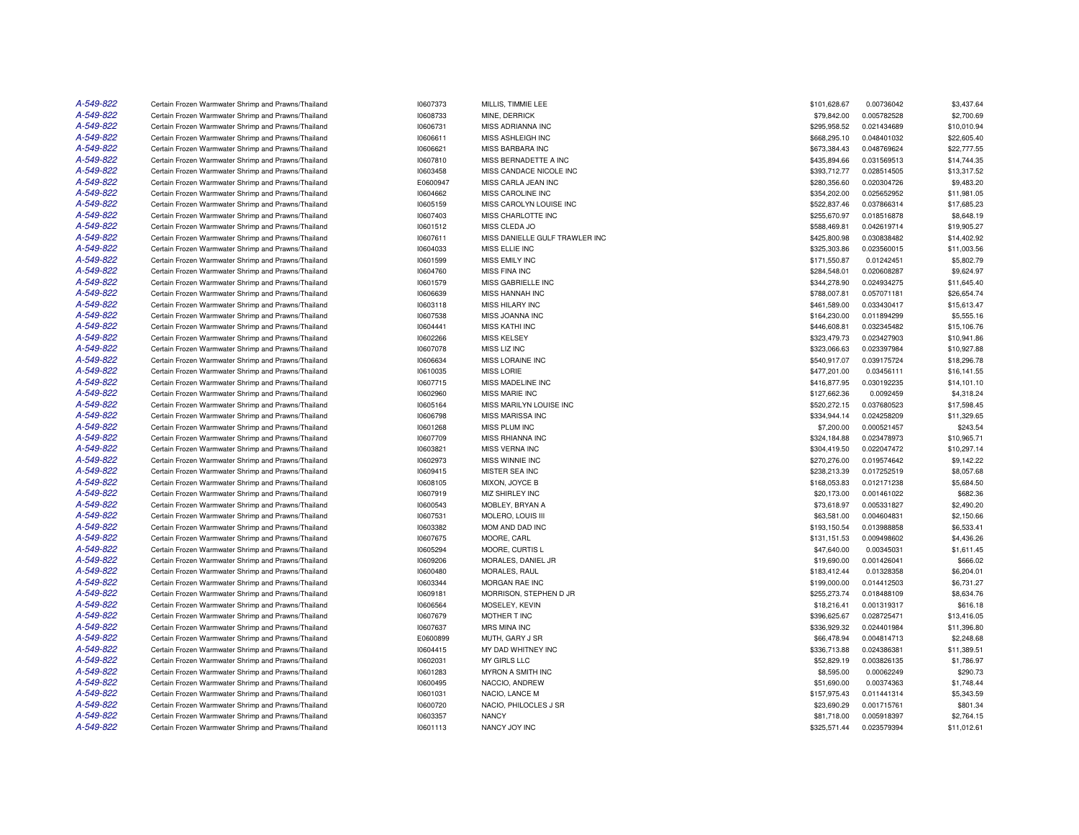| A-549-822 | Certain Frozen Warmwater Shrimp and Prawns/Thailand | 10607373             | MILLIS, TIMMIE LEE             | \$101,628.67                 | 0.00736042  | \$3,437.64                 |
|-----------|-----------------------------------------------------|----------------------|--------------------------------|------------------------------|-------------|----------------------------|
| A-549-822 | Certain Frozen Warmwater Shrimp and Prawns/Thailand | 10608733             | MINE, DERRICK                  | \$79,842.00                  | 0.005782528 | \$2,700.69                 |
| A-549-822 | Certain Frozen Warmwater Shrimp and Prawns/Thailand | 10606731             | MISS ADRIANNA INC              | \$295,958.52                 | 0.021434689 | \$10,010.94                |
| A-549-822 | Certain Frozen Warmwater Shrimp and Prawns/Thailand | 10606611             | MISS ASHLEIGH INC              | \$668,295.10                 | 0.048401032 | \$22,605.40                |
| A-549-822 | Certain Frozen Warmwater Shrimp and Prawns/Thailand | 10606621             | MISS BARBARA INC               | \$673,384.43                 | 0.048769624 | \$22,777.55                |
| A-549-822 | Certain Frozen Warmwater Shrimp and Prawns/Thailand | 10607810             | MISS BERNADETTE A INC          | \$435,894.66                 | 0.031569513 | \$14,744.35                |
| A-549-822 | Certain Frozen Warmwater Shrimp and Prawns/Thailand | 10603458             | MISS CANDACE NICOLE INC        | \$393,712.77                 | 0.028514505 | \$13,317.52                |
| A-549-822 | Certain Frozen Warmwater Shrimp and Prawns/Thailand | E0600947             | MISS CARLA JEAN INC            | \$280,356.60                 | 0.020304726 | \$9,483.20                 |
| A-549-822 | Certain Frozen Warmwater Shrimp and Prawns/Thailand | 10604662             | MISS CAROLINE INC              | \$354,202.00                 | 0.025652952 | \$11,981.05                |
| A-549-822 | Certain Frozen Warmwater Shrimp and Prawns/Thailand | 10605159             | MISS CAROLYN LOUISE INC        | \$522,837.46                 | 0.037866314 | \$17,685.23                |
| A-549-822 | Certain Frozen Warmwater Shrimp and Prawns/Thailand | 10607403             | MISS CHARLOTTE INC             | \$255,670.97                 | 0.018516878 | \$8,648.19                 |
| A-549-822 | Certain Frozen Warmwater Shrimp and Prawns/Thailand | 10601512             | MISS CLEDA JO                  | \$588,469.81                 | 0.042619714 | \$19,905.27                |
| A-549-822 | Certain Frozen Warmwater Shrimp and Prawns/Thailand | 10607611             | MISS DANIELLE GULF TRAWLER INC | \$425,800.98                 | 0.030838482 | \$14,402.92                |
| A-549-822 | Certain Frozen Warmwater Shrimp and Prawns/Thailand | 10604033             | MISS ELLIE INC                 | \$325,303.86                 | 0.023560015 | \$11,003.56                |
| A-549-822 | Certain Frozen Warmwater Shrimp and Prawns/Thailand | 10601599             | MISS EMILY INC                 | \$171,550.87                 | 0.01242451  | \$5,802.79                 |
| A-549-822 | Certain Frozen Warmwater Shrimp and Prawns/Thailand | 10604760             | <b>MISS FINA INC</b>           | \$284,548.01                 | 0.020608287 | \$9,624.97                 |
| A-549-822 | Certain Frozen Warmwater Shrimp and Prawns/Thailand | 10601579             | MISS GABRIELLE INC             | \$344,278.90                 | 0.024934275 | \$11,645.40                |
| A-549-822 | Certain Frozen Warmwater Shrimp and Prawns/Thailand | 10606639             | <b>MISS HANNAH INC</b>         | \$788,007.81                 | 0.057071181 | \$26,654.74                |
| A-549-822 | Certain Frozen Warmwater Shrimp and Prawns/Thailand | 10603118             | MISS HILARY INC                | \$461,589.00                 | 0.033430417 | \$15,613.47                |
| A-549-822 | Certain Frozen Warmwater Shrimp and Prawns/Thailand | 10607538             | MISS JOANNA INC                | \$164,230.00                 | 0.011894299 | \$5,555.16                 |
| A-549-822 | Certain Frozen Warmwater Shrimp and Prawns/Thailand | 10604441             | <b>MISS KATHI INC</b>          | \$446,608.81                 | 0.032345482 | \$15,106.76                |
| A-549-822 | Certain Frozen Warmwater Shrimp and Prawns/Thailand |                      | <b>MISS KELSEY</b>             |                              | 0.023427903 |                            |
| A-549-822 | Certain Frozen Warmwater Shrimp and Prawns/Thailand | 10602266<br>10607078 | MISS LIZ INC                   | \$323,479.73<br>\$323,066.63 | 0.023397984 | \$10,941.86<br>\$10,927.88 |
| A-549-822 |                                                     |                      |                                |                              |             |                            |
| A-549-822 | Certain Frozen Warmwater Shrimp and Prawns/Thailand | 10606634             | MISS LORAINE INC               | \$540,917.07                 | 0.039175724 | \$18,296.78                |
|           | Certain Frozen Warmwater Shrimp and Prawns/Thailand | 10610035             | <b>MISS LORIE</b>              | \$477,201.00                 | 0.03456111  | \$16,141.55                |
| A-549-822 | Certain Frozen Warmwater Shrimp and Prawns/Thailand | 10607715             | MISS MADELINE INC              | \$416,877.95                 | 0.030192235 | \$14,101.10                |
| A-549-822 | Certain Frozen Warmwater Shrimp and Prawns/Thailand | 10602960             | <b>MISS MARIE INC</b>          | \$127,662.36                 | 0.0092459   | \$4,318.24                 |
| A-549-822 | Certain Frozen Warmwater Shrimp and Prawns/Thailand | 10605164             | MISS MARILYN LOUISE INC        | \$520,272.15                 | 0.037680523 | \$17,598.45                |
| A-549-822 | Certain Frozen Warmwater Shrimp and Prawns/Thailand | 10606798             | MISS MARISSA INC               | \$334,944.14                 | 0.024258209 | \$11,329.65                |
| A-549-822 | Certain Frozen Warmwater Shrimp and Prawns/Thailand | 10601268             | MISS PLUM INC                  | \$7,200.00                   | 0.000521457 | \$243.54                   |
| A-549-822 | Certain Frozen Warmwater Shrimp and Prawns/Thailand | 10607709             | <b>MISS RHIANNA INC</b>        | \$324,184.88                 | 0.023478973 | \$10,965.71                |
| A-549-822 | Certain Frozen Warmwater Shrimp and Prawns/Thailand | 10603821             | MISS VERNA INC                 | \$304,419.50                 | 0.022047472 | \$10,297.14                |
| A-549-822 | Certain Frozen Warmwater Shrimp and Prawns/Thailand | 10602973             | <b>MISS WINNIE INC</b>         | \$270,276.00                 | 0.019574642 | \$9,142.22                 |
| A-549-822 | Certain Frozen Warmwater Shrimp and Prawns/Thailand | 10609415             | MISTER SEA INC                 | \$238,213.39                 | 0.017252519 | \$8,057.68                 |
| A-549-822 | Certain Frozen Warmwater Shrimp and Prawns/Thailand | 10608105             | MIXON, JOYCE B                 | \$168,053.83                 | 0.012171238 | \$5,684.50                 |
| A-549-822 | Certain Frozen Warmwater Shrimp and Prawns/Thailand | 10607919             | <b>MIZ SHIRLEY INC</b>         | \$20,173.00                  | 0.001461022 | \$682.36                   |
| A-549-822 | Certain Frozen Warmwater Shrimp and Prawns/Thailand | 10600543             | MOBLEY, BRYAN A                | \$73,618.97                  | 0.005331827 | \$2,490.20                 |
| A-549-822 | Certain Frozen Warmwater Shrimp and Prawns/Thailand | 10607531             | MOLERO, LOUIS III              | \$63,581.00                  | 0.004604831 | \$2,150.66                 |
| A-549-822 | Certain Frozen Warmwater Shrimp and Prawns/Thailand | 10603382             | MOM AND DAD INC                | \$193,150.54                 | 0.013988858 | \$6,533.41                 |
| A-549-822 | Certain Frozen Warmwater Shrimp and Prawns/Thailand | 10607675             | MOORE, CARL                    | \$131,151.53                 | 0.009498602 | \$4,436.26                 |
| A-549-822 | Certain Frozen Warmwater Shrimp and Prawns/Thailand | 10605294             | MOORE, CURTIS L                | \$47,640.00                  | 0.00345031  | \$1,611.45                 |
| A-549-822 | Certain Frozen Warmwater Shrimp and Prawns/Thailand | 10609206             | MORALES, DANIEL JR             | \$19,690.00                  | 0.001426041 | \$666.02                   |
| A-549-822 | Certain Frozen Warmwater Shrimp and Prawns/Thailand | 10600480             | MORALES, RAUL                  | \$183,412.44                 | 0.01328358  | \$6,204.01                 |
| A-549-822 | Certain Frozen Warmwater Shrimp and Prawns/Thailand | 10603344             | <b>MORGAN RAE INC</b>          | \$199,000.00                 | 0.014412503 | \$6,731.27                 |
| A-549-822 | Certain Frozen Warmwater Shrimp and Prawns/Thailand | 10609181             | MORRISON, STEPHEN D JR         | \$255,273.74                 | 0.018488109 | \$8,634.76                 |
| A-549-822 | Certain Frozen Warmwater Shrimp and Prawns/Thailand | 10606564             | MOSELEY, KEVIN                 | \$18,216.41                  | 0.001319317 | \$616.18                   |
| A-549-822 | Certain Frozen Warmwater Shrimp and Prawns/Thailand | 10607679             | MOTHER T INC                   | \$396,625.67                 | 0.028725471 | \$13,416.05                |
| A-549-822 | Certain Frozen Warmwater Shrimp and Prawns/Thailand | 10607637             | MRS MINA INC                   | \$336,929.32                 | 0.024401984 | \$11,396.80                |
| A-549-822 | Certain Frozen Warmwater Shrimp and Prawns/Thailand | E0600899             | MUTH, GARY J SR                | \$66,478.94                  | 0.004814713 | \$2,248.68                 |
| A-549-822 | Certain Frozen Warmwater Shrimp and Prawns/Thailand | 10604415             | MY DAD WHITNEY INC             | \$336,713.88                 | 0.024386381 | \$11,389.51                |
| A-549-822 | Certain Frozen Warmwater Shrimp and Prawns/Thailand | 10602031             | MY GIRLS LLC                   | \$52,829.19                  | 0.003826135 | \$1,786.97                 |
| A-549-822 | Certain Frozen Warmwater Shrimp and Prawns/Thailand | 10601283             | MYRON A SMITH INC              | \$8,595.00                   | 0.00062249  | \$290.73                   |
| A-549-822 | Certain Frozen Warmwater Shrimp and Prawns/Thailand | 10600495             | NACCIO, ANDREW                 | \$51,690.00                  | 0.00374363  | \$1,748.44                 |
| A-549-822 | Certain Frozen Warmwater Shrimp and Prawns/Thailand | 10601031             | NACIO, LANCE M                 | \$157,975.43                 | 0.011441314 | \$5,343.59                 |
| A-549-822 | Certain Frozen Warmwater Shrimp and Prawns/Thailand | 10600720             | NACIO, PHILOCLES J SR          | \$23,690.29                  | 0.001715761 | \$801.34                   |
| A-549-822 | Certain Frozen Warmwater Shrimp and Prawns/Thailand | 10603357             | <b>NANCY</b>                   | \$81,718.00                  | 0.005918397 | \$2,764.15                 |
| A-549-822 | Certain Frozen Warmwater Shrimp and Prawns/Thailand | 10601113             | NANCY JOY INC                  | \$325,571.44                 | 0.023579394 | \$11,012.61                |
|           |                                                     |                      |                                |                              |             |                            |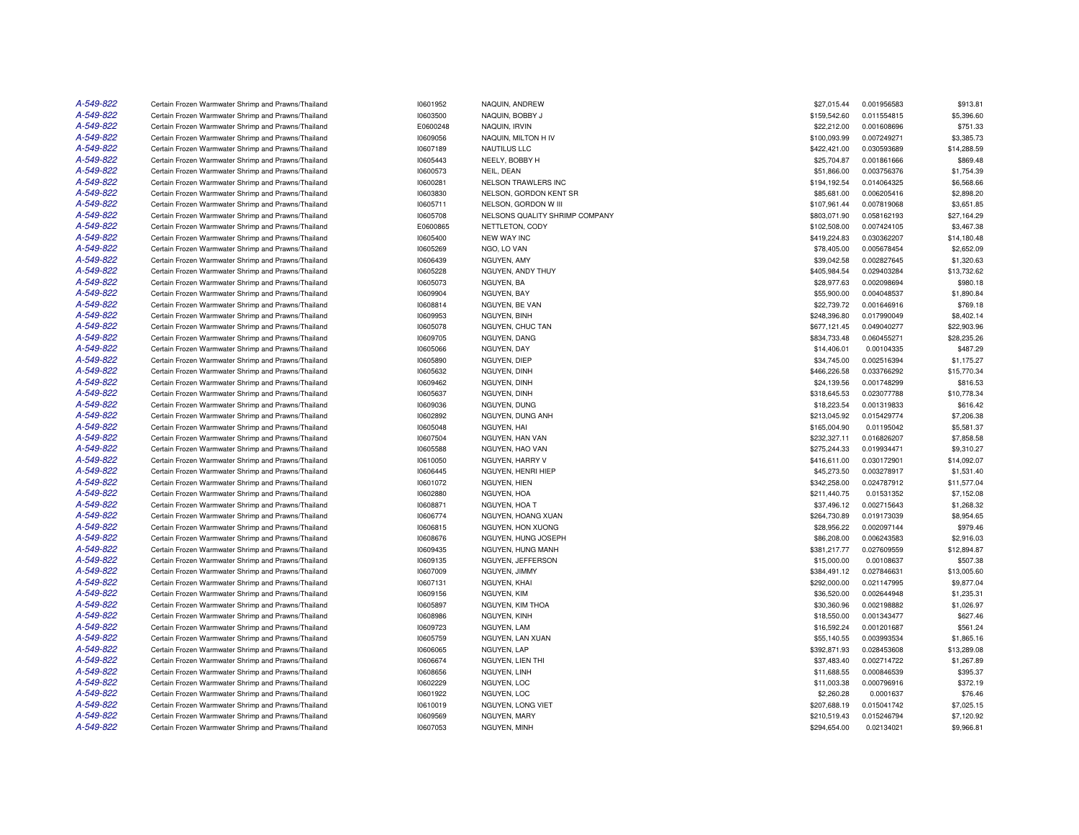| A-549-822 | Certain Frozen Warmwater Shrimp and Prawns/Thailand | 10601952             | NAQUIN, ANDREW                 | \$27,015.44                 | 0.001956583 | \$913.81    |
|-----------|-----------------------------------------------------|----------------------|--------------------------------|-----------------------------|-------------|-------------|
| A-549-822 | Certain Frozen Warmwater Shrimp and Prawns/Thailand | 10603500             | NAQUIN, BOBBY J                | \$159,542.60                | 0.011554815 | \$5,396.60  |
| A-549-822 | Certain Frozen Warmwater Shrimp and Prawns/Thailand | E0600248             | NAQUIN, IRVIN                  | \$22,212.00                 | 0.001608696 | \$751.33    |
| A-549-822 | Certain Frozen Warmwater Shrimp and Prawns/Thailand | 10609056             | NAQUIN, MILTON H IV            | \$100,093.99                | 0.007249271 | \$3,385.73  |
| A-549-822 | Certain Frozen Warmwater Shrimp and Prawns/Thailand | 10607189             | <b>NAUTILUS LLC</b>            | \$422,421.00                | 0.030593689 | \$14,288.59 |
| A-549-822 | Certain Frozen Warmwater Shrimp and Prawns/Thailand | 10605443             | NEELY, BOBBY H                 | \$25,704.87                 | 0.001861666 | \$869.48    |
| A-549-822 | Certain Frozen Warmwater Shrimp and Prawns/Thailand | 10600573             | NEIL, DEAN                     | \$51,866.00                 | 0.003756376 | \$1,754.39  |
| A-549-822 | Certain Frozen Warmwater Shrimp and Prawns/Thailand | 10600281             | NELSON TRAWLERS INC            | \$194,192.54                | 0.014064325 | \$6,568.66  |
| A-549-822 | Certain Frozen Warmwater Shrimp and Prawns/Thailand | 10603830             | NELSON, GORDON KENT SR         | \$85,681.00                 | 0.006205416 | \$2,898.20  |
| A-549-822 | Certain Frozen Warmwater Shrimp and Prawns/Thailand | 10605711             | NELSON, GORDON W III           | \$107,961.44                | 0.007819068 | \$3,651.85  |
| A-549-822 | Certain Frozen Warmwater Shrimp and Prawns/Thailand | 10605708             | NELSONS QUALITY SHRIMP COMPANY | \$803,071.90                | 0.058162193 | \$27,164.29 |
| A-549-822 | Certain Frozen Warmwater Shrimp and Prawns/Thailand | E0600865             | NETTLETON, CODY                | \$102,508.00                | 0.007424105 | \$3,467.38  |
| A-549-822 | Certain Frozen Warmwater Shrimp and Prawns/Thailand | 10605400             | <b>NEW WAY INC</b>             | \$419,224.83                | 0.030362207 | \$14,180.48 |
| A-549-822 | Certain Frozen Warmwater Shrimp and Prawns/Thailand | 10605269             | NGO, LO VAN                    | \$78,405.00                 | 0.005678454 | \$2,652.09  |
| A-549-822 | Certain Frozen Warmwater Shrimp and Prawns/Thailand | 10606439             | NGUYEN, AMY                    | \$39,042.58                 | 0.002827645 | \$1,320.63  |
| A-549-822 | Certain Frozen Warmwater Shrimp and Prawns/Thailand | 10605228             | NGUYEN, ANDY THUY              | \$405,984.54                | 0.029403284 | \$13,732.62 |
| A-549-822 | Certain Frozen Warmwater Shrimp and Prawns/Thailand | 10605073             | NGUYEN, BA                     | \$28,977.63                 | 0.002098694 | \$980.18    |
| A-549-822 | Certain Frozen Warmwater Shrimp and Prawns/Thailand | 10609904             | NGUYEN, BAY                    | \$55,900.00                 | 0.004048537 | \$1,890.84  |
| A-549-822 | Certain Frozen Warmwater Shrimp and Prawns/Thailand | 10608814             | NGUYEN, BE VAN                 | \$22,739.72                 | 0.001646916 | \$769.18    |
| A-549-822 | Certain Frozen Warmwater Shrimp and Prawns/Thailand | 10609953             | NGUYEN, BINH                   | \$248,396.80                | 0.017990049 | \$8,402.14  |
| A-549-822 | Certain Frozen Warmwater Shrimp and Prawns/Thailand | 10605078             | NGUYEN, CHUC TAN               | \$677,121.45                | 0.049040277 | \$22,903.96 |
| A-549-822 | Certain Frozen Warmwater Shrimp and Prawns/Thailand | 10609705             | NGUYEN, DANG                   | \$834,733.48                | 0.060455271 | \$28,235.26 |
| A-549-822 | Certain Frozen Warmwater Shrimp and Prawns/Thailand | 10605066             | NGUYEN, DAY                    | \$14,406.01                 | 0.00104335  | \$487.29    |
| A-549-822 | Certain Frozen Warmwater Shrimp and Prawns/Thailand | 10605890             | NGUYEN, DIEP                   | \$34,745.00                 | 0.002516394 | \$1,175.27  |
| A-549-822 | Certain Frozen Warmwater Shrimp and Prawns/Thailand | 10605632             | NGUYEN, DINH                   | \$466,226.58                | 0.033766292 | \$15,770.34 |
| A-549-822 | Certain Frozen Warmwater Shrimp and Prawns/Thailand |                      | NGUYEN, DINH                   |                             | 0.001748299 | \$816.53    |
| A-549-822 | Certain Frozen Warmwater Shrimp and Prawns/Thailand | 10609462<br>10605637 |                                | \$24,139.56<br>\$318,645.53 | 0.023077788 | \$10,778.34 |
| A-549-822 |                                                     |                      | NGUYEN, DINH                   |                             |             |             |
| A-549-822 | Certain Frozen Warmwater Shrimp and Prawns/Thailand | 10609036             | NGUYEN, DUNG                   | \$18,223.54                 | 0.001319833 | \$616.42    |
|           | Certain Frozen Warmwater Shrimp and Prawns/Thailand | 10602892             | NGUYEN, DUNG ANH               | \$213,045.92                | 0.015429774 | \$7,206.38  |
| A-549-822 | Certain Frozen Warmwater Shrimp and Prawns/Thailand | 10605048             | NGUYEN, HAI                    | \$165,004.90                | 0.01195042  | \$5,581.37  |
| A-549-822 | Certain Frozen Warmwater Shrimp and Prawns/Thailand | 10607504             | NGUYEN, HAN VAN                | \$232,327.11                | 0.016826207 | \$7,858.58  |
| A-549-822 | Certain Frozen Warmwater Shrimp and Prawns/Thailand | 10605588             | NGUYEN, HAO VAN                | \$275,244.33                | 0.019934471 | \$9,310.27  |
| A-549-822 | Certain Frozen Warmwater Shrimp and Prawns/Thailand | 10610050             | NGUYEN, HARRY V                | \$416,611.00                | 0.030172901 | \$14,092.07 |
| A-549-822 | Certain Frozen Warmwater Shrimp and Prawns/Thailand | 10606445             | NGUYEN, HENRI HIEP             | \$45,273.50                 | 0.003278917 | \$1,531.40  |
| A-549-822 | Certain Frozen Warmwater Shrimp and Prawns/Thailand | 10601072             | NGUYEN, HIEN                   | \$342,258.00                | 0.024787912 | \$11,577.04 |
| A-549-822 | Certain Frozen Warmwater Shrimp and Prawns/Thailand | 10602880             | NGUYEN, HOA                    | \$211,440.75                | 0.01531352  | \$7,152.08  |
| A-549-822 | Certain Frozen Warmwater Shrimp and Prawns/Thailand | 10608871             | NGUYEN, HOA T                  | \$37,496.12                 | 0.002715643 | \$1,268.32  |
| A-549-822 | Certain Frozen Warmwater Shrimp and Prawns/Thailand | 10606774             | NGUYEN, HOANG XUAN             | \$264,730.89                | 0.019173039 | \$8,954.65  |
| A-549-822 | Certain Frozen Warmwater Shrimp and Prawns/Thailand | 10606815             | NGUYEN, HON XUONG              | \$28,956.22                 | 0.002097144 | \$979.46    |
| A-549-822 | Certain Frozen Warmwater Shrimp and Prawns/Thailand | 10608676             | NGUYEN, HUNG JOSEPH            | \$86,208.00                 | 0.006243583 | \$2,916.03  |
| A-549-822 | Certain Frozen Warmwater Shrimp and Prawns/Thailand | 10609435             | NGUYEN, HUNG MANH              | \$381,217.77                | 0.027609559 | \$12,894.87 |
| A-549-822 | Certain Frozen Warmwater Shrimp and Prawns/Thailand | 10609135             | NGUYEN, JEFFERSON              | \$15,000.00                 | 0.00108637  | \$507.38    |
| A-549-822 | Certain Frozen Warmwater Shrimp and Prawns/Thailand | 10607009             | NGUYEN, JIMMY                  | \$384,491.12                | 0.027846631 | \$13,005.60 |
| A-549-822 | Certain Frozen Warmwater Shrimp and Prawns/Thailand | 10607131             | NGUYEN, KHAI                   | \$292,000.00                | 0.021147995 | \$9,877.04  |
| A-549-822 | Certain Frozen Warmwater Shrimp and Prawns/Thailand | 10609156             | NGUYEN, KIM                    | \$36,520.00                 | 0.002644948 | \$1,235.31  |
| A-549-822 | Certain Frozen Warmwater Shrimp and Prawns/Thailand | 10605897             | NGUYEN, KIM THOA               | \$30,360.96                 | 0.002198882 | \$1,026.97  |
| A-549-822 | Certain Frozen Warmwater Shrimp and Prawns/Thailand | 10608986             | NGUYEN, KINH                   | \$18,550.00                 | 0.001343477 | \$627.46    |
| A-549-822 | Certain Frozen Warmwater Shrimp and Prawns/Thailand | 10609723             | NGUYEN, LAM                    | \$16,592.24                 | 0.001201687 | \$561.24    |
| A-549-822 | Certain Frozen Warmwater Shrimp and Prawns/Thailand | 10605759             | NGUYEN, LAN XUAN               | \$55,140.55                 | 0.003993534 | \$1,865.16  |
| A-549-822 | Certain Frozen Warmwater Shrimp and Prawns/Thailand | 10606065             | NGUYEN, LAP                    | \$392,871.93                | 0.028453608 | \$13,289.08 |
| A-549-822 | Certain Frozen Warmwater Shrimp and Prawns/Thailand | 10606674             | NGUYEN, LIEN THI               | \$37,483.40                 | 0.002714722 | \$1,267.89  |
| A-549-822 | Certain Frozen Warmwater Shrimp and Prawns/Thailand | 10608656             | NGUYEN, LINH                   | \$11,688.55                 | 0.000846539 | \$395.37    |
| A-549-822 | Certain Frozen Warmwater Shrimp and Prawns/Thailand | 10602229             | NGUYEN, LOC                    | \$11,003.38                 | 0.000796916 | \$372.19    |
| A-549-822 | Certain Frozen Warmwater Shrimp and Prawns/Thailand | 10601922             | NGUYEN, LOC                    | \$2,260.28                  | 0.0001637   | \$76.46     |
| A-549-822 | Certain Frozen Warmwater Shrimp and Prawns/Thailand | 10610019             | NGUYEN, LONG VIET              | \$207,688.19                | 0.015041742 | \$7,025.15  |
| A-549-822 | Certain Frozen Warmwater Shrimp and Prawns/Thailand | 10609569             | NGUYEN, MARY                   | \$210,519.43                | 0.015246794 | \$7,120.92  |
| A-549-822 | Certain Frozen Warmwater Shrimp and Prawns/Thailand | 10607053             | NGUYEN, MINH                   | \$294,654.00                | 0.02134021  | \$9,966.81  |
|           |                                                     |                      |                                |                             |             |             |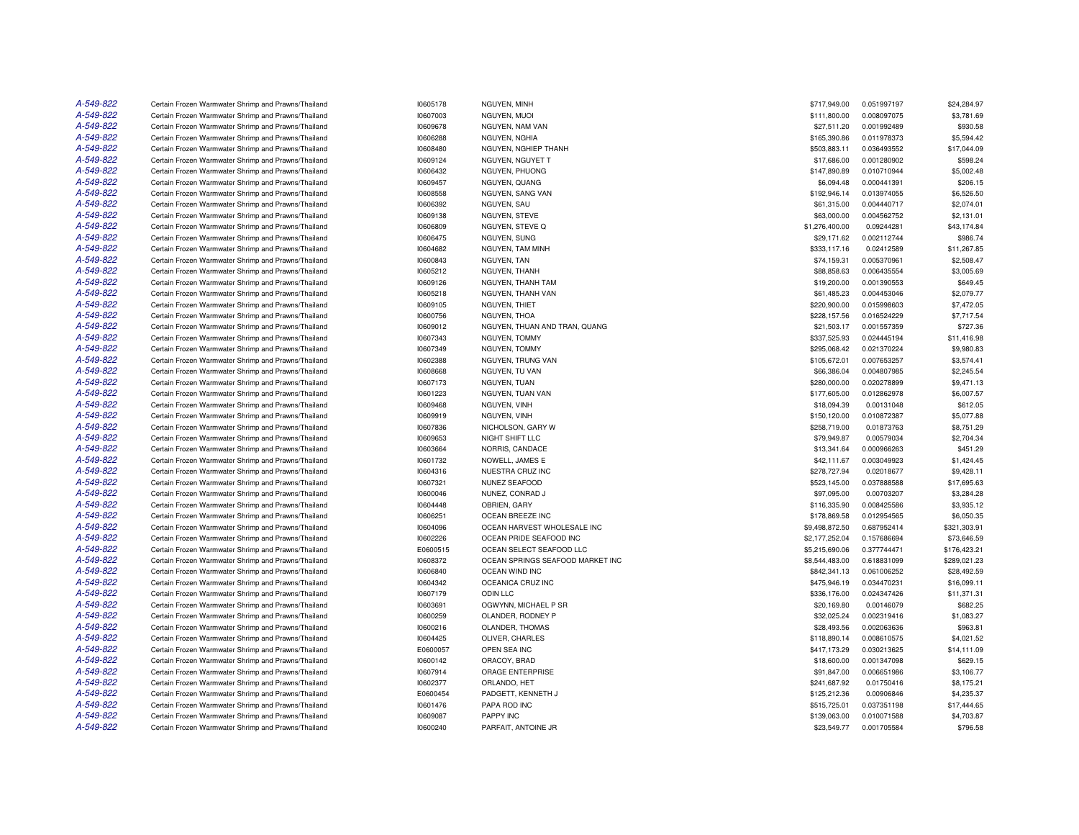| A-549-822              | Certain Frozen Warmwater Shrimp and Prawns/Thailand                                                        | 10605178             | NGUYEN, MINH                              | \$717,949.00               | 0.051997197                | \$24,284.97            |
|------------------------|------------------------------------------------------------------------------------------------------------|----------------------|-------------------------------------------|----------------------------|----------------------------|------------------------|
| A-549-822              | Certain Frozen Warmwater Shrimp and Prawns/Thailand                                                        | 10607003             | NGUYEN, MUOI                              | \$111,800.00               | 0.008097075                | \$3,781.69             |
| A-549-822              | Certain Frozen Warmwater Shrimp and Prawns/Thailand                                                        | 10609678             | NGUYEN, NAM VAN                           | \$27,511.20                | 0.001992489                | \$930.58               |
| A-549-822              | Certain Frozen Warmwater Shrimp and Prawns/Thailand                                                        | 10606288             | NGUYEN, NGHIA                             | \$165,390.86               | 0.011978373                | \$5,594.42             |
| A-549-822              | Certain Frozen Warmwater Shrimp and Prawns/Thailand                                                        | 10608480             | NGUYEN, NGHIEP THANH                      | \$503,883.11               | 0.036493552                | \$17,044.09            |
| A-549-822              | Certain Frozen Warmwater Shrimp and Prawns/Thailand                                                        | 10609124             | NGUYEN, NGUYET T                          | \$17,686.00                | 0.001280902                | \$598.24               |
| A-549-822              | Certain Frozen Warmwater Shrimp and Prawns/Thailand                                                        | 10606432             | NGUYEN, PHUONG                            | \$147,890.89               | 0.010710944                | \$5,002.48             |
| A-549-822              | Certain Frozen Warmwater Shrimp and Prawns/Thailand                                                        | 10609457             | NGUYEN, QUANG                             | \$6,094.48                 | 0.000441391                | \$206.15               |
| A-549-822              | Certain Frozen Warmwater Shrimp and Prawns/Thailand                                                        | 10608558             | NGUYEN, SANG VAN                          | \$192,946.14               | 0.013974055                | \$6,526.50             |
| A-549-822              | Certain Frozen Warmwater Shrimp and Prawns/Thailand                                                        | 10606392             | NGUYEN, SAU                               | \$61,315.00                | 0.004440717                | \$2,074.01             |
| A-549-822              | Certain Frozen Warmwater Shrimp and Prawns/Thailand                                                        | 10609138             | NGUYEN, STEVE                             | \$63,000.00                | 0.004562752                | \$2,131.01             |
| A-549-822              | Certain Frozen Warmwater Shrimp and Prawns/Thailand                                                        | 10606809             | NGUYEN, STEVE Q                           | \$1,276,400.00             | 0.09244281                 | \$43,174.84            |
| A-549-822              | Certain Frozen Warmwater Shrimp and Prawns/Thailand                                                        | 10606475             | NGUYEN, SUNG                              | \$29,171.62                | 0.002112744                | \$986.74               |
| A-549-822              | Certain Frozen Warmwater Shrimp and Prawns/Thailand                                                        | 10604682             | NGUYEN, TAM MINH                          | \$333,117.16               | 0.02412589                 | \$11,267.85            |
| A-549-822              | Certain Frozen Warmwater Shrimp and Prawns/Thailand                                                        | 10600843             | NGUYEN, TAN                               | \$74,159.31                | 0.005370961                | \$2,508.47             |
| A-549-822              | Certain Frozen Warmwater Shrimp and Prawns/Thailand                                                        | 10605212             | NGUYEN, THANH                             | \$88,858.63                | 0.006435554                | \$3,005.69             |
| A-549-822              | Certain Frozen Warmwater Shrimp and Prawns/Thailand                                                        | 10609126             | NGUYEN, THANH TAM                         | \$19,200.00                | 0.001390553                | \$649.45               |
| A-549-822              | Certain Frozen Warmwater Shrimp and Prawns/Thailand                                                        | 10605218             | NGUYEN, THANH VAN                         | \$61,485.23                | 0.004453046                | \$2,079.77             |
| A-549-822              | Certain Frozen Warmwater Shrimp and Prawns/Thailand                                                        | 10609105             | NGUYEN, THIET                             | \$220,900.00               | 0.015998603                | \$7,472.05             |
| A-549-822              | Certain Frozen Warmwater Shrimp and Prawns/Thailand                                                        | 10600756             | NGUYEN, THOA                              | \$228,157.56               | 0.016524229                | \$7,717.54             |
| A-549-822              | Certain Frozen Warmwater Shrimp and Prawns/Thailand                                                        | 10609012             | NGUYEN, THUAN AND TRAN, QUANG             | \$21,503.17                | 0.001557359                | \$727.36               |
| A-549-822              | Certain Frozen Warmwater Shrimp and Prawns/Thailand                                                        | 10607343             | NGUYEN, TOMMY                             | \$337,525.93               | 0.024445194                | \$11,416.98            |
| A-549-822              | Certain Frozen Warmwater Shrimp and Prawns/Thailand                                                        | 10607349             | NGUYEN, TOMMY                             | \$295,068.42               | 0.021370224                | \$9,980.83             |
| A-549-822              | Certain Frozen Warmwater Shrimp and Prawns/Thailand                                                        | 10602388             | NGUYEN, TRUNG VAN                         | \$105,672.01               | 0.007653257                | \$3,574.41             |
| A-549-822              | Certain Frozen Warmwater Shrimp and Prawns/Thailand                                                        | 10608668             | NGUYEN, TU VAN                            | \$66,386.04                | 0.004807985                | \$2,245.54             |
| A-549-822              | Certain Frozen Warmwater Shrimp and Prawns/Thailand                                                        | 10607173             | NGUYEN, TUAN                              | \$280,000.00               | 0.020278899                | \$9,471.13             |
| A-549-822              | Certain Frozen Warmwater Shrimp and Prawns/Thailand                                                        | 10601223             | NGUYEN, TUAN VAN                          | \$177,605.00               | 0.012862978                | \$6,007.57             |
| A-549-822              | Certain Frozen Warmwater Shrimp and Prawns/Thailand                                                        | 10609468             | NGUYEN, VINH                              | \$18,094.39                | 0.00131048                 | \$612.05               |
| A-549-822              | Certain Frozen Warmwater Shrimp and Prawns/Thailand                                                        | 10609919             | NGUYEN, VINH                              | \$150,120.00               | 0.010872387                | \$5,077.88             |
| A-549-822              | Certain Frozen Warmwater Shrimp and Prawns/Thailand                                                        | 10607836             | NICHOLSON, GARY W                         | \$258,719.00               | 0.01873763                 | \$8,751.29             |
| A-549-822              | Certain Frozen Warmwater Shrimp and Prawns/Thailand                                                        | 10609653             | NIGHT SHIFT LLC                           | \$79,949.87                | 0.00579034                 | \$2,704.34             |
| A-549-822              | Certain Frozen Warmwater Shrimp and Prawns/Thailand                                                        | 10603664             | NORRIS, CANDACE                           | \$13,341.64                | 0.000966263                | \$451.29               |
| A-549-822              | Certain Frozen Warmwater Shrimp and Prawns/Thailand                                                        | 10601732             | NOWELL, JAMES E                           | \$42,111.67                | 0.003049923                | \$1,424.45             |
| A-549-822              | Certain Frozen Warmwater Shrimp and Prawns/Thailand                                                        | 10604316             | NUESTRA CRUZ INC                          | \$278,727.94               | 0.02018677                 | \$9.428.11             |
| A-549-822              | Certain Frozen Warmwater Shrimp and Prawns/Thailand                                                        | 10607321             | NUNEZ SEAFOOD                             | \$523,145.00               | 0.037888588                | \$17,695.63            |
| A-549-822              | Certain Frozen Warmwater Shrimp and Prawns/Thailand                                                        | 10600046             | NUNEZ, CONRAD J                           | \$97,095.00                | 0.00703207                 | \$3,284.28             |
| A-549-822              | Certain Frozen Warmwater Shrimp and Prawns/Thailand                                                        | 10604448             | OBRIEN, GARY                              | \$116,335.90               | 0.008425586                | \$3,935.12             |
| A-549-822              | Certain Frozen Warmwater Shrimp and Prawns/Thailand                                                        | 10606251             | OCEAN BREEZE INC                          | \$178,869.58               | 0.012954565                | \$6,050.35             |
| A-549-822              | Certain Frozen Warmwater Shrimp and Prawns/Thailand                                                        | 10604096             | OCEAN HARVEST WHOLESALE INC               | \$9,498,872.50             | 0.687952414                | \$321,303.91           |
| A-549-822              | Certain Frozen Warmwater Shrimp and Prawns/Thailand                                                        | 10602226             | OCEAN PRIDE SEAFOOD INC                   | \$2,177,252.04             | 0.157686694                | \$73,646.59            |
| A-549-822              | Certain Frozen Warmwater Shrimp and Prawns/Thailand                                                        | E0600515             | OCEAN SELECT SEAFOOD LLC                  | \$5,215,690.06             | 0.377744471                | \$176,423.21           |
| A-549-822              | Certain Frozen Warmwater Shrimp and Prawns/Thailand                                                        | 10608372             | OCEAN SPRINGS SEAFOOD MARKET INC          | \$8,544,483.00             | 0.618831099                | \$289,021.23           |
| A-549-822              | Certain Frozen Warmwater Shrimp and Prawns/Thailand                                                        | 10606840             | OCEAN WIND INC                            | \$842,341.13               | 0.061006252                | \$28,492.59            |
| A-549-822              | Certain Frozen Warmwater Shrimp and Prawns/Thailand                                                        | 10604342             | OCEANICA CRUZ INC                         | \$475.946.19               | 0.034470231                | \$16,099.11            |
| A-549-822              | Certain Frozen Warmwater Shrimp and Prawns/Thailand                                                        | 10607179             | <b>ODIN LLC</b>                           | \$336,176.00               | 0.024347426                | \$11,371.31            |
| A-549-822              |                                                                                                            |                      |                                           |                            |                            |                        |
| A-549-822              | Certain Frozen Warmwater Shrimp and Prawns/Thailand                                                        | 10603691<br>10600259 | OGWYNN, MICHAEL P SR<br>OLANDER, RODNEY P | \$20,169.80<br>\$32,025.24 | 0.00146079                 | \$682.25<br>\$1,083.27 |
| A-549-822              | Certain Frozen Warmwater Shrimp and Prawns/Thailand<br>Certain Frozen Warmwater Shrimp and Prawns/Thailand |                      | OLANDER, THOMAS                           | \$28,493.56                | 0.002319416<br>0.002063636 | \$963.81               |
| A-549-822              |                                                                                                            | 10600216             |                                           |                            |                            |                        |
| A-549-822              | Certain Frozen Warmwater Shrimp and Prawns/Thailand                                                        | 10604425             | OLIVER, CHARLES                           | \$118,890.14               | 0.008610575                | \$4,021.52             |
|                        | Certain Frozen Warmwater Shrimp and Prawns/Thailand                                                        | E0600057             | OPEN SEA INC                              | \$417,173.29               | 0.030213625                | \$14,111.09            |
| A-549-822<br>A-549-822 | Certain Frozen Warmwater Shrimp and Prawns/Thailand                                                        | 10600142             | ORACOY, BRAD                              | \$18,600.00                | 0.001347098                | \$629.15               |
| A-549-822              | Certain Frozen Warmwater Shrimp and Prawns/Thailand                                                        | 10607914             | ORAGE ENTERPRISE                          | \$91,847.00                | 0.006651986                | \$3,106.77             |
|                        | Certain Frozen Warmwater Shrimp and Prawns/Thailand                                                        | 10602377             | ORLANDO, HET                              | \$241,687.92               | 0.01750416                 | \$8,175.21             |
| A-549-822              | Certain Frozen Warmwater Shrimp and Prawns/Thailand                                                        | E0600454             | PADGETT, KENNETH J                        | \$125,212.36               | 0.00906846                 | \$4,235.37             |
| A-549-822<br>A-549-822 | Certain Frozen Warmwater Shrimp and Prawns/Thailand                                                        | 10601476             | PAPA ROD INC                              | \$515,725.01               | 0.037351198                | \$17,444.65            |
|                        | Certain Frozen Warmwater Shrimp and Prawns/Thailand                                                        | 10609087             | PAPPY INC                                 | \$139,063,00               | 0.010071588                | \$4,703.87             |
| A-549-822              | Certain Frozen Warmwater Shrimp and Prawns/Thailand                                                        | 10600240             | PARFAIT, ANTOINE JR                       | \$23,549.77                | 0.001705584                | \$796.58               |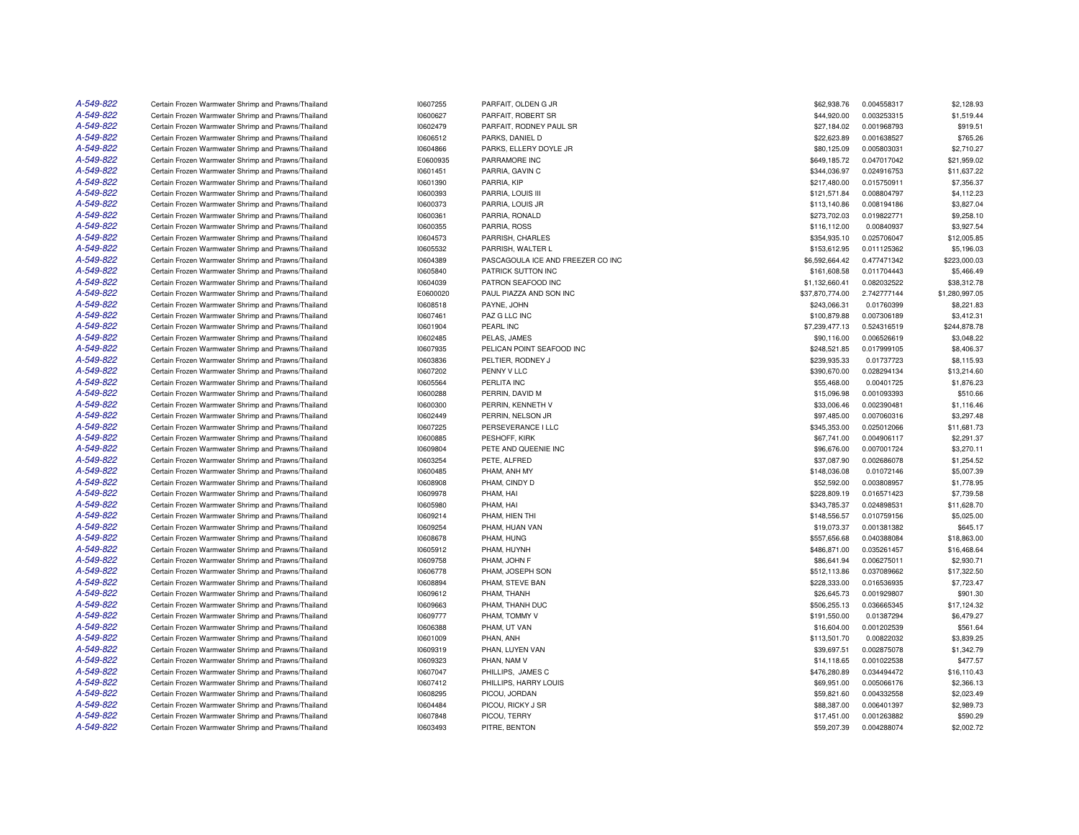| A-549-822 | Certain Frozen Warmwater Shrimp and Prawns/Thailand | 10607255 | PARFAIT, OLDEN G JR               | \$62,938.76     | 0.004558317 | \$2,128.93     |
|-----------|-----------------------------------------------------|----------|-----------------------------------|-----------------|-------------|----------------|
| A-549-822 | Certain Frozen Warmwater Shrimp and Prawns/Thailand | 10600627 | PARFAIT, ROBERT SR                | \$44,920.00     | 0.003253315 | \$1,519.44     |
| A-549-822 | Certain Frozen Warmwater Shrimp and Prawns/Thailand | 10602479 | PARFAIT, RODNEY PAUL SR           | \$27,184.02     | 0.001968793 | \$919.51       |
| A-549-822 | Certain Frozen Warmwater Shrimp and Prawns/Thailand | 10606512 | PARKS, DANIEL D                   | \$22,623.89     | 0.001638527 | \$765.26       |
| A-549-822 | Certain Frozen Warmwater Shrimp and Prawns/Thailand | 10604866 | PARKS, ELLERY DOYLE JR            | \$80,125.09     | 0.005803031 | \$2,710.27     |
| A-549-822 | Certain Frozen Warmwater Shrimp and Prawns/Thailand | E0600935 | PARRAMORE INC                     | \$649,185.72    | 0.047017042 | \$21,959.02    |
| A-549-822 | Certain Frozen Warmwater Shrimp and Prawns/Thailand | 10601451 | PARRIA, GAVIN C                   | \$344,036.97    | 0.024916753 | \$11,637.22    |
| A-549-822 | Certain Frozen Warmwater Shrimp and Prawns/Thailand | 10601390 | PARRIA, KIP                       | \$217,480.00    | 0.015750911 | \$7,356.37     |
| A-549-822 | Certain Frozen Warmwater Shrimp and Prawns/Thailand | 10600393 | PARRIA, LOUIS III                 | \$121,571.84    | 0.008804797 | \$4,112.23     |
| A-549-822 | Certain Frozen Warmwater Shrimp and Prawns/Thailand | 10600373 | PARRIA, LOUIS JR                  | \$113,140.86    | 0.008194186 | \$3,827.04     |
| A-549-822 | Certain Frozen Warmwater Shrimp and Prawns/Thailand | 10600361 | PARRIA, RONALD                    | \$273,702.03    | 0.019822771 | \$9,258.10     |
| A-549-822 | Certain Frozen Warmwater Shrimp and Prawns/Thailand | 10600355 | PARRIA, ROSS                      | \$116,112.00    | 0.00840937  | \$3,927.54     |
| A-549-822 | Certain Frozen Warmwater Shrimp and Prawns/Thailand | 10604573 | PARRISH, CHARLES                  | \$354,935.10    | 0.025706047 | \$12,005.85    |
| A-549-822 | Certain Frozen Warmwater Shrimp and Prawns/Thailand | 10605532 | PARRISH, WALTER L                 | \$153,612.95    | 0.011125362 | \$5,196.03     |
| A-549-822 | Certain Frozen Warmwater Shrimp and Prawns/Thailand | 10604389 | PASCAGOULA ICE AND FREEZER CO INC | \$6,592,664.42  | 0.477471342 | \$223,000.03   |
| A-549-822 | Certain Frozen Warmwater Shrimp and Prawns/Thailand | 10605840 | PATRICK SUTTON INC                | \$161,608.58    | 0.011704443 | \$5,466.49     |
| A-549-822 | Certain Frozen Warmwater Shrimp and Prawns/Thailand | 10604039 | PATRON SEAFOOD INC                | \$1,132,660.41  | 0.082032522 | \$38,312.78    |
| A-549-822 | Certain Frozen Warmwater Shrimp and Prawns/Thailand | E0600020 | PAUL PIAZZA AND SON INC           | \$37,870,774.00 | 2.742777144 | \$1,280,997.05 |
| A-549-822 | Certain Frozen Warmwater Shrimp and Prawns/Thailand | 10608518 | PAYNE, JOHN                       | \$243,066.31    | 0.01760399  | \$8,221.83     |
| A-549-822 | Certain Frozen Warmwater Shrimp and Prawns/Thailand | 10607461 | PAZ G LLC INC                     | \$100,879.88    | 0.007306189 | \$3,412.31     |
| A-549-822 | Certain Frozen Warmwater Shrimp and Prawns/Thailand | 10601904 | PEARL INC                         | \$7,239,477.13  | 0.524316519 | \$244,878.78   |
| A-549-822 | Certain Frozen Warmwater Shrimp and Prawns/Thailand | 10602485 | PELAS, JAMES                      | \$90,116.00     | 0.006526619 | \$3,048.22     |
| A-549-822 | Certain Frozen Warmwater Shrimp and Prawns/Thailand | 10607935 | PELICAN POINT SEAFOOD INC         | \$248,521.85    | 0.017999105 | \$8,406.37     |
| A-549-822 | Certain Frozen Warmwater Shrimp and Prawns/Thailand | 10603836 | PELTIER, RODNEY J                 | \$239,935.33    | 0.01737723  | \$8,115.93     |
| A-549-822 | Certain Frozen Warmwater Shrimp and Prawns/Thailand | 10607202 | PENNY V LLC                       | \$390,670.00    | 0.028294134 | \$13,214.60    |
| A-549-822 | Certain Frozen Warmwater Shrimp and Prawns/Thailand | 10605564 | PERLITA INC                       | \$55,468.00     | 0.00401725  | \$1,876.23     |
| A-549-822 | Certain Frozen Warmwater Shrimp and Prawns/Thailand | 10600288 | PERRIN, DAVID M                   | \$15,096.98     | 0.001093393 | \$510.66       |
| A-549-822 | Certain Frozen Warmwater Shrimp and Prawns/Thailand | 10600300 | PERRIN, KENNETH V                 | \$33,006.46     | 0.002390481 | \$1,116.46     |
| A-549-822 | Certain Frozen Warmwater Shrimp and Prawns/Thailand | 10602449 | PERRIN, NELSON JR                 | \$97,485.00     | 0.007060316 | \$3,297.48     |
| A-549-822 | Certain Frozen Warmwater Shrimp and Prawns/Thailand | 10607225 | PERSEVERANCE I LLC                | \$345,353.00    | 0.025012066 | \$11,681.73    |
| A-549-822 | Certain Frozen Warmwater Shrimp and Prawns/Thailand | 10600885 | PESHOFF, KIRK                     | \$67,741.00     | 0.004906117 | \$2,291.37     |
| A-549-822 | Certain Frozen Warmwater Shrimp and Prawns/Thailand | 10609804 | PETE AND QUEENIE INC              | \$96,676.00     | 0.007001724 | \$3,270.11     |
| A-549-822 | Certain Frozen Warmwater Shrimp and Prawns/Thailand | 10603254 | PETE, ALFRED                      | \$37,087.90     | 0.002686078 | \$1,254.52     |
| A-549-822 | Certain Frozen Warmwater Shrimp and Prawns/Thailand | 10600485 | PHAM, ANH MY                      | \$148,036.08    | 0.01072146  | \$5,007.39     |
| A-549-822 | Certain Frozen Warmwater Shrimp and Prawns/Thailand | 10608908 | PHAM, CINDY D                     | \$52,592.00     | 0.003808957 | \$1,778.95     |
| A-549-822 | Certain Frozen Warmwater Shrimp and Prawns/Thailand | 10609978 | PHAM, HAI                         | \$228,809.19    | 0.016571423 | \$7,739.58     |
| A-549-822 | Certain Frozen Warmwater Shrimp and Prawns/Thailand | 10605980 | PHAM, HAI                         | \$343,785.37    | 0.024898531 | \$11,628.70    |
| A-549-822 | Certain Frozen Warmwater Shrimp and Prawns/Thailand | 10609214 | PHAM, HIEN THI                    | \$148,556.57    | 0.010759156 | \$5,025.00     |
| A-549-822 | Certain Frozen Warmwater Shrimp and Prawns/Thailand | 10609254 | PHAM, HUAN VAN                    | \$19,073.37     | 0.001381382 | \$645.17       |
| A-549-822 | Certain Frozen Warmwater Shrimp and Prawns/Thailand | 10608678 | PHAM, HUNG                        | \$557,656.68    | 0.040388084 | \$18,863.00    |
| A-549-822 | Certain Frozen Warmwater Shrimp and Prawns/Thailand | 10605912 | PHAM, HUYNH                       | \$486,871.00    | 0.035261457 | \$16,468.64    |
| A-549-822 | Certain Frozen Warmwater Shrimp and Prawns/Thailand | 10609758 | PHAM, JOHN F                      | \$86,641.94     | 0.006275011 | \$2,930.71     |
| A-549-822 | Certain Frozen Warmwater Shrimp and Prawns/Thailand | 10606778 | PHAM, JOSEPH SON                  | \$512,113.86    | 0.037089662 | \$17,322.50    |
| A-549-822 | Certain Frozen Warmwater Shrimp and Prawns/Thailand | 10608894 | PHAM, STEVE BAN                   | \$228,333.00    | 0.016536935 | \$7,723.47     |
| A-549-822 | Certain Frozen Warmwater Shrimp and Prawns/Thailand | 10609612 | PHAM, THANH                       | \$26,645.73     | 0.001929807 | \$901.30       |
| A-549-822 | Certain Frozen Warmwater Shrimp and Prawns/Thailand | 10609663 | PHAM, THANH DUC                   | \$506,255.13    | 0.036665345 | \$17,124.32    |
| A-549-822 | Certain Frozen Warmwater Shrimp and Prawns/Thailand | 10609777 | PHAM. TOMMY V                     | \$191.550.00    | 0.01387294  | \$6,479.27     |
| A-549-822 | Certain Frozen Warmwater Shrimp and Prawns/Thailand | 10606388 | PHAM. UT VAN                      | \$16,604.00     | 0.001202539 | \$561.64       |
| A-549-822 | Certain Frozen Warmwater Shrimp and Prawns/Thailand | 10601009 | PHAN, ANH                         | \$113,501.70    | 0.00822032  | \$3,839.25     |
| A-549-822 | Certain Frozen Warmwater Shrimp and Prawns/Thailand | 10609319 | PHAN, LUYEN VAN                   | \$39,697.51     | 0.002875078 | \$1,342.79     |
| A-549-822 | Certain Frozen Warmwater Shrimp and Prawns/Thailand | 10609323 | PHAN, NAM V                       | \$14,118.65     | 0.001022538 | \$477.57       |
| A-549-822 | Certain Frozen Warmwater Shrimp and Prawns/Thailand | 10607047 | PHILLIPS. JAMES C                 | \$476,280.89    | 0.034494472 | \$16,110.43    |
| A-549-822 | Certain Frozen Warmwater Shrimp and Prawns/Thailand | 10607412 | PHILLIPS, HARRY LOUIS             | \$69,951.00     | 0.005066176 | \$2,366.13     |
| A-549-822 | Certain Frozen Warmwater Shrimp and Prawns/Thailand | 10608295 | PICOU, JORDAN                     | \$59,821.60     | 0.004332558 | \$2,023.49     |
| A-549-822 | Certain Frozen Warmwater Shrimp and Prawns/Thailand | 10604484 | PICOU, RICKY J SR                 | \$88,387.00     | 0.006401397 | \$2,989.73     |
| A-549-822 | Certain Frozen Warmwater Shrimp and Prawns/Thailand | 10607848 | PICOU, TERRY                      | \$17,451.00     | 0.001263882 | \$590.29       |
| A-549-822 | Certain Frozen Warmwater Shrimp and Prawns/Thailand | 10603493 | PITRE, BENTON                     | \$59,207.39     | 0.004288074 | \$2,002.72     |
|           |                                                     |          |                                   |                 |             |                |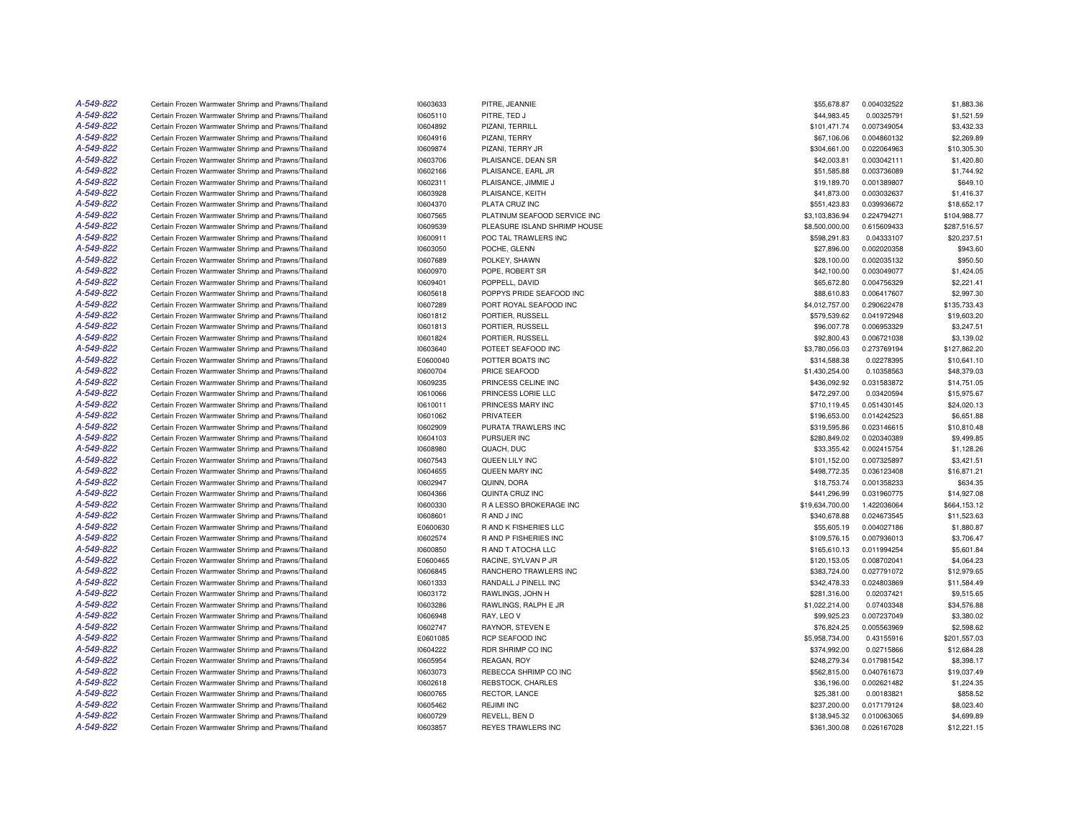| A-549-822 | Certain Frozen Warmwater Shrimp and Prawns/Thailand | 10603633 | PITRE, JEANNIE               | \$55,678.87     | 0.004032522 | \$1,883.36   |
|-----------|-----------------------------------------------------|----------|------------------------------|-----------------|-------------|--------------|
| A-549-822 | Certain Frozen Warmwater Shrimp and Prawns/Thailand | 10605110 | PITRE, TED J                 | \$44,983.45     | 0.00325791  | \$1,521.59   |
| A-549-822 | Certain Frozen Warmwater Shrimp and Prawns/Thailand | 10604892 | PIZANI, TERRILL              | \$101,471.74    | 0.007349054 | \$3,432.33   |
| A-549-822 | Certain Frozen Warmwater Shrimp and Prawns/Thailand | 10604916 | PIZANI, TERRY                | \$67,106.06     | 0.004860132 | \$2,269.89   |
| A-549-822 | Certain Frozen Warmwater Shrimp and Prawns/Thailand | 10609874 | PIZANI, TERRY JR             | \$304,661.00    | 0.022064963 | \$10,305.30  |
| A-549-822 | Certain Frozen Warmwater Shrimp and Prawns/Thailand | 10603706 | PLAISANCE, DEAN SR           | \$42,003.81     | 0.003042111 | \$1,420.80   |
| A-549-822 | Certain Frozen Warmwater Shrimp and Prawns/Thailand | 10602166 | PLAISANCE, EARL JR           | \$51,585.88     | 0.003736089 | \$1,744.92   |
| A-549-822 | Certain Frozen Warmwater Shrimp and Prawns/Thailand | 10602311 | PLAISANCE, JIMMIE J          | \$19,189.70     | 0.001389807 | \$649.10     |
| A-549-822 | Certain Frozen Warmwater Shrimp and Prawns/Thailand | 10603928 | PLAISANCE, KEITH             | \$41,873.00     | 0.003032637 | \$1,416.37   |
| A-549-822 | Certain Frozen Warmwater Shrimp and Prawns/Thailand | 10604370 | PLATA CRUZ INC               | \$551,423.83    | 0.039936672 | \$18,652.17  |
| A-549-822 | Certain Frozen Warmwater Shrimp and Prawns/Thailand | 10607565 | PLATINUM SEAFOOD SERVICE INC | \$3,103,836.94  | 0.224794271 | \$104,988.77 |
| A-549-822 | Certain Frozen Warmwater Shrimp and Prawns/Thailand | 10609539 | PLEASURE ISLAND SHRIMP HOUSE | \$8,500,000.00  | 0.615609433 | \$287,516.57 |
| A-549-822 | Certain Frozen Warmwater Shrimp and Prawns/Thailand | 10600911 | POC TAL TRAWLERS INC         | \$598,291.83    | 0.04333107  | \$20,237.51  |
| A-549-822 | Certain Frozen Warmwater Shrimp and Prawns/Thailand | 10603050 | POCHE, GLENN                 | \$27,896.00     | 0.002020358 | \$943.60     |
| A-549-822 | Certain Frozen Warmwater Shrimp and Prawns/Thailand | 10607689 | POLKEY, SHAWN                | \$28,100.00     | 0.002035132 | \$950.50     |
| A-549-822 | Certain Frozen Warmwater Shrimp and Prawns/Thailand | 10600970 | POPE, ROBERT SR              | \$42,100.00     | 0.003049077 | \$1,424.05   |
| A-549-822 | Certain Frozen Warmwater Shrimp and Prawns/Thailand | 10609401 | POPPELL, DAVID               | \$65,672.80     | 0.004756329 | \$2,221.41   |
| A-549-822 | Certain Frozen Warmwater Shrimp and Prawns/Thailand | 10605618 | POPPYS PRIDE SEAFOOD INC     | \$88,610.83     | 0.006417607 | \$2,997.30   |
| A-549-822 | Certain Frozen Warmwater Shrimp and Prawns/Thailand | 10607289 | PORT ROYAL SEAFOOD INC       | \$4,012,757.00  | 0.290622478 | \$135,733.43 |
| A-549-822 | Certain Frozen Warmwater Shrimp and Prawns/Thailand | 10601812 | PORTIER, RUSSELL             | \$579,539.62    | 0.041972948 | \$19,603.20  |
| A-549-822 | Certain Frozen Warmwater Shrimp and Prawns/Thailand | 10601813 | PORTIER, RUSSELL             | \$96,007.78     | 0.006953329 | \$3,247.51   |
| A-549-822 | Certain Frozen Warmwater Shrimp and Prawns/Thailand | 10601824 | PORTIER, RUSSELL             | \$92,800.43     | 0.006721038 | \$3,139.02   |
| A-549-822 | Certain Frozen Warmwater Shrimp and Prawns/Thailand | 10603640 | POTEET SEAFOOD INC           | \$3,780,056.03  | 0.273769194 | \$127,862.20 |
| A-549-822 | Certain Frozen Warmwater Shrimp and Prawns/Thailand | E0600040 | POTTER BOATS INC             | \$314,588.38    | 0.02278395  | \$10,641.10  |
| A-549-822 | Certain Frozen Warmwater Shrimp and Prawns/Thailand | 10600704 | PRICE SEAFOOD                | \$1,430,254.00  | 0.10358563  | \$48,379.03  |
| A-549-822 | Certain Frozen Warmwater Shrimp and Prawns/Thailand | 10609235 | PRINCESS CELINE INC          | \$436,092.92    | 0.031583872 | \$14,751.05  |
| A-549-822 | Certain Frozen Warmwater Shrimp and Prawns/Thailand | 10610066 | PRINCESS LORIE LLC           | \$472,297.00    | 0.03420594  | \$15,975.67  |
| A-549-822 | Certain Frozen Warmwater Shrimp and Prawns/Thailand | 10610011 | PRINCESS MARY INC            | \$710,119.45    | 0.051430145 | \$24,020.13  |
| A-549-822 | Certain Frozen Warmwater Shrimp and Prawns/Thailand | 10601062 | PRIVATEER                    | \$196,653.00    | 0.014242523 | \$6,651.88   |
| A-549-822 | Certain Frozen Warmwater Shrimp and Prawns/Thailand | 10602909 | PURATA TRAWLERS INC          | \$319,595.86    | 0.023146615 | \$10,810.48  |
| A-549-822 | Certain Frozen Warmwater Shrimp and Prawns/Thailand | 10604103 | PURSUER INC                  | \$280,849.02    | 0.020340389 | \$9,499.85   |
| A-549-822 |                                                     |          |                              | \$33,355.42     |             | \$1,128.26   |
| A-549-822 | Certain Frozen Warmwater Shrimp and Prawns/Thailand | 10608980 | QUACH, DUC                   |                 | 0.002415754 |              |
| A-549-822 | Certain Frozen Warmwater Shrimp and Prawns/Thailand | 10607543 | QUEEN LILY INC               | \$101,152.00    | 0.007325897 | \$3,421.51   |
| A-549-822 | Certain Frozen Warmwater Shrimp and Prawns/Thailand | 10604655 | QUEEN MARY INC               | \$498,772.35    | 0.036123408 | \$16,871.21  |
| A-549-822 | Certain Frozen Warmwater Shrimp and Prawns/Thailand | 10602947 | QUINN, DORA                  | \$18,753.74     | 0.001358233 | \$634.35     |
|           | Certain Frozen Warmwater Shrimp and Prawns/Thailand | 10604366 | QUINTA CRUZ INC              | \$441,296.99    | 0.031960775 | \$14,927.08  |
| A-549-822 | Certain Frozen Warmwater Shrimp and Prawns/Thailand | 10600330 | R A LESSO BROKERAGE INC      | \$19,634,700.00 | 1.422036064 | \$664,153.12 |
| A-549-822 | Certain Frozen Warmwater Shrimp and Prawns/Thailand | 10608601 | R AND J INC                  | \$340,678.88    | 0.024673545 | \$11,523.63  |
| A-549-822 | Certain Frozen Warmwater Shrimp and Prawns/Thailand | E0600630 | R AND K FISHERIES LLC        | \$55,605.19     | 0.004027186 | \$1,880.87   |
| A-549-822 | Certain Frozen Warmwater Shrimp and Prawns/Thailand | 10602574 | <b>RAND P FISHERIES INC</b>  | \$109,576.15    | 0.007936013 | \$3,706.47   |
| A-549-822 | Certain Frozen Warmwater Shrimp and Prawns/Thailand | 10600850 | R AND T ATOCHA LLC           | \$165,610.13    | 0.011994254 | \$5,601.84   |
| A-549-822 | Certain Frozen Warmwater Shrimp and Prawns/Thailand | E0600465 | RACINE, SYLVAN P JR          | \$120,153.05    | 0.008702041 | \$4,064.23   |
| A-549-822 | Certain Frozen Warmwater Shrimp and Prawns/Thailand | 10606845 | RANCHERO TRAWLERS INC        | \$383,724.00    | 0.027791072 | \$12,979.65  |
| A-549-822 | Certain Frozen Warmwater Shrimp and Prawns/Thailand | 10601333 | RANDALL J PINELL INC         | \$342,478.33    | 0.024803869 | \$11,584.49  |
| A-549-822 | Certain Frozen Warmwater Shrimp and Prawns/Thailand | 10603172 | RAWLINGS, JOHN H             | \$281,316.00    | 0.02037421  | \$9,515.65   |
| A-549-822 | Certain Frozen Warmwater Shrimp and Prawns/Thailand | 10603286 | RAWLINGS, RALPH E JR         | \$1,022,214.00  | 0.07403348  | \$34,576.88  |
| A-549-822 | Certain Frozen Warmwater Shrimp and Prawns/Thailand | 10606948 | RAY, LEO V                   | \$99,925.23     | 0.007237049 | \$3,380.02   |
| A-549-822 | Certain Frozen Warmwater Shrimp and Prawns/Thailand | 10602747 | RAYNOR, STEVEN E             | \$76,824.25     | 0.005563969 | \$2,598.62   |
| A-549-822 | Certain Frozen Warmwater Shrimp and Prawns/Thailand | E0601085 | RCP SEAFOOD INC              | \$5,958,734.00  | 0.43155916  | \$201,557.03 |
| A-549-822 | Certain Frozen Warmwater Shrimp and Prawns/Thailand | 10604222 | RDR SHRIMP CO INC            | \$374,992.00    | 0.02715866  | \$12,684.28  |
| A-549-822 | Certain Frozen Warmwater Shrimp and Prawns/Thailand | 10605954 | REAGAN, ROY                  | \$248,279.34    | 0.017981542 | \$8,398.17   |
| A-549-822 | Certain Frozen Warmwater Shrimp and Prawns/Thailand | 10603073 | REBECCA SHRIMP CO INC        | \$562,815.00    | 0.040761673 | \$19,037.49  |
| A-549-822 | Certain Frozen Warmwater Shrimp and Prawns/Thailand | 10602618 | REBSTOCK, CHARLES            | \$36,196.00     | 0.002621482 | \$1,224.35   |
| A-549-822 | Certain Frozen Warmwater Shrimp and Prawns/Thailand | 10600765 | RECTOR, LANCE                | \$25,381.00     | 0.00183821  | \$858.52     |
| A-549-822 | Certain Frozen Warmwater Shrimp and Prawns/Thailand | 10605462 | <b>REJIMI INC</b>            | \$237,200.00    | 0.017179124 | \$8,023.40   |
| A-549-822 | Certain Frozen Warmwater Shrimp and Prawns/Thailand | 10600729 | REVELL, BEN D                | \$138,945.32    | 0.010063065 | \$4,699.89   |
| A-549-822 | Certain Frozen Warmwater Shrimp and Prawns/Thailand | 10603857 | <b>REYES TRAWLERS INC</b>    | \$361,300.08    | 0.026167028 | \$12,221.15  |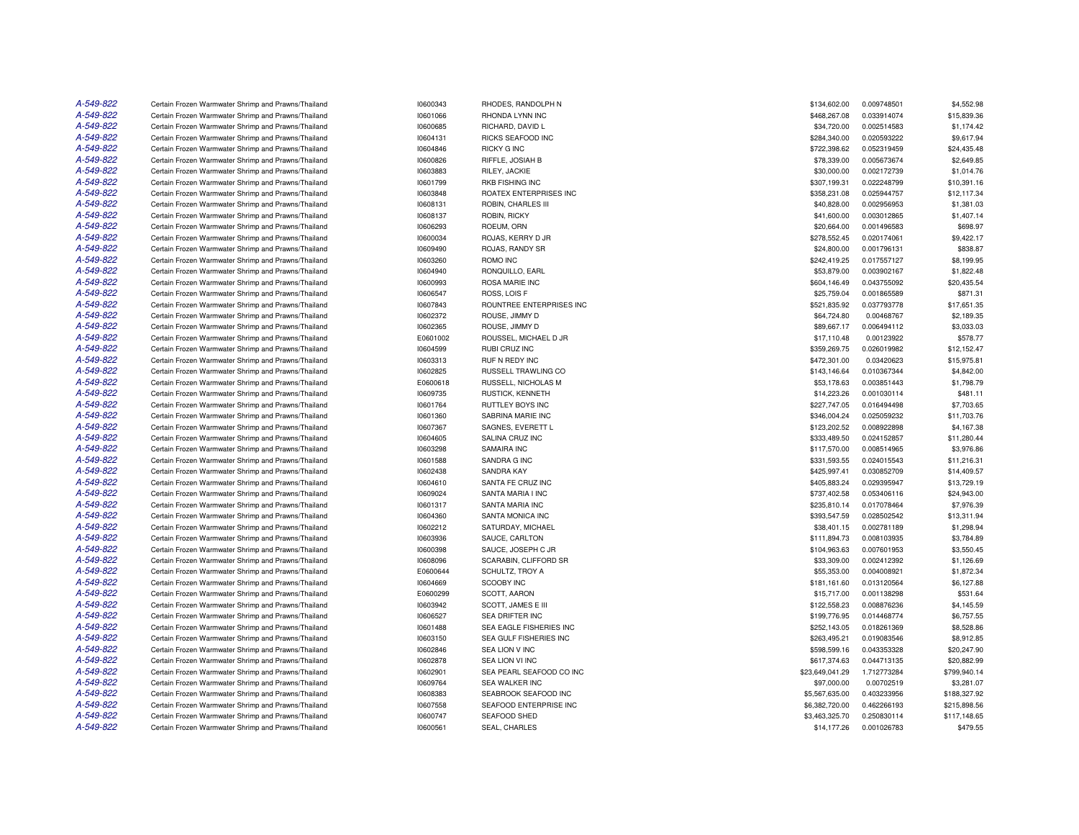| A-549-822 | Certain Frozen Warmwater Shrimp and Prawns/Thailand | 10600343             | RHODES, RANDOLPH N       | \$134,602.00    | 0.009748501 | \$4,552.98   |
|-----------|-----------------------------------------------------|----------------------|--------------------------|-----------------|-------------|--------------|
| A-549-822 | Certain Frozen Warmwater Shrimp and Prawns/Thailand | 10601066             | RHONDA LYNN INC          | \$468,267.08    | 0.033914074 | \$15,839.36  |
| A-549-822 | Certain Frozen Warmwater Shrimp and Prawns/Thailand | 10600685             | RICHARD, DAVID L         | \$34,720.00     | 0.002514583 | \$1,174.42   |
| A-549-822 | Certain Frozen Warmwater Shrimp and Prawns/Thailand | 10604131             | RICKS SEAFOOD INC        | \$284,340.00    | 0.020593222 | \$9,617.94   |
| A-549-822 | Certain Frozen Warmwater Shrimp and Prawns/Thailand | 10604846             | <b>RICKY G INC</b>       | \$722,398.62    | 0.052319459 | \$24,435.48  |
| A-549-822 | Certain Frozen Warmwater Shrimp and Prawns/Thailand | 10600826             | RIFFLE, JOSIAH B         | \$78,339.00     | 0.005673674 | \$2,649.85   |
| A-549-822 | Certain Frozen Warmwater Shrimp and Prawns/Thailand | 10603883             | RILEY, JACKIE            | \$30,000.00     | 0.002172739 | \$1,014.76   |
| A-549-822 | Certain Frozen Warmwater Shrimp and Prawns/Thailand | 10601799             | <b>RKB FISHING INC</b>   | \$307,199.31    | 0.022248799 | \$10,391.16  |
| A-549-822 | Certain Frozen Warmwater Shrimp and Prawns/Thailand | 10603848             | ROATEX ENTERPRISES INC   | \$358,231.08    | 0.025944757 | \$12,117.34  |
| A-549-822 | Certain Frozen Warmwater Shrimp and Prawns/Thailand | 10608131             | ROBIN, CHARLES III       | \$40,828.00     | 0.002956953 | \$1,381.03   |
| A-549-822 | Certain Frozen Warmwater Shrimp and Prawns/Thailand | 10608137             | ROBIN, RICKY             | \$41,600.00     | 0.003012865 | \$1,407.14   |
| A-549-822 | Certain Frozen Warmwater Shrimp and Prawns/Thailand | 10606293             | ROEUM, ORN               | \$20,664.00     | 0.001496583 | \$698.97     |
| A-549-822 | Certain Frozen Warmwater Shrimp and Prawns/Thailand | 10600034             | ROJAS, KERRY D JR        | \$278,552.45    | 0.020174061 | \$9,422.17   |
| A-549-822 | Certain Frozen Warmwater Shrimp and Prawns/Thailand | 10609490             | ROJAS, RANDY SR          | \$24,800.00     | 0.001796131 | \$838.87     |
| A-549-822 | Certain Frozen Warmwater Shrimp and Prawns/Thailand | 10603260             | ROMO INC                 | \$242,419.25    | 0.017557127 | \$8,199.95   |
| A-549-822 | Certain Frozen Warmwater Shrimp and Prawns/Thailand | 10604940             | RONQUILLO, EARL          | \$53,879.00     | 0.003902167 | \$1,822.48   |
| A-549-822 | Certain Frozen Warmwater Shrimp and Prawns/Thailand | 10600993             | ROSA MARIE INC           | \$604,146.49    | 0.043755092 | \$20,435.54  |
| A-549-822 | Certain Frozen Warmwater Shrimp and Prawns/Thailand | 10606547             | ROSS, LOIS F             | \$25,759.04     | 0.001865589 | \$871.31     |
| A-549-822 | Certain Frozen Warmwater Shrimp and Prawns/Thailand | 10607843             | ROUNTREE ENTERPRISES INC | \$521,835.92    | 0.037793778 | \$17,651.35  |
| A-549-822 | Certain Frozen Warmwater Shrimp and Prawns/Thailand | 10602372             | ROUSE, JIMMY D           | \$64,724.80     | 0.00468767  | \$2,189.35   |
| A-549-822 | Certain Frozen Warmwater Shrimp and Prawns/Thailand | 10602365             | ROUSE, JIMMY D           | \$89,667.17     | 0.006494112 | \$3,033.03   |
| A-549-822 | Certain Frozen Warmwater Shrimp and Prawns/Thailand | E0601002             | ROUSSEL, MICHAEL D JR    | \$17,110.48     | 0.00123922  | \$578.77     |
| A-549-822 | Certain Frozen Warmwater Shrimp and Prawns/Thailand | 10604599             | RUBI CRUZ INC            | \$359,269.75    | 0.026019982 | \$12,152.47  |
| A-549-822 | Certain Frozen Warmwater Shrimp and Prawns/Thailand | 10603313             | RUF N REDY INC           | \$472,301.00    | 0.03420623  | \$15,975.81  |
| A-549-822 | Certain Frozen Warmwater Shrimp and Prawns/Thailand | 10602825             | RUSSELL TRAWLING CO      | \$143,146.64    | 0.010367344 | \$4,842.00   |
| A-549-822 | Certain Frozen Warmwater Shrimp and Prawns/Thailand | E0600618             | RUSSELL, NICHOLAS M      | \$53,178.63     | 0.003851443 | \$1,798.79   |
| A-549-822 | Certain Frozen Warmwater Shrimp and Prawns/Thailand | 10609735             | RUSTICK, KENNETH         | \$14,223.26     | 0.001030114 | \$481.11     |
| A-549-822 | Certain Frozen Warmwater Shrimp and Prawns/Thailand | 10601764             | <b>RUTTLEY BOYS INC</b>  | \$227,747.05    | 0.016494498 | \$7,703.65   |
| A-549-822 | Certain Frozen Warmwater Shrimp and Prawns/Thailand | 10601360             | SABRINA MARIE INC        | \$346,004.24    | 0.025059232 | \$11,703.76  |
| A-549-822 | Certain Frozen Warmwater Shrimp and Prawns/Thailand | 10607367             | SAGNES, EVERETT L        | \$123,202.52    | 0.008922898 | \$4,167.38   |
| A-549-822 | Certain Frozen Warmwater Shrimp and Prawns/Thailand | 10604605             | SALINA CRUZ INC          | \$333,489.50    | 0.024152857 | \$11,280.44  |
| A-549-822 | Certain Frozen Warmwater Shrimp and Prawns/Thailand | 10603298             | <b>SAMAIRA INC</b>       | \$117,570.00    | 0.008514965 | \$3,976.86   |
| A-549-822 | Certain Frozen Warmwater Shrimp and Prawns/Thailand | 10601588             | SANDRA G INC             | \$331,593.55    | 0.024015543 | \$11,216.31  |
| A-549-822 | Certain Frozen Warmwater Shrimp and Prawns/Thailand | 10602438             | <b>SANDRA KAY</b>        | \$425,997.41    | 0.030852709 | \$14,409.57  |
| A-549-822 | Certain Frozen Warmwater Shrimp and Prawns/Thailand | 10604610             | SANTA FE CRUZ INC        | \$405,883.24    | 0.029395947 | \$13,729.19  |
| A-549-822 | Certain Frozen Warmwater Shrimp and Prawns/Thailand | 10609024             | SANTA MARIA I INC        | \$737,402.58    | 0.053406116 | \$24,943.00  |
| A-549-822 | Certain Frozen Warmwater Shrimp and Prawns/Thailand | 10601317             | SANTA MARIA INC          | \$235,810.14    | 0.017078464 | \$7,976.39   |
| A-549-822 | Certain Frozen Warmwater Shrimp and Prawns/Thailand | 10604360             | SANTA MONICA INC         | \$393,547.59    | 0.028502542 | \$13,311.94  |
| A-549-822 | Certain Frozen Warmwater Shrimp and Prawns/Thailand | 10602212             | SATURDAY, MICHAEL        | \$38,401.15     | 0.002781189 | \$1,298.94   |
| A-549-822 | Certain Frozen Warmwater Shrimp and Prawns/Thailand | 10603936             | SAUCE, CARLTON           | \$111,894.73    | 0.008103935 | \$3,784.89   |
| A-549-822 | Certain Frozen Warmwater Shrimp and Prawns/Thailand | 10600398             | SAUCE, JOSEPH C JR       | \$104,963.63    | 0.007601953 | \$3,550.45   |
| A-549-822 | Certain Frozen Warmwater Shrimp and Prawns/Thailand | 10608096             | SCARABIN, CLIFFORD SR    | \$33,309.00     | 0.002412392 | \$1,126.69   |
| A-549-822 | Certain Frozen Warmwater Shrimp and Prawns/Thailand | E0600644             | SCHULTZ, TROY A          | \$55,353,00     | 0.004008921 | \$1,872.34   |
| A-549-822 | Certain Frozen Warmwater Shrimp and Prawns/Thailand | 10604669             | <b>SCOOBY INC</b>        | \$181,161.60    | 0.013120564 | \$6,127.88   |
| A-549-822 | Certain Frozen Warmwater Shrimp and Prawns/Thailand | E0600299             | SCOTT, AARON             | \$15,717.00     | 0.001138298 | \$531.64     |
| A-549-822 | Certain Frozen Warmwater Shrimp and Prawns/Thailand | 10603942             | SCOTT, JAMES E III       | \$122,558.23    | 0.008876236 | \$4,145.59   |
| A-549-822 | Certain Frozen Warmwater Shrimp and Prawns/Thailand | 10606527             | SEA DRIFTER INC          | \$199,776.95    | 0.014468774 | \$6,757.55   |
| A-549-822 | Certain Frozen Warmwater Shrimp and Prawns/Thailand | 10601488             | SEA EAGLE FISHERIES INC  | \$252,143.05    | 0.018261369 | \$8,528.86   |
| A-549-822 | Certain Frozen Warmwater Shrimp and Prawns/Thailand | 10603150             | SEA GULF FISHERIES INC   | \$263,495.21    | 0.019083546 | \$8,912.85   |
| A-549-822 | Certain Frozen Warmwater Shrimp and Prawns/Thailand | 10602846             | SEA LION V INC           | \$598,599.16    | 0.043353328 | \$20,247.90  |
| A-549-822 | Certain Frozen Warmwater Shrimp and Prawns/Thailand | 10602878             | SEA LION VI INC          | \$617,374.63    | 0.044713135 | \$20,882.99  |
| A-549-822 | Certain Frozen Warmwater Shrimp and Prawns/Thailand | 10602901             | SEA PEARL SEAFOOD CO INC | \$23,649,041.29 | 1.712773284 | \$799,940.14 |
| A-549-822 | Certain Frozen Warmwater Shrimp and Prawns/Thailand |                      | SEA WALKER INC           | \$97,000.00     | 0.00702519  | \$3,281.07   |
| A-549-822 | Certain Frozen Warmwater Shrimp and Prawns/Thailand | 10609764<br>10608383 | SEABROOK SEAFOOD INC     | \$5,567,635.00  | 0.403233956 | \$188,327.92 |
| A-549-822 | Certain Frozen Warmwater Shrimp and Prawns/Thailand | 10607558             | SEAFOOD ENTERPRISE INC   | \$6,382,720.00  | 0.462266193 | \$215,898.56 |
| A-549-822 | Certain Frozen Warmwater Shrimp and Prawns/Thailand | 10600747             | SEAFOOD SHED             | \$3,463,325.70  | 0.250830114 | \$117.148.65 |
| A-549-822 | Certain Frozen Warmwater Shrimp and Prawns/Thailand | 10600561             | SEAL, CHARLES            | \$14,177.26     | 0.001026783 | \$479.55     |
|           |                                                     |                      |                          |                 |             |              |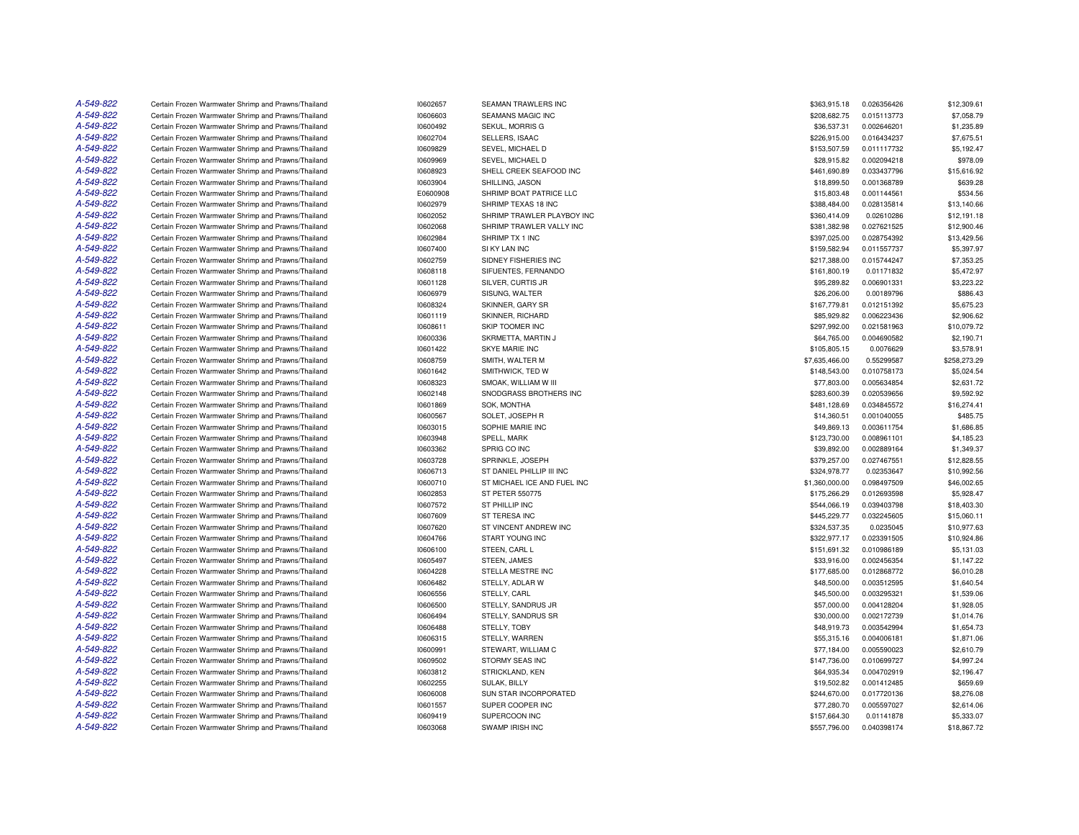| A-549-822 | Certain Frozen Warmwater Shrimp and Prawns/Thailand                                                        | 10602657             | SEAMAN TRAWLERS INC                      | \$363,915.18   | 0.026356426              | \$12,309.61  |
|-----------|------------------------------------------------------------------------------------------------------------|----------------------|------------------------------------------|----------------|--------------------------|--------------|
| A-549-822 | Certain Frozen Warmwater Shrimp and Prawns/Thailand                                                        | 10606603             | <b>SEAMANS MAGIC INC</b>                 | \$208,682.75   | 0.015113773              | \$7,058.79   |
| A-549-822 | Certain Frozen Warmwater Shrimp and Prawns/Thailand                                                        | 10600492             | SEKUL, MORRIS G                          | \$36,537.31    | 0.002646201              | \$1,235.89   |
| A-549-822 | Certain Frozen Warmwater Shrimp and Prawns/Thailand                                                        | 10602704             | SELLERS, ISAAC                           | \$226,915.00   | 0.016434237              | \$7,675.51   |
| A-549-822 | Certain Frozen Warmwater Shrimp and Prawns/Thailand                                                        | 10609829             | SEVEL, MICHAEL D                         | \$153,507.59   | 0.011117732              | \$5,192.47   |
| A-549-822 | Certain Frozen Warmwater Shrimp and Prawns/Thailand                                                        | 10609969             | SEVEL, MICHAEL D                         | \$28,915.82    | 0.002094218              | \$978.09     |
| A-549-822 | Certain Frozen Warmwater Shrimp and Prawns/Thailand                                                        | 10608923             | SHELL CREEK SEAFOOD INC                  | \$461,690.89   | 0.033437796              | \$15,616.92  |
| A-549-822 | Certain Frozen Warmwater Shrimp and Prawns/Thailand                                                        | 10603904             | SHILLING, JASON                          | \$18,899.50    | 0.001368789              | \$639.28     |
| A-549-822 | Certain Frozen Warmwater Shrimp and Prawns/Thailand                                                        | E0600908             | SHRIMP BOAT PATRICE LLC                  | \$15,803.48    | 0.001144561              | \$534.56     |
| A-549-822 | Certain Frozen Warmwater Shrimp and Prawns/Thailand                                                        | 10602979             | SHRIMP TEXAS 18 INC                      | \$388,484.00   | 0.028135814              | \$13,140.66  |
| A-549-822 | Certain Frozen Warmwater Shrimp and Prawns/Thailand                                                        | 10602052             | SHRIMP TRAWLER PLAYBOY INC               | \$360,414.09   | 0.02610286               | \$12,191.18  |
| A-549-822 | Certain Frozen Warmwater Shrimp and Prawns/Thailand                                                        | 10602068             | SHRIMP TRAWLER VALLY INC                 | \$381,382.98   | 0.027621525              | \$12,900.46  |
| A-549-822 | Certain Frozen Warmwater Shrimp and Prawns/Thailand                                                        | 10602984             | SHRIMP TX 1 INC                          | \$397,025.00   | 0.028754392              | \$13,429.56  |
| A-549-822 | Certain Frozen Warmwater Shrimp and Prawns/Thailand                                                        | 10607400             | SI KY LAN INC                            | \$159,582.94   | 0.011557737              | \$5,397.97   |
| A-549-822 | Certain Frozen Warmwater Shrimp and Prawns/Thailand                                                        | 10602759             | SIDNEY FISHERIES INC                     | \$217,388.00   | 0.015744247              | \$7,353.25   |
| A-549-822 | Certain Frozen Warmwater Shrimp and Prawns/Thailand                                                        | 10608118             | SIFUENTES, FERNANDO                      | \$161,800.19   | 0.01171832               | \$5,472.97   |
| A-549-822 | Certain Frozen Warmwater Shrimp and Prawns/Thailand                                                        | 10601128             | SILVER, CURTIS JR                        | \$95,289.82    | 0.006901331              | \$3,223.22   |
| A-549-822 | Certain Frozen Warmwater Shrimp and Prawns/Thailand                                                        | 10606979             | SISUNG, WALTER                           | \$26,206.00    | 0.00189796               | \$886.43     |
| A-549-822 | Certain Frozen Warmwater Shrimp and Prawns/Thailand                                                        | 10608324             | SKINNER, GARY SR                         | \$167,779.81   | 0.012151392              | \$5,675.23   |
| A-549-822 | Certain Frozen Warmwater Shrimp and Prawns/Thailand                                                        | 10601119             | SKINNER, RICHARD                         | \$85,929.82    | 0.006223436              | \$2,906.62   |
| A-549-822 | Certain Frozen Warmwater Shrimp and Prawns/Thailand                                                        | 10608611             | SKIP TOOMER INC                          | \$297,992.00   | 0.021581963              | \$10,079.72  |
| A-549-822 | Certain Frozen Warmwater Shrimp and Prawns/Thailand                                                        | 10600336             | SKRMETTA, MARTIN J                       | \$64,765.00    | 0.004690582              | \$2,190.71   |
| A-549-822 | Certain Frozen Warmwater Shrimp and Prawns/Thailand                                                        | 10601422             | SKYE MARIE INC                           | \$105,805.15   | 0.0076629                | \$3,578.91   |
| A-549-822 | Certain Frozen Warmwater Shrimp and Prawns/Thailand                                                        | 10608759             | SMITH, WALTER M                          | \$7,635,466.00 | 0.55299587               | \$258,273.29 |
| A-549-822 | Certain Frozen Warmwater Shrimp and Prawns/Thailand                                                        | 10601642             | SMITHWICK, TED W                         | \$148,543.00   | 0.010758173              | \$5,024.54   |
| A-549-822 | Certain Frozen Warmwater Shrimp and Prawns/Thailand                                                        | 10608323             | SMOAK, WILLIAM W III                     | \$77,803.00    | 0.005634854              | \$2,631.72   |
| A-549-822 | Certain Frozen Warmwater Shrimp and Prawns/Thailand                                                        | 10602148             | SNODGRASS BROTHERS INC                   | \$283,600.39   | 0.020539656              | \$9,592.92   |
| A-549-822 | Certain Frozen Warmwater Shrimp and Prawns/Thailand                                                        | 10601869             | <b>SOK. MONTHA</b>                       | \$481,128.69   | 0.034845572              | \$16,274.41  |
| A-549-822 | Certain Frozen Warmwater Shrimp and Prawns/Thailand                                                        | 10600567             | SOLET, JOSEPH R                          | \$14,360.51    | 0.001040055              | \$485.75     |
| A-549-822 | Certain Frozen Warmwater Shrimp and Prawns/Thailand                                                        | 10603015             | SOPHIE MARIE INC                         | \$49,869.13    | 0.003611754              | \$1,686.85   |
| A-549-822 | Certain Frozen Warmwater Shrimp and Prawns/Thailand                                                        | 10603948             | SPELL, MARK                              | \$123,730.00   | 0.008961101              | \$4,185.23   |
| A-549-822 | Certain Frozen Warmwater Shrimp and Prawns/Thailand                                                        | 10603362             | SPRIG CO INC                             | \$39,892.00    | 0.002889164              | \$1,349.37   |
| A-549-822 | Certain Frozen Warmwater Shrimp and Prawns/Thailand                                                        | 10603728             | SPRINKLE, JOSEPH                         | \$379,257.00   | 0.027467551              | \$12,828.55  |
| A-549-822 |                                                                                                            | 10606713             | ST DANIEL PHILLIP III INC                | \$324,978.77   | 0.02353647               | \$10,992.56  |
| A-549-822 | Certain Frozen Warmwater Shrimp and Prawns/Thailand<br>Certain Frozen Warmwater Shrimp and Prawns/Thailand | 10600710             | ST MICHAEL ICE AND FUEL INC              | \$1,360,000.00 | 0.098497509              | \$46,002.65  |
| A-549-822 | Certain Frozen Warmwater Shrimp and Prawns/Thailand                                                        | 10602853             | ST PETER 550775                          | \$175,266.29   | 0.012693598              | \$5,928.47   |
| A-549-822 | Certain Frozen Warmwater Shrimp and Prawns/Thailand                                                        | 10607572             | ST PHILLIP INC                           | \$544,066.19   | 0.039403798              | \$18,403.30  |
| A-549-822 |                                                                                                            |                      |                                          |                |                          |              |
| A-549-822 | Certain Frozen Warmwater Shrimp and Prawns/Thailand                                                        | 10607609             | ST TERESA INC                            | \$445,229.77   | 0.032245605              | \$15,060.11  |
| A-549-822 | Certain Frozen Warmwater Shrimp and Prawns/Thailand                                                        | 10607620<br>10604766 | ST VINCENT ANDREW INC<br>START YOUNG INC | \$324,537.35   | 0.0235045<br>0.023391505 | \$10,977.63  |
| A-549-822 | Certain Frozen Warmwater Shrimp and Prawns/Thailand                                                        |                      |                                          | \$322,977.17   |                          | \$10,924.86  |
| A-549-822 | Certain Frozen Warmwater Shrimp and Prawns/Thailand                                                        | 10606100             | STEEN, CARL L                            | \$151,691.32   | 0.010986189              | \$5,131.03   |
| A-549-822 | Certain Frozen Warmwater Shrimp and Prawns/Thailand                                                        | 10605497             | STEEN, JAMES                             | \$33,916.00    | 0.002456354              | \$1,147.22   |
| A-549-822 | Certain Frozen Warmwater Shrimp and Prawns/Thailand                                                        | 10604228             | STELLA MESTRE INC                        | \$177,685.00   | 0.012868772              | \$6,010.28   |
|           | Certain Frozen Warmwater Shrimp and Prawns/Thailand                                                        | 10606482             | STELLY, ADLAR W                          | \$48,500.00    | 0.003512595              | \$1,640.54   |
| A-549-822 | Certain Frozen Warmwater Shrimp and Prawns/Thailand                                                        | 10606556             | STELLY, CARL                             | \$45,500.00    | 0.003295321              | \$1,539.06   |
| A-549-822 | Certain Frozen Warmwater Shrimp and Prawns/Thailand                                                        | 10606500             | STELLY, SANDRUS JR                       | \$57,000.00    | 0.004128204              | \$1,928.05   |
| A-549-822 | Certain Frozen Warmwater Shrimp and Prawns/Thailand                                                        | 10606494             | STELLY, SANDRUS SR                       | \$30,000.00    | 0.002172739              | \$1,014.76   |
| A-549-822 | Certain Frozen Warmwater Shrimp and Prawns/Thailand                                                        | 10606488             | STELLY, TOBY                             | \$48,919.73    | 0.003542994              | \$1,654.73   |
| A-549-822 | Certain Frozen Warmwater Shrimp and Prawns/Thailand                                                        | 10606315             | STELLY, WARREN                           | \$55,315.16    | 0.004006181              | \$1,871.06   |
| A-549-822 | Certain Frozen Warmwater Shrimp and Prawns/Thailand                                                        | 10600991             | STEWART, WILLIAM C                       | \$77,184.00    | 0.005590023              | \$2,610.79   |
| A-549-822 | Certain Frozen Warmwater Shrimp and Prawns/Thailand                                                        | 10609502             | STORMY SEAS INC                          | \$147,736.00   | 0.010699727              | \$4,997.24   |
| A-549-822 | Certain Frozen Warmwater Shrimp and Prawns/Thailand                                                        | 10603812             | STRICKLAND, KEN                          | \$64,935.34    | 0.004702919              | \$2,196.47   |
| A-549-822 | Certain Frozen Warmwater Shrimp and Prawns/Thailand                                                        | 10602255             | <b>SULAK, BILLY</b>                      | \$19,502.82    | 0.001412485              | \$659.69     |
| A-549-822 | Certain Frozen Warmwater Shrimp and Prawns/Thailand                                                        | 10606008             | SUN STAR INCORPORATED                    | \$244,670.00   | 0.017720136              | \$8,276.08   |
| A-549-822 | Certain Frozen Warmwater Shrimp and Prawns/Thailand                                                        | 10601557             | SUPER COOPER INC                         | \$77,280.70    | 0.005597027              | \$2,614.06   |
| A-549-822 | Certain Frozen Warmwater Shrimp and Prawns/Thailand                                                        | 10609419             | SUPERCOON INC                            | \$157,664.30   | 0.01141878               | \$5,333,07   |
| A-549-822 | Certain Frozen Warmwater Shrimp and Prawns/Thailand                                                        | 10603068             | <b>SWAMP IRISH INC</b>                   | \$557,796.00   | 0.040398174              | \$18,867.72  |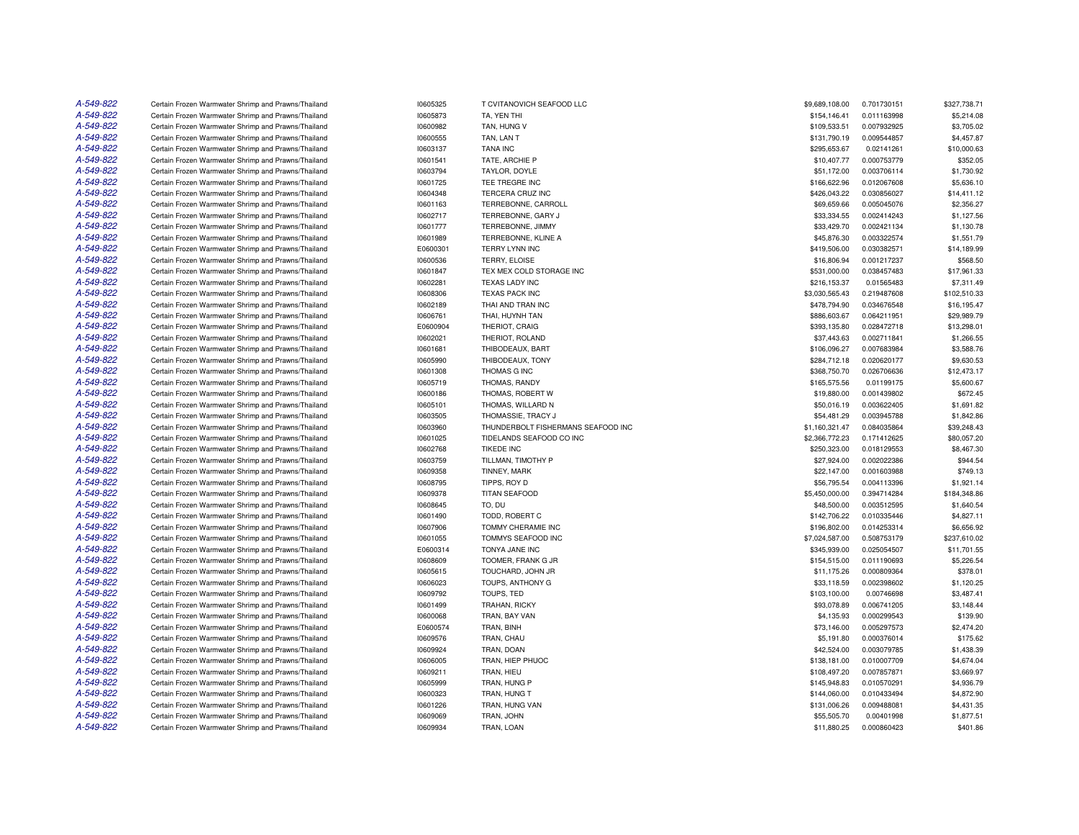| A-549-822 | Certain Frozen Warmwater Shrimp and Prawns/Thailand | 10605325 | T CVITANOVICH SEAFOOD LLC          | \$9,689,108.00 | 0.701730151 | \$327,738.71 |
|-----------|-----------------------------------------------------|----------|------------------------------------|----------------|-------------|--------------|
| A-549-822 | Certain Frozen Warmwater Shrimp and Prawns/Thailand | 10605873 | TA, YEN THI                        | \$154,146.41   | 0.011163998 | \$5,214.08   |
| A-549-822 | Certain Frozen Warmwater Shrimp and Prawns/Thailand | 10600982 | TAN, HUNG V                        | \$109,533.51   | 0.007932925 | \$3,705.02   |
| A-549-822 | Certain Frozen Warmwater Shrimp and Prawns/Thailand | 10600555 | TAN, LAN T                         | \$131,790.19   | 0.009544857 | \$4,457.87   |
| A-549-822 | Certain Frozen Warmwater Shrimp and Prawns/Thailand | 10603137 | <b>TANA INC</b>                    | \$295,653.67   | 0.02141261  | \$10,000.63  |
| A-549-822 | Certain Frozen Warmwater Shrimp and Prawns/Thailand | 10601541 | TATE, ARCHIE P                     | \$10,407.77    | 0.000753779 | \$352.05     |
| A-549-822 | Certain Frozen Warmwater Shrimp and Prawns/Thailand | 10603794 | TAYLOR, DOYLE                      | \$51,172.00    | 0.003706114 | \$1,730.92   |
| A-549-822 | Certain Frozen Warmwater Shrimp and Prawns/Thailand | 10601725 | TEE TREGRE INC                     | \$166,622.96   | 0.012067608 | \$5,636.10   |
| A-549-822 | Certain Frozen Warmwater Shrimp and Prawns/Thailand | 10604348 | TERCERA CRUZ INC                   | \$426,043.22   | 0.030856027 | \$14,411.12  |
| A-549-822 | Certain Frozen Warmwater Shrimp and Prawns/Thailand | 10601163 | TERREBONNE, CARROLL                | \$69,659.66    | 0.005045076 | \$2,356.27   |
| A-549-822 | Certain Frozen Warmwater Shrimp and Prawns/Thailand | 10602717 | TERREBONNE, GARY J                 | \$33,334.55    | 0.002414243 | \$1,127.56   |
| A-549-822 | Certain Frozen Warmwater Shrimp and Prawns/Thailand | 10601777 | TERREBONNE, JIMMY                  | \$33,429.70    | 0.002421134 | \$1,130.78   |
| A-549-822 | Certain Frozen Warmwater Shrimp and Prawns/Thailand | 10601989 | TERREBONNE, KLINE A                | \$45,876.30    | 0.003322574 | \$1,551.79   |
| A-549-822 | Certain Frozen Warmwater Shrimp and Prawns/Thailand | E0600301 | <b>TERRY LYNN INC</b>              | \$419,506.00   | 0.030382571 | \$14,189.99  |
| A-549-822 | Certain Frozen Warmwater Shrimp and Prawns/Thailand | 10600536 | TERRY, ELOISE                      | \$16,806.94    | 0.001217237 | \$568.50     |
| A-549-822 | Certain Frozen Warmwater Shrimp and Prawns/Thailand | 10601847 | TEX MEX COLD STORAGE INC           | \$531,000.00   | 0.038457483 | \$17,961.33  |
| A-549-822 | Certain Frozen Warmwater Shrimp and Prawns/Thailand | 10602281 | <b>TEXAS LADY INC</b>              | \$216,153.37   | 0.01565483  | \$7,311.49   |
| A-549-822 | Certain Frozen Warmwater Shrimp and Prawns/Thailand | 10608306 | <b>TEXAS PACK INC</b>              | \$3,030,565.43 | 0.219487608 | \$102,510.33 |
| A-549-822 | Certain Frozen Warmwater Shrimp and Prawns/Thailand | 10602189 | THAI AND TRAN INC                  | \$478,794.90   | 0.034676548 | \$16,195.47  |
| A-549-822 |                                                     |          |                                    |                |             |              |
|           | Certain Frozen Warmwater Shrimp and Prawns/Thailand | 10606761 | THAI, HUYNH TAN                    | \$886,603.67   | 0.064211951 | \$29,989.79  |
| A-549-822 | Certain Frozen Warmwater Shrimp and Prawns/Thailand | E0600904 | THERIOT, CRAIG                     | \$393,135.80   | 0.028472718 | \$13,298.01  |
| A-549-822 | Certain Frozen Warmwater Shrimp and Prawns/Thailand | 10602021 | THERIOT, ROLAND                    | \$37,443.63    | 0.002711841 | \$1,266.55   |
| A-549-822 | Certain Frozen Warmwater Shrimp and Prawns/Thailand | 10601681 | THIBODEAUX, BART                   | \$106,096.27   | 0.007683984 | \$3,588.76   |
| A-549-822 | Certain Frozen Warmwater Shrimp and Prawns/Thailand | 10605990 | THIBODEAUX, TONY                   | \$284,712.18   | 0.020620177 | \$9,630.53   |
| A-549-822 | Certain Frozen Warmwater Shrimp and Prawns/Thailand | 10601308 | THOMAS G INC                       | \$368,750.70   | 0.026706636 | \$12,473.17  |
| A-549-822 | Certain Frozen Warmwater Shrimp and Prawns/Thailand | 10605719 | THOMAS, RANDY                      | \$165,575.56   | 0.01199175  | \$5,600.67   |
| A-549-822 | Certain Frozen Warmwater Shrimp and Prawns/Thailand | 10600186 | THOMAS, ROBERT W                   | \$19,880.00    | 0.001439802 | \$672.45     |
| A-549-822 | Certain Frozen Warmwater Shrimp and Prawns/Thailand | 10605101 | THOMAS, WILLARD N                  | \$50,016.19    | 0.003622405 | \$1,691.82   |
| A-549-822 | Certain Frozen Warmwater Shrimp and Prawns/Thailand | 10603505 | THOMASSIE, TRACY J                 | \$54,481.29    | 0.003945788 | \$1,842.86   |
| A-549-822 | Certain Frozen Warmwater Shrimp and Prawns/Thailand | 10603960 | THUNDERBOLT FISHERMANS SEAFOOD INC | \$1,160,321.47 | 0.084035864 | \$39,248.43  |
| A-549-822 | Certain Frozen Warmwater Shrimp and Prawns/Thailand | 10601025 | TIDELANDS SEAFOOD CO INC           | \$2,366,772.23 | 0.171412625 | \$80,057.20  |
| A-549-822 | Certain Frozen Warmwater Shrimp and Prawns/Thailand | 10602768 | <b>TIKEDE INC</b>                  | \$250,323.00   | 0.018129553 | \$8,467.30   |
| A-549-822 | Certain Frozen Warmwater Shrimp and Prawns/Thailand | 10603759 | TILLMAN, TIMOTHY P                 | \$27,924.00    | 0.002022386 | \$944.54     |
| A-549-822 | Certain Frozen Warmwater Shrimp and Prawns/Thailand | 10609358 | TINNEY, MARK                       | \$22,147.00    | 0.001603988 | \$749.13     |
| A-549-822 | Certain Frozen Warmwater Shrimp and Prawns/Thailand | 10608795 | TIPPS, ROY D                       | \$56,795.54    | 0.004113396 | \$1,921.14   |
| A-549-822 | Certain Frozen Warmwater Shrimp and Prawns/Thailand | 10609378 | <b>TITAN SEAFOOD</b>               | \$5,450,000.00 | 0.394714284 | \$184,348.86 |
| A-549-822 | Certain Frozen Warmwater Shrimp and Prawns/Thailand | 10608645 | TO, DU                             | \$48,500.00    | 0.003512595 | \$1,640.54   |
| A-549-822 | Certain Frozen Warmwater Shrimp and Prawns/Thailand | 10601490 | TODD, ROBERT C                     | \$142,706.22   | 0.010335446 | \$4,827.11   |
| A-549-822 | Certain Frozen Warmwater Shrimp and Prawns/Thailand | 10607906 | TOMMY CHERAMIE INC                 | \$196,802.00   | 0.014253314 | \$6,656.92   |
| A-549-822 | Certain Frozen Warmwater Shrimp and Prawns/Thailand | 10601055 | TOMMYS SEAFOOD INC                 | \$7,024,587.00 | 0.508753179 | \$237,610.02 |
| A-549-822 | Certain Frozen Warmwater Shrimp and Prawns/Thailand | E0600314 | TONYA JANE INC                     | \$345,939.00   | 0.025054507 | \$11,701.55  |
| A-549-822 | Certain Frozen Warmwater Shrimp and Prawns/Thailand | 10608609 | TOOMER, FRANK G JR                 | \$154,515.00   | 0.011190693 | \$5,226.54   |
| A-549-822 | Certain Frozen Warmwater Shrimp and Prawns/Thailand | 10605615 | TOUCHARD, JOHN JR                  | \$11,175.26    | 0.000809364 | \$378.01     |
| A-549-822 | Certain Frozen Warmwater Shrimp and Prawns/Thailand | 10606023 | TOUPS, ANTHONY G                   | \$33,118.59    | 0.002398602 | \$1,120.25   |
| A-549-822 | Certain Frozen Warmwater Shrimp and Prawns/Thailand | 10609792 | TOUPS, TED                         | \$103,100.00   | 0.00746698  | \$3,487.41   |
| A-549-822 | Certain Frozen Warmwater Shrimp and Prawns/Thailand | 10601499 | TRAHAN, RICKY                      | \$93,078.89    | 0.006741205 | \$3,148.44   |
| A-549-822 | Certain Frozen Warmwater Shrimp and Prawns/Thailand | 10600068 | TRAN, BAY VAN                      | \$4,135.93     | 0.000299543 | \$139.90     |
| A-549-822 | Certain Frozen Warmwater Shrimp and Prawns/Thailand | E0600574 | TRAN, BINH                         | \$73,146.00    | 0.005297573 | \$2,474.20   |
| A-549-822 | Certain Frozen Warmwater Shrimp and Prawns/Thailand | 10609576 | TRAN, CHAU                         | \$5,191.80     | 0.000376014 | \$175.62     |
| A-549-822 | Certain Frozen Warmwater Shrimp and Prawns/Thailand | 10609924 | TRAN, DOAN                         | \$42,524.00    | 0.003079785 | \$1,438.39   |
|           |                                                     |          |                                    |                |             |              |
| A-549-822 | Certain Frozen Warmwater Shrimp and Prawns/Thailand | 10606005 | TRAN, HIEP PHUOC                   | \$138,181.00   | 0.010007709 | \$4,674.04   |
| A-549-822 | Certain Frozen Warmwater Shrimp and Prawns/Thailand | 10609211 | TRAN, HIEU                         | \$108,497.20   | 0.007857871 | \$3,669.97   |
| A-549-822 | Certain Frozen Warmwater Shrimp and Prawns/Thailand | 10605999 | TRAN, HUNG P                       | \$145,948.83   | 0.010570291 | \$4,936.79   |
| A-549-822 | Certain Frozen Warmwater Shrimp and Prawns/Thailand | 10600323 | TRAN, HUNG T                       | \$144,060.00   | 0.010433494 | \$4,872.90   |
| A-549-822 | Certain Frozen Warmwater Shrimp and Prawns/Thailand | 10601226 | TRAN, HUNG VAN                     | \$131,006.26   | 0.009488081 | \$4,431.35   |
| A-549-822 | Certain Frozen Warmwater Shrimp and Prawns/Thailand | 10609069 | TRAN, JOHN                         | \$55,505.70    | 0.00401998  | \$1,877.51   |
| A-549-822 | Certain Frozen Warmwater Shrimp and Prawns/Thailand | 10609934 | TRAN, LOAN                         | \$11,880.25    | 0.000860423 | \$401.86     |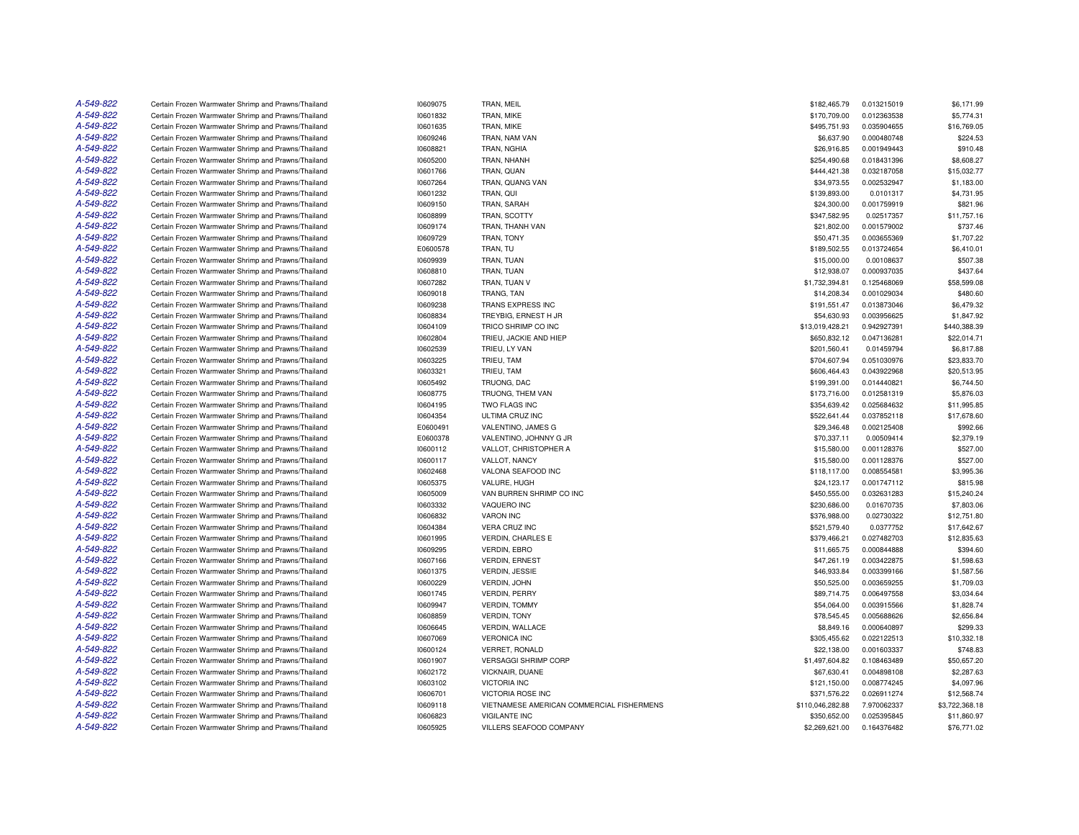| A-549-822 | Certain Frozen Warmwater Shrimp and Prawns/Thailand | 10609075             | TRAN, MEIL                                | \$182,465.79                 | 0.013215019 | \$6,171.99     |
|-----------|-----------------------------------------------------|----------------------|-------------------------------------------|------------------------------|-------------|----------------|
| A-549-822 | Certain Frozen Warmwater Shrimp and Prawns/Thailand | 10601832             | TRAN, MIKE                                | \$170,709.00                 | 0.012363538 | \$5,774.31     |
| A-549-822 | Certain Frozen Warmwater Shrimp and Prawns/Thailand | 10601635             | TRAN, MIKE                                | \$495,751.93                 | 0.035904655 | \$16,769.05    |
| A-549-822 | Certain Frozen Warmwater Shrimp and Prawns/Thailand | 10609246             | TRAN, NAM VAN                             | \$6,637.90                   | 0.000480748 | \$224.53       |
| A-549-822 | Certain Frozen Warmwater Shrimp and Prawns/Thailand | 10608821             | TRAN, NGHIA                               | \$26,916.85                  | 0.001949443 | \$910.48       |
| A-549-822 | Certain Frozen Warmwater Shrimp and Prawns/Thailand | 10605200             | TRAN, NHANH                               | \$254,490.68                 | 0.018431396 | \$8,608.27     |
| A-549-822 | Certain Frozen Warmwater Shrimp and Prawns/Thailand | 10601766             | TRAN, QUAN                                | \$444,421.38                 | 0.032187058 | \$15,032.77    |
| A-549-822 | Certain Frozen Warmwater Shrimp and Prawns/Thailand | 10607264             | TRAN, QUANG VAN                           | \$34,973.55                  | 0.002532947 | \$1,183.00     |
| A-549-822 | Certain Frozen Warmwater Shrimp and Prawns/Thailand | 10601232             | TRAN, QUI                                 | \$139,893.00                 | 0.0101317   | \$4,731.95     |
| A-549-822 | Certain Frozen Warmwater Shrimp and Prawns/Thailand | 10609150             | TRAN, SARAH                               | \$24,300.00                  | 0.001759919 | \$821.96       |
| A-549-822 | Certain Frozen Warmwater Shrimp and Prawns/Thailand | 10608899             | TRAN, SCOTTY                              | \$347,582.95                 | 0.02517357  | \$11,757.16    |
| A-549-822 | Certain Frozen Warmwater Shrimp and Prawns/Thailand | 10609174             | TRAN, THANH VAN                           | \$21,802.00                  | 0.001579002 | \$737.46       |
| A-549-822 | Certain Frozen Warmwater Shrimp and Prawns/Thailand | 10609729             | TRAN, TONY                                | \$50,471.35                  | 0.003655369 | \$1,707.22     |
| A-549-822 | Certain Frozen Warmwater Shrimp and Prawns/Thailand | E0600578             | TRAN, TU                                  | \$189,502.55                 | 0.013724654 | \$6,410.01     |
| A-549-822 | Certain Frozen Warmwater Shrimp and Prawns/Thailand | 10609939             | TRAN, TUAN                                | \$15,000.00                  | 0.00108637  | \$507.38       |
| A-549-822 | Certain Frozen Warmwater Shrimp and Prawns/Thailand | 10608810             | TRAN, TUAN                                | \$12,938.07                  | 0.000937035 | \$437.64       |
| A-549-822 | Certain Frozen Warmwater Shrimp and Prawns/Thailand | 10607282             | TRAN. TUAN V                              | \$1,732,394.81               | 0.125468069 | \$58,599.08    |
| A-549-822 | Certain Frozen Warmwater Shrimp and Prawns/Thailand | 10609018             | TRANG, TAN                                | \$14,208.34                  | 0.001029034 | \$480.60       |
| A-549-822 | Certain Frozen Warmwater Shrimp and Prawns/Thailand | 10609238             | TRANS EXPRESS INC                         | \$191,551.47                 | 0.013873046 | \$6,479.32     |
| A-549-822 | Certain Frozen Warmwater Shrimp and Prawns/Thailand | 10608834             | TREYBIG, ERNEST H JR                      | \$54,630.93                  | 0.003956625 | \$1,847.92     |
| A-549-822 | Certain Frozen Warmwater Shrimp and Prawns/Thailand | 10604109             | TRICO SHRIMP CO INC                       | \$13,019,428.21              | 0.942927391 | \$440,388.39   |
| A-549-822 | Certain Frozen Warmwater Shrimp and Prawns/Thailand |                      | TRIEU, JACKIE AND HIEP                    |                              | 0.047136281 | \$22.014.71    |
| A-549-822 | Certain Frozen Warmwater Shrimp and Prawns/Thailand | 10602804<br>10602539 |                                           | \$650,832.12<br>\$201,560.41 | 0.01459794  | \$6,817.88     |
| A-549-822 |                                                     |                      | TRIEU, LY VAN                             |                              |             |                |
|           | Certain Frozen Warmwater Shrimp and Prawns/Thailand | 10603225             | TRIEU, TAM                                | \$704,607.94                 | 0.051030976 | \$23,833.70    |
| A-549-822 | Certain Frozen Warmwater Shrimp and Prawns/Thailand | 10603321             | TRIEU, TAM                                | \$606,464.43                 | 0.043922968 | \$20,513.95    |
| A-549-822 | Certain Frozen Warmwater Shrimp and Prawns/Thailand | 10605492             | TRUONG, DAC                               | \$199,391.00                 | 0.014440821 | \$6,744.50     |
| A-549-822 | Certain Frozen Warmwater Shrimp and Prawns/Thailand | 10608775             | TRUONG, THEM VAN                          | \$173,716.00                 | 0.012581319 | \$5,876.03     |
| A-549-822 | Certain Frozen Warmwater Shrimp and Prawns/Thailand | 10604195             | TWO FLAGS INC                             | \$354,639.42                 | 0.025684632 | \$11,995.85    |
| A-549-822 | Certain Frozen Warmwater Shrimp and Prawns/Thailand | 10604354             | ULTIMA CRUZ INC                           | \$522,641.44                 | 0.037852118 | \$17,678.60    |
| A-549-822 | Certain Frozen Warmwater Shrimp and Prawns/Thailand | E0600491             | VALENTINO, JAMES G                        | \$29,346.48                  | 0.002125408 | \$992.66       |
| A-549-822 | Certain Frozen Warmwater Shrimp and Prawns/Thailand | E0600378             | VALENTINO, JOHNNY G JR                    | \$70,337.11                  | 0.00509414  | \$2,379.19     |
| A-549-822 | Certain Frozen Warmwater Shrimp and Prawns/Thailand | 10600112             | VALLOT, CHRISTOPHER A                     | \$15,580.00                  | 0.001128376 | \$527.00       |
| A-549-822 | Certain Frozen Warmwater Shrimp and Prawns/Thailand | 10600117             | VALLOT, NANCY                             | \$15,580.00                  | 0.001128376 | \$527.00       |
| A-549-822 | Certain Frozen Warmwater Shrimp and Prawns/Thailand | 10602468             | VALONA SEAFOOD INC                        | \$118,117.00                 | 0.008554581 | \$3.995.36     |
| A-549-822 | Certain Frozen Warmwater Shrimp and Prawns/Thailand | 10605375             | VALURE, HUGH                              | \$24,123.17                  | 0.001747112 | \$815.98       |
| A-549-822 | Certain Frozen Warmwater Shrimp and Prawns/Thailand | 10605009             | VAN BURREN SHRIMP CO INC                  | \$450,555.00                 | 0.032631283 | \$15,240.24    |
| A-549-822 | Certain Frozen Warmwater Shrimp and Prawns/Thailand | 10603332             | VAQUERO INC                               | \$230,686.00                 | 0.01670735  | \$7,803.06     |
| A-549-822 | Certain Frozen Warmwater Shrimp and Prawns/Thailand | 10606832             | <b>VARON INC</b>                          | \$376,988.00                 | 0.02730322  | \$12,751.80    |
| A-549-822 | Certain Frozen Warmwater Shrimp and Prawns/Thailand | 10604384             | <b>VERA CRUZ INC</b>                      | \$521,579.40                 | 0.0377752   | \$17,642.67    |
| A-549-822 | Certain Frozen Warmwater Shrimp and Prawns/Thailand | 10601995             | <b>VERDIN, CHARLES E</b>                  | \$379,466.21                 | 0.027482703 | \$12,835.63    |
| A-549-822 | Certain Frozen Warmwater Shrimp and Prawns/Thailand | 10609295             | <b>VERDIN, EBRO</b>                       | \$11,665.75                  | 0.000844888 | \$394.60       |
| A-549-822 | Certain Frozen Warmwater Shrimp and Prawns/Thailand | 10607166             | <b>VERDIN, ERNEST</b>                     | \$47,261.19                  | 0.003422875 | \$1,598.63     |
| A-549-822 | Certain Frozen Warmwater Shrimp and Prawns/Thailand | 10601375             | VERDIN, JESSIE                            | \$46,933.84                  | 0.003399166 | \$1,587.56     |
| A-549-822 | Certain Frozen Warmwater Shrimp and Prawns/Thailand | 10600229             | VERDIN, JOHN                              | \$50,525.00                  | 0.003659255 | \$1,709.03     |
| A-549-822 | Certain Frozen Warmwater Shrimp and Prawns/Thailand | 10601745             | <b>VERDIN, PERRY</b>                      | \$89,714.75                  | 0.006497558 | \$3,034.64     |
| A-549-822 | Certain Frozen Warmwater Shrimp and Prawns/Thailand | 10609947             | <b>VERDIN, TOMMY</b>                      | \$54,064.00                  | 0.003915566 | \$1,828.74     |
| A-549-822 | Certain Frozen Warmwater Shrimp and Prawns/Thailand | 10608859             | <b>VERDIN, TONY</b>                       | \$78,545.45                  | 0.005688626 | \$2,656.84     |
| A-549-822 | Certain Frozen Warmwater Shrimp and Prawns/Thailand | 10606645             | VERDIN, WALLACE                           | \$8,849.16                   | 0.000640897 | \$299.33       |
| A-549-822 | Certain Frozen Warmwater Shrimp and Prawns/Thailand | 10607069             | <b>VERONICA INC</b>                       | \$305,455.62                 | 0.022122513 | \$10,332.18    |
| A-549-822 | Certain Frozen Warmwater Shrimp and Prawns/Thailand | 10600124             | <b>VERRET, RONALD</b>                     | \$22,138.00                  | 0.001603337 | \$748.83       |
| A-549-822 | Certain Frozen Warmwater Shrimp and Prawns/Thailand | 10601907             | <b>VERSAGGI SHRIMP CORP</b>               | \$1,497,604.82               | 0.108463489 | \$50,657.20    |
| A-549-822 | Certain Frozen Warmwater Shrimp and Prawns/Thailand | 10602172             | VICKNAIR, DUANE                           | \$67,630.41                  | 0.004898108 | \$2,287.63     |
| A-549-822 | Certain Frozen Warmwater Shrimp and Prawns/Thailand | 10603102             | VICTORIA INC                              | \$121,150.00                 | 0.008774245 | \$4,097.96     |
| A-549-822 | Certain Frozen Warmwater Shrimp and Prawns/Thailand | 10606701             | VICTORIA ROSE INC                         | \$371,576.22                 | 0.026911274 | \$12,568.74    |
| A-549-822 | Certain Frozen Warmwater Shrimp and Prawns/Thailand | 10609118             | VIETNAMESE AMERICAN COMMERCIAL FISHERMENS | \$110,046,282.88             | 7.970062337 | \$3,722,368.18 |
| A-549-822 | Certain Frozen Warmwater Shrimp and Prawns/Thailand | 10606823             | <b>VIGILANTE INC</b>                      | \$350,652.00                 | 0.025395845 | \$11,860.97    |
| A-549-822 | Certain Frozen Warmwater Shrimp and Prawns/Thailand | 10605925             | VILLERS SEAFOOD COMPANY                   | \$2,269,621.00               | 0.164376482 | \$76,771.02    |
|           |                                                     |                      |                                           |                              |             |                |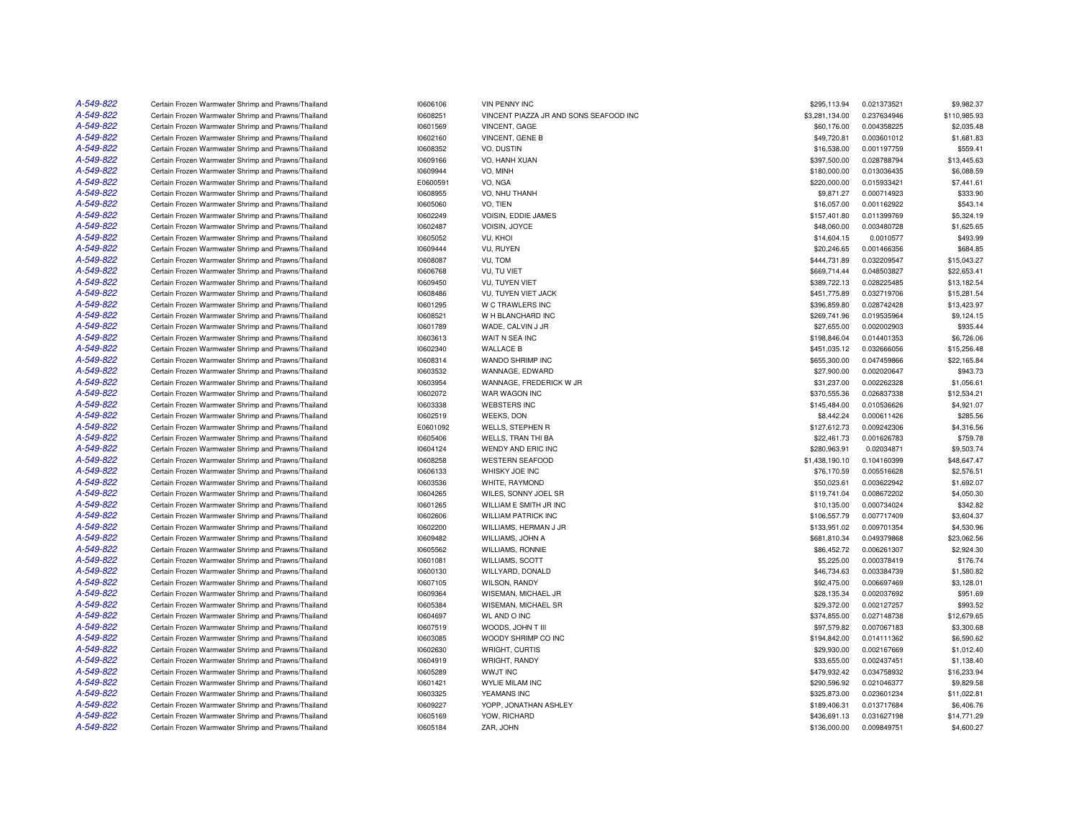| A-549-822 | Certain Frozen Warmwater Shrimp and Prawns/Thailand | 10606106 | <b>VIN PENNY INC</b>                   | \$295,113.94   | 0.021373521 | \$9,982.37   |
|-----------|-----------------------------------------------------|----------|----------------------------------------|----------------|-------------|--------------|
| A-549-822 | Certain Frozen Warmwater Shrimp and Prawns/Thailand | 10608251 | VINCENT PIAZZA JR AND SONS SEAFOOD INC | \$3,281,134.00 | 0.237634946 | \$110,985.93 |
| A-549-822 | Certain Frozen Warmwater Shrimp and Prawns/Thailand | 10601569 | VINCENT, GAGE                          | \$60,176.00    | 0.004358225 | \$2,035.48   |
| A-549-822 | Certain Frozen Warmwater Shrimp and Prawns/Thailand | 10602160 | VINCENT, GENE B                        | \$49,720.81    | 0.003601012 | \$1,681.83   |
| A-549-822 | Certain Frozen Warmwater Shrimp and Prawns/Thailand | 10608352 | VO. DUSTIN                             | \$16,538.00    | 0.001197759 | \$559.41     |
| A-549-822 | Certain Frozen Warmwater Shrimp and Prawns/Thailand | 10609166 | VO, HANH XUAN                          | \$397,500.00   | 0.028788794 | \$13,445.63  |
| A-549-822 | Certain Frozen Warmwater Shrimp and Prawns/Thailand | 10609944 | VO, MINH                               | \$180,000.00   | 0.013036435 | \$6,088.59   |
| A-549-822 | Certain Frozen Warmwater Shrimp and Prawns/Thailand | E0600591 | VO, NGA                                | \$220,000.00   | 0.015933421 | \$7,441.61   |
| A-549-822 | Certain Frozen Warmwater Shrimp and Prawns/Thailand | 10608955 | VO, NHU THANH                          | \$9,871.27     | 0.000714923 | \$333.90     |
| A-549-822 | Certain Frozen Warmwater Shrimp and Prawns/Thailand | 10605060 | VO, TIEN                               | \$16,057.00    | 0.001162922 | \$543.14     |
| A-549-822 | Certain Frozen Warmwater Shrimp and Prawns/Thailand | 10602249 | VOISIN, EDDIE JAMES                    | \$157,401.80   | 0.011399769 | \$5,324.19   |
| A-549-822 | Certain Frozen Warmwater Shrimp and Prawns/Thailand | 10602487 | VOISIN, JOYCE                          | \$48,060.00    | 0.003480728 | \$1,625.65   |
| A-549-822 | Certain Frozen Warmwater Shrimp and Prawns/Thailand | 10605052 | VU. KHOI                               | \$14,604.15    | 0.0010577   | \$493.99     |
| A-549-822 | Certain Frozen Warmwater Shrimp and Prawns/Thailand | 10609444 | VU, RUYEN                              | \$20,246.65    | 0.001466356 | \$684.85     |
| A-549-822 | Certain Frozen Warmwater Shrimp and Prawns/Thailand | 10608087 | VU, TOM                                | \$444,731.89   | 0.032209547 | \$15,043.27  |
| A-549-822 | Certain Frozen Warmwater Shrimp and Prawns/Thailand | 10606768 | VU, TU VIET                            | \$669,714.44   | 0.048503827 | \$22,653.41  |
| A-549-822 | Certain Frozen Warmwater Shrimp and Prawns/Thailand | 10609450 | VU, TUYEN VIET                         | \$389,722.13   | 0.028225485 | \$13,182.54  |
| A-549-822 | Certain Frozen Warmwater Shrimp and Prawns/Thailand | 10608486 | VU, TUYEN VIET JACK                    | \$451,775.89   | 0.032719706 | \$15,281.54  |
| A-549-822 | Certain Frozen Warmwater Shrimp and Prawns/Thailand | 10601295 | W C TRAWLERS INC                       | \$396,859.80   | 0.028742428 | \$13,423.97  |
| A-549-822 | Certain Frozen Warmwater Shrimp and Prawns/Thailand | 10608521 | W H BLANCHARD INC                      | \$269,741.96   | 0.019535964 | \$9,124.15   |
| A-549-822 | Certain Frozen Warmwater Shrimp and Prawns/Thailand | 10601789 | WADE, CALVIN J JR                      | \$27,655.00    | 0.002002903 | \$935.44     |
| A-549-822 | Certain Frozen Warmwater Shrimp and Prawns/Thailand | 10603613 | WAIT N SEA INC                         | \$198,846.04   | 0.014401353 | \$6,726.06   |
| A-549-822 | Certain Frozen Warmwater Shrimp and Prawns/Thailand | 10602340 | <b>WALLACE B</b>                       | \$451,035.12   | 0.032666056 | \$15,256.48  |
| A-549-822 | Certain Frozen Warmwater Shrimp and Prawns/Thailand | 10608314 | WANDO SHRIMP INC                       | \$655,300.00   | 0.047459866 | \$22,165.84  |
| A-549-822 | Certain Frozen Warmwater Shrimp and Prawns/Thailand |          | WANNAGE, EDWARD                        |                | 0.002020647 | \$943.73     |
| A-549-822 |                                                     | 10603532 |                                        | \$27,900.00    |             |              |
|           | Certain Frozen Warmwater Shrimp and Prawns/Thailand | 10603954 | WANNAGE, FREDERICK W JR                | \$31,237.00    | 0.002262328 | \$1,056.61   |
| A-549-822 | Certain Frozen Warmwater Shrimp and Prawns/Thailand | 10602072 | WAR WAGON INC                          | \$370,555.36   | 0.026837338 | \$12,534.21  |
| A-549-822 | Certain Frozen Warmwater Shrimp and Prawns/Thailand | 10603338 | <b>WEBSTERS INC</b>                    | \$145,484.00   | 0.010536626 | \$4,921.07   |
| A-549-822 | Certain Frozen Warmwater Shrimp and Prawns/Thailand | 10602519 | WEEKS, DON                             | \$8,442.24     | 0.000611426 | \$285.56     |
| A-549-822 | Certain Frozen Warmwater Shrimp and Prawns/Thailand | E0601092 | <b>WELLS, STEPHEN R</b>                | \$127,612.73   | 0.009242306 | \$4,316.56   |
| A-549-822 | Certain Frozen Warmwater Shrimp and Prawns/Thailand | 10605406 | <b>WELLS, TRAN THI BA</b>              | \$22,461.73    | 0.001626783 | \$759.78     |
| A-549-822 | Certain Frozen Warmwater Shrimp and Prawns/Thailand | 10604124 | WENDY AND ERIC INC                     | \$280,963.91   | 0.02034871  | \$9,503.74   |
| A-549-822 | Certain Frozen Warmwater Shrimp and Prawns/Thailand | 10608258 | <b>WESTERN SEAFOOD</b>                 | \$1,438,190.10 | 0.104160399 | \$48,647.47  |
| A-549-822 | Certain Frozen Warmwater Shrimp and Prawns/Thailand | 10606133 | WHISKY JOE INC                         | \$76,170.59    | 0.005516628 | \$2,576.51   |
| A-549-822 | Certain Frozen Warmwater Shrimp and Prawns/Thailand | 10603536 | WHITE, RAYMOND                         | \$50,023.61    | 0.003622942 | \$1,692.07   |
| A-549-822 | Certain Frozen Warmwater Shrimp and Prawns/Thailand | 10604265 | WILES, SONNY JOEL SR                   | \$119,741.04   | 0.008672202 | \$4,050.30   |
| A-549-822 | Certain Frozen Warmwater Shrimp and Prawns/Thailand | 10601265 | WILLIAM E SMITH JR INC                 | \$10,135.00    | 0.000734024 | \$342.82     |
| A-549-822 | Certain Frozen Warmwater Shrimp and Prawns/Thailand | 10602606 | <b>WILLIAM PATRICK INC</b>             | \$106,557.79   | 0.007717409 | \$3,604.37   |
| A-549-822 | Certain Frozen Warmwater Shrimp and Prawns/Thailand | 10602200 | WILLIAMS, HERMAN J JR                  | \$133,951.02   | 0.009701354 | \$4,530.96   |
| A-549-822 | Certain Frozen Warmwater Shrimp and Prawns/Thailand | 10609482 | WILLIAMS, JOHN A                       | \$681,810.34   | 0.049379868 | \$23,062.56  |
| A-549-822 | Certain Frozen Warmwater Shrimp and Prawns/Thailand | 10605562 | <b>WILLIAMS, RONNIE</b>                | \$86,452.72    | 0.006261307 | \$2,924.30   |
| A-549-822 | Certain Frozen Warmwater Shrimp and Prawns/Thailand | 10601081 | <b>WILLIAMS, SCOTT</b>                 | \$5,225.00     | 0.000378419 | \$176.74     |
| A-549-822 | Certain Frozen Warmwater Shrimp and Prawns/Thailand | 10600130 | WILLYARD, DONALD                       | \$46,734.63    | 0.003384739 | \$1,580.82   |
| A-549-822 | Certain Frozen Warmwater Shrimp and Prawns/Thailand | 10607105 | <b>WILSON, RANDY</b>                   | \$92,475.00    | 0.006697469 | \$3,128.01   |
| A-549-822 | Certain Frozen Warmwater Shrimp and Prawns/Thailand | 10609364 | WISEMAN, MICHAEL JR                    | \$28,135.34    | 0.002037692 | \$951.69     |
| A-549-822 | Certain Frozen Warmwater Shrimp and Prawns/Thailand | 10605384 | WISEMAN, MICHAEL SR                    | \$29,372.00    | 0.002127257 | \$993.52     |
| A-549-822 | Certain Frozen Warmwater Shrimp and Prawns/Thailand | 10604697 | <b>WL AND O INC</b>                    | \$374,855.00   | 0.027148738 | \$12,679.65  |
| A-549-822 | Certain Frozen Warmwater Shrimp and Prawns/Thailand | 10607519 | WOODS, JOHN T III                      | \$97,579.82    | 0.007067183 | \$3,300.68   |
| A-549-822 | Certain Frozen Warmwater Shrimp and Prawns/Thailand | 10603085 | WOODY SHRIMP CO INC                    | \$194,842.00   | 0.014111362 | \$6,590.62   |
| A-549-822 | Certain Frozen Warmwater Shrimp and Prawns/Thailand | 10602630 | WRIGHT, CURTIS                         | \$29,930.00    | 0.002167669 | \$1,012.40   |
| A-549-822 | Certain Frozen Warmwater Shrimp and Prawns/Thailand | 10604919 | WRIGHT, RANDY                          | \$33,655.00    | 0.002437451 | \$1,138.40   |
| A-549-822 | Certain Frozen Warmwater Shrimp and Prawns/Thailand | 10605289 | <b>WWJT INC</b>                        | \$479,932.42   | 0.034758932 | \$16,233.94  |
| A-549-822 | Certain Frozen Warmwater Shrimp and Prawns/Thailand | 10601421 | <b>WYLIE MILAM INC</b>                 | \$290,596.92   | 0.021046377 | \$9,829.58   |
| A-549-822 | Certain Frozen Warmwater Shrimp and Prawns/Thailand | 10603325 | YEAMANS INC                            | \$325,873.00   | 0.023601234 | \$11,022.81  |
| A-549-822 | Certain Frozen Warmwater Shrimp and Prawns/Thailand | 10609227 | YOPP, JONATHAN ASHLEY                  | \$189,406.31   | 0.013717684 | \$6,406.76   |
| A-549-822 | Certain Frozen Warmwater Shrimp and Prawns/Thailand | 10605169 | YOW. RICHARD                           | \$436,691.13   | 0.031627198 | \$14,771.29  |
| A-549-822 | Certain Frozen Warmwater Shrimp and Prawns/Thailand | 10605184 | ZAR, JOHN                              | \$136,000.00   | 0.009849751 | \$4,600.27   |
|           |                                                     |          |                                        |                |             |              |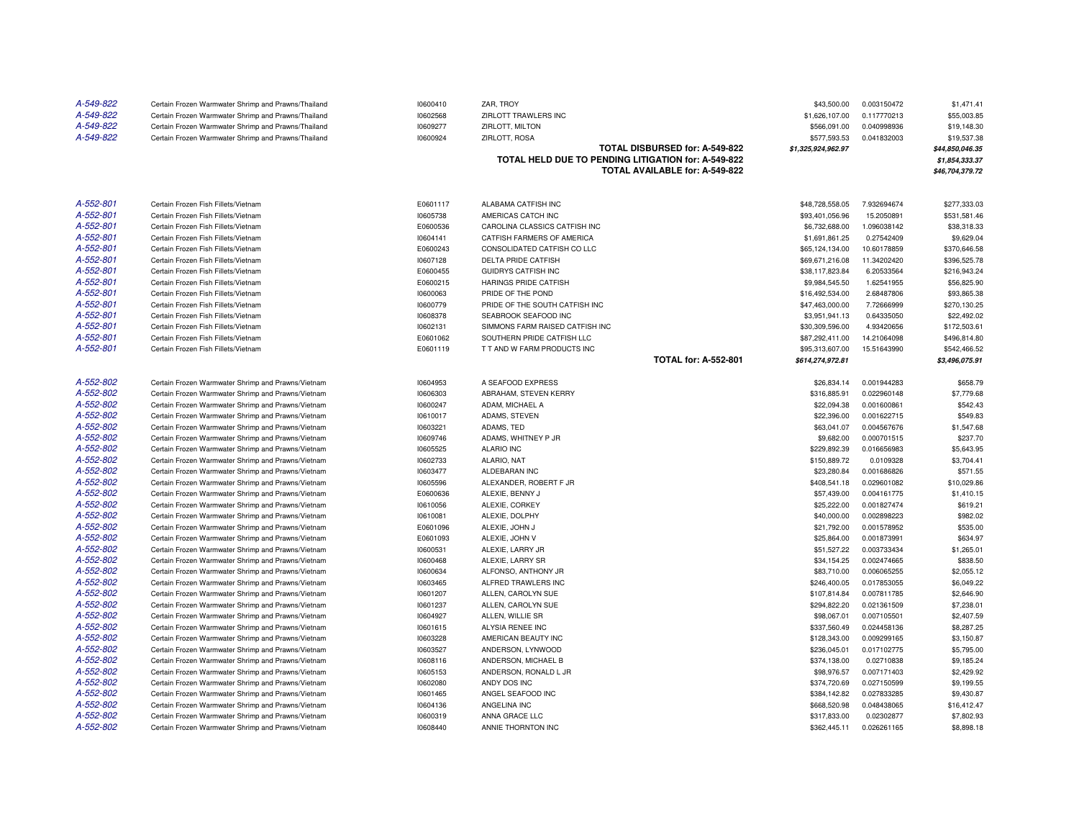| A-549-822<br>A-549-822 | Certain Frozen Warmwater Shrimp and Prawns/Thailand<br>Certain Frozen Warmwater Shrimp and Prawns/Thailand | 10600410<br>10602568 | ZAR, TROY<br>ZIRLOTT TRAWLERS INC                   | \$43,500.00<br>\$1,626,107.00 | 0.003150472<br>0.117770213 | \$1,471.41<br>\$55,003.85 |
|------------------------|------------------------------------------------------------------------------------------------------------|----------------------|-----------------------------------------------------|-------------------------------|----------------------------|---------------------------|
| A-549-822              | Certain Frozen Warmwater Shrimp and Prawns/Thailand                                                        | 10609277             | ZIRLOTT, MILTON                                     | \$566,091.00                  | 0.040998936                | \$19,148.30               |
| A-549-822              | Certain Frozen Warmwater Shrimp and Prawns/Thailand                                                        | 10600924             | ZIRLOTT, ROSA                                       | \$577,593.53                  | 0.041832003                | \$19,537.38               |
|                        |                                                                                                            |                      | TOTAL DISBURSED for: A-549-822                      | \$1,325,924,962.97            |                            | \$44,850,046.35           |
|                        |                                                                                                            |                      | TOTAL HELD DUE TO PENDING LITIGATION for: A-549-822 |                               |                            | \$1,854,333.37            |
|                        |                                                                                                            |                      | TOTAL AVAILABLE for: A-549-822                      |                               |                            | \$46,704,379.72           |
|                        |                                                                                                            |                      |                                                     |                               |                            |                           |
| A-552-801              | Certain Frozen Fish Fillets/Vietnam                                                                        | E0601117             | ALABAMA CATFISH INC                                 | \$48,728,558.05               | 7.932694674                | \$277,333.03              |
| A-552-801              | Certain Frozen Fish Fillets/Vietnam                                                                        | 10605738             | AMERICAS CATCH INC                                  | \$93,401,056.96               | 15.2050891                 | \$531,581.46              |
| A-552-801              | Certain Frozen Fish Fillets/Vietnam                                                                        | E0600536             | CAROLINA CLASSICS CATFISH INC                       | \$6,732,688.00                | 1.096038142                | \$38,318.33               |
| A-552-801              | Certain Frozen Fish Fillets/Vietnam                                                                        | 10604141             | CATFISH FARMERS OF AMERICA                          | \$1,691,861.25                | 0.27542409                 | \$9,629.04                |
| A-552-801              | Certain Frozen Fish Fillets/Vietnam                                                                        | E0600243             | CONSOLIDATED CATFISH CO LLC                         | \$65,124,134.00               | 10.60178859                | \$370,646.58              |
| A-552-801              | Certain Frozen Fish Fillets/Vietnam                                                                        | 10607128             | DELTA PRIDE CATFISH                                 | \$69,671,216.08               | 11.34202420                | \$396,525.78              |
| A-552-801              | Certain Frozen Fish Fillets/Vietnam                                                                        | E0600455             | <b>GUIDRYS CATFISH INC</b>                          | \$38,117,823.84               | 6.20533564                 | \$216,943.24              |
| A-552-801              | Certain Frozen Fish Fillets/Vietnam                                                                        | E0600215             | HARINGS PRIDE CATFISH                               | \$9,984,545.50                | 1.62541955                 | \$56,825.90               |
| A-552-801              | Certain Frozen Fish Fillets/Vietnam                                                                        | 10600063             | PRIDE OF THE POND                                   | \$16,492,534.00               | 2.68487806                 | \$93,865.38               |
| A-552-801              | Certain Frozen Fish Fillets/Vietnam                                                                        | 10600779             | PRIDE OF THE SOUTH CATFISH INC                      | \$47,463,000.00               | 7.72666999                 | \$270,130.25              |
| A-552-801              | Certain Frozen Fish Fillets/Vietnam                                                                        | 10608378             | SEABROOK SEAFOOD INC                                | \$3,951,941.13                | 0.64335050                 | \$22,492.02               |
| A-552-801              | Certain Frozen Fish Fillets/Vietnam                                                                        | 10602131             | SIMMONS FARM RAISED CATFISH INC                     | \$30,309,596.00               | 4.93420656                 | \$172,503.61              |
| A-552-801              | Certain Frozen Fish Fillets/Vietnam                                                                        | E0601062             | SOUTHERN PRIDE CATFISH LLC                          | \$87,292,411.00               | 14.21064098                | \$496,814.80              |
| A-552-801              | Certain Frozen Fish Fillets/Vietnam                                                                        | E0601119             | T T AND W FARM PRODUCTS INC                         | \$95,313,607.00               | 15.51643990                | \$542,466.52              |
|                        |                                                                                                            |                      | <b>TOTAL for: A-552-801</b>                         | \$614,274,972.81              |                            | \$3,496,075.91            |
|                        |                                                                                                            |                      |                                                     |                               |                            |                           |
| A-552-802              | Certain Frozen Warmwater Shrimp and Prawns/Vietnam                                                         | 10604953             | A SEAFOOD EXPRESS                                   | \$26,834.14                   | 0.001944283                | \$658.79                  |
| A-552-802              | Certain Frozen Warmwater Shrimp and Prawns/Vietnam                                                         | 10606303             | ABRAHAM, STEVEN KERRY                               | \$316,885.91                  | 0.022960148                | \$7,779.68                |
| A-552-802              | Certain Frozen Warmwater Shrimp and Prawns/Vietnam                                                         | 10600247             | ADAM, MICHAEL A                                     | \$22,094.38                   | 0.001600861                | \$542.43                  |
| A-552-802<br>A-552-802 | Certain Frozen Warmwater Shrimp and Prawns/Vietnam                                                         | 10610017             | ADAMS, STEVEN                                       | \$22,396.00                   | 0.001622715                | \$549.83                  |
| A-552-802              | Certain Frozen Warmwater Shrimp and Prawns/Vietnam<br>Certain Frozen Warmwater Shrimp and Prawns/Vietnam   | 10603221<br>10609746 | ADAMS, TED<br>ADAMS, WHITNEY P JR                   | \$63,041.07<br>\$9,682.00     | 0.004567676<br>0.000701515 | \$1,547.68<br>\$237.70    |
| A-552-802              | Certain Frozen Warmwater Shrimp and Prawns/Vietnam                                                         | 10605525             | <b>ALARIO INC</b>                                   | \$229,892.39                  | 0.016656983                | \$5,643.95                |
| A-552-802              | Certain Frozen Warmwater Shrimp and Prawns/Vietnam                                                         | 10602733             | ALARIO, NAT                                         | \$150,889.72                  | 0.0109328                  | \$3,704.41                |
| A-552-802              | Certain Frozen Warmwater Shrimp and Prawns/Vietnam                                                         | 10603477             | ALDEBARAN INC                                       | \$23,280.84                   | 0.001686826                | \$571.55                  |
| A-552-802              | Certain Frozen Warmwater Shrimp and Prawns/Vietnam                                                         | 10605596             | ALEXANDER, ROBERT F JR                              | \$408,541.18                  | 0.029601082                | \$10,029.86               |
| A-552-802              | Certain Frozen Warmwater Shrimp and Prawns/Vietnam                                                         | E0600636             | ALEXIE, BENNY J                                     | \$57,439.00                   | 0.004161775                | \$1,410.15                |
| A-552-802              | Certain Frozen Warmwater Shrimp and Prawns/Vietnam                                                         | 10610056             | ALEXIE, CORKEY                                      | \$25,222.00                   | 0.001827474                | \$619.21                  |
| A-552-802              | Certain Frozen Warmwater Shrimp and Prawns/Vietnam                                                         | 10610081             | ALEXIE, DOLPHY                                      | \$40,000.00                   | 0.002898223                | \$982.02                  |
| A-552-802              | Certain Frozen Warmwater Shrimp and Prawns/Vietnam                                                         | E0601096             | ALEXIE, JOHN J                                      | \$21,792.00                   | 0.001578952                | \$535.00                  |
| A-552-802              | Certain Frozen Warmwater Shrimp and Prawns/Vietnam                                                         | E0601093             | ALEXIE, JOHN V                                      | \$25,864.00                   | 0.001873991                | \$634.97                  |
| A-552-802              | Certain Frozen Warmwater Shrimp and Prawns/Vietnam                                                         | 10600531             | ALEXIE, LARRY JR                                    | \$51,527.22                   | 0.003733434                | \$1,265.01                |
| A-552-802              | Certain Frozen Warmwater Shrimp and Prawns/Vietnam                                                         | 10600468             | ALEXIE, LARRY SR                                    | \$34,154.25                   | 0.002474665                | \$838.50                  |
| A-552-802              | Certain Frozen Warmwater Shrimp and Prawns/Vietnam                                                         | 10600634             | ALFONSO, ANTHONY JR                                 | \$83,710.00                   | 0.006065255                | \$2,055.12                |
| A-552-802              | Certain Frozen Warmwater Shrimp and Prawns/Vietnam                                                         | 10603465             | ALFRED TRAWLERS INC                                 | \$246,400.05                  | 0.017853055                | \$6,049.22                |
| A-552-802              | Certain Frozen Warmwater Shrimp and Prawns/Vietnam                                                         | 10601207             | ALLEN, CAROLYN SUE                                  | \$107,814.84                  | 0.007811785                | \$2,646.90                |
| A-552-802              | Certain Frozen Warmwater Shrimp and Prawns/Vietnam                                                         | 10601237             | ALLEN, CAROLYN SUE                                  | \$294,822.20                  | 0.021361509                | \$7,238.01                |
| A-552-802              | Certain Frozen Warmwater Shrimp and Prawns/Vietnam                                                         | 10604927             | ALLEN, WILLIE SR                                    | \$98,067.01                   | 0.007105501                | \$2,407.59                |
| A-552-802              | Certain Frozen Warmwater Shrimp and Prawns/Vietnam                                                         | 10601615             | ALYSIA RENEE INC                                    | \$337,560.49                  | 0.024458136                | \$8,287.25                |
| A-552-802              | Certain Frozen Warmwater Shrimp and Prawns/Vietnam                                                         | 10603228             | AMERICAN BEAUTY INC                                 | \$128,343.00                  | 0.009299165                | \$3,150.87                |
| A-552-802              | Certain Frozen Warmwater Shrimp and Prawns/Vietnam                                                         | 10603527             | ANDERSON, LYNWOOD                                   | \$236,045.01                  | 0.017102775                | \$5,795.00                |
| A-552-802              | Certain Frozen Warmwater Shrimp and Prawns/Vietnam                                                         | 10608116             | ANDERSON, MICHAEL B                                 | \$374,138.00                  | 0.02710838                 | \$9,185.24                |
| A-552-802              | Certain Frozen Warmwater Shrimp and Prawns/Vietnam                                                         | 10605153             | ANDERSON, RONALD L JR                               | \$98,976.57                   | 0.007171403                | \$2,429.92                |
| A-552-802              | Certain Frozen Warmwater Shrimp and Prawns/Vietnam                                                         | 10602080             | ANDY DOS INC                                        | \$374,720.69                  | 0.027150599                | \$9,199.55                |
| A-552-802              | Certain Frozen Warmwater Shrimp and Prawns/Vietnam                                                         | 10601465             | ANGEL SEAFOOD INC                                   | \$384,142.82                  | 0.027833285                | \$9,430.87                |
| A-552-802              | Certain Frozen Warmwater Shrimp and Prawns/Vietnam                                                         | 10604136             | ANGELINA INC                                        | \$668,520.98                  | 0.048438065                | \$16,412.47               |
| A-552-802              | Certain Frozen Warmwater Shrimp and Prawns/Vietnam                                                         | 10600319             | ANNA GRACE LLC                                      | \$317,833.00                  | 0.02302877                 | \$7,802.93                |
| A-552-802              | Certain Frozen Warmwater Shrimp and Prawns/Vietnam                                                         | 10608440             | ANNIE THORNTON INC                                  | \$362,445.11                  | 0.026261165                | \$8,898.18                |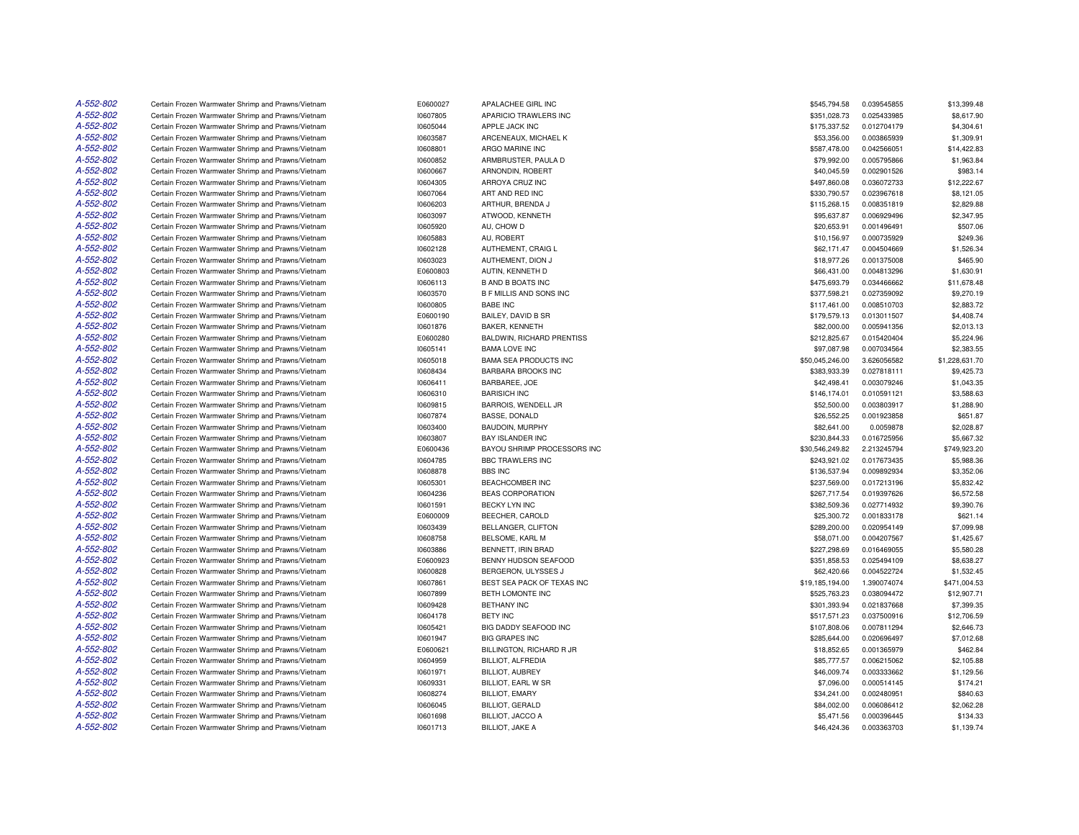| A-552-802 | Certain Frozen Warmwater Shrimp and Prawns/Vietnam | E0600027 | APALACHEE GIRL INC             | \$545,794.58    | 0.039545855 | \$13,399.48    |
|-----------|----------------------------------------------------|----------|--------------------------------|-----------------|-------------|----------------|
| A-552-802 | Certain Frozen Warmwater Shrimp and Prawns/Vietnam | 10607805 | APARICIO TRAWLERS INC          | \$351,028.73    | 0.025433985 | \$8,617.90     |
| A-552-802 | Certain Frozen Warmwater Shrimp and Prawns/Vietnam | 10605044 | APPLE JACK INC                 | \$175,337.52    | 0.012704179 | \$4,304.61     |
| A-552-802 | Certain Frozen Warmwater Shrimp and Prawns/Vietnam | 10603587 | ARCENEAUX, MICHAEL K           | \$53,356.00     | 0.003865939 | \$1,309.91     |
| A-552-802 | Certain Frozen Warmwater Shrimp and Prawns/Vietnam | 10608801 | ARGO MARINE INC                | \$587,478.00    | 0.042566051 | \$14,422.83    |
| A-552-802 | Certain Frozen Warmwater Shrimp and Prawns/Vietnam | 10600852 | ARMBRUSTER, PAULA D            | \$79,992.00     | 0.005795866 | \$1,963.84     |
| A-552-802 | Certain Frozen Warmwater Shrimp and Prawns/Vietnam | 10600667 | ARNONDIN, ROBERT               | \$40,045.59     | 0.002901526 | \$983.14       |
| A-552-802 | Certain Frozen Warmwater Shrimp and Prawns/Vietnam | 10604305 | ARROYA CRUZ INC                | \$497,860.08    | 0.036072733 | \$12,222.67    |
| A-552-802 | Certain Frozen Warmwater Shrimp and Prawns/Vietnam | 10607064 | ART AND RED INC                | \$330,790.57    | 0.023967618 | \$8,121.05     |
| A-552-802 | Certain Frozen Warmwater Shrimp and Prawns/Vietnam | 10606203 | ARTHUR, BRENDA J               | \$115,268.15    | 0.008351819 | \$2,829.88     |
| A-552-802 | Certain Frozen Warmwater Shrimp and Prawns/Vietnam | 10603097 | ATWOOD, KENNETH                | \$95,637.87     | 0.006929496 | \$2,347.95     |
| A-552-802 | Certain Frozen Warmwater Shrimp and Prawns/Vietnam | 10605920 | AU, CHOW D                     | \$20,653.91     | 0.001496491 | \$507.06       |
| A-552-802 | Certain Frozen Warmwater Shrimp and Prawns/Vietnam | 10605883 | AU, ROBERT                     | \$10,156.97     | 0.000735929 | \$249.36       |
| A-552-802 | Certain Frozen Warmwater Shrimp and Prawns/Vietnam | 10602128 | AUTHEMENT, CRAIG L             | \$62,171.47     | 0.004504669 | \$1,526.34     |
| A-552-802 | Certain Frozen Warmwater Shrimp and Prawns/Vietnam | 10603023 | AUTHEMENT, DION J              | \$18,977.26     | 0.001375008 | \$465.90       |
| A-552-802 | Certain Frozen Warmwater Shrimp and Prawns/Vietnam | E0600803 | AUTIN, KENNETH D               | \$66,431.00     | 0.004813296 | \$1,630.91     |
| A-552-802 | Certain Frozen Warmwater Shrimp and Prawns/Vietnam | 10606113 | <b>B AND B BOATS INC</b>       | \$475,693.79    | 0.034466662 | \$11,678.48    |
| A-552-802 | Certain Frozen Warmwater Shrimp and Prawns/Vietnam | 10603570 | <b>B F MILLIS AND SONS INC</b> | \$377,598.21    | 0.027359092 | \$9,270.19     |
| A-552-802 | Certain Frozen Warmwater Shrimp and Prawns/Vietnam | 10600805 | <b>BABE INC</b>                | \$117,461.00    | 0.008510703 | \$2,883.72     |
| A-552-802 | Certain Frozen Warmwater Shrimp and Prawns/Vietnam | E0600190 | BAILEY, DAVID B SR             | \$179,579.13    | 0.013011507 | \$4,408.74     |
| A-552-802 | Certain Frozen Warmwater Shrimp and Prawns/Vietnam | 10601876 | BAKER, KENNETH                 | \$82,000.00     | 0.005941356 | \$2,013.13     |
| A-552-802 | Certain Frozen Warmwater Shrimp and Prawns/Vietnam | E0600280 | BALDWIN, RICHARD PRENTISS      | \$212,825.67    | 0.015420404 | \$5,224.96     |
| A-552-802 | Certain Frozen Warmwater Shrimp and Prawns/Vietnam | 10605141 | <b>BAMA LOVE INC</b>           | \$97,087.98     | 0.007034564 | \$2.383.55     |
| A-552-802 | Certain Frozen Warmwater Shrimp and Prawns/Vietnam | 10605018 | <b>BAMA SEA PRODUCTS INC</b>   | \$50,045,246.00 | 3.626056582 | \$1,228,631.70 |
| A-552-802 | Certain Frozen Warmwater Shrimp and Prawns/Vietnam | 10608434 | <b>BARBARA BROOKS INC</b>      | \$383,933.39    | 0.027818111 | \$9,425.73     |
| A-552-802 | Certain Frozen Warmwater Shrimp and Prawns/Vietnam | 10606411 | BARBAREE, JOE                  | \$42,498.41     | 0.003079246 | \$1,043.35     |
| A-552-802 | Certain Frozen Warmwater Shrimp and Prawns/Vietnam | 10606310 | <b>BARISICH INC</b>            | \$146,174.01    | 0.010591121 | \$3,588.63     |
| A-552-802 | Certain Frozen Warmwater Shrimp and Prawns/Vietnam | 10609815 | BARROIS, WENDELL JR            | \$52,500.00     | 0.003803917 | \$1,288.90     |
| A-552-802 | Certain Frozen Warmwater Shrimp and Prawns/Vietnam | 10607874 | BASSE, DONALD                  | \$26,552.25     | 0.001923858 | \$651.87       |
| A-552-802 | Certain Frozen Warmwater Shrimp and Prawns/Vietnam | 10603400 | BAUDOIN, MURPHY                | \$82,641.00     | 0.0059878   | \$2,028.87     |
| A-552-802 | Certain Frozen Warmwater Shrimp and Prawns/Vietnam | 10603807 | BAY ISLANDER INC               | \$230,844.33    | 0.016725956 | \$5,667.32     |
| A-552-802 | Certain Frozen Warmwater Shrimp and Prawns/Vietnam | E0600436 | BAYOU SHRIMP PROCESSORS INC    | \$30,546,249.82 | 2.213245794 | \$749,923.20   |
| A-552-802 | Certain Frozen Warmwater Shrimp and Prawns/Vietnam | 10604785 | <b>BBC TRAWLERS INC</b>        | \$243,921.02    | 0.017673435 | \$5,988.36     |
| A-552-802 | Certain Frozen Warmwater Shrimp and Prawns/Vietnam | 10608878 | <b>BBS INC</b>                 | \$136,537.94    | 0.009892934 | \$3,352.06     |
| A-552-802 | Certain Frozen Warmwater Shrimp and Prawns/Vietnam | 10605301 | BEACHCOMBER INC                | \$237,569.00    | 0.017213196 | \$5,832.42     |
| A-552-802 | Certain Frozen Warmwater Shrimp and Prawns/Vietnam | 10604236 | <b>BEAS CORPORATION</b>        | \$267,717.54    | 0.019397626 | \$6,572.58     |
| A-552-802 | Certain Frozen Warmwater Shrimp and Prawns/Vietnam | 10601591 | BECKY LYN INC                  | \$382,509.36    | 0.027714932 | \$9,390.76     |
| A-552-802 | Certain Frozen Warmwater Shrimp and Prawns/Vietnam | E0600009 | BEECHER, CAROLD                | \$25,300.72     | 0.001833178 | \$621.14       |
| A-552-802 | Certain Frozen Warmwater Shrimp and Prawns/Vietnam | 10603439 | BELLANGER, CLIFTON             | \$289,200.00    | 0.020954149 | \$7,099.98     |
| A-552-802 | Certain Frozen Warmwater Shrimp and Prawns/Vietnam | 10608758 | BELSOME, KARL M                | \$58,071.00     | 0.004207567 | \$1,425.67     |
| A-552-802 | Certain Frozen Warmwater Shrimp and Prawns/Vietnam | 10603886 | BENNETT, IRIN BRAD             | \$227,298.69    | 0.016469055 | \$5,580.28     |
| A-552-802 | Certain Frozen Warmwater Shrimp and Prawns/Vietnam | E0600923 | BENNY HUDSON SEAFOOD           | \$351,858.53    | 0.025494109 | \$8,638.27     |
| A-552-802 | Certain Frozen Warmwater Shrimp and Prawns/Vietnam | 10600828 | BERGERON, ULYSSES J            | \$62,420.66     | 0.004522724 | \$1.532.45     |
| A-552-802 | Certain Frozen Warmwater Shrimp and Prawns/Vietnam | 10607861 | BEST SEA PACK OF TEXAS INC     | \$19,185,194.00 | 1.390074074 | \$471,004.53   |
| A-552-802 | Certain Frozen Warmwater Shrimp and Prawns/Vietnam | 10607899 | BETH LOMONTE INC               | \$525,763.23    | 0.038094472 | \$12,907.71    |
| A-552-802 | Certain Frozen Warmwater Shrimp and Prawns/Vietnam | 10609428 | <b>BETHANY INC</b>             | \$301,393.94    | 0.021837668 | \$7,399.35     |
| A-552-802 | Certain Frozen Warmwater Shrimp and Prawns/Vietnam | 10604178 | <b>BETY INC</b>                | \$517.571.23    | 0.037500916 | \$12,706.59    |
| A-552-802 | Certain Frozen Warmwater Shrimp and Prawns/Vietnam | 10605421 | BIG DADDY SEAFOOD INC          | \$107,808.06    | 0.007811294 | \$2,646.73     |
| A-552-802 | Certain Frozen Warmwater Shrimp and Prawns/Vietnam | 10601947 | <b>BIG GRAPES INC</b>          | \$285,644.00    | 0.020696497 | \$7,012.68     |
| A-552-802 | Certain Frozen Warmwater Shrimp and Prawns/Vietnam | E0600621 | BILLINGTON, RICHARD R JR       | \$18,852.65     | 0.001365979 | \$462.84       |
| A-552-802 | Certain Frozen Warmwater Shrimp and Prawns/Vietnam | 10604959 | <b>BILLIOT, ALFREDIA</b>       | \$85,777,57     | 0.006215062 | \$2.105.88     |
| A-552-802 | Certain Frozen Warmwater Shrimp and Prawns/Vietnam | 10601971 | BILLIOT, AUBREY                | \$46,009.74     | 0.003333662 | \$1,129.56     |
| A-552-802 | Certain Frozen Warmwater Shrimp and Prawns/Vietnam | 10609331 | BILLIOT, EARL W SR             | \$7,096.00      | 0.000514145 | \$174.21       |
| A-552-802 | Certain Frozen Warmwater Shrimp and Prawns/Vietnam | 10608274 | <b>BILLIOT, EMARY</b>          | \$34,241.00     | 0.002480951 | \$840.63       |
| A-552-802 | Certain Frozen Warmwater Shrimp and Prawns/Vietnam | 10606045 | BILLIOT, GERALD                | \$84,002.00     | 0.006086412 | \$2,062.28     |
| A-552-802 | Certain Frozen Warmwater Shrimp and Prawns/Vietnam | 10601698 | <b>BILLIOT, JACCO A</b>        | \$5,471.56      | 0.000396445 | \$134.33       |
| A-552-802 | Certain Frozen Warmwater Shrimp and Prawns/Vietnam | 10601713 | BILLIOT, JAKE A                | \$46,424.36     | 0.003363703 | \$1,139.74     |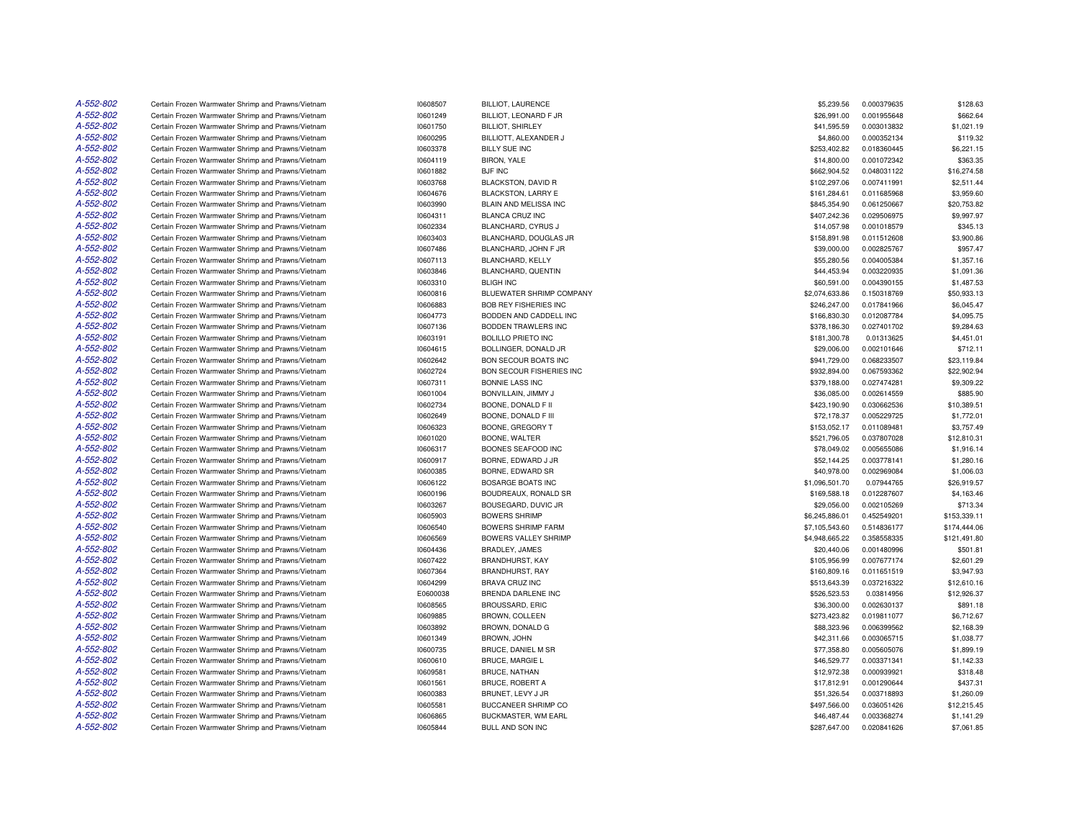| A-552-802 | Certain Frozen Warmwater Shrimp and Prawns/Vietnam | 10608507 | <b>BILLIOT, LAURENCE</b>     | \$5,239.56     | 0.000379635 | \$128.63     |
|-----------|----------------------------------------------------|----------|------------------------------|----------------|-------------|--------------|
| A-552-802 | Certain Frozen Warmwater Shrimp and Prawns/Vietnam | 10601249 | BILLIOT, LEONARD F JR        | \$26,991.00    | 0.001955648 | \$662.64     |
| A-552-802 | Certain Frozen Warmwater Shrimp and Prawns/Vietnam | 10601750 | <b>BILLIOT, SHIRLEY</b>      | \$41,595.59    | 0.003013832 | \$1,021.19   |
| A-552-802 | Certain Frozen Warmwater Shrimp and Prawns/Vietnam | 10600295 | BILLIOTT, ALEXANDER J        | \$4,860.00     | 0.000352134 | \$119.32     |
| A-552-802 | Certain Frozen Warmwater Shrimp and Prawns/Vietnam | 10603378 | <b>BILLY SUE INC</b>         | \$253,402.82   | 0.018360445 | \$6,221.15   |
| A-552-802 | Certain Frozen Warmwater Shrimp and Prawns/Vietnam | 10604119 | <b>BIRON, YALE</b>           | \$14,800.00    | 0.001072342 | \$363.35     |
| A-552-802 | Certain Frozen Warmwater Shrimp and Prawns/Vietnam | 10601882 | <b>BJF INC</b>               | \$662,904.52   | 0.048031122 | \$16,274.58  |
| A-552-802 | Certain Frozen Warmwater Shrimp and Prawns/Vietnam | 10603768 | BLACKSTON, DAVID R           | \$102,297.06   | 0.007411991 | \$2,511.44   |
| A-552-802 | Certain Frozen Warmwater Shrimp and Prawns/Vietnam | 10604676 | <b>BLACKSTON, LARRY E</b>    | \$161,284.61   | 0.011685968 | \$3,959.60   |
| A-552-802 | Certain Frozen Warmwater Shrimp and Prawns/Vietnam | 10603990 | BLAIN AND MELISSA INC        | \$845,354.90   | 0.061250667 | \$20,753.82  |
| A-552-802 | Certain Frozen Warmwater Shrimp and Prawns/Vietnam | 10604311 | <b>BLANCA CRUZ INC</b>       | \$407,242.36   | 0.029506975 | \$9,997.97   |
| A-552-802 | Certain Frozen Warmwater Shrimp and Prawns/Vietnam | 10602334 | BLANCHARD, CYRUS J           | \$14,057.98    | 0.001018579 | \$345.13     |
| A-552-802 | Certain Frozen Warmwater Shrimp and Prawns/Vietnam | 10603403 | BLANCHARD, DOUGLAS JR        | \$158,891.98   | 0.011512608 | \$3,900.86   |
| A-552-802 | Certain Frozen Warmwater Shrimp and Prawns/Vietnam | 10607486 | BLANCHARD, JOHN F JR         | \$39,000.00    | 0.002825767 | \$957.47     |
| A-552-802 | Certain Frozen Warmwater Shrimp and Prawns/Vietnam | 10607113 | BLANCHARD, KELLY             | \$55,280.56    | 0.004005384 | \$1,357.16   |
| A-552-802 | Certain Frozen Warmwater Shrimp and Prawns/Vietnam | 10603846 | BLANCHARD, QUENTIN           | \$44,453.94    | 0.003220935 | \$1,091.36   |
| A-552-802 | Certain Frozen Warmwater Shrimp and Prawns/Vietnam | 10603310 | <b>BLIGH INC</b>             | \$60,591.00    | 0.004390155 | \$1,487.53   |
| A-552-802 | Certain Frozen Warmwater Shrimp and Prawns/Vietnam | 10600816 | BLUEWATER SHRIMP COMPANY     | \$2,074,633.86 | 0.150318769 | \$50,933.13  |
| A-552-802 | Certain Frozen Warmwater Shrimp and Prawns/Vietnam | 10606883 | <b>BOB REY FISHERIES INC</b> | \$246,247.00   | 0.017841966 | \$6,045.47   |
| A-552-802 | Certain Frozen Warmwater Shrimp and Prawns/Vietnam | 10604773 | BODDEN AND CADDELL INC       | \$166,830.30   | 0.012087784 | \$4,095.75   |
| A-552-802 | Certain Frozen Warmwater Shrimp and Prawns/Vietnam | 10607136 | BODDEN TRAWLERS INC          | \$378,186.30   | 0.027401702 | \$9,284.63   |
| A-552-802 | Certain Frozen Warmwater Shrimp and Prawns/Vietnam | 10603191 | <b>BOLILLO PRIETO INC</b>    | \$181,300.78   | 0.01313625  | \$4,451.01   |
| A-552-802 | Certain Frozen Warmwater Shrimp and Prawns/Vietnam | 10604615 | BOLLINGER, DONALD JR         | \$29,006.00    | 0.002101646 | \$712.11     |
| A-552-802 | Certain Frozen Warmwater Shrimp and Prawns/Vietnam | 10602642 | <b>BON SECOUR BOATS INC</b>  | \$941,729.00   | 0.068233507 | \$23,119.84  |
| A-552-802 | Certain Frozen Warmwater Shrimp and Prawns/Vietnam | 10602724 | BON SECOUR FISHERIES INC     | \$932,894.00   | 0.067593362 | \$22,902.94  |
| A-552-802 | Certain Frozen Warmwater Shrimp and Prawns/Vietnam | 10607311 | <b>BONNIE LASS INC</b>       | \$379,188.00   | 0.027474281 | \$9,309.22   |
| A-552-802 | Certain Frozen Warmwater Shrimp and Prawns/Vietnam | 10601004 | BONVILLAIN, JIMMY J          | \$36,085.00    | 0.002614559 | \$885.90     |
| A-552-802 | Certain Frozen Warmwater Shrimp and Prawns/Vietnam | 10602734 | BOONE, DONALD F II           | \$423,190.90   | 0.030662536 | \$10,389.51  |
| A-552-802 | Certain Frozen Warmwater Shrimp and Prawns/Vietnam | 10602649 | BOONE, DONALD F III          | \$72,178.37    | 0.005229725 | \$1,772.01   |
| A-552-802 | Certain Frozen Warmwater Shrimp and Prawns/Vietnam | 10606323 | BOONE, GREGORY T             | \$153,052.17   | 0.011089481 | \$3,757.49   |
| A-552-802 | Certain Frozen Warmwater Shrimp and Prawns/Vietnam | 10601020 | BOONE, WALTER                | \$521,796.05   | 0.037807028 | \$12,810.31  |
| A-552-802 | Certain Frozen Warmwater Shrimp and Prawns/Vietnam | 10606317 | BOONES SEAFOOD INC           | \$78,049.02    | 0.005655086 | \$1,916.14   |
| A-552-802 | Certain Frozen Warmwater Shrimp and Prawns/Vietnam | 10600917 | BORNE, EDWARD J JR           | \$52,144.25    | 0.003778141 | \$1,280.16   |
| A-552-802 | Certain Frozen Warmwater Shrimp and Prawns/Vietnam | 10600385 | BORNE, EDWARD SR             | \$40,978.00    | 0.002969084 | \$1,006.03   |
| A-552-802 | Certain Frozen Warmwater Shrimp and Prawns/Vietnam | 10606122 | <b>BOSARGE BOATS INC</b>     | \$1,096,501.70 | 0.07944765  | \$26,919.57  |
| A-552-802 | Certain Frozen Warmwater Shrimp and Prawns/Vietnam | 10600196 | BOUDREAUX, RONALD SR         | \$169,588.18   | 0.012287607 | \$4,163.46   |
| A-552-802 | Certain Frozen Warmwater Shrimp and Prawns/Vietnam | 10603267 | BOUSEGARD, DUVIC JR          | \$29,056.00    | 0.002105269 | \$713.34     |
| A-552-802 | Certain Frozen Warmwater Shrimp and Prawns/Vietnam | 10605903 | <b>BOWERS SHRIMP</b>         | \$6,245,886.01 | 0.452549201 | \$153,339.11 |
| A-552-802 | Certain Frozen Warmwater Shrimp and Prawns/Vietnam | 10606540 | <b>BOWERS SHRIMP FARM</b>    | \$7,105,543.60 | 0.514836177 | \$174,444.06 |
| A-552-802 | Certain Frozen Warmwater Shrimp and Prawns/Vietnam | 10606569 | <b>BOWERS VALLEY SHRIMP</b>  | \$4,948,665.22 | 0.358558335 | \$121,491.80 |
| A-552-802 | Certain Frozen Warmwater Shrimp and Prawns/Vietnam | 10604436 | BRADLEY, JAMES               | \$20,440.06    | 0.001480996 | \$501.81     |
| A-552-802 | Certain Frozen Warmwater Shrimp and Prawns/Vietnam | 10607422 | <b>BRANDHURST, KAY</b>       | \$105,956.99   | 0.007677174 | \$2,601.29   |
| A-552-802 | Certain Frozen Warmwater Shrimp and Prawns/Vietnam | 10607364 | BRANDHURST, RAY              | \$160,809.16   | 0.011651519 | \$3,947.93   |
| A-552-802 | Certain Frozen Warmwater Shrimp and Prawns/Vietnam | 10604299 | <b>BRAVA CRUZ INC</b>        | \$513,643.39   | 0.037216322 | \$12,610.16  |
| A-552-802 | Certain Frozen Warmwater Shrimp and Prawns/Vietnam | E0600038 | <b>BRENDA DARLENE INC</b>    | \$526,523.53   | 0.03814956  | \$12,926.37  |
| A-552-802 | Certain Frozen Warmwater Shrimp and Prawns/Vietnam | 10608565 | BROUSSARD, ERIC              | \$36,300.00    | 0.002630137 | \$891.18     |
| A-552-802 | Certain Frozen Warmwater Shrimp and Prawns/Vietnam | 10609885 | <b>BROWN, COLLEEN</b>        | \$273,423.82   | 0.019811077 | \$6,712.67   |
| A-552-802 | Certain Frozen Warmwater Shrimp and Prawns/Vietnam | 10603892 | BROWN, DONALD G              | \$88,323.96    | 0.006399562 | \$2,168.39   |
| A-552-802 | Certain Frozen Warmwater Shrimp and Prawns/Vietnam | 10601349 | <b>BROWN, JOHN</b>           | \$42,311.66    | 0.003065715 | \$1,038.77   |
| A-552-802 | Certain Frozen Warmwater Shrimp and Prawns/Vietnam | 10600735 | BRUCE, DANIEL M SR           | \$77,358.80    | 0.005605076 | \$1,899.19   |
| A-552-802 | Certain Frozen Warmwater Shrimp and Prawns/Vietnam | 10600610 | <b>BRUCE, MARGIE L</b>       | \$46,529.77    | 0.003371341 | \$1,142.33   |
| A-552-802 | Certain Frozen Warmwater Shrimp and Prawns/Vietnam | 10609581 | <b>BRUCE, NATHAN</b>         | \$12,972.38    | 0.000939921 | \$318.48     |
| A-552-802 | Certain Frozen Warmwater Shrimp and Prawns/Vietnam | 10601561 | <b>BRUCE, ROBERT A</b>       | \$17,812.91    | 0.001290644 | \$437.31     |
| A-552-802 | Certain Frozen Warmwater Shrimp and Prawns/Vietnam | 10600383 | BRUNET, LEVY J JR            | \$51,326.54    | 0.003718893 | \$1,260.09   |
| A-552-802 | Certain Frozen Warmwater Shrimp and Prawns/Vietnam | 10605581 | BUCCANEER SHRIMP CO          | \$497,566.00   | 0.036051426 | \$12,215.45  |
| A-552-802 | Certain Frozen Warmwater Shrimp and Prawns/Vietnam | 10606865 | BUCKMASTER, WM EARL          | \$46,487.44    | 0.003368274 | \$1,141.29   |
| A-552-802 | Certain Frozen Warmwater Shrimp and Prawns/Vietnam | 10605844 | BULL AND SON INC             | \$287,647.00   | 0.020841626 | \$7,061.85   |
|           |                                                    |          |                              |                |             |              |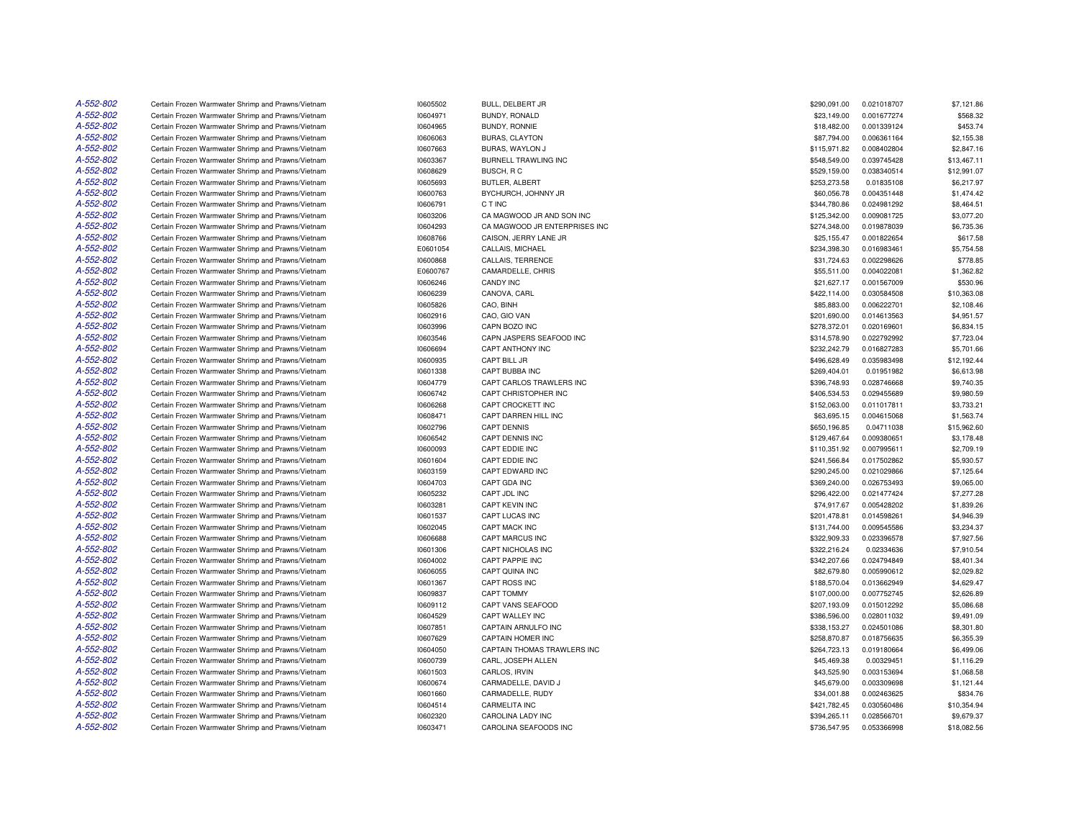| A-552-802 | Certain Frozen Warmwater Shrimp and Prawns/Vietnam | 10605502 | BULL, DELBERT JR              | \$290,091.00 | 0.021018707 | \$7,121.86  |
|-----------|----------------------------------------------------|----------|-------------------------------|--------------|-------------|-------------|
| A-552-802 | Certain Frozen Warmwater Shrimp and Prawns/Vietnam | 10604971 | BUNDY, RONALD                 | \$23,149.00  | 0.001677274 | \$568.32    |
| A-552-802 | Certain Frozen Warmwater Shrimp and Prawns/Vietnam | 10604965 | BUNDY, RONNIE                 | \$18,482.00  | 0.001339124 | \$453.74    |
| A-552-802 | Certain Frozen Warmwater Shrimp and Prawns/Vietnam | 10606063 | <b>BURAS, CLAYTON</b>         | \$87,794.00  | 0.006361164 | \$2,155.38  |
| A-552-802 | Certain Frozen Warmwater Shrimp and Prawns/Vietnam | 10607663 | BURAS, WAYLON J               | \$115,971.82 | 0.008402804 | \$2,847.16  |
| A-552-802 | Certain Frozen Warmwater Shrimp and Prawns/Vietnam | 10603367 | BURNELL TRAWLING INC          | \$548,549.00 | 0.039745428 | \$13,467.11 |
| A-552-802 | Certain Frozen Warmwater Shrimp and Prawns/Vietnam | 10608629 | BUSCH, RC                     | \$529,159.00 | 0.038340514 | \$12,991.07 |
| A-552-802 | Certain Frozen Warmwater Shrimp and Prawns/Vietnam | 10605693 | BUTLER, ALBERT                | \$253,273.58 | 0.01835108  | \$6,217.97  |
| A-552-802 | Certain Frozen Warmwater Shrimp and Prawns/Vietnam | 10600763 | BYCHURCH, JOHNNY JR           | \$60,056.78  | 0.004351448 | \$1,474.42  |
| A-552-802 | Certain Frozen Warmwater Shrimp and Prawns/Vietnam | 10606791 | C T INC                       | \$344,780.86 | 0.024981292 | \$8,464.51  |
| A-552-802 | Certain Frozen Warmwater Shrimp and Prawns/Vietnam | 10603206 | CA MAGWOOD JR AND SON INC     | \$125,342.00 | 0.009081725 | \$3,077.20  |
| A-552-802 | Certain Frozen Warmwater Shrimp and Prawns/Vietnam | 10604293 | CA MAGWOOD JR ENTERPRISES INC | \$274,348.00 | 0.019878039 | \$6,735.36  |
| A-552-802 | Certain Frozen Warmwater Shrimp and Prawns/Vietnam | 10608766 | CAISON, JERRY LANE JR         | \$25,155.47  | 0.001822654 | \$617.58    |
| A-552-802 | Certain Frozen Warmwater Shrimp and Prawns/Vietnam | E0601054 | CALLAIS, MICHAEL              | \$234,398.30 | 0.016983461 | \$5,754.58  |
| A-552-802 | Certain Frozen Warmwater Shrimp and Prawns/Vietnam | 10600868 | CALLAIS, TERRENCE             | \$31,724.63  | 0.002298626 | \$778.85    |
| A-552-802 | Certain Frozen Warmwater Shrimp and Prawns/Vietnam | E0600767 | CAMARDELLE, CHRIS             | \$55,511.00  | 0.004022081 | \$1,362.82  |
| A-552-802 | Certain Frozen Warmwater Shrimp and Prawns/Vietnam | 10606246 | <b>CANDY INC</b>              | \$21,627.17  | 0.001567009 | \$530.96    |
| A-552-802 | Certain Frozen Warmwater Shrimp and Prawns/Vietnam | 10606239 | CANOVA, CARL                  | \$422,114.00 | 0.030584508 | \$10,363.08 |
| A-552-802 | Certain Frozen Warmwater Shrimp and Prawns/Vietnam | 10605826 | CAO, BINH                     | \$85,883.00  | 0.006222701 | \$2,108.46  |
| A-552-802 | Certain Frozen Warmwater Shrimp and Prawns/Vietnam | 10602916 | CAO, GIO VAN                  | \$201,690.00 | 0.014613563 | \$4,951.57  |
| A-552-802 | Certain Frozen Warmwater Shrimp and Prawns/Vietnam | 10603996 | CAPN BOZO INC                 | \$278,372.01 | 0.020169601 | \$6,834.15  |
| A-552-802 | Certain Frozen Warmwater Shrimp and Prawns/Vietnam | 10603546 | CAPN JASPERS SEAFOOD INC      | \$314,578.90 | 0.022792992 | \$7,723.04  |
| A-552-802 | Certain Frozen Warmwater Shrimp and Prawns/Vietnam | 10606694 | <b>CAPT ANTHONY INC</b>       | \$232,242.79 | 0.016827283 | \$5,701.66  |
| A-552-802 | Certain Frozen Warmwater Shrimp and Prawns/Vietnam | 10600935 | CAPT BILL JR                  | \$496,628.49 | 0.035983498 | \$12,192.44 |
| A-552-802 | Certain Frozen Warmwater Shrimp and Prawns/Vietnam | 10601338 | CAPT BUBBA INC                | \$269,404.01 | 0.01951982  | \$6,613.98  |
| A-552-802 | Certain Frozen Warmwater Shrimp and Prawns/Vietnam | 10604779 | CAPT CARLOS TRAWLERS INC      | \$396,748.93 | 0.028746668 | \$9,740.35  |
| A-552-802 | Certain Frozen Warmwater Shrimp and Prawns/Vietnam | 10606742 | CAPT CHRISTOPHER INC          | \$406,534.53 | 0.029455689 | \$9,980.59  |
| A-552-802 | Certain Frozen Warmwater Shrimp and Prawns/Vietnam | 10606268 | CAPT CROCKETT INC             | \$152,063.00 | 0.011017811 | \$3,733.21  |
| A-552-802 | Certain Frozen Warmwater Shrimp and Prawns/Vietnam | 10608471 | CAPT DARREN HILL INC          | \$63,695.15  | 0.004615068 | \$1,563.74  |
| A-552-802 | Certain Frozen Warmwater Shrimp and Prawns/Vietnam | 10602796 | <b>CAPT DENNIS</b>            | \$650,196.85 | 0.04711038  | \$15,962.60 |
| A-552-802 | Certain Frozen Warmwater Shrimp and Prawns/Vietnam | 10606542 | CAPT DENNIS INC               | \$129,467.64 | 0.009380651 | \$3,178.48  |
| A-552-802 | Certain Frozen Warmwater Shrimp and Prawns/Vietnam | 10600093 | CAPT EDDIE INC                | \$110,351.92 | 0.007995611 | \$2,709.19  |
| A-552-802 | Certain Frozen Warmwater Shrimp and Prawns/Vietnam | 10601604 | CAPT EDDIE INC                | \$241,566.84 | 0.017502862 | \$5,930.57  |
| A-552-802 | Certain Frozen Warmwater Shrimp and Prawns/Vietnam | 10603159 | CAPT EDWARD INC               | \$290,245.00 | 0.021029866 | \$7,125.64  |
| A-552-802 | Certain Frozen Warmwater Shrimp and Prawns/Vietnam | 10604703 | CAPT GDA INC                  | \$369,240.00 | 0.026753493 | \$9,065.00  |
| A-552-802 | Certain Frozen Warmwater Shrimp and Prawns/Vietnam | 10605232 | CAPT JDL INC                  | \$296,422.00 | 0.021477424 | \$7,277.28  |
| A-552-802 | Certain Frozen Warmwater Shrimp and Prawns/Vietnam | 10603281 | CAPT KEVIN INC                | \$74,917.67  | 0.005428202 | \$1,839.26  |
| A-552-802 | Certain Frozen Warmwater Shrimp and Prawns/Vietnam | 10601537 | <b>CAPT LUCAS INC</b>         | \$201,478.81 | 0.014598261 | \$4,946.39  |
| A-552-802 | Certain Frozen Warmwater Shrimp and Prawns/Vietnam | 10602045 | CAPT MACK INC                 | \$131,744.00 | 0.009545586 | \$3,234.37  |
| A-552-802 | Certain Frozen Warmwater Shrimp and Prawns/Vietnam | 10606688 | <b>CAPT MARCUS INC</b>        | \$322,909.33 | 0.023396578 | \$7,927.56  |
| A-552-802 | Certain Frozen Warmwater Shrimp and Prawns/Vietnam | 10601306 | CAPT NICHOLAS INC             | \$322,216.24 | 0.02334636  | \$7,910.54  |
| A-552-802 | Certain Frozen Warmwater Shrimp and Prawns/Vietnam | 10604002 | CAPT PAPPIE INC               | \$342,207.66 | 0.024794849 | \$8,401.34  |
| A-552-802 | Certain Frozen Warmwater Shrimp and Prawns/Vietnam | 10606055 | CAPT QUINA INC                | \$82,679.80  | 0.005990612 | \$2,029.82  |
| A-552-802 | Certain Frozen Warmwater Shrimp and Prawns/Vietnam | 10601367 | CAPT ROSS INC                 | \$188,570.04 | 0.013662949 | \$4,629.47  |
| A-552-802 | Certain Frozen Warmwater Shrimp and Prawns/Vietnam | 10609837 | CAPT TOMMY                    | \$107,000.00 | 0.007752745 | \$2,626.89  |
| A-552-802 | Certain Frozen Warmwater Shrimp and Prawns/Vietnam | 10609112 | CAPT VANS SEAFOOD             | \$207,193.09 | 0.015012292 | \$5,086.68  |
| A-552-802 | Certain Frozen Warmwater Shrimp and Prawns/Vietnam | 10604529 | CAPT WALLEY INC               | \$386,596.00 | 0.028011032 | \$9,491.09  |
| A-552-802 | Certain Frozen Warmwater Shrimp and Prawns/Vietnam | 10607851 | CAPTAIN ARNULFO INC           | \$338,153.27 | 0.024501086 | \$8,301.80  |
| A-552-802 | Certain Frozen Warmwater Shrimp and Prawns/Vietnam | 10607629 | CAPTAIN HOMER INC             | \$258,870.87 | 0.018756635 | \$6,355.39  |
| A-552-802 | Certain Frozen Warmwater Shrimp and Prawns/Vietnam | 10604050 | CAPTAIN THOMAS TRAWLERS INC   | \$264,723.13 | 0.019180664 | \$6,499.06  |
| A-552-802 | Certain Frozen Warmwater Shrimp and Prawns/Vietnam | 10600739 | CARL, JOSEPH ALLEN            | \$45,469.38  | 0.00329451  | \$1,116.29  |
| A-552-802 | Certain Frozen Warmwater Shrimp and Prawns/Vietnam | 10601503 | CARLOS, IRVIN                 | \$43,525.90  | 0.003153694 | \$1,068.58  |
| A-552-802 | Certain Frozen Warmwater Shrimp and Prawns/Vietnam | 10600674 | CARMADELLE, DAVID J           | \$45,679.00  | 0.003309698 | \$1,121.44  |
| A-552-802 | Certain Frozen Warmwater Shrimp and Prawns/Vietnam | 10601660 | CARMADELLE, RUDY              | \$34,001.88  | 0.002463625 | \$834.76    |
| A-552-802 | Certain Frozen Warmwater Shrimp and Prawns/Vietnam | 10604514 | <b>CARMELITA INC</b>          | \$421,782.45 | 0.030560486 | \$10,354.94 |
| A-552-802 | Certain Frozen Warmwater Shrimp and Prawns/Vietnam | 10602320 | <b>CAROLINA LADY INC</b>      | \$394.265.11 | 0.028566701 | \$9,679.37  |
| A-552-802 | Certain Frozen Warmwater Shrimp and Prawns/Vietnam | 10603471 | CAROLINA SEAFOODS INC         | \$736,547.95 | 0.053366998 | \$18,082.56 |
|           |                                                    |          |                               |              |             |             |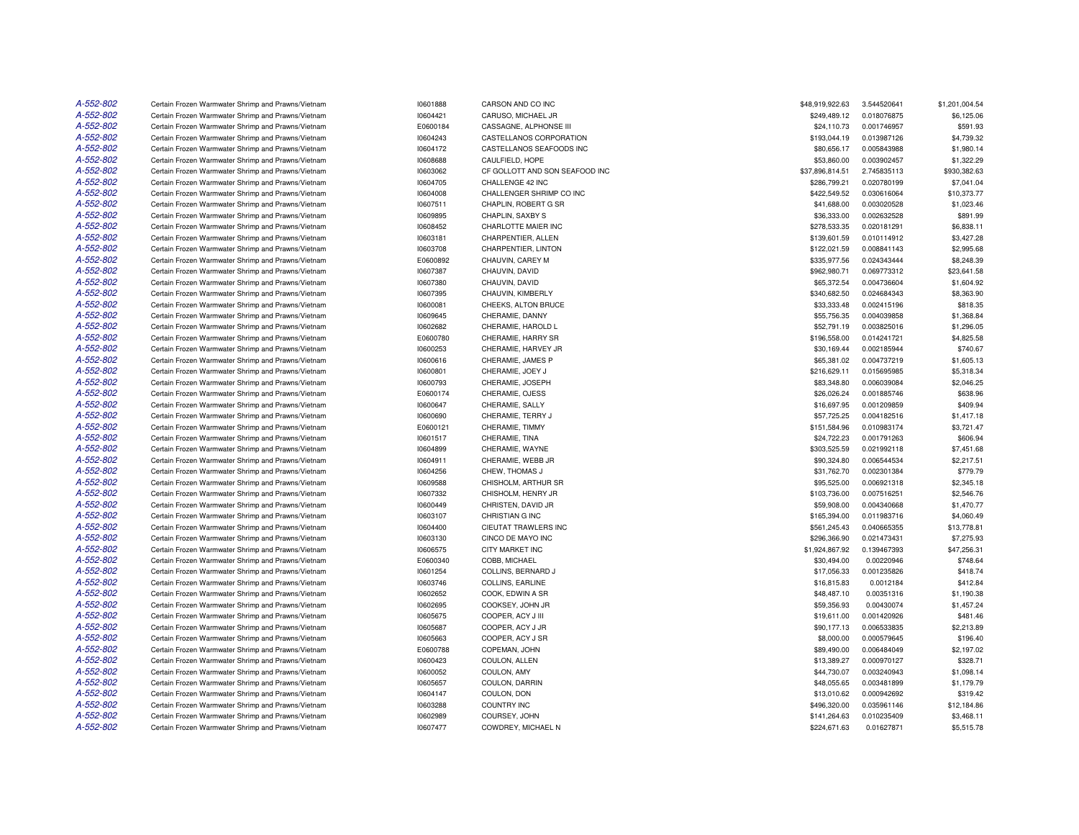| A-552-802 | Certain Frozen Warmwater Shrimp and Prawns/Vietnam | 10601888 | CARSON AND CO INC              | \$48,919,922.63 | 3.544520641 | \$1,201,004.54 |
|-----------|----------------------------------------------------|----------|--------------------------------|-----------------|-------------|----------------|
| A-552-802 | Certain Frozen Warmwater Shrimp and Prawns/Vietnam | 10604421 | CARUSO, MICHAEL JR             | \$249,489.12    | 0.018076875 | \$6,125.06     |
| A-552-802 | Certain Frozen Warmwater Shrimp and Prawns/Vietnam | E0600184 | CASSAGNE, ALPHONSE III         | \$24,110.73     | 0.001746957 | \$591.93       |
| A-552-802 | Certain Frozen Warmwater Shrimp and Prawns/Vietnam | 10604243 | CASTELLANOS CORPORATION        | \$193,044.19    | 0.013987126 | \$4,739.32     |
| A-552-802 | Certain Frozen Warmwater Shrimp and Prawns/Vietnam | 10604172 | CASTELLANOS SEAFOODS INC       | \$80,656.17     | 0.005843988 | \$1,980.14     |
| A-552-802 | Certain Frozen Warmwater Shrimp and Prawns/Vietnam | 10608688 | CAULFIELD, HOPE                | \$53,860.00     | 0.003902457 | \$1,322.29     |
| A-552-802 | Certain Frozen Warmwater Shrimp and Prawns/Vietnam | 10603062 | CF GOLLOTT AND SON SEAFOOD INC | \$37,896,814.51 | 2.745835113 | \$930,382.63   |
| A-552-802 | Certain Frozen Warmwater Shrimp and Prawns/Vietnam | 10604705 | CHALLENGE 42 INC               | \$286.799.21    | 0.020780199 | \$7.041.04     |
| A-552-802 | Certain Frozen Warmwater Shrimp and Prawns/Vietnam | 10604008 | CHALLENGER SHRIMP CO INC       | \$422,549.52    | 0.030616064 | \$10,373.77    |
| A-552-802 | Certain Frozen Warmwater Shrimp and Prawns/Vietnam | 10607511 | CHAPLIN, ROBERT G SR           | \$41,688.00     | 0.003020528 | \$1,023.46     |
| A-552-802 | Certain Frozen Warmwater Shrimp and Prawns/Vietnam | 10609895 | CHAPLIN, SAXBY S               | \$36,333.00     | 0.002632528 | \$891.99       |
| A-552-802 | Certain Frozen Warmwater Shrimp and Prawns/Vietnam | 10608452 | CHARLOTTE MAIER INC            | \$278,533.35    | 0.020181291 | \$6,838.11     |
| A-552-802 | Certain Frozen Warmwater Shrimp and Prawns/Vietnam | 10603181 | CHARPENTIER, ALLEN             | \$139,601.59    | 0.010114912 | \$3,427.28     |
| A-552-802 | Certain Frozen Warmwater Shrimp and Prawns/Vietnam | 10603708 | CHARPENTIER, LINTON            | \$122,021.59    | 0.008841143 | \$2,995.68     |
| A-552-802 | Certain Frozen Warmwater Shrimp and Prawns/Vietnam | E0600892 | CHAUVIN, CAREY M               | \$335,977.56    | 0.024343444 | \$8,248.39     |
| A-552-802 | Certain Frozen Warmwater Shrimp and Prawns/Vietnam | 10607387 | CHAUVIN, DAVID                 | \$962,980.71    | 0.069773312 | \$23.641.58    |
| A-552-802 | Certain Frozen Warmwater Shrimp and Prawns/Vietnam | 10607380 | CHAUVIN, DAVID                 | \$65,372.54     | 0.004736604 | \$1,604.92     |
| A-552-802 | Certain Frozen Warmwater Shrimp and Prawns/Vietnam | 10607395 | CHAUVIN, KIMBERLY              | \$340,682.50    | 0.024684343 | \$8,363.90     |
| A-552-802 | Certain Frozen Warmwater Shrimp and Prawns/Vietnam | 10600081 | CHEEKS, ALTON BRUCE            | \$33,333.48     | 0.002415196 | \$818.35       |
| A-552-802 | Certain Frozen Warmwater Shrimp and Prawns/Vietnam | 10609645 | CHERAMIE, DANNY                | \$55,756.35     | 0.004039858 | \$1,368.84     |
| A-552-802 |                                                    | 10602682 |                                | \$52,791.19     | 0.003825016 | \$1,296.05     |
| A-552-802 | Certain Frozen Warmwater Shrimp and Prawns/Vietnam |          | CHERAMIE, HAROLD L             |                 |             |                |
| A-552-802 | Certain Frozen Warmwater Shrimp and Prawns/Vietnam | E0600780 | CHERAMIE, HARRY SR             | \$196,558.00    | 0.014241721 | \$4,825.58     |
|           | Certain Frozen Warmwater Shrimp and Prawns/Vietnam | 10600253 | CHERAMIE, HARVEY JR            | \$30,169.44     | 0.002185944 | \$740.67       |
| A-552-802 | Certain Frozen Warmwater Shrimp and Prawns/Vietnam | 10600616 | CHERAMIE, JAMES P              | \$65,381.02     | 0.004737219 | \$1,605.13     |
| A-552-802 | Certain Frozen Warmwater Shrimp and Prawns/Vietnam | 10600801 | CHERAMIE, JOEY J               | \$216,629.11    | 0.015695985 | \$5,318.34     |
| A-552-802 | Certain Frozen Warmwater Shrimp and Prawns/Vietnam | 10600793 | CHERAMIE, JOSEPH               | \$83,348.80     | 0.006039084 | \$2,046.25     |
| A-552-802 | Certain Frozen Warmwater Shrimp and Prawns/Vietnam | E0600174 | CHERAMIE, OJESS                | \$26,026.24     | 0.001885746 | \$638.96       |
| A-552-802 | Certain Frozen Warmwater Shrimp and Prawns/Vietnam | 10600647 | CHERAMIE, SALLY                | \$16,697.95     | 0.001209859 | \$409.94       |
| A-552-802 | Certain Frozen Warmwater Shrimp and Prawns/Vietnam | 10600690 | CHERAMIE, TERRY J              | \$57,725.25     | 0.004182516 | \$1,417.18     |
| A-552-802 | Certain Frozen Warmwater Shrimp and Prawns/Vietnam | E0600121 | CHERAMIE, TIMMY                | \$151,584.96    | 0.010983174 | \$3,721.47     |
| A-552-802 | Certain Frozen Warmwater Shrimp and Prawns/Vietnam | 10601517 | CHERAMIE, TINA                 | \$24,722.23     | 0.001791263 | \$606.94       |
| A-552-802 | Certain Frozen Warmwater Shrimp and Prawns/Vietnam | 10604899 | CHERAMIE, WAYNE                | \$303.525.59    | 0.021992118 | \$7,451.68     |
| A-552-802 | Certain Frozen Warmwater Shrimp and Prawns/Vietnam | 10604911 | CHERAMIE, WEBB JR              | \$90,324.80     | 0.006544534 | \$2,217.51     |
| A-552-802 | Certain Frozen Warmwater Shrimp and Prawns/Vietnam | 10604256 | CHEW, THOMAS J                 | \$31,762.70     | 0.002301384 | \$779.79       |
| A-552-802 | Certain Frozen Warmwater Shrimp and Prawns/Vietnam | 10609588 | CHISHOLM, ARTHUR SR            | \$95,525.00     | 0.006921318 | \$2,345.18     |
| A-552-802 | Certain Frozen Warmwater Shrimp and Prawns/Vietnam | 10607332 | CHISHOLM, HENRY JR             | \$103,736.00    | 0.007516251 | \$2,546.76     |
| A-552-802 | Certain Frozen Warmwater Shrimp and Prawns/Vietnam | 10600449 | CHRISTEN, DAVID JR             | \$59,908.00     | 0.004340668 | \$1,470.77     |
| A-552-802 | Certain Frozen Warmwater Shrimp and Prawns/Vietnam | 10603107 | CHRISTIAN G INC                | \$165,394.00    | 0.011983716 | \$4,060.49     |
| A-552-802 | Certain Frozen Warmwater Shrimp and Prawns/Vietnam | 10604400 | CIEUTAT TRAWLERS INC           | \$561,245.43    | 0.040665355 | \$13,778.81    |
| A-552-802 | Certain Frozen Warmwater Shrimp and Prawns/Vietnam | 10603130 | CINCO DE MAYO INC              | \$296,366.90    | 0.021473431 | \$7,275.93     |
| A-552-802 | Certain Frozen Warmwater Shrimp and Prawns/Vietnam | 10606575 | <b>CITY MARKET INC</b>         | \$1,924,867.92  | 0.139467393 | \$47,256.31    |
| A-552-802 | Certain Frozen Warmwater Shrimp and Prawns/Vietnam | E0600340 | COBB, MICHAEL                  | \$30,494.00     | 0.00220946  | \$748.64       |
| A-552-802 | Certain Frozen Warmwater Shrimp and Prawns/Vietnam | 10601254 | COLLINS, BERNARD J             | \$17,056.33     | 0.001235826 | \$418.74       |
| A-552-802 | Certain Frozen Warmwater Shrimp and Prawns/Vietnam | 10603746 | COLLINS, EARLINE               | \$16,815.83     | 0.0012184   | \$412.84       |
| A-552-802 | Certain Frozen Warmwater Shrimp and Prawns/Vietnam | 10602652 | COOK, EDWIN A SR               | \$48,487.10     | 0.00351316  | \$1,190.38     |
| A-552-802 | Certain Frozen Warmwater Shrimp and Prawns/Vietnam | 10602695 | COOKSEY, JOHN JR               | \$59,356.93     | 0.00430074  | \$1,457.24     |
| A-552-802 | Certain Frozen Warmwater Shrimp and Prawns/Vietnam | 10605675 | COOPER, ACY J III              | \$19,611.00     | 0.001420926 | \$481.46       |
| A-552-802 | Certain Frozen Warmwater Shrimp and Prawns/Vietnam | 10605687 | COOPER, ACY J JR               | \$90,177,13     | 0.006533835 | \$2,213.89     |
| A-552-802 | Certain Frozen Warmwater Shrimp and Prawns/Vietnam | 10605663 | COOPER, ACY J SR               | \$8,000.00      | 0.000579645 | \$196.40       |
| A-552-802 | Certain Frozen Warmwater Shrimp and Prawns/Vietnam | E0600788 | COPEMAN, JOHN                  | \$89,490.00     | 0.006484049 | \$2,197.02     |
| A-552-802 | Certain Frozen Warmwater Shrimp and Prawns/Vietnam | 10600423 | COULON, ALLEN                  | \$13,389.27     | 0.000970127 | \$328.71       |
| A-552-802 | Certain Frozen Warmwater Shrimp and Prawns/Vietnam | 10600052 | COULON, AMY                    | \$44,730.07     | 0.003240943 | \$1,098.14     |
| A-552-802 | Certain Frozen Warmwater Shrimp and Prawns/Vietnam | 10605657 | COULON, DARRIN                 | \$48,055.65     | 0.003481899 | \$1,179.79     |
| A-552-802 | Certain Frozen Warmwater Shrimp and Prawns/Vietnam | 10604147 | COULON, DON                    | \$13,010.62     | 0.000942692 | \$319.42       |
| A-552-802 | Certain Frozen Warmwater Shrimp and Prawns/Vietnam | 10603288 | <b>COUNTRY INC</b>             | \$496,320.00    | 0.035961146 | \$12,184.86    |
| A-552-802 | Certain Frozen Warmwater Shrimp and Prawns/Vietnam | 10602989 | COURSEY, JOHN                  | \$141.264.63    | 0.010235409 | \$3.468.11     |
| A-552-802 | Certain Frozen Warmwater Shrimp and Prawns/Vietnam | 10607477 | COWDREY, MICHAEL N             | \$224,671.63    | 0.01627871  | \$5,515.78     |
|           |                                                    |          |                                |                 |             |                |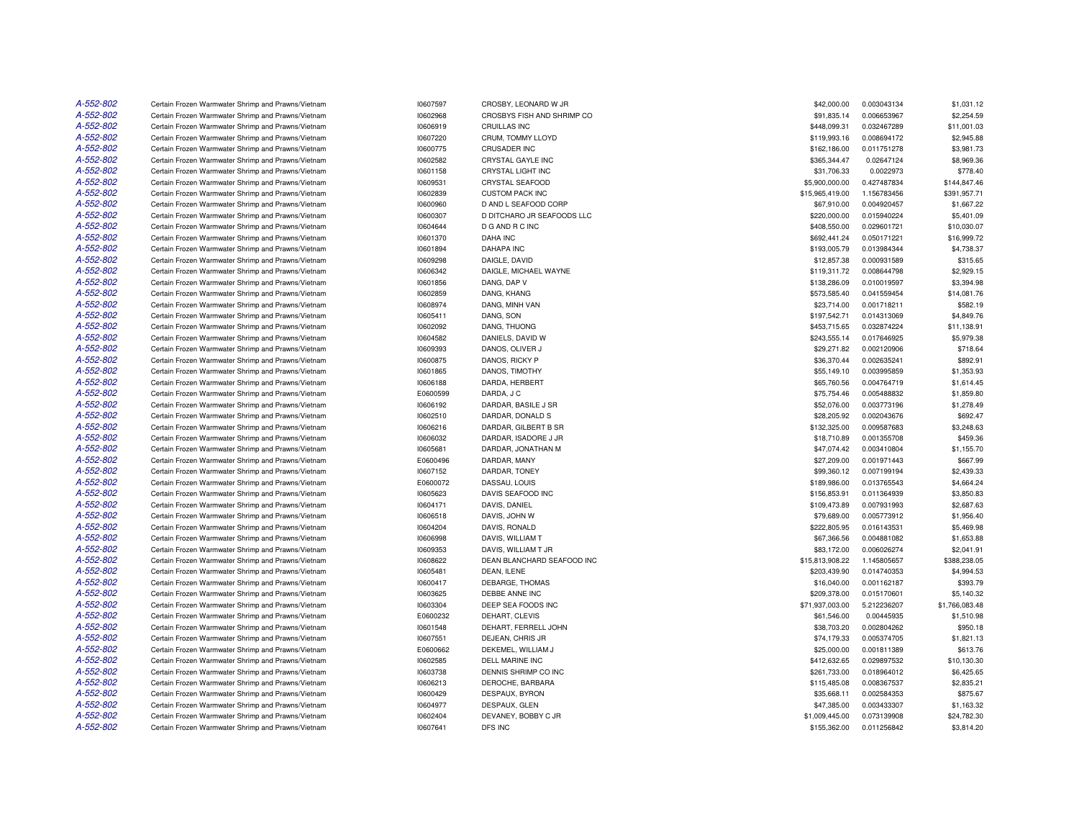| A-552-802 | Certain Frozen Warmwater Shrimp and Prawns/Vietnam | 10607597 | CROSBY, LEONARD W JR       | \$42,000.00     | 0.003043134 | \$1,031.12     |
|-----------|----------------------------------------------------|----------|----------------------------|-----------------|-------------|----------------|
| A-552-802 | Certain Frozen Warmwater Shrimp and Prawns/Vietnam | 10602968 | CROSBYS FISH AND SHRIMP CO | \$91,835.14     | 0.006653967 | \$2,254.59     |
| A-552-802 | Certain Frozen Warmwater Shrimp and Prawns/Vietnam | 10606919 | <b>CRUILLAS INC</b>        | \$448,099.31    | 0.032467289 | \$11,001.03    |
| A-552-802 | Certain Frozen Warmwater Shrimp and Prawns/Vietnam | 10607220 | CRUM, TOMMY LLOYD          | \$119,993.16    | 0.008694172 | \$2,945.88     |
| A-552-802 | Certain Frozen Warmwater Shrimp and Prawns/Vietnam | 10600775 | <b>CRUSADER INC</b>        | \$162,186.00    | 0.011751278 | \$3,981.73     |
| A-552-802 | Certain Frozen Warmwater Shrimp and Prawns/Vietnam | 10602582 | CRYSTAL GAYLE INC          | \$365,344.47    | 0.02647124  | \$8,969.36     |
| A-552-802 | Certain Frozen Warmwater Shrimp and Prawns/Vietnam | 10601158 | CRYSTAL LIGHT INC          | \$31,706.33     | 0.0022973   | \$778.40       |
| A-552-802 | Certain Frozen Warmwater Shrimp and Prawns/Vietnam | 10609531 | <b>CRYSTAL SEAFOOD</b>     | \$5,900,000.00  | 0.427487834 | \$144,847.46   |
| A-552-802 | Certain Frozen Warmwater Shrimp and Prawns/Vietnam | 10602839 | <b>CUSTOM PACK INC</b>     | \$15,965,419.00 | 1.156783456 | \$391,957.71   |
| A-552-802 | Certain Frozen Warmwater Shrimp and Prawns/Vietnam | 10600960 | D AND L SEAFOOD CORP       | \$67,910.00     | 0.004920457 | \$1,667.22     |
| A-552-802 | Certain Frozen Warmwater Shrimp and Prawns/Vietnam | 10600307 | D DITCHARO JR SEAFOODS LLC | \$220,000.00    | 0.015940224 | \$5,401.09     |
| A-552-802 | Certain Frozen Warmwater Shrimp and Prawns/Vietnam | 10604644 | D G AND R C INC            | \$408,550.00    | 0.029601721 | \$10,030.07    |
| A-552-802 | Certain Frozen Warmwater Shrimp and Prawns/Vietnam | 10601370 | <b>DAHA INC</b>            | \$692,441.24    | 0.050171221 | \$16,999.72    |
| A-552-802 | Certain Frozen Warmwater Shrimp and Prawns/Vietnam | 10601894 | <b>DAHAPA INC</b>          | \$193,005.79    | 0.013984344 | \$4,738.37     |
| A-552-802 | Certain Frozen Warmwater Shrimp and Prawns/Vietnam | 10609298 | DAIGLE, DAVID              | \$12,857.38     | 0.000931589 | \$315.65       |
| A-552-802 | Certain Frozen Warmwater Shrimp and Prawns/Vietnam | 10606342 | DAIGLE, MICHAEL WAYNE      | \$119,311.72    | 0.008644798 | \$2,929.15     |
| A-552-802 | Certain Frozen Warmwater Shrimp and Prawns/Vietnam | 10601856 | DANG, DAP V                | \$138,286.09    | 0.010019597 | \$3,394.98     |
| A-552-802 | Certain Frozen Warmwater Shrimp and Prawns/Vietnam | 10602859 | DANG, KHANG                | \$573,585.40    | 0.041559454 | \$14,081.76    |
| A-552-802 | Certain Frozen Warmwater Shrimp and Prawns/Vietnam | 10608974 | DANG, MINH VAN             | \$23,714.00     | 0.001718211 | \$582.19       |
| A-552-802 | Certain Frozen Warmwater Shrimp and Prawns/Vietnam | 10605411 | DANG, SON                  | \$197,542.71    | 0.014313069 | \$4,849.76     |
| A-552-802 | Certain Frozen Warmwater Shrimp and Prawns/Vietnam | 10602092 | DANG, THUONG               | \$453,715.65    | 0.032874224 | \$11,138.91    |
| A-552-802 | Certain Frozen Warmwater Shrimp and Prawns/Vietnam | 10604582 | DANIELS, DAVID W           | \$243,555.14    | 0.017646925 | \$5,979.38     |
| A-552-802 | Certain Frozen Warmwater Shrimp and Prawns/Vietnam | 10609393 | DANOS, OLIVER J            | \$29,271.82     | 0.002120906 | \$718.64       |
| A-552-802 | Certain Frozen Warmwater Shrimp and Prawns/Vietnam | 10600875 | DANOS, RICKY P             | \$36,370.44     | 0.002635241 | \$892.91       |
| A-552-802 | Certain Frozen Warmwater Shrimp and Prawns/Vietnam | 10601865 | DANOS, TIMOTHY             | \$55,149.10     | 0.003995859 | \$1,353.93     |
| A-552-802 | Certain Frozen Warmwater Shrimp and Prawns/Vietnam | 10606188 | DARDA, HERBERT             | \$65,760.56     | 0.004764719 | \$1,614.45     |
| A-552-802 | Certain Frozen Warmwater Shrimp and Prawns/Vietnam | E0600599 | DARDA, J C                 | \$75,754.46     | 0.005488832 | \$1,859.80     |
| A-552-802 | Certain Frozen Warmwater Shrimp and Prawns/Vietnam | 10606192 | DARDAR, BASILE J SR        | \$52,076.00     | 0.003773196 | \$1,278.49     |
| A-552-802 | Certain Frozen Warmwater Shrimp and Prawns/Vietnam | 10602510 | DARDAR, DONALD S           | \$28,205.92     | 0.002043676 | \$692.47       |
| A-552-802 | Certain Frozen Warmwater Shrimp and Prawns/Vietnam | 10606216 | DARDAR, GILBERT B SR       | \$132,325.00    | 0.009587683 | \$3,248.63     |
| A-552-802 | Certain Frozen Warmwater Shrimp and Prawns/Vietnam | 10606032 | DARDAR, ISADORE J JR       | \$18,710.89     | 0.001355708 | \$459.36       |
| A-552-802 | Certain Frozen Warmwater Shrimp and Prawns/Vietnam | 10605681 | DARDAR, JONATHAN M         | \$47,074.42     | 0.003410804 | \$1,155.70     |
| A-552-802 | Certain Frozen Warmwater Shrimp and Prawns/Vietnam | E0600496 | DARDAR, MANY               | \$27,209.00     | 0.001971443 | \$667.99       |
| A-552-802 | Certain Frozen Warmwater Shrimp and Prawns/Vietnam | 10607152 | DARDAR, TONEY              | \$99,360.12     | 0.007199194 | \$2,439.33     |
| A-552-802 | Certain Frozen Warmwater Shrimp and Prawns/Vietnam | E0600072 | DASSAU, LOUIS              | \$189,986.00    | 0.013765543 | \$4,664.24     |
| A-552-802 | Certain Frozen Warmwater Shrimp and Prawns/Vietnam | 10605623 | DAVIS SEAFOOD INC          | \$156,853.91    | 0.011364939 | \$3,850.83     |
| A-552-802 | Certain Frozen Warmwater Shrimp and Prawns/Vietnam | 10604171 | DAVIS, DANIEL              | \$109,473.89    | 0.007931993 | \$2,687.63     |
| A-552-802 | Certain Frozen Warmwater Shrimp and Prawns/Vietnam | 10606518 | DAVIS, JOHN W              | \$79,689.00     | 0.005773912 | \$1,956.40     |
| A-552-802 | Certain Frozen Warmwater Shrimp and Prawns/Vietnam | 10604204 | DAVIS, RONALD              | \$222,805.95    | 0.016143531 | \$5,469.98     |
| A-552-802 | Certain Frozen Warmwater Shrimp and Prawns/Vietnam | 10606998 | DAVIS, WILLIAM T           | \$67,366.56     | 0.004881082 | \$1,653.88     |
| A-552-802 | Certain Frozen Warmwater Shrimp and Prawns/Vietnam | 10609353 | DAVIS, WILLIAM T JR        | \$83,172.00     | 0.006026274 | \$2,041.91     |
| A-552-802 | Certain Frozen Warmwater Shrimp and Prawns/Vietnam | 10608622 | DEAN BLANCHARD SEAFOOD INC | \$15,813,908.22 | 1.145805657 | \$388,238.05   |
| A-552-802 | Certain Frozen Warmwater Shrimp and Prawns/Vietnam | 10605481 | DEAN, ILENE                | \$203,439.90    | 0.014740353 | \$4,994.53     |
| A-552-802 | Certain Frozen Warmwater Shrimp and Prawns/Vietnam | 10600417 | DEBARGE, THOMAS            | \$16,040.00     | 0.001162187 | \$393.79       |
| A-552-802 | Certain Frozen Warmwater Shrimp and Prawns/Vietnam | 10603625 | DEBBE ANNE INC             | \$209,378.00    | 0.015170601 | \$5.140.32     |
| A-552-802 | Certain Frozen Warmwater Shrimp and Prawns/Vietnam | 10603304 | DEEP SEA FOODS INC         | \$71,937,003.00 | 5.212236207 | \$1,766,083.48 |
| A-552-802 | Certain Frozen Warmwater Shrimp and Prawns/Vietnam | E0600232 | DEHART, CLEVIS             | \$61,546.00     | 0.00445935  | \$1,510.98     |
| A-552-802 | Certain Frozen Warmwater Shrimp and Prawns/Vietnam | 10601548 | DEHART, FERRELL JOHN       | \$38,703.20     | 0.002804262 | \$950.18       |
| A-552-802 | Certain Frozen Warmwater Shrimp and Prawns/Vietnam | 10607551 | DEJEAN, CHRIS JR           | \$74,179.33     | 0.005374705 | \$1,821.13     |
| A-552-802 | Certain Frozen Warmwater Shrimp and Prawns/Vietnam | E0600662 | DEKEMEL, WILLIAM J         | \$25,000.00     | 0.001811389 | \$613.76       |
| A-552-802 | Certain Frozen Warmwater Shrimp and Prawns/Vietnam | 10602585 | DELL MARINE INC            | \$412,632.65    | 0.029897532 | \$10,130.30    |
| A-552-802 | Certain Frozen Warmwater Shrimp and Prawns/Vietnam | 10603738 | DENNIS SHRIMP CO INC       | \$261,733.00    | 0.018964012 | \$6,425.65     |
| A-552-802 | Certain Frozen Warmwater Shrimp and Prawns/Vietnam | 10606213 | DEROCHE, BARBARA           | \$115,485.08    | 0.008367537 | \$2,835.21     |
| A-552-802 | Certain Frozen Warmwater Shrimp and Prawns/Vietnam | 10600429 | DESPAUX, BYRON             | \$35,668.11     | 0.002584353 | \$875.67       |
| A-552-802 | Certain Frozen Warmwater Shrimp and Prawns/Vietnam | 10604977 | DESPAUX, GLEN              | \$47,385.00     | 0.003433307 | \$1,163.32     |
| A-552-802 | Certain Frozen Warmwater Shrimp and Prawns/Vietnam | 10602404 | DEVANEY, BOBBY C JR        | \$1,009,445.00  | 0.073139908 | \$24,782.30    |
| A-552-802 | Certain Frozen Warmwater Shrimp and Prawns/Vietnam | 10607641 | DFS INC                    | \$155,362.00    | 0.011256842 | \$3,814.20     |
|           |                                                    |          |                            |                 |             |                |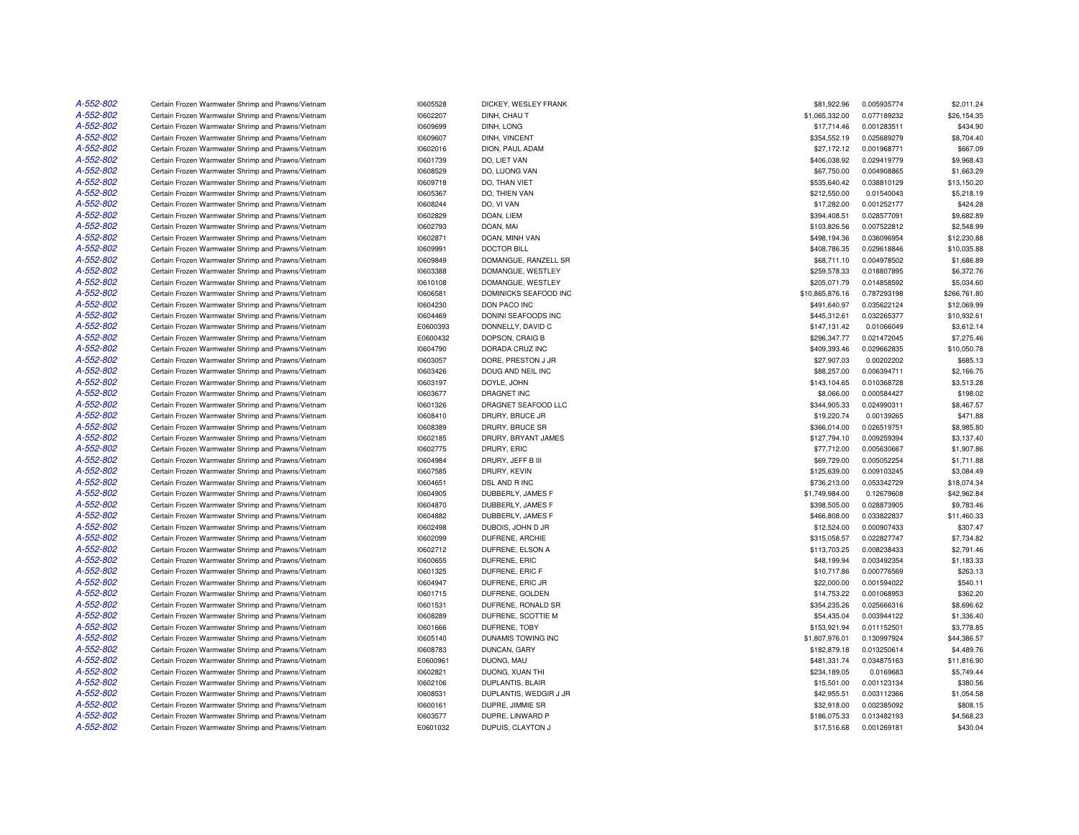| A-552-802 | Certain Frozen Warmwater Shrimp and Prawns/Vietnam | 10605528 | DICKEY, WESLEY FRANK   | \$81,922.96     | 0.005935774 | \$2,011.24   |
|-----------|----------------------------------------------------|----------|------------------------|-----------------|-------------|--------------|
| A-552-802 | Certain Frozen Warmwater Shrimp and Prawns/Vietnam | 10602207 | DINH, CHAU T           | \$1,065,332.00  | 0.077189232 | \$26,154.35  |
| A-552-802 | Certain Frozen Warmwater Shrimp and Prawns/Vietnam | 10609699 | DINH, LONG             | \$17,714.46     | 0.001283511 | \$434.90     |
| A-552-802 | Certain Frozen Warmwater Shrimp and Prawns/Vietnam | 10609607 | DINH, VINCENT          | \$354,552.19    | 0.025689279 | \$8,704.40   |
| A-552-802 | Certain Frozen Warmwater Shrimp and Prawns/Vietnam | 10602016 | DION, PAUL ADAM        | \$27,172.12     | 0.001968771 | \$667.09     |
| A-552-802 | Certain Frozen Warmwater Shrimp and Prawns/Vietnam | 10601739 | DO, LIET VAN           | \$406,038.92    | 0.029419779 | \$9,968.43   |
| A-552-802 | Certain Frozen Warmwater Shrimp and Prawns/Vietnam | 10608529 | DO, LUONG VAN          | \$67,750.00     | 0.004908865 | \$1,663.29   |
| A-552-802 | Certain Frozen Warmwater Shrimp and Prawns/Vietnam | 10609718 | DO. THAN VIET          | \$535.640.42    | 0.038810129 | \$13,150.20  |
| A-552-802 | Certain Frozen Warmwater Shrimp and Prawns/Vietnam | 10605367 | DO, THIEN VAN          | \$212,550.00    | 0.01540043  | \$5,218.19   |
| A-552-802 | Certain Frozen Warmwater Shrimp and Prawns/Vietnam | 10608244 | DO, VI VAN             | \$17,282.00     | 0.001252177 | \$424.28     |
| A-552-802 | Certain Frozen Warmwater Shrimp and Prawns/Vietnam | 10602829 | DOAN, LIEM             | \$394,408.51    | 0.028577091 | \$9,682.89   |
| A-552-802 | Certain Frozen Warmwater Shrimp and Prawns/Vietnam | 10602793 | DOAN, MAI              | \$103,826.56    | 0.007522812 | \$2,548.99   |
| A-552-802 | Certain Frozen Warmwater Shrimp and Prawns/Vietnam | 10602871 | DOAN, MINH VAN         | \$498,194.36    | 0.036096954 | \$12,230.88  |
| A-552-802 | Certain Frozen Warmwater Shrimp and Prawns/Vietnam | 10609991 | <b>DOCTOR BILL</b>     | \$408,786.35    | 0.029618846 | \$10,035.88  |
| A-552-802 | Certain Frozen Warmwater Shrimp and Prawns/Vietnam | 10609849 | DOMANGUE, RANZELL SR   | \$68,711.10     | 0.004978502 | \$1,686.89   |
| A-552-802 | Certain Frozen Warmwater Shrimp and Prawns/Vietnam | 10603388 | DOMANGUE, WESTLEY      | \$259,578.33    | 0.018807895 | \$6,372.76   |
| A-552-802 | Certain Frozen Warmwater Shrimp and Prawns/Vietnam | 10610108 | DOMANGUE, WESTLEY      | \$205,071.79    | 0.014858592 | \$5,034.60   |
| A-552-802 | Certain Frozen Warmwater Shrimp and Prawns/Vietnam | 10606581 | DOMINICKS SEAFOOD INC  | \$10,865,876.16 | 0.787293198 | \$266,761.80 |
| A-552-802 | Certain Frozen Warmwater Shrimp and Prawns/Vietnam | 10604230 | DON PACO INC           | \$491,640.97    | 0.035622124 | \$12,069.99  |
| A-552-802 | Certain Frozen Warmwater Shrimp and Prawns/Vietnam | 10604469 | DONINI SEAFOODS INC    | \$445,312.61    | 0.032265377 | \$10,932.61  |
| A-552-802 | Certain Frozen Warmwater Shrimp and Prawns/Vietnam | E0600393 | DONNELLY, DAVID C      | \$147,131.42    | 0.01066049  | \$3,612.14   |
| A-552-802 | Certain Frozen Warmwater Shrimp and Prawns/Vietnam | E0600432 | DOPSON, CRAIG B        | \$296,347.77    | 0.021472045 | \$7,275.46   |
| A-552-802 | Certain Frozen Warmwater Shrimp and Prawns/Vietnam | 10604790 | DORADA CRUZ INC        | \$409,393.46    | 0.029662835 | \$10,050.78  |
| A-552-802 | Certain Frozen Warmwater Shrimp and Prawns/Vietnam | 10603057 | DORE, PRESTON J JR     | \$27,907.03     | 0.00202202  | \$685.13     |
| A-552-802 | Certain Frozen Warmwater Shrimp and Prawns/Vietnam | 10603426 | DOUG AND NEIL INC      | \$88,257.00     | 0.006394711 | \$2,166.75   |
| A-552-802 | Certain Frozen Warmwater Shrimp and Prawns/Vietnam | 10603197 | DOYLE, JOHN            | \$143,104.65    | 0.010368728 | \$3,513.28   |
| A-552-802 | Certain Frozen Warmwater Shrimp and Prawns/Vietnam | 10603677 | DRAGNET INC            | \$8,066.00      | 0.000584427 | \$198.02     |
| A-552-802 | Certain Frozen Warmwater Shrimp and Prawns/Vietnam | 10601326 | DRAGNET SEAFOOD LLC    | \$344,905.33    | 0.024990311 | \$8,467.57   |
| A-552-802 | Certain Frozen Warmwater Shrimp and Prawns/Vietnam | 10608410 | DRURY, BRUCE JR        | \$19,220.74     | 0.00139265  | \$471.88     |
| A-552-802 | Certain Frozen Warmwater Shrimp and Prawns/Vietnam | 10608389 | DRURY, BRUCE SR        | \$366,014.00    | 0.026519751 | \$8,985.80   |
| A-552-802 | Certain Frozen Warmwater Shrimp and Prawns/Vietnam | 10602185 | DRURY, BRYANT JAMES    | \$127,794.10    | 0.009259394 | \$3,137.40   |
| A-552-802 | Certain Frozen Warmwater Shrimp and Prawns/Vietnam | 10602775 | DRURY, ERIC            | \$77,712.00     | 0.005630667 | \$1,907.86   |
| A-552-802 | Certain Frozen Warmwater Shrimp and Prawns/Vietnam | 10604984 | DRURY, JEFF B III      | \$69,729.00     | 0.005052254 | \$1,711.88   |
| A-552-802 | Certain Frozen Warmwater Shrimp and Prawns/Vietnam | 10607585 | DRURY, KEVIN           | \$125,639.00    | 0.009103245 | \$3,084.49   |
| A-552-802 | Certain Frozen Warmwater Shrimp and Prawns/Vietnam | 10604651 | DSL AND R INC          | \$736,213.00    | 0.053342729 | \$18,074.34  |
| A-552-802 | Certain Frozen Warmwater Shrimp and Prawns/Vietnam | 10604905 | DUBBERLY, JAMES F      | \$1,749,984.00  | 0.12679608  | \$42,962.84  |
| A-552-802 | Certain Frozen Warmwater Shrimp and Prawns/Vietnam | 10604870 | DUBBERLY, JAMES F      | \$398,505.00    | 0.028873905 | \$9,783.46   |
| A-552-802 | Certain Frozen Warmwater Shrimp and Prawns/Vietnam | 10604882 | DUBBERLY, JAMES F      | \$466,808.00    | 0.033822837 | \$11,460.33  |
| A-552-802 | Certain Frozen Warmwater Shrimp and Prawns/Vietnam | 10602498 | DUBOIS, JOHN D JR      | \$12,524.00     | 0.000907433 | \$307.47     |
| A-552-802 | Certain Frozen Warmwater Shrimp and Prawns/Vietnam | 10602099 | DUFRENE, ARCHIE        | \$315.058.57    | 0.022827747 | \$7,734.82   |
| A-552-802 | Certain Frozen Warmwater Shrimp and Prawns/Vietnam | 10602712 | DUFRENE, ELSON A       | \$113,703.25    | 0.008238433 | \$2,791.46   |
| A-552-802 | Certain Frozen Warmwater Shrimp and Prawns/Vietnam | 10600655 | DUFRENE, ERIC          | \$48,199.94     | 0.003492354 | \$1,183.33   |
| A-552-802 | Certain Frozen Warmwater Shrimp and Prawns/Vietnam | 10601325 | DUFRENE, ERIC F        | \$10,717.86     | 0.000776569 | \$263.13     |
| A-552-802 | Certain Frozen Warmwater Shrimp and Prawns/Vietnam | 10604947 | DUFRENE, ERIC JR       | \$22,000.00     | 0.001594022 | \$540.11     |
| A-552-802 | Certain Frozen Warmwater Shrimp and Prawns/Vietnam | 10601715 | DUFRENE, GOLDEN        | \$14,753.22     | 0.001068953 | \$362.20     |
| A-552-802 | Certain Frozen Warmwater Shrimp and Prawns/Vietnam | 10601531 | DUFRENE, RONALD SR     | \$354,235.26    | 0.025666316 | \$8,696.62   |
| A-552-802 | Certain Frozen Warmwater Shrimp and Prawns/Vietnam | 10608289 | DUFRENE, SCOTTIE M     | \$54,435.04     | 0.003944122 | \$1,336.40   |
| A-552-802 | Certain Frozen Warmwater Shrimp and Prawns/Vietnam | 10601666 | DUFRENE, TOBY          | \$153,921.94    | 0.011152501 | \$3,778.85   |
| A-552-802 | Certain Frozen Warmwater Shrimp and Prawns/Vietnam | 10605140 | DUNAMIS TOWING INC     | \$1,807,976.01  | 0.130997924 | \$44,386.57  |
| A-552-802 | Certain Frozen Warmwater Shrimp and Prawns/Vietnam | 10608783 | DUNCAN, GARY           | \$182,879.18    | 0.013250614 | \$4,489.76   |
| A-552-802 | Certain Frozen Warmwater Shrimp and Prawns/Vietnam | E0600961 | DUONG, MAU             | \$481,331.74    | 0.034875163 | \$11,816.90  |
| A-552-802 | Certain Frozen Warmwater Shrimp and Prawns/Vietnam | 10602821 | DUONG, XUAN THI        | \$234,189.05    | 0.0169683   | \$5,749.44   |
| A-552-802 | Certain Frozen Warmwater Shrimp and Prawns/Vietnam | 10602106 | DUPLANTIS, BLAIR       | \$15,501.00     | 0.001123134 | \$380.56     |
| A-552-802 | Certain Frozen Warmwater Shrimp and Prawns/Vietnam | 10608531 | DUPLANTIS, WEDGIR J JR | \$42,955.51     | 0.003112366 | \$1,054.58   |
| A-552-802 | Certain Frozen Warmwater Shrimp and Prawns/Vietnam | 10600161 | DUPRE, JIMMIE SR       | \$32,918.00     | 0.002385092 | \$808.15     |
| A-552-802 | Certain Frozen Warmwater Shrimp and Prawns/Vietnam | 10603577 | DUPRE, LINWARD P       | \$186,075.33    | 0.013482193 | \$4,568.23   |
| A-552-802 | Certain Frozen Warmwater Shrimp and Prawns/Vietnam | E0601032 | DUPUIS, CLAYTON J      | \$17,516.68     | 0.001269181 | \$430.04     |
|           |                                                    |          |                        |                 |             |              |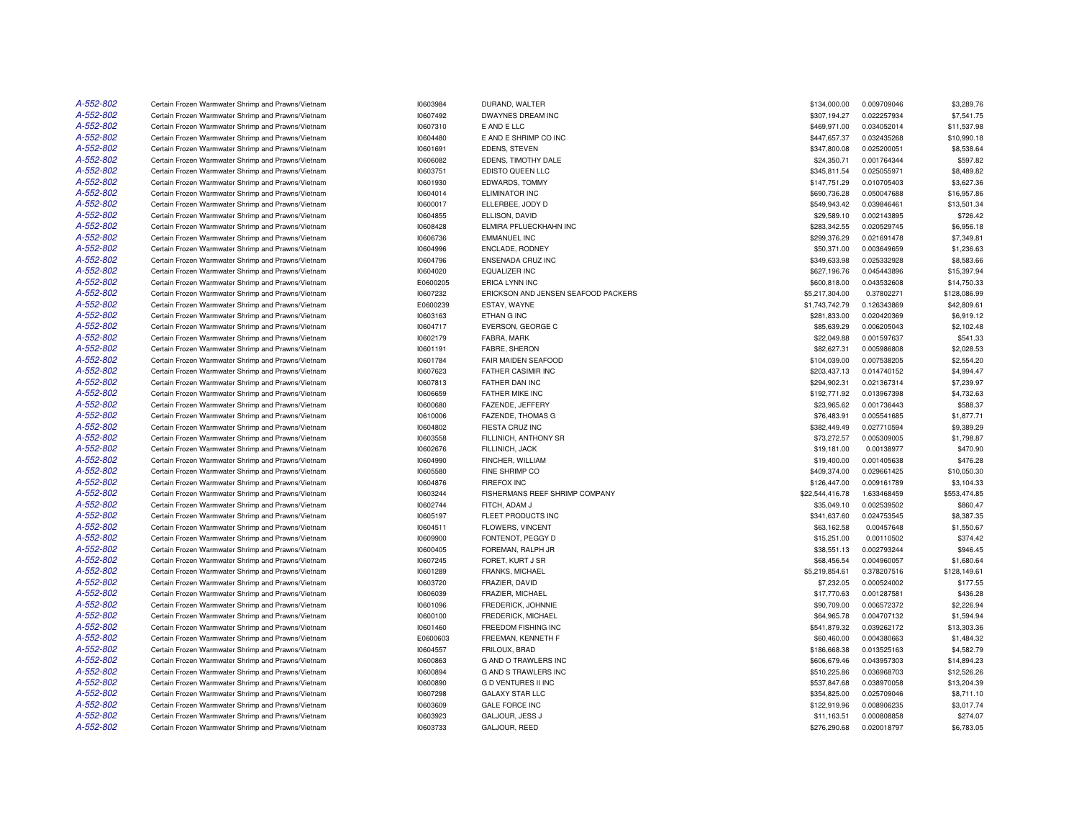| A-552-802 | Certain Frozen Warmwater Shrimp and Prawns/Vietnam                                                       | 10603984             | DURAND, WALTER                           | \$134,000.00                 | 0.009709046                | \$3,289.76                 |
|-----------|----------------------------------------------------------------------------------------------------------|----------------------|------------------------------------------|------------------------------|----------------------------|----------------------------|
| A-552-802 | Certain Frozen Warmwater Shrimp and Prawns/Vietnam                                                       | 10607492             | DWAYNES DREAM INC                        | \$307,194.27                 | 0.022257934                | \$7,541.75                 |
| A-552-802 | Certain Frozen Warmwater Shrimp and Prawns/Vietnam                                                       | 10607310             | E AND E LLC                              | \$469,971.00                 | 0.034052014                | \$11,537.98                |
| A-552-802 | Certain Frozen Warmwater Shrimp and Prawns/Vietnam                                                       | 10604480             | E AND E SHRIMP CO INC                    | \$447,657.37                 | 0.032435268                | \$10,990.18                |
| A-552-802 | Certain Frozen Warmwater Shrimp and Prawns/Vietnam                                                       | 10601691             | EDENS, STEVEN                            | \$347,800.08                 | 0.025200051                | \$8,538.64                 |
| A-552-802 | Certain Frozen Warmwater Shrimp and Prawns/Vietnam                                                       | 10606082             | EDENS, TIMOTHY DALE                      | \$24,350.71                  | 0.001764344                | \$597.82                   |
| A-552-802 | Certain Frozen Warmwater Shrimp and Prawns/Vietnam                                                       | 10603751             | EDISTO QUEEN LLC                         | \$345,811.54                 | 0.025055971                | \$8,489.82                 |
| A-552-802 | Certain Frozen Warmwater Shrimp and Prawns/Vietnam                                                       | 10601930             | EDWARDS, TOMMY                           | \$147,751.29                 | 0.010705403                | \$3,627.36                 |
| A-552-802 | Certain Frozen Warmwater Shrimp and Prawns/Vietnam                                                       | 10604014             | <b>ELIMINATOR INC</b>                    | \$690,736.28                 | 0.050047688                | \$16,957.86                |
| A-552-802 | Certain Frozen Warmwater Shrimp and Prawns/Vietnam                                                       | 10600017             | ELLERBEE, JODY D                         | \$549,943.42                 | 0.039846461                | \$13,501.34                |
| A-552-802 | Certain Frozen Warmwater Shrimp and Prawns/Vietnam                                                       | 10604855             | ELLISON, DAVID                           | \$29,589.10                  | 0.002143895                | \$726.42                   |
| A-552-802 | Certain Frozen Warmwater Shrimp and Prawns/Vietnam                                                       | 10608428             | ELMIRA PFLUECKHAHN INC                   | \$283,342.55                 | 0.020529745                | \$6,956.18                 |
| A-552-802 | Certain Frozen Warmwater Shrimp and Prawns/Vietnam                                                       | 10606736             | <b>EMMANUEL INC</b>                      | \$299,376.29                 | 0.021691478                | \$7,349.81                 |
| A-552-802 | Certain Frozen Warmwater Shrimp and Prawns/Vietnam                                                       | 10604996             | ENCLADE, RODNEY                          | \$50,371.00                  | 0.003649659                | \$1,236.63                 |
| A-552-802 | Certain Frozen Warmwater Shrimp and Prawns/Vietnam                                                       | 10604796             | ENSENADA CRUZ INC                        | \$349,633.98                 | 0.025332928                | \$8,583.66                 |
| A-552-802 | Certain Frozen Warmwater Shrimp and Prawns/Vietnam                                                       | 10604020             | <b>EQUALIZER INC</b>                     | \$627,196.76                 | 0.045443896                | \$15,397.94                |
| A-552-802 | Certain Frozen Warmwater Shrimp and Prawns/Vietnam                                                       | E0600205             | ERICA LYNN INC                           | \$600,818.00                 | 0.043532608                | \$14,750.33                |
| A-552-802 | Certain Frozen Warmwater Shrimp and Prawns/Vietnam                                                       | 10607232             | ERICKSON AND JENSEN SEAFOOD PACKERS      | \$5,217,304.00               | 0.37802271                 | \$128,086.99               |
| A-552-802 | Certain Frozen Warmwater Shrimp and Prawns/Vietnam                                                       | E0600239             | ESTAY, WAYNE                             | \$1,743,742.79               | 0.126343869                | \$42,809.61                |
| A-552-802 | Certain Frozen Warmwater Shrimp and Prawns/Vietnam                                                       | 10603163             | ETHAN G INC                              | \$281,833.00                 | 0.020420369                | \$6,919.12                 |
| A-552-802 | Certain Frozen Warmwater Shrimp and Prawns/Vietnam                                                       | 10604717             | EVERSON, GEORGE C                        | \$85,639.29                  | 0.006205043                | \$2,102.48                 |
| A-552-802 | Certain Frozen Warmwater Shrimp and Prawns/Vietnam                                                       | 10602179             | FABRA, MARK                              | \$22,049.88                  | 0.001597637                | \$541.33                   |
| A-552-802 | Certain Frozen Warmwater Shrimp and Prawns/Vietnam                                                       | 10601191             | FABRE, SHERON                            | \$82,627.31                  | 0.005986808                | \$2,028.53                 |
| A-552-802 | Certain Frozen Warmwater Shrimp and Prawns/Vietnam                                                       | 10601784             | <b>FAIR MAIDEN SEAFOOD</b>               | \$104,039.00                 | 0.007538205                | \$2,554.20                 |
| A-552-802 | Certain Frozen Warmwater Shrimp and Prawns/Vietnam                                                       | 10607623             | <b>FATHER CASIMIR INC</b>                | \$203,437.13                 | 0.014740152                | \$4,994.47                 |
| A-552-802 | Certain Frozen Warmwater Shrimp and Prawns/Vietnam                                                       | 10607813             | FATHER DAN INC                           | \$294,902.31                 | 0.021367314                | \$7,239.97                 |
| A-552-802 | Certain Frozen Warmwater Shrimp and Prawns/Vietnam                                                       | 10606659             | <b>FATHER MIKE INC</b>                   | \$192,771.92                 | 0.013967398                | \$4,732.63                 |
| A-552-802 | Certain Frozen Warmwater Shrimp and Prawns/Vietnam                                                       | 10600680             | FAZENDE, JEFFERY                         | \$23,965.62                  | 0.001736443                | \$588.37                   |
| A-552-802 | Certain Frozen Warmwater Shrimp and Prawns/Vietnam                                                       | 10610006             | FAZENDE, THOMAS G                        | \$76,483.91                  | 0.005541685                | \$1,877.71                 |
| A-552-802 | Certain Frozen Warmwater Shrimp and Prawns/Vietnam                                                       | 10604802             | FIESTA CRUZ INC                          | \$382,449.49                 | 0.027710594                | \$9,389.29                 |
| A-552-802 | Certain Frozen Warmwater Shrimp and Prawns/Vietnam                                                       | 10603558             | FILLINICH, ANTHONY SR                    | \$73,272.57                  | 0.005309005                | \$1,798.87                 |
| A-552-802 | Certain Frozen Warmwater Shrimp and Prawns/Vietnam                                                       | 10602676             | FILLINICH, JACK                          | \$19,181.00                  | 0.00138977                 | \$470.90                   |
| A-552-802 | Certain Frozen Warmwater Shrimp and Prawns/Vietnam                                                       | 10604990             | FINCHER, WILLIAM                         | \$19,400.00                  | 0.001405638                | \$476.28                   |
| A-552-802 | Certain Frozen Warmwater Shrimp and Prawns/Vietnam                                                       | 10605580             | FINE SHRIMP CO                           | \$409,374.00                 | 0.029661425                | \$10,050.30                |
| A-552-802 | Certain Frozen Warmwater Shrimp and Prawns/Vietnam                                                       | 10604876             | <b>FIREFOX INC</b>                       | \$126,447.00                 | 0.009161789                | \$3,104.33                 |
| A-552-802 | Certain Frozen Warmwater Shrimp and Prawns/Vietnam                                                       | 10603244             | FISHERMANS REEF SHRIMP COMPANY           | \$22,544,416.78              | 1.633468459                | \$553,474.85               |
| A-552-802 | Certain Frozen Warmwater Shrimp and Prawns/Vietnam                                                       | 10602744             | FITCH, ADAM J                            | \$35,049.10                  | 0.002539502                | \$860.47                   |
| A-552-802 | Certain Frozen Warmwater Shrimp and Prawns/Vietnam                                                       | 10605197             | FLEET PRODUCTS INC                       | \$341,637.60                 | 0.024753545                | \$8,387.35                 |
| A-552-802 | Certain Frozen Warmwater Shrimp and Prawns/Vietnam                                                       | 10604511             | FLOWERS, VINCENT                         | \$63,162.58                  | 0.00457648                 | \$1,550.67                 |
| A-552-802 | Certain Frozen Warmwater Shrimp and Prawns/Vietnam                                                       | 10609900             | FONTENOT, PEGGY D                        | \$15,251.00                  | 0.00110502                 | \$374.42                   |
| A-552-802 | Certain Frozen Warmwater Shrimp and Prawns/Vietnam                                                       | 10600405             | FOREMAN, RALPH JR                        | \$38,551.13                  | 0.002793244                | \$946.45                   |
| A-552-802 | Certain Frozen Warmwater Shrimp and Prawns/Vietnam                                                       | 10607245             | FORET, KURT J SR                         | \$68,456.54                  | 0.004960057                | \$1,680.64                 |
| A-552-802 | Certain Frozen Warmwater Shrimp and Prawns/Vietnam                                                       | 10601289             | <b>FRANKS, MICHAEL</b>                   | \$5,219,854.61               | 0.378207516                | \$128,149.61               |
| A-552-802 | Certain Frozen Warmwater Shrimp and Prawns/Vietnam                                                       | 10603720             | FRAZIER, DAVID                           | \$7,232.05                   | 0.000524002                | \$177.55                   |
| A-552-802 | Certain Frozen Warmwater Shrimp and Prawns/Vietnam                                                       | 10606039             | FRAZIER, MICHAEL                         | \$17,770.63                  | 0.001287581                | \$436.28                   |
| A-552-802 | Certain Frozen Warmwater Shrimp and Prawns/Vietnam                                                       | 10601096             | FREDERICK, JOHNNIE                       | \$90,709.00                  | 0.006572372                | \$2,226.94                 |
| A-552-802 | Certain Frozen Warmwater Shrimp and Prawns/Vietnam                                                       | 10600100             | FREDERICK, MICHAEL                       | \$64,965.78                  | 0.004707132                | \$1,594.94                 |
| A-552-802 | Certain Frozen Warmwater Shrimp and Prawns/Vietnam                                                       | 10601460             | FREEDOM FISHING INC                      | \$541,879.32                 | 0.039262172                | \$13,303.36                |
| A-552-802 | Certain Frozen Warmwater Shrimp and Prawns/Vietnam                                                       | E0600603             | FREEMAN, KENNETH F                       | \$60,460.00                  | 0.004380663                | \$1,484.32                 |
| A-552-802 | Certain Frozen Warmwater Shrimp and Prawns/Vietnam                                                       | 10604557             | FRILOUX, BRAD                            | \$186,668.38                 | 0.013525163                | \$4,582.79                 |
| A-552-802 | Certain Frozen Warmwater Shrimp and Prawns/Vietnam                                                       |                      | <b>G AND O TRAWLERS INC</b>              |                              | 0.043957303                |                            |
| A-552-802 | Certain Frozen Warmwater Shrimp and Prawns/Vietnam                                                       | 10600863<br>10600894 | <b>G AND S TRAWLERS INC</b>              | \$606,679.46<br>\$510,225.86 | 0.036968703                | \$14,894.23<br>\$12,526.26 |
| A-552-802 | Certain Frozen Warmwater Shrimp and Prawns/Vietnam                                                       | 10600890             | <b>GD VENTURES II INC</b>                | \$537,847.68                 | 0.038970058                | \$13,204.39                |
| A-552-802 |                                                                                                          | 10607298             | <b>GALAXY STAR LLC</b>                   | \$354,825.00                 | 0.025709046                | \$8,711.10                 |
| A-552-802 | Certain Frozen Warmwater Shrimp and Prawns/Vietnam                                                       |                      |                                          |                              |                            |                            |
| A-552-802 | Certain Frozen Warmwater Shrimp and Prawns/Vietnam<br>Certain Frozen Warmwater Shrimp and Prawns/Vietnam | 10603609<br>10603923 | <b>GALE FORCE INC</b><br>GALJOUR, JESS J | \$122,919.96                 | 0.008906235<br>0.000808858 | \$3,017.74<br>\$274.07     |
| A-552-802 | Certain Frozen Warmwater Shrimp and Prawns/Vietnam                                                       | 10603733             | GALJOUR, REED                            | \$11,163.51<br>\$276,290.68  | 0.020018797                | \$6,783.05                 |
|           |                                                                                                          |                      |                                          |                              |                            |                            |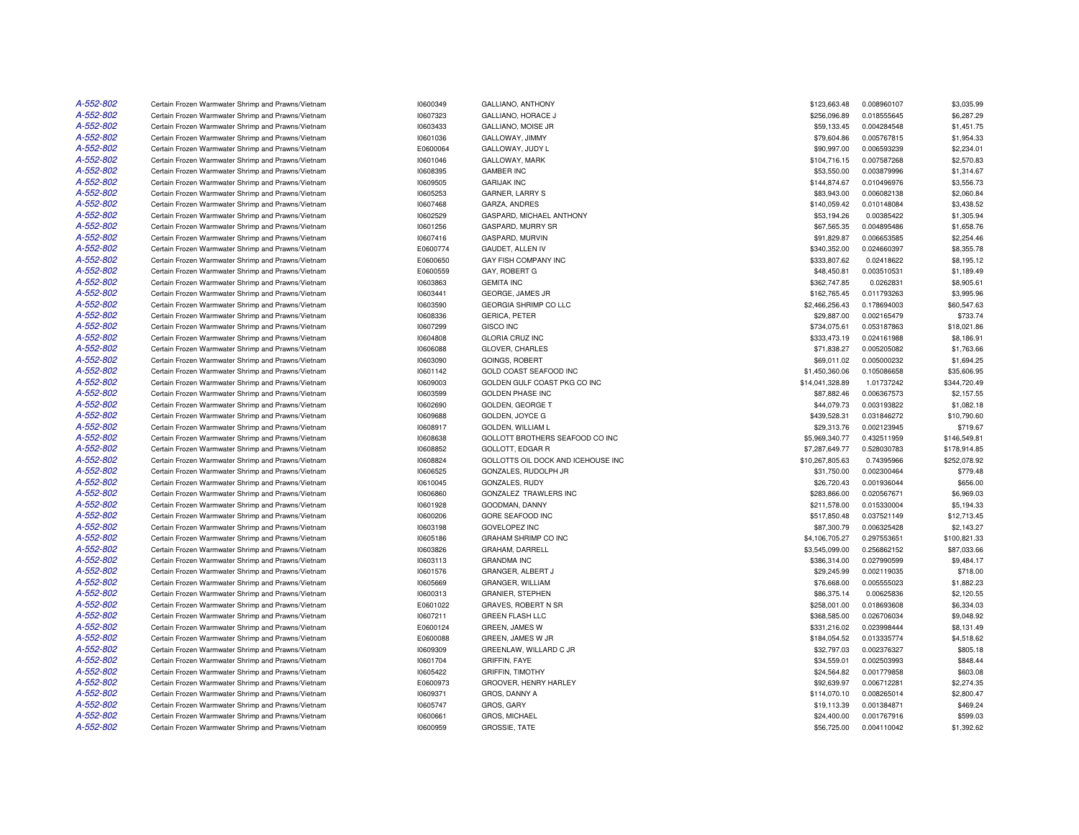| A-552-802 | Certain Frozen Warmwater Shrimp and Prawns/Vietnam                                                       | 10600349             | GALLIANO, ANTHONY                        | \$123,663.48               | 0.008960107                | \$3,035.99               |
|-----------|----------------------------------------------------------------------------------------------------------|----------------------|------------------------------------------|----------------------------|----------------------------|--------------------------|
| A-552-802 | Certain Frozen Warmwater Shrimp and Prawns/Vietnam                                                       | 10607323             | GALLIANO, HORACE J                       | \$256,096.89               | 0.018555645                | \$6,287.29               |
| A-552-802 | Certain Frozen Warmwater Shrimp and Prawns/Vietnam                                                       | 10603433             | GALLIANO, MOISE JR                       | \$59,133.45                | 0.004284548                | \$1,451.75               |
| A-552-802 | Certain Frozen Warmwater Shrimp and Prawns/Vietnam                                                       | 10601036             | GALLOWAY, JIMMY                          | \$79,604.86                | 0.005767815                | \$1,954.33               |
| A-552-802 | Certain Frozen Warmwater Shrimp and Prawns/Vietnam                                                       | E0600064             | GALLOWAY, JUDY L                         | \$90,997.00                | 0.006593239                | \$2,234.01               |
| A-552-802 | Certain Frozen Warmwater Shrimp and Prawns/Vietnam                                                       | 10601046             | GALLOWAY, MARK                           | \$104,716.15               | 0.007587268                | \$2,570.83               |
| A-552-802 | Certain Frozen Warmwater Shrimp and Prawns/Vietnam                                                       | 10608395             | <b>GAMBER INC</b>                        | \$53,550.00                | 0.003879996                | \$1,314.67               |
| A-552-802 | Certain Frozen Warmwater Shrimp and Prawns/Vietnam                                                       | 10609505             | <b>GARIJAK INC</b>                       | \$144,874.67               | 0.010496976                | \$3,556.73               |
| A-552-802 | Certain Frozen Warmwater Shrimp and Prawns/Vietnam                                                       | 10605253             | <b>GARNER, LARRY S</b>                   | \$83,943.00                | 0.006082138                | \$2,060.84               |
| A-552-802 | Certain Frozen Warmwater Shrimp and Prawns/Vietnam                                                       | 10607468             | GARZA, ANDRES                            | \$140,059.42               | 0.010148084                | \$3,438.52               |
| A-552-802 | Certain Frozen Warmwater Shrimp and Prawns/Vietnam                                                       | 10602529             | GASPARD, MICHAEL ANTHONY                 | \$53,194.26                | 0.00385422                 | \$1,305.94               |
| A-552-802 | Certain Frozen Warmwater Shrimp and Prawns/Vietnam                                                       | 10601256             | <b>GASPARD, MURRY SR</b>                 | \$67,565.35                | 0.004895486                | \$1,658.76               |
| A-552-802 | Certain Frozen Warmwater Shrimp and Prawns/Vietnam                                                       | 10607416             | GASPARD, MURVIN                          | \$91,829.87                | 0.006653585                | \$2,254.46               |
| A-552-802 | Certain Frozen Warmwater Shrimp and Prawns/Vietnam                                                       | E0600774             | GAUDET, ALLEN IV                         | \$340,352.00               | 0.024660397                | \$8,355.78               |
| A-552-802 | Certain Frozen Warmwater Shrimp and Prawns/Vietnam                                                       | E0600650             | <b>GAY FISH COMPANY INC</b>              | \$333,807.62               | 0.02418622                 | \$8,195.12               |
| A-552-802 | Certain Frozen Warmwater Shrimp and Prawns/Vietnam                                                       | E0600559             | GAY, ROBERT G                            | \$48,450.81                | 0.003510531                | \$1,189.49               |
| A-552-802 | Certain Frozen Warmwater Shrimp and Prawns/Vietnam                                                       | 10603863             | <b>GEMITA INC</b>                        | \$362,747.85               | 0.0262831                  | \$8,905.61               |
| A-552-802 | Certain Frozen Warmwater Shrimp and Prawns/Vietnam                                                       | 10603441             | GEORGE, JAMES JR                         | \$162,765.45               | 0.011793263                | \$3,995.96               |
| A-552-802 | Certain Frozen Warmwater Shrimp and Prawns/Vietnam                                                       | 10603590             | GEORGIA SHRIMP CO LLC                    | \$2,466,256.43             | 0.178694003                | \$60,547.63              |
| A-552-802 | Certain Frozen Warmwater Shrimp and Prawns/Vietnam                                                       | 10608336             | GERICA, PETER                            | \$29,887.00                | 0.002165479                | \$733.74                 |
| A-552-802 | Certain Frozen Warmwater Shrimp and Prawns/Vietnam                                                       | 10607299             | <b>GISCO INC</b>                         | \$734,075.61               | 0.053187863                | \$18,021.86              |
| A-552-802 | Certain Frozen Warmwater Shrimp and Prawns/Vietnam                                                       |                      |                                          | \$333,473.19               |                            | \$8,186.91               |
| A-552-802 |                                                                                                          | 10604808             | <b>GLORIA CRUZ INC</b>                   |                            | 0.024161988                |                          |
| A-552-802 | Certain Frozen Warmwater Shrimp and Prawns/Vietnam<br>Certain Frozen Warmwater Shrimp and Prawns/Vietnam | 10606088<br>10603090 | GLOVER, CHARLES<br><b>GOINGS, ROBERT</b> | \$71,838.27<br>\$69,011.02 | 0.005205082<br>0.005000232 | \$1,763.66<br>\$1,694.25 |
| A-552-802 | Certain Frozen Warmwater Shrimp and Prawns/Vietnam                                                       |                      | <b>GOLD COAST SEAFOOD INC</b>            |                            | 0.105086658                | \$35,606.95              |
| A-552-802 |                                                                                                          | 10601142             |                                          | \$1,450,360.06             |                            |                          |
|           | Certain Frozen Warmwater Shrimp and Prawns/Vietnam                                                       | 10609003             | GOLDEN GULF COAST PKG CO INC             | \$14,041,328.89            | 1.01737242                 | \$344,720.49             |
| A-552-802 | Certain Frozen Warmwater Shrimp and Prawns/Vietnam                                                       | 10603599             | <b>GOLDEN PHASE INC</b>                  | \$87,882.46                | 0.006367573                | \$2,157.55               |
| A-552-802 | Certain Frozen Warmwater Shrimp and Prawns/Vietnam                                                       | 10602690             | GOLDEN, GEORGE T                         | \$44,079.73                | 0.003193822                | \$1,082.18               |
| A-552-802 | Certain Frozen Warmwater Shrimp and Prawns/Vietnam                                                       | 10609688             | GOLDEN, JOYCE G                          | \$439,528.31               | 0.031846272                | \$10,790.60              |
| A-552-802 | Certain Frozen Warmwater Shrimp and Prawns/Vietnam                                                       | 10608917             | <b>GOLDEN, WILLIAM L</b>                 | \$29,313.76                | 0.002123945                | \$719.67                 |
| A-552-802 | Certain Frozen Warmwater Shrimp and Prawns/Vietnam                                                       | 10608638             | GOLLOTT BROTHERS SEAFOOD CO INC          | \$5,969,340.77             | 0.432511959                | \$146,549.81             |
| A-552-802 | Certain Frozen Warmwater Shrimp and Prawns/Vietnam                                                       | 10608852             | GOLLOTT, EDGAR R                         | \$7,287,649.77             | 0.528030783                | \$178,914.85             |
| A-552-802 | Certain Frozen Warmwater Shrimp and Prawns/Vietnam                                                       | 10608824             | GOLLOTTS OIL DOCK AND ICEHOUSE INC       | \$10,267,805.63            | 0.74395966                 | \$252,078.92             |
| A-552-802 | Certain Frozen Warmwater Shrimp and Prawns/Vietnam                                                       | 10606525             | GONZALES, RUDOLPH JR                     | \$31,750.00                | 0.002300464                | \$779.48                 |
| A-552-802 | Certain Frozen Warmwater Shrimp and Prawns/Vietnam                                                       | 10610045             | GONZALES, RUDY                           | \$26,720.43                | 0.001936044                | \$656.00                 |
| A-552-802 | Certain Frozen Warmwater Shrimp and Prawns/Vietnam                                                       | 10606860             | GONZALEZ TRAWLERS INC                    | \$283,866.00               | 0.020567671                | \$6,969.03               |
| A-552-802 | Certain Frozen Warmwater Shrimp and Prawns/Vietnam                                                       | 10601928             | GOODMAN, DANNY                           | \$211,578.00               | 0.015330004                | \$5,194.33               |
| A-552-802 | Certain Frozen Warmwater Shrimp and Prawns/Vietnam                                                       | 10600206             | <b>GORE SEAFOOD INC</b>                  | \$517,850.48               | 0.037521149                | \$12,713.45              |
| A-552-802 | Certain Frozen Warmwater Shrimp and Prawns/Vietnam                                                       | 10603198             | <b>GOVELOPEZ INC</b>                     | \$87,300.79                | 0.006325428                | \$2,143.27               |
| A-552-802 | Certain Frozen Warmwater Shrimp and Prawns/Vietnam                                                       | 10605186             | <b>GRAHAM SHRIMP CO INC</b>              | \$4,106,705.27             | 0.297553651                | \$100,821.33             |
| A-552-802 | Certain Frozen Warmwater Shrimp and Prawns/Vietnam                                                       | 10603826             | GRAHAM, DARRELL                          | \$3,545,099.00             | 0.256862152                | \$87,033.66              |
| A-552-802 | Certain Frozen Warmwater Shrimp and Prawns/Vietnam                                                       | 10603113             | <b>GRANDMA INC</b>                       | \$386,314.00               | 0.027990599                | \$9,484.17               |
| A-552-802 | Certain Frozen Warmwater Shrimp and Prawns/Vietnam                                                       | 10601576             | GRANGER, ALBERT J                        | \$29,245.99                | 0.002119035                | \$718.00                 |
| A-552-802 | Certain Frozen Warmwater Shrimp and Prawns/Vietnam                                                       | 10605669             | GRANGER, WILLIAM                         | \$76,668.00                | 0.005555023                | \$1,882.23               |
| A-552-802 | Certain Frozen Warmwater Shrimp and Prawns/Vietnam                                                       | 10600313             | <b>GRANIER, STEPHEN</b>                  | \$86,375.14                | 0.00625836                 | \$2,120.55               |
| A-552-802 | Certain Frozen Warmwater Shrimp and Prawns/Vietnam                                                       | E0601022             | GRAVES, ROBERT N SR                      | \$258,001.00               | 0.018693608                | \$6,334.03               |
| A-552-802 | Certain Frozen Warmwater Shrimp and Prawns/Vietnam                                                       | 10607211             | <b>GREEN FLASH LLC</b>                   | \$368,585.00               | 0.026706034                | \$9,048.92               |
| A-552-802 | Certain Frozen Warmwater Shrimp and Prawns/Vietnam                                                       | E0600124             | GREEN, JAMES W                           | \$331,216.02               | 0.023998444                | \$8,131.49               |
| A-552-802 | Certain Frozen Warmwater Shrimp and Prawns/Vietnam                                                       | E0600088             | GREEN, JAMES W JR                        | \$184,054.52               | 0.013335774                | \$4,518.62               |
| A-552-802 | Certain Frozen Warmwater Shrimp and Prawns/Vietnam                                                       | 10609309             | GREENLAW, WILLARD C JR                   | \$32,797.03                | 0.002376327                | \$805.18                 |
| A-552-802 | Certain Frozen Warmwater Shrimp and Prawns/Vietnam                                                       | 10601704             | <b>GRIFFIN, FAYE</b>                     | \$34,559.01                | 0.002503993                | \$848.44                 |
| A-552-802 | Certain Frozen Warmwater Shrimp and Prawns/Vietnam                                                       | 10605422             | <b>GRIFFIN, TIMOTHY</b>                  | \$24,564.82                | 0.001779858                | \$603.08                 |
| A-552-802 | Certain Frozen Warmwater Shrimp and Prawns/Vietnam                                                       | E0600973             | GROOVER, HENRY HARLEY                    | \$92,639.97                | 0.006712281                | \$2,274.35               |
| A-552-802 | Certain Frozen Warmwater Shrimp and Prawns/Vietnam                                                       | 10609371             | GROS, DANNY A                            | \$114,070.10               | 0.008265014                | \$2,800.47               |
| A-552-802 | Certain Frozen Warmwater Shrimp and Prawns/Vietnam                                                       | 10605747             | GROS, GARY                               | \$19,113.39                | 0.001384871                | \$469.24                 |
| A-552-802 | Certain Frozen Warmwater Shrimp and Prawns/Vietnam                                                       | 10600661             | GROS, MICHAEL                            | \$24,400.00                | 0.001767916                | \$599.03                 |
| A-552-802 | Certain Frozen Warmwater Shrimp and Prawns/Vietnam                                                       | 10600959             | <b>GROSSIE, TATE</b>                     | \$56,725.00                | 0.004110042                | \$1,392.62               |
|           |                                                                                                          |                      |                                          |                            |                            |                          |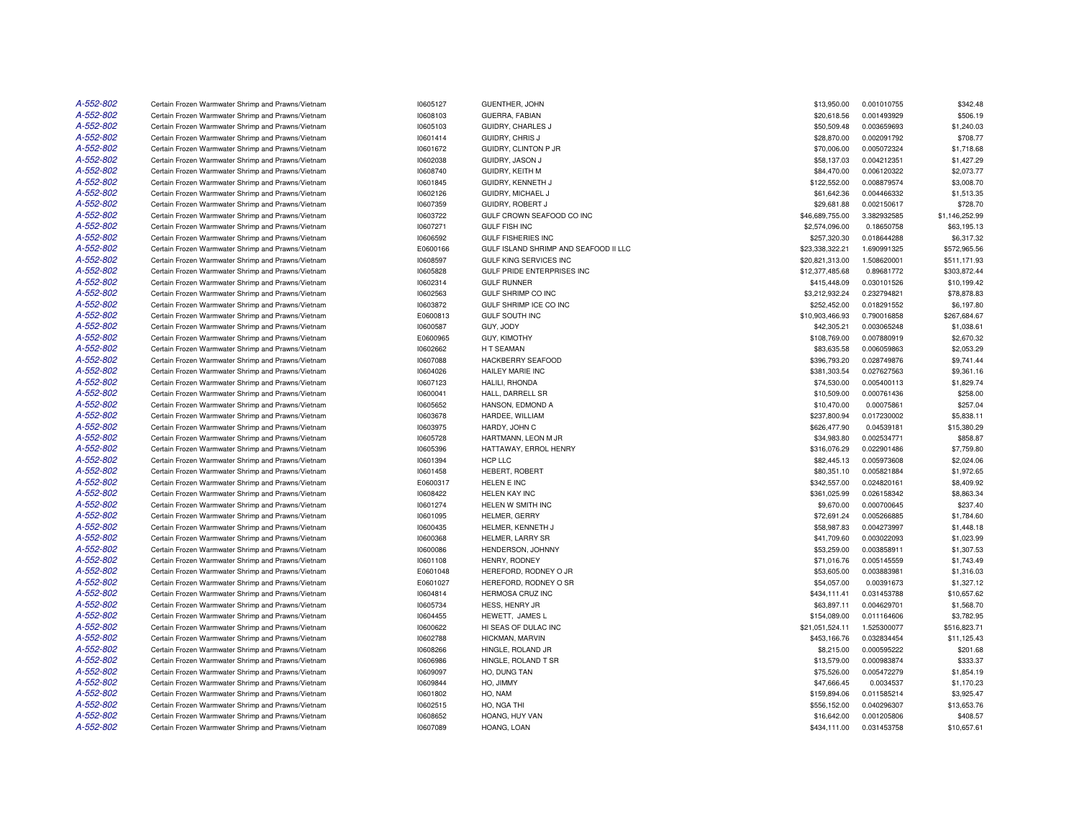| A-552-802 | Certain Frozen Warmwater Shrimp and Prawns/Vietnam | 10605127 | <b>GUENTHER, JOHN</b>                 | \$13,950.00     | 0.001010755 | \$342.48       |
|-----------|----------------------------------------------------|----------|---------------------------------------|-----------------|-------------|----------------|
| A-552-802 | Certain Frozen Warmwater Shrimp and Prawns/Vietnam | 10608103 | GUERRA, FABIAN                        | \$20,618.56     | 0.001493929 | \$506.19       |
| A-552-802 | Certain Frozen Warmwater Shrimp and Prawns/Vietnam | 10605103 | GUIDRY, CHARLES J                     | \$50,509.48     | 0.003659693 | \$1,240.03     |
| A-552-802 | Certain Frozen Warmwater Shrimp and Prawns/Vietnam | 10601414 | GUIDRY, CHRIS J                       | \$28,870.00     | 0.002091792 | \$708.77       |
| A-552-802 | Certain Frozen Warmwater Shrimp and Prawns/Vietnam | 10601672 | GUIDRY, CLINTON P JR                  | \$70,006.00     | 0.005072324 | \$1,718.68     |
| A-552-802 | Certain Frozen Warmwater Shrimp and Prawns/Vietnam | 10602038 | GUIDRY, JASON J                       | \$58,137.03     | 0.004212351 | \$1,427.29     |
| A-552-802 | Certain Frozen Warmwater Shrimp and Prawns/Vietnam | 10608740 | GUIDRY, KEITH M                       | \$84,470.00     | 0.006120322 | \$2,073.77     |
| A-552-802 | Certain Frozen Warmwater Shrimp and Prawns/Vietnam | 10601845 | GUIDRY, KENNETH J                     | \$122,552.00    | 0.008879574 | \$3,008.70     |
| A-552-802 | Certain Frozen Warmwater Shrimp and Prawns/Vietnam | 10602126 | GUIDRY, MICHAEL J                     | \$61,642.36     | 0.004466332 | \$1,513.35     |
| A-552-802 | Certain Frozen Warmwater Shrimp and Prawns/Vietnam | 10607359 | GUIDRY, ROBERT J                      | \$29,681.88     | 0.002150617 | \$728.70       |
| A-552-802 | Certain Frozen Warmwater Shrimp and Prawns/Vietnam | 10603722 | GULF CROWN SEAFOOD CO INC             | \$46,689,755.00 | 3.382932585 | \$1,146,252.99 |
| A-552-802 | Certain Frozen Warmwater Shrimp and Prawns/Vietnam | 10607271 | <b>GULF FISH INC</b>                  | \$2,574,096.00  | 0.18650758  | \$63,195.13    |
| A-552-802 | Certain Frozen Warmwater Shrimp and Prawns/Vietnam | 10606592 | <b>GULF FISHERIES INC</b>             | \$257,320.30    | 0.018644288 | \$6,317.32     |
| A-552-802 | Certain Frozen Warmwater Shrimp and Prawns/Vietnam | E0600166 | GULF ISLAND SHRIMP AND SEAFOOD II LLC | \$23,338,322.21 | 1.690991325 | \$572,965.56   |
| A-552-802 | Certain Frozen Warmwater Shrimp and Prawns/Vietnam | 10608597 | <b>GULF KING SERVICES INC</b>         | \$20,821,313.00 | 1.508620001 | \$511.171.93   |
| A-552-802 |                                                    |          |                                       |                 |             |                |
| A-552-802 | Certain Frozen Warmwater Shrimp and Prawns/Vietnam | 10605828 | GULF PRIDE ENTERPRISES INC            | \$12,377,485.68 | 0.89681772  | \$303,872.44   |
|           | Certain Frozen Warmwater Shrimp and Prawns/Vietnam | 10602314 | <b>GULF RUNNER</b>                    | \$415,448.09    | 0.030101526 | \$10,199.42    |
| A-552-802 | Certain Frozen Warmwater Shrimp and Prawns/Vietnam | 10602563 | <b>GULF SHRIMP CO INC</b>             | \$3,212,932.24  | 0.232794821 | \$78,878.83    |
| A-552-802 | Certain Frozen Warmwater Shrimp and Prawns/Vietnam | 10603872 | GULF SHRIMP ICE CO INC                | \$252,452.00    | 0.018291552 | \$6,197.80     |
| A-552-802 | Certain Frozen Warmwater Shrimp and Prawns/Vietnam | E0600813 | <b>GULF SOUTH INC</b>                 | \$10,903,466.93 | 0.790016858 | \$267,684.67   |
| A-552-802 | Certain Frozen Warmwater Shrimp and Prawns/Vietnam | 10600587 | GUY, JODY                             | \$42,305.21     | 0.003065248 | \$1,038.61     |
| A-552-802 | Certain Frozen Warmwater Shrimp and Prawns/Vietnam | E0600965 | <b>GUY, KIMOTHY</b>                   | \$108,769.00    | 0.007880919 | \$2,670.32     |
| A-552-802 | Certain Frozen Warmwater Shrimp and Prawns/Vietnam | 10602662 | H T SEAMAN                            | \$83,635.58     | 0.006059863 | \$2,053.29     |
| A-552-802 | Certain Frozen Warmwater Shrimp and Prawns/Vietnam | 10607088 | HACKBERRY SEAFOOD                     | \$396,793.20    | 0.028749876 | \$9,741.44     |
| A-552-802 | Certain Frozen Warmwater Shrimp and Prawns/Vietnam | 10604026 | <b>HAILEY MARIE INC</b>               | \$381,303.54    | 0.027627563 | \$9,361.16     |
| A-552-802 | Certain Frozen Warmwater Shrimp and Prawns/Vietnam | 10607123 | HALILI. RHONDA                        | \$74,530.00     | 0.005400113 | \$1,829.74     |
| A-552-802 | Certain Frozen Warmwater Shrimp and Prawns/Vietnam | 10600041 | HALL, DARRELL SR                      | \$10,509.00     | 0.000761436 | \$258.00       |
| A-552-802 | Certain Frozen Warmwater Shrimp and Prawns/Vietnam | 10605652 | HANSON, EDMOND A                      | \$10,470.00     | 0.00075861  | \$257.04       |
| A-552-802 | Certain Frozen Warmwater Shrimp and Prawns/Vietnam | 10603678 | HARDEE, WILLIAM                       | \$237,800.94    | 0.017230002 | \$5,838.11     |
| A-552-802 | Certain Frozen Warmwater Shrimp and Prawns/Vietnam | 10603975 | HARDY, JOHN C                         | \$626,477.90    | 0.04539181  | \$15,380,29    |
| A-552-802 | Certain Frozen Warmwater Shrimp and Prawns/Vietnam | 10605728 | HARTMANN, LEON M JR                   | \$34,983.80     | 0.002534771 | \$858.87       |
| A-552-802 | Certain Frozen Warmwater Shrimp and Prawns/Vietnam | 10605396 | HATTAWAY, ERROL HENRY                 | \$316,076.29    | 0.022901486 | \$7,759.80     |
| A-552-802 | Certain Frozen Warmwater Shrimp and Prawns/Vietnam | 10601394 | HCP LLC                               | \$82,445.13     | 0.005973608 | \$2,024.06     |
| A-552-802 | Certain Frozen Warmwater Shrimp and Prawns/Vietnam | 10601458 | HEBERT, ROBERT                        | \$80,351.10     | 0.005821884 | \$1,972.65     |
| A-552-802 | Certain Frozen Warmwater Shrimp and Prawns/Vietnam | E0600317 | HELEN E INC                           | \$342,557.00    | 0.024820161 | \$8,409.92     |
| A-552-802 | Certain Frozen Warmwater Shrimp and Prawns/Vietnam | 10608422 | <b>HELEN KAY INC</b>                  | \$361,025.99    | 0.026158342 | \$8,863.34     |
| A-552-802 | Certain Frozen Warmwater Shrimp and Prawns/Vietnam | 10601274 | HELEN W SMITH INC                     | \$9,670.00      | 0.000700645 | \$237.40       |
| A-552-802 | Certain Frozen Warmwater Shrimp and Prawns/Vietnam | 10601095 | HELMER, GERRY                         | \$72,691.24     | 0.005266885 | \$1,784.60     |
| A-552-802 | Certain Frozen Warmwater Shrimp and Prawns/Vietnam | 10600435 | HELMER, KENNETH J                     | \$58,987.83     | 0.004273997 | \$1,448.18     |
| A-552-802 | Certain Frozen Warmwater Shrimp and Prawns/Vietnam | 10600368 | HELMER, LARRY SR                      | \$41,709.60     | 0.003022093 | \$1,023.99     |
| A-552-802 | Certain Frozen Warmwater Shrimp and Prawns/Vietnam | 10600086 | HENDERSON, JOHNNY                     | \$53,259.00     | 0.003858911 | \$1,307.53     |
| A-552-802 | Certain Frozen Warmwater Shrimp and Prawns/Vietnam | 10601108 | HENRY, RODNEY                         | \$71,016.76     | 0.005145559 | \$1,743.49     |
| A-552-802 | Certain Frozen Warmwater Shrimp and Prawns/Vietnam | E0601048 | HEREFORD, RODNEY O JR                 | \$53,605.00     | 0.003883981 | \$1,316.03     |
| A-552-802 | Certain Frozen Warmwater Shrimp and Prawns/Vietnam | E0601027 | HEREFORD, RODNEY O SR                 | \$54,057.00     | 0.00391673  | \$1,327.12     |
| A-552-802 | Certain Frozen Warmwater Shrimp and Prawns/Vietnam | 10604814 | HERMOSA CRUZ INC                      | \$434,111.41    | 0.031453788 | \$10,657.62    |
| A-552-802 | Certain Frozen Warmwater Shrimp and Prawns/Vietnam | 10605734 | HESS, HENRY JR                        | \$63,897.11     | 0.004629701 | \$1,568.70     |
| A-552-802 | Certain Frozen Warmwater Shrimp and Prawns/Vietnam | 10604455 | HEWETT. JAMES L                       | \$154,089.00    | 0.011164606 | \$3,782.95     |
| A-552-802 | Certain Frozen Warmwater Shrimp and Prawns/Vietnam | 10600622 | HI SEAS OF DULAC INC                  | \$21,051,524.11 | 1.525300077 | \$516,823.71   |
| A-552-802 | Certain Frozen Warmwater Shrimp and Prawns/Vietnam | 10602788 | HICKMAN, MARVIN                       | \$453,166.76    | 0.032834454 | \$11,125.43    |
| A-552-802 | Certain Frozen Warmwater Shrimp and Prawns/Vietnam | 10608266 | HINGLE, ROLAND JR                     | \$8,215.00      | 0.000595222 | \$201.68       |
| A-552-802 | Certain Frozen Warmwater Shrimp and Prawns/Vietnam | 10606986 | HINGLE, ROLAND T SR                   | \$13,579.00     | 0.000983874 | \$333.37       |
| A-552-802 | Certain Frozen Warmwater Shrimp and Prawns/Vietnam | 10609097 | HO, DUNG TAN                          | \$75,526.00     | 0.005472279 | \$1,854.19     |
| A-552-802 |                                                    |          |                                       |                 |             |                |
| A-552-802 | Certain Frozen Warmwater Shrimp and Prawns/Vietnam | 10609844 | HO, JIMMY                             | \$47,666.45     | 0.0034537   | \$1,170.23     |
|           | Certain Frozen Warmwater Shrimp and Prawns/Vietnam | 10601802 | HO, NAM                               | \$159,894.06    | 0.011585214 | \$3,925.47     |
| A-552-802 | Certain Frozen Warmwater Shrimp and Prawns/Vietnam | 10602515 | HO, NGA THI                           | \$556,152.00    | 0.040296307 | \$13,653.76    |
| A-552-802 | Certain Frozen Warmwater Shrimp and Prawns/Vietnam | 10608652 | HOANG, HUY VAN                        | \$16,642.00     | 0.001205806 | \$408.57       |
| A-552-802 | Certain Frozen Warmwater Shrimp and Prawns/Vietnam | 10607089 | HOANG, LOAN                           | \$434,111.00    | 0.031453758 | \$10,657.61    |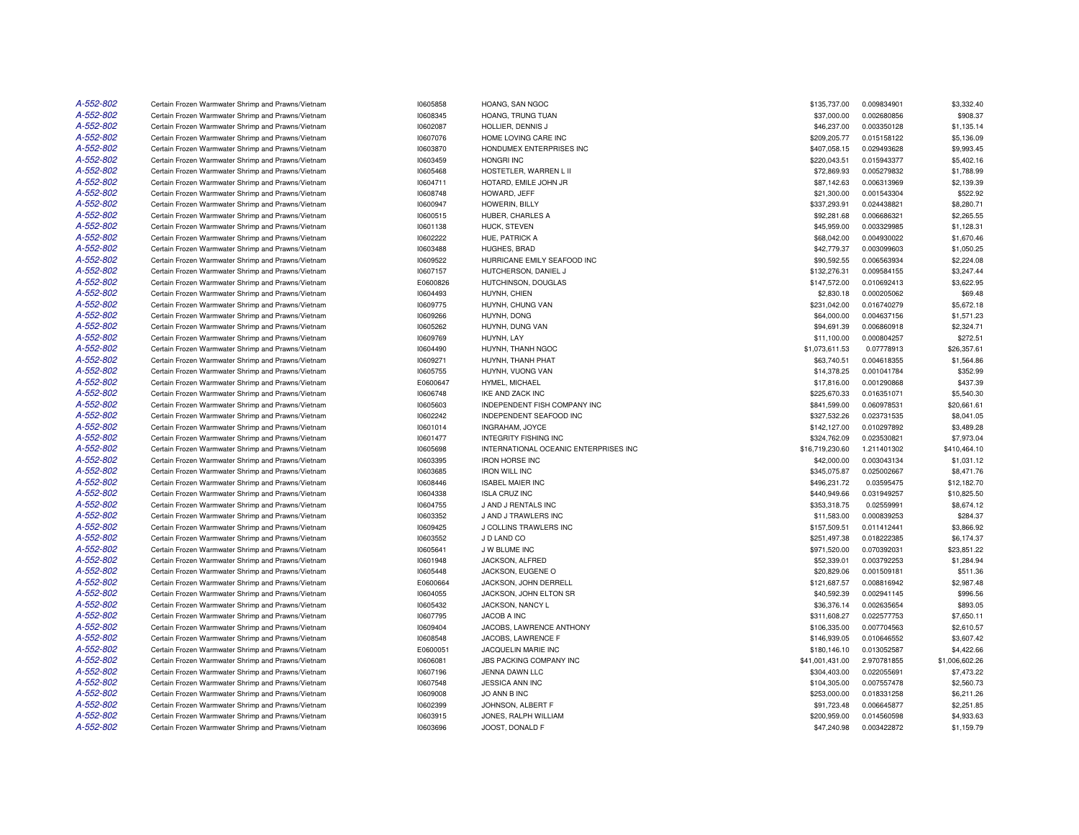| A-552-802 | Certain Frozen Warmwater Shrimp and Prawns/Vietnam | 10605858 | HOANG, SAN NGOC                       | \$135,737.00    | 0.009834901 | \$3,332.40     |
|-----------|----------------------------------------------------|----------|---------------------------------------|-----------------|-------------|----------------|
| A-552-802 | Certain Frozen Warmwater Shrimp and Prawns/Vietnam | 10608345 | HOANG, TRUNG TUAN                     | \$37,000.00     | 0.002680856 | \$908.37       |
| A-552-802 | Certain Frozen Warmwater Shrimp and Prawns/Vietnam | 10602087 | HOLLIER, DENNIS J                     | \$46,237.00     | 0.003350128 | \$1,135.14     |
| A-552-802 | Certain Frozen Warmwater Shrimp and Prawns/Vietnam | 10607076 | HOME LOVING CARE INC                  | \$209,205.77    | 0.015158122 | \$5,136.09     |
| A-552-802 | Certain Frozen Warmwater Shrimp and Prawns/Vietnam | 10603870 | HONDUMEX ENTERPRISES INC              | \$407,058.15    | 0.029493628 | \$9,993.45     |
| A-552-802 | Certain Frozen Warmwater Shrimp and Prawns/Vietnam | 10603459 | <b>HONGRI INC</b>                     | \$220,043.51    | 0.015943377 | \$5,402.16     |
| A-552-802 | Certain Frozen Warmwater Shrimp and Prawns/Vietnam | 10605468 | HOSTETLER, WARREN L II                | \$72,869.93     | 0.005279832 | \$1,788.99     |
| A-552-802 | Certain Frozen Warmwater Shrimp and Prawns/Vietnam | 10604711 | HOTARD, EMILE JOHN JR                 | \$87,142.63     | 0.006313969 | \$2,139.39     |
| A-552-802 | Certain Frozen Warmwater Shrimp and Prawns/Vietnam | 10608748 | HOWARD, JEFF                          | \$21,300.00     | 0.001543304 | \$522.92       |
| A-552-802 | Certain Frozen Warmwater Shrimp and Prawns/Vietnam | 10600947 | HOWERIN, BILLY                        | \$337,293.91    | 0.024438821 | \$8,280.71     |
| A-552-802 | Certain Frozen Warmwater Shrimp and Prawns/Vietnam | 10600515 | HUBER, CHARLES A                      | \$92,281.68     | 0.006686321 | \$2,265.55     |
| A-552-802 | Certain Frozen Warmwater Shrimp and Prawns/Vietnam | 10601138 | HUCK, STEVEN                          | \$45,959.00     | 0.003329985 | \$1,128.31     |
| A-552-802 | Certain Frozen Warmwater Shrimp and Prawns/Vietnam | 10602222 | HUE, PATRICK A                        | \$68,042.00     | 0.004930022 | \$1,670.46     |
| A-552-802 | Certain Frozen Warmwater Shrimp and Prawns/Vietnam | 10603488 | HUGHES, BRAD                          | \$42,779.37     | 0.003099603 | \$1,050.25     |
| A-552-802 | Certain Frozen Warmwater Shrimp and Prawns/Vietnam | 10609522 | HURRICANE EMILY SEAFOOD INC           | \$90,592.55     | 0.006563934 | \$2,224.08     |
| A-552-802 | Certain Frozen Warmwater Shrimp and Prawns/Vietnam | 10607157 | HUTCHERSON, DANIEL J                  | \$132,276.31    | 0.009584155 | \$3,247.44     |
| A-552-802 | Certain Frozen Warmwater Shrimp and Prawns/Vietnam | E0600826 | HUTCHINSON, DOUGLAS                   | \$147,572.00    | 0.010692413 | \$3,622.95     |
| A-552-802 | Certain Frozen Warmwater Shrimp and Prawns/Vietnam | 10604493 | HUYNH, CHIEN                          | \$2,830.18      | 0.000205062 | \$69.48        |
| A-552-802 | Certain Frozen Warmwater Shrimp and Prawns/Vietnam | 10609775 | HUYNH, CHUNG VAN                      | \$231,042.00    | 0.016740279 | \$5,672.18     |
| A-552-802 | Certain Frozen Warmwater Shrimp and Prawns/Vietnam | 10609266 | HUYNH, DONG                           | \$64,000.00     | 0.004637156 | \$1,571.23     |
| A-552-802 | Certain Frozen Warmwater Shrimp and Prawns/Vietnam | 10605262 | HUYNH, DUNG VAN                       | \$94,691.39     | 0.006860918 | \$2,324.71     |
| A-552-802 | Certain Frozen Warmwater Shrimp and Prawns/Vietnam | 10609769 | HUYNH, LAY                            | \$11,100.00     | 0.000804257 | \$272.51       |
| A-552-802 | Certain Frozen Warmwater Shrimp and Prawns/Vietnam | 10604490 | HUYNH, THANH NGOC                     | \$1,073,611.53  | 0.07778913  | \$26,357.61    |
| A-552-802 | Certain Frozen Warmwater Shrimp and Prawns/Vietnam | 10609271 | HUYNH, THANH PHAT                     | \$63,740.51     | 0.004618355 | \$1,564.86     |
| A-552-802 | Certain Frozen Warmwater Shrimp and Prawns/Vietnam | 10605755 | HUYNH, VUONG VAN                      | \$14,378.25     | 0.001041784 | \$352.99       |
| A-552-802 | Certain Frozen Warmwater Shrimp and Prawns/Vietnam | E0600647 | HYMEL, MICHAEL                        | \$17,816.00     | 0.001290868 | \$437.39       |
| A-552-802 | Certain Frozen Warmwater Shrimp and Prawns/Vietnam | 10606748 | IKE AND ZACK INC                      | \$225,670.33    | 0.016351071 | \$5,540.30     |
| A-552-802 | Certain Frozen Warmwater Shrimp and Prawns/Vietnam | 10605603 | INDEPENDENT FISH COMPANY INC          | \$841,599.00    | 0.060978531 | \$20,661.61    |
| A-552-802 | Certain Frozen Warmwater Shrimp and Prawns/Vietnam | 10602242 | INDEPENDENT SEAFOOD INC               | \$327,532.26    | 0.023731535 | \$8,041.05     |
| A-552-802 | Certain Frozen Warmwater Shrimp and Prawns/Vietnam | 10601014 | INGRAHAM, JOYCE                       | \$142,127.00    | 0.010297892 | \$3,489.28     |
| A-552-802 | Certain Frozen Warmwater Shrimp and Prawns/Vietnam | 10601477 | INTEGRITY FISHING INC                 | \$324,762.09    | 0.023530821 | \$7,973.04     |
| A-552-802 | Certain Frozen Warmwater Shrimp and Prawns/Vietnam | 10605698 | INTERNATIONAL OCEANIC ENTERPRISES INC | \$16,719,230.60 | 1.211401302 | \$410,464.10   |
| A-552-802 | Certain Frozen Warmwater Shrimp and Prawns/Vietnam | 10603395 | <b>IRON HORSE INC</b>                 | \$42,000.00     | 0.003043134 | \$1,031.12     |
| A-552-802 | Certain Frozen Warmwater Shrimp and Prawns/Vietnam | 10603685 | <b>IRON WILL INC</b>                  | \$345,075.87    | 0.025002667 | \$8,471.76     |
| A-552-802 | Certain Frozen Warmwater Shrimp and Prawns/Vietnam | 10608446 | <b>ISABEL MAIER INC</b>               | \$496,231.72    | 0.03595475  | \$12,182.70    |
| A-552-802 | Certain Frozen Warmwater Shrimp and Prawns/Vietnam | 10604338 | <b>ISLA CRUZ INC</b>                  | \$440,949.66    | 0.031949257 | \$10,825.50    |
| A-552-802 | Certain Frozen Warmwater Shrimp and Prawns/Vietnam | 10604755 | J AND J RENTALS INC                   | \$353,318.75    | 0.02559991  | \$8,674.12     |
| A-552-802 | Certain Frozen Warmwater Shrimp and Prawns/Vietnam | 10603352 | J AND J TRAWLERS INC                  | \$11,583.00     | 0.000839253 | \$284.37       |
| A-552-802 | Certain Frozen Warmwater Shrimp and Prawns/Vietnam | 10609425 | J COLLINS TRAWLERS INC                | \$157,509.51    | 0.011412441 | \$3,866.92     |
| A-552-802 | Certain Frozen Warmwater Shrimp and Prawns/Vietnam | 10603552 | J D LAND CO                           | \$251,497.38    | 0.018222385 | \$6,174.37     |
| A-552-802 | Certain Frozen Warmwater Shrimp and Prawns/Vietnam | 10605641 | J W BLUME INC                         | \$971,520.00    | 0.070392031 | \$23,851.22    |
| A-552-802 | Certain Frozen Warmwater Shrimp and Prawns/Vietnam | 10601948 | JACKSON, ALFRED                       | \$52,339.01     | 0.003792253 | \$1,284.94     |
| A-552-802 | Certain Frozen Warmwater Shrimp and Prawns/Vietnam | 10605448 | JACKSON, EUGENE O                     | \$20,829.06     | 0.001509181 | \$511.36       |
| A-552-802 | Certain Frozen Warmwater Shrimp and Prawns/Vietnam | E0600664 | JACKSON, JOHN DERRELL                 | \$121,687.57    | 0.008816942 | \$2,987.48     |
| A-552-802 | Certain Frozen Warmwater Shrimp and Prawns/Vietnam | 10604055 | JACKSON, JOHN ELTON SR                | \$40,592.39     | 0.002941145 | \$996.56       |
| A-552-802 | Certain Frozen Warmwater Shrimp and Prawns/Vietnam | 10605432 | JACKSON, NANCY L                      | \$36,376.14     | 0.002635654 | \$893.05       |
| A-552-802 | Certain Frozen Warmwater Shrimp and Prawns/Vietnam | 10607795 | JACOB A INC                           | \$311,608.27    | 0.022577753 | \$7,650.11     |
| A-552-802 | Certain Frozen Warmwater Shrimp and Prawns/Vietnam | 10609404 | JACOBS, LAWRENCE ANTHONY              | \$106,335.00    | 0.007704563 | \$2,610.57     |
| A-552-802 | Certain Frozen Warmwater Shrimp and Prawns/Vietnam | 10608548 | JACOBS, LAWRENCE F                    | \$146,939.05    | 0.010646552 | \$3,607.42     |
| A-552-802 | Certain Frozen Warmwater Shrimp and Prawns/Vietnam | E0600051 | JACQUELIN MARIE INC                   | \$180,146.10    | 0.013052587 | \$4,422.66     |
| A-552-802 | Certain Frozen Warmwater Shrimp and Prawns/Vietnam | 10606081 | <b>JBS PACKING COMPANY INC</b>        | \$41.001.431.00 | 2.970781855 | \$1,006,602.26 |
| A-552-802 | Certain Frozen Warmwater Shrimp and Prawns/Vietnam | 10607196 | <b>JENNA DAWN LLC</b>                 | \$304,403.00    | 0.022055691 | \$7,473.22     |
| A-552-802 | Certain Frozen Warmwater Shrimp and Prawns/Vietnam | 10607548 | JESSICA ANN INC                       | \$104,305.00    | 0.007557478 | \$2,560.73     |
| A-552-802 | Certain Frozen Warmwater Shrimp and Prawns/Vietnam | 10609008 | JO ANN B INC                          | \$253,000.00    | 0.018331258 | \$6,211.26     |
| A-552-802 | Certain Frozen Warmwater Shrimp and Prawns/Vietnam | 10602399 | JOHNSON, ALBERT F                     | \$91,723.48     | 0.006645877 | \$2,251.85     |
| A-552-802 | Certain Frozen Warmwater Shrimp and Prawns/Vietnam | 10603915 | JONES. RALPH WILLIAM                  | \$200,959.00    | 0.014560598 | \$4,933.63     |
| A-552-802 | Certain Frozen Warmwater Shrimp and Prawns/Vietnam | 10603696 | JOOST, DONALD F                       | \$47,240.98     | 0.003422872 | \$1,159.79     |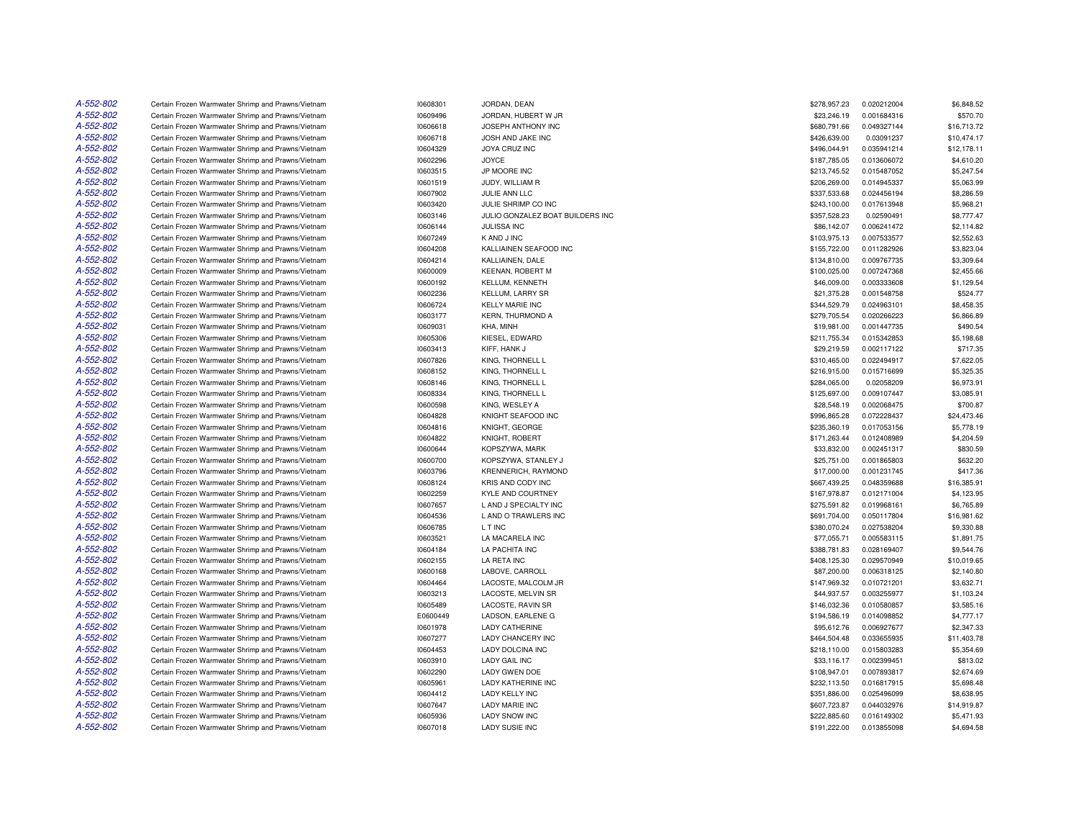| A-552-802 | Certain Frozen Warmwater Shrimp and Prawns/Vietnam | 10608301 | JORDAN, DEAN                     | \$278,957.23                | 0.020212004 | \$6,848.52  |
|-----------|----------------------------------------------------|----------|----------------------------------|-----------------------------|-------------|-------------|
| A-552-802 | Certain Frozen Warmwater Shrimp and Prawns/Vietnam | 10609496 | JORDAN, HUBERT W JR              | \$23,246.19                 | 0.001684316 | \$570.70    |
| A-552-802 | Certain Frozen Warmwater Shrimp and Prawns/Vietnam | 10606618 | JOSEPH ANTHONY INC               | \$680,791.66                | 0.049327144 | \$16,713.72 |
| A-552-802 | Certain Frozen Warmwater Shrimp and Prawns/Vietnam | 10606718 | JOSH AND JAKE INC                | \$426,639.00                | 0.03091237  | \$10,474.17 |
| A-552-802 | Certain Frozen Warmwater Shrimp and Prawns/Vietnam | 10604329 | <b>JOYA CRUZ INC</b>             | \$496,044.91                | 0.035941214 | \$12,178.11 |
| A-552-802 | Certain Frozen Warmwater Shrimp and Prawns/Vietnam | 10602296 | <b>JOYCE</b>                     | \$187,785.05                | 0.013606072 | \$4,610.20  |
| A-552-802 | Certain Frozen Warmwater Shrimp and Prawns/Vietnam | 10603515 | JP MOORE INC                     | \$213,745.52                | 0.015487052 | \$5,247.54  |
| A-552-802 | Certain Frozen Warmwater Shrimp and Prawns/Vietnam | 10601519 | JUDY, WILLIAM R                  | \$206,269.00                | 0.014945337 | \$5,063.99  |
| A-552-802 | Certain Frozen Warmwater Shrimp and Prawns/Vietnam | 10607902 | JULIE ANN LLC                    | \$337,533.68                | 0.024456194 | \$8,286.59  |
| A-552-802 | Certain Frozen Warmwater Shrimp and Prawns/Vietnam | 10603420 | JULIE SHRIMP CO INC              | \$243,100.00                | 0.017613948 | \$5,968.21  |
| A-552-802 | Certain Frozen Warmwater Shrimp and Prawns/Vietnam | 10603146 | JULIO GONZALEZ BOAT BUILDERS INC | \$357,528.23                | 0.02590491  | \$8,777.47  |
| A-552-802 | Certain Frozen Warmwater Shrimp and Prawns/Vietnam | 10606144 | <b>JULISSA INC</b>               | \$86,142.07                 | 0.006241472 | \$2,114.82  |
| A-552-802 | Certain Frozen Warmwater Shrimp and Prawns/Vietnam | 10607249 | K AND J INC                      | \$103,975.13                | 0.007533577 | \$2,552.63  |
| A-552-802 | Certain Frozen Warmwater Shrimp and Prawns/Vietnam | 10604208 | KALLIAINEN SEAFOOD INC           | \$155,722.00                | 0.011282926 | \$3,823.04  |
| A-552-802 | Certain Frozen Warmwater Shrimp and Prawns/Vietnam | 10604214 | KALLIAINEN, DALE                 | \$134,810.00                | 0.009767735 | \$3,309.64  |
| A-552-802 | Certain Frozen Warmwater Shrimp and Prawns/Vietnam | 10600009 | <b>KEENAN, ROBERT M</b>          | \$100,025.00                | 0.007247368 | \$2,455.66  |
| A-552-802 | Certain Frozen Warmwater Shrimp and Prawns/Vietnam | 10600192 | KELLUM, KENNETH                  | \$46,009.00                 | 0.003333608 | \$1,129.54  |
| A-552-802 |                                                    |          |                                  |                             |             | \$524.77    |
| A-552-802 | Certain Frozen Warmwater Shrimp and Prawns/Vietnam | 10602236 | KELLUM, LARRY SR                 | \$21,375.28<br>\$344,529.79 | 0.001548758 | \$8,458.35  |
| A-552-802 | Certain Frozen Warmwater Shrimp and Prawns/Vietnam | 10606724 | <b>KELLY MARIE INC</b>           |                             | 0.024963101 |             |
|           | Certain Frozen Warmwater Shrimp and Prawns/Vietnam | 10603177 | <b>KERN, THURMOND A</b>          | \$279,705.54                | 0.020266223 | \$6,866.89  |
| A-552-802 | Certain Frozen Warmwater Shrimp and Prawns/Vietnam | 10609031 | KHA, MINH                        | \$19,981.00                 | 0.001447735 | \$490.54    |
| A-552-802 | Certain Frozen Warmwater Shrimp and Prawns/Vietnam | 10605306 | KIESEL, EDWARD                   | \$211,755.34                | 0.015342853 | \$5,198.68  |
| A-552-802 | Certain Frozen Warmwater Shrimp and Prawns/Vietnam | 10603413 | KIFF, HANK J                     | \$29,219.59                 | 0.002117122 | \$717.35    |
| A-552-802 | Certain Frozen Warmwater Shrimp and Prawns/Vietnam | 10607826 | KING, THORNELL L                 | \$310,465.00                | 0.022494917 | \$7,622.05  |
| A-552-802 | Certain Frozen Warmwater Shrimp and Prawns/Vietnam | 10608152 | KING, THORNELL L                 | \$216,915.00                | 0.015716699 | \$5,325.35  |
| A-552-802 | Certain Frozen Warmwater Shrimp and Prawns/Vietnam | 10608146 | KING, THORNELL L                 | \$284,065.00                | 0.02058209  | \$6,973.91  |
| A-552-802 | Certain Frozen Warmwater Shrimp and Prawns/Vietnam | 10608334 | KING, THORNELL L                 | \$125,697.00                | 0.009107447 | \$3,085.91  |
| A-552-802 | Certain Frozen Warmwater Shrimp and Prawns/Vietnam | 10600598 | KING, WESLEY A                   | \$28,548.19                 | 0.002068475 | \$700.87    |
| A-552-802 | Certain Frozen Warmwater Shrimp and Prawns/Vietnam | 10604828 | KNIGHT SEAFOOD INC               | \$996,865.28                | 0.072228437 | \$24,473.46 |
| A-552-802 | Certain Frozen Warmwater Shrimp and Prawns/Vietnam | 10604816 | KNIGHT, GEORGE                   | \$235,360.19                | 0.017053156 | \$5,778.19  |
| A-552-802 | Certain Frozen Warmwater Shrimp and Prawns/Vietnam | 10604822 | KNIGHT, ROBERT                   | \$171,263.44                | 0.012408989 | \$4,204.59  |
| A-552-802 | Certain Frozen Warmwater Shrimp and Prawns/Vietnam | 10600644 | KOPSZYWA, MARK                   | \$33,832.00                 | 0.002451317 | \$830.59    |
| A-552-802 | Certain Frozen Warmwater Shrimp and Prawns/Vietnam | 10600700 | KOPSZYWA, STANLEY J              | \$25,751.00                 | 0.001865803 | \$632.20    |
| A-552-802 | Certain Frozen Warmwater Shrimp and Prawns/Vietnam | 10603796 | <b>KRENNERICH, RAYMOND</b>       | \$17,000.00                 | 0.001231745 | \$417.36    |
| A-552-802 | Certain Frozen Warmwater Shrimp and Prawns/Vietnam | 10608124 | KRIS AND CODY INC                | \$667,439.25                | 0.048359688 | \$16,385.91 |
| A-552-802 | Certain Frozen Warmwater Shrimp and Prawns/Vietnam | 10602259 | KYLE AND COURTNEY                | \$167,978.87                | 0.012171004 | \$4,123.95  |
| A-552-802 | Certain Frozen Warmwater Shrimp and Prawns/Vietnam | 10607657 | L AND J SPECIALTY INC            | \$275,591.82                | 0.019968161 | \$6,765.89  |
| A-552-802 | Certain Frozen Warmwater Shrimp and Prawns/Vietnam | 10604536 | L AND O TRAWLERS INC             | \$691,704.00                | 0.050117804 | \$16,981.62 |
| A-552-802 | Certain Frozen Warmwater Shrimp and Prawns/Vietnam | 10606785 | L T INC                          | \$380,070.24                | 0.027538204 | \$9,330.88  |
| A-552-802 | Certain Frozen Warmwater Shrimp and Prawns/Vietnam | 10603521 | LA MACARELA INC                  | \$77,055.71                 | 0.005583115 | \$1,891.75  |
| A-552-802 | Certain Frozen Warmwater Shrimp and Prawns/Vietnam | 10604184 | LA PACHITA INC                   | \$388,781.83                | 0.028169407 | \$9,544.76  |
| A-552-802 | Certain Frozen Warmwater Shrimp and Prawns/Vietnam | 10602155 | LA RETA INC                      | \$408,125.30                | 0.029570949 | \$10,019.65 |
| A-552-802 | Certain Frozen Warmwater Shrimp and Prawns/Vietnam | 10600168 | LABOVE, CARROLL                  | \$87,200.00                 | 0.006318125 | \$2,140.80  |
| A-552-802 | Certain Frozen Warmwater Shrimp and Prawns/Vietnam | 10604464 | LACOSTE, MALCOLM JR              | \$147,969.32                | 0.010721201 | \$3,632.71  |
| A-552-802 | Certain Frozen Warmwater Shrimp and Prawns/Vietnam | 10603213 | LACOSTE, MELVIN SR               | \$44,937.57                 | 0.003255977 | \$1,103.24  |
| A-552-802 | Certain Frozen Warmwater Shrimp and Prawns/Vietnam | 10605489 | LACOSTE, RAVIN SR                | \$146,032.36                | 0.010580857 | \$3,585.16  |
| A-552-802 | Certain Frozen Warmwater Shrimp and Prawns/Vietnam | E0600449 | LADSON, EARLENE G                | \$194,586.19                | 0.014098852 | \$4,777.17  |
| A-552-802 | Certain Frozen Warmwater Shrimp and Prawns/Vietnam | 10601978 | <b>LADY CATHERINE</b>            | \$95,612.76                 | 0.006927677 | \$2,347.33  |
| A-552-802 | Certain Frozen Warmwater Shrimp and Prawns/Vietnam | 10607277 | <b>LADY CHANCERY INC</b>         | \$464,504.48                | 0.033655935 | \$11,403.78 |
| A-552-802 | Certain Frozen Warmwater Shrimp and Prawns/Vietnam | 10604453 | LADY DOLCINA INC                 | \$218,110.00                | 0.015803283 | \$5,354.69  |
| A-552-802 | Certain Frozen Warmwater Shrimp and Prawns/Vietnam | 10603910 | <b>LADY GAIL INC</b>             | \$33,116.17                 | 0.002399451 | \$813.02    |
| A-552-802 | Certain Frozen Warmwater Shrimp and Prawns/Vietnam | 10602290 | LADY GWEN DOE                    | \$108,947.01                | 0.007893817 | \$2,674.69  |
| A-552-802 |                                                    |          | <b>LADY KATHERINE INC</b>        |                             |             |             |
|           | Certain Frozen Warmwater Shrimp and Prawns/Vietnam | 10605961 |                                  | \$232,113.50                | 0.016817915 | \$5,698.48  |
| A-552-802 | Certain Frozen Warmwater Shrimp and Prawns/Vietnam | 10604412 | <b>LADY KELLY INC</b>            | \$351,886.00                | 0.025496099 | \$8,638.95  |
| A-552-802 | Certain Frozen Warmwater Shrimp and Prawns/Vietnam | 10607647 | <b>LADY MARIE INC</b>            | \$607,723.87                | 0.044032976 | \$14,919.87 |
| A-552-802 | Certain Frozen Warmwater Shrimp and Prawns/Vietnam | 10605936 | <b>LADY SNOW INC</b>             | \$222,885.60                | 0.016149302 | \$5,471.93  |
| A-552-802 | Certain Frozen Warmwater Shrimp and Prawns/Vietnam | 10607018 | <b>LADY SUSIE INC</b>            | \$191,222.00                | 0.013855098 | \$4,694.58  |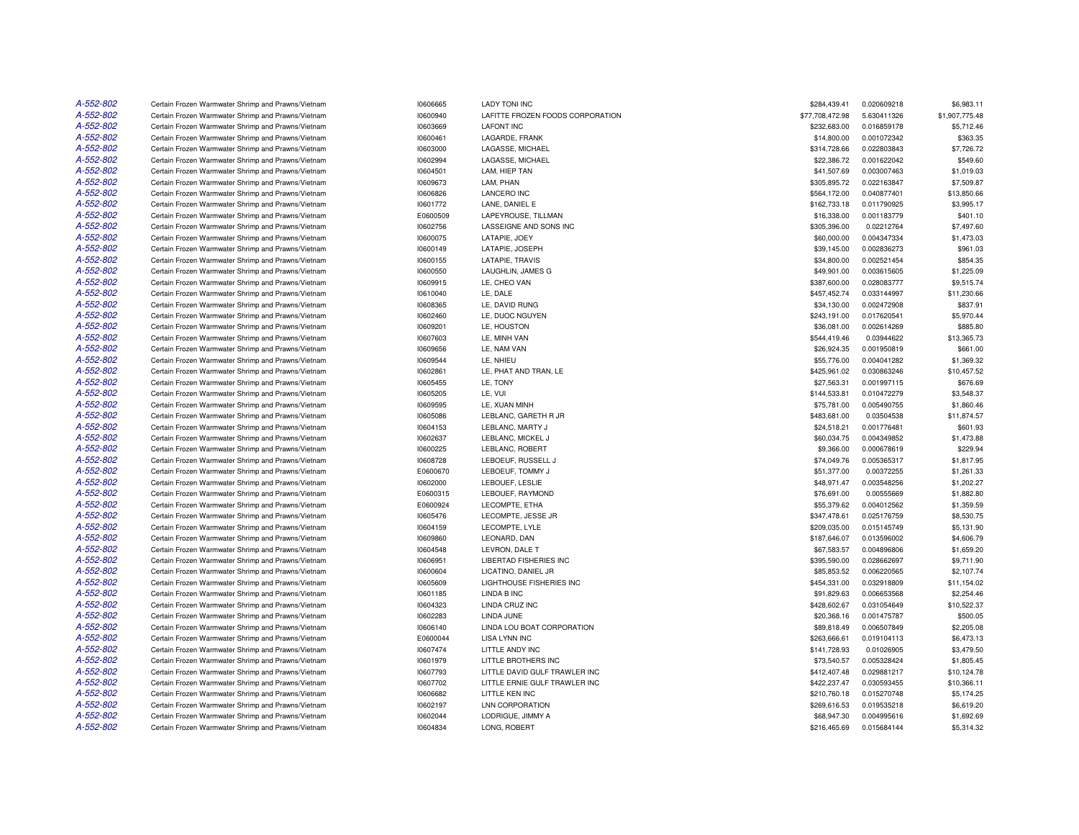| A-552-802 | Certain Frozen Warmwater Shrimp and Prawns/Vietnam                                                       | 10606665 | <b>LADY TONI INC</b>                                 | \$284,439.41    | 0.020609218 | \$6,983.11     |
|-----------|----------------------------------------------------------------------------------------------------------|----------|------------------------------------------------------|-----------------|-------------|----------------|
| A-552-802 | Certain Frozen Warmwater Shrimp and Prawns/Vietnam                                                       | 10600940 | LAFITTE FROZEN FOODS CORPORATION                     | \$77,708,472.98 | 5.630411326 | \$1,907,775.48 |
| A-552-802 | Certain Frozen Warmwater Shrimp and Prawns/Vietnam                                                       | 10603669 | <b>LAFONT INC</b>                                    | \$232,683.00    | 0.016859178 | \$5,712.46     |
| A-552-802 | Certain Frozen Warmwater Shrimp and Prawns/Vietnam                                                       | 10600461 | LAGARDE, FRANK                                       | \$14,800.00     | 0.001072342 | \$363.35       |
| A-552-802 | Certain Frozen Warmwater Shrimp and Prawns/Vietnam                                                       | 10603000 | LAGASSE, MICHAEL                                     | \$314,728.66    | 0.022803843 | \$7,726.72     |
| A-552-802 | Certain Frozen Warmwater Shrimp and Prawns/Vietnam                                                       | 10602994 | LAGASSE, MICHAEL                                     | \$22,386.72     | 0.001622042 | \$549.60       |
| A-552-802 | Certain Frozen Warmwater Shrimp and Prawns/Vietnam                                                       | 10604501 | LAM, HIEP TAN                                        | \$41,507.69     | 0.003007463 | \$1,019.03     |
| A-552-802 | Certain Frozen Warmwater Shrimp and Prawns/Vietnam                                                       | 10609673 | LAM. PHAN                                            | \$305,895.72    | 0.022163847 | \$7,509.87     |
| A-552-802 | Certain Frozen Warmwater Shrimp and Prawns/Vietnam                                                       | 10606826 | <b>LANCERO INC</b>                                   | \$564,172.00    | 0.040877401 | \$13,850.66    |
| A-552-802 | Certain Frozen Warmwater Shrimp and Prawns/Vietnam                                                       | 10601772 | LANE, DANIEL E                                       | \$162,733.18    | 0.011790925 | \$3,995.17     |
| A-552-802 | Certain Frozen Warmwater Shrimp and Prawns/Vietnam                                                       | E0600509 | LAPEYROUSE, TILLMAN                                  | \$16,338.00     | 0.001183779 | \$401.10       |
| A-552-802 | Certain Frozen Warmwater Shrimp and Prawns/Vietnam                                                       | 10602756 | LASSEIGNE AND SONS INC                               | \$305,396.00    | 0.02212764  | \$7,497.60     |
| A-552-802 | Certain Frozen Warmwater Shrimp and Prawns/Vietnam                                                       | 10600075 | LATAPIE, JOEY                                        | \$60,000.00     | 0.004347334 | \$1,473.03     |
| A-552-802 | Certain Frozen Warmwater Shrimp and Prawns/Vietnam                                                       | 10600149 | LATAPIE, JOSEPH                                      | \$39,145.00     | 0.002836273 | \$961.03       |
| A-552-802 | Certain Frozen Warmwater Shrimp and Prawns/Vietnam                                                       | 10600155 | LATAPIE, TRAVIS                                      | \$34,800.00     | 0.002521454 | \$854.35       |
| A-552-802 | Certain Frozen Warmwater Shrimp and Prawns/Vietnam                                                       | 10600550 | LAUGHLIN, JAMES G                                    | \$49,901.00     | 0.003615605 | \$1,225.09     |
| A-552-802 | Certain Frozen Warmwater Shrimp and Prawns/Vietnam                                                       | 10609915 | LE, CHEO VAN                                         | \$387,600.00    | 0.028083777 | \$9,515.74     |
|           |                                                                                                          |          |                                                      |                 |             |                |
| A-552-802 | Certain Frozen Warmwater Shrimp and Prawns/Vietnam                                                       | 10610040 | LE, DALE                                             | \$457,452.74    | 0.033144997 | \$11,230.66    |
| A-552-802 | Certain Frozen Warmwater Shrimp and Prawns/Vietnam                                                       | 10608365 | LE, DAVID RUNG                                       | \$34,130.00     | 0.002472908 | \$837.91       |
| A-552-802 | Certain Frozen Warmwater Shrimp and Prawns/Vietnam                                                       | 10602460 | LE. DUOC NGUYEN                                      | \$243,191.00    | 0.017620541 | \$5,970.44     |
| A-552-802 | Certain Frozen Warmwater Shrimp and Prawns/Vietnam                                                       | 10609201 | LE, HOUSTON                                          | \$36,081.00     | 0.002614269 | \$885.80       |
| A-552-802 | Certain Frozen Warmwater Shrimp and Prawns/Vietnam                                                       | 10607603 | LE, MINH VAN                                         | \$544,419.46    | 0.03944622  | \$13,365.73    |
| A-552-802 | Certain Frozen Warmwater Shrimp and Prawns/Vietnam                                                       | 10609656 | LE, NAM VAN                                          | \$26,924.35     | 0.001950819 | \$661.00       |
| A-552-802 | Certain Frozen Warmwater Shrimp and Prawns/Vietnam                                                       | 10609544 | LE. NHIEU                                            | \$55,776.00     | 0.004041282 | \$1,369.32     |
| A-552-802 | Certain Frozen Warmwater Shrimp and Prawns/Vietnam                                                       | 10602861 | LE. PHAT AND TRAN. LE                                | \$425,961.02    | 0.030863246 | \$10,457.52    |
| A-552-802 | Certain Frozen Warmwater Shrimp and Prawns/Vietnam                                                       | 10605455 | LE, TONY                                             | \$27,563.31     | 0.001997115 | \$676.69       |
| A-552-802 | Certain Frozen Warmwater Shrimp and Prawns/Vietnam                                                       | 10605205 | LE, VUI                                              | \$144,533.81    | 0.010472279 | \$3,548.37     |
| A-552-802 | Certain Frozen Warmwater Shrimp and Prawns/Vietnam                                                       | 10609595 | LE. XUAN MINH                                        | \$75,781.00     | 0.005490755 | \$1,860.46     |
| A-552-802 | Certain Frozen Warmwater Shrimp and Prawns/Vietnam                                                       | 10605086 | LEBLANC, GARETH R JR                                 | \$483,681.00    | 0.03504538  | \$11,874.57    |
| A-552-802 | Certain Frozen Warmwater Shrimp and Prawns/Vietnam                                                       | 10604153 | LEBLANC, MARTY J                                     | \$24,518.21     | 0.001776481 | \$601.93       |
| A-552-802 | Certain Frozen Warmwater Shrimp and Prawns/Vietnam                                                       | 10602637 | LEBLANC, MICKEL J                                    | \$60,034.75     | 0.004349852 | \$1,473.88     |
| A-552-802 | Certain Frozen Warmwater Shrimp and Prawns/Vietnam                                                       | 10600225 | LEBLANC, ROBERT                                      | \$9,366.00      | 0.000678619 | \$229.94       |
| A-552-802 | Certain Frozen Warmwater Shrimp and Prawns/Vietnam                                                       | 10608728 | LEBOEUF, RUSSELL J                                   | \$74,049.76     | 0.005365317 | \$1,817.95     |
| A-552-802 | Certain Frozen Warmwater Shrimp and Prawns/Vietnam                                                       | E0600670 | LEBOEUF, TOMMY J                                     | \$51,377.00     | 0.00372255  | \$1,261.33     |
| A-552-802 | Certain Frozen Warmwater Shrimp and Prawns/Vietnam                                                       | 10602000 | LEBOUEF, LESLIE                                      | \$48,971.47     | 0.003548256 | \$1,202.27     |
| A-552-802 | Certain Frozen Warmwater Shrimp and Prawns/Vietnam                                                       | E0600315 | LEBOUEF, RAYMOND                                     | \$76,691.00     | 0.00555669  | \$1,882.80     |
| A-552-802 | Certain Frozen Warmwater Shrimp and Prawns/Vietnam                                                       | E0600924 | LECOMPTE, ETHA                                       | \$55,379.62     | 0.004012562 | \$1,359.59     |
| A-552-802 | Certain Frozen Warmwater Shrimp and Prawns/Vietnam                                                       | 10605476 | LECOMPTE, JESSE JR                                   | \$347,478.61    | 0.025176759 | \$8,530.75     |
| A-552-802 | Certain Frozen Warmwater Shrimp and Prawns/Vietnam                                                       | 10604159 | LECOMPTE, LYLE                                       | \$209,035.00    | 0.015145749 | \$5,131.90     |
| A-552-802 | Certain Frozen Warmwater Shrimp and Prawns/Vietnam                                                       | 10609860 | LEONARD, DAN                                         | \$187,646.07    | 0.013596002 | \$4,606.79     |
| A-552-802 | Certain Frozen Warmwater Shrimp and Prawns/Vietnam                                                       | 10604548 | LEVRON, DALE T                                       | \$67,583.57     | 0.004896806 | \$1,659.20     |
| A-552-802 | Certain Frozen Warmwater Shrimp and Prawns/Vietnam                                                       | 10606951 | LIBERTAD FISHERIES INC                               | \$395,590.00    | 0.028662697 | \$9,711.90     |
| A-552-802 | Certain Frozen Warmwater Shrimp and Prawns/Vietnam                                                       | 10600604 | LICATINO, DANIEL JR                                  | \$85,853.52     | 0.006220565 | \$2,107.74     |
| A-552-802 | Certain Frozen Warmwater Shrimp and Prawns/Vietnam                                                       | 10605609 | <b>LIGHTHOUSE FISHERIES INC</b>                      | \$454,331.00    | 0.032918809 | \$11,154.02    |
| A-552-802 | Certain Frozen Warmwater Shrimp and Prawns/Vietnam                                                       | 10601185 | LINDA B INC                                          | \$91,829.63     | 0.006653568 | \$2,254.46     |
| A-552-802 | Certain Frozen Warmwater Shrimp and Prawns/Vietnam                                                       | 10604323 | LINDA CRUZ INC                                       | \$428,602.67    | 0.031054649 | \$10,522.37    |
| A-552-802 | Certain Frozen Warmwater Shrimp and Prawns/Vietnam                                                       | 10602283 | LINDA JUNE                                           | \$20,368.16     | 0.001475787 | \$500.05       |
| A-552-802 | Certain Frozen Warmwater Shrimp and Prawns/Vietnam                                                       | 10606140 | LINDA LOU BOAT CORPORATION                           | \$89,818.49     | 0.006507849 | \$2,205.08     |
| A-552-802 | Certain Frozen Warmwater Shrimp and Prawns/Vietnam                                                       | E0600044 | <b>LISA LYNN INC</b>                                 | \$263,666.61    | 0.019104113 | \$6,473.13     |
| A-552-802 | Certain Frozen Warmwater Shrimp and Prawns/Vietnam                                                       | 10607474 | LITTLE ANDY INC                                      | \$141,728.93    | 0.01026905  | \$3,479.50     |
| A-552-802 |                                                                                                          |          |                                                      |                 |             |                |
| A-552-802 | Certain Frozen Warmwater Shrimp and Prawns/Vietnam<br>Certain Frozen Warmwater Shrimp and Prawns/Vietnam | 10601979 | LITTLE BROTHERS INC<br>LITTLE DAVID GULF TRAWLER INC | \$73,540.57     | 0.005328424 | \$1,805.45     |
|           |                                                                                                          | 10607793 |                                                      | \$412,407.48    | 0.029881217 | \$10,124.78    |
| A-552-802 | Certain Frozen Warmwater Shrimp and Prawns/Vietnam                                                       | 10607702 | LITTLE ERNIE GULF TRAWLER INC                        | \$422,237.47    | 0.030593455 | \$10,366.11    |
| A-552-802 | Certain Frozen Warmwater Shrimp and Prawns/Vietnam                                                       | 10606682 | LITTLE KEN INC                                       | \$210,760.18    | 0.015270748 | \$5,174.25     |
| A-552-802 | Certain Frozen Warmwater Shrimp and Prawns/Vietnam                                                       | 10602197 | LNN CORPORATION                                      | \$269,616.53    | 0.019535218 | \$6,619.20     |
| A-552-802 | Certain Frozen Warmwater Shrimp and Prawns/Vietnam                                                       | 10602044 | LODRIGUE, JIMMY A                                    | \$68,947.30     | 0.004995616 | \$1,692.69     |
| A-552-802 | Certain Frozen Warmwater Shrimp and Prawns/Vietnam                                                       | 10604834 | LONG. ROBERT                                         | \$216,465.69    | 0.015684144 | \$5,314.32     |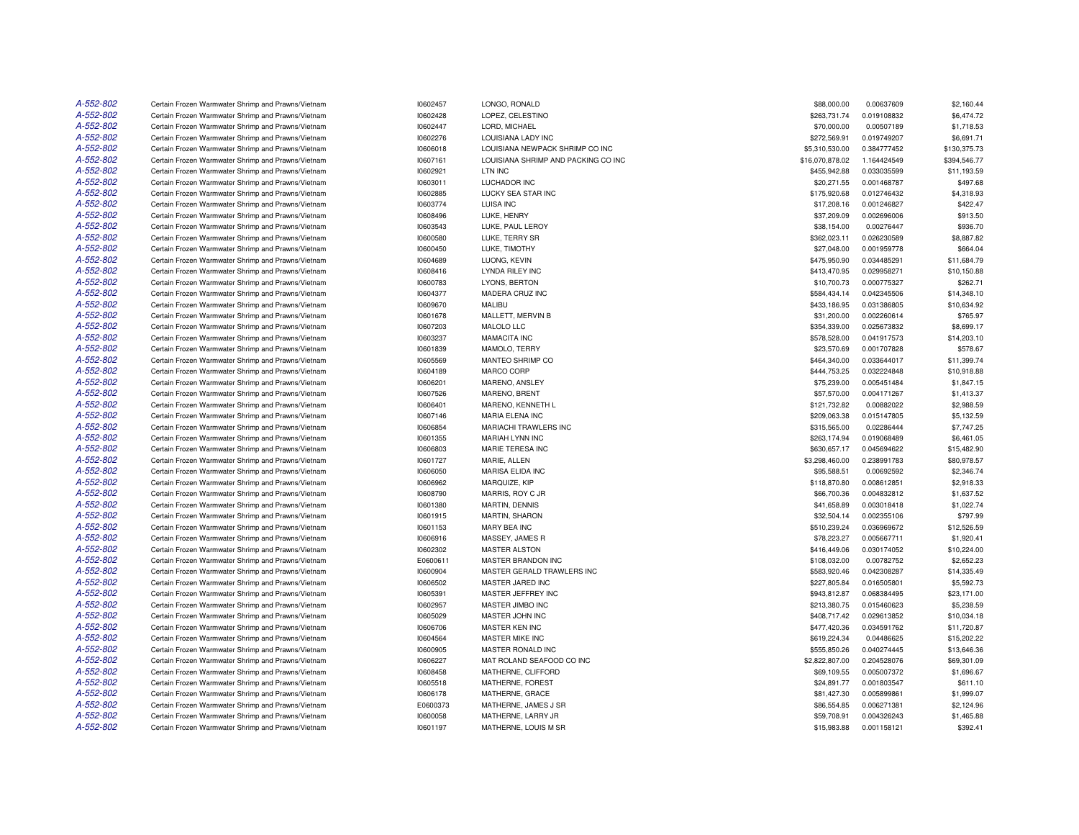| A-552-802 | Certain Frozen Warmwater Shrimp and Prawns/Vietnam | 10602457 | LONGO, RONALD                       | \$88,000.00     | 0.00637609  | \$2,160.44   |
|-----------|----------------------------------------------------|----------|-------------------------------------|-----------------|-------------|--------------|
| A-552-802 | Certain Frozen Warmwater Shrimp and Prawns/Vietnam | 10602428 | LOPEZ, CELESTINO                    | \$263,731.74    | 0.019108832 | \$6,474.72   |
| A-552-802 | Certain Frozen Warmwater Shrimp and Prawns/Vietnam | 10602447 | LORD, MICHAEL                       | \$70,000.00     | 0.00507189  | \$1,718.53   |
| A-552-802 | Certain Frozen Warmwater Shrimp and Prawns/Vietnam | 10602276 | LOUISIANA LADY INC                  | \$272,569.91    | 0.019749207 | \$6,691.71   |
| A-552-802 | Certain Frozen Warmwater Shrimp and Prawns/Vietnam | 10606018 | LOUISIANA NEWPACK SHRIMP CO INC     | \$5,310,530.00  | 0.384777452 | \$130,375.73 |
| A-552-802 | Certain Frozen Warmwater Shrimp and Prawns/Vietnam | 10607161 | LOUISIANA SHRIMP AND PACKING CO INC | \$16,070,878.02 | 1.164424549 | \$394,546.77 |
| A-552-802 | Certain Frozen Warmwater Shrimp and Prawns/Vietnam | 10602921 | LTN INC                             | \$455,942.88    | 0.033035599 | \$11,193.59  |
| A-552-802 | Certain Frozen Warmwater Shrimp and Prawns/Vietnam | 10603011 | LUCHADOR INC                        | \$20,271.55     | 0.001468787 | \$497.68     |
| A-552-802 | Certain Frozen Warmwater Shrimp and Prawns/Vietnam | 10602885 | LUCKY SEA STAR INC                  | \$175,920.68    | 0.012746432 | \$4,318.93   |
| A-552-802 | Certain Frozen Warmwater Shrimp and Prawns/Vietnam | 10603774 | <b>LUISA INC</b>                    | \$17,208.16     | 0.001246827 | \$422.47     |
| A-552-802 | Certain Frozen Warmwater Shrimp and Prawns/Vietnam | 10608496 | LUKE, HENRY                         | \$37,209.09     | 0.002696006 | \$913.50     |
| A-552-802 | Certain Frozen Warmwater Shrimp and Prawns/Vietnam | 10603543 | LUKE, PAUL LEROY                    | \$38,154.00     | 0.00276447  | \$936.70     |
| A-552-802 | Certain Frozen Warmwater Shrimp and Prawns/Vietnam | 10600580 | LUKE, TERRY SR                      | \$362,023.11    | 0.026230589 | \$8,887.82   |
| A-552-802 | Certain Frozen Warmwater Shrimp and Prawns/Vietnam | 10600450 | LUKE, TIMOTHY                       | \$27,048.00     | 0.001959778 | \$664.04     |
| A-552-802 | Certain Frozen Warmwater Shrimp and Prawns/Vietnam | 10604689 | LUONG, KEVIN                        | \$475,950.90    | 0.034485291 | \$11,684.79  |
| A-552-802 | Certain Frozen Warmwater Shrimp and Prawns/Vietnam | 10608416 | <b>LYNDA RILEY INC</b>              | \$413,470.95    | 0.029958271 | \$10,150.88  |
| A-552-802 | Certain Frozen Warmwater Shrimp and Prawns/Vietnam | 10600783 | LYONS, BERTON                       | \$10,700.73     | 0.000775327 | \$262.71     |
| A-552-802 | Certain Frozen Warmwater Shrimp and Prawns/Vietnam | 10604377 | MADERA CRUZ INC                     | \$584,434.14    | 0.042345506 | \$14,348.10  |
| A-552-802 | Certain Frozen Warmwater Shrimp and Prawns/Vietnam | 10609670 | <b>MALIBU</b>                       | \$433,186.95    | 0.031386805 | \$10.634.92  |
| A-552-802 | Certain Frozen Warmwater Shrimp and Prawns/Vietnam | 10601678 | MALLETT, MERVIN B                   | \$31,200.00     | 0.002260614 | \$765.97     |
| A-552-802 | Certain Frozen Warmwater Shrimp and Prawns/Vietnam | 10607203 | MALOLO LLC                          | \$354,339.00    | 0.025673832 | \$8,699.17   |
| A-552-802 | Certain Frozen Warmwater Shrimp and Prawns/Vietnam | 10603237 | MAMACITA INC                        | \$578,528.00    | 0.041917573 | \$14,203.10  |
| A-552-802 | Certain Frozen Warmwater Shrimp and Prawns/Vietnam | 10601839 | MAMOLO, TERRY                       | \$23,570.69     | 0.001707828 | \$578.67     |
| A-552-802 | Certain Frozen Warmwater Shrimp and Prawns/Vietnam | 10605569 | MANTEO SHRIMP CO                    | \$464,340.00    | 0.033644017 | \$11,399.74  |
| A-552-802 | Certain Frozen Warmwater Shrimp and Prawns/Vietnam | 10604189 | <b>MARCO CORP</b>                   | \$444,753.25    | 0.032224848 | \$10,918.88  |
| A-552-802 | Certain Frozen Warmwater Shrimp and Prawns/Vietnam | 10606201 | MARENO, ANSLEY                      | \$75,239.00     | 0.005451484 | \$1,847.15   |
| A-552-802 | Certain Frozen Warmwater Shrimp and Prawns/Vietnam | 10607526 | MARENO, BRENT                       | \$57,570.00     | 0.004171267 | \$1,413.37   |
| A-552-802 | Certain Frozen Warmwater Shrimp and Prawns/Vietnam | 10606401 | MARENO, KENNETH L                   | \$121,732.82    | 0.00882022  | \$2,988.59   |
| A-552-802 | Certain Frozen Warmwater Shrimp and Prawns/Vietnam | 10607146 | <b>MARIA ELENA INC</b>              | \$209,063.38    | 0.015147805 | \$5,132.59   |
| A-552-802 | Certain Frozen Warmwater Shrimp and Prawns/Vietnam | 10606854 | MARIACHI TRAWLERS INC               | \$315,565.00    | 0.02286444  | \$7,747.25   |
| A-552-802 | Certain Frozen Warmwater Shrimp and Prawns/Vietnam | 10601355 | MARIAH LYNN INC                     | \$263,174.94    | 0.019068489 | \$6,461.05   |
| A-552-802 | Certain Frozen Warmwater Shrimp and Prawns/Vietnam | 10606803 | MARIE TERESA INC                    | \$630,657.17    | 0.045694622 | \$15,482.90  |
| A-552-802 | Certain Frozen Warmwater Shrimp and Prawns/Vietnam | 10601727 | MARIE, ALLEN                        | \$3,298,460.00  | 0.238991783 | \$80,978.57  |
| A-552-802 | Certain Frozen Warmwater Shrimp and Prawns/Vietnam | 10606050 | MARISA ELIDA INC                    | \$95,588.51     | 0.00692592  | \$2,346.74   |
| A-552-802 | Certain Frozen Warmwater Shrimp and Prawns/Vietnam | 10606962 | MARQUIZE, KIP                       | \$118,870.80    | 0.008612851 | \$2,918.33   |
| A-552-802 | Certain Frozen Warmwater Shrimp and Prawns/Vietnam | 10608790 | MARRIS, ROY C JR                    | \$66,700.36     | 0.004832812 | \$1,637.52   |
| A-552-802 | Certain Frozen Warmwater Shrimp and Prawns/Vietnam | 10601380 | MARTIN, DENNIS                      | \$41,658.89     | 0.003018418 | \$1,022.74   |
| A-552-802 | Certain Frozen Warmwater Shrimp and Prawns/Vietnam | 10601915 | <b>MARTIN, SHARON</b>               | \$32,504.14     | 0.002355106 | \$797.99     |
| A-552-802 | Certain Frozen Warmwater Shrimp and Prawns/Vietnam | 10601153 | MARY BEA INC                        | \$510,239.24    | 0.036969672 | \$12,526.59  |
| A-552-802 | Certain Frozen Warmwater Shrimp and Prawns/Vietnam | 10606916 | MASSEY, JAMES R                     | \$78,223.27     | 0.005667711 | \$1,920.41   |
| A-552-802 | Certain Frozen Warmwater Shrimp and Prawns/Vietnam | 10602302 | <b>MASTER ALSTON</b>                | \$416,449.06    | 0.030174052 | \$10,224.00  |
| A-552-802 | Certain Frozen Warmwater Shrimp and Prawns/Vietnam | E0600611 | MASTER BRANDON INC                  | \$108,032.00    | 0.00782752  | \$2,652.23   |
| A-552-802 | Certain Frozen Warmwater Shrimp and Prawns/Vietnam | 10600904 | MASTER GERALD TRAWLERS INC          | \$583,920.46    | 0.042308287 | \$14,335.49  |
| A-552-802 | Certain Frozen Warmwater Shrimp and Prawns/Vietnam | 10606502 | MASTER JARED INC                    | \$227,805.84    | 0.016505801 | \$5,592.73   |
| A-552-802 | Certain Frozen Warmwater Shrimp and Prawns/Vietnam | 10605391 | MASTER JEFFREY INC                  | \$943,812.87    | 0.068384495 | \$23,171.00  |
| A-552-802 | Certain Frozen Warmwater Shrimp and Prawns/Vietnam | 10602957 | MASTER JIMBO INC                    | \$213,380.75    | 0.015460623 | \$5,238.59   |
| A-552-802 | Certain Frozen Warmwater Shrimp and Prawns/Vietnam | 10605029 | MASTER JOHN INC                     | \$408,717.42    | 0.029613852 | \$10.034.18  |
| A-552-802 | Certain Frozen Warmwater Shrimp and Prawns/Vietnam | 10606706 | <b>MASTER KEN INC</b>               | \$477,420.36    | 0.034591762 | \$11,720.87  |
| A-552-802 | Certain Frozen Warmwater Shrimp and Prawns/Vietnam | 10604564 | MASTER MIKE INC                     | \$619,224.34    | 0.04486625  | \$15,202.22  |
| A-552-802 | Certain Frozen Warmwater Shrimp and Prawns/Vietnam | 10600905 | MASTER RONALD INC                   | \$555,850.26    | 0.040274445 | \$13,646.36  |
| A-552-802 | Certain Frozen Warmwater Shrimp and Prawns/Vietnam | 10606227 | MAT ROLAND SEAFOOD CO INC           | \$2,822,807.00  | 0.204528076 | \$69,301.09  |
| A-552-802 | Certain Frozen Warmwater Shrimp and Prawns/Vietnam | 10608458 | MATHERNE, CLIFFORD                  | \$69,109.55     | 0.005007372 | \$1,696.67   |
| A-552-802 | Certain Frozen Warmwater Shrimp and Prawns/Vietnam | 10605518 | MATHERNE, FOREST                    | \$24,891.77     | 0.001803547 | \$611.10     |
| A-552-802 | Certain Frozen Warmwater Shrimp and Prawns/Vietnam | 10606178 | MATHERNE, GRACE                     | \$81,427.30     | 0.005899861 | \$1,999.07   |
| A-552-802 | Certain Frozen Warmwater Shrimp and Prawns/Vietnam | E0600373 | MATHERNE, JAMES J SR                | \$86,554.85     | 0.006271381 | \$2,124.96   |
| A-552-802 | Certain Frozen Warmwater Shrimp and Prawns/Vietnam | 10600058 | MATHERNE, LARRY JR                  | \$59,708.91     | 0.004326243 | \$1,465.88   |
| A-552-802 | Certain Frozen Warmwater Shrimp and Prawns/Vietnam | 10601197 | MATHERNE, LOUIS M SR                | \$15,983.88     | 0.001158121 | \$392.41     |
|           |                                                    |          |                                     |                 |             |              |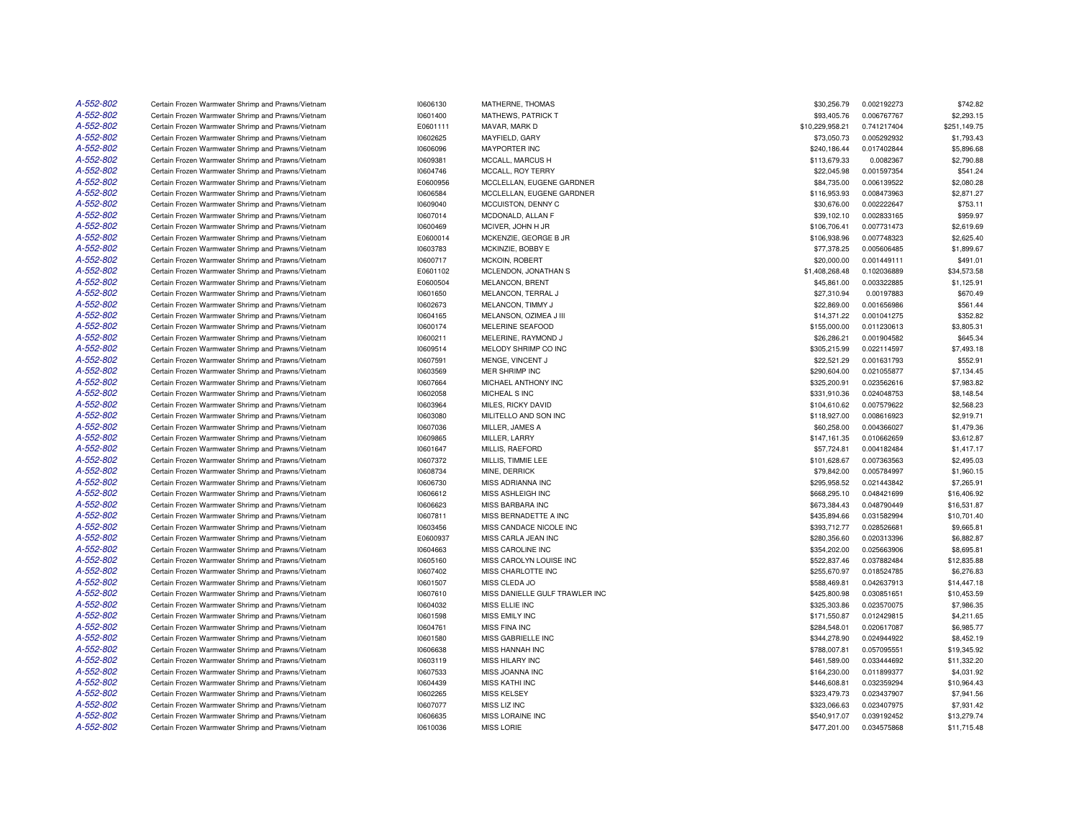| A-552-802 | Certain Frozen Warmwater Shrimp and Prawns/Vietnam | 10606130 | MATHERNE, THOMAS               | \$30,256.79     | 0.002192273 | \$742.82     |
|-----------|----------------------------------------------------|----------|--------------------------------|-----------------|-------------|--------------|
| A-552-802 | Certain Frozen Warmwater Shrimp and Prawns/Vietnam | 10601400 | MATHEWS, PATRICK T             | \$93,405.76     | 0.006767767 | \$2,293.15   |
| A-552-802 | Certain Frozen Warmwater Shrimp and Prawns/Vietnam | E0601111 | MAVAR, MARK D                  | \$10,229,958.21 | 0.741217404 | \$251,149.75 |
| A-552-802 | Certain Frozen Warmwater Shrimp and Prawns/Vietnam | 10602625 | MAYFIELD, GARY                 | \$73,050.73     | 0.005292932 | \$1,793.43   |
| A-552-802 | Certain Frozen Warmwater Shrimp and Prawns/Vietnam | 10606096 | <b>MAYPORTER INC</b>           | \$240,186.44    | 0.017402844 | \$5,896.68   |
| A-552-802 | Certain Frozen Warmwater Shrimp and Prawns/Vietnam | 10609381 | MCCALL, MARCUS H               | \$113,679.33    | 0.0082367   | \$2,790.88   |
| A-552-802 | Certain Frozen Warmwater Shrimp and Prawns/Vietnam | 10604746 | MCCALL, ROY TERRY              | \$22,045.98     | 0.001597354 | \$541.24     |
| A-552-802 | Certain Frozen Warmwater Shrimp and Prawns/Vietnam | E0600956 | MCCLELLAN, EUGENE GARDNER      | \$84,735.00     | 0.006139522 | \$2,080.28   |
| A-552-802 | Certain Frozen Warmwater Shrimp and Prawns/Vietnam | 10606584 | MCCLELLAN, EUGENE GARDNER      | \$116,953.93    | 0.008473963 | \$2,871.27   |
| A-552-802 | Certain Frozen Warmwater Shrimp and Prawns/Vietnam | 10609040 | MCCUISTON, DENNY C             | \$30,676.00     | 0.002222647 | \$753.11     |
| A-552-802 | Certain Frozen Warmwater Shrimp and Prawns/Vietnam | 10607014 | MCDONALD, ALLAN F              | \$39,102.10     | 0.002833165 | \$959.97     |
| A-552-802 | Certain Frozen Warmwater Shrimp and Prawns/Vietnam | 10600469 | MCIVER, JOHN H JR              | \$106,706.41    | 0.007731473 | \$2,619.69   |
| A-552-802 | Certain Frozen Warmwater Shrimp and Prawns/Vietnam | E0600014 | MCKENZIE, GEORGE B JR          | \$106,938.96    | 0.007748323 | \$2,625.40   |
| A-552-802 | Certain Frozen Warmwater Shrimp and Prawns/Vietnam | 10603783 | MCKINZIE, BOBBY E              | \$77,378.25     | 0.005606485 | \$1,899.67   |
| A-552-802 | Certain Frozen Warmwater Shrimp and Prawns/Vietnam | 10600717 | MCKOIN, ROBERT                 | \$20,000.00     | 0.001449111 | \$491.01     |
| A-552-802 | Certain Frozen Warmwater Shrimp and Prawns/Vietnam | E0601102 | MCLENDON, JONATHAN S           | \$1,408,268.48  | 0.102036889 | \$34,573.58  |
| A-552-802 | Certain Frozen Warmwater Shrimp and Prawns/Vietnam | E0600504 | MELANCON, BRENT                | \$45,861.00     | 0.003322885 | \$1,125.91   |
| A-552-802 |                                                    |          |                                |                 |             |              |
| A-552-802 | Certain Frozen Warmwater Shrimp and Prawns/Vietnam | 10601650 | MELANCON, TERRAL J             | \$27,310.94     | 0.00197883  | \$670.49     |
|           | Certain Frozen Warmwater Shrimp and Prawns/Vietnam | 10602673 | MELANCON, TIMMY J              | \$22,869.00     | 0.001656986 | \$561.44     |
| A-552-802 | Certain Frozen Warmwater Shrimp and Prawns/Vietnam | 10604165 | MELANSON, OZIMEA J III         | \$14,371.22     | 0.001041275 | \$352.82     |
| A-552-802 | Certain Frozen Warmwater Shrimp and Prawns/Vietnam | 10600174 | MELERINE SEAFOOD               | \$155,000.00    | 0.011230613 | \$3,805.31   |
| A-552-802 | Certain Frozen Warmwater Shrimp and Prawns/Vietnam | 10600211 | MELERINE, RAYMOND J            | \$26,286.21     | 0.001904582 | \$645.34     |
| A-552-802 | Certain Frozen Warmwater Shrimp and Prawns/Vietnam | 10609514 | MELODY SHRIMP CO INC           | \$305,215.99    | 0.022114597 | \$7,493.18   |
| A-552-802 | Certain Frozen Warmwater Shrimp and Prawns/Vietnam | 10607591 | MENGE, VINCENT J               | \$22,521.29     | 0.001631793 | \$552.91     |
| A-552-802 | Certain Frozen Warmwater Shrimp and Prawns/Vietnam | 10603569 | MER SHRIMP INC                 | \$290,604.00    | 0.021055877 | \$7,134.45   |
| A-552-802 | Certain Frozen Warmwater Shrimp and Prawns/Vietnam | 10607664 | MICHAEL ANTHONY INC            | \$325,200.91    | 0.023562616 | \$7,983.82   |
| A-552-802 | Certain Frozen Warmwater Shrimp and Prawns/Vietnam | 10602058 | MICHEAL S INC                  | \$331,910.36    | 0.024048753 | \$8,148.54   |
| A-552-802 | Certain Frozen Warmwater Shrimp and Prawns/Vietnam | 10603964 | MILES, RICKY DAVID             | \$104,610.62    | 0.007579622 | \$2,568.23   |
| A-552-802 | Certain Frozen Warmwater Shrimp and Prawns/Vietnam | 10603080 | MILITELLO AND SON INC          | \$118,927.00    | 0.008616923 | \$2,919.71   |
| A-552-802 | Certain Frozen Warmwater Shrimp and Prawns/Vietnam | 10607036 | MILLER, JAMES A                | \$60,258.00     | 0.004366027 | \$1,479.36   |
| A-552-802 | Certain Frozen Warmwater Shrimp and Prawns/Vietnam | 10609865 | MILLER, LARRY                  | \$147,161.35    | 0.010662659 | \$3,612.87   |
| A-552-802 | Certain Frozen Warmwater Shrimp and Prawns/Vietnam | 10601647 | MILLIS, RAEFORD                | \$57,724.81     | 0.004182484 | \$1,417.17   |
| A-552-802 | Certain Frozen Warmwater Shrimp and Prawns/Vietnam | 10607372 | MILLIS, TIMMIE LEE             | \$101,628.67    | 0.007363563 | \$2,495.03   |
| A-552-802 | Certain Frozen Warmwater Shrimp and Prawns/Vietnam | 10608734 | MINE, DERRICK                  | \$79,842.00     | 0.005784997 | \$1,960.15   |
| A-552-802 | Certain Frozen Warmwater Shrimp and Prawns/Vietnam | 10606730 | <b>MISS ADRIANNA INC</b>       | \$295,958.52    | 0.021443842 | \$7,265.91   |
| A-552-802 | Certain Frozen Warmwater Shrimp and Prawns/Vietnam | 10606612 | MISS ASHLEIGH INC              | \$668,295.10    | 0.048421699 | \$16,406.92  |
| A-552-802 | Certain Frozen Warmwater Shrimp and Prawns/Vietnam | 10606623 | MISS BARBARA INC               | \$673,384.43    | 0.048790449 | \$16,531.87  |
| A-552-802 | Certain Frozen Warmwater Shrimp and Prawns/Vietnam | 10607811 | MISS BERNADETTE A INC          | \$435,894.66    | 0.031582994 | \$10,701.40  |
| A-552-802 | Certain Frozen Warmwater Shrimp and Prawns/Vietnam | 10603456 | MISS CANDACE NICOLE INC        | \$393,712.77    | 0.028526681 | \$9,665.81   |
| A-552-802 | Certain Frozen Warmwater Shrimp and Prawns/Vietnam | E0600937 | MISS CARLA JEAN INC            | \$280,356.60    | 0.020313396 | \$6,882.87   |
| A-552-802 | Certain Frozen Warmwater Shrimp and Prawns/Vietnam | 10604663 | MISS CAROLINE INC              | \$354,202.00    | 0.025663906 | \$8,695.81   |
| A-552-802 | Certain Frozen Warmwater Shrimp and Prawns/Vietnam | 10605160 | MISS CAROLYN LOUISE INC        | \$522,837.46    | 0.037882484 | \$12,835.88  |
| A-552-802 | Certain Frozen Warmwater Shrimp and Prawns/Vietnam | 10607402 | MISS CHARLOTTE INC             | \$255.670.97    | 0.018524785 | \$6,276.83   |
| A-552-802 | Certain Frozen Warmwater Shrimp and Prawns/Vietnam | 10601507 | MISS CLEDA JO                  | \$588,469.81    | 0.042637913 | \$14,447.18  |
| A-552-802 | Certain Frozen Warmwater Shrimp and Prawns/Vietnam | 10607610 | MISS DANIELLE GULF TRAWLER INC | \$425,800.98    | 0.030851651 | \$10,453.59  |
| A-552-802 | Certain Frozen Warmwater Shrimp and Prawns/Vietnam | 10604032 | MISS ELLIE INC                 | \$325,303.86    | 0.023570075 | \$7,986.35   |
| A-552-802 | Certain Frozen Warmwater Shrimp and Prawns/Vietnam | 10601598 | MISS EMILY INC                 | \$171,550.87    | 0.012429815 | \$4,211.65   |
| A-552-802 | Certain Frozen Warmwater Shrimp and Prawns/Vietnam | 10604761 | MISS FINA INC                  | \$284,548.01    | 0.020617087 | \$6,985.77   |
| A-552-802 | Certain Frozen Warmwater Shrimp and Prawns/Vietnam | 10601580 | MISS GABRIELLE INC             | \$344,278.90    | 0.024944922 | \$8,452.19   |
| A-552-802 | Certain Frozen Warmwater Shrimp and Prawns/Vietnam | 10606638 | MISS HANNAH INC                | \$788,007.81    | 0.057095551 | \$19,345.92  |
| A-552-802 | Certain Frozen Warmwater Shrimp and Prawns/Vietnam | 10603119 | MISS HILARY INC                | \$461,589.00    | 0.033444692 | \$11,332.20  |
| A-552-802 | Certain Frozen Warmwater Shrimp and Prawns/Vietnam | 10607533 | MISS JOANNA INC                | \$164,230.00    | 0.011899377 | \$4,031.92   |
| A-552-802 |                                                    |          | <b>MISS KATHI INC</b>          |                 | 0.032359294 |              |
| A-552-802 | Certain Frozen Warmwater Shrimp and Prawns/Vietnam | 10604439 |                                | \$446,608.81    |             | \$10,964.43  |
|           | Certain Frozen Warmwater Shrimp and Prawns/Vietnam | 10602265 | <b>MISS KELSEY</b>             | \$323,479.73    | 0.023437907 | \$7,941.56   |
| A-552-802 | Certain Frozen Warmwater Shrimp and Prawns/Vietnam | 10607077 | MISS LIZ INC                   | \$323,066.63    | 0.023407975 | \$7,931.42   |
| A-552-802 | Certain Frozen Warmwater Shrimp and Prawns/Vietnam | 10606635 | MISS LORAINE INC               | \$540.917.07    | 0.039192452 | \$13,279.74  |
| A-552-802 | Certain Frozen Warmwater Shrimp and Prawns/Vietnam | 10610036 | <b>MISS LORIE</b>              | \$477,201.00    | 0.034575868 | \$11,715.48  |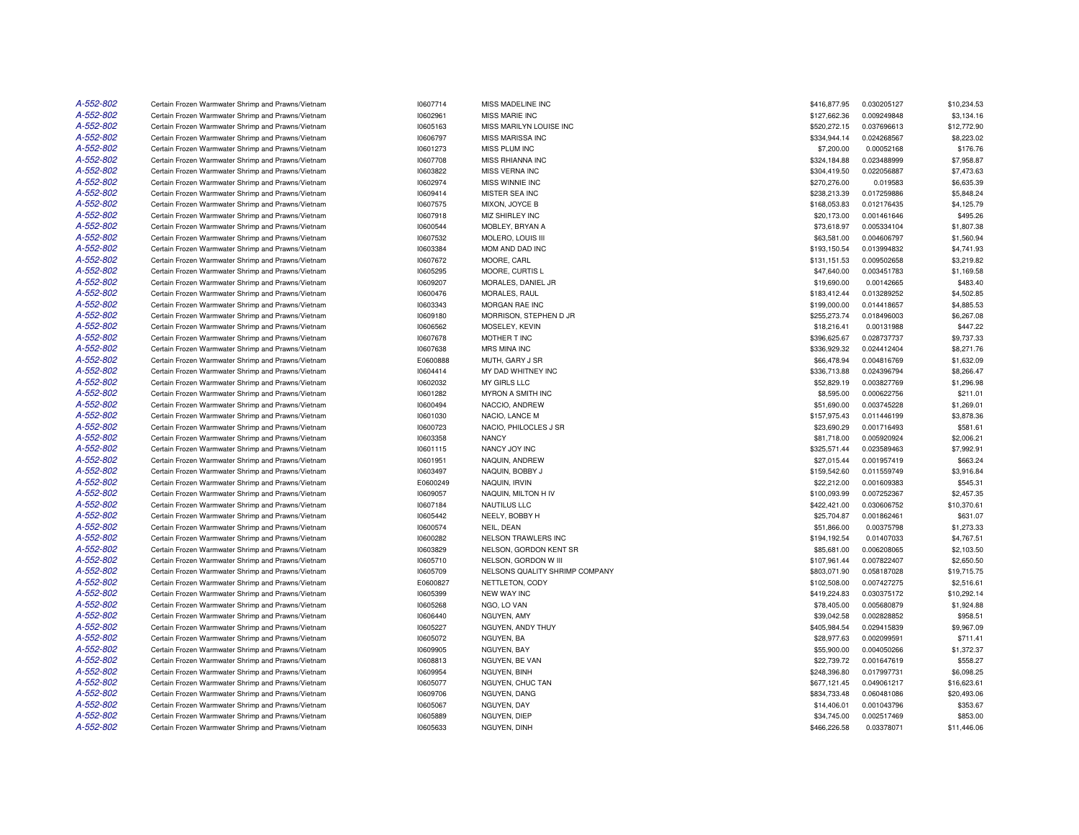| A-552-802 | Certain Frozen Warmwater Shrimp and Prawns/Vietnam                                                       | 10607714 | MISS MADELINE INC              | \$416,877.95                | 0.030205127                | \$10,234.53 |
|-----------|----------------------------------------------------------------------------------------------------------|----------|--------------------------------|-----------------------------|----------------------------|-------------|
| A-552-802 | Certain Frozen Warmwater Shrimp and Prawns/Vietnam                                                       | 10602961 | <b>MISS MARIE INC</b>          | \$127,662.36                | 0.009249848                | \$3,134.16  |
| A-552-802 | Certain Frozen Warmwater Shrimp and Prawns/Vietnam                                                       | 10605163 | MISS MARILYN LOUISE INC        | \$520,272.15                | 0.037696613                | \$12,772.90 |
| A-552-802 | Certain Frozen Warmwater Shrimp and Prawns/Vietnam                                                       | 10606797 | MISS MARISSA INC               | \$334,944.14                | 0.024268567                | \$8,223.02  |
| A-552-802 | Certain Frozen Warmwater Shrimp and Prawns/Vietnam                                                       | 10601273 | MISS PLUM INC                  | \$7,200.00                  | 0.00052168                 | \$176.76    |
| A-552-802 | Certain Frozen Warmwater Shrimp and Prawns/Vietnam                                                       | 10607708 | MISS RHIANNA INC               | \$324,184.88                | 0.023488999                | \$7,958.87  |
| A-552-802 | Certain Frozen Warmwater Shrimp and Prawns/Vietnam                                                       | 10603822 | <b>MISS VERNA INC</b>          | \$304,419.50                | 0.022056887                | \$7,473.63  |
| A-552-802 | Certain Frozen Warmwater Shrimp and Prawns/Vietnam                                                       | 10602974 | <b>MISS WINNIE INC</b>         | \$270,276.00                | 0.019583                   | \$6,635.39  |
| A-552-802 | Certain Frozen Warmwater Shrimp and Prawns/Vietnam                                                       | 10609414 | MISTER SEA INC                 | \$238,213.39                | 0.017259886                | \$5,848.24  |
| A-552-802 | Certain Frozen Warmwater Shrimp and Prawns/Vietnam                                                       | 10607575 | MIXON, JOYCE B                 | \$168,053.83                | 0.012176435                | \$4,125.79  |
| A-552-802 | Certain Frozen Warmwater Shrimp and Prawns/Vietnam                                                       | 10607918 | MIZ SHIRLEY INC                | \$20,173.00                 | 0.001461646                | \$495.26    |
| A-552-802 | Certain Frozen Warmwater Shrimp and Prawns/Vietnam                                                       | 10600544 | MOBLEY, BRYAN A                | \$73,618.97                 | 0.005334104                | \$1,807.38  |
| A-552-802 | Certain Frozen Warmwater Shrimp and Prawns/Vietnam                                                       | 10607532 | MOLERO, LOUIS III              | \$63,581.00                 | 0.004606797                | \$1,560.94  |
| A-552-802 | Certain Frozen Warmwater Shrimp and Prawns/Vietnam                                                       | 10603384 | MOM AND DAD INC                | \$193,150.54                | 0.013994832                | \$4,741.93  |
| A-552-802 | Certain Frozen Warmwater Shrimp and Prawns/Vietnam                                                       | 10607672 | MOORE, CARL                    | \$131,151.53                | 0.009502658                | \$3,219.82  |
| A-552-802 | Certain Frozen Warmwater Shrimp and Prawns/Vietnam                                                       | 10605295 | MOORE, CURTIS L                | \$47,640.00                 | 0.003451783                | \$1,169.58  |
| A-552-802 | Certain Frozen Warmwater Shrimp and Prawns/Vietnam                                                       | 10609207 | MORALES, DANIEL JR             | \$19,690.00                 | 0.00142665                 | \$483.40    |
| A-552-802 | Certain Frozen Warmwater Shrimp and Prawns/Vietnam                                                       | 10600476 | MORALES, RAUL                  | \$183,412.44                | 0.013289252                | \$4,502.85  |
| A-552-802 | Certain Frozen Warmwater Shrimp and Prawns/Vietnam                                                       | 10603343 | MORGAN RAE INC                 | \$199,000.00                | 0.014418657                | \$4,885.53  |
| A-552-802 | Certain Frozen Warmwater Shrimp and Prawns/Vietnam                                                       | 10609180 | MORRISON, STEPHEN D JR         | \$255,273.74                | 0.018496003                | \$6,267.08  |
| A-552-802 | Certain Frozen Warmwater Shrimp and Prawns/Vietnam                                                       | 10606562 | MOSELEY, KEVIN                 | \$18,216.41                 | 0.00131988                 | \$447.22    |
| A-552-802 | Certain Frozen Warmwater Shrimp and Prawns/Vietnam                                                       | 10607678 | MOTHER T INC                   | \$396.625.67                | 0.028737737                | \$9,737.33  |
| A-552-802 | Certain Frozen Warmwater Shrimp and Prawns/Vietnam                                                       | 10607638 | MRS MINA INC                   | \$336,929.32                | 0.024412404                | \$8,271.76  |
| A-552-802 | Certain Frozen Warmwater Shrimp and Prawns/Vietnam                                                       | E0600888 | MUTH, GARY J SR                | \$66,478.94                 | 0.004816769                | \$1,632.09  |
| A-552-802 | Certain Frozen Warmwater Shrimp and Prawns/Vietnam                                                       | 10604414 | MY DAD WHITNEY INC             | \$336,713.88                | 0.024396794                | \$8,266.47  |
| A-552-802 | Certain Frozen Warmwater Shrimp and Prawns/Vietnam                                                       | 10602032 | MY GIRLS LLC                   | \$52,829.19                 | 0.003827769                | \$1,296.98  |
| A-552-802 | Certain Frozen Warmwater Shrimp and Prawns/Vietnam                                                       | 10601282 | MYRON A SMITH INC              | \$8,595.00                  | 0.000622756                | \$211.01    |
| A-552-802 | Certain Frozen Warmwater Shrimp and Prawns/Vietnam                                                       | 10600494 | NACCIO, ANDREW                 | \$51,690.00                 | 0.003745228                | \$1,269.01  |
| A-552-802 | Certain Frozen Warmwater Shrimp and Prawns/Vietnam                                                       | 10601030 | NACIO, LANCE M                 | \$157,975.43                | 0.011446199                | \$3,878.36  |
| A-552-802 | Certain Frozen Warmwater Shrimp and Prawns/Vietnam                                                       | 10600723 | NACIO. PHILOCLES J SR          | \$23,690.29                 | 0.001716493                | \$581.61    |
| A-552-802 | Certain Frozen Warmwater Shrimp and Prawns/Vietnam                                                       | 10603358 | <b>NANCY</b>                   | \$81,718.00                 | 0.005920924                | \$2,006.21  |
| A-552-802 | Certain Frozen Warmwater Shrimp and Prawns/Vietnam                                                       | 10601115 | NANCY JOY INC                  | \$325,571.44                | 0.023589463                | \$7,992.91  |
| A-552-802 | Certain Frozen Warmwater Shrimp and Prawns/Vietnam                                                       | 10601951 | NAQUIN, ANDREW                 | \$27,015.44                 | 0.001957419                | \$663.24    |
| A-552-802 | Certain Frozen Warmwater Shrimp and Prawns/Vietnam                                                       | 10603497 | NAQUIN, BOBBY J                | \$159,542.60                | 0.011559749                | \$3,916.84  |
| A-552-802 | Certain Frozen Warmwater Shrimp and Prawns/Vietnam                                                       | E0600249 | NAQUIN, IRVIN                  | \$22,212.00                 | 0.001609383                | \$545.31    |
| A-552-802 | Certain Frozen Warmwater Shrimp and Prawns/Vietnam                                                       | 10609057 | NAQUIN, MILTON H IV            | \$100,093.99                | 0.007252367                | \$2,457.35  |
| A-552-802 | Certain Frozen Warmwater Shrimp and Prawns/Vietnam                                                       | 10607184 | NAUTILUS LLC                   | \$422,421.00                | 0.030606752                | \$10,370.61 |
| A-552-802 | Certain Frozen Warmwater Shrimp and Prawns/Vietnam                                                       | 10605442 | NEELY, BOBBY H                 | \$25,704.87                 | 0.001862461                | \$631.07    |
| A-552-802 | Certain Frozen Warmwater Shrimp and Prawns/Vietnam                                                       | 10600574 | NEIL, DEAN                     | \$51,866.00                 | 0.00375798                 | \$1,273.33  |
| A-552-802 | Certain Frozen Warmwater Shrimp and Prawns/Vietnam                                                       | 10600282 | <b>NELSON TRAWLERS INC</b>     | \$194,192.54                | 0.01407033                 | \$4,767.51  |
| A-552-802 | Certain Frozen Warmwater Shrimp and Prawns/Vietnam                                                       | 10603829 | NELSON, GORDON KENT SR         | \$85,681.00                 | 0.006208065                | \$2,103.50  |
| A-552-802 | Certain Frozen Warmwater Shrimp and Prawns/Vietnam                                                       | 10605710 | NELSON, GORDON W III           | \$107,961.44                | 0.007822407                | \$2,650.50  |
| A-552-802 | Certain Frozen Warmwater Shrimp and Prawns/Vietnam                                                       | 10605709 | NELSONS QUALITY SHRIMP COMPANY | \$803,071.90                | 0.058187028                | \$19,715.75 |
| A-552-802 | Certain Frozen Warmwater Shrimp and Prawns/Vietnam                                                       | E0600827 | NETTLETON, CODY                | \$102,508.00                | 0.007427275                | \$2,516.61  |
| A-552-802 | Certain Frozen Warmwater Shrimp and Prawns/Vietnam                                                       | 10605399 | <b>NEW WAY INC</b>             | \$419,224.83                | 0.030375172                | \$10,292.14 |
| A-552-802 | Certain Frozen Warmwater Shrimp and Prawns/Vietnam                                                       | 10605268 | NGO, LO VAN                    | \$78,405.00                 | 0.005680879                | \$1,924.88  |
| A-552-802 | Certain Frozen Warmwater Shrimp and Prawns/Vietnam                                                       | 10606440 | NGUYEN, AMY                    | \$39,042.58                 | 0.002828852                | \$958.51    |
| A-552-802 | Certain Frozen Warmwater Shrimp and Prawns/Vietnam                                                       | 10605227 | NGUYEN, ANDY THUY              | \$405,984.54                | 0.029415839                | \$9,967.09  |
| A-552-802 | Certain Frozen Warmwater Shrimp and Prawns/Vietnam                                                       | 10605072 | NGUYEN, BA                     | \$28,977.63                 | 0.002099591                | \$711.41    |
| A-552-802 | Certain Frozen Warmwater Shrimp and Prawns/Vietnam                                                       | 10609905 | NGUYEN, BAY                    | \$55,900.00                 | 0.004050266                | \$1,372.37  |
| A-552-802 |                                                                                                          | 10608813 | NGUYEN, BE VAN                 |                             |                            | \$558.27    |
| A-552-802 | Certain Frozen Warmwater Shrimp and Prawns/Vietnam<br>Certain Frozen Warmwater Shrimp and Prawns/Vietnam | 10609954 | NGUYEN, BINH                   | \$22,739.72<br>\$248,396.80 | 0.001647619<br>0.017997731 | \$6,098.25  |
| A-552-802 | Certain Frozen Warmwater Shrimp and Prawns/Vietnam                                                       | 10605077 | NGUYEN, CHUC TAN               | \$677,121.45                | 0.049061217                | \$16,623.61 |
| A-552-802 | Certain Frozen Warmwater Shrimp and Prawns/Vietnam                                                       | 10609706 | NGUYEN, DANG                   | \$834,733.48                | 0.060481086                | \$20,493.06 |
| A-552-802 | Certain Frozen Warmwater Shrimp and Prawns/Vietnam                                                       | 10605067 | NGUYEN, DAY                    | \$14,406.01                 | 0.001043796                | \$353.67    |
| A-552-802 | Certain Frozen Warmwater Shrimp and Prawns/Vietnam                                                       | 10605889 | NGUYEN, DIEP                   | \$34,745.00                 | 0.002517469                | \$853.00    |
| A-552-802 | Certain Frozen Warmwater Shrimp and Prawns/Vietnam                                                       | 10605633 | NGUYEN, DINH                   | \$466,226.58                | 0.03378071                 | \$11,446.06 |
|           |                                                                                                          |          |                                |                             |                            |             |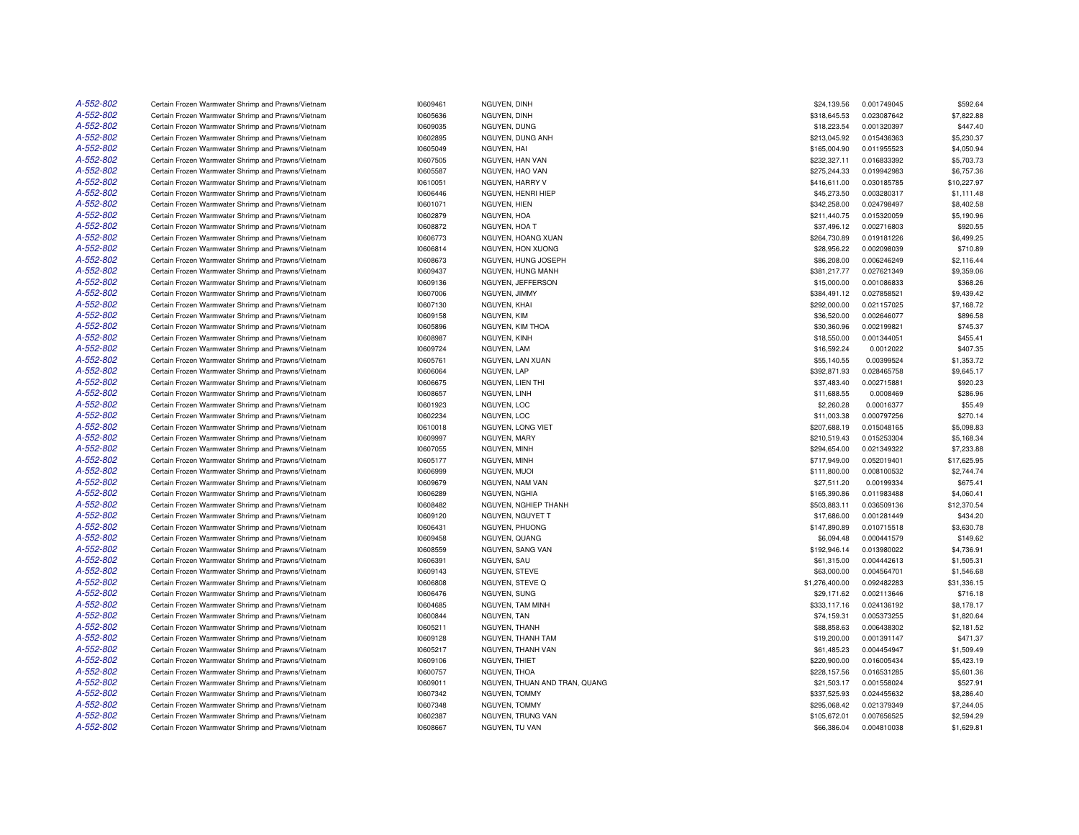| A-552-802              | Certain Frozen Warmwater Shrimp and Prawns/Vietnam                                                       | 10609461             | NGUYEN, DINH                      | \$24,139.56                 | 0.001749045                | \$592.64                  |
|------------------------|----------------------------------------------------------------------------------------------------------|----------------------|-----------------------------------|-----------------------------|----------------------------|---------------------------|
| A-552-802              | Certain Frozen Warmwater Shrimp and Prawns/Vietnam                                                       | 10605636             | NGUYEN, DINH                      | \$318,645.53                | 0.023087642                | \$7,822.88                |
| A-552-802              | Certain Frozen Warmwater Shrimp and Prawns/Vietnam                                                       | 10609035             | NGUYEN, DUNG                      | \$18,223.54                 | 0.001320397                | \$447.40                  |
| A-552-802              | Certain Frozen Warmwater Shrimp and Prawns/Vietnam                                                       | 10602895             | NGUYEN, DUNG ANH                  | \$213,045.92                | 0.015436363                | \$5,230.37                |
| A-552-802              | Certain Frozen Warmwater Shrimp and Prawns/Vietnam                                                       | 10605049             | NGUYEN, HAI                       | \$165,004.90                | 0.011955523                | \$4,050.94                |
| A-552-802              | Certain Frozen Warmwater Shrimp and Prawns/Vietnam                                                       | 10607505             | NGUYEN, HAN VAN                   | \$232,327.11                | 0.016833392                | \$5,703.73                |
| A-552-802              | Certain Frozen Warmwater Shrimp and Prawns/Vietnam                                                       | 10605587             | NGUYEN, HAO VAN                   | \$275,244.33                | 0.019942983                | \$6,757.36                |
| A-552-802              | Certain Frozen Warmwater Shrimp and Prawns/Vietnam                                                       | 10610051             | NGUYEN, HARRY V                   | \$416,611.00                | 0.030185785                | \$10,227.97               |
| A-552-802              | Certain Frozen Warmwater Shrimp and Prawns/Vietnam                                                       | 10606446             | NGUYEN, HENRI HIEP                | \$45,273.50                 | 0.003280317                | \$1,111.48                |
| A-552-802              | Certain Frozen Warmwater Shrimp and Prawns/Vietnam                                                       | 10601071             | NGUYEN, HIEN                      | \$342,258.00                | 0.024798497                | \$8,402.58                |
| A-552-802              | Certain Frozen Warmwater Shrimp and Prawns/Vietnam                                                       | 10602879             | NGUYEN, HOA                       | \$211,440.75                | 0.015320059                | \$5,190.96                |
| A-552-802              | Certain Frozen Warmwater Shrimp and Prawns/Vietnam                                                       | 10608872             | NGUYEN, HOA T                     | \$37,496.12                 | 0.002716803                | \$920.55                  |
| A-552-802              | Certain Frozen Warmwater Shrimp and Prawns/Vietnam                                                       | 10606773             | NGUYEN, HOANG XUAN                | \$264,730.89                | 0.019181226                | \$6,499.25                |
| A-552-802              | Certain Frozen Warmwater Shrimp and Prawns/Vietnam                                                       | 10606814             | NGUYEN, HON XUONG                 | \$28,956.22                 | 0.002098039                | \$710.89                  |
| A-552-802              | Certain Frozen Warmwater Shrimp and Prawns/Vietnam                                                       | 10608673             | NGUYEN, HUNG JOSEPH               | \$86,208.00                 | 0.006246249                | \$2,116.44                |
| A-552-802              | Certain Frozen Warmwater Shrimp and Prawns/Vietnam                                                       | 10609437             | NGUYEN, HUNG MANH                 | \$381,217.77                | 0.027621349                | \$9,359.06                |
| A-552-802              | Certain Frozen Warmwater Shrimp and Prawns/Vietnam                                                       | 10609136             | NGUYEN, JEFFERSON                 | \$15,000.00                 | 0.001086833                | \$368.26                  |
| A-552-802              | Certain Frozen Warmwater Shrimp and Prawns/Vietnam                                                       | 10607006             | NGUYEN, JIMMY                     | \$384,491.12                | 0.027858521                | \$9,439.42                |
| A-552-802              | Certain Frozen Warmwater Shrimp and Prawns/Vietnam                                                       | 10607130             | NGUYEN, KHAI                      | \$292,000.00                | 0.021157025                | \$7,168.72                |
| A-552-802              | Certain Frozen Warmwater Shrimp and Prawns/Vietnam                                                       | 10609158             | NGUYEN, KIM                       | \$36,520.00                 | 0.002646077                | \$896.58                  |
| A-552-802              | Certain Frozen Warmwater Shrimp and Prawns/Vietnam                                                       | 10605896             | NGUYEN, KIM THOA                  | \$30,360.96                 | 0.002199821                | \$745.37                  |
| A-552-802              | Certain Frozen Warmwater Shrimp and Prawns/Vietnam                                                       | 10608987             | NGUYEN, KINH                      | \$18,550.00                 | 0.001344051                | \$455.41                  |
| A-552-802              | Certain Frozen Warmwater Shrimp and Prawns/Vietnam                                                       | 10609724             | NGUYEN, LAM                       | \$16,592.24                 | 0.0012022                  | \$407.35                  |
| A-552-802              | Certain Frozen Warmwater Shrimp and Prawns/Vietnam                                                       | 10605761             | NGUYEN, LAN XUAN                  | \$55,140.55                 | 0.00399524                 | \$1,353.72                |
| A-552-802              | Certain Frozen Warmwater Shrimp and Prawns/Vietnam                                                       | 10606064             | NGUYEN, LAP                       | \$392,871.93                | 0.028465758                | \$9,645.17                |
| A-552-802              | Certain Frozen Warmwater Shrimp and Prawns/Vietnam                                                       | 10606675             | NGUYEN, LIEN THI                  | \$37,483.40                 | 0.002715881                | \$920.23                  |
| A-552-802              | Certain Frozen Warmwater Shrimp and Prawns/Vietnam                                                       | 10608657             | NGUYEN, LINH                      | \$11,688.55                 | 0.0008469                  | \$286.96                  |
| A-552-802              | Certain Frozen Warmwater Shrimp and Prawns/Vietnam                                                       | 10601923             | NGUYEN, LOC                       | \$2,260.28                  | 0.00016377                 | \$55.49                   |
| A-552-802              |                                                                                                          |                      |                                   |                             |                            | \$270.14                  |
| A-552-802              | Certain Frozen Warmwater Shrimp and Prawns/Vietnam<br>Certain Frozen Warmwater Shrimp and Prawns/Vietnam | 10602234             | NGUYEN, LOC                       | \$11,003.38<br>\$207,688.19 | 0.000797256<br>0.015048165 |                           |
| A-552-802              | Certain Frozen Warmwater Shrimp and Prawns/Vietnam                                                       | 10610018<br>10609997 | NGUYEN, LONG VIET<br>NGUYEN, MARY | \$210,519.43                | 0.015253304                | \$5,098.83<br>\$5,168.34  |
| A-552-802              |                                                                                                          |                      |                                   |                             | 0.021349322                |                           |
| A-552-802              | Certain Frozen Warmwater Shrimp and Prawns/Vietnam                                                       | 10607055             | NGUYEN, MINH                      | \$294,654.00                |                            | \$7,233.88<br>\$17,625.95 |
| A-552-802              | Certain Frozen Warmwater Shrimp and Prawns/Vietnam                                                       | 10605177             | NGUYEN, MINH                      | \$717,949.00                | 0.052019401                |                           |
| A-552-802              | Certain Frozen Warmwater Shrimp and Prawns/Vietnam                                                       | 10606999             | NGUYEN, MUOI                      | \$111,800.00                | 0.008100532                | \$2,744.74                |
| A-552-802              | Certain Frozen Warmwater Shrimp and Prawns/Vietnam                                                       | 10609679             | NGUYEN, NAM VAN                   | \$27,511.20                 | 0.00199334                 | \$675.41                  |
| A-552-802              | Certain Frozen Warmwater Shrimp and Prawns/Vietnam                                                       | 10606289             | NGUYEN, NGHIA                     | \$165,390.86                | 0.011983488                | \$4,060.41                |
|                        | Certain Frozen Warmwater Shrimp and Prawns/Vietnam                                                       | 10608482             | NGUYEN, NGHIEP THANH              | \$503,883.11                | 0.036509136                | \$12,370.54               |
| A-552-802<br>A-552-802 | Certain Frozen Warmwater Shrimp and Prawns/Vietnam                                                       | 10609120             | NGUYEN, NGUYET T                  | \$17,686.00                 | 0.001281449                | \$434.20                  |
|                        | Certain Frozen Warmwater Shrimp and Prawns/Vietnam                                                       | 10606431             | NGUYEN, PHUONG                    | \$147,890.89                | 0.010715518                | \$3,630.78                |
| A-552-802              | Certain Frozen Warmwater Shrimp and Prawns/Vietnam                                                       | 10609458             | NGUYEN, QUANG                     | \$6,094.48                  | 0.000441579                | \$149.62                  |
| A-552-802              | Certain Frozen Warmwater Shrimp and Prawns/Vietnam                                                       | 10608559             | NGUYEN, SANG VAN                  | \$192,946.14                | 0.013980022                | \$4,736.91                |
| A-552-802              | Certain Frozen Warmwater Shrimp and Prawns/Vietnam                                                       | 10606391             | NGUYEN, SAU                       | \$61,315.00                 | 0.004442613                | \$1,505.31                |
| A-552-802<br>A-552-802 | Certain Frozen Warmwater Shrimp and Prawns/Vietnam                                                       | 10609143             | NGUYEN, STEVE                     | \$63,000.00                 | 0.004564701                | \$1,546.68                |
|                        | Certain Frozen Warmwater Shrimp and Prawns/Vietnam                                                       | 10606808             | NGUYEN, STEVE Q                   | \$1,276,400.00              | 0.092482283                | \$31,336.15               |
| A-552-802              | Certain Frozen Warmwater Shrimp and Prawns/Vietnam                                                       | 10606476             | NGUYEN, SUNG                      | \$29,171.62                 | 0.002113646                | \$716.18                  |
| A-552-802              | Certain Frozen Warmwater Shrimp and Prawns/Vietnam                                                       | 10604685             | NGUYEN, TAM MINH                  | \$333,117.16                | 0.024136192                | \$8,178.17                |
| A-552-802              | Certain Frozen Warmwater Shrimp and Prawns/Vietnam                                                       | 10600844             | NGUYEN, TAN                       | \$74,159.31                 | 0.005373255                | \$1,820.64                |
| A-552-802              | Certain Frozen Warmwater Shrimp and Prawns/Vietnam                                                       | 10605211             | NGUYEN, THANH                     | \$88,858.63                 | 0.006438302                | \$2,181.52                |
| A-552-802              | Certain Frozen Warmwater Shrimp and Prawns/Vietnam                                                       | 10609128             | NGUYEN, THANH TAM                 | \$19,200.00                 | 0.001391147                | \$471.37                  |
| A-552-802              | Certain Frozen Warmwater Shrimp and Prawns/Vietnam                                                       | 10605217             | NGUYEN, THANH VAN                 | \$61,485.23                 | 0.004454947                | \$1,509.49                |
| A-552-802              | Certain Frozen Warmwater Shrimp and Prawns/Vietnam                                                       | 10609106             | NGUYEN, THIET                     | \$220,900.00                | 0.016005434                | \$5,423.19                |
| A-552-802              | Certain Frozen Warmwater Shrimp and Prawns/Vietnam                                                       | 10600757             | NGUYEN, THOA                      | \$228,157.56                | 0.016531285                | \$5,601.36                |
| A-552-802              | Certain Frozen Warmwater Shrimp and Prawns/Vietnam                                                       | 10609011             | NGUYEN, THUAN AND TRAN, QUANG     | \$21,503.17                 | 0.001558024                | \$527.91                  |
| A-552-802              | Certain Frozen Warmwater Shrimp and Prawns/Vietnam                                                       | 10607342             | NGUYEN, TOMMY                     | \$337,525.93                | 0.024455632                | \$8,286.40                |
| A-552-802              | Certain Frozen Warmwater Shrimp and Prawns/Vietnam                                                       | 10607348             | NGUYEN, TOMMY                     | \$295,068.42                | 0.021379349                | \$7,244.05                |
| A-552-802              | Certain Frozen Warmwater Shrimp and Prawns/Vietnam                                                       | 10602387             | NGUYEN, TRUNG VAN                 | \$105,672.01                | 0.007656525                | \$2,594.29                |
| A-552-802              | Certain Frozen Warmwater Shrimp and Prawns/Vietnam                                                       | 10608667             | NGUYEN, TU VAN                    | \$66,386.04                 | 0.004810038                | \$1,629.81                |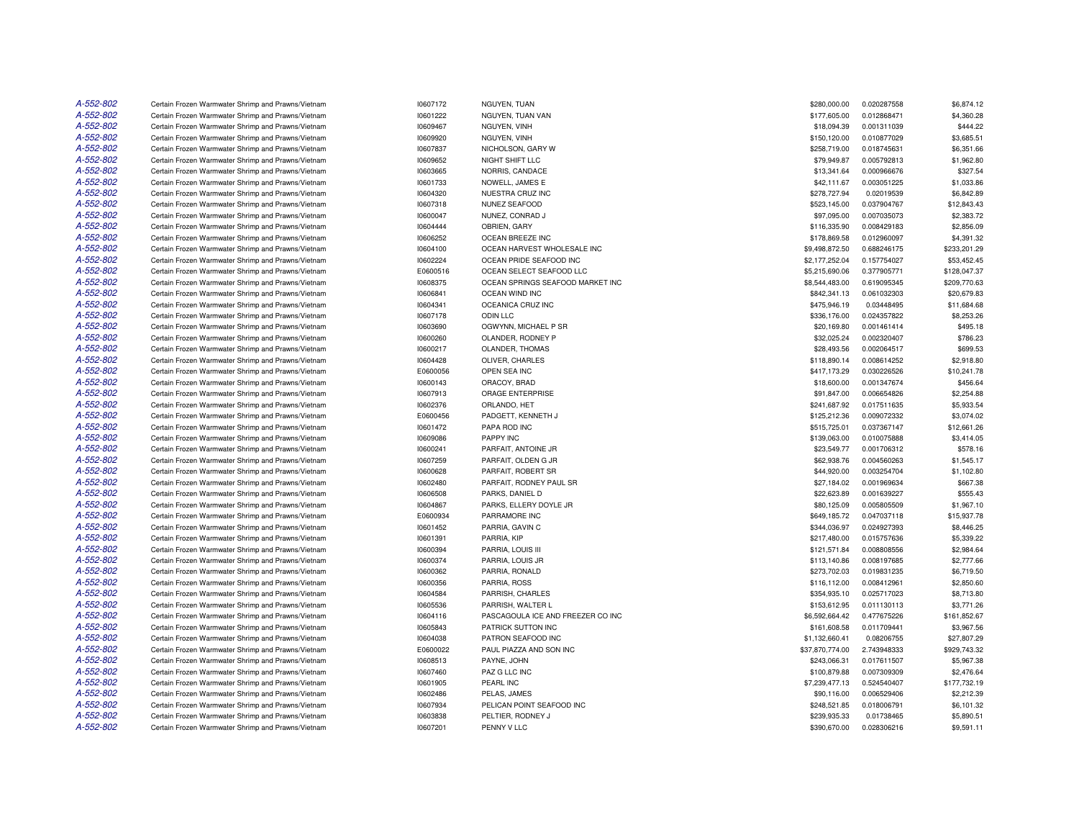| A-552-802              | Certain Frozen Warmwater Shrimp and Prawns/Vietnam                                                       | 10607172 | NGUYEN, TUAN                      | \$280,000.00    | 0.020287558 | \$6,874.12   |
|------------------------|----------------------------------------------------------------------------------------------------------|----------|-----------------------------------|-----------------|-------------|--------------|
| A-552-802              | Certain Frozen Warmwater Shrimp and Prawns/Vietnam                                                       | 10601222 | NGUYEN, TUAN VAN                  | \$177,605.00    | 0.012868471 | \$4,360.28   |
| A-552-802              | Certain Frozen Warmwater Shrimp and Prawns/Vietnam                                                       | 10609467 | NGUYEN, VINH                      | \$18,094.39     | 0.001311039 | \$444.22     |
| A-552-802              | Certain Frozen Warmwater Shrimp and Prawns/Vietnam                                                       | 10609920 | NGUYEN, VINH                      | \$150,120.00    | 0.010877029 | \$3,685.51   |
| A-552-802              | Certain Frozen Warmwater Shrimp and Prawns/Vietnam                                                       | 10607837 | NICHOLSON, GARY W                 | \$258,719.00    | 0.018745631 | \$6,351.66   |
| A-552-802              | Certain Frozen Warmwater Shrimp and Prawns/Vietnam                                                       | 10609652 | NIGHT SHIFT LLC                   | \$79,949.87     | 0.005792813 | \$1,962.80   |
| A-552-802              | Certain Frozen Warmwater Shrimp and Prawns/Vietnam                                                       | 10603665 | NORRIS, CANDACE                   | \$13,341.64     | 0.000966676 | \$327.54     |
| A-552-802              | Certain Frozen Warmwater Shrimp and Prawns/Vietnam                                                       | 10601733 | NOWELL, JAMES E                   | \$42,111.67     | 0.003051225 | \$1,033.86   |
| A-552-802              | Certain Frozen Warmwater Shrimp and Prawns/Vietnam                                                       | 10604320 | NUESTRA CRUZ INC                  | \$278,727.94    | 0.02019539  | \$6,842.89   |
| A-552-802              | Certain Frozen Warmwater Shrimp and Prawns/Vietnam                                                       | 10607318 | NUNEZ SEAFOOD                     | \$523,145.00    | 0.037904767 | \$12,843.43  |
| A-552-802              | Certain Frozen Warmwater Shrimp and Prawns/Vietnam                                                       | 10600047 | NUNEZ, CONRAD J                   | \$97,095.00     | 0.007035073 | \$2,383.72   |
| A-552-802              | Certain Frozen Warmwater Shrimp and Prawns/Vietnam                                                       | 10604444 | OBRIEN, GARY                      | \$116,335.90    | 0.008429183 | \$2,856.09   |
| A-552-802              | Certain Frozen Warmwater Shrimp and Prawns/Vietnam                                                       | 10606252 | OCEAN BREEZE INC                  | \$178,869.58    | 0.012960097 | \$4,391.32   |
| A-552-802              | Certain Frozen Warmwater Shrimp and Prawns/Vietnam                                                       | 10604100 | OCEAN HARVEST WHOLESALE INC       | \$9,498,872.50  | 0.688246175 | \$233,201.29 |
| A-552-802              | Certain Frozen Warmwater Shrimp and Prawns/Vietnam                                                       | 10602224 | OCEAN PRIDE SEAFOOD INC           | \$2,177,252.04  | 0.157754027 | \$53,452.45  |
| A-552-802              | Certain Frozen Warmwater Shrimp and Prawns/Vietnam                                                       | E0600516 | OCEAN SELECT SEAFOOD LLC          | \$5,215,690.06  | 0.377905771 | \$128,047.37 |
| A-552-802              | Certain Frozen Warmwater Shrimp and Prawns/Vietnam                                                       | 10608375 | OCEAN SPRINGS SEAFOOD MARKET INC  | \$8,544,483.00  | 0.619095345 | \$209,770.63 |
| A-552-802              | Certain Frozen Warmwater Shrimp and Prawns/Vietnam                                                       | 10606841 | OCEAN WIND INC                    | \$842,341.13    | 0.061032303 | \$20,679.83  |
| A-552-802              | Certain Frozen Warmwater Shrimp and Prawns/Vietnam                                                       | 10604341 | OCEANICA CRUZ INC                 | \$475,946.19    | 0.03448495  | \$11,684.68  |
| A-552-802              |                                                                                                          |          |                                   |                 |             |              |
| A-552-802              | Certain Frozen Warmwater Shrimp and Prawns/Vietnam<br>Certain Frozen Warmwater Shrimp and Prawns/Vietnam | 10607178 | <b>ODIN LLC</b>                   | \$336,176.00    | 0.024357822 | \$8,253.26   |
|                        |                                                                                                          | 10603690 | OGWYNN, MICHAEL P SR              | \$20,169.80     | 0.001461414 | \$495.18     |
| A-552-802<br>A-552-802 | Certain Frozen Warmwater Shrimp and Prawns/Vietnam                                                       | 10600260 | OLANDER, RODNEY P                 | \$32,025.24     | 0.002320407 | \$786.23     |
|                        | Certain Frozen Warmwater Shrimp and Prawns/Vietnam                                                       | 10600217 | OLANDER, THOMAS                   | \$28,493.56     | 0.002064517 | \$699.53     |
| A-552-802              | Certain Frozen Warmwater Shrimp and Prawns/Vietnam                                                       | 10604428 | OLIVER, CHARLES                   | \$118,890.14    | 0.008614252 | \$2,918.80   |
| A-552-802              | Certain Frozen Warmwater Shrimp and Prawns/Vietnam                                                       | E0600056 | OPEN SEA INC                      | \$417,173.29    | 0.030226526 | \$10,241.78  |
| A-552-802              | Certain Frozen Warmwater Shrimp and Prawns/Vietnam                                                       | 10600143 | ORACOY, BRAD                      | \$18,600.00     | 0.001347674 | \$456.64     |
| A-552-802              | Certain Frozen Warmwater Shrimp and Prawns/Vietnam                                                       | 10607913 | ORAGE ENTERPRISE                  | \$91,847.00     | 0.006654826 | \$2,254.88   |
| A-552-802              | Certain Frozen Warmwater Shrimp and Prawns/Vietnam                                                       | 10602376 | ORLANDO, HET                      | \$241,687.92    | 0.017511635 | \$5,933.54   |
| A-552-802              | Certain Frozen Warmwater Shrimp and Prawns/Vietnam                                                       | E0600456 | PADGETT, KENNETH J                | \$125,212.36    | 0.009072332 | \$3,074.02   |
| A-552-802              | Certain Frozen Warmwater Shrimp and Prawns/Vietnam                                                       | 10601472 | PAPA ROD INC                      | \$515,725.01    | 0.037367147 | \$12,661.26  |
| A-552-802              | Certain Frozen Warmwater Shrimp and Prawns/Vietnam                                                       | 10609086 | PAPPY INC                         | \$139,063.00    | 0.010075888 | \$3,414.05   |
| A-552-802              | Certain Frozen Warmwater Shrimp and Prawns/Vietnam                                                       | 10600241 | PARFAIT, ANTOINE JR               | \$23,549.77     | 0.001706312 | \$578.16     |
| A-552-802              | Certain Frozen Warmwater Shrimp and Prawns/Vietnam                                                       | 10607259 | PARFAIT, OLDEN G JR               | \$62,938.76     | 0.004560263 | \$1,545.17   |
| A-552-802              | Certain Frozen Warmwater Shrimp and Prawns/Vietnam                                                       | 10600628 | PARFAIT, ROBERT SR                | \$44,920.00     | 0.003254704 | \$1,102.80   |
| A-552-802              | Certain Frozen Warmwater Shrimp and Prawns/Vietnam                                                       | 10602480 | PARFAIT, RODNEY PAUL SR           | \$27,184.02     | 0.001969634 | \$667.38     |
| A-552-802              | Certain Frozen Warmwater Shrimp and Prawns/Vietnam                                                       | 10606508 | PARKS, DANIEL D                   | \$22,623.89     | 0.001639227 | \$555.43     |
| A-552-802              | Certain Frozen Warmwater Shrimp and Prawns/Vietnam                                                       | 10604867 | PARKS, ELLERY DOYLE JR            | \$80,125.09     | 0.005805509 | \$1,967.10   |
| A-552-802              | Certain Frozen Warmwater Shrimp and Prawns/Vietnam                                                       | E0600934 | PARRAMORE INC                     | \$649,185.72    | 0.047037118 | \$15,937.78  |
| A-552-802              | Certain Frozen Warmwater Shrimp and Prawns/Vietnam                                                       | 10601452 | PARRIA, GAVIN C                   | \$344,036.97    | 0.024927393 | \$8,446.25   |
| A-552-802              | Certain Frozen Warmwater Shrimp and Prawns/Vietnam                                                       | 10601391 | PARRIA, KIP                       | \$217,480.00    | 0.015757636 | \$5,339.22   |
| A-552-802              | Certain Frozen Warmwater Shrimp and Prawns/Vietnam                                                       | 10600394 | PARRIA, LOUIS III                 | \$121,571.84    | 0.008808556 | \$2,984.64   |
| A-552-802              | Certain Frozen Warmwater Shrimp and Prawns/Vietnam                                                       | 10600374 | PARRIA, LOUIS JR                  | \$113,140.86    | 0.008197685 | \$2,777.66   |
| A-552-802              | Certain Frozen Warmwater Shrimp and Prawns/Vietnam                                                       | 10600362 | PARRIA, RONALD                    | \$273,702.03    | 0.019831235 | \$6,719.50   |
| A-552-802              | Certain Frozen Warmwater Shrimp and Prawns/Vietnam                                                       | 10600356 | PARRIA, ROSS                      | \$116,112.00    | 0.008412961 | \$2,850.60   |
| A-552-802              | Certain Frozen Warmwater Shrimp and Prawns/Vietnam                                                       | 10604584 | PARRISH, CHARLES                  | \$354,935.10    | 0.025717023 | \$8,713.80   |
| A-552-802              | Certain Frozen Warmwater Shrimp and Prawns/Vietnam                                                       | 10605536 | PARRISH, WALTER L                 | \$153,612.95    | 0.011130113 | \$3,771.26   |
| A-552-802              | Certain Frozen Warmwater Shrimp and Prawns/Vietnam                                                       | 10604116 | PASCAGOULA ICE AND FREEZER CO INC | \$6,592,664.42  | 0.477675226 | \$161,852.67 |
| A-552-802              | Certain Frozen Warmwater Shrimp and Prawns/Vietnam                                                       | 10605843 | PATRICK SUTTON INC                | \$161,608.58    | 0.011709441 | \$3,967.56   |
| A-552-802              | Certain Frozen Warmwater Shrimp and Prawns/Vietnam                                                       | 10604038 | PATRON SEAFOOD INC                | \$1,132,660.41  | 0.08206755  | \$27,807.29  |
| A-552-802              | Certain Frozen Warmwater Shrimp and Prawns/Vietnam                                                       | E0600022 | PAUL PIAZZA AND SON INC           | \$37,870,774.00 | 2.743948333 | \$929,743.32 |
| A-552-802              | Certain Frozen Warmwater Shrimp and Prawns/Vietnam                                                       | 10608513 | PAYNE, JOHN                       | \$243,066.31    | 0.017611507 | \$5,967.38   |
| A-552-802              | Certain Frozen Warmwater Shrimp and Prawns/Vietnam                                                       | 10607460 | PAZ G LLC INC                     | \$100,879.88    | 0.007309309 | \$2,476.64   |
| A-552-802              | Certain Frozen Warmwater Shrimp and Prawns/Vietnam                                                       | 10601905 | PEARL INC                         | \$7,239,477.13  | 0.524540407 | \$177,732.19 |
| A-552-802              | Certain Frozen Warmwater Shrimp and Prawns/Vietnam                                                       | 10602486 | PELAS, JAMES                      | \$90,116.00     | 0.006529406 | \$2,212.39   |
| A-552-802              | Certain Frozen Warmwater Shrimp and Prawns/Vietnam                                                       | 10607934 | PELICAN POINT SEAFOOD INC         | \$248,521.85    | 0.018006791 | \$6,101.32   |
| A-552-802              | Certain Frozen Warmwater Shrimp and Prawns/Vietnam                                                       | 10603838 | PELTIER, RODNEY J                 | \$239,935.33    | 0.01738465  | \$5,890.51   |
| A-552-802              | Certain Frozen Warmwater Shrimp and Prawns/Vietnam                                                       | 10607201 | PENNY V LLC                       | \$390,670.00    | 0.028306216 | \$9,591.11   |
|                        |                                                                                                          |          |                                   |                 |             |              |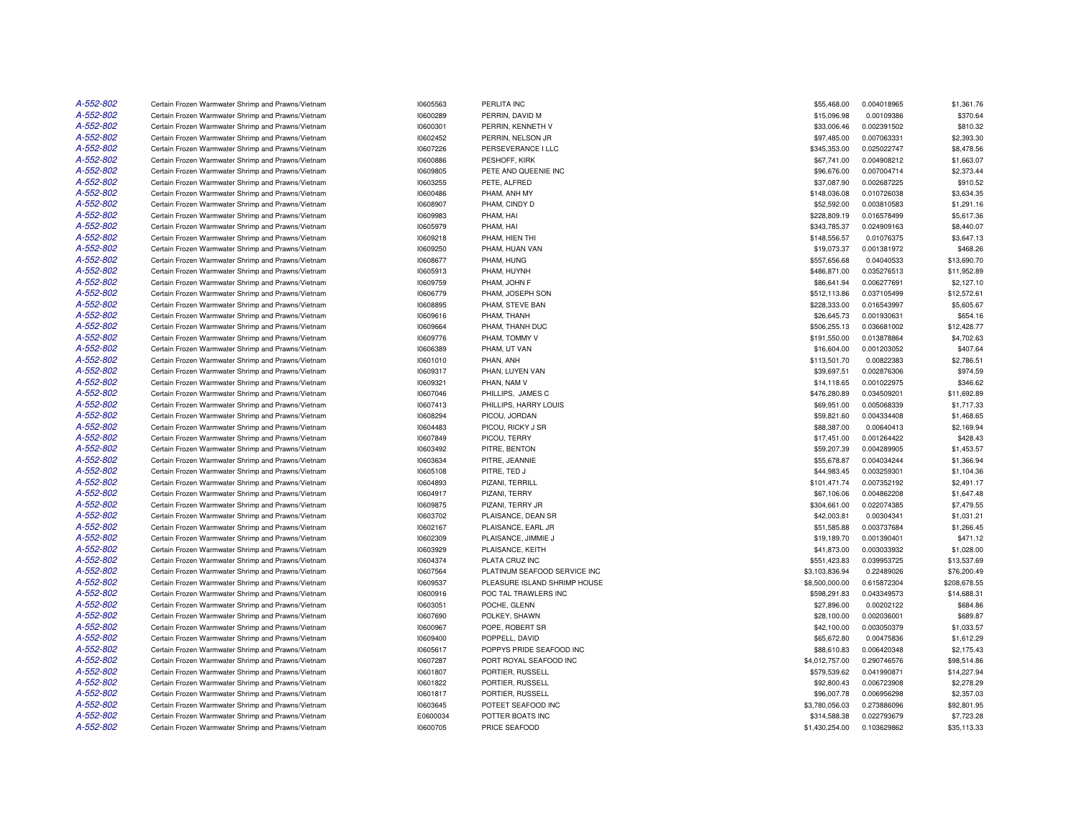| A-552-802              | Certain Frozen Warmwater Shrimp and Prawns/Vietnam                                                       | 10605563             | PERLITA INC                     | \$55,468.00                 | 0.004018965                | \$1,361.76               |
|------------------------|----------------------------------------------------------------------------------------------------------|----------------------|---------------------------------|-----------------------------|----------------------------|--------------------------|
| A-552-802              | Certain Frozen Warmwater Shrimp and Prawns/Vietnam                                                       | 10600289             | PERRIN, DAVID M                 | \$15,096.98                 | 0.00109386                 | \$370.64                 |
| A-552-802              | Certain Frozen Warmwater Shrimp and Prawns/Vietnam                                                       | 10600301             | PERRIN, KENNETH V               | \$33,006.46                 | 0.002391502                | \$810.32                 |
| A-552-802              | Certain Frozen Warmwater Shrimp and Prawns/Vietnam                                                       | 10602452             | PERRIN, NELSON JR               | \$97,485.00                 | 0.007063331                | \$2,393.30               |
| A-552-802              | Certain Frozen Warmwater Shrimp and Prawns/Vietnam                                                       | 10607226             | PERSEVERANCE I LLC              | \$345,353.00                | 0.025022747                | \$8,478.56               |
| A-552-802              | Certain Frozen Warmwater Shrimp and Prawns/Vietnam                                                       | 10600886             | PESHOFF, KIRK                   | \$67,741.00                 | 0.004908212                | \$1,663.07               |
| A-552-802              | Certain Frozen Warmwater Shrimp and Prawns/Vietnam                                                       | 10609805             | PETE AND QUEENIE INC            | \$96,676.00                 | 0.007004714                | \$2,373.44               |
| A-552-802              | Certain Frozen Warmwater Shrimp and Prawns/Vietnam                                                       | 10603255             | PETE, ALFRED                    | \$37,087.90                 | 0.002687225                | \$910.52                 |
| A-552-802              | Certain Frozen Warmwater Shrimp and Prawns/Vietnam                                                       | 10600486             | PHAM, ANH MY                    | \$148,036.08                | 0.010726038                | \$3,634.35               |
| A-552-802              | Certain Frozen Warmwater Shrimp and Prawns/Vietnam                                                       | 10608907             | PHAM, CINDY D                   | \$52,592.00                 | 0.003810583                | \$1,291.16               |
| A-552-802              | Certain Frozen Warmwater Shrimp and Prawns/Vietnam                                                       | 10609983             | PHAM, HAI                       | \$228,809.19                | 0.016578499                | \$5,617.36               |
| A-552-802              | Certain Frozen Warmwater Shrimp and Prawns/Vietnam                                                       | 10605979             | PHAM, HAI                       | \$343,785.37                | 0.024909163                | \$8,440.07               |
| A-552-802              | Certain Frozen Warmwater Shrimp and Prawns/Vietnam                                                       | 10609218             | PHAM, HIEN THI                  | \$148,556.57                | 0.01076375                 | \$3,647.13               |
| A-552-802              | Certain Frozen Warmwater Shrimp and Prawns/Vietnam                                                       | 10609250             | PHAM, HUAN VAN                  | \$19,073.37                 | 0.001381972                | \$468.26                 |
| A-552-802              | Certain Frozen Warmwater Shrimp and Prawns/Vietnam                                                       | 10608677             | PHAM, HUNG                      | \$557,656.68                | 0.04040533                 | \$13,690.70              |
| A-552-802              | Certain Frozen Warmwater Shrimp and Prawns/Vietnam                                                       | 10605913             | PHAM, HUYNH                     | \$486,871.00                | 0.035276513                | \$11,952.89              |
| A-552-802              | Certain Frozen Warmwater Shrimp and Prawns/Vietnam                                                       | 10609759             | PHAM, JOHN F                    | \$86,641.94                 | 0.006277691                | \$2,127.10               |
| A-552-802              | Certain Frozen Warmwater Shrimp and Prawns/Vietnam                                                       | 10606779             | PHAM, JOSEPH SON                | \$512,113.86                | 0.037105499                | \$12,572.61              |
| A-552-802              | Certain Frozen Warmwater Shrimp and Prawns/Vietnam                                                       | 10608895             | PHAM, STEVE BAN                 | \$228,333.00                | 0.016543997                | \$5,605.67               |
| A-552-802              | Certain Frozen Warmwater Shrimp and Prawns/Vietnam                                                       | 10609616             | PHAM, THANH                     | \$26,645.73                 | 0.001930631                | \$654.16                 |
| A-552-802              | Certain Frozen Warmwater Shrimp and Prawns/Vietnam                                                       | 10609664             | PHAM, THANH DUC                 | \$506,255.13                | 0.036681002                | \$12,428.77              |
| A-552-802              | Certain Frozen Warmwater Shrimp and Prawns/Vietnam                                                       | 10609776             | PHAM, TOMMY V                   | \$191,550.00                | 0.013878864                | \$4,702.63               |
| A-552-802              | Certain Frozen Warmwater Shrimp and Prawns/Vietnam                                                       | 10606389             | PHAM. UT VAN                    | \$16,604.00                 | 0.001203052                | \$407.64                 |
| A-552-802              | Certain Frozen Warmwater Shrimp and Prawns/Vietnam                                                       | 10601010             | PHAN, ANH                       | \$113,501.70                | 0.00822383                 | \$2,786.51               |
| A-552-802              | Certain Frozen Warmwater Shrimp and Prawns/Vietnam                                                       | 10609317             | PHAN, LUYEN VAN                 | \$39,697.51                 | 0.002876306                | \$974.59                 |
| A-552-802              | Certain Frozen Warmwater Shrimp and Prawns/Vietnam                                                       | 10609321             | PHAN, NAM V                     | \$14,118.65                 | 0.001022975                | \$346.62                 |
| A-552-802              | Certain Frozen Warmwater Shrimp and Prawns/Vietnam                                                       | 10607046             | PHILLIPS, JAMES C               | \$476,280.89                | 0.034509201                | \$11,692.89              |
| A-552-802              | Certain Frozen Warmwater Shrimp and Prawns/Vietnam                                                       | 10607413             | PHILLIPS, HARRY LOUIS           | \$69,951.00                 | 0.005068339                | \$1,717.33               |
| A-552-802              | Certain Frozen Warmwater Shrimp and Prawns/Vietnam                                                       | 10608294             | PICOU, JORDAN                   | \$59,821.60                 | 0.004334408                | \$1,468.65               |
| A-552-802              | Certain Frozen Warmwater Shrimp and Prawns/Vietnam                                                       | 10604483             | PICOU, RICKY J SR               | \$88,387.00                 | 0.00640413                 | \$2,169.94               |
| A-552-802              | Certain Frozen Warmwater Shrimp and Prawns/Vietnam                                                       | 10607849             | PICOU, TERRY                    | \$17,451.00                 | 0.001264422                | \$428.43                 |
| A-552-802              | Certain Frozen Warmwater Shrimp and Prawns/Vietnam                                                       | 10603492             | PITRE, BENTON                   | \$59,207.39                 | 0.004289905                | \$1,453.57               |
| A-552-802              | Certain Frozen Warmwater Shrimp and Prawns/Vietnam                                                       | 10603634             | PITRE, JEANNIE                  | \$55,678.87                 | 0.004034244                | \$1,366.94               |
| A-552-802              |                                                                                                          |                      |                                 |                             |                            |                          |
| A-552-802              | Certain Frozen Warmwater Shrimp and Prawns/Vietnam<br>Certain Frozen Warmwater Shrimp and Prawns/Vietnam | 10605108<br>10604893 | PITRE, TED J<br>PIZANI, TERRILL | \$44,983.45<br>\$101,471.74 | 0.003259301<br>0.007352192 | \$1,104.36<br>\$2,491.17 |
| A-552-802              | Certain Frozen Warmwater Shrimp and Prawns/Vietnam                                                       | 10604917             | PIZANI, TERRY                   | \$67,106.06                 | 0.004862208                | \$1,647.48               |
| A-552-802              |                                                                                                          | 10609875             | PIZANI, TERRY JR                |                             | 0.022074385                | \$7,479.55               |
| A-552-802              | Certain Frozen Warmwater Shrimp and Prawns/Vietnam                                                       |                      |                                 | \$304,661.00                |                            |                          |
| A-552-802              | Certain Frozen Warmwater Shrimp and Prawns/Vietnam                                                       | 10603702             | PLAISANCE, DEAN SR              | \$42,003.81                 | 0.00304341                 | \$1,031.21               |
|                        | Certain Frozen Warmwater Shrimp and Prawns/Vietnam                                                       | 10602167             | PLAISANCE, EARL JR              | \$51,585.88                 | 0.003737684                | \$1,266.45               |
| A-552-802              | Certain Frozen Warmwater Shrimp and Prawns/Vietnam                                                       | 10602309             | PLAISANCE, JIMMIE J             | \$19,189.70                 | 0.001390401                | \$471.12                 |
| A-552-802<br>A-552-802 | Certain Frozen Warmwater Shrimp and Prawns/Vietnam                                                       | 10603929             | PLAISANCE, KEITH                | \$41,873.00                 | 0.003033932                | \$1,028.00               |
|                        | Certain Frozen Warmwater Shrimp and Prawns/Vietnam                                                       | 10604374             | PLATA CRUZ INC                  | \$551,423.83                | 0.039953725                | \$13,537.69              |
| A-552-802              | Certain Frozen Warmwater Shrimp and Prawns/Vietnam                                                       | 10607564             | PLATINUM SEAFOOD SERVICE INC    | \$3,103,836.94              | 0.22489026                 | \$76,200.49              |
| A-552-802              | Certain Frozen Warmwater Shrimp and Prawns/Vietnam                                                       | 10609537             | PLEASURE ISLAND SHRIMP HOUSE    | \$8,500,000.00              | 0.615872304                | \$208,678.55             |
| A-552-802              | Certain Frozen Warmwater Shrimp and Prawns/Vietnam                                                       | 10600916             | POC TAL TRAWLERS INC            | \$598,291.83                | 0.043349573                | \$14,688.31              |
| A-552-802              | Certain Frozen Warmwater Shrimp and Prawns/Vietnam                                                       | 10603051             | POCHE, GLENN                    | \$27,896.00                 | 0.00202122                 | \$684.86                 |
| A-552-802              | Certain Frozen Warmwater Shrimp and Prawns/Vietnam                                                       | 10607690             | POLKEY, SHAWN                   | \$28,100.00                 | 0.002036001                | \$689.87                 |
| A-552-802              | Certain Frozen Warmwater Shrimp and Prawns/Vietnam                                                       | 10600967             | POPE, ROBERT SR                 | \$42,100.00                 | 0.003050379                | \$1,033.57               |
| A-552-802              | Certain Frozen Warmwater Shrimp and Prawns/Vietnam                                                       | 10609400             | POPPELL, DAVID                  | \$65,672.80                 | 0.00475836                 | \$1,612.29               |
| A-552-802              | Certain Frozen Warmwater Shrimp and Prawns/Vietnam                                                       | 10605617             | POPPYS PRIDE SEAFOOD INC        | \$88,610.83                 | 0.006420348                | \$2,175.43               |
| A-552-802              | Certain Frozen Warmwater Shrimp and Prawns/Vietnam                                                       | 10607287             | PORT ROYAL SEAFOOD INC          | \$4,012,757.00              | 0.290746576                | \$98,514.86              |
| A-552-802              | Certain Frozen Warmwater Shrimp and Prawns/Vietnam                                                       | 10601807             | PORTIER, RUSSELL                | \$579,539.62                | 0.041990871                | \$14,227.94              |
| A-552-802              | Certain Frozen Warmwater Shrimp and Prawns/Vietnam                                                       | 10601822             | PORTIER, RUSSELL                | \$92,800.43                 | 0.006723908                | \$2,278.29               |
| A-552-802              | Certain Frozen Warmwater Shrimp and Prawns/Vietnam                                                       | 10601817             | PORTIER, RUSSELL                | \$96,007.78                 | 0.006956298                | \$2,357.03               |
| A-552-802              | Certain Frozen Warmwater Shrimp and Prawns/Vietnam                                                       | 10603645             | POTEET SEAFOOD INC              | \$3,780,056.03              | 0.273886096                | \$92,801.95              |
| A-552-802              | Certain Frozen Warmwater Shrimp and Prawns/Vietnam                                                       | E0600034             | POTTER BOATS INC                | \$314,588,38                | 0.022793679                | \$7,723.28               |
| A-552-802              | Certain Frozen Warmwater Shrimp and Prawns/Vietnam                                                       | 10600705             | PRICE SEAFOOD                   | \$1,430,254.00              | 0.103629862                | \$35,113.33              |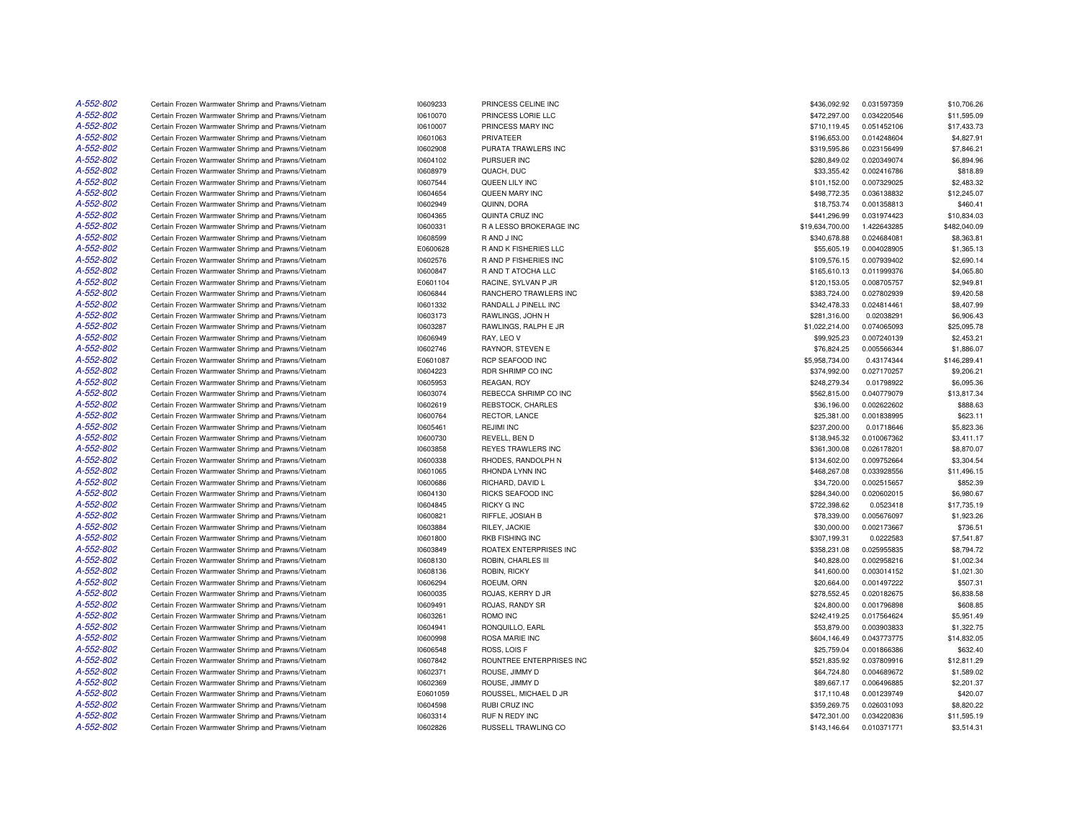| A-552-802 | Certain Frozen Warmwater Shrimp and Prawns/Vietnam                                                       | 10609233             | PRINCESS CELINE INC              | \$436,092.92                | 0.031597359                | \$10,706.26            |
|-----------|----------------------------------------------------------------------------------------------------------|----------------------|----------------------------------|-----------------------------|----------------------------|------------------------|
| A-552-802 | Certain Frozen Warmwater Shrimp and Prawns/Vietnam                                                       | 10610070             | PRINCESS LORIE LLC               | \$472,297.00                | 0.034220546                | \$11,595.09            |
| A-552-802 | Certain Frozen Warmwater Shrimp and Prawns/Vietnam                                                       | 10610007             | PRINCESS MARY INC                | \$710,119.45                | 0.051452106                | \$17,433.73            |
| A-552-802 | Certain Frozen Warmwater Shrimp and Prawns/Vietnam                                                       | 10601063             | PRIVATEER                        | \$196,653.00                | 0.014248604                | \$4,827.91             |
| A-552-802 | Certain Frozen Warmwater Shrimp and Prawns/Vietnam                                                       | 10602908             | PURATA TRAWLERS INC              | \$319,595.86                | 0.023156499                | \$7,846.21             |
| A-552-802 | Certain Frozen Warmwater Shrimp and Prawns/Vietnam                                                       | 10604102             | PURSUER INC                      | \$280,849.02                | 0.020349074                | \$6,894.96             |
| A-552-802 | Certain Frozen Warmwater Shrimp and Prawns/Vietnam                                                       | 10608979             | QUACH, DUC                       | \$33,355.42                 | 0.002416786                | \$818.89               |
| A-552-802 | Certain Frozen Warmwater Shrimp and Prawns/Vietnam                                                       | 10607544             | QUEEN LILY INC                   | \$101,152.00                | 0.007329025                | \$2,483.32             |
| A-552-802 | Certain Frozen Warmwater Shrimp and Prawns/Vietnam                                                       | 10604654             | QUEEN MARY INC                   | \$498,772.35                | 0.036138832                | \$12,245.07            |
| A-552-802 | Certain Frozen Warmwater Shrimp and Prawns/Vietnam                                                       | 10602949             | QUINN, DORA                      | \$18,753.74                 | 0.001358813                | \$460.41               |
| A-552-802 | Certain Frozen Warmwater Shrimp and Prawns/Vietnam                                                       | 10604365             | QUINTA CRUZ INC                  | \$441,296.99                | 0.031974423                | \$10,834.03            |
| A-552-802 | Certain Frozen Warmwater Shrimp and Prawns/Vietnam                                                       | 10600331             | R A LESSO BROKERAGE INC          | \$19,634,700.00             | 1.422643285                | \$482,040.09           |
| A-552-802 | Certain Frozen Warmwater Shrimp and Prawns/Vietnam                                                       | 10608599             | R AND J INC                      | \$340,678.88                | 0.024684081                | \$8,363.81             |
| A-552-802 | Certain Frozen Warmwater Shrimp and Prawns/Vietnam                                                       | E0600628             | R AND K FISHERIES LLC            | \$55,605.19                 | 0.004028905                | \$1,365.13             |
| A-552-802 | Certain Frozen Warmwater Shrimp and Prawns/Vietnam                                                       | 10602576             | R AND P FISHERIES INC            | \$109,576.15                | 0.007939402                | \$2,690.14             |
| A-552-802 | Certain Frozen Warmwater Shrimp and Prawns/Vietnam                                                       | 10600847             | R AND T ATOCHA LLC               | \$165,610.13                | 0.011999376                | \$4,065.80             |
| A-552-802 | Certain Frozen Warmwater Shrimp and Prawns/Vietnam                                                       | E0601104             | RACINE, SYLVAN P JR              | \$120,153.05                | 0.008705757                | \$2,949.81             |
| A-552-802 | Certain Frozen Warmwater Shrimp and Prawns/Vietnam                                                       | 10606844             | RANCHERO TRAWLERS INC            | \$383,724.00                | 0.027802939                | \$9,420.58             |
| A-552-802 | Certain Frozen Warmwater Shrimp and Prawns/Vietnam                                                       | 10601332             | RANDALL J PINELL INC             | \$342,478.33                | 0.024814461                | \$8,407.99             |
| A-552-802 | Certain Frozen Warmwater Shrimp and Prawns/Vietnam                                                       | 10603173             | RAWLINGS, JOHN H                 | \$281,316.00                | 0.02038291                 | \$6,906.43             |
| A-552-802 | Certain Frozen Warmwater Shrimp and Prawns/Vietnam                                                       | 10603287             | RAWLINGS, RALPH E JR             | \$1,022,214.00              | 0.074065093                | \$25,095.78            |
| A-552-802 | Certain Frozen Warmwater Shrimp and Prawns/Vietnam                                                       | 10606949             | RAY, LEO V                       | \$99,925.23                 | 0.007240139                | \$2,453.21             |
| A-552-802 | Certain Frozen Warmwater Shrimp and Prawns/Vietnam                                                       | 10602746             | RAYNOR, STEVEN E                 | \$76,824.25                 | 0.005566344                | \$1,886.07             |
| A-552-802 | Certain Frozen Warmwater Shrimp and Prawns/Vietnam                                                       | E0601087             | <b>RCP SEAFOOD INC</b>           | \$5,958,734.00              | 0.43174344                 | \$146,289.41           |
| A-552-802 | Certain Frozen Warmwater Shrimp and Prawns/Vietnam                                                       | 10604223             | RDR SHRIMP CO INC                | \$374,992.00                | 0.027170257                | \$9,206.21             |
| A-552-802 | Certain Frozen Warmwater Shrimp and Prawns/Vietnam                                                       | 10605953             | REAGAN, ROY                      | \$248,279.34                | 0.01798922                 | \$6,095.36             |
| A-552-802 | Certain Frozen Warmwater Shrimp and Prawns/Vietnam                                                       | 10603074             | REBECCA SHRIMP CO INC            | \$562,815.00                | 0.040779079                | \$13,817.34            |
| A-552-802 | Certain Frozen Warmwater Shrimp and Prawns/Vietnam                                                       | 10602619             | REBSTOCK, CHARLES                | \$36,196.00                 | 0.002622602                | \$888.63               |
| A-552-802 | Certain Frozen Warmwater Shrimp and Prawns/Vietnam                                                       | 10600764             | RECTOR, LANCE                    | \$25,381.00                 | 0.001838995                | \$623.11               |
| A-552-802 | Certain Frozen Warmwater Shrimp and Prawns/Vietnam                                                       | 10605461             | <b>REJIMI INC</b>                | \$237,200.00                | 0.01718646                 | \$5,823.36             |
| A-552-802 | Certain Frozen Warmwater Shrimp and Prawns/Vietnam                                                       | 10600730             | REVELL, BEN D                    | \$138,945.32                | 0.010067362                | \$3,411.17             |
| A-552-802 | Certain Frozen Warmwater Shrimp and Prawns/Vietnam                                                       | 10603858             | <b>REYES TRAWLERS INC</b>        | \$361,300.08                | 0.026178201                | \$8,870.07             |
| A-552-802 | Certain Frozen Warmwater Shrimp and Prawns/Vietnam                                                       | 10600338             | RHODES, RANDOLPH N               | \$134,602.00                | 0.009752664                | \$3,304.54             |
| A-552-802 | Certain Frozen Warmwater Shrimp and Prawns/Vietnam                                                       | 10601065             | RHONDA LYNN INC                  | \$468,267.08                | 0.033928556                | \$11,496.15            |
| A-552-802 | Certain Frozen Warmwater Shrimp and Prawns/Vietnam                                                       | 10600686             | RICHARD, DAVID L                 | \$34,720.00                 | 0.002515657                | \$852.39               |
| A-552-802 | Certain Frozen Warmwater Shrimp and Prawns/Vietnam                                                       | 10604130             | RICKS SEAFOOD INC                | \$284,340.00                | 0.020602015                | \$6,980.67             |
| A-552-802 | Certain Frozen Warmwater Shrimp and Prawns/Vietnam                                                       | 10604845             | <b>RICKY G INC</b>               | \$722,398.62                | 0.0523418                  | \$17,735.19            |
| A-552-802 | Certain Frozen Warmwater Shrimp and Prawns/Vietnam                                                       | 10600821             | RIFFLE, JOSIAH B                 | \$78,339.00                 | 0.005676097                | \$1,923.26             |
| A-552-802 |                                                                                                          | 10603884             |                                  |                             | 0.002173667                | \$736.51               |
| A-552-802 | Certain Frozen Warmwater Shrimp and Prawns/Vietnam<br>Certain Frozen Warmwater Shrimp and Prawns/Vietnam | 10601800             | RILEY, JACKIE<br>RKB FISHING INC | \$30,000.00<br>\$307,199.31 | 0.0222583                  | \$7,541.87             |
| A-552-802 | Certain Frozen Warmwater Shrimp and Prawns/Vietnam                                                       |                      | ROATEX ENTERPRISES INC           |                             | 0.025955835                | \$8,794.72             |
| A-552-802 |                                                                                                          | 10603849             | ROBIN, CHARLES III               | \$358,231.08<br>\$40,828.00 | 0.002958216                | \$1,002.34             |
| A-552-802 | Certain Frozen Warmwater Shrimp and Prawns/Vietnam                                                       | 10608130             |                                  |                             |                            |                        |
| A-552-802 | Certain Frozen Warmwater Shrimp and Prawns/Vietnam<br>Certain Frozen Warmwater Shrimp and Prawns/Vietnam | 10608136<br>10606294 | ROBIN, RICKY<br>ROEUM, ORN       | \$41,600.00<br>\$20,664.00  | 0.003014152<br>0.001497222 | \$1,021.30<br>\$507.31 |
| A-552-802 |                                                                                                          |                      |                                  |                             |                            |                        |
|           | Certain Frozen Warmwater Shrimp and Prawns/Vietnam                                                       | 10600035             | ROJAS, KERRY D JR                | \$278,552.45                | 0.020182675                | \$6,838.58             |
| A-552-802 | Certain Frozen Warmwater Shrimp and Prawns/Vietnam                                                       | 10609491             | ROJAS, RANDY SR                  | \$24,800.00                 | 0.001796898                | \$608.85               |
| A-552-802 | Certain Frozen Warmwater Shrimp and Prawns/Vietnam                                                       | 10603261             | ROMO INC                         | \$242,419.25                | 0.017564624                | \$5,951.49             |
| A-552-802 | Certain Frozen Warmwater Shrimp and Prawns/Vietnam                                                       | 10604941             | RONQUILLO, EARL                  | \$53,879.00                 | 0.003903833                | \$1,322.75             |
| A-552-802 | Certain Frozen Warmwater Shrimp and Prawns/Vietnam                                                       | 10600998             | ROSA MARIE INC                   | \$604,146.49                | 0.043773775                | \$14,832.05            |
| A-552-802 | Certain Frozen Warmwater Shrimp and Prawns/Vietnam                                                       | 10606548             | ROSS, LOIS F                     | \$25,759.04                 | 0.001866386                | \$632.40               |
| A-552-802 | Certain Frozen Warmwater Shrimp and Prawns/Vietnam                                                       | 10607842             | ROUNTREE ENTERPRISES INC         | \$521,835.92                | 0.037809916                | \$12,811,29            |
| A-552-802 | Certain Frozen Warmwater Shrimp and Prawns/Vietnam                                                       | 10602371             | ROUSE, JIMMY D                   | \$64,724.80                 | 0.004689672                | \$1,589.02             |
| A-552-802 | Certain Frozen Warmwater Shrimp and Prawns/Vietnam                                                       | 10602369             | ROUSE, JIMMY D                   | \$89,667.17                 | 0.006496885                | \$2,201.37             |
| A-552-802 | Certain Frozen Warmwater Shrimp and Prawns/Vietnam                                                       | E0601059             | ROUSSEL, MICHAEL D JR            | \$17,110.48                 | 0.001239749                | \$420.07               |
| A-552-802 | Certain Frozen Warmwater Shrimp and Prawns/Vietnam                                                       | 10604598             | RUBI CRUZ INC                    | \$359,269.75                | 0.026031093                | \$8,820.22             |
| A-552-802 | Certain Frozen Warmwater Shrimp and Prawns/Vietnam                                                       | 10603314             | <b>RUF N REDY INC</b>            | \$472,301.00                | 0.034220836                | \$11,595.19            |
| A-552-802 | Certain Frozen Warmwater Shrimp and Prawns/Vietnam                                                       | 10602826             | <b>RUSSELL TRAWLING CO</b>       | \$143.146.64                | 0.010371771                | \$3,514.31             |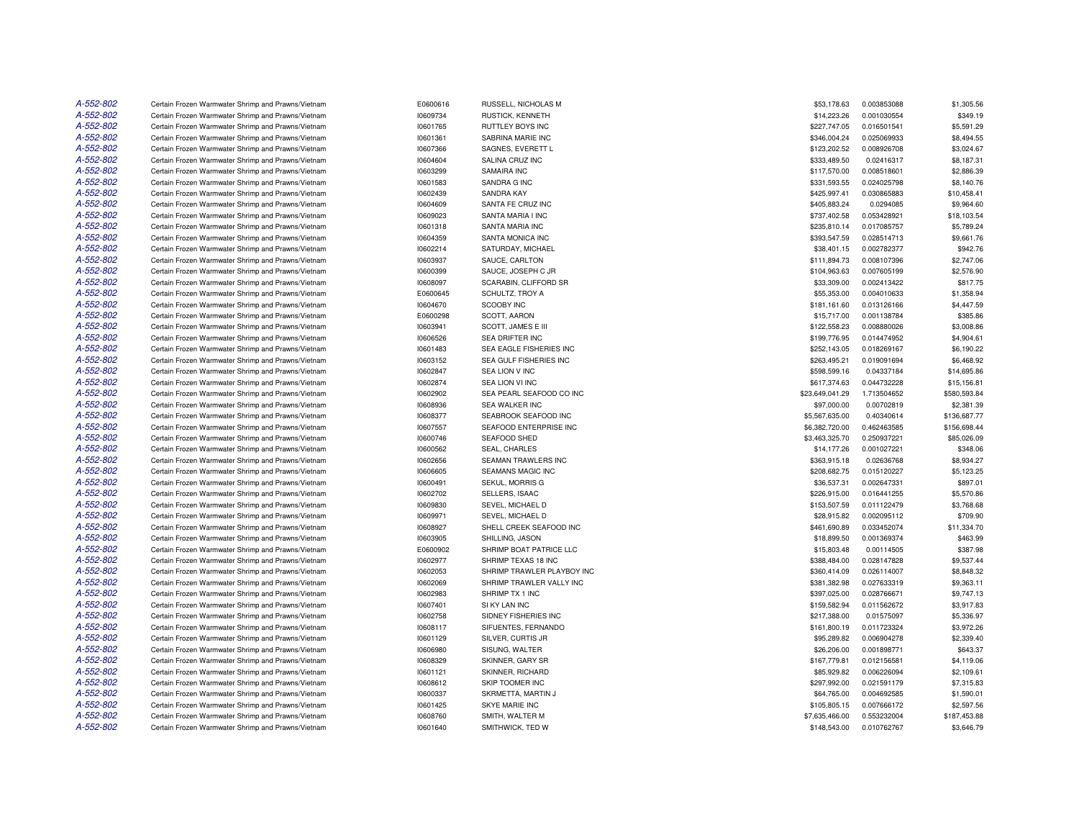| A-552-802              | Certain Frozen Warmwater Shrimp and Prawns/Vietnam | E0600616 | RUSSELL, NICHOLAS M                         | \$53,178.63     | 0.003853088 | \$1,305.56   |
|------------------------|----------------------------------------------------|----------|---------------------------------------------|-----------------|-------------|--------------|
| A-552-802              | Certain Frozen Warmwater Shrimp and Prawns/Vietnam | 10609734 | RUSTICK, KENNETH                            | \$14,223.26     | 0.001030554 | \$349.19     |
| A-552-802              | Certain Frozen Warmwater Shrimp and Prawns/Vietnam | 10601765 | RUTTLEY BOYS INC                            | \$227,747.05    | 0.016501541 | \$5,591.29   |
| A-552-802              | Certain Frozen Warmwater Shrimp and Prawns/Vietnam | 10601361 | SABRINA MARIE INC                           | \$346,004.24    | 0.025069933 | \$8,494.55   |
| A-552-802              | Certain Frozen Warmwater Shrimp and Prawns/Vietnam | 10607366 | SAGNES, EVERETT L                           | \$123,202.52    | 0.008926708 | \$3,024.67   |
| A-552-802              | Certain Frozen Warmwater Shrimp and Prawns/Vietnam | 10604604 | SALINA CRUZ INC                             | \$333,489.50    | 0.02416317  | \$8,187.31   |
| A-552-802              | Certain Frozen Warmwater Shrimp and Prawns/Vietnam | 10603299 | SAMAIRA INC                                 | \$117,570.00    | 0.008518601 | \$2,886.39   |
| A-552-802              | Certain Frozen Warmwater Shrimp and Prawns/Vietnam | 10601583 | SANDRA G INC                                | \$331,593.55    | 0.024025798 | \$8,140.76   |
| A-552-802              | Certain Frozen Warmwater Shrimp and Prawns/Vietnam | 10602439 | <b>SANDRA KAY</b>                           | \$425,997.41    | 0.030865883 | \$10,458.41  |
| A-552-802              | Certain Frozen Warmwater Shrimp and Prawns/Vietnam | 10604609 | SANTA FE CRUZ INC                           | \$405,883.24    | 0.0294085   | \$9,964.60   |
| A-552-802              | Certain Frozen Warmwater Shrimp and Prawns/Vietnam | 10609023 | SANTA MARIA I INC                           | \$737,402.58    | 0.053428921 | \$18,103.54  |
| A-552-802              | Certain Frozen Warmwater Shrimp and Prawns/Vietnam | 10601318 | SANTA MARIA INC                             | \$235,810.14    | 0.017085757 | \$5,789.24   |
| A-552-802              | Certain Frozen Warmwater Shrimp and Prawns/Vietnam | 10604359 | SANTA MONICA INC                            | \$393,547.59    | 0.028514713 | \$9,661.76   |
| A-552-802              | Certain Frozen Warmwater Shrimp and Prawns/Vietnam | 10602214 | SATURDAY, MICHAEL                           | \$38,401.15     | 0.002782377 | \$942.76     |
| A-552-802              | Certain Frozen Warmwater Shrimp and Prawns/Vietnam | 10603937 | SAUCE, CARLTON                              | \$111,894.73    | 0.008107396 | \$2,747.06   |
| A-552-802              | Certain Frozen Warmwater Shrimp and Prawns/Vietnam | 10600399 | SAUCE, JOSEPH C JR                          | \$104,963.63    | 0.007605199 | \$2,576.90   |
| A-552-802              | Certain Frozen Warmwater Shrimp and Prawns/Vietnam | 10608097 | SCARABIN, CLIFFORD SR                       | \$33,309.00     | 0.002413422 | \$817.75     |
| A-552-802              | Certain Frozen Warmwater Shrimp and Prawns/Vietnam | E0600645 | SCHULTZ, TROY A                             | \$55,353.00     | 0.004010633 | \$1,358.94   |
| A-552-802              | Certain Frozen Warmwater Shrimp and Prawns/Vietnam | 10604670 | SCOOBY INC                                  | \$181,161.60    | 0.013126166 | \$4,447.59   |
| A-552-802              | Certain Frozen Warmwater Shrimp and Prawns/Vietnam | E0600298 | SCOTT, AARON                                | \$15,717.00     | 0.001138784 | \$385.86     |
| A-552-802              | Certain Frozen Warmwater Shrimp and Prawns/Vietnam | 10603941 | SCOTT, JAMES E III                          | \$122,558.23    | 0.008880026 | \$3,008.86   |
| A-552-802              | Certain Frozen Warmwater Shrimp and Prawns/Vietnam | 10606526 | <b>SEA DRIFTER INC</b>                      | \$199,776.95    | 0.014474952 | \$4,904.61   |
| A-552-802              | Certain Frozen Warmwater Shrimp and Prawns/Vietnam | 10601483 | SEA EAGLE FISHERIES INC                     | \$252,143.05    | 0.018269167 | \$6,190.22   |
| A-552-802              | Certain Frozen Warmwater Shrimp and Prawns/Vietnam | 10603152 | SEA GULF FISHERIES INC                      | \$263,495.21    | 0.019091694 | \$6,468.92   |
| A-552-802              | Certain Frozen Warmwater Shrimp and Prawns/Vietnam | 10602847 | SEA LION V INC                              | \$598,599.16    | 0.04337184  | \$14,695.86  |
| A-552-802              | Certain Frozen Warmwater Shrimp and Prawns/Vietnam | 10602874 | SEA LION VI INC                             | \$617,374.63    | 0.044732228 | \$15,156.81  |
| A-552-802              | Certain Frozen Warmwater Shrimp and Prawns/Vietnam | 10602902 | SEA PEARL SEAFOOD CO INC                    | \$23,649,041.29 | 1.713504652 | \$580,593.84 |
| A-552-802              | Certain Frozen Warmwater Shrimp and Prawns/Vietnam | 10608936 | <b>SEA WALKER INC</b>                       | \$97,000.00     | 0.00702819  | \$2,381.39   |
| A-552-802              | Certain Frozen Warmwater Shrimp and Prawns/Vietnam | 10608377 | SEABROOK SEAFOOD INC                        | \$5,567,635.00  | 0.40340614  | \$136,687.77 |
| A-552-802              | Certain Frozen Warmwater Shrimp and Prawns/Vietnam | 10607557 | SEAFOOD ENTERPRISE INC                      | \$6,382,720.00  | 0.462463585 | \$156,698.44 |
| A-552-802              | Certain Frozen Warmwater Shrimp and Prawns/Vietnam | 10600746 | SEAFOOD SHED                                | \$3,463,325.70  | 0.250937221 | \$85,026.09  |
| A-552-802              | Certain Frozen Warmwater Shrimp and Prawns/Vietnam | 10600562 | <b>SEAL, CHARLES</b>                        | \$14,177.26     | 0.001027221 | \$348.06     |
| A-552-802              | Certain Frozen Warmwater Shrimp and Prawns/Vietnam | 10602656 | <b>SEAMAN TRAWLERS INC</b>                  | \$363.915.18    | 0.02636768  | \$8,934.27   |
| A-552-802              | Certain Frozen Warmwater Shrimp and Prawns/Vietnam | 10606605 | <b>SEAMANS MAGIC INC</b>                    | \$208,682.75    | 0.015120227 | \$5,123.25   |
| A-552-802              | Certain Frozen Warmwater Shrimp and Prawns/Vietnam | 10600491 | SEKUL, MORRIS G                             | \$36,537.31     | 0.002647331 | \$897.01     |
| A-552-802              |                                                    |          | SELLERS, ISAAC                              |                 | 0.016441255 | \$5,570.86   |
| A-552-802              | Certain Frozen Warmwater Shrimp and Prawns/Vietnam | 10602702 |                                             | \$226,915.00    |             |              |
| A-552-802              | Certain Frozen Warmwater Shrimp and Prawns/Vietnam | 10609830 | SEVEL, MICHAEL D                            | \$153,507.59    | 0.011122479 | \$3,768.68   |
| A-552-802              | Certain Frozen Warmwater Shrimp and Prawns/Vietnam | 10609971 | SEVEL, MICHAEL D<br>SHELL CREEK SEAFOOD INC | \$28,915.82     | 0.002095112 | \$709.90     |
|                        | Certain Frozen Warmwater Shrimp and Prawns/Vietnam | 10608927 |                                             | \$461,690.89    | 0.033452074 | \$11,334.70  |
| A-552-802<br>A-552-802 | Certain Frozen Warmwater Shrimp and Prawns/Vietnam | 10603905 | SHILLING, JASON                             | \$18,899.50     | 0.001369374 | \$463.99     |
|                        | Certain Frozen Warmwater Shrimp and Prawns/Vietnam | E0600902 | SHRIMP BOAT PATRICE LLC                     | \$15,803.48     | 0.00114505  | \$387.98     |
| A-552-802              | Certain Frozen Warmwater Shrimp and Prawns/Vietnam | 10602977 | SHRIMP TEXAS 18 INC                         | \$388,484.00    | 0.028147828 | \$9,537.44   |
| A-552-802              | Certain Frozen Warmwater Shrimp and Prawns/Vietnam | 10602053 | SHRIMP TRAWLER PLAYBOY INC                  | \$360,414.09    | 0.026114007 | \$8,848.32   |
| A-552-802              | Certain Frozen Warmwater Shrimp and Prawns/Vietnam | 10602069 | SHRIMP TRAWLER VALLY INC                    | \$381,382.98    | 0.027633319 | \$9,363.11   |
| A-552-802              | Certain Frozen Warmwater Shrimp and Prawns/Vietnam | 10602983 | SHRIMP TX 1 INC                             | \$397,025.00    | 0.028766671 | \$9,747.13   |
| A-552-802              | Certain Frozen Warmwater Shrimp and Prawns/Vietnam | 10607401 | SI KY LAN INC                               | \$159,582.94    | 0.011562672 | \$3,917.83   |
| A-552-802              | Certain Frozen Warmwater Shrimp and Prawns/Vietnam | 10602758 | SIDNEY FISHERIES INC                        | \$217,388.00    | 0.01575097  | \$5,336.97   |
| A-552-802              | Certain Frozen Warmwater Shrimp and Prawns/Vietnam | 10608117 | SIFUENTES, FERNANDO                         | \$161,800.19    | 0.011723324 | \$3,972.26   |
| A-552-802              | Certain Frozen Warmwater Shrimp and Prawns/Vietnam | 10601129 | SILVER, CURTIS JR                           | \$95,289.82     | 0.006904278 | \$2,339.40   |
| A-552-802              | Certain Frozen Warmwater Shrimp and Prawns/Vietnam | 10606980 | SISUNG, WALTER                              | \$26,206.00     | 0.001898771 | \$643.37     |
| A-552-802              | Certain Frozen Warmwater Shrimp and Prawns/Vietnam | 10608329 | SKINNER, GARY SR                            | \$167,779.81    | 0.012156581 | \$4,119.06   |
| A-552-802              | Certain Frozen Warmwater Shrimp and Prawns/Vietnam | 10601121 | SKINNER, RICHARD                            | \$85,929.82     | 0.006226094 | \$2,109.61   |
| A-552-802              | Certain Frozen Warmwater Shrimp and Prawns/Vietnam | 10608612 | SKIP TOOMER INC                             | \$297,992.00    | 0.021591179 | \$7,315.83   |
| A-552-802              | Certain Frozen Warmwater Shrimp and Prawns/Vietnam | 10600337 | SKRMETTA, MARTIN J                          | \$64,765.00     | 0.004692585 | \$1,590.01   |
| A-552-802              | Certain Frozen Warmwater Shrimp and Prawns/Vietnam | 10601425 | <b>SKYE MARIE INC</b>                       | \$105,805.15    | 0.007666172 | \$2,597.56   |
| A-552-802              | Certain Frozen Warmwater Shrimp and Prawns/Vietnam | 10608760 | SMITH, WALTER M                             | \$7,635,466.00  | 0.553232004 | \$187,453.88 |
| A-552-802              | Certain Frozen Warmwater Shrimp and Prawns/Vietnam | 10601640 | SMITHWICK, TED W                            | \$148,543.00    | 0.010762767 | \$3,646.79   |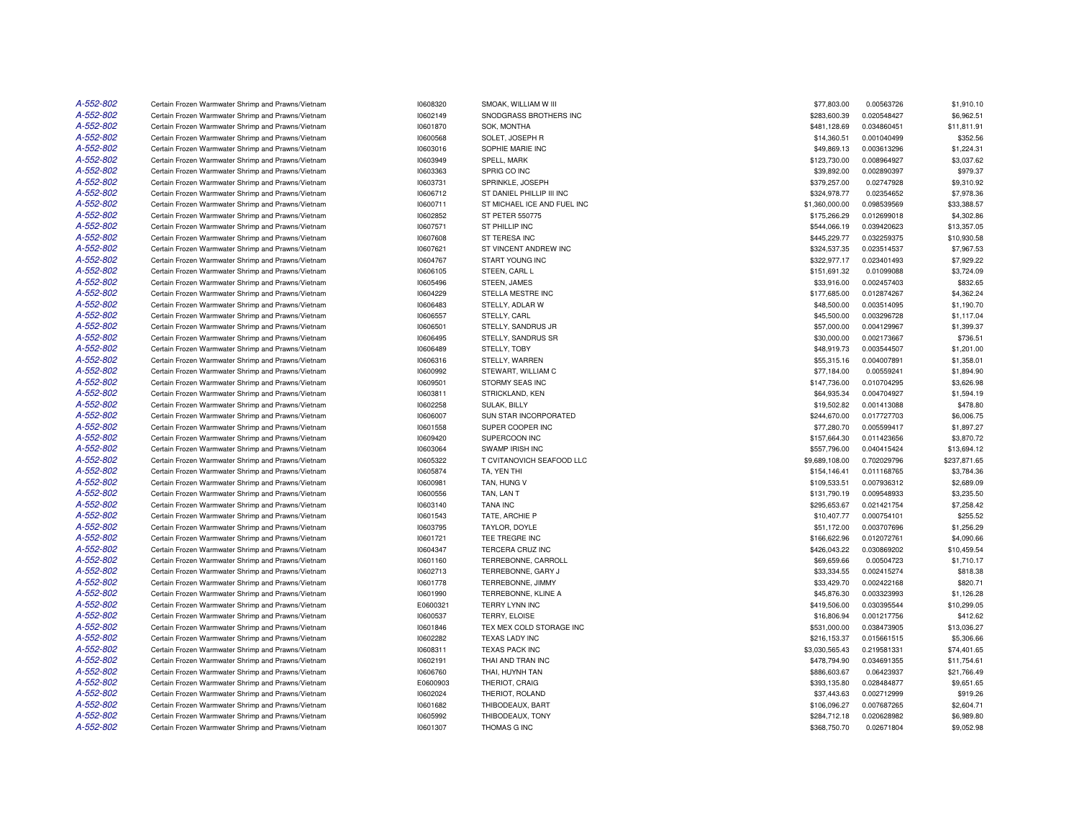| A-552-802 | Certain Frozen Warmwater Shrimp and Prawns/Vietnam | 10608320 | SMOAK, WILLIAM W III        | \$77,803.00    | 0.00563726  | \$1,910.10   |
|-----------|----------------------------------------------------|----------|-----------------------------|----------------|-------------|--------------|
| A-552-802 | Certain Frozen Warmwater Shrimp and Prawns/Vietnam | 10602149 | SNODGRASS BROTHERS INC      | \$283,600.39   | 0.020548427 | \$6,962.51   |
| A-552-802 | Certain Frozen Warmwater Shrimp and Prawns/Vietnam | 10601870 | SOK, MONTHA                 | \$481,128.69   | 0.034860451 | \$11,811.91  |
| A-552-802 | Certain Frozen Warmwater Shrimp and Prawns/Vietnam | 10600568 | SOLET, JOSEPH R             | \$14,360.51    | 0.001040499 | \$352.56     |
| A-552-802 | Certain Frozen Warmwater Shrimp and Prawns/Vietnam | 10603016 | SOPHIE MARIE INC            | \$49,869.13    | 0.003613296 | \$1,224.31   |
| A-552-802 | Certain Frozen Warmwater Shrimp and Prawns/Vietnam | 10603949 | SPELL, MARK                 | \$123,730.00   | 0.008964927 | \$3,037.62   |
| A-552-802 | Certain Frozen Warmwater Shrimp and Prawns/Vietnam | 10603363 | SPRIG CO INC                | \$39,892.00    | 0.002890397 | \$979.37     |
| A-552-802 | Certain Frozen Warmwater Shrimp and Prawns/Vietnam | 10603731 | SPRINKLE, JOSEPH            | \$379,257.00   | 0.02747928  | \$9,310.92   |
| A-552-802 | Certain Frozen Warmwater Shrimp and Prawns/Vietnam | 10606712 | ST DANIEL PHILLIP III INC   | \$324,978.77   | 0.02354652  | \$7,978.36   |
| A-552-802 | Certain Frozen Warmwater Shrimp and Prawns/Vietnam | 10600711 | ST MICHAEL ICE AND FUEL INC | \$1,360,000.00 | 0.098539569 | \$33,388.57  |
| A-552-802 | Certain Frozen Warmwater Shrimp and Prawns/Vietnam | 10602852 | ST PETER 550775             | \$175,266.29   | 0.012699018 | \$4,302.86   |
| A-552-802 | Certain Frozen Warmwater Shrimp and Prawns/Vietnam | 10607571 | ST PHILLIP INC              | \$544,066.19   | 0.039420623 | \$13,357.05  |
| A-552-802 | Certain Frozen Warmwater Shrimp and Prawns/Vietnam | 10607608 | ST TERESA INC               | \$445,229.77   | 0.032259375 | \$10,930.58  |
| A-552-802 | Certain Frozen Warmwater Shrimp and Prawns/Vietnam | 10607621 | ST VINCENT ANDREW INC       | \$324,537.35   | 0.023514537 | \$7,967.53   |
| A-552-802 | Certain Frozen Warmwater Shrimp and Prawns/Vietnam | 10604767 | START YOUNG INC             | \$322,977.17   | 0.023401493 | \$7,929.22   |
| A-552-802 | Certain Frozen Warmwater Shrimp and Prawns/Vietnam | 10606105 | STEEN, CARL L               | \$151.691.32   | 0.01099088  | \$3,724.09   |
| A-552-802 | Certain Frozen Warmwater Shrimp and Prawns/Vietnam | 10605496 | STEEN, JAMES                | \$33,916.00    | 0.002457403 | \$832.65     |
| A-552-802 | Certain Frozen Warmwater Shrimp and Prawns/Vietnam | 10604229 | STELLA MESTRE INC           | \$177,685.00   | 0.012874267 | \$4,362.24   |
| A-552-802 | Certain Frozen Warmwater Shrimp and Prawns/Vietnam | 10606483 | STELLY, ADLAR W             | \$48,500.00    | 0.003514095 | \$1,190.70   |
| A-552-802 | Certain Frozen Warmwater Shrimp and Prawns/Vietnam | 10606557 | STELLY, CARL                | \$45,500.00    | 0.003296728 | \$1,117.04   |
| A-552-802 |                                                    |          |                             |                |             |              |
| A-552-802 | Certain Frozen Warmwater Shrimp and Prawns/Vietnam | 10606501 | STELLY, SANDRUS JR          | \$57,000.00    | 0.004129967 | \$1,399.37   |
| A-552-802 | Certain Frozen Warmwater Shrimp and Prawns/Vietnam | 10606495 | STELLY, SANDRUS SR          | \$30,000.00    | 0.002173667 | \$736.51     |
|           | Certain Frozen Warmwater Shrimp and Prawns/Vietnam | 10606489 | STELLY, TOBY                | \$48,919.73    | 0.003544507 | \$1,201.00   |
| A-552-802 | Certain Frozen Warmwater Shrimp and Prawns/Vietnam | 10606316 | STELLY, WARREN              | \$55,315.16    | 0.004007891 | \$1,358.01   |
| A-552-802 | Certain Frozen Warmwater Shrimp and Prawns/Vietnam | 10600992 | STEWART, WILLIAM C          | \$77,184.00    | 0.00559241  | \$1,894.90   |
| A-552-802 | Certain Frozen Warmwater Shrimp and Prawns/Vietnam | 10609501 | STORMY SEAS INC             | \$147,736.00   | 0.010704295 | \$3,626.98   |
| A-552-802 | Certain Frozen Warmwater Shrimp and Prawns/Vietnam | 10603811 | STRICKLAND, KEN             | \$64,935.34    | 0.004704927 | \$1,594.19   |
| A-552-802 | Certain Frozen Warmwater Shrimp and Prawns/Vietnam | 10602258 | <b>SULAK, BILLY</b>         | \$19,502.82    | 0.001413088 | \$478.80     |
| A-552-802 | Certain Frozen Warmwater Shrimp and Prawns/Vietnam | 10606007 | SUN STAR INCORPORATED       | \$244,670.00   | 0.017727703 | \$6,006.75   |
| A-552-802 | Certain Frozen Warmwater Shrimp and Prawns/Vietnam | 10601558 | SUPER COOPER INC            | \$77,280.70    | 0.005599417 | \$1,897.27   |
| A-552-802 | Certain Frozen Warmwater Shrimp and Prawns/Vietnam | 10609420 | SUPERCOON INC               | \$157,664.30   | 0.011423656 | \$3,870.72   |
| A-552-802 | Certain Frozen Warmwater Shrimp and Prawns/Vietnam | 10603064 | <b>SWAMP IRISH INC</b>      | \$557,796.00   | 0.040415424 | \$13,694.12  |
| A-552-802 | Certain Frozen Warmwater Shrimp and Prawns/Vietnam | 10605322 | T CVITANOVICH SEAFOOD LLC   | \$9,689,108.00 | 0.702029796 | \$237,871.65 |
| A-552-802 | Certain Frozen Warmwater Shrimp and Prawns/Vietnam | 10605874 | TA, YEN THI                 | \$154,146.41   | 0.011168765 | \$3,784.36   |
| A-552-802 | Certain Frozen Warmwater Shrimp and Prawns/Vietnam | 10600981 | TAN, HUNG V                 | \$109,533.51   | 0.007936312 | \$2,689.09   |
| A-552-802 | Certain Frozen Warmwater Shrimp and Prawns/Vietnam | 10600556 | TAN. LAN T                  | \$131,790.19   | 0.009548933 | \$3,235.50   |
| A-552-802 | Certain Frozen Warmwater Shrimp and Prawns/Vietnam | 10603140 | <b>TANA INC</b>             | \$295,653.67   | 0.021421754 | \$7,258.42   |
| A-552-802 | Certain Frozen Warmwater Shrimp and Prawns/Vietnam | 10601543 | TATE, ARCHIE P              | \$10,407.77    | 0.000754101 | \$255.52     |
| A-552-802 | Certain Frozen Warmwater Shrimp and Prawns/Vietnam | 10603795 | TAYLOR, DOYLE               | \$51,172.00    | 0.003707696 | \$1,256.29   |
| A-552-802 | Certain Frozen Warmwater Shrimp and Prawns/Vietnam | 10601721 | TEE TREGRE INC              | \$166,622.96   | 0.012072761 | \$4,090.66   |
| A-552-802 | Certain Frozen Warmwater Shrimp and Prawns/Vietnam | 10604347 | TERCERA CRUZ INC            | \$426,043.22   | 0.030869202 | \$10,459.54  |
| A-552-802 | Certain Frozen Warmwater Shrimp and Prawns/Vietnam | 10601160 | TERREBONNE, CARROLL         | \$69,659.66    | 0.00504723  | \$1,710.17   |
| A-552-802 | Certain Frozen Warmwater Shrimp and Prawns/Vietnam | 10602713 | TERREBONNE, GARY J          | \$33,334.55    | 0.002415274 | \$818.38     |
| A-552-802 | Certain Frozen Warmwater Shrimp and Prawns/Vietnam | 10601778 | TERREBONNE, JIMMY           | \$33,429.70    | 0.002422168 | \$820.71     |
| A-552-802 | Certain Frozen Warmwater Shrimp and Prawns/Vietnam | 10601990 | TERREBONNE, KLINE A         | \$45,876.30    | 0.003323993 | \$1,126.28   |
| A-552-802 | Certain Frozen Warmwater Shrimp and Prawns/Vietnam | E0600321 | TERRY LYNN INC              | \$419,506.00   | 0.030395544 | \$10,299.05  |
| A-552-802 | Certain Frozen Warmwater Shrimp and Prawns/Vietnam | 10600537 | TERRY, ELOISE               | \$16,806.94    | 0.001217756 | \$412.62     |
| A-552-802 | Certain Frozen Warmwater Shrimp and Prawns/Vietnam | 10601846 | TEX MEX COLD STORAGE INC    | \$531,000.00   | 0.038473905 | \$13,036.27  |
| A-552-802 | Certain Frozen Warmwater Shrimp and Prawns/Vietnam | 10602282 | TEXAS LADY INC              | \$216,153.37   | 0.015661515 | \$5,306.66   |
| A-552-802 | Certain Frozen Warmwater Shrimp and Prawns/Vietnam | 10608311 | <b>TEXAS PACK INC</b>       | \$3,030,565.43 | 0.219581331 | \$74,401.65  |
| A-552-802 | Certain Frozen Warmwater Shrimp and Prawns/Vietnam | 10602191 | THAI AND TRAN INC           | \$478,794.90   | 0.034691355 | \$11,754.61  |
| A-552-802 | Certain Frozen Warmwater Shrimp and Prawns/Vietnam | 10606760 | THAI, HUYNH TAN             | \$886,603.67   | 0.06423937  | \$21,766.49  |
| A-552-802 | Certain Frozen Warmwater Shrimp and Prawns/Vietnam | E0600903 | THERIOT, CRAIG              | \$393,135.80   | 0.028484877 | \$9,651.65   |
| A-552-802 | Certain Frozen Warmwater Shrimp and Prawns/Vietnam | 10602024 | THERIOT, ROLAND             | \$37,443.63    | 0.002712999 | \$919.26     |
| A-552-802 | Certain Frozen Warmwater Shrimp and Prawns/Vietnam | 10601682 | THIBODEAUX, BART            | \$106,096.27   | 0.007687265 | \$2,604.71   |
| A-552-802 | Certain Frozen Warmwater Shrimp and Prawns/Vietnam | 10605992 | THIBODEAUX, TONY            | \$284,712.18   | 0.020628982 | \$6,989.80   |
| A-552-802 | Certain Frozen Warmwater Shrimp and Prawns/Vietnam | 10601307 | THOMAS G INC                | \$368,750.70   | 0.02671804  | \$9,052.98   |
|           |                                                    |          |                             |                |             |              |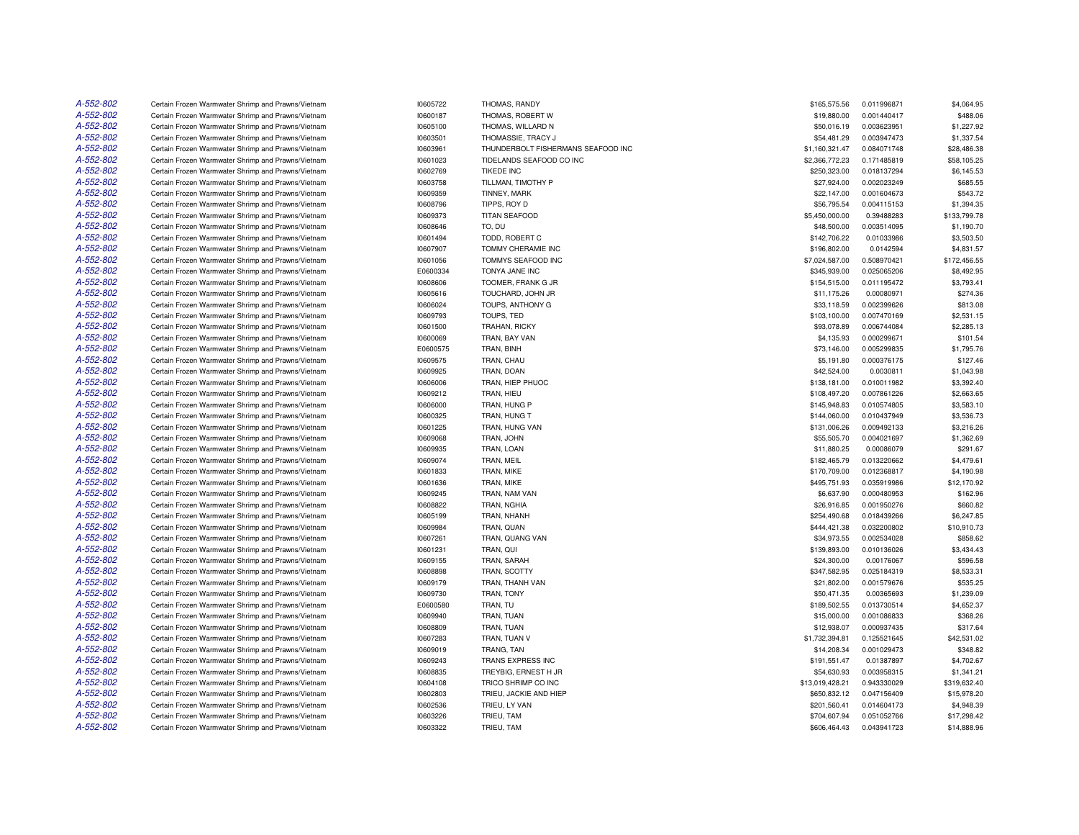| A-552-802 | Certain Frozen Warmwater Shrimp and Prawns/Vietnam | 10605722 | THOMAS, RANDY                      | \$165,575.56    | 0.011996871 | \$4,064.95   |
|-----------|----------------------------------------------------|----------|------------------------------------|-----------------|-------------|--------------|
| A-552-802 | Certain Frozen Warmwater Shrimp and Prawns/Vietnam | 10600187 | THOMAS, ROBERT W                   | \$19,880.00     | 0.001440417 | \$488.06     |
| A-552-802 | Certain Frozen Warmwater Shrimp and Prawns/Vietnam | 10605100 | THOMAS, WILLARD N                  | \$50,016.19     | 0.003623951 | \$1,227.92   |
| A-552-802 | Certain Frozen Warmwater Shrimp and Prawns/Vietnam | 10603501 | THOMASSIE, TRACY J                 | \$54,481.29     | 0.003947473 | \$1,337.54   |
| A-552-802 | Certain Frozen Warmwater Shrimp and Prawns/Vietnam | 10603961 | THUNDERBOLT FISHERMANS SEAFOOD INC | \$1,160,321.47  | 0.084071748 | \$28,486.38  |
| A-552-802 | Certain Frozen Warmwater Shrimp and Prawns/Vietnam | 10601023 | TIDELANDS SEAFOOD CO INC           | \$2,366,772.23  | 0.171485819 | \$58,105.25  |
| A-552-802 | Certain Frozen Warmwater Shrimp and Prawns/Vietnam | 10602769 | <b>TIKEDE INC</b>                  | \$250,323.00    | 0.018137294 | \$6,145.53   |
| A-552-802 | Certain Frozen Warmwater Shrimp and Prawns/Vietnam | 10603758 | TILLMAN. TIMOTHY P                 | \$27,924.00     | 0.002023249 | \$685.55     |
| A-552-802 | Certain Frozen Warmwater Shrimp and Prawns/Vietnam | 10609359 | TINNEY, MARK                       | \$22,147.00     | 0.001604673 | \$543.72     |
| A-552-802 | Certain Frozen Warmwater Shrimp and Prawns/Vietnam | 10608796 | TIPPS, ROY D                       | \$56,795.54     | 0.004115153 | \$1,394.35   |
| A-552-802 | Certain Frozen Warmwater Shrimp and Prawns/Vietnam | 10609373 | TITAN SEAFOOD                      | \$5,450,000.00  | 0.39488283  | \$133,799.78 |
| A-552-802 | Certain Frozen Warmwater Shrimp and Prawns/Vietnam | 10608646 | TO, DU                             | \$48,500.00     | 0.003514095 | \$1,190.70   |
| A-552-802 | Certain Frozen Warmwater Shrimp and Prawns/Vietnam | 10601494 | TODD, ROBERT C                     | \$142,706.22    | 0.01033986  | \$3,503.50   |
| A-552-802 | Certain Frozen Warmwater Shrimp and Prawns/Vietnam | 10607907 | TOMMY CHERAMIE INC                 | \$196,802.00    | 0.0142594   | \$4,831.57   |
| A-552-802 | Certain Frozen Warmwater Shrimp and Prawns/Vietnam | 10601056 | TOMMYS SEAFOOD INC                 | \$7,024,587.00  | 0.508970421 | \$172,456.55 |
| A-552-802 | Certain Frozen Warmwater Shrimp and Prawns/Vietnam | E0600334 | TONYA JANE INC                     | \$345,939.00    | 0.025065206 | \$8,492.95   |
| A-552-802 | Certain Frozen Warmwater Shrimp and Prawns/Vietnam | 10608606 | TOOMER, FRANK G JR                 | \$154,515.00    | 0.011195472 | \$3,793.41   |
| A-552-802 | Certain Frozen Warmwater Shrimp and Prawns/Vietnam | 10605616 | TOUCHARD, JOHN JR                  | \$11,175.26     | 0.00080971  | \$274.36     |
| A-552-802 | Certain Frozen Warmwater Shrimp and Prawns/Vietnam | 10606024 | TOUPS, ANTHONY G                   | \$33,118.59     | 0.002399626 | \$813.08     |
| A-552-802 | Certain Frozen Warmwater Shrimp and Prawns/Vietnam | 10609793 | TOUPS. TED                         | \$103,100.00    | 0.007470169 | \$2,531.15   |
| A-552-802 | Certain Frozen Warmwater Shrimp and Prawns/Vietnam | 10601500 | TRAHAN, RICKY                      | \$93,078.89     | 0.006744084 | \$2,285.13   |
| A-552-802 |                                                    |          |                                    |                 |             |              |
| A-552-802 | Certain Frozen Warmwater Shrimp and Prawns/Vietnam | 10600069 | TRAN, BAY VAN                      | \$4,135.93      | 0.000299671 | \$101.54     |
|           | Certain Frozen Warmwater Shrimp and Prawns/Vietnam | E0600575 | TRAN, BINH                         | \$73,146.00     | 0.005299835 | \$1,795.76   |
| A-552-802 | Certain Frozen Warmwater Shrimp and Prawns/Vietnam | 10609575 | TRAN, CHAU                         | \$5,191.80      | 0.000376175 | \$127.46     |
| A-552-802 | Certain Frozen Warmwater Shrimp and Prawns/Vietnam | 10609925 | TRAN, DOAN                         | \$42,524.00     | 0.0030811   | \$1,043.98   |
| A-552-802 | Certain Frozen Warmwater Shrimp and Prawns/Vietnam | 10606006 | TRAN, HIEP PHUOC                   | \$138,181.00    | 0.010011982 | \$3,392.40   |
| A-552-802 | Certain Frozen Warmwater Shrimp and Prawns/Vietnam | 10609212 | TRAN, HIEU                         | \$108,497.20    | 0.007861226 | \$2,663.65   |
| A-552-802 | Certain Frozen Warmwater Shrimp and Prawns/Vietnam | 10606000 | TRAN, HUNG P                       | \$145,948.83    | 0.010574805 | \$3,583.10   |
| A-552-802 | Certain Frozen Warmwater Shrimp and Prawns/Vietnam | 10600325 | TRAN, HUNG T                       | \$144,060.00    | 0.010437949 | \$3,536.73   |
| A-552-802 | Certain Frozen Warmwater Shrimp and Prawns/Vietnam | 10601225 | TRAN, HUNG VAN                     | \$131,006.26    | 0.009492133 | \$3,216.26   |
| A-552-802 | Certain Frozen Warmwater Shrimp and Prawns/Vietnam | 10609068 | TRAN, JOHN                         | \$55,505.70     | 0.004021697 | \$1,362.69   |
| A-552-802 | Certain Frozen Warmwater Shrimp and Prawns/Vietnam | 10609935 | TRAN, LOAN                         | \$11,880.25     | 0.00086079  | \$291.67     |
| A-552-802 | Certain Frozen Warmwater Shrimp and Prawns/Vietnam | 10609074 | TRAN, MEIL                         | \$182,465.79    | 0.013220662 | \$4,479.61   |
| A-552-802 | Certain Frozen Warmwater Shrimp and Prawns/Vietnam | 10601833 | TRAN, MIKE                         | \$170,709.00    | 0.012368817 | \$4,190.98   |
| A-552-802 | Certain Frozen Warmwater Shrimp and Prawns/Vietnam | 10601636 | TRAN, MIKE                         | \$495,751.93    | 0.035919986 | \$12,170.92  |
| A-552-802 | Certain Frozen Warmwater Shrimp and Prawns/Vietnam | 10609245 | TRAN, NAM VAN                      | \$6,637.90      | 0.000480953 | \$162.96     |
| A-552-802 | Certain Frozen Warmwater Shrimp and Prawns/Vietnam | 10608822 | TRAN, NGHIA                        | \$26,916.85     | 0.001950276 | \$660.82     |
| A-552-802 | Certain Frozen Warmwater Shrimp and Prawns/Vietnam | 10605199 | TRAN, NHANH                        | \$254,490.68    | 0.018439266 | \$6,247.85   |
| A-552-802 | Certain Frozen Warmwater Shrimp and Prawns/Vietnam | 10609984 | TRAN, QUAN                         | \$444,421.38    | 0.032200802 | \$10,910.73  |
| A-552-802 | Certain Frozen Warmwater Shrimp and Prawns/Vietnam | 10607261 | TRAN, QUANG VAN                    | \$34,973.55     | 0.002534028 | \$858.62     |
| A-552-802 | Certain Frozen Warmwater Shrimp and Prawns/Vietnam | 10601231 | TRAN, QUI                          | \$139,893.00    | 0.010136026 | \$3,434.43   |
| A-552-802 | Certain Frozen Warmwater Shrimp and Prawns/Vietnam | 10609155 | TRAN, SARAH                        | \$24,300.00     | 0.00176067  | \$596.58     |
| A-552-802 | Certain Frozen Warmwater Shrimp and Prawns/Vietnam | 10608898 | TRAN, SCOTTY                       | \$347,582.95    | 0.025184319 | \$8,533.31   |
| A-552-802 | Certain Frozen Warmwater Shrimp and Prawns/Vietnam | 10609179 | TRAN, THANH VAN                    | \$21,802.00     | 0.001579676 | \$535.25     |
| A-552-802 | Certain Frozen Warmwater Shrimp and Prawns/Vietnam | 10609730 | TRAN, TONY                         | \$50,471.35     | 0.00365693  | \$1,239.09   |
| A-552-802 | Certain Frozen Warmwater Shrimp and Prawns/Vietnam | E0600580 | TRAN, TU                           | \$189,502.55    | 0.013730514 | \$4,652.37   |
| A-552-802 | Certain Frozen Warmwater Shrimp and Prawns/Vietnam | 10609940 | TRAN, TUAN                         | \$15,000.00     | 0.001086833 | \$368.26     |
| A-552-802 | Certain Frozen Warmwater Shrimp and Prawns/Vietnam | 10608809 | TRAN, TUAN                         | \$12,938.07     | 0.000937435 | \$317.64     |
| A-552-802 | Certain Frozen Warmwater Shrimp and Prawns/Vietnam | 10607283 | TRAN, TUAN V                       | \$1,732,394.81  | 0.125521645 | \$42,531.02  |
| A-552-802 | Certain Frozen Warmwater Shrimp and Prawns/Vietnam | 10609019 | TRANG, TAN                         | \$14,208.34     | 0.001029473 | \$348.82     |
| A-552-802 | Certain Frozen Warmwater Shrimp and Prawns/Vietnam | 10609243 | TRANS EXPRESS INC                  | \$191,551.47    | 0.01387897  | \$4,702.67   |
| A-552-802 | Certain Frozen Warmwater Shrimp and Prawns/Vietnam | 10608835 | TREYBIG, ERNEST H JR               | \$54,630.93     | 0.003958315 | \$1,341.21   |
| A-552-802 | Certain Frozen Warmwater Shrimp and Prawns/Vietnam | 10604108 | TRICO SHRIMP CO INC                | \$13,019,428.21 | 0.943330029 | \$319,632.40 |
| A-552-802 | Certain Frozen Warmwater Shrimp and Prawns/Vietnam | 10602803 | TRIEU, JACKIE AND HIEP             | \$650,832.12    | 0.047156409 | \$15,978.20  |
| A-552-802 | Certain Frozen Warmwater Shrimp and Prawns/Vietnam | 10602536 | TRIEU, LY VAN                      | \$201,560.41    | 0.014604173 | \$4,948.39   |
| A-552-802 | Certain Frozen Warmwater Shrimp and Prawns/Vietnam | 10603226 | TRIEU, TAM                         | \$704,607.94    | 0.051052766 | \$17,298.42  |
| A-552-802 | Certain Frozen Warmwater Shrimp and Prawns/Vietnam | 10603322 | TRIEU, TAM                         | \$606,464.43    | 0.043941723 | \$14,888.96  |
|           |                                                    |          |                                    |                 |             |              |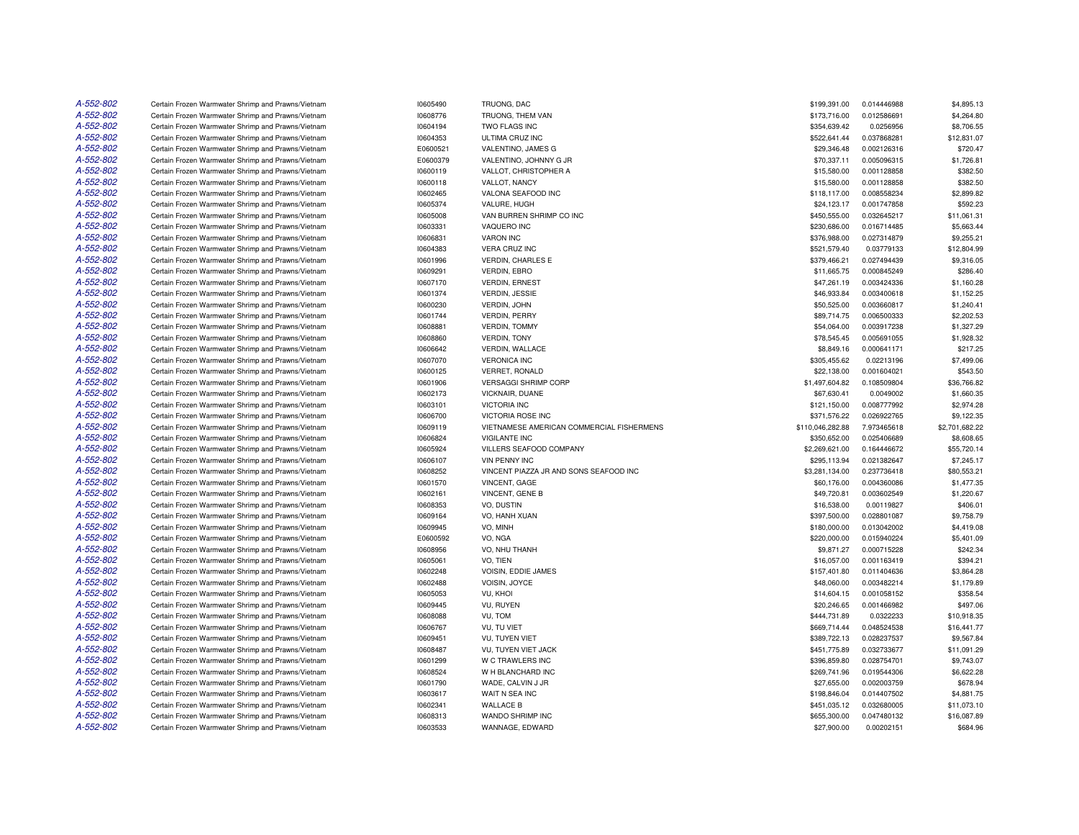| A-552-802 | Certain Frozen Warmwater Shrimp and Prawns/Vietnam | 10605490             | TRUONG, DAC                               | \$199,391.00                 | 0.014446988 | \$4,895.13     |
|-----------|----------------------------------------------------|----------------------|-------------------------------------------|------------------------------|-------------|----------------|
| A-552-802 | Certain Frozen Warmwater Shrimp and Prawns/Vietnam | 10608776             | TRUONG, THEM VAN                          | \$173,716.00                 | 0.012586691 | \$4,264.80     |
| A-552-802 | Certain Frozen Warmwater Shrimp and Prawns/Vietnam | 10604194             | TWO FLAGS INC                             | \$354,639.42                 | 0.0256956   | \$8,706.55     |
| A-552-802 | Certain Frozen Warmwater Shrimp and Prawns/Vietnam | 10604353             | ULTIMA CRUZ INC                           | \$522,641.44                 | 0.037868281 | \$12,831.07    |
| A-552-802 | Certain Frozen Warmwater Shrimp and Prawns/Vietnam | E0600521             | VALENTINO, JAMES G                        | \$29,346.48                  | 0.002126316 | \$720.47       |
| A-552-802 | Certain Frozen Warmwater Shrimp and Prawns/Vietnam | E0600379             | VALENTINO, JOHNNY G JR                    | \$70,337.11                  | 0.005096315 | \$1,726.81     |
| A-552-802 | Certain Frozen Warmwater Shrimp and Prawns/Vietnam | 10600119             | VALLOT, CHRISTOPHER A                     | \$15,580.00                  | 0.001128858 | \$382.50       |
| A-552-802 | Certain Frozen Warmwater Shrimp and Prawns/Vietnam | 10600118             | VALLOT. NANCY                             | \$15,580.00                  | 0.001128858 | \$382.50       |
| A-552-802 | Certain Frozen Warmwater Shrimp and Prawns/Vietnam | 10602465             | VALONA SEAFOOD INC                        | \$118,117.00                 | 0.008558234 | \$2,899.82     |
| A-552-802 | Certain Frozen Warmwater Shrimp and Prawns/Vietnam | 10605374             | VALURE, HUGH                              | \$24,123.17                  | 0.001747858 | \$592.23       |
| A-552-802 | Certain Frozen Warmwater Shrimp and Prawns/Vietnam | 10605008             | VAN BURREN SHRIMP CO INC                  | \$450,555.00                 | 0.032645217 | \$11,061.31    |
| A-552-802 | Certain Frozen Warmwater Shrimp and Prawns/Vietnam | 10603331             | VAQUERO INC                               | \$230,686.00                 | 0.016714485 | \$5,663.44     |
| A-552-802 | Certain Frozen Warmwater Shrimp and Prawns/Vietnam | 10606831             | <b>VARON INC</b>                          | \$376,988.00                 | 0.027314879 | \$9,255.21     |
| A-552-802 | Certain Frozen Warmwater Shrimp and Prawns/Vietnam | 10604383             | <b>VERA CRUZ INC</b>                      | \$521,579.40                 | 0.03779133  | \$12,804.99    |
| A-552-802 | Certain Frozen Warmwater Shrimp and Prawns/Vietnam | 10601996             | <b>VERDIN, CHARLES E</b>                  | \$379,466.21                 | 0.027494439 | \$9,316.05     |
| A-552-802 | Certain Frozen Warmwater Shrimp and Prawns/Vietnam | 10609291             | <b>VERDIN, EBRO</b>                       | \$11,665.75                  | 0.000845249 | \$286.40       |
| A-552-802 | Certain Frozen Warmwater Shrimp and Prawns/Vietnam | 10607170             | <b>VERDIN, ERNEST</b>                     | \$47,261.19                  | 0.003424336 | \$1,160.28     |
| A-552-802 | Certain Frozen Warmwater Shrimp and Prawns/Vietnam | 10601374             | <b>VERDIN, JESSIE</b>                     | \$46,933.84                  | 0.003400618 | \$1,152.25     |
| A-552-802 | Certain Frozen Warmwater Shrimp and Prawns/Vietnam | 10600230             | VERDIN, JOHN                              | \$50,525.00                  | 0.003660817 | \$1,240.41     |
| A-552-802 | Certain Frozen Warmwater Shrimp and Prawns/Vietnam | 10601744             | <b>VERDIN, PERRY</b>                      | \$89,714.75                  | 0.006500333 | \$2,202.53     |
| A-552-802 | Certain Frozen Warmwater Shrimp and Prawns/Vietnam | 10608881             | VERDIN, TOMMY                             | \$54,064.00                  | 0.003917238 | \$1,327.29     |
| A-552-802 | Certain Frozen Warmwater Shrimp and Prawns/Vietnam | 10608860             | <b>VERDIN, TONY</b>                       | \$78,545.45                  | 0.005691055 | \$1,928.32     |
| A-552-802 | Certain Frozen Warmwater Shrimp and Prawns/Vietnam | 10606642             | VERDIN, WALLACE                           | \$8,849.16                   | 0.000641171 | \$217.25       |
| A-552-802 | Certain Frozen Warmwater Shrimp and Prawns/Vietnam | 10607070             | <b>VERONICA INC</b>                       | \$305,455.62                 | 0.02213196  | \$7,499.06     |
| A-552-802 | Certain Frozen Warmwater Shrimp and Prawns/Vietnam | 10600125             | VERRET, RONALD                            | \$22,138.00                  | 0.001604021 | \$543.50       |
| A-552-802 | Certain Frozen Warmwater Shrimp and Prawns/Vietnam | 10601906             | <b>VERSAGGI SHRIMP CORP</b>               | \$1,497,604.82               | 0.108509804 | \$36,766.82    |
| A-552-802 | Certain Frozen Warmwater Shrimp and Prawns/Vietnam | 10602173             | VICKNAIR, DUANE                           | \$67,630.41                  | 0.0049002   | \$1,660.35     |
| A-552-802 | Certain Frozen Warmwater Shrimp and Prawns/Vietnam | 10603101             | <b>VICTORIA INC</b>                       | \$121,150.00                 | 0.008777992 | \$2,974.28     |
| A-552-802 | Certain Frozen Warmwater Shrimp and Prawns/Vietnam | 10606700             | VICTORIA ROSE INC                         | \$371,576.22                 | 0.026922765 | \$9,122.35     |
| A-552-802 | Certain Frozen Warmwater Shrimp and Prawns/Vietnam | 10609119             | VIETNAMESE AMERICAN COMMERCIAL FISHERMENS | \$110,046,282.88             | 7.973465618 | \$2,701,682.22 |
| A-552-802 | Certain Frozen Warmwater Shrimp and Prawns/Vietnam | 10606824             | <b>VIGILANTE INC</b>                      | \$350,652.00                 | 0.025406689 | \$8,608.65     |
| A-552-802 | Certain Frozen Warmwater Shrimp and Prawns/Vietnam | 10605924             | VILLERS SEAFOOD COMPANY                   | \$2,269,621.00               | 0.164446672 | \$55,720.14    |
| A-552-802 | Certain Frozen Warmwater Shrimp and Prawns/Vietnam | 10606107             | <b>VIN PENNY INC</b>                      | \$295,113.94                 | 0.021382647 | \$7,245.17     |
| A-552-802 | Certain Frozen Warmwater Shrimp and Prawns/Vietnam | 10608252             | VINCENT PIAZZA JR AND SONS SEAFOOD INC    | \$3,281,134.00               | 0.237736418 | \$80,553,21    |
| A-552-802 | Certain Frozen Warmwater Shrimp and Prawns/Vietnam | 10601570             | <b>VINCENT, GAGE</b>                      | \$60,176.00                  | 0.004360086 | \$1,477.35     |
| A-552-802 | Certain Frozen Warmwater Shrimp and Prawns/Vietnam | 10602161             | VINCENT, GENE B                           | \$49,720.81                  | 0.003602549 | \$1,220.67     |
| A-552-802 | Certain Frozen Warmwater Shrimp and Prawns/Vietnam | 10608353             | VO, DUSTIN                                | \$16,538.00                  | 0.00119827  | \$406.01       |
| A-552-802 | Certain Frozen Warmwater Shrimp and Prawns/Vietnam | 10609164             | VO, HANH XUAN                             | \$397,500.00                 | 0.028801087 | \$9,758.79     |
| A-552-802 | Certain Frozen Warmwater Shrimp and Prawns/Vietnam | 10609945             | VO, MINH                                  | \$180,000.00                 | 0.013042002 | \$4,419.08     |
| A-552-802 | Certain Frozen Warmwater Shrimp and Prawns/Vietnam | E0600592             | VO. NGA                                   | \$220,000.00                 | 0.015940224 | \$5,401.09     |
| A-552-802 | Certain Frozen Warmwater Shrimp and Prawns/Vietnam | 10608956             | VO, NHU THANH                             | \$9,871.27                   | 0.000715228 | \$242.34       |
| A-552-802 | Certain Frozen Warmwater Shrimp and Prawns/Vietnam | 10605061             | VO, TIEN                                  | \$16,057.00                  | 0.001163419 | \$394.21       |
| A-552-802 | Certain Frozen Warmwater Shrimp and Prawns/Vietnam | 10602248             | <b>VOISIN, EDDIE JAMES</b>                | \$157,401.80                 | 0.011404636 | \$3.864.28     |
| A-552-802 | Certain Frozen Warmwater Shrimp and Prawns/Vietnam | 10602488             | VOISIN, JOYCE                             | \$48,060.00                  | 0.003482214 | \$1,179.89     |
| A-552-802 | Certain Frozen Warmwater Shrimp and Prawns/Vietnam | 10605053             | VU, KHOI                                  | \$14,604.15                  | 0.001058152 | \$358.54       |
| A-552-802 | Certain Frozen Warmwater Shrimp and Prawns/Vietnam | 10609445             | VU, RUYEN                                 | \$20,246.65                  | 0.001466982 | \$497.06       |
| A-552-802 | Certain Frozen Warmwater Shrimp and Prawns/Vietnam | 10608088             | VU, TOM                                   | \$444,731.89                 | 0.0322233   | \$10,918.35    |
| A-552-802 | Certain Frozen Warmwater Shrimp and Prawns/Vietnam | 10606767             | <b>VU. TU VIET</b>                        | \$669,714.44                 | 0.048524538 | \$16,441.77    |
| A-552-802 | Certain Frozen Warmwater Shrimp and Prawns/Vietnam | 10609451             | VU, TUYEN VIET                            | \$389,722.13                 | 0.028237537 | \$9,567.84     |
| A-552-802 | Certain Frozen Warmwater Shrimp and Prawns/Vietnam | 10608487             | VU, TUYEN VIET JACK                       | \$451,775.89                 | 0.032733677 | \$11,091.29    |
| A-552-802 | Certain Frozen Warmwater Shrimp and Prawns/Vietnam | 10601299             | W C TRAWLERS INC                          | \$396,859.80                 | 0.028754701 | \$9,743.07     |
| A-552-802 | Certain Frozen Warmwater Shrimp and Prawns/Vietnam | 10608524             | W H BLANCHARD INC                         | \$269,741.96                 | 0.019544306 | \$6,622.28     |
| A-552-802 | Certain Frozen Warmwater Shrimp and Prawns/Vietnam | 10601790             | WADE, CALVIN J JR                         | \$27,655.00                  | 0.002003759 | \$678.94       |
| A-552-802 | Certain Frozen Warmwater Shrimp and Prawns/Vietnam | 10603617             | WAIT N SEA INC                            | \$198,846.04                 | 0.014407502 | \$4,881.75     |
| A-552-802 | Certain Frozen Warmwater Shrimp and Prawns/Vietnam |                      | <b>WALLACE B</b>                          |                              | 0.032680005 | \$11,073.10    |
| A-552-802 | Certain Frozen Warmwater Shrimp and Prawns/Vietnam | 10602341<br>10608313 | WANDO SHRIMP INC                          | \$451,035.12<br>\$655,300.00 | 0.047480132 | \$16,087.89    |
| A-552-802 | Certain Frozen Warmwater Shrimp and Prawns/Vietnam |                      | WANNAGE, EDWARD                           |                              | 0.00202151  |                |
|           |                                                    | 10603533             |                                           | \$27,900.00                  |             | \$684.96       |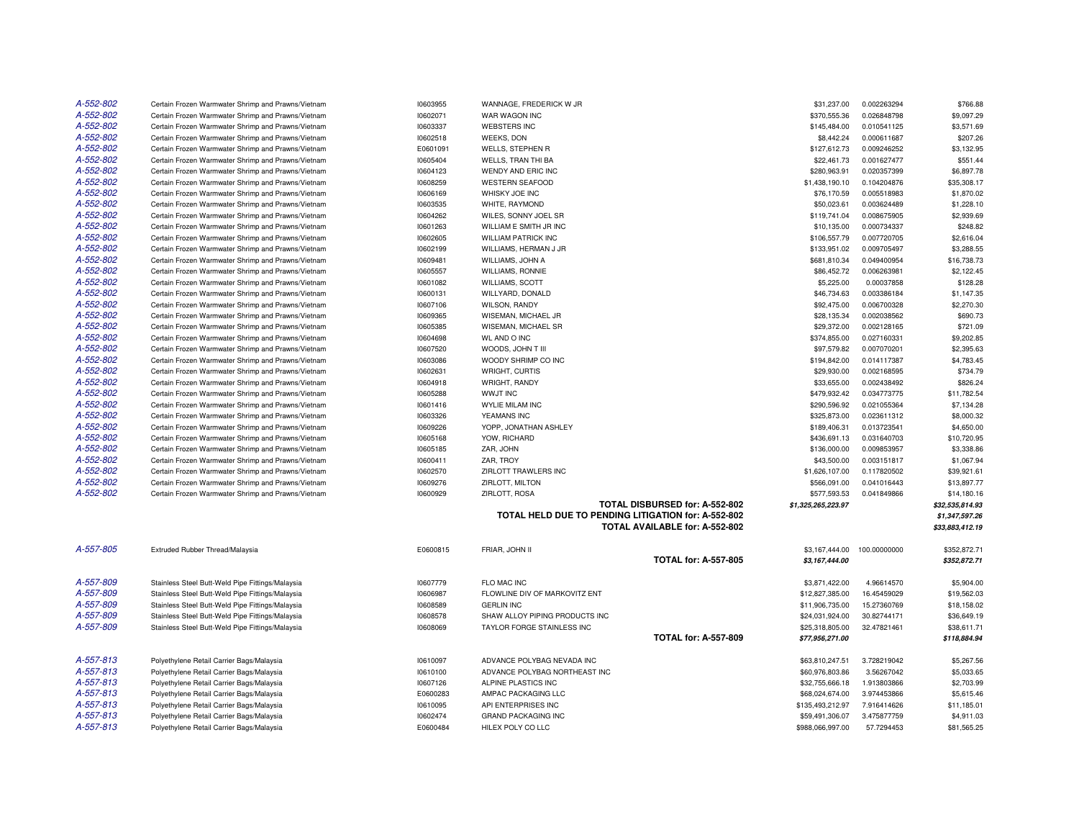| A-552-802 | Certain Frozen Warmwater Shrimp and Prawns/Vietnam | 10603955 | WANNAGE, FREDERICK W JR                             |                                | \$31,237.00        | 0.002263294  | \$766.88        |
|-----------|----------------------------------------------------|----------|-----------------------------------------------------|--------------------------------|--------------------|--------------|-----------------|
| A-552-802 | Certain Frozen Warmwater Shrimp and Prawns/Vietnam | 10602071 | WAR WAGON INC                                       |                                | \$370,555.36       | 0.026848798  | \$9,097.29      |
| A-552-802 | Certain Frozen Warmwater Shrimp and Prawns/Vietnam | 10603337 | <b>WEBSTERS INC</b>                                 |                                | \$145,484.00       | 0.010541125  | \$3,571.69      |
| A-552-802 | Certain Frozen Warmwater Shrimp and Prawns/Vietnam | 10602518 | <b>WEEKS, DON</b>                                   |                                | \$8,442.24         | 0.000611687  | \$207.26        |
| A-552-802 | Certain Frozen Warmwater Shrimp and Prawns/Vietnam | E0601091 | <b>WELLS, STEPHEN R</b>                             |                                | \$127,612.73       | 0.009246252  | \$3,132.95      |
| A-552-802 | Certain Frozen Warmwater Shrimp and Prawns/Vietnam | 10605404 | WELLS, TRAN THI BA                                  |                                | \$22,461.73        | 0.001627477  | \$551.44        |
| A-552-802 | Certain Frozen Warmwater Shrimp and Prawns/Vietnam | 10604123 | WENDY AND ERIC INC                                  |                                | \$280,963.91       | 0.020357399  | \$6,897.78      |
| A-552-802 | Certain Frozen Warmwater Shrimp and Prawns/Vietnam | 10608259 | <b>WESTERN SEAFOOD</b>                              |                                | \$1,438,190.10     | 0.104204876  | \$35,308.17     |
| A-552-802 | Certain Frozen Warmwater Shrimp and Prawns/Vietnam | 10606169 | WHISKY JOE INC                                      |                                | \$76,170.59        | 0.005518983  | \$1,870.02      |
| A-552-802 | Certain Frozen Warmwater Shrimp and Prawns/Vietnam | 10603535 | WHITE, RAYMOND                                      |                                | \$50,023.61        | 0.003624489  | \$1,228.10      |
| A-552-802 | Certain Frozen Warmwater Shrimp and Prawns/Vietnam | 10604262 | WILES, SONNY JOEL SR                                |                                | \$119,741.04       | 0.008675905  | \$2,939.69      |
| A-552-802 | Certain Frozen Warmwater Shrimp and Prawns/Vietnam | 10601263 | WILLIAM E SMITH JR INC                              |                                | \$10,135.00        | 0.000734337  | \$248.82        |
| A-552-802 | Certain Frozen Warmwater Shrimp and Prawns/Vietnam | 10602605 | <b>WILLIAM PATRICK INC</b>                          |                                | \$106,557.79       | 0.007720705  | \$2,616.04      |
| A-552-802 | Certain Frozen Warmwater Shrimp and Prawns/Vietnam | 10602199 | WILLIAMS, HERMAN J JR                               |                                | \$133,951.02       | 0.009705497  | \$3,288.55      |
| A-552-802 | Certain Frozen Warmwater Shrimp and Prawns/Vietnam | 10609481 | WILLIAMS, JOHN A                                    |                                | \$681,810.34       | 0.049400954  | \$16,738.73     |
| A-552-802 | Certain Frozen Warmwater Shrimp and Prawns/Vietnam | 10605557 | <b>WILLIAMS, RONNIE</b>                             |                                | \$86,452.72        | 0.006263981  | \$2,122.45      |
| A-552-802 | Certain Frozen Warmwater Shrimp and Prawns/Vietnam | 10601082 | <b>WILLIAMS, SCOTT</b>                              |                                | \$5,225.00         | 0.00037858   | \$128.28        |
| A-552-802 | Certain Frozen Warmwater Shrimp and Prawns/Vietnam | 10600131 | WILLYARD, DONALD                                    |                                | \$46,734.63        | 0.003386184  | \$1,147.35      |
| A-552-802 | Certain Frozen Warmwater Shrimp and Prawns/Vietnam | 10607106 | <b>WILSON, RANDY</b>                                |                                | \$92,475.00        | 0.006700328  | \$2,270.30      |
| A-552-802 | Certain Frozen Warmwater Shrimp and Prawns/Vietnam | 10609365 | WISEMAN, MICHAEL JR                                 |                                | \$28,135.34        | 0.002038562  | \$690.73        |
| A-552-802 | Certain Frozen Warmwater Shrimp and Prawns/Vietnam | 10605385 | WISEMAN, MICHAEL SR                                 |                                | \$29,372.00        | 0.002128165  | \$721.09        |
| A-552-802 | Certain Frozen Warmwater Shrimp and Prawns/Vietnam | 10604698 | <b>WL AND O INC</b>                                 |                                | \$374,855.00       | 0.027160331  | \$9,202.85      |
| A-552-802 | Certain Frozen Warmwater Shrimp and Prawns/Vietnam | 10607520 | WOODS, JOHN T III                                   |                                | \$97,579.82        | 0.007070201  | \$2,395.63      |
| A-552-802 | Certain Frozen Warmwater Shrimp and Prawns/Vietnam | 10603086 | WOODY SHRIMP CO INC                                 |                                | \$194,842.00       | 0.014117387  | \$4,783.45      |
| A-552-802 | Certain Frozen Warmwater Shrimp and Prawns/Vietnam | 10602631 | WRIGHT, CURTIS                                      |                                | \$29,930.00        | 0.002168595  | \$734.79        |
| A-552-802 | Certain Frozen Warmwater Shrimp and Prawns/Vietnam | 10604918 | WRIGHT, RANDY                                       |                                | \$33,655.00        | 0.002438492  | \$826.24        |
| A-552-802 | Certain Frozen Warmwater Shrimp and Prawns/Vietnam | 10605288 | <b>WWJT INC</b>                                     |                                | \$479,932.42       | 0.034773775  | \$11,782.54     |
| A-552-802 | Certain Frozen Warmwater Shrimp and Prawns/Vietnam | 10601416 | <b>WYLIE MILAM INC</b>                              |                                | \$290,596.92       | 0.021055364  | \$7,134.28      |
| A-552-802 | Certain Frozen Warmwater Shrimp and Prawns/Vietnam | 10603326 | YEAMANS INC                                         |                                | \$325,873.00       | 0.023611312  | \$8,000.32      |
| A-552-802 | Certain Frozen Warmwater Shrimp and Prawns/Vietnam | 10609226 | YOPP, JONATHAN ASHLEY                               |                                | \$189,406.31       | 0.013723541  | \$4,650.00      |
| A-552-802 | Certain Frozen Warmwater Shrimp and Prawns/Vietnam | 10605168 | YOW, RICHARD                                        |                                | \$436,691.13       | 0.031640703  | \$10,720.95     |
| A-552-802 | Certain Frozen Warmwater Shrimp and Prawns/Vietnam | 10605185 | ZAR, JOHN                                           |                                | \$136,000.00       | 0.009853957  | \$3,338.86      |
| A-552-802 | Certain Frozen Warmwater Shrimp and Prawns/Vietnam | 10600411 | ZAR, TROY                                           |                                | \$43,500.00        | 0.003151817  | \$1,067.94      |
| A-552-802 | Certain Frozen Warmwater Shrimp and Prawns/Vietnam | 10602570 | ZIRLOTT TRAWLERS INC                                |                                | \$1,626,107.00     | 0.117820502  | \$39,921.61     |
| A-552-802 | Certain Frozen Warmwater Shrimp and Prawns/Vietnam | 10609276 | ZIRLOTT, MILTON                                     |                                | \$566,091.00       | 0.041016443  | \$13,897.77     |
| A-552-802 | Certain Frozen Warmwater Shrimp and Prawns/Vietnam | 10600929 | ZIRLOTT, ROSA                                       |                                | \$577,593.53       | 0.041849866  | \$14,180.16     |
|           |                                                    |          |                                                     | TOTAL DISBURSED for: A-552-802 | \$1,325,265,223.97 |              | \$32,535,814.93 |
|           |                                                    |          | TOTAL HELD DUE TO PENDING LITIGATION for: A-552-802 |                                |                    |              | \$1,347,597.26  |
|           |                                                    |          |                                                     | TOTAL AVAILABLE for: A-552-802 |                    |              | \$33,883,412.19 |
|           |                                                    |          |                                                     |                                |                    |              |                 |
| A-557-805 | Extruded Rubber Thread/Malaysia                    | E0600815 | FRIAR, JOHN II                                      |                                | \$3,167,444.00     | 100.00000000 | \$352,872.71    |
|           |                                                    |          |                                                     | <b>TOTAL for: A-557-805</b>    | \$3,167,444.00     |              | \$352,872.71    |
|           |                                                    |          |                                                     |                                |                    |              |                 |
| A-557-809 | Stainless Steel Butt-Weld Pipe Fittings/Malaysia   | 10607779 | FLO MAC INC                                         |                                | \$3,871,422.00     | 4.96614570   | \$5,904.00      |
| A-557-809 | Stainless Steel Butt-Weld Pipe Fittings/Malaysia   | 10606987 | FLOWLINE DIV OF MARKOVITZ ENT                       |                                | \$12,827,385.00    | 16.45459029  | \$19,562.03     |
| A-557-809 | Stainless Steel Butt-Weld Pipe Fittings/Malaysia   | 10608589 | <b>GERLIN INC</b>                                   |                                | \$11,906,735.00    | 15.27360769  | \$18,158.02     |
| A-557-809 | Stainless Steel Butt-Weld Pipe Fittings/Malaysia   | 10608578 | SHAW ALLOY PIPING PRODUCTS INC                      |                                | \$24,031,924.00    | 30.82744171  | \$36,649.19     |
| A-557-809 | Stainless Steel Butt-Weld Pipe Fittings/Malaysia   | 10608069 | TAYLOR FORGE STAINLESS INC                          |                                | \$25,318,805.00    | 32.47821461  | \$38,611.71     |
|           |                                                    |          |                                                     | <b>TOTAL for: A-557-809</b>    | \$77,956,271.00    |              | \$118,884.94    |
|           |                                                    |          |                                                     |                                |                    |              |                 |
| A-557-813 | Polyethylene Retail Carrier Bags/Malaysia          | 10610097 | ADVANCE POLYBAG NEVADA INC                          |                                | \$63,810,247.51    | 3.728219042  | \$5,267.56      |
| A-557-813 | Polyethylene Retail Carrier Bags/Malaysia          | 10610100 | ADVANCE POLYBAG NORTHEAST INC                       |                                | \$60,976,803.86    | 3.56267042   | \$5,033.65      |
| A-557-813 | Polyethylene Retail Carrier Bags/Malaysia          | 10607126 | ALPINE PLASTICS INC                                 |                                | \$32,755,666.18    | 1.913803866  | \$2,703.99      |
| A-557-813 | Polyethylene Retail Carrier Bags/Malaysia          | E0600283 | AMPAC PACKAGING LLC                                 |                                | \$68,024,674.00    | 3.974453866  | \$5,615.46      |
| A-557-813 | Polyethylene Retail Carrier Bags/Malaysia          | 10610095 | API ENTERPRISES INC                                 |                                | \$135,493,212.97   | 7.916414626  | \$11,185.01     |
| A-557-813 | Polyethylene Retail Carrier Bags/Malaysia          | 10602474 | <b>GRAND PACKAGING INC</b>                          |                                | \$59,491,306.07    | 3.475877759  | \$4,911.03      |
| A-557-813 | Polyethylene Retail Carrier Bags/Malaysia          | E0600484 | HILEX POLY CO LLC                                   |                                | \$988,066,997.00   | 57.7294453   | \$81,565.25     |
|           |                                                    |          |                                                     |                                |                    |              |                 |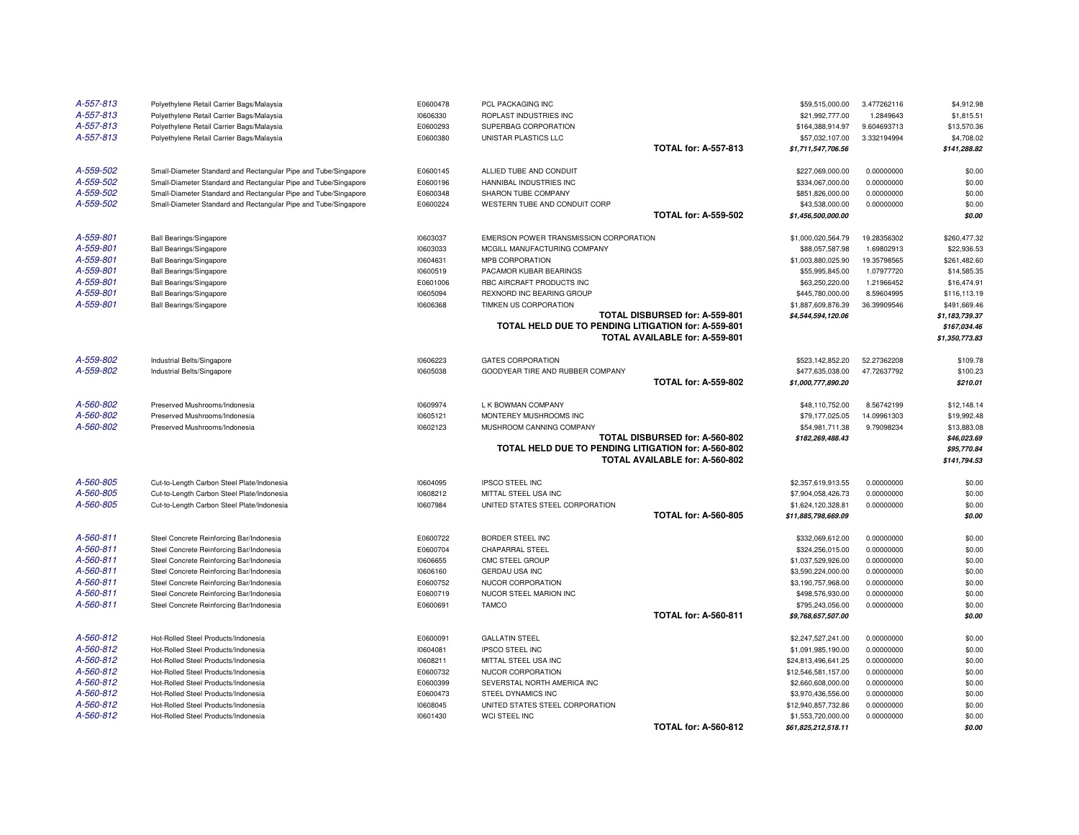| A-557-813 | Polyethylene Retail Carrier Bags/Malaysia                       | E0600478 | PCL PACKAGING INC                                   |                                | \$59,515,000.00                        | 3.477262116 | \$4,912.98                     |
|-----------|-----------------------------------------------------------------|----------|-----------------------------------------------------|--------------------------------|----------------------------------------|-------------|--------------------------------|
| A-557-813 | Polyethylene Retail Carrier Bags/Malaysia                       | 10606330 | ROPLAST INDUSTRIES INC                              |                                | \$21,992,777.00                        | 1.2849643   | \$1,815.51                     |
| A-557-813 | Polyethylene Retail Carrier Bags/Malaysia                       | E0600293 | SUPERBAG CORPORATION                                |                                | \$164,388,914.97                       | 9.604693713 | \$13,570.36                    |
| A-557-813 | Polyethylene Retail Carrier Bags/Malaysia                       | E0600380 | UNISTAR PLASTICS LLC                                |                                | \$57,032,107.00                        | 3.332194994 | \$4,708.02                     |
|           |                                                                 |          |                                                     | <b>TOTAL for: A-557-813</b>    | \$1,711,547,706.56                     |             | \$141,288.82                   |
| A-559-502 | Small-Diameter Standard and Rectangular Pipe and Tube/Singapore | E0600145 | ALLIED TUBE AND CONDUIT                             |                                | \$227,069,000.00                       | 0.00000000  | \$0.00                         |
| A-559-502 | Small-Diameter Standard and Rectangular Pipe and Tube/Singapore | E0600196 | HANNIBAL INDUSTRIES INC                             |                                | \$334,067,000.00                       | 0.00000000  | \$0.00                         |
| A-559-502 | Small-Diameter Standard and Rectangular Pipe and Tube/Singapore | E0600348 | SHARON TUBE COMPANY                                 |                                | \$851,826,000.00                       | 0.00000000  | \$0.00                         |
| A-559-502 | Small-Diameter Standard and Rectangular Pipe and Tube/Singapore | E0600224 | WESTERN TUBE AND CONDUIT CORP                       |                                | \$43,538,000.00                        | 0.00000000  | \$0.00                         |
|           |                                                                 |          |                                                     | <b>TOTAL for: A-559-502</b>    | \$1,456,500,000.00                     |             | \$0.00                         |
| A-559-801 | <b>Ball Bearings/Singapore</b>                                  | 10603037 | EMERSON POWER TRANSMISSION CORPORATION              |                                | \$1,000,020,564.79                     | 19.28356302 | \$260,477.32                   |
| A-559-801 | <b>Ball Bearings/Singapore</b>                                  | 10603033 | MCGILL MANUFACTURING COMPANY                        |                                | \$88,057,587.98                        | 1.69802913  | \$22,936.53                    |
| A-559-801 | <b>Ball Bearings/Singapore</b>                                  | 10604631 | MPB CORPORATION                                     |                                | \$1,003,880,025.90                     | 19.35798565 | \$261,482.60                   |
| A-559-801 | <b>Ball Bearings/Singapore</b>                                  | 10600519 | PACAMOR KUBAR BEARINGS                              |                                | \$55,995,845.00                        | 1.07977720  | \$14,585.35                    |
| A-559-801 | <b>Ball Bearings/Singapore</b>                                  | E0601006 | RBC AIRCRAFT PRODUCTS INC                           |                                | \$63,250,220.00                        | 1.21966452  | \$16,474.91                    |
| A-559-801 | <b>Ball Bearings/Singapore</b>                                  | 10605094 | REXNORD INC BEARING GROUP                           |                                | \$445,780,000.00                       | 8.59604995  | \$116,113.19                   |
| A-559-801 | <b>Ball Bearings/Singapore</b>                                  | 10606368 | TIMKEN US CORPORATION                               |                                | \$1,887,609,876.39                     | 36.39909546 | \$491,669.46                   |
|           |                                                                 |          |                                                     | TOTAL DISBURSED for: A-559-801 | \$4,544,594,120.06                     |             | \$1,183,739.37                 |
|           |                                                                 |          | TOTAL HELD DUE TO PENDING LITIGATION for: A-559-801 | TOTAL AVAILABLE for: A-559-801 |                                        |             | \$167,034.46<br>\$1,350,773.83 |
| A-559-802 |                                                                 |          |                                                     |                                |                                        |             |                                |
| A-559-802 | Industrial Belts/Singapore                                      | 10606223 | <b>GATES CORPORATION</b>                            |                                | \$523,142,852.20                       | 52.27362208 | \$109.78                       |
|           | Industrial Belts/Singapore                                      | 10605038 | GOODYEAR TIRE AND RUBBER COMPANY                    | <b>TOTAL for: A-559-802</b>    | \$477,635,038.00<br>\$1,000,777,890.20 | 47.72637792 | \$100.23<br>\$210.01           |
|           |                                                                 |          |                                                     |                                |                                        |             |                                |
| A-560-802 | Preserved Mushrooms/Indonesia                                   | 10609974 | L K BOWMAN COMPANY                                  |                                | \$48,110,752.00                        | 8.56742199  | \$12,148.14                    |
| A-560-802 | Preserved Mushrooms/Indonesia                                   | 10605121 | MONTEREY MUSHROOMS INC                              |                                | \$79,177,025.05                        | 14.09961303 | \$19,992.48                    |
| A-560-802 | Preserved Mushrooms/Indonesia                                   | 10602123 | MUSHROOM CANNING COMPANY                            |                                | \$54,981,711.38                        | 9.79098234  | \$13,883.08                    |
|           |                                                                 |          |                                                     | TOTAL DISBURSED for: A-560-802 | \$182,269,488.43                       |             | \$46,023.69                    |
|           |                                                                 |          | TOTAL HELD DUE TO PENDING LITIGATION for: A-560-802 |                                |                                        |             | \$95,770.84                    |
|           |                                                                 |          |                                                     | TOTAL AVAILABLE for: A-560-802 |                                        |             | \$141,794.53                   |
| A-560-805 | Cut-to-Length Carbon Steel Plate/Indonesia                      | 10604095 | <b>IPSCO STEEL INC</b>                              |                                | \$2,357,619,913.55                     | 0.00000000  | \$0.00                         |
| A-560-805 | Cut-to-Length Carbon Steel Plate/Indonesia                      | 10608212 | MITTAL STEEL USA INC                                |                                | \$7,904,058,426.73                     | 0.00000000  | \$0.00                         |
| A-560-805 | Cut-to-Length Carbon Steel Plate/Indonesia                      | 10607984 | UNITED STATES STEEL CORPORATION                     |                                | \$1,624,120,328.81                     | 0.00000000  | \$0.00                         |
|           |                                                                 |          |                                                     | <b>TOTAL for: A-560-805</b>    | \$11,885,798,669.09                    |             | \$0.00                         |
| A-560-811 | Steel Concrete Reinforcing Bar/Indonesia                        | E0600722 | BORDER STEEL INC                                    |                                | \$332,069,612.00                       | 0.00000000  | \$0.00                         |
| A-560-811 | Steel Concrete Reinforcing Bar/Indonesia                        | E0600704 | CHAPARRAL STEEL                                     |                                | \$324,256,015.00                       | 0.00000000  | \$0.00                         |
| A-560-811 | Steel Concrete Reinforcing Bar/Indonesia                        | 10606655 | CMC STEEL GROUP                                     |                                | \$1,037,529,926.00                     | 0.00000000  | \$0.00                         |
| A-560-811 | Steel Concrete Reinforcing Bar/Indonesia                        | 10606160 | <b>GERDAU USA INC</b>                               |                                | \$3,590,224,000.00                     | 0.00000000  | \$0.00                         |
| A-560-811 | Steel Concrete Reinforcing Bar/Indonesia                        | E0600752 | NUCOR CORPORATION                                   |                                | \$3,190,757,968.00                     | 0.00000000  | \$0.00                         |
| A-560-811 | Steel Concrete Reinforcing Bar/Indonesia                        | E0600719 | NUCOR STEEL MARION INC                              |                                | \$498,576,930.00                       | 0.00000000  | \$0.00                         |
| A-560-811 | Steel Concrete Reinforcing Bar/Indonesia                        | E0600691 | <b>TAMCO</b>                                        |                                | \$795,243,056.00                       | 0.00000000  | \$0.00                         |
|           |                                                                 |          |                                                     | <b>TOTAL for: A-560-811</b>    | \$9,768,657,507.00                     |             | \$0.00                         |
| A-560-812 | Hot-Rolled Steel Products/Indonesia                             | E0600091 | <b>GALLATIN STEEL</b>                               |                                | \$2,247,527,241.00                     | 0.00000000  | \$0.00                         |
| A-560-812 | Hot-Rolled Steel Products/Indonesia                             | 10604081 | <b>IPSCO STEEL INC</b>                              |                                | \$1,091,985,190.00                     | 0.00000000  | \$0.00                         |
| A-560-812 | Hot-Rolled Steel Products/Indonesia                             | 10608211 | MITTAL STEEL USA INC                                |                                | \$24,813,496,641.25                    | 0.00000000  | \$0.00                         |
| A-560-812 | Hot-Rolled Steel Products/Indonesia                             | E0600732 | NUCOR CORPORATION                                   |                                | \$12,546,581,157.00                    | 0.00000000  | \$0.00                         |
| A-560-812 | Hot-Rolled Steel Products/Indonesia                             | E0600399 | SEVERSTAL NORTH AMERICA INC                         |                                | \$2,660,608,000.00                     | 0.00000000  | \$0.00                         |
| A-560-812 | Hot-Rolled Steel Products/Indonesia                             | E0600473 | STEEL DYNAMICS INC                                  |                                | \$3,970,436,556.00                     | 0.00000000  | \$0.00                         |
| A-560-812 | Hot-Rolled Steel Products/Indonesia                             | 10608045 | UNITED STATES STEEL CORPORATION                     |                                | \$12,940,857,732.86                    | 0.00000000  | \$0.00                         |
| A-560-812 | Hot-Rolled Steel Products/Indonesia                             | 10601430 | WCI STEEL INC                                       |                                | \$1,553,720,000.00                     | 0.00000000  | \$0.00                         |
|           |                                                                 |          |                                                     | <b>TOTAL for: A-560-812</b>    | \$61,825,212,518.11                    |             | \$0.00                         |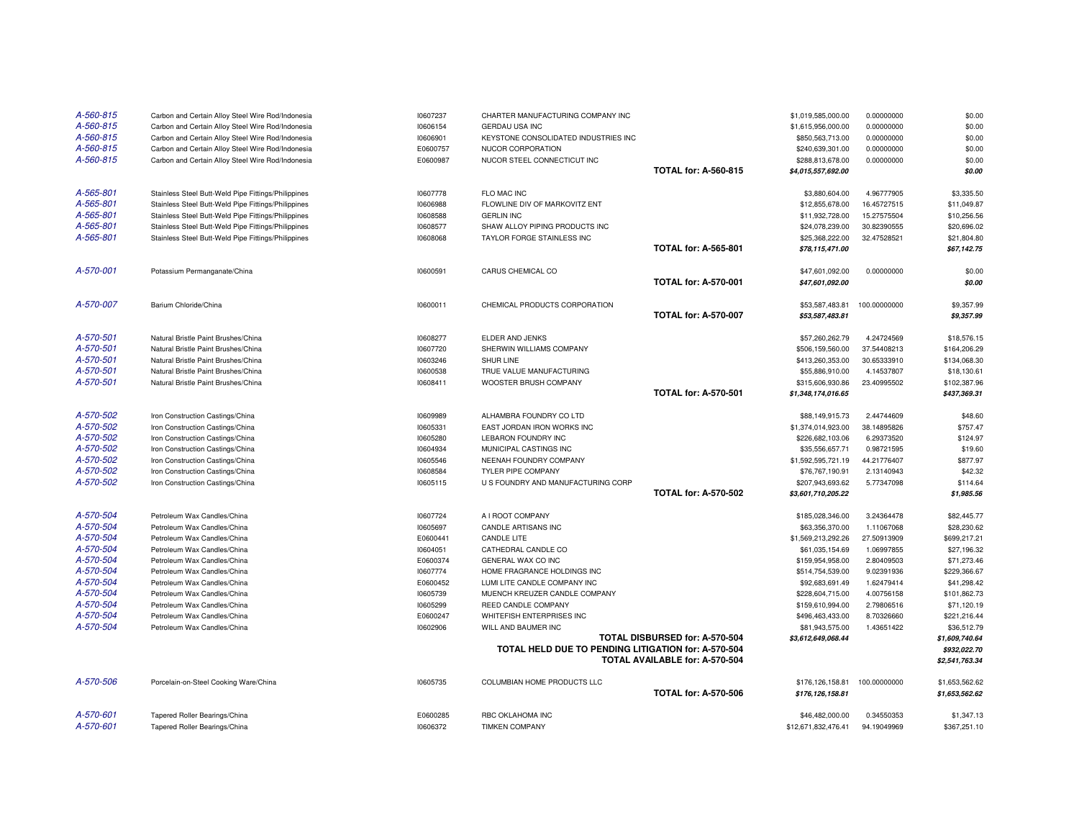| A-560-815<br>A-560-815 | Carbon and Certain Alloy Steel Wire Rod/Indonesia<br>Carbon and Certain Alloy Steel Wire Rod/Indonesia | 10607237<br>10606154 | CHARTER MANUFACTURING COMPANY INC<br><b>GERDAU USA INC</b> |                                | \$1,019,585,000.00<br>\$1,615,956,000.00 | 0.00000000<br>0.00000000 | \$0.00<br>\$0.00         |
|------------------------|--------------------------------------------------------------------------------------------------------|----------------------|------------------------------------------------------------|--------------------------------|------------------------------------------|--------------------------|--------------------------|
| A-560-815              | Carbon and Certain Alloy Steel Wire Rod/Indonesia                                                      | 10606901             | KEYSTONE CONSOLIDATED INDUSTRIES INC                       |                                | \$850,563,713.00                         | 0.00000000               | \$0.00                   |
| A-560-815              | Carbon and Certain Alloy Steel Wire Rod/Indonesia                                                      | E0600757             | NUCOR CORPORATION                                          |                                | \$240,639,301.00                         | 0.00000000               | \$0.00                   |
| A-560-815              | Carbon and Certain Alloy Steel Wire Rod/Indonesia                                                      | E0600987             | NUCOR STEEL CONNECTICUT INC                                |                                | \$288,813,678.00                         | 0.00000000               | \$0.00                   |
|                        |                                                                                                        |                      |                                                            | <b>TOTAL for: A-560-815</b>    | \$4,015,557,692.00                       |                          | \$0.00                   |
|                        |                                                                                                        |                      |                                                            |                                |                                          |                          |                          |
| A-565-801              | Stainless Steel Butt-Weld Pipe Fittings/Philippines                                                    | 10607778             | FLO MAC INC                                                |                                | \$3,880,604.00                           | 4.96777905               | \$3,335.50               |
| A-565-801              | Stainless Steel Butt-Weld Pipe Fittings/Philippines                                                    | 10606988             | FLOWLINE DIV OF MARKOVITZ ENT                              |                                | \$12,855,678.00                          | 16.45727515              | \$11,049.87              |
| A-565-801              | Stainless Steel Butt-Weld Pipe Fittings/Philippines                                                    | 10608588             | <b>GERLIN INC</b>                                          |                                | \$11,932,728.00                          | 15.27575504              | \$10,256.56              |
| A-565-801              | Stainless Steel Butt-Weld Pipe Fittings/Philippines                                                    | 10608577             | SHAW ALLOY PIPING PRODUCTS INC                             |                                | \$24,078,239.00                          | 30.82390555              | \$20,696.02              |
| A-565-801              | Stainless Steel Butt-Weld Pipe Fittings/Philippines                                                    | 10608068             | TAYLOR FORGE STAINLESS INC                                 |                                | \$25,368,222.00                          | 32.47528521              | \$21,804.80              |
|                        |                                                                                                        |                      |                                                            | <b>TOTAL for: A-565-801</b>    | \$78,115,471.00                          |                          | \$67,142.75              |
|                        |                                                                                                        |                      |                                                            |                                |                                          |                          |                          |
| A-570-001              | Potassium Permanganate/China                                                                           | 10600591             | CARUS CHEMICAL CO                                          |                                | \$47,601,092.00                          | 0.00000000               | \$0.00                   |
|                        |                                                                                                        |                      |                                                            | <b>TOTAL for: A-570-001</b>    | \$47,601,092.00                          |                          | \$0.00                   |
| A-570-007              | Barium Chloride/China                                                                                  |                      | CHEMICAL PRODUCTS CORPORATION                              |                                |                                          |                          |                          |
|                        |                                                                                                        | 10600011             |                                                            | <b>TOTAL for: A-570-007</b>    | \$53,587,483.81<br>\$53,587,483.81       | 100.00000000             | \$9,357.99<br>\$9,357.99 |
|                        |                                                                                                        |                      |                                                            |                                |                                          |                          |                          |
| A-570-501              | Natural Bristle Paint Brushes/China                                                                    | 10608277             | ELDER AND JENKS                                            |                                | \$57,260,262.79                          | 4.24724569               | \$18,576.15              |
| A-570-501              | Natural Bristle Paint Brushes/China                                                                    | 10607720             | SHERWIN WILLIAMS COMPANY                                   |                                | \$506,159,560.00                         | 37.54408213              | \$164,206.29             |
| A-570-501              | Natural Bristle Paint Brushes/China                                                                    | 10603246             | SHUR LINE                                                  |                                | \$413,260,353.00                         | 30.65333910              | \$134,068.30             |
| A-570-501              | Natural Bristle Paint Brushes/China                                                                    | 10600538             | TRUE VALUE MANUFACTURING                                   |                                | \$55,886,910.00                          | 4.14537807               | \$18,130.61              |
| A-570-501              | Natural Bristle Paint Brushes/China                                                                    | 10608411             | WOOSTER BRUSH COMPANY                                      |                                | \$315,606,930.86                         | 23.40995502              | \$102,387.96             |
|                        |                                                                                                        |                      |                                                            | <b>TOTAL for: A-570-501</b>    | \$1,348,174,016.65                       |                          | \$437,369.31             |
|                        |                                                                                                        |                      |                                                            |                                |                                          |                          |                          |
| A-570-502              | Iron Construction Castings/China                                                                       | 10609989             | ALHAMBRA FOUNDRY CO LTD                                    |                                | \$88,149,915.73                          | 2.44744609               | \$48.60                  |
| A-570-502              | Iron Construction Castings/China                                                                       | 10605331             | EAST JORDAN IRON WORKS INC                                 |                                | \$1,374,014,923.00                       | 38.14895826              | \$757.47                 |
| A-570-502              | Iron Construction Castings/China                                                                       | 10605280             | LEBARON FOUNDRY INC                                        |                                | \$226,682,103.06                         | 6.29373520               | \$124.97                 |
| A-570-502              | Iron Construction Castings/China                                                                       | 10604934             | MUNICIPAL CASTINGS INC                                     |                                | \$35,556,657.71                          | 0.98721595               | \$19.60                  |
| A-570-502              | Iron Construction Castings/China                                                                       | 10605546             | NEENAH FOUNDRY COMPANY                                     |                                | \$1,592,595,721.19                       | 44.21776407              | \$877.97                 |
| A-570-502              | Iron Construction Castings/China                                                                       | 10608584             | TYLER PIPE COMPANY                                         |                                | \$76,767,190.91                          | 2.13140943               | \$42.32                  |
| A-570-502              | Iron Construction Castings/China                                                                       | 10605115             | U S FOUNDRY AND MANUFACTURING CORP                         |                                | \$207,943,693.62                         | 5.77347098               | \$114.64                 |
|                        |                                                                                                        |                      |                                                            | <b>TOTAL for: A-570-502</b>    | \$3,601,710,205.22                       |                          | \$1,985.56               |
| A-570-504              | Petroleum Wax Candles/China                                                                            | 10607724             | A I ROOT COMPANY                                           |                                | \$185,028,346.00                         | 3.24364478               | \$82,445.77              |
| A-570-504              | Petroleum Wax Candles/China                                                                            | 10605697             | CANDLE ARTISANS INC                                        |                                | \$63,356,370.00                          | 1.11067068               | \$28,230.62              |
| A-570-504              | Petroleum Wax Candles/China                                                                            | E0600441             | CANDLE LITE                                                |                                | \$1,569,213,292.26                       | 27.50913909              | \$699,217.21             |
| A-570-504              | Petroleum Wax Candles/China                                                                            | 10604051             | CATHEDRAL CANDLE CO                                        |                                | \$61,035,154.69                          | 1.06997855               | \$27,196.32              |
| A-570-504              | Petroleum Wax Candles/China                                                                            | E0600374             | GENERAL WAX CO INC                                         |                                | \$159,954,958.00                         | 2.80409503               | \$71,273.46              |
| A-570-504              | Petroleum Wax Candles/China                                                                            | 10607774             | HOME FRAGRANCE HOLDINGS INC                                |                                | \$514,754,539.00                         | 9.02391936               | \$229,366.67             |
| A-570-504              | Petroleum Wax Candles/China                                                                            | E0600452             | LUMI LITE CANDLE COMPANY INC                               |                                | \$92,683,691.49                          | 1.62479414               | \$41,298.42              |
| A-570-504              | Petroleum Wax Candles/China                                                                            | 10605739             | MUENCH KREUZER CANDLE COMPANY                              |                                | \$228,604,715.00                         | 4.00756158               | \$101,862.73             |
| A-570-504              | Petroleum Wax Candles/China                                                                            | 10605299             | REED CANDLE COMPANY                                        |                                | \$159,610,994.00                         | 2.79806516               | \$71,120.19              |
| A-570-504              | Petroleum Wax Candles/China                                                                            | E0600247             | WHITEFISH ENTERPRISES INC                                  |                                | \$496,463,433.00                         | 8.70326660               | \$221,216.44             |
| A-570-504              | Petroleum Wax Candles/China                                                                            | 10602906             | WILL AND BAUMER INC                                        |                                | \$81,943,575.00                          | 1.43651422               | \$36,512.79              |
|                        |                                                                                                        |                      |                                                            | TOTAL DISBURSED for: A-570-504 | \$3,612,649,068.44                       |                          | \$1,609,740.64           |
|                        |                                                                                                        |                      | TOTAL HELD DUE TO PENDING LITIGATION for: A-570-504        |                                |                                          |                          | \$932,022.70             |
|                        |                                                                                                        |                      |                                                            | TOTAL AVAILABLE for: A-570-504 |                                          |                          | \$2,541,763.34           |
|                        |                                                                                                        |                      |                                                            |                                |                                          |                          |                          |
| A-570-506              | Porcelain-on-Steel Cooking Ware/China                                                                  | 10605735             | COLUMBIAN HOME PRODUCTS LLC                                |                                | \$176,126,158.81                         | 100.00000000             | \$1,653,562.62           |
|                        |                                                                                                        |                      |                                                            | <b>TOTAL for: A-570-506</b>    | \$176,126,158.81                         |                          | \$1,653,562.62           |
| A-570-601              | Tapered Roller Bearings/China                                                                          | E0600285             | RBC OKLAHOMA INC                                           |                                | \$46,482,000.00                          | 0.34550353               | \$1,347.13               |
| A-570-601              | Tapered Roller Bearings/China                                                                          | 10606372             | <b>TIMKEN COMPANY</b>                                      |                                | \$12,671,832,476.41                      | 94.19049969              | \$367,251.10             |
|                        |                                                                                                        |                      |                                                            |                                |                                          |                          |                          |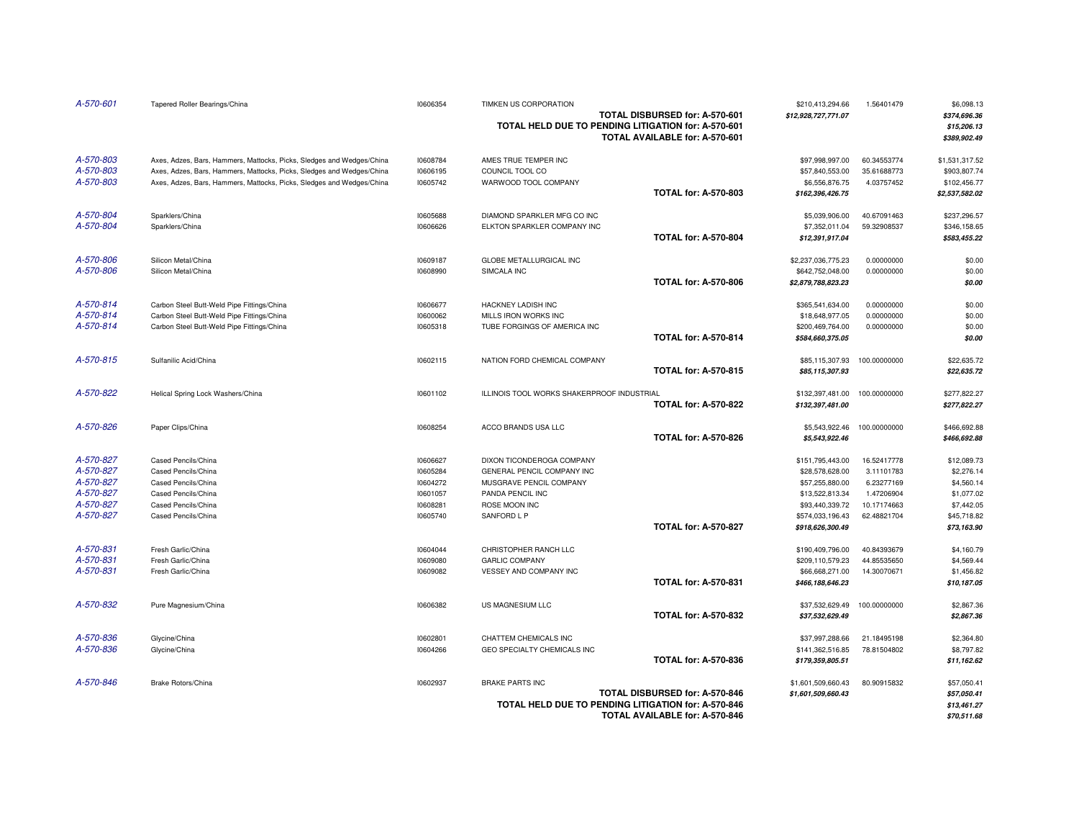| A-570-601 | Tapered Roller Bearings/China                                         | 10606354 | TIMKEN US CORPORATION<br>TOTAL HELD DUE TO PENDING LITIGATION for: A-570-601 | TOTAL DISBURSED for: A-570-601<br>TOTAL AVAILABLE for: A-570-601 | \$210,413,294.66<br>\$12,928,727,771.07 | 1.56401479   | \$6,098.13<br>\$374,696.36<br>\$15,206.13<br>\$389,902.49 |
|-----------|-----------------------------------------------------------------------|----------|------------------------------------------------------------------------------|------------------------------------------------------------------|-----------------------------------------|--------------|-----------------------------------------------------------|
| A-570-803 | Axes, Adzes, Bars, Hammers, Mattocks, Picks, Sledges and Wedges/China | 10608784 | AMES TRUE TEMPER INC                                                         |                                                                  | \$97,998,997.00                         | 60.34553774  | \$1,531,317.52                                            |
| A-570-803 | Axes, Adzes, Bars, Hammers, Mattocks, Picks, Sledges and Wedges/China | 10606195 | COUNCIL TOOL CO                                                              |                                                                  | \$57,840,553.00                         | 35.61688773  | \$903,807.74                                              |
| A-570-803 | Axes, Adzes, Bars, Hammers, Mattocks, Picks, Sledges and Wedges/China | 10605742 | WARWOOD TOOL COMPANY                                                         |                                                                  | \$6,556,876.75                          | 4.03757452   | \$102,456.77                                              |
|           |                                                                       |          |                                                                              | <b>TOTAL for: A-570-803</b>                                      | \$162,396,426.75                        |              | \$2,537,582.02                                            |
| A-570-804 | Sparklers/China                                                       | 10605688 | DIAMOND SPARKLER MFG CO INC                                                  |                                                                  | \$5,039,906.00                          | 40.67091463  | \$237,296.57                                              |
| A-570-804 | Sparklers/China                                                       | 10606626 | ELKTON SPARKLER COMPANY INC                                                  |                                                                  | \$7,352,011.04                          | 59.32908537  | \$346,158.65                                              |
|           |                                                                       |          |                                                                              | <b>TOTAL for: A-570-804</b>                                      | \$12,391,917.04                         |              | \$583,455.22                                              |
| A-570-806 | Silicon Metal/China                                                   | 10609187 | GLOBE METALLURGICAL INC                                                      |                                                                  | \$2,237,036,775.23                      | 0.00000000   | \$0.00                                                    |
| A-570-806 | Silicon Metal/China                                                   | 10608990 | SIMCALA INC                                                                  |                                                                  | \$642,752,048.00                        | 0.00000000   | \$0.00                                                    |
|           |                                                                       |          |                                                                              | <b>TOTAL for: A-570-806</b>                                      | \$2,879,788,823.23                      |              | \$0.00                                                    |
| A-570-814 | Carbon Steel Butt-Weld Pipe Fittings/China                            | 10606677 | HACKNEY LADISH INC                                                           |                                                                  | \$365,541,634.00                        | 0.00000000   | \$0.00                                                    |
| A-570-814 | Carbon Steel Butt-Weld Pipe Fittings/China                            | 10600062 | MILLS IRON WORKS INC                                                         |                                                                  | \$18,648,977.05                         | 0.00000000   | \$0.00                                                    |
| A-570-814 | Carbon Steel Butt-Weld Pipe Fittings/China                            | 10605318 | TUBE FORGINGS OF AMERICA INC                                                 |                                                                  | \$200,469,764.00                        | 0.00000000   | \$0.00                                                    |
|           |                                                                       |          |                                                                              | <b>TOTAL for: A-570-814</b>                                      | \$584,660,375.05                        |              | \$0.00                                                    |
| A-570-815 | Sulfanilic Acid/China                                                 | 10602115 | NATION FORD CHEMICAL COMPANY                                                 |                                                                  | \$85,115,307.93                         | 100.00000000 | \$22,635.72                                               |
|           |                                                                       |          |                                                                              | <b>TOTAL for: A-570-815</b>                                      | \$85,115,307.93                         |              | \$22,635.72                                               |
| A-570-822 | Helical Spring Lock Washers/China                                     | 10601102 | ILLINOIS TOOL WORKS SHAKERPROOF INDUSTRIAL                                   |                                                                  | \$132,397,481.00                        | 100.00000000 | \$277,822.27                                              |
|           |                                                                       |          |                                                                              | <b>TOTAL for: A-570-822</b>                                      | \$132,397,481.00                        |              | \$277,822.27                                              |
| A-570-826 | Paper Clips/China                                                     | 10608254 | ACCO BRANDS USA LLC                                                          | <b>TOTAL for: A-570-826</b>                                      | \$5,543,922.46<br>\$5,543,922.46        | 100.00000000 | \$466,692.88<br>\$466,692.88                              |
| A-570-827 | Cased Pencils/China                                                   | 10606627 | DIXON TICONDEROGA COMPANY                                                    |                                                                  | \$151,795,443.00                        | 16.52417778  | \$12,089.73                                               |
| A-570-827 | Cased Pencils/China                                                   | 10605284 | GENERAL PENCIL COMPANY INC                                                   |                                                                  | \$28,578,628.00                         | 3.11101783   | \$2,276.14                                                |
| A-570-827 | Cased Pencils/China                                                   | 10604272 | MUSGRAVE PENCIL COMPANY                                                      |                                                                  | \$57,255,880.00                         | 6.23277169   | \$4,560.14                                                |
| A-570-827 | Cased Pencils/China                                                   | 10601057 | PANDA PENCIL INC                                                             |                                                                  | \$13,522,813.34                         | 1.47206904   | \$1,077.02                                                |
| A-570-827 | Cased Pencils/China                                                   | 10608281 | ROSE MOON INC                                                                |                                                                  | \$93,440,339.72                         | 10.17174663  | \$7,442.05                                                |
| A-570-827 | Cased Pencils/China                                                   | 10605740 | SANFORD L P                                                                  |                                                                  | \$574,033,196.43                        | 62.48821704  | \$45,718.82                                               |
|           |                                                                       |          |                                                                              | <b>TOTAL for: A-570-827</b>                                      | \$918,626,300.49                        |              | \$73,163.90                                               |
| A-570-831 | Fresh Garlic/China                                                    | 10604044 | CHRISTOPHER RANCH LLC                                                        |                                                                  | \$190,409,796.00                        | 40.84393679  | \$4,160.79                                                |
| A-570-831 | Fresh Garlic/China                                                    | 10609080 | <b>GARLIC COMPANY</b>                                                        |                                                                  | \$209,110,579.23                        | 44.85535650  | \$4,569.44                                                |
| A-570-831 | Fresh Garlic/China                                                    | 10609082 | VESSEY AND COMPANY INC                                                       |                                                                  | \$66,668,271.00                         | 14.30070671  | \$1,456.82                                                |
|           |                                                                       |          |                                                                              | <b>TOTAL for: A-570-831</b>                                      | \$466,188,646.23                        |              | \$10,187.05                                               |
| A-570-832 | Pure Magnesium/China                                                  | 10606382 | US MAGNESIUM LLC                                                             |                                                                  | \$37,532,629.49                         | 100.00000000 | \$2,867.36                                                |
|           |                                                                       |          |                                                                              | <b>TOTAL for: A-570-832</b>                                      | \$37,532,629.49                         |              | \$2,867.36                                                |
| A-570-836 | Glycine/China                                                         | 10602801 | CHATTEM CHEMICALS INC                                                        |                                                                  | \$37,997,288.66                         | 21.18495198  | \$2,364.80                                                |
| A-570-836 | Glycine/China                                                         | 10604266 | GEO SPECIALTY CHEMICALS INC                                                  |                                                                  | \$141,362,516.85                        | 78.81504802  | \$8,797.82                                                |
|           |                                                                       |          |                                                                              | <b>TOTAL for: A-570-836</b>                                      | \$179,359,805.51                        |              | \$11,162.62                                               |
| A-570-846 | <b>Brake Rotors/China</b>                                             | 10602937 | <b>BRAKE PARTS INC</b>                                                       |                                                                  | \$1,601,509,660.43                      | 80.90915832  | \$57,050.41                                               |
|           |                                                                       |          |                                                                              | TOTAL DISBURSED for: A-570-846                                   | \$1,601,509,660.43                      |              | \$57,050.41                                               |
|           |                                                                       |          | TOTAL HELD DUE TO PENDING LITIGATION for: A-570-846                          | TOTAL AVAILABLE for: A-570-846                                   |                                         |              | \$13,461.27<br>\$70,511.68                                |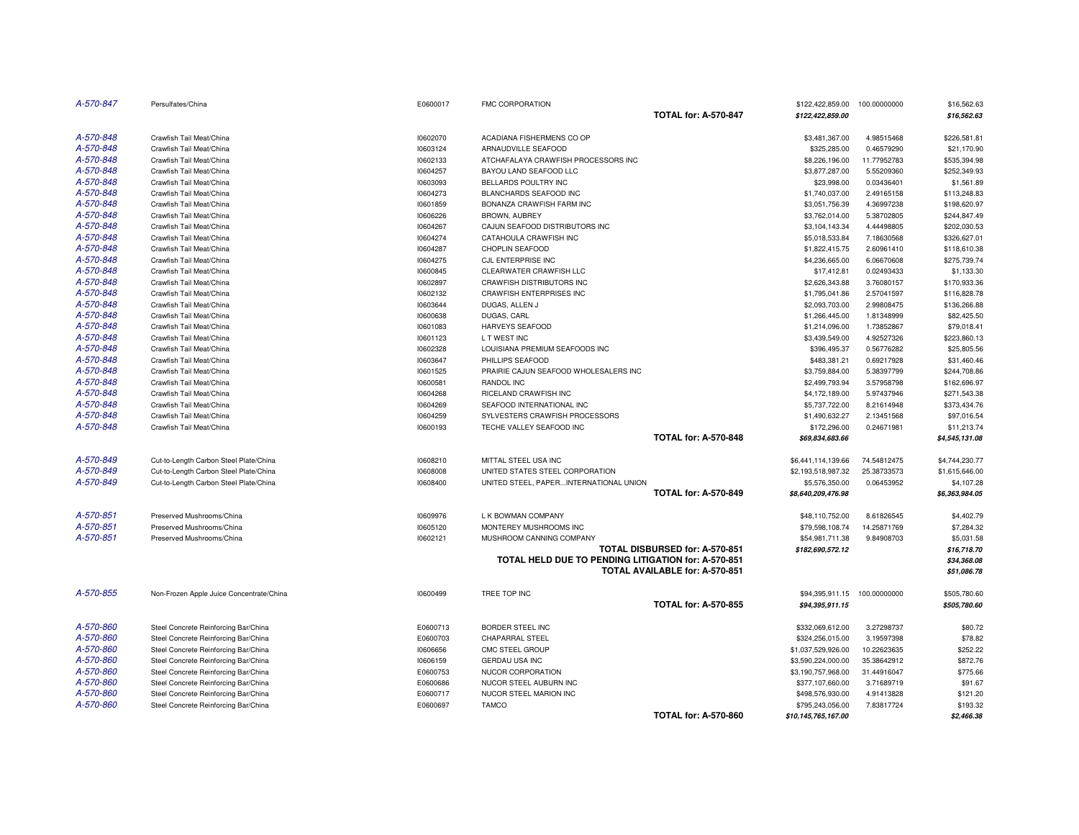| A-570-847 | Persulfates/China                        | E0600017 | <b>FMC CORPORATION</b>                              |                                | \$122,422,859.00    | 100.00000000 | \$16,562.63    |
|-----------|------------------------------------------|----------|-----------------------------------------------------|--------------------------------|---------------------|--------------|----------------|
|           |                                          |          |                                                     | <b>TOTAL for: A-570-847</b>    | \$122,422,859.00    |              | \$16,562.63    |
| A-570-848 | Crawfish Tail Meat/China                 | 10602070 | ACADIANA FISHERMENS CO OP                           |                                | \$3,481,367.00      | 4.98515468   | \$226,581.81   |
| A-570-848 | Crawfish Tail Meat/China                 | 10603124 | ARNAUDVILLE SEAFOOD                                 |                                | \$325,285.00        | 0.46579290   | \$21,170.90    |
| A-570-848 | Crawfish Tail Meat/China                 | 10602133 | ATCHAFALAYA CRAWFISH PROCESSORS INC                 |                                | \$8,226,196.00      | 11.77952783  | \$535,394.98   |
| A-570-848 | Crawfish Tail Meat/China                 | 10604257 | BAYOU LAND SEAFOOD LLC                              |                                | \$3,877,287.00      | 5.55209360   | \$252,349.93   |
| A-570-848 | Crawfish Tail Meat/China                 | 10603093 | BELLARDS POULTRY INC                                |                                | \$23,998.00         | 0.03436401   | \$1,561.89     |
| A-570-848 | Crawfish Tail Meat/China                 | 10604273 | BLANCHARDS SEAFOOD INC                              |                                | \$1,740,037.00      | 2.49165158   | \$113,248.83   |
| A-570-848 | Crawfish Tail Meat/China                 | 10601859 | BONANZA CRAWFISH FARM INC                           |                                | \$3,051,756.39      | 4.36997238   | \$198,620.97   |
| A-570-848 | Crawfish Tail Meat/China                 | 10606226 | BROWN, AUBREY                                       |                                | \$3,762,014.00      | 5.38702805   | \$244,847.49   |
| A-570-848 | Crawfish Tail Meat/China                 | 10604267 | CAJUN SEAFOOD DISTRIBUTORS INC                      |                                | \$3,104,143.34      | 4.44498805   | \$202,030.53   |
| A-570-848 | Crawfish Tail Meat/China                 | 10604274 | CATAHOULA CRAWFISH INC                              |                                | \$5,018,533.84      | 7.18630568   | \$326,627.01   |
| A-570-848 | Crawfish Tail Meat/China                 | 10604287 | CHOPLIN SEAFOOD                                     |                                | \$1,822,415.75      | 2.60961410   | \$118,610.38   |
| A-570-848 | Crawfish Tail Meat/China                 | 10604275 | CJL ENTERPRISE INC                                  |                                | \$4,236,665.00      | 6.06670608   | \$275,739.74   |
| A-570-848 | Crawfish Tail Meat/China                 | 10600845 | CLEARWATER CRAWFISH LLC                             |                                | \$17,412.81         | 0.02493433   | \$1,133.30     |
| A-570-848 | Crawfish Tail Meat/China                 | 10602897 | CRAWFISH DISTRIBUTORS INC                           |                                | \$2,626,343.88      | 3.76080157   | \$170,933.36   |
| A-570-848 | Crawfish Tail Meat/China                 | 10602132 | <b>CRAWFISH ENTERPRISES INC</b>                     |                                | \$1,795,041.86      | 2.57041597   | \$116,828.78   |
| A-570-848 | Crawfish Tail Meat/China                 | 10603644 | DUGAS, ALLEN J                                      |                                | \$2,093,703.00      | 2.99808475   | \$136,266.88   |
| A-570-848 | Crawfish Tail Meat/China                 | 10600638 | DUGAS, CARL                                         |                                | \$1,266,445.00      | 1.81348999   | \$82,425.50    |
| A-570-848 | Crawfish Tail Meat/China                 | 10601083 | HARVEYS SEAFOOD                                     |                                | \$1,214,096.00      | 1.73852867   | \$79,018.41    |
| A-570-848 | Crawfish Tail Meat/China                 | 10601123 | L T WEST INC                                        |                                | \$3,439,549.00      | 4.92527326   | \$223,860.13   |
| A-570-848 | Crawfish Tail Meat/China                 | 10602328 | LOUISIANA PREMIUM SEAFOODS INC                      |                                | \$396,495.37        | 0.56776282   | \$25,805.56    |
| A-570-848 | Crawfish Tail Meat/China                 | 10603647 | PHILLIPS SEAFOOD                                    |                                | \$483,381.21        | 0.69217928   | \$31,460.46    |
| A-570-848 | Crawfish Tail Meat/China                 | 10601525 | PRAIRIE CAJUN SEAFOOD WHOLESALERS INC               |                                | \$3,759,884.00      | 5.38397799   | \$244,708.86   |
| A-570-848 | Crawfish Tail Meat/China                 | 10600581 | RANDOL INC                                          |                                | \$2,499,793.94      | 3.57958798   | \$162,696.97   |
| A-570-848 | Crawfish Tail Meat/China                 | 10604268 | RICELAND CRAWFISH INC                               |                                | \$4,172,189.00      | 5.97437946   | \$271,543.38   |
| A-570-848 | Crawfish Tail Meat/China                 | 10604269 | SEAFOOD INTERNATIONAL INC                           |                                | \$5,737,722.00      | 8.21614948   | \$373,434.76   |
| A-570-848 | Crawfish Tail Meat/China                 | 10604259 | SYLVESTERS CRAWFISH PROCESSORS                      |                                | \$1,490,632.27      | 2.13451568   | \$97,016.54    |
| A-570-848 | Crawfish Tail Meat/China                 | 10600193 | TECHE VALLEY SEAFOOD INC                            |                                | \$172,296.00        | 0.24671981   | \$11,213.74    |
|           |                                          |          |                                                     | <b>TOTAL for: A-570-848</b>    | \$69,834,683.66     |              | \$4,545,131.08 |
| A-570-849 | Cut-to-Length Carbon Steel Plate/China   | 10608210 | MITTAL STEEL USA INC                                |                                | \$6,441,114,139.66  | 74.54812475  | \$4,744,230.77 |
| A-570-849 | Cut-to-Length Carbon Steel Plate/China   | 10608008 | UNITED STATES STEEL CORPORATION                     |                                | \$2,193,518,987.32  | 25.38733573  | \$1,615,646.00 |
| A-570-849 | Cut-to-Length Carbon Steel Plate/China   | 10608400 | UNITED STEEL, PAPERINTERNATIONAL UNION              |                                | \$5,576,350.00      | 0.06453952   | \$4,107.28     |
|           |                                          |          |                                                     | <b>TOTAL for: A-570-849</b>    | \$8,640,209,476.98  |              | \$6,363,984.05 |
| A-570-851 | Preserved Mushrooms/China                | 10609976 | L K BOWMAN COMPANY                                  |                                | \$48,110,752.00     | 8.61826545   | \$4,402.79     |
| A-570-851 | Preserved Mushrooms/China                | 10605120 | MONTEREY MUSHROOMS INC                              |                                | \$79,598,108.74     | 14.25871769  | \$7,284.32     |
| A-570-851 | Preserved Mushrooms/China                | 10602121 | MUSHROOM CANNING COMPANY                            |                                | \$54,981,711.38     | 9.84908703   | \$5,031.58     |
|           |                                          |          |                                                     | TOTAL DISBURSED for: A-570-851 | \$182,690,572.12    |              | \$16,718.70    |
|           |                                          |          | TOTAL HELD DUE TO PENDING LITIGATION for: A-570-851 |                                |                     |              | \$34,368.08    |
|           |                                          |          |                                                     | TOTAL AVAILABLE for: A-570-851 |                     |              | \$51,086.78    |
|           |                                          |          |                                                     |                                |                     |              |                |
| A-570-855 | Non-Frozen Apple Juice Concentrate/China | 10600499 | TREE TOP INC                                        |                                | \$94,395,911.15     | 100.00000000 | \$505,780.60   |
|           |                                          |          |                                                     | <b>TOTAL for: A-570-855</b>    | \$94,395,911.15     |              | \$505,780.60   |
| A-570-860 | Steel Concrete Reinforcing Bar/China     | E0600713 | BORDER STEEL INC                                    |                                | \$332,069,612.00    | 3.27298737   | \$80.72        |
| A-570-860 | Steel Concrete Reinforcing Bar/China     | E0600703 | CHAPARRAL STEEL                                     |                                | \$324,256,015.00    | 3.19597398   | \$78.82        |
| A-570-860 | Steel Concrete Reinforcing Bar/China     | 10606656 | CMC STEEL GROUP                                     |                                | \$1,037,529,926.00  | 10.22623635  | \$252.22       |
| A-570-860 | Steel Concrete Reinforcing Bar/China     | 10606159 | <b>GERDAU USA INC</b>                               |                                | \$3,590,224,000.00  | 35.38642912  | \$872.76       |
| A-570-860 | Steel Concrete Reinforcing Bar/China     | E0600753 | NUCOR CORPORATION                                   |                                | \$3,190,757,968.00  | 31.44916047  | \$775.66       |
| A-570-860 | Steel Concrete Reinforcing Bar/China     | E0600686 | NUCOR STEEL AUBURN INC                              |                                | \$377,107,660.00    | 3.71689719   | \$91.67        |
| A-570-860 | Steel Concrete Reinforcing Bar/China     | E0600717 | NUCOR STEEL MARION INC                              |                                | \$498,576,930.00    | 4.91413828   | \$121.20       |
| A-570-860 | Steel Concrete Reinforcing Bar/China     | E0600697 | <b>TAMCO</b>                                        |                                | \$795,243,056.00    | 7.83817724   | \$193.32       |
|           |                                          |          |                                                     | <b>TOTAL for: A-570-860</b>    | \$10,145,765,167.00 |              | \$2,466.38     |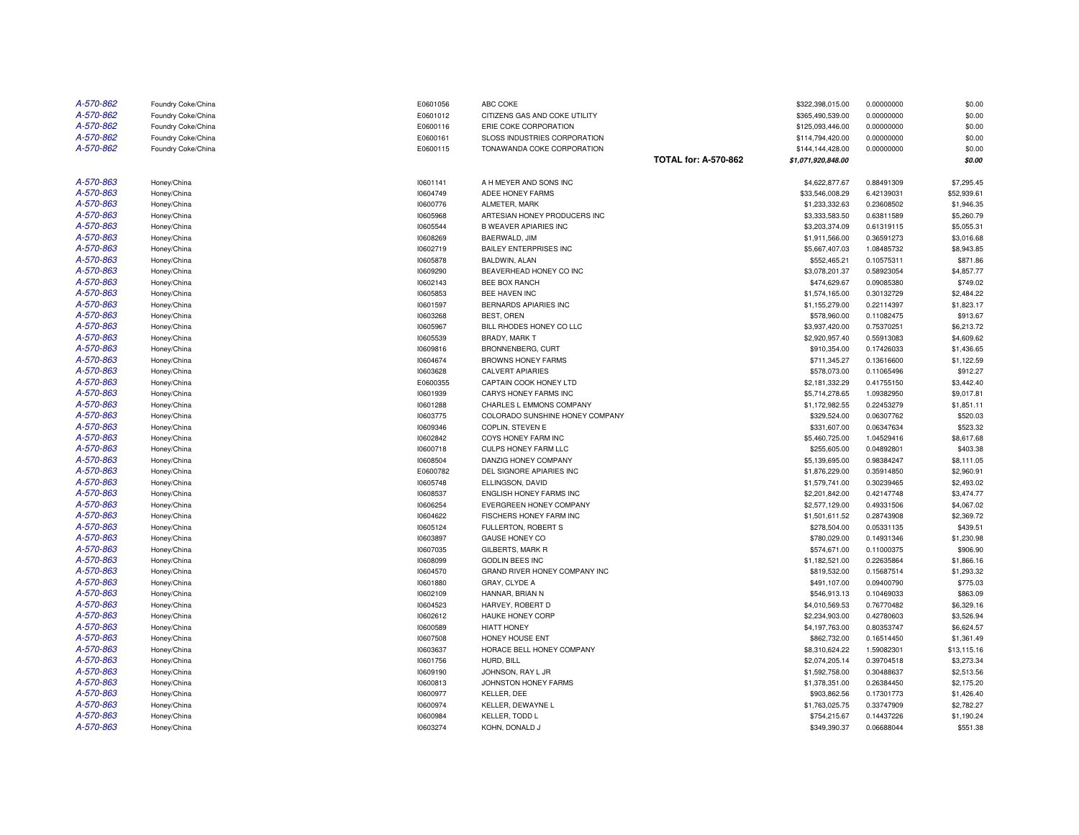| A-570-862 | Foundry Coke/China | E0601056 | ABC COKE                            |                             | \$322,398,015.00   | 0.00000000 | \$0.00      |
|-----------|--------------------|----------|-------------------------------------|-----------------------------|--------------------|------------|-------------|
| A-570-862 | Foundry Coke/China | E0601012 | CITIZENS GAS AND COKE UTILITY       |                             | \$365,490,539.00   | 0.00000000 | \$0.00      |
| A-570-862 | Foundry Coke/China | E0600116 | ERIE COKE CORPORATION               |                             | \$125,093,446.00   | 0.00000000 | \$0.00      |
| A-570-862 | Foundry Coke/China | E0600161 | <b>SLOSS INDUSTRIES CORPORATION</b> |                             | \$114,794,420.00   | 0.00000000 | \$0.00      |
| A-570-862 | Foundry Coke/China | E0600115 | TONAWANDA COKE CORPORATION          |                             | \$144,144,428.00   | 0.00000000 | \$0.00      |
|           |                    |          |                                     | <b>TOTAL for: A-570-862</b> | \$1,071,920,848.00 |            | \$0.00      |
| A-570-863 | Honey/China        | 10601141 | A H MEYER AND SONS INC              |                             | \$4,622,877.67     | 0.88491309 | \$7,295.45  |
| A-570-863 | Honey/China        | 10604749 | ADEE HONEY FARMS                    |                             | \$33,546,008.29    | 6.42139031 | \$52,939.61 |
| A-570-863 | Honey/China        | 10600776 | ALMETER, MARK                       |                             | \$1,233,332.63     | 0.23608502 | \$1,946.35  |
| A-570-863 | Honey/China        | 10605968 | ARTESIAN HONEY PRODUCERS INC        |                             | \$3,333,583.50     | 0.63811589 | \$5,260.79  |
| A-570-863 | Honey/China        | 10605544 | <b>B WEAVER APIARIES INC</b>        |                             | \$3,203,374.09     | 0.61319115 | \$5,055.31  |
| A-570-863 | Honey/China        | 10608269 | BAERWALD, JIM                       |                             | \$1,911,566.00     | 0.36591273 | \$3,016.68  |
| A-570-863 | Honey/China        | 10602719 | <b>BAILEY ENTERPRISES INC</b>       |                             | \$5,667,407.03     | 1.08485732 | \$8,943.85  |
| A-570-863 | Honey/China        | 10605878 | BALDWIN, ALAN                       |                             | \$552,465.21       | 0.10575311 | \$871.86    |
| A-570-863 | Honey/China        | 10609290 | BEAVERHEAD HONEY CO INC             |                             | \$3,078,201.37     | 0.58923054 | \$4,857.77  |
| A-570-863 | Honey/China        | 10602143 | <b>BEE BOX RANCH</b>                |                             | \$474,629.67       | 0.09085380 | \$749.02    |
| A-570-863 | Honey/China        | 10605853 | BEE HAVEN INC                       |                             | \$1,574,165.00     | 0.30132729 | \$2,484.22  |
| A-570-863 | Honey/China        | 10601597 | BERNARDS APIARIES INC               |                             | \$1,155,279.00     | 0.22114397 | \$1,823.17  |
| A-570-863 | Honey/China        | 10603268 | BEST, OREN                          |                             | \$578,960.00       | 0.11082475 | \$913.67    |
| A-570-863 | Honey/China        | 10605967 | BILL RHODES HONEY CO LLC            |                             | \$3,937,420.00     | 0.75370251 | \$6,213.72  |
| A-570-863 | Honey/China        | 10605539 | <b>BRADY, MARK T</b>                |                             | \$2,920,957.40     | 0.55913083 | \$4,609.62  |
| A-570-863 | Honey/China        | 10609816 | BRONNENBERG, CURT                   |                             | \$910,354.00       | 0.17426033 | \$1,436.65  |
| A-570-863 | Honey/China        | 10604674 | <b>BROWNS HONEY FARMS</b>           |                             | \$711,345.27       | 0.13616600 | \$1,122.59  |
| A-570-863 | Honey/China        | 10603628 | <b>CALVERT APIARIES</b>             |                             | \$578,073.00       | 0.11065496 | \$912.27    |
| A-570-863 | Honey/China        | E0600355 | CAPTAIN COOK HONEY LTD              |                             | \$2,181,332.29     | 0.41755150 | \$3,442.40  |
| A-570-863 | Honey/China        | 10601939 | CARYS HONEY FARMS INC               |                             | \$5,714,278.65     | 1.09382950 | \$9,017.81  |
| A-570-863 | Honey/China        | 10601288 | CHARLES L EMMONS COMPANY            |                             | \$1,172,982.55     | 0.22453279 | \$1,851.11  |
| A-570-863 | Honey/China        | 10603775 | COLORADO SUNSHINE HONEY COMPANY     |                             | \$329,524.00       | 0.06307762 | \$520.03    |
| A-570-863 | Honey/China        | 10609346 | COPLIN. STEVEN E                    |                             | \$331,607.00       | 0.06347634 | \$523.32    |
| A-570-863 | Honey/China        | 10602842 | COYS HONEY FARM INC                 |                             | \$5,460,725.00     | 1.04529416 | \$8,617.68  |
| A-570-863 | Honey/China        | 10600718 | CULPS HONEY FARM LLC                |                             | \$255,605.00       | 0.04892801 | \$403.38    |
| A-570-863 | Honey/China        | 10608504 | DANZIG HONEY COMPANY                |                             | \$5,139,695.00     | 0.98384247 | \$8,111.05  |
| A-570-863 | Honey/China        | E0600782 | DEL SIGNORE APIARIES INC            |                             | \$1,876,229.00     | 0.35914850 | \$2,960.91  |
| A-570-863 | Honey/China        | 10605748 | ELLINGSON, DAVID                    |                             | \$1,579,741.00     | 0.30239465 | \$2,493.02  |
| A-570-863 | Honey/China        | 10608537 | ENGLISH HONEY FARMS INC             |                             | \$2,201,842.00     | 0.42147748 | \$3,474.77  |
| A-570-863 | Honey/China        | 10606254 | EVERGREEN HONEY COMPANY             |                             | \$2,577,129.00     | 0.49331506 | \$4,067.02  |
| A-570-863 | Honey/China        | 10604622 | FISCHERS HONEY FARM INC             |                             | \$1,501,611.52     | 0.28743908 | \$2,369.72  |
| A-570-863 | Honey/China        | 10605124 | FULLERTON, ROBERT S                 |                             | \$278,504.00       | 0.05331135 | \$439.51    |
| A-570-863 | Honey/China        | 10603897 | <b>GAUSE HONEY CO</b>               |                             | \$780,029.00       | 0.14931346 | \$1,230.98  |
| A-570-863 | Honey/China        | 10607035 | <b>GILBERTS, MARK R</b>             |                             | \$574,671.00       | 0.11000375 | \$906.90    |
| A-570-863 | Honey/China        | 10608099 | <b>GODLIN BEES INC</b>              |                             | \$1,182,521.00     | 0.22635864 | \$1,866.16  |
| A-570-863 | Honey/China        | 10604570 | GRAND RIVER HONEY COMPANY INC       |                             | \$819,532.00       | 0.15687514 | \$1,293.32  |
| A-570-863 | Honey/China        | 10601880 | GRAY, CLYDE A                       |                             | \$491,107.00       | 0.09400790 | \$775.03    |
| A-570-863 | Honey/China        | 10602109 | HANNAR, BRIAN N                     |                             | \$546,913.13       | 0.10469033 | \$863.09    |
| A-570-863 | Honey/China        | 10604523 | HARVEY, ROBERT D                    |                             | \$4,010,569.53     | 0.76770482 | \$6,329.16  |
| A-570-863 | Honey/China        | 10602612 | HAUKE HONEY CORP                    |                             | \$2,234,903.00     | 0.42780603 | \$3,526.94  |
| A-570-863 | Honey/China        | 10600589 | <b>HIATT HONEY</b>                  |                             | \$4,197,763.00     | 0.80353747 | \$6,624.57  |
| A-570-863 | Honey/China        | 10607508 | HONEY HOUSE ENT                     |                             | \$862,732.00       | 0.16514450 | \$1,361.49  |
| A-570-863 | Honey/China        | 10603637 | HORACE BELL HONEY COMPANY           |                             | \$8,310,624.22     | 1.59082301 | \$13,115.16 |
| A-570-863 | Honey/China        | 10601756 | HURD, BILL                          |                             | \$2,074,205.14     | 0.39704518 | \$3,273.34  |
| A-570-863 | Honey/China        | 10609190 | JOHNSON, RAY L JR                   |                             | \$1,592,758.00     | 0.30488637 | \$2,513.56  |
| A-570-863 | Honey/China        | 10600813 | JOHNSTON HONEY FARMS                |                             | \$1,378,351.00     | 0.26384450 | \$2,175.20  |
| A-570-863 | Honey/China        | 10600977 | KELLER, DEE                         |                             | \$903,862.56       | 0.17301773 | \$1,426.40  |
| A-570-863 | Honey/China        | 10600974 | KELLER, DEWAYNE L                   |                             | \$1,763,025.75     | 0.33747909 | \$2,782.27  |
| A-570-863 | Honey/China        | 10600984 | KELLER. TODD L                      |                             | \$754,215.67       | 0.14437226 | \$1,190.24  |
| A-570-863 | Honey/China        | 10603274 | KOHN, DONALD J                      |                             | \$349,390.37       | 0.06688044 | \$551.38    |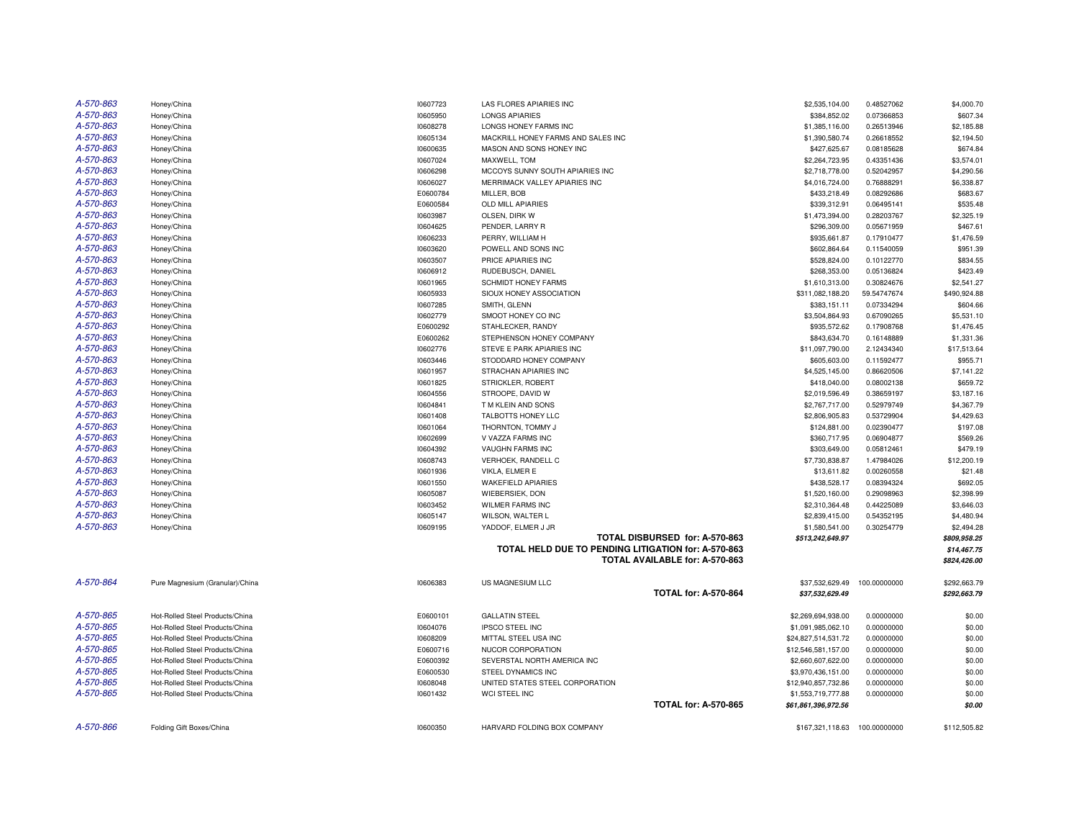| A-570-863 |                                 |          | LAS FLORES APIARIES INC                             |                                |                     |                          |                        |
|-----------|---------------------------------|----------|-----------------------------------------------------|--------------------------------|---------------------|--------------------------|------------------------|
| A-570-863 | Honey/China                     | 10607723 | <b>LONGS APIARIES</b>                               |                                | \$2,535,104.00      | 0.48527062<br>0.07366853 | \$4,000.70<br>\$607.34 |
| A-570-863 | Honey/China                     | 10605950 |                                                     |                                | \$384,852.02        |                          |                        |
|           | Honey/China                     | 10608278 | LONGS HONEY FARMS INC                               |                                | \$1,385,116.00      | 0.26513946               | \$2,185.88             |
| A-570-863 | Honey/China                     | 10605134 | MACKRILL HONEY FARMS AND SALES INC                  |                                | \$1,390,580.74      | 0.26618552               | \$2,194.50             |
| A-570-863 | Honey/China                     | 10600635 | MASON AND SONS HONEY INC                            |                                | \$427,625.67        | 0.08185628               | \$674.84               |
| A-570-863 | Honey/China                     | 10607024 | MAXWELL. TOM                                        |                                | \$2,264,723.95      | 0.43351436               | \$3.574.01             |
| A-570-863 | Honey/China                     | 10606298 | MCCOYS SUNNY SOUTH APIARIES INC                     |                                | \$2,718,778.00      | 0.52042957               | \$4,290.56             |
| A-570-863 | Honey/China                     | 10606027 | MERRIMACK VALLEY APIARIES INC                       |                                | \$4,016,724.00      | 0.76888291               | \$6,338.87             |
| A-570-863 | Honey/China                     | E0600784 | MILLER, BOB                                         |                                | \$433,218.49        | 0.08292686               | \$683.67               |
| A-570-863 | Honey/China                     | E0600584 | OLD MILL APIARIES                                   |                                | \$339,312.91        | 0.06495141               | \$535.48               |
| A-570-863 | Honey/China                     | 10603987 | OLSEN, DIRK W                                       |                                | \$1,473,394.00      | 0.28203767               | \$2.325.19             |
| A-570-863 | Honey/China                     | 10604625 | PENDER, LARRY R                                     |                                | \$296,309.00        | 0.05671959               | \$467.61               |
| A-570-863 | Honey/China                     | 10606233 | PERRY, WILLIAM H                                    |                                | \$935,661.87        | 0.17910477               | \$1,476.59             |
| A-570-863 | Honey/China                     | 10603620 | POWELL AND SONS INC                                 |                                | \$602,864.64        | 0.11540059               | \$951.39               |
| A-570-863 | Honey/China                     | 10603507 | PRICE APIARIES INC                                  |                                | \$528,824.00        | 0.10122770               | \$834.55               |
| A-570-863 | Honey/China                     | 10606912 | RUDEBUSCH, DANIEL                                   |                                | \$268,353.00        | 0.05136824               | \$423.49               |
| A-570-863 | Honey/China                     | 10601965 | SCHMIDT HONEY FARMS                                 |                                | \$1,610,313.00      | 0.30824676               | \$2,541.27             |
| A-570-863 | Honey/China                     | 10605933 | SIOUX HONEY ASSOCIATION                             |                                | \$311,082,188.20    | 59.54747674              | \$490,924.88           |
| A-570-863 | Honey/China                     | 10607285 | SMITH, GLENN                                        |                                | \$383,151.11        | 0.07334294               | \$604.66               |
| A-570-863 | Honey/China                     | 10602779 | SMOOT HONEY CO INC                                  |                                | \$3,504,864.93      | 0.67090265               | \$5,531.10             |
| A-570-863 | Honey/China                     | E0600292 | STAHLECKER, RANDY                                   |                                | \$935,572.62        | 0.17908768               | \$1,476.45             |
| A-570-863 | Honey/China                     | E0600262 | STEPHENSON HONEY COMPANY                            |                                | \$843,634.70        | 0.16148889               | \$1,331.36             |
| A-570-863 | Honey/China                     | 10602776 | STEVE E PARK APIARIES INC                           |                                | \$11,097,790.00     | 2.12434340               | \$17,513.64            |
| A-570-863 | Honey/China                     | 10603446 | STODDARD HONEY COMPANY                              |                                | \$605,603.00        | 0.11592477               | \$955.71               |
| A-570-863 | Honey/China                     | 10601957 | STRACHAN APIARIES INC                               |                                | \$4,525,145.00      | 0.86620506               | \$7,141.22             |
| A-570-863 | Honey/China                     | 10601825 | STRICKLER, ROBERT                                   |                                | \$418,040.00        | 0.08002138               | \$659.72               |
| A-570-863 | Honey/China                     | 10604556 | STROOPE, DAVID W                                    |                                | \$2,019,596.49      | 0.38659197               | \$3,187.16             |
| A-570-863 | Honey/China                     | 10604841 | T M KLEIN AND SONS                                  |                                | \$2,767,717.00      | 0.52979749               | \$4,367.79             |
| A-570-863 | Honey/China                     | 10601408 | TALBOTTS HONEY LLC                                  |                                | \$2,806,905.83      | 0.53729904               | \$4,429.63             |
| A-570-863 | Honey/China                     | 10601064 | THORNTON, TOMMY J                                   |                                | \$124,881.00        | 0.02390477               | \$197.08               |
| A-570-863 | Honey/China                     | 10602699 | V VAZZA FARMS INC                                   |                                | \$360,717.95        | 0.06904877               | \$569.26               |
| A-570-863 | Honey/China                     | 10604392 | <b>VAUGHN FARMS INC</b>                             |                                | \$303,649.00        | 0.05812461               | \$479.19               |
| A-570-863 | Honey/China                     | 10608743 | VERHOEK, RANDELL C                                  |                                | \$7,730,838.87      | 1.47984026               | \$12,200.19            |
| A-570-863 | Honey/China                     | 10601936 | VIKLA, ELMER E                                      |                                | \$13,611.82         | 0.00260558               | \$21.48                |
| A-570-863 | Honey/China                     | 10601550 | <b>WAKEFIELD APIARIES</b>                           |                                | \$438,528.17        | 0.08394324               | \$692.05               |
| A-570-863 | Honey/China                     | 10605087 | WIEBERSIEK, DON                                     |                                | \$1,520,160.00      | 0.29098963               | \$2,398.99             |
| A-570-863 | Honey/China                     | 10603452 | <b>WILMER FARMS INC</b>                             |                                | \$2,310,364.48      | 0.44225089               | \$3,646.03             |
| A-570-863 | Honey/China                     | 10605147 | WILSON, WALTER L                                    |                                | \$2,839,415.00      | 0.54352195               | \$4,480.94             |
| A-570-863 | Honey/China                     | 10609195 | YADDOF, ELMER J JR                                  |                                | \$1,580,541.00      | 0.30254779               | \$2,494.28             |
|           |                                 |          |                                                     | TOTAL DISBURSED for: A-570-863 | \$513,242,649.97    |                          | \$809,958.25           |
|           |                                 |          | TOTAL HELD DUE TO PENDING LITIGATION for: A-570-863 |                                |                     |                          | \$14,467.75            |
|           |                                 |          |                                                     | TOTAL AVAILABLE for: A-570-863 |                     |                          | \$824,426.00           |
|           |                                 |          |                                                     |                                |                     |                          |                        |
| A-570-864 | Pure Magnesium (Granular)/China | 10606383 | US MAGNESIUM LLC                                    |                                | \$37,532,629.49     | 100.00000000             | \$292,663.79           |
|           |                                 |          |                                                     | <b>TOTAL for: A-570-864</b>    | \$37,532,629.49     |                          | \$292,663.79           |
|           |                                 |          |                                                     |                                |                     |                          |                        |
| A-570-865 | Hot-Rolled Steel Products/China | E0600101 | <b>GALLATIN STEEL</b>                               |                                | \$2,269,694,938.00  | 0.00000000               | \$0.00                 |
| A-570-865 | Hot-Rolled Steel Products/China | 10604076 | <b>IPSCO STEEL INC</b>                              |                                | \$1,091,985,062.10  | 0.00000000               | \$0.00                 |
| A-570-865 | Hot-Rolled Steel Products/China | 10608209 | MITTAL STEEL USA INC                                |                                | \$24,827,514,531.72 | 0.00000000               | \$0.00                 |
| A-570-865 | Hot-Rolled Steel Products/China | E0600716 | NUCOR CORPORATION                                   |                                | \$12,546,581,157.00 | 0.00000000               | \$0.00                 |
| A-570-865 | Hot-Rolled Steel Products/China | E0600392 | SEVERSTAL NORTH AMERICA INC                         |                                | \$2,660,607,622.00  | 0.00000000               | \$0.00                 |
| A-570-865 | Hot-Rolled Steel Products/China | E0600530 | STEEL DYNAMICS INC                                  |                                | \$3,970,436,151.00  | 0.00000000               | \$0.00                 |
| A-570-865 | Hot-Rolled Steel Products/China | 10608048 | UNITED STATES STEEL CORPORATION                     |                                | \$12,940,857,732.86 | 0.00000000               | \$0.00                 |
| A-570-865 | Hot-Rolled Steel Products/China | 10601432 | WCI STEEL INC                                       |                                | \$1,553,719,777.88  | 0.00000000               | \$0.00                 |
|           |                                 |          |                                                     | <b>TOTAL for: A-570-865</b>    | \$61,861,396,972.56 |                          | \$0.00                 |
|           |                                 |          |                                                     |                                |                     |                          |                        |
| A-570-866 | Folding Gift Boxes/China        | 10600350 | HARVARD FOLDING BOX COMPANY                         |                                | \$167,321,118.63    | 100.00000000             | \$112,505.82           |
|           |                                 |          |                                                     |                                |                     |                          |                        |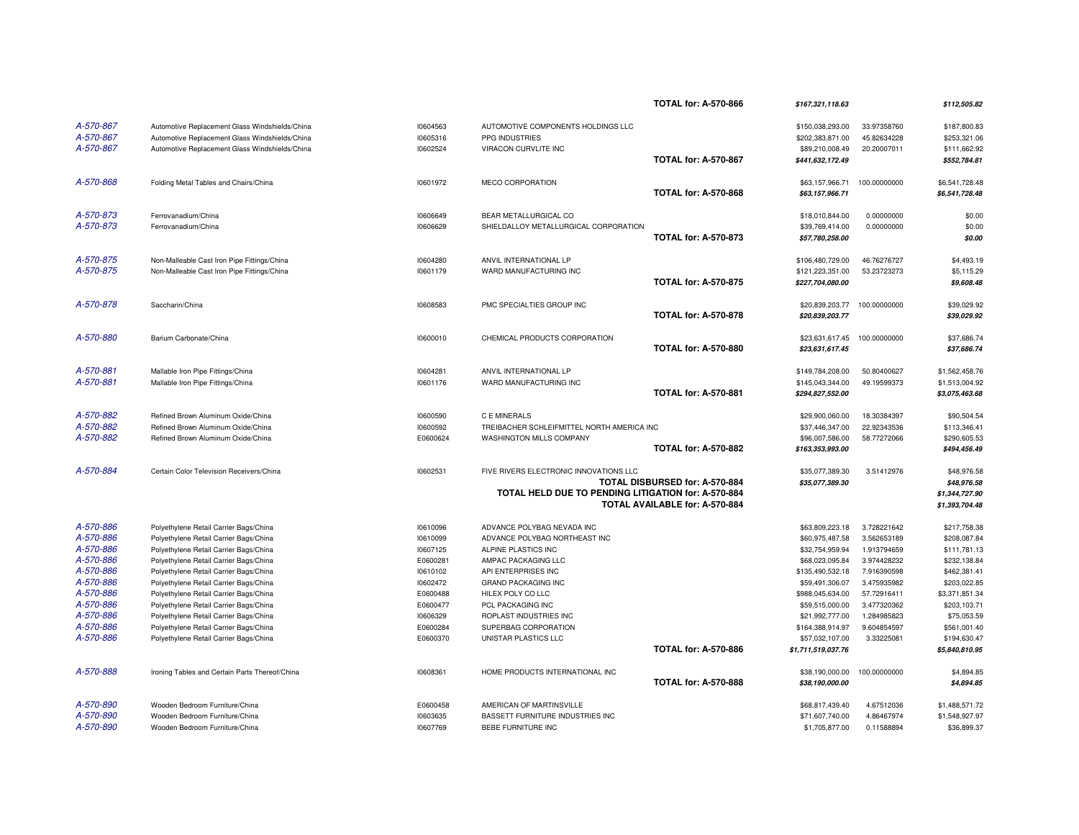|                        |                                                                                  |                      |                                                             | <b>TOTAL for: A-570-866</b>    | \$167,321,118.63                   |                            | \$112,505.82                 |
|------------------------|----------------------------------------------------------------------------------|----------------------|-------------------------------------------------------------|--------------------------------|------------------------------------|----------------------------|------------------------------|
| A-570-867              |                                                                                  |                      |                                                             |                                |                                    | 33.97358760                |                              |
| A-570-867              | Automotive Replacement Glass Windshields/China                                   | 10604563             | AUTOMOTIVE COMPONENTS HOLDINGS LLC                          |                                | \$150,038,293.00                   |                            | \$187,800.83                 |
|                        | Automotive Replacement Glass Windshields/China                                   | 10605316             | PPG INDUSTRIES                                              |                                | \$202,383,871.00                   | 45.82634228                | \$253,321.06                 |
| A-570-867              | Automotive Replacement Glass Windshields/China                                   | 10602524             | VIRACON CURVLITE INC                                        | <b>TOTAL for: A-570-867</b>    | \$89,210,008.49                    | 20.20007011                | \$111,662.92                 |
|                        |                                                                                  |                      |                                                             |                                | \$441,632,172.49                   |                            | \$552,784.81                 |
| A-570-868              | Folding Metal Tables and Chairs/China                                            | 10601972             | <b>MECO CORPORATION</b>                                     |                                | \$63,157,966.71                    | 100.00000000               | \$6,541,728,48               |
|                        |                                                                                  |                      |                                                             | <b>TOTAL for: A-570-868</b>    | \$63,157,966.71                    |                            | \$6,541,728.48               |
| A-570-873              | Ferrovanadium/China                                                              | 10606649             | BEAR METALLURGICAL CO                                       |                                | \$18,010,844.00                    | 0.00000000                 | \$0.00                       |
| A-570-873              | Ferrovanadium/China                                                              | 10606629             | SHIELDALLOY METALLURGICAL CORPORATION                       |                                | \$39,769,414.00                    | 0.00000000                 | \$0.00                       |
|                        |                                                                                  |                      |                                                             | <b>TOTAL for: A-570-873</b>    | \$57,780,258.00                    |                            | \$0.00                       |
|                        |                                                                                  |                      |                                                             |                                |                                    |                            |                              |
| A-570-875              | Non-Malleable Cast Iron Pipe Fittings/China                                      | 10604280             | ANVIL INTERNATIONAL LP                                      |                                | \$106,480,729.00                   | 46.76276727                | \$4,493.19                   |
| A-570-875              | Non-Malleable Cast Iron Pipe Fittings/China                                      | 10601179             | WARD MANUFACTURING INC                                      |                                | \$121,223,351.00                   | 53.23723273                | \$5,115.29                   |
|                        |                                                                                  |                      |                                                             | <b>TOTAL for: A-570-875</b>    | \$227,704,080.00                   |                            | \$9,608.48                   |
| A-570-878              | Saccharin/China                                                                  | 10608583             | PMC SPECIALTIES GROUP INC                                   |                                | \$20,839,203.77                    | 100.00000000               | \$39,029.92                  |
|                        |                                                                                  |                      |                                                             | <b>TOTAL for: A-570-878</b>    | \$20,839,203.77                    |                            | \$39,029.92                  |
| A-570-880              | Barium Carbonate/China                                                           | 10600010             | CHEMICAL PRODUCTS CORPORATION                               |                                | \$23,631,617.45                    | 100.00000000               | \$37,686.74                  |
|                        |                                                                                  |                      |                                                             | <b>TOTAL for: A-570-880</b>    | \$23,631,617.45                    |                            | \$37,686.74                  |
|                        |                                                                                  |                      |                                                             |                                |                                    |                            |                              |
| A-570-881              | Mallable Iron Pipe Fittings/China                                                | 10604281             | ANVIL INTERNATIONAL LP                                      |                                | \$149,784,208.00                   | 50.80400627                | \$1,562,458.76               |
| A-570-881              | Mallable Iron Pipe Fittings/China                                                | 10601176             | WARD MANUFACTURING INC                                      |                                | \$145,043,344.00                   | 49.19599373                | \$1,513,004.92               |
|                        |                                                                                  |                      |                                                             | <b>TOTAL for: A-570-881</b>    | \$294,827,552.00                   |                            | \$3,075,463.68               |
| A-570-882              | Refined Brown Aluminum Oxide/China                                               | 10600590             | C E MINERALS                                                |                                | \$29,900,060.00                    | 18.30384397                | \$90,504.54                  |
| A-570-882              | Refined Brown Aluminum Oxide/China                                               | 10600592             | TREIBACHER SCHLEIFMITTEL NORTH AMERICA INC                  |                                | \$37,446,347.00                    | 22.92343536                | \$113,346.41                 |
| A-570-882              | Refined Brown Aluminum Oxide/China                                               | E0600624             | WASHINGTON MILLS COMPANY                                    |                                | \$96,007,586.00                    | 58.77272066                | \$290,605.53                 |
|                        |                                                                                  |                      |                                                             | <b>TOTAL for: A-570-882</b>    | \$163,353,993.00                   |                            | \$494,456.49                 |
| A-570-884              | Certain Color Television Receivers/China                                         | 10602531             | FIVE RIVERS ELECTRONIC INNOVATIONS LLC                      |                                | \$35,077,389.30                    | 3.51412976                 | \$48,976.58                  |
|                        |                                                                                  |                      |                                                             | TOTAL DISBURSED for: A-570-884 | \$35,077,389.30                    |                            | \$48,976.58                  |
|                        |                                                                                  |                      | TOTAL HELD DUE TO PENDING LITIGATION for: A-570-884         |                                |                                    |                            | \$1,344,727.90               |
|                        |                                                                                  |                      |                                                             | TOTAL AVAILABLE for: A-570-884 |                                    |                            | \$1,393,704.48               |
|                        |                                                                                  |                      |                                                             |                                |                                    |                            |                              |
| A-570-886<br>A-570-886 | Polyethylene Retail Carrier Bags/China<br>Polyethylene Retail Carrier Bags/China | 10610096<br>10610099 | ADVANCE POLYBAG NEVADA INC<br>ADVANCE POLYBAG NORTHEAST INC |                                | \$63,809,223.18<br>\$60,975,487.58 | 3.728221642<br>3.562653189 | \$217,758.38<br>\$208,087.84 |
| A-570-886              |                                                                                  |                      |                                                             |                                |                                    |                            |                              |
| A-570-886              | Polyethylene Retail Carrier Bags/China                                           | 10607125             | ALPINE PLASTICS INC                                         |                                | \$32,754,959.94                    | 1.913794659                | \$111,781.13                 |
| A-570-886              | Polyethylene Retail Carrier Bags/China                                           | E0600281             | AMPAC PACKAGING LLC                                         |                                | \$68,023,095.84                    | 3.974428232                | \$232,138.84                 |
| A-570-886              | Polyethylene Retail Carrier Bags/China                                           | 10610102             | API ENTERPRISES INC                                         |                                | \$135,490,532.18                   | 7.916390598<br>3.475935982 | \$462,381.41                 |
|                        | Polyethylene Retail Carrier Bags/China                                           | 10602472             | <b>GRAND PACKAGING INC</b>                                  |                                | \$59,491,306.07                    |                            | \$203,022.85                 |
| A-570-886              | Polyethylene Retail Carrier Bags/China                                           | E0600488             | HILEX POLY CO LLC                                           |                                | \$988,045,634.00                   | 57.72916411                | \$3,371,851.34               |
| A-570-886              | Polyethylene Retail Carrier Bags/China                                           | E0600477             | PCL PACKAGING INC                                           |                                | \$59,515,000.00                    | 3.477320362                | \$203,103.71                 |
| A-570-886              | Polyethylene Retail Carrier Bags/China                                           | 10606329             | ROPLAST INDUSTRIES INC                                      |                                | \$21,992,777.00                    | 1.284985823                | \$75,053.59                  |
| A-570-886              | Polyethylene Retail Carrier Bags/China                                           | E0600284             | SUPERBAG CORPORATION                                        |                                | \$164,388,914.97                   | 9.604854597                | \$561,001.40                 |
| A-570-886              | Polyethylene Retail Carrier Bags/China                                           | E0600370             | UNISTAR PLASTICS LLC                                        |                                | \$57,032,107.00                    | 3.33225081                 | \$194,630.47                 |
|                        |                                                                                  |                      |                                                             | <b>TOTAL for: A-570-886</b>    | \$1,711,519,037.76                 |                            | \$5,840,810.95               |
| A-570-888              | Ironing Tables and Certain Parts Thereof/China                                   | 10608361             | HOME PRODUCTS INTERNATIONAL INC                             |                                | \$38,190,000.00                    | 100.00000000               | \$4.894.85                   |
|                        |                                                                                  |                      |                                                             | <b>TOTAL for: A-570-888</b>    | \$38,190,000.00                    |                            | \$4,894.85                   |
| A-570-890              | Wooden Bedroom Furniture/China                                                   | E0600458             | AMERICAN OF MARTINSVILLE                                    |                                | \$68,817,439.40                    | 4.67512036                 | \$1,488,571.72               |
| A-570-890              | Wooden Bedroom Furniture/China                                                   | 10603635             | BASSETT FURNITURE INDUSTRIES INC                            |                                | \$71,607,740.00                    | 4.86467974                 | \$1,548,927.97               |
| A-570-890              | Wooden Bedroom Furniture/China                                                   | 10607769             | BEBE FURNITURE INC                                          |                                | \$1,705,877.00                     | 0.11588894                 | \$36,899.37                  |
|                        |                                                                                  |                      |                                                             |                                |                                    |                            |                              |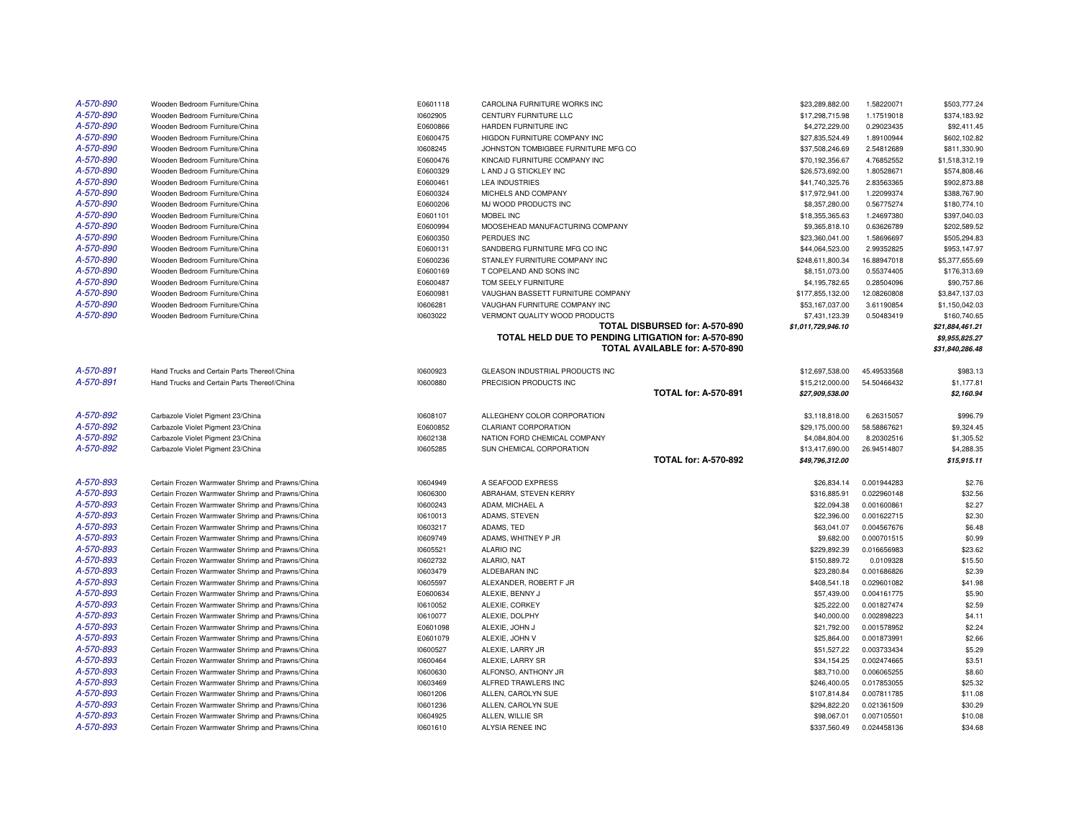| A-570-890 | Wooden Bedroom Furniture/China                   | E0601118 | CAROLINA FURNITURE WORKS INC                        | \$23,289,882.00    | 1.58220071  | \$503,777.24    |
|-----------|--------------------------------------------------|----------|-----------------------------------------------------|--------------------|-------------|-----------------|
| A-570-890 | Wooden Bedroom Furniture/China                   | 10602905 | CENTURY FURNITURE LLC                               | \$17,298,715.98    | 1.17519018  | \$374,183.92    |
| A-570-890 | Wooden Bedroom Furniture/China                   | E0600866 | HARDEN FURNITURE INC                                | \$4,272,229.00     | 0.29023435  | \$92,411.45     |
| A-570-890 | Wooden Bedroom Furniture/China                   | E0600475 | HIGDON FURNITURE COMPANY INC                        | \$27,835,524.49    | 1.89100944  | \$602,102.82    |
| A-570-890 | Wooden Bedroom Furniture/China                   | 10608245 | JOHNSTON TOMBIGBEE FURNITURE MFG CO                 | \$37,508,246.69    | 2.54812689  | \$811,330.90    |
| A-570-890 | Wooden Bedroom Furniture/China                   | E0600476 | KINCAID FURNITURE COMPANY INC                       | \$70,192,356.67    | 4.76852552  | \$1,518,312.19  |
| A-570-890 | Wooden Bedroom Furniture/China                   | E0600329 | L AND J G STICKLEY INC                              | \$26,573,692.00    | 1.80528671  | \$574,808.46    |
| A-570-890 | Wooden Bedroom Furniture/China                   | E0600461 | <b>LEA INDUSTRIES</b>                               | \$41,740,325.76    | 2.83563365  | \$902,873.88    |
| A-570-890 | Wooden Bedroom Furniture/China                   | E0600324 | MICHELS AND COMPANY                                 | \$17,972,941.00    | 1.22099374  | \$388,767.90    |
| A-570-890 | Wooden Bedroom Furniture/China                   | E0600206 | MJ WOOD PRODUCTS INC                                | \$8,357,280.00     | 0.56775274  | \$180,774.10    |
| A-570-890 | Wooden Bedroom Furniture/China                   | E0601101 | MOBEL INC                                           | \$18,355,365.63    | 1.24697380  | \$397,040.03    |
| A-570-890 | Wooden Bedroom Furniture/China                   | E0600994 | MOOSEHEAD MANUFACTURING COMPANY                     | \$9,365,818.10     | 0.63626789  | \$202,589.52    |
| A-570-890 | Wooden Bedroom Furniture/China                   | E0600350 | PERDUES INC                                         | \$23,360,041.00    | 1.58696697  | \$505,294.83    |
| A-570-890 | Wooden Bedroom Furniture/China                   | E0600131 | SANDBERG FURNITURE MFG CO INC                       | \$44,064,523.00    | 2.99352825  | \$953,147.97    |
| A-570-890 | Wooden Bedroom Furniture/China                   | E0600236 | STANLEY FURNITURE COMPANY INC                       | \$248,611,800.34   | 16.88947018 | \$5,377,655.69  |
| A-570-890 | Wooden Bedroom Furniture/China                   | E0600169 | T COPELAND AND SONS INC                             | \$8,151,073.00     | 0.55374405  | \$176,313.69    |
| A-570-890 | Wooden Bedroom Furniture/China                   | E0600487 | TOM SEELY FURNITURE                                 | \$4,195,782.65     | 0.28504096  | \$90,757.86     |
| A-570-890 | Wooden Bedroom Furniture/China                   | E0600981 | VAUGHAN BASSETT FURNITURE COMPANY                   | \$177,855,132.00   | 12.08260808 | \$3,847,137.03  |
| A-570-890 | Wooden Bedroom Furniture/China                   | 10606281 | VAUGHAN FURNITURE COMPANY INC                       | \$53,167,037.00    | 3.61190854  | \$1,150,042.03  |
| A-570-890 | Wooden Bedroom Furniture/China                   | 10603022 | VERMONT QUALITY WOOD PRODUCTS                       | \$7,431,123.39     | 0.50483419  | \$160,740.65    |
|           |                                                  |          | TOTAL DISBURSED for: A-570-890                      | \$1,011,729,946.10 |             | \$21,884,461.21 |
|           |                                                  |          | TOTAL HELD DUE TO PENDING LITIGATION for: A-570-890 |                    |             | \$9,955,825.27  |
|           |                                                  |          | TOTAL AVAILABLE for: A-570-890                      |                    |             | \$31,840,286.48 |
|           |                                                  |          |                                                     |                    |             |                 |
| A-570-891 | Hand Trucks and Certain Parts Thereof/China      | 10600923 | GLEASON INDUSTRIAL PRODUCTS INC                     | \$12,697,538,00    | 45.49533568 | \$983.13        |
| A-570-891 | Hand Trucks and Certain Parts Thereof/China      | 10600880 | PRECISION PRODUCTS INC                              | \$15,212,000.00    | 54.50466432 | \$1,177.81      |
|           |                                                  |          | <b>TOTAL for: A-570-891</b>                         | \$27,909,538.00    |             | \$2,160.94      |
|           |                                                  |          |                                                     |                    |             |                 |
| A-570-892 | Carbazole Violet Pigment 23/China                | 10608107 | ALLEGHENY COLOR CORPORATION                         | \$3,118,818.00     | 6.26315057  | \$996.79        |
| A-570-892 | Carbazole Violet Pigment 23/China                | E0600852 | CLARIANT CORPORATION                                | \$29,175,000.00    | 58.58867621 | \$9,324.45      |
| A-570-892 | Carbazole Violet Pigment 23/China                | 10602138 | NATION FORD CHEMICAL COMPANY                        | \$4,084,804.00     | 8.20302516  | \$1,305.52      |
| A-570-892 | Carbazole Violet Pigment 23/China                | 10605285 | SUN CHEMICAL CORPORATION                            | \$13,417,690.00    | 26.94514807 | \$4,288.35      |
|           |                                                  |          | <b>TOTAL for: A-570-892</b>                         | \$49,796,312.00    |             | \$15,915.11     |
|           |                                                  |          |                                                     |                    |             |                 |
| A-570-893 | Certain Frozen Warmwater Shrimp and Prawns/China | 10604949 | A SEAFOOD EXPRESS                                   | \$26,834.14        | 0.001944283 | \$2.76          |
| A-570-893 | Certain Frozen Warmwater Shrimp and Prawns/China | 10606300 | ABRAHAM, STEVEN KERRY                               | \$316,885.91       | 0.022960148 | \$32.56         |
| A-570-893 | Certain Frozen Warmwater Shrimp and Prawns/China | 10600243 | ADAM, MICHAEL A                                     | \$22,094.38        | 0.001600861 | \$2.27          |
| A-570-893 | Certain Frozen Warmwater Shrimp and Prawns/China | 10610013 | ADAMS, STEVEN                                       | \$22,396.00        | 0.001622715 | \$2.30          |
| A-570-893 | Certain Frozen Warmwater Shrimp and Prawns/China | 10603217 | ADAMS, TED                                          | \$63,041.07        | 0.004567676 | \$6.48          |
| A-570-893 | Certain Frozen Warmwater Shrimp and Prawns/China | 10609749 | ADAMS, WHITNEY P JR                                 | \$9,682.00         | 0.000701515 | \$0.99          |
| A-570-893 | Certain Frozen Warmwater Shrimp and Prawns/China | 10605521 | <b>ALARIO INC</b>                                   | \$229,892.39       | 0.016656983 | \$23.62         |
| A-570-893 | Certain Frozen Warmwater Shrimp and Prawns/China | 10602732 | ALARIO, NAT                                         | \$150,889.72       | 0.0109328   | \$15.50         |
| A-570-893 | Certain Frozen Warmwater Shrimp and Prawns/China | 10603479 | ALDEBARAN INC                                       | \$23,280.84        | 0.001686826 | \$2.39          |
| A-570-893 | Certain Frozen Warmwater Shrimp and Prawns/China | 10605597 | ALEXANDER, ROBERT F JR                              | \$408,541.18       | 0.029601082 | \$41.98         |
| A-570-893 | Certain Frozen Warmwater Shrimp and Prawns/China | E0600634 | ALEXIE, BENNY J                                     | \$57,439.00        | 0.004161775 | \$5.90          |
| A-570-893 | Certain Frozen Warmwater Shrimp and Prawns/China | 10610052 | ALEXIE, CORKEY                                      | \$25,222.00        | 0.001827474 | \$2.59          |
| A-570-893 | Certain Frozen Warmwater Shrimp and Prawns/China | 10610077 | ALEXIE, DOLPHY                                      | \$40,000.00        | 0.002898223 | \$4.11          |
| A-570-893 | Certain Frozen Warmwater Shrimp and Prawns/China | E0601098 | ALEXIE, JOHN J                                      | \$21,792.00        | 0.001578952 | \$2.24          |
| A-570-893 | Certain Frozen Warmwater Shrimp and Prawns/China | E0601079 | ALEXIE, JOHN V                                      | \$25,864.00        | 0.001873991 | \$2.66          |
| A-570-893 | Certain Frozen Warmwater Shrimp and Prawns/China | 10600527 | ALEXIE, LARRY JR                                    | \$51,527.22        | 0.003733434 | \$5.29          |
| A-570-893 | Certain Frozen Warmwater Shrimp and Prawns/China | 10600464 | ALEXIE, LARRY SR                                    | \$34,154.25        | 0.002474665 | \$3.51          |
| A-570-893 | Certain Frozen Warmwater Shrimp and Prawns/China | 10600630 | ALFONSO, ANTHONY JR                                 | \$83,710.00        | 0.006065255 | \$8.60          |
| A-570-893 | Certain Frozen Warmwater Shrimp and Prawns/China | 10603469 | ALFRED TRAWLERS INC                                 | \$246,400.05       | 0.017853055 | \$25.32         |
| A-570-893 | Certain Frozen Warmwater Shrimp and Prawns/China | 10601206 | ALLEN, CAROLYN SUE                                  | \$107,814.84       | 0.007811785 | \$11.08         |
| A-570-893 | Certain Frozen Warmwater Shrimp and Prawns/China | 10601236 | ALLEN, CAROLYN SUE                                  | \$294,822.20       | 0.021361509 | \$30.29         |
| A-570-893 | Certain Frozen Warmwater Shrimp and Prawns/China | 10604925 | ALLEN. WILLIE SR                                    | \$98,067.01        | 0.007105501 | \$10.08         |
| A-570-893 | Certain Frozen Warmwater Shrimp and Prawns/China | 10601610 | ALYSIA RENEE INC                                    | \$337,560.49       | 0.024458136 | \$34.68         |
|           |                                                  |          |                                                     |                    |             |                 |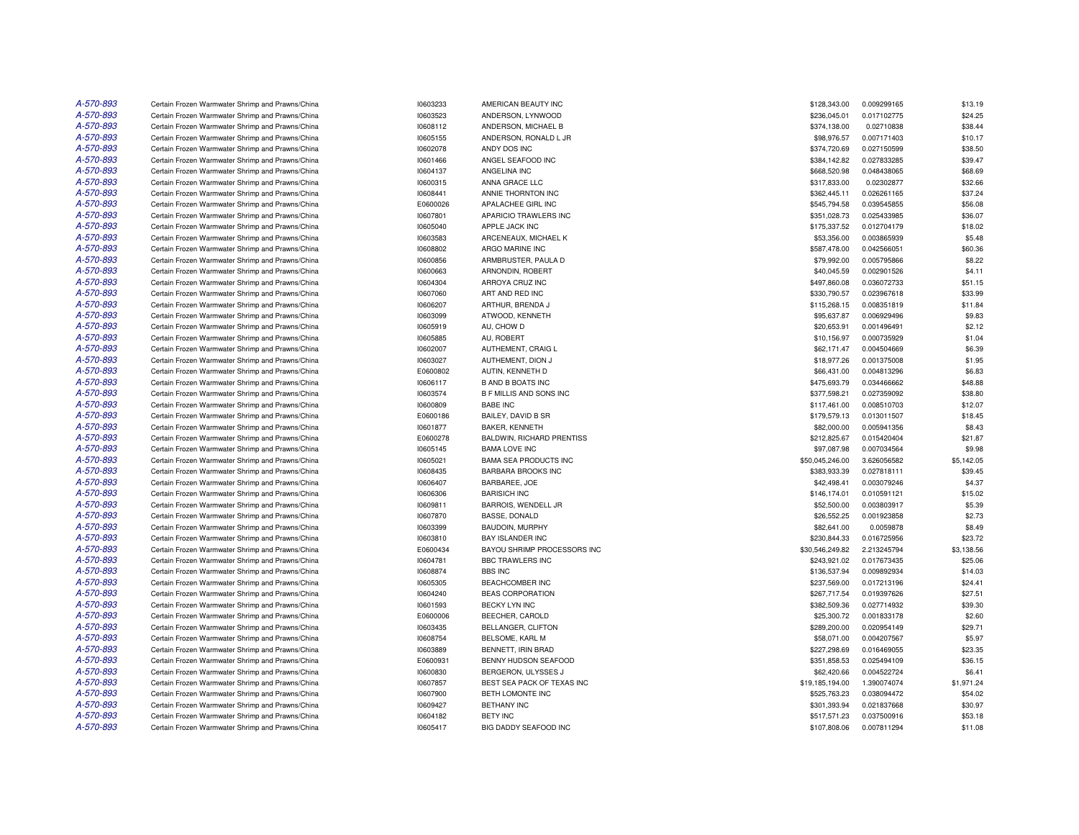| A-570-893 | Certain Frozen Warmwater Shrimp and Prawns/China | 10603233 | AMERICAN BEAUTY INC          | \$128,343.00    | 0.009299165 | \$13.19    |
|-----------|--------------------------------------------------|----------|------------------------------|-----------------|-------------|------------|
| A-570-893 | Certain Frozen Warmwater Shrimp and Prawns/China | 10603523 | ANDERSON, LYNWOOD            | \$236,045.01    | 0.017102775 | \$24.25    |
| A-570-893 | Certain Frozen Warmwater Shrimp and Prawns/China | 10608112 | ANDERSON, MICHAEL B          | \$374,138.00    | 0.02710838  | \$38.44    |
| A-570-893 | Certain Frozen Warmwater Shrimp and Prawns/China | 10605155 | ANDERSON, RONALD L JR        | \$98,976.57     | 0.007171403 | \$10.17    |
| A-570-893 | Certain Frozen Warmwater Shrimp and Prawns/China | 10602078 | ANDY DOS INC                 | \$374,720.69    | 0.027150599 | \$38.50    |
| A-570-893 | Certain Frozen Warmwater Shrimp and Prawns/China | 10601466 | ANGEL SEAFOOD INC            | \$384,142.82    | 0.027833285 | \$39.47    |
| A-570-893 | Certain Frozen Warmwater Shrimp and Prawns/China | 10604137 | ANGELINA INC                 | \$668,520.98    | 0.048438065 | \$68.69    |
| A-570-893 | Certain Frozen Warmwater Shrimp and Prawns/China | 10600315 | ANNA GRACE LLC               | \$317,833.00    | 0.02302877  | \$32.66    |
| A-570-893 | Certain Frozen Warmwater Shrimp and Prawns/China | 10608441 | ANNIE THORNTON INC           | \$362,445.11    | 0.026261165 | \$37.24    |
| A-570-893 | Certain Frozen Warmwater Shrimp and Prawns/China | E0600026 | APALACHEE GIRL INC           | \$545,794.58    | 0.039545855 | \$56.08    |
| A-570-893 | Certain Frozen Warmwater Shrimp and Prawns/China | 10607801 | APARICIO TRAWLERS INC        | \$351,028.73    | 0.025433985 | \$36.07    |
| A-570-893 | Certain Frozen Warmwater Shrimp and Prawns/China | 10605040 | APPLE JACK INC               | \$175,337.52    | 0.012704179 | \$18.02    |
| A-570-893 | Certain Frozen Warmwater Shrimp and Prawns/China | 10603583 | ARCENEAUX, MICHAEL K         | \$53,356.00     | 0.003865939 | \$5.48     |
| A-570-893 | Certain Frozen Warmwater Shrimp and Prawns/China | 10608802 | ARGO MARINE INC              | \$587,478.00    | 0.042566051 | \$60.36    |
| A-570-893 | Certain Frozen Warmwater Shrimp and Prawns/China | 10600856 | ARMBRUSTER, PAULA D          | \$79,992.00     | 0.005795866 | \$8.22     |
| A-570-893 | Certain Frozen Warmwater Shrimp and Prawns/China | 10600663 | ARNONDIN, ROBERT             | \$40,045.59     | 0.002901526 | \$4.11     |
| A-570-893 | Certain Frozen Warmwater Shrimp and Prawns/China | 10604304 | ARROYA CRUZ INC              | \$497,860.08    | 0.036072733 | \$51.15    |
| A-570-893 | Certain Frozen Warmwater Shrimp and Prawns/China | 10607060 | ART AND RED INC              | \$330,790.57    | 0.023967618 | \$33.99    |
| A-570-893 | Certain Frozen Warmwater Shrimp and Prawns/China | 10606207 | ARTHUR, BRENDA J             | \$115,268.15    | 0.008351819 | \$11.84    |
| A-570-893 | Certain Frozen Warmwater Shrimp and Prawns/China | 10603099 | ATWOOD, KENNETH              | \$95,637.87     | 0.006929496 | \$9.83     |
| A-570-893 | Certain Frozen Warmwater Shrimp and Prawns/China | 10605919 | AU, CHOW D                   | \$20,653.91     | 0.001496491 | \$2.12     |
| A-570-893 | Certain Frozen Warmwater Shrimp and Prawns/China | 10605885 | AU, ROBERT                   | \$10,156.97     | 0.000735929 | \$1.04     |
| A-570-893 | Certain Frozen Warmwater Shrimp and Prawns/China | 10602007 | AUTHEMENT, CRAIG L           | \$62,171.47     | 0.004504669 | \$6.39     |
| A-570-893 | Certain Frozen Warmwater Shrimp and Prawns/China | 10603027 | AUTHEMENT, DION J            | \$18,977.26     | 0.001375008 | \$1.95     |
| A-570-893 | Certain Frozen Warmwater Shrimp and Prawns/China | E0600802 | AUTIN, KENNETH D             | \$66,431.00     | 0.004813296 | \$6.83     |
| A-570-893 | Certain Frozen Warmwater Shrimp and Prawns/China | 10606117 | <b>B AND B BOATS INC</b>     | \$475,693.79    | 0.034466662 | \$48.88    |
| A-570-893 | Certain Frozen Warmwater Shrimp and Prawns/China | 10603574 | B F MILLIS AND SONS INC      | \$377,598.21    | 0.027359092 | \$38.80    |
| A-570-893 | Certain Frozen Warmwater Shrimp and Prawns/China | 10600809 | <b>BABE INC</b>              | \$117,461.00    | 0.008510703 | \$12.07    |
| A-570-893 | Certain Frozen Warmwater Shrimp and Prawns/China | E0600186 | BAILEY, DAVID B SR           | \$179,579.13    | 0.013011507 | \$18.45    |
| A-570-893 | Certain Frozen Warmwater Shrimp and Prawns/China | 10601877 | BAKER, KENNETH               | \$82,000.00     | 0.005941356 | \$8.43     |
| A-570-893 | Certain Frozen Warmwater Shrimp and Prawns/China | E0600278 | BALDWIN, RICHARD PRENTISS    | \$212,825.67    | 0.015420404 | \$21.87    |
| A-570-893 | Certain Frozen Warmwater Shrimp and Prawns/China | 10605145 | <b>BAMA LOVE INC</b>         | \$97,087.98     | 0.007034564 | \$9.98     |
| A-570-893 | Certain Frozen Warmwater Shrimp and Prawns/China | 10605021 | <b>BAMA SEA PRODUCTS INC</b> | \$50,045,246.00 | 3.626056582 | \$5,142.05 |
| A-570-893 | Certain Frozen Warmwater Shrimp and Prawns/China | 10608435 | <b>BARBARA BROOKS INC</b>    | \$383,933.39    | 0.027818111 | \$39.45    |
| A-570-893 | Certain Frozen Warmwater Shrimp and Prawns/China | 10606407 | BARBAREE, JOE                | \$42,498.41     | 0.003079246 | \$4.37     |
| A-570-893 | Certain Frozen Warmwater Shrimp and Prawns/China | 10606306 | <b>BARISICH INC</b>          | \$146,174.01    | 0.010591121 | \$15.02    |
| A-570-893 | Certain Frozen Warmwater Shrimp and Prawns/China | 10609811 | BARROIS, WENDELL JR          | \$52,500.00     | 0.003803917 | \$5.39     |
| A-570-893 | Certain Frozen Warmwater Shrimp and Prawns/China | 10607870 | <b>BASSE, DONALD</b>         | \$26,552.25     | 0.001923858 | \$2.73     |
| A-570-893 | Certain Frozen Warmwater Shrimp and Prawns/China | 10603399 | BAUDOIN, MURPHY              | \$82,641.00     | 0.0059878   | \$8.49     |
| A-570-893 | Certain Frozen Warmwater Shrimp and Prawns/China | 10603810 | <b>BAY ISLANDER INC</b>      | \$230,844.33    | 0.016725956 | \$23.72    |
| A-570-893 | Certain Frozen Warmwater Shrimp and Prawns/China | E0600434 | BAYOU SHRIMP PROCESSORS INC  | \$30,546,249.82 | 2.213245794 | \$3,138.56 |
| A-570-893 | Certain Frozen Warmwater Shrimp and Prawns/China | 10604781 | <b>BBC TRAWLERS INC</b>      | \$243,921.02    | 0.017673435 | \$25.06    |
| A-570-893 | Certain Frozen Warmwater Shrimp and Prawns/China | 10608874 | <b>BBS INC</b>               | \$136,537.94    | 0.009892934 | \$14.03    |
| A-570-893 | Certain Frozen Warmwater Shrimp and Prawns/China | 10605305 | <b>BEACHCOMBER INC</b>       | \$237,569.00    | 0.017213196 | \$24.41    |
| A-570-893 | Certain Frozen Warmwater Shrimp and Prawns/China | 10604240 | <b>BEAS CORPORATION</b>      | \$267,717.54    | 0.019397626 | \$27.51    |
| A-570-893 | Certain Frozen Warmwater Shrimp and Prawns/China | 10601593 | <b>BECKY LYN INC</b>         | \$382,509.36    | 0.027714932 | \$39.30    |
| A-570-893 | Certain Frozen Warmwater Shrimp and Prawns/China | E0600006 | BEECHER, CAROLD              | \$25,300.72     | 0.001833178 | \$2.60     |
| A-570-893 | Certain Frozen Warmwater Shrimp and Prawns/China | 10603435 | BELLANGER, CLIFTON           | \$289,200.00    | 0.020954149 | \$29.71    |
| A-570-893 | Certain Frozen Warmwater Shrimp and Prawns/China | 10608754 | BELSOME, KARL M              | \$58,071.00     | 0.004207567 | \$5.97     |
| A-570-893 | Certain Frozen Warmwater Shrimp and Prawns/China | 10603889 | BENNETT, IRIN BRAD           | \$227,298.69    | 0.016469055 | \$23.35    |
| A-570-893 | Certain Frozen Warmwater Shrimp and Prawns/China | E0600931 | BENNY HUDSON SEAFOOD         | \$351,858.53    | 0.025494109 | \$36.15    |
| A-570-893 | Certain Frozen Warmwater Shrimp and Prawns/China | 10600830 | BERGERON, ULYSSES J          | \$62,420.66     | 0.004522724 | \$6.41     |
| A-570-893 | Certain Frozen Warmwater Shrimp and Prawns/China | 10607857 | BEST SEA PACK OF TEXAS INC   | \$19,185,194.00 | 1.390074074 | \$1,971.24 |
| A-570-893 | Certain Frozen Warmwater Shrimp and Prawns/China | 10607900 | BETH LOMONTE INC             | \$525,763.23    | 0.038094472 | \$54.02    |
| A-570-893 | Certain Frozen Warmwater Shrimp and Prawns/China | 10609427 | <b>BETHANY INC</b>           | \$301,393.94    | 0.021837668 | \$30.97    |
| A-570-893 | Certain Frozen Warmwater Shrimp and Prawns/China | 10604182 | <b>BETY INC</b>              | \$517.571.23    | 0.037500916 | \$53.18    |
| A-570-893 | Certain Frozen Warmwater Shrimp and Prawns/China | 10605417 | BIG DADDY SEAFOOD INC        | \$107,808.06    | 0.007811294 | \$11.08    |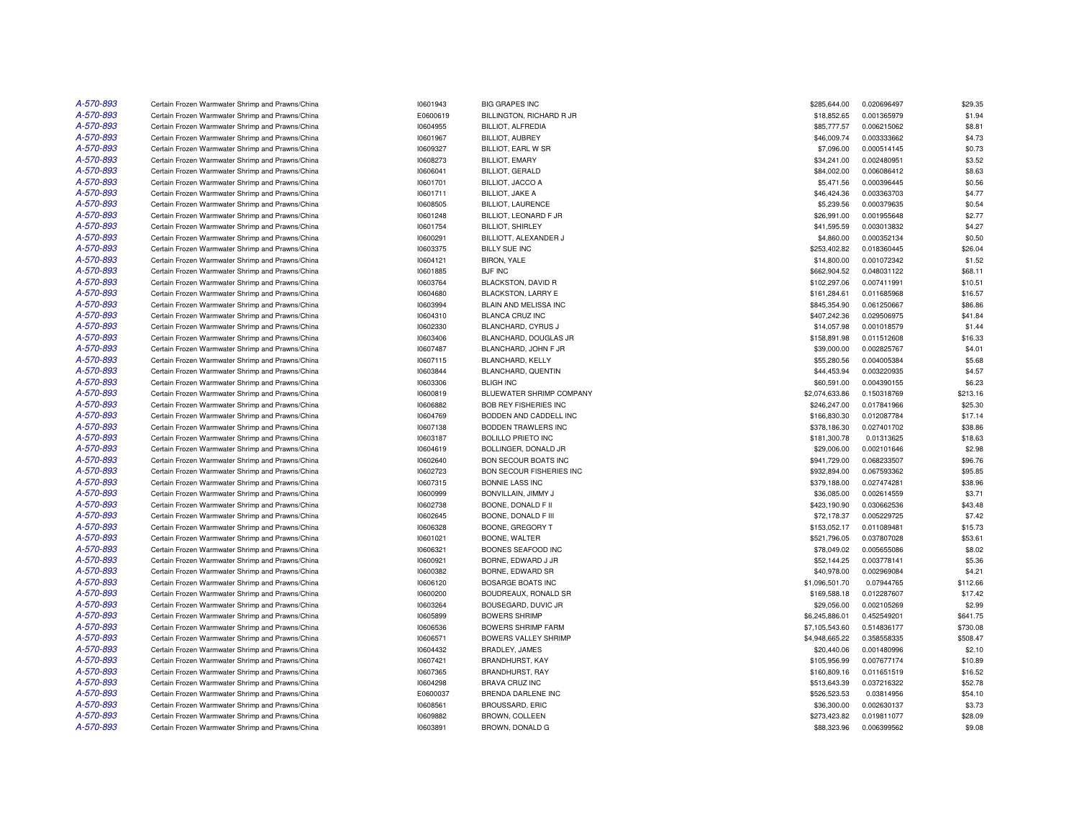| A-570-893 | Certain Frozen Warmwater Shrimp and Prawns/China | 10601943 | <b>BIG GRAPES INC</b>        | \$285,644.00   | 0.020696497 | \$29.35  |
|-----------|--------------------------------------------------|----------|------------------------------|----------------|-------------|----------|
| A-570-893 | Certain Frozen Warmwater Shrimp and Prawns/China | E0600619 | BILLINGTON, RICHARD R JR     | \$18,852.65    | 0.001365979 | \$1.94   |
| A-570-893 | Certain Frozen Warmwater Shrimp and Prawns/China | 10604955 | BILLIOT, ALFREDIA            | \$85,777.57    | 0.006215062 | \$8.81   |
| A-570-893 | Certain Frozen Warmwater Shrimp and Prawns/China | 10601967 | <b>BILLIOT, AUBREY</b>       | \$46,009.74    | 0.003333662 | \$4.73   |
| A-570-893 | Certain Frozen Warmwater Shrimp and Prawns/China | 10609327 | BILLIOT, EARL W SR           | \$7,096.00     | 0.000514145 | \$0.73   |
| A-570-893 | Certain Frozen Warmwater Shrimp and Prawns/China | 10608273 | <b>BILLIOT, EMARY</b>        | \$34,241.00    | 0.002480951 | \$3.52   |
| A-570-893 | Certain Frozen Warmwater Shrimp and Prawns/China | 10606041 | BILLIOT, GERALD              | \$84,002.00    | 0.006086412 | \$8.63   |
| A-570-893 | Certain Frozen Warmwater Shrimp and Prawns/China | 10601701 | <b>BILLIOT, JACCO A</b>      | \$5,471.56     | 0.000396445 | \$0.56   |
| A-570-893 | Certain Frozen Warmwater Shrimp and Prawns/China | 10601711 | <b>BILLIOT, JAKE A</b>       | \$46,424.36    | 0.003363703 | \$4.77   |
| A-570-893 | Certain Frozen Warmwater Shrimp and Prawns/China | 10608505 | <b>BILLIOT, LAURENCE</b>     | \$5,239.56     | 0.000379635 | \$0.54   |
| A-570-893 | Certain Frozen Warmwater Shrimp and Prawns/China | 10601248 | BILLIOT, LEONARD F JR        | \$26,991.00    | 0.001955648 | \$2.77   |
| A-570-893 | Certain Frozen Warmwater Shrimp and Prawns/China | 10601754 | <b>BILLIOT, SHIRLEY</b>      | \$41,595.59    | 0.003013832 | \$4.27   |
| A-570-893 | Certain Frozen Warmwater Shrimp and Prawns/China | 10600291 | BILLIOTT, ALEXANDER J        | \$4,860.00     | 0.000352134 | \$0.50   |
| A-570-893 | Certain Frozen Warmwater Shrimp and Prawns/China | 10603375 | <b>BILLY SUE INC</b>         | \$253,402.82   | 0.018360445 | \$26.04  |
| A-570-893 | Certain Frozen Warmwater Shrimp and Prawns/China | 10604121 | BIRON, YALE                  | \$14,800.00    | 0.001072342 | \$1.52   |
| A-570-893 | Certain Frozen Warmwater Shrimp and Prawns/China | 10601885 | <b>BJF INC</b>               | \$662,904.52   | 0.048031122 | \$68.11  |
| A-570-893 | Certain Frozen Warmwater Shrimp and Prawns/China | 10603764 | <b>BLACKSTON, DAVID R</b>    | \$102,297.06   | 0.007411991 | \$10.51  |
| A-570-893 | Certain Frozen Warmwater Shrimp and Prawns/China | 10604680 | BLACKSTON, LARRY E           | \$161,284.61   | 0.011685968 | \$16.57  |
| A-570-893 | Certain Frozen Warmwater Shrimp and Prawns/China | 10603994 | BLAIN AND MELISSA INC        | \$845,354.90   | 0.061250667 | \$86.86  |
| A-570-893 | Certain Frozen Warmwater Shrimp and Prawns/China | 10604310 | <b>BLANCA CRUZ INC</b>       | \$407,242.36   | 0.029506975 | \$41.84  |
| A-570-893 | Certain Frozen Warmwater Shrimp and Prawns/China | 10602330 | <b>BLANCHARD, CYRUS J</b>    | \$14,057.98    | 0.001018579 | \$1.44   |
| A-570-893 | Certain Frozen Warmwater Shrimp and Prawns/China | 10603406 | BLANCHARD, DOUGLAS JR        | \$158,891.98   | 0.011512608 | \$16.33  |
| A-570-893 | Certain Frozen Warmwater Shrimp and Prawns/China | 10607487 | BLANCHARD, JOHN F JR         | \$39,000.00    | 0.002825767 | \$4.01   |
| A-570-893 | Certain Frozen Warmwater Shrimp and Prawns/China | 10607115 | BLANCHARD, KELLY             | \$55,280.56    | 0.004005384 | \$5.68   |
| A-570-893 | Certain Frozen Warmwater Shrimp and Prawns/China | 10603844 | BLANCHARD, QUENTIN           | \$44,453.94    | 0.003220935 | \$4.57   |
| A-570-893 | Certain Frozen Warmwater Shrimp and Prawns/China | 10603306 | <b>BLIGH INC</b>             | \$60,591.00    | 0.004390155 | \$6.23   |
| A-570-893 | Certain Frozen Warmwater Shrimp and Prawns/China | 10600819 | BLUEWATER SHRIMP COMPANY     | \$2,074,633.86 | 0.150318769 | \$213.16 |
| A-570-893 | Certain Frozen Warmwater Shrimp and Prawns/China | 10606882 | <b>BOB REY FISHERIES INC</b> | \$246,247.00   | 0.017841966 | \$25.30  |
| A-570-893 | Certain Frozen Warmwater Shrimp and Prawns/China | 10604769 | BODDEN AND CADDELL INC       | \$166,830.30   | 0.012087784 | \$17.14  |
| A-570-893 | Certain Frozen Warmwater Shrimp and Prawns/China | 10607138 | BODDEN TRAWLERS INC          | \$378,186.30   | 0.027401702 | \$38.86  |
| A-570-893 | Certain Frozen Warmwater Shrimp and Prawns/China | 10603187 | BOLILLO PRIETO INC           | \$181,300.78   | 0.01313625  | \$18.63  |
| A-570-893 | Certain Frozen Warmwater Shrimp and Prawns/China | 10604619 | BOLLINGER, DONALD JR         | \$29,006.00    | 0.002101646 | \$2.98   |
| A-570-893 | Certain Frozen Warmwater Shrimp and Prawns/China | 10602640 | <b>BON SECOUR BOATS INC</b>  | \$941,729.00   | 0.068233507 | \$96.76  |
| A-570-893 | Certain Frozen Warmwater Shrimp and Prawns/China | 10602723 | BON SECOUR FISHERIES INC     | \$932,894.00   | 0.067593362 | \$95.85  |
| A-570-893 | Certain Frozen Warmwater Shrimp and Prawns/China | 10607315 | <b>BONNIE LASS INC</b>       | \$379,188.00   | 0.027474281 | \$38.96  |
| A-570-893 | Certain Frozen Warmwater Shrimp and Prawns/China | 10600999 | BONVILLAIN, JIMMY J          | \$36,085.00    | 0.002614559 | \$3.71   |
| A-570-893 | Certain Frozen Warmwater Shrimp and Prawns/China | 10602738 | BOONE, DONALD F II           | \$423,190.90   | 0.030662536 | \$43.48  |
| A-570-893 | Certain Frozen Warmwater Shrimp and Prawns/China | 10602645 | BOONE, DONALD F III          | \$72,178.37    | 0.005229725 | \$7.42   |
| A-570-893 | Certain Frozen Warmwater Shrimp and Prawns/China | 10606328 | BOONE, GREGORY T             | \$153,052.17   | 0.011089481 | \$15.73  |
| A-570-893 | Certain Frozen Warmwater Shrimp and Prawns/China | 10601021 | BOONE, WALTER                | \$521,796.05   | 0.037807028 | \$53.61  |
| A-570-893 | Certain Frozen Warmwater Shrimp and Prawns/China | 10606321 | BOONES SEAFOOD INC           | \$78,049.02    | 0.005655086 | \$8.02   |
| A-570-893 | Certain Frozen Warmwater Shrimp and Prawns/China | 10600921 | BORNE, EDWARD J JR           | \$52,144.25    | 0.003778141 | \$5.36   |
| A-570-893 | Certain Frozen Warmwater Shrimp and Prawns/China | 10600382 | BORNE, EDWARD SR             | \$40,978.00    | 0.002969084 | \$4.21   |
| A-570-893 | Certain Frozen Warmwater Shrimp and Prawns/China | 10606120 | <b>BOSARGE BOATS INC</b>     | \$1,096,501.70 | 0.07944765  | \$112.66 |
| A-570-893 | Certain Frozen Warmwater Shrimp and Prawns/China | 10600200 | BOUDREAUX, RONALD SR         | \$169,588.18   | 0.012287607 | \$17.42  |
| A-570-893 | Certain Frozen Warmwater Shrimp and Prawns/China | 10603264 | BOUSEGARD, DUVIC JR          | \$29,056.00    | 0.002105269 | \$2.99   |
| A-570-893 | Certain Frozen Warmwater Shrimp and Prawns/China | 10605899 | <b>BOWERS SHRIMP</b>         | \$6,245,886.01 | 0.452549201 | \$641.75 |
| A-570-893 | Certain Frozen Warmwater Shrimp and Prawns/China | 10606536 | <b>BOWERS SHRIMP FARM</b>    | \$7,105,543.60 | 0.514836177 | \$730.08 |
| A-570-893 | Certain Frozen Warmwater Shrimp and Prawns/China | 10606571 | <b>BOWERS VALLEY SHRIMP</b>  | \$4,948,665.22 | 0.358558335 | \$508.47 |
| A-570-893 | Certain Frozen Warmwater Shrimp and Prawns/China | 10604432 | BRADLEY, JAMES               | \$20,440.06    | 0.001480996 | \$2.10   |
| A-570-893 | Certain Frozen Warmwater Shrimp and Prawns/China | 10607421 | <b>BRANDHURST, KAY</b>       | \$105,956.99   | 0.007677174 | \$10.89  |
| A-570-893 | Certain Frozen Warmwater Shrimp and Prawns/China | 10607365 | <b>BRANDHURST, RAY</b>       | \$160,809.16   | 0.011651519 | \$16.52  |
| A-570-893 | Certain Frozen Warmwater Shrimp and Prawns/China | 10604298 | <b>BRAVA CRUZ INC</b>        | \$513,643.39   | 0.037216322 | \$52.78  |
| A-570-893 | Certain Frozen Warmwater Shrimp and Prawns/China | E0600037 | <b>BRENDA DARLENE INC</b>    | \$526,523.53   | 0.03814956  | \$54.10  |
| A-570-893 | Certain Frozen Warmwater Shrimp and Prawns/China | 10608561 | <b>BROUSSARD, ERIC</b>       | \$36,300.00    | 0.002630137 | \$3.73   |
| A-570-893 | Certain Frozen Warmwater Shrimp and Prawns/China | 10609882 | <b>BROWN, COLLEEN</b>        | \$273,423.82   | 0.019811077 | \$28.09  |
| A-570-893 | Certain Frozen Warmwater Shrimp and Prawns/China | 10603891 | BROWN, DONALD G              | \$88,323.96    | 0.006399562 | \$9.08   |
|           |                                                  |          |                              |                |             |          |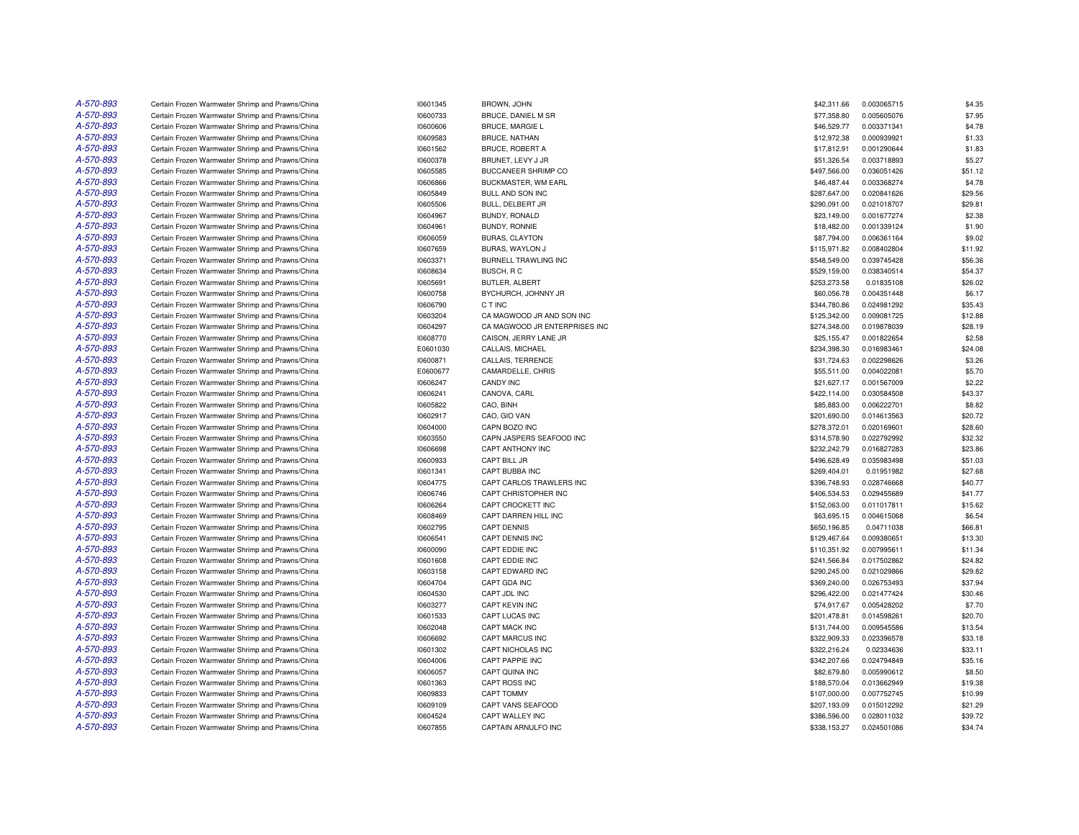| A-570-893 | Certain Frozen Warmwater Shrimp and Prawns/China | 10601345 | BROWN, JOHN                   | \$42,311.66  | 0.003065715 | \$4.35  |
|-----------|--------------------------------------------------|----------|-------------------------------|--------------|-------------|---------|
| A-570-893 | Certain Frozen Warmwater Shrimp and Prawns/China | 10600733 | BRUCE, DANIEL M SR            | \$77,358.80  | 0.005605076 | \$7.95  |
| A-570-893 | Certain Frozen Warmwater Shrimp and Prawns/China | 10600606 | <b>BRUCE, MARGIE L</b>        | \$46,529.77  | 0.003371341 | \$4.78  |
| A-570-893 | Certain Frozen Warmwater Shrimp and Prawns/China | 10609583 | <b>BRUCE, NATHAN</b>          | \$12,972.38  | 0.000939921 | \$1.33  |
| A-570-893 | Certain Frozen Warmwater Shrimp and Prawns/China | 10601562 | <b>BRUCE, ROBERT A</b>        | \$17,812.91  | 0.001290644 | \$1.83  |
| A-570-893 | Certain Frozen Warmwater Shrimp and Prawns/China | 10600378 | BRUNET, LEVY J JR             | \$51,326.54  | 0.003718893 | \$5.27  |
| A-570-893 | Certain Frozen Warmwater Shrimp and Prawns/China | 10605585 | BUCCANEER SHRIMP CO           | \$497,566.00 | 0.036051426 | \$51.12 |
| A-570-893 | Certain Frozen Warmwater Shrimp and Prawns/China | 10606866 | BUCKMASTER, WM EARL           | \$46,487.44  | 0.003368274 | \$4.78  |
| A-570-893 | Certain Frozen Warmwater Shrimp and Prawns/China | 10605849 | BULL AND SON INC              | \$287,647.00 | 0.020841626 | \$29.56 |
| A-570-893 | Certain Frozen Warmwater Shrimp and Prawns/China | 10605506 | BULL, DELBERT JR              | \$290,091.00 | 0.021018707 | \$29.81 |
| A-570-893 | Certain Frozen Warmwater Shrimp and Prawns/China | 10604967 | BUNDY, RONALD                 | \$23,149.00  | 0.001677274 | \$2.38  |
| A-570-893 | Certain Frozen Warmwater Shrimp and Prawns/China | 10604961 | <b>BUNDY, RONNIE</b>          | \$18,482.00  | 0.001339124 | \$1.90  |
| A-570-893 | Certain Frozen Warmwater Shrimp and Prawns/China | 10606059 | <b>BURAS, CLAYTON</b>         | \$87,794.00  | 0.006361164 | \$9.02  |
| A-570-893 | Certain Frozen Warmwater Shrimp and Prawns/China | 10607659 | BURAS, WAYLON J               | \$115,971.82 | 0.008402804 | \$11.92 |
| A-570-893 | Certain Frozen Warmwater Shrimp and Prawns/China | 10603371 | <b>BURNELL TRAWLING INC</b>   | \$548,549.00 | 0.039745428 | \$56.36 |
| A-570-893 | Certain Frozen Warmwater Shrimp and Prawns/China | 10608634 | BUSCH, RC                     | \$529,159.00 | 0.038340514 | \$54.37 |
| A-570-893 | Certain Frozen Warmwater Shrimp and Prawns/China | 10605691 | BUTLER, ALBERT                | \$253,273.58 | 0.01835108  | \$26.02 |
| A-570-893 | Certain Frozen Warmwater Shrimp and Prawns/China | 10600758 | BYCHURCH, JOHNNY JR           | \$60,056.78  | 0.004351448 | \$6.17  |
| A-570-893 | Certain Frozen Warmwater Shrimp and Prawns/China | 10606790 | C T INC                       | \$344,780.86 | 0.024981292 | \$35.43 |
| A-570-893 |                                                  |          |                               |              |             |         |
|           | Certain Frozen Warmwater Shrimp and Prawns/China | 10603204 | CA MAGWOOD JR AND SON INC     | \$125,342.00 | 0.009081725 | \$12.88 |
| A-570-893 | Certain Frozen Warmwater Shrimp and Prawns/China | 10604297 | CA MAGWOOD JR ENTERPRISES INC | \$274,348.00 | 0.019878039 | \$28.19 |
| A-570-893 | Certain Frozen Warmwater Shrimp and Prawns/China | 10608770 | CAISON, JERRY LANE JR         | \$25,155.47  | 0.001822654 | \$2.58  |
| A-570-893 | Certain Frozen Warmwater Shrimp and Prawns/China | E0601030 | CALLAIS, MICHAEL              | \$234,398.30 | 0.016983461 | \$24.08 |
| A-570-893 | Certain Frozen Warmwater Shrimp and Prawns/China | 10600871 | CALLAIS, TERRENCE             | \$31,724.63  | 0.002298626 | \$3.26  |
| A-570-893 | Certain Frozen Warmwater Shrimp and Prawns/China | E0600677 | CAMARDELLE, CHRIS             | \$55,511.00  | 0.004022081 | \$5.70  |
| A-570-893 | Certain Frozen Warmwater Shrimp and Prawns/China | 10606247 | <b>CANDY INC</b>              | \$21,627.17  | 0.001567009 | \$2.22  |
| A-570-893 | Certain Frozen Warmwater Shrimp and Prawns/China | 10606241 | CANOVA, CARL                  | \$422,114.00 | 0.030584508 | \$43.37 |
| A-570-893 | Certain Frozen Warmwater Shrimp and Prawns/China | 10605822 | CAO, BINH                     | \$85,883.00  | 0.006222701 | \$8.82  |
| A-570-893 | Certain Frozen Warmwater Shrimp and Prawns/China | 10602917 | CAO, GIO VAN                  | \$201,690.00 | 0.014613563 | \$20.72 |
| A-570-893 | Certain Frozen Warmwater Shrimp and Prawns/China | 10604000 | CAPN BOZO INC                 | \$278,372.01 | 0.020169601 | \$28.60 |
| A-570-893 | Certain Frozen Warmwater Shrimp and Prawns/China | 10603550 | CAPN JASPERS SEAFOOD INC      | \$314,578.90 | 0.022792992 | \$32.32 |
| A-570-893 | Certain Frozen Warmwater Shrimp and Prawns/China | 10606698 | CAPT ANTHONY INC              | \$232,242.79 | 0.016827283 | \$23.86 |
| A-570-893 | Certain Frozen Warmwater Shrimp and Prawns/China | 10600933 | CAPT BILL JR                  | \$496,628.49 | 0.035983498 | \$51.03 |
| A-570-893 | Certain Frozen Warmwater Shrimp and Prawns/China | 10601341 | CAPT BUBBA INC                | \$269,404.01 | 0.01951982  | \$27.68 |
| A-570-893 | Certain Frozen Warmwater Shrimp and Prawns/China | 10604775 | CAPT CARLOS TRAWLERS INC      | \$396,748.93 | 0.028746668 | \$40.77 |
| A-570-893 | Certain Frozen Warmwater Shrimp and Prawns/China | 10606746 | CAPT CHRISTOPHER INC          | \$406,534.53 | 0.029455689 | \$41.77 |
| A-570-893 | Certain Frozen Warmwater Shrimp and Prawns/China | 10606264 | CAPT CROCKETT INC             | \$152,063.00 | 0.011017811 | \$15.62 |
| A-570-893 | Certain Frozen Warmwater Shrimp and Prawns/China | 10608469 | CAPT DARREN HILL INC          | \$63,695.15  | 0.004615068 | \$6.54  |
| A-570-893 | Certain Frozen Warmwater Shrimp and Prawns/China | 10602795 | <b>CAPT DENNIS</b>            | \$650,196.85 | 0.04711038  | \$66.81 |
| A-570-893 | Certain Frozen Warmwater Shrimp and Prawns/China | 10606541 | CAPT DENNIS INC               | \$129,467.64 | 0.009380651 | \$13.30 |
| A-570-893 | Certain Frozen Warmwater Shrimp and Prawns/China | 10600090 | CAPT EDDIE INC                | \$110,351.92 | 0.007995611 | \$11.34 |
| A-570-893 | Certain Frozen Warmwater Shrimp and Prawns/China | 10601608 | CAPT EDDIE INC                | \$241,566.84 | 0.017502862 | \$24.82 |
| A-570-893 | Certain Frozen Warmwater Shrimp and Prawns/China | 10603158 | CAPT EDWARD INC               | \$290,245.00 | 0.021029866 | \$29.82 |
| A-570-893 | Certain Frozen Warmwater Shrimp and Prawns/China | 10604704 | CAPT GDA INC                  | \$369,240.00 | 0.026753493 | \$37.94 |
| A-570-893 | Certain Frozen Warmwater Shrimp and Prawns/China | 10604530 | CAPT JDL INC                  | \$296,422.00 | 0.021477424 | \$30.46 |
| A-570-893 | Certain Frozen Warmwater Shrimp and Prawns/China | 10603277 | <b>CAPT KEVIN INC</b>         | \$74,917.67  | 0.005428202 | \$7.70  |
| A-570-893 | Certain Frozen Warmwater Shrimp and Prawns/China | 10601533 | <b>CAPT LUCAS INC</b>         | \$201,478.81 | 0.014598261 | \$20.70 |
| A-570-893 | Certain Frozen Warmwater Shrimp and Prawns/China | 10602048 | <b>CAPT MACK INC</b>          | \$131,744.00 | 0.009545586 | \$13.54 |
| A-570-893 | Certain Frozen Warmwater Shrimp and Prawns/China | 10606692 | CAPT MARCUS INC               | \$322,909.33 | 0.023396578 | \$33.18 |
| A-570-893 | Certain Frozen Warmwater Shrimp and Prawns/China | 10601302 | CAPT NICHOLAS INC             | \$322,216.24 | 0.02334636  | \$33.11 |
| A-570-893 | Certain Frozen Warmwater Shrimp and Prawns/China | 10604006 | <b>CAPT PAPPIE INC</b>        | \$342,207.66 | 0.024794849 | \$35.16 |
| A-570-893 | Certain Frozen Warmwater Shrimp and Prawns/China | 10606057 | CAPT QUINA INC                | \$82,679.80  | 0.005990612 | \$8.50  |
| A-570-893 | Certain Frozen Warmwater Shrimp and Prawns/China | 10601363 | CAPT ROSS INC                 | \$188,570.04 | 0.013662949 | \$19.38 |
| A-570-893 | Certain Frozen Warmwater Shrimp and Prawns/China | 10609833 | CAPT TOMMY                    | \$107,000.00 | 0.007752745 | \$10.99 |
| A-570-893 | Certain Frozen Warmwater Shrimp and Prawns/China | 10609109 | CAPT VANS SEAFOOD             | \$207,193.09 | 0.015012292 | \$21.29 |
| A-570-893 | Certain Frozen Warmwater Shrimp and Prawns/China | 10604524 | CAPT WALLEY INC               | \$386,596.00 | 0.028011032 | \$39.72 |
| A-570-893 | Certain Frozen Warmwater Shrimp and Prawns/China | 10607855 | <b>CAPTAIN ARNULFO INC</b>    | \$338,153.27 | 0.024501086 | \$34.74 |
|           |                                                  |          |                               |              |             |         |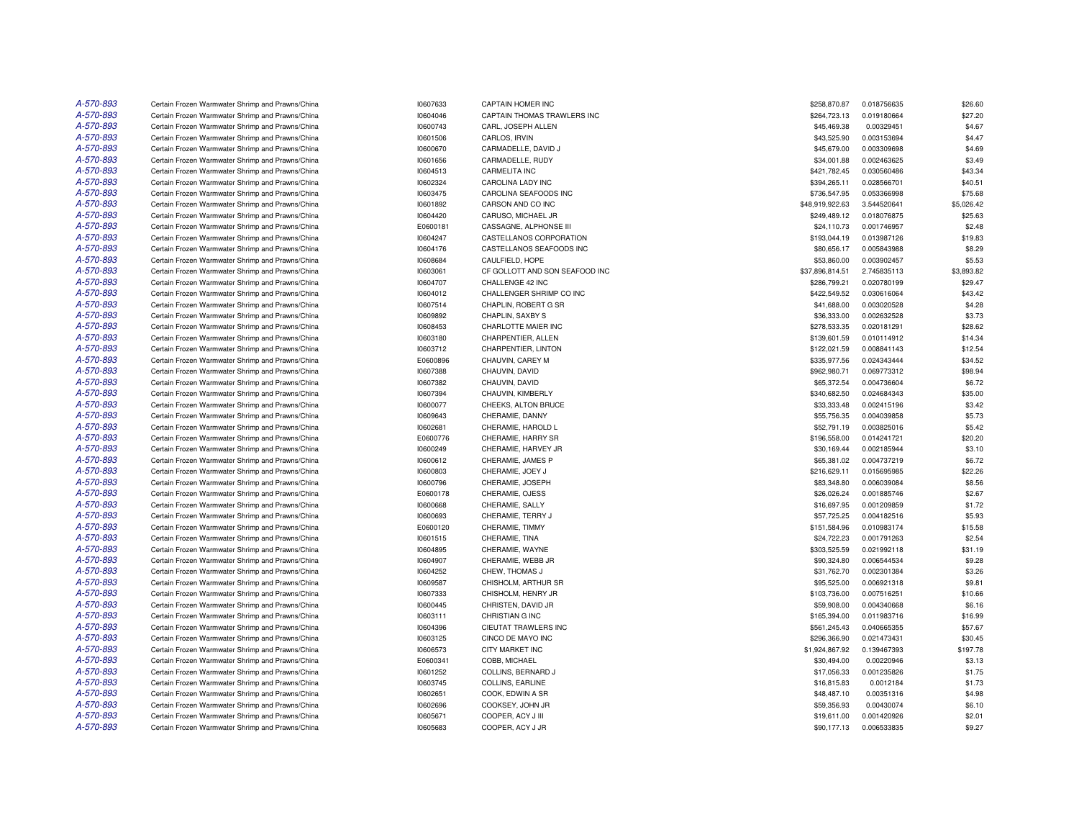| A-570-893 | Certain Frozen Warmwater Shrimp and Prawns/China | 10607633 | CAPTAIN HOMER INC              | \$258,870.87    | 0.018756635 | \$26.60    |
|-----------|--------------------------------------------------|----------|--------------------------------|-----------------|-------------|------------|
| A-570-893 | Certain Frozen Warmwater Shrimp and Prawns/China | 10604046 | CAPTAIN THOMAS TRAWLERS INC    | \$264,723.13    | 0.019180664 | \$27.20    |
| A-570-893 | Certain Frozen Warmwater Shrimp and Prawns/China | 10600743 | CARL, JOSEPH ALLEN             | \$45,469.38     | 0.00329451  | \$4.67     |
| A-570-893 | Certain Frozen Warmwater Shrimp and Prawns/China | 10601506 | CARLOS, IRVIN                  | \$43,525.90     | 0.003153694 | \$4.47     |
| A-570-893 | Certain Frozen Warmwater Shrimp and Prawns/China | 10600670 | CARMADELLE, DAVID J            | \$45,679.00     | 0.003309698 | \$4.69     |
| A-570-893 | Certain Frozen Warmwater Shrimp and Prawns/China | 10601656 | CARMADELLE, RUDY               | \$34,001.88     | 0.002463625 | \$3.49     |
| A-570-893 | Certain Frozen Warmwater Shrimp and Prawns/China | 10604513 | CARMELITA INC                  | \$421,782.45    | 0.030560486 | \$43.34    |
| A-570-893 | Certain Frozen Warmwater Shrimp and Prawns/China | 10602324 | CAROLINA LADY INC              | \$394,265.11    | 0.028566701 | \$40.51    |
| A-570-893 | Certain Frozen Warmwater Shrimp and Prawns/China | 10603475 | CAROLINA SEAFOODS INC          | \$736,547.95    | 0.053366998 | \$75.68    |
| A-570-893 | Certain Frozen Warmwater Shrimp and Prawns/China | 10601892 | CARSON AND CO INC              | \$48,919,922.63 | 3.544520641 | \$5,026.42 |
| A-570-893 | Certain Frozen Warmwater Shrimp and Prawns/China | 10604420 | CARUSO, MICHAEL JR             | \$249,489.12    | 0.018076875 | \$25.63    |
| A-570-893 | Certain Frozen Warmwater Shrimp and Prawns/China | E0600181 | CASSAGNE, ALPHONSE III         | \$24,110.73     | 0.001746957 | \$2.48     |
| A-570-893 | Certain Frozen Warmwater Shrimp and Prawns/China | 10604247 | CASTELLANOS CORPORATION        | \$193,044.19    | 0.013987126 | \$19.83    |
| A-570-893 | Certain Frozen Warmwater Shrimp and Prawns/China | 10604176 | CASTELLANOS SEAFOODS INC       | \$80,656.17     | 0.005843988 | \$8.29     |
| A-570-893 | Certain Frozen Warmwater Shrimp and Prawns/China | 10608684 | CAULFIELD, HOPE                | \$53,860.00     | 0.003902457 | \$5.53     |
| A-570-893 | Certain Frozen Warmwater Shrimp and Prawns/China | 10603061 | CF GOLLOTT AND SON SEAFOOD INC | \$37,896,814.51 | 2.745835113 | \$3,893.82 |
| A-570-893 | Certain Frozen Warmwater Shrimp and Prawns/China | 10604707 | CHALLENGE 42 INC               | \$286,799.21    | 0.020780199 | \$29.47    |
| A-570-893 | Certain Frozen Warmwater Shrimp and Prawns/China | 10604012 | CHALLENGER SHRIMP CO INC       | \$422,549.52    | 0.030616064 | \$43.42    |
| A-570-893 | Certain Frozen Warmwater Shrimp and Prawns/China | 10607514 | CHAPLIN, ROBERT G SR           | \$41,688.00     | 0.003020528 | \$4.28     |
| A-570-893 | Certain Frozen Warmwater Shrimp and Prawns/China | 10609892 | CHAPLIN, SAXBY S               | \$36,333.00     | 0.002632528 | \$3.73     |
| A-570-893 | Certain Frozen Warmwater Shrimp and Prawns/China | 10608453 | CHARLOTTE MAIER INC            | \$278,533.35    | 0.020181291 | \$28.62    |
| A-570-893 | Certain Frozen Warmwater Shrimp and Prawns/China | 10603180 | CHARPENTIER, ALLEN             | \$139,601.59    | 0.010114912 | \$14.34    |
| A-570-893 | Certain Frozen Warmwater Shrimp and Prawns/China | 10603712 | CHARPENTIER, LINTON            | \$122,021.59    | 0.008841143 | \$12.54    |
| A-570-893 |                                                  |          |                                |                 |             |            |
|           | Certain Frozen Warmwater Shrimp and Prawns/China | E0600896 | CHAUVIN, CAREY M               | \$335,977.56    | 0.024343444 | \$34.52    |
| A-570-893 | Certain Frozen Warmwater Shrimp and Prawns/China | 10607388 | CHAUVIN, DAVID                 | \$962,980.71    | 0.069773312 | \$98.94    |
| A-570-893 | Certain Frozen Warmwater Shrimp and Prawns/China | 10607382 | CHAUVIN, DAVID                 | \$65,372.54     | 0.004736604 | \$6.72     |
| A-570-893 | Certain Frozen Warmwater Shrimp and Prawns/China | 10607394 | CHAUVIN, KIMBERLY              | \$340,682.50    | 0.024684343 | \$35.00    |
| A-570-893 | Certain Frozen Warmwater Shrimp and Prawns/China | 10600077 | CHEEKS, ALTON BRUCE            | \$33,333.48     | 0.002415196 | \$3.42     |
| A-570-893 | Certain Frozen Warmwater Shrimp and Prawns/China | 10609643 | CHERAMIE, DANNY                | \$55,756.35     | 0.004039858 | \$5.73     |
| A-570-893 | Certain Frozen Warmwater Shrimp and Prawns/China | 10602681 | CHERAMIE, HAROLD L             | \$52,791.19     | 0.003825016 | \$5.42     |
| A-570-893 | Certain Frozen Warmwater Shrimp and Prawns/China | E0600776 | CHERAMIE, HARRY SR             | \$196,558.00    | 0.014241721 | \$20.20    |
| A-570-893 | Certain Frozen Warmwater Shrimp and Prawns/China | 10600249 | CHERAMIE, HARVEY JR            | \$30,169.44     | 0.002185944 | \$3.10     |
| A-570-893 | Certain Frozen Warmwater Shrimp and Prawns/China | 10600612 | CHERAMIE, JAMES P              | \$65,381.02     | 0.004737219 | \$6.72     |
| A-570-893 | Certain Frozen Warmwater Shrimp and Prawns/China | 10600803 | CHERAMIE, JOEY J               | \$216,629.11    | 0.015695985 | \$22.26    |
| A-570-893 | Certain Frozen Warmwater Shrimp and Prawns/China | 10600796 | CHERAMIE, JOSEPH               | \$83,348.80     | 0.006039084 | \$8.56     |
| A-570-893 | Certain Frozen Warmwater Shrimp and Prawns/China | E0600178 | CHERAMIE, OJESS                | \$26,026.24     | 0.001885746 | \$2.67     |
| A-570-893 | Certain Frozen Warmwater Shrimp and Prawns/China | 10600668 | CHERAMIE, SALLY                | \$16,697.95     | 0.001209859 | \$1.72     |
| A-570-893 | Certain Frozen Warmwater Shrimp and Prawns/China | 10600693 | CHERAMIE, TERRY J              | \$57,725.25     | 0.004182516 | \$5.93     |
| A-570-893 | Certain Frozen Warmwater Shrimp and Prawns/China | E0600120 | CHERAMIE, TIMMY                | \$151,584.96    | 0.010983174 | \$15.58    |
| A-570-893 | Certain Frozen Warmwater Shrimp and Prawns/China | 10601515 | CHERAMIE, TINA                 | \$24,722.23     | 0.001791263 | \$2.54     |
| A-570-893 | Certain Frozen Warmwater Shrimp and Prawns/China | 10604895 | CHERAMIE, WAYNE                | \$303,525.59    | 0.021992118 | \$31.19    |
| A-570-893 | Certain Frozen Warmwater Shrimp and Prawns/China | 10604907 | CHERAMIE, WEBB JR              | \$90,324.80     | 0.006544534 | \$9.28     |
| A-570-893 | Certain Frozen Warmwater Shrimp and Prawns/China | 10604252 | CHEW, THOMAS J                 | \$31,762.70     | 0.002301384 | \$3.26     |
| A-570-893 | Certain Frozen Warmwater Shrimp and Prawns/China | 10609587 | CHISHOLM, ARTHUR SR            | \$95,525.00     | 0.006921318 | \$9.81     |
| A-570-893 | Certain Frozen Warmwater Shrimp and Prawns/China | 10607333 | CHISHOLM, HENRY JR             | \$103,736.00    | 0.007516251 | \$10.66    |
| A-570-893 | Certain Frozen Warmwater Shrimp and Prawns/China | 10600445 | CHRISTEN, DAVID JR             | \$59,908.00     | 0.004340668 | \$6.16     |
| A-570-893 | Certain Frozen Warmwater Shrimp and Prawns/China | 10603111 | CHRISTIAN G INC                | \$165,394.00    | 0.011983716 | \$16.99    |
| A-570-893 | Certain Frozen Warmwater Shrimp and Prawns/China | 10604396 | CIEUTAT TRAWLERS INC           | \$561,245.43    | 0.040665355 | \$57.67    |
| A-570-893 | Certain Frozen Warmwater Shrimp and Prawns/China | 10603125 | CINCO DE MAYO INC              | \$296,366.90    | 0.021473431 | \$30.45    |
| A-570-893 | Certain Frozen Warmwater Shrimp and Prawns/China | 10606573 | <b>CITY MARKET INC</b>         | \$1,924,867.92  | 0.139467393 | \$197.78   |
| A-570-893 | Certain Frozen Warmwater Shrimp and Prawns/China | E0600341 | COBB, MICHAEL                  | \$30,494.00     | 0.00220946  | \$3.13     |
| A-570-893 | Certain Frozen Warmwater Shrimp and Prawns/China | 10601252 | COLLINS, BERNARD J             | \$17,056.33     | 0.001235826 | \$1.75     |
| A-570-893 | Certain Frozen Warmwater Shrimp and Prawns/China | 10603745 | COLLINS, EARLINE               | \$16,815.83     | 0.0012184   | \$1.73     |
| A-570-893 | Certain Frozen Warmwater Shrimp and Prawns/China | 10602651 | COOK, EDWIN A SR               | \$48,487.10     | 0.00351316  | \$4.98     |
| A-570-893 | Certain Frozen Warmwater Shrimp and Prawns/China | 10602696 | COOKSEY, JOHN JR               | \$59,356.93     | 0.00430074  | \$6.10     |
| A-570-893 | Certain Frozen Warmwater Shrimp and Prawns/China | 10605671 | COOPER, ACY J III              | \$19,611.00     | 0.001420926 | \$2.01     |
| A-570-893 | Certain Frozen Warmwater Shrimp and Prawns/China | 10605683 | COOPER, ACY J JR               | \$90,177.13     | 0.006533835 | \$9.27     |
|           |                                                  |          |                                |                 |             |            |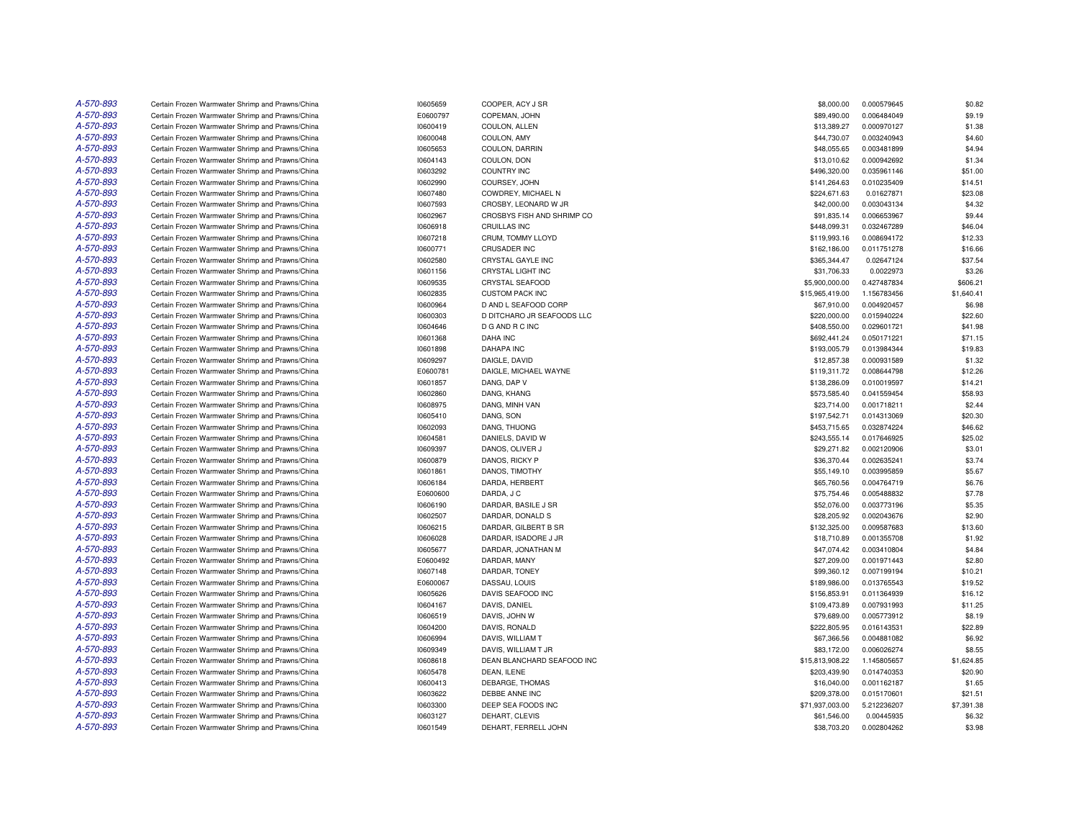| A-570-893 | Certain Frozen Warmwater Shrimp and Prawns/China | 10605659 | COOPER, ACY J SR           | \$8,000.00      | 0.000579645 | \$0.82     |
|-----------|--------------------------------------------------|----------|----------------------------|-----------------|-------------|------------|
| A-570-893 | Certain Frozen Warmwater Shrimp and Prawns/China | E0600797 | COPEMAN, JOHN              | \$89,490.00     | 0.006484049 | \$9.19     |
| A-570-893 | Certain Frozen Warmwater Shrimp and Prawns/China | 10600419 | COULON, ALLEN              | \$13,389.27     | 0.000970127 | \$1.38     |
| A-570-893 | Certain Frozen Warmwater Shrimp and Prawns/China | 10600048 | COULON, AMY                | \$44,730.07     | 0.003240943 | \$4.60     |
| A-570-893 | Certain Frozen Warmwater Shrimp and Prawns/China | 10605653 | COULON, DARRIN             | \$48,055.65     | 0.003481899 | \$4.94     |
| A-570-893 | Certain Frozen Warmwater Shrimp and Prawns/China | 10604143 | COULON, DON                | \$13,010.62     | 0.000942692 | \$1.34     |
| A-570-893 | Certain Frozen Warmwater Shrimp and Prawns/China | 10603292 | <b>COUNTRY INC</b>         | \$496,320.00    | 0.035961146 | \$51.00    |
| A-570-893 | Certain Frozen Warmwater Shrimp and Prawns/China | 10602990 | COURSEY, JOHN              | \$141,264.63    | 0.010235409 | \$14.51    |
| A-570-893 | Certain Frozen Warmwater Shrimp and Prawns/China | 10607480 | COWDREY, MICHAEL N         | \$224,671.63    | 0.01627871  | \$23.08    |
| A-570-893 | Certain Frozen Warmwater Shrimp and Prawns/China | 10607593 | CROSBY, LEONARD W JR       | \$42,000.00     | 0.003043134 | \$4.32     |
| A-570-893 |                                                  |          |                            |                 |             |            |
| A-570-893 | Certain Frozen Warmwater Shrimp and Prawns/China | 10602967 | CROSBYS FISH AND SHRIMP CO | \$91,835.14     | 0.006653967 | \$9.44     |
|           | Certain Frozen Warmwater Shrimp and Prawns/China | 10606918 | CRUILLAS INC               | \$448,099.31    | 0.032467289 | \$46.04    |
| A-570-893 | Certain Frozen Warmwater Shrimp and Prawns/China | 10607218 | CRUM, TOMMY LLOYD          | \$119,993.16    | 0.008694172 | \$12.33    |
| A-570-893 | Certain Frozen Warmwater Shrimp and Prawns/China | 10600771 | CRUSADER INC               | \$162,186.00    | 0.011751278 | \$16.66    |
| A-570-893 | Certain Frozen Warmwater Shrimp and Prawns/China | 10602580 | CRYSTAL GAYLE INC          | \$365,344.47    | 0.02647124  | \$37.54    |
| A-570-893 | Certain Frozen Warmwater Shrimp and Prawns/China | 10601156 | CRYSTAL LIGHT INC          | \$31,706.33     | 0.0022973   | \$3.26     |
| A-570-893 | Certain Frozen Warmwater Shrimp and Prawns/China | 10609535 | <b>CRYSTAL SEAFOOD</b>     | \$5,900,000.00  | 0.427487834 | \$606.21   |
| A-570-893 | Certain Frozen Warmwater Shrimp and Prawns/China | 10602835 | <b>CUSTOM PACK INC</b>     | \$15,965,419.00 | 1.156783456 | \$1,640.41 |
| A-570-893 | Certain Frozen Warmwater Shrimp and Prawns/China | 10600964 | D AND L SEAFOOD CORP       | \$67,910.00     | 0.004920457 | \$6.98     |
| A-570-893 | Certain Frozen Warmwater Shrimp and Prawns/China | 10600303 | D DITCHARO JR SEAFOODS LLC | \$220,000.00    | 0.015940224 | \$22.60    |
| A-570-893 | Certain Frozen Warmwater Shrimp and Prawns/China | 10604646 | D G AND R C INC            | \$408,550.00    | 0.029601721 | \$41.98    |
| A-570-893 | Certain Frozen Warmwater Shrimp and Prawns/China | 10601368 | <b>DAHA INC</b>            | \$692,441.24    | 0.050171221 | \$71.15    |
| A-570-893 | Certain Frozen Warmwater Shrimp and Prawns/China | 10601898 | <b>DAHAPA INC</b>          | \$193,005.79    | 0.013984344 | \$19.83    |
| A-570-893 | Certain Frozen Warmwater Shrimp and Prawns/China | 10609297 | DAIGLE, DAVID              | \$12,857.38     | 0.000931589 | \$1.32     |
| A-570-893 | Certain Frozen Warmwater Shrimp and Prawns/China | E0600781 | DAIGLE, MICHAEL WAYNE      | \$119,311.72    | 0.008644798 | \$12.26    |
| A-570-893 | Certain Frozen Warmwater Shrimp and Prawns/China | 10601857 | DANG, DAP V                | \$138,286.09    | 0.010019597 | \$14.21    |
| A-570-893 | Certain Frozen Warmwater Shrimp and Prawns/China | 10602860 | DANG, KHANG                | \$573,585.40    | 0.041559454 | \$58.93    |
| A-570-893 | Certain Frozen Warmwater Shrimp and Prawns/China | 10608975 | DANG, MINH VAN             | \$23,714.00     | 0.001718211 | \$2.44     |
| A-570-893 | Certain Frozen Warmwater Shrimp and Prawns/China | 10605410 | DANG, SON                  | \$197,542.71    | 0.014313069 | \$20.30    |
| A-570-893 | Certain Frozen Warmwater Shrimp and Prawns/China | 10602093 | DANG, THUONG               | \$453,715.65    | 0.032874224 | \$46.62    |
| A-570-893 | Certain Frozen Warmwater Shrimp and Prawns/China | 10604581 | DANIELS, DAVID W           | \$243,555.14    | 0.017646925 | \$25.02    |
| A-570-893 | Certain Frozen Warmwater Shrimp and Prawns/China | 10609397 | DANOS, OLIVER J            | \$29,271.82     | 0.002120906 | \$3.01     |
| A-570-893 | Certain Frozen Warmwater Shrimp and Prawns/China | 10600879 | DANOS, RICKY P             | \$36,370.44     | 0.002635241 | \$3.74     |
| A-570-893 | Certain Frozen Warmwater Shrimp and Prawns/China | 10601861 | DANOS, TIMOTHY             | \$55,149.10     | 0.003995859 | \$5.67     |
| A-570-893 | Certain Frozen Warmwater Shrimp and Prawns/China | 10606184 | DARDA, HERBERT             | \$65,760.56     | 0.004764719 | \$6.76     |
| A-570-893 | Certain Frozen Warmwater Shrimp and Prawns/China | E0600600 | DARDA, J C                 | \$75,754.46     | 0.005488832 | \$7.78     |
| A-570-893 | Certain Frozen Warmwater Shrimp and Prawns/China | 10606190 | DARDAR, BASILE J SR        | \$52,076.00     | 0.003773196 | \$5.35     |
| A-570-893 | Certain Frozen Warmwater Shrimp and Prawns/China | 10602507 | DARDAR, DONALD S           | \$28,205.92     | 0.002043676 | \$2.90     |
| A-570-893 | Certain Frozen Warmwater Shrimp and Prawns/China | 10606215 | DARDAR, GILBERT B SR       | \$132,325.00    | 0.009587683 | \$13.60    |
| A-570-893 | Certain Frozen Warmwater Shrimp and Prawns/China | 10606028 | DARDAR, ISADORE J JR       | \$18,710.89     | 0.001355708 | \$1.92     |
| A-570-893 | Certain Frozen Warmwater Shrimp and Prawns/China | 10605677 | DARDAR, JONATHAN M         | \$47,074.42     | 0.003410804 | \$4.84     |
| A-570-893 | Certain Frozen Warmwater Shrimp and Prawns/China | E0600492 | DARDAR, MANY               | \$27,209.00     | 0.001971443 | \$2.80     |
| A-570-893 | Certain Frozen Warmwater Shrimp and Prawns/China | 10607148 | DARDAR, TONEY              | \$99,360.12     | 0.007199194 | \$10.21    |
| A-570-893 | Certain Frozen Warmwater Shrimp and Prawns/China | E0600067 | DASSAU, LOUIS              | \$189,986.00    | 0.013765543 | \$19.52    |
| A-570-893 | Certain Frozen Warmwater Shrimp and Prawns/China | 10605626 | DAVIS SEAFOOD INC          | \$156,853.91    | 0.011364939 | \$16.12    |
| A-570-893 | Certain Frozen Warmwater Shrimp and Prawns/China | 10604167 | DAVIS, DANIEL              | \$109,473.89    | 0.007931993 | \$11.25    |
| A-570-893 | Certain Frozen Warmwater Shrimp and Prawns/China | 10606519 | DAVIS, JOHN W              | \$79,689.00     | 0.005773912 | \$8.19     |
| A-570-893 | Certain Frozen Warmwater Shrimp and Prawns/China | 10604200 | DAVIS, RONALD              | \$222,805.95    | 0.016143531 | \$22.89    |
| A-570-893 | Certain Frozen Warmwater Shrimp and Prawns/China | 10606994 | DAVIS, WILLIAM T           | \$67,366.56     | 0.004881082 | \$6.92     |
| A-570-893 | Certain Frozen Warmwater Shrimp and Prawns/China |          |                            |                 |             | \$8.55     |
| A-570-893 |                                                  | 10609349 | DAVIS, WILLIAM T JR        | \$83,172.00     | 0.006026274 |            |
|           | Certain Frozen Warmwater Shrimp and Prawns/China | 10608618 | DEAN BLANCHARD SEAFOOD INC | \$15,813,908.22 | 1.145805657 | \$1,624.85 |
| A-570-893 | Certain Frozen Warmwater Shrimp and Prawns/China | 10605478 | DEAN, ILENE                | \$203,439.90    | 0.014740353 | \$20.90    |
| A-570-893 | Certain Frozen Warmwater Shrimp and Prawns/China | 10600413 | DEBARGE, THOMAS            | \$16,040.00     | 0.001162187 | \$1.65     |
| A-570-893 | Certain Frozen Warmwater Shrimp and Prawns/China | 10603622 | DEBBE ANNE INC             | \$209,378.00    | 0.015170601 | \$21.51    |
| A-570-893 | Certain Frozen Warmwater Shrimp and Prawns/China | 10603300 | DEEP SEA FOODS INC         | \$71,937,003.00 | 5.212236207 | \$7,391.38 |
| A-570-893 | Certain Frozen Warmwater Shrimp and Prawns/China | 10603127 | DEHART, CLEVIS             | \$61,546.00     | 0.00445935  | \$6.32     |
| A-570-893 | Certain Frozen Warmwater Shrimp and Prawns/China | 10601549 | DEHART, FERRELL JOHN       | \$38,703.20     | 0.002804262 | \$3.98     |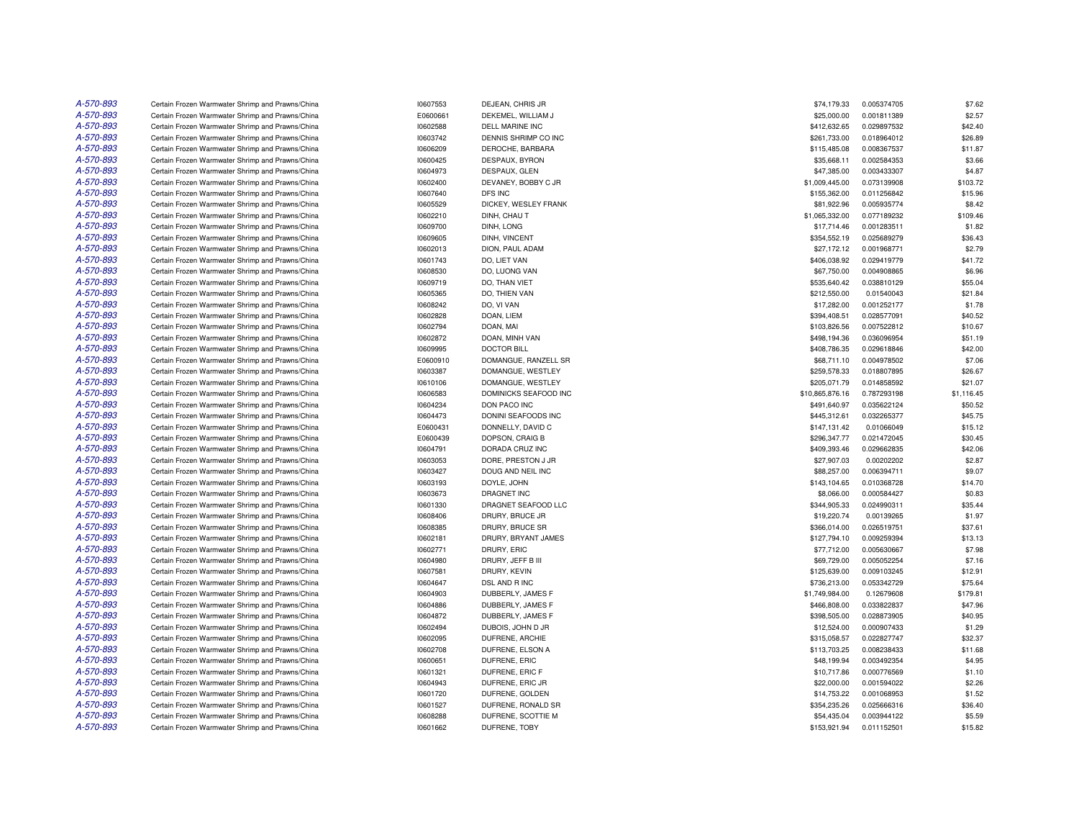| A-570-893 | Certain Frozen Warmwater Shrimp and Prawns/China | 10607553 | DEJEAN, CHRIS JR      | \$74,179.33     | 0.005374705 | \$7.62     |
|-----------|--------------------------------------------------|----------|-----------------------|-----------------|-------------|------------|
| A-570-893 | Certain Frozen Warmwater Shrimp and Prawns/China | E0600661 | DEKEMEL, WILLIAM J    | \$25,000.00     | 0.001811389 | \$2.57     |
| A-570-893 | Certain Frozen Warmwater Shrimp and Prawns/China | 10602588 | DELL MARINE INC       | \$412,632.65    | 0.029897532 | \$42.40    |
| A-570-893 | Certain Frozen Warmwater Shrimp and Prawns/China | 10603742 | DENNIS SHRIMP CO INC  | \$261,733.00    | 0.018964012 | \$26.89    |
| A-570-893 | Certain Frozen Warmwater Shrimp and Prawns/China | 10606209 | DEROCHE, BARBARA      | \$115,485.08    | 0.008367537 | \$11.87    |
| A-570-893 | Certain Frozen Warmwater Shrimp and Prawns/China | 10600425 | DESPAUX, BYRON        | \$35,668.11     | 0.002584353 | \$3.66     |
| A-570-893 | Certain Frozen Warmwater Shrimp and Prawns/China | 10604973 | DESPAUX, GLEN         | \$47,385.00     | 0.003433307 | \$4.87     |
| A-570-893 | Certain Frozen Warmwater Shrimp and Prawns/China | 10602400 | DEVANEY, BOBBY C JR   | \$1,009,445.00  | 0.073139908 | \$103.72   |
| A-570-893 | Certain Frozen Warmwater Shrimp and Prawns/China | 10607640 | DFS INC               | \$155,362.00    | 0.011256842 | \$15.96    |
| A-570-893 | Certain Frozen Warmwater Shrimp and Prawns/China | 10605529 | DICKEY, WESLEY FRANK  | \$81,922.96     | 0.005935774 | \$8.42     |
| A-570-893 | Certain Frozen Warmwater Shrimp and Prawns/China | 10602210 | DINH, CHAU T          | \$1,065,332.00  | 0.077189232 | \$109.46   |
| A-570-893 | Certain Frozen Warmwater Shrimp and Prawns/China | 10609700 | DINH, LONG            | \$17,714.46     | 0.001283511 | \$1.82     |
| A-570-893 | Certain Frozen Warmwater Shrimp and Prawns/China | 10609605 | DINH, VINCENT         | \$354,552.19    | 0.025689279 | \$36.43    |
| A-570-893 | Certain Frozen Warmwater Shrimp and Prawns/China | 10602013 | DION, PAUL ADAM       | \$27,172.12     | 0.001968771 | \$2.79     |
| A-570-893 | Certain Frozen Warmwater Shrimp and Prawns/China | 10601743 | DO, LIET VAN          | \$406,038.92    | 0.029419779 | \$41.72    |
| A-570-893 | Certain Frozen Warmwater Shrimp and Prawns/China | 10608530 | DO. LUONG VAN         | \$67,750.00     | 0.004908865 | \$6.96     |
| A-570-893 | Certain Frozen Warmwater Shrimp and Prawns/China | 10609719 | DO, THAN VIET         | \$535,640.42    | 0.038810129 | \$55.04    |
| A-570-893 | Certain Frozen Warmwater Shrimp and Prawns/China | 10605365 | DO, THIEN VAN         | \$212,550.00    | 0.01540043  | \$21.84    |
| A-570-893 | Certain Frozen Warmwater Shrimp and Prawns/China | 10608242 | DO, VI VAN            | \$17,282.00     | 0.001252177 | \$1.78     |
| A-570-893 | Certain Frozen Warmwater Shrimp and Prawns/China | 10602828 | DOAN, LIEM            | \$394,408.51    | 0.028577091 | \$40.52    |
| A-570-893 | Certain Frozen Warmwater Shrimp and Prawns/China | 10602794 | DOAN, MAI             | \$103,826.56    | 0.007522812 | \$10.67    |
| A-570-893 | Certain Frozen Warmwater Shrimp and Prawns/China | 10602872 | DOAN, MINH VAN        | \$498,194.36    | 0.036096954 | \$51.19    |
| A-570-893 | Certain Frozen Warmwater Shrimp and Prawns/China | 10609995 | <b>DOCTOR BILL</b>    | \$408,786.35    | 0.029618846 | \$42.00    |
| A-570-893 | Certain Frozen Warmwater Shrimp and Prawns/China | E0600910 | DOMANGUE, RANZELL SR  | \$68,711.10     | 0.004978502 | \$7.06     |
| A-570-893 | Certain Frozen Warmwater Shrimp and Prawns/China | 10603387 | DOMANGUE, WESTLEY     | \$259,578.33    | 0.018807895 | \$26.67    |
| A-570-893 | Certain Frozen Warmwater Shrimp and Prawns/China | 10610106 | DOMANGUE, WESTLEY     | \$205,071.79    | 0.014858592 | \$21.07    |
| A-570-893 | Certain Frozen Warmwater Shrimp and Prawns/China | 10606583 | DOMINICKS SEAFOOD INC | \$10,865,876.16 | 0.787293198 | \$1,116.45 |
| A-570-893 | Certain Frozen Warmwater Shrimp and Prawns/China | 10604234 | DON PACO INC          | \$491.640.97    | 0.035622124 | \$50.52    |
| A-570-893 | Certain Frozen Warmwater Shrimp and Prawns/China |          | DONINI SEAFOODS INC   | \$445,312.61    | 0.032265377 | \$45.75    |
| A-570-893 |                                                  | 10604473 |                       |                 |             |            |
|           | Certain Frozen Warmwater Shrimp and Prawns/China | E0600431 | DONNELLY, DAVID C     | \$147,131.42    | 0.01066049  | \$15.12    |
| A-570-893 | Certain Frozen Warmwater Shrimp and Prawns/China | E0600439 | DOPSON, CRAIG B       | \$296,347.77    | 0.021472045 | \$30.45    |
| A-570-893 | Certain Frozen Warmwater Shrimp and Prawns/China | 10604791 | DORADA CRUZ INC       | \$409,393.46    | 0.029662835 | \$42.06    |
| A-570-893 | Certain Frozen Warmwater Shrimp and Prawns/China | 10603053 | DORE, PRESTON J JR    | \$27,907.03     | 0.00202202  | \$2.87     |
| A-570-893 | Certain Frozen Warmwater Shrimp and Prawns/China | 10603427 | DOUG AND NEIL INC     | \$88,257.00     | 0.006394711 | \$9.07     |
| A-570-893 | Certain Frozen Warmwater Shrimp and Prawns/China | 10603193 | DOYLE, JOHN           | \$143,104.65    | 0.010368728 | \$14.70    |
| A-570-893 | Certain Frozen Warmwater Shrimp and Prawns/China | 10603673 | <b>DRAGNET INC</b>    | \$8,066.00      | 0.000584427 | \$0.83     |
| A-570-893 | Certain Frozen Warmwater Shrimp and Prawns/China | 10601330 | DRAGNET SEAFOOD LLC   | \$344,905.33    | 0.024990311 | \$35.44    |
| A-570-893 | Certain Frozen Warmwater Shrimp and Prawns/China | 10608406 | DRURY, BRUCE JR       | \$19,220.74     | 0.00139265  | \$1.97     |
| A-570-893 | Certain Frozen Warmwater Shrimp and Prawns/China | 10608385 | DRURY, BRUCE SR       | \$366,014.00    | 0.026519751 | \$37.61    |
| A-570-893 | Certain Frozen Warmwater Shrimp and Prawns/China | 10602181 | DRURY, BRYANT JAMES   | \$127,794.10    | 0.009259394 | \$13.13    |
| A-570-893 | Certain Frozen Warmwater Shrimp and Prawns/China | 10602771 | DRURY, ERIC           | \$77,712.00     | 0.005630667 | \$7.98     |
| A-570-893 | Certain Frozen Warmwater Shrimp and Prawns/China | 10604980 | DRURY, JEFF B III     | \$69,729.00     | 0.005052254 | \$7.16     |
| A-570-893 | Certain Frozen Warmwater Shrimp and Prawns/China | 10607581 | DRURY, KEVIN          | \$125,639.00    | 0.009103245 | \$12.91    |
| A-570-893 | Certain Frozen Warmwater Shrimp and Prawns/China | 10604647 | DSL AND R INC         | \$736,213.00    | 0.053342729 | \$75.64    |
| A-570-893 | Certain Frozen Warmwater Shrimp and Prawns/China | 10604903 | DUBBERLY, JAMES F     | \$1,749,984.00  | 0.12679608  | \$179.81   |
| A-570-893 | Certain Frozen Warmwater Shrimp and Prawns/China | 10604886 | DUBBERLY, JAMES F     | \$466,808.00    | 0.033822837 | \$47.96    |
| A-570-893 | Certain Frozen Warmwater Shrimp and Prawns/China | 10604872 | DUBBERLY, JAMES F     | \$398,505.00    | 0.028873905 | \$40.95    |
| A-570-893 | Certain Frozen Warmwater Shrimp and Prawns/China | 10602494 | DUBOIS, JOHN D JR     | \$12,524.00     | 0.000907433 | \$1.29     |
| A-570-893 | Certain Frozen Warmwater Shrimp and Prawns/China | 10602095 | DUFRENE, ARCHIE       | \$315,058.57    | 0.022827747 | \$32.37    |
| A-570-893 | Certain Frozen Warmwater Shrimp and Prawns/China | 10602708 | DUFRENE, ELSON A      | \$113,703.25    | 0.008238433 | \$11.68    |
| A-570-893 | Certain Frozen Warmwater Shrimp and Prawns/China | 10600651 | DUFRENE, ERIC         | \$48,199.94     | 0.003492354 | \$4.95     |
| A-570-893 | Certain Frozen Warmwater Shrimp and Prawns/China | 10601321 | DUFRENE, ERIC F       | \$10,717.86     | 0.000776569 | \$1.10     |
| A-570-893 | Certain Frozen Warmwater Shrimp and Prawns/China | 10604943 | DUFRENE, ERIC JR      | \$22,000.00     | 0.001594022 | \$2.26     |
| A-570-893 | Certain Frozen Warmwater Shrimp and Prawns/China | 10601720 | DUFRENE, GOLDEN       | \$14,753.22     | 0.001068953 | \$1.52     |
| A-570-893 | Certain Frozen Warmwater Shrimp and Prawns/China | 10601527 | DUFRENE, RONALD SR    | \$354,235.26    | 0.025666316 | \$36.40    |
| A-570-893 | Certain Frozen Warmwater Shrimp and Prawns/China | 10608288 | DUFRENE, SCOTTIE M    | \$54,435.04     | 0.003944122 | \$5.59     |
| A-570-893 | Certain Frozen Warmwater Shrimp and Prawns/China | 10601662 | DUFRENE, TOBY         | \$153,921.94    | 0.011152501 | \$15.82    |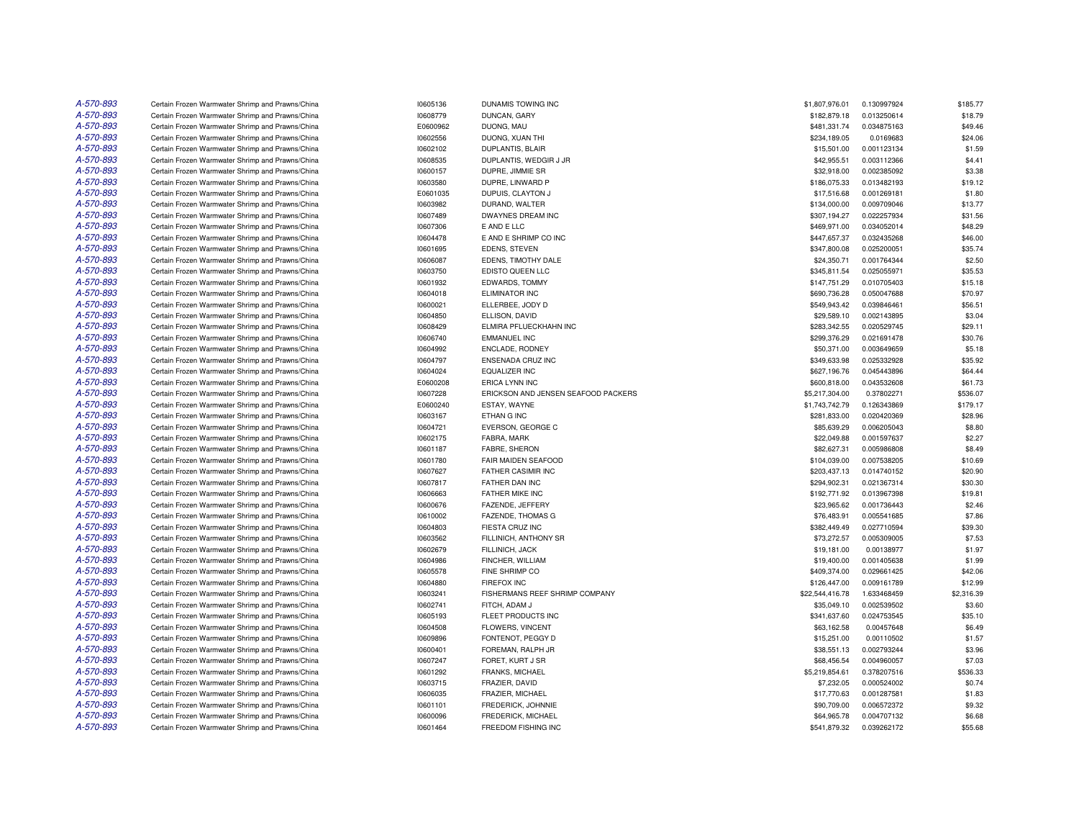| A-570-893 | Certain Frozen Warmwater Shrimp and Prawns/China | 10605136 | DUNAMIS TOWING INC                  | \$1,807,976.01  | 0.130997924 | \$185.77   |
|-----------|--------------------------------------------------|----------|-------------------------------------|-----------------|-------------|------------|
| A-570-893 | Certain Frozen Warmwater Shrimp and Prawns/China | 10608779 | DUNCAN, GARY                        | \$182,879.18    | 0.013250614 | \$18.79    |
| A-570-893 | Certain Frozen Warmwater Shrimp and Prawns/China | E0600962 | DUONG, MAU                          | \$481,331.74    | 0.034875163 | \$49.46    |
| A-570-893 | Certain Frozen Warmwater Shrimp and Prawns/China | 10602556 | DUONG, XUAN THI                     | \$234,189.05    | 0.0169683   | \$24.06    |
| A-570-893 | Certain Frozen Warmwater Shrimp and Prawns/China | 10602102 | DUPLANTIS, BLAIR                    | \$15,501.00     | 0.001123134 | \$1.59     |
| A-570-893 | Certain Frozen Warmwater Shrimp and Prawns/China | 10608535 | DUPLANTIS, WEDGIR J JR              | \$42,955.51     | 0.003112366 | \$4.41     |
| A-570-893 | Certain Frozen Warmwater Shrimp and Prawns/China | 10600157 | DUPRE, JIMMIE SR                    | \$32,918.00     | 0.002385092 | \$3.38     |
| A-570-893 | Certain Frozen Warmwater Shrimp and Prawns/China | 10603580 | DUPRE, LINWARD P                    | \$186,075.33    | 0.013482193 | \$19.12    |
| A-570-893 | Certain Frozen Warmwater Shrimp and Prawns/China | E0601035 | DUPUIS, CLAYTON J                   | \$17,516.68     | 0.001269181 | \$1.80     |
| A-570-893 | Certain Frozen Warmwater Shrimp and Prawns/China | 10603982 | DURAND, WALTER                      | \$134,000.00    | 0.009709046 | \$13.77    |
| A-570-893 | Certain Frozen Warmwater Shrimp and Prawns/China | 10607489 | DWAYNES DREAM INC                   | \$307,194.27    | 0.022257934 | \$31.56    |
| A-570-893 | Certain Frozen Warmwater Shrimp and Prawns/China | 10607306 | E AND E LLC                         | \$469,971.00    | 0.034052014 | \$48.29    |
| A-570-893 | Certain Frozen Warmwater Shrimp and Prawns/China | 10604478 | E AND E SHRIMP CO INC               | \$447,657.37    | 0.032435268 | \$46.00    |
| A-570-893 | Certain Frozen Warmwater Shrimp and Prawns/China | 10601695 | <b>EDENS, STEVEN</b>                | \$347,800.08    | 0.025200051 | \$35.74    |
| A-570-893 | Certain Frozen Warmwater Shrimp and Prawns/China | 10606087 | EDENS. TIMOTHY DALE                 | \$24,350.71     | 0.001764344 | \$2.50     |
| A-570-893 | Certain Frozen Warmwater Shrimp and Prawns/China | 10603750 | EDISTO QUEEN LLC                    | \$345,811.54    | 0.025055971 | \$35.53    |
| A-570-893 | Certain Frozen Warmwater Shrimp and Prawns/China | 10601932 | EDWARDS, TOMMY                      | \$147,751.29    | 0.010705403 | \$15.18    |
| A-570-893 | Certain Frozen Warmwater Shrimp and Prawns/China | 10604018 | <b>ELIMINATOR INC</b>               | \$690,736.28    | 0.050047688 | \$70.97    |
| A-570-893 | Certain Frozen Warmwater Shrimp and Prawns/China | 10600021 | ELLERBEE, JODY D                    | \$549,943.42    | 0.039846461 | \$56.51    |
| A-570-893 | Certain Frozen Warmwater Shrimp and Prawns/China | 10604850 | ELLISON, DAVID                      | \$29,589.10     | 0.002143895 | \$3.04     |
| A-570-893 | Certain Frozen Warmwater Shrimp and Prawns/China | 10608429 | ELMIRA PFLUECKHAHN INC              | \$283,342.55    | 0.020529745 | \$29.11    |
| A-570-893 | Certain Frozen Warmwater Shrimp and Prawns/China | 10606740 | <b>EMMANUEL INC</b>                 | \$299,376.29    | 0.021691478 | \$30.76    |
| A-570-893 | Certain Frozen Warmwater Shrimp and Prawns/China | 10604992 | <b>ENCLADE, RODNEY</b>              | \$50,371.00     | 0.003649659 | \$5.18     |
| A-570-893 | Certain Frozen Warmwater Shrimp and Prawns/China | 10604797 | ENSENADA CRUZ INC                   | \$349,633.98    | 0.025332928 | \$35.92    |
| A-570-893 | Certain Frozen Warmwater Shrimp and Prawns/China | 10604024 | EQUALIZER INC                       | \$627,196.76    | 0.045443896 | \$64.44    |
| A-570-893 | Certain Frozen Warmwater Shrimp and Prawns/China | E0600208 | <b>ERICA LYNN INC</b>               | \$600,818.00    | 0.043532608 | \$61.73    |
| A-570-893 | Certain Frozen Warmwater Shrimp and Prawns/China | 10607228 | ERICKSON AND JENSEN SEAFOOD PACKERS | \$5,217,304.00  | 0.37802271  | \$536.07   |
| A-570-893 | Certain Frozen Warmwater Shrimp and Prawns/China | E0600240 | ESTAY, WAYNE                        | \$1,743,742.79  | 0.126343869 | \$179.17   |
| A-570-893 | Certain Frozen Warmwater Shrimp and Prawns/China | 10603167 | ETHAN G INC                         | \$281,833.00    | 0.020420369 | \$28.96    |
| A-570-893 | Certain Frozen Warmwater Shrimp and Prawns/China | 10604721 | EVERSON, GEORGE C                   | \$85,639.29     | 0.006205043 | \$8.80     |
| A-570-893 | Certain Frozen Warmwater Shrimp and Prawns/China | 10602175 | FABRA, MARK                         | \$22,049.88     | 0.001597637 | \$2.27     |
| A-570-893 | Certain Frozen Warmwater Shrimp and Prawns/China | 10601187 | FABRE, SHERON                       | \$82,627.31     | 0.005986808 | \$8.49     |
| A-570-893 | Certain Frozen Warmwater Shrimp and Prawns/China | 10601780 | FAIR MAIDEN SEAFOOD                 | \$104,039.00    | 0.007538205 | \$10.69    |
| A-570-893 | Certain Frozen Warmwater Shrimp and Prawns/China | 10607627 | FATHER CASIMIR INC                  | \$203,437.13    | 0.014740152 | \$20.90    |
| A-570-893 | Certain Frozen Warmwater Shrimp and Prawns/China | 10607817 | FATHER DAN INC                      | \$294,902.31    | 0.021367314 | \$30.30    |
| A-570-893 | Certain Frozen Warmwater Shrimp and Prawns/China | 10606663 | FATHER MIKE INC                     | \$192,771.92    | 0.013967398 | \$19.81    |
| A-570-893 | Certain Frozen Warmwater Shrimp and Prawns/China | 10600676 | FAZENDE, JEFFERY                    | \$23,965.62     | 0.001736443 | \$2.46     |
| A-570-893 | Certain Frozen Warmwater Shrimp and Prawns/China | 10610002 | <b>FAZENDE, THOMAS G</b>            | \$76,483.91     | 0.005541685 | \$7.86     |
| A-570-893 | Certain Frozen Warmwater Shrimp and Prawns/China | 10604803 | FIESTA CRUZ INC                     | \$382,449.49    | 0.027710594 | \$39.30    |
| A-570-893 | Certain Frozen Warmwater Shrimp and Prawns/China | 10603562 | FILLINICH, ANTHONY SR               | \$73,272.57     | 0.005309005 | \$7.53     |
| A-570-893 | Certain Frozen Warmwater Shrimp and Prawns/China | 10602679 | FILLINICH, JACK                     | \$19,181.00     | 0.00138977  | \$1.97     |
| A-570-893 | Certain Frozen Warmwater Shrimp and Prawns/China | 10604986 | FINCHER, WILLIAM                    | \$19,400.00     | 0.001405638 | \$1.99     |
| A-570-893 | Certain Frozen Warmwater Shrimp and Prawns/China | 10605578 | FINE SHRIMP CO                      | \$409,374.00    | 0.029661425 | \$42.06    |
| A-570-893 | Certain Frozen Warmwater Shrimp and Prawns/China | 10604880 | <b>FIREFOX INC</b>                  | \$126,447.00    | 0.009161789 | \$12.99    |
| A-570-893 | Certain Frozen Warmwater Shrimp and Prawns/China | 10603241 | FISHERMANS REEF SHRIMP COMPANY      | \$22,544,416.78 | 1.633468459 | \$2,316.39 |
| A-570-893 | Certain Frozen Warmwater Shrimp and Prawns/China | 10602741 | FITCH, ADAM J                       | \$35,049.10     | 0.002539502 | \$3.60     |
| A-570-893 | Certain Frozen Warmwater Shrimp and Prawns/China | 10605193 | FLEET PRODUCTS INC                  | \$341,637.60    | 0.024753545 | \$35.10    |
| A-570-893 | Certain Frozen Warmwater Shrimp and Prawns/China | 10604508 | FLOWERS, VINCENT                    | \$63,162.58     | 0.00457648  | \$6.49     |
| A-570-893 | Certain Frozen Warmwater Shrimp and Prawns/China | 10609896 | FONTENOT, PEGGY D                   | \$15,251.00     | 0.00110502  | \$1.57     |
| A-570-893 | Certain Frozen Warmwater Shrimp and Prawns/China | 10600401 | FOREMAN, RALPH JR                   | \$38,551.13     | 0.002793244 | \$3.96     |
| A-570-893 | Certain Frozen Warmwater Shrimp and Prawns/China | 10607247 | FORET, KURT J SR                    | \$68,456.54     | 0.004960057 | \$7.03     |
| A-570-893 | Certain Frozen Warmwater Shrimp and Prawns/China | 10601292 | <b>FRANKS, MICHAEL</b>              | \$5,219,854.61  | 0.378207516 | \$536.33   |
| A-570-893 | Certain Frozen Warmwater Shrimp and Prawns/China | 10603715 | FRAZIER, DAVID                      | \$7,232.05      | 0.000524002 | \$0.74     |
| A-570-893 | Certain Frozen Warmwater Shrimp and Prawns/China | 10606035 | FRAZIER, MICHAEL                    | \$17,770.63     | 0.001287581 | \$1.83     |
| A-570-893 | Certain Frozen Warmwater Shrimp and Prawns/China | 10601101 | FREDERICK, JOHNNIE                  | \$90,709.00     | 0.006572372 | \$9.32     |
| A-570-893 | Certain Frozen Warmwater Shrimp and Prawns/China | 10600096 | FREDERICK, MICHAEL                  | \$64,965.78     | 0.004707132 | \$6.68     |
| A-570-893 | Certain Frozen Warmwater Shrimp and Prawns/China | 10601464 | <b>FREEDOM FISHING INC</b>          | \$541,879.32    | 0.039262172 | \$55.68    |
|           |                                                  |          |                                     |                 |             |            |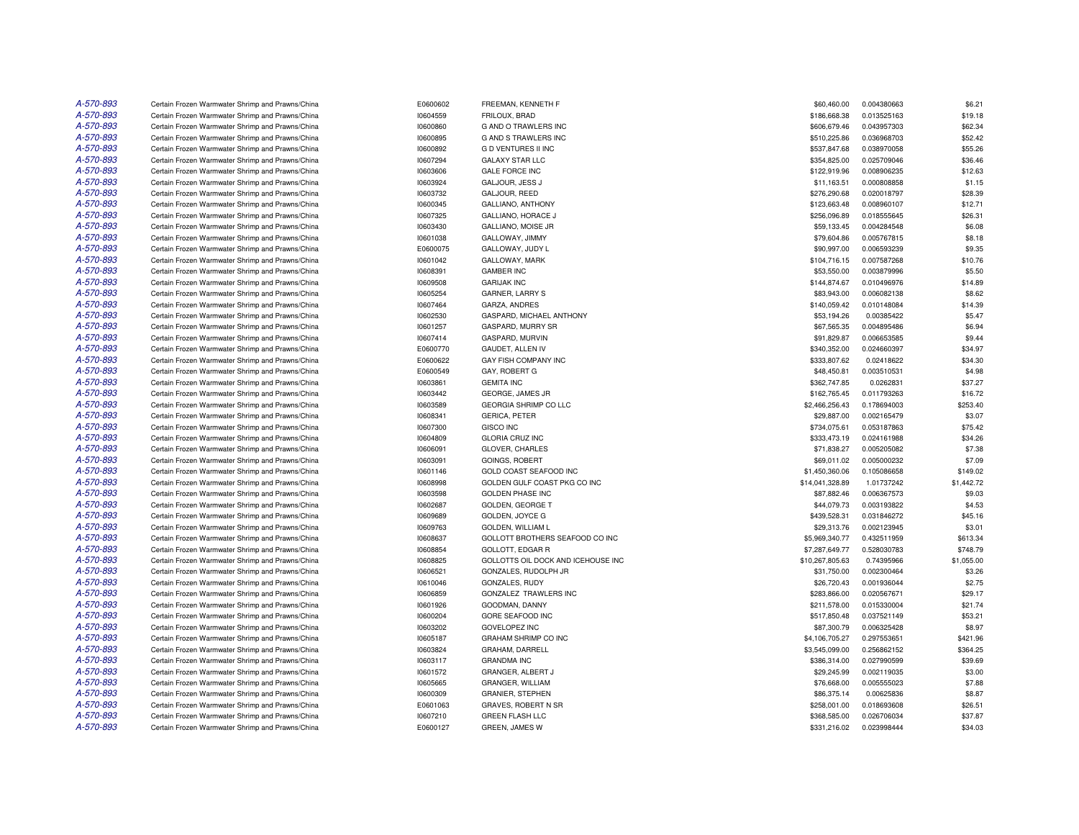| A-570-893 | Certain Frozen Warmwater Shrimp and Prawns/China                                                     | E0600602 | FREEMAN, KENNETH F                        | \$60,460.00     | 0.004380663                | \$6.21     |
|-----------|------------------------------------------------------------------------------------------------------|----------|-------------------------------------------|-----------------|----------------------------|------------|
| A-570-893 | Certain Frozen Warmwater Shrimp and Prawns/China                                                     | 10604559 | FRILOUX, BRAD                             | \$186,668.38    | 0.013525163                | \$19.18    |
| A-570-893 | Certain Frozen Warmwater Shrimp and Prawns/China                                                     | 10600860 | G AND O TRAWLERS INC                      | \$606,679.46    | 0.043957303                | \$62.34    |
| A-570-893 | Certain Frozen Warmwater Shrimp and Prawns/China                                                     | 10600895 | G AND S TRAWLERS INC                      | \$510,225.86    | 0.036968703                | \$52.42    |
| A-570-893 | Certain Frozen Warmwater Shrimp and Prawns/China                                                     | 10600892 | <b>GD VENTURES II INC</b>                 | \$537,847.68    | 0.038970058                | \$55.26    |
| A-570-893 | Certain Frozen Warmwater Shrimp and Prawns/China                                                     | 10607294 | <b>GALAXY STAR LLC</b>                    | \$354,825.00    | 0.025709046                | \$36.46    |
| A-570-893 | Certain Frozen Warmwater Shrimp and Prawns/China                                                     | 10603606 | <b>GALE FORCE INC</b>                     | \$122,919.96    | 0.008906235                | \$12.63    |
| A-570-893 | Certain Frozen Warmwater Shrimp and Prawns/China                                                     | 10603924 | GALJOUR, JESS J                           | \$11,163.51     | 0.000808858                | \$1.15     |
| A-570-893 |                                                                                                      |          |                                           |                 |                            | \$28.39    |
| A-570-893 | Certain Frozen Warmwater Shrimp and Prawns/China<br>Certain Frozen Warmwater Shrimp and Prawns/China | 10603732 | GALJOUR, REED<br><b>GALLIANO, ANTHONY</b> | \$276,290.68    | 0.020018797<br>0.008960107 | \$12.71    |
|           |                                                                                                      | 10600345 |                                           | \$123,663.48    |                            |            |
| A-570-893 | Certain Frozen Warmwater Shrimp and Prawns/China                                                     | 10607325 | <b>GALLIANO, HORACE J</b>                 | \$256,096.89    | 0.018555645                | \$26.31    |
| A-570-893 | Certain Frozen Warmwater Shrimp and Prawns/China                                                     | 10603430 | GALLIANO, MOISE JR                        | \$59,133.45     | 0.004284548                | \$6.08     |
| A-570-893 | Certain Frozen Warmwater Shrimp and Prawns/China                                                     | 10601038 | GALLOWAY, JIMMY                           | \$79,604.86     | 0.005767815                | \$8.18     |
| A-570-893 | Certain Frozen Warmwater Shrimp and Prawns/China                                                     | E0600075 | GALLOWAY, JUDY L                          | \$90,997.00     | 0.006593239                | \$9.35     |
| A-570-893 | Certain Frozen Warmwater Shrimp and Prawns/China                                                     | 10601042 | GALLOWAY, MARK                            | \$104,716.15    | 0.007587268                | \$10.76    |
| A-570-893 | Certain Frozen Warmwater Shrimp and Prawns/China                                                     | 10608391 | <b>GAMBER INC</b>                         | \$53,550.00     | 0.003879996                | \$5.50     |
| A-570-893 | Certain Frozen Warmwater Shrimp and Prawns/China                                                     | 10609508 | <b>GARIJAK INC</b>                        | \$144,874.67    | 0.010496976                | \$14.89    |
| A-570-893 | Certain Frozen Warmwater Shrimp and Prawns/China                                                     | 10605254 | <b>GARNER, LARRY S</b>                    | \$83,943.00     | 0.006082138                | \$8.62     |
| A-570-893 | Certain Frozen Warmwater Shrimp and Prawns/China                                                     | 10607464 | GARZA, ANDRES                             | \$140,059.42    | 0.010148084                | \$14.39    |
| A-570-893 | Certain Frozen Warmwater Shrimp and Prawns/China                                                     | 10602530 | GASPARD, MICHAEL ANTHONY                  | \$53,194.26     | 0.00385422                 | \$5.47     |
| A-570-893 | Certain Frozen Warmwater Shrimp and Prawns/China                                                     | 10601257 | GASPARD, MURRY SR                         | \$67,565.35     | 0.004895486                | \$6.94     |
| A-570-893 | Certain Frozen Warmwater Shrimp and Prawns/China                                                     | 10607414 | GASPARD, MURVIN                           | \$91,829.87     | 0.006653585                | \$9.44     |
| A-570-893 | Certain Frozen Warmwater Shrimp and Prawns/China                                                     | E0600770 | GAUDET, ALLEN IV                          | \$340,352.00    | 0.024660397                | \$34.97    |
| A-570-893 | Certain Frozen Warmwater Shrimp and Prawns/China                                                     | E0600622 | GAY FISH COMPANY INC                      | \$333,807.62    | 0.02418622                 | \$34.30    |
| A-570-893 | Certain Frozen Warmwater Shrimp and Prawns/China                                                     | E0600549 | GAY, ROBERT G                             | \$48,450.81     | 0.003510531                | \$4.98     |
| A-570-893 | Certain Frozen Warmwater Shrimp and Prawns/China                                                     | 10603861 | <b>GEMITA INC</b>                         | \$362,747.85    | 0.0262831                  | \$37.27    |
| A-570-893 | Certain Frozen Warmwater Shrimp and Prawns/China                                                     | 10603442 | GEORGE, JAMES JR                          | \$162,765.45    | 0.011793263                | \$16.72    |
| A-570-893 | Certain Frozen Warmwater Shrimp and Prawns/China                                                     | 10603589 | <b>GEORGIA SHRIMP CO LLC</b>              | \$2,466,256.43  | 0.178694003                | \$253.40   |
| A-570-893 | Certain Frozen Warmwater Shrimp and Prawns/China                                                     | 10608341 | <b>GERICA, PETER</b>                      | \$29,887.00     | 0.002165479                | \$3.07     |
| A-570-893 | Certain Frozen Warmwater Shrimp and Prawns/China                                                     | 10607300 | <b>GISCO INC</b>                          | \$734,075.61    | 0.053187863                | \$75.42    |
| A-570-893 | Certain Frozen Warmwater Shrimp and Prawns/China                                                     | 10604809 | <b>GLORIA CRUZ INC</b>                    | \$333,473.19    | 0.024161988                | \$34.26    |
| A-570-893 | Certain Frozen Warmwater Shrimp and Prawns/China                                                     | 10606091 | GLOVER, CHARLES                           | \$71,838.27     | 0.005205082                | \$7.38     |
| A-570-893 | Certain Frozen Warmwater Shrimp and Prawns/China                                                     | 10603091 | GOINGS, ROBERT                            | \$69,011.02     | 0.005000232                | \$7.09     |
| A-570-893 | Certain Frozen Warmwater Shrimp and Prawns/China                                                     | 10601146 | GOLD COAST SEAFOOD INC                    | \$1,450,360.06  | 0.105086658                | \$149.02   |
| A-570-893 | Certain Frozen Warmwater Shrimp and Prawns/China                                                     | 10608998 | GOLDEN GULF COAST PKG CO INC              | \$14,041,328.89 | 1.01737242                 | \$1,442.72 |
| A-570-893 | Certain Frozen Warmwater Shrimp and Prawns/China                                                     | 10603598 | <b>GOLDEN PHASE INC</b>                   | \$87,882.46     | 0.006367573                | \$9.03     |
| A-570-893 | Certain Frozen Warmwater Shrimp and Prawns/China                                                     | 10602687 | <b>GOLDEN, GEORGE T</b>                   | \$44,079.73     | 0.003193822                | \$4.53     |
| A-570-893 | Certain Frozen Warmwater Shrimp and Prawns/China                                                     | 10609689 | GOLDEN, JOYCE G                           | \$439,528.31    | 0.031846272                | \$45.16    |
| A-570-893 | Certain Frozen Warmwater Shrimp and Prawns/China                                                     | 10609763 | GOLDEN, WILLIAM L                         | \$29,313.76     | 0.002123945                | \$3.01     |
| A-570-893 | Certain Frozen Warmwater Shrimp and Prawns/China                                                     | 10608637 | GOLLOTT BROTHERS SEAFOOD CO INC           | \$5,969,340.77  | 0.432511959                | \$613.34   |
| A-570-893 | Certain Frozen Warmwater Shrimp and Prawns/China                                                     | 10608854 | <b>GOLLOTT, EDGAR R</b>                   | \$7,287,649.77  | 0.528030783                | \$748.79   |
| A-570-893 | Certain Frozen Warmwater Shrimp and Prawns/China                                                     | 10608825 | GOLLOTTS OIL DOCK AND ICEHOUSE INC        | \$10,267,805.63 | 0.74395966                 | \$1,055.00 |
| A-570-893 | Certain Frozen Warmwater Shrimp and Prawns/China                                                     | 10606521 | GONZALES, RUDOLPH JR                      | \$31,750.00     | 0.002300464                | \$3.26     |
| A-570-893 | Certain Frozen Warmwater Shrimp and Prawns/China                                                     | 10610046 | GONZALES, RUDY                            | \$26,720.43     | 0.001936044                | \$2.75     |
| A-570-893 | Certain Frozen Warmwater Shrimp and Prawns/China                                                     | 10606859 | GONZALEZ TRAWLERS INC                     | \$283,866.00    | 0.020567671                | \$29.17    |
| A-570-893 |                                                                                                      |          |                                           |                 |                            |            |
|           | Certain Frozen Warmwater Shrimp and Prawns/China                                                     | 10601926 | GOODMAN, DANNY                            | \$211,578.00    | 0.015330004                | \$21.74    |
| A-570-893 | Certain Frozen Warmwater Shrimp and Prawns/China                                                     | 10600204 | GORE SEAFOOD INC                          | \$517,850.48    | 0.037521149                | \$53.21    |
| A-570-893 | Certain Frozen Warmwater Shrimp and Prawns/China                                                     | 10603202 | <b>GOVELOPEZ INC</b>                      | \$87,300.79     | 0.006325428                | \$8.97     |
| A-570-893 | Certain Frozen Warmwater Shrimp and Prawns/China                                                     | 10605187 | <b>GRAHAM SHRIMP CO INC</b>               | \$4,106,705.27  | 0.297553651                | \$421.96   |
| A-570-893 | Certain Frozen Warmwater Shrimp and Prawns/China                                                     | 10603824 | <b>GRAHAM, DARRELL</b>                    | \$3,545,099.00  | 0.256862152                | \$364.25   |
| A-570-893 | Certain Frozen Warmwater Shrimp and Prawns/China                                                     | 10603117 | <b>GRANDMA INC</b>                        | \$386,314.00    | 0.027990599                | \$39.69    |
| A-570-893 | Certain Frozen Warmwater Shrimp and Prawns/China                                                     | 10601572 | GRANGER, ALBERT J                         | \$29,245.99     | 0.002119035                | \$3.00     |
| A-570-893 | Certain Frozen Warmwater Shrimp and Prawns/China                                                     | 10605665 | GRANGER, WILLIAM                          | \$76,668.00     | 0.005555023                | \$7.88     |
| A-570-893 | Certain Frozen Warmwater Shrimp and Prawns/China                                                     | 10600309 | <b>GRANIER, STEPHEN</b>                   | \$86,375.14     | 0.00625836                 | \$8.87     |
| A-570-893 | Certain Frozen Warmwater Shrimp and Prawns/China                                                     | E0601063 | GRAVES, ROBERT N SR                       | \$258,001.00    | 0.018693608                | \$26.51    |
| A-570-893 | Certain Frozen Warmwater Shrimp and Prawns/China                                                     | 10607210 | <b>GREEN FLASH LLC</b>                    | \$368,585.00    | 0.026706034                | \$37.87    |
| A-570-893 | Certain Frozen Warmwater Shrimp and Prawns/China                                                     | E0600127 | GREEN, JAMES W                            | \$331,216.02    | 0.023998444                | \$34.03    |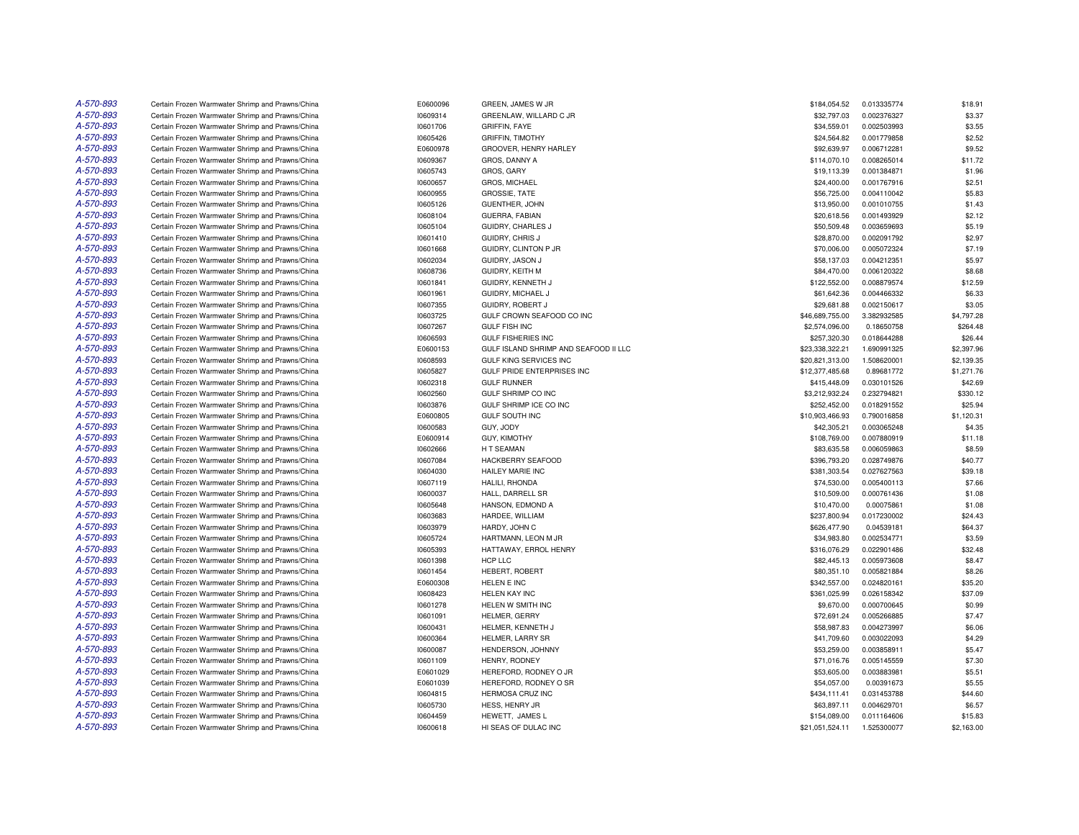| A-570-893 | Certain Frozen Warmwater Shrimp and Prawns/China | E0600096 | GREEN, JAMES W JR                     | \$184,054.52    | 0.013335774                | \$18.91    |
|-----------|--------------------------------------------------|----------|---------------------------------------|-----------------|----------------------------|------------|
| A-570-893 | Certain Frozen Warmwater Shrimp and Prawns/China | 10609314 | GREENLAW, WILLARD C JR                | \$32,797.03     | 0.002376327                | \$3.37     |
| A-570-893 | Certain Frozen Warmwater Shrimp and Prawns/China | 10601706 | <b>GRIFFIN, FAYE</b>                  | \$34,559.01     | 0.002503993                | \$3.55     |
| A-570-893 | Certain Frozen Warmwater Shrimp and Prawns/China | 10605426 | <b>GRIFFIN, TIMOTHY</b>               | \$24,564.82     | 0.001779858                | \$2.52     |
| A-570-893 | Certain Frozen Warmwater Shrimp and Prawns/China | E0600978 | GROOVER, HENRY HARLEY                 | \$92,639.97     | 0.006712281                | \$9.52     |
| A-570-893 | Certain Frozen Warmwater Shrimp and Prawns/China | 10609367 | GROS, DANNY A                         | \$114,070.10    | 0.008265014                | \$11.72    |
| A-570-893 | Certain Frozen Warmwater Shrimp and Prawns/China | 10605743 | GROS, GARY                            | \$19,113.39     | 0.001384871                | \$1.96     |
| A-570-893 | Certain Frozen Warmwater Shrimp and Prawns/China | 10600657 | GROS, MICHAEL                         | \$24,400.00     | 0.001767916                | \$2.51     |
| A-570-893 | Certain Frozen Warmwater Shrimp and Prawns/China | 10600955 | <b>GROSSIE, TATE</b>                  | \$56,725.00     | 0.004110042                | \$5.83     |
| A-570-893 | Certain Frozen Warmwater Shrimp and Prawns/China | 10605126 | <b>GUENTHER, JOHN</b>                 | \$13,950.00     | 0.001010755                | \$1.43     |
| A-570-893 | Certain Frozen Warmwater Shrimp and Prawns/China | 10608104 | GUERRA, FABIAN                        | \$20,618.56     | 0.001493929                | \$2.12     |
| A-570-893 | Certain Frozen Warmwater Shrimp and Prawns/China | 10605104 | GUIDRY, CHARLES J                     | \$50,509.48     | 0.003659693                | \$5.19     |
| A-570-893 | Certain Frozen Warmwater Shrimp and Prawns/China | 10601410 | <b>GUIDRY, CHRIS J</b>                | \$28,870.00     | 0.002091792                | \$2.97     |
| A-570-893 | Certain Frozen Warmwater Shrimp and Prawns/China | 10601668 | GUIDRY, CLINTON P JR                  | \$70,006.00     | 0.005072324                | \$7.19     |
| A-570-893 | Certain Frozen Warmwater Shrimp and Prawns/China | 10602034 | GUIDRY, JASON J                       | \$58,137.03     | 0.004212351                | \$5.97     |
| A-570-893 | Certain Frozen Warmwater Shrimp and Prawns/China | 10608736 | GUIDRY, KEITH M                       | \$84,470.00     | 0.006120322                | \$8.68     |
| A-570-893 | Certain Frozen Warmwater Shrimp and Prawns/China | 10601841 | GUIDRY, KENNETH J                     | \$122,552.00    | 0.008879574                | \$12.59    |
| A-570-893 | Certain Frozen Warmwater Shrimp and Prawns/China | 10601961 | GUIDRY, MICHAEL J                     | \$61,642.36     | 0.004466332                | \$6.33     |
| A-570-893 | Certain Frozen Warmwater Shrimp and Prawns/China | 10607355 | GUIDRY, ROBERT J                      | \$29,681.88     | 0.002150617                | \$3.05     |
| A-570-893 | Certain Frozen Warmwater Shrimp and Prawns/China | 10603725 | GULF CROWN SEAFOOD CO INC             | \$46,689,755.00 | 3.382932585                | \$4,797.28 |
| A-570-893 | Certain Frozen Warmwater Shrimp and Prawns/China | 10607267 | <b>GULF FISH INC</b>                  | \$2,574,096.00  | 0.18650758                 | \$264.48   |
| A-570-893 | Certain Frozen Warmwater Shrimp and Prawns/China | 10606593 | <b>GULF FISHERIES INC</b>             | \$257,320.30    |                            | \$26.44    |
| A-570-893 | Certain Frozen Warmwater Shrimp and Prawns/China | E0600153 | GULF ISLAND SHRIMP AND SEAFOOD II LLC | \$23,338,322.21 | 0.018644288<br>1.690991325 | \$2,397.96 |
| A-570-893 |                                                  |          |                                       |                 |                            |            |
|           | Certain Frozen Warmwater Shrimp and Prawns/China | 10608593 | <b>GULF KING SERVICES INC</b>         | \$20,821,313.00 | 1.508620001                | \$2,139.35 |
| A-570-893 | Certain Frozen Warmwater Shrimp and Prawns/China | 10605827 | GULF PRIDE ENTERPRISES INC            | \$12,377,485.68 | 0.89681772                 | \$1,271.76 |
| A-570-893 | Certain Frozen Warmwater Shrimp and Prawns/China | 10602318 | <b>GULF RUNNER</b>                    | \$415.448.09    | 0.030101526                | \$42.69    |
| A-570-893 | Certain Frozen Warmwater Shrimp and Prawns/China | 10602560 | GULF SHRIMP CO INC                    | \$3,212,932.24  | 0.232794821                | \$330.12   |
| A-570-893 | Certain Frozen Warmwater Shrimp and Prawns/China | 10603876 | GULF SHRIMP ICE CO INC                | \$252,452.00    | 0.018291552                | \$25.94    |
| A-570-893 | Certain Frozen Warmwater Shrimp and Prawns/China | E0600805 | <b>GULF SOUTH INC</b>                 | \$10,903,466.93 | 0.790016858                | \$1,120.31 |
| A-570-893 | Certain Frozen Warmwater Shrimp and Prawns/China | 10600583 | GUY, JODY                             | \$42,305.21     | 0.003065248                | \$4.35     |
| A-570-893 | Certain Frozen Warmwater Shrimp and Prawns/China | E0600914 | <b>GUY, KIMOTHY</b>                   | \$108,769.00    | 0.007880919                | \$11.18    |
| A-570-893 | Certain Frozen Warmwater Shrimp and Prawns/China | 10602666 | H T SEAMAN                            | \$83,635.58     | 0.006059863                | \$8.59     |
| A-570-893 | Certain Frozen Warmwater Shrimp and Prawns/China | 10607084 | HACKBERRY SEAFOOD                     | \$396,793.20    | 0.028749876                | \$40.77    |
| A-570-893 | Certain Frozen Warmwater Shrimp and Prawns/China | 10604030 | HAILEY MARIE INC                      | \$381,303.54    | 0.027627563                | \$39.18    |
| A-570-893 | Certain Frozen Warmwater Shrimp and Prawns/China | 10607119 | HALILI, RHONDA                        | \$74,530.00     | 0.005400113                | \$7.66     |
| A-570-893 | Certain Frozen Warmwater Shrimp and Prawns/China | 10600037 | HALL, DARRELL SR                      | \$10,509.00     | 0.000761436                | \$1.08     |
| A-570-893 | Certain Frozen Warmwater Shrimp and Prawns/China | 10605648 | HANSON, EDMOND A                      | \$10,470.00     | 0.00075861                 | \$1.08     |
| A-570-893 | Certain Frozen Warmwater Shrimp and Prawns/China | 10603683 | HARDEE, WILLIAM                       | \$237,800.94    | 0.017230002                | \$24.43    |
| A-570-893 | Certain Frozen Warmwater Shrimp and Prawns/China | 10603979 | HARDY, JOHN C                         | \$626,477.90    | 0.04539181                 | \$64.37    |
| A-570-893 | Certain Frozen Warmwater Shrimp and Prawns/China | 10605724 | HARTMANN, LEON M JR                   | \$34,983.80     | 0.002534771                | \$3.59     |
| A-570-893 | Certain Frozen Warmwater Shrimp and Prawns/China | 10605393 | HATTAWAY, ERROL HENRY                 | \$316,076.29    | 0.022901486                | \$32.48    |
| A-570-893 | Certain Frozen Warmwater Shrimp and Prawns/China | 10601398 | HCP LLC                               | \$82,445.13     | 0.005973608                | \$8.47     |
| A-570-893 | Certain Frozen Warmwater Shrimp and Prawns/China | 10601454 | <b>HEBERT, ROBERT</b>                 | \$80,351.10     | 0.005821884                | \$8.26     |
| A-570-893 | Certain Frozen Warmwater Shrimp and Prawns/China | E0600308 | HELEN E INC                           | \$342,557.00    | 0.024820161                | \$35.20    |
| A-570-893 | Certain Frozen Warmwater Shrimp and Prawns/China | 10608423 | <b>HELEN KAY INC</b>                  | \$361,025.99    | 0.026158342                | \$37.09    |
| A-570-893 | Certain Frozen Warmwater Shrimp and Prawns/China | 10601278 | HELEN W SMITH INC                     | \$9,670.00      | 0.000700645                | \$0.99     |
| A-570-893 | Certain Frozen Warmwater Shrimp and Prawns/China | 10601091 | <b>HELMER, GERRY</b>                  | \$72,691.24     | 0.005266885                | \$7.47     |
| A-570-893 | Certain Frozen Warmwater Shrimp and Prawns/China | 10600431 | HELMER, KENNETH J                     | \$58,987.83     | 0.004273997                | \$6.06     |
| A-570-893 | Certain Frozen Warmwater Shrimp and Prawns/China | 10600364 | HELMER, LARRY SR                      | \$41,709.60     | 0.003022093                | \$4.29     |
| A-570-893 | Certain Frozen Warmwater Shrimp and Prawns/China | 10600087 | HENDERSON, JOHNNY                     | \$53,259.00     | 0.003858911                | \$5.47     |
| A-570-893 | Certain Frozen Warmwater Shrimp and Prawns/China | 10601109 | HENRY, RODNEY                         | \$71,016.76     | 0.005145559                | \$7.30     |
| A-570-893 | Certain Frozen Warmwater Shrimp and Prawns/China | E0601029 | HEREFORD, RODNEY O JR                 | \$53,605.00     | 0.003883981                | \$5.51     |
| A-570-893 | Certain Frozen Warmwater Shrimp and Prawns/China | E0601039 | HEREFORD, RODNEY O SR                 | \$54,057.00     | 0.00391673                 | \$5.55     |
| A-570-893 | Certain Frozen Warmwater Shrimp and Prawns/China | 10604815 | <b>HERMOSA CRUZ INC</b>               | \$434,111.41    | 0.031453788                | \$44.60    |
| A-570-893 | Certain Frozen Warmwater Shrimp and Prawns/China | 10605730 | HESS, HENRY JR                        | \$63,897.11     | 0.004629701                | \$6.57     |
| A-570-893 | Certain Frozen Warmwater Shrimp and Prawns/China | 10604459 | HEWETT, JAMES L                       | \$154,089.00    | 0.011164606                | \$15.83    |
| A-570-893 | Certain Frozen Warmwater Shrimp and Prawns/China | 10600618 | HI SEAS OF DULAC INC                  | \$21,051,524.11 | 1.525300077                | \$2,163.00 |
|           |                                                  |          |                                       |                 |                            |            |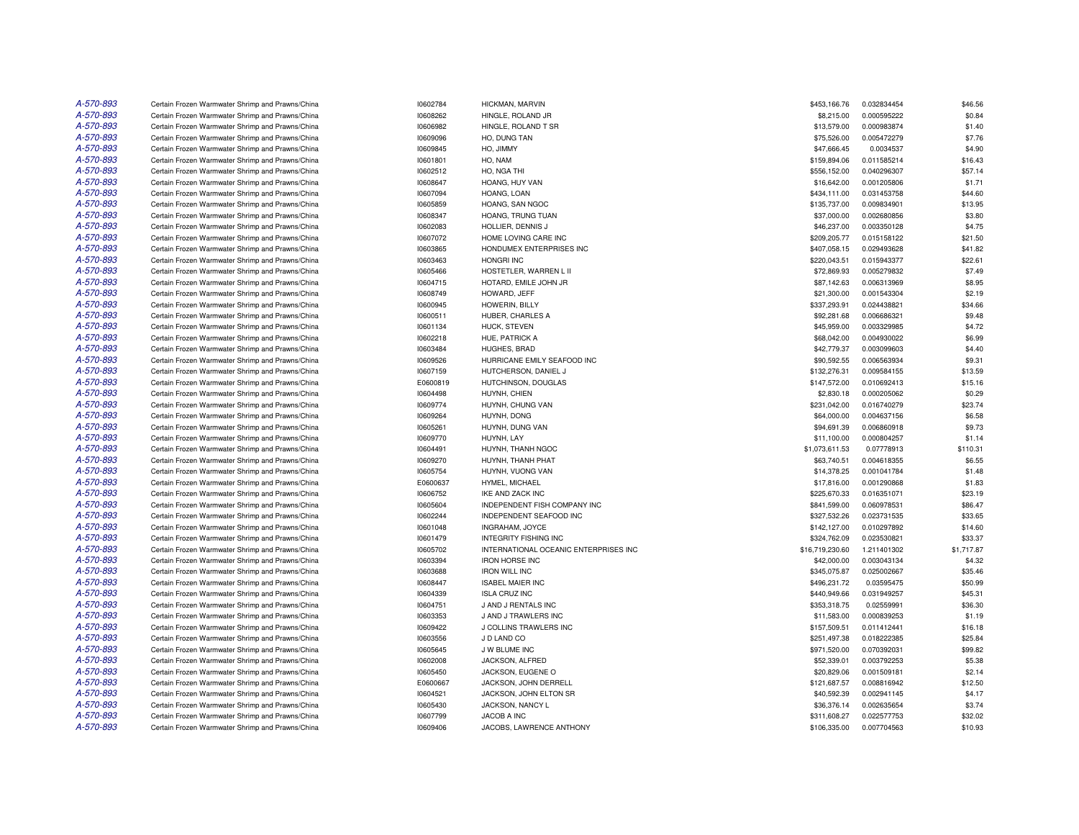| A-570-893 | Certain Frozen Warmwater Shrimp and Prawns/China | 10602784 | HICKMAN, MARVIN                       | \$453,166.76    | 0.032834454 | \$46.56    |
|-----------|--------------------------------------------------|----------|---------------------------------------|-----------------|-------------|------------|
| A-570-893 | Certain Frozen Warmwater Shrimp and Prawns/China | 10608262 | HINGLE, ROLAND JR                     | \$8,215.00      | 0.000595222 | \$0.84     |
| A-570-893 | Certain Frozen Warmwater Shrimp and Prawns/China | 10606982 | HINGLE, ROLAND T SR                   | \$13,579.00     | 0.000983874 | \$1.40     |
| A-570-893 | Certain Frozen Warmwater Shrimp and Prawns/China | 10609096 | HO, DUNG TAN                          | \$75,526.00     | 0.005472279 | \$7.76     |
| A-570-893 | Certain Frozen Warmwater Shrimp and Prawns/China | 10609845 | HO, JIMMY                             | \$47,666.45     | 0.0034537   | \$4.90     |
| A-570-893 | Certain Frozen Warmwater Shrimp and Prawns/China | 10601801 | HO, NAM                               | \$159,894.06    | 0.011585214 | \$16.43    |
| A-570-893 | Certain Frozen Warmwater Shrimp and Prawns/China | 10602512 | HO, NGA THI                           | \$556,152.00    | 0.040296307 | \$57.14    |
| A-570-893 | Certain Frozen Warmwater Shrimp and Prawns/China | 10608647 | HOANG, HUY VAN                        | \$16,642.00     | 0.001205806 | \$1.71     |
| A-570-893 | Certain Frozen Warmwater Shrimp and Prawns/China | 10607094 | HOANG, LOAN                           | \$434,111.00    | 0.031453758 | \$44.60    |
| A-570-893 | Certain Frozen Warmwater Shrimp and Prawns/China | 10605859 | HOANG, SAN NGOC                       | \$135,737.00    | 0.009834901 | \$13.95    |
| A-570-893 | Certain Frozen Warmwater Shrimp and Prawns/China | 10608347 | HOANG, TRUNG TUAN                     | \$37,000.00     | 0.002680856 | \$3.80     |
| A-570-893 | Certain Frozen Warmwater Shrimp and Prawns/China | 10602083 | HOLLIER, DENNIS J                     | \$46,237.00     | 0.003350128 | \$4.75     |
| A-570-893 | Certain Frozen Warmwater Shrimp and Prawns/China | 10607072 | HOME LOVING CARE INC                  | \$209,205.77    | 0.015158122 | \$21.50    |
| A-570-893 | Certain Frozen Warmwater Shrimp and Prawns/China | 10603865 | HONDUMEX ENTERPRISES INC              | \$407,058.15    | 0.029493628 | \$41.82    |
| A-570-893 | Certain Frozen Warmwater Shrimp and Prawns/China | 10603463 | HONGRI INC                            | \$220,043.51    | 0.015943377 | \$22.61    |
| A-570-893 | Certain Frozen Warmwater Shrimp and Prawns/China | 10605466 | HOSTETLER, WARREN L II                | \$72,869.93     | 0.005279832 | \$7.49     |
| A-570-893 | Certain Frozen Warmwater Shrimp and Prawns/China | 10604715 | HOTARD, EMILE JOHN JR                 | \$87,142.63     | 0.006313969 | \$8.95     |
| A-570-893 | Certain Frozen Warmwater Shrimp and Prawns/China | 10608749 | HOWARD, JEFF                          | \$21,300.00     | 0.001543304 | \$2.19     |
| A-570-893 | Certain Frozen Warmwater Shrimp and Prawns/China | 10600945 | HOWERIN, BILLY                        | \$337,293.91    | 0.024438821 | \$34.66    |
| A-570-893 | Certain Frozen Warmwater Shrimp and Prawns/China |          | HUBER, CHARLES A                      | \$92,281.68     | 0.006686321 | \$9.48     |
|           |                                                  | 10600511 |                                       |                 |             |            |
| A-570-893 | Certain Frozen Warmwater Shrimp and Prawns/China | 10601134 | HUCK, STEVEN                          | \$45,959.00     | 0.003329985 | \$4.72     |
| A-570-893 | Certain Frozen Warmwater Shrimp and Prawns/China | 10602218 | HUE, PATRICK A                        | \$68,042.00     | 0.004930022 | \$6.99     |
| A-570-893 | Certain Frozen Warmwater Shrimp and Prawns/China | 10603484 | HUGHES, BRAD                          | \$42,779.37     | 0.003099603 | \$4.40     |
| A-570-893 | Certain Frozen Warmwater Shrimp and Prawns/China | 10609526 | HURRICANE EMILY SEAFOOD INC           | \$90,592.55     | 0.006563934 | \$9.31     |
| A-570-893 | Certain Frozen Warmwater Shrimp and Prawns/China | 10607159 | HUTCHERSON, DANIEL J                  | \$132,276.31    | 0.009584155 | \$13.59    |
| A-570-893 | Certain Frozen Warmwater Shrimp and Prawns/China | E0600819 | HUTCHINSON, DOUGLAS                   | \$147,572.00    | 0.010692413 | \$15.16    |
| A-570-893 | Certain Frozen Warmwater Shrimp and Prawns/China | 10604498 | HUYNH, CHIEN                          | \$2,830.18      | 0.000205062 | \$0.29     |
| A-570-893 | Certain Frozen Warmwater Shrimp and Prawns/China | 10609774 | HUYNH, CHUNG VAN                      | \$231,042.00    | 0.016740279 | \$23.74    |
| A-570-893 | Certain Frozen Warmwater Shrimp and Prawns/China | 10609264 | HUYNH, DONG                           | \$64,000.00     | 0.004637156 | \$6.58     |
| A-570-893 | Certain Frozen Warmwater Shrimp and Prawns/China | 10605261 | HUYNH, DUNG VAN                       | \$94,691.39     | 0.006860918 | \$9.73     |
| A-570-893 | Certain Frozen Warmwater Shrimp and Prawns/China | 10609770 | HUYNH, LAY                            | \$11,100.00     | 0.000804257 | \$1.14     |
| A-570-893 | Certain Frozen Warmwater Shrimp and Prawns/China | 10604491 | HUYNH, THANH NGOC                     | \$1,073,611.53  | 0.07778913  | \$110.31   |
| A-570-893 | Certain Frozen Warmwater Shrimp and Prawns/China | 10609270 | HUYNH, THANH PHAT                     | \$63,740.51     | 0.004618355 | \$6.55     |
| A-570-893 | Certain Frozen Warmwater Shrimp and Prawns/China | 10605754 | HUYNH, VUONG VAN                      | \$14,378.25     | 0.001041784 | \$1.48     |
| A-570-893 | Certain Frozen Warmwater Shrimp and Prawns/China | E0600637 | HYMEL, MICHAEL                        | \$17,816.00     | 0.001290868 | \$1.83     |
| A-570-893 | Certain Frozen Warmwater Shrimp and Prawns/China | 10606752 | IKE AND ZACK INC                      | \$225,670.33    | 0.016351071 | \$23.19    |
| A-570-893 | Certain Frozen Warmwater Shrimp and Prawns/China | 10605604 | INDEPENDENT FISH COMPANY INC          | \$841,599.00    | 0.060978531 | \$86.47    |
| A-570-893 | Certain Frozen Warmwater Shrimp and Prawns/China | 10602244 | INDEPENDENT SEAFOOD INC               | \$327,532.26    | 0.023731535 | \$33.65    |
| A-570-893 | Certain Frozen Warmwater Shrimp and Prawns/China | 10601048 | INGRAHAM, JOYCE                       | \$142,127.00    | 0.010297892 | \$14.60    |
| A-570-893 | Certain Frozen Warmwater Shrimp and Prawns/China | 10601479 | <b>INTEGRITY FISHING INC</b>          | \$324,762.09    | 0.023530821 | \$33.37    |
| A-570-893 | Certain Frozen Warmwater Shrimp and Prawns/China | 10605702 | INTERNATIONAL OCEANIC ENTERPRISES INC | \$16,719,230.60 | 1.211401302 | \$1,717.87 |
| A-570-893 | Certain Frozen Warmwater Shrimp and Prawns/China | 10603394 | <b>IRON HORSE INC</b>                 | \$42,000.00     | 0.003043134 | \$4.32     |
| A-570-893 | Certain Frozen Warmwater Shrimp and Prawns/China | 10603688 | <b>IRON WILL INC</b>                  | \$345.075.87    | 0.025002667 | \$35.46    |
| A-570-893 | Certain Frozen Warmwater Shrimp and Prawns/China | 10608447 | <b>ISABEL MAIER INC</b>               | \$496,231.72    | 0.03595475  | \$50.99    |
| A-570-893 | Certain Frozen Warmwater Shrimp and Prawns/China | 10604339 | <b>ISLA CRUZ INC</b>                  | \$440,949.66    | 0.031949257 | \$45.31    |
| A-570-893 | Certain Frozen Warmwater Shrimp and Prawns/China | 10604751 | J AND J RENTALS INC                   | \$353,318.75    | 0.02559991  | \$36.30    |
| A-570-893 | Certain Frozen Warmwater Shrimp and Prawns/China | 10603353 | J AND J TRAWLERS INC                  | \$11,583.00     | 0.000839253 | \$1.19     |
| A-570-893 | Certain Frozen Warmwater Shrimp and Prawns/China | 10609422 | J COLLINS TRAWLERS INC                | \$157,509.51    | 0.011412441 | \$16.18    |
| A-570-893 | Certain Frozen Warmwater Shrimp and Prawns/China | 10603556 | J D LAND CO                           | \$251,497.38    | 0.018222385 | \$25.84    |
| A-570-893 | Certain Frozen Warmwater Shrimp and Prawns/China | 10605645 | J W BLUME INC                         | \$971,520.00    | 0.070392031 | \$99.82    |
| A-570-893 | Certain Frozen Warmwater Shrimp and Prawns/China | 10602008 | JACKSON, ALFRED                       | \$52,339.01     | 0.003792253 | \$5.38     |
| A-570-893 | Certain Frozen Warmwater Shrimp and Prawns/China | 10605450 | JACKSON, EUGENE O                     | \$20,829.06     | 0.001509181 | \$2.14     |
| A-570-893 | Certain Frozen Warmwater Shrimp and Prawns/China | E0600667 | JACKSON, JOHN DERRELL                 | \$121,687.57    | 0.008816942 | \$12.50    |
| A-570-893 | Certain Frozen Warmwater Shrimp and Prawns/China | 10604521 | JACKSON, JOHN ELTON SR                | \$40,592.39     | 0.002941145 | \$4.17     |
| A-570-893 | Certain Frozen Warmwater Shrimp and Prawns/China | 10605430 | JACKSON, NANCY L                      | \$36,376.14     | 0.002635654 | \$3.74     |
| A-570-893 | Certain Frozen Warmwater Shrimp and Prawns/China | 10607799 | JACOB A INC                           | \$311,608.27    | 0.022577753 | \$32.02    |
| A-570-893 | Certain Frozen Warmwater Shrimp and Prawns/China | 10609406 | JACOBS, LAWRENCE ANTHONY              | \$106,335.00    | 0.007704563 | \$10.93    |
|           |                                                  |          |                                       |                 |             |            |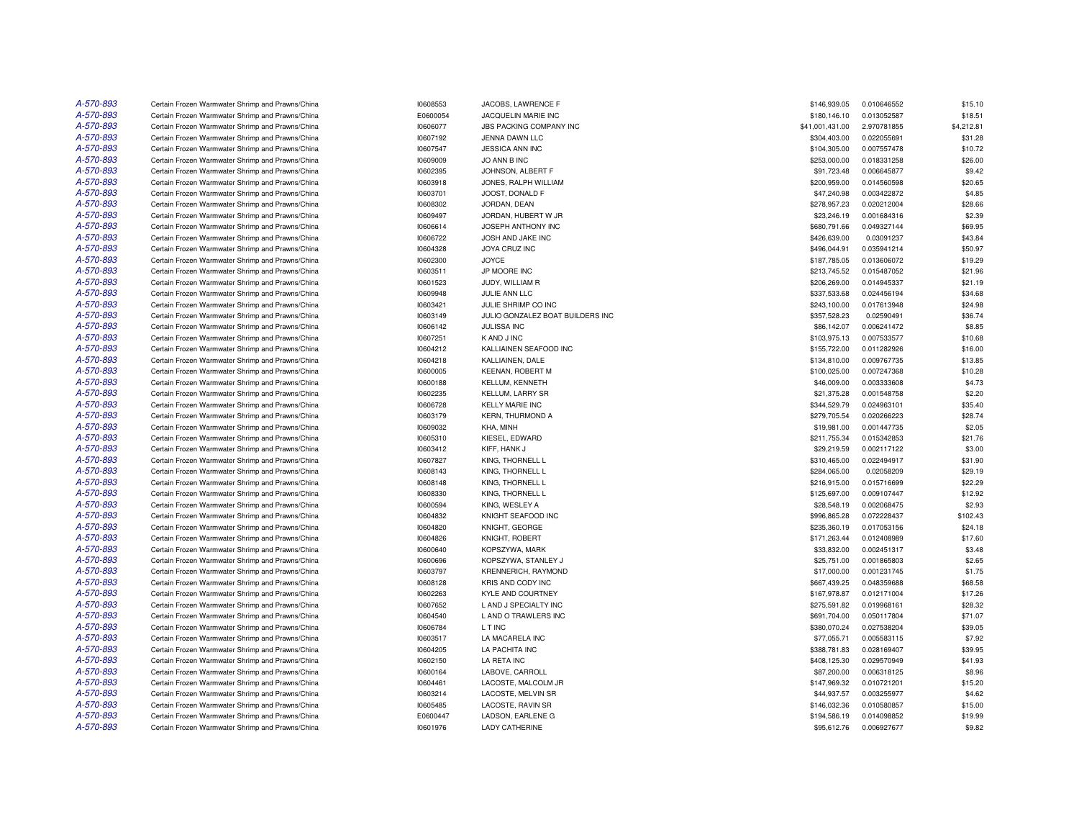| A-570-893 | Certain Frozen Warmwater Shrimp and Prawns/China | 10608553 | JACOBS, LAWRENCE F               | \$146,939.05    | 0.010646552 | \$15.10    |
|-----------|--------------------------------------------------|----------|----------------------------------|-----------------|-------------|------------|
| A-570-893 | Certain Frozen Warmwater Shrimp and Prawns/China | E0600054 | JACQUELIN MARIE INC              | \$180,146.10    | 0.013052587 | \$18.51    |
| A-570-893 | Certain Frozen Warmwater Shrimp and Prawns/China | 10606077 | JBS PACKING COMPANY INC          | \$41,001,431.00 | 2.970781855 | \$4,212.81 |
| A-570-893 | Certain Frozen Warmwater Shrimp and Prawns/China | 10607192 | JENNA DAWN LLC                   | \$304,403.00    | 0.022055691 | \$31.28    |
| A-570-893 | Certain Frozen Warmwater Shrimp and Prawns/China | 10607547 | JESSICA ANN INC                  | \$104,305.00    | 0.007557478 | \$10.72    |
| A-570-893 | Certain Frozen Warmwater Shrimp and Prawns/China | 10609009 | JO ANN B INC                     | \$253,000.00    | 0.018331258 | \$26.00    |
| A-570-893 | Certain Frozen Warmwater Shrimp and Prawns/China | 10602395 | JOHNSON, ALBERT F                | \$91,723.48     | 0.006645877 | \$9.42     |
| A-570-893 | Certain Frozen Warmwater Shrimp and Prawns/China | 10603918 | JONES, RALPH WILLIAM             | \$200,959.00    | 0.014560598 | \$20.65    |
| A-570-893 | Certain Frozen Warmwater Shrimp and Prawns/China | 10603701 | JOOST, DONALD F                  | \$47,240.98     | 0.003422872 | \$4.85     |
| A-570-893 | Certain Frozen Warmwater Shrimp and Prawns/China | 10608302 | JORDAN, DEAN                     | \$278,957.23    | 0.020212004 | \$28.66    |
| A-570-893 | Certain Frozen Warmwater Shrimp and Prawns/China | 10609497 | JORDAN, HUBERT W JR              | \$23,246.19     | 0.001684316 | \$2.39     |
| A-570-893 | Certain Frozen Warmwater Shrimp and Prawns/China | 10606614 | JOSEPH ANTHONY INC               | \$680,791.66    | 0.049327144 | \$69.95    |
| A-570-893 | Certain Frozen Warmwater Shrimp and Prawns/China | 10606722 | JOSH AND JAKE INC                | \$426,639.00    | 0.03091237  | \$43.84    |
| A-570-893 | Certain Frozen Warmwater Shrimp and Prawns/China | 10604328 | JOYA CRUZ INC                    | \$496,044.91    | 0.035941214 | \$50.97    |
| A-570-893 | Certain Frozen Warmwater Shrimp and Prawns/China | 10602300 | <b>JOYCE</b>                     | \$187,785.05    | 0.013606072 | \$19.29    |
| A-570-893 | Certain Frozen Warmwater Shrimp and Prawns/China | 10603511 | JP MOORE INC                     | \$213,745.52    | 0.015487052 | \$21.96    |
| A-570-893 | Certain Frozen Warmwater Shrimp and Prawns/China | 10601523 | JUDY, WILLIAM R                  | \$206,269.00    | 0.014945337 | \$21.19    |
| A-570-893 | Certain Frozen Warmwater Shrimp and Prawns/China | 10609948 | JULIE ANN LLC                    | \$337,533.68    | 0.024456194 | \$34.68    |
| A-570-893 | Certain Frozen Warmwater Shrimp and Prawns/China | 10603421 | JULIE SHRIMP CO INC              | \$243,100.00    | 0.017613948 | \$24.98    |
| A-570-893 | Certain Frozen Warmwater Shrimp and Prawns/China | 10603149 | JULIO GONZALEZ BOAT BUILDERS INC | \$357,528.23    | 0.02590491  | \$36.74    |
| A-570-893 |                                                  |          |                                  |                 |             |            |
| A-570-893 | Certain Frozen Warmwater Shrimp and Prawns/China | 10606142 | JULISSA INC                      | \$86,142.07     | 0.006241472 | \$8.85     |
|           | Certain Frozen Warmwater Shrimp and Prawns/China | 10607251 | K AND J INC                      | \$103,975.13    | 0.007533577 | \$10.68    |
| A-570-893 | Certain Frozen Warmwater Shrimp and Prawns/China | 10604212 | KALLIAINEN SEAFOOD INC           | \$155,722.00    | 0.011282926 | \$16.00    |
| A-570-893 | Certain Frozen Warmwater Shrimp and Prawns/China | 10604218 | KALLIAINEN, DALE                 | \$134,810.00    | 0.009767735 | \$13.85    |
| A-570-893 | Certain Frozen Warmwater Shrimp and Prawns/China | 10600005 | <b>KEENAN, ROBERT M</b>          | \$100,025.00    | 0.007247368 | \$10.28    |
| A-570-893 | Certain Frozen Warmwater Shrimp and Prawns/China | 10600188 | KELLUM, KENNETH                  | \$46,009.00     | 0.003333608 | \$4.73     |
| A-570-893 | Certain Frozen Warmwater Shrimp and Prawns/China | 10602235 | KELLUM, LARRY SR                 | \$21,375.28     | 0.001548758 | \$2.20     |
| A-570-893 | Certain Frozen Warmwater Shrimp and Prawns/China | 10606728 | <b>KELLY MARIE INC</b>           | \$344,529.79    | 0.024963101 | \$35.40    |
| A-570-893 | Certain Frozen Warmwater Shrimp and Prawns/China | 10603179 | KERN, THURMOND A                 | \$279,705.54    | 0.020266223 | \$28.74    |
| A-570-893 | Certain Frozen Warmwater Shrimp and Prawns/China | 10609032 | KHA, MINH                        | \$19,981.00     | 0.001447735 | \$2.05     |
| A-570-893 | Certain Frozen Warmwater Shrimp and Prawns/China | 10605310 | KIESEL, EDWARD                   | \$211,755.34    | 0.015342853 | \$21.76    |
| A-570-893 | Certain Frozen Warmwater Shrimp and Prawns/China | 10603412 | KIFF, HANK J                     | \$29,219.59     | 0.002117122 | \$3.00     |
| A-570-893 | Certain Frozen Warmwater Shrimp and Prawns/China | 10607827 | KING, THORNELL L                 | \$310,465.00    | 0.022494917 | \$31.90    |
| A-570-893 | Certain Frozen Warmwater Shrimp and Prawns/China | 10608143 | KING, THORNELL L                 | \$284,065.00    | 0.02058209  | \$29.19    |
| A-570-893 | Certain Frozen Warmwater Shrimp and Prawns/China | 10608148 | KING, THORNELL L                 | \$216,915.00    | 0.015716699 | \$22.29    |
| A-570-893 | Certain Frozen Warmwater Shrimp and Prawns/China | 10608330 | KING, THORNELL L                 | \$125,697.00    | 0.009107447 | \$12.92    |
| A-570-893 | Certain Frozen Warmwater Shrimp and Prawns/China | 10600594 | KING, WESLEY A                   | \$28,548.19     | 0.002068475 | \$2.93     |
| A-570-893 | Certain Frozen Warmwater Shrimp and Prawns/China | 10604832 | KNIGHT SEAFOOD INC               | \$996,865.28    | 0.072228437 | \$102.43   |
| A-570-893 | Certain Frozen Warmwater Shrimp and Prawns/China | 10604820 | KNIGHT, GEORGE                   | \$235,360.19    | 0.017053156 | \$24.18    |
| A-570-893 | Certain Frozen Warmwater Shrimp and Prawns/China | 10604826 | KNIGHT, ROBERT                   | \$171,263.44    | 0.012408989 | \$17.60    |
| A-570-893 | Certain Frozen Warmwater Shrimp and Prawns/China | 10600640 | KOPSZYWA, MARK                   | \$33,832.00     | 0.002451317 | \$3.48     |
| A-570-893 | Certain Frozen Warmwater Shrimp and Prawns/China | 10600696 | KOPSZYWA, STANLEY J              | \$25,751.00     | 0.001865803 | \$2.65     |
| A-570-893 | Certain Frozen Warmwater Shrimp and Prawns/China | 10603797 | <b>KRENNERICH, RAYMOND</b>       | \$17,000.00     | 0.001231745 | \$1.75     |
| A-570-893 | Certain Frozen Warmwater Shrimp and Prawns/China | 10608128 | <b>KRIS AND CODY INC</b>         | \$667,439.25    | 0.048359688 | \$68.58    |
| A-570-893 | Certain Frozen Warmwater Shrimp and Prawns/China | 10602263 | <b>KYLE AND COURTNEY</b>         | \$167,978.87    | 0.012171004 | \$17.26    |
| A-570-893 | Certain Frozen Warmwater Shrimp and Prawns/China | 10607652 | L AND J SPECIALTY INC            | \$275,591.82    | 0.019968161 | \$28.32    |
| A-570-893 | Certain Frozen Warmwater Shrimp and Prawns/China | 10604540 | L AND O TRAWLERS INC             | \$691,704.00    | 0.050117804 | \$71.07    |
| A-570-893 | Certain Frozen Warmwater Shrimp and Prawns/China | 10606784 | L T INC                          | \$380,070.24    | 0.027538204 | \$39.05    |
| A-570-893 | Certain Frozen Warmwater Shrimp and Prawns/China | 10603517 | LA MACARELA INC                  | \$77,055.71     | 0.005583115 | \$7.92     |
| A-570-893 | Certain Frozen Warmwater Shrimp and Prawns/China | 10604205 | LA PACHITA INC                   | \$388,781.83    | 0.028169407 | \$39.95    |
| A-570-893 | Certain Frozen Warmwater Shrimp and Prawns/China | 10602150 | LA RETA INC                      | \$408,125.30    | 0.029570949 | \$41.93    |
| A-570-893 | Certain Frozen Warmwater Shrimp and Prawns/China | 10600164 | LABOVE, CARROLL                  | \$87,200.00     | 0.006318125 | \$8.96     |
| A-570-893 | Certain Frozen Warmwater Shrimp and Prawns/China | 10604461 | LACOSTE, MALCOLM JR              | \$147,969.32    | 0.010721201 | \$15.20    |
| A-570-893 | Certain Frozen Warmwater Shrimp and Prawns/China | 10603214 | LACOSTE, MELVIN SR               | \$44,937.57     | 0.003255977 | \$4.62     |
| A-570-893 | Certain Frozen Warmwater Shrimp and Prawns/China | 10605485 | LACOSTE, RAVIN SR                | \$146,032.36    | 0.010580857 | \$15.00    |
| A-570-893 | Certain Frozen Warmwater Shrimp and Prawns/China | E0600447 | LADSON, EARLENE G                | \$194,586.19    | 0.014098852 | \$19.99    |
| A-570-893 | Certain Frozen Warmwater Shrimp and Prawns/China | 10601976 | <b>LADY CATHERINE</b>            | \$95,612.76     | 0.006927677 | \$9.82     |
|           |                                                  |          |                                  |                 |             |            |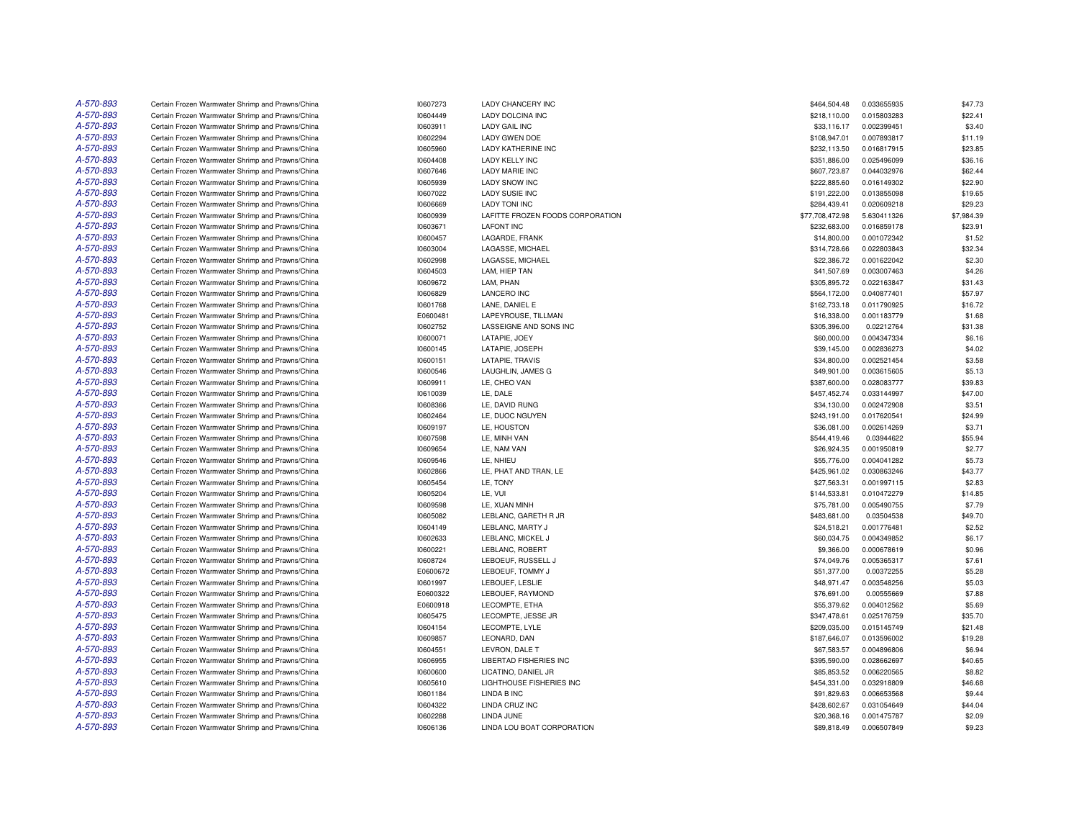| A-570-893 | Certain Frozen Warmwater Shrimp and Prawns/China                                                     | 10607273             | LADY CHANCERY INC                | \$464,504.48    | 0.033655935 | \$47.73    |
|-----------|------------------------------------------------------------------------------------------------------|----------------------|----------------------------------|-----------------|-------------|------------|
| A-570-893 | Certain Frozen Warmwater Shrimp and Prawns/China                                                     | 10604449             | LADY DOLCINA INC                 | \$218,110.00    | 0.015803283 | \$22.41    |
| A-570-893 | Certain Frozen Warmwater Shrimp and Prawns/China                                                     | 10603911             | <b>LADY GAIL INC</b>             | \$33,116.17     | 0.002399451 | \$3.40     |
| A-570-893 | Certain Frozen Warmwater Shrimp and Prawns/China                                                     | 10602294             | LADY GWEN DOE                    | \$108,947.01    | 0.007893817 | \$11.19    |
| A-570-893 | Certain Frozen Warmwater Shrimp and Prawns/China                                                     | 10605960             | <b>LADY KATHERINE INC</b>        | \$232,113.50    | 0.016817915 | \$23.85    |
| A-570-893 | Certain Frozen Warmwater Shrimp and Prawns/China                                                     | 10604408             | <b>LADY KELLY INC</b>            | \$351,886.00    | 0.025496099 | \$36.16    |
| A-570-893 | Certain Frozen Warmwater Shrimp and Prawns/China                                                     | 10607646             | <b>LADY MARIE INC</b>            | \$607,723.87    | 0.044032976 | \$62.44    |
| A-570-893 | Certain Frozen Warmwater Shrimp and Prawns/China                                                     | 10605939             | <b>LADY SNOW INC</b>             | \$222,885.60    | 0.016149302 | \$22.90    |
| A-570-893 | Certain Frozen Warmwater Shrimp and Prawns/China                                                     | 10607022             | <b>LADY SUSIE INC</b>            | \$191,222.00    | 0.013855098 | \$19.65    |
| A-570-893 | Certain Frozen Warmwater Shrimp and Prawns/China                                                     | 10606669             | <b>LADY TONI INC</b>             | \$284,439.41    | 0.020609218 | \$29.23    |
| A-570-893 | Certain Frozen Warmwater Shrimp and Prawns/China                                                     | 10600939             | LAFITTE FROZEN FOODS CORPORATION | \$77,708,472.98 | 5.630411326 | \$7,984.39 |
| A-570-893 | Certain Frozen Warmwater Shrimp and Prawns/China                                                     | 10603671             | <b>LAFONT INC</b>                | \$232,683.00    | 0.016859178 | \$23.91    |
| A-570-893 | Certain Frozen Warmwater Shrimp and Prawns/China                                                     | 10600457             | LAGARDE, FRANK                   | \$14,800.00     | 0.001072342 | \$1.52     |
| A-570-893 | Certain Frozen Warmwater Shrimp and Prawns/China                                                     | 10603004             | LAGASSE, MICHAEL                 | \$314,728.66    | 0.022803843 | \$32.34    |
| A-570-893 | Certain Frozen Warmwater Shrimp and Prawns/China                                                     | 10602998             | LAGASSE, MICHAEL                 | \$22,386.72     | 0.001622042 | \$2.30     |
| A-570-893 | Certain Frozen Warmwater Shrimp and Prawns/China                                                     | 10604503             | LAM, HIEP TAN                    | \$41,507.69     | 0.003007463 | \$4.26     |
| A-570-893 | Certain Frozen Warmwater Shrimp and Prawns/China                                                     | 10609672             | LAM, PHAN                        | \$305,895.72    | 0.022163847 | \$31.43    |
| A-570-893 | Certain Frozen Warmwater Shrimp and Prawns/China                                                     | 10606829             | <b>LANCERO INC</b>               | \$564,172.00    | 0.040877401 | \$57.97    |
| A-570-893 | Certain Frozen Warmwater Shrimp and Prawns/China                                                     | 10601768             | LANE. DANIEL E                   | \$162,733.18    | 0.011790925 | \$16.72    |
| A-570-893 | Certain Frozen Warmwater Shrimp and Prawns/China                                                     | E0600481             | LAPEYROUSE, TILLMAN              | \$16,338.00     | 0.001183779 | \$1.68     |
| A-570-893 | Certain Frozen Warmwater Shrimp and Prawns/China                                                     | 10602752             | LASSEIGNE AND SONS INC           | \$305,396.00    | 0.02212764  | \$31.38    |
| A-570-893 |                                                                                                      |                      | LATAPIE, JOEY                    | \$60,000.00     | 0.004347334 | \$6.16     |
| A-570-893 | Certain Frozen Warmwater Shrimp and Prawns/China<br>Certain Frozen Warmwater Shrimp and Prawns/China | 10600071<br>10600145 |                                  | \$39,145.00     | 0.002836273 | \$4.02     |
|           |                                                                                                      |                      | LATAPIE, JOSEPH                  |                 |             |            |
| A-570-893 | Certain Frozen Warmwater Shrimp and Prawns/China                                                     | 10600151             | LATAPIE, TRAVIS                  | \$34,800.00     | 0.002521454 | \$3.58     |
| A-570-893 | Certain Frozen Warmwater Shrimp and Prawns/China                                                     | 10600546             | LAUGHLIN, JAMES G                | \$49,901.00     | 0.003615605 | \$5.13     |
| A-570-893 | Certain Frozen Warmwater Shrimp and Prawns/China                                                     | 10609911             | LE. CHEO VAN                     | \$387,600.00    | 0.028083777 | \$39.83    |
| A-570-893 | Certain Frozen Warmwater Shrimp and Prawns/China                                                     | 10610039             | LE. DALE                         | \$457,452.74    | 0.033144997 | \$47.00    |
| A-570-893 | Certain Frozen Warmwater Shrimp and Prawns/China                                                     | 10608366             | LE, DAVID RUNG                   | \$34,130.00     | 0.002472908 | \$3.51     |
| A-570-893 | Certain Frozen Warmwater Shrimp and Prawns/China                                                     | 10602464             | LE, DUOC NGUYEN                  | \$243,191.00    | 0.017620541 | \$24.99    |
| A-570-893 | Certain Frozen Warmwater Shrimp and Prawns/China                                                     | 10609197             | LE, HOUSTON                      | \$36,081.00     | 0.002614269 | \$3.71     |
| A-570-893 | Certain Frozen Warmwater Shrimp and Prawns/China                                                     | 10607598             | LE, MINH VAN                     | \$544,419.46    | 0.03944622  | \$55.94    |
| A-570-893 | Certain Frozen Warmwater Shrimp and Prawns/China                                                     | 10609654             | LE, NAM VAN                      | \$26,924.35     | 0.001950819 | \$2.77     |
| A-570-893 | Certain Frozen Warmwater Shrimp and Prawns/China                                                     | 10609546             | LE, NHIEU                        | \$55,776.00     | 0.004041282 | \$5.73     |
| A-570-893 | Certain Frozen Warmwater Shrimp and Prawns/China                                                     | 10602866             | LE, PHAT AND TRAN, LE            | \$425,961.02    | 0.030863246 | \$43.77    |
| A-570-893 | Certain Frozen Warmwater Shrimp and Prawns/China                                                     | 10605454             | LE, TONY                         | \$27,563.31     | 0.001997115 | \$2.83     |
| A-570-893 | Certain Frozen Warmwater Shrimp and Prawns/China                                                     | 10605204             | LE, VUI                          | \$144,533.81    | 0.010472279 | \$14.85    |
| A-570-893 | Certain Frozen Warmwater Shrimp and Prawns/China                                                     | 10609598             | LE, XUAN MINH                    | \$75,781.00     | 0.005490755 | \$7.79     |
| A-570-893 | Certain Frozen Warmwater Shrimp and Prawns/China                                                     | 10605082             | LEBLANC, GARETH R JR             | \$483,681.00    | 0.03504538  | \$49.70    |
| A-570-893 | Certain Frozen Warmwater Shrimp and Prawns/China                                                     | 10604149             | LEBLANC, MARTY J                 | \$24,518.21     | 0.001776481 | \$2.52     |
| A-570-893 | Certain Frozen Warmwater Shrimp and Prawns/China                                                     | 10602633             | LEBLANC, MICKEL J                | \$60,034.75     | 0.004349852 | \$6.17     |
| A-570-893 | Certain Frozen Warmwater Shrimp and Prawns/China                                                     | 10600221             | LEBLANC, ROBERT                  | \$9,366.00      | 0.000678619 | \$0.96     |
| A-570-893 | Certain Frozen Warmwater Shrimp and Prawns/China                                                     | 10608724             | LEBOEUF, RUSSELL J               | \$74,049.76     | 0.005365317 | \$7.61     |
| A-570-893 | Certain Frozen Warmwater Shrimp and Prawns/China                                                     | E0600672             | LEBOEUF, TOMMY J                 | \$51,377.00     | 0.00372255  | \$5.28     |
| A-570-893 | Certain Frozen Warmwater Shrimp and Prawns/China                                                     | 10601997             | LEBOUEF, LESLIE                  | \$48,971.47     | 0.003548256 | \$5.03     |
| A-570-893 | Certain Frozen Warmwater Shrimp and Prawns/China                                                     | E0600322             | LEBOUEF, RAYMOND                 | \$76,691.00     | 0.00555669  | \$7.88     |
| A-570-893 | Certain Frozen Warmwater Shrimp and Prawns/China                                                     | E0600918             | LECOMPTE, ETHA                   | \$55,379.62     | 0.004012562 | \$5.69     |
| A-570-893 | Certain Frozen Warmwater Shrimp and Prawns/China                                                     | 10605475             | LECOMPTE, JESSE JR               | \$347,478.61    | 0.025176759 | \$35.70    |
| A-570-893 | Certain Frozen Warmwater Shrimp and Prawns/China                                                     | 10604154             | LECOMPTE, LYLE                   | \$209,035.00    | 0.015145749 | \$21.48    |
| A-570-893 | Certain Frozen Warmwater Shrimp and Prawns/China                                                     | 10609857             | LEONARD, DAN                     | \$187,646.07    | 0.013596002 | \$19.28    |
| A-570-893 | Certain Frozen Warmwater Shrimp and Prawns/China                                                     | 10604551             | LEVRON, DALE T                   | \$67,583.57     | 0.004896806 | \$6.94     |
| A-570-893 | Certain Frozen Warmwater Shrimp and Prawns/China                                                     | 10606955             | LIBERTAD FISHERIES INC           | \$395,590.00    | 0.028662697 | \$40.65    |
| A-570-893 | Certain Frozen Warmwater Shrimp and Prawns/China                                                     | 10600600             | LICATINO, DANIEL JR              | \$85,853.52     | 0.006220565 | \$8.82     |
| A-570-893 | Certain Frozen Warmwater Shrimp and Prawns/China                                                     | 10605610             | <b>LIGHTHOUSE FISHERIES INC</b>  | \$454,331.00    | 0.032918809 | \$46.68    |
| A-570-893 | Certain Frozen Warmwater Shrimp and Prawns/China                                                     | 10601184             | LINDA B INC                      | \$91,829.63     | 0.006653568 | \$9.44     |
| A-570-893 | Certain Frozen Warmwater Shrimp and Prawns/China                                                     | 10604322             | LINDA CRUZ INC                   | \$428,602.67    | 0.031054649 | \$44.04    |
| A-570-893 | Certain Frozen Warmwater Shrimp and Prawns/China                                                     | 10602288             | LINDA JUNE                       | \$20,368.16     | 0.001475787 | \$2.09     |
| A-570-893 | Certain Frozen Warmwater Shrimp and Prawns/China                                                     | 10606136             | LINDA LOU BOAT CORPORATION       | \$89,818.49     | 0.006507849 | \$9.23     |
|           |                                                                                                      |                      |                                  |                 |             |            |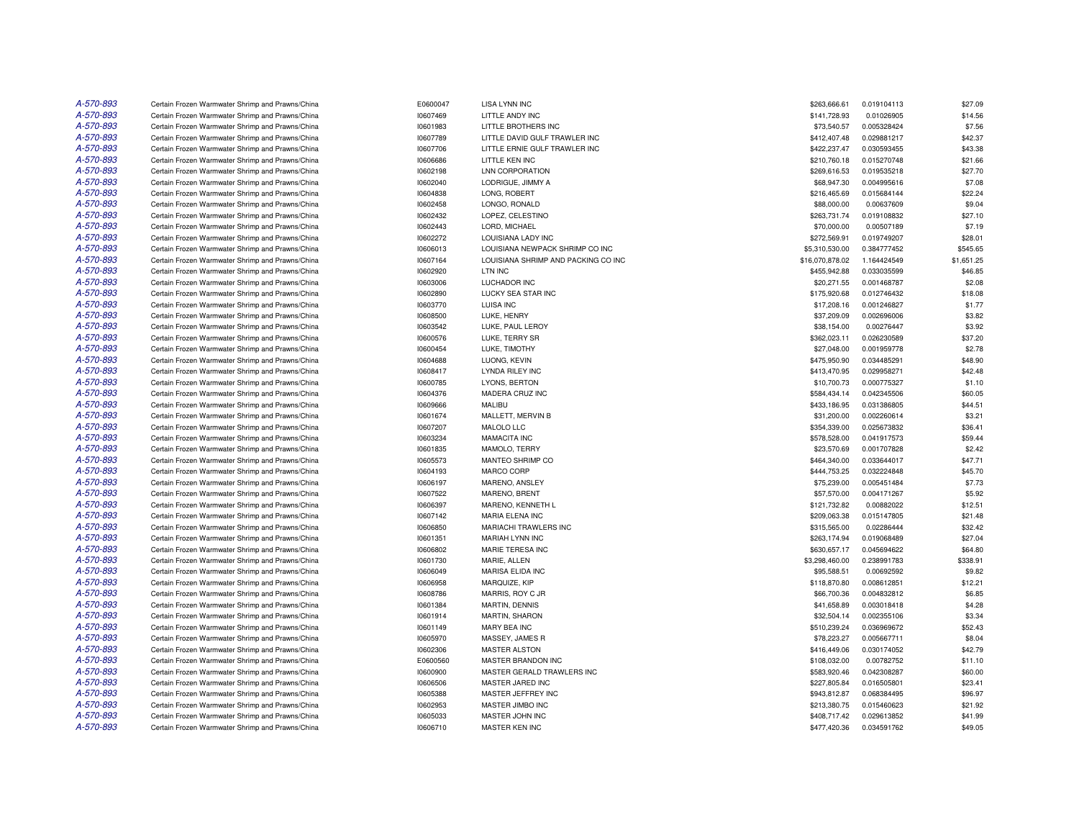| A-570-893 | Certain Frozen Warmwater Shrimp and Prawns/China | E0600047 | <b>LISA LYNN INC</b>                | \$263,666.61    | 0.019104113 | \$27.09    |
|-----------|--------------------------------------------------|----------|-------------------------------------|-----------------|-------------|------------|
| A-570-893 | Certain Frozen Warmwater Shrimp and Prawns/China | 10607469 | LITTLE ANDY INC                     | \$141,728.93    | 0.01026905  | \$14.56    |
| A-570-893 | Certain Frozen Warmwater Shrimp and Prawns/China | 10601983 | LITTLE BROTHERS INC                 | \$73,540.57     | 0.005328424 | \$7.56     |
| A-570-893 | Certain Frozen Warmwater Shrimp and Prawns/China | 10607789 | LITTLE DAVID GULF TRAWLER INC       | \$412,407.48    | 0.029881217 | \$42.37    |
| A-570-893 | Certain Frozen Warmwater Shrimp and Prawns/China | 10607706 | LITTLE ERNIE GULF TRAWLER INC       | \$422,237.47    | 0.030593455 | \$43.38    |
| A-570-893 | Certain Frozen Warmwater Shrimp and Prawns/China | 10606686 | LITTLE KEN INC                      | \$210,760.18    | 0.015270748 | \$21.66    |
| A-570-893 | Certain Frozen Warmwater Shrimp and Prawns/China | 10602198 | <b>LNN CORPORATION</b>              | \$269,616.53    | 0.019535218 | \$27.70    |
| A-570-893 | Certain Frozen Warmwater Shrimp and Prawns/China | 10602040 | LODRIGUE, JIMMY A                   | \$68,947.30     | 0.004995616 | \$7.08     |
| A-570-893 | Certain Frozen Warmwater Shrimp and Prawns/China | 10604838 | LONG, ROBERT                        | \$216,465.69    | 0.015684144 | \$22.24    |
| A-570-893 | Certain Frozen Warmwater Shrimp and Prawns/China | 10602458 | LONGO, RONALD                       | \$88,000.00     | 0.00637609  | \$9.04     |
| A-570-893 | Certain Frozen Warmwater Shrimp and Prawns/China | 10602432 | LOPEZ, CELESTINO                    | \$263,731.74    | 0.019108832 | \$27.10    |
| A-570-893 | Certain Frozen Warmwater Shrimp and Prawns/China | 10602443 | LORD, MICHAEL                       | \$70,000.00     | 0.00507189  | \$7.19     |
| A-570-893 | Certain Frozen Warmwater Shrimp and Prawns/China | 10602272 | LOUISIANA LADY INC                  | \$272,569.91    | 0.019749207 | \$28.01    |
| A-570-893 | Certain Frozen Warmwater Shrimp and Prawns/China | 10606013 | LOUISIANA NEWPACK SHRIMP CO INC     | \$5,310,530.00  | 0.384777452 | \$545.65   |
| A-570-893 | Certain Frozen Warmwater Shrimp and Prawns/China | 10607164 | LOUISIANA SHRIMP AND PACKING CO INC | \$16,070,878.02 | 1.164424549 | \$1,651.25 |
| A-570-893 | Certain Frozen Warmwater Shrimp and Prawns/China | 10602920 | LTN INC                             | \$455,942.88    | 0.033035599 | \$46.85    |
| A-570-893 | Certain Frozen Warmwater Shrimp and Prawns/China | 10603006 | LUCHADOR INC                        | \$20,271.55     | 0.001468787 | \$2.08     |
| A-570-893 | Certain Frozen Warmwater Shrimp and Prawns/China | 10602890 | LUCKY SEA STAR INC                  | \$175,920.68    | 0.012746432 | \$18.08    |
| A-570-893 | Certain Frozen Warmwater Shrimp and Prawns/China | 10603770 | <b>LUISA INC</b>                    | \$17,208.16     | 0.001246827 | \$1.77     |
| A-570-893 | Certain Frozen Warmwater Shrimp and Prawns/China | 10608500 | LUKE, HENRY                         | \$37,209.09     | 0.002696006 | \$3.82     |
| A-570-893 | Certain Frozen Warmwater Shrimp and Prawns/China | 10603542 | LUKE, PAUL LEROY                    | \$38,154.00     | 0.00276447  | \$3.92     |
| A-570-893 | Certain Frozen Warmwater Shrimp and Prawns/China | 10600576 | LUKE, TERRY SR                      | \$362,023.11    | 0.026230589 | \$37.20    |
| A-570-893 | Certain Frozen Warmwater Shrimp and Prawns/China | 10600454 | LUKE, TIMOTHY                       | \$27,048.00     | 0.001959778 | \$2.78     |
| A-570-893 | Certain Frozen Warmwater Shrimp and Prawns/China | 10604688 | LUONG, KEVIN                        | \$475,950.90    | 0.034485291 | \$48.90    |
| A-570-893 | Certain Frozen Warmwater Shrimp and Prawns/China | 10608417 | <b>LYNDA RILEY INC</b>              | \$413,470.95    | 0.029958271 | \$42.48    |
| A-570-893 | Certain Frozen Warmwater Shrimp and Prawns/China | 10600785 | LYONS, BERTON                       | \$10,700.73     | 0.000775327 | \$1.10     |
| A-570-893 | Certain Frozen Warmwater Shrimp and Prawns/China | 10604376 | MADERA CRUZ INC                     | \$584,434.14    | 0.042345506 | \$60.05    |
| A-570-893 | Certain Frozen Warmwater Shrimp and Prawns/China | 10609666 | <b>MALIBU</b>                       | \$433,186.95    | 0.031386805 | \$44.51    |
| A-570-893 | Certain Frozen Warmwater Shrimp and Prawns/China | 10601674 | MALLETT, MERVIN B                   | \$31,200.00     | 0.002260614 | \$3.21     |
| A-570-893 | Certain Frozen Warmwater Shrimp and Prawns/China | 10607207 | MALOLO LLC                          | \$354,339.00    | 0.025673832 | \$36.41    |
| A-570-893 | Certain Frozen Warmwater Shrimp and Prawns/China | 10603234 | MAMACITA INC                        | \$578,528.00    | 0.041917573 | \$59.44    |
| A-570-893 | Certain Frozen Warmwater Shrimp and Prawns/China | 10601835 | MAMOLO, TERRY                       | \$23,570.69     | 0.001707828 | \$2.42     |
| A-570-893 | Certain Frozen Warmwater Shrimp and Prawns/China | 10605573 | MANTEO SHRIMP CO                    | \$464,340.00    | 0.033644017 | \$47.71    |
| A-570-893 | Certain Frozen Warmwater Shrimp and Prawns/China | 10604193 | MARCO CORP                          | \$444,753.25    | 0.032224848 | \$45.70    |
| A-570-893 | Certain Frozen Warmwater Shrimp and Prawns/China | 10606197 | MARENO, ANSLEY                      | \$75,239.00     | 0.005451484 | \$7.73     |
| A-570-893 | Certain Frozen Warmwater Shrimp and Prawns/China | 10607522 | MARENO, BRENT                       | \$57,570.00     | 0.004171267 | \$5.92     |
| A-570-893 | Certain Frozen Warmwater Shrimp and Prawns/China | 10606397 | MARENO, KENNETH L                   | \$121,732.82    | 0.00882022  | \$12.51    |
| A-570-893 | Certain Frozen Warmwater Shrimp and Prawns/China | 10607142 | <b>MARIA ELENA INC</b>              | \$209,063.38    | 0.015147805 | \$21.48    |
| A-570-893 | Certain Frozen Warmwater Shrimp and Prawns/China | 10606850 | MARIACHI TRAWLERS INC               | \$315,565.00    | 0.02286444  | \$32.42    |
| A-570-893 | Certain Frozen Warmwater Shrimp and Prawns/China | 10601351 | MARIAH LYNN INC                     | \$263,174.94    | 0.019068489 | \$27.04    |
| A-570-893 | Certain Frozen Warmwater Shrimp and Prawns/China | 10606802 | MARIE TERESA INC                    | \$630,657.17    | 0.045694622 | \$64.80    |
| A-570-893 | Certain Frozen Warmwater Shrimp and Prawns/China | 10601730 | MARIE, ALLEN                        | \$3,298,460.00  | 0.238991783 | \$338.91   |
| A-570-893 | Certain Frozen Warmwater Shrimp and Prawns/China | 10606049 | MARISA ELIDA INC                    | \$95,588.51     | 0.00692592  | \$9.82     |
| A-570-893 | Certain Frozen Warmwater Shrimp and Prawns/China | 10606958 | MARQUIZE, KIP                       | \$118,870.80    | 0.008612851 | \$12.21    |
| A-570-893 | Certain Frozen Warmwater Shrimp and Prawns/China | 10608786 | MARRIS, ROY C JR                    | \$66,700.36     | 0.004832812 | \$6.85     |
| A-570-893 | Certain Frozen Warmwater Shrimp and Prawns/China | 10601384 | MARTIN, DENNIS                      | \$41,658.89     | 0.003018418 | \$4.28     |
| A-570-893 | Certain Frozen Warmwater Shrimp and Prawns/China | 10601914 | MARTIN, SHARON                      | \$32,504.14     | 0.002355106 | \$3.34     |
| A-570-893 | Certain Frozen Warmwater Shrimp and Prawns/China | 10601149 | <b>MARY BEA INC</b>                 | \$510,239.24    | 0.036969672 | \$52.43    |
| A-570-893 | Certain Frozen Warmwater Shrimp and Prawns/China | 10605970 | MASSEY, JAMES R                     | \$78,223.27     | 0.005667711 | \$8.04     |
| A-570-893 | Certain Frozen Warmwater Shrimp and Prawns/China | 10602306 | <b>MASTER ALSTON</b>                | \$416,449.06    | 0.030174052 | \$42.79    |
| A-570-893 | Certain Frozen Warmwater Shrimp and Prawns/China | E0600560 | <b>MASTER BRANDON INC</b>           | \$108,032.00    | 0.00782752  | \$11.10    |
| A-570-893 | Certain Frozen Warmwater Shrimp and Prawns/China | 10600900 | MASTER GERALD TRAWLERS INC          | \$583,920.46    | 0.042308287 | \$60.00    |
| A-570-893 | Certain Frozen Warmwater Shrimp and Prawns/China | 10606506 | MASTER JARED INC                    | \$227,805.84    | 0.016505801 | \$23.41    |
| A-570-893 | Certain Frozen Warmwater Shrimp and Prawns/China | 10605388 | MASTER JEFFREY INC                  | \$943,812.87    | 0.068384495 | \$96.97    |
| A-570-893 | Certain Frozen Warmwater Shrimp and Prawns/China | 10602953 | MASTER JIMBO INC                    | \$213,380.75    | 0.015460623 | \$21.92    |
| A-570-893 | Certain Frozen Warmwater Shrimp and Prawns/China | 10605033 | MASTER JOHN INC                     | \$408,717.42    | 0.029613852 | \$41.99    |
| A-570-893 | Certain Frozen Warmwater Shrimp and Prawns/China | 10606710 | <b>MASTER KEN INC</b>               | \$477,420.36    | 0.034591762 | \$49.05    |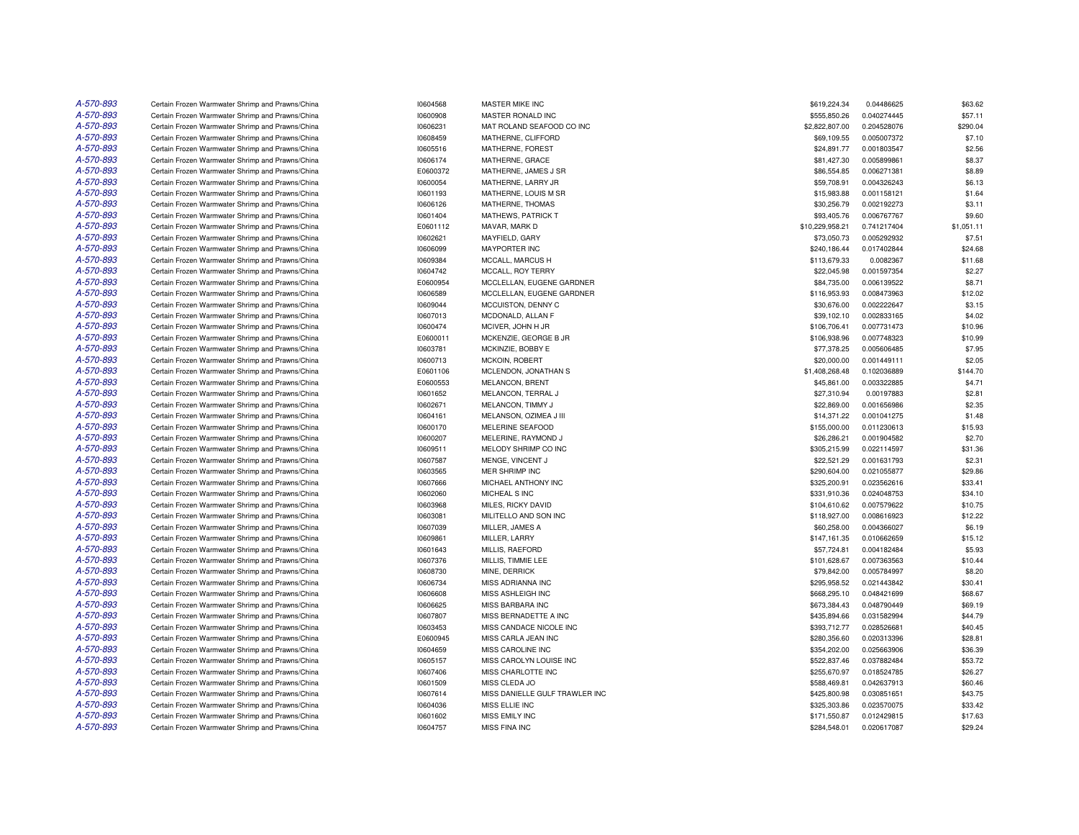| A-570-893 | Certain Frozen Warmwater Shrimp and Prawns/China                                                     | 10604568 | MASTER MIKE INC                | \$619,224.34    | 0.04486625  | \$63.62    |
|-----------|------------------------------------------------------------------------------------------------------|----------|--------------------------------|-----------------|-------------|------------|
| A-570-893 | Certain Frozen Warmwater Shrimp and Prawns/China                                                     | 10600908 | MASTER RONALD INC              | \$555,850.26    | 0.040274445 | \$57.11    |
| A-570-893 | Certain Frozen Warmwater Shrimp and Prawns/China                                                     | 10606231 | MAT ROLAND SEAFOOD CO INC      | \$2,822,807.00  | 0.204528076 | \$290.04   |
| A-570-893 | Certain Frozen Warmwater Shrimp and Prawns/China                                                     | 10608459 | MATHERNE, CLIFFORD             | \$69,109.55     | 0.005007372 | \$7.10     |
| A-570-893 | Certain Frozen Warmwater Shrimp and Prawns/China                                                     | 10605516 | MATHERNE, FOREST               | \$24,891.77     | 0.001803547 | \$2.56     |
| A-570-893 | Certain Frozen Warmwater Shrimp and Prawns/China                                                     | 10606174 | MATHERNE, GRACE                | \$81,427.30     | 0.005899861 | \$8.37     |
| A-570-893 | Certain Frozen Warmwater Shrimp and Prawns/China                                                     | E0600372 | MATHERNE, JAMES J SR           | \$86,554.85     | 0.006271381 | \$8.89     |
| A-570-893 | Certain Frozen Warmwater Shrimp and Prawns/China                                                     | 10600054 | MATHERNE, LARRY JR             | \$59,708.91     | 0.004326243 | \$6.13     |
| A-570-893 | Certain Frozen Warmwater Shrimp and Prawns/China                                                     | 10601193 | MATHERNE, LOUIS M SR           | \$15,983.88     | 0.001158121 | \$1.64     |
| A-570-893 | Certain Frozen Warmwater Shrimp and Prawns/China                                                     | 10606126 | MATHERNE, THOMAS               | \$30,256.79     | 0.002192273 | \$3.11     |
| A-570-893 | Certain Frozen Warmwater Shrimp and Prawns/China                                                     | 10601404 | <b>MATHEWS, PATRICK T</b>      | \$93,405.76     | 0.006767767 | \$9.60     |
| A-570-893 | Certain Frozen Warmwater Shrimp and Prawns/China                                                     | E0601112 | MAVAR, MARK D                  | \$10,229,958.21 | 0.741217404 | \$1,051.11 |
| A-570-893 | Certain Frozen Warmwater Shrimp and Prawns/China                                                     | 10602621 | MAYFIELD, GARY                 | \$73,050.73     | 0.005292932 | \$7.51     |
| A-570-893 | Certain Frozen Warmwater Shrimp and Prawns/China                                                     | 10606099 | <b>MAYPORTER INC</b>           | \$240,186.44    | 0.017402844 | \$24.68    |
| A-570-893 | Certain Frozen Warmwater Shrimp and Prawns/China                                                     | 10609384 | MCCALL, MARCUS H               | \$113,679.33    | 0.0082367   | \$11.68    |
| A-570-893 |                                                                                                      |          |                                |                 |             |            |
|           | Certain Frozen Warmwater Shrimp and Prawns/China                                                     | 10604742 | MCCALL, ROY TERRY              | \$22,045.98     | 0.001597354 | \$2.27     |
| A-570-893 | Certain Frozen Warmwater Shrimp and Prawns/China                                                     | E0600954 | MCCLELLAN, EUGENE GARDNER      | \$84,735.00     | 0.006139522 | \$8.71     |
| A-570-893 | Certain Frozen Warmwater Shrimp and Prawns/China                                                     | 10606589 | MCCLELLAN, EUGENE GARDNER      | \$116,953.93    | 0.008473963 | \$12.02    |
| A-570-893 | Certain Frozen Warmwater Shrimp and Prawns/China                                                     | 10609044 | MCCUISTON, DENNY C             | \$30,676.00     | 0.002222647 | \$3.15     |
| A-570-893 | Certain Frozen Warmwater Shrimp and Prawns/China                                                     | 10607013 | MCDONALD, ALLAN F              | \$39,102.10     | 0.002833165 | \$4.02     |
| A-570-893 | Certain Frozen Warmwater Shrimp and Prawns/China                                                     | 10600474 | MCIVER, JOHN H JR              | \$106,706.41    | 0.007731473 | \$10.96    |
| A-570-893 | Certain Frozen Warmwater Shrimp and Prawns/China                                                     | E0600011 | MCKENZIE, GEORGE B JR          | \$106,938.96    | 0.007748323 | \$10.99    |
| A-570-893 | Certain Frozen Warmwater Shrimp and Prawns/China                                                     | 10603781 | MCKINZIE, BOBBY E              | \$77,378.25     | 0.005606485 | \$7.95     |
| A-570-893 | Certain Frozen Warmwater Shrimp and Prawns/China                                                     | 10600713 | MCKOIN, ROBERT                 | \$20,000.00     | 0.001449111 | \$2.05     |
| A-570-893 | Certain Frozen Warmwater Shrimp and Prawns/China                                                     | E0601106 | MCLENDON, JONATHAN S           | \$1,408,268.48  | 0.102036889 | \$144.70   |
| A-570-893 | Certain Frozen Warmwater Shrimp and Prawns/China                                                     | E0600553 | MELANCON, BRENT                | \$45,861.00     | 0.003322885 | \$4.71     |
| A-570-893 | Certain Frozen Warmwater Shrimp and Prawns/China                                                     | 10601652 | MELANCON, TERRAL J             | \$27,310.94     | 0.00197883  | \$2.81     |
| A-570-893 | Certain Frozen Warmwater Shrimp and Prawns/China                                                     | 10602671 | MELANCON, TIMMY J              | \$22,869.00     | 0.001656986 | \$2.35     |
| A-570-893 | Certain Frozen Warmwater Shrimp and Prawns/China                                                     | 10604161 | MELANSON, OZIMEA J III         | \$14,371.22     | 0.001041275 | \$1.48     |
| A-570-893 | Certain Frozen Warmwater Shrimp and Prawns/China                                                     | 10600170 | <b>MELERINE SEAFOOD</b>        | \$155,000.00    | 0.011230613 | \$15.93    |
| A-570-893 | Certain Frozen Warmwater Shrimp and Prawns/China                                                     | 10600207 | MELERINE, RAYMOND J            | \$26,286.21     | 0.001904582 | \$2.70     |
| A-570-893 | Certain Frozen Warmwater Shrimp and Prawns/China                                                     | 10609511 | MELODY SHRIMP CO INC           | \$305,215.99    | 0.022114597 | \$31.36    |
| A-570-893 | Certain Frozen Warmwater Shrimp and Prawns/China                                                     | 10607587 | MENGE, VINCENT J               | \$22,521.29     | 0.001631793 | \$2.31     |
| A-570-893 | Certain Frozen Warmwater Shrimp and Prawns/China                                                     | 10603565 | <b>MER SHRIMP INC</b>          | \$290,604.00    | 0.021055877 | \$29.86    |
| A-570-893 | Certain Frozen Warmwater Shrimp and Prawns/China                                                     | 10607666 | MICHAEL ANTHONY INC            | \$325,200.91    | 0.023562616 | \$33.41    |
| A-570-893 | Certain Frozen Warmwater Shrimp and Prawns/China                                                     | 10602060 | MICHEAL S INC                  | \$331,910.36    | 0.024048753 | \$34.10    |
| A-570-893 | Certain Frozen Warmwater Shrimp and Prawns/China                                                     | 10603968 | MILES, RICKY DAVID             | \$104,610.62    | 0.007579622 | \$10.75    |
| A-570-893 | Certain Frozen Warmwater Shrimp and Prawns/China                                                     | 10603081 | MILITELLO AND SON INC          | \$118,927.00    | 0.008616923 | \$12.22    |
| A-570-893 | Certain Frozen Warmwater Shrimp and Prawns/China                                                     | 10607039 | MILLER, JAMES A                | \$60,258.00     | 0.004366027 | \$6.19     |
| A-570-893 | Certain Frozen Warmwater Shrimp and Prawns/China                                                     | 10609861 | MILLER, LARRY                  | \$147,161.35    | 0.010662659 | \$15.12    |
| A-570-893 | Certain Frozen Warmwater Shrimp and Prawns/China                                                     | 10601643 | MILLIS, RAEFORD                | \$57,724.81     | 0.004182484 | \$5.93     |
| A-570-893 | Certain Frozen Warmwater Shrimp and Prawns/China                                                     | 10607376 | MILLIS, TIMMIE LEE             | \$101,628.67    | 0.007363563 | \$10.44    |
| A-570-893 | Certain Frozen Warmwater Shrimp and Prawns/China                                                     | 10608730 | MINE, DERRICK                  | \$79,842.00     | 0.005784997 | \$8.20     |
| A-570-893 | Certain Frozen Warmwater Shrimp and Prawns/China                                                     | 10606734 | MISS ADRIANNA INC              | \$295,958.52    | 0.021443842 | \$30.41    |
| A-570-893 | Certain Frozen Warmwater Shrimp and Prawns/China                                                     | 10606608 | MISS ASHLEIGH INC              | \$668,295.10    | 0.048421699 | \$68.67    |
| A-570-893 | Certain Frozen Warmwater Shrimp and Prawns/China                                                     | 10606625 | MISS BARBARA INC               | \$673,384.43    | 0.048790449 | \$69.19    |
| A-570-893 |                                                                                                      |          |                                |                 |             |            |
| A-570-893 | Certain Frozen Warmwater Shrimp and Prawns/China<br>Certain Frozen Warmwater Shrimp and Prawns/China | 10607807 | MISS BERNADETTE A INC          | \$435,894.66    | 0.031582994 | \$44.79    |
|           |                                                                                                      | 10603453 | MISS CANDACE NICOLE INC        | \$393,712.77    | 0.028526681 | \$40.45    |
| A-570-893 | Certain Frozen Warmwater Shrimp and Prawns/China                                                     | E0600945 | MISS CARLA JEAN INC            | \$280,356.60    | 0.020313396 | \$28.81    |
| A-570-893 | Certain Frozen Warmwater Shrimp and Prawns/China                                                     | 10604659 | MISS CAROLINE INC              | \$354,202.00    | 0.025663906 | \$36.39    |
| A-570-893 | Certain Frozen Warmwater Shrimp and Prawns/China                                                     | 10605157 | MISS CAROLYN LOUISE INC        | \$522,837.46    | 0.037882484 | \$53.72    |
| A-570-893 | Certain Frozen Warmwater Shrimp and Prawns/China                                                     | 10607406 | MISS CHARLOTTE INC             | \$255,670.97    | 0.018524785 | \$26.27    |
| A-570-893 | Certain Frozen Warmwater Shrimp and Prawns/China                                                     | 10601509 | MISS CLEDA JO                  | \$588,469.81    | 0.042637913 | \$60.46    |
| A-570-893 | Certain Frozen Warmwater Shrimp and Prawns/China                                                     | 10607614 | MISS DANIELLE GULF TRAWLER INC | \$425,800.98    | 0.030851651 | \$43.75    |
| A-570-893 | Certain Frozen Warmwater Shrimp and Prawns/China                                                     | 10604036 | MISS ELLIE INC                 | \$325,303.86    | 0.023570075 | \$33.42    |
| A-570-893 | Certain Frozen Warmwater Shrimp and Prawns/China                                                     | 10601602 | MISS EMILY INC                 | \$171,550.87    | 0.012429815 | \$17.63    |
| A-570-893 | Certain Frozen Warmwater Shrimp and Prawns/China                                                     | 10604757 | MISS FINA INC                  | \$284,548.01    | 0.020617087 | \$29.24    |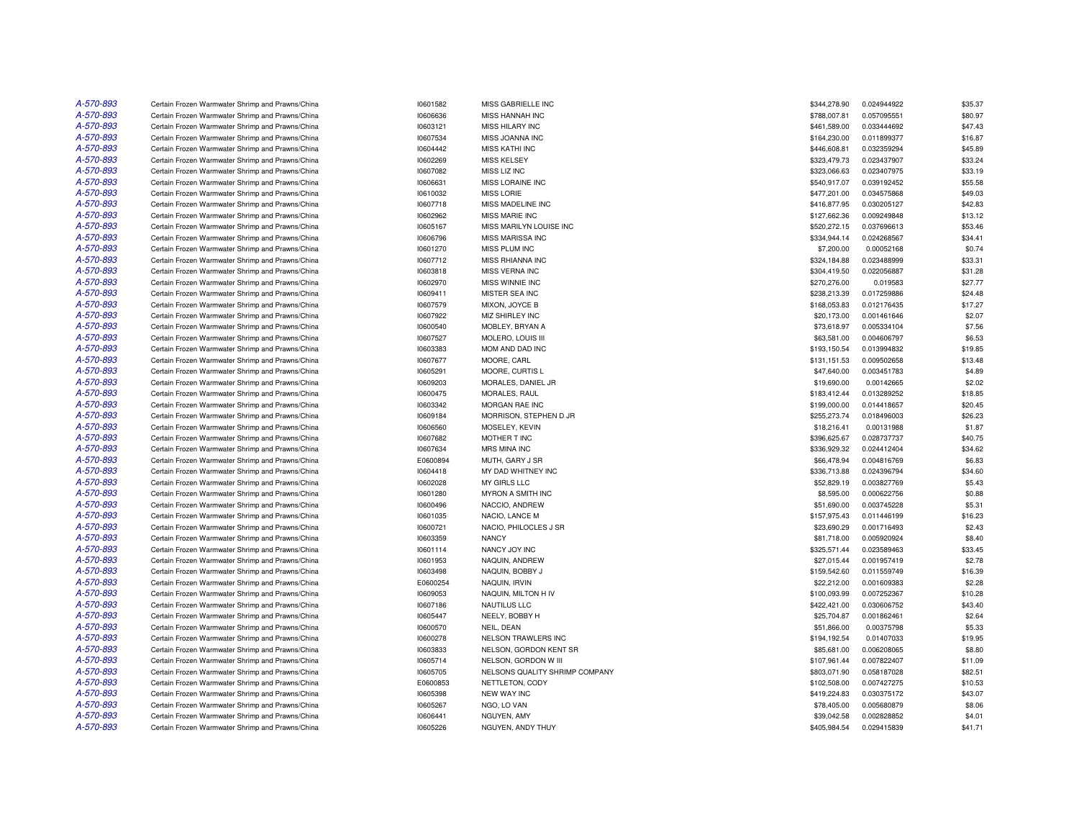| A-570-893 | Certain Frozen Warmwater Shrimp and Prawns/China | 10601582 | MISS GABRIELLE INC             | \$344,278.90 | 0.024944922 | \$35.37          |
|-----------|--------------------------------------------------|----------|--------------------------------|--------------|-------------|------------------|
| A-570-893 | Certain Frozen Warmwater Shrimp and Prawns/China | 10606636 | MISS HANNAH INC                | \$788,007.81 | 0.057095551 | \$80.97          |
| A-570-893 | Certain Frozen Warmwater Shrimp and Prawns/China | 10603121 | <b>MISS HILARY INC</b>         | \$461,589.00 | 0.033444692 | \$47.43          |
| A-570-893 | Certain Frozen Warmwater Shrimp and Prawns/China | 10607534 | MISS JOANNA INC                | \$164,230.00 | 0.011899377 | \$16.87          |
| A-570-893 | Certain Frozen Warmwater Shrimp and Prawns/China | 10604442 | <b>MISS KATHI INC</b>          | \$446,608.81 | 0.032359294 | \$45.89          |
| A-570-893 | Certain Frozen Warmwater Shrimp and Prawns/China | 10602269 | <b>MISS KELSEY</b>             | \$323,479.73 | 0.023437907 | \$33.24          |
| A-570-893 | Certain Frozen Warmwater Shrimp and Prawns/China | 10607082 | MISS LIZ INC                   | \$323,066.63 | 0.023407975 | \$33.19          |
| A-570-893 | Certain Frozen Warmwater Shrimp and Prawns/China | 10606631 | MISS LORAINE INC               | \$540,917.07 | 0.039192452 | \$55.58          |
| A-570-893 | Certain Frozen Warmwater Shrimp and Prawns/China | 10610032 | <b>MISS LORIE</b>              | \$477,201.00 | 0.034575868 | \$49.03          |
| A-570-893 | Certain Frozen Warmwater Shrimp and Prawns/China | 10607718 | MISS MADELINE INC              | \$416,877.95 | 0.030205127 | \$42.83          |
| A-570-893 | Certain Frozen Warmwater Shrimp and Prawns/China | 10602962 | <b>MISS MARIE INC</b>          | \$127,662.36 | 0.009249848 | \$13.12          |
| A-570-893 | Certain Frozen Warmwater Shrimp and Prawns/China | 10605167 | MISS MARILYN LOUISE INC        | \$520,272.15 | 0.037696613 | \$53.46          |
| A-570-893 | Certain Frozen Warmwater Shrimp and Prawns/China | 10606796 | MISS MARISSA INC               | \$334,944.14 | 0.024268567 | \$34.41          |
| A-570-893 | Certain Frozen Warmwater Shrimp and Prawns/China | 10601270 | MISS PLUM INC                  | \$7,200.00   | 0.00052168  | \$0.74           |
| A-570-893 | Certain Frozen Warmwater Shrimp and Prawns/China | 10607712 | <b>MISS RHIANNA INC</b>        | \$324,184.88 | 0.023488999 | \$33.31          |
| A-570-893 | Certain Frozen Warmwater Shrimp and Prawns/China | 10603818 | MISS VERNA INC                 | \$304,419.50 | 0.022056887 | \$31.28          |
| A-570-893 | Certain Frozen Warmwater Shrimp and Prawns/China | 10602970 | <b>MISS WINNIE INC</b>         | \$270,276.00 | 0.019583    | \$27.77          |
| A-570-893 | Certain Frozen Warmwater Shrimp and Prawns/China | 10609411 | MISTER SEA INC                 | \$238,213.39 | 0.017259886 | \$24.48          |
| A-570-893 | Certain Frozen Warmwater Shrimp and Prawns/China | 10607579 | MIXON, JOYCE B                 | \$168,053.83 | 0.012176435 | \$17.27          |
| A-570-893 |                                                  |          |                                |              |             |                  |
| A-570-893 | Certain Frozen Warmwater Shrimp and Prawns/China | 10607922 | MIZ SHIRLEY INC                | \$20,173.00  | 0.001461646 | \$2.07<br>\$7.56 |
|           | Certain Frozen Warmwater Shrimp and Prawns/China | 10600540 | MOBLEY, BRYAN A                | \$73,618.97  | 0.005334104 |                  |
| A-570-893 | Certain Frozen Warmwater Shrimp and Prawns/China | 10607527 | MOLERO, LOUIS III              | \$63,581.00  | 0.004606797 | \$6.53           |
| A-570-893 | Certain Frozen Warmwater Shrimp and Prawns/China | 10603383 | MOM AND DAD INC                | \$193,150.54 | 0.013994832 | \$19.85          |
| A-570-893 | Certain Frozen Warmwater Shrimp and Prawns/China | 10607677 | MOORE, CARL                    | \$131,151.53 | 0.009502658 | \$13.48          |
| A-570-893 | Certain Frozen Warmwater Shrimp and Prawns/China | 10605291 | MOORE, CURTIS L                | \$47,640.00  | 0.003451783 | \$4.89           |
| A-570-893 | Certain Frozen Warmwater Shrimp and Prawns/China | 10609203 | MORALES, DANIEL JR             | \$19,690.00  | 0.00142665  | \$2.02           |
| A-570-893 | Certain Frozen Warmwater Shrimp and Prawns/China | 10600475 | MORALES, RAUL                  | \$183,412.44 | 0.013289252 | \$18.85          |
| A-570-893 | Certain Frozen Warmwater Shrimp and Prawns/China | 10603342 | MORGAN RAE INC                 | \$199,000.00 | 0.014418657 | \$20.45          |
| A-570-893 | Certain Frozen Warmwater Shrimp and Prawns/China | 10609184 | MORRISON, STEPHEN D JR         | \$255,273.74 | 0.018496003 | \$26.23          |
| A-570-893 | Certain Frozen Warmwater Shrimp and Prawns/China | 10606560 | MOSELEY, KEVIN                 | \$18,216.41  | 0.00131988  | \$1.87           |
| A-570-893 | Certain Frozen Warmwater Shrimp and Prawns/China | 10607682 | MOTHER T INC                   | \$396,625.67 | 0.028737737 | \$40.75          |
| A-570-893 | Certain Frozen Warmwater Shrimp and Prawns/China | 10607634 | MRS MINA INC                   | \$336,929.32 | 0.024412404 | \$34.62          |
| A-570-893 | Certain Frozen Warmwater Shrimp and Prawns/China | E0600894 | MUTH, GARY J SR                | \$66,478.94  | 0.004816769 | \$6.83           |
| A-570-893 | Certain Frozen Warmwater Shrimp and Prawns/China | 10604418 | MY DAD WHITNEY INC             | \$336,713.88 | 0.024396794 | \$34.60          |
| A-570-893 | Certain Frozen Warmwater Shrimp and Prawns/China | 10602028 | MY GIRLS LLC                   | \$52,829.19  | 0.003827769 | \$5.43           |
| A-570-893 | Certain Frozen Warmwater Shrimp and Prawns/China | 10601280 | MYRON A SMITH INC              | \$8,595.00   | 0.000622756 | \$0.88           |
| A-570-893 | Certain Frozen Warmwater Shrimp and Prawns/China | 10600496 | NACCIO, ANDREW                 | \$51,690.00  | 0.003745228 | \$5.31           |
| A-570-893 | Certain Frozen Warmwater Shrimp and Prawns/China | 10601035 | NACIO, LANCE M                 | \$157,975.43 | 0.011446199 | \$16.23          |
| A-570-893 | Certain Frozen Warmwater Shrimp and Prawns/China | 10600721 | NACIO, PHILOCLES J SR          | \$23,690.29  | 0.001716493 | \$2.43           |
| A-570-893 | Certain Frozen Warmwater Shrimp and Prawns/China | 10603359 | <b>NANCY</b>                   | \$81,718.00  | 0.005920924 | \$8.40           |
| A-570-893 | Certain Frozen Warmwater Shrimp and Prawns/China | 10601114 | NANCY JOY INC                  | \$325,571.44 | 0.023589463 | \$33.45          |
| A-570-893 | Certain Frozen Warmwater Shrimp and Prawns/China | 10601953 | NAQUIN, ANDREW                 | \$27,015.44  | 0.001957419 | \$2.78           |
| A-570-893 | Certain Frozen Warmwater Shrimp and Prawns/China | 10603498 | NAQUIN, BOBBY J                | \$159,542.60 | 0.011559749 | \$16.39          |
| A-570-893 | Certain Frozen Warmwater Shrimp and Prawns/China | E0600254 | NAQUIN, IRVIN                  | \$22,212.00  | 0.001609383 | \$2.28           |
| A-570-893 | Certain Frozen Warmwater Shrimp and Prawns/China | 10609053 | NAQUIN, MILTON H IV            | \$100,093.99 | 0.007252367 | \$10.28          |
| A-570-893 | Certain Frozen Warmwater Shrimp and Prawns/China | 10607186 | NAUTILUS LLC                   | \$422,421.00 | 0.030606752 | \$43.40          |
| A-570-893 | Certain Frozen Warmwater Shrimp and Prawns/China | 10605447 | NEELY, BOBBY H                 | \$25,704.87  | 0.001862461 | \$2.64           |
| A-570-893 | Certain Frozen Warmwater Shrimp and Prawns/China | 10600570 | NEIL, DEAN                     | \$51,866.00  | 0.00375798  | \$5.33           |
| A-570-893 | Certain Frozen Warmwater Shrimp and Prawns/China | 10600278 | NELSON TRAWLERS INC            | \$194,192.54 | 0.01407033  | \$19.95          |
| A-570-893 | Certain Frozen Warmwater Shrimp and Prawns/China | 10603833 | NELSON, GORDON KENT SR         | \$85,681.00  | 0.006208065 | \$8.80           |
| A-570-893 | Certain Frozen Warmwater Shrimp and Prawns/China | 10605714 | NELSON, GORDON W III           | \$107,961.44 | 0.007822407 | \$11.09          |
| A-570-893 | Certain Frozen Warmwater Shrimp and Prawns/China | 10605705 | NELSONS QUALITY SHRIMP COMPANY | \$803,071.90 | 0.058187028 | \$82.51          |
| A-570-893 | Certain Frozen Warmwater Shrimp and Prawns/China | E0600853 | NETTLETON, CODY                | \$102,508.00 | 0.007427275 | \$10.53          |
| A-570-893 | Certain Frozen Warmwater Shrimp and Prawns/China | 10605398 | <b>NEW WAY INC</b>             | \$419,224.83 | 0.030375172 | \$43.07          |
| A-570-893 | Certain Frozen Warmwater Shrimp and Prawns/China | 10605267 | NGO, LO VAN                    | \$78,405.00  | 0.005680879 | \$8.06           |
| A-570-893 | Certain Frozen Warmwater Shrimp and Prawns/China | 10606441 | NGUYEN, AMY                    | \$39,042.58  | 0.002828852 | \$4.01           |
| A-570-893 | Certain Frozen Warmwater Shrimp and Prawns/China | 10605226 | NGUYEN, ANDY THUY              | \$405,984.54 | 0.029415839 | \$41.71          |
|           |                                                  |          |                                |              |             |                  |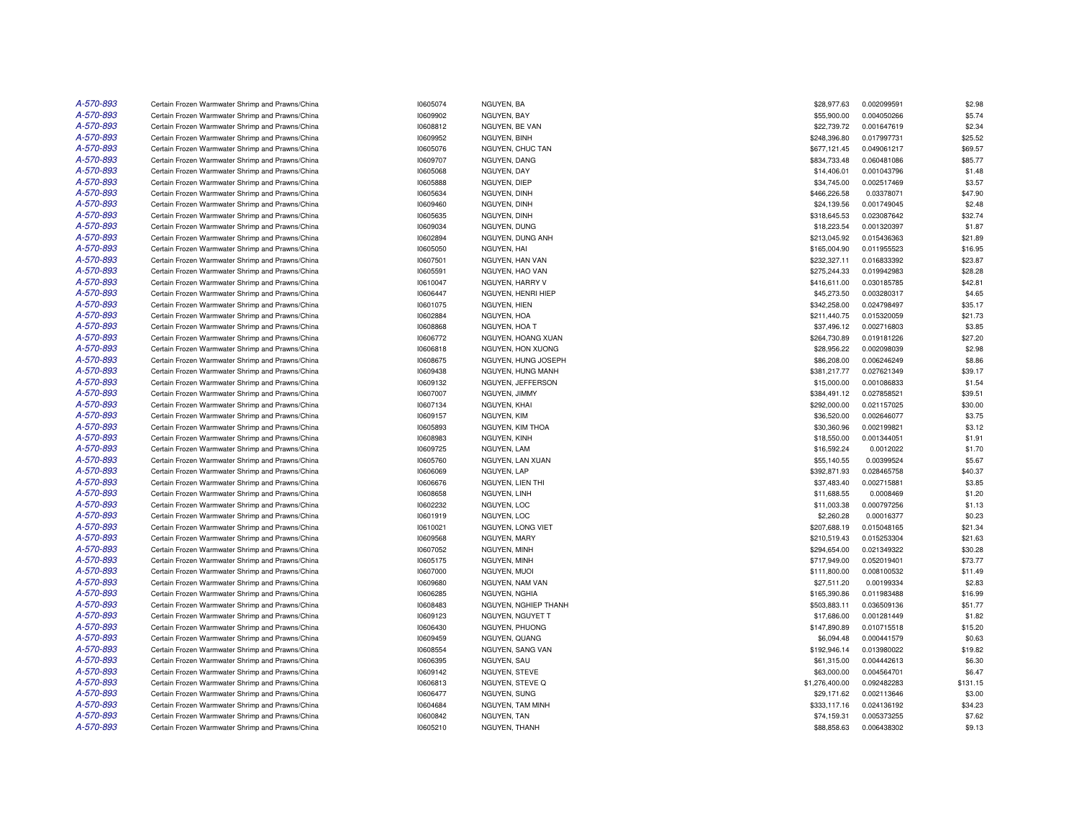| A-570-893 | Certain Frozen Warmwater Shrimp and Prawns/China | 10605074 | NGUYEN, BA           | \$28,977.63    | 0.002099591 | \$2.98   |
|-----------|--------------------------------------------------|----------|----------------------|----------------|-------------|----------|
| A-570-893 | Certain Frozen Warmwater Shrimp and Prawns/China | 10609902 | NGUYEN, BAY          | \$55,900.00    | 0.004050266 | \$5.74   |
| A-570-893 | Certain Frozen Warmwater Shrimp and Prawns/China | 10608812 | NGUYEN, BE VAN       | \$22,739.72    | 0.001647619 | \$2.34   |
| A-570-893 | Certain Frozen Warmwater Shrimp and Prawns/China | 10609952 | NGUYEN, BINH         | \$248,396.80   | 0.017997731 | \$25.52  |
| A-570-893 | Certain Frozen Warmwater Shrimp and Prawns/China | 10605076 | NGUYEN, CHUC TAN     | \$677,121.45   | 0.049061217 | \$69.57  |
| A-570-893 | Certain Frozen Warmwater Shrimp and Prawns/China | 10609707 | NGUYEN, DANG         | \$834,733.48   | 0.060481086 | \$85.77  |
| A-570-893 | Certain Frozen Warmwater Shrimp and Prawns/China | 10605068 | NGUYEN, DAY          | \$14,406.01    | 0.001043796 | \$1.48   |
| A-570-893 | Certain Frozen Warmwater Shrimp and Prawns/China | 10605888 | NGUYEN, DIEP         | \$34,745.00    | 0.002517469 | \$3.57   |
| A-570-893 | Certain Frozen Warmwater Shrimp and Prawns/China | 10605634 | NGUYEN, DINH         | \$466,226.58   | 0.03378071  | \$47.90  |
| A-570-893 | Certain Frozen Warmwater Shrimp and Prawns/China | 10609460 | NGUYEN, DINH         | \$24,139.56    | 0.001749045 | \$2.48   |
| A-570-893 | Certain Frozen Warmwater Shrimp and Prawns/China | 10605635 | NGUYEN, DINH         | \$318,645.53   | 0.023087642 | \$32.74  |
|           |                                                  |          |                      |                |             |          |
| A-570-893 | Certain Frozen Warmwater Shrimp and Prawns/China | 10609034 | NGUYEN, DUNG         | \$18,223.54    | 0.001320397 | \$1.87   |
| A-570-893 | Certain Frozen Warmwater Shrimp and Prawns/China | 10602894 | NGUYEN, DUNG ANH     | \$213,045.92   | 0.015436363 | \$21.89  |
| A-570-893 | Certain Frozen Warmwater Shrimp and Prawns/China | 10605050 | NGUYEN, HAI          | \$165,004.90   | 0.011955523 | \$16.95  |
| A-570-893 | Certain Frozen Warmwater Shrimp and Prawns/China | 10607501 | NGUYEN, HAN VAN      | \$232,327.11   | 0.016833392 | \$23.87  |
| A-570-893 | Certain Frozen Warmwater Shrimp and Prawns/China | 10605591 | NGUYEN, HAO VAN      | \$275,244.33   | 0.019942983 | \$28.28  |
| A-570-893 | Certain Frozen Warmwater Shrimp and Prawns/China | 10610047 | NGUYEN, HARRY V      | \$416,611.00   | 0.030185785 | \$42.81  |
| A-570-893 | Certain Frozen Warmwater Shrimp and Prawns/China | 10606447 | NGUYEN, HENRI HIEP   | \$45,273.50    | 0.003280317 | \$4.65   |
| A-570-893 | Certain Frozen Warmwater Shrimp and Prawns/China | 10601075 | NGUYEN, HIEN         | \$342,258.00   | 0.024798497 | \$35.17  |
| A-570-893 | Certain Frozen Warmwater Shrimp and Prawns/China | 10602884 | NGUYEN, HOA          | \$211,440.75   | 0.015320059 | \$21.73  |
| A-570-893 | Certain Frozen Warmwater Shrimp and Prawns/China | 10608868 | NGUYEN, HOA T        | \$37,496.12    | 0.002716803 | \$3.85   |
| A-570-893 | Certain Frozen Warmwater Shrimp and Prawns/China | 10606772 | NGUYEN, HOANG XUAN   | \$264,730.89   | 0.019181226 | \$27.20  |
| A-570-893 | Certain Frozen Warmwater Shrimp and Prawns/China | 10606818 | NGUYEN, HON XUONG    | \$28,956.22    | 0.002098039 | \$2.98   |
| A-570-893 | Certain Frozen Warmwater Shrimp and Prawns/China | 10608675 | NGUYEN, HUNG JOSEPH  | \$86,208.00    | 0.006246249 | \$8.86   |
| A-570-893 | Certain Frozen Warmwater Shrimp and Prawns/China | 10609438 | NGUYEN, HUNG MANH    | \$381,217.77   | 0.027621349 | \$39.17  |
| A-570-893 | Certain Frozen Warmwater Shrimp and Prawns/China | 10609132 | NGUYEN, JEFFERSON    | \$15,000.00    | 0.001086833 | \$1.54   |
| A-570-893 | Certain Frozen Warmwater Shrimp and Prawns/China | 10607007 | NGUYEN, JIMMY        | \$384,491.12   | 0.027858521 | \$39.51  |
| A-570-893 | Certain Frozen Warmwater Shrimp and Prawns/China | 10607134 | NGUYEN, KHAI         | \$292,000.00   | 0.021157025 | \$30.00  |
| A-570-893 | Certain Frozen Warmwater Shrimp and Prawns/China | 10609157 | NGUYEN, KIM          | \$36,520.00    | 0.002646077 | \$3.75   |
| A-570-893 | Certain Frozen Warmwater Shrimp and Prawns/China | 10605893 | NGUYEN, KIM THOA     | \$30,360.96    | 0.002199821 | \$3.12   |
| A-570-893 | Certain Frozen Warmwater Shrimp and Prawns/China | 10608983 | NGUYEN, KINH         | \$18,550.00    | 0.001344051 | \$1.91   |
| A-570-893 |                                                  |          |                      | \$16,592.24    |             | \$1.70   |
|           | Certain Frozen Warmwater Shrimp and Prawns/China | 10609725 | NGUYEN, LAM          |                | 0.0012022   |          |
| A-570-893 | Certain Frozen Warmwater Shrimp and Prawns/China | 10605760 | NGUYEN, LAN XUAN     | \$55,140.55    | 0.00399524  | \$5.67   |
| A-570-893 | Certain Frozen Warmwater Shrimp and Prawns/China | 10606069 | NGUYEN, LAP          | \$392,871.93   | 0.028465758 | \$40.37  |
| A-570-893 | Certain Frozen Warmwater Shrimp and Prawns/China | 10606676 | NGUYEN, LIEN THI     | \$37,483.40    | 0.002715881 | \$3.85   |
| A-570-893 | Certain Frozen Warmwater Shrimp and Prawns/China | 10608658 | NGUYEN, LINH         | \$11,688.55    | 0.0008469   | \$1.20   |
| A-570-893 | Certain Frozen Warmwater Shrimp and Prawns/China | 10602232 | NGUYEN, LOC          | \$11,003.38    | 0.000797256 | \$1.13   |
| A-570-893 | Certain Frozen Warmwater Shrimp and Prawns/China | 10601919 | NGUYEN, LOC          | \$2,260.28     | 0.00016377  | \$0.23   |
| A-570-893 | Certain Frozen Warmwater Shrimp and Prawns/China | 10610021 | NGUYEN, LONG VIET    | \$207,688.19   | 0.015048165 | \$21.34  |
| A-570-893 | Certain Frozen Warmwater Shrimp and Prawns/China | 10609568 | NGUYEN, MARY         | \$210,519.43   | 0.015253304 | \$21.63  |
| A-570-893 | Certain Frozen Warmwater Shrimp and Prawns/China | 10607052 | NGUYEN, MINH         | \$294,654.00   | 0.021349322 | \$30.28  |
| A-570-893 | Certain Frozen Warmwater Shrimp and Prawns/China | 10605175 | NGUYEN, MINH         | \$717,949.00   | 0.052019401 | \$73.77  |
| A-570-893 | Certain Frozen Warmwater Shrimp and Prawns/China | 10607000 | NGUYEN, MUOI         | \$111,800.00   | 0.008100532 | \$11.49  |
| A-570-893 | Certain Frozen Warmwater Shrimp and Prawns/China | 10609680 | NGUYEN, NAM VAN      | \$27,511.20    | 0.00199334  | \$2.83   |
| A-570-893 | Certain Frozen Warmwater Shrimp and Prawns/China | 10606285 | NGUYEN, NGHIA        | \$165,390.86   | 0.011983488 | \$16.99  |
| A-570-893 | Certain Frozen Warmwater Shrimp and Prawns/China | 10608483 | NGUYEN, NGHIEP THANH | \$503,883.11   | 0.036509136 | \$51.77  |
| A-570-893 | Certain Frozen Warmwater Shrimp and Prawns/China | 10609123 | NGUYEN, NGUYET T     | \$17,686.00    | 0.001281449 | \$1.82   |
| A-570-893 | Certain Frozen Warmwater Shrimp and Prawns/China | 10606430 | NGUYEN, PHUONG       | \$147,890.89   | 0.010715518 | \$15.20  |
| A-570-893 | Certain Frozen Warmwater Shrimp and Prawns/China | 10609459 | NGUYEN, QUANG        | \$6,094.48     | 0.000441579 | \$0.63   |
| A-570-893 | Certain Frozen Warmwater Shrimp and Prawns/China | 10608554 | NGUYEN, SANG VAN     | \$192,946.14   | 0.013980022 | \$19.82  |
| A-570-893 | Certain Frozen Warmwater Shrimp and Prawns/China | 10606395 | NGUYEN, SAU          | \$61,315.00    | 0.004442613 | \$6.30   |
| A-570-893 | Certain Frozen Warmwater Shrimp and Prawns/China |          |                      | \$63,000.00    |             | \$6.47   |
| A-570-893 |                                                  | 10609142 | NGUYEN, STEVE        |                | 0.004564701 |          |
|           | Certain Frozen Warmwater Shrimp and Prawns/China | 10606813 | NGUYEN, STEVE Q      | \$1,276,400.00 | 0.092482283 | \$131.15 |
| A-570-893 | Certain Frozen Warmwater Shrimp and Prawns/China | 10606477 | NGUYEN, SUNG         | \$29,171.62    | 0.002113646 | \$3.00   |
| A-570-893 | Certain Frozen Warmwater Shrimp and Prawns/China | 10604684 | NGUYEN, TAM MINH     | \$333,117.16   | 0.024136192 | \$34.23  |
| A-570-893 | Certain Frozen Warmwater Shrimp and Prawns/China | 10600842 | NGUYEN, TAN          | \$74.159.31    | 0.005373255 | \$7.62   |
| A-570-893 | Certain Frozen Warmwater Shrimp and Prawns/China | 10605210 | NGUYEN, THANH        | \$88,858.63    | 0.006438302 | \$9.13   |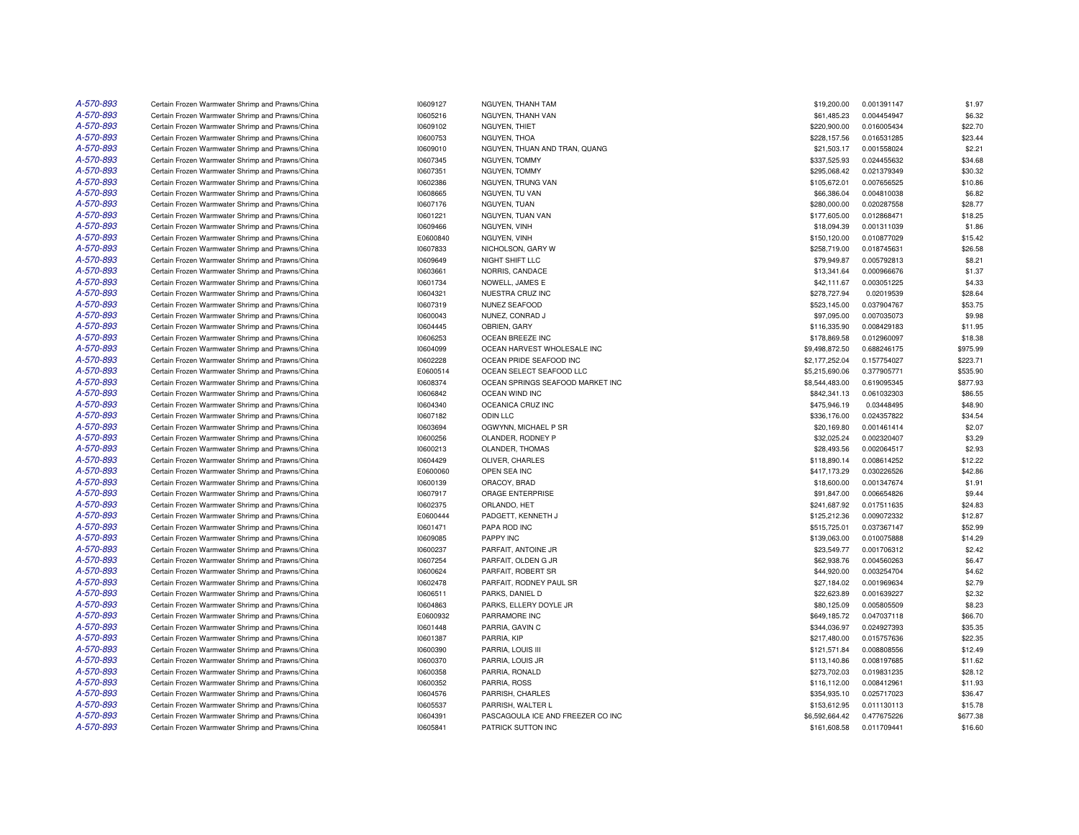| A-570-893 | Certain Frozen Warmwater Shrimp and Prawns/China | 10609127 | NGUYEN, THANH TAM                 | \$19,200.00    | 0.001391147 | \$1.97   |
|-----------|--------------------------------------------------|----------|-----------------------------------|----------------|-------------|----------|
| A-570-893 | Certain Frozen Warmwater Shrimp and Prawns/China | 10605216 | NGUYEN, THANH VAN                 | \$61,485.23    | 0.004454947 | \$6.32   |
| A-570-893 | Certain Frozen Warmwater Shrimp and Prawns/China | 10609102 | NGUYEN, THIET                     | \$220,900.00   | 0.016005434 | \$22.70  |
| A-570-893 | Certain Frozen Warmwater Shrimp and Prawns/China | 10600753 | NGUYEN, THOA                      | \$228,157.56   | 0.016531285 | \$23.44  |
| A-570-893 | Certain Frozen Warmwater Shrimp and Prawns/China | 10609010 | NGUYEN. THUAN AND TRAN. QUANG     | \$21.503.17    | 0.001558024 | \$2.21   |
| A-570-893 | Certain Frozen Warmwater Shrimp and Prawns/China | 10607345 | NGUYEN, TOMMY                     | \$337,525.93   | 0.024455632 | \$34.68  |
| A-570-893 | Certain Frozen Warmwater Shrimp and Prawns/China | 10607351 | NGUYEN, TOMMY                     | \$295,068.42   | 0.021379349 | \$30.32  |
| A-570-893 | Certain Frozen Warmwater Shrimp and Prawns/China | 10602386 | NGUYEN, TRUNG VAN                 | \$105,672.01   | 0.007656525 | \$10.86  |
| A-570-893 | Certain Frozen Warmwater Shrimp and Prawns/China | 10608665 | NGUYEN, TU VAN                    | \$66,386.04    | 0.004810038 | \$6.82   |
| A-570-893 | Certain Frozen Warmwater Shrimp and Prawns/China | 10607176 | NGUYEN, TUAN                      | \$280,000.00   | 0.020287558 | \$28.77  |
| A-570-893 | Certain Frozen Warmwater Shrimp and Prawns/China | 10601221 | NGUYEN, TUAN VAN                  | \$177,605.00   | 0.012868471 | \$18.25  |
| A-570-893 | Certain Frozen Warmwater Shrimp and Prawns/China | 10609466 | NGUYEN, VINH                      | \$18,094.39    | 0.001311039 | \$1.86   |
| A-570-893 | Certain Frozen Warmwater Shrimp and Prawns/China | E0600840 | NGUYEN, VINH                      | \$150,120.00   | 0.010877029 | \$15.42  |
| A-570-893 | Certain Frozen Warmwater Shrimp and Prawns/China | 10607833 | NICHOLSON, GARY W                 | \$258,719.00   | 0.018745631 | \$26.58  |
| A-570-893 | Certain Frozen Warmwater Shrimp and Prawns/China | 10609649 | NIGHT SHIFT LLC                   | \$79,949.87    | 0.005792813 | \$8.21   |
| A-570-893 | Certain Frozen Warmwater Shrimp and Prawns/China | 10603661 | NORRIS, CANDACE                   | \$13,341.64    | 0.000966676 | \$1.37   |
| A-570-893 | Certain Frozen Warmwater Shrimp and Prawns/China | 10601734 | NOWELL, JAMES E                   | \$42,111.67    | 0.003051225 | \$4.33   |
| A-570-893 | Certain Frozen Warmwater Shrimp and Prawns/China | 10604321 | NUESTRA CRUZ INC                  | \$278,727.94   | 0.02019539  | \$28.64  |
| A-570-893 | Certain Frozen Warmwater Shrimp and Prawns/China | 10607319 | NUNEZ SEAFOOD                     | \$523,145.00   | 0.037904767 | \$53.75  |
| A-570-893 | Certain Frozen Warmwater Shrimp and Prawns/China | 10600043 | NUNEZ, CONRAD J                   | \$97,095.00    | 0.007035073 | \$9.98   |
| A-570-893 | Certain Frozen Warmwater Shrimp and Prawns/China | 10604445 | OBRIEN, GARY                      | \$116,335.90   | 0.008429183 | \$11.95  |
| A-570-893 | Certain Frozen Warmwater Shrimp and Prawns/China | 10606253 | OCEAN BREEZE INC                  | \$178,869.58   | 0.012960097 | \$18.38  |
| A-570-893 | Certain Frozen Warmwater Shrimp and Prawns/China | 10604099 | OCEAN HARVEST WHOLESALE INC       | \$9,498,872.50 | 0.688246175 | \$975.99 |
| A-570-893 | Certain Frozen Warmwater Shrimp and Prawns/China | 10602228 | OCEAN PRIDE SEAFOOD INC           | \$2,177,252.04 | 0.157754027 | \$223.71 |
| A-570-893 | Certain Frozen Warmwater Shrimp and Prawns/China | E0600514 | OCEAN SELECT SEAFOOD LLC          | \$5,215,690.06 | 0.377905771 | \$535.90 |
| A-570-893 | Certain Frozen Warmwater Shrimp and Prawns/China | 10608374 | OCEAN SPRINGS SEAFOOD MARKET INC  | \$8,544,483.00 | 0.619095345 | \$877.93 |
| A-570-893 | Certain Frozen Warmwater Shrimp and Prawns/China | 10606842 | OCEAN WIND INC                    | \$842,341.13   | 0.061032303 | \$86.55  |
| A-570-893 | Certain Frozen Warmwater Shrimp and Prawns/China | 10604340 | OCEANICA CRUZ INC                 | \$475,946.19   | 0.03448495  | \$48.90  |
| A-570-893 | Certain Frozen Warmwater Shrimp and Prawns/China | 10607182 | <b>ODIN LLC</b>                   | \$336,176.00   | 0.024357822 | \$34.54  |
| A-570-893 | Certain Frozen Warmwater Shrimp and Prawns/China | 10603694 | OGWYNN, MICHAEL P SR              | \$20,169.80    | 0.001461414 | \$2.07   |
| A-570-893 | Certain Frozen Warmwater Shrimp and Prawns/China | 10600256 | OLANDER, RODNEY P                 | \$32,025.24    | 0.002320407 | \$3.29   |
| A-570-893 | Certain Frozen Warmwater Shrimp and Prawns/China | 10600213 | OLANDER, THOMAS                   | \$28,493.56    | 0.002064517 | \$2.93   |
| A-570-893 | Certain Frozen Warmwater Shrimp and Prawns/China | 10604429 | OLIVER, CHARLES                   | \$118,890.14   | 0.008614252 | \$12.22  |
| A-570-893 | Certain Frozen Warmwater Shrimp and Prawns/China | E0600060 | OPEN SEA INC                      | \$417,173.29   | 0.030226526 | \$42.86  |
| A-570-893 | Certain Frozen Warmwater Shrimp and Prawns/China | 10600139 | ORACOY, BRAD                      | \$18,600.00    | 0.001347674 | \$1.91   |
| A-570-893 | Certain Frozen Warmwater Shrimp and Prawns/China | 10607917 | ORAGE ENTERPRISE                  | \$91,847.00    | 0.006654826 | \$9.44   |
| A-570-893 | Certain Frozen Warmwater Shrimp and Prawns/China | 10602375 | ORLANDO, HET                      | \$241,687.92   | 0.017511635 | \$24.83  |
| A-570-893 | Certain Frozen Warmwater Shrimp and Prawns/China | E0600444 | PADGETT, KENNETH J                | \$125,212.36   | 0.009072332 | \$12.87  |
| A-570-893 | Certain Frozen Warmwater Shrimp and Prawns/China | 10601471 | PAPA ROD INC                      | \$515,725.01   | 0.037367147 | \$52.99  |
| A-570-893 | Certain Frozen Warmwater Shrimp and Prawns/China | 10609085 | PAPPY INC                         | \$139,063.00   | 0.010075888 | \$14.29  |
| A-570-893 | Certain Frozen Warmwater Shrimp and Prawns/China | 10600237 | PARFAIT, ANTOINE JR               | \$23,549.77    | 0.001706312 | \$2.42   |
| A-570-893 | Certain Frozen Warmwater Shrimp and Prawns/China | 10607254 | PARFAIT, OLDEN G JR               | \$62,938.76    | 0.004560263 | \$6.47   |
| A-570-893 | Certain Frozen Warmwater Shrimp and Prawns/China | 10600624 | PARFAIT, ROBERT SR                | \$44,920.00    | 0.003254704 | \$4.62   |
| A-570-893 | Certain Frozen Warmwater Shrimp and Prawns/China | 10602478 | PARFAIT, RODNEY PAUL SR           | \$27,184.02    | 0.001969634 | \$2.79   |
| A-570-893 | Certain Frozen Warmwater Shrimp and Prawns/China | 10606511 | PARKS, DANIEL D                   | \$22,623.89    | 0.001639227 | \$2.32   |
| A-570-893 | Certain Frozen Warmwater Shrimp and Prawns/China | 10604863 | PARKS, ELLERY DOYLE JR            | \$80,125.09    | 0.005805509 | \$8.23   |
| A-570-893 | Certain Frozen Warmwater Shrimp and Prawns/China | E0600932 | PARRAMORE INC                     | \$649,185.72   | 0.047037118 | \$66.70  |
| A-570-893 | Certain Frozen Warmwater Shrimp and Prawns/China | 10601448 | PARRIA, GAVIN C                   | \$344,036.97   | 0.024927393 | \$35.35  |
| A-570-893 | Certain Frozen Warmwater Shrimp and Prawns/China | 10601387 | PARRIA, KIP                       | \$217,480.00   | 0.015757636 | \$22.35  |
| A-570-893 | Certain Frozen Warmwater Shrimp and Prawns/China | 10600390 | PARRIA, LOUIS III                 | \$121,571.84   | 0.008808556 | \$12.49  |
| A-570-893 | Certain Frozen Warmwater Shrimp and Prawns/China | 10600370 | PARRIA, LOUIS JR                  | \$113,140.86   | 0.008197685 | \$11.62  |
| A-570-893 | Certain Frozen Warmwater Shrimp and Prawns/China | 10600358 | PARRIA, RONALD                    | \$273,702.03   | 0.019831235 | \$28.12  |
| A-570-893 | Certain Frozen Warmwater Shrimp and Prawns/China | 10600352 | PARRIA, ROSS                      | \$116,112.00   | 0.008412961 | \$11.93  |
| A-570-893 | Certain Frozen Warmwater Shrimp and Prawns/China | 10604576 | PARRISH, CHARLES                  | \$354,935.10   | 0.025717023 | \$36.47  |
| A-570-893 | Certain Frozen Warmwater Shrimp and Prawns/China | 10605537 | PARRISH, WALTER L                 | \$153,612.95   | 0.011130113 | \$15.78  |
| A-570-893 | Certain Frozen Warmwater Shrimp and Prawns/China | 10604391 | PASCAGOULA ICE AND FREEZER CO INC | \$6,592,664.42 | 0.477675226 | \$677.38 |
| A-570-893 | Certain Frozen Warmwater Shrimp and Prawns/China | 10605841 | PATRICK SUTTON INC                | \$161,608.58   | 0.011709441 | \$16.60  |
|           |                                                  |          |                                   |                |             |          |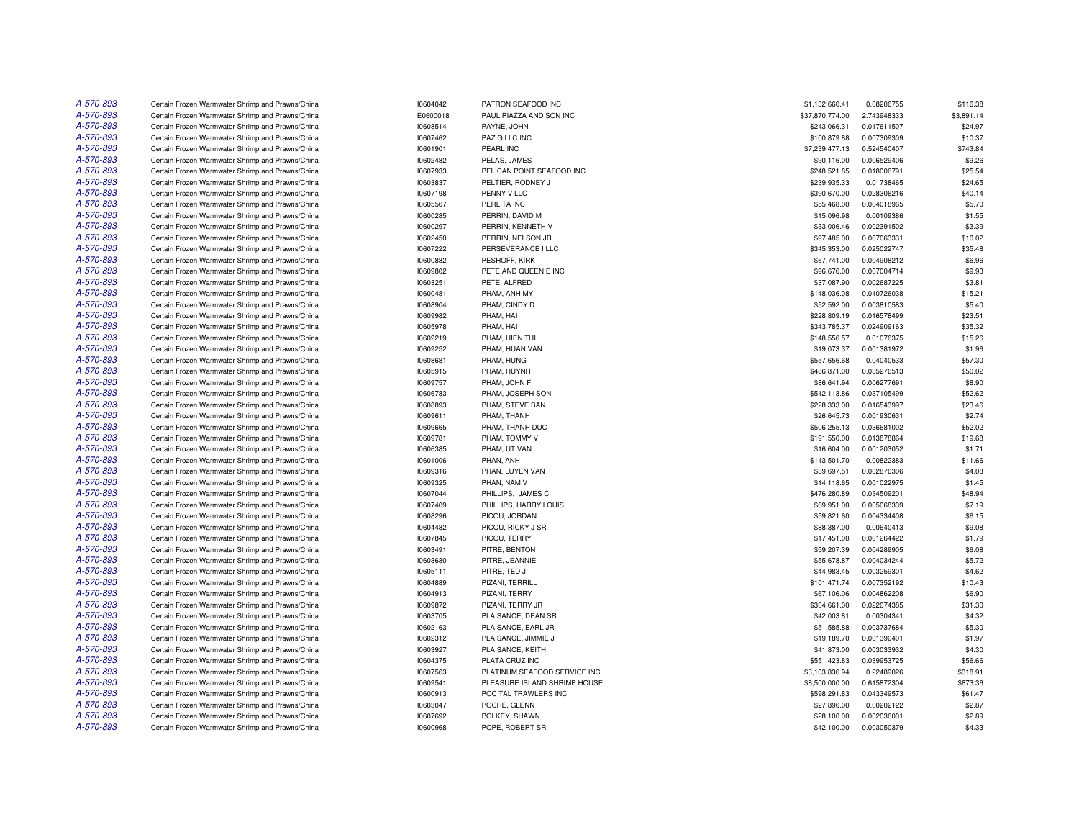| A-570-893 | Certain Frozen Warmwater Shrimp and Prawns/China | 10604042 | PATRON SEAFOOD INC           | \$1,132,660.41  | 0.08206755  | \$116.38   |
|-----------|--------------------------------------------------|----------|------------------------------|-----------------|-------------|------------|
| A-570-893 | Certain Frozen Warmwater Shrimp and Prawns/China | E0600018 | PAUL PIAZZA AND SON INC      | \$37,870,774.00 | 2.743948333 | \$3,891.14 |
| A-570-893 | Certain Frozen Warmwater Shrimp and Prawns/China | 10608514 | PAYNE, JOHN                  | \$243,066.31    | 0.017611507 | \$24.97    |
| A-570-893 | Certain Frozen Warmwater Shrimp and Prawns/China | 10607462 | PAZ G LLC INC                | \$100,879.88    | 0.007309309 | \$10.37    |
| A-570-893 | Certain Frozen Warmwater Shrimp and Prawns/China | 10601901 | PEARL INC                    | \$7,239,477.13  | 0.524540407 | \$743.84   |
| A-570-893 | Certain Frozen Warmwater Shrimp and Prawns/China | 10602482 | PELAS, JAMES                 | \$90,116.00     | 0.006529406 | \$9.26     |
| A-570-893 | Certain Frozen Warmwater Shrimp and Prawns/China | 10607933 | PELICAN POINT SEAFOOD INC    | \$248,521.85    | 0.018006791 | \$25.54    |
| A-570-893 | Certain Frozen Warmwater Shrimp and Prawns/China | 10603837 | PELTIER, RODNEY J            | \$239,935.33    | 0.01738465  | \$24.65    |
| A-570-893 | Certain Frozen Warmwater Shrimp and Prawns/China | 10607198 | PENNY V LLC                  | \$390,670.00    | 0.028306216 | \$40.14    |
| A-570-893 | Certain Frozen Warmwater Shrimp and Prawns/China | 10605567 | PERLITA INC                  | \$55,468.00     | 0.004018965 | \$5.70     |
| A-570-893 | Certain Frozen Warmwater Shrimp and Prawns/China | 10600285 | PERRIN, DAVID M              | \$15,096.98     | 0.00109386  | \$1.55     |
| A-570-893 | Certain Frozen Warmwater Shrimp and Prawns/China | 10600297 | PERRIN, KENNETH V            | \$33,006.46     | 0.002391502 | \$3.39     |
| A-570-893 | Certain Frozen Warmwater Shrimp and Prawns/China | 10602450 | PERRIN, NELSON JR            | \$97,485.00     | 0.007063331 | \$10.02    |
| A-570-893 | Certain Frozen Warmwater Shrimp and Prawns/China | 10607222 | PERSEVERANCE I LLC           | \$345,353.00    | 0.025022747 | \$35.48    |
| A-570-893 | Certain Frozen Warmwater Shrimp and Prawns/China | 10600882 | PESHOFF, KIRK                | \$67,741.00     | 0.004908212 | \$6.96     |
| A-570-893 | Certain Frozen Warmwater Shrimp and Prawns/China | 10609802 | PETE AND QUEENIE INC         | \$96,676.00     | 0.007004714 | \$9.93     |
| A-570-893 | Certain Frozen Warmwater Shrimp and Prawns/China | 10603251 | PETE, ALFRED                 | \$37,087.90     | 0.002687225 | \$3.81     |
| A-570-893 | Certain Frozen Warmwater Shrimp and Prawns/China | 10600481 | PHAM, ANH MY                 | \$148,036.08    | 0.010726038 | \$15.21    |
| A-570-893 | Certain Frozen Warmwater Shrimp and Prawns/China | 10608904 | PHAM, CINDY D                | \$52,592.00     | 0.003810583 | \$5.40     |
| A-570-893 | Certain Frozen Warmwater Shrimp and Prawns/China | 10609982 | PHAM, HAI                    | \$228,809.19    | 0.016578499 | \$23.51    |
| A-570-893 | Certain Frozen Warmwater Shrimp and Prawns/China | 10605978 | PHAM, HAI                    | \$343,785.37    | 0.024909163 | \$35.32    |
| A-570-893 | Certain Frozen Warmwater Shrimp and Prawns/China | 10609219 | PHAM. HIEN THI               | \$148,556.57    | 0.01076375  | \$15.26    |
| A-570-893 | Certain Frozen Warmwater Shrimp and Prawns/China | 10609252 | PHAM, HUAN VAN               | \$19,073.37     | 0.001381972 | \$1.96     |
| A-570-893 | Certain Frozen Warmwater Shrimp and Prawns/China | 10608681 | PHAM, HUNG                   | \$557,656.68    | 0.04040533  | \$57.30    |
| A-570-893 | Certain Frozen Warmwater Shrimp and Prawns/China | 10605915 | PHAM, HUYNH                  | \$486,871.00    | 0.035276513 | \$50.02    |
| A-570-893 | Certain Frozen Warmwater Shrimp and Prawns/China | 10609757 | PHAM, JOHN F                 | \$86,641.94     | 0.006277691 | \$8.90     |
| A-570-893 | Certain Frozen Warmwater Shrimp and Prawns/China | 10606783 | PHAM, JOSEPH SON             | \$512,113.86    | 0.037105499 | \$52.62    |
| A-570-893 | Certain Frozen Warmwater Shrimp and Prawns/China | 10608893 | PHAM, STEVE BAN              | \$228,333.00    | 0.016543997 | \$23.46    |
| A-570-893 | Certain Frozen Warmwater Shrimp and Prawns/China |          | PHAM, THANH                  |                 | 0.001930631 | \$2.74     |
|           |                                                  | 10609611 |                              | \$26,645.73     |             |            |
| A-570-893 | Certain Frozen Warmwater Shrimp and Prawns/China | 10609665 | PHAM, THANH DUC              | \$506,255.13    | 0.036681002 | \$52.02    |
| A-570-893 | Certain Frozen Warmwater Shrimp and Prawns/China | 10609781 | PHAM, TOMMY V                | \$191,550.00    | 0.013878864 | \$19.68    |
| A-570-893 | Certain Frozen Warmwater Shrimp and Prawns/China | 10606385 | PHAM, UT VAN                 | \$16,604.00     | 0.001203052 | \$1.71     |
| A-570-893 | Certain Frozen Warmwater Shrimp and Prawns/China | 10601006 | PHAN, ANH                    | \$113,501.70    | 0.00822383  | \$11.66    |
| A-570-893 | Certain Frozen Warmwater Shrimp and Prawns/China | 10609316 | PHAN, LUYEN VAN              | \$39,697.51     | 0.002876306 | \$4.08     |
| A-570-893 | Certain Frozen Warmwater Shrimp and Prawns/China | 10609325 | PHAN, NAM V                  | \$14,118.65     | 0.001022975 | \$1.45     |
| A-570-893 | Certain Frozen Warmwater Shrimp and Prawns/China | 10607044 | PHILLIPS, JAMES C            | \$476,280.89    | 0.034509201 | \$48.94    |
| A-570-893 | Certain Frozen Warmwater Shrimp and Prawns/China | 10607409 | PHILLIPS, HARRY LOUIS        | \$69,951.00     | 0.005068339 | \$7.19     |
| A-570-893 | Certain Frozen Warmwater Shrimp and Prawns/China | 10608296 | PICOU, JORDAN                | \$59,821.60     | 0.004334408 | \$6.15     |
| A-570-893 | Certain Frozen Warmwater Shrimp and Prawns/China | 10604482 | PICOU, RICKY J SR            | \$88,387.00     | 0.00640413  | \$9.08     |
| A-570-893 | Certain Frozen Warmwater Shrimp and Prawns/China | 10607845 | PICOU, TERRY                 | \$17,451.00     | 0.001264422 | \$1.79     |
| A-570-893 | Certain Frozen Warmwater Shrimp and Prawns/China | 10603491 | PITRE, BENTON                | \$59,207.39     | 0.004289905 | \$6.08     |
| A-570-893 | Certain Frozen Warmwater Shrimp and Prawns/China | 10603630 | PITRE, JEANNIE               | \$55,678.87     | 0.004034244 | \$5.72     |
| A-570-893 | Certain Frozen Warmwater Shrimp and Prawns/China | 10605111 | PITRE, TED J                 | \$44,983.45     | 0.003259301 | \$4.62     |
| A-570-893 | Certain Frozen Warmwater Shrimp and Prawns/China | 10604889 | PIZANI, TERRILL              | \$101,471.74    | 0.007352192 | \$10.43    |
| A-570-893 | Certain Frozen Warmwater Shrimp and Prawns/China | 10604913 | PIZANI, TERRY                | \$67,106.06     | 0.004862208 | \$6.90     |
| A-570-893 | Certain Frozen Warmwater Shrimp and Prawns/China | 10609872 | PIZANI, TERRY JR             | \$304,661.00    | 0.022074385 | \$31.30    |
| A-570-893 | Certain Frozen Warmwater Shrimp and Prawns/China | 10603705 | PLAISANCE, DEAN SR           | \$42,003.81     | 0.00304341  | \$4.32     |
| A-570-893 | Certain Frozen Warmwater Shrimp and Prawns/China | 10602163 | PLAISANCE, EARL JR           | \$51,585.88     | 0.003737684 | \$5.30     |
| A-570-893 | Certain Frozen Warmwater Shrimp and Prawns/China | 10602312 | PLAISANCE, JIMMIE J          | \$19,189.70     | 0.001390401 | \$1.97     |
| A-570-893 | Certain Frozen Warmwater Shrimp and Prawns/China | 10603927 | PLAISANCE, KEITH             | \$41,873.00     | 0.003033932 | \$4.30     |
| A-570-893 | Certain Frozen Warmwater Shrimp and Prawns/China | 10604375 | PLATA CRUZ INC               | \$551,423.83    | 0.039953725 | \$56.66    |
| A-570-893 | Certain Frozen Warmwater Shrimp and Prawns/China | 10607563 | PLATINUM SEAFOOD SERVICE INC | \$3,103,836.94  | 0.22489026  | \$318.91   |
| A-570-893 | Certain Frozen Warmwater Shrimp and Prawns/China | 10609541 | PLEASURE ISLAND SHRIMP HOUSE | \$8,500,000.00  | 0.615872304 | \$873.36   |
| A-570-893 | Certain Frozen Warmwater Shrimp and Prawns/China | 10600913 | POC TAL TRAWLERS INC         | \$598,291.83    | 0.043349573 | \$61.47    |
| A-570-893 | Certain Frozen Warmwater Shrimp and Prawns/China | 10603047 | POCHE, GLENN                 | \$27,896.00     | 0.00202122  | \$2.87     |
| A-570-893 | Certain Frozen Warmwater Shrimp and Prawns/China | 10607692 | POLKEY, SHAWN                | \$28,100.00     | 0.002036001 | \$2.89     |
| A-570-893 | Certain Frozen Warmwater Shrimp and Prawns/China | 10600968 | POPE, ROBERT SR              | \$42,100.00     | 0.003050379 | \$4.33     |
|           |                                                  |          |                              |                 |             |            |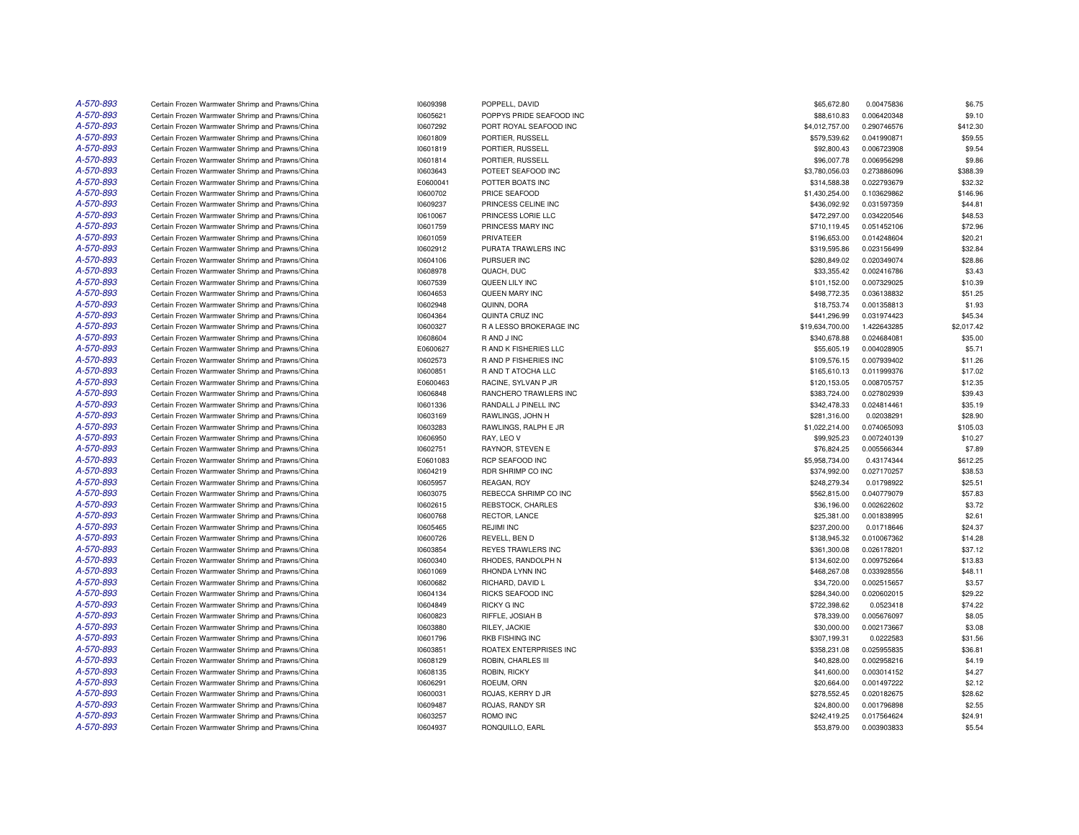| A-570-893 | Certain Frozen Warmwater Shrimp and Prawns/China | 10609398 | POPPELL, DAVID           | \$65,672.80     | 0.00475836  | \$6.75     |
|-----------|--------------------------------------------------|----------|--------------------------|-----------------|-------------|------------|
| A-570-893 | Certain Frozen Warmwater Shrimp and Prawns/China | 10605621 | POPPYS PRIDE SEAFOOD INC | \$88,610.83     | 0.006420348 | \$9.10     |
| A-570-893 | Certain Frozen Warmwater Shrimp and Prawns/China | 10607292 | PORT ROYAL SEAFOOD INC   | \$4,012,757.00  | 0.290746576 | \$412.30   |
| A-570-893 | Certain Frozen Warmwater Shrimp and Prawns/China | 10601809 | PORTIER, RUSSELL         | \$579,539.62    | 0.041990871 | \$59.55    |
| A-570-893 | Certain Frozen Warmwater Shrimp and Prawns/China | 10601819 | PORTIER, RUSSELL         | \$92,800.43     | 0.006723908 | \$9.54     |
| A-570-893 | Certain Frozen Warmwater Shrimp and Prawns/China | 10601814 | PORTIER, RUSSELL         | \$96,007.78     | 0.006956298 | \$9.86     |
| A-570-893 | Certain Frozen Warmwater Shrimp and Prawns/China | 10603643 | POTEET SEAFOOD INC       | \$3,780,056.03  | 0.273886096 | \$388.39   |
| A-570-893 | Certain Frozen Warmwater Shrimp and Prawns/China | E0600041 | POTTER BOATS INC         | \$314,588.38    | 0.022793679 | \$32.32    |
| A-570-893 | Certain Frozen Warmwater Shrimp and Prawns/China | 10600702 | PRICE SEAFOOD            | \$1,430,254.00  | 0.103629862 | \$146.96   |
| A-570-893 | Certain Frozen Warmwater Shrimp and Prawns/China | 10609237 | PRINCESS CELINE INC      | \$436,092.92    | 0.031597359 | \$44.81    |
| A-570-893 |                                                  |          |                          |                 |             |            |
|           | Certain Frozen Warmwater Shrimp and Prawns/China | 10610067 | PRINCESS LORIE LLC       | \$472,297.00    | 0.034220546 | \$48.53    |
| A-570-893 | Certain Frozen Warmwater Shrimp and Prawns/China | 10601759 | PRINCESS MARY INC        | \$710,119.45    | 0.051452106 | \$72.96    |
| A-570-893 | Certain Frozen Warmwater Shrimp and Prawns/China | 10601059 | PRIVATEER                | \$196,653.00    | 0.014248604 | \$20.21    |
| A-570-893 | Certain Frozen Warmwater Shrimp and Prawns/China | 10602912 | PURATA TRAWLERS INC      | \$319,595.86    | 0.023156499 | \$32.84    |
| A-570-893 | Certain Frozen Warmwater Shrimp and Prawns/China | 10604106 | PURSUER INC              | \$280,849.02    | 0.020349074 | \$28.86    |
| A-570-893 | Certain Frozen Warmwater Shrimp and Prawns/China | 10608978 | QUACH, DUC               | \$33,355.42     | 0.002416786 | \$3.43     |
| A-570-893 | Certain Frozen Warmwater Shrimp and Prawns/China | 10607539 | QUEEN LILY INC           | \$101,152.00    | 0.007329025 | \$10.39    |
| A-570-893 | Certain Frozen Warmwater Shrimp and Prawns/China | 10604653 | QUEEN MARY INC           | \$498,772.35    | 0.036138832 | \$51.25    |
| A-570-893 | Certain Frozen Warmwater Shrimp and Prawns/China | 10602948 | QUINN, DORA              | \$18,753.74     | 0.001358813 | \$1.93     |
| A-570-893 | Certain Frozen Warmwater Shrimp and Prawns/China | 10604364 | <b>QUINTA CRUZ INC</b>   | \$441,296.99    | 0.031974423 | \$45.34    |
| A-570-893 | Certain Frozen Warmwater Shrimp and Prawns/China | 10600327 | R A LESSO BROKERAGE INC  | \$19,634,700.00 | 1.422643285 | \$2,017.42 |
| A-570-893 | Certain Frozen Warmwater Shrimp and Prawns/China | 10608604 | R AND J INC              | \$340,678.88    | 0.024684081 | \$35.00    |
| A-570-893 | Certain Frozen Warmwater Shrimp and Prawns/China | E0600627 | R AND K FISHERIES LLC    | \$55,605.19     | 0.004028905 | \$5.71     |
| A-570-893 | Certain Frozen Warmwater Shrimp and Prawns/China | 10602573 | R AND P FISHERIES INC    | \$109,576.15    | 0.007939402 | \$11.26    |
| A-570-893 | Certain Frozen Warmwater Shrimp and Prawns/China | 10600851 | R AND T ATOCHA LLC       | \$165,610.13    | 0.011999376 | \$17.02    |
| A-570-893 | Certain Frozen Warmwater Shrimp and Prawns/China | E0600463 | RACINE, SYLVAN P JR      | \$120,153.05    | 0.008705757 | \$12.35    |
| A-570-893 | Certain Frozen Warmwater Shrimp and Prawns/China | 10606848 | RANCHERO TRAWLERS INC    | \$383,724.00    | 0.027802939 | \$39.43    |
| A-570-893 | Certain Frozen Warmwater Shrimp and Prawns/China | 10601336 | RANDALL J PINELL INC     | \$342,478.33    | 0.024814461 | \$35.19    |
| A-570-893 | Certain Frozen Warmwater Shrimp and Prawns/China | 10603169 | RAWLINGS, JOHN H         | \$281,316.00    | 0.02038291  | \$28.90    |
| A-570-893 | Certain Frozen Warmwater Shrimp and Prawns/China | 10603283 | RAWLINGS, RALPH E JR     | \$1,022,214.00  | 0.074065093 | \$105.03   |
| A-570-893 | Certain Frozen Warmwater Shrimp and Prawns/China | 10606950 | RAY, LEO V               | \$99,925.23     | 0.007240139 | \$10.27    |
| A-570-893 | Certain Frozen Warmwater Shrimp and Prawns/China | 10602751 | RAYNOR, STEVEN E         | \$76,824.25     | 0.005566344 | \$7.89     |
| A-570-893 | Certain Frozen Warmwater Shrimp and Prawns/China | E0601083 | RCP SEAFOOD INC          | \$5,958,734.00  | 0.43174344  | \$612.25   |
| A-570-893 | Certain Frozen Warmwater Shrimp and Prawns/China | 10604219 | RDR SHRIMP CO INC        | \$374.992.00    | 0.027170257 | \$38.53    |
| A-570-893 | Certain Frozen Warmwater Shrimp and Prawns/China | 10605957 | REAGAN, ROY              | \$248,279.34    | 0.01798922  | \$25.51    |
| A-570-893 | Certain Frozen Warmwater Shrimp and Prawns/China | 10603075 | REBECCA SHRIMP CO INC    | \$562,815.00    | 0.040779079 | \$57.83    |
| A-570-893 | Certain Frozen Warmwater Shrimp and Prawns/China | 10602615 | REBSTOCK, CHARLES        | \$36,196.00     | 0.002622602 | \$3.72     |
| A-570-893 | Certain Frozen Warmwater Shrimp and Prawns/China | 10600768 | RECTOR, LANCE            | \$25,381.00     | 0.001838995 | \$2.61     |
| A-570-893 | Certain Frozen Warmwater Shrimp and Prawns/China | 10605465 | <b>REJIMI INC</b>        | \$237,200.00    | 0.01718646  | \$24.37    |
| A-570-893 |                                                  |          |                          |                 |             |            |
| A-570-893 | Certain Frozen Warmwater Shrimp and Prawns/China | 10600726 | REVELL, BEN D            | \$138,945.32    | 0.010067362 | \$14.28    |
|           | Certain Frozen Warmwater Shrimp and Prawns/China | 10603854 | REYES TRAWLERS INC       | \$361,300.08    | 0.026178201 | \$37.12    |
| A-570-893 | Certain Frozen Warmwater Shrimp and Prawns/China | 10600340 | RHODES, RANDOLPH N       | \$134,602.00    | 0.009752664 | \$13.83    |
| A-570-893 | Certain Frozen Warmwater Shrimp and Prawns/China | 10601069 | RHONDA LYNN INC          | \$468,267.08    | 0.033928556 | \$48.11    |
| A-570-893 | Certain Frozen Warmwater Shrimp and Prawns/China | 10600682 | RICHARD, DAVID L         | \$34,720.00     | 0.002515657 | \$3.57     |
| A-570-893 | Certain Frozen Warmwater Shrimp and Prawns/China | 10604134 | RICKS SEAFOOD INC        | \$284,340.00    | 0.020602015 | \$29.22    |
| A-570-893 | Certain Frozen Warmwater Shrimp and Prawns/China | 10604849 | <b>RICKY G INC</b>       | \$722,398.62    | 0.0523418   | \$74.22    |
| A-570-893 | Certain Frozen Warmwater Shrimp and Prawns/China | 10600823 | RIFFLE, JOSIAH B         | \$78,339.00     | 0.005676097 | \$8.05     |
| A-570-893 | Certain Frozen Warmwater Shrimp and Prawns/China | 10603880 | RILEY, JACKIE            | \$30,000.00     | 0.002173667 | \$3.08     |
| A-570-893 | Certain Frozen Warmwater Shrimp and Prawns/China | 10601796 | RKB FISHING INC          | \$307,199.31    | 0.0222583   | \$31.56    |
| A-570-893 | Certain Frozen Warmwater Shrimp and Prawns/China | 10603851 | ROATEX ENTERPRISES INC   | \$358,231.08    | 0.025955835 | \$36.81    |
| A-570-893 | Certain Frozen Warmwater Shrimp and Prawns/China | 10608129 | ROBIN, CHARLES III       | \$40,828.00     | 0.002958216 | \$4.19     |
| A-570-893 | Certain Frozen Warmwater Shrimp and Prawns/China | 10608135 | ROBIN, RICKY             | \$41,600.00     | 0.003014152 | \$4.27     |
| A-570-893 | Certain Frozen Warmwater Shrimp and Prawns/China | 10606291 | ROEUM, ORN               | \$20,664.00     | 0.001497222 | \$2.12     |
| A-570-893 | Certain Frozen Warmwater Shrimp and Prawns/China | 10600031 | ROJAS, KERRY D JR        | \$278,552.45    | 0.020182675 | \$28.62    |
| A-570-893 | Certain Frozen Warmwater Shrimp and Prawns/China | 10609487 | ROJAS, RANDY SR          | \$24,800.00     | 0.001796898 | \$2.55     |
| A-570-893 | Certain Frozen Warmwater Shrimp and Prawns/China | 10603257 | ROMO INC                 | \$242.419.25    | 0.017564624 | \$24.91    |
| A-570-893 | Certain Frozen Warmwater Shrimp and Prawns/China | 10604937 | RONQUILLO, EARL          | \$53,879.00     | 0.003903833 | \$5.54     |
|           |                                                  |          |                          |                 |             |            |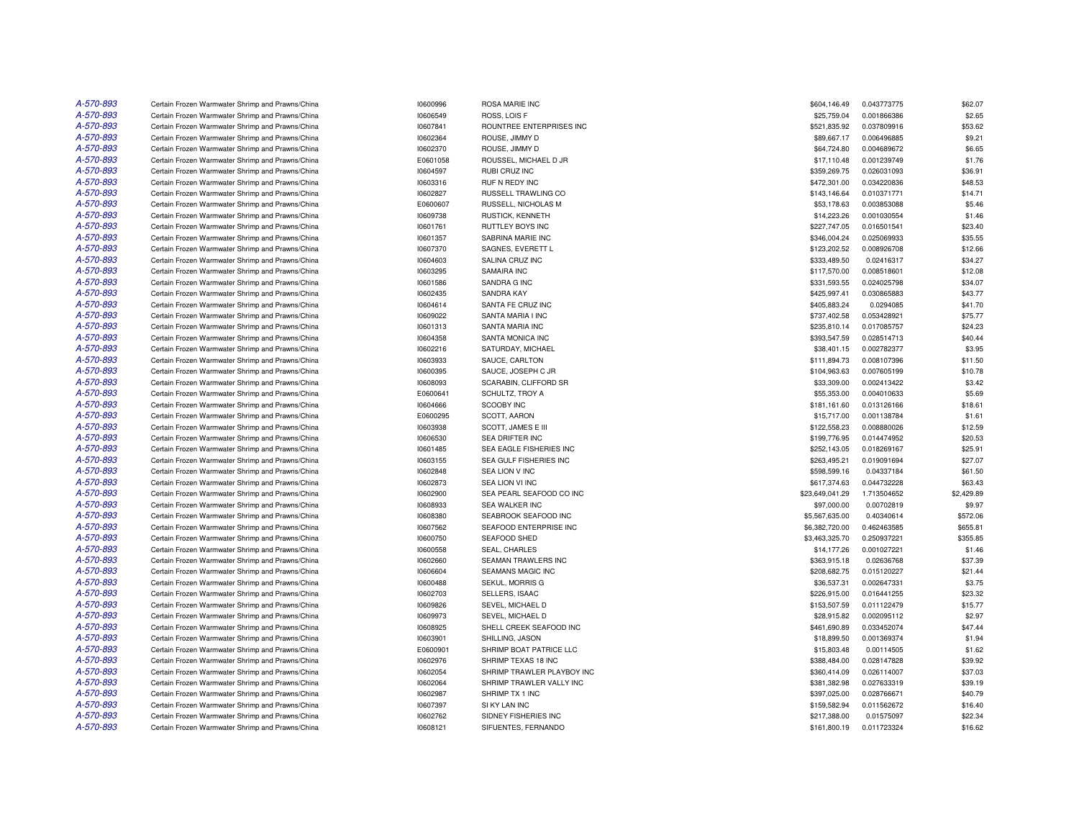| A-570-893 | Certain Frozen Warmwater Shrimp and Prawns/China                                                     | 10600996             | ROSA MARIE INC             | \$604,146.49                 | 0.043773775 | \$62.07    |
|-----------|------------------------------------------------------------------------------------------------------|----------------------|----------------------------|------------------------------|-------------|------------|
| A-570-893 | Certain Frozen Warmwater Shrimp and Prawns/China                                                     | 10606549             | ROSS, LOIS F               | \$25,759.04                  | 0.001866386 | \$2.65     |
| A-570-893 | Certain Frozen Warmwater Shrimp and Prawns/China                                                     | 10607841             | ROUNTREE ENTERPRISES INC   | \$521,835.92                 | 0.037809916 | \$53.62    |
| A-570-893 | Certain Frozen Warmwater Shrimp and Prawns/China                                                     | 10602364             | ROUSE, JIMMY D             | \$89,667.17                  | 0.006496885 | \$9.21     |
| A-570-893 | Certain Frozen Warmwater Shrimp and Prawns/China                                                     | 10602370             | ROUSE, JIMMY D             | \$64,724.80                  | 0.004689672 | \$6.65     |
| A-570-893 | Certain Frozen Warmwater Shrimp and Prawns/China                                                     | E0601058             | ROUSSEL, MICHAEL D JR      | \$17,110.48                  | 0.001239749 | \$1.76     |
| A-570-893 | Certain Frozen Warmwater Shrimp and Prawns/China                                                     | 10604597             | RUBI CRUZ INC              | \$359,269.75                 | 0.026031093 | \$36.91    |
| A-570-893 | Certain Frozen Warmwater Shrimp and Prawns/China                                                     | 10603316             | RUF N REDY INC             | \$472,301.00                 | 0.034220836 | \$48.53    |
| A-570-893 | Certain Frozen Warmwater Shrimp and Prawns/China                                                     | 10602827             | <b>RUSSELL TRAWLING CO</b> | \$143,146.64                 | 0.010371771 | \$14.71    |
| A-570-893 | Certain Frozen Warmwater Shrimp and Prawns/China                                                     | E0600607             | RUSSELL, NICHOLAS M        | \$53,178.63                  | 0.003853088 | \$5.46     |
| A-570-893 | Certain Frozen Warmwater Shrimp and Prawns/China                                                     | 10609738             | RUSTICK, KENNETH           | \$14,223.26                  | 0.001030554 | \$1.46     |
| A-570-893 | Certain Frozen Warmwater Shrimp and Prawns/China                                                     | 10601761             | RUTTLEY BOYS INC           | \$227,747.05                 | 0.016501541 | \$23.40    |
| A-570-893 | Certain Frozen Warmwater Shrimp and Prawns/China                                                     | 10601357             | SABRINA MARIE INC          | \$346,004.24                 | 0.025069933 | \$35.55    |
| A-570-893 | Certain Frozen Warmwater Shrimp and Prawns/China                                                     | 10607370             | SAGNES, EVERETT L          | \$123,202.52                 | 0.008926708 | \$12.66    |
| A-570-893 | Certain Frozen Warmwater Shrimp and Prawns/China                                                     | 10604603             | SALINA CRUZ INC            | \$333,489.50                 | 0.02416317  | \$34.27    |
| A-570-893 | Certain Frozen Warmwater Shrimp and Prawns/China                                                     | 10603295             | SAMAIRA INC                | \$117,570.00                 | 0.008518601 | \$12.08    |
| A-570-893 | Certain Frozen Warmwater Shrimp and Prawns/China                                                     | 10601586             | SANDRA G INC               | \$331,593.55                 | 0.024025798 | \$34.07    |
| A-570-893 |                                                                                                      |                      | SANDRA KAY                 |                              | 0.030865883 | \$43.77    |
| A-570-893 | Certain Frozen Warmwater Shrimp and Prawns/China                                                     | 10602435             |                            | \$425,997.41                 | 0.0294085   |            |
|           | Certain Frozen Warmwater Shrimp and Prawns/China                                                     | 10604614             | SANTA FE CRUZ INC          | \$405,883.24                 |             | \$41.70    |
| A-570-893 | Certain Frozen Warmwater Shrimp and Prawns/China                                                     | 10609022             | SANTA MARIA I INC          | \$737,402.58                 | 0.053428921 | \$75.77    |
| A-570-893 | Certain Frozen Warmwater Shrimp and Prawns/China                                                     | 10601313             | SANTA MARIA INC            | \$235,810.14                 | 0.017085757 | \$24.23    |
| A-570-893 | Certain Frozen Warmwater Shrimp and Prawns/China                                                     | 10604358             | SANTA MONICA INC           | \$393,547.59                 | 0.028514713 | \$40.44    |
| A-570-893 | Certain Frozen Warmwater Shrimp and Prawns/China                                                     | 10602216             | SATURDAY, MICHAEL          | \$38,401.15                  | 0.002782377 | \$3.95     |
| A-570-893 | Certain Frozen Warmwater Shrimp and Prawns/China                                                     | 10603933             | SAUCE, CARLTON             | \$111,894.73                 | 0.008107396 | \$11.50    |
| A-570-893 | Certain Frozen Warmwater Shrimp and Prawns/China                                                     | 10600395             | SAUCE, JOSEPH C JR         | \$104,963.63                 | 0.007605199 | \$10.78    |
| A-570-893 | Certain Frozen Warmwater Shrimp and Prawns/China                                                     | 10608093             | SCARABIN, CLIFFORD SR      | \$33,309.00                  | 0.002413422 | \$3.42     |
| A-570-893 | Certain Frozen Warmwater Shrimp and Prawns/China                                                     | E0600641             | SCHULTZ, TROY A            | \$55,353.00                  | 0.004010633 | \$5.69     |
| A-570-893 | Certain Frozen Warmwater Shrimp and Prawns/China                                                     | 10604666             | <b>SCOOBY INC</b>          | \$181,161.60                 | 0.013126166 | \$18.61    |
| A-570-893 | Certain Frozen Warmwater Shrimp and Prawns/China                                                     | E0600295             | SCOTT, AARON               | \$15,717.00                  | 0.001138784 | \$1.61     |
| A-570-893 | Certain Frozen Warmwater Shrimp and Prawns/China                                                     | 10603938             | SCOTT, JAMES E III         | \$122,558.23                 | 0.008880026 | \$12.59    |
| A-570-893 | Certain Frozen Warmwater Shrimp and Prawns/China                                                     | 10606530             | SEA DRIFTER INC            | \$199,776.95                 | 0.014474952 | \$20.53    |
| A-570-893 | Certain Frozen Warmwater Shrimp and Prawns/China                                                     | 10601485             | SEA EAGLE FISHERIES INC    | \$252,143.05                 | 0.018269167 | \$25.91    |
| A-570-893 | Certain Frozen Warmwater Shrimp and Prawns/China                                                     | 10603155             | SEA GULF FISHERIES INC     | \$263,495.21                 | 0.019091694 | \$27.07    |
| A-570-893 | Certain Frozen Warmwater Shrimp and Prawns/China                                                     | 10602848             | SEA LION V INC             | \$598,599.16                 | 0.04337184  | \$61.50    |
| A-570-893 | Certain Frozen Warmwater Shrimp and Prawns/China                                                     | 10602873             | SEA LION VI INC            | \$617,374.63                 | 0.044732228 | \$63.43    |
| A-570-893 | Certain Frozen Warmwater Shrimp and Prawns/China                                                     | 10602900             | SEA PEARL SEAFOOD CO INC   | \$23,649,041.29              | 1.713504652 | \$2,429.89 |
| A-570-893 | Certain Frozen Warmwater Shrimp and Prawns/China                                                     | 10608933             | <b>SEA WALKER INC</b>      | \$97,000.00                  | 0.00702819  | \$9.97     |
| A-570-893 | Certain Frozen Warmwater Shrimp and Prawns/China                                                     | 10608380             | SEABROOK SEAFOOD INC       | \$5,567,635.00               | 0.40340614  | \$572.06   |
| A-570-893 | Certain Frozen Warmwater Shrimp and Prawns/China                                                     | 10607562             | SEAFOOD ENTERPRISE INC     | \$6,382,720.00               | 0.462463585 | \$655.81   |
| A-570-893 | Certain Frozen Warmwater Shrimp and Prawns/China                                                     | 10600750             | SEAFOOD SHED               | \$3,463,325.70               | 0.250937221 | \$355.85   |
| A-570-893 | Certain Frozen Warmwater Shrimp and Prawns/China                                                     | 10600558             | <b>SEAL, CHARLES</b>       | \$14,177.26                  | 0.001027221 | \$1.46     |
| A-570-893 | Certain Frozen Warmwater Shrimp and Prawns/China                                                     | 10602660             | SEAMAN TRAWLERS INC        | \$363,915.18                 | 0.02636768  | \$37.39    |
| A-570-893 | Certain Frozen Warmwater Shrimp and Prawns/China                                                     | 10606604             | SEAMANS MAGIC INC          | \$208,682.75                 | 0.015120227 | \$21.44    |
| A-570-893 | Certain Frozen Warmwater Shrimp and Prawns/China                                                     | 10600488             | SEKUL, MORRIS G            | \$36,537.31                  | 0.002647331 | \$3.75     |
| A-570-893 | Certain Frozen Warmwater Shrimp and Prawns/China                                                     | 10602703             | SELLERS, ISAAC             | \$226,915.00                 | 0.016441255 | \$23.32    |
| A-570-893 | Certain Frozen Warmwater Shrimp and Prawns/China                                                     | 10609826             | SEVEL, MICHAEL D           | \$153,507.59                 | 0.011122479 | \$15.77    |
| A-570-893 | Certain Frozen Warmwater Shrimp and Prawns/China                                                     | 10609973             | SEVEL, MICHAEL D           | \$28,915.82                  | 0.002095112 | \$2.97     |
| A-570-893 | Certain Frozen Warmwater Shrimp and Prawns/China                                                     | 10608925             | SHELL CREEK SEAFOOD INC    | \$461,690.89                 | 0.033452074 | \$47.44    |
| A-570-893 | Certain Frozen Warmwater Shrimp and Prawns/China                                                     | 10603901             | SHILLING, JASON            | \$18,899.50                  | 0.001369374 | \$1.94     |
| A-570-893 | Certain Frozen Warmwater Shrimp and Prawns/China                                                     | E0600901             | SHRIMP BOAT PATRICE LLC    | \$15,803.48                  | 0.00114505  | \$1.62     |
| A-570-893 |                                                                                                      |                      | SHRIMP TEXAS 18 INC        |                              | 0.028147828 | \$39.92    |
| A-570-893 | Certain Frozen Warmwater Shrimp and Prawns/China<br>Certain Frozen Warmwater Shrimp and Prawns/China | 10602976<br>10602054 | SHRIMP TRAWLER PLAYBOY INC | \$388,484.00<br>\$360,414.09 | 0.026114007 | \$37.03    |
| A-570-893 | Certain Frozen Warmwater Shrimp and Prawns/China                                                     | 10602064             | SHRIMP TRAWLER VALLY INC   | \$381,382.98                 | 0.027633319 | \$39.19    |
| A-570-893 |                                                                                                      |                      |                            |                              |             |            |
|           | Certain Frozen Warmwater Shrimp and Prawns/China                                                     | 10602987             | SHRIMP TX 1 INC            | \$397,025.00                 | 0.028766671 | \$40.79    |
| A-570-893 | Certain Frozen Warmwater Shrimp and Prawns/China                                                     | 10607397             | SI KY LAN INC              | \$159,582.94                 | 0.011562672 | \$16.40    |
| A-570-893 | Certain Frozen Warmwater Shrimp and Prawns/China                                                     | 10602762             | SIDNEY FISHERIES INC       | \$217,388.00                 | 0.01575097  | \$22.34    |
| A-570-893 | Certain Frozen Warmwater Shrimp and Prawns/China                                                     | 10608121             | SIFUENTES, FERNANDO        | \$161,800.19                 | 0.011723324 | \$16.62    |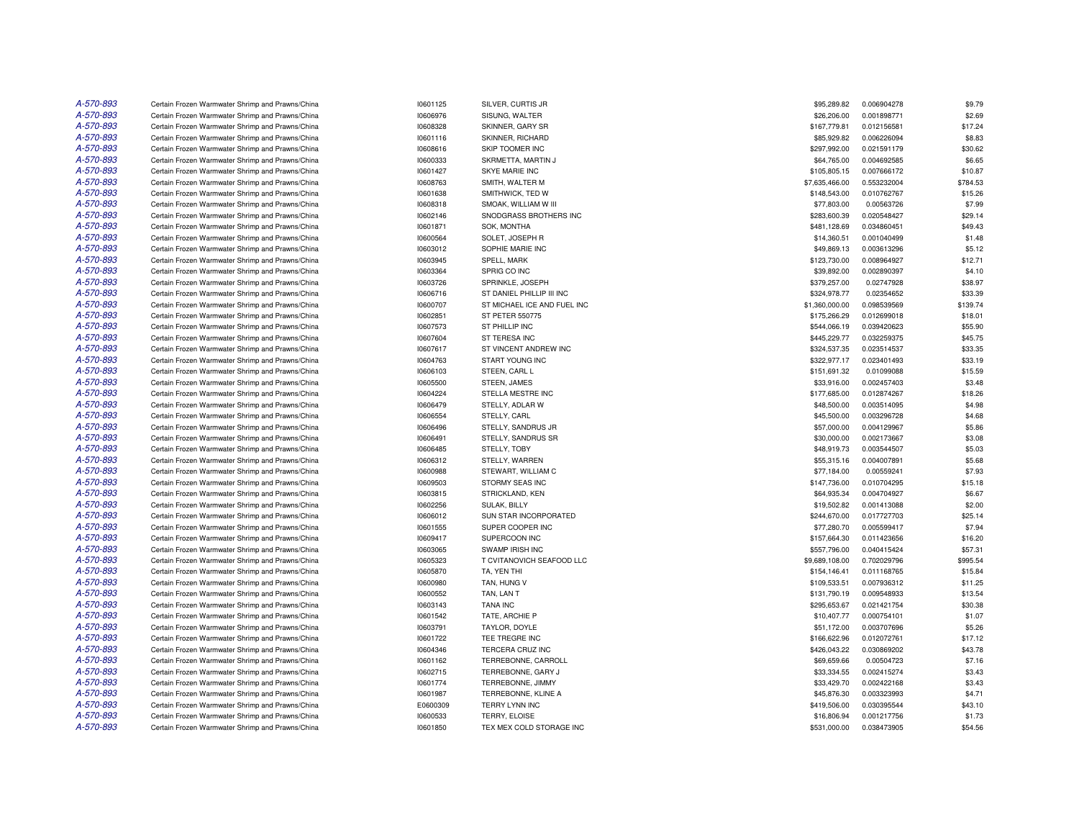| A-570-893 | Certain Frozen Warmwater Shrimp and Prawns/China | 10601125 | SILVER, CURTIS JR           | \$95,289.82                  | 0.006904278                | \$9.79   |
|-----------|--------------------------------------------------|----------|-----------------------------|------------------------------|----------------------------|----------|
| A-570-893 | Certain Frozen Warmwater Shrimp and Prawns/China | 10606976 | SISUNG, WALTER              | \$26,206.00                  | 0.001898771                | \$2.69   |
| A-570-893 | Certain Frozen Warmwater Shrimp and Prawns/China | 10608328 | <b>SKINNER, GARY SR</b>     | \$167,779.81                 | 0.012156581                | \$17.24  |
| A-570-893 | Certain Frozen Warmwater Shrimp and Prawns/China | 10601116 | SKINNER, RICHARD            | \$85,929.82                  | 0.006226094                | \$8.83   |
| A-570-893 | Certain Frozen Warmwater Shrimp and Prawns/China | 10608616 | SKIP TOOMER INC             | \$297,992.00                 | 0.021591179                | \$30.62  |
| A-570-893 | Certain Frozen Warmwater Shrimp and Prawns/China | 10600333 | SKRMETTA, MARTIN J          | \$64,765.00                  | 0.004692585                | \$6.65   |
| A-570-893 | Certain Frozen Warmwater Shrimp and Prawns/China | 10601427 | SKYE MARIE INC              | \$105,805.15                 | 0.007666172                | \$10.87  |
| A-570-893 | Certain Frozen Warmwater Shrimp and Prawns/China | 10608763 | SMITH, WALTER M             | \$7,635,466.00               | 0.553232004                | \$784.53 |
| A-570-893 | Certain Frozen Warmwater Shrimp and Prawns/China | 10601638 | SMITHWICK, TED W            | \$148,543.00                 | 0.010762767                | \$15.26  |
| A-570-893 | Certain Frozen Warmwater Shrimp and Prawns/China | 10608318 | SMOAK, WILLIAM W III        | \$77,803.00                  | 0.00563726                 | \$7.99   |
| A-570-893 | Certain Frozen Warmwater Shrimp and Prawns/China | 10602146 | SNODGRASS BROTHERS INC      | \$283,600.39                 | 0.020548427                | \$29.14  |
| A-570-893 | Certain Frozen Warmwater Shrimp and Prawns/China | 10601871 | SOK, MONTHA                 | \$481,128.69                 | 0.034860451                | \$49.43  |
| A-570-893 | Certain Frozen Warmwater Shrimp and Prawns/China | 10600564 | SOLET, JOSEPH R             | \$14,360.51                  | 0.001040499                | \$1.48   |
| A-570-893 | Certain Frozen Warmwater Shrimp and Prawns/China | 10603012 | SOPHIE MARIE INC            | \$49,869.13                  | 0.003613296                | \$5.12   |
| A-570-893 | Certain Frozen Warmwater Shrimp and Prawns/China | 10603945 | SPELL, MARK                 | \$123,730.00                 | 0.008964927                | \$12.71  |
| A-570-893 | Certain Frozen Warmwater Shrimp and Prawns/China | 10603364 | SPRIG CO INC                | \$39,892.00                  | 0.002890397                | \$4.10   |
| A-570-893 | Certain Frozen Warmwater Shrimp and Prawns/China | 10603726 | SPRINKLE, JOSEPH            | \$379,257.00                 | 0.02747928                 | \$38.97  |
| A-570-893 | Certain Frozen Warmwater Shrimp and Prawns/China | 10606716 | ST DANIEL PHILLIP III INC   | \$324,978.77                 | 0.02354652                 | \$33.39  |
| A-570-893 | Certain Frozen Warmwater Shrimp and Prawns/China | 10600707 | ST MICHAEL ICE AND FUEL INC | \$1,360,000.00               | 0.098539569                | \$139.74 |
| A-570-893 |                                                  |          |                             |                              |                            |          |
| A-570-893 | Certain Frozen Warmwater Shrimp and Prawns/China | 10602851 | ST PETER 550775             | \$175,266.29<br>\$544,066.19 | 0.012699018<br>0.039420623 | \$18.01  |
|           | Certain Frozen Warmwater Shrimp and Prawns/China | 10607573 | ST PHILLIP INC              |                              |                            | \$55.90  |
| A-570-893 | Certain Frozen Warmwater Shrimp and Prawns/China | 10607604 | ST TERESA INC               | \$445,229.77                 | 0.032259375                | \$45.75  |
| A-570-893 | Certain Frozen Warmwater Shrimp and Prawns/China | 10607617 | ST VINCENT ANDREW INC       | \$324,537.35                 | 0.023514537                | \$33.35  |
| A-570-893 | Certain Frozen Warmwater Shrimp and Prawns/China | 10604763 | START YOUNG INC             | \$322,977.17                 | 0.023401493                | \$33.19  |
| A-570-893 | Certain Frozen Warmwater Shrimp and Prawns/China | 10606103 | STEEN, CARL L               | \$151,691.32                 | 0.01099088                 | \$15.59  |
| A-570-893 | Certain Frozen Warmwater Shrimp and Prawns/China | 10605500 | STEEN, JAMES                | \$33,916.00                  | 0.002457403                | \$3.48   |
| A-570-893 | Certain Frozen Warmwater Shrimp and Prawns/China | 10604224 | STELLA MESTRE INC           | \$177,685.00                 | 0.012874267                | \$18.26  |
| A-570-893 | Certain Frozen Warmwater Shrimp and Prawns/China | 10606479 | STELLY, ADLAR W             | \$48,500.00                  | 0.003514095                | \$4.98   |
| A-570-893 | Certain Frozen Warmwater Shrimp and Prawns/China | 10606554 | STELLY, CARL                | \$45,500.00                  | 0.003296728                | \$4.68   |
| A-570-893 | Certain Frozen Warmwater Shrimp and Prawns/China | 10606496 | STELLY, SANDRUS JR          | \$57,000.00                  | 0.004129967                | \$5.86   |
| A-570-893 | Certain Frozen Warmwater Shrimp and Prawns/China | 10606491 | STELLY, SANDRUS SR          | \$30,000.00                  | 0.002173667                | \$3.08   |
| A-570-893 | Certain Frozen Warmwater Shrimp and Prawns/China | 10606485 | STELLY, TOBY                | \$48,919.73                  | 0.003544507                | \$5.03   |
| A-570-893 | Certain Frozen Warmwater Shrimp and Prawns/China | 10606312 | STELLY, WARREN              | \$55,315.16                  | 0.004007891                | \$5.68   |
| A-570-893 | Certain Frozen Warmwater Shrimp and Prawns/China | 10600988 | STEWART, WILLIAM C          | \$77,184.00                  | 0.00559241                 | \$7.93   |
| A-570-893 | Certain Frozen Warmwater Shrimp and Prawns/China | 10609503 | STORMY SEAS INC             | \$147,736.00                 | 0.010704295                | \$15.18  |
| A-570-893 | Certain Frozen Warmwater Shrimp and Prawns/China | 10603815 | STRICKLAND, KEN             | \$64,935.34                  | 0.004704927                | \$6.67   |
| A-570-893 | Certain Frozen Warmwater Shrimp and Prawns/China | 10602256 | <b>SULAK, BILLY</b>         | \$19,502.82                  | 0.001413088                | \$2.00   |
| A-570-893 | Certain Frozen Warmwater Shrimp and Prawns/China | 10606012 | SUN STAR INCORPORATED       | \$244,670.00                 | 0.017727703                | \$25.14  |
| A-570-893 | Certain Frozen Warmwater Shrimp and Prawns/China | 10601555 | SUPER COOPER INC            | \$77,280.70                  | 0.005599417                | \$7.94   |
| A-570-893 | Certain Frozen Warmwater Shrimp and Prawns/China | 10609417 | SUPERCOON INC               | \$157,664.30                 | 0.011423656                | \$16.20  |
| A-570-893 | Certain Frozen Warmwater Shrimp and Prawns/China | 10603065 | SWAMP IRISH INC             | \$557,796.00                 | 0.040415424                | \$57.31  |
| A-570-893 | Certain Frozen Warmwater Shrimp and Prawns/China | 10605323 | T CVITANOVICH SEAFOOD LLC   | \$9,689,108.00               | 0.702029796                | \$995.54 |
| A-570-893 | Certain Frozen Warmwater Shrimp and Prawns/China | 10605870 | TA. YEN THI                 | \$154.146.41                 | 0.011168765                | \$15.84  |
| A-570-893 | Certain Frozen Warmwater Shrimp and Prawns/China | 10600980 | TAN, HUNG V                 | \$109,533.51                 | 0.007936312                | \$11.25  |
| A-570-893 | Certain Frozen Warmwater Shrimp and Prawns/China | 10600552 | TAN, LAN T                  | \$131,790.19                 | 0.009548933                | \$13.54  |
| A-570-893 | Certain Frozen Warmwater Shrimp and Prawns/China | 10603143 | <b>TANA INC</b>             | \$295,653.67                 | 0.021421754                | \$30.38  |
| A-570-893 | Certain Frozen Warmwater Shrimp and Prawns/China | 10601542 | TATE, ARCHIE P              | \$10,407.77                  | 0.000754101                | \$1.07   |
| A-570-893 | Certain Frozen Warmwater Shrimp and Prawns/China | 10603791 | TAYLOR, DOYLE               | \$51,172.00                  | 0.003707696                | \$5.26   |
| A-570-893 | Certain Frozen Warmwater Shrimp and Prawns/China | 10601722 | TEE TREGRE INC              | \$166,622.96                 | 0.012072761                | \$17.12  |
| A-570-893 | Certain Frozen Warmwater Shrimp and Prawns/China | 10604346 | TERCERA CRUZ INC            | \$426,043.22                 | 0.030869202                | \$43.78  |
| A-570-893 | Certain Frozen Warmwater Shrimp and Prawns/China | 10601162 | TERREBONNE, CARROLL         | \$69,659.66                  | 0.00504723                 | \$7.16   |
| A-570-893 | Certain Frozen Warmwater Shrimp and Prawns/China | 10602715 | TERREBONNE, GARY J          | \$33,334.55                  | 0.002415274                | \$3.43   |
| A-570-893 | Certain Frozen Warmwater Shrimp and Prawns/China | 10601774 | TERREBONNE, JIMMY           | \$33,429.70                  | 0.002422168                | \$3.43   |
| A-570-893 | Certain Frozen Warmwater Shrimp and Prawns/China | 10601987 | TERREBONNE, KLINE A         | \$45,876.30                  | 0.003323993                | \$4.71   |
| A-570-893 | Certain Frozen Warmwater Shrimp and Prawns/China | E0600309 | TERRY LYNN INC              | \$419,506.00                 | 0.030395544                | \$43.10  |
| A-570-893 | Certain Frozen Warmwater Shrimp and Prawns/China | 10600533 | <b>TERRY, ELOISE</b>        | \$16,806.94                  | 0.001217756                | \$1.73   |
| A-570-893 | Certain Frozen Warmwater Shrimp and Prawns/China | 10601850 | TEX MEX COLD STORAGE INC    | \$531,000.00                 | 0.038473905                | \$54.56  |
|           |                                                  |          |                             |                              |                            |          |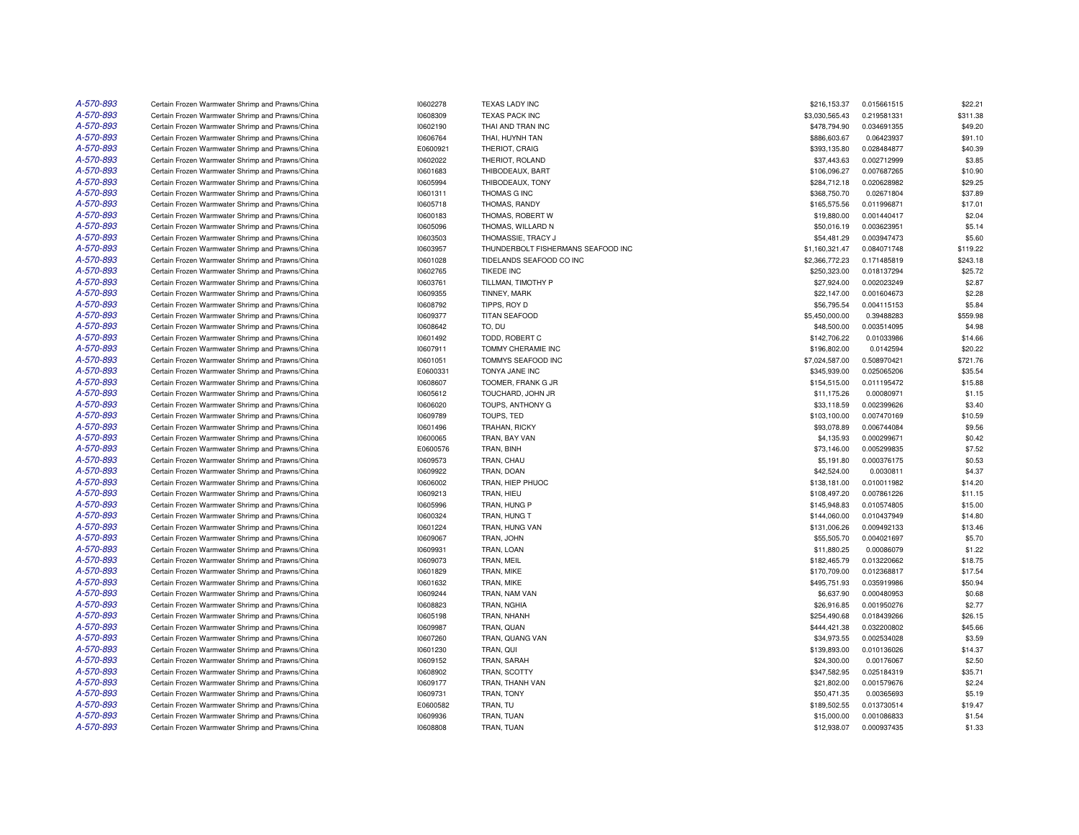| A-570-893              | Certain Frozen Warmwater Shrimp and Prawns/China | 10602278 | <b>TEXAS LADY INC</b>              | \$216,153.37   | 0.015661515 | \$22.21  |
|------------------------|--------------------------------------------------|----------|------------------------------------|----------------|-------------|----------|
| A-570-893              | Certain Frozen Warmwater Shrimp and Prawns/China | 10608309 | <b>TEXAS PACK INC</b>              | \$3,030,565.43 | 0.219581331 | \$311.38 |
| A-570-893              | Certain Frozen Warmwater Shrimp and Prawns/China | 10602190 | THAI AND TRAN INC                  | \$478,794.90   | 0.034691355 | \$49.20  |
| A-570-893              | Certain Frozen Warmwater Shrimp and Prawns/China | 10606764 | THAI, HUYNH TAN                    | \$886,603.67   | 0.06423937  | \$91.10  |
| A-570-893              | Certain Frozen Warmwater Shrimp and Prawns/China | E0600921 | THERIOT, CRAIG                     | \$393,135.80   | 0.028484877 | \$40.39  |
| A-570-893              | Certain Frozen Warmwater Shrimp and Prawns/China | 10602022 | THERIOT, ROLAND                    | \$37,443.63    | 0.002712999 | \$3.85   |
| A-570-893              | Certain Frozen Warmwater Shrimp and Prawns/China | 10601683 | THIBODEAUX, BART                   | \$106,096.27   | 0.007687265 | \$10.90  |
| A-570-893              | Certain Frozen Warmwater Shrimp and Prawns/China | 10605994 | THIBODEAUX, TONY                   | \$284,712.18   | 0.020628982 | \$29.25  |
| A-570-893              | Certain Frozen Warmwater Shrimp and Prawns/China | 10601311 | THOMAS G INC                       | \$368,750.70   | 0.02671804  | \$37.89  |
| A-570-893              | Certain Frozen Warmwater Shrimp and Prawns/China | 10605718 | THOMAS, RANDY                      | \$165,575.56   | 0.011996871 | \$17.01  |
| A-570-893              | Certain Frozen Warmwater Shrimp and Prawns/China | 10600183 | THOMAS, ROBERT W                   | \$19,880.00    | 0.001440417 | \$2.04   |
| A-570-893              | Certain Frozen Warmwater Shrimp and Prawns/China | 10605096 | THOMAS, WILLARD N                  | \$50,016.19    | 0.003623951 | \$5.14   |
| A-570-893              | Certain Frozen Warmwater Shrimp and Prawns/China | 10603503 | THOMASSIE, TRACY J                 | \$54,481.29    | 0.003947473 | \$5.60   |
| A-570-893              | Certain Frozen Warmwater Shrimp and Prawns/China | 10603957 | THUNDERBOLT FISHERMANS SEAFOOD INC | \$1,160,321.47 | 0.084071748 | \$119.22 |
| A-570-893              | Certain Frozen Warmwater Shrimp and Prawns/China | 10601028 | TIDELANDS SEAFOOD CO INC           | \$2,366,772.23 | 0.171485819 | \$243.18 |
| A-570-893              | Certain Frozen Warmwater Shrimp and Prawns/China | 10602765 | <b>TIKEDE INC</b>                  | \$250,323.00   | 0.018137294 | \$25.72  |
| A-570-893              | Certain Frozen Warmwater Shrimp and Prawns/China | 10603761 | TILLMAN, TIMOTHY P                 | \$27,924.00    | 0.002023249 | \$2.87   |
| A-570-893              | Certain Frozen Warmwater Shrimp and Prawns/China | 10609355 |                                    |                |             | \$2.28   |
| A-570-893              |                                                  |          | <b>TINNEY, MARK</b>                | \$22,147.00    | 0.001604673 | \$5.84   |
|                        | Certain Frozen Warmwater Shrimp and Prawns/China | 10608792 | TIPPS, ROY D                       | \$56,795.54    | 0.004115153 |          |
| A-570-893              | Certain Frozen Warmwater Shrimp and Prawns/China | 10609377 | TITAN SEAFOOD                      | \$5,450,000.00 | 0.39488283  | \$559.98 |
| A-570-893              | Certain Frozen Warmwater Shrimp and Prawns/China | 10608642 | TO. DU                             | \$48,500.00    | 0.003514095 | \$4.98   |
| A-570-893              | Certain Frozen Warmwater Shrimp and Prawns/China | 10601492 | TODD, ROBERT C                     | \$142,706.22   | 0.01033986  | \$14.66  |
| A-570-893              | Certain Frozen Warmwater Shrimp and Prawns/China | 10607911 | TOMMY CHERAMIE INC                 | \$196,802.00   | 0.0142594   | \$20.22  |
| A-570-893              | Certain Frozen Warmwater Shrimp and Prawns/China | 10601051 | TOMMYS SEAFOOD INC                 | \$7,024,587.00 | 0.508970421 | \$721.76 |
| A-570-893              | Certain Frozen Warmwater Shrimp and Prawns/China | E0600331 | TONYA JANE INC                     | \$345,939.00   | 0.025065206 | \$35.54  |
| A-570-893              | Certain Frozen Warmwater Shrimp and Prawns/China | 10608607 | TOOMER, FRANK G JR                 | \$154,515.00   | 0.011195472 | \$15.88  |
| A-570-893              | Certain Frozen Warmwater Shrimp and Prawns/China | 10605612 | TOUCHARD, JOHN JR                  | \$11,175.26    | 0.00080971  | \$1.15   |
| A-570-893              | Certain Frozen Warmwater Shrimp and Prawns/China | 10606020 | TOUPS, ANTHONY G                   | \$33,118.59    | 0.002399626 | \$3.40   |
| A-570-893              | Certain Frozen Warmwater Shrimp and Prawns/China | 10609789 | TOUPS, TED                         | \$103,100.00   | 0.007470169 | \$10.59  |
| A-570-893              | Certain Frozen Warmwater Shrimp and Prawns/China | 10601496 | <b>TRAHAN, RICKY</b>               | \$93,078.89    | 0.006744084 | \$9.56   |
| A-570-893              | Certain Frozen Warmwater Shrimp and Prawns/China | 10600065 | TRAN, BAY VAN                      | \$4,135.93     | 0.000299671 | \$0.42   |
| A-570-893              | Certain Frozen Warmwater Shrimp and Prawns/China | E0600576 | TRAN, BINH                         | \$73,146.00    | 0.005299835 | \$7.52   |
| A-570-893              | Certain Frozen Warmwater Shrimp and Prawns/China | 10609573 | TRAN, CHAU                         | \$5,191.80     | 0.000376175 | \$0.53   |
| A-570-893              | Certain Frozen Warmwater Shrimp and Prawns/China | 10609922 | TRAN, DOAN                         | \$42,524.00    | 0.0030811   | \$4.37   |
| A-570-893              | Certain Frozen Warmwater Shrimp and Prawns/China | 10606002 | TRAN, HIEP PHUOC                   | \$138,181.00   | 0.010011982 | \$14.20  |
| A-570-893              | Certain Frozen Warmwater Shrimp and Prawns/China | 10609213 | TRAN, HIEU                         | \$108,497.20   | 0.007861226 | \$11.15  |
| A-570-893              | Certain Frozen Warmwater Shrimp and Prawns/China | 10605996 | TRAN, HUNG P                       | \$145,948.83   | 0.010574805 | \$15.00  |
| A-570-893              | Certain Frozen Warmwater Shrimp and Prawns/China | 10600324 | TRAN, HUNG T                       | \$144,060.00   | 0.010437949 | \$14.80  |
| A-570-893              | Certain Frozen Warmwater Shrimp and Prawns/China | 10601224 | TRAN, HUNG VAN                     | \$131,006.26   | 0.009492133 | \$13.46  |
| A-570-893              | Certain Frozen Warmwater Shrimp and Prawns/China | 10609067 | TRAN, JOHN                         | \$55,505.70    | 0.004021697 | \$5.70   |
| A-570-893              | Certain Frozen Warmwater Shrimp and Prawns/China | 10609931 | TRAN, LOAN                         | \$11,880.25    | 0.00086079  | \$1.22   |
| A-570-893              | Certain Frozen Warmwater Shrimp and Prawns/China | 10609073 | TRAN, MEIL                         | \$182,465.79   | 0.013220662 | \$18.75  |
| A-570-893              | Certain Frozen Warmwater Shrimp and Prawns/China | 10601829 | TRAN, MIKE                         | \$170,709.00   | 0.012368817 | \$17.54  |
| A-570-893              | Certain Frozen Warmwater Shrimp and Prawns/China | 10601632 | TRAN, MIKE                         | \$495,751.93   | 0.035919986 | \$50.94  |
| A-570-893              | Certain Frozen Warmwater Shrimp and Prawns/China | 10609244 | TRAN, NAM VAN                      | \$6,637.90     | 0.000480953 | \$0.68   |
| A-570-893              | Certain Frozen Warmwater Shrimp and Prawns/China | 10608823 | TRAN, NGHIA                        | \$26,916.85    | 0.001950276 | \$2.77   |
| A-570-893              | Certain Frozen Warmwater Shrimp and Prawns/China | 10605198 | TRAN, NHANH                        | \$254,490.68   | 0.018439266 | \$26.15  |
| A-570-893              | Certain Frozen Warmwater Shrimp and Prawns/China | 10609987 | TRAN, QUAN                         | \$444,421.38   | 0.032200802 | \$45.66  |
| A-570-893              | Certain Frozen Warmwater Shrimp and Prawns/China | 10607260 | TRAN, QUANG VAN                    | \$34,973.55    | 0.002534028 | \$3.59   |
| A-570-893              | Certain Frozen Warmwater Shrimp and Prawns/China | 10601230 | TRAN, QUI                          | \$139,893.00   | 0.010136026 | \$14.37  |
|                        |                                                  |          |                                    |                |             |          |
| A-570-893<br>A-570-893 | Certain Frozen Warmwater Shrimp and Prawns/China | 10609152 | <b>TRAN, SARAH</b>                 | \$24,300.00    | 0.00176067  | \$2.50   |
|                        | Certain Frozen Warmwater Shrimp and Prawns/China | 10608902 | TRAN, SCOTTY                       | \$347,582.95   | 0.025184319 | \$35.71  |
| A-570-893              | Certain Frozen Warmwater Shrimp and Prawns/China | 10609177 | TRAN, THANH VAN                    | \$21,802.00    | 0.001579676 | \$2.24   |
| A-570-893              | Certain Frozen Warmwater Shrimp and Prawns/China | 10609731 | TRAN, TONY                         | \$50,471.35    | 0.00365693  | \$5.19   |
| A-570-893              | Certain Frozen Warmwater Shrimp and Prawns/China | E0600582 | TRAN, TU                           | \$189,502.55   | 0.013730514 | \$19.47  |
| A-570-893              | Certain Frozen Warmwater Shrimp and Prawns/China | 10609936 | TRAN, TUAN                         | \$15,000.00    | 0.001086833 | \$1.54   |
| A-570-893              | Certain Frozen Warmwater Shrimp and Prawns/China | 10608808 | TRAN, TUAN                         | \$12,938.07    | 0.000937435 | \$1.33   |
|                        |                                                  |          |                                    |                |             |          |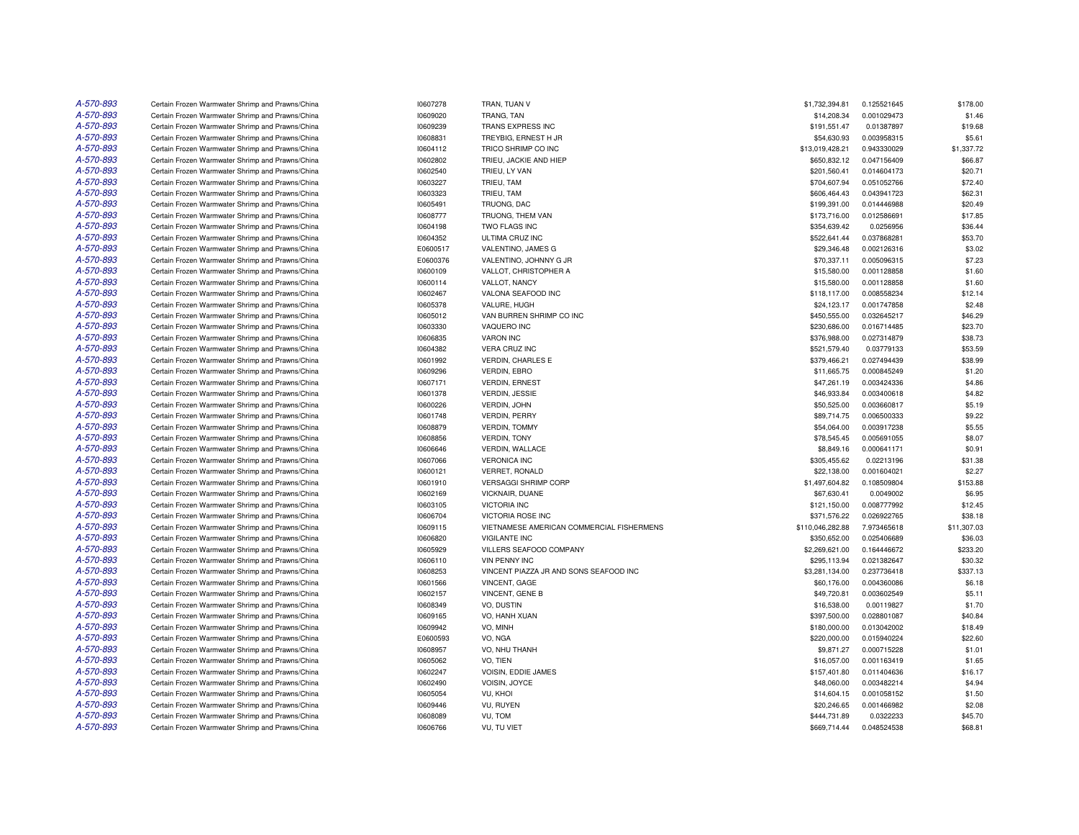| A-570-893 | Certain Frozen Warmwater Shrimp and Prawns/China | 10607278 | TRAN, TUAN V                              | \$1,732,394.81   | 0.125521645 | \$178.00    |
|-----------|--------------------------------------------------|----------|-------------------------------------------|------------------|-------------|-------------|
| A-570-893 | Certain Frozen Warmwater Shrimp and Prawns/China | 10609020 | TRANG, TAN                                | \$14,208.34      | 0.001029473 | \$1.46      |
| A-570-893 | Certain Frozen Warmwater Shrimp and Prawns/China | 10609239 | TRANS EXPRESS INC                         | \$191,551.47     | 0.01387897  | \$19.68     |
| A-570-893 | Certain Frozen Warmwater Shrimp and Prawns/China | 10608831 | TREYBIG, ERNEST H JR                      | \$54,630.93      | 0.003958315 | \$5.61      |
| A-570-893 | Certain Frozen Warmwater Shrimp and Prawns/China | 10604112 | TRICO SHRIMP CO INC                       | \$13,019,428.21  | 0.943330029 | \$1,337.72  |
| A-570-893 | Certain Frozen Warmwater Shrimp and Prawns/China | 10602802 | TRIEU, JACKIE AND HIEP                    | \$650,832.12     | 0.047156409 | \$66.87     |
| A-570-893 | Certain Frozen Warmwater Shrimp and Prawns/China | 10602540 | TRIEU, LY VAN                             | \$201,560.41     | 0.014604173 | \$20.71     |
| A-570-893 | Certain Frozen Warmwater Shrimp and Prawns/China | 10603227 | TRIEU, TAM                                | \$704,607.94     | 0.051052766 | \$72.40     |
| A-570-893 | Certain Frozen Warmwater Shrimp and Prawns/China | 10603323 | TRIEU, TAM                                | \$606,464.43     | 0.043941723 | \$62.31     |
| A-570-893 | Certain Frozen Warmwater Shrimp and Prawns/China | 10605491 | TRUONG, DAC                               | \$199,391.00     | 0.014446988 | \$20.49     |
| A-570-893 | Certain Frozen Warmwater Shrimp and Prawns/China | 10608777 | TRUONG, THEM VAN                          | \$173,716.00     | 0.012586691 | \$17.85     |
| A-570-893 | Certain Frozen Warmwater Shrimp and Prawns/China | 10604198 | TWO FLAGS INC                             | \$354,639.42     | 0.0256956   | \$36.44     |
| A-570-893 | Certain Frozen Warmwater Shrimp and Prawns/China | 10604352 | ULTIMA CRUZ INC                           | \$522,641.44     | 0.037868281 | \$53.70     |
| A-570-893 | Certain Frozen Warmwater Shrimp and Prawns/China | E0600517 | VALENTINO, JAMES G                        | \$29,346.48      | 0.002126316 | \$3.02      |
| A-570-893 | Certain Frozen Warmwater Shrimp and Prawns/China | E0600376 | VALENTINO, JOHNNY G JR                    | \$70,337.11      | 0.005096315 | \$7.23      |
| A-570-893 | Certain Frozen Warmwater Shrimp and Prawns/China | 10600109 | VALLOT, CHRISTOPHER A                     | \$15,580.00      | 0.001128858 | \$1.60      |
| A-570-893 | Certain Frozen Warmwater Shrimp and Prawns/China | 10600114 | VALLOT, NANCY                             | \$15,580.00      | 0.001128858 | \$1.60      |
| A-570-893 | Certain Frozen Warmwater Shrimp and Prawns/China | 10602467 | VALONA SEAFOOD INC                        | \$118,117.00     | 0.008558234 | \$12.14     |
| A-570-893 | Certain Frozen Warmwater Shrimp and Prawns/China | 10605378 | VALURE, HUGH                              | \$24,123.17      | 0.001747858 | \$2.48      |
| A-570-893 | Certain Frozen Warmwater Shrimp and Prawns/China | 10605012 | VAN BURREN SHRIMP CO INC                  | \$450,555.00     | 0.032645217 | \$46.29     |
| A-570-893 | Certain Frozen Warmwater Shrimp and Prawns/China | 10603330 | VAQUERO INC                               | \$230,686.00     | 0.016714485 | \$23.70     |
| A-570-893 | Certain Frozen Warmwater Shrimp and Prawns/China | 10606835 | <b>VARON INC</b>                          | \$376,988.00     | 0.027314879 | \$38.73     |
| A-570-893 | Certain Frozen Warmwater Shrimp and Prawns/China | 10604382 | <b>VERA CRUZ INC</b>                      | \$521,579.40     | 0.03779133  | \$53.59     |
| A-570-893 | Certain Frozen Warmwater Shrimp and Prawns/China | 10601992 | <b>VERDIN, CHARLES E</b>                  | \$379,466.21     | 0.027494439 | \$38.99     |
| A-570-893 | Certain Frozen Warmwater Shrimp and Prawns/China | 10609296 | VERDIN, EBRO                              | \$11,665.75      | 0.000845249 | \$1.20      |
| A-570-893 | Certain Frozen Warmwater Shrimp and Prawns/China | 10607171 | <b>VERDIN, ERNEST</b>                     | \$47,261.19      | 0.003424336 | \$4.86      |
| A-570-893 | Certain Frozen Warmwater Shrimp and Prawns/China | 10601378 | VERDIN, JESSIE                            | \$46,933.84      | 0.003400618 | \$4.82      |
| A-570-893 | Certain Frozen Warmwater Shrimp and Prawns/China | 10600226 | VERDIN, JOHN                              | \$50,525.00      | 0.003660817 | \$5.19      |
| A-570-893 | Certain Frozen Warmwater Shrimp and Prawns/China | 10601748 | <b>VERDIN, PERRY</b>                      | \$89,714.75      | 0.006500333 | \$9.22      |
| A-570-893 | Certain Frozen Warmwater Shrimp and Prawns/China | 10608879 | <b>VERDIN, TOMMY</b>                      | \$54,064.00      | 0.003917238 | \$5.55      |
| A-570-893 | Certain Frozen Warmwater Shrimp and Prawns/China | 10608856 | <b>VERDIN, TONY</b>                       | \$78,545.45      | 0.005691055 | \$8.07      |
| A-570-893 | Certain Frozen Warmwater Shrimp and Prawns/China | 10606646 | VERDIN, WALLACE                           | \$8,849.16       | 0.000641171 | \$0.91      |
| A-570-893 | Certain Frozen Warmwater Shrimp and Prawns/China | 10607066 | <b>VERONICA INC</b>                       | \$305,455.62     | 0.02213196  | \$31.38     |
| A-570-893 | Certain Frozen Warmwater Shrimp and Prawns/China | 10600121 | <b>VERRET, RONALD</b>                     | \$22,138.00      | 0.001604021 | \$2.27      |
| A-570-893 | Certain Frozen Warmwater Shrimp and Prawns/China | 10601910 | <b>VERSAGGI SHRIMP CORP</b>               | \$1,497,604.82   | 0.108509804 | \$153.88    |
| A-570-893 | Certain Frozen Warmwater Shrimp and Prawns/China | 10602169 | VICKNAIR, DUANE                           | \$67,630.41      | 0.0049002   | \$6.95      |
| A-570-893 | Certain Frozen Warmwater Shrimp and Prawns/China | 10603105 | <b>VICTORIA INC</b>                       | \$121,150.00     | 0.008777992 | \$12.45     |
| A-570-893 | Certain Frozen Warmwater Shrimp and Prawns/China | 10606704 | <b>VICTORIA ROSE INC</b>                  | \$371,576.22     | 0.026922765 | \$38.18     |
| A-570-893 | Certain Frozen Warmwater Shrimp and Prawns/China | 10609115 | VIETNAMESE AMERICAN COMMERCIAL FISHERMENS | \$110,046,282.88 | 7.973465618 | \$11,307.03 |
| A-570-893 | Certain Frozen Warmwater Shrimp and Prawns/China | 10606820 | <b>VIGILANTE INC</b>                      | \$350,652.00     | 0.025406689 | \$36.03     |
| A-570-893 | Certain Frozen Warmwater Shrimp and Prawns/China | 10605929 | VILLERS SEAFOOD COMPANY                   | \$2,269,621.00   | 0.164446672 | \$233.20    |
| A-570-893 | Certain Frozen Warmwater Shrimp and Prawns/China | 10606110 | <b>VIN PENNY INC</b>                      | \$295,113.94     | 0.021382647 | \$30.32     |
| A-570-893 | Certain Frozen Warmwater Shrimp and Prawns/China | 10608253 | VINCENT PIAZZA JR AND SONS SEAFOOD INC    | \$3,281,134.00   | 0.237736418 | \$337.13    |
| A-570-893 | Certain Frozen Warmwater Shrimp and Prawns/China | 10601566 | VINCENT, GAGE                             | \$60,176.00      | 0.004360086 | \$6.18      |
| A-570-893 | Certain Frozen Warmwater Shrimp and Prawns/China | 10602157 | VINCENT, GENE B                           | \$49,720.81      | 0.003602549 | \$5.11      |
| A-570-893 | Certain Frozen Warmwater Shrimp and Prawns/China | 10608349 | VO, DUSTIN                                | \$16,538.00      | 0.00119827  | \$1.70      |
| A-570-893 | Certain Frozen Warmwater Shrimp and Prawns/China | 10609165 | VO. HANH XUAN                             | \$397,500.00     | 0.028801087 | \$40.84     |
| A-570-893 | Certain Frozen Warmwater Shrimp and Prawns/China | 10609942 | VO, MINH                                  | \$180,000.00     | 0.013042002 | \$18.49     |
| A-570-893 | Certain Frozen Warmwater Shrimp and Prawns/China | E0600593 | VO, NGA                                   | \$220,000.00     | 0.015940224 | \$22.60     |
| A-570-893 | Certain Frozen Warmwater Shrimp and Prawns/China | 10608957 | VO, NHU THANH                             | \$9,871.27       | 0.000715228 | \$1.01      |
| A-570-893 | Certain Frozen Warmwater Shrimp and Prawns/China | 10605062 | VO. TIEN                                  | \$16,057.00      | 0.001163419 | \$1.65      |
| A-570-893 | Certain Frozen Warmwater Shrimp and Prawns/China | 10602247 | VOISIN, EDDIE JAMES                       | \$157,401.80     | 0.011404636 | \$16.17     |
| A-570-893 | Certain Frozen Warmwater Shrimp and Prawns/China | 10602490 | VOISIN, JOYCE                             | \$48,060.00      | 0.003482214 | \$4.94      |
| A-570-893 | Certain Frozen Warmwater Shrimp and Prawns/China | 10605054 | VU, KHOI                                  | \$14,604.15      | 0.001058152 | \$1.50      |
| A-570-893 | Certain Frozen Warmwater Shrimp and Prawns/China | 10609446 | VU, RUYEN                                 | \$20,246.65      | 0.001466982 | \$2.08      |
| A-570-893 | Certain Frozen Warmwater Shrimp and Prawns/China | 10608089 | VU. TOM                                   | \$444,731.89     | 0.0322233   | \$45.70     |
| A-570-893 | Certain Frozen Warmwater Shrimp and Prawns/China | 10606766 | VU, TU VIET                               | \$669,714.44     | 0.048524538 | \$68.81     |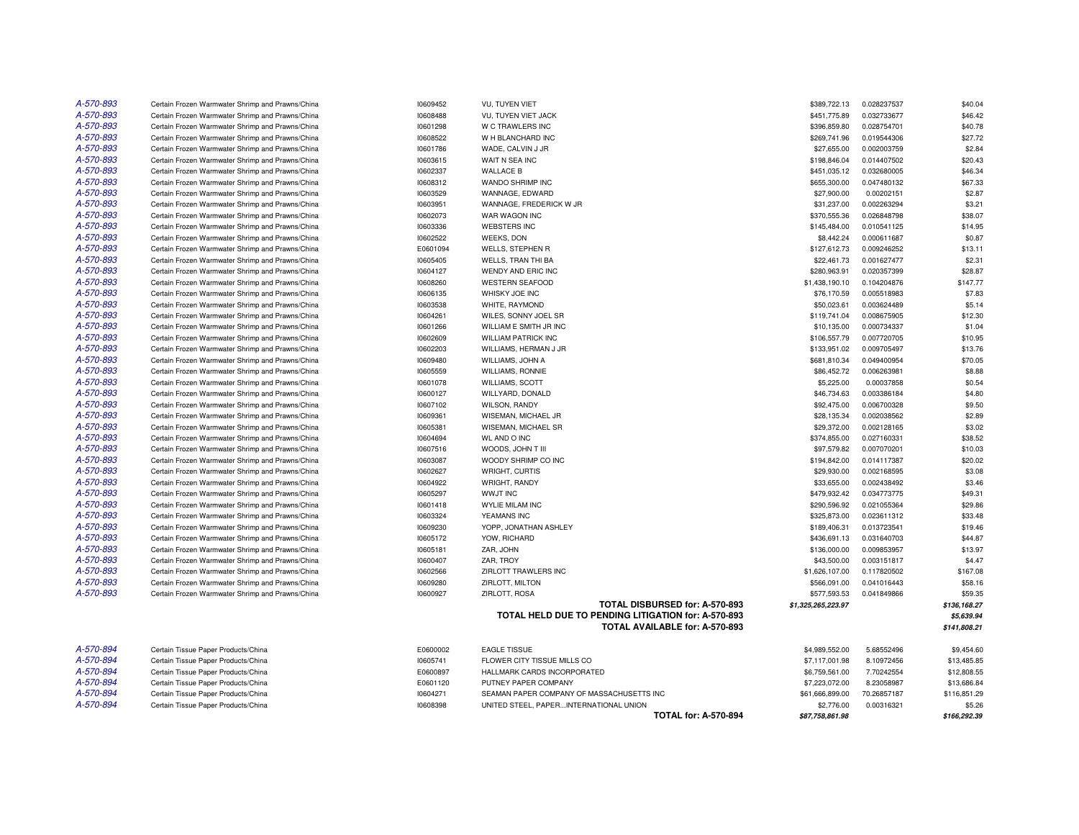| A-570-893 | Certain Frozen Warmwater Shrimp and Prawns/China | 10609452 | <b>VU, TUYEN VIET</b>                               | \$389,722.13       | 0.028237537 | \$40.04      |
|-----------|--------------------------------------------------|----------|-----------------------------------------------------|--------------------|-------------|--------------|
| A-570-893 | Certain Frozen Warmwater Shrimp and Prawns/China | 10608488 | VU, TUYEN VIET JACK                                 | \$451,775.89       | 0.032733677 | \$46.42      |
| A-570-893 | Certain Frozen Warmwater Shrimp and Prawns/China | 10601298 | W C TRAWLERS INC                                    | \$396,859.80       | 0.028754701 | \$40.78      |
| A-570-893 | Certain Frozen Warmwater Shrimp and Prawns/China | 10608522 | W H BLANCHARD INC                                   | \$269,741.96       | 0.019544306 | \$27.72      |
| A-570-893 | Certain Frozen Warmwater Shrimp and Prawns/China | 10601786 | WADE, CALVIN J JR                                   | \$27,655.00        | 0.002003759 | \$2.84       |
| A-570-893 | Certain Frozen Warmwater Shrimp and Prawns/China | 10603615 | WAIT N SEA INC                                      | \$198,846.04       | 0.014407502 | \$20.43      |
| A-570-893 | Certain Frozen Warmwater Shrimp and Prawns/China | 10602337 | <b>WALLACE B</b>                                    | \$451,035.12       | 0.032680005 | \$46.34      |
| A-570-893 | Certain Frozen Warmwater Shrimp and Prawns/China | 10608312 | WANDO SHRIMP INC                                    | \$655,300.00       | 0.047480132 | \$67.33      |
| A-570-893 | Certain Frozen Warmwater Shrimp and Prawns/China | 10603529 | WANNAGE, EDWARD                                     | \$27,900.00        | 0.00202151  | \$2.87       |
| A-570-893 | Certain Frozen Warmwater Shrimp and Prawns/China | 10603951 | WANNAGE, FREDERICK W JR                             | \$31,237.00        | 0.002263294 | \$3.21       |
| A-570-893 | Certain Frozen Warmwater Shrimp and Prawns/China | 10602073 | WAR WAGON INC                                       | \$370,555.36       | 0.026848798 | \$38.07      |
| A-570-893 | Certain Frozen Warmwater Shrimp and Prawns/China | 10603336 | <b>WEBSTERS INC</b>                                 | \$145,484.00       | 0.010541125 | \$14.95      |
| A-570-893 | Certain Frozen Warmwater Shrimp and Prawns/China | 10602522 | <b>WEEKS, DON</b>                                   | \$8,442.24         | 0.000611687 | \$0.87       |
| A-570-893 | Certain Frozen Warmwater Shrimp and Prawns/China | E0601094 | <b>WELLS, STEPHEN R</b>                             | \$127,612.73       | 0.009246252 | \$13.11      |
| A-570-893 | Certain Frozen Warmwater Shrimp and Prawns/China | 10605405 | <b>WELLS, TRAN THI BA</b>                           | \$22,461.73        | 0.001627477 | \$2.31       |
| A-570-893 | Certain Frozen Warmwater Shrimp and Prawns/China | 10604127 | WENDY AND ERIC INC                                  | \$280,963.91       | 0.020357399 | \$28.87      |
| A-570-893 | Certain Frozen Warmwater Shrimp and Prawns/China | 10608260 | <b>WESTERN SEAFOOD</b>                              | \$1,438,190.10     | 0.104204876 | \$147.77     |
| A-570-893 | Certain Frozen Warmwater Shrimp and Prawns/China | 10606135 | WHISKY JOE INC                                      | \$76,170.59        | 0.005518983 | \$7.83       |
| A-570-893 | Certain Frozen Warmwater Shrimp and Prawns/China | 10603538 | WHITE, RAYMOND                                      | \$50,023.61        | 0.003624489 | \$5.14       |
| A-570-893 | Certain Frozen Warmwater Shrimp and Prawns/China | 10604261 | WILES, SONNY JOEL SR                                | \$119,741.04       | 0.008675905 | \$12.30      |
| A-570-893 | Certain Frozen Warmwater Shrimp and Prawns/China | 10601266 | WILLIAM E SMITH JR INC                              | \$10,135.00        | 0.000734337 | \$1.04       |
| A-570-893 | Certain Frozen Warmwater Shrimp and Prawns/China | 10602609 | <b>WILLIAM PATRICK INC</b>                          | \$106,557.79       | 0.007720705 | \$10.95      |
| A-570-893 | Certain Frozen Warmwater Shrimp and Prawns/China | 10602203 | WILLIAMS, HERMAN J JR                               | \$133,951.02       | 0.009705497 | \$13.76      |
| A-570-893 | Certain Frozen Warmwater Shrimp and Prawns/China | 10609480 | WILLIAMS, JOHN A                                    | \$681,810.34       | 0.049400954 | \$70.05      |
| A-570-893 | Certain Frozen Warmwater Shrimp and Prawns/China | 10605559 | WILLIAMS, RONNIE                                    | \$86,452.72        | 0.006263981 | \$8.88       |
| A-570-893 | Certain Frozen Warmwater Shrimp and Prawns/China | 10601078 | <b>WILLIAMS, SCOTT</b>                              | \$5,225.00         | 0.00037858  | \$0.54       |
| A-570-893 | Certain Frozen Warmwater Shrimp and Prawns/China | 10600127 | WILLYARD, DONALD                                    | \$46,734.63        | 0.003386184 | \$4.80       |
| A-570-893 | Certain Frozen Warmwater Shrimp and Prawns/China | 10607102 | <b>WILSON, RANDY</b>                                | \$92,475.00        | 0.006700328 | \$9.50       |
| A-570-893 | Certain Frozen Warmwater Shrimp and Prawns/China | 10609361 | WISEMAN, MICHAEL JR                                 | \$28,135.34        | 0.002038562 | \$2.89       |
| A-570-893 | Certain Frozen Warmwater Shrimp and Prawns/China | 10605381 | WISEMAN, MICHAEL SR                                 | \$29,372.00        | 0.002128165 | \$3.02       |
| A-570-893 | Certain Frozen Warmwater Shrimp and Prawns/China | 10604694 | <b>WL AND O INC</b>                                 | \$374,855.00       | 0.027160331 | \$38.52      |
| A-570-893 | Certain Frozen Warmwater Shrimp and Prawns/China | 10607516 | WOODS, JOHN T III                                   | \$97,579.82        | 0.007070201 | \$10.03      |
| A-570-893 | Certain Frozen Warmwater Shrimp and Prawns/China | 10603087 | WOODY SHRIMP CO INC                                 | \$194,842.00       | 0.014117387 | \$20.02      |
| A-570-893 | Certain Frozen Warmwater Shrimp and Prawns/China | 10602627 | WRIGHT, CURTIS                                      | \$29,930.00        | 0.002168595 | \$3.08       |
| A-570-893 | Certain Frozen Warmwater Shrimp and Prawns/China | 10604922 | <b>WRIGHT, RANDY</b>                                | \$33,655.00        | 0.002438492 | \$3.46       |
| A-570-893 | Certain Frozen Warmwater Shrimp and Prawns/China | 10605297 | <b>WWJT INC</b>                                     | \$479,932.42       | 0.034773775 | \$49.31      |
| A-570-893 | Certain Frozen Warmwater Shrimp and Prawns/China | 10601418 | <b>WYLIE MILAM INC</b>                              | \$290,596.92       | 0.021055364 | \$29.86      |
| A-570-893 | Certain Frozen Warmwater Shrimp and Prawns/China | 10603324 | YEAMANS INC                                         | \$325,873.00       | 0.023611312 | \$33.48      |
| A-570-893 | Certain Frozen Warmwater Shrimp and Prawns/China | 10609230 | YOPP, JONATHAN ASHLEY                               | \$189,406.31       | 0.013723541 | \$19.46      |
| A-570-893 | Certain Frozen Warmwater Shrimp and Prawns/China | 10605172 | YOW, RICHARD                                        | \$436,691.13       | 0.031640703 | \$44.87      |
| A-570-893 | Certain Frozen Warmwater Shrimp and Prawns/China | 10605181 | ZAR, JOHN                                           | \$136,000.00       | 0.009853957 | \$13.97      |
| A-570-893 | Certain Frozen Warmwater Shrimp and Prawns/China | 10600407 | ZAR. TROY                                           | \$43,500.00        | 0.003151817 | \$4.47       |
| A-570-893 | Certain Frozen Warmwater Shrimp and Prawns/China | 10602566 | ZIRLOTT TRAWLERS INC                                | \$1,626,107.00     | 0.117820502 | \$167.08     |
| A-570-893 | Certain Frozen Warmwater Shrimp and Prawns/China | 10609280 | ZIRLOTT, MILTON                                     | \$566,091.00       | 0.041016443 | \$58.16      |
| A-570-893 | Certain Frozen Warmwater Shrimp and Prawns/China | 10600927 | ZIRLOTT, ROSA                                       | \$577,593.53       | 0.041849866 | \$59.35      |
|           |                                                  |          | TOTAL DISBURSED for: A-570-893                      | \$1,325,265,223.97 |             | \$136,168.27 |
|           |                                                  |          | TOTAL HELD DUE TO PENDING LITIGATION for: A-570-893 |                    |             | \$5,639.94   |
|           |                                                  |          | TOTAL AVAILABLE for: A-570-893                      |                    |             | \$141,808.21 |
| A-570-894 | Certain Tissue Paper Products/China              | E0600002 | <b>EAGLE TISSUE</b>                                 | \$4,989,552.00     | 5.68552496  | \$9,454.60   |
| A-570-894 | Certain Tissue Paper Products/China              | 10605741 | FLOWER CITY TISSUE MILLS CO                         | \$7,117,001.98     | 8.10972456  | \$13,485.85  |
| A-570-894 | Certain Tissue Paper Products/China              | E0600897 | HALLMARK CARDS INCORPORATED                         | \$6,759,561.00     | 7.70242554  | \$12,808.55  |
| A-570-894 | Certain Tissue Paper Products/China              | E0601120 | PUTNEY PAPER COMPANY                                | \$7,223,072.00     | 8.23058987  | \$13,686.84  |
| A-570-894 | Certain Tissue Paper Products/China              | 10604271 | SEAMAN PAPER COMPANY OF MASSACHUSETTS INC           | \$61,666,899.00    | 70.26857187 | \$116,851.29 |
| A-570-894 | Certain Tissue Paper Products/China              | 10608398 | UNITED STEEL, PAPERINTERNATIONAL UNION              | \$2,776.00         | 0.00316321  | \$5.26       |
|           |                                                  |          | <b>TOTAL for: A-570-894</b>                         | \$87,758,861.98    |             | \$166.292.39 |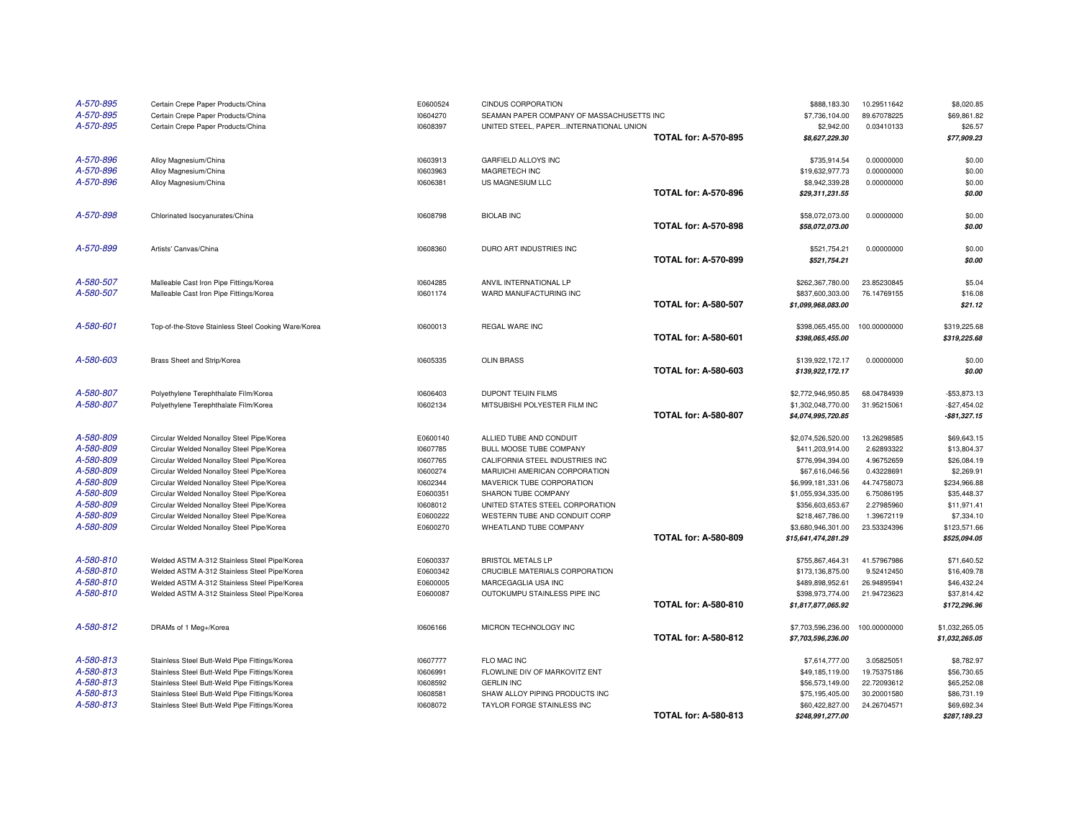| A-570-895<br>A-570-895<br>A-570-895 | Certain Crepe Paper Products/China<br>Certain Crepe Paper Products/China<br>Certain Crepe Paper Products/China | E0600524<br>10604270<br>10608397 | <b>CINDUS CORPORATION</b><br>SEAMAN PAPER COMPANY OF MASSACHUSETTS INC<br>UNITED STEEL, PAPERINTERNATIONAL UNION | <b>TOTAL for: A-570-895</b> | \$888,183,30<br>\$7,736,104.00<br>\$2,942.00<br>\$8,627,229.30 | 10.29511642<br>89.67078225<br>0.03410133 | \$8,020.85<br>\$69,861.82<br>\$26.57<br>\$77,909.23 |
|-------------------------------------|----------------------------------------------------------------------------------------------------------------|----------------------------------|------------------------------------------------------------------------------------------------------------------|-----------------------------|----------------------------------------------------------------|------------------------------------------|-----------------------------------------------------|
| A-570-896                           | Alloy Magnesium/China                                                                                          | 10603913                         | GARFIELD ALLOYS INC                                                                                              |                             | \$735,914.54                                                   | 0.00000000                               | \$0.00                                              |
| A-570-896                           | Alloy Magnesium/China                                                                                          | 10603963                         | MAGRETECH INC                                                                                                    |                             | \$19,632,977.73                                                | 0.00000000                               | \$0.00                                              |
| A-570-896                           | Alloy Magnesium/China                                                                                          | 10606381                         | US MAGNESIUM LLC                                                                                                 |                             | \$8,942,339.28                                                 | 0.00000000                               | \$0.00                                              |
|                                     |                                                                                                                |                                  |                                                                                                                  | <b>TOTAL for: A-570-896</b> | \$29,311,231.55                                                |                                          | \$0.00                                              |
| A-570-898                           | Chlorinated Isocyanurates/China                                                                                | 10608798                         | <b>BIOLAB INC</b>                                                                                                |                             | \$58,072,073.00                                                | 0.00000000                               | \$0.00                                              |
|                                     |                                                                                                                |                                  |                                                                                                                  | <b>TOTAL for: A-570-898</b> | \$58,072,073.00                                                |                                          | \$0.00                                              |
| A-570-899                           | Artists' Canvas/China                                                                                          | 10608360                         | DURO ART INDUSTRIES INC                                                                                          |                             | \$521,754.21                                                   | 0.00000000                               | \$0.00                                              |
|                                     |                                                                                                                |                                  |                                                                                                                  | <b>TOTAL for: A-570-899</b> | \$521,754.21                                                   |                                          | \$0.00                                              |
| A-580-507                           | Malleable Cast Iron Pipe Fittings/Korea                                                                        | 10604285                         | ANVIL INTERNATIONAL LP                                                                                           |                             | \$262,367,780.00                                               | 23.85230845                              | \$5.04                                              |
| A-580-507                           | Malleable Cast Iron Pipe Fittings/Korea                                                                        | 10601174                         | WARD MANUFACTURING INC                                                                                           |                             | \$837,600,303.00                                               | 76.14769155                              | \$16.08                                             |
|                                     |                                                                                                                |                                  |                                                                                                                  | <b>TOTAL for: A-580-507</b> | \$1,099,968,083.00                                             |                                          | \$21.12                                             |
| A-580-601                           | Top-of-the-Stove Stainless Steel Cooking Ware/Korea                                                            | 10600013                         | REGAL WARE INC                                                                                                   |                             | \$398,065,455.00                                               | 100.00000000                             | \$319,225.68                                        |
|                                     |                                                                                                                |                                  |                                                                                                                  | <b>TOTAL for: A-580-601</b> | \$398,065,455.00                                               |                                          | \$319,225.68                                        |
| A-580-603                           | Brass Sheet and Strip/Korea                                                                                    | 10605335                         | <b>OLIN BRASS</b>                                                                                                |                             | \$139,922,172.17                                               | 0.00000000                               | \$0.00                                              |
|                                     |                                                                                                                |                                  |                                                                                                                  | <b>TOTAL for: A-580-603</b> | \$139,922,172.17                                               |                                          | \$0.00                                              |
| A-580-807                           | Polyethylene Terephthalate Film/Korea                                                                          | 10606403                         | DUPONT TEIJIN FILMS                                                                                              |                             | \$2,772,946,950.85                                             | 68.04784939                              | $-$53,873.13$                                       |
| A-580-807                           | Polyethylene Terephthalate Film/Korea                                                                          | 10602134                         | MITSUBISHI POLYESTER FILM INC                                                                                    |                             | \$1,302,048,770.00                                             | 31.95215061                              | $-$27.454.02$                                       |
|                                     |                                                                                                                |                                  |                                                                                                                  | <b>TOTAL for: A-580-807</b> | \$4,074,995,720.85                                             |                                          | $-$81,327.15$                                       |
| A-580-809                           | Circular Welded Nonalloy Steel Pipe/Korea                                                                      | E0600140                         | ALLIED TUBE AND CONDUIT                                                                                          |                             | \$2,074,526,520.00                                             | 13.26298585                              | \$69,643.15                                         |
| A-580-809                           | Circular Welded Nonalloy Steel Pipe/Korea                                                                      | 10607785                         | BULL MOOSE TUBE COMPANY                                                                                          |                             | \$411,203,914.00                                               | 2.62893322                               | \$13,804.37                                         |
| A-580-809                           | Circular Welded Nonalloy Steel Pipe/Korea                                                                      | 10607765                         | CALIFORNIA STEEL INDUSTRIES INC                                                                                  |                             | \$776,994,394.00                                               | 4.96752659                               | \$26,084.19                                         |
| A-580-809                           | Circular Welded Nonalloy Steel Pipe/Korea                                                                      | 10600274                         | MARUICHI AMERICAN CORPORATION                                                                                    |                             | \$67,616,046.56                                                | 0.43228691                               | \$2,269.91                                          |
| A-580-809                           | Circular Welded Nonalloy Steel Pipe/Korea                                                                      | 10602344                         | MAVERICK TUBE CORPORATION                                                                                        |                             | \$6,999,181,331.06                                             | 44.74758073                              | \$234,966.88                                        |
| A-580-809                           | Circular Welded Nonalloy Steel Pipe/Korea                                                                      | E0600351                         | SHARON TUBE COMPANY                                                                                              |                             | \$1,055,934,335.00                                             | 6.75086195                               | \$35,448.37                                         |
| A-580-809                           | Circular Welded Nonalloy Steel Pipe/Korea                                                                      | 10608012                         | UNITED STATES STEEL CORPORATION                                                                                  |                             | \$356,603,653.67                                               | 2.27985960                               | \$11,971.41                                         |
| A-580-809                           | Circular Welded Nonalloy Steel Pipe/Korea                                                                      | E0600222                         | WESTERN TUBE AND CONDUIT CORP                                                                                    |                             | \$218,467,786.00                                               | 1.39672119                               | \$7,334.10                                          |
| A-580-809                           | Circular Welded Nonalloy Steel Pipe/Korea                                                                      | E0600270                         | WHEATLAND TUBE COMPANY                                                                                           |                             | \$3,680,946,301.00                                             | 23.53324396                              | \$123,571.66                                        |
|                                     |                                                                                                                |                                  |                                                                                                                  | <b>TOTAL for: A-580-809</b> | \$15,641,474,281.29                                            |                                          | \$525,094.05                                        |
| A-580-810                           | Welded ASTM A-312 Stainless Steel Pipe/Korea                                                                   | E0600337                         | <b>BRISTOL METALS LP</b>                                                                                         |                             | \$755,867,464.31                                               | 41.57967986                              | \$71,640.52                                         |
| A-580-810                           | Welded ASTM A-312 Stainless Steel Pipe/Korea                                                                   | E0600342                         | CRUCIBLE MATERIALS CORPORATION                                                                                   |                             | \$173,136,875.00                                               | 9.52412450                               | \$16,409.78                                         |
| A-580-810                           | Welded ASTM A-312 Stainless Steel Pipe/Korea                                                                   | E0600005                         | MARCEGAGLIA USA INC                                                                                              |                             | \$489,898,952.61                                               | 26.94895941                              | \$46,432.24                                         |
| A-580-810                           | Welded ASTM A-312 Stainless Steel Pipe/Korea                                                                   | E0600087                         | OUTOKUMPU STAINLESS PIPE INC                                                                                     |                             | \$398,973,774.00                                               | 21.94723623                              | \$37,814.42                                         |
|                                     |                                                                                                                |                                  |                                                                                                                  | <b>TOTAL for: A-580-810</b> | \$1,817,877,065.92                                             |                                          | \$172,296.96                                        |
| A-580-812                           | DRAMs of 1 Meg+/Korea                                                                                          | 10606166                         | MICRON TECHNOLOGY INC                                                                                            |                             | \$7,703,596,236.00                                             | 100.00000000                             | \$1,032,265.05                                      |
|                                     |                                                                                                                |                                  |                                                                                                                  | <b>TOTAL for: A-580-812</b> | \$7,703,596,236.00                                             |                                          | \$1,032,265.05                                      |
| A-580-813                           | Stainless Steel Butt-Weld Pipe Fittings/Korea                                                                  | 10607777                         | FLO MAC INC                                                                                                      |                             | \$7,614,777.00                                                 | 3.05825051                               | \$8,782.97                                          |
| A-580-813                           | Stainless Steel Butt-Weld Pipe Fittings/Korea                                                                  | 10606991                         | FLOWLINE DIV OF MARKOVITZ ENT                                                                                    |                             | \$49,185,119.00                                                | 19.75375186                              | \$56,730.65                                         |
| A-580-813                           | Stainless Steel Butt-Weld Pipe Fittings/Korea                                                                  | 10608592                         | <b>GERLIN INC</b>                                                                                                |                             | \$56,573,149.00                                                | 22.72093612                              | \$65,252.08                                         |
| A-580-813                           | Stainless Steel Butt-Weld Pipe Fittings/Korea                                                                  | 10608581                         | SHAW ALLOY PIPING PRODUCTS INC                                                                                   |                             | \$75,195,405.00                                                | 30.20001580                              | \$86,731.19                                         |
| A-580-813                           |                                                                                                                |                                  |                                                                                                                  |                             |                                                                |                                          |                                                     |
|                                     | Stainless Steel Butt-Weld Pipe Fittings/Korea                                                                  | 10608072                         | TAYLOR FORGE STAINLESS INC                                                                                       | <b>TOTAL for: A-580-813</b> | \$60,422,827.00<br>\$248,991,277.00                            | 24.26704571                              | \$69,692.34<br>\$287,189.23                         |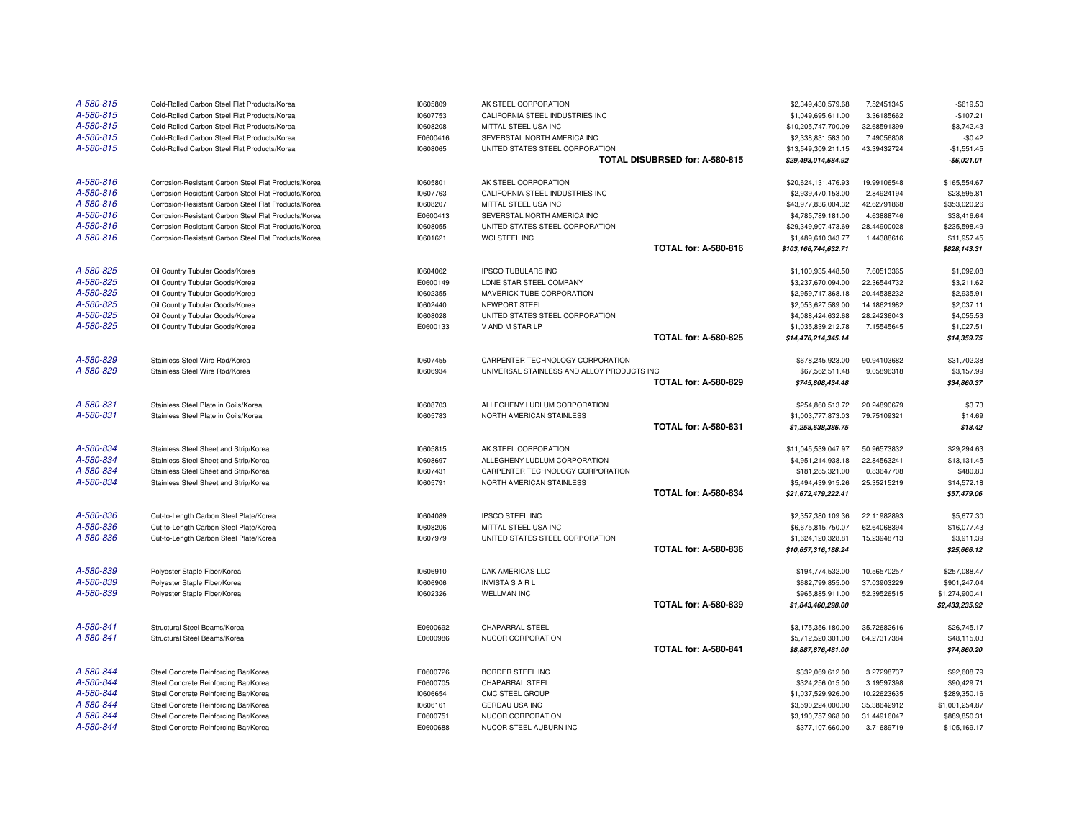| A-580-815 | Cold-Rolled Carbon Steel Flat Products/Korea         | 10605809 | AK STEEL CORPORATION                       |                                | \$2,349,430,579.68   | 7.52451345  | $-$619.50$     |
|-----------|------------------------------------------------------|----------|--------------------------------------------|--------------------------------|----------------------|-------------|----------------|
| A-580-815 | Cold-Rolled Carbon Steel Flat Products/Korea         | 10607753 | CALIFORNIA STEEL INDUSTRIES INC            |                                | \$1,049,695,611.00   | 3.36185662  | $-$107.21$     |
| A-580-815 | Cold-Rolled Carbon Steel Flat Products/Korea         | 10608208 | MITTAL STEEL USA INC                       |                                | \$10,205,747,700.09  | 32.68591399 | $-$3,742.43$   |
| A-580-815 | Cold-Rolled Carbon Steel Flat Products/Korea         | E0600416 | SEVERSTAL NORTH AMERICA INC                |                                | \$2,338,831,583.00   | 7.49056808  | $-$0.42$       |
| A-580-815 | Cold-Rolled Carbon Steel Flat Products/Korea         | 10608065 | UNITED STATES STEEL CORPORATION            |                                | \$13,549,309,211.15  | 43.39432724 | $-$1,551.45$   |
|           |                                                      |          |                                            | TOTAL DISUBRSED for: A-580-815 | \$29,493,014,684.92  |             | $-$6,021.01$   |
| A-580-816 | Corrosion-Resistant Carbon Steel Flat Products/Korea | 10605801 | AK STEEL CORPORATION                       |                                | \$20,624,131,476.93  | 19.99106548 | \$165,554.67   |
| A-580-816 | Corrosion-Resistant Carbon Steel Flat Products/Korea | 10607763 | CALIFORNIA STEEL INDUSTRIES INC            |                                | \$2,939,470,153.00   | 2.84924194  | \$23,595.81    |
| A-580-816 | Corrosion-Resistant Carbon Steel Flat Products/Korea | 10608207 | MITTAL STEEL USA INC                       |                                | \$43,977,836,004.32  | 42.62791868 | \$353,020.26   |
| A-580-816 | Corrosion-Resistant Carbon Steel Flat Products/Korea | E0600413 | SEVERSTAL NORTH AMERICA INC                |                                | \$4,785,789,181.00   | 4.63888746  | \$38,416.64    |
| A-580-816 | Corrosion-Resistant Carbon Steel Flat Products/Korea | 10608055 | UNITED STATES STEEL CORPORATION            |                                | \$29,349,907,473.69  | 28.44900028 | \$235,598.49   |
| A-580-816 | Corrosion-Resistant Carbon Steel Flat Products/Korea | 10601621 | WCI STEEL INC                              |                                | \$1,489,610,343.77   | 1.44388616  | \$11,957.45    |
|           |                                                      |          |                                            | <b>TOTAL for: A-580-816</b>    | \$103,166,744,632.71 |             | \$828,143.31   |
| A-580-825 | Oil Country Tubular Goods/Korea                      | 10604062 | <b>IPSCO TUBULARS INC</b>                  |                                | \$1,100,935,448.50   | 7.60513365  | \$1,092.08     |
| A-580-825 | Oil Country Tubular Goods/Korea                      | E0600149 | LONE STAR STEEL COMPANY                    |                                | \$3,237,670,094.00   | 22.36544732 | \$3,211.62     |
| A-580-825 | Oil Country Tubular Goods/Korea                      | 10602355 | MAVERICK TUBE CORPORATION                  |                                | \$2,959,717,368.18   | 20.44538232 | \$2,935.91     |
| A-580-825 | Oil Country Tubular Goods/Korea                      | 10602440 | NEWPORT STEEL                              |                                | \$2,053,627,589.00   | 14.18621982 | \$2,037.11     |
| A-580-825 | Oil Country Tubular Goods/Korea                      | 10608028 | UNITED STATES STEEL CORPORATION            |                                | \$4,088,424,632.68   | 28.24236043 | \$4,055.53     |
| A-580-825 | Oil Country Tubular Goods/Korea                      | E0600133 | V AND M STAR LP                            |                                | \$1,035,839,212.78   | 7.15545645  | \$1,027.51     |
|           |                                                      |          |                                            | <b>TOTAL for: A-580-825</b>    | \$14,476,214,345.14  |             | \$14,359.75    |
| A-580-829 | Stainless Steel Wire Rod/Korea                       | 10607455 | CARPENTER TECHNOLOGY CORPORATION           |                                | \$678,245,923.00     | 90.94103682 | \$31,702.38    |
| A-580-829 | Stainless Steel Wire Rod/Korea                       | 10606934 | UNIVERSAL STAINLESS AND ALLOY PRODUCTS INC |                                | \$67,562,511.48      | 9.05896318  | \$3,157.99     |
|           |                                                      |          |                                            | <b>TOTAL for: A-580-829</b>    | \$745,808,434.48     |             | \$34,860.37    |
| A-580-831 | Stainless Steel Plate in Coils/Korea                 | 10608703 | ALLEGHENY LUDLUM CORPORATION               |                                | \$254,860,513.72     | 20.24890679 | \$3.73         |
| A-580-831 | Stainless Steel Plate in Coils/Korea                 | 10605783 | NORTH AMERICAN STAINLESS                   |                                | \$1,003,777,873.03   | 79.75109321 | \$14.69        |
|           |                                                      |          |                                            | <b>TOTAL for: A-580-831</b>    | \$1,258,638,386.75   |             | \$18.42        |
| A-580-834 | Stainless Steel Sheet and Strip/Korea                | 10605815 | AK STEEL CORPORATION                       |                                | \$11,045,539,047.97  | 50.96573832 | \$29,294.63    |
| A-580-834 | Stainless Steel Sheet and Strip/Korea                | 10608697 | ALLEGHENY LUDLUM CORPORATION               |                                | \$4,951,214,938.18   | 22.84563241 | \$13,131.45    |
| A-580-834 | Stainless Steel Sheet and Strip/Korea                | 10607431 | CARPENTER TECHNOLOGY CORPORATION           |                                | \$181,285,321.00     | 0.83647708  | \$480.80       |
| A-580-834 | Stainless Steel Sheet and Strip/Korea                | 10605791 | NORTH AMERICAN STAINLESS                   |                                | \$5,494,439,915.26   | 25.35215219 | \$14,572.18    |
|           |                                                      |          |                                            | <b>TOTAL for: A-580-834</b>    | \$21,672,479,222.41  |             | \$57,479.06    |
| A-580-836 | Cut-to-Length Carbon Steel Plate/Korea               | 10604089 | <b>IPSCO STEEL INC</b>                     |                                | \$2,357,380,109.36   | 22.11982893 | \$5,677.30     |
| A-580-836 | Cut-to-Length Carbon Steel Plate/Korea               | 10608206 | MITTAL STEEL USA INC                       |                                | \$6,675,815,750.07   | 62.64068394 | \$16,077.43    |
| A-580-836 | Cut-to-Length Carbon Steel Plate/Korea               | 10607979 | UNITED STATES STEEL CORPORATION            |                                | \$1,624,120,328.81   | 15.23948713 | \$3,911.39     |
|           |                                                      |          |                                            | <b>TOTAL for: A-580-836</b>    | \$10,657,316,188.24  |             | \$25,666.12    |
| A-580-839 | Polyester Staple Fiber/Korea                         | 10606910 | DAK AMERICAS LLC                           |                                | \$194,774,532.00     | 10.56570257 | \$257,088.47   |
| A-580-839 | Polyester Staple Fiber/Korea                         | 10606906 | INVISTA S A R L                            |                                | \$682,799,855.00     | 37.03903229 | \$901,247.04   |
| A-580-839 | Polyester Staple Fiber/Korea                         | 10602326 | <b>WELLMAN INC</b>                         |                                | \$965,885,911.00     | 52.39526515 | \$1,274,900.41 |
|           |                                                      |          |                                            | <b>TOTAL for: A-580-839</b>    | \$1,843,460,298.00   |             | \$2,433,235.92 |
| A-580-841 | Structural Steel Beams/Korea                         | E0600692 | CHAPARRAL STEEL                            |                                | \$3,175,356,180.00   | 35.72682616 | \$26,745.17    |
| A-580-841 | Structural Steel Beams/Korea                         | E0600986 | NUCOR CORPORATION                          |                                | \$5,712,520,301.00   | 64.27317384 | \$48,115.03    |
|           |                                                      |          |                                            | <b>TOTAL for: A-580-841</b>    | \$8,887,876,481.00   |             | \$74,860.20    |
| A-580-844 | Steel Concrete Reinforcing Bar/Korea                 | E0600726 | BORDER STEEL INC                           |                                | \$332,069,612.00     | 3.27298737  | \$92,608.79    |
| A-580-844 | Steel Concrete Reinforcing Bar/Korea                 | E0600705 | CHAPARRAL STEEL                            |                                | \$324,256,015.00     | 3.19597398  | \$90,429.71    |
| A-580-844 | Steel Concrete Reinforcing Bar/Korea                 | 10606654 | CMC STEEL GROUP                            |                                | \$1,037,529,926.00   | 10.22623635 | \$289,350.16   |
| A-580-844 | Steel Concrete Reinforcing Bar/Korea                 | 10606161 | GERDAU USA INC                             |                                | \$3,590,224,000.00   | 35.38642912 | \$1,001,254.87 |
| A-580-844 | Steel Concrete Reinforcing Bar/Korea                 | E0600751 | NUCOR CORPORATION                          |                                | \$3,190,757,968.00   | 31.44916047 | \$889,850.31   |
| A-580-844 | Steel Concrete Reinforcing Bar/Korea                 | E0600688 | NUCOR STEEL AUBURN INC                     |                                | \$377,107,660.00     | 3.71689719  | \$105,169.17   |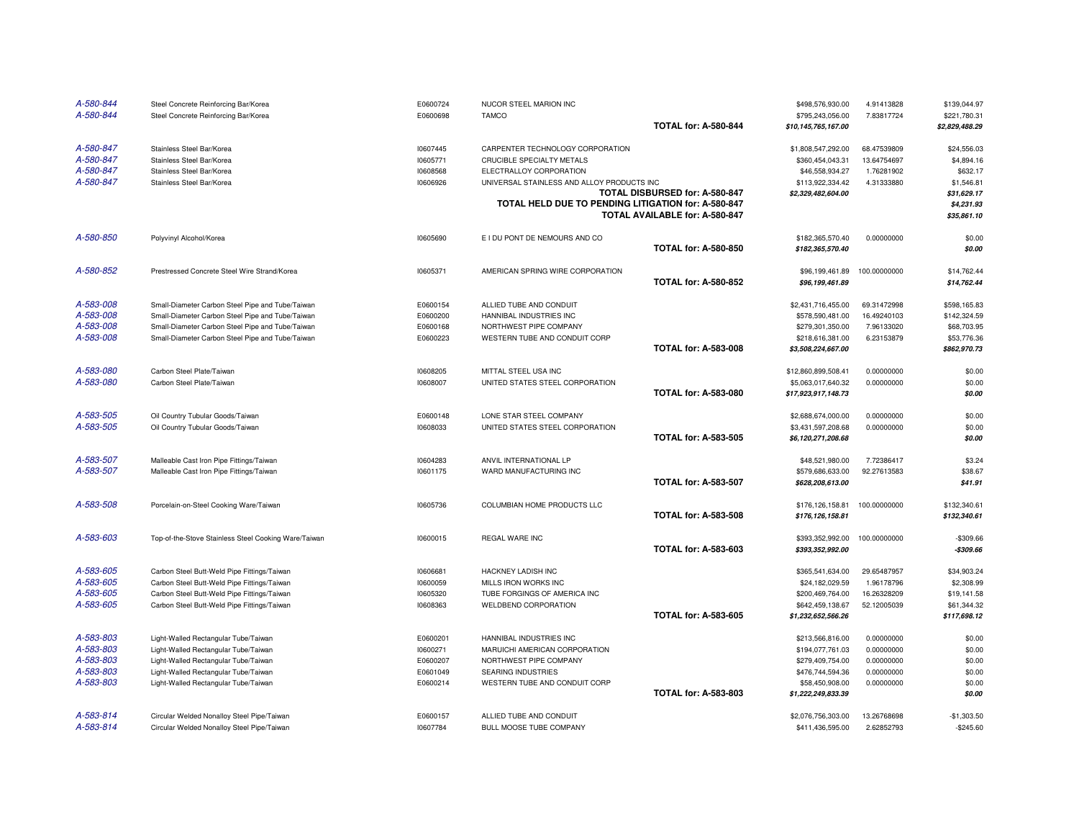| A-580-844 | Steel Concrete Reinforcing Bar/Korea                 | E0600724 | NUCOR STEEL MARION INC                              |                                | \$498,576,930.00    | 4.91413828   | \$139,044.97   |
|-----------|------------------------------------------------------|----------|-----------------------------------------------------|--------------------------------|---------------------|--------------|----------------|
| A-580-844 | Steel Concrete Reinforcing Bar/Korea                 | E0600698 | <b>TAMCO</b>                                        |                                | \$795,243,056.00    | 7.83817724   | \$221,780.31   |
|           |                                                      |          |                                                     | <b>TOTAL for: A-580-844</b>    | \$10,145,765,167.00 |              | \$2,829,488.29 |
| A-580-847 | Stainless Steel Bar/Korea                            | 10607445 | CARPENTER TECHNOLOGY CORPORATION                    |                                | \$1,808,547,292.00  | 68.47539809  | \$24,556.03    |
| A-580-847 | Stainless Steel Bar/Korea                            | 10605771 | CRUCIBLE SPECIALTY METALS                           |                                | \$360,454,043.31    | 13.64754697  | \$4,894.16     |
| A-580-847 | Stainless Steel Bar/Korea                            | 10608568 | ELECTRALLOY CORPORATION                             |                                | \$46,558,934.27     | 1.76281902   | \$632.17       |
| A-580-847 | Stainless Steel Bar/Korea                            | 10606926 | UNIVERSAL STAINLESS AND ALLOY PRODUCTS INC          |                                | \$113,922,334.42    | 4.31333880   | \$1,546.81     |
|           |                                                      |          |                                                     | TOTAL DISBURSED for: A-580-847 | \$2,329,482,604.00  |              | \$31,629.17    |
|           |                                                      |          | TOTAL HELD DUE TO PENDING LITIGATION for: A-580-847 |                                |                     |              | \$4,231.93     |
|           |                                                      |          |                                                     | TOTAL AVAILABLE for: A-580-847 |                     |              | \$35,861.10    |
| A-580-850 | Polyvinyl Alcohol/Korea                              | 10605690 | E I DU PONT DE NEMOURS AND CO                       |                                | \$182,365,570.40    | 0.00000000   | \$0.00         |
|           |                                                      |          |                                                     | <b>TOTAL for: A-580-850</b>    | \$182,365,570.40    |              | \$0.00         |
| A-580-852 | Prestressed Concrete Steel Wire Strand/Korea         | 10605371 | AMERICAN SPRING WIRE CORPORATION                    |                                | \$96,199,461.89     | 100.00000000 | \$14,762.44    |
|           |                                                      |          |                                                     | <b>TOTAL for: A-580-852</b>    | \$96,199,461.89     |              | \$14,762.44    |
| A-583-008 | Small-Diameter Carbon Steel Pipe and Tube/Taiwan     | E0600154 | ALLIED TUBE AND CONDUIT                             |                                | \$2,431,716,455.00  | 69.31472998  | \$598,165.83   |
| A-583-008 | Small-Diameter Carbon Steel Pipe and Tube/Taiwan     | E0600200 | HANNIBAL INDUSTRIES INC                             |                                | \$578,590,481.00    | 16.49240103  | \$142,324.59   |
| A-583-008 | Small-Diameter Carbon Steel Pipe and Tube/Taiwan     | E0600168 | NORTHWEST PIPE COMPANY                              |                                | \$279,301,350.00    | 7.96133020   | \$68,703.95    |
| A-583-008 | Small-Diameter Carbon Steel Pipe and Tube/Taiwan     | E0600223 | WESTERN TUBE AND CONDUIT CORP                       |                                | \$218,616,381.00    | 6.23153879   | \$53,776.36    |
|           |                                                      |          |                                                     | <b>TOTAL for: A-583-008</b>    | \$3,508,224,667.00  |              | \$862,970.73   |
| A-583-080 | Carbon Steel Plate/Taiwan                            | 10608205 | MITTAL STEEL USA INC                                |                                | \$12,860,899,508.41 | 0.00000000   | \$0.00         |
| A-583-080 | Carbon Steel Plate/Taiwan                            | 10608007 | UNITED STATES STEEL CORPORATION                     |                                | \$5,063,017,640.32  | 0.00000000   | \$0.00         |
|           |                                                      |          |                                                     | <b>TOTAL for: A-583-080</b>    | \$17,923,917,148.73 |              | \$0.00         |
| A-583-505 | Oil Country Tubular Goods/Taiwan                     | E0600148 | LONE STAR STEEL COMPANY                             |                                | \$2,688,674,000.00  | 0.00000000   | \$0.00         |
| A-583-505 | Oil Country Tubular Goods/Taiwan                     | 10608033 | UNITED STATES STEEL CORPORATION                     |                                | \$3,431,597,208.68  | 0.00000000   | \$0.00         |
|           |                                                      |          |                                                     | <b>TOTAL for: A-583-505</b>    | \$6,120,271,208.68  |              | \$0.00         |
| A-583-507 | Malleable Cast Iron Pipe Fittings/Taiwan             | 10604283 | ANVIL INTERNATIONAL LP                              |                                | \$48,521,980.00     | 7.72386417   | \$3.24         |
| A-583-507 | Malleable Cast Iron Pipe Fittings/Taiwan             | 10601175 | WARD MANUFACTURING INC                              |                                | \$579,686,633.00    | 92.27613583  | \$38.67        |
|           |                                                      |          |                                                     | <b>TOTAL for: A-583-507</b>    | \$628,208,613.00    |              | \$41.91        |
| A-583-508 | Porcelain-on-Steel Cooking Ware/Taiwan               | 10605736 | COLUMBIAN HOME PRODUCTS LLC                         |                                | \$176,126,158.81    | 100.00000000 | \$132,340.61   |
|           |                                                      |          |                                                     | <b>TOTAL for: A-583-508</b>    | \$176,126,158.81    |              | \$132,340.61   |
| A-583-603 | Top-of-the-Stove Stainless Steel Cooking Ware/Taiwan | 10600015 | REGAL WARE INC                                      |                                | \$393,352,992.00    | 100.00000000 | $-$309.66$     |
|           |                                                      |          |                                                     | <b>TOTAL for: A-583-603</b>    | \$393,352,992.00    |              | $-$309.66$     |
| A-583-605 | Carbon Steel Butt-Weld Pipe Fittings/Taiwan          | 10606681 | HACKNEY LADISH INC                                  |                                | \$365,541,634.00    | 29.65487957  | \$34,903.24    |
| A-583-605 | Carbon Steel Butt-Weld Pipe Fittings/Taiwan          | 10600059 | MILLS IRON WORKS INC                                |                                | \$24,182,029.59     | 1.96178796   | \$2,308.99     |
| A-583-605 | Carbon Steel Butt-Weld Pipe Fittings/Taiwan          | 10605320 | TUBE FORGINGS OF AMERICA INC                        |                                | \$200,469,764.00    | 16.26328209  | \$19,141.58    |
| A-583-605 | Carbon Steel Butt-Weld Pipe Fittings/Taiwan          | 10608363 | WELDBEND CORPORATION                                |                                | \$642,459,138.67    | 52.12005039  | \$61,344.32    |
|           |                                                      |          |                                                     | <b>TOTAL for: A-583-605</b>    | \$1,232,652,566.26  |              | \$117,698.12   |
| A-583-803 | Light-Walled Rectangular Tube/Taiwan                 | E0600201 | HANNIBAL INDUSTRIES INC                             |                                | \$213,566,816.00    | 0.00000000   | \$0.00         |
| A-583-803 | Light-Walled Rectangular Tube/Taiwan                 | 10600271 | MARUICHI AMERICAN CORPORATION                       |                                | \$194,077,761.03    | 0.00000000   | \$0.00         |
| A-583-803 | Light-Walled Rectangular Tube/Taiwan                 | E0600207 | NORTHWEST PIPE COMPANY                              |                                | \$279,409,754.00    | 0.00000000   | \$0.00         |
| A-583-803 | Light-Walled Rectangular Tube/Taiwan                 | E0601049 | SEARING INDUSTRIES                                  |                                | \$476,744,594.36    | 0.00000000   | \$0.00         |
| A-583-803 | Light-Walled Rectangular Tube/Taiwan                 | E0600214 | WESTERN TUBE AND CONDUIT CORP                       |                                | \$58,450,908.00     | 0.00000000   | \$0.00         |
|           |                                                      |          |                                                     | <b>TOTAL for: A-583-803</b>    | \$1,222,249,833.39  |              | \$0.00         |
| A-583-814 | Circular Welded Nonalloy Steel Pipe/Taiwan           | E0600157 | ALLIED TUBE AND CONDUIT                             |                                | \$2,076,756,303,00  | 13.26768698  | $-$1,303.50$   |
| A-583-814 | Circular Welded Nonalloy Steel Pipe/Taiwan           | 10607784 | BULL MOOSE TUBE COMPANY                             |                                | \$411,436,595.00    | 2.62852793   | $-$245.60$     |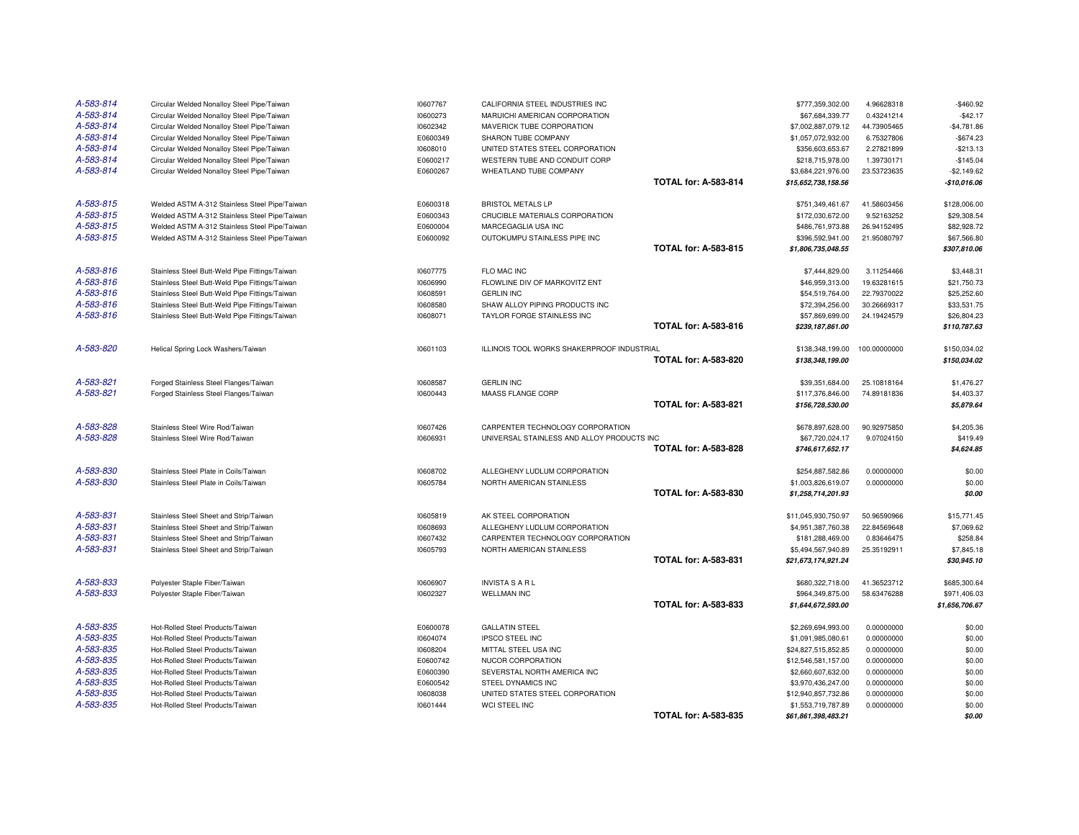| A-583-814<br>Circular Welded Nonalloy Steel Pipe/Taiwan<br>10600273<br>MARUICHI AMERICAN CORPORATION<br>\$67,684,339.77<br>0.43241214<br>$-$42.17$<br>A-583-814<br>Circular Welded Nonalloy Steel Pipe/Taiwan<br>10602342<br>MAVERICK TUBE CORPORATION<br>44.73905465<br>$-$4,781.86$<br>\$7,002,887,079.12<br>A-583-814<br>Circular Welded Nonalloy Steel Pipe/Taiwan<br>SHARON TUBE COMPANY<br>6.75327806<br>$-$674.23$<br>E0600349<br>\$1,057,072,932.00<br>A-583-814<br>Circular Welded Nonalloy Steel Pipe/Taiwan<br>10608010<br>UNITED STATES STEEL CORPORATION<br>\$356,603,653.67<br>2.27821899<br>$-$213.13$<br>A-583-814<br>WESTERN TUBE AND CONDUIT CORP<br>$-$145.04$<br>Circular Welded Nonalloy Steel Pipe/Taiwan<br>E0600217<br>\$218,715,978.00<br>1.39730171<br>A-583-814<br>Circular Welded Nonalloy Steel Pipe/Taiwan<br>E0600267<br>WHEATLAND TUBE COMPANY<br>\$3,684,221,976.00<br>23.53723635<br>$-$2.149.62$<br><b>TOTAL for: A-583-814</b><br>$-$10,016.06$<br>\$15,652,738,158.56<br>A-583-815<br>Welded ASTM A-312 Stainless Steel Pipe/Taiwan<br>E0600318<br><b>BRISTOL METALS LP</b><br>\$751,349,461.67<br>41.58603456<br>\$128,006.00<br>A-583-815<br>Welded ASTM A-312 Stainless Steel Pipe/Taiwan<br>E0600343<br>CRUCIBLE MATERIALS CORPORATION<br>\$172,030,672.00<br>9.52163252<br>\$29,308.54<br>A-583-815<br>Welded ASTM A-312 Stainless Steel Pipe/Taiwan<br>E0600004<br>\$486,761,973.88<br>26.94152495<br>\$82,928.72<br>MARCEGAGLIA USA INC<br>A-583-815<br>Welded ASTM A-312 Stainless Steel Pipe/Taiwan<br>E0600092<br>\$396,592,941.00<br>OUTOKUMPU STAINLESS PIPE INC<br>21.95080797<br>\$67,566.80<br><b>TOTAL for: A-583-815</b><br>\$1,806,735,048.55<br>\$307,810.06<br>A-583-816<br>Stainless Steel Butt-Weld Pipe Fittings/Taiwan<br>10607775<br>FLO MAC INC<br>\$7,444,829.00<br>3.11254466<br>\$3,448.31<br>A-583-816<br>Stainless Steel Butt-Weld Pipe Fittings/Taiwan<br>FLOWLINE DIV OF MARKOVITZ ENT<br>19.63281615<br>\$21,750.73<br>10606990<br>\$46,959,313.00<br>A-583-816<br>Stainless Steel Butt-Weld Pipe Fittings/Taiwan<br>\$25,252.60<br>10608591<br><b>GERLIN INC</b><br>\$54,519,764.00<br>22.79370022<br>A-583-816<br>Stainless Steel Butt-Weld Pipe Fittings/Taiwan<br>10608580<br>SHAW ALLOY PIPING PRODUCTS INC<br>\$72,394,256.00<br>30.26669317<br>\$33,531.75<br>A-583-816<br>Stainless Steel Butt-Weld Pipe Fittings/Taiwan<br>10608071<br>TAYLOR FORGE STAINLESS INC<br>\$26,804.23<br>\$57,869,699.00<br>24.19424579<br><b>TOTAL for: A-583-816</b><br>\$110,787.63<br>\$239,187,861.00<br>A-583-820<br>Helical Spring Lock Washers/Taiwan<br>10601103<br>ILLINOIS TOOL WORKS SHAKERPROOF INDUSTRIAL<br>\$138,348,199.00<br>100.00000000<br>\$150,034.02<br><b>TOTAL for: A-583-820</b><br>\$150,034.02<br>\$138,348,199.00<br>A-583-821<br><b>GERLIN INC</b><br>Forged Stainless Steel Flanges/Taiwan<br>10608587<br>\$1,476.27<br>\$39,351,684.00<br>25.10818164<br>A-583-821<br>MAASS FLANGE CORP<br>\$4,403.37<br>Forged Stainless Steel Flanges/Taiwan<br>10600443<br>\$117,376,846.00<br>74.89181836<br><b>TOTAL for: A-583-821</b><br>\$156,728,530.00<br>\$5,879.64<br>A-583-828<br>10607426<br>\$4,205.36<br>Stainless Steel Wire Rod/Taiwan<br>CARPENTER TECHNOLOGY CORPORATION<br>\$678,897,628.00<br>90.92975850<br>A-583-828<br>Stainless Steel Wire Rod/Taiwan<br>10606931<br>UNIVERSAL STAINLESS AND ALLOY PRODUCTS INC<br>\$67,720,024.17<br>9.07024150<br>\$419.49<br><b>TOTAL for: A-583-828</b><br>\$746,617,652.17<br>\$4,624.85<br>A-583-830<br>Stainless Steel Plate in Coils/Taiwan<br>\$0.00<br>10608702<br>ALLEGHENY LUDLUM CORPORATION<br>\$254,887,582.86<br>0.00000000<br>A-583-830<br>Stainless Steel Plate in Coils/Taiwan<br>10605784<br>NORTH AMERICAN STAINLESS<br>0.00000000<br>\$0.00<br>\$1,003,826,619.07<br><b>TOTAL for: A-583-830</b><br>\$0.00<br>\$1,258,714,201.93<br>A-583-831<br>Stainless Steel Sheet and Strip/Taiwan<br>10605819<br>AK STEEL CORPORATION<br>50.96590966<br>\$15,771.45<br>\$11,045,930,750.97<br>A-583-831<br>Stainless Steel Sheet and Strip/Taiwan<br>10608693<br>ALLEGHENY LUDLUM CORPORATION<br>22.84569648<br>\$7,069.62<br>\$4,951,387,760.38<br>A-583-831<br>Stainless Steel Sheet and Strip/Taiwan<br>10607432<br>CARPENTER TECHNOLOGY CORPORATION<br>\$181,288,469.00<br>0.83646475<br>\$258.84<br>A-583-831<br>Stainless Steel Sheet and Strip/Taiwan<br>10605793<br>NORTH AMERICAN STAINLESS<br>\$7,845.18<br>\$5,494,567,940.89<br>25.35192911<br><b>TOTAL for: A-583-831</b><br>\$30,945.10<br>\$21,673,174,921.24<br>A-583-833<br>Polyester Staple Fiber/Taiwan<br>10606907<br><b>INVISTA S A R L</b><br>41.36523712<br>\$685,300.64<br>\$680,322,718.00<br>A-583-833<br>Polyester Staple Fiber/Taiwan<br>10602327<br><b>WELLMAN INC</b><br>\$964,349,875.00<br>58.63476288<br>\$971,406.03<br><b>TOTAL for: A-583-833</b><br>\$1,656,706.67<br>\$1,644,672,593.00<br>A-583-835<br>\$0.00<br>Hot-Rolled Steel Products/Taiwan<br>E0600078<br><b>GALLATIN STEEL</b><br>\$2,269,694,993.00<br>0.00000000<br>A-583-835<br>Hot-Rolled Steel Products/Taiwan<br>10604074<br><b>IPSCO STEEL INC</b><br>0.00000000<br>\$0.00<br>\$1,091,985,080.61<br>A-583-835<br>Hot-Rolled Steel Products/Taiwan<br>0.00000000<br>\$0.00<br>10608204<br>MITTAL STEEL USA INC<br>\$24,827,515,852.85<br>A-583-835<br>\$0.00<br>Hot-Rolled Steel Products/Taiwan<br>E0600742<br>NUCOR CORPORATION<br>\$12,546,581,157.00<br>0.00000000<br>A-583-835<br>Hot-Rolled Steel Products/Taiwan<br>E0600390<br>SEVERSTAL NORTH AMERICA INC<br>\$2,660,607,632.00<br>0.00000000<br>\$0.00<br>A-583-835<br>Hot-Rolled Steel Products/Taiwan<br>E0600542<br>STEEL DYNAMICS INC<br>0.00000000<br>\$0.00<br>\$3,970,436,247.00<br>A-583-835<br>Hot-Rolled Steel Products/Taiwan<br>10608038<br>UNITED STATES STEEL CORPORATION<br>\$0.00<br>\$12,940,857,732.86<br>0.00000000<br>A-583-835<br>Hot-Rolled Steel Products/Taiwan<br>10601444<br>WCI STEEL INC<br>0.00000000<br>\$1,553,719,787.89<br>\$0.00<br><b>TOTAL for: A-583-835</b><br>\$61,861,398,483.21<br>\$0.00 | A-583-814 | Circular Welded Nonalloy Steel Pipe/Taiwan | 10607767 | CALIFORNIA STEEL INDUSTRIES INC | \$777,359,302.00 | 4.96628318 | $-$460.92$ |
|----------------------------------------------------------------------------------------------------------------------------------------------------------------------------------------------------------------------------------------------------------------------------------------------------------------------------------------------------------------------------------------------------------------------------------------------------------------------------------------------------------------------------------------------------------------------------------------------------------------------------------------------------------------------------------------------------------------------------------------------------------------------------------------------------------------------------------------------------------------------------------------------------------------------------------------------------------------------------------------------------------------------------------------------------------------------------------------------------------------------------------------------------------------------------------------------------------------------------------------------------------------------------------------------------------------------------------------------------------------------------------------------------------------------------------------------------------------------------------------------------------------------------------------------------------------------------------------------------------------------------------------------------------------------------------------------------------------------------------------------------------------------------------------------------------------------------------------------------------------------------------------------------------------------------------------------------------------------------------------------------------------------------------------------------------------------------------------------------------------------------------------------------------------------------------------------------------------------------------------------------------------------------------------------------------------------------------------------------------------------------------------------------------------------------------------------------------------------------------------------------------------------------------------------------------------------------------------------------------------------------------------------------------------------------------------------------------------------------------------------------------------------------------------------------------------------------------------------------------------------------------------------------------------------------------------------------------------------------------------------------------------------------------------------------------------------------------------------------------------------------------------------------------------------------------------------------------------------------------------------------------------------------------------------------------------------------------------------------------------------------------------------------------------------------------------------------------------------------------------------------------------------------------------------------------------------------------------------------------------------------------------------------------------------------------------------------------------------------------------------------------------------------------------------------------------------------------------------------------------------------------------------------------------------------------------------------------------------------------------------------------------------------------------------------------------------------------------------------------------------------------------------------------------------------------------------------------------------------------------------------------------------------------------------------------------------------------------------------------------------------------------------------------------------------------------------------------------------------------------------------------------------------------------------------------------------------------------------------------------------------------------------------------------------------------------------------------------------------------------------------------------------------------------------------------------------------------------------------------------------------------------------------------------------------------------------------------------------------------------------------------------------------------------------------------------------------------------------------------------------------------------------------------------------------------------------------------------------------------------------------------------------------------------------------------------------------------------------------------------------------------------------------------------------------------------------------------------------------------------------------------------------------------------------------------------------------------------------------------------------------------------------------------------------------------------------------------------------------------------------------------------------------------------------------------------------------------------------------------------------------------------------------------------------------------------------------------------------------------------------------------------------------------------------------------------------------------------------------|-----------|--------------------------------------------|----------|---------------------------------|------------------|------------|------------|
|                                                                                                                                                                                                                                                                                                                                                                                                                                                                                                                                                                                                                                                                                                                                                                                                                                                                                                                                                                                                                                                                                                                                                                                                                                                                                                                                                                                                                                                                                                                                                                                                                                                                                                                                                                                                                                                                                                                                                                                                                                                                                                                                                                                                                                                                                                                                                                                                                                                                                                                                                                                                                                                                                                                                                                                                                                                                                                                                                                                                                                                                                                                                                                                                                                                                                                                                                                                                                                                                                                                                                                                                                                                                                                                                                                                                                                                                                                                                                                                                                                                                                                                                                                                                                                                                                                                                                                                                                                                                                                                                                                                                                                                                                                                                                                                                                                                                                                                                                                                                                                                                                                                                                                                                                                                                                                                                                                                                                                                                                                                                                                                                                                                                                                                                                                                                                                                                                                                                                                                                                                                                                                    |           |                                            |          |                                 |                  |            |            |
|                                                                                                                                                                                                                                                                                                                                                                                                                                                                                                                                                                                                                                                                                                                                                                                                                                                                                                                                                                                                                                                                                                                                                                                                                                                                                                                                                                                                                                                                                                                                                                                                                                                                                                                                                                                                                                                                                                                                                                                                                                                                                                                                                                                                                                                                                                                                                                                                                                                                                                                                                                                                                                                                                                                                                                                                                                                                                                                                                                                                                                                                                                                                                                                                                                                                                                                                                                                                                                                                                                                                                                                                                                                                                                                                                                                                                                                                                                                                                                                                                                                                                                                                                                                                                                                                                                                                                                                                                                                                                                                                                                                                                                                                                                                                                                                                                                                                                                                                                                                                                                                                                                                                                                                                                                                                                                                                                                                                                                                                                                                                                                                                                                                                                                                                                                                                                                                                                                                                                                                                                                                                                                    |           |                                            |          |                                 |                  |            |            |
|                                                                                                                                                                                                                                                                                                                                                                                                                                                                                                                                                                                                                                                                                                                                                                                                                                                                                                                                                                                                                                                                                                                                                                                                                                                                                                                                                                                                                                                                                                                                                                                                                                                                                                                                                                                                                                                                                                                                                                                                                                                                                                                                                                                                                                                                                                                                                                                                                                                                                                                                                                                                                                                                                                                                                                                                                                                                                                                                                                                                                                                                                                                                                                                                                                                                                                                                                                                                                                                                                                                                                                                                                                                                                                                                                                                                                                                                                                                                                                                                                                                                                                                                                                                                                                                                                                                                                                                                                                                                                                                                                                                                                                                                                                                                                                                                                                                                                                                                                                                                                                                                                                                                                                                                                                                                                                                                                                                                                                                                                                                                                                                                                                                                                                                                                                                                                                                                                                                                                                                                                                                                                                    |           |                                            |          |                                 |                  |            |            |
|                                                                                                                                                                                                                                                                                                                                                                                                                                                                                                                                                                                                                                                                                                                                                                                                                                                                                                                                                                                                                                                                                                                                                                                                                                                                                                                                                                                                                                                                                                                                                                                                                                                                                                                                                                                                                                                                                                                                                                                                                                                                                                                                                                                                                                                                                                                                                                                                                                                                                                                                                                                                                                                                                                                                                                                                                                                                                                                                                                                                                                                                                                                                                                                                                                                                                                                                                                                                                                                                                                                                                                                                                                                                                                                                                                                                                                                                                                                                                                                                                                                                                                                                                                                                                                                                                                                                                                                                                                                                                                                                                                                                                                                                                                                                                                                                                                                                                                                                                                                                                                                                                                                                                                                                                                                                                                                                                                                                                                                                                                                                                                                                                                                                                                                                                                                                                                                                                                                                                                                                                                                                                                    |           |                                            |          |                                 |                  |            |            |
|                                                                                                                                                                                                                                                                                                                                                                                                                                                                                                                                                                                                                                                                                                                                                                                                                                                                                                                                                                                                                                                                                                                                                                                                                                                                                                                                                                                                                                                                                                                                                                                                                                                                                                                                                                                                                                                                                                                                                                                                                                                                                                                                                                                                                                                                                                                                                                                                                                                                                                                                                                                                                                                                                                                                                                                                                                                                                                                                                                                                                                                                                                                                                                                                                                                                                                                                                                                                                                                                                                                                                                                                                                                                                                                                                                                                                                                                                                                                                                                                                                                                                                                                                                                                                                                                                                                                                                                                                                                                                                                                                                                                                                                                                                                                                                                                                                                                                                                                                                                                                                                                                                                                                                                                                                                                                                                                                                                                                                                                                                                                                                                                                                                                                                                                                                                                                                                                                                                                                                                                                                                                                                    |           |                                            |          |                                 |                  |            |            |
|                                                                                                                                                                                                                                                                                                                                                                                                                                                                                                                                                                                                                                                                                                                                                                                                                                                                                                                                                                                                                                                                                                                                                                                                                                                                                                                                                                                                                                                                                                                                                                                                                                                                                                                                                                                                                                                                                                                                                                                                                                                                                                                                                                                                                                                                                                                                                                                                                                                                                                                                                                                                                                                                                                                                                                                                                                                                                                                                                                                                                                                                                                                                                                                                                                                                                                                                                                                                                                                                                                                                                                                                                                                                                                                                                                                                                                                                                                                                                                                                                                                                                                                                                                                                                                                                                                                                                                                                                                                                                                                                                                                                                                                                                                                                                                                                                                                                                                                                                                                                                                                                                                                                                                                                                                                                                                                                                                                                                                                                                                                                                                                                                                                                                                                                                                                                                                                                                                                                                                                                                                                                                                    |           |                                            |          |                                 |                  |            |            |
|                                                                                                                                                                                                                                                                                                                                                                                                                                                                                                                                                                                                                                                                                                                                                                                                                                                                                                                                                                                                                                                                                                                                                                                                                                                                                                                                                                                                                                                                                                                                                                                                                                                                                                                                                                                                                                                                                                                                                                                                                                                                                                                                                                                                                                                                                                                                                                                                                                                                                                                                                                                                                                                                                                                                                                                                                                                                                                                                                                                                                                                                                                                                                                                                                                                                                                                                                                                                                                                                                                                                                                                                                                                                                                                                                                                                                                                                                                                                                                                                                                                                                                                                                                                                                                                                                                                                                                                                                                                                                                                                                                                                                                                                                                                                                                                                                                                                                                                                                                                                                                                                                                                                                                                                                                                                                                                                                                                                                                                                                                                                                                                                                                                                                                                                                                                                                                                                                                                                                                                                                                                                                                    |           |                                            |          |                                 |                  |            |            |
|                                                                                                                                                                                                                                                                                                                                                                                                                                                                                                                                                                                                                                                                                                                                                                                                                                                                                                                                                                                                                                                                                                                                                                                                                                                                                                                                                                                                                                                                                                                                                                                                                                                                                                                                                                                                                                                                                                                                                                                                                                                                                                                                                                                                                                                                                                                                                                                                                                                                                                                                                                                                                                                                                                                                                                                                                                                                                                                                                                                                                                                                                                                                                                                                                                                                                                                                                                                                                                                                                                                                                                                                                                                                                                                                                                                                                                                                                                                                                                                                                                                                                                                                                                                                                                                                                                                                                                                                                                                                                                                                                                                                                                                                                                                                                                                                                                                                                                                                                                                                                                                                                                                                                                                                                                                                                                                                                                                                                                                                                                                                                                                                                                                                                                                                                                                                                                                                                                                                                                                                                                                                                                    |           |                                            |          |                                 |                  |            |            |
|                                                                                                                                                                                                                                                                                                                                                                                                                                                                                                                                                                                                                                                                                                                                                                                                                                                                                                                                                                                                                                                                                                                                                                                                                                                                                                                                                                                                                                                                                                                                                                                                                                                                                                                                                                                                                                                                                                                                                                                                                                                                                                                                                                                                                                                                                                                                                                                                                                                                                                                                                                                                                                                                                                                                                                                                                                                                                                                                                                                                                                                                                                                                                                                                                                                                                                                                                                                                                                                                                                                                                                                                                                                                                                                                                                                                                                                                                                                                                                                                                                                                                                                                                                                                                                                                                                                                                                                                                                                                                                                                                                                                                                                                                                                                                                                                                                                                                                                                                                                                                                                                                                                                                                                                                                                                                                                                                                                                                                                                                                                                                                                                                                                                                                                                                                                                                                                                                                                                                                                                                                                                                                    |           |                                            |          |                                 |                  |            |            |
|                                                                                                                                                                                                                                                                                                                                                                                                                                                                                                                                                                                                                                                                                                                                                                                                                                                                                                                                                                                                                                                                                                                                                                                                                                                                                                                                                                                                                                                                                                                                                                                                                                                                                                                                                                                                                                                                                                                                                                                                                                                                                                                                                                                                                                                                                                                                                                                                                                                                                                                                                                                                                                                                                                                                                                                                                                                                                                                                                                                                                                                                                                                                                                                                                                                                                                                                                                                                                                                                                                                                                                                                                                                                                                                                                                                                                                                                                                                                                                                                                                                                                                                                                                                                                                                                                                                                                                                                                                                                                                                                                                                                                                                                                                                                                                                                                                                                                                                                                                                                                                                                                                                                                                                                                                                                                                                                                                                                                                                                                                                                                                                                                                                                                                                                                                                                                                                                                                                                                                                                                                                                                                    |           |                                            |          |                                 |                  |            |            |
|                                                                                                                                                                                                                                                                                                                                                                                                                                                                                                                                                                                                                                                                                                                                                                                                                                                                                                                                                                                                                                                                                                                                                                                                                                                                                                                                                                                                                                                                                                                                                                                                                                                                                                                                                                                                                                                                                                                                                                                                                                                                                                                                                                                                                                                                                                                                                                                                                                                                                                                                                                                                                                                                                                                                                                                                                                                                                                                                                                                                                                                                                                                                                                                                                                                                                                                                                                                                                                                                                                                                                                                                                                                                                                                                                                                                                                                                                                                                                                                                                                                                                                                                                                                                                                                                                                                                                                                                                                                                                                                                                                                                                                                                                                                                                                                                                                                                                                                                                                                                                                                                                                                                                                                                                                                                                                                                                                                                                                                                                                                                                                                                                                                                                                                                                                                                                                                                                                                                                                                                                                                                                                    |           |                                            |          |                                 |                  |            |            |
|                                                                                                                                                                                                                                                                                                                                                                                                                                                                                                                                                                                                                                                                                                                                                                                                                                                                                                                                                                                                                                                                                                                                                                                                                                                                                                                                                                                                                                                                                                                                                                                                                                                                                                                                                                                                                                                                                                                                                                                                                                                                                                                                                                                                                                                                                                                                                                                                                                                                                                                                                                                                                                                                                                                                                                                                                                                                                                                                                                                                                                                                                                                                                                                                                                                                                                                                                                                                                                                                                                                                                                                                                                                                                                                                                                                                                                                                                                                                                                                                                                                                                                                                                                                                                                                                                                                                                                                                                                                                                                                                                                                                                                                                                                                                                                                                                                                                                                                                                                                                                                                                                                                                                                                                                                                                                                                                                                                                                                                                                                                                                                                                                                                                                                                                                                                                                                                                                                                                                                                                                                                                                                    |           |                                            |          |                                 |                  |            |            |
|                                                                                                                                                                                                                                                                                                                                                                                                                                                                                                                                                                                                                                                                                                                                                                                                                                                                                                                                                                                                                                                                                                                                                                                                                                                                                                                                                                                                                                                                                                                                                                                                                                                                                                                                                                                                                                                                                                                                                                                                                                                                                                                                                                                                                                                                                                                                                                                                                                                                                                                                                                                                                                                                                                                                                                                                                                                                                                                                                                                                                                                                                                                                                                                                                                                                                                                                                                                                                                                                                                                                                                                                                                                                                                                                                                                                                                                                                                                                                                                                                                                                                                                                                                                                                                                                                                                                                                                                                                                                                                                                                                                                                                                                                                                                                                                                                                                                                                                                                                                                                                                                                                                                                                                                                                                                                                                                                                                                                                                                                                                                                                                                                                                                                                                                                                                                                                                                                                                                                                                                                                                                                                    |           |                                            |          |                                 |                  |            |            |
|                                                                                                                                                                                                                                                                                                                                                                                                                                                                                                                                                                                                                                                                                                                                                                                                                                                                                                                                                                                                                                                                                                                                                                                                                                                                                                                                                                                                                                                                                                                                                                                                                                                                                                                                                                                                                                                                                                                                                                                                                                                                                                                                                                                                                                                                                                                                                                                                                                                                                                                                                                                                                                                                                                                                                                                                                                                                                                                                                                                                                                                                                                                                                                                                                                                                                                                                                                                                                                                                                                                                                                                                                                                                                                                                                                                                                                                                                                                                                                                                                                                                                                                                                                                                                                                                                                                                                                                                                                                                                                                                                                                                                                                                                                                                                                                                                                                                                                                                                                                                                                                                                                                                                                                                                                                                                                                                                                                                                                                                                                                                                                                                                                                                                                                                                                                                                                                                                                                                                                                                                                                                                                    |           |                                            |          |                                 |                  |            |            |
|                                                                                                                                                                                                                                                                                                                                                                                                                                                                                                                                                                                                                                                                                                                                                                                                                                                                                                                                                                                                                                                                                                                                                                                                                                                                                                                                                                                                                                                                                                                                                                                                                                                                                                                                                                                                                                                                                                                                                                                                                                                                                                                                                                                                                                                                                                                                                                                                                                                                                                                                                                                                                                                                                                                                                                                                                                                                                                                                                                                                                                                                                                                                                                                                                                                                                                                                                                                                                                                                                                                                                                                                                                                                                                                                                                                                                                                                                                                                                                                                                                                                                                                                                                                                                                                                                                                                                                                                                                                                                                                                                                                                                                                                                                                                                                                                                                                                                                                                                                                                                                                                                                                                                                                                                                                                                                                                                                                                                                                                                                                                                                                                                                                                                                                                                                                                                                                                                                                                                                                                                                                                                                    |           |                                            |          |                                 |                  |            |            |
|                                                                                                                                                                                                                                                                                                                                                                                                                                                                                                                                                                                                                                                                                                                                                                                                                                                                                                                                                                                                                                                                                                                                                                                                                                                                                                                                                                                                                                                                                                                                                                                                                                                                                                                                                                                                                                                                                                                                                                                                                                                                                                                                                                                                                                                                                                                                                                                                                                                                                                                                                                                                                                                                                                                                                                                                                                                                                                                                                                                                                                                                                                                                                                                                                                                                                                                                                                                                                                                                                                                                                                                                                                                                                                                                                                                                                                                                                                                                                                                                                                                                                                                                                                                                                                                                                                                                                                                                                                                                                                                                                                                                                                                                                                                                                                                                                                                                                                                                                                                                                                                                                                                                                                                                                                                                                                                                                                                                                                                                                                                                                                                                                                                                                                                                                                                                                                                                                                                                                                                                                                                                                                    |           |                                            |          |                                 |                  |            |            |
|                                                                                                                                                                                                                                                                                                                                                                                                                                                                                                                                                                                                                                                                                                                                                                                                                                                                                                                                                                                                                                                                                                                                                                                                                                                                                                                                                                                                                                                                                                                                                                                                                                                                                                                                                                                                                                                                                                                                                                                                                                                                                                                                                                                                                                                                                                                                                                                                                                                                                                                                                                                                                                                                                                                                                                                                                                                                                                                                                                                                                                                                                                                                                                                                                                                                                                                                                                                                                                                                                                                                                                                                                                                                                                                                                                                                                                                                                                                                                                                                                                                                                                                                                                                                                                                                                                                                                                                                                                                                                                                                                                                                                                                                                                                                                                                                                                                                                                                                                                                                                                                                                                                                                                                                                                                                                                                                                                                                                                                                                                                                                                                                                                                                                                                                                                                                                                                                                                                                                                                                                                                                                                    |           |                                            |          |                                 |                  |            |            |
|                                                                                                                                                                                                                                                                                                                                                                                                                                                                                                                                                                                                                                                                                                                                                                                                                                                                                                                                                                                                                                                                                                                                                                                                                                                                                                                                                                                                                                                                                                                                                                                                                                                                                                                                                                                                                                                                                                                                                                                                                                                                                                                                                                                                                                                                                                                                                                                                                                                                                                                                                                                                                                                                                                                                                                                                                                                                                                                                                                                                                                                                                                                                                                                                                                                                                                                                                                                                                                                                                                                                                                                                                                                                                                                                                                                                                                                                                                                                                                                                                                                                                                                                                                                                                                                                                                                                                                                                                                                                                                                                                                                                                                                                                                                                                                                                                                                                                                                                                                                                                                                                                                                                                                                                                                                                                                                                                                                                                                                                                                                                                                                                                                                                                                                                                                                                                                                                                                                                                                                                                                                                                                    |           |                                            |          |                                 |                  |            |            |
|                                                                                                                                                                                                                                                                                                                                                                                                                                                                                                                                                                                                                                                                                                                                                                                                                                                                                                                                                                                                                                                                                                                                                                                                                                                                                                                                                                                                                                                                                                                                                                                                                                                                                                                                                                                                                                                                                                                                                                                                                                                                                                                                                                                                                                                                                                                                                                                                                                                                                                                                                                                                                                                                                                                                                                                                                                                                                                                                                                                                                                                                                                                                                                                                                                                                                                                                                                                                                                                                                                                                                                                                                                                                                                                                                                                                                                                                                                                                                                                                                                                                                                                                                                                                                                                                                                                                                                                                                                                                                                                                                                                                                                                                                                                                                                                                                                                                                                                                                                                                                                                                                                                                                                                                                                                                                                                                                                                                                                                                                                                                                                                                                                                                                                                                                                                                                                                                                                                                                                                                                                                                                                    |           |                                            |          |                                 |                  |            |            |
|                                                                                                                                                                                                                                                                                                                                                                                                                                                                                                                                                                                                                                                                                                                                                                                                                                                                                                                                                                                                                                                                                                                                                                                                                                                                                                                                                                                                                                                                                                                                                                                                                                                                                                                                                                                                                                                                                                                                                                                                                                                                                                                                                                                                                                                                                                                                                                                                                                                                                                                                                                                                                                                                                                                                                                                                                                                                                                                                                                                                                                                                                                                                                                                                                                                                                                                                                                                                                                                                                                                                                                                                                                                                                                                                                                                                                                                                                                                                                                                                                                                                                                                                                                                                                                                                                                                                                                                                                                                                                                                                                                                                                                                                                                                                                                                                                                                                                                                                                                                                                                                                                                                                                                                                                                                                                                                                                                                                                                                                                                                                                                                                                                                                                                                                                                                                                                                                                                                                                                                                                                                                                                    |           |                                            |          |                                 |                  |            |            |
|                                                                                                                                                                                                                                                                                                                                                                                                                                                                                                                                                                                                                                                                                                                                                                                                                                                                                                                                                                                                                                                                                                                                                                                                                                                                                                                                                                                                                                                                                                                                                                                                                                                                                                                                                                                                                                                                                                                                                                                                                                                                                                                                                                                                                                                                                                                                                                                                                                                                                                                                                                                                                                                                                                                                                                                                                                                                                                                                                                                                                                                                                                                                                                                                                                                                                                                                                                                                                                                                                                                                                                                                                                                                                                                                                                                                                                                                                                                                                                                                                                                                                                                                                                                                                                                                                                                                                                                                                                                                                                                                                                                                                                                                                                                                                                                                                                                                                                                                                                                                                                                                                                                                                                                                                                                                                                                                                                                                                                                                                                                                                                                                                                                                                                                                                                                                                                                                                                                                                                                                                                                                                                    |           |                                            |          |                                 |                  |            |            |
|                                                                                                                                                                                                                                                                                                                                                                                                                                                                                                                                                                                                                                                                                                                                                                                                                                                                                                                                                                                                                                                                                                                                                                                                                                                                                                                                                                                                                                                                                                                                                                                                                                                                                                                                                                                                                                                                                                                                                                                                                                                                                                                                                                                                                                                                                                                                                                                                                                                                                                                                                                                                                                                                                                                                                                                                                                                                                                                                                                                                                                                                                                                                                                                                                                                                                                                                                                                                                                                                                                                                                                                                                                                                                                                                                                                                                                                                                                                                                                                                                                                                                                                                                                                                                                                                                                                                                                                                                                                                                                                                                                                                                                                                                                                                                                                                                                                                                                                                                                                                                                                                                                                                                                                                                                                                                                                                                                                                                                                                                                                                                                                                                                                                                                                                                                                                                                                                                                                                                                                                                                                                                                    |           |                                            |          |                                 |                  |            |            |
|                                                                                                                                                                                                                                                                                                                                                                                                                                                                                                                                                                                                                                                                                                                                                                                                                                                                                                                                                                                                                                                                                                                                                                                                                                                                                                                                                                                                                                                                                                                                                                                                                                                                                                                                                                                                                                                                                                                                                                                                                                                                                                                                                                                                                                                                                                                                                                                                                                                                                                                                                                                                                                                                                                                                                                                                                                                                                                                                                                                                                                                                                                                                                                                                                                                                                                                                                                                                                                                                                                                                                                                                                                                                                                                                                                                                                                                                                                                                                                                                                                                                                                                                                                                                                                                                                                                                                                                                                                                                                                                                                                                                                                                                                                                                                                                                                                                                                                                                                                                                                                                                                                                                                                                                                                                                                                                                                                                                                                                                                                                                                                                                                                                                                                                                                                                                                                                                                                                                                                                                                                                                                                    |           |                                            |          |                                 |                  |            |            |
|                                                                                                                                                                                                                                                                                                                                                                                                                                                                                                                                                                                                                                                                                                                                                                                                                                                                                                                                                                                                                                                                                                                                                                                                                                                                                                                                                                                                                                                                                                                                                                                                                                                                                                                                                                                                                                                                                                                                                                                                                                                                                                                                                                                                                                                                                                                                                                                                                                                                                                                                                                                                                                                                                                                                                                                                                                                                                                                                                                                                                                                                                                                                                                                                                                                                                                                                                                                                                                                                                                                                                                                                                                                                                                                                                                                                                                                                                                                                                                                                                                                                                                                                                                                                                                                                                                                                                                                                                                                                                                                                                                                                                                                                                                                                                                                                                                                                                                                                                                                                                                                                                                                                                                                                                                                                                                                                                                                                                                                                                                                                                                                                                                                                                                                                                                                                                                                                                                                                                                                                                                                                                                    |           |                                            |          |                                 |                  |            |            |
|                                                                                                                                                                                                                                                                                                                                                                                                                                                                                                                                                                                                                                                                                                                                                                                                                                                                                                                                                                                                                                                                                                                                                                                                                                                                                                                                                                                                                                                                                                                                                                                                                                                                                                                                                                                                                                                                                                                                                                                                                                                                                                                                                                                                                                                                                                                                                                                                                                                                                                                                                                                                                                                                                                                                                                                                                                                                                                                                                                                                                                                                                                                                                                                                                                                                                                                                                                                                                                                                                                                                                                                                                                                                                                                                                                                                                                                                                                                                                                                                                                                                                                                                                                                                                                                                                                                                                                                                                                                                                                                                                                                                                                                                                                                                                                                                                                                                                                                                                                                                                                                                                                                                                                                                                                                                                                                                                                                                                                                                                                                                                                                                                                                                                                                                                                                                                                                                                                                                                                                                                                                                                                    |           |                                            |          |                                 |                  |            |            |
|                                                                                                                                                                                                                                                                                                                                                                                                                                                                                                                                                                                                                                                                                                                                                                                                                                                                                                                                                                                                                                                                                                                                                                                                                                                                                                                                                                                                                                                                                                                                                                                                                                                                                                                                                                                                                                                                                                                                                                                                                                                                                                                                                                                                                                                                                                                                                                                                                                                                                                                                                                                                                                                                                                                                                                                                                                                                                                                                                                                                                                                                                                                                                                                                                                                                                                                                                                                                                                                                                                                                                                                                                                                                                                                                                                                                                                                                                                                                                                                                                                                                                                                                                                                                                                                                                                                                                                                                                                                                                                                                                                                                                                                                                                                                                                                                                                                                                                                                                                                                                                                                                                                                                                                                                                                                                                                                                                                                                                                                                                                                                                                                                                                                                                                                                                                                                                                                                                                                                                                                                                                                                                    |           |                                            |          |                                 |                  |            |            |
|                                                                                                                                                                                                                                                                                                                                                                                                                                                                                                                                                                                                                                                                                                                                                                                                                                                                                                                                                                                                                                                                                                                                                                                                                                                                                                                                                                                                                                                                                                                                                                                                                                                                                                                                                                                                                                                                                                                                                                                                                                                                                                                                                                                                                                                                                                                                                                                                                                                                                                                                                                                                                                                                                                                                                                                                                                                                                                                                                                                                                                                                                                                                                                                                                                                                                                                                                                                                                                                                                                                                                                                                                                                                                                                                                                                                                                                                                                                                                                                                                                                                                                                                                                                                                                                                                                                                                                                                                                                                                                                                                                                                                                                                                                                                                                                                                                                                                                                                                                                                                                                                                                                                                                                                                                                                                                                                                                                                                                                                                                                                                                                                                                                                                                                                                                                                                                                                                                                                                                                                                                                                                                    |           |                                            |          |                                 |                  |            |            |
|                                                                                                                                                                                                                                                                                                                                                                                                                                                                                                                                                                                                                                                                                                                                                                                                                                                                                                                                                                                                                                                                                                                                                                                                                                                                                                                                                                                                                                                                                                                                                                                                                                                                                                                                                                                                                                                                                                                                                                                                                                                                                                                                                                                                                                                                                                                                                                                                                                                                                                                                                                                                                                                                                                                                                                                                                                                                                                                                                                                                                                                                                                                                                                                                                                                                                                                                                                                                                                                                                                                                                                                                                                                                                                                                                                                                                                                                                                                                                                                                                                                                                                                                                                                                                                                                                                                                                                                                                                                                                                                                                                                                                                                                                                                                                                                                                                                                                                                                                                                                                                                                                                                                                                                                                                                                                                                                                                                                                                                                                                                                                                                                                                                                                                                                                                                                                                                                                                                                                                                                                                                                                                    |           |                                            |          |                                 |                  |            |            |
|                                                                                                                                                                                                                                                                                                                                                                                                                                                                                                                                                                                                                                                                                                                                                                                                                                                                                                                                                                                                                                                                                                                                                                                                                                                                                                                                                                                                                                                                                                                                                                                                                                                                                                                                                                                                                                                                                                                                                                                                                                                                                                                                                                                                                                                                                                                                                                                                                                                                                                                                                                                                                                                                                                                                                                                                                                                                                                                                                                                                                                                                                                                                                                                                                                                                                                                                                                                                                                                                                                                                                                                                                                                                                                                                                                                                                                                                                                                                                                                                                                                                                                                                                                                                                                                                                                                                                                                                                                                                                                                                                                                                                                                                                                                                                                                                                                                                                                                                                                                                                                                                                                                                                                                                                                                                                                                                                                                                                                                                                                                                                                                                                                                                                                                                                                                                                                                                                                                                                                                                                                                                                                    |           |                                            |          |                                 |                  |            |            |
|                                                                                                                                                                                                                                                                                                                                                                                                                                                                                                                                                                                                                                                                                                                                                                                                                                                                                                                                                                                                                                                                                                                                                                                                                                                                                                                                                                                                                                                                                                                                                                                                                                                                                                                                                                                                                                                                                                                                                                                                                                                                                                                                                                                                                                                                                                                                                                                                                                                                                                                                                                                                                                                                                                                                                                                                                                                                                                                                                                                                                                                                                                                                                                                                                                                                                                                                                                                                                                                                                                                                                                                                                                                                                                                                                                                                                                                                                                                                                                                                                                                                                                                                                                                                                                                                                                                                                                                                                                                                                                                                                                                                                                                                                                                                                                                                                                                                                                                                                                                                                                                                                                                                                                                                                                                                                                                                                                                                                                                                                                                                                                                                                                                                                                                                                                                                                                                                                                                                                                                                                                                                                                    |           |                                            |          |                                 |                  |            |            |
|                                                                                                                                                                                                                                                                                                                                                                                                                                                                                                                                                                                                                                                                                                                                                                                                                                                                                                                                                                                                                                                                                                                                                                                                                                                                                                                                                                                                                                                                                                                                                                                                                                                                                                                                                                                                                                                                                                                                                                                                                                                                                                                                                                                                                                                                                                                                                                                                                                                                                                                                                                                                                                                                                                                                                                                                                                                                                                                                                                                                                                                                                                                                                                                                                                                                                                                                                                                                                                                                                                                                                                                                                                                                                                                                                                                                                                                                                                                                                                                                                                                                                                                                                                                                                                                                                                                                                                                                                                                                                                                                                                                                                                                                                                                                                                                                                                                                                                                                                                                                                                                                                                                                                                                                                                                                                                                                                                                                                                                                                                                                                                                                                                                                                                                                                                                                                                                                                                                                                                                                                                                                                                    |           |                                            |          |                                 |                  |            |            |
|                                                                                                                                                                                                                                                                                                                                                                                                                                                                                                                                                                                                                                                                                                                                                                                                                                                                                                                                                                                                                                                                                                                                                                                                                                                                                                                                                                                                                                                                                                                                                                                                                                                                                                                                                                                                                                                                                                                                                                                                                                                                                                                                                                                                                                                                                                                                                                                                                                                                                                                                                                                                                                                                                                                                                                                                                                                                                                                                                                                                                                                                                                                                                                                                                                                                                                                                                                                                                                                                                                                                                                                                                                                                                                                                                                                                                                                                                                                                                                                                                                                                                                                                                                                                                                                                                                                                                                                                                                                                                                                                                                                                                                                                                                                                                                                                                                                                                                                                                                                                                                                                                                                                                                                                                                                                                                                                                                                                                                                                                                                                                                                                                                                                                                                                                                                                                                                                                                                                                                                                                                                                                                    |           |                                            |          |                                 |                  |            |            |
|                                                                                                                                                                                                                                                                                                                                                                                                                                                                                                                                                                                                                                                                                                                                                                                                                                                                                                                                                                                                                                                                                                                                                                                                                                                                                                                                                                                                                                                                                                                                                                                                                                                                                                                                                                                                                                                                                                                                                                                                                                                                                                                                                                                                                                                                                                                                                                                                                                                                                                                                                                                                                                                                                                                                                                                                                                                                                                                                                                                                                                                                                                                                                                                                                                                                                                                                                                                                                                                                                                                                                                                                                                                                                                                                                                                                                                                                                                                                                                                                                                                                                                                                                                                                                                                                                                                                                                                                                                                                                                                                                                                                                                                                                                                                                                                                                                                                                                                                                                                                                                                                                                                                                                                                                                                                                                                                                                                                                                                                                                                                                                                                                                                                                                                                                                                                                                                                                                                                                                                                                                                                                                    |           |                                            |          |                                 |                  |            |            |
|                                                                                                                                                                                                                                                                                                                                                                                                                                                                                                                                                                                                                                                                                                                                                                                                                                                                                                                                                                                                                                                                                                                                                                                                                                                                                                                                                                                                                                                                                                                                                                                                                                                                                                                                                                                                                                                                                                                                                                                                                                                                                                                                                                                                                                                                                                                                                                                                                                                                                                                                                                                                                                                                                                                                                                                                                                                                                                                                                                                                                                                                                                                                                                                                                                                                                                                                                                                                                                                                                                                                                                                                                                                                                                                                                                                                                                                                                                                                                                                                                                                                                                                                                                                                                                                                                                                                                                                                                                                                                                                                                                                                                                                                                                                                                                                                                                                                                                                                                                                                                                                                                                                                                                                                                                                                                                                                                                                                                                                                                                                                                                                                                                                                                                                                                                                                                                                                                                                                                                                                                                                                                                    |           |                                            |          |                                 |                  |            |            |
|                                                                                                                                                                                                                                                                                                                                                                                                                                                                                                                                                                                                                                                                                                                                                                                                                                                                                                                                                                                                                                                                                                                                                                                                                                                                                                                                                                                                                                                                                                                                                                                                                                                                                                                                                                                                                                                                                                                                                                                                                                                                                                                                                                                                                                                                                                                                                                                                                                                                                                                                                                                                                                                                                                                                                                                                                                                                                                                                                                                                                                                                                                                                                                                                                                                                                                                                                                                                                                                                                                                                                                                                                                                                                                                                                                                                                                                                                                                                                                                                                                                                                                                                                                                                                                                                                                                                                                                                                                                                                                                                                                                                                                                                                                                                                                                                                                                                                                                                                                                                                                                                                                                                                                                                                                                                                                                                                                                                                                                                                                                                                                                                                                                                                                                                                                                                                                                                                                                                                                                                                                                                                                    |           |                                            |          |                                 |                  |            |            |
|                                                                                                                                                                                                                                                                                                                                                                                                                                                                                                                                                                                                                                                                                                                                                                                                                                                                                                                                                                                                                                                                                                                                                                                                                                                                                                                                                                                                                                                                                                                                                                                                                                                                                                                                                                                                                                                                                                                                                                                                                                                                                                                                                                                                                                                                                                                                                                                                                                                                                                                                                                                                                                                                                                                                                                                                                                                                                                                                                                                                                                                                                                                                                                                                                                                                                                                                                                                                                                                                                                                                                                                                                                                                                                                                                                                                                                                                                                                                                                                                                                                                                                                                                                                                                                                                                                                                                                                                                                                                                                                                                                                                                                                                                                                                                                                                                                                                                                                                                                                                                                                                                                                                                                                                                                                                                                                                                                                                                                                                                                                                                                                                                                                                                                                                                                                                                                                                                                                                                                                                                                                                                                    |           |                                            |          |                                 |                  |            |            |
|                                                                                                                                                                                                                                                                                                                                                                                                                                                                                                                                                                                                                                                                                                                                                                                                                                                                                                                                                                                                                                                                                                                                                                                                                                                                                                                                                                                                                                                                                                                                                                                                                                                                                                                                                                                                                                                                                                                                                                                                                                                                                                                                                                                                                                                                                                                                                                                                                                                                                                                                                                                                                                                                                                                                                                                                                                                                                                                                                                                                                                                                                                                                                                                                                                                                                                                                                                                                                                                                                                                                                                                                                                                                                                                                                                                                                                                                                                                                                                                                                                                                                                                                                                                                                                                                                                                                                                                                                                                                                                                                                                                                                                                                                                                                                                                                                                                                                                                                                                                                                                                                                                                                                                                                                                                                                                                                                                                                                                                                                                                                                                                                                                                                                                                                                                                                                                                                                                                                                                                                                                                                                                    |           |                                            |          |                                 |                  |            |            |
|                                                                                                                                                                                                                                                                                                                                                                                                                                                                                                                                                                                                                                                                                                                                                                                                                                                                                                                                                                                                                                                                                                                                                                                                                                                                                                                                                                                                                                                                                                                                                                                                                                                                                                                                                                                                                                                                                                                                                                                                                                                                                                                                                                                                                                                                                                                                                                                                                                                                                                                                                                                                                                                                                                                                                                                                                                                                                                                                                                                                                                                                                                                                                                                                                                                                                                                                                                                                                                                                                                                                                                                                                                                                                                                                                                                                                                                                                                                                                                                                                                                                                                                                                                                                                                                                                                                                                                                                                                                                                                                                                                                                                                                                                                                                                                                                                                                                                                                                                                                                                                                                                                                                                                                                                                                                                                                                                                                                                                                                                                                                                                                                                                                                                                                                                                                                                                                                                                                                                                                                                                                                                                    |           |                                            |          |                                 |                  |            |            |
|                                                                                                                                                                                                                                                                                                                                                                                                                                                                                                                                                                                                                                                                                                                                                                                                                                                                                                                                                                                                                                                                                                                                                                                                                                                                                                                                                                                                                                                                                                                                                                                                                                                                                                                                                                                                                                                                                                                                                                                                                                                                                                                                                                                                                                                                                                                                                                                                                                                                                                                                                                                                                                                                                                                                                                                                                                                                                                                                                                                                                                                                                                                                                                                                                                                                                                                                                                                                                                                                                                                                                                                                                                                                                                                                                                                                                                                                                                                                                                                                                                                                                                                                                                                                                                                                                                                                                                                                                                                                                                                                                                                                                                                                                                                                                                                                                                                                                                                                                                                                                                                                                                                                                                                                                                                                                                                                                                                                                                                                                                                                                                                                                                                                                                                                                                                                                                                                                                                                                                                                                                                                                                    |           |                                            |          |                                 |                  |            |            |
|                                                                                                                                                                                                                                                                                                                                                                                                                                                                                                                                                                                                                                                                                                                                                                                                                                                                                                                                                                                                                                                                                                                                                                                                                                                                                                                                                                                                                                                                                                                                                                                                                                                                                                                                                                                                                                                                                                                                                                                                                                                                                                                                                                                                                                                                                                                                                                                                                                                                                                                                                                                                                                                                                                                                                                                                                                                                                                                                                                                                                                                                                                                                                                                                                                                                                                                                                                                                                                                                                                                                                                                                                                                                                                                                                                                                                                                                                                                                                                                                                                                                                                                                                                                                                                                                                                                                                                                                                                                                                                                                                                                                                                                                                                                                                                                                                                                                                                                                                                                                                                                                                                                                                                                                                                                                                                                                                                                                                                                                                                                                                                                                                                                                                                                                                                                                                                                                                                                                                                                                                                                                                                    |           |                                            |          |                                 |                  |            |            |
|                                                                                                                                                                                                                                                                                                                                                                                                                                                                                                                                                                                                                                                                                                                                                                                                                                                                                                                                                                                                                                                                                                                                                                                                                                                                                                                                                                                                                                                                                                                                                                                                                                                                                                                                                                                                                                                                                                                                                                                                                                                                                                                                                                                                                                                                                                                                                                                                                                                                                                                                                                                                                                                                                                                                                                                                                                                                                                                                                                                                                                                                                                                                                                                                                                                                                                                                                                                                                                                                                                                                                                                                                                                                                                                                                                                                                                                                                                                                                                                                                                                                                                                                                                                                                                                                                                                                                                                                                                                                                                                                                                                                                                                                                                                                                                                                                                                                                                                                                                                                                                                                                                                                                                                                                                                                                                                                                                                                                                                                                                                                                                                                                                                                                                                                                                                                                                                                                                                                                                                                                                                                                                    |           |                                            |          |                                 |                  |            |            |
|                                                                                                                                                                                                                                                                                                                                                                                                                                                                                                                                                                                                                                                                                                                                                                                                                                                                                                                                                                                                                                                                                                                                                                                                                                                                                                                                                                                                                                                                                                                                                                                                                                                                                                                                                                                                                                                                                                                                                                                                                                                                                                                                                                                                                                                                                                                                                                                                                                                                                                                                                                                                                                                                                                                                                                                                                                                                                                                                                                                                                                                                                                                                                                                                                                                                                                                                                                                                                                                                                                                                                                                                                                                                                                                                                                                                                                                                                                                                                                                                                                                                                                                                                                                                                                                                                                                                                                                                                                                                                                                                                                                                                                                                                                                                                                                                                                                                                                                                                                                                                                                                                                                                                                                                                                                                                                                                                                                                                                                                                                                                                                                                                                                                                                                                                                                                                                                                                                                                                                                                                                                                                                    |           |                                            |          |                                 |                  |            |            |
|                                                                                                                                                                                                                                                                                                                                                                                                                                                                                                                                                                                                                                                                                                                                                                                                                                                                                                                                                                                                                                                                                                                                                                                                                                                                                                                                                                                                                                                                                                                                                                                                                                                                                                                                                                                                                                                                                                                                                                                                                                                                                                                                                                                                                                                                                                                                                                                                                                                                                                                                                                                                                                                                                                                                                                                                                                                                                                                                                                                                                                                                                                                                                                                                                                                                                                                                                                                                                                                                                                                                                                                                                                                                                                                                                                                                                                                                                                                                                                                                                                                                                                                                                                                                                                                                                                                                                                                                                                                                                                                                                                                                                                                                                                                                                                                                                                                                                                                                                                                                                                                                                                                                                                                                                                                                                                                                                                                                                                                                                                                                                                                                                                                                                                                                                                                                                                                                                                                                                                                                                                                                                                    |           |                                            |          |                                 |                  |            |            |
|                                                                                                                                                                                                                                                                                                                                                                                                                                                                                                                                                                                                                                                                                                                                                                                                                                                                                                                                                                                                                                                                                                                                                                                                                                                                                                                                                                                                                                                                                                                                                                                                                                                                                                                                                                                                                                                                                                                                                                                                                                                                                                                                                                                                                                                                                                                                                                                                                                                                                                                                                                                                                                                                                                                                                                                                                                                                                                                                                                                                                                                                                                                                                                                                                                                                                                                                                                                                                                                                                                                                                                                                                                                                                                                                                                                                                                                                                                                                                                                                                                                                                                                                                                                                                                                                                                                                                                                                                                                                                                                                                                                                                                                                                                                                                                                                                                                                                                                                                                                                                                                                                                                                                                                                                                                                                                                                                                                                                                                                                                                                                                                                                                                                                                                                                                                                                                                                                                                                                                                                                                                                                                    |           |                                            |          |                                 |                  |            |            |
|                                                                                                                                                                                                                                                                                                                                                                                                                                                                                                                                                                                                                                                                                                                                                                                                                                                                                                                                                                                                                                                                                                                                                                                                                                                                                                                                                                                                                                                                                                                                                                                                                                                                                                                                                                                                                                                                                                                                                                                                                                                                                                                                                                                                                                                                                                                                                                                                                                                                                                                                                                                                                                                                                                                                                                                                                                                                                                                                                                                                                                                                                                                                                                                                                                                                                                                                                                                                                                                                                                                                                                                                                                                                                                                                                                                                                                                                                                                                                                                                                                                                                                                                                                                                                                                                                                                                                                                                                                                                                                                                                                                                                                                                                                                                                                                                                                                                                                                                                                                                                                                                                                                                                                                                                                                                                                                                                                                                                                                                                                                                                                                                                                                                                                                                                                                                                                                                                                                                                                                                                                                                                                    |           |                                            |          |                                 |                  |            |            |
|                                                                                                                                                                                                                                                                                                                                                                                                                                                                                                                                                                                                                                                                                                                                                                                                                                                                                                                                                                                                                                                                                                                                                                                                                                                                                                                                                                                                                                                                                                                                                                                                                                                                                                                                                                                                                                                                                                                                                                                                                                                                                                                                                                                                                                                                                                                                                                                                                                                                                                                                                                                                                                                                                                                                                                                                                                                                                                                                                                                                                                                                                                                                                                                                                                                                                                                                                                                                                                                                                                                                                                                                                                                                                                                                                                                                                                                                                                                                                                                                                                                                                                                                                                                                                                                                                                                                                                                                                                                                                                                                                                                                                                                                                                                                                                                                                                                                                                                                                                                                                                                                                                                                                                                                                                                                                                                                                                                                                                                                                                                                                                                                                                                                                                                                                                                                                                                                                                                                                                                                                                                                                                    |           |                                            |          |                                 |                  |            |            |
|                                                                                                                                                                                                                                                                                                                                                                                                                                                                                                                                                                                                                                                                                                                                                                                                                                                                                                                                                                                                                                                                                                                                                                                                                                                                                                                                                                                                                                                                                                                                                                                                                                                                                                                                                                                                                                                                                                                                                                                                                                                                                                                                                                                                                                                                                                                                                                                                                                                                                                                                                                                                                                                                                                                                                                                                                                                                                                                                                                                                                                                                                                                                                                                                                                                                                                                                                                                                                                                                                                                                                                                                                                                                                                                                                                                                                                                                                                                                                                                                                                                                                                                                                                                                                                                                                                                                                                                                                                                                                                                                                                                                                                                                                                                                                                                                                                                                                                                                                                                                                                                                                                                                                                                                                                                                                                                                                                                                                                                                                                                                                                                                                                                                                                                                                                                                                                                                                                                                                                                                                                                                                                    |           |                                            |          |                                 |                  |            |            |
|                                                                                                                                                                                                                                                                                                                                                                                                                                                                                                                                                                                                                                                                                                                                                                                                                                                                                                                                                                                                                                                                                                                                                                                                                                                                                                                                                                                                                                                                                                                                                                                                                                                                                                                                                                                                                                                                                                                                                                                                                                                                                                                                                                                                                                                                                                                                                                                                                                                                                                                                                                                                                                                                                                                                                                                                                                                                                                                                                                                                                                                                                                                                                                                                                                                                                                                                                                                                                                                                                                                                                                                                                                                                                                                                                                                                                                                                                                                                                                                                                                                                                                                                                                                                                                                                                                                                                                                                                                                                                                                                                                                                                                                                                                                                                                                                                                                                                                                                                                                                                                                                                                                                                                                                                                                                                                                                                                                                                                                                                                                                                                                                                                                                                                                                                                                                                                                                                                                                                                                                                                                                                                    |           |                                            |          |                                 |                  |            |            |
|                                                                                                                                                                                                                                                                                                                                                                                                                                                                                                                                                                                                                                                                                                                                                                                                                                                                                                                                                                                                                                                                                                                                                                                                                                                                                                                                                                                                                                                                                                                                                                                                                                                                                                                                                                                                                                                                                                                                                                                                                                                                                                                                                                                                                                                                                                                                                                                                                                                                                                                                                                                                                                                                                                                                                                                                                                                                                                                                                                                                                                                                                                                                                                                                                                                                                                                                                                                                                                                                                                                                                                                                                                                                                                                                                                                                                                                                                                                                                                                                                                                                                                                                                                                                                                                                                                                                                                                                                                                                                                                                                                                                                                                                                                                                                                                                                                                                                                                                                                                                                                                                                                                                                                                                                                                                                                                                                                                                                                                                                                                                                                                                                                                                                                                                                                                                                                                                                                                                                                                                                                                                                                    |           |                                            |          |                                 |                  |            |            |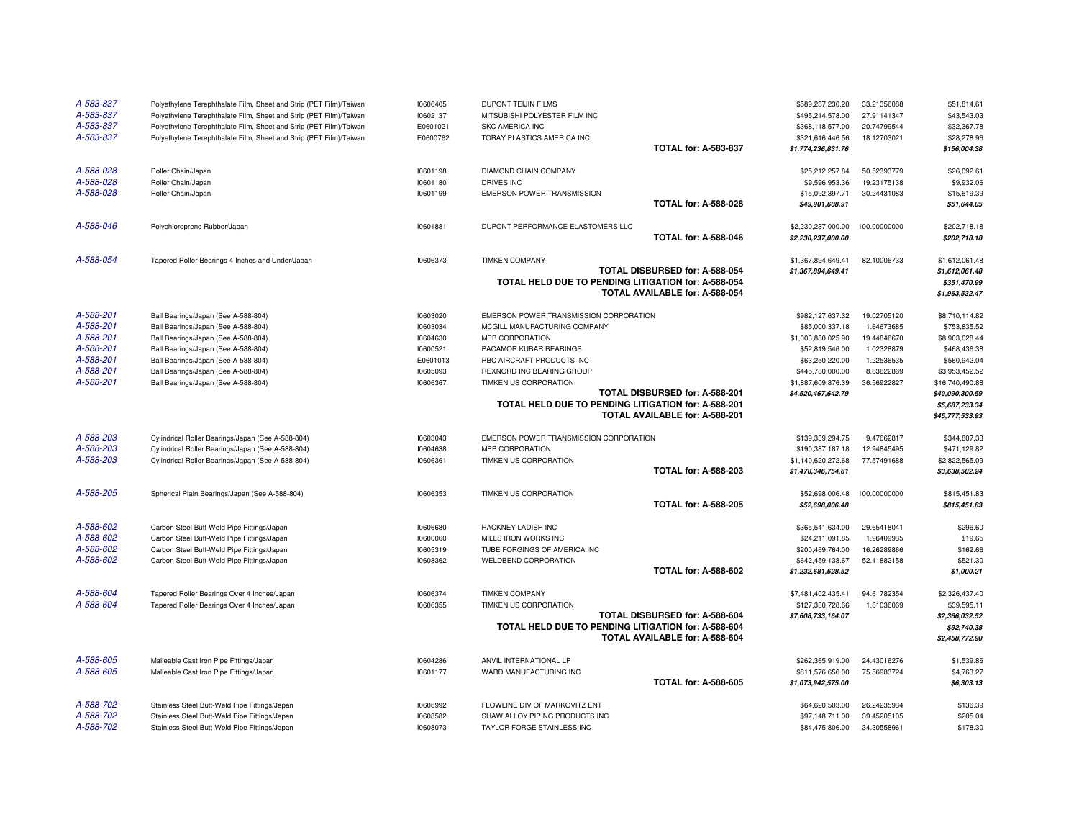| A-583-837<br>A-583-837 | Polyethylene Terephthalate Film, Sheet and Strip (PET Film)/Taiwan<br>Polyethylene Terephthalate Film, Sheet and Strip (PET Film)/Taiwan | 10606405<br>10602137 | DUPONT TEIJIN FILMS<br>MITSUBISHI POLYESTER FILM INC                                  | \$589,287,230.20<br>\$495,214,578.00              | 33.21356088<br>27.91141347 | \$51,814.61<br>\$43,543.03        |
|------------------------|------------------------------------------------------------------------------------------------------------------------------------------|----------------------|---------------------------------------------------------------------------------------|---------------------------------------------------|----------------------------|-----------------------------------|
| A-583-837              | Polyethylene Terephthalate Film, Sheet and Strip (PET Film)/Taiwan                                                                       | E0601021             | <b>SKC AMERICA INC</b>                                                                | \$368,118,577.00                                  | 20.74799544                | \$32,367.78                       |
| A-583-837              | Polyethylene Terephthalate Film, Sheet and Strip (PET Film)/Taiwan                                                                       | E0600762             | TORAY PLASTICS AMERICA INC                                                            | \$321,616,446.56                                  | 18.12703021                | \$28,278.96                       |
|                        |                                                                                                                                          |                      |                                                                                       | <b>TOTAL for: A-583-837</b><br>\$1,774,236,831.76 |                            | \$156,004.38                      |
| A-588-028              | Roller Chain/Japan                                                                                                                       | 10601198             | DIAMOND CHAIN COMPANY                                                                 | \$25,212,257.84                                   | 50.52393779                | \$26,092.61                       |
| A-588-028              | Roller Chain/Japan                                                                                                                       | 10601180             | DRIVES INC                                                                            | \$9,596,953.36                                    | 19.23175138                | \$9,932.06                        |
| A-588-028              | Roller Chain/Japan                                                                                                                       | 10601199             | EMERSON POWER TRANSMISSION                                                            | \$15,092,397.71                                   | 30.24431083                | \$15,619.39                       |
|                        |                                                                                                                                          |                      |                                                                                       | <b>TOTAL for: A-588-028</b><br>\$49,901,608.91    |                            | \$51,644.05                       |
| A-588-046              | Polychloroprene Rubber/Japan                                                                                                             | 10601881             | DUPONT PERFORMANCE ELASTOMERS LLC                                                     | \$2,230,237,000.00                                | 100.00000000               | \$202,718.18                      |
|                        |                                                                                                                                          |                      |                                                                                       | <b>TOTAL for: A-588-046</b><br>\$2,230,237,000.00 |                            | \$202,718.18                      |
| A-588-054              | Tapered Roller Bearings 4 Inches and Under/Japan                                                                                         | 10606373             | <b>TIMKEN COMPANY</b><br>TOTAL DISBURSED for: A-588-054                               | \$1,367,894,649.41<br>\$1,367,894,649.41          | 82.10006733                | \$1,612,061.48<br>\$1,612,061.48  |
|                        |                                                                                                                                          |                      | TOTAL HELD DUE TO PENDING LITIGATION for: A-588-054                                   |                                                   |                            | \$351.470.99                      |
|                        |                                                                                                                                          |                      | TOTAL AVAILABLE for: A-588-054                                                        |                                                   |                            | \$1,963,532.47                    |
| A-588-201              | Ball Bearings/Japan (See A-588-804)                                                                                                      | 10603020             | EMERSON POWER TRANSMISSION CORPORATION                                                | \$982,127,637.32                                  | 19.02705120                | \$8,710,114.82                    |
| A-588-201              | Ball Bearings/Japan (See A-588-804)                                                                                                      | 10603034             | MCGILL MANUFACTURING COMPANY                                                          | \$85,000,337.18                                   | 1.64673685                 | \$753,835.52                      |
| A-588-201              | Ball Bearings/Japan (See A-588-804)                                                                                                      | 10604630             | MPB CORPORATION                                                                       | \$1,003,880,025.90                                | 19.44846670                | \$8,903,028.44                    |
| A-588-201              | Ball Bearings/Japan (See A-588-804)                                                                                                      | 10600521             | PACAMOR KUBAR BEARINGS                                                                | \$52,819,546.00                                   | 1.02328879                 | \$468,436.38                      |
| A-588-201              | Ball Bearings/Japan (See A-588-804)                                                                                                      | E0601013             | RBC AIRCRAFT PRODUCTS INC                                                             | \$63,250,220.00                                   | 1.22536535                 | \$560,942.04                      |
| A-588-201              | Ball Bearings/Japan (See A-588-804)                                                                                                      | 10605093             | REXNORD INC BEARING GROUP                                                             | \$445,780,000.00                                  | 8.63622869                 | \$3,953,452.52                    |
| A-588-201              | Ball Bearings/Japan (See A-588-804)                                                                                                      | 10606367             | TIMKEN US CORPORATION<br>TOTAL DISBURSED for: A-588-201                               | \$1,887,609,876.39                                | 36.56922827                | \$16,740,490.88                   |
|                        |                                                                                                                                          |                      | TOTAL HELD DUE TO PENDING LITIGATION for: A-588-201                                   | \$4,520,467,642.79                                |                            | \$40,090,300.59<br>\$5,687,233.34 |
|                        |                                                                                                                                          |                      | <b>TOTAL AVAILABLE for: A-588-201</b>                                                 |                                                   |                            | \$45,777,533.93                   |
| A-588-203              | Cylindrical Roller Bearings/Japan (See A-588-804)                                                                                        | 10603043             | EMERSON POWER TRANSMISSION CORPORATION                                                | \$139,339,294.75                                  | 9.47662817                 | \$344,807.33                      |
| A-588-203              | Cylindrical Roller Bearings/Japan (See A-588-804)                                                                                        | 10604638             | MPB CORPORATION                                                                       | \$190,387,187.18                                  | 12.94845495                | \$471,129.82                      |
| A-588-203              | Cylindrical Roller Bearings/Japan (See A-588-804)                                                                                        | 10606361             | TIMKEN US CORPORATION                                                                 | \$1,140,620,272.68                                | 77.57491688                | \$2,822,565.09                    |
|                        |                                                                                                                                          |                      |                                                                                       | <b>TOTAL for: A-588-203</b><br>\$1,470,346,754.61 |                            | \$3,638,502.24                    |
| A-588-205              | Spherical Plain Bearings/Japan (See A-588-804)                                                                                           | 10606353             | TIMKEN US CORPORATION                                                                 | \$52,698,006.48                                   | 100.00000000               | \$815,451.83                      |
|                        |                                                                                                                                          |                      |                                                                                       | <b>TOTAL for: A-588-205</b><br>\$52,698,006.48    |                            | \$815,451.83                      |
| A-588-602              | Carbon Steel Butt-Weld Pipe Fittings/Japan                                                                                               | 10606680             | <b>HACKNEY LADISH INC</b>                                                             | \$365,541,634.00                                  | 29.65418041                | \$296.60                          |
| A-588-602              | Carbon Steel Butt-Weld Pipe Fittings/Japan                                                                                               | 10600060             | MILLS IRON WORKS INC                                                                  | \$24,211,091.85                                   | 1.96409935                 | \$19.65                           |
| A-588-602<br>A-588-602 | Carbon Steel Butt-Weld Pipe Fittings/Japan                                                                                               | 10605319<br>10608362 | TUBE FORGINGS OF AMERICA INC<br>WELDBEND CORPORATION                                  | \$200,469,764.00<br>\$642,459,138.67              | 16.26289866<br>52.11882158 | \$162.66<br>\$521.30              |
|                        | Carbon Steel Butt-Weld Pipe Fittings/Japan                                                                                               |                      |                                                                                       | <b>TOTAL for: A-588-602</b><br>\$1,232,681,628.52 |                            | \$1,000.21                        |
|                        |                                                                                                                                          |                      |                                                                                       |                                                   |                            |                                   |
| A-588-604              | Tapered Roller Bearings Over 4 Inches/Japan                                                                                              | 10606374             | <b>TIMKEN COMPANY</b>                                                                 | \$7,481,402,435.41                                | 94.61782354                | \$2,326,437.40                    |
| A-588-604              | Tapered Roller Bearings Over 4 Inches/Japan                                                                                              | 10606355             | TIMKEN US CORPORATION                                                                 | \$127,330,728.66                                  | 1.61036069                 | \$39,595.11                       |
|                        |                                                                                                                                          |                      | TOTAL DISBURSED for: A-588-604                                                        | \$7,608,733,164.07                                |                            | \$2,366,032.52                    |
|                        |                                                                                                                                          |                      | TOTAL HELD DUE TO PENDING LITIGATION for: A-588-604<br>TOTAL AVAILABLE for: A-588-604 |                                                   |                            | \$92,740.38<br>\$2,458,772.90     |
| A-588-605              | Malleable Cast Iron Pipe Fittings/Japan                                                                                                  | 10604286             | ANVIL INTERNATIONAL LP                                                                | \$262.365.919.00                                  | 24.43016276                | \$1,539.86                        |
| A-588-605              | Malleable Cast Iron Pipe Fittings/Japan                                                                                                  | 10601177             | WARD MANUFACTURING INC                                                                | \$811,576,656.00                                  | 75.56983724                | \$4,763.27                        |
|                        |                                                                                                                                          |                      |                                                                                       | <b>TOTAL for: A-588-605</b><br>\$1,073,942,575.00 |                            | \$6,303.13                        |
| A-588-702              | Stainless Steel Butt-Weld Pipe Fittings/Japan                                                                                            | 10606992             | FLOWLINE DIV OF MARKOVITZ ENT                                                         | \$64,620,503.00                                   | 26.24235934                | \$136.39                          |
| A-588-702              | Stainless Steel Butt-Weld Pipe Fittings/Japan                                                                                            | 10608582             | SHAW ALLOY PIPING PRODUCTS INC                                                        | \$97,148,711.00                                   | 39.45205105                | \$205.04                          |
| A-588-702              | Stainless Steel Butt-Weld Pipe Fittings/Japan                                                                                            | 10608073             | TAYLOR FORGE STAINLESS INC                                                            | \$84,475,806.00                                   | 34.30558961                | \$178.30                          |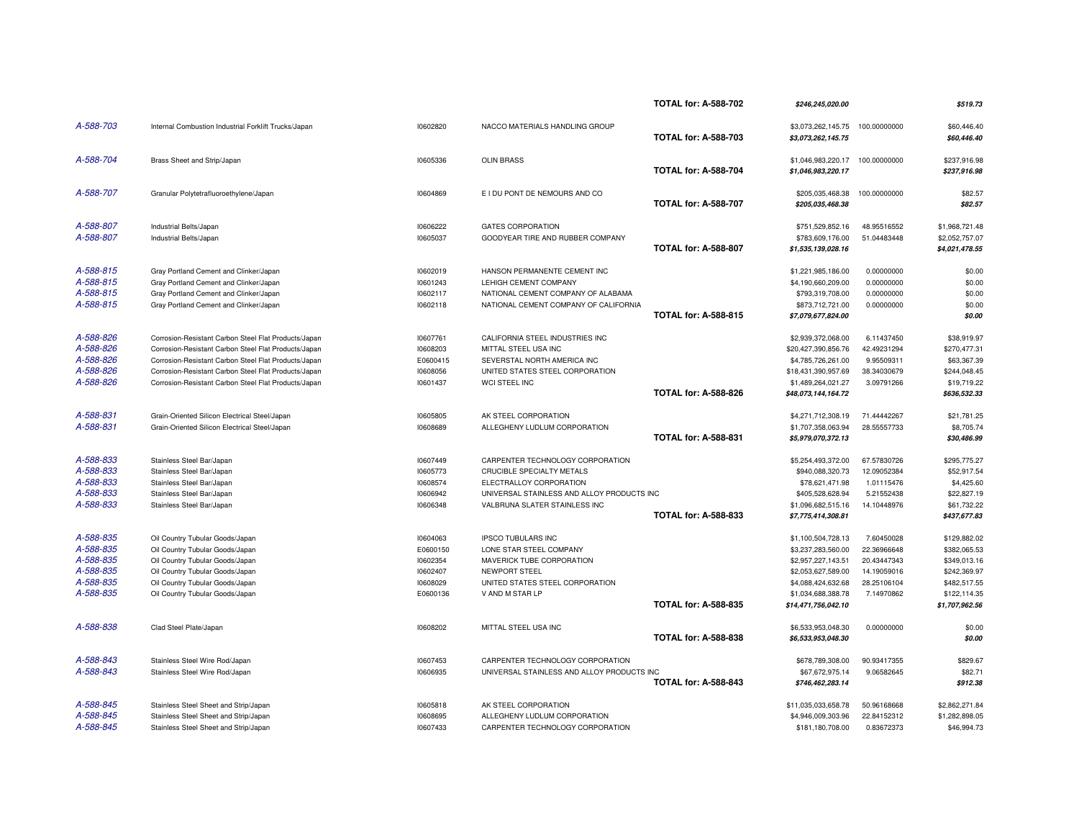|           |                                                      |          |                                            | <b>TOTAL for: A-588-702</b> | \$246.245.020.00                         |              | \$519.73                         |
|-----------|------------------------------------------------------|----------|--------------------------------------------|-----------------------------|------------------------------------------|--------------|----------------------------------|
| A-588-703 | Internal Combustion Industrial Forklift Trucks/Japan | 10602820 | NACCO MATERIALS HANDLING GROUP             | <b>TOTAL for: A-588-703</b> | \$3,073,262,145.75<br>\$3,073,262,145.75 | 100.00000000 | \$60,446.40<br>\$60,446.40       |
| A-588-704 | Brass Sheet and Strip/Japan                          | 10605336 | <b>OLIN BRASS</b>                          | <b>TOTAL for: A-588-704</b> | \$1,046,983,220.17<br>\$1,046,983,220.17 | 100.00000000 | \$237,916.98<br>\$237,916.98     |
| A-588-707 | Granular Polytetrafluoroethylene/Japan               | 10604869 | E I DU PONT DE NEMOURS AND CO              | <b>TOTAL for: A-588-707</b> | \$205,035,468.38<br>\$205,035,468.38     | 100.00000000 | \$82.57<br>\$82.57               |
| A-588-807 | Industrial Belts/Japan                               | 10606222 | <b>GATES CORPORATION</b>                   |                             | \$751,529,852.16                         | 48.95516552  | \$1,968,721.48                   |
| A-588-807 | Industrial Belts/Japan                               | 10605037 | GOODYEAR TIRE AND RUBBER COMPANY           | <b>TOTAL for: A-588-807</b> | \$783,609,176.00<br>\$1,535,139,028.16   | 51.04483448  | \$2,052,757.07<br>\$4,021,478.55 |
| A-588-815 | Gray Portland Cement and Clinker/Japan               | 10602019 | HANSON PERMANENTE CEMENT INC               |                             | \$1,221,985,186.00                       | 0.00000000   | \$0.00                           |
| A-588-815 | Gray Portland Cement and Clinker/Japan               | 10601243 | LEHIGH CEMENT COMPANY                      |                             | \$4,190,660,209.00                       | 0.00000000   | \$0.00                           |
| A-588-815 | Gray Portland Cement and Clinker/Japan               | 10602117 | NATIONAL CEMENT COMPANY OF ALABAMA         |                             | \$793,319,708.00                         | 0.00000000   | \$0.00                           |
| A-588-815 | Gray Portland Cement and Clinker/Japan               | 10602118 | NATIONAL CEMENT COMPANY OF CALIFORNIA      |                             | \$873,712,721.00                         | 0.00000000   | \$0.00                           |
|           |                                                      |          |                                            | <b>TOTAL for: A-588-815</b> | \$7,079,677,824.00                       |              | \$0.00                           |
| A-588-826 | Corrosion-Resistant Carbon Steel Flat Products/Japan | 10607761 | CALIFORNIA STEEL INDUSTRIES INC            |                             | \$2,939,372,068.00                       | 6.11437450   | \$38,919.97                      |
| A-588-826 | Corrosion-Resistant Carbon Steel Flat Products/Japan | 10608203 | MITTAL STEEL USA INC                       |                             | \$20,427,390,856.76                      | 42.49231294  | \$270,477.31                     |
| A-588-826 | Corrosion-Resistant Carbon Steel Flat Products/Japan | E0600415 | SEVERSTAL NORTH AMERICA INC                |                             | \$4,785,726,261.00                       | 9.95509311   | \$63,367,39                      |
| A-588-826 | Corrosion-Resistant Carbon Steel Flat Products/Japan | 10608056 | UNITED STATES STEEL CORPORATION            |                             | \$18,431,390,957.69                      | 38.34030679  | \$244,048.45                     |
| A-588-826 | Corrosion-Resistant Carbon Steel Flat Products/Japan | 10601437 | WCI STEEL INC                              |                             | \$1,489,264,021.27                       | 3.09791266   | \$19,719.22                      |
|           |                                                      |          |                                            | <b>TOTAL for: A-588-826</b> | \$48,073,144,164.72                      |              | \$636,532.33                     |
| A-588-831 | Grain-Oriented Silicon Electrical Steel/Japan        | 10605805 | AK STEEL CORPORATION                       |                             | \$4,271,712,308.19                       | 71.44442267  | \$21,781.25                      |
| A-588-831 | Grain-Oriented Silicon Electrical Steel/Japan        | 10608689 | ALLEGHENY LUDLUM CORPORATION               |                             | \$1,707,358,063.94                       | 28.55557733  | \$8,705.74                       |
|           |                                                      |          |                                            | <b>TOTAL for: A-588-831</b> | \$5,979,070,372.13                       |              | \$30,486.99                      |
| A-588-833 | Stainless Steel Bar/Japan                            | 10607449 | CARPENTER TECHNOLOGY CORPORATION           |                             | \$5,254,493,372.00                       | 67.57830726  | \$295,775.27                     |
| A-588-833 | Stainless Steel Bar/Japan                            | 10605773 | <b>CRUCIBLE SPECIALTY METALS</b>           |                             | \$940,088,320.73                         | 12.09052384  | \$52,917.54                      |
| A-588-833 | Stainless Steel Bar/Japan                            | 10608574 | ELECTRALLOY CORPORATION                    |                             | \$78,621,471.98                          | 1.01115476   | \$4,425.60                       |
| A-588-833 | Stainless Steel Bar/Japan                            | 10606942 | UNIVERSAL STAINLESS AND ALLOY PRODUCTS INC |                             | \$405,528,628.94                         | 5.21552438   | \$22,827.19                      |
| A-588-833 | Stainless Steel Bar/Japan                            | 10606348 | VALBRUNA SLATER STAINLESS INC              |                             | \$1,096,682,515.16                       | 14.10448976  | \$61,732.22                      |
|           |                                                      |          |                                            | <b>TOTAL for: A-588-833</b> | \$7,775,414,308.81                       |              | \$437,677.83                     |
| A-588-835 | Oil Country Tubular Goods/Japan                      | 10604063 | <b>IPSCO TUBULARS INC</b>                  |                             | \$1,100,504,728.13                       | 7.60450028   | \$129,882.02                     |
| A-588-835 | Oil Country Tubular Goods/Japan                      | E0600150 | LONE STAR STEEL COMPANY                    |                             | \$3,237,283,560.00                       | 22.36966648  | \$382,065.53                     |
| A-588-835 | Oil Country Tubular Goods/Japan                      | 10602354 | MAVERICK TUBE CORPORATION                  |                             | \$2,957,227,143.51                       | 20.43447343  | \$349,013.16                     |
| A-588-835 | Oil Country Tubular Goods/Japan                      | 10602407 | NEWPORT STEEL                              |                             | \$2,053,627,589.00                       | 14.19059016  | \$242,369.97                     |
| A-588-835 | Oil Country Tubular Goods/Japan                      | 10608029 | UNITED STATES STEEL CORPORATION            |                             | \$4,088,424,632.68                       | 28.25106104  | \$482,517.55                     |
| A-588-835 | Oil Country Tubular Goods/Japan                      | E0600136 | V AND M STAR LP                            |                             | \$1,034,688,388.78                       | 7.14970862   | \$122,114.35                     |
|           |                                                      |          |                                            | <b>TOTAL for: A-588-835</b> | \$14,471,756,042.10                      |              | \$1,707,962.56                   |
| A-588-838 | Clad Steel Plate/Japan                               | 10608202 | MITTAL STEEL USA INC                       |                             | \$6,533,953,048.30                       | 0.00000000   | \$0.00                           |
|           |                                                      |          |                                            | <b>TOTAL for: A-588-838</b> | \$6,533,953,048.30                       |              | \$0.00                           |
| A-588-843 | Stainless Steel Wire Rod/Japan                       | 10607453 | CARPENTER TECHNOLOGY CORPORATION           |                             | \$678,789,308.00                         | 90.93417355  | \$829.67                         |
| A-588-843 | Stainless Steel Wire Rod/Japan                       | 10606935 | UNIVERSAL STAINLESS AND ALLOY PRODUCTS INC |                             | \$67,672,975.14                          | 9.06582645   | \$82.71                          |
|           |                                                      |          |                                            | <b>TOTAL for: A-588-843</b> | \$746,462,283.14                         |              | \$912.38                         |
| A-588-845 | Stainless Steel Sheet and Strip/Japan                | 10605818 | AK STEEL CORPORATION                       |                             | \$11,035,033,658.78                      | 50.96168668  | \$2,862,271.84                   |
| A-588-845 | Stainless Steel Sheet and Strip/Japan                | 10608695 | ALLEGHENY LUDLUM CORPORATION               |                             | \$4,946,009,303.96                       | 22.84152312  | \$1,282,898.05                   |
| A-588-845 | Stainless Steel Sheet and Strip/Japan                | 10607433 | CARPENTER TECHNOLOGY CORPORATION           |                             | \$181,180,708.00                         | 0.83672373   | \$46,994.73                      |
|           |                                                      |          |                                            |                             |                                          |              |                                  |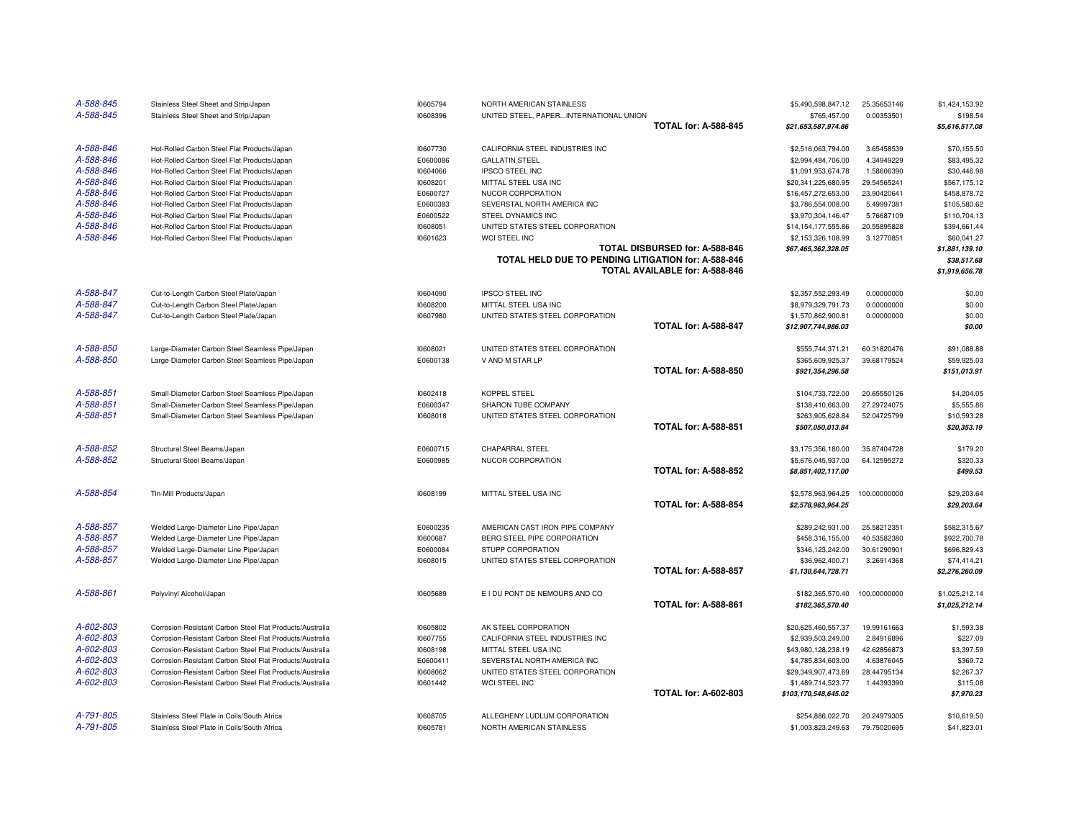| A-588-845 | Stainless Steel Sheet and Strip/Japan                    | 10605794 | NORTH AMERICAN STAINLESS                            |                                | \$5,490,598,847.12   | 25.35653146  | \$1,424,153.92                |
|-----------|----------------------------------------------------------|----------|-----------------------------------------------------|--------------------------------|----------------------|--------------|-------------------------------|
| A-588-845 | Stainless Steel Sheet and Strip/Japan                    | 10608396 | UNITED STEEL, PAPERINTERNATIONAL UNION              |                                | \$765,457.00         | 0.00353501   | \$198.54                      |
|           |                                                          |          |                                                     | <b>TOTAL for: A-588-845</b>    | \$21,653,587,974.86  |              | \$5,616,517.08                |
| A-588-846 | Hot-Rolled Carbon Steel Flat Products/Japan              | 10607730 | CALIFORNIA STEEL INDUSTRIES INC                     |                                | \$2,516,063,794.00   | 3.65458539   | \$70,155.50                   |
| A-588-846 | Hot-Rolled Carbon Steel Flat Products/Japan              | E0600086 | <b>GALLATIN STEEL</b>                               |                                | \$2,994,484,706.00   | 4.34949229   | \$83,495.32                   |
| A-588-846 | Hot-Rolled Carbon Steel Flat Products/Japan              | 10604066 | <b>IPSCO STEEL INC</b>                              |                                | \$1,091,953,674.78   | 1.58606390   | \$30,446.98                   |
| A-588-846 | Hot-Rolled Carbon Steel Flat Products/Japan              | 10608201 | MITTAL STEEL USA INC                                |                                | \$20,341,225,680.95  | 29.54565241  | \$567,175.12                  |
| A-588-846 | Hot-Rolled Carbon Steel Flat Products/Japan              | E0600727 | NUCOR CORPORATION                                   |                                | \$16,457,272,653.00  | 23.90420641  | \$458,878.72                  |
| A-588-846 | Hot-Rolled Carbon Steel Flat Products/Japan              | E0600383 | SEVERSTAL NORTH AMERICA INC                         |                                | \$3,786,554,008.00   | 5.49997381   | \$105,580.62                  |
| A-588-846 | Hot-Rolled Carbon Steel Flat Products/Japan              | E0600522 | STEEL DYNAMICS INC                                  |                                | \$3,970,304,146.47   | 5.76687109   | \$110,704.13                  |
| A-588-846 | Hot-Rolled Carbon Steel Flat Products/Japan              | 10608051 | UNITED STATES STEEL CORPORATION                     |                                | \$14,154,177,555.86  | 20.55895828  | \$394,661.44                  |
| A-588-846 | Hot-Rolled Carbon Steel Flat Products/Japan              | 10601623 | WCI STEEL INC                                       |                                | \$2,153,326,108.99   | 3.12770851   | \$60,041.27                   |
|           |                                                          |          |                                                     | TOTAL DISBURSED for: A-588-846 | \$67,465,362,328.05  |              | \$1,881,139.10                |
|           |                                                          |          | TOTAL HELD DUE TO PENDING LITIGATION for: A-588-846 | TOTAL AVAILABLE for: A-588-846 |                      |              | \$38,517.68<br>\$1,919,656.78 |
|           |                                                          |          |                                                     |                                |                      |              |                               |
| A-588-847 | Cut-to-Length Carbon Steel Plate/Japan                   | 10604090 | <b>IPSCO STEEL INC</b>                              |                                | \$2,357,552,293.49   | 0.00000000   | \$0.00                        |
| A-588-847 | Cut-to-Length Carbon Steel Plate/Japan                   | 10608200 | MITTAL STEEL USA INC                                |                                | \$8,979,329,791.73   | 0.00000000   | \$0.00                        |
| A-588-847 | Cut-to-Length Carbon Steel Plate/Japan                   | 10607980 | UNITED STATES STEEL CORPORATION                     |                                | \$1,570,862,900.81   | 0.00000000   | \$0.00                        |
|           |                                                          |          |                                                     | <b>TOTAL for: A-588-847</b>    | \$12,907,744,986.03  |              | \$0.00                        |
| A-588-850 | Large-Diameter Carbon Steel Seamless Pipe/Japan          | 10608021 | UNITED STATES STEEL CORPORATION                     |                                | \$555,744,371.21     | 60.31820476  | \$91,088.88                   |
| A-588-850 | Large-Diameter Carbon Steel Seamless Pipe/Japan          | E0600138 | V AND M STAR LP                                     |                                | \$365,609,925.37     | 39.68179524  | \$59,925.03                   |
|           |                                                          |          |                                                     | <b>TOTAL for: A-588-850</b>    | \$921,354,296.58     |              | \$151,013.91                  |
| A-588-851 | Small-Diameter Carbon Steel Seamless Pipe/Japan          | 10602418 | KOPPEL STEEL                                        |                                | \$104,733,722.00     | 20.65550126  | \$4,204.05                    |
| A-588-851 | Small-Diameter Carbon Steel Seamless Pipe/Japan          | E0600347 | SHARON TUBE COMPANY                                 |                                | \$138,410,663.00     | 27.29724075  | \$5,555.86                    |
| A-588-851 | Small-Diameter Carbon Steel Seamless Pipe/Japan          | 10608018 | UNITED STATES STEEL CORPORATION                     |                                | \$263,905,628.84     | 52.04725799  | \$10,593.28                   |
|           |                                                          |          |                                                     | <b>TOTAL for: A-588-851</b>    | \$507,050,013.84     |              | \$20,353.19                   |
| A-588-852 | Structural Steel Beams/Japan                             | E0600715 | <b>CHAPARRAL STEEL</b>                              |                                | \$3,175,356,180.00   | 35.87404728  | \$179.20                      |
| A-588-852 | Structural Steel Beams/Japan                             | E0600985 | NUCOR CORPORATION                                   |                                | \$5,676,045,937.00   | 64.12595272  | \$320.33                      |
|           |                                                          |          |                                                     | <b>TOTAL for: A-588-852</b>    | \$8,851,402,117.00   |              | \$499.53                      |
| A-588-854 | Tin-Mill Products/Japan                                  | 10608199 | MITTAL STEEL USA INC                                |                                | \$2,578,963,964.25   | 100.00000000 | \$29,203.64                   |
|           |                                                          |          |                                                     | <b>TOTAL for: A-588-854</b>    | \$2,578,963,964.25   |              | \$29,203.64                   |
| A-588-857 | Welded Large-Diameter Line Pipe/Japan                    | E0600235 | AMERICAN CAST IRON PIPE COMPANY                     |                                | \$289,242,931.00     | 25.58212351  | \$582,315.67                  |
| A-588-857 | Welded Large-Diameter Line Pipe/Japan                    | 10600687 | BERG STEEL PIPE CORPORATION                         |                                | \$458,316,155.00     | 40.53582380  | \$922,700.78                  |
| A-588-857 | Welded Large-Diameter Line Pipe/Japan                    | E0600084 | STUPP CORPORATION                                   |                                | \$346,123,242.00     | 30.61290901  | \$696,829.43                  |
| A-588-857 | Welded Large-Diameter Line Pipe/Japan                    | 10608015 | UNITED STATES STEEL CORPORATION                     |                                | \$36,962,400.71      | 3.26914368   | \$74,414.21                   |
|           |                                                          |          |                                                     | <b>TOTAL for: A-588-857</b>    | \$1,130,644,728.71   |              | \$2,276,260.09                |
| A-588-861 | Polyvinyl Alcohol/Japan                                  | 10605689 | E I DU PONT DE NEMOURS AND CO                       |                                | \$182,365,570.40     | 100.00000000 | \$1,025,212.14                |
|           |                                                          |          |                                                     | <b>TOTAL for: A-588-861</b>    | \$182,365,570.40     |              | \$1,025,212.14                |
| A-602-803 | Corrosion-Resistant Carbon Steel Flat Products/Australia | 10605802 | AK STEEL CORPORATION                                |                                | \$20,625,460,557.37  | 19.99161663  | \$1,593.38                    |
| A-602-803 | Corrosion-Resistant Carbon Steel Flat Products/Australia | 10607755 | CALIFORNIA STEEL INDUSTRIES INC                     |                                | \$2,939,503,249.00   | 2.84916896   | \$227.09                      |
| A-602-803 | Corrosion-Resistant Carbon Steel Flat Products/Australia | 10608198 | MITTAL STEEL USA INC                                |                                | \$43,980,128,238.19  | 42.62856873  | \$3,397.59                    |
| A-602-803 | Corrosion-Resistant Carbon Steel Flat Products/Australia | E0600411 | SEVERSTAL NORTH AMERICA INC                         |                                | \$4,785,834,603.00   | 4.63876045   | \$369.72                      |
| A-602-803 | Corrosion-Resistant Carbon Steel Flat Products/Australia | 10608062 | UNITED STATES STEEL CORPORATION                     |                                | \$29,349,907,473.69  | 28.44795134  | \$2,267.37                    |
| A-602-803 | Corrosion-Resistant Carbon Steel Flat Products/Australia | 10601442 | WCI STEEL INC                                       |                                | \$1,489,714,523.77   | 1.44393390   | \$115.08                      |
|           |                                                          |          |                                                     | <b>TOTAL for: A-602-803</b>    | \$103,170,548,645.02 |              | \$7,970.23                    |
| A-791-805 | Stainless Steel Plate in Coils/South Africa              | 10608705 | ALLEGHENY LUDLUM CORPORATION                        |                                | \$254,886,022.70     | 20.24979305  | \$10.619.50                   |
| A-791-805 | Stainless Steel Plate in Coils/South Africa              | 10605781 | NORTH AMERICAN STAINLESS                            |                                | \$1,003,823,249.63   | 79.75020695  | \$41,823.01                   |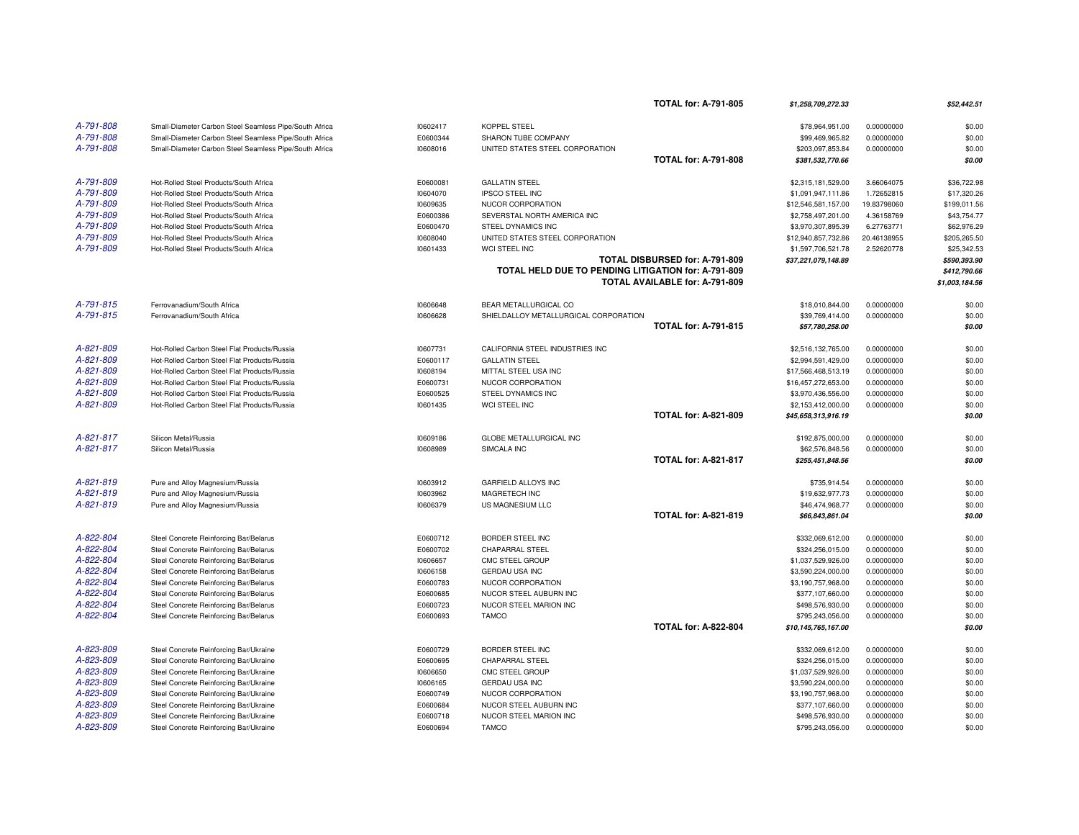|           |                                                        |          |                                                     | <b>TOTAL for: A-791-805</b>    | \$1,258,709,272.33  |             | \$52,442.51    |
|-----------|--------------------------------------------------------|----------|-----------------------------------------------------|--------------------------------|---------------------|-------------|----------------|
| A-791-808 | Small-Diameter Carbon Steel Seamless Pipe/South Africa | 10602417 | <b>KOPPEL STEEL</b>                                 |                                | \$78,964,951.00     | 0.00000000  | \$0.00         |
| A-791-808 | Small-Diameter Carbon Steel Seamless Pipe/South Africa | E0600344 | SHARON TUBE COMPANY                                 |                                | \$99,469,965.82     | 0.00000000  | \$0.00         |
| A-791-808 | Small-Diameter Carbon Steel Seamless Pipe/South Africa | 10608016 | UNITED STATES STEEL CORPORATION                     |                                | \$203,097,853.84    | 0.00000000  | \$0.00         |
|           |                                                        |          |                                                     | <b>TOTAL for: A-791-808</b>    | \$381,532,770.66    |             | \$0.00         |
| A-791-809 | Hot-Rolled Steel Products/South Africa                 | E0600081 | <b>GALLATIN STEEL</b>                               |                                | \$2,315,181,529.00  | 3.66064075  | \$36,722.98    |
| A-791-809 | Hot-Rolled Steel Products/South Africa                 | 10604070 | <b>IPSCO STEEL INC</b>                              |                                | \$1,091,947,111.86  | 1.72652815  | \$17,320.26    |
| A-791-809 | Hot-Rolled Steel Products/South Africa                 | 10609635 | NUCOR CORPORATION                                   |                                | \$12,546,581,157.00 | 19.83798060 | \$199,011.56   |
| A-791-809 | Hot-Rolled Steel Products/South Africa                 | E0600386 | SEVERSTAL NORTH AMERICA INC                         |                                | \$2,758,497,201.00  | 4.36158769  | \$43,754.77    |
| A-791-809 | Hot-Rolled Steel Products/South Africa                 | E0600470 | STEEL DYNAMICS INC                                  |                                | \$3,970,307,895.39  | 6.27763771  | \$62,976.29    |
| A-791-809 | Hot-Rolled Steel Products/South Africa                 | 10608040 | UNITED STATES STEEL CORPORATION                     |                                | \$12,940,857,732.86 | 20.46138955 | \$205,265.50   |
| A-791-809 | Hot-Rolled Steel Products/South Africa                 | 10601433 | WCI STEEL INC                                       |                                | \$1,597,706,521.78  | 2.52620778  | \$25,342.53    |
|           |                                                        |          |                                                     | TOTAL DISBURSED for: A-791-809 | \$37,221,079,148.89 |             | \$590,393.90   |
|           |                                                        |          | TOTAL HELD DUE TO PENDING LITIGATION for: A-791-809 |                                |                     |             | \$412,790.66   |
|           |                                                        |          |                                                     | TOTAL AVAILABLE for: A-791-809 |                     |             | \$1,003,184.56 |
| A-791-815 | Ferrovanadium/South Africa                             | 10606648 | BEAR METALLURGICAL CO                               |                                | \$18,010,844.00     | 0.00000000  | \$0.00         |
| A-791-815 | Ferrovanadium/South Africa                             | 10606628 | SHIELDALLOY METALLURGICAL CORPORATION               |                                | \$39,769,414.00     | 0.00000000  | \$0.00         |
|           |                                                        |          |                                                     | <b>TOTAL for: A-791-815</b>    | \$57,780,258.00     |             | \$0.00         |
|           |                                                        |          |                                                     |                                |                     |             |                |
| A-821-809 | Hot-Rolled Carbon Steel Flat Products/Russia           | 10607731 | CALIFORNIA STEEL INDUSTRIES INC                     |                                | \$2,516,132,765.00  | 0.00000000  | \$0.00         |
| A-821-809 | Hot-Rolled Carbon Steel Flat Products/Russia           | E0600117 | <b>GALLATIN STEEL</b>                               |                                | \$2,994,591,429.00  | 0.00000000  | \$0.00         |
| A-821-809 | Hot-Rolled Carbon Steel Flat Products/Russia           | 10608194 | MITTAL STEEL USA INC                                |                                | \$17,566,468,513.19 | 0.00000000  | \$0.00         |
| A-821-809 | Hot-Rolled Carbon Steel Flat Products/Russia           | E0600731 | NUCOR CORPORATION                                   |                                | \$16,457,272,653.00 | 0.00000000  | \$0.00         |
| A-821-809 | Hot-Rolled Carbon Steel Flat Products/Russia           | E0600525 | STEEL DYNAMICS INC                                  |                                | \$3,970,436,556.00  | 0.00000000  | \$0.00         |
| A-821-809 | Hot-Rolled Carbon Steel Flat Products/Russia           | 10601435 | WCI STEEL INC                                       |                                | \$2,153,412,000.00  | 0.00000000  | \$0.00         |
|           |                                                        |          |                                                     | <b>TOTAL for: A-821-809</b>    | \$45,658,313,916.19 |             | \$0.00         |
| A-821-817 | Silicon Metal/Russia                                   | 10609186 | <b>GLOBE METALLURGICAL INC</b>                      |                                | \$192,875,000.00    | 0.00000000  | \$0.00         |
| A-821-817 | Silicon Metal/Russia                                   | 10608989 | SIMCALA INC                                         |                                | \$62,576,848.56     | 0.00000000  | \$0.00         |
|           |                                                        |          |                                                     | <b>TOTAL for: A-821-817</b>    | \$255,451,848.56    |             | \$0.00         |
| A-821-819 | Pure and Alloy Magnesium/Russia                        | 10603912 | GARFIELD ALLOYS INC                                 |                                | \$735,914.54        | 0.00000000  | \$0.00         |
| A-821-819 | Pure and Alloy Magnesium/Russia                        | 10603962 | MAGRETECH INC                                       |                                | \$19,632,977.73     | 0.00000000  | \$0.00         |
| A-821-819 | Pure and Alloy Magnesium/Russia                        | 10606379 | US MAGNESIUM LLC                                    |                                | \$46,474,968.77     | 0.00000000  | \$0.00         |
|           |                                                        |          |                                                     | <b>TOTAL for: A-821-819</b>    | \$66,843,861.04     |             | \$0.00         |
| A-822-804 | Steel Concrete Reinforcing Bar/Belarus                 | E0600712 | BORDER STEEL INC                                    |                                | \$332,069,612.00    | 0.00000000  | \$0.00         |
| A-822-804 | Steel Concrete Reinforcing Bar/Belarus                 | E0600702 | <b>CHAPARRAL STEEL</b>                              |                                | \$324,256,015.00    | 0.00000000  | \$0.00         |
| A-822-804 | Steel Concrete Reinforcing Bar/Belarus                 | 10606657 | CMC STEEL GROUP                                     |                                | \$1,037,529,926.00  | 0.00000000  | \$0.00         |
| A-822-804 | Steel Concrete Reinforcing Bar/Belarus                 | 10606158 | <b>GERDAU USA INC</b>                               |                                | \$3,590,224,000.00  | 0.00000000  | \$0.00         |
| A-822-804 | Steel Concrete Reinforcing Bar/Belarus                 | E0600783 | NUCOR CORPORATION                                   |                                | \$3,190,757,968.00  | 0.00000000  | \$0.00         |
| A-822-804 | Steel Concrete Reinforcing Bar/Belarus                 | E0600685 | NUCOR STEEL AUBURN INC                              |                                | \$377,107,660.00    | 0.00000000  | \$0.00         |
| A-822-804 | Steel Concrete Reinforcing Bar/Belarus                 | E0600723 | NUCOR STEEL MARION INC                              |                                | \$498,576,930.00    | 0.00000000  | \$0.00         |
| A-822-804 | Steel Concrete Reinforcing Bar/Belarus                 | E0600693 | <b>TAMCO</b>                                        |                                | \$795,243,056.00    | 0.00000000  | \$0.00         |
|           |                                                        |          |                                                     | <b>TOTAL for: A-822-804</b>    | \$10,145,765,167.00 |             | \$0.00         |
| A-823-809 | Steel Concrete Reinforcing Bar/Ukraine                 | E0600729 | BORDER STEEL INC                                    |                                | \$332,069,612.00    | 0.00000000  | \$0.00         |
| A-823-809 | Steel Concrete Reinforcing Bar/Ukraine                 | E0600695 | <b>CHAPARRAL STEEL</b>                              |                                | \$324,256,015.00    | 0.00000000  | \$0.00         |
| A-823-809 | Steel Concrete Reinforcing Bar/Ukraine                 | 10606650 | CMC STEEL GROUP                                     |                                | \$1,037,529,926.00  | 0.00000000  | \$0.00         |
| A-823-809 | Steel Concrete Reinforcing Bar/Ukraine                 | 10606165 | GERDAU USA INC                                      |                                | \$3,590,224,000.00  | 0.00000000  | \$0.00         |
| A-823-809 | Steel Concrete Reinforcing Bar/Ukraine                 | E0600749 | NUCOR CORPORATION                                   |                                | \$3,190,757,968.00  | 0.00000000  | \$0.00         |
| A-823-809 | Steel Concrete Reinforcing Bar/Ukraine                 | E0600684 | NUCOR STEEL AUBURN INC                              |                                | \$377,107,660.00    | 0.00000000  | \$0.00         |
| A-823-809 | Steel Concrete Reinforcing Bar/Ukraine                 | E0600718 | NUCOR STEEL MARION INC                              |                                | \$498,576,930.00    | 0.00000000  | \$0.00         |
| A-823-809 | Steel Concrete Reinforcing Bar/Ukraine                 | E0600694 | <b>TAMCO</b>                                        |                                | \$795,243,056.00    | 0.00000000  | \$0.00         |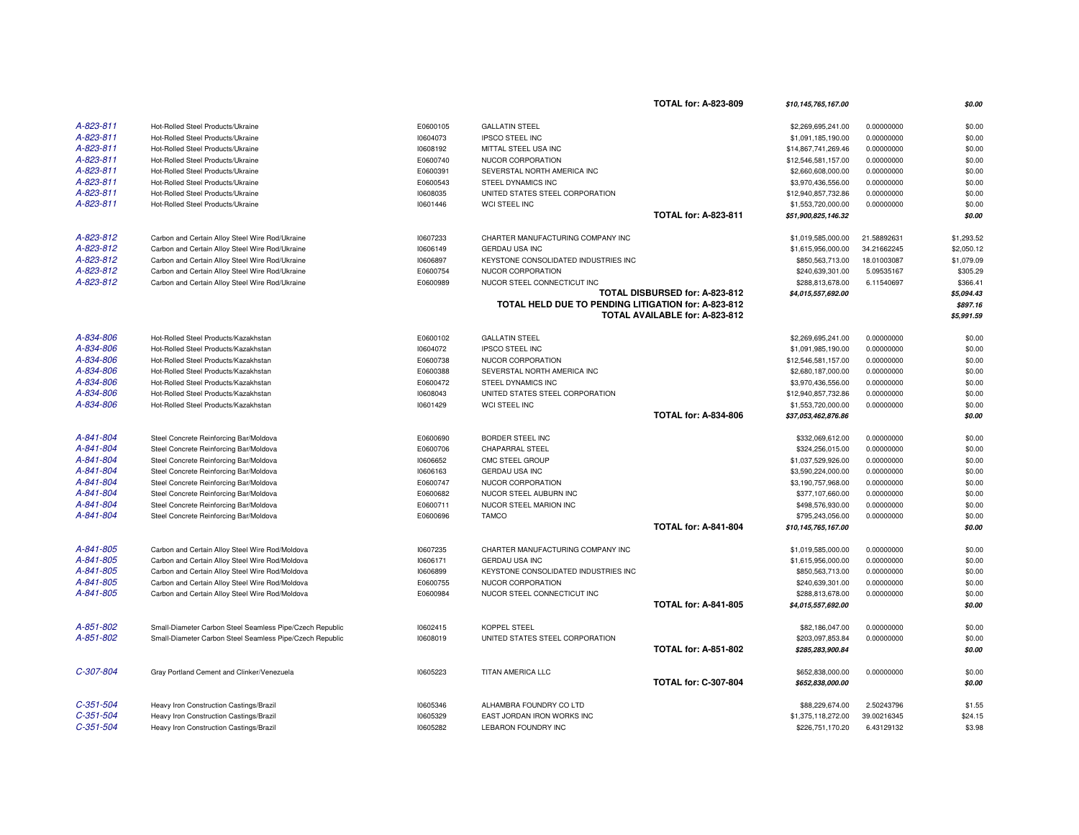|             |                                                          |          |                                                     | <b>TOTAL for: A-823-809</b>    | \$10,145,765,167.00 |             | \$0.00                 |
|-------------|----------------------------------------------------------|----------|-----------------------------------------------------|--------------------------------|---------------------|-------------|------------------------|
| A-823-811   | Hot-Rolled Steel Products/Ukraine                        | E0600105 | <b>GALLATIN STEEL</b>                               |                                | \$2,269,695,241.00  | 0.00000000  | \$0.00                 |
| A-823-811   | Hot-Rolled Steel Products/Ukraine                        | 10604073 | <b>IPSCO STEEL INC</b>                              |                                | \$1,091,185,190.00  | 0.00000000  | \$0.00                 |
| A-823-811   | Hot-Rolled Steel Products/Ukraine                        | 10608192 | MITTAL STEEL USA INC                                |                                | \$14,867,741,269.46 | 0.00000000  | \$0.00                 |
| A-823-811   | Hot-Rolled Steel Products/Ukraine                        | E0600740 | NUCOR CORPORATION                                   |                                | \$12,546,581,157.00 | 0.00000000  | \$0.00                 |
| A-823-811   | Hot-Rolled Steel Products/Ukraine                        | E0600391 | SEVERSTAL NORTH AMERICA INC                         |                                | \$2,660,608,000.00  | 0.00000000  | \$0.00                 |
| A-823-811   | Hot-Rolled Steel Products/Ukraine                        | E0600543 | STEEL DYNAMICS INC                                  |                                | \$3,970,436,556.00  | 0.00000000  | \$0.00                 |
| A-823-811   | Hot-Rolled Steel Products/Ukraine                        | 10608035 | UNITED STATES STEEL CORPORATION                     |                                | \$12,940,857,732.86 | 0.00000000  | \$0.00                 |
| A-823-811   | Hot-Rolled Steel Products/Ukraine                        | 10601446 | WCI STEEL INC                                       |                                | \$1,553,720,000.00  | 0.00000000  | \$0.00                 |
|             |                                                          |          |                                                     | <b>TOTAL for: A-823-811</b>    | \$51,900,825,146.32 |             | \$0.00                 |
| A-823-812   | Carbon and Certain Alloy Steel Wire Rod/Ukraine          | 10607233 | CHARTER MANUFACTURING COMPANY INC                   |                                | \$1,019,585,000.00  | 21.58892631 | \$1,293.52             |
| A-823-812   | Carbon and Certain Alloy Steel Wire Rod/Ukraine          | 10606149 | <b>GERDAU USA INC</b>                               |                                | \$1,615,956,000.00  | 34.21662245 | \$2,050.12             |
| A-823-812   | Carbon and Certain Alloy Steel Wire Rod/Ukraine          | 10606897 | KEYSTONE CONSOLIDATED INDUSTRIES INC                |                                | \$850,563,713.00    | 18.01003087 | \$1,079.09             |
| A-823-812   | Carbon and Certain Alloy Steel Wire Rod/Ukraine          | E0600754 | NUCOR CORPORATION                                   |                                | \$240,639,301.00    | 5.09535167  | \$305.29               |
| A-823-812   | Carbon and Certain Alloy Steel Wire Rod/Ukraine          | E0600989 | NUCOR STEEL CONNECTICUT INC                         |                                | \$288,813,678.00    | 6.11540697  | \$366.41               |
|             |                                                          |          | TOTAL HELD DUE TO PENDING LITIGATION for: A-823-812 | TOTAL DISBURSED for: A-823-812 | \$4,015,557,692.00  |             | \$5,094.43<br>\$897.16 |
|             |                                                          |          |                                                     | TOTAL AVAILABLE for: A-823-812 |                     |             | \$5,991.59             |
| A-834-806   | Hot-Rolled Steel Products/Kazakhstan                     | E0600102 | <b>GALLATIN STEEL</b>                               |                                | \$2,269,695,241.00  | 0.00000000  | \$0.00                 |
| A-834-806   | Hot-Rolled Steel Products/Kazakhstan                     | 10604072 | <b>IPSCO STEEL INC</b>                              |                                | \$1,091,985,190.00  | 0.00000000  | \$0.00                 |
| A-834-806   | Hot-Rolled Steel Products/Kazakhstan                     | E0600738 | NUCOR CORPORATION                                   |                                | \$12,546,581,157.00 | 0.00000000  | \$0.00                 |
| A-834-806   | Hot-Rolled Steel Products/Kazakhstan                     | E0600388 | SEVERSTAL NORTH AMERICA INC                         |                                | \$2,680,187,000.00  | 0.00000000  | \$0.00                 |
| A-834-806   | Hot-Rolled Steel Products/Kazakhstan                     | E0600472 | STEEL DYNAMICS INC                                  |                                | \$3,970,436,556.00  | 0.00000000  | \$0.00                 |
| A-834-806   | Hot-Rolled Steel Products/Kazakhstan                     | 10608043 | UNITED STATES STEEL CORPORATION                     |                                | \$12,940,857,732.86 | 0.00000000  | \$0.00                 |
| A-834-806   | Hot-Rolled Steel Products/Kazakhstan                     | 10601429 | WCI STEEL INC                                       |                                | \$1,553,720,000.00  | 0.00000000  | \$0.00                 |
|             |                                                          |          |                                                     | <b>TOTAL for: A-834-806</b>    | \$37,053,462,876.86 |             | \$0.00                 |
| A-841-804   | Steel Concrete Reinforcing Bar/Moldova                   | E0600690 | BORDER STEEL INC                                    |                                | \$332,069,612.00    | 0.00000000  | \$0.00                 |
| A-841-804   | Steel Concrete Reinforcing Bar/Moldova                   | E0600706 | <b>CHAPARRAL STEEL</b>                              |                                | \$324,256,015.00    | 0.00000000  | \$0.00                 |
| A-841-804   | Steel Concrete Reinforcing Bar/Moldova                   | 10606652 | CMC STEEL GROUP                                     |                                | \$1,037,529,926.00  | 0.00000000  | \$0.00                 |
| A-841-804   | Steel Concrete Reinforcing Bar/Moldova                   | 10606163 | GERDAU USA INC                                      |                                | \$3,590,224,000.00  | 0.00000000  | \$0.00                 |
| A-841-804   | Steel Concrete Reinforcing Bar/Moldova                   | E0600747 | NUCOR CORPORATION                                   |                                | \$3,190,757,968.00  | 0.00000000  | \$0.00                 |
| A-841-804   | Steel Concrete Reinforcing Bar/Moldova                   | E0600682 | NUCOR STEEL AUBURN INC                              |                                | \$377,107,660.00    | 0.00000000  | \$0.00                 |
| A-841-804   | Steel Concrete Reinforcing Bar/Moldova                   | E0600711 | NUCOR STEEL MARION INC                              |                                | \$498,576,930.00    | 0.00000000  | \$0.00                 |
| A-841-804   | Steel Concrete Reinforcing Bar/Moldova                   | E0600696 | <b>TAMCO</b>                                        |                                | \$795,243,056.00    | 0.00000000  | \$0.00                 |
|             |                                                          |          |                                                     | <b>TOTAL for: A-841-804</b>    | \$10,145,765,167.00 |             | \$0.00                 |
| A-841-805   | Carbon and Certain Alloy Steel Wire Rod/Moldova          | 10607235 | CHARTER MANUFACTURING COMPANY INC                   |                                | \$1,019,585,000.00  | 0.00000000  | \$0.00                 |
| A-841-805   | Carbon and Certain Alloy Steel Wire Rod/Moldova          | 10606171 | GERDAU USA INC                                      |                                | \$1,615,956,000.00  | 0.00000000  | \$0.00                 |
| A-841-805   | Carbon and Certain Alloy Steel Wire Rod/Moldova          | 10606899 | KEYSTONE CONSOLIDATED INDUSTRIES INC                |                                | \$850,563,713.00    | 0.00000000  | \$0.00                 |
| A-841-805   | Carbon and Certain Alloy Steel Wire Rod/Moldova          | E0600755 | NUCOR CORPORATION                                   |                                | \$240,639,301.00    | 0.00000000  | \$0.00                 |
| A-841-805   | Carbon and Certain Alloy Steel Wire Rod/Moldova          | E0600984 | NUCOR STEEL CONNECTICUT INC                         |                                | \$288,813,678.00    | 0.00000000  | \$0.00                 |
|             |                                                          |          |                                                     | <b>TOTAL for: A-841-805</b>    | \$4,015,557,692.00  |             | \$0.00                 |
| A-851-802   | Small-Diameter Carbon Steel Seamless Pipe/Czech Republic | 10602415 | KOPPEL STEEL                                        |                                | \$82,186,047.00     | 0.00000000  | \$0.00                 |
| A-851-802   | Small-Diameter Carbon Steel Seamless Pipe/Czech Republic | 10608019 | UNITED STATES STEEL CORPORATION                     |                                | \$203,097,853.84    | 0.00000000  | \$0.00                 |
|             |                                                          |          |                                                     | <b>TOTAL for: A-851-802</b>    | \$285,283,900.84    |             | \$0.00                 |
| C-307-804   | Gray Portland Cement and Clinker/Venezuela               | 10605223 | TITAN AMERICA LLC                                   |                                | \$652,838,000.00    | 0.00000000  | \$0.00                 |
|             |                                                          |          |                                                     | <b>TOTAL for: C-307-804</b>    | \$652,838,000.00    |             | \$0.00                 |
| $C-351-504$ | Heavy Iron Construction Castings/Brazil                  | 10605346 | ALHAMBRA FOUNDRY CO LTD                             |                                | \$88,229,674.00     | 2.50243796  | \$1.55                 |
| $C-351-504$ | Heavy Iron Construction Castings/Brazil                  | 10605329 | EAST JORDAN IRON WORKS INC                          |                                | \$1,375,118,272.00  | 39.00216345 | \$24.15                |
| $C-351-504$ | Heavy Iron Construction Castings/Brazil                  | 10605282 | <b>LEBARON FOUNDRY INC</b>                          |                                | \$226,751,170.20    | 6.43129132  | \$3.98                 |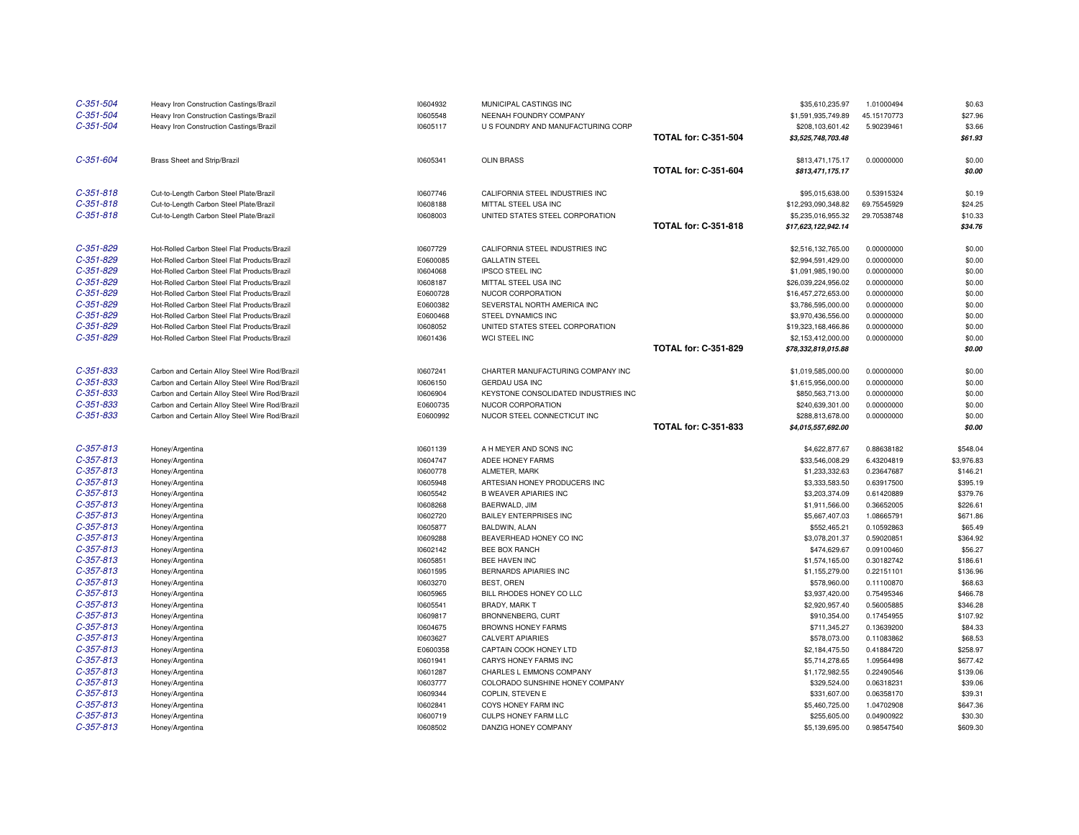| $C-351-504$                | Heavy Iron Construction Castings/Brazil        | 10604932             | MUNICIPAL CASTINGS INC                              |                             | \$35,610,235.97                | 1.01000494               | \$0.63              |
|----------------------------|------------------------------------------------|----------------------|-----------------------------------------------------|-----------------------------|--------------------------------|--------------------------|---------------------|
| $C-351-504$                | Heavy Iron Construction Castings/Brazil        | 10605548             | NEENAH FOUNDRY COMPANY                              |                             | \$1,591,935,749.89             | 45.15170773              | \$27.96             |
| $C-351-504$                | Heavy Iron Construction Castings/Brazil        | 10605117             | U S FOUNDRY AND MANUFACTURING CORP                  |                             | \$208,103,601.42               | 5.90239461               | \$3.66              |
|                            |                                                |                      |                                                     | <b>TOTAL for: C-351-504</b> | \$3,525,748,703.48             |                          | \$61.93             |
| $C-351-604$                | <b>Brass Sheet and Strip/Brazil</b>            | 10605341             | <b>OLIN BRASS</b>                                   |                             | \$813,471,175.17               | 0.00000000               | \$0.00              |
|                            |                                                |                      |                                                     | <b>TOTAL for: C-351-604</b> | \$813,471,175.17               |                          | \$0.00              |
| $C-351-818$                | Cut-to-Length Carbon Steel Plate/Brazil        | 10607746             | CALIFORNIA STEEL INDUSTRIES INC                     |                             | \$95,015,638.00                | 0.53915324               | \$0.19              |
| $C-351-818$                | Cut-to-Length Carbon Steel Plate/Brazil        | 10608188             | MITTAL STEEL USA INC                                |                             | \$12,293,090,348.82            | 69.75545929              | \$24.25             |
| $C-351-818$                | Cut-to-Length Carbon Steel Plate/Brazil        | 10608003             | UNITED STATES STEEL CORPORATION                     |                             | \$5,235,016,955.32             | 29.70538748              | \$10.33             |
|                            |                                                |                      |                                                     | <b>TOTAL for: C-351-818</b> | \$17,623,122,942.14            |                          | \$34.76             |
| $C-351-829$                | Hot-Rolled Carbon Steel Flat Products/Brazil   | 10607729             | CALIFORNIA STEEL INDUSTRIES INC                     |                             | \$2,516,132,765.00             | 0.00000000               | \$0.00              |
| $C-351-829$                | Hot-Rolled Carbon Steel Flat Products/Brazil   | E0600085             | <b>GALLATIN STEEL</b>                               |                             | \$2,994,591,429.00             | 0.00000000               | \$0.00              |
| $C-351-829$                | Hot-Rolled Carbon Steel Flat Products/Brazil   | 10604068             | <b>IPSCO STEEL INC</b>                              |                             | \$1,091,985,190.00             | 0.00000000               | \$0.00              |
| $C-351-829$                | Hot-Rolled Carbon Steel Flat Products/Brazil   | 10608187             | MITTAL STEEL USA INC                                |                             | \$26,039,224,956.02            | 0.00000000               | \$0.00              |
| $C-351-829$                | Hot-Rolled Carbon Steel Flat Products/Brazil   | E0600728             | NUCOR CORPORATION                                   |                             | \$16,457,272,653.00            | 0.00000000               | \$0.00              |
| $C-351-829$                | Hot-Rolled Carbon Steel Flat Products/Brazil   | E0600382             | SEVERSTAL NORTH AMERICA INC                         |                             | \$3,786,595,000.00             | 0.00000000               | \$0.00              |
| $C-351-829$                | Hot-Rolled Carbon Steel Flat Products/Brazil   | E0600468             | STEEL DYNAMICS INC                                  |                             | \$3,970,436,556.00             | 0.00000000               | \$0.00              |
| $C-351-829$                | Hot-Rolled Carbon Steel Flat Products/Brazil   | 10608052             | UNITED STATES STEEL CORPORATION                     |                             | \$19,323,168,466.86            | 0.00000000               | \$0.00              |
| $C-351-829$                | Hot-Rolled Carbon Steel Flat Products/Brazil   | 10601436             | WCI STEEL INC                                       |                             | \$2,153,412,000.00             | 0.00000000               | \$0.00              |
|                            |                                                |                      |                                                     | <b>TOTAL for: C-351-829</b> | \$78,332,819,015.88            |                          | \$0.00              |
| $C-351-833$                | Carbon and Certain Alloy Steel Wire Rod/Brazil | 10607241             | CHARTER MANUFACTURING COMPANY INC                   |                             | \$1,019,585,000.00             | 0.00000000               | \$0.00              |
| $C-351-833$                | Carbon and Certain Alloy Steel Wire Rod/Brazil | 10606150             | <b>GERDAU USA INC</b>                               |                             | \$1,615,956,000.00             | 0.00000000               | \$0.00              |
| $C - 351 - 833$            | Carbon and Certain Alloy Steel Wire Rod/Brazil | 10606904             | KEYSTONE CONSOLIDATED INDUSTRIES INC                |                             | \$850,563,713.00               | 0.00000000               | \$0.00              |
| $C-351-833$                | Carbon and Certain Alloy Steel Wire Rod/Brazil | E0600735             | NUCOR CORPORATION                                   |                             | \$240,639,301.00               | 0.00000000               | \$0.00              |
| $C-351-833$                | Carbon and Certain Alloy Steel Wire Rod/Brazil | E0600992             | NUCOR STEEL CONNECTICUT INC                         |                             | \$288,813,678.00               | 0.00000000               | \$0.00              |
|                            |                                                |                      |                                                     | TOTAL for: C-351-833        | \$4,015,557,692.00             |                          | \$0.00              |
|                            |                                                |                      |                                                     |                             |                                |                          |                     |
| $C-357-813$                | Honey/Argentina                                | 10601139             | A H MEYER AND SONS INC                              |                             | \$4,622,877.67                 | 0.88638182               | \$548.04            |
| $C-357-813$                | Honey/Argentina                                | 10604747             | ADEE HONEY FARMS                                    |                             | \$33,546,008.29                | 6.43204819               | \$3,976.83          |
| $C-357-813$                | Honey/Argentina                                | 10600778             | ALMETER, MARK                                       |                             | \$1,233,332.63                 | 0.23647687               | \$146.21            |
| $C-357-813$                | Honey/Argentina                                | 10605948             | ARTESIAN HONEY PRODUCERS INC                        |                             | \$3,333,583.50                 | 0.63917500               | \$395.19            |
| $C-357-813$                | Honey/Argentina                                | 10605542             | <b>B WEAVER APIARIES INC</b>                        |                             | \$3,203,374.09                 | 0.61420889               | \$379.76            |
| $C-357-813$                | Honey/Argentina                                | 10608268             | BAERWALD, JIM                                       |                             | \$1,911,566.00                 | 0.36652005               | \$226.61            |
| $C-357-813$                | Honey/Argentina                                | 10602720             | <b>BAILEY ENTERPRISES INC</b>                       |                             | \$5,667,407.03                 | 1.08665791               | \$671.86            |
| $C-357-813$                | Honey/Argentina                                | 10605877             | BALDWIN, ALAN                                       |                             | \$552,465.21                   | 0.10592863               | \$65.49             |
| $C-357-813$                | Honey/Argentina                                | 10609288             | BEAVERHEAD HONEY CO INC                             |                             | \$3,078,201.37                 | 0.59020851               | \$364.92            |
| $C-357-813$                | Honey/Argentina                                | 10602142             | BEE BOX RANCH                                       |                             | \$474,629.67                   | 0.09100460               | \$56.27             |
| $C-357-813$                | Honey/Argentina                                | 10605851             | BEE HAVEN INC                                       |                             | \$1,574,165.00                 | 0.30182742               | \$186.61            |
| $C-357-813$                | Honey/Argentina                                | 10601595             | BERNARDS APIARIES INC                               |                             | \$1,155,279.00                 | 0.22151101               | \$136.96            |
| $C-357-813$                | Honey/Argentina                                | 10603270             | BEST, OREN                                          |                             | \$578,960.00                   | 0.11100870               | \$68.63             |
| $C-357-813$                | Honey/Argentina                                | 10605965             | BILL RHODES HONEY CO LLC                            |                             | \$3,937,420.00                 | 0.75495346               | \$466.78            |
| $C-357-813$                | Honey/Argentina                                | 10605541             | BRADY, MARK T                                       |                             | \$2,920,957.40                 | 0.56005885               | \$346.28            |
| $C-357-813$                | Honey/Argentina                                | 10609817             | BRONNENBERG, CURT                                   |                             | \$910,354.00                   | 0.17454955               | \$107.92            |
| $C-357-813$                | Honey/Argentina                                | 10604675             | <b>BROWNS HONEY FARMS</b>                           |                             | \$711,345.27                   | 0.13639200               | \$84.33             |
| $C-357-813$                | Honey/Argentina                                | 10603627             | <b>CALVERT APIARIES</b>                             |                             | \$578,073.00                   | 0.11083862               | \$68.53             |
| $C-357-813$                | Honey/Argentina                                | E0600358             | CAPTAIN COOK HONEY LTD                              |                             | \$2,184,475.50                 | 0.41884720               | \$258.97            |
| $C-357-813$                | Honey/Argentina                                | 10601941             | CARYS HONEY FARMS INC                               |                             | \$5,714,278.65                 | 1.09564498               | \$677.42            |
| $C-357-813$                | Honey/Argentina                                | 10601287             | CHARLES L EMMONS COMPANY                            |                             | \$1,172,982.55                 | 0.22490546               | \$139.06            |
| $C-357-813$                | Honey/Argentina                                | 10603777             | COLORADO SUNSHINE HONEY COMPANY                     |                             | \$329,524.00                   | 0.06318231               | \$39.06             |
| $C-357-813$                | Honey/Argentina                                | 10609344             | COPLIN, STEVEN E                                    |                             | \$331,607.00                   | 0.06358170               | \$39.31             |
| $C-357-813$                | Honey/Argentina                                | 10602841             | COYS HONEY FARM INC                                 |                             | \$5,460,725.00                 | 1.04702908               | \$647.36            |
| $C-357-813$<br>$C-357-813$ | Honey/Argentina<br>Honey/Argentina             | 10600719<br>10608502 | <b>CULPS HONEY FARM LLC</b><br>DANZIG HONEY COMPANY |                             | \$255,605.00<br>\$5,139,695.00 | 0.04900922<br>0.98547540 | \$30.30<br>\$609.30 |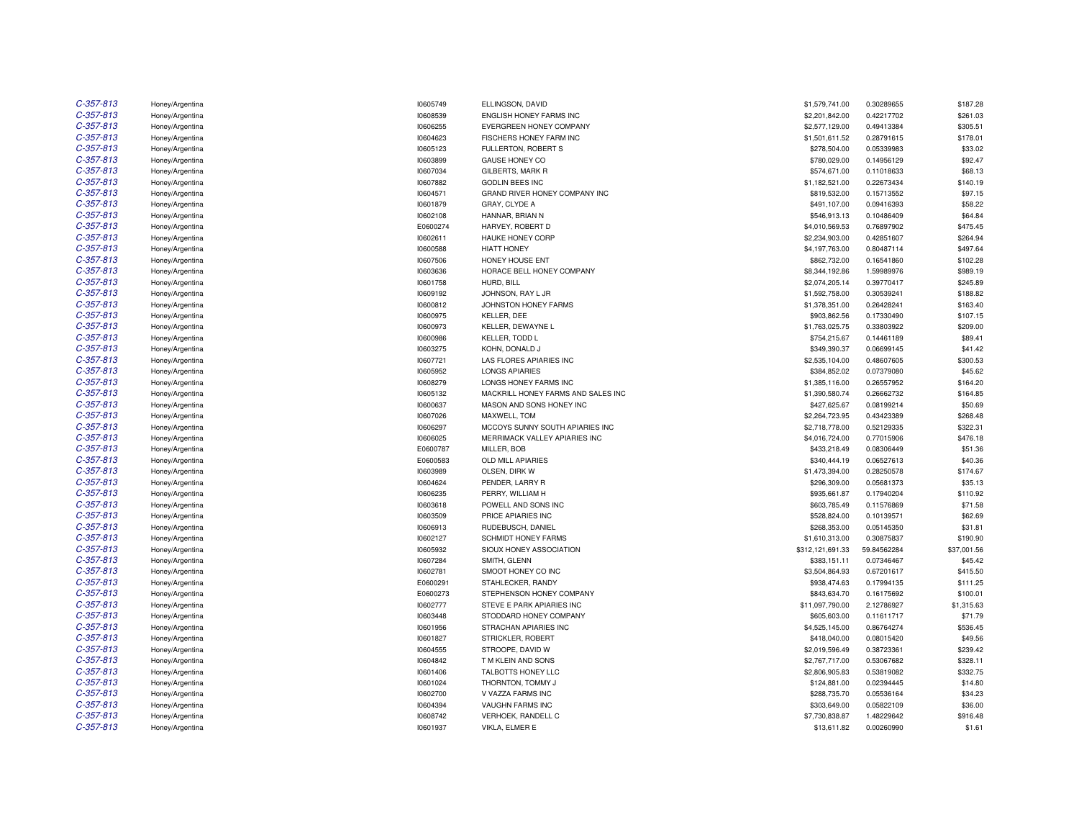| $C-357-813$                | Honey/Argentina                    |
|----------------------------|------------------------------------|
| $C-357-813$                | Honey/Argentina                    |
| $C-357-813$                | Honey/Argentina                    |
| $C-357-813$                | Honey/Argentina                    |
| $C-357-813$                | Honey/Argentina                    |
| $C-357-813$                | Honey/Argentina                    |
| $C-357-813$                | Honey/Argentina                    |
| $C-357-813$                | Honey/Argentina                    |
| $C-357-813$                | Honey/Argentina                    |
| $C-357-813$                | Honey/Argentina                    |
| $C-357-813$                | Honey/Argentina                    |
| $C-357-813$                | Honey/Argentina                    |
| $C - 357 - 813$            | Honey/Argentina                    |
| $C-357-813$                | Honey/Argentina                    |
| $C-357-813$                | Honey/Argentina                    |
| $C-357-813$                | Honey/Argentina                    |
| $C-357-813$                | Honey/Argentina                    |
| $C-357-813$                | Honey/Argentina                    |
| $C-357-813$                | Honey/Argentina                    |
| $C-357-813$                | Honey/Argentina                    |
| $C-357-813$                | Honey/Argentina                    |
| $C-357-813$                | Honey/Argentina                    |
| $C-357-813$                | Honey/Argentina                    |
| $C-357-813$                | Honey/Argentina                    |
| $C-357-813$                | Honey/Argentina                    |
| $C-357-813$                | Honey/Argentina                    |
| $C-357-813$                | Honey/Argentina                    |
| $C-357-813$                | Honey/Argentina                    |
| $C-357-813$                | Honey/Argentina                    |
| $C-357-813$                | Honey/Argentina                    |
| $C-357-813$                | Honey/Argentina                    |
| $C-357-813$                | Honey/Argentina                    |
| $C-357-813$                | Honey/Argentina                    |
| $C-357-813$                | Honey/Argentina                    |
| $C-357-813$                | Honey/Argentina                    |
| $C-357-813$                | Honey/Argentina                    |
| $C-357-813$                | Honey/Argentina                    |
| $C-357-813$<br>$C-357-813$ | Honey/Argentina                    |
| $C-357-813$                | Honey/Argentina                    |
| $C-357-813$                | Honey/Argentina<br>Honey/Argentina |
| $C-357-813$                | Honey/Argentina                    |
| $C-357-813$                | Honey/Argentina                    |
| $C-357-813$                | Honey/Argentina                    |
| $C-357-813$                | Honey/Argentina                    |
| $C-357-813$                | Honey/Argentina                    |
| $C - 357 - 813$            | Honey/Argentina                    |
| $C-357-813$                | Honey/Argentina                    |
| $C-357-813$                | Honey/Argentina                    |
| $C-357-813$                | Honey/Argentina                    |
| $C-357-813$                | Honey/Argentina                    |
| C-357-813                  | Honey/Argentina                    |
| $C-357-813$                | Honey/Argentina                    |
| $C-357-813$                | Honey/Argentina                    |
| $C-357-813$                | Honey/Argentina                    |
| $C-357-813$                | Honey/Argentina                    |
| $C - 357 - 813$            | Honey/Argentina                    |
|                            |                                    |

| з      | Honey/Argentina | 10605749 | ELLINGSON, DAVID                   | \$1,579,741.00   | 0.30289655  | \$187.28    |
|--------|-----------------|----------|------------------------------------|------------------|-------------|-------------|
| 3      | Honey/Argentina | 10608539 | ENGLISH HONEY FARMS INC            | \$2,201,842.00   | 0.42217702  | \$261.03    |
| 3      | Honey/Argentina | 10606255 | EVERGREEN HONEY COMPANY            | \$2,577,129.00   | 0.49413384  | \$305.51    |
| 3      | Honey/Argentina | 10604623 | FISCHERS HONEY FARM INC            | \$1,501,611.52   | 0.28791615  | \$178.01    |
| 3      | Honey/Argentina | 10605123 | FULLERTON, ROBERT S                | \$278,504.00     | 0.05339983  | \$33.02     |
| 3      | Honey/Argentina | 10603899 | GAUSE HONEY CO                     | \$780,029.00     | 0.14956129  | \$92.47     |
| 3      | Honey/Argentina | 10607034 | GILBERTS, MARK R                   | \$574,671.00     | 0.11018633  | \$68.13     |
| 3      | Honey/Argentina | 10607882 | <b>GODLIN BEES INC</b>             | \$1,182,521.00   | 0.22673434  | \$140.19    |
| 3      | Honey/Argentina | 10604571 | GRAND RIVER HONEY COMPANY INC      | \$819,532.00     | 0.15713552  | \$97.15     |
| 3      | Honey/Argentina | 10601879 | GRAY, CLYDE A                      | \$491,107.00     | 0.09416393  | \$58.22     |
| 3      | Honey/Argentina | 10602108 | HANNAR, BRIAN N                    | \$546,913.13     | 0.10486409  | \$64.84     |
| 3      | Honey/Argentina | E0600274 | HARVEY, ROBERT D                   | \$4,010,569.53   | 0.76897902  | \$475.45    |
| 3      | Honey/Argentina | 10602611 | HAUKE HONEY CORP                   | \$2,234,903.00   | 0.42851607  | \$264.94    |
| 3      | Honey/Argentina | 10600588 | <b>HIATT HONEY</b>                 | \$4,197,763.00   | 0.80487114  | \$497.64    |
| 3      | Honey/Argentina | 10607506 | HONEY HOUSE ENT                    | \$862,732.00     | 0.16541860  | \$102.28    |
| 3      | Honey/Argentina | 10603636 | HORACE BELL HONEY COMPANY          | \$8,344,192.86   | 1.59989976  | \$989.19    |
| 3      | Honey/Argentina | 10601758 | HURD, BILL                         | \$2,074,205.14   | 0.39770417  | \$245.89    |
| 3      | Honey/Argentina | 10609192 | JOHNSON, RAY L JR                  | \$1,592,758.00   | 0.30539241  | \$188.82    |
| 3      | Honey/Argentina | 10600812 | JOHNSTON HONEY FARMS               | \$1,378,351.00   | 0.26428241  | \$163.40    |
| 3      |                 | 10600975 | KELLER, DEE                        | \$903,862.56     | 0.17330490  | \$107.15    |
| 3      | Honey/Argentina |          |                                    |                  |             |             |
|        | Honey/Argentina | 10600973 | KELLER, DEWAYNE L                  | \$1,763,025.75   | 0.33803922  | \$209.00    |
| 3<br>3 | Honey/Argentina | 10600986 | KELLER, TODD L                     | \$754,215.67     | 0.14461189  | \$89.41     |
|        | Honey/Argentina | 10603275 | KOHN, DONALD J                     | \$349,390.37     | 0.06699145  | \$41.42     |
| 3      | Honey/Argentina | 10607721 | LAS FLORES APIARIES INC            | \$2,535,104.00   | 0.48607605  | \$300.53    |
| 3      | Honey/Argentina | 10605952 | <b>LONGS APIARIES</b>              | \$384,852.02     | 0.07379080  | \$45.62     |
| 3      | Honey/Argentina | 10608279 | LONGS HONEY FARMS INC              | \$1,385,116.00   | 0.26557952  | \$164.20    |
| 3      | Honey/Argentina | 10605132 | MACKRILL HONEY FARMS AND SALES INC | \$1,390,580.74   | 0.26662732  | \$164.85    |
| 3      | Honey/Argentina | 10600637 | MASON AND SONS HONEY INC           | \$427,625.67     | 0.08199214  | \$50.69     |
| 3      | Honey/Argentina | 10607026 | MAXWELL, TOM                       | \$2,264,723.95   | 0.43423389  | \$268.48    |
| 3      | Honey/Argentina | 10606297 | MCCOYS SUNNY SOUTH APIARIES INC    | \$2,718,778.00   | 0.52129335  | \$322.31    |
| 3      | Honey/Argentina | 10606025 | MERRIMACK VALLEY APIARIES INC      | \$4,016,724.00   | 0.77015906  | \$476.18    |
| 3      | Honey/Argentina | E0600787 | MILLER, BOB                        | \$433,218.49     | 0.08306449  | \$51.36     |
| 3      | Honey/Argentina | E0600583 | OLD MILL APIARIES                  | \$340,444.19     | 0.06527613  | \$40.36     |
| 3      | Honey/Argentina | 10603989 | OLSEN, DIRK W                      | \$1,473,394.00   | 0.28250578  | \$174.67    |
| 3      | Honey/Argentina | 10604624 | PENDER, LARRY R                    | \$296,309.00     | 0.05681373  | \$35.13     |
| 3      | Honey/Argentina | 10606235 | PERRY, WILLIAM H                   | \$935,661.87     | 0.17940204  | \$110.92    |
| 3      | Honey/Argentina | 10603618 | POWELL AND SONS INC                | \$603,785.49     | 0.11576869  | \$71.58     |
| 3      | Honey/Argentina | 10603509 | PRICE APIARIES INC                 | \$528,824.00     | 0.10139571  | \$62.69     |
| 3      | Honey/Argentina | 10606913 | RUDEBUSCH, DANIEL                  | \$268,353.00     | 0.05145350  | \$31.81     |
| 3      | Honey/Argentina | 10602127 | <b>SCHMIDT HONEY FARMS</b>         | \$1,610,313.00   | 0.30875837  | \$190.90    |
| 3      | Honey/Argentina | 10605932 | SIOUX HONEY ASSOCIATION            | \$312,121,691.33 | 59.84562284 | \$37,001.56 |
| 3      | Honey/Argentina | 10607284 | SMITH, GLENN                       | \$383,151.11     | 0.07346467  | \$45.42     |
| 3      | Honey/Argentina | 10602781 | SMOOT HONEY CO INC                 | \$3,504,864.93   | 0.67201617  | \$415.50    |
| 3      | Honey/Argentina | E0600291 | STAHLECKER, RANDY                  | \$938,474.63     | 0.17994135  | \$111.25    |
| 3      | Honey/Argentina | E0600273 | STEPHENSON HONEY COMPANY           | \$843,634.70     | 0.16175692  | \$100.01    |
| 3      | Honey/Argentina | 10602777 | STEVE E PARK APIARIES INC          | \$11,097,790.00  | 2.12786927  | \$1,315.63  |
| 3      | Honey/Argentina | 10603448 | STODDARD HONEY COMPANY             | \$605,603.00     | 0.11611717  | \$71.79     |
| 3      | Honey/Argentina | 10601956 | STRACHAN APIARIES INC              | \$4,525,145.00   | 0.86764274  | \$536.45    |
| 3      | Honey/Argentina | 10601827 | STRICKLER, ROBERT                  | \$418,040.00     | 0.08015420  | \$49.56     |
| 3      |                 |          |                                    |                  |             |             |
| 3      | Honey/Argentina | 10604555 | STROOPE, DAVID W                   | \$2,019,596.49   | 0.38723361  | \$239.42    |
| 3      | Honey/Argentina | 10604842 | T M KLEIN AND SONS                 | \$2,767,717.00   | 0.53067682  | \$328.11    |
|        | Honey/Argentina | 10601406 | TALBOTTS HONEY LLC                 | \$2,806,905.83   | 0.53819082  | \$332.75    |
| 3      | Honey/Argentina | 10601024 | THORNTON, TOMMY J                  | \$124,881.00     | 0.02394445  | \$14.80     |
| 3      | Honey/Argentina | 10602700 | V VAZZA FARMS INC                  | \$288,735.70     | 0.05536164  | \$34.23     |
| 3      | Honey/Argentina | 10604394 | <b>VAUGHN FARMS INC</b>            | \$303,649.00     | 0.05822109  | \$36.00     |
| 3      | Honey/Argentina | 10608742 | VERHOEK, RANDELL C                 | \$7,730,838.87   | 1.48229642  | \$916.48    |
| 3      | Honey/Argentina | 10601937 | VIKLA, ELMER E                     | \$13,611.82      | 0.00260990  | \$1.61      |
|        |                 |          |                                    |                  |             |             |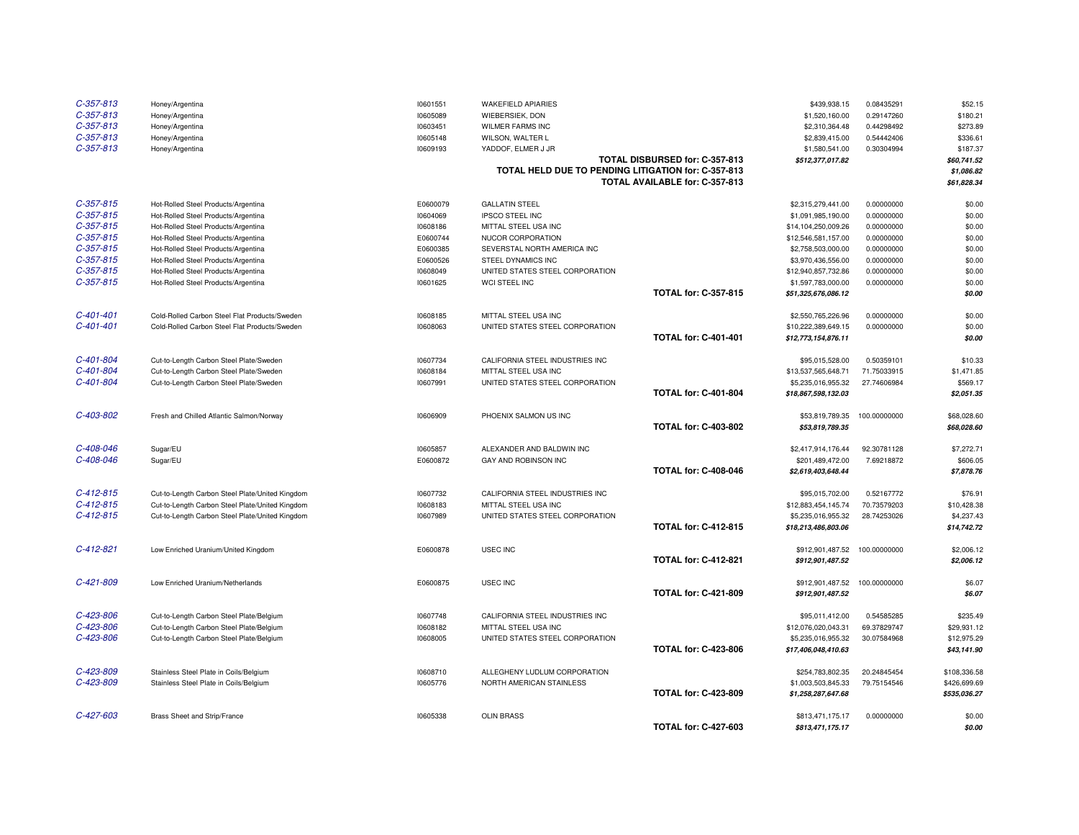| $C-357-813$     | Honey/Argentina                                 | 10601551 | <b>WAKEFIELD APIARIES</b>                           |                                | \$439,938.15        | 0.08435291   | \$52.15      |
|-----------------|-------------------------------------------------|----------|-----------------------------------------------------|--------------------------------|---------------------|--------------|--------------|
| $C-357-813$     | Honey/Argentina                                 | 10605089 | WIEBERSIEK, DON                                     |                                | \$1,520,160.00      | 0.29147260   | \$180.21     |
| $C-357-813$     | Honey/Argentina                                 | 10603451 | <b>WILMER FARMS INC</b>                             |                                | \$2,310,364.48      | 0.44298492   | \$273.89     |
| $C-357-813$     | Honey/Argentina                                 | 10605148 | WILSON, WALTER L                                    |                                | \$2,839,415.00      | 0.54442406   | \$336.61     |
| $C-357-813$     | Honey/Argentina                                 | 10609193 | YADDOF, ELMER J JR                                  |                                | \$1,580,541.00      | 0.30304994   | \$187.37     |
|                 |                                                 |          |                                                     | TOTAL DISBURSED for: C-357-813 | \$512,377,017.82    |              | \$60,741.52  |
|                 |                                                 |          | TOTAL HELD DUE TO PENDING LITIGATION for: C-357-813 |                                |                     |              | \$1,086.82   |
|                 |                                                 |          |                                                     | TOTAL AVAILABLE for: C-357-813 |                     |              | \$61,828.34  |
| $C-357-815$     |                                                 | E0600079 | <b>GALLATIN STEEL</b>                               |                                |                     | 0.00000000   | \$0.00       |
| $C-357-815$     | Hot-Rolled Steel Products/Argentina             |          |                                                     |                                | \$2,315,279,441.00  |              |              |
| $C-357-815$     | Hot-Rolled Steel Products/Argentina             | 10604069 | <b>IPSCO STEEL INC</b>                              |                                | \$1,091,985,190.00  | 0.00000000   | \$0.00       |
| $C-357-815$     | Hot-Rolled Steel Products/Argentina             | 10608186 | MITTAL STEEL USA INC                                |                                | \$14,104,250,009.26 | 0.00000000   | \$0.00       |
| $C-357-815$     | Hot-Rolled Steel Products/Argentina             | E0600744 | NUCOR CORPORATION                                   |                                | \$12,546,581,157.00 | 0.00000000   | \$0.00       |
|                 | Hot-Rolled Steel Products/Argentina             | E0600385 | SEVERSTAL NORTH AMERICA INC                         |                                | \$2,758,503,000.00  | 0.00000000   | \$0.00       |
| $C-357-815$     | Hot-Rolled Steel Products/Argentina             | E0600526 | STEEL DYNAMICS INC                                  |                                | \$3,970,436,556.00  | 0.00000000   | \$0.00       |
| $C-357-815$     | Hot-Rolled Steel Products/Argentina             | 10608049 | UNITED STATES STEEL CORPORATION                     |                                | \$12,940,857,732.86 | 0.00000000   | \$0.00       |
| $C-357-815$     | Hot-Rolled Steel Products/Argentina             | 10601625 | WCI STEEL INC                                       | <b>TOTAL for: C-357-815</b>    | \$1,597,783,000.00  | 0.00000000   | \$0.00       |
|                 |                                                 |          |                                                     |                                | \$51,325,676,086.12 |              | \$0.00       |
| $C - 401 - 401$ | Cold-Rolled Carbon Steel Flat Products/Sweden   | 10608185 | MITTAL STEEL USA INC                                |                                | \$2,550,765,226.96  | 0.00000000   | \$0.00       |
| $C - 401 - 401$ | Cold-Rolled Carbon Steel Flat Products/Sweden   | 10608063 | UNITED STATES STEEL CORPORATION                     |                                | \$10,222,389,649.15 | 0.00000000   | \$0.00       |
|                 |                                                 |          |                                                     | <b>TOTAL for: C-401-401</b>    | \$12,773,154,876.11 |              | \$0.00       |
| C-401-804       | Cut-to-Length Carbon Steel Plate/Sweden         | 10607734 | CALIFORNIA STEEL INDUSTRIES INC                     |                                | \$95,015,528.00     | 0.50359101   | \$10.33      |
| C-401-804       | Cut-to-Length Carbon Steel Plate/Sweden         | 10608184 | MITTAL STEEL USA INC                                |                                | \$13,537,565,648.71 | 71.75033915  | \$1,471.85   |
| C-401-804       | Cut-to-Length Carbon Steel Plate/Sweden         | 10607991 | UNITED STATES STEEL CORPORATION                     |                                | \$5,235,016,955.32  | 27.74606984  | \$569.17     |
|                 |                                                 |          |                                                     | <b>TOTAL for: C-401-804</b>    | \$18,867,598,132.03 |              | \$2,051.35   |
|                 |                                                 |          |                                                     |                                |                     |              |              |
| C-403-802       | Fresh and Chilled Atlantic Salmon/Norway        | 10606909 | PHOENIX SALMON US INC                               | <b>TOTAL for: C-403-802</b>    | \$53,819,789.35     | 100.00000000 | \$68,028.60  |
|                 |                                                 |          |                                                     |                                | \$53,819,789.35     |              | \$68,028.60  |
| C-408-046       | Sugar/EU                                        | 10605857 | ALEXANDER AND BALDWIN INC                           |                                | \$2,417,914,176.44  | 92.30781128  | \$7,272.71   |
| C-408-046       | Sugar/EU                                        | E0600872 | GAY AND ROBINSON INC                                |                                | \$201,489,472.00    | 7.69218872   | \$606.05     |
|                 |                                                 |          |                                                     | <b>TOTAL for: C-408-046</b>    | \$2,619,403,648.44  |              | \$7,878.76   |
| $C-412-815$     | Cut-to-Length Carbon Steel Plate/United Kingdom | 10607732 | CALIFORNIA STEEL INDUSTRIES INC                     |                                | \$95,015,702.00     | 0.52167772   | \$76.91      |
| $C - 412 - 815$ | Cut-to-Length Carbon Steel Plate/United Kingdom | 10608183 | MITTAL STEEL USA INC                                |                                | \$12,883,454,145.74 | 70.73579203  | \$10,428.38  |
| $C-412-815$     | Cut-to-Length Carbon Steel Plate/United Kingdom | 10607989 | UNITED STATES STEEL CORPORATION                     |                                | \$5,235,016,955.32  | 28.74253026  | \$4,237.43   |
|                 |                                                 |          |                                                     | <b>TOTAL for: C-412-815</b>    | \$18,213,486,803.06 |              | \$14,742.72  |
| $C-412-821$     | Low Enriched Uranium/United Kingdom             | E0600878 | <b>USEC INC</b>                                     |                                | \$912,901,487.52    | 100.00000000 | \$2,006.12   |
|                 |                                                 |          |                                                     | <b>TOTAL for: C-412-821</b>    | \$912,901,487.52    |              | \$2,006.12   |
|                 |                                                 |          |                                                     |                                |                     |              |              |
| C-421-809       | Low Enriched Uranium/Netherlands                | E0600875 | USEC INC                                            |                                | \$912,901,487.52    | 100.00000000 | \$6.07       |
|                 |                                                 |          |                                                     | <b>TOTAL for: C-421-809</b>    | \$912,901,487.52    |              | \$6.07       |
| C-423-806       | Cut-to-Length Carbon Steel Plate/Belgium        | 10607748 | CALIFORNIA STEEL INDUSTRIES INC                     |                                | \$95,011,412.00     | 0.54585285   | \$235.49     |
| C-423-806       | Cut-to-Length Carbon Steel Plate/Belgium        | 10608182 | MITTAL STEEL USA INC                                |                                | \$12,076,020,043.31 | 69.37829747  | \$29,931.12  |
| C-423-806       | Cut-to-Length Carbon Steel Plate/Belgium        | 10608005 | UNITED STATES STEEL CORPORATION                     |                                | \$5,235,016,955.32  | 30.07584968  | \$12,975.29  |
|                 |                                                 |          |                                                     | <b>TOTAL for: C-423-806</b>    | \$17,406,048,410.63 |              | \$43,141.90  |
| C-423-809       | Stainless Steel Plate in Coils/Belgium          | 10608710 | ALLEGHENY LUDLUM CORPORATION                        |                                | \$254,783,802.35    | 20.24845454  | \$108,336.58 |
| C-423-809       | Stainless Steel Plate in Coils/Belgium          | 10605776 | NORTH AMERICAN STAINLESS                            |                                | \$1,003,503,845.33  | 79.75154546  | \$426,699.69 |
|                 |                                                 |          |                                                     | <b>TOTAL for: C-423-809</b>    | \$1,258,287,647.68  |              | \$535,036.27 |
|                 |                                                 |          |                                                     |                                |                     |              |              |
| $C-427-603$     | Brass Sheet and Strip/France                    | 10605338 | <b>OLIN BRASS</b>                                   |                                | \$813,471,175.17    | 0.00000000   | \$0.00       |
|                 |                                                 |          |                                                     | <b>TOTAL for: C-427-603</b>    | \$813,471,175.17    |              | \$0.00       |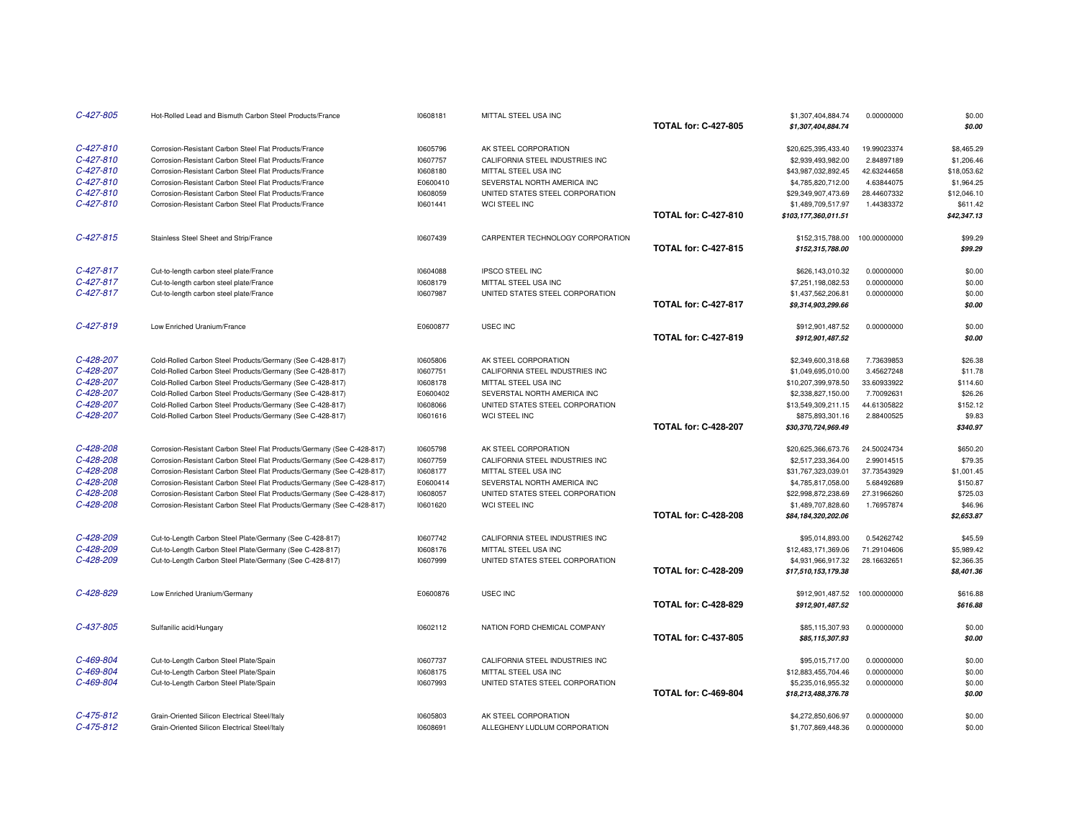| C-427-805       | Hot-Rolled Lead and Bismuth Carbon Steel Products/France               | 10608181 | MITTAL STEEL USA INC             |                             | \$1,307,404,884.74   | 0.00000000   | \$0.00      |
|-----------------|------------------------------------------------------------------------|----------|----------------------------------|-----------------------------|----------------------|--------------|-------------|
|                 |                                                                        |          |                                  | <b>TOTAL for: C-427-805</b> | \$1,307,404,884.74   |              | \$0.00      |
| $C-427-810$     | Corrosion-Resistant Carbon Steel Flat Products/France                  | 10605796 | AK STEEL CORPORATION             |                             | \$20,625,395,433.40  | 19.99023374  | \$8,465.29  |
| $C - 427 - 810$ | Corrosion-Resistant Carbon Steel Flat Products/France                  | 10607757 | CALIFORNIA STEEL INDUSTRIES INC  |                             | \$2,939,493,982.00   | 2.84897189   | \$1,206.46  |
| C-427-810       | Corrosion-Resistant Carbon Steel Flat Products/France                  | 10608180 | MITTAL STEEL USA INC             |                             | \$43,987,032,892.45  | 42.63244658  | \$18,053.62 |
| $C-427-810$     | Corrosion-Resistant Carbon Steel Flat Products/France                  | E0600410 | SEVERSTAL NORTH AMERICA INC      |                             | \$4,785,820,712.00   | 4.63844075   | \$1,964.25  |
| $C-427-810$     | Corrosion-Resistant Carbon Steel Flat Products/France                  | 10608059 | UNITED STATES STEEL CORPORATION  |                             | \$29,349,907,473.69  | 28.44607332  | \$12,046.10 |
| $C-427-810$     | Corrosion-Resistant Carbon Steel Flat Products/France                  | 10601441 | WCI STEEL INC                    |                             | \$1,489,709,517.97   | 1.44383372   | \$611.42    |
|                 |                                                                        |          |                                  | <b>TOTAL for: C-427-810</b> | \$103,177,360,011.51 |              | \$42,347.13 |
| $C - 427 - 815$ | Stainless Steel Sheet and Strip/France                                 | 10607439 | CARPENTER TECHNOLOGY CORPORATION |                             | \$152,315,788.00     | 100.00000000 | \$99.29     |
|                 |                                                                        |          |                                  | <b>TOTAL for: C-427-815</b> | \$152,315,788.00     |              | \$99.29     |
| $C-427-817$     | Cut-to-length carbon steel plate/France                                | 10604088 | <b>IPSCO STEEL INC</b>           |                             | \$626.143.010.32     | 0.00000000   | \$0.00      |
| C-427-817       | Cut-to-length carbon steel plate/France                                | 10608179 | MITTAL STEEL USA INC             |                             | \$7,251,198,082.53   | 0.00000000   | \$0.00      |
| $C-427-817$     | Cut-to-length carbon steel plate/France                                | 10607987 | UNITED STATES STEEL CORPORATION  |                             | \$1,437,562,206.81   | 0.00000000   | \$0.00      |
|                 |                                                                        |          |                                  | <b>TOTAL for: C-427-817</b> | \$9,314,903,299.66   |              | \$0.00      |
| C-427-819       | Low Enriched Uranium/France                                            | E0600877 | <b>USEC INC</b>                  |                             | \$912,901,487.52     | 0.00000000   | \$0.00      |
|                 |                                                                        |          |                                  | <b>TOTAL for: C-427-819</b> | \$912,901,487.52     |              | \$0.00      |
| C-428-207       | Cold-Rolled Carbon Steel Products/Germany (See C-428-817)              | 10605806 | AK STEEL CORPORATION             |                             | \$2,349,600,318.68   | 7.73639853   | \$26.38     |
| C-428-207       | Cold-Rolled Carbon Steel Products/Germany (See C-428-817)              | 10607751 | CALIFORNIA STEEL INDUSTRIES INC  |                             | \$1,049,695,010.00   | 3.45627248   | \$11.78     |
| C-428-207       | Cold-Rolled Carbon Steel Products/Germany (See C-428-817)              | 10608178 | MITTAL STEEL USA INC             |                             | \$10,207,399,978.50  | 33.60933922  | \$114.60    |
| C-428-207       | Cold-Rolled Carbon Steel Products/Germany (See C-428-817)              | E0600402 | SEVERSTAL NORTH AMERICA INC      |                             | \$2,338,827,150.00   | 7.70092631   | \$26.26     |
| C-428-207       | Cold-Rolled Carbon Steel Products/Germany (See C-428-817)              | 10608066 | UNITED STATES STEEL CORPORATION  |                             | \$13,549,309,211.15  | 44.61305822  | \$152.12    |
| C-428-207       | Cold-Rolled Carbon Steel Products/Germany (See C-428-817)              | 10601616 | WCI STEEL INC                    |                             | \$875,893,301.16     | 2.88400525   | \$9.83      |
|                 |                                                                        |          |                                  | <b>TOTAL for: C-428-207</b> | \$30,370,724,969.49  |              | \$340.97    |
| C-428-208       | Corrosion-Resistant Carbon Steel Flat Products/Germany (See C-428-817) | 10605798 | AK STEEL CORPORATION             |                             | \$20,625,366,673.76  | 24.50024734  | \$650.20    |
| C-428-208       | Corrosion-Resistant Carbon Steel Flat Products/Germany (See C-428-817) | 10607759 | CALIFORNIA STEEL INDUSTRIES INC  |                             | \$2,517,233,364.00   | 2.99014515   | \$79.35     |
| C-428-208       | Corrosion-Resistant Carbon Steel Flat Products/Germany (See C-428-817) | 10608177 | MITTAL STEEL USA INC             |                             | \$31,767,323,039.01  | 37.73543929  | \$1,001.45  |
| C-428-208       | Corrosion-Resistant Carbon Steel Flat Products/Germany (See C-428-817) | E0600414 | SEVERSTAL NORTH AMERICA INC      |                             | \$4,785,817,058.00   | 5.68492689   | \$150.87    |
| C-428-208       | Corrosion-Resistant Carbon Steel Flat Products/Germany (See C-428-817) | 10608057 | UNITED STATES STEEL CORPORATION  |                             | \$22.998.872.238.69  | 27.31966260  | \$725.03    |
| C-428-208       | Corrosion-Resistant Carbon Steel Flat Products/Germany (See C-428-817) | 10601620 | WCI STEEL INC                    |                             | \$1,489,707,828.60   | 1.76957874   | \$46.96     |
|                 |                                                                        |          |                                  | <b>TOTAL for: C-428-208</b> | \$84,184,320,202.06  |              | \$2,653.87  |
| C-428-209       | Cut-to-Length Carbon Steel Plate/Germany (See C-428-817)               | 10607742 | CALIFORNIA STEEL INDUSTRIES INC  |                             | \$95,014,893.00      | 0.54262742   | \$45.59     |
| C-428-209       | Cut-to-Length Carbon Steel Plate/Germany (See C-428-817)               | 10608176 | MITTAL STEEL USA INC             |                             | \$12,483,171,369.06  | 71.29104606  | \$5,989.42  |
| C-428-209       | Cut-to-Length Carbon Steel Plate/Germany (See C-428-817)               | 10607999 | UNITED STATES STEEL CORPORATION  |                             | \$4,931,966,917.32   | 28.16632651  | \$2,366.35  |
|                 |                                                                        |          |                                  | <b>TOTAL for: C-428-209</b> | \$17,510,153,179.38  |              | \$8,401.36  |
| C-428-829       | Low Enriched Uranium/Germany                                           | E0600876 | USEC INC                         |                             | \$912,901,487.52     | 100.00000000 | \$616.88    |
|                 |                                                                        |          |                                  | <b>TOTAL for: C-428-829</b> | \$912,901,487.52     |              | \$616.88    |
| $C-437-805$     | Sulfanilic acid/Hungary                                                | 10602112 | NATION FORD CHEMICAL COMPANY     |                             | \$85.115.307.93      | 0.00000000   | \$0.00      |
|                 |                                                                        |          |                                  | <b>TOTAL for: C-437-805</b> | \$85,115,307.93      |              | \$0.00      |
| C-469-804       | Cut-to-Length Carbon Steel Plate/Spain                                 | 10607737 | CALIFORNIA STEEL INDUSTRIES INC  |                             | \$95,015,717.00      | 0.00000000   | \$0.00      |
| C-469-804       | Cut-to-Length Carbon Steel Plate/Spain                                 | 10608175 | MITTAL STEEL USA INC             |                             | \$12,883,455,704.46  | 0.00000000   | \$0.00      |
| C-469-804       | Cut-to-Length Carbon Steel Plate/Spain                                 | 10607993 | UNITED STATES STEEL CORPORATION  |                             | \$5,235,016,955.32   | 0.00000000   | \$0.00      |
|                 |                                                                        |          |                                  | <b>TOTAL for: C-469-804</b> | \$18,213,488,376.78  |              | \$0.00      |
| $C - 475 - 812$ | Grain-Oriented Silicon Electrical Steel/Italy                          | 10605803 | AK STEEL CORPORATION             |                             | \$4,272,850,606.97   | 0.00000000   | \$0.00      |
| $C - 475 - 812$ | Grain-Oriented Silicon Electrical Steel/Italy                          | 10608691 | ALLEGHENY LUDLUM CORPORATION     |                             | \$1,707,869,448.36   | 0.00000000   | \$0.00      |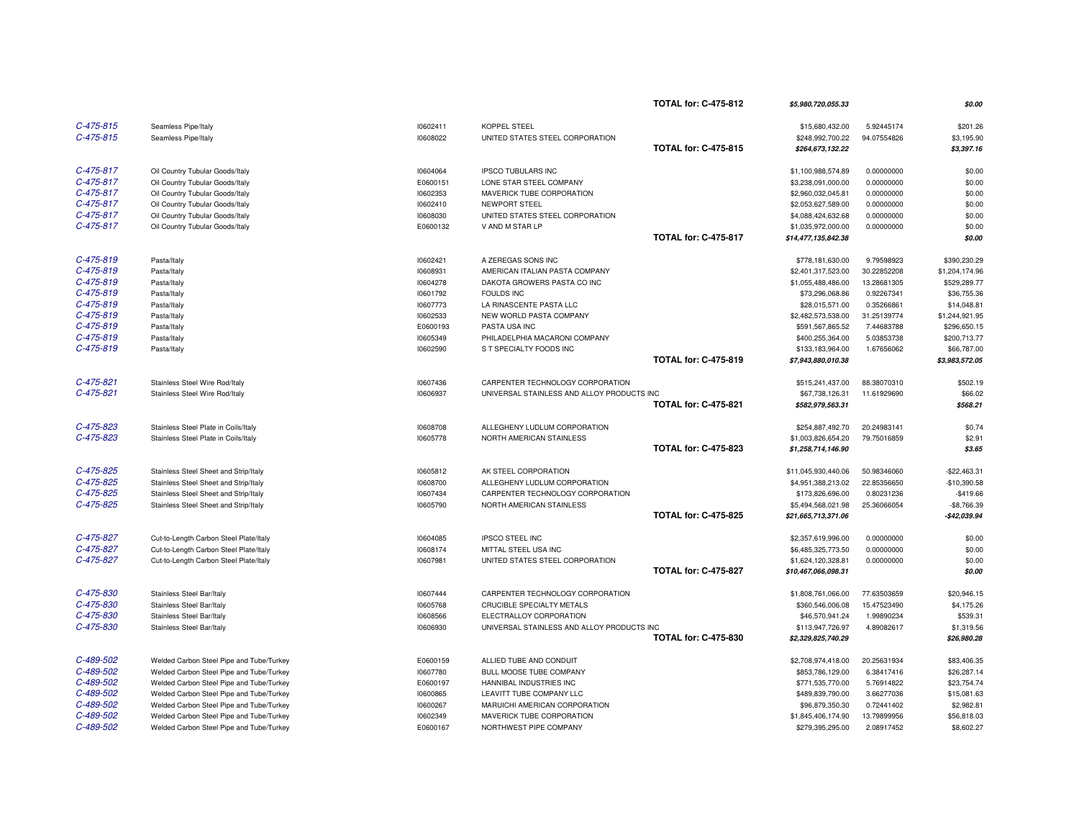|             |                                          |          |                                            | <b>TOTAL for: C-475-812</b> | \$5,980,720,055.33  |             | \$0.00         |
|-------------|------------------------------------------|----------|--------------------------------------------|-----------------------------|---------------------|-------------|----------------|
| $C-475-815$ | Seamless Pipe/Italy                      | 10602411 | <b>KOPPEL STEEL</b>                        |                             | \$15,680,432.00     | 5.92445174  | \$201.26       |
| $C-475-815$ | Seamless Pipe/Italy                      | 10608022 | UNITED STATES STEEL CORPORATION            |                             | \$248,992,700.22    | 94.07554826 | \$3,195.90     |
|             |                                          |          |                                            | <b>TOTAL for: C-475-815</b> | \$264,673,132.22    |             | \$3,397.16     |
|             |                                          |          |                                            |                             |                     |             |                |
| $C-475-817$ | Oil Country Tubular Goods/Italy          | 10604064 | <b>IPSCO TUBULARS INC</b>                  |                             | \$1,100,988,574.89  | 0.00000000  | \$0.00         |
| $C-475-817$ | Oil Country Tubular Goods/Italy          | E0600151 | LONE STAR STEEL COMPANY                    |                             | \$3,238,091,000.00  | 0.00000000  | \$0.00         |
| $C-475-817$ | Oil Country Tubular Goods/Italy          | 10602353 | MAVERICK TUBE CORPORATION                  |                             | \$2,960,032,045.81  | 0.00000000  | \$0.00         |
| $C-475-817$ | Oil Country Tubular Goods/Italy          | 10602410 | NEWPORT STEEL                              |                             | \$2,053,627,589.00  | 0.00000000  | \$0.00         |
| $C-475-817$ | Oil Country Tubular Goods/Italy          | 10608030 | UNITED STATES STEEL CORPORATION            |                             | \$4,088,424,632.68  | 0.00000000  | \$0.00         |
| $C-475-817$ | Oil Country Tubular Goods/Italy          | E0600132 | V AND M STAR LP                            |                             | \$1,035,972,000.00  | 0.00000000  | \$0.00         |
|             |                                          |          |                                            | <b>TOTAL for: C-475-817</b> | \$14,477,135,842.38 |             | \$0.00         |
| $C-475-819$ | Pasta/Italy                              | 10602421 | A ZEREGAS SONS INC                         |                             | \$778,181,630.00    | 9.79598923  | \$390,230.29   |
| C-475-819   |                                          |          |                                            |                             |                     |             |                |
| C-475-819   | Pasta/Italy                              | 10608931 | AMERICAN ITALIAN PASTA COMPANY             |                             | \$2,401,317,523.00  | 30.22852208 | \$1,204,174.96 |
| C-475-819   | Pasta/Italy                              | 10604278 | DAKOTA GROWERS PASTA CO INC                |                             | \$1,055,488,486.00  | 13.28681305 | \$529,289.77   |
| $C-475-819$ | Pasta/Italy                              | 10601792 | <b>FOULDS INC</b>                          |                             | \$73,296,068.86     | 0.92267341  | \$36,755.36    |
|             | Pasta/Italy                              | 10607773 | LA RINASCENTE PASTA LLC                    |                             | \$28,015,571.00     | 0.35266861  | \$14,048.81    |
| C-475-819   | Pasta/Italy                              | 10602533 | NEW WORLD PASTA COMPANY                    |                             | \$2,482,573,538.00  | 31.25139774 | \$1,244,921.95 |
| C-475-819   | Pasta/Italy                              | E0600193 | PASTA USA INC                              |                             | \$591,567,865.52    | 7.44683788  | \$296,650.15   |
| $C-475-819$ | Pasta/Italy                              | 10605349 | PHILADELPHIA MACARONI COMPANY              |                             | \$400,255,364.00    | 5.03853738  | \$200,713.77   |
| $C-475-819$ | Pasta/Italy                              | 10602590 | S T SPECIALTY FOODS INC                    |                             | \$133,183,964.00    | 1.67656062  | \$66,787.00    |
|             |                                          |          |                                            | <b>TOTAL for: C-475-819</b> | \$7,943,880,010.38  |             | \$3,983,572.05 |
| $C-475-821$ | Stainless Steel Wire Rod/Italy           | 10607436 | CARPENTER TECHNOLOGY CORPORATION           |                             | \$515,241,437.00    | 88.38070310 | \$502.19       |
| $C-475-821$ | Stainless Steel Wire Rod/Italy           | 10606937 | UNIVERSAL STAINLESS AND ALLOY PRODUCTS INC |                             | \$67,738,126.31     | 11.61929690 | \$66.02        |
|             |                                          |          |                                            | <b>TOTAL for: C-475-821</b> | \$582,979,563.31    |             | \$568.21       |
|             |                                          |          |                                            |                             |                     |             |                |
| $C-475-823$ | Stainless Steel Plate in Coils/Italy     | 10608708 | ALLEGHENY LUDLUM CORPORATION               |                             | \$254,887,492.70    | 20.24983141 | \$0.74         |
| C-475-823   | Stainless Steel Plate in Coils/Italy     | 10605778 | NORTH AMERICAN STAINLESS                   |                             | \$1,003,826,654.20  | 79.75016859 | \$2.91         |
|             |                                          |          |                                            | <b>TOTAL for: C-475-823</b> | \$1,258,714,146.90  |             | \$3.65         |
| $C-475-825$ | Stainless Steel Sheet and Strip/Italy    | 10605812 | AK STEEL CORPORATION                       |                             | \$11,045,930,440.06 | 50.98346060 | $-$22,463.31$  |
| $C-475-825$ | Stainless Steel Sheet and Strip/Italy    | 10608700 | ALLEGHENY LUDLUM CORPORATION               |                             | \$4,951,388,213.02  | 22.85356650 | $-$10,390.58$  |
| C-475-825   | Stainless Steel Sheet and Strip/Italy    | 10607434 | CARPENTER TECHNOLOGY CORPORATION           |                             | \$173,826,696.00    | 0.80231236  | $-$419.66$     |
| $C-475-825$ | Stainless Steel Sheet and Strip/Italy    | 10605790 | NORTH AMERICAN STAINLESS                   |                             | \$5,494,568,021.98  | 25.36066054 | $-$8,766.39$   |
|             |                                          |          |                                            | <b>TOTAL for: C-475-825</b> | \$21,665,713,371.06 |             | $-$42,039.94$  |
| C-475-827   | Cut-to-Length Carbon Steel Plate/Italy   | 10604085 | <b>IPSCO STEEL INC</b>                     |                             | \$2,357,619,996.00  | 0.00000000  | \$0.00         |
| C-475-827   | Cut-to-Length Carbon Steel Plate/Italy   | 10608174 | MITTAL STEEL USA INC                       |                             | \$6,485,325,773.50  | 0.00000000  | \$0.00         |
| C-475-827   | Cut-to-Length Carbon Steel Plate/Italy   | 10607981 | UNITED STATES STEEL CORPORATION            |                             | \$1,624,120,328.81  | 0.00000000  | \$0.00         |
|             |                                          |          |                                            | <b>TOTAL for: C-475-827</b> | \$10,467,066,098.31 |             | \$0.00         |
|             |                                          |          |                                            |                             |                     |             |                |
| C-475-830   | Stainless Steel Bar/Italy                | 10607444 | CARPENTER TECHNOLOGY CORPORATION           |                             | \$1,808,761,066.00  | 77.63503659 | \$20,946.15    |
| C-475-830   | Stainless Steel Bar/Italy                | 10605768 | CRUCIBLE SPECIALTY METALS                  |                             | \$360,546,006.08    | 15.47523490 | \$4,175.26     |
| C-475-830   | Stainless Steel Bar/Italy                | 10608566 | ELECTRALLOY CORPORATION                    |                             | \$46,570,941.24     | 1.99890234  | \$539.31       |
| C-475-830   | Stainless Steel Bar/Italy                | 10606930 | UNIVERSAL STAINLESS AND ALLOY PRODUCTS INC |                             | \$113,947,726.97    | 4.89082617  | \$1,319.56     |
|             |                                          |          |                                            | <b>TOTAL for: C-475-830</b> | \$2,329,825,740.29  |             | \$26.980.28    |
| C-489-502   | Welded Carbon Steel Pipe and Tube/Turkey | E0600159 | ALLIED TUBE AND CONDUIT                    |                             | \$2,708,974,418.00  | 20.25631934 | \$83,406.35    |
| C-489-502   | Welded Carbon Steel Pipe and Tube/Turkey | 10607780 | BULL MOOSE TUBE COMPANY                    |                             | \$853,786,129.00    | 6.38417416  | \$26,287.14    |
| $C-489-502$ | Welded Carbon Steel Pipe and Tube/Turkey | E0600197 | HANNIBAL INDUSTRIES INC                    |                             | \$771,535,770.00    | 5.76914822  | \$23,754.74    |
| C-489-502   | Welded Carbon Steel Pipe and Tube/Turkey | 10600865 | LEAVITT TUBE COMPANY LLC                   |                             | \$489,839,790.00    | 3.66277036  | \$15,081.63    |
| C-489-502   | Welded Carbon Steel Pipe and Tube/Turkey | 10600267 | MARUICHI AMERICAN CORPORATION              |                             | \$96,879,350.30     | 0.72441402  | \$2,982.81     |
| $C-489-502$ | Welded Carbon Steel Pipe and Tube/Turkey | 10602349 | MAVERICK TUBE CORPORATION                  |                             | \$1,845,406,174.90  | 13.79899956 | \$56,818.03    |
| C-489-502   | Welded Carbon Steel Pipe and Tube/Turkey | E0600167 | NORTHWEST PIPE COMPANY                     |                             | \$279,395,295.00    | 2.08917452  | \$8,602.27     |
|             |                                          |          |                                            |                             |                     |             |                |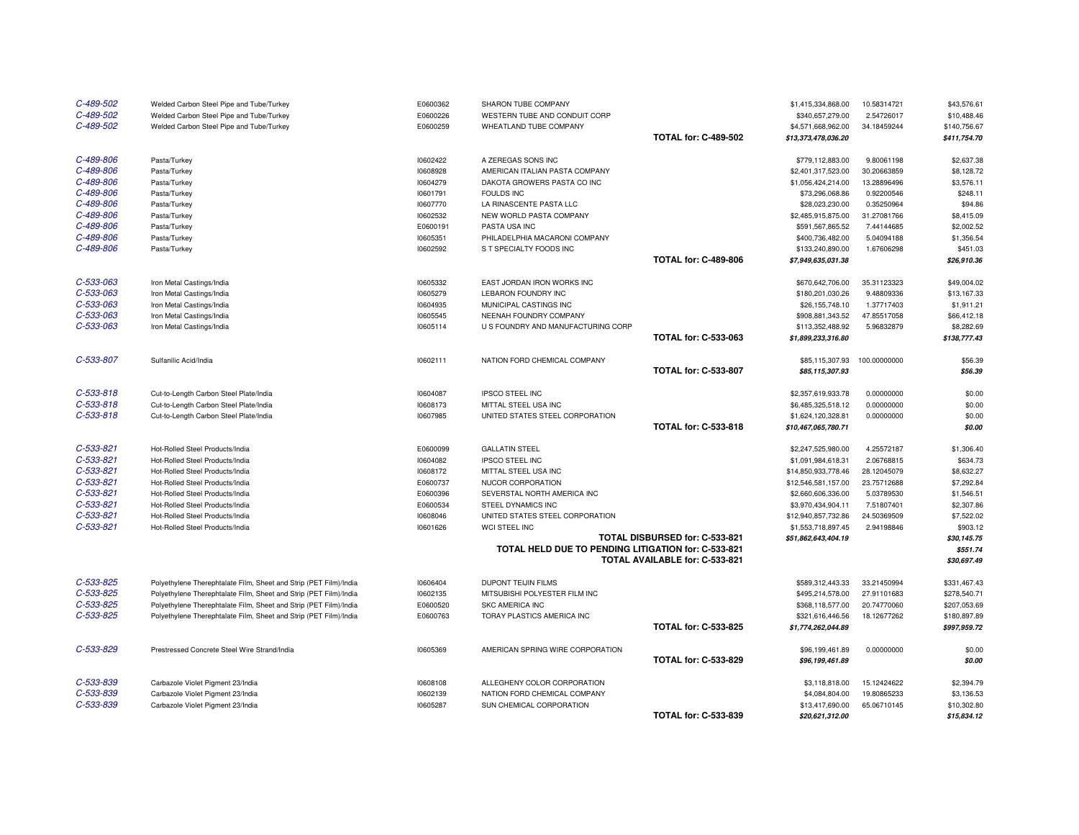| C-489-502<br>C-489-502<br>C-489-502 | Welded Carbon Steel Pipe and Tube/Turkey<br>Welded Carbon Steel Pipe and Tube/Turkey<br>Welded Carbon Steel Pipe and Tube/Turkey | E0600362<br>E0600226<br>E0600259 | SHARON TUBE COMPANY<br>WESTERN TUBE AND CONDUIT CORP<br>WHEATLAND TUBE COMPANY |                                | \$1,415,334,868.00<br>\$340,657,279.00<br>\$4,571,668,962.00 | 10.58314721<br>2.54726017<br>34.18459244 | \$43,576.61<br>\$10,488.46<br>\$140,756.67 |
|-------------------------------------|----------------------------------------------------------------------------------------------------------------------------------|----------------------------------|--------------------------------------------------------------------------------|--------------------------------|--------------------------------------------------------------|------------------------------------------|--------------------------------------------|
|                                     |                                                                                                                                  |                                  |                                                                                | <b>TOTAL for: C-489-502</b>    | \$13,373,478,036.20                                          |                                          | \$411,754.70                               |
| C-489-806                           | Pasta/Turkey                                                                                                                     | 10602422                         | A ZEREGAS SONS INC                                                             |                                | \$779,112,883.00                                             | 9.80061198                               | \$2,637.38                                 |
| C-489-806                           | Pasta/Turkey                                                                                                                     | 10608928                         | AMERICAN ITALIAN PASTA COMPANY                                                 |                                | \$2,401,317,523.00                                           | 30.20663859                              | \$8,128.72                                 |
| C-489-806                           | Pasta/Turkey                                                                                                                     | 10604279                         | DAKOTA GROWERS PASTA CO INC                                                    |                                | \$1,056,424,214.00                                           | 13.28896496                              | \$3,576.11                                 |
| C-489-806                           | Pasta/Turkey                                                                                                                     | 10601791                         | <b>FOULDS INC</b>                                                              |                                | \$73,296,068.86                                              | 0.92200546                               | \$248.11                                   |
| C-489-806                           | Pasta/Turkey                                                                                                                     | 10607770                         | LA RINASCENTE PASTA LLC                                                        |                                | \$28,023,230.00                                              | 0.35250964                               | \$94.86                                    |
| C-489-806                           | Pasta/Turkey                                                                                                                     | 10602532                         | NEW WORLD PASTA COMPANY                                                        |                                | \$2,485,915,875.00                                           | 31.27081766                              | \$8,415.09                                 |
| C-489-806                           | Pasta/Turkey                                                                                                                     | E0600191                         | PASTA USA INC                                                                  |                                | \$591,567,865.52                                             | 7.44144685                               | \$2,002.52                                 |
| C-489-806                           | Pasta/Turkey                                                                                                                     | 10605351                         | PHILADELPHIA MACARONI COMPANY                                                  |                                | \$400,736,482.00                                             | 5.04094188                               | \$1,356.54                                 |
| C-489-806                           | Pasta/Turkey                                                                                                                     | 10602592                         | S T SPECIALTY FOODS INC                                                        |                                | \$133,240,890.00                                             | 1.67606298                               | \$451.03                                   |
|                                     |                                                                                                                                  |                                  |                                                                                | <b>TOTAL for: C-489-806</b>    | \$7,949,635,031.38                                           |                                          | \$26,910.36                                |
| C-533-063                           | Iron Metal Castings/India                                                                                                        | 10605332                         | EAST JORDAN IRON WORKS INC                                                     |                                | \$670,642,706.00                                             | 35.31123323                              | \$49,004.02                                |
| C-533-063                           | Iron Metal Castings/India                                                                                                        | 10605279                         | LEBARON FOUNDRY INC                                                            |                                | \$180,201,030.26                                             | 9.48809336                               | \$13,167.33                                |
| C-533-063                           | Iron Metal Castings/India                                                                                                        | 10604935                         | MUNICIPAL CASTINGS INC                                                         |                                | \$26,155,748.10                                              | 1.37717403                               | \$1,911.21                                 |
| $C - 533 - 063$                     | Iron Metal Castings/India                                                                                                        | 10605545                         | NEENAH FOUNDRY COMPANY                                                         |                                | \$908.881.343.52                                             | 47.85517058                              | \$66,412.18                                |
| C-533-063                           | Iron Metal Castings/India                                                                                                        | 10605114                         | U S FOUNDRY AND MANUFACTURING CORP                                             |                                | \$113,352,488.92                                             | 5.96832879                               | \$8,282.69                                 |
|                                     |                                                                                                                                  |                                  |                                                                                | <b>TOTAL for: C-533-063</b>    | \$1,899,233,316.80                                           |                                          | \$138,777.43                               |
| C-533-807                           | Sulfanilic Acid/India                                                                                                            | 10602111                         | NATION FORD CHEMICAL COMPANY                                                   |                                | \$85,115,307.93                                              | 100.00000000                             | \$56.39                                    |
|                                     |                                                                                                                                  |                                  |                                                                                | <b>TOTAL for: C-533-807</b>    | \$85,115,307.93                                              |                                          | \$56.39                                    |
|                                     |                                                                                                                                  |                                  |                                                                                |                                |                                                              |                                          |                                            |
| $C - 533 - 818$                     | Cut-to-Length Carbon Steel Plate/India                                                                                           | 10604087                         | <b>IPSCO STEEL INC</b>                                                         |                                | \$2,357,619,933.78                                           | 0.00000000                               | \$0.00                                     |
| $C - 533 - 818$                     | Cut-to-Length Carbon Steel Plate/India                                                                                           | 10608173                         | MITTAL STEEL USA INC                                                           |                                | \$6,485,325,518.12                                           | 0.00000000                               | \$0.00                                     |
| $C - 533 - 818$                     | Cut-to-Length Carbon Steel Plate/India                                                                                           | 10607985                         | UNITED STATES STEEL CORPORATION                                                |                                | \$1,624,120,328.81                                           | 0.00000000                               | \$0.00                                     |
|                                     |                                                                                                                                  |                                  |                                                                                | <b>TOTAL for: C-533-818</b>    | \$10,467,065,780.71                                          |                                          | \$0.00                                     |
| $C-533-821$                         | Hot-Rolled Steel Products/India                                                                                                  | E0600099                         | <b>GALLATIN STEEL</b>                                                          |                                | \$2,247,525,980.00                                           | 4.25572187                               | \$1,306.40                                 |
| $C-533-821$                         | Hot-Rolled Steel Products/India                                                                                                  | 10604082                         | <b>IPSCO STEEL INC</b>                                                         |                                | \$1,091,984,618.31                                           | 2.06768815                               | \$634.73                                   |
| C-533-821                           | Hot-Rolled Steel Products/India                                                                                                  | 10608172                         | MITTAL STEEL USA INC                                                           |                                | \$14,850,933,778.46                                          | 28.12045079                              | \$8,632.27                                 |
| $C - 533 - 821$                     | Hot-Rolled Steel Products/India                                                                                                  | E0600737                         | NUCOR CORPORATION                                                              |                                | \$12,546,581,157.00                                          | 23.75712688                              | \$7,292.84                                 |
| C-533-821                           | Hot-Rolled Steel Products/India                                                                                                  | E0600396                         | SEVERSTAL NORTH AMERICA INC                                                    |                                | \$2,660,606,336.00                                           | 5.03789530                               | \$1,546.51                                 |
| $C - 533 - 821$                     | Hot-Rolled Steel Products/India                                                                                                  | E0600534                         | STEEL DYNAMICS INC                                                             |                                | \$3,970,434,904.11                                           | 7.51807401                               | \$2,307.86                                 |
| $C - 533 - 821$                     | Hot-Rolled Steel Products/India                                                                                                  | 10608046                         | UNITED STATES STEEL CORPORATION                                                |                                | \$12,940,857,732.86                                          | 24.50369509                              | \$7,522.02                                 |
| $C-533-821$                         | Hot-Rolled Steel Products/India                                                                                                  | 10601626                         | WCI STEEL INC                                                                  |                                | \$1,553,718,897.45                                           | 2.94198846                               | \$903.12                                   |
|                                     |                                                                                                                                  |                                  |                                                                                | TOTAL DISBURSED for: C-533-821 | \$51,862,643,404.19                                          |                                          | \$30,145.75                                |
|                                     |                                                                                                                                  |                                  | TOTAL HELD DUE TO PENDING LITIGATION for: C-533-821                            |                                |                                                              |                                          | \$551.74                                   |
|                                     |                                                                                                                                  |                                  |                                                                                | TOTAL AVAILABLE for: C-533-821 |                                                              |                                          | \$30,697.49                                |
| C-533-825                           | Polyethylene Therephtalate Film, Sheet and Strip (PET Film)/India                                                                | 10606404                         | DUPONT TEIJIN FILMS                                                            |                                | \$589,312,443.33                                             | 33.21450994                              | \$331,467.43                               |
| $C-533-825$                         | Polyethylene Therephtalate Film, Sheet and Strip (PET Film)/India                                                                | 10602135                         | MITSUBISHI POLYESTER FILM INC                                                  |                                | \$495,214,578.00                                             | 27.91101683                              | \$278,540.71                               |
| C-533-825                           | Polyethylene Therephtalate Film, Sheet and Strip (PET Film)/India                                                                | E0600520                         | <b>SKC AMERICA INC</b>                                                         |                                | \$368,118,577.00                                             | 20.74770060                              | \$207,053.69                               |
| C-533-825                           | Polyethylene Therephtalate Film, Sheet and Strip (PET Film)/India                                                                | E0600763                         | TORAY PLASTICS AMERICA INC                                                     |                                | \$321,616,446.56                                             | 18.12677262                              | \$180,897.89                               |
|                                     |                                                                                                                                  |                                  |                                                                                | <b>TOTAL for: C-533-825</b>    | \$1,774,262,044.89                                           |                                          | \$997,959.72                               |
| C-533-829                           | Prestressed Concrete Steel Wire Strand/India                                                                                     | 10605369                         | AMERICAN SPRING WIRE CORPORATION                                               |                                | \$96,199,461.89                                              | 0.00000000                               | \$0.00                                     |
|                                     |                                                                                                                                  |                                  |                                                                                | <b>TOTAL for: C-533-829</b>    | \$96,199,461.89                                              |                                          | \$0.00                                     |
| C-533-839                           | Carbazole Violet Pigment 23/India                                                                                                | 10608108                         | ALLEGHENY COLOR CORPORATION                                                    |                                | \$3,118,818.00                                               | 15.12424622                              | \$2,394.79                                 |
| C-533-839                           | Carbazole Violet Pigment 23/India                                                                                                | 10602139                         | NATION FORD CHEMICAL COMPANY                                                   |                                | \$4,084,804.00                                               | 19.80865233                              | \$3,136.53                                 |
| C-533-839                           | Carbazole Violet Pigment 23/India                                                                                                | 10605287                         | SUN CHEMICAL CORPORATION                                                       |                                | \$13,417,690.00                                              | 65.06710145                              | \$10,302.80                                |
|                                     |                                                                                                                                  |                                  |                                                                                | <b>TOTAL for: C-533-839</b>    | \$20,621,312.00                                              |                                          | \$15,834.12                                |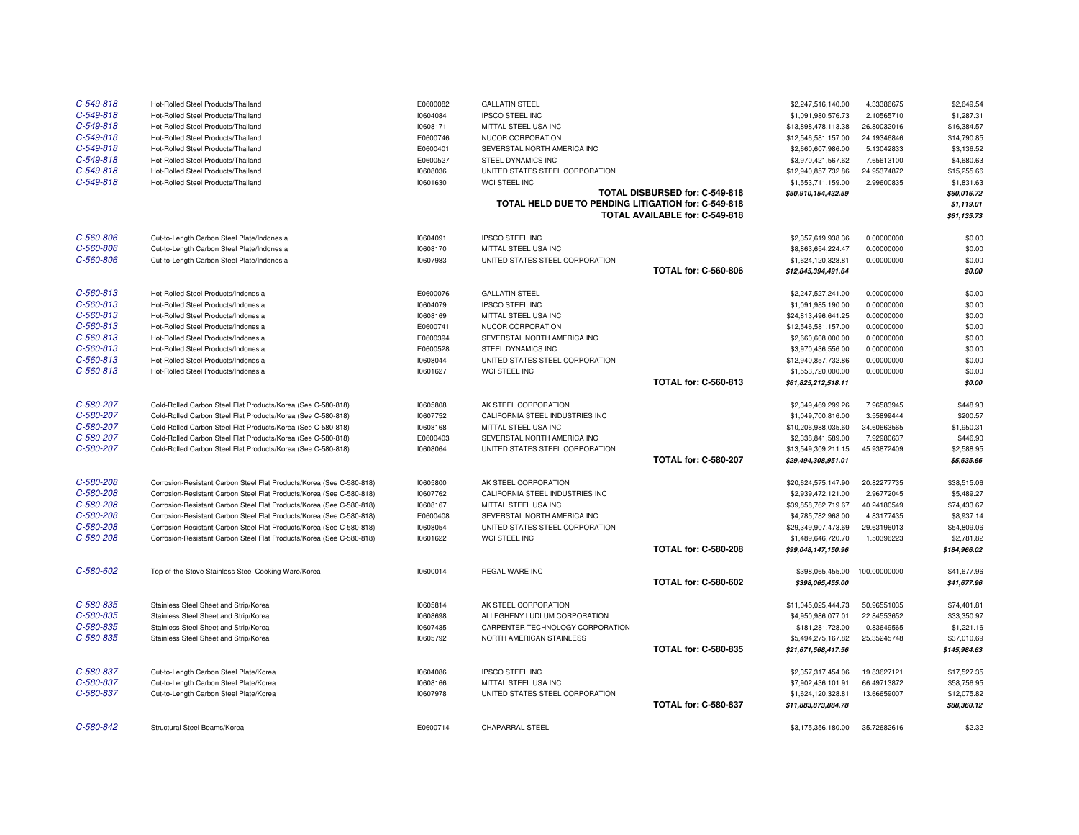| $C - 549 - 818$ | Hot-Rolled Steel Products/Thailand                                   | E0600082 | <b>GALLATIN STEEL</b>                               |                                | \$2,247,516,140.00  | 4.33386675   | \$2,649.54   |
|-----------------|----------------------------------------------------------------------|----------|-----------------------------------------------------|--------------------------------|---------------------|--------------|--------------|
| $C - 549 - 818$ | Hot-Rolled Steel Products/Thailand                                   | 10604084 | <b>IPSCO STEEL INC</b>                              |                                | \$1,091,980,576.73  | 2.10565710   | \$1,287.31   |
| C-549-818       | Hot-Rolled Steel Products/Thailand                                   | 10608171 | MITTAL STEEL USA INC                                |                                | \$13,898,478,113.38 | 26.80032016  | \$16,384.57  |
| $C - 549 - 818$ | Hot-Rolled Steel Products/Thailand                                   | E0600746 | NUCOR CORPORATION                                   |                                | \$12,546,581,157.00 | 24.19346846  | \$14,790.85  |
| $C - 549 - 818$ | Hot-Rolled Steel Products/Thailand                                   | E0600401 | SEVERSTAL NORTH AMERICA INC                         |                                | \$2,660,607,986.00  | 5.13042833   | \$3,136.52   |
| C-549-818       | Hot-Rolled Steel Products/Thailand                                   | E0600527 | STEEL DYNAMICS INC                                  |                                | \$3,970,421,567.62  | 7.65613100   | \$4,680.63   |
| C-549-818       | Hot-Rolled Steel Products/Thailand                                   | 10608036 | UNITED STATES STEEL CORPORATION                     |                                | \$12,940,857,732.86 | 24.95374872  | \$15,255.66  |
| $C - 549 - 818$ | Hot-Rolled Steel Products/Thailand                                   | 10601630 | WCI STEEL INC                                       |                                | \$1,553,711,159.00  | 2.99600835   | \$1,831.63   |
|                 |                                                                      |          |                                                     | TOTAL DISBURSED for: C-549-818 | \$50,910,154,432.59 |              | \$60,016.72  |
|                 |                                                                      |          | TOTAL HELD DUE TO PENDING LITIGATION for: C-549-818 |                                |                     |              | \$1,119.01   |
|                 |                                                                      |          |                                                     | TOTAL AVAILABLE for: C-549-818 |                     |              | \$61,135.73  |
|                 |                                                                      |          |                                                     |                                |                     |              |              |
| C-560-806       | Cut-to-Length Carbon Steel Plate/Indonesia                           | 10604091 | <b>IPSCO STEEL INC</b>                              |                                | \$2,357,619,938.36  | 0.00000000   | \$0.00       |
| C-560-806       | Cut-to-Length Carbon Steel Plate/Indonesia                           | 10608170 | MITTAL STEEL USA INC                                |                                | \$8,863,654,224.47  | 0.00000000   | \$0.00       |
| C-560-806       | Cut-to-Length Carbon Steel Plate/Indonesia                           | 10607983 | UNITED STATES STEEL CORPORATION                     |                                | \$1,624,120,328.81  | 0.00000000   | \$0.00       |
|                 |                                                                      |          |                                                     | <b>TOTAL for: C-560-806</b>    | \$12,845,394,491.64 |              | \$0.00       |
| $C - 560 - 813$ | Hot-Rolled Steel Products/Indonesia                                  | E0600076 | <b>GALLATIN STEEL</b>                               |                                | \$2,247,527,241.00  | 0.00000000   | \$0.00       |
| $C - 560 - 813$ | Hot-Rolled Steel Products/Indonesia                                  | 10604079 | <b>IPSCO STEEL INC</b>                              |                                | \$1,091,985,190.00  | 0.00000000   | \$0.00       |
| $C - 560 - 813$ | Hot-Rolled Steel Products/Indonesia                                  | 10608169 | MITTAL STEEL USA INC                                |                                | \$24,813,496,641.25 | 0.00000000   | \$0.00       |
| $C - 560 - 813$ | Hot-Rolled Steel Products/Indonesia                                  | E0600741 | NUCOR CORPORATION                                   |                                | \$12,546,581,157.00 | 0.00000000   | \$0.00       |
| $C - 560 - 813$ | Hot-Rolled Steel Products/Indonesia                                  | E0600394 | SEVERSTAL NORTH AMERICA INC                         |                                | \$2,660,608,000.00  | 0.00000000   | \$0.00       |
| $C - 560 - 813$ | Hot-Rolled Steel Products/Indonesia                                  | E0600528 | STEEL DYNAMICS INC                                  |                                | \$3,970,436,556.00  | 0.00000000   | \$0.00       |
| $C - 560 - 813$ | Hot-Rolled Steel Products/Indonesia                                  | 10608044 | UNITED STATES STEEL CORPORATION                     |                                | \$12,940,857,732.86 | 0.00000000   | \$0.00       |
| $C - 560 - 813$ | Hot-Rolled Steel Products/Indonesia                                  | 10601627 | WCI STEEL INC                                       |                                | \$1,553,720,000.00  | 0.00000000   | \$0.00       |
|                 |                                                                      |          |                                                     | <b>TOTAL for: C-560-813</b>    | \$61,825,212,518.11 |              | \$0.00       |
|                 |                                                                      |          |                                                     |                                |                     |              |              |
| C-580-207       | Cold-Rolled Carbon Steel Flat Products/Korea (See C-580-818)         | 10605808 | AK STEEL CORPORATION                                |                                | \$2,349,469,299.26  | 7.96583945   | \$448.93     |
| C-580-207       | Cold-Rolled Carbon Steel Flat Products/Korea (See C-580-818)         | 10607752 | CALIFORNIA STEEL INDUSTRIES INC                     |                                | \$1,049,700,816.00  | 3.55899444   | \$200.57     |
| C-580-207       | Cold-Rolled Carbon Steel Flat Products/Korea (See C-580-818)         | 10608168 | MITTAL STEEL USA INC                                |                                | \$10,206,988,035.60 | 34.60663565  | \$1,950.31   |
| C-580-207       | Cold-Rolled Carbon Steel Flat Products/Korea (See C-580-818)         | E0600403 | SEVERSTAL NORTH AMERICA INC                         |                                | \$2,338,841,589.00  | 7.92980637   | \$446.90     |
| C-580-207       | Cold-Rolled Carbon Steel Flat Products/Korea (See C-580-818)         | 10608064 | UNITED STATES STEEL CORPORATION                     |                                | \$13,549,309,211.15 | 45.93872409  | \$2,588.95   |
|                 |                                                                      |          |                                                     | <b>TOTAL for: C-580-207</b>    | \$29,494,308,951.01 |              | \$5,635.66   |
| C-580-208       | Corrosion-Resistant Carbon Steel Flat Products/Korea (See C-580-818) | 10605800 | AK STEEL CORPORATION                                |                                | \$20,624,575,147.90 | 20.82277735  | \$38,515.06  |
| C-580-208       | Corrosion-Resistant Carbon Steel Flat Products/Korea (See C-580-818) | 10607762 | CALIFORNIA STEEL INDUSTRIES INC                     |                                | \$2,939,472,121.00  | 2.96772045   | \$5,489.27   |
| C-580-208       | Corrosion-Resistant Carbon Steel Flat Products/Korea (See C-580-818) | 10608167 | MITTAL STEEL USA INC                                |                                | \$39,858,762,719.67 | 40.24180549  | \$74,433.67  |
| C-580-208       | Corrosion-Resistant Carbon Steel Flat Products/Korea (See C-580-818) | E0600408 | SEVERSTAL NORTH AMERICA INC                         |                                | \$4,785,782,968.00  | 4.83177435   | \$8,937.14   |
| C-580-208       | Corrosion-Resistant Carbon Steel Flat Products/Korea (See C-580-818) | 10608054 | UNITED STATES STEEL CORPORATION                     |                                | \$29,349,907,473.69 | 29.63196013  | \$54,809.06  |
| C-580-208       | Corrosion-Resistant Carbon Steel Flat Products/Korea (See C-580-818) | 10601622 | WCI STEEL INC                                       |                                | \$1,489,646,720.70  | 1.50396223   | \$2,781.82   |
|                 |                                                                      |          |                                                     | <b>TOTAL for: C-580-208</b>    | \$99,048,147,150.96 |              | \$184,966.02 |
|                 |                                                                      |          |                                                     |                                |                     |              |              |
| C-580-602       | Top-of-the-Stove Stainless Steel Cooking Ware/Korea                  | 10600014 | REGAL WARE INC                                      |                                | \$398,065,455.00    | 100.00000000 | \$41,677.96  |
|                 |                                                                      |          |                                                     | <b>TOTAL for: C-580-602</b>    | \$398,065,455.00    |              | \$41,677.96  |
| C-580-835       | Stainless Steel Sheet and Strip/Korea                                | 10605814 | AK STEEL CORPORATION                                |                                | \$11,045,025,444.73 | 50.96551035  | \$74,401.81  |
| C-580-835       | Stainless Steel Sheet and Strip/Korea                                | 10608698 | ALLEGHENY LUDLUM CORPORATION                        |                                | \$4,950,986,077.01  | 22.84553652  | \$33,350.97  |
| C-580-835       | Stainless Steel Sheet and Strip/Korea                                | 10607435 | CARPENTER TECHNOLOGY CORPORATION                    |                                | \$181,281,728.00    | 0.83649565   | \$1,221.16   |
| C-580-835       | Stainless Steel Sheet and Strip/Korea                                | 10605792 | NORTH AMERICAN STAINLESS                            |                                | \$5,494,275,167.82  | 25.35245748  | \$37,010.69  |
|                 |                                                                      |          |                                                     | <b>TOTAL for: C-580-835</b>    | \$21,671,568,417.56 |              | \$145,984.63 |
|                 |                                                                      |          |                                                     |                                |                     |              |              |
| C-580-837       | Cut-to-Length Carbon Steel Plate/Korea                               | 10604086 | <b>IPSCO STEEL INC</b>                              |                                | \$2,357,317,454.06  | 19.83627121  | \$17,527,35  |
| C-580-837       | Cut-to-Length Carbon Steel Plate/Korea                               | 10608166 | MITTAL STEEL USA INC                                |                                | \$7,902,436,101.91  | 66.49713872  | \$58,756.95  |
| C-580-837       | Cut-to-Length Carbon Steel Plate/Korea                               | 10607978 | UNITED STATES STEEL CORPORATION                     |                                | \$1,624,120,328.81  | 13.66659007  | \$12,075.82  |
|                 |                                                                      |          |                                                     | <b>TOTAL for: C-580-837</b>    | \$11,883,873,884.78 |              | \$88,360.12  |
| C-580-842       | Structural Steel Beams/Korea                                         | E0600714 | <b>CHAPARRAL STEEL</b>                              |                                | \$3,175,356,180.00  | 35.72682616  | \$2.32       |
|                 |                                                                      |          |                                                     |                                |                     |              |              |